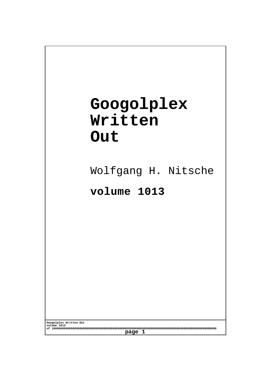## **Googolplex Written Out**

Wolfgang H. Nitsche

## **volume 1013**

**Googolplex Written Out volume 1013 of 10000000000000000000000000000000000000000000000000000000000000000000000000000000000000000000000 page 1**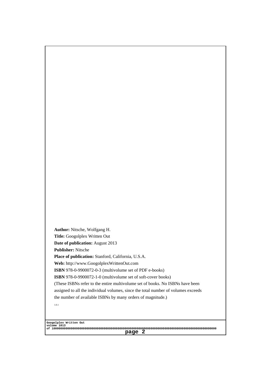Author: Nitsche, Wolfgang H. Title: Googolplex Written Out Date of publication: August 2013 Publisher: Nitsche Place of publication: Stanford, California, U.S.A. Web: http://www.GoogolplexWrittenOut.com ISBN 978-0-9900072-0-3 (multivolume set of PDF e-books) ISBN 978-0-9900072-1-0 (multivolume set of soft-cover books) [\(These ISBNs refer to the entire multivolume set of books. No IS](http://www.GoogolplexWrittenOut.com)BNs have been assigned to all the individual volumes, since the total number of volumes exceeds the number of available ISBNs by many orders of magnitude.) 1.0.1

Googolplex Written Out volume 1013 of 10000000000000000000000000000000000000000000000000000000000000000000000000000000000000000000000 page 2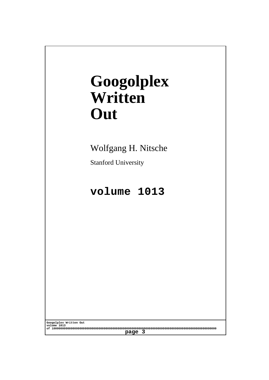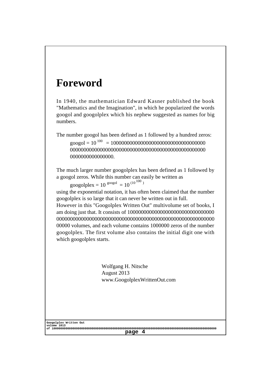## Foreword

In 1940, the mathematician Edward Kasner published the book "Mathematics and the Imagination", in which he popularized the words googol and googolplex which his nephew suggested as names for big numbers.

The number googol has been defined as 1 followed by a hundred zeros: googol = 10<sup>100</sup> = 10000000000000000000000000000000000 00000000000000000000000000000000000000000000000000 0000000000000000.

The much larger number googolplex has been defined as 1 followed by a googol zeros. While this number can easily be written as

googolplex =  $10^{90090}$  =  $10^{(10^{100})}$ 

using the exponential notation, it has often been claimed that the number googolplex is so large that it can never be written out in full.

However in this "Googolplex Written Out" multivolume set of books, I am doing just that. It consists of 10000000000000000000000000000000 0000000000000000000000000000000000000000000000000000000000 00000 volumes, and each volume contains 1000000 zeros of the number googolplex. The first volume also contains the initial digit one with which googolplex starts.

> Wolfgang H. Nitsche August 2013 www.GoogolplexWrittenOut.com

Googolplex Written Out volume 1013 of 10000000000000000000000000000000000000000000000000000000000000000000000000000000000000000000000 page 4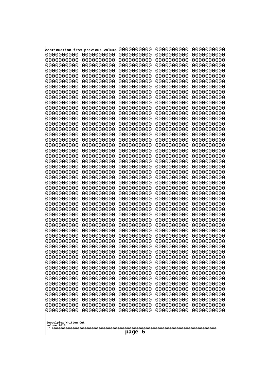|                          | continuation from previous volume | 0000000000               | 0000000000               | 0000000000               |
|--------------------------|-----------------------------------|--------------------------|--------------------------|--------------------------|
| 0000000000               | 0000000000                        | 0000000000               | 0000000000               | 0000000000               |
| 10000000000              | 0000000000                        | 0000000000               | 0000000000               | 0000000000               |
| 0000000000               | 0000000000                        | 0000000000               | 0000000000               | 0000000000               |
| 0000000000               | 0000000000                        | 0000000000               | 0000000000               | 0000000000               |
| 0000000000               | 0000000000                        | 0000000000               | 0000000000               | 0000000000               |
| 0000000000               | 0000000000                        | 0000000000               | 0000000000               | 0000000000               |
| 0000000000               | 0000000000                        | 0000000000               | 0000000000               | 0000000000               |
| 0000000000               | 0000000000                        | 0000000000               | 0000000000               | 0000000000               |
| 0000000000               | 0000000000                        | 0000000000               | 0000000000               | 0000000000               |
| 0000000000               | 0000000000                        | 0000000000               | 0000000000               | 0000000000               |
| 0000000000               | 0000000000                        | 0000000000               | 0000000000               | 0000000000               |
| 0000000000               | 0000000000                        | 0000000000               | 0000000000               | 0000000000               |
| 0000000000               | 0000000000                        | 0000000000               | 0000000000               | 0000000000               |
| 0000000000<br>0000000000 | 0000000000<br>0000000000          | 0000000000<br>0000000000 | 0000000000               | 0000000000               |
| 0000000000               | 0000000000                        | 0000000000               | 0000000000<br>0000000000 | 0000000000<br>0000000000 |
| 0000000000               | 0000000000                        | 0000000000               | 0000000000               | 0000000000               |
| looooooooo               | 0000000000                        | 0000000000               | 0000000000               | 0000000000               |
| 0000000000               | 0000000000                        | 0000000000               | 0000000000               | 0000000000               |
| 0000000000               | 0000000000                        | 0000000000               | 0000000000               | 0000000000               |
| 0000000000               | 0000000000                        | 0000000000               | 0000000000               | 0000000000               |
| 0000000000               | 0000000000                        | 0000000000               | 0000000000               | 0000000000               |
| 0000000000               | 0000000000                        | 0000000000               | 0000000000               | 0000000000               |
| 0000000000               | 0000000000                        | 0000000000               | 0000000000               | 0000000000               |
| 0000000000               | 0000000000                        | 0000000000               | 0000000000               | 0000000000               |
| 0000000000               | 0000000000                        | 0000000000               | 0000000000               | 0000000000               |
| 0000000000               | 0000000000                        | 0000000000               | 0000000000               | 0000000000               |
| 0000000000               | 0000000000                        | 0000000000               | 0000000000               | 0000000000               |
| 0000000000               | 0000000000                        | 0000000000               | 0000000000               | 0000000000               |
| 0000000000<br>0000000000 | 0000000000<br>0000000000          | 0000000000<br>0000000000 | 0000000000<br>0000000000 | 0000000000<br>0000000000 |
| 0000000000               | 0000000000                        | 0000000000               | 0000000000               | 0000000000               |
| 0000000000               | 0000000000                        | 0000000000               | 0000000000               | 0000000000               |
| 0000000000               | 0000000000                        | 0000000000               | 0000000000               | 0000000000               |
| 0000000000               | 0000000000                        | 0000000000               | 0000000000               | 0000000000               |
| 0000000000               | 0000000000                        | 0000000000               | 0000000000               | 0000000000               |
| 0000000000               | 0000000000                        | 0000000000               | 0000000000               | 0000000000               |
| 0000000000               | 0000000000                        | 0000000000               | 0000000000               | 0000000000               |
| 0000000000               | 0000000000                        | 0000000000               | 0000000000               | 0000000000               |
| 0000000000               | 0000000000                        | 0000000000               | 0000000000               | 0000000000               |
| 0000000000               | 0000000000                        | 0000000000               | 0000000000               | 0000000000               |
| 0000000000<br>0000000000 | 0000000000                        | 0000000000<br>0000000000 | 0000000000               | 0000000000<br>0000000000 |
| 0000000000               | 0000000000<br>0000000000          | 0000000000               | 0000000000<br>0000000000 | 0000000000               |
| 0000000000               | 0000000000                        | 0000000000               | 0000000000               | 0000000000               |
| 0000000000               | 0000000000                        | 0000000000               | 0000000000               | 0000000000               |
| 0000000000               | 0000000000                        | 0000000000               | 0000000000               | 0000000000               |
| 0000000000               | 0000000000                        | 0000000000               | 0000000000               | 0000000000               |
| 0000000000               | 0000000000                        | 0000000000               | 0000000000               | 0000000000               |
|                          |                                   |                          |                          |                          |
| Googolplex Written Out   |                                   |                          |                          |                          |
| volume 1013              |                                   |                          |                          |                          |
| -5<br>page               |                                   |                          |                          |                          |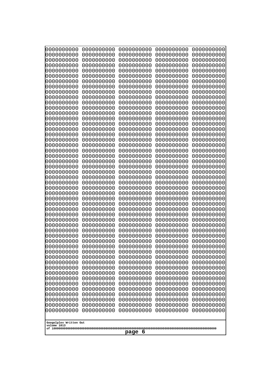| 000000000                             | 0000000000               | 0000000000               | 0000000000               | 0000000000               |
|---------------------------------------|--------------------------|--------------------------|--------------------------|--------------------------|
| 0000000000<br>0000000000              | 0000000000<br>0000000000 | 0000000000<br>0000000000 | 0000000000<br>0000000000 | 0000000000<br>0000000000 |
| 0000000000                            | 0000000000               | 0000000000               | 0000000000               | 0000000000               |
| 0000000000<br>0000000000              | 0000000000<br>0000000000 | 0000000000<br>0000000000 | 0000000000<br>0000000000 | 0000000000<br>0000000000 |
| 0000000000                            | 0000000000               | 0000000000               | 0000000000               | 0000000000               |
| 0000000000                            | 0000000000               | 0000000000               | 0000000000               | 0000000000               |
| 0000000000<br>0000000000              | 0000000000<br>0000000000 | 0000000000<br>0000000000 | 0000000000<br>0000000000 | 0000000000<br>0000000000 |
| 0000000000                            | 0000000000               | 0000000000               | 0000000000               | 0000000000               |
| 0000000000                            | 0000000000               | 0000000000               | 0000000000               | 0000000000               |
| 0000000000                            | 0000000000               | 0000000000               | 0000000000               | 0000000000               |
| 0000000000<br>0000000000              | 0000000000<br>0000000000 | 0000000000<br>0000000000 | 0000000000<br>0000000000 | 0000000000<br>0000000000 |
| 0000000000                            | 0000000000               | 0000000000               | 0000000000               | 0000000000               |
| 0000000000                            | 0000000000               | 0000000000               | 0000000000               | 0000000000<br>0000000000 |
| 0000000000<br>0000000000              | 0000000000<br>0000000000 | 0000000000<br>0000000000 | 0000000000<br>0000000000 | 0000000000               |
| 0000000000                            | 0000000000               | 0000000000               | 0000000000               | 0000000000               |
| 0000000000<br>0000000000              | 0000000000<br>0000000000 | 0000000000<br>0000000000 | 0000000000<br>0000000000 | 0000000000<br>0000000000 |
| 0000000000                            | 0000000000               | 0000000000               | 0000000000               | 0000000000               |
| 0000000000                            | 0000000000               | 0000000000               | 0000000000               | 0000000000               |
| 0000000000                            | 0000000000               | 0000000000               | 0000000000               | 0000000000               |
| 0000000000<br>0000000000              | 0000000000<br>0000000000 | 0000000000<br>0000000000 | 0000000000<br>0000000000 | 0000000000<br>0000000000 |
| 0000000000                            | 0000000000               | 0000000000               | 0000000000               | 0000000000               |
| 0000000000<br>0000000000              | 0000000000<br>0000000000 | 0000000000<br>0000000000 | 0000000000<br>0000000000 | 0000000000<br>0000000000 |
| 0000000000                            | 0000000000               | 0000000000               | 0000000000               | 0000000000               |
| 0000000000                            | 0000000000               | 0000000000               | 0000000000               | 0000000000               |
| 0000000000<br>0000000000              | 0000000000               | 0000000000               | 0000000000<br>0000000000 | 0000000000               |
| 0000000000                            | 0000000000<br>0000000000 | 0000000000<br>0000000000 | 0000000000               | 0000000000<br>0000000000 |
| 0000000000                            | 0000000000               | 0000000000               | 0000000000               | 0000000000               |
| 0000000000<br>0000000000              | 0000000000<br>0000000000 | 0000000000<br>0000000000 | 0000000000<br>0000000000 | 0000000000<br>0000000000 |
| 0000000000                            | 0000000000               | 0000000000               | 0000000000               | 0000000000               |
| 0000000000                            | 0000000000               | 0000000000               | 0000000000               | 0000000000               |
| 0000000000<br>0000000000              | 0000000000<br>0000000000 | 0000000000<br>0000000000 | 0000000000<br>0000000000 | 0000000000<br>0000000000 |
| 0000000000                            | 0000000000               | 0000000000               | 0000000000               | 0000000000               |
| 0000000000                            | 0000000000               | 0000000000               | 0000000000               | 0000000000               |
| 0000000000<br>0000000000              | 0000000000<br>0000000000 | 0000000000<br>0000000000 | 0000000000<br>0000000000 | 0000000000<br>0000000000 |
| 0000000000                            | 0000000000               | 0000000000               | 0000000000               | 0000000000               |
| 0000000000                            | 0000000000               | 0000000000               | 0000000000               | 0000000000               |
| 0000000000<br>0000000000              | 0000000000<br>0000000000 | 0000000000<br>0000000000 | 0000000000<br>0000000000 | 0000000000<br>0000000000 |
|                                       |                          |                          |                          |                          |
| Googolplex Written Out<br>volume 1013 |                          |                          |                          |                          |
|                                       |                          | page<br>6                |                          |                          |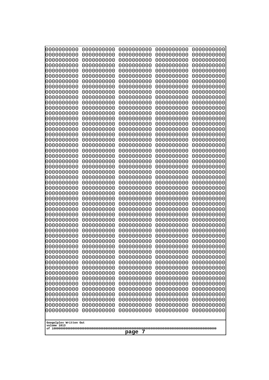| 0000000000                                                                                                               | 0000000000 | 0000000000 | 0000000000 | 0000000000 |
|--------------------------------------------------------------------------------------------------------------------------|------------|------------|------------|------------|
| 1000000000                                                                                                               | 0000000000 | 0000000000 | 0000000000 | 0000000000 |
| 0000000000                                                                                                               | 0000000000 | 0000000000 | 0000000000 | 0000000000 |
| 0000000000                                                                                                               | 0000000000 | 0000000000 | 0000000000 | 0000000000 |
| 0000000000                                                                                                               | 0000000000 | 0000000000 | 0000000000 | 0000000000 |
| 0000000000                                                                                                               | 0000000000 | 0000000000 | 0000000000 | 0000000000 |
| 0000000000                                                                                                               | 0000000000 | 0000000000 | 0000000000 | 0000000000 |
| 0000000000                                                                                                               | 0000000000 | 0000000000 | 0000000000 | 0000000000 |
| 0000000000                                                                                                               | 0000000000 | 0000000000 | 0000000000 | 0000000000 |
| 0000000000                                                                                                               | 0000000000 | 0000000000 | 0000000000 | 0000000000 |
| 0000000000                                                                                                               | 0000000000 | 0000000000 | 0000000000 | 0000000000 |
| 0000000000                                                                                                               | 0000000000 | 0000000000 | 0000000000 | 0000000000 |
| 0000000000                                                                                                               | 0000000000 | 0000000000 | 0000000000 | 0000000000 |
| 0000000000                                                                                                               | 0000000000 | 0000000000 | 0000000000 | 0000000000 |
| 0000000000                                                                                                               | 0000000000 | 0000000000 | 0000000000 | 0000000000 |
| 0000000000                                                                                                               | 0000000000 | 0000000000 | 0000000000 | 0000000000 |
| 0000000000                                                                                                               | 0000000000 | 0000000000 | 0000000000 | 0000000000 |
| 0000000000                                                                                                               | 0000000000 | 0000000000 | 0000000000 | 0000000000 |
| 0000000000                                                                                                               | 0000000000 | 0000000000 | 0000000000 | 0000000000 |
| 0000000000                                                                                                               | 0000000000 | 0000000000 | 0000000000 | 0000000000 |
| 0000000000                                                                                                               | 0000000000 | 0000000000 | 0000000000 | 0000000000 |
| 0000000000                                                                                                               | 0000000000 | 0000000000 | 0000000000 | 0000000000 |
| looooooooo                                                                                                               | 0000000000 | 0000000000 | 0000000000 | 0000000000 |
| 0000000000                                                                                                               | 0000000000 | 0000000000 | 0000000000 | 0000000000 |
| 0000000000                                                                                                               | 0000000000 | 0000000000 | 0000000000 | 0000000000 |
| 0000000000                                                                                                               | 0000000000 | 0000000000 | 0000000000 | 0000000000 |
| 0000000000                                                                                                               | 0000000000 | 0000000000 | 0000000000 | 0000000000 |
| 0000000000                                                                                                               | 0000000000 | 0000000000 | 0000000000 | 0000000000 |
| 0000000000                                                                                                               | 0000000000 | 0000000000 | 0000000000 | 0000000000 |
| 0000000000                                                                                                               | 0000000000 | 0000000000 | 0000000000 | 0000000000 |
| 0000000000                                                                                                               | 0000000000 | 0000000000 | 0000000000 | 0000000000 |
| 0000000000                                                                                                               | 0000000000 | 0000000000 | 0000000000 | 0000000000 |
| 0000000000                                                                                                               | 0000000000 | 0000000000 | 0000000000 | 0000000000 |
| 0000000000                                                                                                               | 0000000000 | 0000000000 | 0000000000 | 0000000000 |
| 0000000000                                                                                                               | 0000000000 | 0000000000 | 0000000000 | 0000000000 |
| 0000000000                                                                                                               | 0000000000 | 0000000000 | 0000000000 | 0000000000 |
|                                                                                                                          |            |            |            |            |
| 0000000000                                                                                                               | 0000000000 | 0000000000 | 0000000000 | 0000000000 |
| 10000000000                                                                                                              | 0000000000 | 0000000000 | 0000000000 | 0000000000 |
| 0000000000                                                                                                               | 0000000000 | 0000000000 | 0000000000 | 0000000000 |
| 0000000000                                                                                                               | 0000000000 | 0000000000 | 0000000000 | 0000000000 |
| 0000000000                                                                                                               | 0000000000 | 0000000000 | 0000000000 | 0000000000 |
| 0000000000                                                                                                               | 0000000000 | 0000000000 | 0000000000 | 0000000000 |
| 0000000000                                                                                                               | 0000000000 | 0000000000 | 0000000000 | 0000000000 |
| 0000000000                                                                                                               | 0000000000 | 0000000000 | 0000000000 | 0000000000 |
| 0000000000                                                                                                               | 0000000000 | 0000000000 | 0000000000 | 0000000000 |
| 0000000000                                                                                                               | 0000000000 | 0000000000 | 0000000000 | 0000000000 |
| 0000000000                                                                                                               | 0000000000 | 0000000000 | 0000000000 | 0000000000 |
| 0000000000                                                                                                               | 0000000000 | 0000000000 | 0000000000 | 0000000000 |
| 0000000000                                                                                                               | 0000000000 | 0000000000 | 0000000000 | 0000000000 |
| 0000000000<br>0000000000<br>0000000000<br>0000000000<br>0000000000<br>Googolplex Written Out<br>volume 1013<br>7<br>page |            |            |            |            |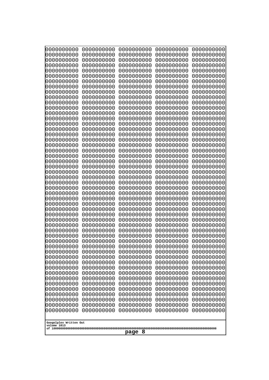| 000000000                             | 0000000000               | 0000000000               | 0000000000               | 0000000000               |
|---------------------------------------|--------------------------|--------------------------|--------------------------|--------------------------|
| 0000000000<br>0000000000              | 0000000000<br>0000000000 | 0000000000<br>0000000000 | 0000000000<br>0000000000 | 0000000000<br>0000000000 |
| 0000000000                            | 0000000000               | 0000000000               | 0000000000               | 0000000000               |
| 0000000000<br>0000000000              | 0000000000<br>0000000000 | 0000000000<br>0000000000 | 0000000000<br>0000000000 | 0000000000<br>0000000000 |
| 0000000000                            | 0000000000               | 0000000000               | 0000000000               | 0000000000               |
| 0000000000                            | 0000000000               | 0000000000               | 0000000000               | 0000000000               |
| 0000000000<br>0000000000              | 0000000000<br>0000000000 | 0000000000<br>0000000000 | 0000000000<br>0000000000 | 0000000000<br>0000000000 |
| 0000000000                            | 0000000000               | 0000000000               | 0000000000               | 0000000000               |
| 0000000000                            | 0000000000               | 0000000000               | 0000000000               | 0000000000               |
| 0000000000                            | 0000000000               | 0000000000               | 0000000000               | 0000000000               |
| 0000000000<br>0000000000              | 0000000000<br>0000000000 | 0000000000<br>0000000000 | 0000000000<br>0000000000 | 0000000000<br>0000000000 |
| 0000000000                            | 0000000000               | 0000000000               | 0000000000               | 0000000000               |
| 0000000000                            | 0000000000               | 0000000000               | 0000000000               | 0000000000<br>0000000000 |
| 0000000000<br>0000000000              | 0000000000<br>0000000000 | 0000000000<br>0000000000 | 0000000000<br>0000000000 | 0000000000               |
| 0000000000                            | 0000000000               | 0000000000               | 0000000000               | 0000000000               |
| 0000000000<br>0000000000              | 0000000000<br>0000000000 | 0000000000<br>0000000000 | 0000000000<br>0000000000 | 0000000000<br>0000000000 |
| 0000000000                            | 0000000000               | 0000000000               | 0000000000               | 0000000000               |
| 0000000000                            | 0000000000               | 0000000000               | 0000000000               | 0000000000               |
| 0000000000                            | 0000000000               | 0000000000               | 0000000000               | 0000000000               |
| 0000000000<br>0000000000              | 0000000000<br>0000000000 | 0000000000<br>0000000000 | 0000000000<br>0000000000 | 0000000000<br>0000000000 |
| 0000000000                            | 0000000000               | 0000000000               | 0000000000               | 0000000000               |
| 0000000000<br>0000000000              | 0000000000<br>0000000000 | 0000000000<br>0000000000 | 0000000000<br>0000000000 | 0000000000<br>0000000000 |
| 0000000000                            | 0000000000               | 0000000000               | 0000000000               | 0000000000               |
| 0000000000                            | 0000000000               | 0000000000               | 0000000000               | 0000000000               |
| 0000000000<br>0000000000              | 0000000000               | 0000000000               | 0000000000<br>0000000000 | 0000000000               |
| 0000000000                            | 0000000000<br>0000000000 | 0000000000<br>0000000000 | 0000000000               | 0000000000<br>0000000000 |
| 0000000000                            | 0000000000               | 0000000000               | 0000000000               | 0000000000               |
| 0000000000<br>0000000000              | 0000000000               | 0000000000               | 0000000000               | 0000000000               |
| 0000000000                            | 0000000000<br>0000000000 | 0000000000<br>0000000000 | 0000000000<br>0000000000 | 0000000000<br>0000000000 |
| 0000000000                            | 0000000000               | 0000000000               | 0000000000               | 0000000000               |
| 0000000000                            | 0000000000               | 0000000000               | 0000000000               | 0000000000<br>0000000000 |
| 0000000000<br>0000000000              | 0000000000<br>0000000000 | 0000000000<br>0000000000 | 0000000000<br>0000000000 | 0000000000               |
| 0000000000                            | 0000000000               | 0000000000               | 0000000000               | 0000000000               |
| 0000000000                            | 0000000000               | 0000000000               | 0000000000               | 0000000000               |
| 0000000000<br>0000000000              | 0000000000<br>0000000000 | 0000000000<br>0000000000 | 0000000000<br>0000000000 | 0000000000<br>0000000000 |
| 0000000000                            | 0000000000               | 0000000000               | 0000000000               | 0000000000               |
| 0000000000                            | 0000000000               | 0000000000               | 0000000000               | 0000000000               |
| 0000000000                            | 0000000000               | 0000000000               | 0000000000               | 0000000000               |
| Googolplex Written Out<br>volume 1013 |                          |                          |                          |                          |
|                                       |                          | 8<br>page                |                          |                          |
|                                       |                          |                          |                          |                          |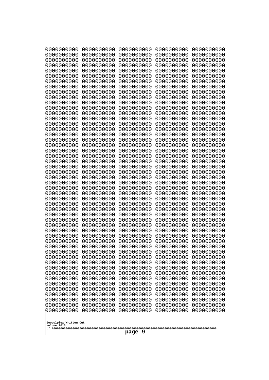| 0000000000<br>0000000000<br>0000000000<br>0000000000<br>0000000000<br>0000000000<br>0000000000<br>0000000000<br>0000000000<br>0000000000<br>0000000000<br>0000000000<br>0000000000<br>0000000000<br>0000000000<br>0000000000<br>0000000000<br>0000000000<br>0000000000<br>0000000000<br>0000000000<br>0000000000<br>0000000000<br>0000000000<br>0000000000<br>0000000000<br>0000000000<br>0000000000<br>0000000000<br>0000000000<br>0000000000<br>0000000000<br>0000000000<br>0000000000<br>0000000000<br>0000000000<br>0000000000<br>10000000000<br>0000000000<br>0000000000<br>0000000000<br>0000000000<br>0000000000<br>0000000000<br>0000000000<br>0000000000<br>0000000000<br>0000000000 | 0000000000<br>0000000000<br>0000000000<br>0000000000<br>0000000000<br>0000000000<br>0000000000<br>0000000000<br>0000000000<br>0000000000<br>0000000000<br>0000000000<br>0000000000<br>0000000000<br>0000000000<br>0000000000<br>0000000000<br>0000000000<br>0000000000<br>0000000000<br>0000000000<br>0000000000<br>0000000000<br>0000000000<br>0000000000<br>0000000000<br>0000000000<br>0000000000<br>0000000000<br>0000000000<br>0000000000<br>0000000000<br>0000000000<br>0000000000<br>0000000000<br>0000000000<br>0000000000<br>0000000000<br>0000000000<br>0000000000<br>0000000000<br>0000000000<br>0000000000<br>0000000000<br>0000000000<br>0000000000<br>0000000000<br>0000000000 | 0000000000<br>0000000000<br>0000000000<br>0000000000<br>0000000000<br>0000000000<br>0000000000<br>0000000000<br>0000000000<br>0000000000<br>0000000000<br>0000000000<br>0000000000<br>0000000000<br>0000000000<br>0000000000<br>0000000000<br>0000000000<br>0000000000<br>0000000000<br>0000000000<br>0000000000<br>0000000000<br>0000000000<br>0000000000<br>0000000000<br>0000000000<br>0000000000<br>0000000000<br>0000000000<br>0000000000<br>0000000000<br>0000000000<br>0000000000<br>0000000000<br>0000000000<br>0000000000<br>0000000000<br>0000000000<br>0000000000<br>0000000000<br>0000000000<br>0000000000<br>0000000000<br>0000000000<br>0000000000<br>0000000000<br>0000000000 | 0000000000<br>0000000000<br>0000000000<br>0000000000<br>0000000000<br>0000000000<br>0000000000<br>0000000000<br>0000000000<br>0000000000<br>0000000000<br>0000000000<br>0000000000<br>0000000000<br>0000000000<br>0000000000<br>0000000000<br>0000000000<br>0000000000<br>0000000000<br>0000000000<br>0000000000<br>0000000000<br>0000000000<br>0000000000<br>0000000000<br>0000000000<br>0000000000<br>0000000000<br>0000000000<br>0000000000<br>0000000000<br>0000000000<br>0000000000<br>0000000000<br>0000000000<br>0000000000<br>0000000000<br>0000000000<br>0000000000<br>0000000000<br>0000000000<br>0000000000<br>0000000000<br>0000000000<br>0000000000<br>0000000000<br>0000000000 | 0000000000<br>0000000000<br>0000000000<br>0000000000<br>0000000000<br>0000000000<br>0000000000<br>0000000000<br>0000000000<br>0000000000<br>0000000000<br>0000000000<br>0000000000<br>0000000000<br>0000000000<br>0000000000<br>0000000000<br>0000000000<br>0000000000<br>0000000000<br>0000000000<br>0000000000<br>0000000000<br>0000000000<br>0000000000<br>0000000000<br>0000000000<br>0000000000<br>0000000000<br>0000000000<br>0000000000<br>0000000000<br>0000000000<br>0000000000<br>0000000000<br>0000000000<br>0000000000<br>0000000000<br>0000000000<br>0000000000<br>0000000000<br>0000000000<br>0000000000<br>0000000000<br>0000000000<br>0000000000<br>0000000000<br>0000000000 |  |
|-----------------------------------------------------------------------------------------------------------------------------------------------------------------------------------------------------------------------------------------------------------------------------------------------------------------------------------------------------------------------------------------------------------------------------------------------------------------------------------------------------------------------------------------------------------------------------------------------------------------------------------------------------------------------------------------------|----------------------------------------------------------------------------------------------------------------------------------------------------------------------------------------------------------------------------------------------------------------------------------------------------------------------------------------------------------------------------------------------------------------------------------------------------------------------------------------------------------------------------------------------------------------------------------------------------------------------------------------------------------------------------------------------|----------------------------------------------------------------------------------------------------------------------------------------------------------------------------------------------------------------------------------------------------------------------------------------------------------------------------------------------------------------------------------------------------------------------------------------------------------------------------------------------------------------------------------------------------------------------------------------------------------------------------------------------------------------------------------------------|----------------------------------------------------------------------------------------------------------------------------------------------------------------------------------------------------------------------------------------------------------------------------------------------------------------------------------------------------------------------------------------------------------------------------------------------------------------------------------------------------------------------------------------------------------------------------------------------------------------------------------------------------------------------------------------------|----------------------------------------------------------------------------------------------------------------------------------------------------------------------------------------------------------------------------------------------------------------------------------------------------------------------------------------------------------------------------------------------------------------------------------------------------------------------------------------------------------------------------------------------------------------------------------------------------------------------------------------------------------------------------------------------|--|
| 0000000000<br>0000000000<br>Googolplex Written Out                                                                                                                                                                                                                                                                                                                                                                                                                                                                                                                                                                                                                                            | 0000000000<br>0000000000                                                                                                                                                                                                                                                                                                                                                                                                                                                                                                                                                                                                                                                                     | 0000000000<br>0000000000                                                                                                                                                                                                                                                                                                                                                                                                                                                                                                                                                                                                                                                                     | 0000000000<br>0000000000                                                                                                                                                                                                                                                                                                                                                                                                                                                                                                                                                                                                                                                                     | 0000000000<br>0000000000                                                                                                                                                                                                                                                                                                                                                                                                                                                                                                                                                                                                                                                                     |  |
|                                                                                                                                                                                                                                                                                                                                                                                                                                                                                                                                                                                                                                                                                               | volume 1013<br>page 9                                                                                                                                                                                                                                                                                                                                                                                                                                                                                                                                                                                                                                                                        |                                                                                                                                                                                                                                                                                                                                                                                                                                                                                                                                                                                                                                                                                              |                                                                                                                                                                                                                                                                                                                                                                                                                                                                                                                                                                                                                                                                                              |                                                                                                                                                                                                                                                                                                                                                                                                                                                                                                                                                                                                                                                                                              |  |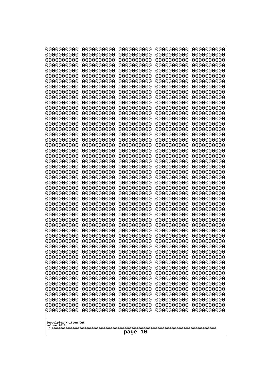| 000000000<br>0000000000  | 0000000000<br>0000000000 | 0000000000<br>0000000000 | 0000000000<br>0000000000 | 0000000000<br>0000000000 |
|--------------------------|--------------------------|--------------------------|--------------------------|--------------------------|
| 0000000000               | 0000000000               | 0000000000               | 0000000000               | 0000000000               |
| 0000000000<br>0000000000 | 0000000000<br>0000000000 | 0000000000<br>0000000000 | 0000000000<br>0000000000 | 0000000000<br>0000000000 |
| 0000000000               | 0000000000               | 0000000000               | 0000000000               | 0000000000               |
| 0000000000               | 0000000000               | 0000000000               | 0000000000               | 0000000000               |
| 0000000000<br>0000000000 | 0000000000<br>0000000000 | 0000000000<br>0000000000 | 0000000000<br>0000000000 | 0000000000<br>0000000000 |
| 0000000000               | 0000000000               | 0000000000               | 0000000000               | 0000000000               |
| 0000000000               | 0000000000               | 0000000000               | 0000000000               | 0000000000               |
| 0000000000<br>0000000000 | 0000000000<br>0000000000 | 0000000000<br>0000000000 | 0000000000<br>0000000000 | 0000000000<br>0000000000 |
| 0000000000               | 0000000000               | 0000000000               | 0000000000               | 0000000000               |
| 0000000000               | 0000000000               | 0000000000               | 0000000000               | 0000000000               |
| 0000000000<br>0000000000 | 0000000000<br>0000000000 | 0000000000<br>0000000000 | 0000000000<br>0000000000 | 0000000000<br>0000000000 |
| 0000000000               | 0000000000               | 0000000000               | 0000000000               | 0000000000               |
| 0000000000               | 0000000000               | 0000000000               | 0000000000               | 0000000000               |
| 0000000000<br>0000000000 | 0000000000<br>0000000000 | 0000000000<br>0000000000 | 0000000000<br>0000000000 | 0000000000<br>0000000000 |
| 0000000000               | 0000000000               | 0000000000               | 0000000000               | 0000000000               |
| 0000000000               | 0000000000               | 0000000000               | 0000000000               | 0000000000               |
| 0000000000<br>0000000000 | 0000000000<br>0000000000 | 0000000000<br>0000000000 | 0000000000<br>0000000000 | 0000000000<br>0000000000 |
| 0000000000               | 0000000000               | 0000000000               | 0000000000               | 0000000000               |
| 0000000000               | 0000000000               | 0000000000               | 0000000000               | 0000000000               |
| 0000000000<br>0000000000 | 0000000000<br>0000000000 | 0000000000<br>0000000000 | 0000000000<br>0000000000 | 0000000000<br>0000000000 |
| 0000000000               | 0000000000               | 0000000000               | 0000000000               | 0000000000               |
| 0000000000               | 0000000000               | 0000000000               | 0000000000               | 0000000000               |
| 0000000000<br>0000000000 | 0000000000<br>0000000000 | 0000000000<br>0000000000 | 0000000000<br>0000000000 | 0000000000<br>0000000000 |
| 0000000000               | 0000000000               | 0000000000               | 0000000000               | 0000000000               |
| 0000000000<br>0000000000 | 0000000000<br>0000000000 | 0000000000<br>0000000000 | 0000000000<br>0000000000 | 0000000000<br>0000000000 |
| 0000000000               | 0000000000               | 0000000000               | 0000000000               | 0000000000               |
| 0000000000               | 0000000000               | 0000000000               | 0000000000               | 0000000000               |
| 0000000000<br>0000000000 | 0000000000<br>0000000000 | 0000000000<br>0000000000 | 0000000000<br>0000000000 | 0000000000<br>0000000000 |
| 0000000000               | 0000000000               | 0000000000               | 0000000000               | 0000000000               |
| 0000000000               | 0000000000               | 0000000000               | 0000000000               | 0000000000               |
| 0000000000<br>0000000000 | 0000000000<br>0000000000 | 0000000000<br>0000000000 | 0000000000<br>0000000000 | 0000000000<br>0000000000 |
| 0000000000               | 0000000000               | 0000000000               | 0000000000               | 0000000000               |
| 0000000000               | 0000000000               | 0000000000               | 0000000000               | 0000000000               |
| 0000000000<br>0000000000 | 0000000000<br>0000000000 | 0000000000<br>0000000000 | 0000000000<br>0000000000 | 0000000000<br>0000000000 |
| 0000000000               | 0000000000               | 0000000000               | 0000000000               | 0000000000               |
| 0000000000               | 0000000000               | 0000000000               | 0000000000               | 0000000000               |
| Googolplex Written Out   |                          |                          |                          |                          |
| volume 1013              |                          |                          |                          |                          |
| 10<br>page               |                          |                          |                          |                          |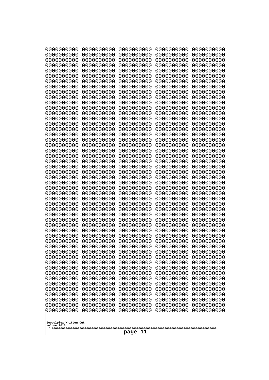| 0000000000                                       | 0000000000 | 0000000000 | 0000000000 | 0000000000 |
|--------------------------------------------------|------------|------------|------------|------------|
| 0000000000                                       | 0000000000 | 0000000000 | 0000000000 | 0000000000 |
| 0000000000                                       | 0000000000 | 0000000000 | 0000000000 | 0000000000 |
| 0000000000                                       | 0000000000 | 0000000000 | 0000000000 | 0000000000 |
| 0000000000                                       | 0000000000 | 0000000000 | 0000000000 | 0000000000 |
| 0000000000                                       | 0000000000 | 0000000000 | 0000000000 | 0000000000 |
| 0000000000                                       | 0000000000 | 0000000000 | 0000000000 | 0000000000 |
| 0000000000                                       | 0000000000 | 0000000000 | 0000000000 | 0000000000 |
| 0000000000                                       | 0000000000 | 0000000000 | 0000000000 | 0000000000 |
| 0000000000                                       | 0000000000 | 0000000000 | 0000000000 | 0000000000 |
| 0000000000                                       | 0000000000 | 0000000000 | 0000000000 | 0000000000 |
| 0000000000                                       | 0000000000 | 0000000000 | 0000000000 | 0000000000 |
| 0000000000                                       | 0000000000 | 0000000000 | 0000000000 | 0000000000 |
| 0000000000                                       | 0000000000 | 0000000000 | 0000000000 | 0000000000 |
| 0000000000                                       | 0000000000 | 0000000000 | 0000000000 | 0000000000 |
| 0000000000                                       | 0000000000 | 0000000000 | 0000000000 | 0000000000 |
| 0000000000                                       | 0000000000 | 0000000000 | 0000000000 | 0000000000 |
| 0000000000                                       | 0000000000 | 0000000000 | 0000000000 | 0000000000 |
| 0000000000                                       | 0000000000 | 0000000000 | 0000000000 | 0000000000 |
| 0000000000                                       | 0000000000 | 0000000000 | 0000000000 | 0000000000 |
| 0000000000                                       | 0000000000 | 0000000000 | 0000000000 | 0000000000 |
| 0000000000                                       | 0000000000 | 0000000000 | 0000000000 | 0000000000 |
| 0000000000                                       | 0000000000 | 0000000000 | 0000000000 | 0000000000 |
| 0000000000                                       | 0000000000 | 0000000000 | 0000000000 | 0000000000 |
| 0000000000                                       | 0000000000 | 0000000000 | 0000000000 | 0000000000 |
| 0000000000                                       | 0000000000 | 0000000000 | 0000000000 | 0000000000 |
| 0000000000                                       | 0000000000 | 0000000000 | 0000000000 | 0000000000 |
| 0000000000                                       | 0000000000 | 0000000000 | 0000000000 | 0000000000 |
| 0000000000                                       | 0000000000 | 0000000000 | 0000000000 | 0000000000 |
| 0000000000                                       | 0000000000 | 0000000000 | 0000000000 | 0000000000 |
| 0000000000                                       | 0000000000 | 0000000000 | 0000000000 | 0000000000 |
| 0000000000                                       | 0000000000 | 0000000000 | 0000000000 | 0000000000 |
| 0000000000                                       | 0000000000 | 0000000000 | 0000000000 | 0000000000 |
| 0000000000                                       | 0000000000 | 0000000000 | 0000000000 | 0000000000 |
| 0000000000                                       | 0000000000 | 0000000000 | 0000000000 | 0000000000 |
| 0000000000                                       | 0000000000 | 0000000000 | 0000000000 | 0000000000 |
| 0000000000                                       | 0000000000 | 0000000000 | 0000000000 | 0000000000 |
| 0000000000                                       | 0000000000 | 0000000000 | 0000000000 | 0000000000 |
| 0000000000                                       | 0000000000 | 0000000000 | 0000000000 | 0000000000 |
| 0000000000                                       | 0000000000 | 0000000000 | 0000000000 | 0000000000 |
| 0000000000                                       | 0000000000 | 0000000000 | 0000000000 | 0000000000 |
| 0000000000                                       | 0000000000 | 0000000000 | 0000000000 | 0000000000 |
| 0000000000                                       | 0000000000 | 0000000000 | 0000000000 | 0000000000 |
| 0000000000                                       | 0000000000 | 0000000000 | 0000000000 | 0000000000 |
| 0000000000                                       | 0000000000 | 0000000000 | 0000000000 | 0000000000 |
| 0000000000                                       | 0000000000 | 0000000000 | 0000000000 | 0000000000 |
| 0000000000                                       | 0000000000 | 0000000000 | 0000000000 | 0000000000 |
| 0000000000                                       | 0000000000 | 0000000000 | 0000000000 | 0000000000 |
| 0000000000                                       | 0000000000 | 0000000000 | 0000000000 | 0000000000 |
| 0000000000                                       | 0000000000 | 0000000000 | 0000000000 | 0000000000 |
| Googolplex Written Out<br>volume 1013<br>page 11 |            |            |            |            |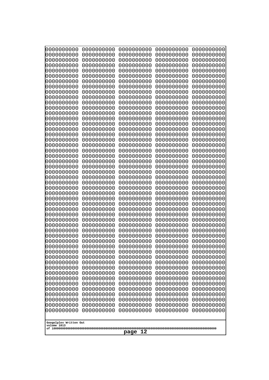| 0000000000                                           | 0000000000                                           | 0000000000                                           | 0000000000                                           | 0000000000                                           |
|------------------------------------------------------|------------------------------------------------------|------------------------------------------------------|------------------------------------------------------|------------------------------------------------------|
| 0000000000                                           | 0000000000                                           | 0000000000                                           | 0000000000                                           | 0000000000                                           |
| 0000000000                                           | 0000000000                                           | 0000000000                                           | 0000000000                                           | 0000000000                                           |
| 0000000000                                           | 0000000000                                           | 0000000000                                           | 0000000000                                           | 0000000000                                           |
| 0000000000                                           | 0000000000                                           | 0000000000                                           | 0000000000                                           | 0000000000                                           |
| 0000000000                                           | 0000000000                                           | 0000000000                                           | 0000000000                                           | 0000000000                                           |
| 0000000000                                           | 0000000000                                           | 0000000000                                           | 0000000000                                           | 0000000000                                           |
| 0000000000                                           | 0000000000                                           | 0000000000                                           | 0000000000                                           | 0000000000                                           |
| 0000000000                                           | 0000000000                                           | 0000000000                                           | 0000000000                                           | 0000000000                                           |
| 0000000000                                           | 0000000000                                           | 0000000000                                           | 0000000000                                           | 0000000000                                           |
| 0000000000                                           | 0000000000                                           | 0000000000                                           | 0000000000                                           | 0000000000                                           |
| 0000000000                                           | 0000000000                                           | 0000000000                                           | 0000000000                                           | 0000000000                                           |
| 0000000000                                           | 0000000000                                           | 0000000000                                           | 0000000000                                           | 0000000000                                           |
| 0000000000                                           | 0000000000                                           | 0000000000                                           | 0000000000                                           | 0000000000                                           |
| 0000000000                                           | 0000000000                                           | 0000000000                                           | 0000000000                                           | 0000000000                                           |
| 0000000000                                           | 0000000000                                           | 0000000000                                           | 0000000000                                           | 0000000000                                           |
| 0000000000                                           | 0000000000                                           | 0000000000                                           | 0000000000                                           | 0000000000                                           |
| 0000000000                                           | 0000000000                                           | 0000000000                                           | 0000000000                                           | 0000000000                                           |
| 0000000000                                           | 0000000000                                           | 0000000000                                           | 0000000000                                           | 0000000000                                           |
| 0000000000                                           | 0000000000                                           | 0000000000                                           | 0000000000                                           | 0000000000                                           |
| 0000000000                                           | 0000000000                                           | 0000000000                                           | 0000000000                                           | 0000000000                                           |
| 0000000000                                           | 0000000000                                           | 0000000000                                           | 0000000000                                           | 0000000000                                           |
| 0000000000                                           | 0000000000                                           | 0000000000                                           | 0000000000                                           | 0000000000                                           |
| 0000000000                                           | 0000000000                                           | 0000000000                                           | 0000000000                                           | 0000000000                                           |
| 0000000000                                           | 0000000000                                           | 0000000000                                           | 0000000000                                           | 0000000000                                           |
| 0000000000                                           | 0000000000                                           | 0000000000                                           | 0000000000                                           | 0000000000                                           |
| 0000000000                                           | 0000000000                                           | 0000000000                                           | 0000000000                                           | 0000000000                                           |
| 0000000000                                           | 0000000000                                           | 0000000000                                           | 0000000000                                           | 0000000000                                           |
| 0000000000                                           | 0000000000                                           | 0000000000                                           | 0000000000                                           | 0000000000                                           |
| 0000000000                                           | 0000000000                                           | 0000000000                                           | 0000000000                                           | 0000000000                                           |
| 0000000000                                           | 0000000000                                           | 0000000000                                           | 0000000000                                           | 0000000000                                           |
| 0000000000                                           | 0000000000                                           | 0000000000                                           | 0000000000                                           | 0000000000                                           |
| 0000000000                                           | 0000000000                                           | 0000000000                                           | 0000000000                                           | 0000000000                                           |
| 0000000000                                           | 0000000000                                           | 0000000000                                           | 0000000000                                           | 0000000000                                           |
| 0000000000<br>0000000000<br>0000000000               | 0000000000<br>0000000000<br>0000000000<br>0000000000 | 0000000000<br>0000000000<br>0000000000<br>0000000000 | 0000000000<br>0000000000<br>0000000000<br>0000000000 | 0000000000<br>0000000000<br>0000000000<br>0000000000 |
| 0000000000<br>0000000000<br>0000000000<br>0000000000 | 0000000000<br>0000000000<br>0000000000               | 0000000000<br>0000000000<br>0000000000               | 0000000000<br>0000000000<br>0000000000               | 0000000000<br>0000000000<br>0000000000               |
| 0000000000                                           | 0000000000                                           | 0000000000                                           | 0000000000                                           | 0000000000                                           |
| 0000000000                                           | 0000000000                                           | 0000000000                                           | 0000000000                                           | 0000000000                                           |
| 0000000000                                           | 0000000000                                           | 0000000000                                           | 0000000000                                           | 0000000000                                           |
| 0000000000                                           | 0000000000                                           | 0000000000                                           | 0000000000                                           | 0000000000                                           |
| 0000000000                                           | 0000000000                                           | 0000000000                                           | 0000000000                                           | 0000000000                                           |
| 0000000000                                           | 0000000000                                           | 0000000000                                           | 0000000000                                           | 0000000000                                           |
| 0000000000                                           | 0000000000                                           | 0000000000                                           | 0000000000                                           | 0000000000                                           |
| 0000000000                                           | 0000000000                                           | 0000000000                                           | 0000000000                                           | 0000000000                                           |
| 0000000000                                           | 0000000000                                           | 0000000000                                           | 0000000000                                           | 0000000000                                           |
| Googolplex Written Out<br>volume 1013<br>page 12     |                                                      |                                                      |                                                      |                                                      |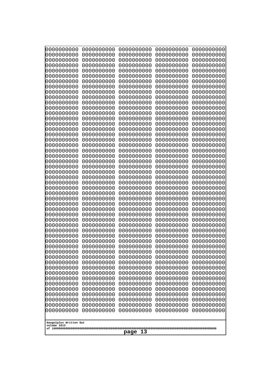| 0000000000<br>0000000000<br>0000000000<br>0000000000<br>0000000000<br>0000000000<br>0000000000<br>0000000000<br>0000000000<br>0000000000<br>0000000000<br>0000000000<br>0000000000<br>0000000000<br>0000000000<br>0000000000<br>0000000000<br>0000000000<br>0000000000<br>0000000000<br>0000000000<br>0000000000<br>0000000000<br>0000000000<br>0000000000<br>0000000000<br>0000000000<br>0000000000<br>0000000000<br>0000000000<br>0000000000<br>0000000000<br>0000000000<br>0000000000<br>0000000000<br>0000000000<br>0000000000<br>10000000000<br>0000000000<br>0000000000<br>0000000000<br>0000000000<br>0000000000<br>0000000000<br>0000000000<br>0000000000<br>0000000000<br>0000000000<br>0000000000<br>0000000000 | 0000000000<br>0000000000<br>0000000000<br>0000000000<br>0000000000<br>0000000000<br>0000000000<br>0000000000<br>0000000000<br>0000000000<br>0000000000<br>0000000000<br>0000000000<br>0000000000<br>0000000000<br>0000000000<br>0000000000<br>0000000000<br>0000000000<br>0000000000<br>0000000000<br>0000000000<br>0000000000<br>0000000000<br>0000000000<br>0000000000<br>0000000000<br>0000000000<br>0000000000<br>0000000000<br>0000000000<br>0000000000<br>0000000000<br>0000000000<br>0000000000<br>0000000000<br>0000000000<br>0000000000<br>0000000000<br>0000000000<br>0000000000<br>0000000000<br>0000000000<br>0000000000<br>0000000000<br>0000000000<br>0000000000<br>0000000000<br>0000000000<br>0000000000 | 0000000000<br>0000000000<br>0000000000<br>0000000000<br>0000000000<br>0000000000<br>0000000000<br>0000000000<br>0000000000<br>0000000000<br>0000000000<br>0000000000<br>0000000000<br>0000000000<br>0000000000<br>0000000000<br>0000000000<br>0000000000<br>0000000000<br>0000000000<br>0000000000<br>0000000000<br>0000000000<br>0000000000<br>0000000000<br>0000000000<br>0000000000<br>0000000000<br>0000000000<br>0000000000<br>0000000000<br>0000000000<br>0000000000<br>0000000000<br>0000000000<br>0000000000<br>0000000000<br>0000000000<br>0000000000<br>0000000000<br>0000000000<br>0000000000<br>0000000000<br>0000000000<br>0000000000<br>0000000000<br>0000000000<br>0000000000<br>0000000000<br>0000000000 | 0000000000<br>0000000000<br>0000000000<br>0000000000<br>0000000000<br>0000000000<br>0000000000<br>0000000000<br>0000000000<br>0000000000<br>0000000000<br>0000000000<br>0000000000<br>0000000000<br>0000000000<br>0000000000<br>0000000000<br>0000000000<br>0000000000<br>0000000000<br>0000000000<br>0000000000<br>0000000000<br>0000000000<br>0000000000<br>0000000000<br>0000000000<br>0000000000<br>0000000000<br>0000000000<br>0000000000<br>0000000000<br>0000000000<br>0000000000<br>0000000000<br>0000000000<br>0000000000<br>0000000000<br>0000000000<br>0000000000<br>0000000000<br>0000000000<br>0000000000<br>0000000000<br>0000000000<br>0000000000<br>0000000000<br>0000000000<br>0000000000<br>0000000000 | 0000000000<br>0000000000<br>0000000000<br>0000000000<br>0000000000<br>0000000000<br>0000000000<br>0000000000<br>0000000000<br>0000000000<br>0000000000<br>0000000000<br>0000000000<br>0000000000<br>0000000000<br>0000000000<br>0000000000<br>0000000000<br>0000000000<br>0000000000<br>0000000000<br>0000000000<br>0000000000<br>0000000000<br>0000000000<br>0000000000<br>0000000000<br>0000000000<br>0000000000<br>0000000000<br>0000000000<br>0000000000<br>0000000000<br>0000000000<br>0000000000<br>0000000000<br>0000000000<br>0000000000<br>0000000000<br>0000000000<br>0000000000<br>0000000000<br>0000000000<br>0000000000<br>0000000000<br>0000000000<br>0000000000<br>0000000000<br>0000000000<br>0000000000 |
|---------------------------------------------------------------------------------------------------------------------------------------------------------------------------------------------------------------------------------------------------------------------------------------------------------------------------------------------------------------------------------------------------------------------------------------------------------------------------------------------------------------------------------------------------------------------------------------------------------------------------------------------------------------------------------------------------------------------------|--------------------------------------------------------------------------------------------------------------------------------------------------------------------------------------------------------------------------------------------------------------------------------------------------------------------------------------------------------------------------------------------------------------------------------------------------------------------------------------------------------------------------------------------------------------------------------------------------------------------------------------------------------------------------------------------------------------------------|--------------------------------------------------------------------------------------------------------------------------------------------------------------------------------------------------------------------------------------------------------------------------------------------------------------------------------------------------------------------------------------------------------------------------------------------------------------------------------------------------------------------------------------------------------------------------------------------------------------------------------------------------------------------------------------------------------------------------|--------------------------------------------------------------------------------------------------------------------------------------------------------------------------------------------------------------------------------------------------------------------------------------------------------------------------------------------------------------------------------------------------------------------------------------------------------------------------------------------------------------------------------------------------------------------------------------------------------------------------------------------------------------------------------------------------------------------------|--------------------------------------------------------------------------------------------------------------------------------------------------------------------------------------------------------------------------------------------------------------------------------------------------------------------------------------------------------------------------------------------------------------------------------------------------------------------------------------------------------------------------------------------------------------------------------------------------------------------------------------------------------------------------------------------------------------------------|
| Googolplex Written Out<br>volume 1013                                                                                                                                                                                                                                                                                                                                                                                                                                                                                                                                                                                                                                                                                     |                                                                                                                                                                                                                                                                                                                                                                                                                                                                                                                                                                                                                                                                                                                          |                                                                                                                                                                                                                                                                                                                                                                                                                                                                                                                                                                                                                                                                                                                          |                                                                                                                                                                                                                                                                                                                                                                                                                                                                                                                                                                                                                                                                                                                          |                                                                                                                                                                                                                                                                                                                                                                                                                                                                                                                                                                                                                                                                                                                          |
| 13<br>page                                                                                                                                                                                                                                                                                                                                                                                                                                                                                                                                                                                                                                                                                                                |                                                                                                                                                                                                                                                                                                                                                                                                                                                                                                                                                                                                                                                                                                                          |                                                                                                                                                                                                                                                                                                                                                                                                                                                                                                                                                                                                                                                                                                                          |                                                                                                                                                                                                                                                                                                                                                                                                                                                                                                                                                                                                                                                                                                                          |                                                                                                                                                                                                                                                                                                                                                                                                                                                                                                                                                                                                                                                                                                                          |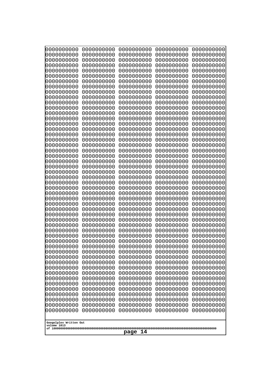| 000000000<br>0000000000  | 0000000000<br>0000000000 | 0000000000<br>0000000000 | 0000000000<br>0000000000 | 0000000000<br>0000000000 |
|--------------------------|--------------------------|--------------------------|--------------------------|--------------------------|
| 0000000000               | 0000000000               | 0000000000               | 0000000000               | 0000000000               |
| 0000000000<br>0000000000 | 0000000000<br>0000000000 | 0000000000<br>0000000000 | 0000000000<br>0000000000 | 0000000000<br>0000000000 |
| 0000000000               | 0000000000               | 0000000000               | 0000000000               | 0000000000               |
| 0000000000               | 0000000000               | 0000000000               | 0000000000               | 0000000000               |
| 0000000000<br>0000000000 | 0000000000<br>0000000000 | 0000000000<br>0000000000 | 0000000000<br>0000000000 | 0000000000<br>0000000000 |
| 0000000000               | 0000000000               | 0000000000               | 0000000000               | 0000000000               |
| 0000000000               | 0000000000               | 0000000000               | 0000000000               | 0000000000               |
| 0000000000<br>0000000000 | 0000000000<br>0000000000 | 0000000000<br>0000000000 | 0000000000<br>0000000000 | 0000000000<br>0000000000 |
| 0000000000               | 0000000000               | 0000000000               | 0000000000               | 0000000000               |
| 0000000000               | 0000000000               | 0000000000               | 0000000000               | 0000000000               |
| 0000000000<br>0000000000 | 0000000000<br>0000000000 | 0000000000<br>0000000000 | 0000000000<br>0000000000 | 0000000000<br>0000000000 |
| 0000000000               | 0000000000               | 0000000000               | 0000000000               | 0000000000               |
| 0000000000               | 0000000000               | 0000000000               | 0000000000               | 0000000000               |
| 0000000000<br>0000000000 | 0000000000<br>0000000000 | 0000000000<br>0000000000 | 0000000000<br>0000000000 | 0000000000<br>0000000000 |
| 0000000000               | 0000000000               | 0000000000               | 0000000000               | 0000000000               |
| 0000000000               | 0000000000               | 0000000000               | 0000000000               | 0000000000               |
| 0000000000<br>0000000000 | 0000000000<br>0000000000 | 0000000000<br>0000000000 | 0000000000<br>0000000000 | 0000000000<br>0000000000 |
| 0000000000               | 0000000000               | 0000000000               | 0000000000               | 0000000000               |
| 0000000000               | 0000000000               | 0000000000               | 0000000000               | 0000000000               |
| 0000000000<br>0000000000 | 0000000000<br>0000000000 | 0000000000<br>0000000000 | 0000000000<br>0000000000 | 0000000000<br>0000000000 |
| 0000000000               | 0000000000               | 0000000000               | 0000000000               | 0000000000               |
| 0000000000<br>0000000000 | 0000000000<br>0000000000 | 0000000000<br>0000000000 | 0000000000<br>0000000000 | 0000000000<br>0000000000 |
| 0000000000               | 0000000000               | 0000000000               | 0000000000               | 0000000000               |
| 0000000000               | 0000000000               | 0000000000               | 0000000000               | 0000000000               |
| 0000000000<br>0000000000 | 0000000000<br>0000000000 | 0000000000<br>0000000000 | 0000000000<br>0000000000 | 0000000000<br>0000000000 |
| 0000000000               | 0000000000               | 0000000000               | 0000000000               | 0000000000               |
| 0000000000               | 0000000000               | 0000000000               | 0000000000               | 0000000000               |
| 0000000000<br>0000000000 | 0000000000<br>0000000000 | 0000000000<br>0000000000 | 0000000000<br>0000000000 | 0000000000<br>0000000000 |
| 0000000000               | 0000000000               | 0000000000               | 0000000000               | 0000000000               |
| 0000000000               | 0000000000               | 0000000000               | 0000000000               | 0000000000               |
| 0000000000<br>0000000000 | 0000000000<br>0000000000 | 0000000000<br>0000000000 | 0000000000<br>0000000000 | 0000000000<br>0000000000 |
| 0000000000               | 0000000000               | 0000000000               | 0000000000               | 0000000000               |
| 0000000000               | 0000000000               | 0000000000               | 0000000000               | 0000000000               |
| 0000000000<br>0000000000 | 0000000000<br>0000000000 | 0000000000<br>0000000000 | 0000000000<br>0000000000 | 0000000000<br>0000000000 |
| 0000000000               | 0000000000               | 0000000000               | 0000000000               | 0000000000               |
| 0000000000               | 0000000000               | 0000000000               | 0000000000               | 0000000000               |
| Googolplex Written Out   |                          |                          |                          |                          |
| volume 1013              |                          |                          |                          |                          |
| page<br>14               |                          |                          |                          |                          |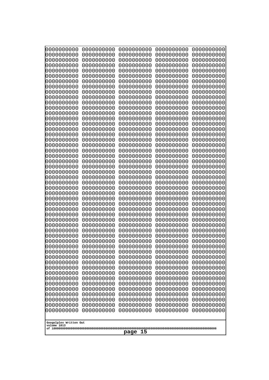| 0000000000                                       | 0000000000 | 0000000000 | 0000000000 | 0000000000 |
|--------------------------------------------------|------------|------------|------------|------------|
| 0000000000                                       | 0000000000 | 0000000000 | 0000000000 | 0000000000 |
| 0000000000                                       | 0000000000 | 0000000000 | 0000000000 | 0000000000 |
| 0000000000                                       | 0000000000 | 0000000000 | 0000000000 | 0000000000 |
| 0000000000                                       | 0000000000 | 0000000000 | 0000000000 | 0000000000 |
| 0000000000                                       | 0000000000 | 0000000000 | 0000000000 | 0000000000 |
| 0000000000                                       | 0000000000 | 0000000000 | 0000000000 | 0000000000 |
| 0000000000                                       | 0000000000 | 0000000000 | 0000000000 | 0000000000 |
| 0000000000                                       | 0000000000 | 0000000000 | 0000000000 | 0000000000 |
| 0000000000                                       | 0000000000 | 0000000000 | 0000000000 | 0000000000 |
| 0000000000                                       | 0000000000 | 0000000000 | 0000000000 | 0000000000 |
| 0000000000                                       | 0000000000 | 0000000000 | 0000000000 | 0000000000 |
| 0000000000                                       | 0000000000 | 0000000000 | 0000000000 | 0000000000 |
| 0000000000                                       | 0000000000 | 0000000000 | 0000000000 | 0000000000 |
| 0000000000                                       | 0000000000 | 0000000000 | 0000000000 | 0000000000 |
| 0000000000                                       | 0000000000 | 0000000000 | 0000000000 | 0000000000 |
| 0000000000                                       | 0000000000 | 0000000000 | 0000000000 | 0000000000 |
| 0000000000                                       | 0000000000 | 0000000000 | 0000000000 | 0000000000 |
| 0000000000                                       | 0000000000 | 0000000000 | 0000000000 | 0000000000 |
| 0000000000                                       | 0000000000 | 0000000000 | 0000000000 | 0000000000 |
| 0000000000                                       | 0000000000 | 0000000000 | 0000000000 | 0000000000 |
| 0000000000                                       | 0000000000 | 0000000000 | 0000000000 | 0000000000 |
| 0000000000                                       | 0000000000 | 0000000000 | 0000000000 | 0000000000 |
| 0000000000                                       | 0000000000 | 0000000000 | 0000000000 | 0000000000 |
| 0000000000                                       | 0000000000 | 0000000000 | 0000000000 | 0000000000 |
| 0000000000                                       | 0000000000 | 0000000000 | 0000000000 | 0000000000 |
| 0000000000                                       | 0000000000 | 0000000000 | 0000000000 | 0000000000 |
| 0000000000                                       | 0000000000 | 0000000000 | 0000000000 | 0000000000 |
| 0000000000                                       | 0000000000 | 0000000000 | 0000000000 | 0000000000 |
| 0000000000                                       | 0000000000 | 0000000000 | 0000000000 | 0000000000 |
| 0000000000                                       | 0000000000 | 0000000000 | 0000000000 | 0000000000 |
| 0000000000                                       | 0000000000 | 0000000000 | 0000000000 | 0000000000 |
| 0000000000                                       | 0000000000 | 0000000000 | 0000000000 | 0000000000 |
| 0000000000                                       | 0000000000 | 0000000000 | 0000000000 | 0000000000 |
| 0000000000                                       | 0000000000 | 0000000000 | 0000000000 | 0000000000 |
| 0000000000                                       | 0000000000 | 0000000000 | 0000000000 | 0000000000 |
| 0000000000                                       | 0000000000 | 0000000000 | 0000000000 | 0000000000 |
| 0000000000                                       | 0000000000 | 0000000000 | 0000000000 | 0000000000 |
| 0000000000                                       | 0000000000 | 0000000000 | 0000000000 | 0000000000 |
| 0000000000                                       | 0000000000 | 0000000000 | 0000000000 | 0000000000 |
| 0000000000                                       | 0000000000 | 0000000000 | 0000000000 | 0000000000 |
| 0000000000                                       | 0000000000 | 0000000000 | 0000000000 | 0000000000 |
| 0000000000                                       | 0000000000 | 0000000000 | 0000000000 | 0000000000 |
| 0000000000                                       | 0000000000 | 0000000000 | 0000000000 | 0000000000 |
| 0000000000                                       | 0000000000 | 0000000000 | 0000000000 | 0000000000 |
| 0000000000                                       | 0000000000 | 0000000000 | 0000000000 | 0000000000 |
| 0000000000                                       | 0000000000 | 0000000000 | 0000000000 | 0000000000 |
| 0000000000                                       | 0000000000 | 0000000000 | 0000000000 | 0000000000 |
| 0000000000                                       | 0000000000 | 0000000000 | 0000000000 | 0000000000 |
| 0000000000                                       | 0000000000 | 0000000000 | 0000000000 | 0000000000 |
| Googolplex Written Out<br>volume 1013<br>page 15 |            |            |            |            |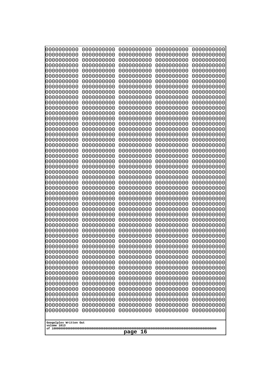| 000000000<br>0000000000  | 0000000000<br>0000000000 | 0000000000<br>0000000000 | 0000000000<br>0000000000 | 0000000000<br>0000000000 |
|--------------------------|--------------------------|--------------------------|--------------------------|--------------------------|
| 0000000000               | 0000000000               | 0000000000               | 0000000000               | 0000000000               |
| 0000000000<br>0000000000 | 0000000000<br>0000000000 | 0000000000<br>0000000000 | 0000000000<br>0000000000 | 0000000000<br>0000000000 |
| 0000000000               | 0000000000               | 0000000000               | 0000000000               | 0000000000               |
| 0000000000               | 0000000000               | 0000000000               | 0000000000               | 0000000000               |
| 0000000000<br>0000000000 | 0000000000<br>0000000000 | 0000000000<br>0000000000 | 0000000000<br>0000000000 | 0000000000<br>0000000000 |
| 0000000000               | 0000000000               | 0000000000               | 0000000000               | 0000000000               |
| 0000000000               | 0000000000               | 0000000000               | 0000000000               | 0000000000               |
| 0000000000<br>0000000000 | 0000000000<br>0000000000 | 0000000000<br>0000000000 | 0000000000<br>0000000000 | 0000000000<br>0000000000 |
| 0000000000               | 0000000000               | 0000000000               | 0000000000               | 0000000000               |
| 0000000000               | 0000000000               | 0000000000               | 0000000000               | 0000000000               |
| 0000000000<br>0000000000 | 0000000000<br>0000000000 | 0000000000<br>0000000000 | 0000000000<br>0000000000 | 0000000000<br>0000000000 |
| 0000000000               | 0000000000               | 0000000000               | 0000000000               | 0000000000               |
| 0000000000               | 0000000000               | 0000000000               | 0000000000               | 0000000000               |
| 0000000000<br>0000000000 | 0000000000<br>0000000000 | 0000000000<br>0000000000 | 0000000000<br>0000000000 | 0000000000<br>0000000000 |
| 0000000000               | 0000000000               | 0000000000               | 0000000000               | 0000000000               |
| 0000000000               | 0000000000               | 0000000000               | 0000000000               | 0000000000               |
| 0000000000<br>0000000000 | 0000000000<br>0000000000 | 0000000000<br>0000000000 | 0000000000<br>0000000000 | 0000000000<br>0000000000 |
| 0000000000               | 0000000000               | 0000000000               | 0000000000               | 0000000000               |
| 0000000000               | 0000000000               | 0000000000               | 0000000000               | 0000000000               |
| 0000000000<br>0000000000 | 0000000000<br>0000000000 | 0000000000<br>0000000000 | 0000000000<br>0000000000 | 0000000000<br>0000000000 |
| 0000000000               | 0000000000               | 0000000000               | 0000000000               | 0000000000               |
| 0000000000<br>0000000000 | 0000000000<br>0000000000 | 0000000000<br>0000000000 | 0000000000<br>0000000000 | 0000000000<br>0000000000 |
| 0000000000               | 0000000000               | 0000000000               | 0000000000               | 0000000000               |
| 0000000000               | 0000000000               | 0000000000               | 0000000000               | 0000000000               |
| 0000000000<br>0000000000 | 0000000000<br>0000000000 | 0000000000<br>0000000000 | 0000000000<br>0000000000 | 0000000000<br>0000000000 |
| 0000000000               | 0000000000               | 0000000000               | 0000000000               | 0000000000               |
| 0000000000               | 0000000000               | 0000000000               | 0000000000               | 0000000000               |
| 0000000000<br>0000000000 | 0000000000<br>0000000000 | 0000000000<br>0000000000 | 0000000000<br>0000000000 | 0000000000<br>0000000000 |
| 0000000000               | 0000000000               | 0000000000               | 0000000000               | 0000000000               |
| 0000000000               | 0000000000               | 0000000000               | 0000000000               | 0000000000               |
| 0000000000<br>0000000000 | 0000000000<br>0000000000 | 0000000000<br>0000000000 | 0000000000<br>0000000000 | 0000000000<br>0000000000 |
| 0000000000               | 0000000000               | 0000000000               | 0000000000               | 0000000000               |
| 0000000000               | 0000000000               | 0000000000               | 0000000000               | 0000000000               |
| 0000000000<br>0000000000 | 0000000000<br>0000000000 | 0000000000<br>0000000000 | 0000000000<br>0000000000 | 0000000000<br>0000000000 |
| 0000000000               | 0000000000               | 0000000000               | 0000000000               | 0000000000               |
| 0000000000               | 0000000000               | 0000000000               | 0000000000               | 0000000000               |
| Googolplex Written Out   |                          |                          |                          |                          |
| volume 1013              |                          |                          |                          |                          |
| 16<br>page               |                          |                          |                          |                          |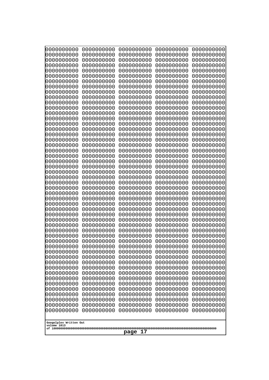| 000000000<br>0000000000               | 0000000000<br>0000000000 | 0000000000<br>0000000000 | 0000000000<br>0000000000 | 0000000000<br>0000000000 |
|---------------------------------------|--------------------------|--------------------------|--------------------------|--------------------------|
| 0000000000                            | 0000000000               | 0000000000               | 0000000000               | 0000000000               |
| 0000000000<br>0000000000              | 0000000000<br>0000000000 | 0000000000<br>0000000000 | 0000000000<br>0000000000 | 0000000000<br>0000000000 |
| 0000000000                            | 0000000000               | 0000000000               | 0000000000               | 0000000000               |
| 0000000000<br>0000000000              | 0000000000<br>0000000000 | 0000000000<br>0000000000 | 0000000000<br>0000000000 | 0000000000<br>0000000000 |
| 0000000000                            | 0000000000               | 0000000000               | 0000000000               | 0000000000               |
| 0000000000                            | 0000000000               | 0000000000               | 0000000000               | 0000000000               |
| 0000000000<br>0000000000              | 0000000000<br>0000000000 | 0000000000<br>0000000000 | 0000000000<br>0000000000 | 0000000000<br>0000000000 |
| 0000000000                            | 0000000000               | 0000000000               | 0000000000               | 0000000000               |
| 0000000000<br>0000000000              | 0000000000<br>0000000000 | 0000000000<br>0000000000 | 0000000000<br>0000000000 | 0000000000<br>0000000000 |
| 0000000000                            | 0000000000               | 0000000000               | 0000000000               | 0000000000               |
| 0000000000<br>0000000000              | 0000000000<br>0000000000 | 0000000000<br>0000000000 | 0000000000<br>0000000000 | 0000000000<br>0000000000 |
| 0000000000                            | 0000000000               | 0000000000               | 0000000000               | 0000000000               |
| 0000000000                            | 0000000000               | 0000000000               | 0000000000               | 0000000000               |
| 0000000000<br>0000000000              | 0000000000<br>0000000000 | 0000000000<br>0000000000 | 0000000000<br>0000000000 | 0000000000<br>0000000000 |
| 0000000000                            | 0000000000               | 0000000000               | 0000000000               | 0000000000               |
| 0000000000<br>0000000000              | 0000000000<br>0000000000 | 0000000000<br>0000000000 | 0000000000<br>0000000000 | 0000000000<br>0000000000 |
| 0000000000                            | 0000000000               | 0000000000               | 0000000000               | 0000000000               |
| 0000000000                            | 0000000000               | 0000000000               | 0000000000               | 0000000000               |
| 0000000000<br>0000000000              | 0000000000<br>0000000000 | 0000000000<br>0000000000 | 0000000000<br>0000000000 | 0000000000<br>0000000000 |
| 0000000000                            | 0000000000               | 0000000000               | 0000000000               | 0000000000               |
| 0000000000<br>0000000000              | 0000000000<br>0000000000 | 0000000000<br>0000000000 | 0000000000<br>0000000000 | 0000000000<br>0000000000 |
| 0000000000                            | 0000000000               | 0000000000               | 0000000000               | 0000000000               |
| 0000000000<br>0000000000              | 0000000000<br>0000000000 | 0000000000<br>0000000000 | 0000000000<br>0000000000 | 0000000000<br>0000000000 |
| 0000000000                            | 0000000000               | 0000000000               | 0000000000               | 0000000000               |
| 0000000000<br>0000000000              | 0000000000               | 0000000000               | 0000000000               | 0000000000               |
| 0000000000                            | 0000000000<br>0000000000 | 0000000000<br>0000000000 | 0000000000<br>0000000000 | 0000000000<br>0000000000 |
| 0000000000                            | 0000000000               | 0000000000               | 0000000000               | 0000000000               |
| 0000000000<br>0000000000              | 0000000000<br>0000000000 | 0000000000<br>0000000000 | 0000000000<br>0000000000 | 0000000000<br>0000000000 |
| 0000000000                            | 0000000000               | 0000000000               | 0000000000               | 0000000000               |
| 0000000000<br>0000000000              | 0000000000<br>0000000000 | 0000000000<br>0000000000 | 0000000000<br>0000000000 | 0000000000<br>0000000000 |
| 0000000000                            | 0000000000               | 0000000000               | 0000000000               | 0000000000               |
| 0000000000                            | 0000000000               | 0000000000               | 0000000000               | 0000000000               |
| 0000000000<br>0000000000              | 0000000000<br>0000000000 | 0000000000<br>0000000000 | 0000000000<br>0000000000 | 0000000000<br>0000000000 |
| 0000000000                            | 0000000000               | 0000000000               | 0000000000               | 0000000000               |
|                                       |                          |                          |                          |                          |
| Googolplex Written Out<br>volume 1013 |                          |                          |                          |                          |
| 17<br>page                            |                          |                          |                          |                          |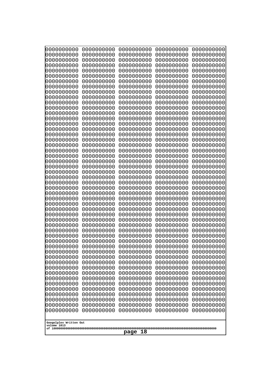| 0000000000                                       | 0000000000 | 0000000000 | 0000000000 | 0000000000 |
|--------------------------------------------------|------------|------------|------------|------------|
| 0000000000                                       | 0000000000 | 0000000000 | 0000000000 | 0000000000 |
| 0000000000                                       | 0000000000 | 0000000000 | 0000000000 | 0000000000 |
| 0000000000                                       | 0000000000 | 0000000000 | 0000000000 | 0000000000 |
| 0000000000                                       | 0000000000 | 0000000000 | 0000000000 | 0000000000 |
| 0000000000                                       | 0000000000 | 0000000000 | 0000000000 | 0000000000 |
| 0000000000                                       | 0000000000 | 0000000000 | 0000000000 | 0000000000 |
| 0000000000                                       | 0000000000 | 0000000000 | 0000000000 | 0000000000 |
| 0000000000                                       | 0000000000 | 0000000000 | 0000000000 | 0000000000 |
| 0000000000                                       | 0000000000 | 0000000000 | 0000000000 | 0000000000 |
| 0000000000                                       | 0000000000 | 0000000000 | 0000000000 | 0000000000 |
| 0000000000                                       | 0000000000 | 0000000000 | 0000000000 | 0000000000 |
| 0000000000                                       | 0000000000 | 0000000000 | 0000000000 | 0000000000 |
| 0000000000                                       | 0000000000 | 0000000000 | 0000000000 | 0000000000 |
| 0000000000                                       | 0000000000 | 0000000000 | 0000000000 | 0000000000 |
| 0000000000                                       | 0000000000 | 0000000000 | 0000000000 | 0000000000 |
| 0000000000                                       | 0000000000 | 0000000000 | 0000000000 | 0000000000 |
| 0000000000                                       | 0000000000 | 0000000000 | 0000000000 | 0000000000 |
| 0000000000                                       | 0000000000 | 0000000000 | 0000000000 | 0000000000 |
| 0000000000                                       | 0000000000 | 0000000000 | 0000000000 | 0000000000 |
| 0000000000                                       | 0000000000 | 0000000000 | 0000000000 | 0000000000 |
| 0000000000                                       | 0000000000 | 0000000000 | 0000000000 | 0000000000 |
| 0000000000                                       | 0000000000 | 0000000000 | 0000000000 | 0000000000 |
| 0000000000                                       | 0000000000 | 0000000000 | 0000000000 | 0000000000 |
| 0000000000                                       | 0000000000 | 0000000000 | 0000000000 | 0000000000 |
| 0000000000                                       | 0000000000 | 0000000000 | 0000000000 | 0000000000 |
| 0000000000                                       | 0000000000 | 0000000000 | 0000000000 | 0000000000 |
| 0000000000                                       | 0000000000 | 0000000000 | 0000000000 | 0000000000 |
| 0000000000                                       | 0000000000 | 0000000000 | 0000000000 | 0000000000 |
| 0000000000                                       | 0000000000 | 0000000000 | 0000000000 | 0000000000 |
| 0000000000                                       | 0000000000 | 0000000000 | 0000000000 | 0000000000 |
| 0000000000                                       | 0000000000 | 0000000000 | 0000000000 | 0000000000 |
| 0000000000                                       | 0000000000 | 0000000000 | 0000000000 | 0000000000 |
| 0000000000                                       | 0000000000 | 0000000000 | 0000000000 | 0000000000 |
| 0000000000                                       | 0000000000 | 0000000000 | 0000000000 | 0000000000 |
| 0000000000                                       | 0000000000 | 0000000000 | 0000000000 | 0000000000 |
| 0000000000                                       | 0000000000 | 0000000000 | 0000000000 | 0000000000 |
| 0000000000                                       | 0000000000 | 0000000000 | 0000000000 | 0000000000 |
| 0000000000                                       | 0000000000 | 0000000000 | 0000000000 | 0000000000 |
| 0000000000                                       | 0000000000 | 0000000000 | 0000000000 | 0000000000 |
| 0000000000                                       | 0000000000 | 0000000000 | 0000000000 | 0000000000 |
| 0000000000                                       | 0000000000 | 0000000000 | 0000000000 | 0000000000 |
| 0000000000                                       | 0000000000 | 0000000000 | 0000000000 | 0000000000 |
| 0000000000                                       | 0000000000 | 0000000000 | 0000000000 | 0000000000 |
| 0000000000                                       | 0000000000 | 0000000000 | 0000000000 | 0000000000 |
| 0000000000                                       | 0000000000 | 0000000000 | 0000000000 | 0000000000 |
| 0000000000                                       | 0000000000 | 0000000000 | 0000000000 | 0000000000 |
| 0000000000                                       | 0000000000 | 0000000000 | 0000000000 | 0000000000 |
| 0000000000                                       | 0000000000 | 0000000000 | 0000000000 | 0000000000 |
| 0000000000                                       | 0000000000 | 0000000000 | 0000000000 | 0000000000 |
| Googolplex Written Out<br>volume 1013<br>page 18 |            |            |            |            |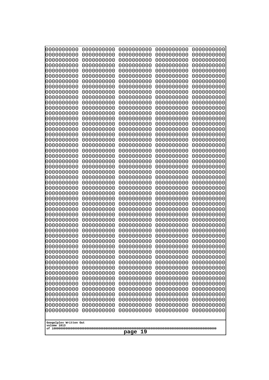| 0000000000                           | 0000000000 | 0000000000 | 0000000000 | 0000000000 |
|--------------------------------------|------------|------------|------------|------------|
| 0000000000                           | 0000000000 | 0000000000 | 0000000000 | 0000000000 |
| 0000000000                           | 0000000000 | 0000000000 | 0000000000 | 0000000000 |
| 0000000000                           | 0000000000 | 0000000000 | 0000000000 | 0000000000 |
| 0000000000                           | 0000000000 | 0000000000 | 0000000000 | 0000000000 |
| 0000000000                           | 0000000000 | 0000000000 | 0000000000 | 0000000000 |
| 0000000000                           | 0000000000 | 0000000000 | 0000000000 | 0000000000 |
| 0000000000                           | 0000000000 | 0000000000 | 0000000000 | 0000000000 |
| 0000000000                           | 0000000000 | 0000000000 | 0000000000 | 0000000000 |
| 0000000000                           | 0000000000 | 0000000000 | 0000000000 | 0000000000 |
| 0000000000                           | 0000000000 | 0000000000 | 0000000000 | 0000000000 |
| 0000000000                           | 0000000000 | 0000000000 | 0000000000 | 0000000000 |
| 0000000000                           | 0000000000 | 0000000000 | 0000000000 | 0000000000 |
| 0000000000                           | 0000000000 | 0000000000 | 0000000000 | 0000000000 |
| 0000000000                           | 0000000000 | 0000000000 | 0000000000 | 0000000000 |
| 0000000000                           | 0000000000 | 0000000000 | 0000000000 | 0000000000 |
| 0000000000                           | 0000000000 | 0000000000 | 0000000000 | 0000000000 |
| 0000000000                           | 0000000000 | 0000000000 | 0000000000 | 0000000000 |
| 0000000000                           | 0000000000 | 0000000000 | 0000000000 | 0000000000 |
| 0000000000                           | 0000000000 | 0000000000 | 0000000000 | 0000000000 |
| 0000000000                           | 0000000000 | 0000000000 | 0000000000 | 0000000000 |
| 0000000000                           | 0000000000 | 0000000000 | 0000000000 | 0000000000 |
| 0000000000                           | 0000000000 | 0000000000 | 0000000000 | 0000000000 |
| 0000000000                           | 0000000000 | 0000000000 | 0000000000 | 0000000000 |
| 0000000000                           | 0000000000 | 0000000000 | 0000000000 | 0000000000 |
| 0000000000                           | 0000000000 | 0000000000 | 0000000000 | 0000000000 |
| 0000000000                           | 0000000000 | 0000000000 | 0000000000 | 0000000000 |
| 0000000000                           | 0000000000 | 0000000000 | 0000000000 | 0000000000 |
| 0000000000                           | 0000000000 | 0000000000 | 0000000000 | 0000000000 |
| 0000000000                           | 0000000000 | 0000000000 | 0000000000 | 0000000000 |
| 0000000000                           | 0000000000 | 0000000000 | 0000000000 | 0000000000 |
| 0000000000                           | 0000000000 | 0000000000 | 0000000000 | 0000000000 |
| 0000000000                           | 0000000000 | 0000000000 | 0000000000 | 0000000000 |
| 0000000000                           | 0000000000 | 0000000000 | 0000000000 | 0000000000 |
| 0000000000                           | 0000000000 | 0000000000 | 0000000000 | 0000000000 |
| 0000000000                           | 0000000000 | 0000000000 | 0000000000 | 0000000000 |
| 0000000000                           | 0000000000 | 0000000000 | 0000000000 | 0000000000 |
| 0000000000                           | 0000000000 | 0000000000 | 0000000000 | 0000000000 |
| 0000000000                           | 0000000000 | 0000000000 | 0000000000 | 0000000000 |
| 0000000000                           | 0000000000 | 0000000000 | 0000000000 | 0000000000 |
| 0000000000                           | 0000000000 | 0000000000 | 0000000000 | 0000000000 |
| 0000000000                           | 0000000000 | 0000000000 | 0000000000 | 0000000000 |
| 0000000000                           | 0000000000 | 0000000000 | 0000000000 | 0000000000 |
| 0000000000                           | 0000000000 | 0000000000 | 0000000000 | 0000000000 |
| 0000000000                           | 0000000000 | 0000000000 | 0000000000 | 0000000000 |
| 0000000000                           | 0000000000 | 0000000000 | 0000000000 | 0000000000 |
| 0000000000                           | 0000000000 | 0000000000 | 0000000000 | 0000000000 |
| 0000000000                           | 0000000000 | 0000000000 | 0000000000 | 0000000000 |
| 0000000000                           | 0000000000 | 0000000000 | 0000000000 | 0000000000 |
| 0000000000<br>Googolplex Written Out | 0000000000 | 0000000000 | 0000000000 | 0000000000 |
| volume 1013<br>page 19               |            |            |            |            |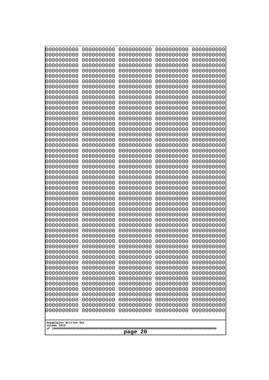| 000000000<br>0000000000               | 0000000000<br>0000000000 | 0000000000<br>0000000000 | 0000000000<br>0000000000 | 0000000000<br>0000000000 |
|---------------------------------------|--------------------------|--------------------------|--------------------------|--------------------------|
| 0000000000                            | 0000000000               | 0000000000               | 0000000000               | 0000000000               |
| 0000000000                            | 0000000000               | 0000000000               | 0000000000               | 0000000000               |
| 0000000000<br>0000000000              | 0000000000<br>0000000000 | 0000000000<br>0000000000 | 0000000000<br>0000000000 | 0000000000<br>0000000000 |
| 0000000000                            | 0000000000               | 0000000000               | 0000000000               | 0000000000               |
| 0000000000                            | 0000000000               | 0000000000               | 0000000000               | 0000000000               |
| 0000000000<br>0000000000              | 0000000000<br>0000000000 | 0000000000<br>0000000000 | 0000000000<br>0000000000 | 0000000000<br>0000000000 |
| 0000000000                            | 0000000000               | 0000000000               | 0000000000               | 0000000000               |
| 0000000000                            | 0000000000               | 0000000000               | 0000000000               | 0000000000               |
| 0000000000                            | 0000000000               | 0000000000               | 0000000000               | 0000000000               |
| 0000000000<br>0000000000              | 0000000000<br>0000000000 | 0000000000<br>0000000000 | 0000000000<br>0000000000 | 0000000000<br>0000000000 |
| 0000000000                            | 0000000000               | 0000000000               | 0000000000               | 0000000000               |
| 0000000000                            | 0000000000               | 0000000000               | 0000000000               | 0000000000               |
| 0000000000<br>0000000000              | 0000000000<br>0000000000 | 0000000000<br>0000000000 | 0000000000<br>0000000000 | 0000000000<br>0000000000 |
| 0000000000                            | 0000000000               | 0000000000               | 0000000000               | 0000000000               |
| 0000000000                            | 0000000000               | 0000000000               | 0000000000               | 0000000000               |
| 0000000000<br>0000000000              | 0000000000<br>0000000000 | 0000000000<br>0000000000 | 0000000000<br>0000000000 | 0000000000<br>0000000000 |
| 0000000000                            | 0000000000               | 0000000000               | 0000000000               | 0000000000               |
| 0000000000                            | 0000000000               | 0000000000               | 0000000000               | 0000000000               |
| 0000000000<br>0000000000              | 0000000000<br>0000000000 | 0000000000<br>0000000000 | 0000000000<br>0000000000 | 0000000000<br>0000000000 |
| 0000000000                            | 0000000000               | 0000000000               | 0000000000               | 0000000000               |
| 0000000000                            | 0000000000               | 0000000000               | 0000000000               | 0000000000               |
| 0000000000                            | 0000000000               | 0000000000               | 0000000000               | 0000000000               |
| 0000000000<br>0000000000              | 0000000000<br>0000000000 | 0000000000<br>0000000000 | 0000000000<br>0000000000 | 0000000000<br>0000000000 |
| 0000000000                            | 0000000000               | 0000000000               | 0000000000               | 0000000000               |
| 0000000000                            | 0000000000               | 0000000000               | 0000000000               | 0000000000               |
| 0000000000<br>0000000000              | 0000000000<br>0000000000 | 0000000000<br>0000000000 | 0000000000<br>0000000000 | 0000000000<br>0000000000 |
| 0000000000                            | 0000000000               | 0000000000               | 0000000000               | 0000000000               |
| 0000000000                            | 0000000000               | 0000000000               | 0000000000               | 0000000000               |
| 0000000000<br>0000000000              | 0000000000<br>0000000000 | 0000000000<br>0000000000 | 0000000000<br>0000000000 | 0000000000<br>0000000000 |
| 0000000000                            | 0000000000               | 0000000000               | 0000000000               | 0000000000               |
| 0000000000                            | 0000000000               | 0000000000               | 0000000000               | 0000000000               |
| 0000000000<br>0000000000              | 0000000000<br>0000000000 | 0000000000<br>0000000000 | 0000000000<br>0000000000 | 0000000000<br>0000000000 |
| 0000000000                            | 0000000000               | 0000000000               | 0000000000               | 0000000000               |
| 0000000000                            | 0000000000               | 0000000000               | 0000000000               | 0000000000               |
| 0000000000<br>0000000000              | 0000000000               | 0000000000               | 0000000000               | 0000000000<br>0000000000 |
| 0000000000                            | 0000000000<br>0000000000 | 0000000000<br>0000000000 | 0000000000<br>0000000000 | 0000000000               |
| 0000000000                            | 0000000000               | 0000000000               | 0000000000               | 0000000000               |
|                                       |                          |                          |                          |                          |
| Googolplex Written Out<br>volume 1013 |                          |                          |                          |                          |
| 20<br>page                            |                          |                          |                          |                          |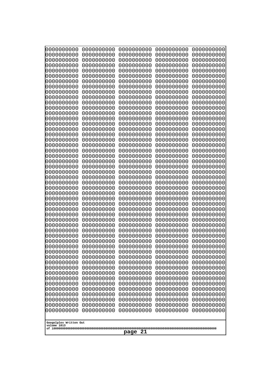| 0000000000                                          | 0000000000 | 0000000000 | 0000000000 | 0000000000 |
|-----------------------------------------------------|------------|------------|------------|------------|
| 1000000000                                          | 0000000000 | 0000000000 | 0000000000 | 0000000000 |
| 1000000000                                          | 0000000000 | 0000000000 | 0000000000 | 0000000000 |
| 0000000000                                          | 0000000000 | 0000000000 | 0000000000 | 0000000000 |
| 0000000000                                          | 0000000000 | 0000000000 | 0000000000 | 0000000000 |
| 0000000000                                          | 0000000000 | 0000000000 | 0000000000 | 0000000000 |
| 0000000000                                          | 0000000000 | 0000000000 | 0000000000 | 0000000000 |
| 0000000000                                          | 0000000000 | 0000000000 | 0000000000 | 0000000000 |
| 0000000000                                          | 0000000000 | 0000000000 | 0000000000 | 0000000000 |
| 0000000000                                          | 0000000000 | 0000000000 | 0000000000 | 0000000000 |
| 0000000000                                          | 0000000000 | 0000000000 | 0000000000 | 0000000000 |
| 0000000000                                          | 0000000000 | 0000000000 | 0000000000 | 0000000000 |
| 0000000000                                          | 0000000000 | 0000000000 | 0000000000 | 0000000000 |
| 0000000000                                          | 0000000000 | 0000000000 | 0000000000 | 0000000000 |
| 0000000000                                          | 0000000000 | 0000000000 | 0000000000 | 0000000000 |
| 0000000000                                          | 0000000000 | 0000000000 | 0000000000 | 0000000000 |
| 0000000000                                          | 0000000000 | 0000000000 | 0000000000 | 0000000000 |
| looooooooo                                          | 0000000000 | 0000000000 | 0000000000 | 0000000000 |
| 0000000000                                          | 0000000000 | 0000000000 | 0000000000 | 0000000000 |
| 0000000000                                          | 0000000000 | 0000000000 | 0000000000 | 0000000000 |
| 0000000000                                          | 0000000000 | 0000000000 | 0000000000 | 0000000000 |
| 0000000000                                          | 0000000000 | 0000000000 | 0000000000 | 0000000000 |
| 0000000000                                          | 0000000000 | 0000000000 | 0000000000 | 0000000000 |
| 0000000000                                          | 0000000000 | 0000000000 | 0000000000 | 0000000000 |
| 0000000000                                          | 0000000000 | 0000000000 | 0000000000 | 0000000000 |
| 0000000000                                          | 0000000000 | 0000000000 | 0000000000 | 0000000000 |
| 0000000000                                          | 0000000000 | 0000000000 | 0000000000 | 0000000000 |
| 0000000000                                          | 0000000000 | 0000000000 | 0000000000 | 0000000000 |
| 0000000000                                          | 0000000000 | 0000000000 | 0000000000 | 0000000000 |
| 0000000000                                          | 0000000000 | 0000000000 | 0000000000 | 0000000000 |
| 0000000000                                          | 0000000000 | 0000000000 | 0000000000 | 0000000000 |
| 0000000000                                          | 0000000000 | 0000000000 | 0000000000 | 0000000000 |
| 0000000000                                          | 0000000000 | 0000000000 | 0000000000 | 0000000000 |
| 0000000000                                          | 0000000000 | 0000000000 | 0000000000 | 0000000000 |
| 0000000000                                          | 0000000000 | 0000000000 | 0000000000 | 0000000000 |
| 0000000000                                          | 0000000000 | 0000000000 | 0000000000 | 0000000000 |
| 0000000000                                          | 0000000000 | 0000000000 | 0000000000 | 0000000000 |
| 0000000000                                          | 0000000000 | 0000000000 | 0000000000 | 0000000000 |
| 0000000000                                          | 0000000000 | 0000000000 | 0000000000 | 0000000000 |
| 0000000000                                          | 0000000000 | 0000000000 | 0000000000 | 0000000000 |
| 0000000000                                          | 0000000000 | 0000000000 | 0000000000 | 0000000000 |
| 0000000000                                          | 0000000000 | 0000000000 | 0000000000 | 0000000000 |
| 0000000000                                          | 0000000000 | 0000000000 | 0000000000 | 0000000000 |
| 0000000000                                          | 0000000000 | 0000000000 | 0000000000 | 0000000000 |
| 0000000000                                          | 0000000000 | 0000000000 | 0000000000 | 0000000000 |
| 0000000000                                          | 0000000000 | 0000000000 | 0000000000 | 0000000000 |
| 0000000000                                          | 0000000000 | 0000000000 | 0000000000 | 0000000000 |
| 0000000000                                          | 0000000000 | 0000000000 | 0000000000 | 0000000000 |
| 0000000000                                          | 0000000000 | 0000000000 | 0000000000 | 0000000000 |
| Googolplex Written Out<br>volume 1013<br>21<br>page |            |            |            |            |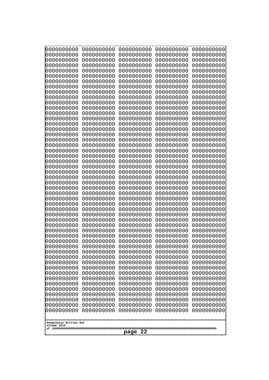| 000000000<br>0000000000  | 0000000000<br>0000000000 | 0000000000<br>0000000000 | 0000000000<br>0000000000 | 0000000000<br>0000000000 |
|--------------------------|--------------------------|--------------------------|--------------------------|--------------------------|
| 0000000000               | 0000000000               | 0000000000               | 0000000000               | 0000000000               |
| 0000000000<br>0000000000 | 0000000000<br>0000000000 | 0000000000<br>0000000000 | 0000000000<br>0000000000 | 0000000000<br>0000000000 |
| 0000000000               | 0000000000               | 0000000000               | 0000000000               | 0000000000               |
| 0000000000<br>0000000000 | 0000000000<br>0000000000 | 0000000000<br>0000000000 | 0000000000<br>0000000000 | 0000000000<br>0000000000 |
| 0000000000               | 0000000000               | 0000000000               | 0000000000               | 0000000000               |
| 0000000000<br>0000000000 | 0000000000<br>0000000000 | 0000000000<br>0000000000 | 0000000000<br>0000000000 | 0000000000<br>0000000000 |
| 0000000000               | 0000000000               | 0000000000               | 0000000000               | 0000000000               |
| 0000000000<br>0000000000 | 0000000000<br>0000000000 | 0000000000<br>0000000000 | 0000000000<br>0000000000 | 0000000000<br>0000000000 |
| 0000000000               | 0000000000               | 0000000000               | 0000000000               | 0000000000               |
| 0000000000<br>0000000000 | 0000000000<br>0000000000 | 0000000000<br>0000000000 | 0000000000<br>0000000000 | 0000000000<br>0000000000 |
| 0000000000               | 0000000000               | 0000000000               | 0000000000               | 0000000000               |
| 0000000000<br>0000000000 | 0000000000<br>0000000000 | 0000000000<br>0000000000 | 0000000000<br>0000000000 | 0000000000<br>0000000000 |
| 0000000000               | 0000000000               | 0000000000               | 0000000000               | 0000000000               |
| 0000000000               | 0000000000               | 0000000000               | 0000000000               | 0000000000               |
| 0000000000<br>0000000000 | 0000000000<br>0000000000 | 0000000000<br>0000000000 | 0000000000<br>0000000000 | 0000000000<br>0000000000 |
| 0000000000               | 0000000000               | 0000000000               | 0000000000               | 0000000000               |
| 0000000000<br>0000000000 | 0000000000<br>0000000000 | 0000000000<br>0000000000 | 0000000000<br>0000000000 | 0000000000<br>0000000000 |
| 0000000000               | 0000000000               | 0000000000               | 0000000000               | 0000000000               |
| 0000000000<br>0000000000 | 0000000000<br>0000000000 | 0000000000<br>0000000000 | 0000000000<br>0000000000 | 0000000000<br>0000000000 |
| 0000000000               | 0000000000               | 0000000000               | 0000000000               | 0000000000               |
| 0000000000<br>0000000000 | 0000000000<br>0000000000 | 0000000000<br>0000000000 | 0000000000<br>0000000000 | 0000000000<br>0000000000 |
| 0000000000               | 0000000000               | 0000000000               | 0000000000               | 0000000000               |
| 0000000000<br>0000000000 | 0000000000<br>0000000000 | 0000000000<br>0000000000 | 0000000000<br>0000000000 | 0000000000<br>0000000000 |
| 0000000000               | 0000000000               | 0000000000               | 0000000000               | 0000000000               |
| 0000000000<br>0000000000 | 0000000000<br>0000000000 | 0000000000<br>0000000000 | 0000000000<br>0000000000 | 0000000000<br>0000000000 |
| 0000000000               | 0000000000               | 0000000000               | 0000000000               | 0000000000               |
| 0000000000<br>0000000000 | 0000000000<br>0000000000 | 0000000000<br>0000000000 | 0000000000<br>0000000000 | 0000000000<br>0000000000 |
| 0000000000               | 0000000000               | 0000000000               | 0000000000               | 0000000000               |
| 0000000000               | 0000000000               | 0000000000               | 0000000000               | 0000000000               |
| 0000000000<br>0000000000 | 0000000000<br>0000000000 | 0000000000<br>0000000000 | 0000000000<br>0000000000 | 0000000000<br>0000000000 |
| 0000000000               | 0000000000               | 0000000000               | 0000000000               | 0000000000               |
| 0000000000<br>0000000000 | 0000000000<br>0000000000 | 0000000000<br>0000000000 | 0000000000<br>0000000000 | 0000000000<br>0000000000 |
| 0000000000               | 0000000000               | 0000000000               | 0000000000               | 0000000000               |
| Googolplex Written Out   |                          |                          |                          |                          |
| volume 1013              |                          |                          |                          |                          |
| 22<br>page               |                          |                          |                          |                          |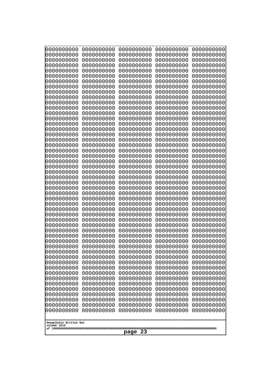| 000000000<br>0000000000               | 0000000000<br>0000000000 | 0000000000<br>0000000000 | 0000000000<br>0000000000 | 0000000000<br>0000000000 |
|---------------------------------------|--------------------------|--------------------------|--------------------------|--------------------------|
| 0000000000                            | 0000000000               | 0000000000               | 0000000000               | 0000000000               |
| 0000000000                            | 0000000000               | 0000000000               | 0000000000               | 0000000000               |
| 0000000000<br>0000000000              | 0000000000<br>0000000000 | 0000000000<br>0000000000 | 0000000000<br>0000000000 | 0000000000<br>0000000000 |
| 0000000000                            | 0000000000               | 0000000000               | 0000000000               | 0000000000               |
| 0000000000                            | 0000000000               | 0000000000               | 0000000000               | 0000000000               |
| 0000000000<br>0000000000              | 0000000000<br>0000000000 | 0000000000<br>0000000000 | 0000000000<br>0000000000 | 0000000000<br>0000000000 |
| 0000000000                            | 0000000000               | 0000000000               | 0000000000               | 0000000000               |
| 0000000000                            | 0000000000               | 0000000000               | 0000000000               | 0000000000               |
| 0000000000<br>0000000000              | 0000000000<br>0000000000 | 0000000000<br>0000000000 | 0000000000<br>0000000000 | 0000000000<br>0000000000 |
| 0000000000                            | 0000000000               | 0000000000               | 0000000000               | 0000000000               |
| 0000000000<br>0000000000              | 0000000000<br>0000000000 | 0000000000<br>0000000000 | 0000000000<br>0000000000 | 0000000000<br>0000000000 |
| 0000000000                            | 0000000000               | 0000000000               | 0000000000               | 0000000000               |
| 0000000000                            | 0000000000               | 0000000000               | 0000000000               | 0000000000               |
| 0000000000<br>0000000000              | 0000000000<br>0000000000 | 0000000000<br>0000000000 | 0000000000<br>0000000000 | 0000000000<br>0000000000 |
| 0000000000                            | 0000000000               | 0000000000               | 0000000000               | 0000000000               |
| 0000000000                            | 0000000000               | 0000000000               | 0000000000               | 0000000000               |
| 0000000000<br>0000000000              | 0000000000<br>0000000000 | 0000000000<br>0000000000 | 0000000000<br>0000000000 | 0000000000<br>0000000000 |
| 0000000000                            | 0000000000               | 0000000000               | 0000000000               | 0000000000               |
| 0000000000                            | 0000000000               | 0000000000               | 0000000000               | 0000000000               |
| 0000000000<br>0000000000              | 0000000000<br>0000000000 | 0000000000<br>0000000000 | 0000000000<br>0000000000 | 0000000000<br>0000000000 |
| 0000000000                            | 0000000000               | 0000000000               | 0000000000               | 0000000000               |
| 0000000000                            | 0000000000               | 0000000000               | 0000000000               | 0000000000               |
| 0000000000<br>0000000000              | 0000000000<br>0000000000 | 0000000000<br>0000000000 | 0000000000<br>0000000000 | 0000000000<br>0000000000 |
| 0000000000                            | 0000000000               | 0000000000               | 0000000000               | 0000000000               |
| 0000000000                            | 0000000000               | 0000000000               | 0000000000               | 0000000000               |
| 0000000000<br>0000000000              | 0000000000<br>0000000000 | 0000000000<br>0000000000 | 0000000000<br>0000000000 | 0000000000<br>0000000000 |
| 0000000000                            | 0000000000               | 0000000000               | 0000000000               | 0000000000               |
| 0000000000<br>0000000000              | 0000000000<br>0000000000 | 0000000000<br>0000000000 | 0000000000               | 0000000000               |
| 0000000000                            | 0000000000               | 0000000000               | 0000000000<br>0000000000 | 0000000000<br>0000000000 |
| 0000000000                            | 0000000000               | 0000000000               | 0000000000               | 0000000000               |
| 0000000000<br>0000000000              | 0000000000<br>0000000000 | 0000000000<br>0000000000 | 0000000000<br>0000000000 | 0000000000<br>0000000000 |
| 0000000000                            | 0000000000               | 0000000000               | 0000000000               | 0000000000               |
| 0000000000                            | 0000000000               | 0000000000               | 0000000000               | 0000000000               |
| 0000000000<br>0000000000              | 0000000000<br>0000000000 | 0000000000<br>0000000000 | 0000000000<br>0000000000 | 0000000000<br>0000000000 |
| 0000000000                            | 0000000000               | 0000000000               | 0000000000               | 0000000000               |
| 0000000000                            | 0000000000               | 0000000000               | 0000000000               | 0000000000               |
|                                       |                          |                          |                          |                          |
| Googolplex Written Out<br>volume 1013 |                          |                          |                          |                          |
| 23<br>page                            |                          |                          |                          |                          |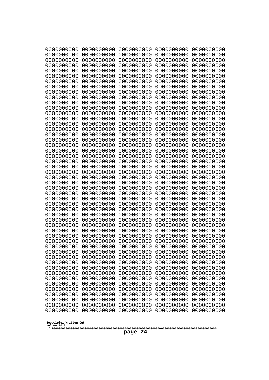| 000000000                              | 0000000000                             | 0000000000                             | 0000000000                             | 0000000000                             |
|----------------------------------------|----------------------------------------|----------------------------------------|----------------------------------------|----------------------------------------|
| 0000000000                             | 0000000000                             | 0000000000                             | 0000000000                             | 0000000000                             |
| 0000000000                             | 0000000000                             | 0000000000                             | 0000000000                             | 0000000000                             |
| 0000000000                             | 0000000000                             | 0000000000                             | 0000000000                             | 0000000000                             |
| 0000000000                             | 0000000000                             | 0000000000                             | 0000000000                             | 0000000000                             |
| 0000000000                             | 0000000000                             | 0000000000                             | 0000000000                             | 0000000000                             |
| 0000000000                             | 0000000000                             | 0000000000                             | 0000000000                             | 0000000000                             |
| 0000000000                             | 0000000000                             | 0000000000                             | 0000000000                             | 0000000000                             |
| 0000000000                             | 0000000000                             | 0000000000                             | 0000000000                             | 0000000000                             |
| 0000000000                             | 0000000000                             | 0000000000                             | 0000000000                             | 0000000000                             |
| 0000000000                             | 0000000000                             | 0000000000                             | 0000000000                             | 0000000000                             |
| 0000000000                             | 0000000000                             | 0000000000                             | 0000000000                             | 0000000000                             |
| 0000000000                             | 0000000000                             | 0000000000                             | 0000000000                             | 0000000000                             |
| 0000000000                             | 0000000000                             | 0000000000                             | 0000000000                             | 0000000000                             |
| 0000000000                             | 0000000000                             | 0000000000                             | 0000000000                             | 0000000000                             |
| 0000000000                             | 0000000000                             | 0000000000                             | 0000000000                             | 0000000000                             |
| 0000000000                             | 0000000000                             | 0000000000                             | 0000000000                             | 0000000000                             |
| 0000000000                             | 0000000000                             | 0000000000                             | 0000000000                             | 0000000000                             |
| 0000000000                             | 0000000000                             | 0000000000                             | 0000000000                             | 0000000000                             |
| 0000000000                             | 0000000000                             | 0000000000                             | 0000000000                             | 0000000000                             |
| 0000000000                             | 0000000000                             | 0000000000                             | 0000000000                             | 0000000000                             |
| 0000000000                             | 0000000000                             | 0000000000                             | 0000000000                             | 0000000000                             |
| 0000000000                             | 0000000000                             | 0000000000                             | 0000000000                             | 0000000000                             |
| 0000000000                             | 0000000000                             | 0000000000                             | 0000000000                             | 0000000000                             |
| 0000000000                             | 0000000000                             | 0000000000                             | 0000000000                             | 0000000000                             |
| 0000000000                             | 0000000000                             | 0000000000                             | 0000000000                             | 0000000000                             |
| 0000000000                             | 0000000000                             | 0000000000                             | 0000000000                             | 0000000000                             |
| 0000000000                             | 0000000000                             | 0000000000                             | 0000000000                             | 0000000000                             |
| 0000000000                             | 0000000000                             | 0000000000                             | 0000000000                             | 0000000000                             |
| 0000000000                             | 0000000000                             | 0000000000                             | 0000000000                             | 0000000000                             |
| 0000000000                             | 0000000000                             | 0000000000                             | 0000000000                             | 0000000000                             |
| 0000000000                             | 0000000000                             | 0000000000                             | 0000000000                             | 0000000000                             |
| 0000000000                             | 0000000000                             | 0000000000                             | 0000000000                             | 0000000000                             |
| 0000000000                             | 0000000000                             | 0000000000                             | 0000000000                             | 0000000000                             |
| 0000000000                             | 0000000000                             | 0000000000                             | 0000000000                             | 0000000000                             |
| 0000000000                             | 0000000000                             | 0000000000                             | 0000000000                             | 0000000000                             |
| 0000000000                             | 0000000000                             | 0000000000                             | 0000000000                             | 0000000000                             |
| 0000000000                             | 0000000000                             | 0000000000                             | 0000000000                             | 0000000000                             |
| 0000000000                             | 0000000000                             | 0000000000                             | 0000000000                             | 0000000000                             |
| 0000000000<br>0000000000<br>0000000000 | 0000000000<br>0000000000               | 0000000000<br>0000000000               | 0000000000<br>0000000000<br>0000000000 | 0000000000<br>0000000000<br>0000000000 |
| 0000000000<br>0000000000               | 0000000000<br>0000000000<br>0000000000 | 0000000000<br>0000000000<br>0000000000 | 0000000000<br>0000000000               | 0000000000<br>0000000000               |
| 0000000000                             | 0000000000                             | 0000000000                             | 0000000000                             | 0000000000                             |
| 0000000000                             | 0000000000                             | 0000000000                             | 0000000000                             | 0000000000                             |
| 0000000000                             | 0000000000                             | 0000000000                             | 0000000000                             | 0000000000                             |
| 0000000000                             | 0000000000                             | 0000000000                             | 0000000000                             | 0000000000                             |
| 0000000000                             | 0000000000                             | 0000000000                             | 0000000000                             | 0000000000                             |
| 0000000000                             | 0000000000                             | 0000000000                             | 0000000000                             | 0000000000                             |
| Googolplex Written Out<br>volume 1013  |                                        |                                        |                                        |                                        |
| 24<br>page                             |                                        |                                        |                                        |                                        |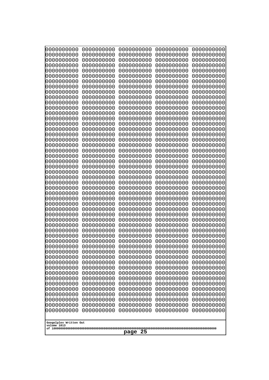| 0000000000                            | 0000000000 | 0000000000 | 0000000000 | 0000000000 |
|---------------------------------------|------------|------------|------------|------------|
| 1000000000                            | 0000000000 | 0000000000 | 0000000000 | 0000000000 |
| 1000000000                            | 0000000000 | 0000000000 | 0000000000 | 0000000000 |
| 0000000000                            | 0000000000 | 0000000000 | 0000000000 | 0000000000 |
| 0000000000                            | 0000000000 | 0000000000 | 0000000000 | 0000000000 |
| 0000000000                            | 0000000000 | 0000000000 | 0000000000 | 0000000000 |
| 0000000000                            | 0000000000 | 0000000000 | 0000000000 | 0000000000 |
| 0000000000                            | 0000000000 | 0000000000 | 0000000000 | 0000000000 |
| 0000000000                            | 0000000000 | 0000000000 | 0000000000 | 0000000000 |
| 0000000000                            | 0000000000 | 0000000000 | 0000000000 | 0000000000 |
| 0000000000                            | 0000000000 | 0000000000 | 0000000000 | 0000000000 |
| 0000000000                            | 0000000000 | 0000000000 | 0000000000 | 0000000000 |
| 0000000000                            | 0000000000 | 0000000000 | 0000000000 | 0000000000 |
| 0000000000                            | 0000000000 | 0000000000 | 0000000000 | 0000000000 |
| 0000000000                            | 0000000000 | 0000000000 | 0000000000 | 0000000000 |
| 0000000000                            | 0000000000 | 0000000000 | 0000000000 | 0000000000 |
| 0000000000                            | 0000000000 | 0000000000 | 0000000000 | 0000000000 |
| 0000000000                            | 0000000000 | 0000000000 | 0000000000 | 0000000000 |
| looooooooo                            | 0000000000 | 0000000000 | 0000000000 | 0000000000 |
| 0000000000                            | 0000000000 | 0000000000 | 0000000000 | 0000000000 |
| 0000000000                            | 0000000000 | 0000000000 | 0000000000 | 0000000000 |
| 0000000000                            | 0000000000 | 0000000000 | 0000000000 | 0000000000 |
| 0000000000                            | 0000000000 | 0000000000 | 0000000000 | 0000000000 |
| 0000000000                            | 0000000000 | 0000000000 | 0000000000 | 0000000000 |
| 0000000000                            | 0000000000 | 0000000000 | 0000000000 | 0000000000 |
| 0000000000                            | 0000000000 | 0000000000 | 0000000000 | 0000000000 |
| 0000000000                            | 0000000000 | 0000000000 | 0000000000 | 0000000000 |
| 0000000000                            | 0000000000 | 0000000000 | 0000000000 | 0000000000 |
| 0000000000                            | 0000000000 | 0000000000 | 0000000000 | 0000000000 |
| 0000000000                            | 0000000000 | 0000000000 | 0000000000 | 0000000000 |
| 0000000000                            | 0000000000 | 0000000000 | 0000000000 | 0000000000 |
| 0000000000                            | 0000000000 | 0000000000 | 0000000000 | 0000000000 |
| 0000000000                            | 0000000000 | 0000000000 | 0000000000 | 0000000000 |
| 0000000000                            | 0000000000 | 0000000000 | 0000000000 | 0000000000 |
| 0000000000                            | 0000000000 | 0000000000 | 0000000000 | 0000000000 |
| 0000000000                            | 0000000000 | 0000000000 | 0000000000 | 0000000000 |
| 0000000000<br>0000000000              | 0000000000 | 0000000000 | 0000000000 | 0000000000 |
| 0000000000                            | 0000000000 | 0000000000 | 0000000000 | 0000000000 |
|                                       | 0000000000 | 0000000000 | 0000000000 | 0000000000 |
| 0000000000                            | 0000000000 | 0000000000 | 0000000000 | 0000000000 |
| 0000000000                            | 0000000000 | 0000000000 | 0000000000 | 0000000000 |
| 0000000000                            | 0000000000 | 0000000000 | 0000000000 | 0000000000 |
| 0000000000                            | 0000000000 | 0000000000 | 0000000000 | 0000000000 |
| 0000000000                            | 0000000000 | 0000000000 | 0000000000 | 0000000000 |
| 0000000000                            | 0000000000 | 0000000000 | 0000000000 | 0000000000 |
| 0000000000                            | 0000000000 | 0000000000 | 0000000000 | 0000000000 |
| 0000000000                            | 0000000000 | 0000000000 | 0000000000 | 0000000000 |
| 0000000000                            | 0000000000 | 0000000000 | 0000000000 | 0000000000 |
| 0000000000                            | 0000000000 | 0000000000 | 0000000000 | 0000000000 |
| 0000000000                            | 0000000000 | 0000000000 | 0000000000 | 0000000000 |
|                                       |            |            |            |            |
| Googolplex Written Out<br>volume 1013 |            |            |            |            |
| 25<br>page                            |            |            |            |            |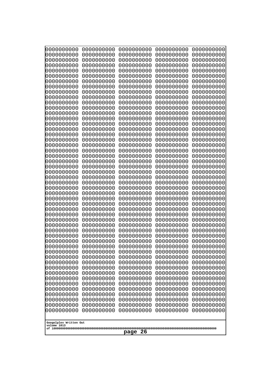| 000000000<br>0000000000  | 0000000000<br>0000000000 | 0000000000<br>0000000000 | 0000000000<br>0000000000 | 0000000000<br>0000000000 |
|--------------------------|--------------------------|--------------------------|--------------------------|--------------------------|
| 0000000000               | 0000000000               | 0000000000               | 0000000000               | 0000000000               |
| 0000000000               | 0000000000               | 0000000000               | 0000000000               | 0000000000               |
| 0000000000<br>0000000000 | 0000000000<br>0000000000 | 0000000000<br>0000000000 | 0000000000<br>0000000000 | 0000000000<br>0000000000 |
| 0000000000               | 0000000000               | 0000000000               | 0000000000               | 0000000000               |
| 0000000000               | 0000000000               | 0000000000               | 0000000000               | 0000000000               |
| 0000000000<br>0000000000 | 0000000000<br>0000000000 | 0000000000<br>0000000000 | 0000000000<br>0000000000 | 0000000000<br>0000000000 |
| 0000000000               | 0000000000               | 0000000000               | 0000000000               | 0000000000               |
| 0000000000<br>0000000000 | 0000000000<br>0000000000 | 0000000000<br>0000000000 | 0000000000<br>0000000000 | 0000000000<br>0000000000 |
| 0000000000               | 0000000000               | 0000000000               | 0000000000               | 0000000000               |
| 0000000000               | 0000000000               | 0000000000               | 0000000000               | 0000000000               |
| 0000000000<br>0000000000 | 0000000000<br>0000000000 | 0000000000<br>0000000000 | 0000000000<br>0000000000 | 0000000000<br>0000000000 |
| 0000000000               | 0000000000               | 0000000000               | 0000000000               | 0000000000               |
| 0000000000               | 0000000000               | 0000000000               | 0000000000               | 0000000000               |
| 0000000000<br>0000000000 | 0000000000<br>0000000000 | 0000000000<br>0000000000 | 0000000000<br>0000000000 | 0000000000<br>0000000000 |
| 0000000000               | 0000000000               | 0000000000               | 0000000000               | 0000000000               |
| 0000000000               | 0000000000               | 0000000000               | 0000000000               | 0000000000               |
| 0000000000<br>0000000000 | 0000000000<br>0000000000 | 0000000000<br>0000000000 | 0000000000<br>0000000000 | 0000000000<br>0000000000 |
| 0000000000               | 0000000000               | 0000000000               | 0000000000               | 0000000000               |
| 0000000000               | 0000000000               | 0000000000               | 0000000000               | 0000000000               |
| 0000000000<br>0000000000 | 0000000000<br>0000000000 | 0000000000<br>0000000000 | 0000000000<br>0000000000 | 0000000000<br>0000000000 |
| 0000000000               | 0000000000               | 0000000000               | 0000000000               | 0000000000               |
| 0000000000<br>0000000000 | 0000000000<br>0000000000 | 0000000000<br>0000000000 | 0000000000<br>0000000000 | 0000000000<br>0000000000 |
| 0000000000               | 0000000000               | 0000000000               | 0000000000               | 0000000000               |
| 0000000000               | 0000000000               | 0000000000               | 0000000000               | 0000000000               |
| 0000000000<br>0000000000 | 0000000000<br>0000000000 | 0000000000<br>0000000000 | 0000000000<br>0000000000 | 0000000000<br>0000000000 |
| 0000000000               | 0000000000               | 0000000000               | 0000000000               | 0000000000               |
| 0000000000               | 0000000000               | 0000000000               | 0000000000               | 0000000000               |
| 0000000000<br>0000000000 | 0000000000<br>0000000000 | 0000000000<br>0000000000 | 0000000000<br>0000000000 | 0000000000<br>0000000000 |
| 0000000000               | 0000000000               | 0000000000               | 0000000000               | 0000000000               |
| 0000000000               | 0000000000               | 0000000000               | 0000000000               | 0000000000               |
| 0000000000<br>0000000000 | 0000000000<br>0000000000 | 0000000000<br>0000000000 | 0000000000<br>0000000000 | 0000000000<br>0000000000 |
| 0000000000               | 0000000000               | 0000000000               | 0000000000               | 0000000000               |
| 0000000000               | 0000000000               | 0000000000               | 0000000000               | 0000000000               |
| 0000000000<br>0000000000 | 0000000000<br>0000000000 | 0000000000<br>0000000000 | 0000000000<br>0000000000 | 0000000000<br>0000000000 |
| 0000000000               | 0000000000               | 0000000000               | 0000000000               | 0000000000               |
| 0000000000               | 0000000000               | 0000000000               | 0000000000               | 0000000000               |
| Googolplex Written Out   |                          |                          |                          |                          |
| volume 1013              |                          |                          |                          |                          |
| 26<br>page               |                          |                          |                          |                          |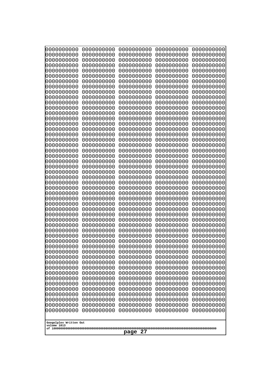| 000000000<br>0000000000               | 0000000000<br>0000000000 | 0000000000<br>0000000000 | 0000000000<br>0000000000 | 0000000000<br>0000000000 |
|---------------------------------------|--------------------------|--------------------------|--------------------------|--------------------------|
| 0000000000<br>0000000000              | 0000000000<br>0000000000 | 0000000000<br>0000000000 | 0000000000<br>0000000000 | 0000000000<br>0000000000 |
| 0000000000                            | 0000000000               | 0000000000               | 0000000000               | 0000000000               |
| 0000000000<br>0000000000              | 0000000000<br>0000000000 | 0000000000<br>0000000000 | 0000000000<br>0000000000 | 0000000000<br>0000000000 |
| 0000000000                            | 0000000000               | 0000000000               | 0000000000               | 0000000000               |
| 0000000000<br>0000000000              | 0000000000<br>0000000000 | 0000000000<br>0000000000 | 0000000000<br>0000000000 | 0000000000<br>0000000000 |
| 0000000000                            | 0000000000               | 0000000000               | 0000000000               | 0000000000               |
| 0000000000<br>0000000000              | 0000000000<br>0000000000 | 0000000000<br>0000000000 | 0000000000<br>0000000000 | 0000000000<br>0000000000 |
| 0000000000                            | 0000000000               | 0000000000               | 0000000000               | 0000000000               |
| 0000000000                            | 0000000000               | 0000000000               | 0000000000               | 0000000000               |
| 0000000000<br>0000000000              | 0000000000<br>0000000000 | 0000000000<br>0000000000 | 0000000000<br>0000000000 | 0000000000<br>0000000000 |
| 0000000000                            | 0000000000               | 0000000000               | 0000000000               | 0000000000               |
| 0000000000<br>0000000000              | 0000000000<br>0000000000 | 0000000000<br>0000000000 | 0000000000<br>0000000000 | 0000000000<br>0000000000 |
| 0000000000                            | 0000000000               | 0000000000               | 0000000000               | 0000000000               |
| 0000000000<br>0000000000              | 0000000000<br>0000000000 | 0000000000<br>0000000000 | 0000000000<br>0000000000 | 0000000000<br>0000000000 |
| 0000000000                            | 0000000000               | 0000000000               | 0000000000               | 0000000000               |
| 0000000000<br>0000000000              | 0000000000<br>0000000000 | 0000000000<br>0000000000 | 0000000000<br>0000000000 | 0000000000<br>0000000000 |
| 0000000000                            | 0000000000               | 0000000000               | 0000000000               | 0000000000               |
| 0000000000<br>0000000000              | 0000000000<br>0000000000 | 0000000000<br>0000000000 | 0000000000<br>0000000000 | 0000000000<br>0000000000 |
| 0000000000                            | 0000000000               | 0000000000               | 0000000000               | 0000000000               |
| 0000000000<br>0000000000              | 0000000000<br>0000000000 | 0000000000<br>0000000000 | 0000000000<br>0000000000 | 0000000000<br>0000000000 |
| 0000000000                            | 0000000000               | 0000000000               | 0000000000               | 0000000000               |
| 0000000000<br>0000000000              | 0000000000<br>0000000000 | 0000000000<br>0000000000 | 0000000000<br>0000000000 | 0000000000<br>0000000000 |
| 0000000000                            | 0000000000               | 0000000000               | 0000000000               | 0000000000               |
| 0000000000<br>0000000000              | 0000000000<br>0000000000 | 0000000000<br>0000000000 | 0000000000<br>0000000000 | 0000000000<br>0000000000 |
| 0000000000                            | 0000000000               | 0000000000               | 0000000000               | 0000000000               |
| 0000000000<br>0000000000              | 0000000000<br>0000000000 | 0000000000<br>0000000000 | 0000000000<br>0000000000 | 0000000000<br>0000000000 |
| 0000000000                            | 0000000000               | 0000000000               | 0000000000               | 0000000000               |
| 0000000000<br>0000000000              | 0000000000<br>0000000000 | 0000000000<br>0000000000 | 0000000000<br>0000000000 | 0000000000<br>0000000000 |
| 0000000000                            | 0000000000               | 0000000000               | 0000000000               | 0000000000               |
| 0000000000<br>0000000000              | 0000000000<br>0000000000 | 0000000000<br>0000000000 | 0000000000<br>0000000000 | 0000000000<br>0000000000 |
| 0000000000                            | 0000000000               | 0000000000               | 0000000000               | 0000000000               |
| 0000000000<br>0000000000              | 0000000000<br>0000000000 | 0000000000<br>0000000000 | 0000000000<br>0000000000 | 0000000000<br>0000000000 |
|                                       |                          |                          |                          |                          |
| Googolplex Written Out<br>volume 1013 |                          |                          |                          |                          |
| 27<br>page                            |                          |                          |                          |                          |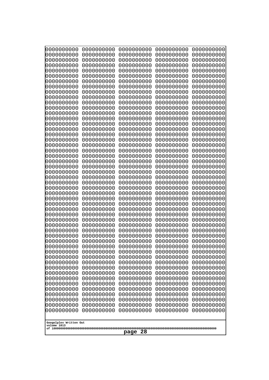| 000000000<br>0000000000<br>0000000000<br>0000000000  | 0000000000<br>0000000000 | 0000000000<br>0000000000 | 0000000000<br>0000000000 |
|------------------------------------------------------|--------------------------|--------------------------|--------------------------|
| 0000000000<br>0000000000                             | 0000000000               | 0000000000               | 0000000000               |
| 0000000000<br>0000000000                             | 0000000000               | 0000000000               | 0000000000               |
| 0000000000<br>0000000000<br>0000000000               | 0000000000               | 0000000000               | 0000000000<br>0000000000 |
| 0000000000<br>0000000000<br>0000000000               | 0000000000<br>0000000000 | 0000000000<br>0000000000 | 0000000000               |
| 0000000000<br>0000000000                             | 0000000000               | 0000000000               | 0000000000               |
| 0000000000<br>0000000000                             | 0000000000               | 0000000000               | 0000000000               |
| 0000000000<br>0000000000<br>0000000000<br>0000000000 | 0000000000<br>0000000000 | 0000000000<br>0000000000 | 0000000000<br>0000000000 |
| 0000000000<br>0000000000                             | 0000000000               | 0000000000               | 0000000000               |
| 0000000000<br>0000000000                             | 0000000000               | 0000000000               | 0000000000               |
| 0000000000<br>0000000000<br>0000000000<br>0000000000 | 0000000000<br>0000000000 | 0000000000<br>0000000000 | 0000000000<br>0000000000 |
| 0000000000<br>0000000000                             | 0000000000               | 0000000000               | 0000000000               |
| 0000000000<br>0000000000                             | 0000000000               | 0000000000               | 0000000000               |
| 0000000000<br>0000000000                             | 0000000000               | 0000000000               | 0000000000               |
| 0000000000<br>0000000000<br>0000000000<br>0000000000 | 0000000000<br>0000000000 | 0000000000<br>0000000000 | 0000000000<br>0000000000 |
| 0000000000<br>0000000000                             | 0000000000               | 0000000000               | 0000000000               |
| 0000000000<br>0000000000                             | 0000000000               | 0000000000               | 0000000000               |
| 0000000000<br>0000000000<br>0000000000<br>0000000000 | 0000000000<br>0000000000 | 0000000000<br>0000000000 | 0000000000<br>0000000000 |
| 0000000000<br>0000000000                             | 0000000000               | 0000000000               | 0000000000               |
| 0000000000<br>0000000000                             | 0000000000               | 0000000000               | 0000000000               |
| 0000000000<br>0000000000<br>0000000000<br>0000000000 | 0000000000<br>0000000000 | 0000000000<br>0000000000 | 0000000000<br>0000000000 |
| 0000000000<br>0000000000                             | 0000000000               | 0000000000               | 0000000000               |
| 0000000000<br>0000000000                             | 0000000000               | 0000000000               | 0000000000               |
| 0000000000<br>0000000000<br>0000000000<br>0000000000 | 0000000000<br>0000000000 | 0000000000<br>0000000000 | 0000000000<br>0000000000 |
| 0000000000<br>0000000000                             | 0000000000               | 0000000000               | 0000000000               |
| 0000000000<br>0000000000                             | 0000000000               | 0000000000               | 0000000000               |
| 0000000000<br>0000000000                             | 0000000000               | 0000000000               | 0000000000               |
| 0000000000<br>0000000000<br>0000000000<br>0000000000 | 0000000000<br>0000000000 | 0000000000<br>0000000000 | 0000000000<br>0000000000 |
| 0000000000<br>0000000000                             | 0000000000               | 0000000000               | 0000000000               |
| 0000000000<br>0000000000                             | 0000000000               | 0000000000               | 0000000000               |
| 0000000000<br>0000000000<br>0000000000<br>0000000000 | 0000000000<br>0000000000 | 0000000000<br>0000000000 | 0000000000<br>0000000000 |
| 0000000000<br>0000000000                             | 0000000000               | 0000000000               | 0000000000               |
| 0000000000<br>0000000000                             | 0000000000               | 0000000000               | 0000000000               |
| 0000000000<br>0000000000<br>0000000000<br>0000000000 | 0000000000<br>0000000000 | 0000000000<br>0000000000 | 0000000000<br>0000000000 |
| 0000000000<br>0000000000                             | 0000000000               | 0000000000               | 0000000000               |
| 0000000000<br>0000000000                             | 0000000000               | 0000000000               | 0000000000               |
| 0000000000<br>0000000000                             | 0000000000               | 0000000000               | 0000000000               |
| 0000000000<br>0000000000<br>0000000000<br>0000000000 | 0000000000<br>0000000000 | 0000000000<br>0000000000 | 0000000000<br>0000000000 |
|                                                      |                          |                          |                          |
| Googolplex Written Out<br>volume 1013                |                          |                          |                          |
|                                                      | 28<br>page               |                          |                          |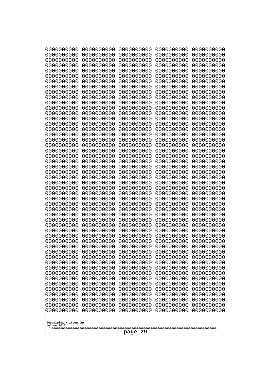| 000000000<br>0000000000               | 0000000000<br>0000000000 | 0000000000<br>0000000000 | 0000000000<br>0000000000 | 0000000000<br>0000000000 |
|---------------------------------------|--------------------------|--------------------------|--------------------------|--------------------------|
| 0000000000                            | 0000000000               | 0000000000               | 0000000000               | 0000000000               |
| 0000000000                            | 0000000000               | 0000000000               | 0000000000               | 0000000000               |
| 0000000000<br>0000000000              | 0000000000<br>0000000000 | 0000000000<br>0000000000 | 0000000000<br>0000000000 | 0000000000<br>0000000000 |
| 0000000000                            | 0000000000               | 0000000000               | 0000000000               | 0000000000               |
| 0000000000                            | 0000000000               | 0000000000               | 0000000000               | 0000000000               |
| 0000000000<br>0000000000              | 0000000000<br>0000000000 | 0000000000<br>0000000000 | 0000000000<br>0000000000 | 0000000000<br>0000000000 |
| 0000000000                            | 0000000000               | 0000000000               | 0000000000               | 0000000000               |
| 0000000000                            | 0000000000               | 0000000000               | 0000000000               | 0000000000               |
| 0000000000                            | 0000000000               | 0000000000               | 0000000000               | 0000000000               |
| 0000000000<br>0000000000              | 0000000000<br>0000000000 | 0000000000<br>0000000000 | 0000000000<br>0000000000 | 0000000000<br>0000000000 |
| 0000000000                            | 0000000000               | 0000000000               | 0000000000               | 0000000000               |
| 0000000000                            | 0000000000               | 0000000000               | 0000000000               | 0000000000               |
| 0000000000<br>0000000000              | 0000000000<br>0000000000 | 0000000000<br>0000000000 | 0000000000<br>0000000000 | 0000000000<br>0000000000 |
| 0000000000                            | 0000000000               | 0000000000               | 0000000000               | 0000000000               |
| 0000000000                            | 0000000000               | 0000000000               | 0000000000               | 0000000000               |
| 0000000000<br>0000000000              | 0000000000<br>0000000000 | 0000000000<br>0000000000 | 0000000000<br>0000000000 | 0000000000<br>0000000000 |
| 0000000000                            | 0000000000               | 0000000000               | 0000000000               | 0000000000               |
| 0000000000                            | 0000000000               | 0000000000               | 0000000000               | 0000000000               |
| 0000000000<br>0000000000              | 0000000000<br>0000000000 | 0000000000<br>0000000000 | 0000000000<br>0000000000 | 0000000000<br>0000000000 |
| 0000000000                            | 0000000000               | 0000000000               | 0000000000               | 0000000000               |
| 0000000000                            | 0000000000               | 0000000000               | 0000000000               | 0000000000               |
| 0000000000                            | 0000000000               | 0000000000               | 0000000000               | 0000000000               |
| 0000000000<br>0000000000              | 0000000000<br>0000000000 | 0000000000<br>0000000000 | 0000000000<br>0000000000 | 0000000000<br>0000000000 |
| 0000000000                            | 0000000000               | 0000000000               | 0000000000               | 0000000000               |
| 0000000000                            | 0000000000               | 0000000000               | 0000000000               | 0000000000               |
| 0000000000<br>0000000000              | 0000000000<br>0000000000 | 0000000000<br>0000000000 | 0000000000<br>0000000000 | 0000000000<br>0000000000 |
| 0000000000                            | 0000000000               | 0000000000               | 0000000000               | 0000000000               |
| 0000000000                            | 0000000000               | 0000000000               | 0000000000               | 0000000000               |
| 0000000000<br>0000000000              | 0000000000<br>0000000000 | 0000000000<br>0000000000 | 0000000000<br>0000000000 | 0000000000<br>0000000000 |
| 0000000000                            | 0000000000               | 0000000000               | 0000000000               | 0000000000               |
| 0000000000                            | 0000000000               | 0000000000               | 0000000000               | 0000000000               |
| 0000000000                            | 0000000000               | 0000000000               | 0000000000               | 0000000000               |
| 0000000000<br>0000000000              | 0000000000<br>0000000000 | 0000000000<br>0000000000 | 0000000000<br>0000000000 | 0000000000<br>0000000000 |
| 0000000000                            | 0000000000               | 0000000000               | 0000000000               | 0000000000               |
| 0000000000                            | 0000000000               | 0000000000               | 0000000000               | 0000000000               |
| 0000000000<br>0000000000              | 0000000000<br>0000000000 | 0000000000<br>0000000000 | 0000000000<br>0000000000 | 0000000000<br>0000000000 |
| 0000000000                            | 0000000000               | 0000000000               | 0000000000               | 0000000000               |
|                                       |                          |                          |                          |                          |
| Googolplex Written Out<br>volume 1013 |                          |                          |                          |                          |
| 29<br>page                            |                          |                          |                          |                          |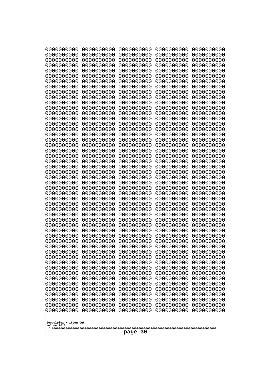| 0000000000                                           | 0000000000                                           | 0000000000                                           | 0000000000                                           | 0000000000                                           |
|------------------------------------------------------|------------------------------------------------------|------------------------------------------------------|------------------------------------------------------|------------------------------------------------------|
| 0000000000                                           | 0000000000                                           | 0000000000                                           | 0000000000                                           | 0000000000                                           |
| 0000000000                                           | 0000000000                                           | 0000000000                                           | 0000000000                                           | 0000000000                                           |
| 0000000000                                           | 0000000000                                           | 0000000000                                           | 0000000000                                           | 0000000000                                           |
| 0000000000                                           | 0000000000                                           | 0000000000                                           | 0000000000                                           | 0000000000                                           |
| 0000000000                                           | 0000000000                                           | 0000000000                                           | 0000000000                                           | 0000000000                                           |
| 0000000000                                           | 0000000000                                           | 0000000000                                           | 0000000000                                           | 0000000000                                           |
| 0000000000                                           | 0000000000                                           | 0000000000                                           | 0000000000                                           | 0000000000                                           |
| 0000000000                                           | 0000000000                                           | 0000000000                                           | 0000000000                                           | 0000000000                                           |
| 0000000000                                           | 0000000000                                           | 0000000000                                           | 0000000000                                           | 0000000000                                           |
| 0000000000                                           | 0000000000                                           | 0000000000                                           | 0000000000                                           | 0000000000                                           |
| 0000000000                                           | 0000000000                                           | 0000000000                                           | 0000000000                                           | 0000000000                                           |
| 0000000000                                           | 0000000000                                           | 0000000000                                           | 0000000000                                           | 0000000000                                           |
| 0000000000                                           | 0000000000                                           | 0000000000                                           | 0000000000                                           | 0000000000                                           |
| 0000000000                                           | 0000000000                                           | 0000000000                                           | 0000000000                                           | 0000000000                                           |
| 0000000000                                           | 0000000000                                           | 0000000000                                           | 0000000000                                           | 0000000000                                           |
| 0000000000<br>0000000000<br>0000000000<br>0000000000 | 0000000000<br>0000000000<br>0000000000<br>0000000000 | 0000000000<br>0000000000<br>0000000000               | 0000000000<br>0000000000<br>0000000000               | 0000000000<br>0000000000<br>0000000000               |
| 0000000000<br>0000000000<br>0000000000               | 0000000000<br>0000000000<br>0000000000               | 0000000000<br>0000000000<br>0000000000<br>0000000000 | 0000000000<br>0000000000<br>0000000000<br>0000000000 | 0000000000<br>0000000000<br>0000000000<br>0000000000 |
| 0000000000                                           | 0000000000                                           | 0000000000                                           | 0000000000                                           | 0000000000                                           |
| 0000000000                                           | 0000000000                                           | 0000000000                                           | 0000000000                                           | 0000000000                                           |
| 0000000000                                           | 0000000000                                           | 0000000000                                           | 0000000000                                           | 0000000000                                           |
| 0000000000                                           | 0000000000                                           | 0000000000                                           | 0000000000                                           | 0000000000                                           |
| 0000000000                                           | 0000000000                                           | 0000000000                                           | 0000000000                                           | 0000000000                                           |
| 0000000000                                           | 0000000000                                           | 0000000000                                           | 0000000000                                           | 0000000000                                           |
| 0000000000                                           | 0000000000                                           | 0000000000                                           | 0000000000                                           | 0000000000                                           |
| 0000000000                                           | 0000000000                                           | 0000000000                                           | 0000000000                                           | 0000000000                                           |
| 0000000000                                           | 0000000000                                           | 0000000000                                           | 0000000000                                           | 0000000000                                           |
| 0000000000                                           | 0000000000                                           | 0000000000                                           | 0000000000                                           | 0000000000                                           |
| 0000000000                                           | 0000000000                                           | 0000000000                                           | 0000000000                                           | 0000000000                                           |
| 0000000000                                           | 0000000000                                           | 0000000000                                           | 0000000000                                           | 0000000000                                           |
| 0000000000                                           | 0000000000                                           | 0000000000                                           | 0000000000                                           | 0000000000                                           |
| 0000000000                                           | 0000000000                                           | 0000000000                                           | 0000000000                                           | 0000000000                                           |
| 0000000000                                           | 0000000000                                           | 0000000000                                           | 0000000000                                           | 0000000000                                           |
| 0000000000                                           | 0000000000                                           | 0000000000                                           | 0000000000                                           | 0000000000                                           |
| 0000000000                                           | 0000000000                                           | 0000000000                                           | 0000000000                                           | 0000000000                                           |
| 0000000000                                           | 0000000000                                           | 0000000000                                           | 0000000000                                           | 0000000000                                           |
| 0000000000                                           | 0000000000                                           | 0000000000                                           | 0000000000                                           | 0000000000                                           |
| 0000000000                                           | 0000000000                                           | 0000000000                                           | 0000000000                                           | 0000000000                                           |
| 0000000000                                           | 0000000000                                           | 0000000000                                           | 0000000000                                           | 0000000000                                           |
| 0000000000                                           | 0000000000                                           | 0000000000                                           | 0000000000                                           | 0000000000                                           |
| 0000000000                                           | 0000000000                                           | 0000000000                                           | 0000000000                                           | 0000000000                                           |
| 0000000000                                           | 0000000000                                           | 0000000000                                           | 0000000000                                           | 0000000000                                           |
| 0000000000                                           | 0000000000                                           | 0000000000                                           | 0000000000                                           | 0000000000                                           |
| 0000000000                                           | 0000000000                                           | 0000000000                                           | 0000000000                                           | 0000000000                                           |
| 0000000000                                           | 0000000000                                           | 0000000000                                           | 0000000000                                           | 0000000000                                           |
| Googolplex Written Out<br>volume 1013<br>page 30     |                                                      |                                                      |                                                      |                                                      |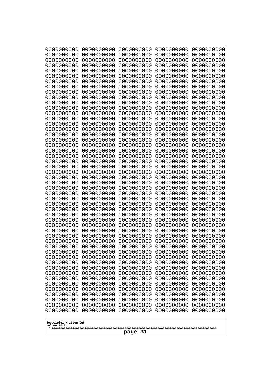| 000000000<br>0000000000               | 0000000000<br>0000000000 | 0000000000<br>0000000000 | 0000000000<br>0000000000 | 0000000000<br>0000000000 |
|---------------------------------------|--------------------------|--------------------------|--------------------------|--------------------------|
| 0000000000<br>0000000000              | 0000000000<br>0000000000 | 0000000000<br>0000000000 | 0000000000<br>0000000000 | 0000000000<br>0000000000 |
| 0000000000<br>0000000000              | 0000000000<br>0000000000 | 0000000000<br>0000000000 | 0000000000<br>0000000000 | 0000000000<br>0000000000 |
| 0000000000                            | 0000000000               | 0000000000               | 0000000000               | 0000000000               |
| 0000000000                            | 0000000000               | 0000000000               | 0000000000               | 0000000000               |
| 0000000000<br>0000000000              | 0000000000<br>0000000000 | 0000000000<br>0000000000 | 0000000000<br>0000000000 | 0000000000<br>0000000000 |
| 0000000000                            | 0000000000               | 0000000000               | 0000000000               | 0000000000               |
| 0000000000<br>0000000000              | 0000000000<br>0000000000 | 0000000000<br>0000000000 | 0000000000<br>0000000000 | 0000000000<br>0000000000 |
| 0000000000                            | 0000000000               | 0000000000               | 0000000000               | 0000000000               |
| 0000000000<br>0000000000              | 0000000000<br>0000000000 | 0000000000<br>0000000000 | 0000000000<br>0000000000 | 0000000000<br>0000000000 |
| 0000000000                            | 0000000000               | 0000000000               | 0000000000               | 0000000000               |
| 0000000000<br>0000000000              | 0000000000<br>0000000000 | 0000000000<br>0000000000 | 0000000000<br>0000000000 | 0000000000<br>0000000000 |
| 0000000000<br>0000000000              | 0000000000               | 0000000000               | 0000000000               | 0000000000               |
| 0000000000                            | 0000000000<br>0000000000 | 0000000000<br>0000000000 | 0000000000<br>0000000000 | 0000000000<br>0000000000 |
| 0000000000<br>0000000000              | 0000000000<br>0000000000 | 0000000000<br>0000000000 | 0000000000<br>0000000000 | 0000000000<br>0000000000 |
| 0000000000                            | 0000000000               | 0000000000               | 0000000000               | 0000000000               |
| 0000000000<br>0000000000              | 0000000000<br>0000000000 | 0000000000<br>0000000000 | 0000000000<br>0000000000 | 0000000000<br>0000000000 |
| 0000000000                            | 0000000000               | 0000000000               | 0000000000               | 0000000000               |
| 0000000000<br>0000000000              | 0000000000<br>0000000000 | 0000000000<br>0000000000 | 0000000000<br>0000000000 | 0000000000<br>0000000000 |
| 0000000000                            | 0000000000               | 0000000000               | 0000000000               | 0000000000               |
| 0000000000<br>0000000000              | 0000000000<br>0000000000 | 0000000000<br>0000000000 | 0000000000<br>0000000000 | 0000000000<br>0000000000 |
| 0000000000                            | 0000000000               | 0000000000               | 0000000000               | 0000000000               |
| 0000000000<br>0000000000              | 0000000000<br>0000000000 | 0000000000<br>0000000000 | 0000000000<br>0000000000 | 0000000000<br>0000000000 |
| 0000000000                            | 0000000000               | 0000000000               | 0000000000               | 0000000000               |
| 0000000000<br>0000000000              | 0000000000<br>0000000000 | 0000000000<br>0000000000 | 0000000000<br>0000000000 | 0000000000<br>0000000000 |
| 0000000000                            | 0000000000               | 0000000000               | 0000000000               | 0000000000               |
| 0000000000<br>0000000000              | 0000000000<br>0000000000 | 0000000000<br>0000000000 | 0000000000<br>0000000000 | 0000000000<br>0000000000 |
| 0000000000                            | 0000000000               | 0000000000               | 0000000000               | 0000000000               |
| 0000000000<br>0000000000              | 0000000000<br>0000000000 | 0000000000<br>0000000000 | 0000000000<br>0000000000 | 0000000000<br>0000000000 |
| 0000000000                            | 0000000000               | 0000000000               | 0000000000               | 0000000000               |
| 0000000000<br>0000000000              | 0000000000<br>0000000000 | 0000000000<br>0000000000 | 0000000000<br>0000000000 | 0000000000<br>0000000000 |
| 0000000000                            | 0000000000               | 0000000000               | 0000000000               | 0000000000               |
| 0000000000                            | 0000000000               | 0000000000               | 0000000000               | 0000000000               |
| Googolplex Written Out<br>volume 1013 |                          |                          |                          |                          |
| -31<br>page                           |                          |                          |                          |                          |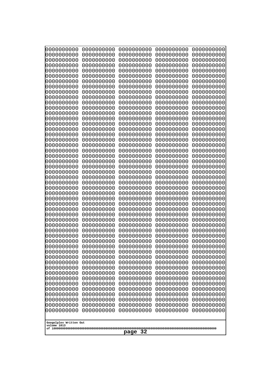| 0000000000                                           | 0000000000                                           | 0000000000                                           | 0000000000                                           | 0000000000                                           |
|------------------------------------------------------|------------------------------------------------------|------------------------------------------------------|------------------------------------------------------|------------------------------------------------------|
| 0000000000                                           | 0000000000                                           | 0000000000                                           | 0000000000                                           | 0000000000                                           |
| 0000000000                                           | 0000000000                                           | 0000000000                                           | 0000000000                                           | 0000000000                                           |
| 0000000000                                           | 0000000000                                           | 0000000000                                           | 0000000000                                           | 0000000000                                           |
| 0000000000                                           | 0000000000                                           | 0000000000                                           | 0000000000                                           | 0000000000                                           |
| 0000000000                                           | 0000000000                                           | 0000000000                                           | 0000000000                                           | 0000000000                                           |
| 0000000000                                           | 0000000000                                           | 0000000000                                           | 0000000000                                           | 0000000000                                           |
| 0000000000                                           | 0000000000                                           | 0000000000                                           | 0000000000                                           | 0000000000                                           |
| 0000000000                                           | 0000000000                                           | 0000000000                                           | 0000000000                                           | 0000000000                                           |
| 0000000000                                           | 0000000000                                           | 0000000000                                           | 0000000000                                           | 0000000000                                           |
| 0000000000                                           | 0000000000                                           | 0000000000                                           | 0000000000                                           | 0000000000                                           |
| 0000000000                                           | 0000000000                                           | 0000000000                                           | 0000000000                                           | 0000000000                                           |
| 0000000000                                           | 0000000000                                           | 0000000000                                           | 0000000000                                           | 0000000000                                           |
| 0000000000                                           | 0000000000                                           | 0000000000                                           | 0000000000                                           | 0000000000                                           |
| 0000000000                                           | 0000000000                                           | 0000000000                                           | 0000000000                                           | 0000000000                                           |
| 0000000000                                           | 0000000000                                           | 0000000000                                           | 0000000000                                           | 0000000000                                           |
| 0000000000                                           | 0000000000                                           | 0000000000                                           | 0000000000                                           | 0000000000                                           |
| 0000000000                                           | 0000000000                                           | 0000000000                                           | 0000000000                                           | 0000000000                                           |
| 0000000000                                           | 0000000000                                           | 0000000000                                           | 0000000000                                           | 0000000000                                           |
| 0000000000                                           | 0000000000                                           | 0000000000                                           | 0000000000                                           | 0000000000                                           |
| 0000000000                                           | 0000000000                                           | 0000000000                                           | 0000000000                                           | 0000000000                                           |
| 0000000000                                           | 0000000000                                           | 0000000000                                           | 0000000000                                           | 0000000000                                           |
| 0000000000                                           | 0000000000                                           | 0000000000                                           | 0000000000                                           | 0000000000                                           |
| 0000000000                                           | 0000000000                                           | 0000000000                                           | 0000000000                                           | 0000000000                                           |
| 0000000000                                           | 0000000000                                           | 0000000000                                           | 0000000000                                           | 0000000000                                           |
| 0000000000                                           | 0000000000                                           | 0000000000                                           | 0000000000                                           | 0000000000                                           |
| 0000000000                                           | 0000000000                                           | 0000000000                                           | 0000000000                                           | 0000000000                                           |
| 0000000000                                           | 0000000000                                           | 0000000000                                           | 0000000000                                           | 0000000000                                           |
| 0000000000                                           | 0000000000                                           | 0000000000                                           | 0000000000                                           | 0000000000                                           |
| 0000000000<br>0000000000<br>0000000000               | 0000000000<br>0000000000<br>0000000000               | 0000000000<br>0000000000<br>0000000000<br>0000000000 | 0000000000<br>0000000000<br>0000000000               | 0000000000<br>0000000000<br>0000000000               |
| 0000000000<br>0000000000<br>0000000000<br>0000000000 | 0000000000<br>0000000000<br>0000000000<br>0000000000 | 0000000000<br>0000000000<br>0000000000               | 0000000000<br>0000000000<br>0000000000<br>0000000000 | 0000000000<br>0000000000<br>0000000000<br>0000000000 |
| 0000000000                                           | 0000000000                                           | 0000000000                                           | 0000000000                                           | 0000000000                                           |
| 0000000000                                           | 0000000000                                           | 0000000000                                           | 0000000000                                           | 0000000000                                           |
| 0000000000                                           | 0000000000                                           | 0000000000                                           | 0000000000                                           | 0000000000                                           |
| 0000000000                                           | 0000000000                                           | 0000000000                                           | 0000000000                                           | 0000000000                                           |
| 0000000000                                           | 0000000000                                           | 0000000000                                           | 0000000000                                           | 0000000000                                           |
| 0000000000                                           | 0000000000                                           | 0000000000                                           | 0000000000                                           | 0000000000                                           |
| 0000000000                                           | 0000000000                                           | 0000000000                                           | 0000000000                                           | 0000000000                                           |
| 0000000000                                           | 0000000000                                           | 0000000000                                           | 0000000000                                           | 0000000000                                           |
| 0000000000                                           | 0000000000                                           | 0000000000                                           | 0000000000                                           | 0000000000                                           |
| 0000000000                                           | 0000000000                                           | 0000000000                                           | 0000000000                                           | 0000000000                                           |
| 0000000000                                           | 0000000000                                           | 0000000000                                           | 0000000000                                           | 0000000000                                           |
| 0000000000                                           | 0000000000                                           | 0000000000                                           | 0000000000                                           | 0000000000                                           |
| 0000000000                                           | 0000000000                                           | 0000000000                                           | 0000000000                                           | 0000000000                                           |
| 0000000000                                           | 0000000000                                           | 0000000000                                           | 0000000000                                           | 0000000000                                           |
| Googolplex Written Out<br>volume 1013<br>page 32     |                                                      |                                                      |                                                      |                                                      |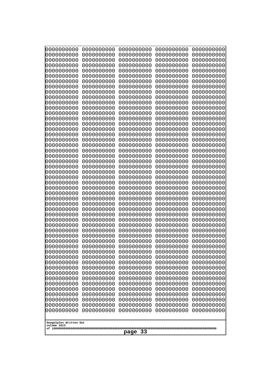| 0000000000<br>0000000000<br>0000000000<br>0000000000<br>0000000000<br>0000000000<br>0000000000<br>0000000000<br>0000000000<br>0000000000<br>0000000000<br>0000000000<br>0000000000<br>0000000000<br>0000000000<br>0000000000<br>0000000000<br>0000000000<br>0000000000<br>0000000000<br>0000000000<br>0000000000<br>0000000000<br>0000000000<br>0000000000<br>0000000000<br>0000000000<br>0000000000<br>0000000000<br>0000000000<br>0000000000<br>0000000000<br>0000000000<br>0000000000<br>0000000000<br>0000000000<br>0000000000<br>10000000000<br>0000000000<br>0000000000<br>0000000000<br>0000000000<br>0000000000<br>0000000000<br>0000000000<br>0000000000<br>0000000000<br>0000000000<br>0000000000<br>0000000000 | 0000000000<br>0000000000<br>0000000000<br>0000000000<br>0000000000<br>0000000000<br>0000000000<br>0000000000<br>0000000000<br>0000000000<br>0000000000<br>0000000000<br>0000000000<br>0000000000<br>0000000000<br>0000000000<br>0000000000<br>0000000000<br>0000000000<br>0000000000<br>0000000000<br>0000000000<br>0000000000<br>0000000000<br>0000000000<br>0000000000<br>0000000000<br>0000000000<br>0000000000<br>0000000000<br>0000000000<br>0000000000<br>0000000000<br>0000000000<br>0000000000<br>0000000000<br>0000000000<br>0000000000<br>0000000000<br>0000000000<br>0000000000<br>0000000000<br>0000000000<br>0000000000<br>0000000000<br>0000000000<br>0000000000<br>0000000000<br>0000000000<br>0000000000 | 0000000000<br>0000000000<br>0000000000<br>0000000000<br>0000000000<br>0000000000<br>0000000000<br>0000000000<br>0000000000<br>0000000000<br>0000000000<br>0000000000<br>0000000000<br>0000000000<br>0000000000<br>0000000000<br>0000000000<br>0000000000<br>0000000000<br>0000000000<br>0000000000<br>0000000000<br>0000000000<br>0000000000<br>0000000000<br>0000000000<br>0000000000<br>0000000000<br>0000000000<br>0000000000<br>0000000000<br>0000000000<br>0000000000<br>0000000000<br>0000000000<br>0000000000<br>0000000000<br>0000000000<br>0000000000<br>0000000000<br>0000000000<br>0000000000<br>0000000000<br>0000000000<br>0000000000<br>0000000000<br>0000000000<br>0000000000<br>0000000000<br>0000000000 | 0000000000<br>0000000000<br>0000000000<br>0000000000<br>0000000000<br>0000000000<br>0000000000<br>0000000000<br>0000000000<br>0000000000<br>0000000000<br>0000000000<br>0000000000<br>0000000000<br>0000000000<br>0000000000<br>0000000000<br>0000000000<br>0000000000<br>0000000000<br>0000000000<br>0000000000<br>0000000000<br>0000000000<br>0000000000<br>0000000000<br>0000000000<br>0000000000<br>0000000000<br>0000000000<br>0000000000<br>0000000000<br>0000000000<br>0000000000<br>0000000000<br>0000000000<br>0000000000<br>0000000000<br>0000000000<br>0000000000<br>0000000000<br>0000000000<br>0000000000<br>0000000000<br>0000000000<br>0000000000<br>0000000000<br>0000000000<br>0000000000<br>0000000000 | 0000000000<br>0000000000<br>0000000000<br>0000000000<br>0000000000<br>0000000000<br>0000000000<br>0000000000<br>0000000000<br>0000000000<br>0000000000<br>0000000000<br>0000000000<br>0000000000<br>0000000000<br>0000000000<br>0000000000<br>0000000000<br>0000000000<br>0000000000<br>0000000000<br>0000000000<br>0000000000<br>0000000000<br>0000000000<br>0000000000<br>0000000000<br>0000000000<br>0000000000<br>0000000000<br>0000000000<br>0000000000<br>0000000000<br>0000000000<br>0000000000<br>0000000000<br>0000000000<br>0000000000<br>0000000000<br>0000000000<br>0000000000<br>0000000000<br>0000000000<br>0000000000<br>0000000000<br>0000000000<br>0000000000<br>0000000000<br>0000000000<br>0000000000 |
|---------------------------------------------------------------------------------------------------------------------------------------------------------------------------------------------------------------------------------------------------------------------------------------------------------------------------------------------------------------------------------------------------------------------------------------------------------------------------------------------------------------------------------------------------------------------------------------------------------------------------------------------------------------------------------------------------------------------------|--------------------------------------------------------------------------------------------------------------------------------------------------------------------------------------------------------------------------------------------------------------------------------------------------------------------------------------------------------------------------------------------------------------------------------------------------------------------------------------------------------------------------------------------------------------------------------------------------------------------------------------------------------------------------------------------------------------------------|--------------------------------------------------------------------------------------------------------------------------------------------------------------------------------------------------------------------------------------------------------------------------------------------------------------------------------------------------------------------------------------------------------------------------------------------------------------------------------------------------------------------------------------------------------------------------------------------------------------------------------------------------------------------------------------------------------------------------|--------------------------------------------------------------------------------------------------------------------------------------------------------------------------------------------------------------------------------------------------------------------------------------------------------------------------------------------------------------------------------------------------------------------------------------------------------------------------------------------------------------------------------------------------------------------------------------------------------------------------------------------------------------------------------------------------------------------------|--------------------------------------------------------------------------------------------------------------------------------------------------------------------------------------------------------------------------------------------------------------------------------------------------------------------------------------------------------------------------------------------------------------------------------------------------------------------------------------------------------------------------------------------------------------------------------------------------------------------------------------------------------------------------------------------------------------------------|
| Googolplex Written Out<br>volume 1013                                                                                                                                                                                                                                                                                                                                                                                                                                                                                                                                                                                                                                                                                     |                                                                                                                                                                                                                                                                                                                                                                                                                                                                                                                                                                                                                                                                                                                          |                                                                                                                                                                                                                                                                                                                                                                                                                                                                                                                                                                                                                                                                                                                          |                                                                                                                                                                                                                                                                                                                                                                                                                                                                                                                                                                                                                                                                                                                          |                                                                                                                                                                                                                                                                                                                                                                                                                                                                                                                                                                                                                                                                                                                          |
| 33<br>page                                                                                                                                                                                                                                                                                                                                                                                                                                                                                                                                                                                                                                                                                                                |                                                                                                                                                                                                                                                                                                                                                                                                                                                                                                                                                                                                                                                                                                                          |                                                                                                                                                                                                                                                                                                                                                                                                                                                                                                                                                                                                                                                                                                                          |                                                                                                                                                                                                                                                                                                                                                                                                                                                                                                                                                                                                                                                                                                                          |                                                                                                                                                                                                                                                                                                                                                                                                                                                                                                                                                                                                                                                                                                                          |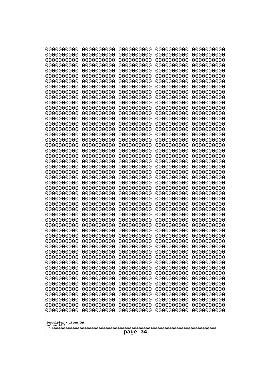| 0000000000                                                                                                  | 0000000000 | 0000000000 | 0000000000 | 0000000000 |
|-------------------------------------------------------------------------------------------------------------|------------|------------|------------|------------|
| 0000000000                                                                                                  | 0000000000 | 0000000000 | 0000000000 | 0000000000 |
| 0000000000                                                                                                  | 0000000000 | 0000000000 | 0000000000 | 0000000000 |
| 0000000000                                                                                                  | 0000000000 | 0000000000 | 0000000000 | 0000000000 |
| 0000000000                                                                                                  | 0000000000 | 0000000000 | 0000000000 | 0000000000 |
| 0000000000                                                                                                  | 0000000000 | 0000000000 | 0000000000 | 0000000000 |
| 0000000000                                                                                                  | 0000000000 | 0000000000 | 0000000000 | 0000000000 |
| 0000000000                                                                                                  | 0000000000 | 0000000000 | 0000000000 | 0000000000 |
| 0000000000                                                                                                  | 0000000000 | 0000000000 | 0000000000 | 0000000000 |
| 0000000000                                                                                                  | 0000000000 | 0000000000 | 0000000000 | 0000000000 |
| 0000000000                                                                                                  | 0000000000 | 0000000000 | 0000000000 | 0000000000 |
| 0000000000                                                                                                  | 0000000000 | 0000000000 | 0000000000 | 0000000000 |
| 0000000000                                                                                                  | 0000000000 | 0000000000 | 0000000000 | 0000000000 |
| 0000000000                                                                                                  | 0000000000 | 0000000000 | 0000000000 | 0000000000 |
| 0000000000                                                                                                  | 0000000000 | 0000000000 | 0000000000 | 0000000000 |
| 0000000000                                                                                                  | 0000000000 | 0000000000 | 0000000000 | 0000000000 |
| 0000000000                                                                                                  | 0000000000 | 0000000000 | 0000000000 | 0000000000 |
| 0000000000                                                                                                  | 0000000000 | 0000000000 | 0000000000 | 0000000000 |
| 0000000000                                                                                                  | 0000000000 | 0000000000 | 0000000000 | 0000000000 |
| 0000000000                                                                                                  | 0000000000 | 0000000000 | 0000000000 | 0000000000 |
| 0000000000                                                                                                  | 0000000000 | 0000000000 | 0000000000 | 0000000000 |
| 0000000000                                                                                                  | 0000000000 | 0000000000 | 0000000000 | 0000000000 |
| 0000000000                                                                                                  | 0000000000 | 0000000000 | 0000000000 | 0000000000 |
| 0000000000                                                                                                  | 0000000000 | 0000000000 | 0000000000 | 0000000000 |
| 0000000000                                                                                                  | 0000000000 | 0000000000 | 0000000000 | 0000000000 |
| 0000000000                                                                                                  | 0000000000 | 0000000000 | 0000000000 | 0000000000 |
| 0000000000                                                                                                  | 0000000000 | 0000000000 | 0000000000 | 0000000000 |
| 0000000000                                                                                                  | 0000000000 | 0000000000 | 0000000000 | 0000000000 |
| 0000000000                                                                                                  | 0000000000 | 0000000000 | 0000000000 | 0000000000 |
| 0000000000                                                                                                  | 0000000000 | 0000000000 | 0000000000 | 0000000000 |
| 0000000000                                                                                                  | 0000000000 | 0000000000 | 0000000000 | 0000000000 |
| 0000000000                                                                                                  | 0000000000 | 0000000000 | 0000000000 | 0000000000 |
| 0000000000                                                                                                  | 0000000000 | 0000000000 | 0000000000 | 0000000000 |
| 0000000000                                                                                                  | 0000000000 | 0000000000 | 0000000000 | 0000000000 |
| 0000000000                                                                                                  | 0000000000 | 0000000000 | 0000000000 | 0000000000 |
| 0000000000                                                                                                  | 0000000000 | 0000000000 | 0000000000 | 0000000000 |
| 0000000000                                                                                                  | 0000000000 | 0000000000 | 0000000000 | 0000000000 |
| 0000000000                                                                                                  | 0000000000 | 0000000000 | 0000000000 | 0000000000 |
| 0000000000                                                                                                  | 0000000000 | 0000000000 | 0000000000 | 0000000000 |
| 0000000000                                                                                                  | 0000000000 | 0000000000 | 0000000000 | 0000000000 |
| 0000000000                                                                                                  | 0000000000 | 0000000000 | 0000000000 | 0000000000 |
| 0000000000                                                                                                  | 0000000000 | 0000000000 | 0000000000 | 0000000000 |
| 0000000000                                                                                                  | 0000000000 | 0000000000 | 0000000000 | 0000000000 |
| 0000000000                                                                                                  | 0000000000 | 0000000000 | 0000000000 | 0000000000 |
| 0000000000                                                                                                  | 0000000000 | 0000000000 | 0000000000 | 0000000000 |
| 0000000000                                                                                                  | 0000000000 | 0000000000 | 0000000000 | 0000000000 |
| 0000000000                                                                                                  | 0000000000 | 0000000000 | 0000000000 | 0000000000 |
| 0000000000                                                                                                  | 0000000000 | 0000000000 | 0000000000 | 0000000000 |
| 0000000000                                                                                                  | 0000000000 | 0000000000 | 0000000000 | 0000000000 |
| 0000000000<br>0000000000<br>0000000000<br>0000000000<br>0000000000<br>Googolplex Written Out<br>volume 1013 |            |            |            |            |
| page 34                                                                                                     |            |            |            |            |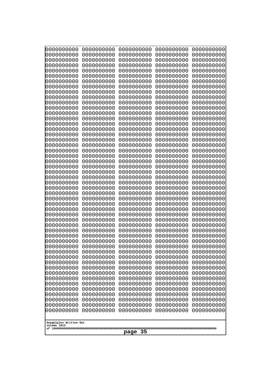| 000000000                             | 0000000000<br>0000000000 | 0000000000               | 0000000000               | 0000000000               |
|---------------------------------------|--------------------------|--------------------------|--------------------------|--------------------------|
| 0000000000<br>0000000000              | 0000000000               | 0000000000<br>0000000000 | 0000000000<br>0000000000 | 0000000000<br>0000000000 |
| 0000000000                            | 0000000000               | 0000000000               | 0000000000               | 0000000000               |
| 0000000000<br>0000000000              | 0000000000<br>0000000000 | 0000000000<br>0000000000 | 0000000000<br>0000000000 | 0000000000<br>0000000000 |
| 0000000000                            | 0000000000               | 0000000000               | 0000000000               | 0000000000               |
| 0000000000                            | 0000000000               | 0000000000               | 0000000000               | 0000000000               |
| 0000000000<br>0000000000              | 0000000000<br>0000000000 | 0000000000<br>0000000000 | 0000000000<br>0000000000 | 0000000000<br>0000000000 |
| 0000000000                            | 0000000000               | 0000000000               | 0000000000               | 0000000000               |
| 0000000000                            | 0000000000               | 0000000000               | 0000000000               | 0000000000               |
| 0000000000<br>0000000000              | 0000000000<br>0000000000 | 0000000000<br>0000000000 | 0000000000<br>0000000000 | 0000000000<br>0000000000 |
| 0000000000                            | 0000000000               | 0000000000               | 0000000000               | 0000000000               |
| 0000000000                            | 0000000000               | 0000000000               | 0000000000               | 0000000000               |
| 0000000000<br>0000000000              | 0000000000<br>0000000000 | 0000000000<br>0000000000 | 0000000000<br>0000000000 | 0000000000<br>0000000000 |
| 0000000000                            | 0000000000               | 0000000000               | 0000000000               | 0000000000               |
| 0000000000                            | 0000000000               | 0000000000               | 0000000000               | 0000000000               |
| 0000000000<br>0000000000              | 0000000000<br>0000000000 | 0000000000<br>0000000000 | 0000000000<br>0000000000 | 0000000000<br>0000000000 |
| 0000000000                            | 0000000000               | 0000000000               | 0000000000               | 0000000000               |
| 0000000000                            | 0000000000               | 0000000000               | 0000000000               | 0000000000               |
| 0000000000<br>0000000000              | 0000000000<br>0000000000 | 0000000000<br>0000000000 | 0000000000<br>0000000000 | 0000000000<br>0000000000 |
| 0000000000                            | 0000000000               | 0000000000               | 0000000000               | 0000000000               |
| 0000000000                            | 0000000000               | 0000000000               | 0000000000               | 0000000000               |
| 0000000000<br>0000000000              | 0000000000<br>0000000000 | 0000000000<br>0000000000 | 0000000000<br>0000000000 | 0000000000<br>0000000000 |
| 0000000000                            | 0000000000               | 0000000000               | 0000000000               | 0000000000               |
| 0000000000                            | 0000000000               | 0000000000               | 0000000000               | 0000000000               |
| 0000000000<br>0000000000              | 0000000000<br>0000000000 | 0000000000<br>0000000000 | 0000000000<br>0000000000 | 0000000000<br>0000000000 |
| 0000000000                            | 0000000000               | 0000000000               | 0000000000               | 0000000000               |
| 0000000000                            | 0000000000               | 0000000000               | 0000000000               | 0000000000               |
| 0000000000<br>0000000000              | 0000000000<br>0000000000 | 0000000000<br>0000000000 | 0000000000<br>0000000000 | 0000000000<br>0000000000 |
| 0000000000                            | 0000000000               | 0000000000               | 0000000000               | 0000000000               |
| 0000000000                            | 0000000000               | 0000000000               | 0000000000               | 0000000000               |
| 0000000000<br>0000000000              | 0000000000<br>0000000000 | 0000000000<br>0000000000 | 0000000000<br>0000000000 | 0000000000<br>0000000000 |
| 0000000000                            | 0000000000               | 0000000000               | 0000000000               | 0000000000               |
| 0000000000                            | 0000000000               | 0000000000               | 0000000000               | 0000000000               |
| 0000000000<br>0000000000              | 0000000000<br>0000000000 | 0000000000<br>0000000000 | 0000000000<br>0000000000 | 0000000000<br>0000000000 |
| 0000000000                            | 0000000000               | 0000000000               | 0000000000               | 0000000000               |
| 0000000000                            | 0000000000               | 0000000000               | 0000000000               | 0000000000               |
| 0000000000<br>0000000000              | 0000000000<br>0000000000 | 0000000000<br>0000000000 | 0000000000<br>0000000000 | 0000000000<br>0000000000 |
|                                       |                          |                          |                          |                          |
| Googolplex Written Out<br>volume 1013 |                          |                          |                          |                          |
| 35<br>page                            |                          |                          |                          |                          |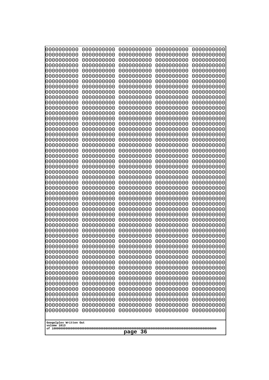| 000000000                              | 0000000000                             | 0000000000                             | 0000000000                             | 0000000000                             |
|----------------------------------------|----------------------------------------|----------------------------------------|----------------------------------------|----------------------------------------|
| 0000000000                             | 0000000000                             | 0000000000                             | 0000000000                             | 0000000000                             |
| 0000000000<br>0000000000<br>0000000000 | 0000000000<br>0000000000<br>0000000000 | 0000000000<br>0000000000<br>0000000000 | 0000000000<br>0000000000               | 0000000000<br>0000000000               |
| 0000000000<br>0000000000               | 0000000000<br>0000000000               | 0000000000<br>0000000000               | 0000000000<br>0000000000<br>0000000000 | 0000000000<br>0000000000<br>0000000000 |
| 0000000000                             | 0000000000                             | 0000000000                             | 0000000000                             | 0000000000                             |
| 0000000000                             | 0000000000                             | 0000000000                             | 0000000000                             | 0000000000                             |
| 0000000000                             | 0000000000                             | 0000000000                             | 0000000000                             | 0000000000                             |
| 0000000000                             | 0000000000                             | 0000000000                             | 0000000000                             | 0000000000                             |
| 0000000000                             | 0000000000                             | 0000000000                             | 0000000000                             | 0000000000                             |
| 0000000000                             | 0000000000                             | 0000000000                             | 0000000000                             | 0000000000                             |
| 0000000000                             | 0000000000                             | 0000000000                             | 0000000000                             | 0000000000                             |
| 0000000000                             | 0000000000                             | 0000000000                             | 0000000000                             | 0000000000                             |
| 0000000000                             | 0000000000                             | 0000000000                             | 0000000000                             | 0000000000                             |
| 0000000000                             | 0000000000                             | 0000000000                             | 0000000000                             | 0000000000                             |
| 0000000000                             | 0000000000                             | 0000000000                             | 0000000000                             | 0000000000                             |
| 0000000000                             | 0000000000                             | 0000000000                             | 0000000000                             | 0000000000                             |
| 0000000000                             | 0000000000                             | 0000000000                             | 0000000000                             | 0000000000                             |
| 0000000000                             | 0000000000                             | 0000000000                             | 0000000000                             | 0000000000                             |
| 0000000000                             | 0000000000                             | 0000000000                             | 0000000000                             | 0000000000                             |
| 0000000000                             | 0000000000                             | 0000000000                             | 0000000000                             | 0000000000                             |
| 0000000000                             | 0000000000                             | 0000000000                             | 0000000000                             | 0000000000                             |
| 0000000000                             | 0000000000                             | 0000000000                             | 0000000000                             | 0000000000                             |
| 0000000000                             | 0000000000                             | 0000000000                             | 0000000000                             | 0000000000                             |
| 0000000000                             | 0000000000                             | 0000000000                             | 0000000000                             | 0000000000                             |
| 0000000000                             | 0000000000                             | 0000000000                             | 0000000000                             | 0000000000                             |
| 0000000000                             | 0000000000                             | 0000000000                             | 0000000000                             | 0000000000                             |
| 0000000000                             | 0000000000                             | 0000000000                             | 0000000000                             | 0000000000                             |
| 0000000000                             | 0000000000                             | 0000000000                             | 0000000000                             | 0000000000                             |
| 0000000000<br>0000000000<br>0000000000 | 0000000000<br>0000000000               | 0000000000<br>0000000000               | 0000000000<br>0000000000<br>0000000000 | 0000000000<br>0000000000               |
| 0000000000<br>0000000000               | 0000000000<br>0000000000<br>0000000000 | 0000000000<br>0000000000<br>0000000000 | 0000000000<br>0000000000               | 0000000000<br>0000000000<br>0000000000 |
| 0000000000                             | 0000000000                             | 0000000000                             | 0000000000                             | 0000000000                             |
| 0000000000                             | 0000000000                             | 0000000000                             | 0000000000                             | 0000000000                             |
| 0000000000                             | 0000000000                             | 0000000000                             | 0000000000                             | 0000000000                             |
| 0000000000                             | 0000000000                             | 0000000000                             | 0000000000                             | 0000000000                             |
| 0000000000                             | 0000000000                             | 0000000000                             | 0000000000                             | 0000000000                             |
| 0000000000                             | 0000000000                             | 0000000000                             | 0000000000                             | 0000000000                             |
| 0000000000                             | 0000000000                             | 0000000000                             | 0000000000                             | 0000000000                             |
| 0000000000                             | 0000000000                             | 0000000000                             | 0000000000                             | 0000000000                             |
| 0000000000                             | 0000000000                             | 0000000000                             | 0000000000                             | 0000000000                             |
| 0000000000                             | 0000000000                             | 0000000000                             | 0000000000                             | 0000000000                             |
| 0000000000                             | 0000000000                             | 0000000000                             | 0000000000                             | 0000000000                             |
| 0000000000                             | 0000000000                             | 0000000000                             | 0000000000                             | 0000000000                             |
| 0000000000                             | 0000000000                             | 0000000000                             | 0000000000                             | 0000000000                             |
| 0000000000                             | 0000000000                             | 0000000000                             | 0000000000                             | 0000000000                             |
| Googolplex Written Out<br>volume 1013  |                                        |                                        |                                        |                                        |
| -36<br>page                            |                                        |                                        |                                        |                                        |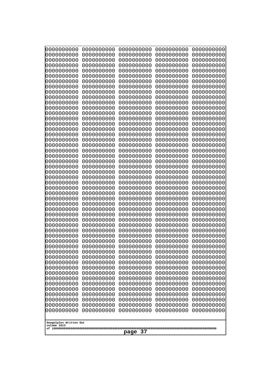| 000000000<br>0000000000               | 0000000000<br>0000000000 | 0000000000<br>0000000000 | 0000000000<br>0000000000 | 0000000000<br>0000000000 |
|---------------------------------------|--------------------------|--------------------------|--------------------------|--------------------------|
| 0000000000<br>0000000000              | 0000000000<br>0000000000 | 0000000000<br>0000000000 | 0000000000<br>0000000000 | 0000000000<br>0000000000 |
| 0000000000                            | 0000000000               | 0000000000               | 0000000000               | 0000000000               |
| 0000000000<br>0000000000              | 0000000000<br>0000000000 | 0000000000<br>0000000000 | 0000000000<br>0000000000 | 0000000000<br>0000000000 |
| 0000000000                            | 0000000000               | 0000000000               | 0000000000               | 0000000000               |
| 0000000000<br>0000000000              | 0000000000<br>0000000000 | 0000000000<br>0000000000 | 0000000000<br>0000000000 | 0000000000<br>0000000000 |
| 0000000000                            | 0000000000               | 0000000000               | 0000000000               | 0000000000               |
| 0000000000                            | 0000000000               | 0000000000               | 0000000000               | 0000000000               |
| 0000000000<br>0000000000              | 0000000000<br>0000000000 | 0000000000<br>0000000000 | 0000000000<br>0000000000 | 0000000000<br>0000000000 |
| 0000000000                            | 0000000000               | 0000000000               | 0000000000               | 0000000000               |
| 0000000000<br>0000000000              | 0000000000<br>0000000000 | 0000000000<br>0000000000 | 0000000000<br>0000000000 | 0000000000<br>0000000000 |
| 0000000000                            | 0000000000               | 0000000000               | 0000000000               | 0000000000               |
| 0000000000<br>0000000000              | 0000000000<br>0000000000 | 0000000000<br>0000000000 | 0000000000<br>0000000000 | 0000000000<br>0000000000 |
| 0000000000                            | 0000000000               | 0000000000               | 0000000000               | 0000000000               |
| 0000000000                            | 0000000000               | 0000000000               | 0000000000               | 0000000000               |
| 0000000000<br>0000000000              | 0000000000<br>0000000000 | 0000000000<br>0000000000 | 0000000000<br>0000000000 | 0000000000<br>0000000000 |
| 0000000000                            | 0000000000               | 0000000000               | 0000000000               | 0000000000               |
| 0000000000<br>0000000000              | 0000000000<br>0000000000 | 0000000000<br>0000000000 | 0000000000<br>0000000000 | 0000000000<br>0000000000 |
| 0000000000                            | 0000000000               | 0000000000               | 0000000000               | 0000000000               |
| 0000000000<br>0000000000              | 0000000000<br>0000000000 | 0000000000<br>0000000000 | 0000000000<br>0000000000 | 0000000000<br>0000000000 |
| 0000000000                            | 0000000000               | 0000000000               | 0000000000               | 0000000000               |
| 0000000000                            | 0000000000               | 0000000000               | 0000000000               | 0000000000               |
| 0000000000<br>0000000000              | 0000000000<br>0000000000 | 0000000000<br>0000000000 | 0000000000<br>0000000000 | 0000000000<br>0000000000 |
| 0000000000                            | 0000000000               | 0000000000               | 0000000000               | 0000000000               |
| 0000000000<br>0000000000              | 0000000000<br>0000000000 | 0000000000<br>0000000000 | 0000000000<br>0000000000 | 0000000000<br>0000000000 |
| 0000000000                            | 0000000000               | 0000000000               | 0000000000               | 0000000000               |
| 0000000000<br>0000000000              | 0000000000<br>0000000000 | 0000000000<br>0000000000 | 0000000000<br>0000000000 | 0000000000<br>0000000000 |
| 0000000000                            | 0000000000               | 0000000000               | 0000000000               | 0000000000               |
| 0000000000                            | 0000000000               | 0000000000               | 0000000000               | 0000000000               |
| 0000000000<br>0000000000              | 0000000000<br>0000000000 | 0000000000<br>0000000000 | 0000000000<br>0000000000 | 0000000000<br>0000000000 |
| 0000000000                            | 0000000000               | 0000000000               | 0000000000               | 0000000000               |
| 0000000000<br>0000000000              | 0000000000<br>0000000000 | 0000000000<br>0000000000 | 0000000000<br>0000000000 | 0000000000<br>0000000000 |
| 0000000000                            | 0000000000               | 0000000000               | 0000000000               | 0000000000               |
| 0000000000<br>0000000000              | 0000000000<br>0000000000 | 0000000000<br>0000000000 | 0000000000<br>0000000000 | 0000000000<br>0000000000 |
|                                       |                          |                          |                          |                          |
| Googolplex Written Out<br>volume 1013 |                          |                          |                          |                          |
| 37<br>page                            |                          |                          |                          |                          |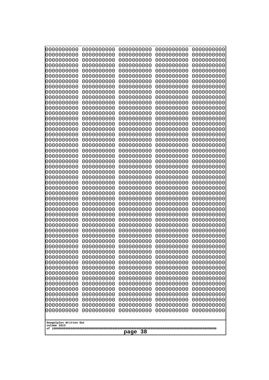| 0000000000                           | 0000000000 | 0000000000 | 0000000000 | 0000000000 |
|--------------------------------------|------------|------------|------------|------------|
| 0000000000                           | 0000000000 | 0000000000 | 0000000000 | 0000000000 |
| 0000000000                           | 0000000000 | 0000000000 | 0000000000 | 0000000000 |
| 0000000000                           | 0000000000 | 0000000000 | 0000000000 | 0000000000 |
| 0000000000                           | 0000000000 | 0000000000 | 0000000000 | 0000000000 |
| 0000000000                           | 0000000000 | 0000000000 | 0000000000 | 0000000000 |
| 0000000000                           | 0000000000 | 0000000000 | 0000000000 | 0000000000 |
| 0000000000                           | 0000000000 | 0000000000 | 0000000000 | 0000000000 |
| 0000000000                           | 0000000000 | 0000000000 | 0000000000 | 0000000000 |
| 0000000000                           | 0000000000 | 0000000000 | 0000000000 | 0000000000 |
| 0000000000                           | 0000000000 | 0000000000 | 0000000000 | 0000000000 |
| 0000000000                           | 0000000000 | 0000000000 | 0000000000 | 0000000000 |
| 0000000000                           | 0000000000 | 0000000000 | 0000000000 | 0000000000 |
| 0000000000                           | 0000000000 | 0000000000 | 0000000000 | 0000000000 |
| 0000000000                           | 0000000000 | 0000000000 | 0000000000 | 0000000000 |
| 0000000000                           | 0000000000 | 0000000000 | 0000000000 | 0000000000 |
| 0000000000                           | 0000000000 | 0000000000 | 0000000000 | 0000000000 |
| 0000000000                           | 0000000000 | 0000000000 | 0000000000 | 0000000000 |
| 0000000000                           | 0000000000 | 0000000000 | 0000000000 | 0000000000 |
| 0000000000                           | 0000000000 | 0000000000 | 0000000000 | 0000000000 |
| 0000000000                           | 0000000000 | 0000000000 | 0000000000 | 0000000000 |
| 0000000000                           | 0000000000 | 0000000000 | 0000000000 | 0000000000 |
| 0000000000                           | 0000000000 | 0000000000 | 0000000000 | 0000000000 |
| 0000000000                           | 0000000000 | 0000000000 | 0000000000 | 0000000000 |
| 0000000000                           | 0000000000 | 0000000000 | 0000000000 | 0000000000 |
| 0000000000                           | 0000000000 | 0000000000 | 0000000000 | 0000000000 |
| 0000000000                           | 0000000000 | 0000000000 | 0000000000 | 0000000000 |
| 0000000000                           | 0000000000 | 0000000000 | 0000000000 | 0000000000 |
| 0000000000                           | 0000000000 | 0000000000 | 0000000000 | 0000000000 |
| 0000000000                           | 0000000000 | 0000000000 | 0000000000 | 0000000000 |
| 0000000000                           | 0000000000 | 0000000000 | 0000000000 | 0000000000 |
| 0000000000                           | 0000000000 | 0000000000 | 0000000000 | 0000000000 |
| 0000000000                           | 0000000000 | 0000000000 | 0000000000 | 0000000000 |
| 0000000000                           | 0000000000 | 0000000000 | 0000000000 | 0000000000 |
| 0000000000                           | 0000000000 | 0000000000 | 0000000000 | 0000000000 |
| 0000000000                           | 0000000000 | 0000000000 | 0000000000 | 0000000000 |
| 0000000000                           | 0000000000 | 0000000000 | 0000000000 | 0000000000 |
| 0000000000                           | 0000000000 | 0000000000 | 0000000000 | 0000000000 |
| 0000000000                           | 0000000000 | 0000000000 | 0000000000 | 0000000000 |
| 0000000000                           | 0000000000 | 0000000000 | 0000000000 | 0000000000 |
| 0000000000                           | 0000000000 | 0000000000 | 0000000000 | 0000000000 |
| 0000000000                           | 0000000000 | 0000000000 | 0000000000 | 0000000000 |
| 0000000000                           | 0000000000 | 0000000000 | 0000000000 | 0000000000 |
| 0000000000                           | 0000000000 | 0000000000 | 0000000000 | 0000000000 |
| 0000000000                           | 0000000000 | 0000000000 | 0000000000 | 0000000000 |
| 0000000000                           | 0000000000 | 0000000000 | 0000000000 | 0000000000 |
| 0000000000                           | 0000000000 | 0000000000 | 0000000000 | 0000000000 |
| 0000000000                           | 0000000000 | 0000000000 | 0000000000 | 0000000000 |
| 0000000000                           | 0000000000 | 0000000000 | 0000000000 | 0000000000 |
| 0000000000<br>Googolplex Written Out | 0000000000 | 0000000000 | 0000000000 | 0000000000 |
| volume 1013<br>page 38               |            |            |            |            |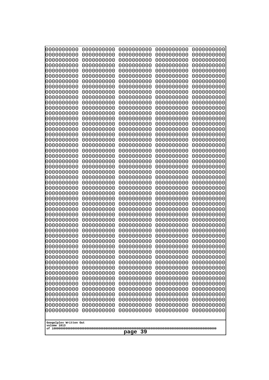| 0000000000                                           | 0000000000                                           | 0000000000                                           | 0000000000                                           | 0000000000                                           |
|------------------------------------------------------|------------------------------------------------------|------------------------------------------------------|------------------------------------------------------|------------------------------------------------------|
| 0000000000                                           | 0000000000                                           | 0000000000                                           | 0000000000                                           | 0000000000                                           |
| 0000000000                                           | 0000000000                                           | 0000000000                                           | 0000000000                                           | 0000000000                                           |
| 0000000000                                           | 0000000000                                           | 0000000000                                           | 0000000000                                           | 0000000000                                           |
| 0000000000                                           | 0000000000                                           | 0000000000                                           | 0000000000                                           | 0000000000                                           |
| 0000000000                                           | 0000000000                                           | 0000000000                                           | 0000000000                                           | 0000000000                                           |
| 0000000000                                           | 0000000000                                           | 0000000000                                           | 0000000000                                           | 0000000000                                           |
| 0000000000                                           | 0000000000                                           | 0000000000                                           | 0000000000                                           | 0000000000                                           |
| 0000000000                                           | 0000000000                                           | 0000000000                                           | 0000000000                                           | 0000000000                                           |
| 0000000000                                           | 0000000000                                           | 0000000000                                           | 0000000000                                           | 0000000000                                           |
| 0000000000                                           | 0000000000                                           | 0000000000                                           | 0000000000                                           | 0000000000                                           |
| 0000000000                                           | 0000000000                                           | 0000000000                                           | 0000000000                                           | 0000000000                                           |
| 0000000000                                           | 0000000000                                           | 0000000000                                           | 0000000000                                           | 0000000000                                           |
| 0000000000                                           | 0000000000                                           | 0000000000                                           | 0000000000                                           | 0000000000                                           |
| 0000000000                                           | 0000000000                                           | 0000000000                                           | 0000000000                                           | 0000000000                                           |
| 0000000000                                           | 0000000000                                           | 0000000000                                           | 0000000000                                           | 0000000000                                           |
| 0000000000<br>0000000000<br>0000000000<br>0000000000 | 0000000000<br>0000000000<br>0000000000<br>0000000000 | 0000000000<br>0000000000<br>0000000000               | 0000000000<br>0000000000<br>0000000000               | 0000000000<br>0000000000<br>0000000000               |
| 0000000000<br>0000000000<br>0000000000               | 0000000000<br>0000000000<br>0000000000               | 0000000000<br>0000000000<br>0000000000<br>0000000000 | 0000000000<br>0000000000<br>0000000000<br>0000000000 | 0000000000<br>0000000000<br>0000000000<br>0000000000 |
| 0000000000                                           | 0000000000                                           | 0000000000                                           | 0000000000                                           | 0000000000                                           |
| 0000000000                                           | 0000000000                                           | 0000000000                                           | 0000000000                                           | 0000000000                                           |
| 0000000000                                           | 0000000000                                           | 0000000000                                           | 0000000000                                           | 0000000000                                           |
| 0000000000                                           | 0000000000                                           | 0000000000                                           | 0000000000                                           | 0000000000                                           |
| 0000000000                                           | 0000000000                                           | 0000000000                                           | 0000000000                                           | 0000000000                                           |
| 0000000000                                           | 0000000000                                           | 0000000000                                           | 0000000000                                           | 0000000000                                           |
| 0000000000                                           | 0000000000                                           | 0000000000                                           | 0000000000                                           | 0000000000                                           |
| 0000000000                                           | 0000000000                                           | 0000000000                                           | 0000000000                                           | 0000000000                                           |
| 0000000000                                           | 0000000000                                           | 0000000000                                           | 0000000000                                           | 0000000000                                           |
| 0000000000                                           | 0000000000                                           | 0000000000                                           | 0000000000                                           | 0000000000                                           |
| 0000000000                                           | 0000000000                                           | 0000000000                                           | 0000000000                                           | 0000000000                                           |
| 0000000000                                           | 0000000000                                           | 0000000000                                           | 0000000000                                           | 0000000000                                           |
| 0000000000                                           | 0000000000                                           | 0000000000                                           | 0000000000                                           | 0000000000                                           |
| 0000000000                                           | 0000000000                                           | 0000000000                                           | 0000000000                                           | 0000000000                                           |
| 0000000000                                           | 0000000000                                           | 0000000000                                           | 0000000000                                           | 0000000000                                           |
| 0000000000                                           | 0000000000                                           | 0000000000                                           | 0000000000                                           | 0000000000                                           |
| 0000000000                                           | 0000000000                                           | 0000000000                                           | 0000000000                                           | 0000000000                                           |
| 0000000000                                           | 0000000000                                           | 0000000000                                           | 0000000000                                           | 0000000000                                           |
| 0000000000                                           | 0000000000                                           | 0000000000                                           | 0000000000                                           | 0000000000                                           |
| 0000000000                                           | 0000000000                                           | 0000000000                                           | 0000000000                                           | 0000000000                                           |
| 0000000000                                           | 0000000000                                           | 0000000000                                           | 0000000000                                           | 0000000000                                           |
| 0000000000                                           | 0000000000                                           | 0000000000                                           | 0000000000                                           | 0000000000                                           |
| 0000000000                                           | 0000000000                                           | 0000000000                                           | 0000000000                                           | 0000000000                                           |
| 0000000000                                           | 0000000000                                           | 0000000000                                           | 0000000000                                           | 0000000000                                           |
| 0000000000                                           | 0000000000                                           | 0000000000                                           | 0000000000                                           | 0000000000                                           |
| 0000000000                                           | 0000000000                                           | 0000000000                                           | 0000000000                                           | 0000000000                                           |
| 0000000000                                           | 0000000000                                           | 0000000000                                           | 0000000000                                           | 0000000000                                           |
| Googolplex Written Out<br>volume 1013<br>page 39     |                                                      |                                                      |                                                      |                                                      |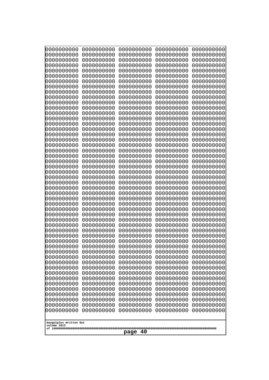| 000000000<br>0000000000               | 0000000000<br>0000000000 | 0000000000<br>0000000000 | 0000000000<br>0000000000 | 0000000000<br>0000000000 |
|---------------------------------------|--------------------------|--------------------------|--------------------------|--------------------------|
| 0000000000                            | 0000000000               | 0000000000               | 0000000000               | 0000000000               |
| 0000000000<br>0000000000              | 0000000000<br>0000000000 | 0000000000<br>0000000000 | 0000000000<br>0000000000 | 0000000000<br>0000000000 |
| 0000000000                            | 0000000000               | 0000000000               | 0000000000               | 0000000000               |
| 0000000000                            | 0000000000               | 0000000000               | 0000000000               | 0000000000               |
| 0000000000                            | 0000000000               | 0000000000               | 0000000000               | 0000000000               |
| 0000000000<br>0000000000              | 0000000000<br>0000000000 | 0000000000<br>0000000000 | 0000000000<br>0000000000 | 0000000000<br>0000000000 |
| 0000000000                            | 0000000000               | 0000000000               | 0000000000               | 0000000000               |
| 0000000000                            | 0000000000               | 0000000000               | 0000000000               | 0000000000               |
| 0000000000<br>0000000000              | 0000000000<br>0000000000 | 0000000000<br>0000000000 | 0000000000<br>0000000000 | 0000000000<br>0000000000 |
| 0000000000                            | 0000000000               | 0000000000               | 0000000000               | 0000000000               |
| 0000000000                            | 0000000000               | 0000000000               | 0000000000               | 0000000000               |
| 0000000000<br>0000000000              | 0000000000<br>0000000000 | 0000000000<br>0000000000 | 0000000000<br>0000000000 | 0000000000<br>0000000000 |
| 0000000000                            | 0000000000               | 0000000000               | 0000000000               | 0000000000               |
| 0000000000<br>0000000000              | 0000000000<br>0000000000 | 0000000000<br>0000000000 | 0000000000<br>0000000000 | 0000000000<br>0000000000 |
| 0000000000                            | 0000000000               | 0000000000               | 0000000000               | 0000000000               |
| 0000000000                            | 0000000000               | 0000000000               | 0000000000               | 0000000000               |
| 0000000000<br>0000000000              | 0000000000<br>0000000000 | 0000000000<br>0000000000 | 0000000000<br>0000000000 | 0000000000<br>0000000000 |
| 0000000000                            | 0000000000               | 0000000000               | 0000000000               | 0000000000               |
| 0000000000                            | 0000000000               | 0000000000               | 0000000000               | 0000000000               |
| 0000000000<br>0000000000              | 0000000000<br>0000000000 | 0000000000<br>0000000000 | 0000000000<br>0000000000 | 0000000000<br>0000000000 |
| 0000000000                            | 0000000000               | 0000000000               | 0000000000               | 0000000000               |
| 0000000000                            | 0000000000               | 0000000000               | 0000000000               | 0000000000               |
| 0000000000<br>0000000000              | 0000000000<br>0000000000 | 0000000000<br>0000000000 | 0000000000<br>0000000000 | 0000000000<br>0000000000 |
| 0000000000                            | 0000000000               | 0000000000               | 0000000000               | 0000000000               |
| 0000000000                            | 0000000000               | 0000000000               | 0000000000               | 0000000000               |
| 0000000000<br>0000000000              | 0000000000<br>0000000000 | 0000000000<br>0000000000 | 0000000000<br>0000000000 | 0000000000<br>0000000000 |
| 0000000000                            | 0000000000               | 0000000000               | 0000000000               | 0000000000               |
| 0000000000                            | 0000000000               | 0000000000               | 0000000000               | 0000000000               |
| 0000000000<br>0000000000              | 0000000000<br>0000000000 | 0000000000<br>0000000000 | 0000000000<br>0000000000 | 0000000000<br>0000000000 |
| 0000000000                            | 0000000000               | 0000000000               | 0000000000               | 0000000000               |
| 0000000000                            | 0000000000               | 0000000000               | 0000000000               | 0000000000               |
| 0000000000<br>0000000000              | 0000000000<br>0000000000 | 0000000000<br>0000000000 | 0000000000<br>0000000000 | 0000000000<br>0000000000 |
| 0000000000                            | 0000000000               | 0000000000               | 0000000000               | 0000000000               |
| 0000000000                            | 0000000000               | 0000000000               | 0000000000               | 0000000000               |
| 0000000000<br>0000000000              | 0000000000<br>0000000000 | 0000000000<br>0000000000 | 0000000000<br>0000000000 | 0000000000<br>0000000000 |
| 0000000000                            | 0000000000               | 0000000000               | 0000000000               | 0000000000               |
|                                       |                          |                          |                          |                          |
| Googolplex Written Out<br>volume 1013 |                          |                          |                          |                          |
| 40<br>page                            |                          |                          |                          |                          |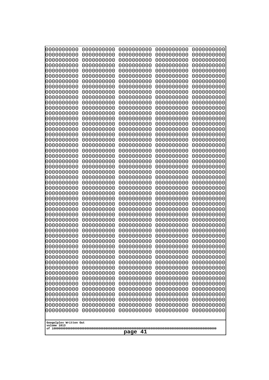| 000000000<br>0000000000               | 0000000000<br>0000000000 | 0000000000<br>0000000000 | 0000000000<br>0000000000 | 0000000000<br>0000000000 |
|---------------------------------------|--------------------------|--------------------------|--------------------------|--------------------------|
| 0000000000                            | 0000000000               | 0000000000               | 0000000000               | 0000000000               |
| 0000000000<br>0000000000              | 0000000000<br>0000000000 | 0000000000<br>0000000000 | 0000000000<br>0000000000 | 0000000000<br>0000000000 |
| 0000000000                            | 0000000000               | 0000000000               | 0000000000               | 0000000000               |
| 0000000000                            | 0000000000               | 0000000000               | 0000000000               | 0000000000               |
| 0000000000<br>0000000000              | 0000000000<br>0000000000 | 0000000000<br>0000000000 | 0000000000<br>0000000000 | 0000000000<br>0000000000 |
| 0000000000                            | 0000000000               | 0000000000               | 0000000000               | 0000000000               |
| 0000000000                            | 0000000000               | 0000000000               | 0000000000               | 0000000000               |
| 0000000000<br>0000000000              | 0000000000<br>0000000000 | 0000000000<br>0000000000 | 0000000000<br>0000000000 | 0000000000<br>0000000000 |
| 0000000000                            | 0000000000               | 0000000000               | 0000000000               | 0000000000               |
| 0000000000                            | 0000000000               | 0000000000               | 0000000000               | 0000000000               |
| 0000000000<br>0000000000              | 0000000000<br>0000000000 | 0000000000<br>0000000000 | 0000000000<br>0000000000 | 0000000000<br>0000000000 |
| 0000000000                            | 0000000000               | 0000000000               | 0000000000               | 0000000000               |
| 0000000000                            | 0000000000               | 0000000000               | 0000000000               | 0000000000               |
| 0000000000<br>0000000000              | 0000000000<br>0000000000 | 0000000000<br>0000000000 | 0000000000<br>0000000000 | 0000000000<br>0000000000 |
| 0000000000                            | 0000000000               | 0000000000               | 0000000000               | 0000000000               |
| 0000000000                            | 0000000000               | 0000000000               | 0000000000               | 0000000000               |
| 0000000000<br>0000000000              | 0000000000<br>0000000000 | 0000000000<br>0000000000 | 0000000000<br>0000000000 | 0000000000<br>0000000000 |
| 0000000000                            | 0000000000               | 0000000000               | 0000000000               | 0000000000               |
| 0000000000                            | 0000000000               | 0000000000               | 0000000000               | 0000000000               |
| 0000000000<br>0000000000              | 0000000000<br>0000000000 | 0000000000<br>0000000000 | 0000000000<br>0000000000 | 0000000000<br>0000000000 |
| 0000000000                            | 0000000000               | 0000000000               | 0000000000               | 0000000000               |
| 0000000000                            | 0000000000               | 0000000000               | 0000000000               | 0000000000               |
| 0000000000<br>0000000000              | 0000000000<br>0000000000 | 0000000000<br>0000000000 | 0000000000<br>0000000000 | 0000000000<br>0000000000 |
| 0000000000                            | 0000000000               | 0000000000               | 0000000000               | 0000000000               |
| 0000000000                            | 0000000000               | 0000000000               | 0000000000               | 0000000000               |
| 0000000000<br>0000000000              | 0000000000<br>0000000000 | 0000000000<br>0000000000 | 0000000000<br>0000000000 | 0000000000<br>0000000000 |
| 0000000000                            | 0000000000               | 0000000000               | 0000000000               | 0000000000               |
| 0000000000                            | 0000000000               | 0000000000               | 0000000000               | 0000000000               |
| 0000000000<br>0000000000              | 0000000000<br>0000000000 | 0000000000<br>0000000000 | 0000000000<br>0000000000 | 0000000000<br>0000000000 |
| 0000000000                            | 0000000000               | 0000000000               | 0000000000               | 0000000000               |
| 0000000000<br>0000000000              | 0000000000<br>0000000000 | 0000000000<br>0000000000 | 0000000000<br>0000000000 | 0000000000<br>0000000000 |
| 0000000000                            | 0000000000               | 0000000000               | 0000000000               | 0000000000               |
| 0000000000                            | 0000000000               | 0000000000               | 0000000000               | 0000000000               |
| 0000000000<br>0000000000              | 0000000000<br>0000000000 | 0000000000<br>0000000000 | 0000000000<br>0000000000 | 0000000000<br>0000000000 |
| 0000000000                            | 0000000000               | 0000000000               | 0000000000               | 0000000000               |
| 0000000000                            | 0000000000               | 0000000000               | 0000000000               | 0000000000               |
|                                       |                          |                          |                          |                          |
| Googolplex Written Out<br>volume 1013 |                          |                          |                          |                          |
| 41<br>page                            |                          |                          |                          |                          |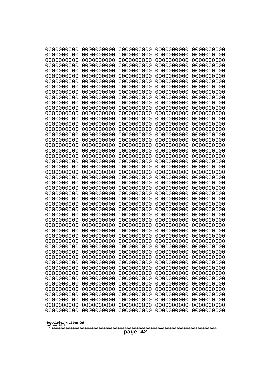| 000000000<br>0000000000               | 0000000000<br>0000000000 | 0000000000<br>0000000000 | 0000000000<br>0000000000 | 0000000000<br>0000000000 |
|---------------------------------------|--------------------------|--------------------------|--------------------------|--------------------------|
| 0000000000                            | 0000000000               | 0000000000               | 0000000000               | 0000000000               |
| 0000000000<br>0000000000              | 0000000000<br>0000000000 | 0000000000<br>0000000000 | 0000000000<br>0000000000 | 0000000000<br>0000000000 |
| 0000000000                            | 0000000000               | 0000000000               | 0000000000               | 0000000000               |
| 0000000000<br>0000000000              | 0000000000<br>0000000000 | 0000000000<br>0000000000 | 0000000000<br>0000000000 | 0000000000<br>0000000000 |
| 0000000000                            | 0000000000               | 0000000000               | 0000000000               | 0000000000               |
| 0000000000<br>0000000000              | 0000000000<br>0000000000 | 0000000000<br>0000000000 | 0000000000<br>0000000000 | 0000000000<br>0000000000 |
| 0000000000                            | 0000000000               | 0000000000               | 0000000000               | 0000000000               |
| 0000000000<br>0000000000              | 0000000000<br>0000000000 | 0000000000<br>0000000000 | 0000000000<br>0000000000 | 0000000000<br>0000000000 |
| 0000000000                            | 0000000000               | 0000000000               | 0000000000               | 0000000000               |
| 0000000000<br>0000000000              | 0000000000<br>0000000000 | 0000000000<br>0000000000 | 0000000000<br>0000000000 | 0000000000<br>0000000000 |
| 0000000000                            | 0000000000               | 0000000000               | 0000000000               | 0000000000               |
| 0000000000<br>0000000000              | 0000000000<br>0000000000 | 0000000000<br>0000000000 | 0000000000<br>0000000000 | 0000000000<br>0000000000 |
| 0000000000                            | 0000000000               | 0000000000               | 0000000000               | 0000000000               |
| 0000000000<br>0000000000              | 0000000000<br>0000000000 | 0000000000<br>0000000000 | 0000000000<br>0000000000 | 0000000000<br>0000000000 |
| 0000000000                            | 0000000000               | 0000000000               | 0000000000               | 0000000000               |
| 0000000000<br>0000000000              | 0000000000<br>0000000000 | 0000000000<br>0000000000 | 0000000000<br>0000000000 | 0000000000<br>0000000000 |
| 0000000000                            | 0000000000               | 0000000000               | 0000000000               | 0000000000               |
| 0000000000<br>0000000000              | 0000000000<br>0000000000 | 0000000000<br>0000000000 | 0000000000<br>0000000000 | 0000000000<br>0000000000 |
| 0000000000                            | 0000000000               | 0000000000               | 0000000000               | 0000000000               |
| 0000000000<br>0000000000              | 0000000000<br>0000000000 | 0000000000<br>0000000000 | 0000000000<br>0000000000 | 0000000000<br>0000000000 |
| 0000000000                            | 0000000000               | 0000000000               | 0000000000               | 0000000000               |
| 0000000000<br>0000000000              | 0000000000<br>0000000000 | 0000000000<br>0000000000 | 0000000000<br>0000000000 | 0000000000<br>0000000000 |
| 0000000000                            | 0000000000               | 0000000000               | 0000000000               | 0000000000               |
| 0000000000<br>0000000000              | 0000000000<br>0000000000 | 0000000000<br>0000000000 | 0000000000<br>0000000000 | 0000000000<br>0000000000 |
| 0000000000                            | 0000000000               | 0000000000               | 0000000000               | 0000000000               |
| 0000000000<br>0000000000              | 0000000000<br>0000000000 | 0000000000<br>0000000000 | 0000000000<br>0000000000 | 0000000000<br>0000000000 |
| 0000000000                            | 0000000000               | 0000000000               | 0000000000               | 0000000000               |
| 0000000000<br>0000000000              | 0000000000<br>0000000000 | 0000000000<br>0000000000 | 0000000000<br>0000000000 | 0000000000<br>0000000000 |
| 0000000000                            | 0000000000               | 0000000000               | 0000000000               | 0000000000               |
| 0000000000<br>0000000000              | 0000000000<br>0000000000 | 0000000000<br>0000000000 | 0000000000<br>0000000000 | 0000000000<br>0000000000 |
| 0000000000                            | 0000000000               | 0000000000               | 0000000000               | 0000000000               |
| 0000000000<br>0000000000              | 0000000000<br>0000000000 | 0000000000<br>0000000000 | 0000000000<br>0000000000 | 0000000000<br>0000000000 |
|                                       |                          |                          |                          |                          |
| Googolplex Written Out<br>volume 1013 |                          |                          |                          |                          |
| 42<br>page                            |                          |                          |                          |                          |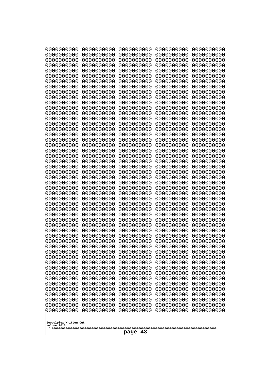| 0000000000                                                         | 0000000000                                                                                                                                           | 0000000000                                                         | 0000000000                                                         | 0000000000                                                         |  |
|--------------------------------------------------------------------|------------------------------------------------------------------------------------------------------------------------------------------------------|--------------------------------------------------------------------|--------------------------------------------------------------------|--------------------------------------------------------------------|--|
| 0000000000                                                         | 0000000000                                                                                                                                           | 0000000000                                                         | 0000000000                                                         | 0000000000                                                         |  |
| 0000000000                                                         | 0000000000                                                                                                                                           | 0000000000                                                         | 0000000000                                                         | 0000000000                                                         |  |
| 0000000000                                                         | 0000000000                                                                                                                                           | 0000000000                                                         | 0000000000                                                         | 0000000000                                                         |  |
| 0000000000                                                         | 0000000000                                                                                                                                           | 0000000000                                                         | 0000000000                                                         | 0000000000                                                         |  |
| 0000000000                                                         | 0000000000                                                                                                                                           | 0000000000                                                         | 0000000000                                                         | 0000000000                                                         |  |
| 0000000000                                                         | 0000000000                                                                                                                                           | 0000000000                                                         | 0000000000                                                         | 0000000000                                                         |  |
| 0000000000                                                         | 0000000000                                                                                                                                           | 0000000000                                                         | 0000000000                                                         | 0000000000                                                         |  |
| 0000000000                                                         | 0000000000                                                                                                                                           | 0000000000                                                         | 0000000000                                                         | 0000000000                                                         |  |
| 0000000000                                                         | 0000000000                                                                                                                                           | 0000000000                                                         | 0000000000                                                         | 0000000000                                                         |  |
| 0000000000                                                         | 0000000000                                                                                                                                           | 0000000000                                                         | 0000000000                                                         | 0000000000                                                         |  |
| 0000000000                                                         | 0000000000                                                                                                                                           | 0000000000                                                         | 0000000000                                                         | 0000000000                                                         |  |
| 0000000000                                                         | 0000000000                                                                                                                                           | 0000000000                                                         | 0000000000                                                         | 0000000000                                                         |  |
| 0000000000                                                         | 0000000000                                                                                                                                           | 0000000000                                                         | 0000000000                                                         | 0000000000                                                         |  |
| 0000000000                                                         | 0000000000                                                                                                                                           | 0000000000                                                         | 0000000000                                                         | 0000000000                                                         |  |
| 0000000000                                                         | 0000000000                                                                                                                                           | 0000000000                                                         | 0000000000                                                         | 0000000000                                                         |  |
| 0000000000                                                         | 0000000000                                                                                                                                           | 0000000000                                                         | 0000000000                                                         | 0000000000                                                         |  |
| 0000000000                                                         | 0000000000                                                                                                                                           | 0000000000                                                         | 0000000000                                                         | 0000000000                                                         |  |
| 0000000000                                                         | 0000000000                                                                                                                                           | 0000000000                                                         | 0000000000                                                         | 0000000000                                                         |  |
| 0000000000                                                         | 0000000000                                                                                                                                           | 0000000000                                                         | 0000000000                                                         | 0000000000                                                         |  |
| 0000000000                                                         | 0000000000                                                                                                                                           | 0000000000                                                         | 0000000000                                                         | 0000000000                                                         |  |
| 0000000000                                                         | 0000000000                                                                                                                                           | 0000000000                                                         | 0000000000                                                         | 0000000000                                                         |  |
| 0000000000                                                         | 0000000000                                                                                                                                           | 0000000000                                                         | 0000000000                                                         | 0000000000                                                         |  |
| 0000000000                                                         | 0000000000                                                                                                                                           | 0000000000                                                         | 0000000000                                                         | 0000000000                                                         |  |
| 0000000000                                                         | 0000000000                                                                                                                                           | 0000000000                                                         | 0000000000                                                         | 0000000000                                                         |  |
| 0000000000                                                         | 0000000000                                                                                                                                           | 0000000000                                                         | 0000000000                                                         | 0000000000                                                         |  |
| 0000000000                                                         | 0000000000                                                                                                                                           | 0000000000                                                         | 0000000000                                                         | 0000000000                                                         |  |
| 0000000000                                                         | 0000000000                                                                                                                                           | 0000000000                                                         | 0000000000                                                         | 0000000000                                                         |  |
| 0000000000                                                         | 0000000000                                                                                                                                           | 0000000000                                                         | 0000000000                                                         | 0000000000                                                         |  |
| 0000000000                                                         | 0000000000                                                                                                                                           | 0000000000                                                         | 0000000000                                                         | 0000000000                                                         |  |
| 0000000000                                                         | 0000000000                                                                                                                                           | 0000000000                                                         | 0000000000                                                         | 0000000000                                                         |  |
| 0000000000<br>0000000000<br>0000000000<br>0000000000               | 0000000000<br>0000000000<br>0000000000<br>0000000000                                                                                                 | 0000000000<br>0000000000<br>0000000000<br>0000000000<br>0000000000 | 0000000000<br>0000000000<br>0000000000<br>0000000000               | 0000000000<br>0000000000<br>0000000000<br>0000000000<br>0000000000 |  |
| 0000000000<br>0000000000<br>0000000000<br>0000000000<br>0000000000 | 0000000000<br>0000000000<br>0000000000<br>0000000000<br>0000000000                                                                                   | 0000000000<br>0000000000<br>0000000000<br>0000000000               | 0000000000<br>0000000000<br>0000000000<br>0000000000<br>0000000000 | 0000000000<br>0000000000<br>0000000000<br>0000000000               |  |
| 0000000000                                                         | 0000000000                                                                                                                                           | 0000000000                                                         | 0000000000                                                         | 0000000000                                                         |  |
| 0000000000                                                         | 0000000000                                                                                                                                           | 0000000000                                                         | 0000000000                                                         | 0000000000                                                         |  |
| 0000000000                                                         | 0000000000                                                                                                                                           | 0000000000                                                         | 0000000000                                                         | 0000000000                                                         |  |
| 0000000000                                                         | 0000000000                                                                                                                                           | 0000000000                                                         | 0000000000                                                         | 0000000000                                                         |  |
| 0000000000                                                         | 0000000000                                                                                                                                           | 0000000000                                                         | 0000000000                                                         | 0000000000                                                         |  |
| 0000000000                                                         | 0000000000                                                                                                                                           | 0000000000                                                         | 0000000000                                                         | 0000000000                                                         |  |
| 0000000000                                                         | 0000000000                                                                                                                                           | 0000000000                                                         | 0000000000                                                         | 0000000000                                                         |  |
| 0000000000                                                         | 0000000000                                                                                                                                           | 0000000000                                                         | 0000000000                                                         | 0000000000                                                         |  |
| 0000000000<br>volume 1013                                          | 0000000000<br>0000000000<br>0000000000<br>0000000000<br>0000000000<br>0000000000<br>0000000000<br>0000000000<br>0000000000<br>Googolplex Written Out |                                                                    |                                                                    |                                                                    |  |
|                                                                    |                                                                                                                                                      | -43<br>page                                                        |                                                                    |                                                                    |  |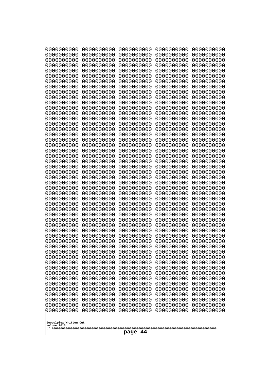| 000000000<br>0000000000               | 0000000000<br>0000000000 | 0000000000<br>0000000000 | 0000000000<br>0000000000 | 0000000000<br>0000000000 |
|---------------------------------------|--------------------------|--------------------------|--------------------------|--------------------------|
| 0000000000                            | 0000000000               | 0000000000               | 0000000000               | 0000000000               |
| 0000000000<br>0000000000              | 0000000000<br>0000000000 | 0000000000<br>0000000000 | 0000000000<br>0000000000 | 0000000000<br>0000000000 |
| 0000000000                            | 0000000000               | 0000000000               | 0000000000               | 0000000000               |
| 0000000000<br>0000000000              | 0000000000<br>0000000000 | 0000000000<br>0000000000 | 0000000000<br>0000000000 | 0000000000<br>0000000000 |
| 0000000000                            | 0000000000               | 0000000000               | 0000000000               | 0000000000               |
| 0000000000<br>0000000000              | 0000000000<br>0000000000 | 0000000000<br>0000000000 | 0000000000<br>0000000000 | 0000000000<br>0000000000 |
| 0000000000                            | 0000000000               | 0000000000               | 0000000000               | 0000000000               |
| 0000000000<br>0000000000              | 0000000000<br>0000000000 | 0000000000<br>0000000000 | 0000000000<br>0000000000 | 0000000000<br>0000000000 |
| 0000000000                            | 0000000000               | 0000000000               | 0000000000               | 0000000000               |
| 0000000000<br>0000000000              | 0000000000<br>0000000000 | 0000000000<br>0000000000 | 0000000000<br>0000000000 | 0000000000<br>0000000000 |
| 0000000000                            | 0000000000               | 0000000000               | 0000000000               | 0000000000               |
| 0000000000<br>0000000000              | 0000000000<br>0000000000 | 0000000000<br>0000000000 | 0000000000<br>0000000000 | 0000000000<br>0000000000 |
| 0000000000                            | 0000000000               | 0000000000               | 0000000000               | 0000000000               |
| 0000000000<br>0000000000              | 0000000000<br>0000000000 | 0000000000<br>0000000000 | 0000000000<br>0000000000 | 0000000000<br>0000000000 |
| 0000000000                            | 0000000000               | 0000000000               | 0000000000               | 0000000000               |
| 0000000000<br>0000000000              | 0000000000<br>0000000000 | 0000000000<br>0000000000 | 0000000000<br>0000000000 | 0000000000<br>0000000000 |
| 0000000000                            | 0000000000               | 0000000000               | 0000000000               | 0000000000               |
| 0000000000<br>0000000000              | 0000000000<br>0000000000 | 0000000000<br>0000000000 | 0000000000<br>0000000000 | 0000000000<br>0000000000 |
| 0000000000                            | 0000000000               | 0000000000               | 0000000000               | 0000000000               |
| 0000000000<br>0000000000              | 0000000000<br>0000000000 | 0000000000<br>0000000000 | 0000000000<br>0000000000 | 0000000000<br>0000000000 |
| 0000000000                            | 0000000000               | 0000000000               | 0000000000               | 0000000000               |
| 0000000000<br>0000000000              | 0000000000               | 0000000000<br>0000000000 | 0000000000               | 0000000000<br>0000000000 |
| 0000000000                            | 0000000000<br>0000000000 | 0000000000               | 0000000000<br>0000000000 | 0000000000               |
| 0000000000                            | 0000000000               | 0000000000               | 0000000000               | 0000000000               |
| 0000000000<br>0000000000              | 0000000000<br>0000000000 | 0000000000<br>0000000000 | 0000000000<br>0000000000 | 0000000000<br>0000000000 |
| 0000000000                            | 0000000000               | 0000000000               | 0000000000               | 0000000000               |
| 0000000000<br>0000000000              | 0000000000<br>0000000000 | 0000000000<br>0000000000 | 0000000000<br>0000000000 | 0000000000<br>0000000000 |
| 0000000000                            | 0000000000               | 0000000000               | 0000000000               | 0000000000               |
| 0000000000<br>0000000000              | 0000000000<br>0000000000 | 0000000000<br>0000000000 | 0000000000<br>0000000000 | 0000000000<br>0000000000 |
| 0000000000                            | 0000000000               | 0000000000               | 0000000000               | 0000000000               |
| 0000000000<br>0000000000              | 0000000000<br>0000000000 | 0000000000<br>0000000000 | 0000000000<br>0000000000 | 0000000000<br>0000000000 |
| 0000000000                            | 0000000000               | 0000000000               | 0000000000               | 0000000000               |
| 0000000000                            | 0000000000               | 0000000000               | 0000000000               | 0000000000               |
| Googolplex Written Out<br>volume 1013 |                          |                          |                          |                          |
| 44<br>page                            |                          |                          |                          |                          |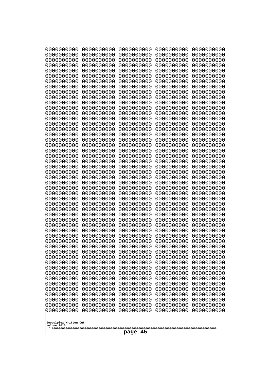| 0000000000<br>0000000000<br>0000000000<br>0000000000<br>0000000000<br>0000000000<br>0000000000<br>0000000000<br>0000000000<br>0000000000<br>0000000000<br>0000000000<br>0000000000<br>0000000000<br>0000000000<br>0000000000<br>0000000000<br>0000000000<br>0000000000<br>0000000000<br>0000000000<br>0000000000<br>0000000000<br>0000000000<br>0000000000<br>0000000000<br>0000000000<br>0000000000<br>0000000000<br>0000000000<br>0000000000<br>0000000000<br>0000000000<br>0000000000<br>0000000000<br>0000000000<br>0000000000<br>10000000000<br>0000000000<br>0000000000<br>0000000000<br>0000000000<br>0000000000<br>0000000000<br>0000000000<br>0000000000<br>0000000000<br>0000000000<br>0000000000<br>0000000000 | 0000000000<br>0000000000<br>0000000000<br>0000000000<br>0000000000<br>0000000000<br>0000000000<br>0000000000<br>0000000000<br>0000000000<br>0000000000<br>0000000000<br>0000000000<br>0000000000<br>0000000000<br>0000000000<br>0000000000<br>0000000000<br>0000000000<br>0000000000<br>0000000000<br>0000000000<br>0000000000<br>0000000000<br>0000000000<br>0000000000<br>0000000000<br>0000000000<br>0000000000<br>0000000000<br>0000000000<br>0000000000<br>0000000000<br>0000000000<br>0000000000<br>0000000000<br>0000000000<br>0000000000<br>0000000000<br>0000000000<br>0000000000<br>0000000000<br>0000000000<br>0000000000<br>0000000000<br>0000000000<br>0000000000<br>0000000000<br>0000000000<br>0000000000 | 0000000000<br>0000000000<br>0000000000<br>0000000000<br>0000000000<br>0000000000<br>0000000000<br>0000000000<br>0000000000<br>0000000000<br>0000000000<br>0000000000<br>0000000000<br>0000000000<br>0000000000<br>0000000000<br>0000000000<br>0000000000<br>0000000000<br>0000000000<br>0000000000<br>0000000000<br>0000000000<br>0000000000<br>0000000000<br>0000000000<br>0000000000<br>0000000000<br>0000000000<br>0000000000<br>0000000000<br>0000000000<br>0000000000<br>0000000000<br>0000000000<br>0000000000<br>0000000000<br>0000000000<br>0000000000<br>0000000000<br>0000000000<br>0000000000<br>0000000000<br>0000000000<br>0000000000<br>0000000000<br>0000000000<br>0000000000<br>0000000000<br>0000000000 | 0000000000<br>0000000000<br>0000000000<br>0000000000<br>0000000000<br>0000000000<br>0000000000<br>0000000000<br>0000000000<br>0000000000<br>0000000000<br>0000000000<br>0000000000<br>0000000000<br>0000000000<br>0000000000<br>0000000000<br>0000000000<br>0000000000<br>0000000000<br>0000000000<br>0000000000<br>0000000000<br>0000000000<br>0000000000<br>0000000000<br>0000000000<br>0000000000<br>0000000000<br>0000000000<br>0000000000<br>0000000000<br>0000000000<br>0000000000<br>0000000000<br>0000000000<br>0000000000<br>0000000000<br>0000000000<br>0000000000<br>0000000000<br>0000000000<br>0000000000<br>0000000000<br>0000000000<br>0000000000<br>0000000000<br>0000000000<br>0000000000<br>0000000000 | 0000000000<br>0000000000<br>0000000000<br>0000000000<br>0000000000<br>0000000000<br>0000000000<br>0000000000<br>0000000000<br>0000000000<br>0000000000<br>0000000000<br>0000000000<br>0000000000<br>0000000000<br>0000000000<br>0000000000<br>0000000000<br>0000000000<br>0000000000<br>0000000000<br>0000000000<br>0000000000<br>0000000000<br>0000000000<br>0000000000<br>0000000000<br>0000000000<br>0000000000<br>0000000000<br>0000000000<br>0000000000<br>0000000000<br>0000000000<br>0000000000<br>0000000000<br>0000000000<br>0000000000<br>0000000000<br>0000000000<br>0000000000<br>0000000000<br>0000000000<br>0000000000<br>0000000000<br>0000000000<br>0000000000<br>0000000000<br>0000000000<br>0000000000 |
|---------------------------------------------------------------------------------------------------------------------------------------------------------------------------------------------------------------------------------------------------------------------------------------------------------------------------------------------------------------------------------------------------------------------------------------------------------------------------------------------------------------------------------------------------------------------------------------------------------------------------------------------------------------------------------------------------------------------------|--------------------------------------------------------------------------------------------------------------------------------------------------------------------------------------------------------------------------------------------------------------------------------------------------------------------------------------------------------------------------------------------------------------------------------------------------------------------------------------------------------------------------------------------------------------------------------------------------------------------------------------------------------------------------------------------------------------------------|--------------------------------------------------------------------------------------------------------------------------------------------------------------------------------------------------------------------------------------------------------------------------------------------------------------------------------------------------------------------------------------------------------------------------------------------------------------------------------------------------------------------------------------------------------------------------------------------------------------------------------------------------------------------------------------------------------------------------|--------------------------------------------------------------------------------------------------------------------------------------------------------------------------------------------------------------------------------------------------------------------------------------------------------------------------------------------------------------------------------------------------------------------------------------------------------------------------------------------------------------------------------------------------------------------------------------------------------------------------------------------------------------------------------------------------------------------------|--------------------------------------------------------------------------------------------------------------------------------------------------------------------------------------------------------------------------------------------------------------------------------------------------------------------------------------------------------------------------------------------------------------------------------------------------------------------------------------------------------------------------------------------------------------------------------------------------------------------------------------------------------------------------------------------------------------------------|
| Googolplex Written Out<br>volume 1013                                                                                                                                                                                                                                                                                                                                                                                                                                                                                                                                                                                                                                                                                     |                                                                                                                                                                                                                                                                                                                                                                                                                                                                                                                                                                                                                                                                                                                          |                                                                                                                                                                                                                                                                                                                                                                                                                                                                                                                                                                                                                                                                                                                          |                                                                                                                                                                                                                                                                                                                                                                                                                                                                                                                                                                                                                                                                                                                          |                                                                                                                                                                                                                                                                                                                                                                                                                                                                                                                                                                                                                                                                                                                          |
| 45<br>page                                                                                                                                                                                                                                                                                                                                                                                                                                                                                                                                                                                                                                                                                                                |                                                                                                                                                                                                                                                                                                                                                                                                                                                                                                                                                                                                                                                                                                                          |                                                                                                                                                                                                                                                                                                                                                                                                                                                                                                                                                                                                                                                                                                                          |                                                                                                                                                                                                                                                                                                                                                                                                                                                                                                                                                                                                                                                                                                                          |                                                                                                                                                                                                                                                                                                                                                                                                                                                                                                                                                                                                                                                                                                                          |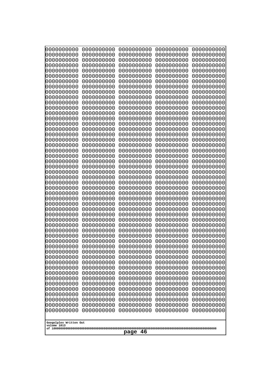| 0000000000                                          | 0000000000 | 0000000000 | 0000000000 | 0000000000 |
|-----------------------------------------------------|------------|------------|------------|------------|
| 1000000000                                          | 0000000000 | 0000000000 | 0000000000 | 0000000000 |
| 1000000000                                          | 0000000000 | 0000000000 | 0000000000 | 0000000000 |
| 0000000000                                          | 0000000000 | 0000000000 | 0000000000 | 0000000000 |
| 0000000000                                          | 0000000000 | 0000000000 | 0000000000 | 0000000000 |
| 0000000000                                          | 0000000000 | 0000000000 | 0000000000 | 0000000000 |
| 0000000000                                          | 0000000000 | 0000000000 | 0000000000 | 0000000000 |
| 0000000000                                          | 0000000000 | 0000000000 | 0000000000 | 0000000000 |
| 0000000000                                          | 0000000000 | 0000000000 | 0000000000 | 0000000000 |
| 0000000000                                          | 0000000000 | 0000000000 | 0000000000 | 0000000000 |
| 0000000000                                          | 0000000000 | 0000000000 | 0000000000 | 0000000000 |
| 0000000000                                          | 0000000000 | 0000000000 | 0000000000 | 0000000000 |
| 0000000000                                          | 0000000000 | 0000000000 | 0000000000 | 0000000000 |
| 0000000000                                          | 0000000000 | 0000000000 | 0000000000 | 0000000000 |
| 0000000000                                          | 0000000000 | 0000000000 | 0000000000 | 0000000000 |
| 0000000000                                          | 0000000000 | 0000000000 | 0000000000 | 0000000000 |
| 0000000000                                          | 0000000000 | 0000000000 | 0000000000 | 0000000000 |
| 0000000000                                          | 0000000000 | 0000000000 | 0000000000 | 0000000000 |
| looooooooo                                          | 0000000000 | 0000000000 | 0000000000 | 0000000000 |
| 0000000000                                          | 0000000000 | 0000000000 | 0000000000 | 0000000000 |
| 0000000000                                          | 0000000000 | 0000000000 | 0000000000 | 0000000000 |
| 0000000000                                          | 0000000000 | 0000000000 | 0000000000 | 0000000000 |
| 0000000000                                          | 0000000000 | 0000000000 | 0000000000 | 0000000000 |
| 0000000000                                          | 0000000000 | 0000000000 | 0000000000 | 0000000000 |
| 0000000000                                          | 0000000000 | 0000000000 | 0000000000 | 0000000000 |
| 0000000000                                          | 0000000000 | 0000000000 | 0000000000 | 0000000000 |
| 0000000000                                          | 0000000000 | 0000000000 | 0000000000 | 0000000000 |
| 0000000000                                          | 0000000000 | 0000000000 | 0000000000 | 0000000000 |
| 0000000000                                          | 0000000000 | 0000000000 | 0000000000 | 0000000000 |
| 0000000000                                          | 0000000000 | 0000000000 | 0000000000 | 0000000000 |
| 0000000000                                          | 0000000000 | 0000000000 | 0000000000 | 0000000000 |
| 0000000000                                          | 0000000000 | 0000000000 | 0000000000 | 0000000000 |
| 0000000000                                          | 0000000000 | 0000000000 | 0000000000 | 0000000000 |
| 0000000000                                          | 0000000000 | 0000000000 | 0000000000 | 0000000000 |
| 0000000000                                          | 0000000000 | 0000000000 | 0000000000 | 0000000000 |
| 0000000000                                          | 0000000000 | 0000000000 | 0000000000 | 0000000000 |
| 0000000000                                          | 0000000000 | 0000000000 | 0000000000 | 0000000000 |
| 0000000000                                          | 0000000000 | 0000000000 | 0000000000 | 0000000000 |
| 0000000000                                          | 0000000000 | 0000000000 | 0000000000 | 0000000000 |
| 0000000000                                          | 0000000000 | 0000000000 | 0000000000 | 0000000000 |
| 0000000000                                          | 0000000000 | 0000000000 | 0000000000 | 0000000000 |
| 0000000000                                          | 0000000000 | 0000000000 | 0000000000 | 0000000000 |
| 0000000000                                          | 0000000000 | 0000000000 | 0000000000 | 0000000000 |
| 0000000000                                          | 0000000000 | 0000000000 | 0000000000 | 0000000000 |
| 0000000000                                          | 0000000000 | 0000000000 | 0000000000 | 0000000000 |
| 0000000000                                          | 0000000000 | 0000000000 | 0000000000 | 0000000000 |
| 0000000000                                          | 0000000000 | 0000000000 | 0000000000 | 0000000000 |
| 0000000000                                          | 0000000000 | 0000000000 | 0000000000 | 0000000000 |
| 0000000000                                          | 0000000000 | 0000000000 | 0000000000 | 0000000000 |
| 0000000000                                          | 0000000000 | 0000000000 | 0000000000 | 0000000000 |
| Googolplex Written Out<br>volume 1013<br>46<br>page |            |            |            |            |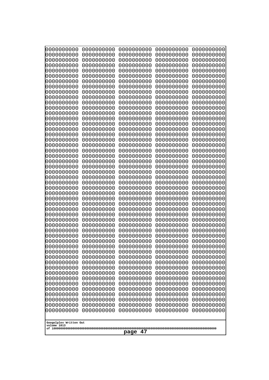| 0000000000                                          | 0000000000 | 0000000000 | 0000000000 | 0000000000 |
|-----------------------------------------------------|------------|------------|------------|------------|
| 0000000000                                          | 0000000000 | 0000000000 | 0000000000 | 0000000000 |
| 0000000000                                          | 0000000000 | 0000000000 | 0000000000 | 0000000000 |
| 0000000000                                          | 0000000000 | 0000000000 | 0000000000 | 0000000000 |
| 1000000000                                          | 0000000000 | 0000000000 | 0000000000 | 0000000000 |
| 0000000000                                          | 0000000000 | 0000000000 | 0000000000 | 0000000000 |
| 0000000000                                          | 0000000000 | 0000000000 | 0000000000 | 0000000000 |
| 0000000000                                          | 0000000000 | 0000000000 | 0000000000 | 0000000000 |
| 0000000000                                          | 0000000000 | 0000000000 | 0000000000 | 0000000000 |
| 0000000000                                          | 0000000000 | 0000000000 | 0000000000 | 0000000000 |
| 0000000000                                          | 0000000000 | 0000000000 | 0000000000 | 0000000000 |
| 0000000000                                          | 0000000000 | 0000000000 | 0000000000 | 0000000000 |
| 0000000000                                          | 0000000000 | 0000000000 | 0000000000 | 0000000000 |
| 0000000000                                          | 0000000000 | 0000000000 | 0000000000 | 0000000000 |
| 0000000000                                          | 0000000000 | 0000000000 | 0000000000 | 0000000000 |
| 0000000000                                          | 0000000000 | 0000000000 | 0000000000 | 0000000000 |
| 0000000000                                          | 0000000000 | 0000000000 | 0000000000 | 0000000000 |
| 0000000000                                          | 0000000000 | 0000000000 | 0000000000 | 0000000000 |
| 0000000000                                          | 0000000000 | 0000000000 | 0000000000 | 0000000000 |
| 0000000000                                          | 0000000000 | 0000000000 | 0000000000 | 0000000000 |
| 0000000000                                          | 0000000000 | 0000000000 | 0000000000 | 0000000000 |
| 0000000000                                          | 0000000000 | 0000000000 | 0000000000 | 0000000000 |
| 0000000000                                          | 0000000000 | 0000000000 | 0000000000 | 0000000000 |
| 0000000000                                          | 0000000000 | 0000000000 | 0000000000 | 0000000000 |
| 0000000000                                          | 0000000000 | 0000000000 | 0000000000 | 0000000000 |
| 0000000000                                          | 0000000000 | 0000000000 | 0000000000 | 0000000000 |
| 0000000000                                          | 0000000000 | 0000000000 | 0000000000 | 0000000000 |
| 0000000000                                          | 0000000000 | 0000000000 | 0000000000 | 0000000000 |
| 0000000000                                          | 0000000000 | 0000000000 | 0000000000 | 0000000000 |
| 0000000000                                          | 0000000000 | 0000000000 | 0000000000 | 0000000000 |
| 0000000000                                          | 0000000000 | 0000000000 | 0000000000 | 0000000000 |
| 0000000000                                          | 0000000000 | 0000000000 | 0000000000 | 0000000000 |
| 0000000000                                          | 0000000000 | 0000000000 | 0000000000 | 0000000000 |
| 0000000000                                          | 0000000000 | 0000000000 | 0000000000 | 0000000000 |
| 0000000000                                          | 0000000000 | 0000000000 | 0000000000 | 0000000000 |
| 0000000000                                          | 0000000000 | 0000000000 | 0000000000 | 0000000000 |
| 0000000000                                          | 0000000000 | 0000000000 | 0000000000 | 0000000000 |
| 0000000000                                          | 0000000000 | 0000000000 | 0000000000 | 0000000000 |
| 0000000000                                          | 0000000000 | 0000000000 | 0000000000 | 0000000000 |
| 0000000000                                          | 0000000000 | 0000000000 | 0000000000 | 0000000000 |
| 0000000000                                          | 0000000000 | 0000000000 | 0000000000 | 0000000000 |
| 0000000000                                          | 0000000000 | 0000000000 | 0000000000 | 0000000000 |
| 0000000000                                          | 0000000000 | 0000000000 | 0000000000 | 0000000000 |
| 0000000000                                          | 0000000000 | 0000000000 | 0000000000 | 0000000000 |
| 0000000000                                          | 0000000000 | 0000000000 | 0000000000 | 0000000000 |
| 0000000000                                          | 0000000000 | 0000000000 | 0000000000 | 0000000000 |
| 0000000000                                          | 0000000000 | 0000000000 | 0000000000 | 0000000000 |
| 0000000000                                          | 0000000000 | 0000000000 | 0000000000 | 0000000000 |
| 0000000000                                          | 0000000000 | 0000000000 | 0000000000 | 0000000000 |
| 0000000000                                          | 0000000000 | 0000000000 | 0000000000 | 0000000000 |
| Googolplex Written Out<br>volume 1013<br>47<br>page |            |            |            |            |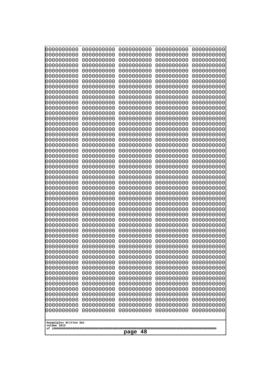| 0000000000                                           | 0000000000 | 0000000000 | 0000000000 | 0000000000 |
|------------------------------------------------------|------------|------------|------------|------------|
| 0000000000                                           | 0000000000 | 0000000000 | 0000000000 | 0000000000 |
| 0000000000                                           | 0000000000 | 0000000000 | 0000000000 | 0000000000 |
| 0000000000                                           | 0000000000 | 0000000000 | 0000000000 | 0000000000 |
| 0000000000                                           | 0000000000 | 0000000000 | 0000000000 | 0000000000 |
| 0000000000                                           | 0000000000 | 0000000000 | 0000000000 | 0000000000 |
| 0000000000                                           | 0000000000 | 0000000000 | 0000000000 | 0000000000 |
| 0000000000                                           | 0000000000 | 0000000000 | 0000000000 | 0000000000 |
| 0000000000                                           | 0000000000 | 0000000000 | 0000000000 | 0000000000 |
| 0000000000                                           | 0000000000 | 0000000000 | 0000000000 | 0000000000 |
| 0000000000                                           | 0000000000 | 0000000000 | 0000000000 | 0000000000 |
| 0000000000                                           | 0000000000 | 0000000000 | 0000000000 | 0000000000 |
| 0000000000                                           | 0000000000 | 0000000000 | 0000000000 | 0000000000 |
| 0000000000                                           | 0000000000 | 0000000000 | 0000000000 | 0000000000 |
| 0000000000                                           | 0000000000 | 0000000000 | 0000000000 | 0000000000 |
| 0000000000                                           | 0000000000 | 0000000000 | 0000000000 | 0000000000 |
| 0000000000                                           | 0000000000 | 0000000000 | 0000000000 | 0000000000 |
| 0000000000                                           | 0000000000 | 0000000000 | 0000000000 | 0000000000 |
| 0000000000                                           | 0000000000 | 0000000000 | 0000000000 | 0000000000 |
| 0000000000                                           | 0000000000 | 0000000000 | 0000000000 | 0000000000 |
| 0000000000                                           | 0000000000 | 0000000000 | 0000000000 | 0000000000 |
| 0000000000                                           | 0000000000 | 0000000000 | 0000000000 | 0000000000 |
| 0000000000                                           | 0000000000 | 0000000000 | 0000000000 | 0000000000 |
| 0000000000                                           | 0000000000 | 0000000000 | 0000000000 | 0000000000 |
| 0000000000                                           | 0000000000 | 0000000000 | 0000000000 | 0000000000 |
| 0000000000                                           | 0000000000 | 0000000000 | 0000000000 | 0000000000 |
| 0000000000                                           | 0000000000 | 0000000000 | 0000000000 | 0000000000 |
| 0000000000                                           | 0000000000 | 0000000000 | 0000000000 | 0000000000 |
| 0000000000                                           | 0000000000 | 0000000000 | 0000000000 | 0000000000 |
| 0000000000                                           | 0000000000 | 0000000000 | 0000000000 | 0000000000 |
| 0000000000                                           | 0000000000 | 0000000000 | 0000000000 | 0000000000 |
| 0000000000                                           | 0000000000 | 0000000000 | 0000000000 | 0000000000 |
| 0000000000                                           | 0000000000 | 0000000000 | 0000000000 | 0000000000 |
| 0000000000                                           | 0000000000 | 0000000000 | 0000000000 | 0000000000 |
| 0000000000                                           | 0000000000 | 0000000000 | 0000000000 | 0000000000 |
| 0000000000                                           | 0000000000 | 0000000000 | 0000000000 | 0000000000 |
| 0000000000                                           | 0000000000 | 0000000000 | 0000000000 | 0000000000 |
| 0000000000                                           | 0000000000 | 0000000000 | 0000000000 | 0000000000 |
| 0000000000                                           | 0000000000 | 0000000000 | 0000000000 | 0000000000 |
| 0000000000                                           | 0000000000 | 0000000000 | 0000000000 | 0000000000 |
| 0000000000                                           | 0000000000 | 0000000000 | 0000000000 | 0000000000 |
| 0000000000                                           | 0000000000 | 0000000000 | 0000000000 | 0000000000 |
| 0000000000                                           | 0000000000 | 0000000000 | 0000000000 | 0000000000 |
| 0000000000                                           | 0000000000 | 0000000000 | 0000000000 | 0000000000 |
| 0000000000                                           | 0000000000 | 0000000000 | 0000000000 | 0000000000 |
| 0000000000                                           | 0000000000 | 0000000000 | 0000000000 | 0000000000 |
| 0000000000                                           | 0000000000 | 0000000000 | 0000000000 | 0000000000 |
| 0000000000                                           | 0000000000 | 0000000000 | 0000000000 | 0000000000 |
| 0000000000                                           | 0000000000 | 0000000000 | 0000000000 | 0000000000 |
| 0000000000                                           | 0000000000 | 0000000000 | 0000000000 | 0000000000 |
| Googolplex Written Out<br>volume 1013<br>-48<br>page |            |            |            |            |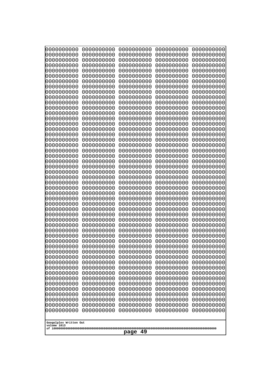| 0000000000                                                                                                                | 0000000000 | 0000000000 | 0000000000 | 0000000000 |  |
|---------------------------------------------------------------------------------------------------------------------------|------------|------------|------------|------------|--|
| 0000000000                                                                                                                | 0000000000 | 0000000000 | 0000000000 | 0000000000 |  |
| 0000000000                                                                                                                | 0000000000 | 0000000000 | 0000000000 | 0000000000 |  |
| 0000000000                                                                                                                | 0000000000 | 0000000000 | 0000000000 | 0000000000 |  |
| 1000000000                                                                                                                | 0000000000 | 0000000000 | 0000000000 | 0000000000 |  |
| 0000000000                                                                                                                | 0000000000 | 0000000000 | 0000000000 | 0000000000 |  |
| 0000000000                                                                                                                | 0000000000 | 0000000000 | 0000000000 | 0000000000 |  |
| 0000000000                                                                                                                | 0000000000 | 0000000000 | 0000000000 | 0000000000 |  |
| 0000000000                                                                                                                | 0000000000 | 0000000000 | 0000000000 | 0000000000 |  |
| 0000000000                                                                                                                | 0000000000 | 0000000000 | 0000000000 | 0000000000 |  |
| 0000000000                                                                                                                | 0000000000 | 0000000000 | 0000000000 | 0000000000 |  |
| 0000000000                                                                                                                | 0000000000 | 0000000000 | 0000000000 | 0000000000 |  |
| 0000000000                                                                                                                | 0000000000 | 0000000000 | 0000000000 | 0000000000 |  |
| 0000000000                                                                                                                | 0000000000 | 0000000000 | 0000000000 | 0000000000 |  |
| 0000000000                                                                                                                | 0000000000 | 0000000000 | 0000000000 | 0000000000 |  |
| 0000000000                                                                                                                | 0000000000 | 0000000000 | 0000000000 | 0000000000 |  |
| 0000000000                                                                                                                | 0000000000 | 0000000000 | 0000000000 | 0000000000 |  |
| 0000000000                                                                                                                | 0000000000 | 0000000000 | 0000000000 | 0000000000 |  |
| 0000000000                                                                                                                | 0000000000 | 0000000000 | 0000000000 | 0000000000 |  |
| 0000000000                                                                                                                | 0000000000 | 0000000000 | 0000000000 | 0000000000 |  |
| 0000000000                                                                                                                | 0000000000 | 0000000000 | 0000000000 | 0000000000 |  |
| 0000000000                                                                                                                | 0000000000 | 0000000000 | 0000000000 | 0000000000 |  |
| 0000000000                                                                                                                | 0000000000 | 0000000000 | 0000000000 | 0000000000 |  |
| 0000000000                                                                                                                | 0000000000 | 0000000000 | 0000000000 | 0000000000 |  |
| 0000000000                                                                                                                | 0000000000 | 0000000000 | 0000000000 | 0000000000 |  |
| 0000000000                                                                                                                | 0000000000 | 0000000000 | 0000000000 | 0000000000 |  |
| 0000000000                                                                                                                | 0000000000 | 0000000000 | 0000000000 | 0000000000 |  |
| 0000000000                                                                                                                | 0000000000 | 0000000000 | 0000000000 | 0000000000 |  |
| 0000000000                                                                                                                | 0000000000 | 0000000000 | 0000000000 | 0000000000 |  |
| 0000000000                                                                                                                | 0000000000 | 0000000000 | 0000000000 | 0000000000 |  |
| 0000000000                                                                                                                | 0000000000 | 0000000000 | 0000000000 | 0000000000 |  |
| 0000000000                                                                                                                | 0000000000 | 0000000000 | 0000000000 | 0000000000 |  |
| 0000000000                                                                                                                | 0000000000 | 0000000000 | 0000000000 | 0000000000 |  |
| 0000000000                                                                                                                | 0000000000 | 0000000000 | 0000000000 | 0000000000 |  |
|                                                                                                                           |            |            |            |            |  |
| 0000000000                                                                                                                | 0000000000 | 0000000000 | 0000000000 | 0000000000 |  |
| 0000000000                                                                                                                | 0000000000 | 0000000000 | 0000000000 | 0000000000 |  |
| 0000000000                                                                                                                | 0000000000 | 0000000000 | 0000000000 | 0000000000 |  |
| 0000000000                                                                                                                | 0000000000 | 0000000000 | 0000000000 | 0000000000 |  |
| 0000000000                                                                                                                | 0000000000 | 0000000000 | 0000000000 | 0000000000 |  |
| 0000000000                                                                                                                | 0000000000 | 0000000000 | 0000000000 | 0000000000 |  |
| 0000000000                                                                                                                | 0000000000 | 0000000000 | 0000000000 | 0000000000 |  |
| 0000000000                                                                                                                | 0000000000 | 0000000000 | 0000000000 | 0000000000 |  |
| 0000000000                                                                                                                | 0000000000 | 0000000000 | 0000000000 | 0000000000 |  |
| 0000000000                                                                                                                | 0000000000 | 0000000000 | 0000000000 | 0000000000 |  |
| 0000000000                                                                                                                | 0000000000 | 0000000000 | 0000000000 | 0000000000 |  |
| 0000000000                                                                                                                | 0000000000 | 0000000000 | 0000000000 | 0000000000 |  |
| 0000000000                                                                                                                | 0000000000 | 0000000000 | 0000000000 | 0000000000 |  |
| 0000000000                                                                                                                | 0000000000 | 0000000000 | 0000000000 | 0000000000 |  |
| 0000000000                                                                                                                | 0000000000 | 0000000000 | 0000000000 | 0000000000 |  |
| 0000000000<br>0000000000<br>0000000000<br>0000000000<br>0000000000<br>Googolplex Written Out<br>volume 1013<br>49<br>page |            |            |            |            |  |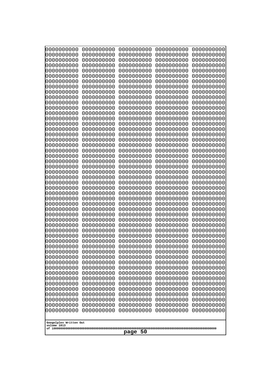| 000000000<br>0000000000  | 0000000000<br>0000000000 | 0000000000<br>0000000000 | 0000000000<br>0000000000 | 0000000000<br>0000000000 |
|--------------------------|--------------------------|--------------------------|--------------------------|--------------------------|
| 0000000000               | 0000000000               | 0000000000               | 0000000000               | 0000000000               |
| 0000000000               | 0000000000               | 0000000000               | 0000000000               | 0000000000               |
| 0000000000<br>0000000000 | 0000000000<br>0000000000 | 0000000000<br>0000000000 | 0000000000<br>0000000000 | 0000000000<br>0000000000 |
| 0000000000               | 0000000000               | 0000000000               | 0000000000               | 0000000000               |
| 0000000000               | 0000000000               | 0000000000               | 0000000000               | 0000000000               |
| 0000000000<br>0000000000 | 0000000000<br>0000000000 | 0000000000<br>0000000000 | 0000000000<br>0000000000 | 0000000000<br>0000000000 |
| 0000000000               | 0000000000               | 0000000000               | 0000000000               | 0000000000               |
| 0000000000               | 0000000000               | 0000000000               | 0000000000               | 0000000000               |
| 0000000000<br>0000000000 | 0000000000<br>0000000000 | 0000000000<br>0000000000 | 0000000000<br>0000000000 | 0000000000<br>0000000000 |
| 0000000000               | 0000000000               | 0000000000               | 0000000000               | 0000000000               |
| 0000000000               | 0000000000               | 0000000000               | 0000000000               | 0000000000               |
| 0000000000<br>0000000000 | 0000000000<br>0000000000 | 0000000000<br>0000000000 | 0000000000<br>0000000000 | 0000000000<br>0000000000 |
| 0000000000               | 0000000000               | 0000000000               | 0000000000               | 0000000000               |
| 0000000000<br>0000000000 | 0000000000<br>0000000000 | 0000000000<br>0000000000 | 0000000000<br>0000000000 | 0000000000<br>0000000000 |
| 0000000000               | 0000000000               | 0000000000               | 0000000000               | 0000000000               |
| 0000000000               | 0000000000               | 0000000000               | 0000000000               | 0000000000               |
| 0000000000<br>0000000000 | 0000000000<br>0000000000 | 0000000000<br>0000000000 | 0000000000<br>0000000000 | 0000000000<br>0000000000 |
| 0000000000               | 0000000000               | 0000000000               | 0000000000               | 0000000000               |
| 0000000000               | 0000000000               | 0000000000               | 0000000000               | 0000000000               |
| 0000000000<br>0000000000 | 0000000000<br>0000000000 | 0000000000<br>0000000000 | 0000000000<br>0000000000 | 0000000000<br>0000000000 |
| 0000000000               | 0000000000               | 0000000000               | 0000000000               | 0000000000               |
| 0000000000               | 0000000000               | 0000000000               | 0000000000               | 0000000000               |
| 0000000000<br>0000000000 | 0000000000<br>0000000000 | 0000000000<br>0000000000 | 0000000000<br>0000000000 | 0000000000<br>0000000000 |
| 0000000000               | 0000000000               | 0000000000               | 0000000000               | 0000000000               |
| 0000000000               | 0000000000               | 0000000000               | 0000000000               | 0000000000               |
| 0000000000<br>0000000000 | 0000000000<br>0000000000 | 0000000000<br>0000000000 | 0000000000<br>0000000000 | 0000000000<br>0000000000 |
| 0000000000               | 0000000000               | 0000000000               | 0000000000               | 0000000000               |
| 0000000000<br>0000000000 | 0000000000               | 0000000000<br>0000000000 | 0000000000               | 0000000000               |
| 0000000000               | 0000000000<br>0000000000 | 0000000000               | 0000000000<br>0000000000 | 0000000000<br>0000000000 |
| 0000000000               | 0000000000               | 0000000000               | 0000000000               | 0000000000               |
| 0000000000<br>0000000000 | 0000000000<br>0000000000 | 0000000000<br>0000000000 | 0000000000<br>0000000000 | 0000000000<br>0000000000 |
| 0000000000               | 0000000000               | 0000000000               | 0000000000               | 0000000000               |
| 0000000000               | 0000000000               | 0000000000               | 0000000000               | 0000000000               |
| 0000000000<br>0000000000 | 0000000000<br>0000000000 | 0000000000<br>0000000000 | 0000000000<br>0000000000 | 0000000000<br>0000000000 |
| 0000000000               | 0000000000               | 0000000000               | 0000000000               | 0000000000               |
| 0000000000               | 0000000000               | 0000000000               | 0000000000               | 0000000000               |
| Googolplex Written Out   |                          |                          |                          |                          |
| volume 1013              |                          |                          |                          |                          |
| page<br>-50              |                          |                          |                          |                          |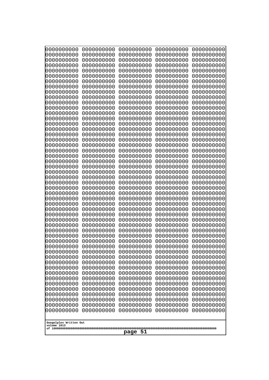| 0000000000                                                                                                                 | 0000000000 | 0000000000 | 0000000000 | 0000000000 |  |
|----------------------------------------------------------------------------------------------------------------------------|------------|------------|------------|------------|--|
| 1000000000                                                                                                                 | 0000000000 | 0000000000 | 0000000000 | 0000000000 |  |
| 1000000000                                                                                                                 | 0000000000 | 0000000000 | 0000000000 | 0000000000 |  |
| 0000000000                                                                                                                 | 0000000000 | 0000000000 | 0000000000 | 0000000000 |  |
| 0000000000                                                                                                                 | 0000000000 | 0000000000 | 0000000000 | 0000000000 |  |
| 0000000000                                                                                                                 | 0000000000 | 0000000000 | 0000000000 | 0000000000 |  |
| 0000000000                                                                                                                 | 0000000000 | 0000000000 | 0000000000 | 0000000000 |  |
| 0000000000                                                                                                                 | 0000000000 | 0000000000 | 0000000000 | 0000000000 |  |
| 0000000000                                                                                                                 | 0000000000 | 0000000000 | 0000000000 | 0000000000 |  |
| 0000000000                                                                                                                 | 0000000000 | 0000000000 | 0000000000 | 0000000000 |  |
| 0000000000                                                                                                                 | 0000000000 | 0000000000 | 0000000000 | 0000000000 |  |
| 0000000000                                                                                                                 | 0000000000 | 0000000000 | 0000000000 | 0000000000 |  |
| 0000000000                                                                                                                 | 0000000000 | 0000000000 | 0000000000 | 0000000000 |  |
| 0000000000                                                                                                                 | 0000000000 | 0000000000 | 0000000000 | 0000000000 |  |
| 0000000000                                                                                                                 | 0000000000 | 0000000000 | 0000000000 | 0000000000 |  |
| 0000000000                                                                                                                 | 0000000000 | 0000000000 | 0000000000 | 0000000000 |  |
| 0000000000                                                                                                                 | 0000000000 | 0000000000 | 0000000000 | 0000000000 |  |
| looooooooo                                                                                                                 | 0000000000 | 0000000000 | 0000000000 | 0000000000 |  |
| 0000000000                                                                                                                 | 0000000000 | 0000000000 | 0000000000 | 0000000000 |  |
| 0000000000                                                                                                                 | 0000000000 | 0000000000 | 0000000000 | 0000000000 |  |
| 0000000000                                                                                                                 | 0000000000 | 0000000000 | 0000000000 | 0000000000 |  |
| 0000000000                                                                                                                 | 0000000000 | 0000000000 | 0000000000 | 0000000000 |  |
| 0000000000                                                                                                                 | 0000000000 | 0000000000 | 0000000000 | 0000000000 |  |
| 0000000000                                                                                                                 | 0000000000 | 0000000000 | 0000000000 | 0000000000 |  |
| 0000000000                                                                                                                 | 0000000000 | 0000000000 | 0000000000 | 0000000000 |  |
| 0000000000                                                                                                                 | 0000000000 | 0000000000 | 0000000000 | 0000000000 |  |
| 0000000000                                                                                                                 | 0000000000 | 0000000000 | 0000000000 | 0000000000 |  |
| 0000000000                                                                                                                 | 0000000000 | 0000000000 | 0000000000 | 0000000000 |  |
| 0000000000                                                                                                                 | 0000000000 | 0000000000 | 0000000000 | 0000000000 |  |
| 0000000000                                                                                                                 | 0000000000 | 0000000000 | 0000000000 | 0000000000 |  |
| 0000000000                                                                                                                 | 0000000000 | 0000000000 | 0000000000 | 0000000000 |  |
| 0000000000                                                                                                                 | 0000000000 | 0000000000 | 0000000000 | 0000000000 |  |
| 0000000000                                                                                                                 | 0000000000 | 0000000000 | 0000000000 | 0000000000 |  |
| 0000000000                                                                                                                 | 0000000000 | 0000000000 | 0000000000 | 0000000000 |  |
| 0000000000                                                                                                                 | 0000000000 | 0000000000 | 0000000000 | 0000000000 |  |
| 0000000000                                                                                                                 | 0000000000 | 0000000000 | 0000000000 | 0000000000 |  |
| 0000000000                                                                                                                 | 0000000000 | 0000000000 | 0000000000 | 0000000000 |  |
| 0000000000                                                                                                                 | 0000000000 | 0000000000 | 0000000000 | 0000000000 |  |
| 0000000000                                                                                                                 | 0000000000 | 0000000000 | 0000000000 | 0000000000 |  |
| 0000000000                                                                                                                 | 0000000000 | 0000000000 | 0000000000 | 0000000000 |  |
| 0000000000                                                                                                                 | 0000000000 | 0000000000 | 0000000000 | 0000000000 |  |
| 0000000000                                                                                                                 | 0000000000 | 0000000000 | 0000000000 | 0000000000 |  |
| 0000000000                                                                                                                 | 0000000000 | 0000000000 | 0000000000 | 0000000000 |  |
| 0000000000                                                                                                                 | 0000000000 | 0000000000 | 0000000000 | 0000000000 |  |
| 0000000000                                                                                                                 | 0000000000 | 0000000000 | 0000000000 | 0000000000 |  |
| 0000000000                                                                                                                 | 0000000000 | 0000000000 | 0000000000 | 0000000000 |  |
| 0000000000                                                                                                                 | 0000000000 | 0000000000 | 0000000000 | 0000000000 |  |
| 0000000000                                                                                                                 | 0000000000 | 0000000000 | 0000000000 | 0000000000 |  |
| 0000000000<br>0000000000<br>0000000000<br>0000000000<br>0000000000<br>Googolplex Written Out<br>volume 1013<br>-51<br>page |            |            |            |            |  |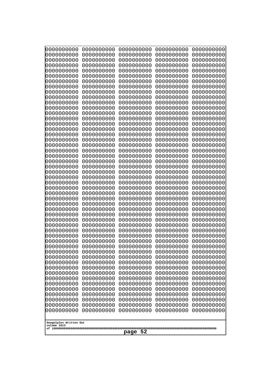| 000000000<br>0000000000               | 0000000000<br>0000000000 | 0000000000<br>0000000000 | 0000000000<br>0000000000 | 0000000000<br>0000000000 |
|---------------------------------------|--------------------------|--------------------------|--------------------------|--------------------------|
| 0000000000                            | 0000000000               | 0000000000               | 0000000000               | 0000000000               |
| 0000000000                            | 0000000000               | 0000000000               | 0000000000               | 0000000000               |
| 0000000000<br>0000000000              | 0000000000<br>0000000000 | 0000000000<br>0000000000 | 0000000000<br>0000000000 | 0000000000<br>0000000000 |
| 0000000000                            | 0000000000               | 0000000000               | 0000000000               | 0000000000               |
| 0000000000                            | 0000000000               | 0000000000               | 0000000000               | 0000000000               |
| 0000000000<br>0000000000              | 0000000000<br>0000000000 | 0000000000<br>0000000000 | 0000000000<br>0000000000 | 0000000000<br>0000000000 |
| 0000000000                            | 0000000000               | 0000000000               | 0000000000               | 0000000000               |
| 0000000000                            | 0000000000               | 0000000000               | 0000000000               | 0000000000               |
| 0000000000                            | 0000000000               | 0000000000               | 0000000000               | 0000000000               |
| 0000000000<br>0000000000              | 0000000000<br>0000000000 | 0000000000<br>0000000000 | 0000000000<br>0000000000 | 0000000000<br>0000000000 |
| 0000000000                            | 0000000000               | 0000000000               | 0000000000               | 0000000000               |
| 0000000000                            | 0000000000               | 0000000000               | 0000000000               | 0000000000               |
| 0000000000<br>0000000000              | 0000000000<br>0000000000 | 0000000000<br>0000000000 | 0000000000<br>0000000000 | 0000000000<br>0000000000 |
| 0000000000                            | 0000000000               | 0000000000               | 0000000000               | 0000000000               |
| 0000000000                            | 0000000000               | 0000000000               | 0000000000               | 0000000000               |
| 0000000000<br>0000000000              | 0000000000<br>0000000000 | 0000000000<br>0000000000 | 0000000000<br>0000000000 | 0000000000<br>0000000000 |
| 0000000000                            | 0000000000               | 0000000000               | 0000000000               | 0000000000               |
| 0000000000                            | 0000000000               | 0000000000               | 0000000000               | 0000000000               |
| 0000000000<br>0000000000              | 0000000000<br>0000000000 | 0000000000<br>0000000000 | 0000000000<br>0000000000 | 0000000000<br>0000000000 |
| 0000000000                            | 0000000000               | 0000000000               | 0000000000               | 0000000000               |
| 0000000000                            | 0000000000               | 0000000000               | 0000000000               | 0000000000               |
| 0000000000                            | 0000000000               | 0000000000               | 0000000000               | 0000000000               |
| 0000000000<br>0000000000              | 0000000000<br>0000000000 | 0000000000<br>0000000000 | 0000000000<br>0000000000 | 0000000000<br>0000000000 |
| 0000000000                            | 0000000000               | 0000000000               | 0000000000               | 0000000000               |
| 0000000000                            | 0000000000               | 0000000000               | 0000000000               | 0000000000               |
| 0000000000<br>0000000000              | 0000000000<br>0000000000 | 0000000000<br>0000000000 | 0000000000<br>0000000000 | 0000000000<br>0000000000 |
| 0000000000                            | 0000000000               | 0000000000               | 0000000000               | 0000000000               |
| 0000000000                            | 0000000000               | 0000000000               | 0000000000               | 0000000000               |
| 0000000000<br>0000000000              | 0000000000<br>0000000000 | 0000000000<br>0000000000 | 0000000000<br>0000000000 | 0000000000<br>0000000000 |
| 0000000000                            | 0000000000               | 0000000000               | 0000000000               | 0000000000               |
| 0000000000                            | 0000000000               | 0000000000               | 0000000000               | 0000000000               |
| 0000000000<br>0000000000              | 0000000000<br>0000000000 | 0000000000<br>0000000000 | 0000000000<br>0000000000 | 0000000000<br>0000000000 |
| 0000000000                            | 0000000000               | 0000000000               | 0000000000               | 0000000000               |
| 0000000000                            | 0000000000               | 0000000000               | 0000000000               | 0000000000               |
| 0000000000<br>0000000000              | 0000000000               | 0000000000               | 0000000000               | 0000000000               |
| 0000000000                            | 0000000000<br>0000000000 | 0000000000<br>0000000000 | 0000000000<br>0000000000 | 0000000000<br>0000000000 |
| 0000000000                            | 0000000000               | 0000000000               | 0000000000               | 0000000000               |
|                                       |                          |                          |                          |                          |
| Googolplex Written Out<br>volume 1013 |                          |                          |                          |                          |
| page 52                               |                          |                          |                          |                          |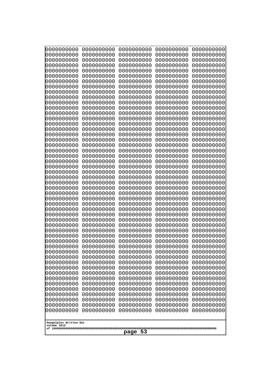| 0000000000                                       | 0000000000 | 0000000000 | 0000000000 | 0000000000 |
|--------------------------------------------------|------------|------------|------------|------------|
| 0000000000                                       | 0000000000 | 0000000000 | 0000000000 | 0000000000 |
| 0000000000                                       | 0000000000 | 0000000000 | 0000000000 | 0000000000 |
| 0000000000                                       | 0000000000 | 0000000000 | 0000000000 | 0000000000 |
| 0000000000                                       | 0000000000 | 0000000000 | 0000000000 | 0000000000 |
| 0000000000                                       | 0000000000 | 0000000000 | 0000000000 | 0000000000 |
| 0000000000                                       | 0000000000 | 0000000000 | 0000000000 | 0000000000 |
| 0000000000                                       | 0000000000 | 0000000000 | 0000000000 | 0000000000 |
| 0000000000                                       | 0000000000 | 0000000000 | 0000000000 | 0000000000 |
| 0000000000                                       | 0000000000 | 0000000000 | 0000000000 | 0000000000 |
| 0000000000                                       | 0000000000 | 0000000000 | 0000000000 | 0000000000 |
| 0000000000                                       | 0000000000 | 0000000000 | 0000000000 | 0000000000 |
| 0000000000                                       | 0000000000 | 0000000000 | 0000000000 | 0000000000 |
| 0000000000                                       | 0000000000 | 0000000000 | 0000000000 | 0000000000 |
| 0000000000                                       | 0000000000 | 0000000000 | 0000000000 | 0000000000 |
| 0000000000                                       | 0000000000 | 0000000000 | 0000000000 | 0000000000 |
| 0000000000                                       | 0000000000 | 0000000000 | 0000000000 | 0000000000 |
| 0000000000                                       | 0000000000 | 0000000000 | 0000000000 | 0000000000 |
| 0000000000                                       | 0000000000 | 0000000000 | 0000000000 | 0000000000 |
| 0000000000                                       | 0000000000 | 0000000000 | 0000000000 | 0000000000 |
| 0000000000                                       | 0000000000 | 0000000000 | 0000000000 | 0000000000 |
| 0000000000                                       | 0000000000 | 0000000000 | 0000000000 | 0000000000 |
| 0000000000                                       | 0000000000 | 0000000000 | 0000000000 | 0000000000 |
| 0000000000                                       | 0000000000 | 0000000000 | 0000000000 | 0000000000 |
| 0000000000                                       | 0000000000 | 0000000000 | 0000000000 | 0000000000 |
| 0000000000                                       | 0000000000 | 0000000000 | 0000000000 | 0000000000 |
| 0000000000                                       | 0000000000 | 0000000000 | 0000000000 | 0000000000 |
| 0000000000                                       | 0000000000 | 0000000000 | 0000000000 | 0000000000 |
| 0000000000                                       | 0000000000 | 0000000000 | 0000000000 | 0000000000 |
| 0000000000                                       | 0000000000 | 0000000000 | 0000000000 | 0000000000 |
| 0000000000                                       | 0000000000 | 0000000000 | 0000000000 | 0000000000 |
| 0000000000                                       | 0000000000 | 0000000000 | 0000000000 | 0000000000 |
| 0000000000                                       | 0000000000 | 0000000000 | 0000000000 | 0000000000 |
| 0000000000                                       | 0000000000 | 0000000000 | 0000000000 | 0000000000 |
| 0000000000                                       | 0000000000 | 0000000000 | 0000000000 | 0000000000 |
| 0000000000                                       | 0000000000 | 0000000000 | 0000000000 | 0000000000 |
| 0000000000                                       | 0000000000 | 0000000000 | 0000000000 | 0000000000 |
| 0000000000                                       | 0000000000 | 0000000000 | 0000000000 | 0000000000 |
| 0000000000                                       | 0000000000 | 0000000000 | 0000000000 | 0000000000 |
| 0000000000                                       | 0000000000 | 0000000000 | 0000000000 | 0000000000 |
| 0000000000                                       | 0000000000 | 0000000000 | 0000000000 | 0000000000 |
| 0000000000                                       | 0000000000 | 0000000000 | 0000000000 | 0000000000 |
| 0000000000                                       | 0000000000 | 0000000000 | 0000000000 | 0000000000 |
| 0000000000                                       | 0000000000 | 0000000000 | 0000000000 | 0000000000 |
| 0000000000                                       | 0000000000 | 0000000000 | 0000000000 | 0000000000 |
| 0000000000                                       | 0000000000 | 0000000000 | 0000000000 | 0000000000 |
| 0000000000                                       | 0000000000 | 0000000000 | 0000000000 | 0000000000 |
| 0000000000                                       | 0000000000 | 0000000000 | 0000000000 | 0000000000 |
| 0000000000                                       | 0000000000 | 0000000000 | 0000000000 | 0000000000 |
| 0000000000                                       | 0000000000 | 0000000000 | 0000000000 | 0000000000 |
| Googolplex Written Out<br>volume 1013<br>page 53 |            |            |            |            |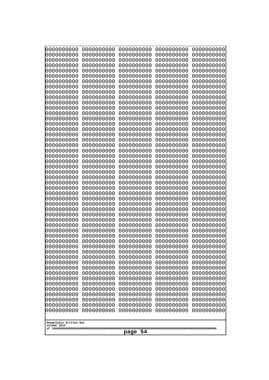| 0000000000                                           | 0000000000                                           | 0000000000                                           | 0000000000                                           | 0000000000                                           |
|------------------------------------------------------|------------------------------------------------------|------------------------------------------------------|------------------------------------------------------|------------------------------------------------------|
| 0000000000                                           | 0000000000                                           | 0000000000                                           | 0000000000                                           | 0000000000                                           |
| 0000000000                                           | 0000000000                                           | 0000000000                                           | 0000000000                                           | 0000000000                                           |
| 0000000000                                           | 0000000000                                           | 0000000000                                           | 0000000000                                           | 0000000000                                           |
| 0000000000                                           | 0000000000                                           | 0000000000                                           | 0000000000                                           | 0000000000                                           |
| 0000000000                                           | 0000000000                                           | 0000000000                                           | 0000000000                                           | 0000000000                                           |
| 0000000000<br>0000000000<br>0000000000               | 0000000000<br>0000000000                             | 0000000000<br>0000000000                             | 0000000000<br>0000000000                             | 0000000000<br>0000000000                             |
| 0000000000<br>0000000000                             | 0000000000<br>0000000000<br>0000000000               | 0000000000<br>0000000000<br>0000000000               | 0000000000<br>0000000000<br>0000000000               | 0000000000<br>0000000000<br>0000000000               |
| 0000000000                                           | 0000000000                                           | 0000000000                                           | 0000000000                                           | 0000000000                                           |
| 0000000000                                           | 0000000000                                           | 0000000000                                           | 0000000000                                           | 0000000000                                           |
| 0000000000                                           | 0000000000                                           | 0000000000                                           | 0000000000                                           | 0000000000                                           |
| 0000000000                                           | 0000000000                                           | 0000000000                                           | 0000000000                                           | 0000000000                                           |
| 0000000000                                           | 0000000000                                           | 0000000000                                           | 0000000000                                           | 0000000000                                           |
| 0000000000                                           | 0000000000                                           | 0000000000                                           | 0000000000                                           | 0000000000                                           |
| 0000000000                                           | 0000000000                                           | 0000000000                                           | 0000000000                                           | 0000000000                                           |
| 0000000000                                           | 0000000000                                           | 0000000000                                           | 0000000000                                           | 0000000000                                           |
| 0000000000                                           | 0000000000                                           | 0000000000                                           | 0000000000                                           | 0000000000                                           |
| 0000000000<br>0000000000<br>0000000000               | 0000000000<br>0000000000<br>0000000000<br>0000000000 | 0000000000<br>0000000000<br>0000000000               | 0000000000<br>0000000000<br>0000000000               | 0000000000<br>0000000000<br>0000000000<br>0000000000 |
| 0000000000<br>0000000000<br>0000000000<br>0000000000 | 0000000000<br>0000000000<br>0000000000               | 0000000000<br>0000000000<br>0000000000<br>0000000000 | 0000000000<br>0000000000<br>0000000000<br>0000000000 | 0000000000<br>0000000000<br>0000000000               |
| 0000000000                                           | 0000000000                                           | 0000000000                                           | 0000000000                                           | 0000000000                                           |
| 0000000000                                           | 0000000000                                           | 0000000000                                           | 0000000000                                           | 0000000000                                           |
| 0000000000                                           | 0000000000                                           | 0000000000                                           | 0000000000                                           | 0000000000                                           |
| 0000000000                                           | 0000000000                                           | 0000000000                                           | 0000000000                                           | 0000000000                                           |
| 0000000000                                           | 0000000000                                           | 0000000000                                           | 0000000000                                           | 0000000000                                           |
| 0000000000                                           | 0000000000                                           | 0000000000                                           | 0000000000                                           | 0000000000                                           |
| 0000000000                                           | 0000000000                                           | 0000000000                                           | 0000000000                                           | 0000000000                                           |
| 0000000000                                           | 0000000000                                           | 0000000000                                           | 0000000000                                           | 0000000000                                           |
| 0000000000                                           | 0000000000                                           | 0000000000                                           | 0000000000                                           | 0000000000                                           |
| 0000000000                                           | 0000000000                                           | 0000000000                                           | 0000000000                                           | 0000000000                                           |
| 0000000000                                           | 0000000000                                           | 0000000000                                           | 0000000000                                           | 0000000000                                           |
| 0000000000                                           | 0000000000                                           | 0000000000                                           | 0000000000                                           | 0000000000                                           |
| 0000000000                                           | 0000000000                                           | 0000000000                                           | 0000000000                                           | 0000000000                                           |
| 0000000000                                           | 0000000000                                           | 0000000000                                           | 0000000000                                           | 0000000000                                           |
| 0000000000                                           | 0000000000                                           | 0000000000                                           | 0000000000                                           | 0000000000                                           |
| 0000000000                                           | 0000000000                                           | 0000000000                                           | 0000000000                                           | 0000000000                                           |
| 0000000000                                           | 0000000000                                           | 0000000000                                           | 0000000000                                           | 0000000000                                           |
| 0000000000                                           | 0000000000                                           | 0000000000                                           | 0000000000                                           | 0000000000                                           |
| 0000000000                                           | 0000000000                                           | 0000000000                                           | 0000000000                                           | 0000000000                                           |
| 0000000000                                           | 0000000000                                           | 0000000000                                           | 0000000000                                           | 0000000000                                           |
| 0000000000                                           | 0000000000                                           | 0000000000                                           | 0000000000                                           | 0000000000                                           |
| 0000000000                                           | 0000000000                                           | 0000000000                                           | 0000000000                                           | 0000000000                                           |
| 0000000000                                           | 0000000000                                           | 0000000000                                           | 0000000000                                           | 0000000000                                           |
| Googolplex Written Out<br>volume 1013<br>page 54     |                                                      |                                                      |                                                      |                                                      |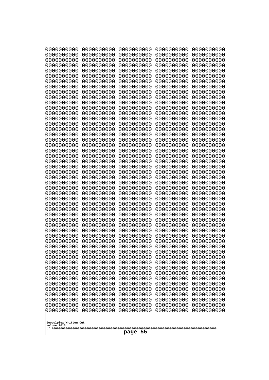| 1000000000<br>0000000000<br>0000000000<br>0000000000<br>1000000000<br>0000000000<br>0000000000<br>0000000000<br>0000000000<br>0000000000<br>0000000000<br>0000000000<br>0000000000<br>0000000000<br>0000000000<br>0000000000<br>0000000000<br>0000000000<br>0000000000<br>0000000000<br>0000000000<br>0000000000<br>0000000000<br>0000000000<br>0000000000<br>0000000000<br>0000000000<br>0000000000<br>0000000000<br>0000000000<br>0000000000<br>0000000000<br>0000000000<br>0000000000<br>0000000000<br>0000000000<br>0000000000<br>0000000000<br>0000000000<br>0000000000<br>0000000000<br>0000000000<br>0000000000<br>0000000000<br>0000000000<br>0000000000<br>0000000000<br>0000000000<br>0000000000<br>0000000000<br>0000000000<br>0000000000<br>0000000000<br>0000000000<br>0000000000<br>0000000000<br>0000000000<br>0000000000<br>0000000000<br>0000000000<br>0000000000<br>0000000000<br>0000000000<br>0000000000<br>0000000000<br>0000000000<br>0000000000<br>0000000000<br>0000000000<br>0000000000<br>0000000000<br>0000000000<br>0000000000<br>0000000000<br>0000000000<br>0000000000<br>0000000000<br>0000000000<br>0000000000<br>0000000000<br>0000000000<br>0000000000<br>0000000000<br>0000000000<br>looooooooo<br>0000000000<br>0000000000<br>0000000000<br>0000000000<br>0000000000<br>0000000000<br>0000000000<br>0000000000<br>0000000000<br>0000000000<br>0000000000<br>0000000000<br>0000000000<br>0000000000<br>0000000000<br>0000000000<br>0000000000<br>0000000000<br>0000000000<br>0000000000<br>0000000000<br>0000000000<br>0000000000<br>0000000000<br>0000000000<br>0000000000<br>0000000000<br>0000000000<br>0000000000<br>0000000000<br>0000000000<br>0000000000<br>0000000000<br>0000000000<br>0000000000<br>0000000000<br>0000000000<br>0000000000<br>0000000000<br>0000000000<br>0000000000<br>0000000000<br>0000000000<br>0000000000<br>0000000000<br>0000000000<br>0000000000<br>0000000000<br>0000000000<br>0000000000<br>0000000000<br>0000000000<br>0000000000<br>0000000000<br>0000000000<br>0000000000<br>0000000000<br>0000000000<br>0000000000 | 0000000000<br>0000000000 |
|----------------------------------------------------------------------------------------------------------------------------------------------------------------------------------------------------------------------------------------------------------------------------------------------------------------------------------------------------------------------------------------------------------------------------------------------------------------------------------------------------------------------------------------------------------------------------------------------------------------------------------------------------------------------------------------------------------------------------------------------------------------------------------------------------------------------------------------------------------------------------------------------------------------------------------------------------------------------------------------------------------------------------------------------------------------------------------------------------------------------------------------------------------------------------------------------------------------------------------------------------------------------------------------------------------------------------------------------------------------------------------------------------------------------------------------------------------------------------------------------------------------------------------------------------------------------------------------------------------------------------------------------------------------------------------------------------------------------------------------------------------------------------------------------------------------------------------------------------------------------------------------------------------------------------------------------------------------------------------------------------------------------------------------------------------------------------------------------|--------------------------|
|                                                                                                                                                                                                                                                                                                                                                                                                                                                                                                                                                                                                                                                                                                                                                                                                                                                                                                                                                                                                                                                                                                                                                                                                                                                                                                                                                                                                                                                                                                                                                                                                                                                                                                                                                                                                                                                                                                                                                                                                                                                                                              |                          |
|                                                                                                                                                                                                                                                                                                                                                                                                                                                                                                                                                                                                                                                                                                                                                                                                                                                                                                                                                                                                                                                                                                                                                                                                                                                                                                                                                                                                                                                                                                                                                                                                                                                                                                                                                                                                                                                                                                                                                                                                                                                                                              |                          |
|                                                                                                                                                                                                                                                                                                                                                                                                                                                                                                                                                                                                                                                                                                                                                                                                                                                                                                                                                                                                                                                                                                                                                                                                                                                                                                                                                                                                                                                                                                                                                                                                                                                                                                                                                                                                                                                                                                                                                                                                                                                                                              |                          |
|                                                                                                                                                                                                                                                                                                                                                                                                                                                                                                                                                                                                                                                                                                                                                                                                                                                                                                                                                                                                                                                                                                                                                                                                                                                                                                                                                                                                                                                                                                                                                                                                                                                                                                                                                                                                                                                                                                                                                                                                                                                                                              |                          |
|                                                                                                                                                                                                                                                                                                                                                                                                                                                                                                                                                                                                                                                                                                                                                                                                                                                                                                                                                                                                                                                                                                                                                                                                                                                                                                                                                                                                                                                                                                                                                                                                                                                                                                                                                                                                                                                                                                                                                                                                                                                                                              |                          |
|                                                                                                                                                                                                                                                                                                                                                                                                                                                                                                                                                                                                                                                                                                                                                                                                                                                                                                                                                                                                                                                                                                                                                                                                                                                                                                                                                                                                                                                                                                                                                                                                                                                                                                                                                                                                                                                                                                                                                                                                                                                                                              |                          |
|                                                                                                                                                                                                                                                                                                                                                                                                                                                                                                                                                                                                                                                                                                                                                                                                                                                                                                                                                                                                                                                                                                                                                                                                                                                                                                                                                                                                                                                                                                                                                                                                                                                                                                                                                                                                                                                                                                                                                                                                                                                                                              |                          |
|                                                                                                                                                                                                                                                                                                                                                                                                                                                                                                                                                                                                                                                                                                                                                                                                                                                                                                                                                                                                                                                                                                                                                                                                                                                                                                                                                                                                                                                                                                                                                                                                                                                                                                                                                                                                                                                                                                                                                                                                                                                                                              |                          |
|                                                                                                                                                                                                                                                                                                                                                                                                                                                                                                                                                                                                                                                                                                                                                                                                                                                                                                                                                                                                                                                                                                                                                                                                                                                                                                                                                                                                                                                                                                                                                                                                                                                                                                                                                                                                                                                                                                                                                                                                                                                                                              |                          |
|                                                                                                                                                                                                                                                                                                                                                                                                                                                                                                                                                                                                                                                                                                                                                                                                                                                                                                                                                                                                                                                                                                                                                                                                                                                                                                                                                                                                                                                                                                                                                                                                                                                                                                                                                                                                                                                                                                                                                                                                                                                                                              |                          |
|                                                                                                                                                                                                                                                                                                                                                                                                                                                                                                                                                                                                                                                                                                                                                                                                                                                                                                                                                                                                                                                                                                                                                                                                                                                                                                                                                                                                                                                                                                                                                                                                                                                                                                                                                                                                                                                                                                                                                                                                                                                                                              |                          |
|                                                                                                                                                                                                                                                                                                                                                                                                                                                                                                                                                                                                                                                                                                                                                                                                                                                                                                                                                                                                                                                                                                                                                                                                                                                                                                                                                                                                                                                                                                                                                                                                                                                                                                                                                                                                                                                                                                                                                                                                                                                                                              |                          |
|                                                                                                                                                                                                                                                                                                                                                                                                                                                                                                                                                                                                                                                                                                                                                                                                                                                                                                                                                                                                                                                                                                                                                                                                                                                                                                                                                                                                                                                                                                                                                                                                                                                                                                                                                                                                                                                                                                                                                                                                                                                                                              |                          |
|                                                                                                                                                                                                                                                                                                                                                                                                                                                                                                                                                                                                                                                                                                                                                                                                                                                                                                                                                                                                                                                                                                                                                                                                                                                                                                                                                                                                                                                                                                                                                                                                                                                                                                                                                                                                                                                                                                                                                                                                                                                                                              |                          |
|                                                                                                                                                                                                                                                                                                                                                                                                                                                                                                                                                                                                                                                                                                                                                                                                                                                                                                                                                                                                                                                                                                                                                                                                                                                                                                                                                                                                                                                                                                                                                                                                                                                                                                                                                                                                                                                                                                                                                                                                                                                                                              |                          |
|                                                                                                                                                                                                                                                                                                                                                                                                                                                                                                                                                                                                                                                                                                                                                                                                                                                                                                                                                                                                                                                                                                                                                                                                                                                                                                                                                                                                                                                                                                                                                                                                                                                                                                                                                                                                                                                                                                                                                                                                                                                                                              |                          |
|                                                                                                                                                                                                                                                                                                                                                                                                                                                                                                                                                                                                                                                                                                                                                                                                                                                                                                                                                                                                                                                                                                                                                                                                                                                                                                                                                                                                                                                                                                                                                                                                                                                                                                                                                                                                                                                                                                                                                                                                                                                                                              |                          |
|                                                                                                                                                                                                                                                                                                                                                                                                                                                                                                                                                                                                                                                                                                                                                                                                                                                                                                                                                                                                                                                                                                                                                                                                                                                                                                                                                                                                                                                                                                                                                                                                                                                                                                                                                                                                                                                                                                                                                                                                                                                                                              |                          |
| 0000000000<br>0000000000<br>0000000000<br>0000000000<br>0000000000                                                                                                                                                                                                                                                                                                                                                                                                                                                                                                                                                                                                                                                                                                                                                                                                                                                                                                                                                                                                                                                                                                                                                                                                                                                                                                                                                                                                                                                                                                                                                                                                                                                                                                                                                                                                                                                                                                                                                                                                                           |                          |
| 0000000000<br>0000000000<br>0000000000<br>0000000000<br>0000000000                                                                                                                                                                                                                                                                                                                                                                                                                                                                                                                                                                                                                                                                                                                                                                                                                                                                                                                                                                                                                                                                                                                                                                                                                                                                                                                                                                                                                                                                                                                                                                                                                                                                                                                                                                                                                                                                                                                                                                                                                           |                          |
| 0000000000<br>0000000000<br>0000000000<br>0000000000<br>0000000000<br>0000000000<br>0000000000<br>0000000000<br>0000000000<br>0000000000                                                                                                                                                                                                                                                                                                                                                                                                                                                                                                                                                                                                                                                                                                                                                                                                                                                                                                                                                                                                                                                                                                                                                                                                                                                                                                                                                                                                                                                                                                                                                                                                                                                                                                                                                                                                                                                                                                                                                     |                          |
| 0000000000<br>0000000000<br>0000000000<br>0000000000<br>0000000000                                                                                                                                                                                                                                                                                                                                                                                                                                                                                                                                                                                                                                                                                                                                                                                                                                                                                                                                                                                                                                                                                                                                                                                                                                                                                                                                                                                                                                                                                                                                                                                                                                                                                                                                                                                                                                                                                                                                                                                                                           |                          |
| 0000000000<br>0000000000<br>0000000000<br>0000000000<br>0000000000<br>0000000000<br>0000000000<br>0000000000<br>0000000000<br>0000000000                                                                                                                                                                                                                                                                                                                                                                                                                                                                                                                                                                                                                                                                                                                                                                                                                                                                                                                                                                                                                                                                                                                                                                                                                                                                                                                                                                                                                                                                                                                                                                                                                                                                                                                                                                                                                                                                                                                                                     |                          |
| 0000000000<br>0000000000<br>0000000000<br>0000000000<br>0000000000                                                                                                                                                                                                                                                                                                                                                                                                                                                                                                                                                                                                                                                                                                                                                                                                                                                                                                                                                                                                                                                                                                                                                                                                                                                                                                                                                                                                                                                                                                                                                                                                                                                                                                                                                                                                                                                                                                                                                                                                                           |                          |
| 0000000000<br>0000000000<br>0000000000<br>0000000000<br>0000000000<br>0000000000<br>0000000000<br>0000000000<br>0000000000<br>0000000000                                                                                                                                                                                                                                                                                                                                                                                                                                                                                                                                                                                                                                                                                                                                                                                                                                                                                                                                                                                                                                                                                                                                                                                                                                                                                                                                                                                                                                                                                                                                                                                                                                                                                                                                                                                                                                                                                                                                                     |                          |
| 0000000000<br>0000000000<br>0000000000<br>0000000000<br>0000000000                                                                                                                                                                                                                                                                                                                                                                                                                                                                                                                                                                                                                                                                                                                                                                                                                                                                                                                                                                                                                                                                                                                                                                                                                                                                                                                                                                                                                                                                                                                                                                                                                                                                                                                                                                                                                                                                                                                                                                                                                           |                          |
| 0000000000<br>0000000000<br>0000000000<br>0000000000<br>0000000000<br>0000000000<br>0000000000<br>0000000000<br>0000000000<br>0000000000                                                                                                                                                                                                                                                                                                                                                                                                                                                                                                                                                                                                                                                                                                                                                                                                                                                                                                                                                                                                                                                                                                                                                                                                                                                                                                                                                                                                                                                                                                                                                                                                                                                                                                                                                                                                                                                                                                                                                     |                          |
| 0000000000<br>0000000000<br>0000000000<br>0000000000<br>0000000000                                                                                                                                                                                                                                                                                                                                                                                                                                                                                                                                                                                                                                                                                                                                                                                                                                                                                                                                                                                                                                                                                                                                                                                                                                                                                                                                                                                                                                                                                                                                                                                                                                                                                                                                                                                                                                                                                                                                                                                                                           |                          |
| 0000000000<br>0000000000<br>0000000000<br>0000000000<br>0000000000<br>0000000000<br>0000000000<br>0000000000<br>0000000000<br>0000000000                                                                                                                                                                                                                                                                                                                                                                                                                                                                                                                                                                                                                                                                                                                                                                                                                                                                                                                                                                                                                                                                                                                                                                                                                                                                                                                                                                                                                                                                                                                                                                                                                                                                                                                                                                                                                                                                                                                                                     |                          |
| 0000000000<br>0000000000<br>0000000000<br>0000000000<br>0000000000<br>0000000000<br>0000000000<br>0000000000<br>0000000000<br>0000000000                                                                                                                                                                                                                                                                                                                                                                                                                                                                                                                                                                                                                                                                                                                                                                                                                                                                                                                                                                                                                                                                                                                                                                                                                                                                                                                                                                                                                                                                                                                                                                                                                                                                                                                                                                                                                                                                                                                                                     |                          |
| 0000000000<br>0000000000<br>0000000000<br>0000000000<br>0000000000                                                                                                                                                                                                                                                                                                                                                                                                                                                                                                                                                                                                                                                                                                                                                                                                                                                                                                                                                                                                                                                                                                                                                                                                                                                                                                                                                                                                                                                                                                                                                                                                                                                                                                                                                                                                                                                                                                                                                                                                                           |                          |
| 0000000000<br>0000000000<br>0000000000<br>0000000000<br>0000000000                                                                                                                                                                                                                                                                                                                                                                                                                                                                                                                                                                                                                                                                                                                                                                                                                                                                                                                                                                                                                                                                                                                                                                                                                                                                                                                                                                                                                                                                                                                                                                                                                                                                                                                                                                                                                                                                                                                                                                                                                           |                          |
| Googolplex Written Out                                                                                                                                                                                                                                                                                                                                                                                                                                                                                                                                                                                                                                                                                                                                                                                                                                                                                                                                                                                                                                                                                                                                                                                                                                                                                                                                                                                                                                                                                                                                                                                                                                                                                                                                                                                                                                                                                                                                                                                                                                                                       |                          |
| volume 1013<br>55<br>page                                                                                                                                                                                                                                                                                                                                                                                                                                                                                                                                                                                                                                                                                                                                                                                                                                                                                                                                                                                                                                                                                                                                                                                                                                                                                                                                                                                                                                                                                                                                                                                                                                                                                                                                                                                                                                                                                                                                                                                                                                                                    |                          |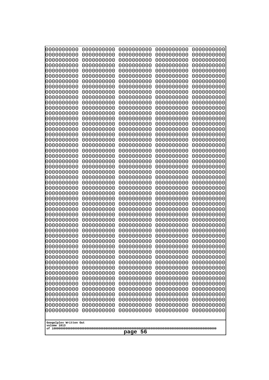| 0000000000                                                                                                                                                                                                                                                                                                                                                                                                                      | 0000000000                                                                                                                                                                                                                                                                                                                                                                             | 0000000000                                                                                                                                                                                                                                                                                                                                                                                        | 0000000000                                                                                                                                                                                                                                                                                                                                                                             | 0000000000                                                                                                                                                                                                                                                                                                                                                                             |
|---------------------------------------------------------------------------------------------------------------------------------------------------------------------------------------------------------------------------------------------------------------------------------------------------------------------------------------------------------------------------------------------------------------------------------|----------------------------------------------------------------------------------------------------------------------------------------------------------------------------------------------------------------------------------------------------------------------------------------------------------------------------------------------------------------------------------------|---------------------------------------------------------------------------------------------------------------------------------------------------------------------------------------------------------------------------------------------------------------------------------------------------------------------------------------------------------------------------------------------------|----------------------------------------------------------------------------------------------------------------------------------------------------------------------------------------------------------------------------------------------------------------------------------------------------------------------------------------------------------------------------------------|----------------------------------------------------------------------------------------------------------------------------------------------------------------------------------------------------------------------------------------------------------------------------------------------------------------------------------------------------------------------------------------|
| 1000000000                                                                                                                                                                                                                                                                                                                                                                                                                      | 0000000000                                                                                                                                                                                                                                                                                                                                                                             | 0000000000                                                                                                                                                                                                                                                                                                                                                                                        | 0000000000                                                                                                                                                                                                                                                                                                                                                                             | 0000000000                                                                                                                                                                                                                                                                                                                                                                             |
| 0000000000                                                                                                                                                                                                                                                                                                                                                                                                                      | 0000000000                                                                                                                                                                                                                                                                                                                                                                             | 0000000000                                                                                                                                                                                                                                                                                                                                                                                        | 0000000000                                                                                                                                                                                                                                                                                                                                                                             | 0000000000                                                                                                                                                                                                                                                                                                                                                                             |
| 0000000000                                                                                                                                                                                                                                                                                                                                                                                                                      | 0000000000                                                                                                                                                                                                                                                                                                                                                                             | 0000000000                                                                                                                                                                                                                                                                                                                                                                                        | 0000000000                                                                                                                                                                                                                                                                                                                                                                             | 0000000000                                                                                                                                                                                                                                                                                                                                                                             |
| 0000000000                                                                                                                                                                                                                                                                                                                                                                                                                      | 0000000000                                                                                                                                                                                                                                                                                                                                                                             | 0000000000                                                                                                                                                                                                                                                                                                                                                                                        | 0000000000                                                                                                                                                                                                                                                                                                                                                                             | 0000000000                                                                                                                                                                                                                                                                                                                                                                             |
| 0000000000                                                                                                                                                                                                                                                                                                                                                                                                                      | 0000000000                                                                                                                                                                                                                                                                                                                                                                             | 0000000000                                                                                                                                                                                                                                                                                                                                                                                        | 0000000000                                                                                                                                                                                                                                                                                                                                                                             | 0000000000                                                                                                                                                                                                                                                                                                                                                                             |
| 0000000000                                                                                                                                                                                                                                                                                                                                                                                                                      | 0000000000                                                                                                                                                                                                                                                                                                                                                                             | 0000000000                                                                                                                                                                                                                                                                                                                                                                                        | 0000000000                                                                                                                                                                                                                                                                                                                                                                             | 0000000000                                                                                                                                                                                                                                                                                                                                                                             |
| 0000000000                                                                                                                                                                                                                                                                                                                                                                                                                      | 0000000000                                                                                                                                                                                                                                                                                                                                                                             | 0000000000                                                                                                                                                                                                                                                                                                                                                                                        | 0000000000                                                                                                                                                                                                                                                                                                                                                                             | 0000000000                                                                                                                                                                                                                                                                                                                                                                             |
| 0000000000                                                                                                                                                                                                                                                                                                                                                                                                                      | 0000000000                                                                                                                                                                                                                                                                                                                                                                             | 0000000000                                                                                                                                                                                                                                                                                                                                                                                        | 0000000000                                                                                                                                                                                                                                                                                                                                                                             | 0000000000                                                                                                                                                                                                                                                                                                                                                                             |
| 0000000000                                                                                                                                                                                                                                                                                                                                                                                                                      | 0000000000                                                                                                                                                                                                                                                                                                                                                                             | 0000000000                                                                                                                                                                                                                                                                                                                                                                                        | 0000000000                                                                                                                                                                                                                                                                                                                                                                             | 0000000000                                                                                                                                                                                                                                                                                                                                                                             |
| 0000000000                                                                                                                                                                                                                                                                                                                                                                                                                      | 0000000000                                                                                                                                                                                                                                                                                                                                                                             | 0000000000                                                                                                                                                                                                                                                                                                                                                                                        | 0000000000                                                                                                                                                                                                                                                                                                                                                                             | 0000000000                                                                                                                                                                                                                                                                                                                                                                             |
| 0000000000                                                                                                                                                                                                                                                                                                                                                                                                                      | 0000000000                                                                                                                                                                                                                                                                                                                                                                             | 0000000000                                                                                                                                                                                                                                                                                                                                                                                        | 0000000000                                                                                                                                                                                                                                                                                                                                                                             | 0000000000                                                                                                                                                                                                                                                                                                                                                                             |
| 0000000000                                                                                                                                                                                                                                                                                                                                                                                                                      | 0000000000                                                                                                                                                                                                                                                                                                                                                                             | 0000000000                                                                                                                                                                                                                                                                                                                                                                                        | 0000000000                                                                                                                                                                                                                                                                                                                                                                             | 0000000000                                                                                                                                                                                                                                                                                                                                                                             |
| 0000000000                                                                                                                                                                                                                                                                                                                                                                                                                      | 0000000000                                                                                                                                                                                                                                                                                                                                                                             | 0000000000                                                                                                                                                                                                                                                                                                                                                                                        | 0000000000                                                                                                                                                                                                                                                                                                                                                                             | 0000000000                                                                                                                                                                                                                                                                                                                                                                             |
| 0000000000                                                                                                                                                                                                                                                                                                                                                                                                                      | 0000000000                                                                                                                                                                                                                                                                                                                                                                             | 0000000000                                                                                                                                                                                                                                                                                                                                                                                        | 0000000000                                                                                                                                                                                                                                                                                                                                                                             | 0000000000                                                                                                                                                                                                                                                                                                                                                                             |
| 0000000000                                                                                                                                                                                                                                                                                                                                                                                                                      | 0000000000                                                                                                                                                                                                                                                                                                                                                                             | 0000000000                                                                                                                                                                                                                                                                                                                                                                                        | 0000000000                                                                                                                                                                                                                                                                                                                                                                             | 0000000000                                                                                                                                                                                                                                                                                                                                                                             |
| 0000000000                                                                                                                                                                                                                                                                                                                                                                                                                      | 0000000000                                                                                                                                                                                                                                                                                                                                                                             | 0000000000                                                                                                                                                                                                                                                                                                                                                                                        | 0000000000                                                                                                                                                                                                                                                                                                                                                                             | 0000000000                                                                                                                                                                                                                                                                                                                                                                             |
| 0000000000                                                                                                                                                                                                                                                                                                                                                                                                                      | 0000000000                                                                                                                                                                                                                                                                                                                                                                             | 0000000000                                                                                                                                                                                                                                                                                                                                                                                        | 0000000000                                                                                                                                                                                                                                                                                                                                                                             | 0000000000                                                                                                                                                                                                                                                                                                                                                                             |
| 0000000000                                                                                                                                                                                                                                                                                                                                                                                                                      | 0000000000                                                                                                                                                                                                                                                                                                                                                                             | 0000000000                                                                                                                                                                                                                                                                                                                                                                                        | 0000000000                                                                                                                                                                                                                                                                                                                                                                             | 0000000000                                                                                                                                                                                                                                                                                                                                                                             |
| 0000000000                                                                                                                                                                                                                                                                                                                                                                                                                      | 0000000000                                                                                                                                                                                                                                                                                                                                                                             | 0000000000                                                                                                                                                                                                                                                                                                                                                                                        | 0000000000                                                                                                                                                                                                                                                                                                                                                                             | 0000000000                                                                                                                                                                                                                                                                                                                                                                             |
| 0000000000                                                                                                                                                                                                                                                                                                                                                                                                                      | 0000000000                                                                                                                                                                                                                                                                                                                                                                             | 0000000000                                                                                                                                                                                                                                                                                                                                                                                        | 0000000000                                                                                                                                                                                                                                                                                                                                                                             | 0000000000                                                                                                                                                                                                                                                                                                                                                                             |
| 0000000000                                                                                                                                                                                                                                                                                                                                                                                                                      | 0000000000                                                                                                                                                                                                                                                                                                                                                                             | 0000000000                                                                                                                                                                                                                                                                                                                                                                                        | 0000000000                                                                                                                                                                                                                                                                                                                                                                             | 0000000000                                                                                                                                                                                                                                                                                                                                                                             |
| 0000000000                                                                                                                                                                                                                                                                                                                                                                                                                      | 0000000000                                                                                                                                                                                                                                                                                                                                                                             | 0000000000                                                                                                                                                                                                                                                                                                                                                                                        | 0000000000                                                                                                                                                                                                                                                                                                                                                                             | 0000000000                                                                                                                                                                                                                                                                                                                                                                             |
| 0000000000<br>0000000000<br>0000000000<br>0000000000<br>0000000000<br>0000000000<br>0000000000<br>0000000000<br>0000000000<br>0000000000<br>0000000000<br>0000000000<br>1000000000<br>0000000000<br>0000000000<br>0000000000<br>0000000000<br>0000000000<br>0000000000<br>0000000000<br>0000000000<br>0000000000<br>0000000000<br>0000000000<br>0000000000<br>0000000000<br>0000000000<br>Googolplex Written Out<br>volume 1013 | 0000000000<br>0000000000<br>0000000000<br>0000000000<br>0000000000<br>0000000000<br>0000000000<br>0000000000<br>0000000000<br>0000000000<br>0000000000<br>0000000000<br>0000000000<br>0000000000<br>0000000000<br>0000000000<br>0000000000<br>0000000000<br>0000000000<br>0000000000<br>0000000000<br>0000000000<br>0000000000<br>0000000000<br>0000000000<br>0000000000<br>0000000000 | 0000000000<br>0000000000<br>0000000000<br>0000000000<br>0000000000<br>0000000000<br>0000000000<br>0000000000<br>0000000000<br>0000000000<br>0000000000<br>0000000000<br>0000000000<br>0000000000<br>0000000000<br>0000000000<br>0000000000<br>0000000000<br>0000000000<br>0000000000<br>0000000000<br>0000000000<br>0000000000<br>0000000000<br>0000000000<br>0000000000<br>0000000000<br>page 56 | 0000000000<br>0000000000<br>0000000000<br>0000000000<br>0000000000<br>0000000000<br>0000000000<br>0000000000<br>0000000000<br>0000000000<br>0000000000<br>0000000000<br>0000000000<br>0000000000<br>0000000000<br>0000000000<br>0000000000<br>0000000000<br>0000000000<br>0000000000<br>0000000000<br>0000000000<br>0000000000<br>0000000000<br>0000000000<br>0000000000<br>0000000000 | 0000000000<br>0000000000<br>0000000000<br>0000000000<br>0000000000<br>0000000000<br>0000000000<br>0000000000<br>0000000000<br>0000000000<br>0000000000<br>0000000000<br>0000000000<br>0000000000<br>0000000000<br>0000000000<br>0000000000<br>0000000000<br>0000000000<br>0000000000<br>0000000000<br>0000000000<br>0000000000<br>0000000000<br>0000000000<br>0000000000<br>0000000000 |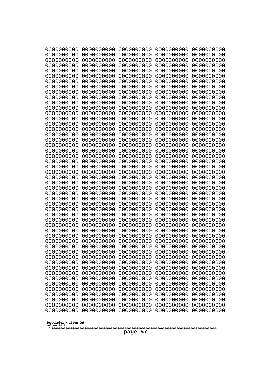| 000000000<br>0000000000               | 0000000000<br>0000000000 | 0000000000<br>0000000000 | 0000000000<br>0000000000 | 0000000000<br>0000000000 |
|---------------------------------------|--------------------------|--------------------------|--------------------------|--------------------------|
| 0000000000                            | 0000000000               | 0000000000               | 0000000000               | 0000000000               |
| 0000000000                            | 0000000000               | 0000000000               | 0000000000               | 0000000000               |
| 0000000000<br>0000000000              | 0000000000<br>0000000000 | 0000000000<br>0000000000 | 0000000000<br>0000000000 | 0000000000<br>0000000000 |
| 0000000000                            | 0000000000               | 0000000000               | 0000000000               | 0000000000               |
| 0000000000                            | 0000000000               | 0000000000               | 0000000000               | 0000000000               |
| 0000000000<br>0000000000              | 0000000000<br>0000000000 | 0000000000<br>0000000000 | 0000000000<br>0000000000 | 0000000000<br>0000000000 |
| 0000000000                            | 0000000000               | 0000000000               | 0000000000               | 0000000000               |
| 0000000000                            | 0000000000               | 0000000000               | 0000000000               | 0000000000               |
| 0000000000                            | 0000000000               | 0000000000               | 0000000000               | 0000000000               |
| 0000000000<br>0000000000              | 0000000000<br>0000000000 | 0000000000<br>0000000000 | 0000000000<br>0000000000 | 0000000000<br>0000000000 |
| 0000000000                            | 0000000000               | 0000000000               | 0000000000               | 0000000000               |
| 0000000000                            | 0000000000               | 0000000000               | 0000000000               | 0000000000               |
| 0000000000<br>0000000000              | 0000000000<br>0000000000 | 0000000000<br>0000000000 | 0000000000<br>0000000000 | 0000000000<br>0000000000 |
| 0000000000                            | 0000000000               | 0000000000               | 0000000000               | 0000000000               |
| 0000000000                            | 0000000000               | 0000000000               | 0000000000               | 0000000000               |
| 0000000000<br>0000000000              | 0000000000<br>0000000000 | 0000000000<br>0000000000 | 0000000000<br>0000000000 | 0000000000<br>0000000000 |
| 0000000000                            | 0000000000               | 0000000000               | 0000000000               | 0000000000               |
| 0000000000                            | 0000000000               | 0000000000               | 0000000000               | 0000000000               |
| 0000000000<br>0000000000              | 0000000000<br>0000000000 | 0000000000<br>0000000000 | 0000000000<br>0000000000 | 0000000000<br>0000000000 |
| 0000000000                            | 0000000000               | 0000000000               | 0000000000               | 0000000000               |
| 0000000000                            | 0000000000               | 0000000000               | 0000000000               | 0000000000               |
| 0000000000                            | 0000000000               | 0000000000               | 0000000000               | 0000000000               |
| 0000000000<br>0000000000              | 0000000000<br>0000000000 | 0000000000<br>0000000000 | 0000000000<br>0000000000 | 0000000000<br>0000000000 |
| 0000000000                            | 0000000000               | 0000000000               | 0000000000               | 0000000000               |
| 0000000000                            | 0000000000               | 0000000000               | 0000000000               | 0000000000               |
| 0000000000<br>0000000000              | 0000000000<br>0000000000 | 0000000000<br>0000000000 | 0000000000<br>0000000000 | 0000000000<br>0000000000 |
| 0000000000                            | 0000000000               | 0000000000               | 0000000000               | 0000000000               |
| 0000000000                            | 0000000000               | 0000000000               | 0000000000               | 0000000000               |
| 0000000000<br>0000000000              | 0000000000<br>0000000000 | 0000000000<br>0000000000 | 0000000000<br>0000000000 | 0000000000<br>0000000000 |
| 0000000000                            | 0000000000               | 0000000000               | 0000000000               | 0000000000               |
| 0000000000                            | 0000000000               | 0000000000               | 0000000000               | 0000000000               |
| 0000000000<br>0000000000              | 0000000000<br>0000000000 | 0000000000<br>0000000000 | 0000000000<br>0000000000 | 0000000000<br>0000000000 |
| 0000000000                            | 0000000000               | 0000000000               | 0000000000               | 0000000000               |
| 0000000000                            | 0000000000               | 0000000000               | 0000000000               | 0000000000               |
| 0000000000<br>0000000000              | 0000000000               | 0000000000               | 0000000000               | 0000000000<br>0000000000 |
| 0000000000                            | 0000000000<br>0000000000 | 0000000000<br>0000000000 | 0000000000<br>0000000000 | 0000000000               |
| 0000000000                            | 0000000000               | 0000000000               | 0000000000               | 0000000000               |
|                                       |                          |                          |                          |                          |
| Googolplex Written Out<br>volume 1013 |                          |                          |                          |                          |
| -57<br>page                           |                          |                          |                          |                          |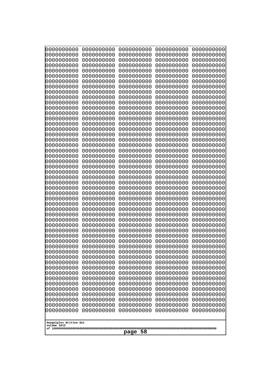| 0000000000                                       | 0000000000 | 0000000000 | 0000000000 | 0000000000 |
|--------------------------------------------------|------------|------------|------------|------------|
| 0000000000                                       | 0000000000 | 0000000000 | 0000000000 | 0000000000 |
| 0000000000                                       | 0000000000 | 0000000000 | 0000000000 | 0000000000 |
| 0000000000                                       | 0000000000 | 0000000000 | 0000000000 | 0000000000 |
| 0000000000                                       | 0000000000 | 0000000000 | 0000000000 | 0000000000 |
| 0000000000                                       | 0000000000 | 0000000000 | 0000000000 | 0000000000 |
| 0000000000                                       | 0000000000 | 0000000000 | 0000000000 | 0000000000 |
| 0000000000                                       | 0000000000 | 0000000000 | 0000000000 | 0000000000 |
| 0000000000                                       | 0000000000 | 0000000000 | 0000000000 | 0000000000 |
| 0000000000                                       | 0000000000 | 0000000000 | 0000000000 | 0000000000 |
| 0000000000                                       | 0000000000 | 0000000000 | 0000000000 | 0000000000 |
| 0000000000                                       | 0000000000 | 0000000000 | 0000000000 | 0000000000 |
| 0000000000                                       | 0000000000 | 0000000000 | 0000000000 | 0000000000 |
| 0000000000                                       | 0000000000 | 0000000000 | 0000000000 | 0000000000 |
| 0000000000                                       | 0000000000 | 0000000000 | 0000000000 | 0000000000 |
| 0000000000                                       | 0000000000 | 0000000000 | 0000000000 | 0000000000 |
| 0000000000                                       | 0000000000 | 0000000000 | 0000000000 | 0000000000 |
| 0000000000                                       | 0000000000 | 0000000000 | 0000000000 | 0000000000 |
| 0000000000                                       | 0000000000 | 0000000000 | 0000000000 | 0000000000 |
| 0000000000                                       | 0000000000 | 0000000000 | 0000000000 | 0000000000 |
| 0000000000                                       | 0000000000 | 0000000000 | 0000000000 | 0000000000 |
| 0000000000                                       | 0000000000 | 0000000000 | 0000000000 | 0000000000 |
| 0000000000                                       | 0000000000 | 0000000000 | 0000000000 | 0000000000 |
| 0000000000                                       | 0000000000 | 0000000000 | 0000000000 | 0000000000 |
| 0000000000                                       | 0000000000 | 0000000000 | 0000000000 | 0000000000 |
| 0000000000                                       | 0000000000 | 0000000000 | 0000000000 | 0000000000 |
| 0000000000                                       | 0000000000 | 0000000000 | 0000000000 | 0000000000 |
| 0000000000                                       | 0000000000 | 0000000000 | 0000000000 | 0000000000 |
| 0000000000                                       | 0000000000 | 0000000000 | 0000000000 | 0000000000 |
| 0000000000                                       | 0000000000 | 0000000000 | 0000000000 | 0000000000 |
| 0000000000                                       | 0000000000 | 0000000000 | 0000000000 | 0000000000 |
| 0000000000                                       | 0000000000 | 0000000000 | 0000000000 | 0000000000 |
| 0000000000                                       | 0000000000 | 0000000000 | 0000000000 | 0000000000 |
| 0000000000                                       | 0000000000 | 0000000000 | 0000000000 | 0000000000 |
| 0000000000                                       | 0000000000 | 0000000000 | 0000000000 | 0000000000 |
| 0000000000                                       | 0000000000 | 0000000000 | 0000000000 | 0000000000 |
| 0000000000                                       | 0000000000 | 0000000000 | 0000000000 | 0000000000 |
| 0000000000                                       | 0000000000 | 0000000000 | 0000000000 | 0000000000 |
| 0000000000                                       | 0000000000 | 0000000000 | 0000000000 | 0000000000 |
| 0000000000                                       | 0000000000 | 0000000000 | 0000000000 | 0000000000 |
| 0000000000                                       | 0000000000 | 0000000000 | 0000000000 | 0000000000 |
| 0000000000                                       | 0000000000 | 0000000000 | 0000000000 | 0000000000 |
| 0000000000                                       | 0000000000 | 0000000000 | 0000000000 | 0000000000 |
| 0000000000                                       | 0000000000 | 0000000000 | 0000000000 | 0000000000 |
| 0000000000                                       | 0000000000 | 0000000000 | 0000000000 | 0000000000 |
| 0000000000                                       | 0000000000 | 0000000000 | 0000000000 | 0000000000 |
| 0000000000                                       | 0000000000 | 0000000000 | 0000000000 | 0000000000 |
| 0000000000                                       | 0000000000 | 0000000000 | 0000000000 | 0000000000 |
| 0000000000                                       | 0000000000 | 0000000000 | 0000000000 | 0000000000 |
| 0000000000                                       | 0000000000 | 0000000000 | 0000000000 | 0000000000 |
| Googolplex Written Out<br>volume 1013<br>page 58 |            |            |            |            |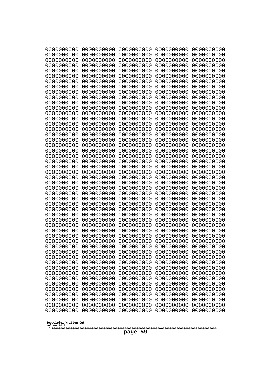| 0000000000                                       | 0000000000 | 0000000000 | 0000000000 | 0000000000 |  |
|--------------------------------------------------|------------|------------|------------|------------|--|
| 0000000000                                       | 0000000000 | 0000000000 | 0000000000 | 0000000000 |  |
| 0000000000                                       | 0000000000 | 0000000000 | 0000000000 | 0000000000 |  |
| 0000000000                                       | 0000000000 | 0000000000 | 0000000000 | 0000000000 |  |
| 1000000000                                       | 0000000000 | 0000000000 | 0000000000 | 0000000000 |  |
| 0000000000                                       | 0000000000 | 0000000000 | 0000000000 | 0000000000 |  |
| 0000000000                                       | 0000000000 | 0000000000 | 0000000000 | 0000000000 |  |
| 0000000000                                       | 0000000000 | 0000000000 | 0000000000 | 0000000000 |  |
| 0000000000                                       | 0000000000 | 0000000000 | 0000000000 | 0000000000 |  |
| 0000000000                                       | 0000000000 | 0000000000 | 0000000000 | 0000000000 |  |
| 0000000000                                       | 0000000000 | 0000000000 | 0000000000 | 0000000000 |  |
| 0000000000                                       | 0000000000 | 0000000000 | 0000000000 | 0000000000 |  |
| 0000000000                                       | 0000000000 | 0000000000 | 0000000000 | 0000000000 |  |
| 0000000000                                       | 0000000000 | 0000000000 | 0000000000 | 0000000000 |  |
| 0000000000                                       | 0000000000 | 0000000000 | 0000000000 | 0000000000 |  |
| 0000000000                                       | 0000000000 | 0000000000 | 0000000000 | 0000000000 |  |
| 0000000000                                       | 0000000000 | 0000000000 | 0000000000 | 0000000000 |  |
| 0000000000                                       | 0000000000 | 0000000000 | 0000000000 | 0000000000 |  |
| 0000000000                                       | 0000000000 | 0000000000 | 0000000000 | 0000000000 |  |
| 0000000000                                       | 0000000000 | 0000000000 | 0000000000 | 0000000000 |  |
| 0000000000                                       | 0000000000 | 0000000000 | 0000000000 | 0000000000 |  |
| 0000000000                                       | 0000000000 | 0000000000 | 0000000000 | 0000000000 |  |
| 0000000000                                       | 0000000000 | 0000000000 | 0000000000 | 0000000000 |  |
| 0000000000                                       | 0000000000 | 0000000000 | 0000000000 | 0000000000 |  |
| 0000000000                                       | 0000000000 | 0000000000 | 0000000000 | 0000000000 |  |
| 0000000000                                       | 0000000000 | 0000000000 | 0000000000 | 0000000000 |  |
| 0000000000                                       | 0000000000 | 0000000000 | 0000000000 | 0000000000 |  |
| 0000000000                                       | 0000000000 | 0000000000 | 0000000000 | 0000000000 |  |
| 0000000000                                       | 0000000000 | 0000000000 | 0000000000 | 0000000000 |  |
| 0000000000                                       | 0000000000 | 0000000000 | 0000000000 | 0000000000 |  |
| 0000000000                                       | 0000000000 | 0000000000 | 0000000000 | 0000000000 |  |
| 0000000000                                       | 0000000000 | 0000000000 | 0000000000 | 0000000000 |  |
| 0000000000                                       | 0000000000 | 0000000000 | 0000000000 | 0000000000 |  |
| 0000000000                                       | 0000000000 | 0000000000 | 0000000000 | 0000000000 |  |
| 0000000000                                       | 0000000000 | 0000000000 | 0000000000 | 0000000000 |  |
| 0000000000                                       | 0000000000 | 0000000000 | 0000000000 | 0000000000 |  |
| 0000000000                                       | 0000000000 | 0000000000 | 0000000000 | 0000000000 |  |
| 0000000000                                       | 0000000000 | 0000000000 | 0000000000 | 0000000000 |  |
| 0000000000                                       | 0000000000 | 0000000000 | 0000000000 | 0000000000 |  |
| 0000000000                                       | 0000000000 | 0000000000 | 0000000000 | 0000000000 |  |
| 0000000000                                       | 0000000000 | 0000000000 | 0000000000 | 0000000000 |  |
| 0000000000                                       | 0000000000 | 0000000000 | 0000000000 | 0000000000 |  |
| 0000000000                                       | 0000000000 | 0000000000 | 0000000000 | 0000000000 |  |
| 0000000000                                       | 0000000000 | 0000000000 | 0000000000 | 0000000000 |  |
| 0000000000                                       | 0000000000 | 0000000000 | 0000000000 | 0000000000 |  |
| 0000000000                                       | 0000000000 | 0000000000 | 0000000000 | 0000000000 |  |
| 0000000000                                       | 0000000000 | 0000000000 | 0000000000 | 0000000000 |  |
| 0000000000                                       | 0000000000 | 0000000000 | 0000000000 | 0000000000 |  |
| 0000000000                                       | 0000000000 | 0000000000 | 0000000000 | 0000000000 |  |
| 0000000000                                       | 0000000000 | 0000000000 | 0000000000 | 0000000000 |  |
| Googolplex Written Out<br>volume 1013<br>page 59 |            |            |            |            |  |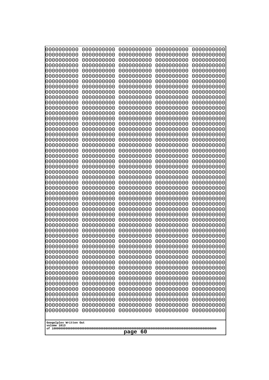| 000000000<br>0000000000<br>0000000000<br>0000000000  |      | 0000000000<br>0000000000 | 0000000000<br>0000000000 | 0000000000<br>0000000000 |
|------------------------------------------------------|------|--------------------------|--------------------------|--------------------------|
| 0000000000<br>0000000000                             |      | 0000000000               | 0000000000               | 0000000000               |
| 0000000000<br>0000000000                             |      | 0000000000               | 0000000000               | 0000000000               |
| 0000000000<br>0000000000<br>0000000000               |      | 0000000000               | 0000000000               | 0000000000<br>0000000000 |
| 0000000000<br>0000000000<br>0000000000               |      | 0000000000<br>0000000000 | 0000000000<br>0000000000 | 0000000000               |
| 0000000000<br>0000000000                             |      | 0000000000               | 0000000000               | 0000000000               |
| 0000000000<br>0000000000                             |      | 0000000000               | 0000000000               | 0000000000               |
| 0000000000<br>0000000000<br>0000000000<br>0000000000 |      | 0000000000<br>0000000000 | 0000000000<br>0000000000 | 0000000000<br>0000000000 |
| 0000000000<br>0000000000                             |      | 0000000000               | 0000000000               | 0000000000               |
| 0000000000<br>0000000000                             |      | 0000000000               | 0000000000               | 0000000000               |
| 0000000000<br>0000000000<br>0000000000<br>0000000000 |      | 0000000000<br>0000000000 | 0000000000<br>0000000000 | 0000000000<br>0000000000 |
| 0000000000<br>0000000000                             |      | 0000000000               | 0000000000               | 0000000000               |
| 0000000000<br>0000000000                             |      | 0000000000               | 0000000000               | 0000000000               |
| 0000000000<br>0000000000                             |      | 0000000000               | 0000000000               | 0000000000               |
| 0000000000<br>0000000000<br>0000000000<br>0000000000 |      | 0000000000<br>0000000000 | 0000000000<br>0000000000 | 0000000000<br>0000000000 |
| 0000000000<br>0000000000                             |      | 0000000000               | 0000000000               | 0000000000               |
| 0000000000<br>0000000000                             |      | 0000000000               | 0000000000               | 0000000000               |
| 0000000000<br>0000000000<br>0000000000<br>0000000000 |      | 0000000000<br>0000000000 | 0000000000<br>0000000000 | 0000000000<br>0000000000 |
| 0000000000<br>0000000000                             |      | 0000000000               | 0000000000               | 0000000000               |
| 0000000000<br>0000000000                             |      | 0000000000               | 0000000000               | 0000000000               |
| 0000000000<br>0000000000<br>0000000000<br>0000000000 |      | 0000000000<br>0000000000 | 0000000000<br>0000000000 | 0000000000<br>0000000000 |
| 0000000000<br>0000000000                             |      | 0000000000               | 0000000000               | 0000000000               |
| 0000000000<br>0000000000                             |      | 0000000000               | 0000000000               | 0000000000               |
| 0000000000<br>0000000000<br>0000000000<br>0000000000 |      | 0000000000<br>0000000000 | 0000000000<br>0000000000 | 0000000000<br>0000000000 |
| 0000000000<br>0000000000                             |      | 0000000000               | 0000000000               | 0000000000               |
| 0000000000<br>0000000000                             |      | 0000000000               | 0000000000               | 0000000000               |
| 0000000000<br>0000000000                             |      | 0000000000               | 0000000000               | 0000000000               |
| 0000000000<br>0000000000<br>0000000000<br>0000000000 |      | 0000000000<br>0000000000 | 0000000000<br>0000000000 | 0000000000<br>0000000000 |
| 0000000000<br>0000000000                             |      | 0000000000               | 0000000000               | 0000000000               |
| 0000000000<br>0000000000                             |      | 0000000000               | 0000000000               | 0000000000               |
| 0000000000<br>0000000000<br>0000000000<br>0000000000 |      | 0000000000<br>0000000000 | 0000000000<br>0000000000 | 0000000000<br>0000000000 |
| 0000000000<br>0000000000                             |      | 0000000000               | 0000000000               | 0000000000               |
| 0000000000<br>0000000000                             |      | 0000000000               | 0000000000               | 0000000000               |
| 0000000000<br>0000000000<br>0000000000<br>0000000000 |      | 0000000000<br>0000000000 | 0000000000<br>0000000000 | 0000000000<br>0000000000 |
| 0000000000<br>0000000000                             |      | 0000000000               | 0000000000               | 0000000000               |
| 0000000000<br>0000000000                             |      | 0000000000               | 0000000000               | 0000000000               |
| 0000000000<br>0000000000                             |      | 0000000000               | 0000000000               | 0000000000               |
| 0000000000<br>0000000000<br>0000000000<br>0000000000 |      | 0000000000<br>0000000000 | 0000000000<br>0000000000 | 0000000000<br>0000000000 |
|                                                      |      |                          |                          |                          |
| Googolplex Written Out<br>volume 1013                |      |                          |                          |                          |
|                                                      | page | -60                      |                          |                          |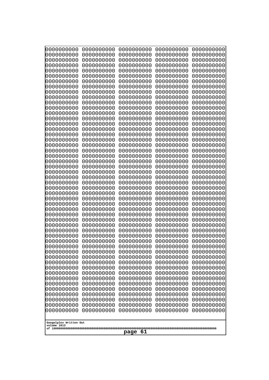| 000000000<br>0000000000               | 0000000000<br>0000000000 | 0000000000<br>0000000000 | 0000000000<br>0000000000 | 0000000000<br>0000000000 |
|---------------------------------------|--------------------------|--------------------------|--------------------------|--------------------------|
| 0000000000                            | 0000000000               | 0000000000               | 0000000000               | 0000000000               |
| 0000000000                            | 0000000000               | 0000000000               | 0000000000               | 0000000000               |
| 0000000000<br>0000000000              | 0000000000<br>0000000000 | 0000000000<br>0000000000 | 0000000000<br>0000000000 | 0000000000<br>0000000000 |
| 0000000000                            | 0000000000               | 0000000000               | 0000000000               | 0000000000               |
| 0000000000                            | 0000000000               | 0000000000               | 0000000000               | 0000000000               |
| 0000000000<br>0000000000              | 0000000000<br>0000000000 | 0000000000<br>0000000000 | 0000000000<br>0000000000 | 0000000000<br>0000000000 |
| 0000000000                            | 0000000000               | 0000000000               | 0000000000               | 0000000000               |
| 0000000000                            | 0000000000               | 0000000000               | 0000000000               | 0000000000               |
| 0000000000                            | 0000000000               | 0000000000               | 0000000000               | 0000000000               |
| 0000000000<br>0000000000              | 0000000000<br>0000000000 | 0000000000<br>0000000000 | 0000000000<br>0000000000 | 0000000000<br>0000000000 |
| 0000000000                            | 0000000000               | 0000000000               | 0000000000               | 0000000000               |
| 0000000000                            | 0000000000               | 0000000000               | 0000000000               | 0000000000               |
| 0000000000<br>0000000000              | 0000000000<br>0000000000 | 0000000000<br>0000000000 | 0000000000<br>0000000000 | 0000000000<br>0000000000 |
| 0000000000                            | 0000000000               | 0000000000               | 0000000000               | 0000000000               |
| 0000000000                            | 0000000000               | 0000000000               | 0000000000               | 0000000000               |
| 0000000000<br>0000000000              | 0000000000<br>0000000000 | 0000000000<br>0000000000 | 0000000000<br>0000000000 | 0000000000<br>0000000000 |
| 0000000000                            | 0000000000               | 0000000000               | 0000000000               | 0000000000               |
| 0000000000                            | 0000000000               | 0000000000               | 0000000000               | 0000000000               |
| 0000000000<br>0000000000              | 0000000000<br>0000000000 | 0000000000<br>0000000000 | 0000000000<br>0000000000 | 0000000000<br>0000000000 |
| 0000000000                            | 0000000000               | 0000000000               | 0000000000               | 0000000000               |
| 0000000000                            | 0000000000               | 0000000000               | 0000000000               | 0000000000               |
| 0000000000                            | 0000000000               | 0000000000               | 0000000000               | 0000000000               |
| 0000000000<br>0000000000              | 0000000000<br>0000000000 | 0000000000<br>0000000000 | 0000000000<br>0000000000 | 0000000000<br>0000000000 |
| 0000000000                            | 0000000000               | 0000000000               | 0000000000               | 0000000000               |
| 0000000000                            | 0000000000               | 0000000000               | 0000000000               | 0000000000               |
| 0000000000<br>0000000000              | 0000000000<br>0000000000 | 0000000000<br>0000000000 | 0000000000<br>0000000000 | 0000000000<br>0000000000 |
| 0000000000                            | 0000000000               | 0000000000               | 0000000000               | 0000000000               |
| 0000000000                            | 0000000000               | 0000000000               | 0000000000               | 0000000000               |
| 0000000000<br>0000000000              | 0000000000<br>0000000000 | 0000000000<br>0000000000 | 0000000000<br>0000000000 | 0000000000<br>0000000000 |
| 0000000000                            | 0000000000               | 0000000000               | 0000000000               | 0000000000               |
| 0000000000                            | 0000000000               | 0000000000               | 0000000000               | 0000000000               |
| 0000000000<br>0000000000              | 0000000000<br>0000000000 | 0000000000<br>0000000000 | 0000000000<br>0000000000 | 0000000000<br>0000000000 |
| 0000000000                            | 0000000000               | 0000000000               | 0000000000               | 0000000000               |
| 0000000000                            | 0000000000               | 0000000000               | 0000000000               | 0000000000               |
| 0000000000                            | 0000000000               | 0000000000               | 0000000000               | 0000000000<br>0000000000 |
| 0000000000<br>0000000000              | 0000000000<br>0000000000 | 0000000000<br>0000000000 | 0000000000<br>0000000000 | 0000000000               |
| 0000000000                            | 0000000000               | 0000000000               | 0000000000               | 0000000000               |
|                                       |                          |                          |                          |                          |
| Googolplex Written Out<br>volume 1013 |                          |                          |                          |                          |
| -61<br>page                           |                          |                          |                          |                          |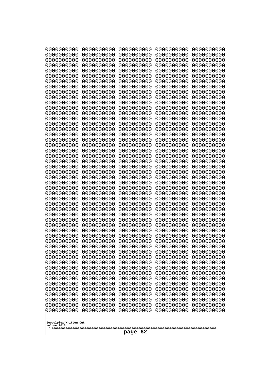| 0000000000                                           | 0000000000 | 0000000000 | 0000000000 | 0000000000 |
|------------------------------------------------------|------------|------------|------------|------------|
| 1000000000                                           | 0000000000 | 0000000000 | 0000000000 | 0000000000 |
| 1000000000                                           | 0000000000 | 0000000000 | 0000000000 | 0000000000 |
| 0000000000                                           | 0000000000 | 0000000000 | 0000000000 | 0000000000 |
| 0000000000                                           | 0000000000 | 0000000000 | 0000000000 | 0000000000 |
| 0000000000                                           | 0000000000 | 0000000000 | 0000000000 | 0000000000 |
| 0000000000                                           | 0000000000 | 0000000000 | 0000000000 | 0000000000 |
| 0000000000                                           | 0000000000 | 0000000000 | 0000000000 | 0000000000 |
| 0000000000                                           | 0000000000 | 0000000000 | 0000000000 | 0000000000 |
| 0000000000                                           | 0000000000 | 0000000000 | 0000000000 | 0000000000 |
| 0000000000                                           | 0000000000 | 0000000000 | 0000000000 | 0000000000 |
| 0000000000                                           | 0000000000 | 0000000000 | 0000000000 | 0000000000 |
| 0000000000                                           | 0000000000 | 0000000000 | 0000000000 | 0000000000 |
| 0000000000                                           | 0000000000 | 0000000000 | 0000000000 | 0000000000 |
| 0000000000                                           | 0000000000 | 0000000000 | 0000000000 | 0000000000 |
| 0000000000                                           | 0000000000 | 0000000000 | 0000000000 | 0000000000 |
| 0000000000                                           | 0000000000 | 0000000000 | 0000000000 | 0000000000 |
| 0000000000                                           | 0000000000 | 0000000000 | 0000000000 | 0000000000 |
| looooooooo                                           | 0000000000 | 0000000000 | 0000000000 | 0000000000 |
| 0000000000                                           | 0000000000 | 0000000000 | 0000000000 | 0000000000 |
| 0000000000                                           | 0000000000 | 0000000000 | 0000000000 | 0000000000 |
| 0000000000                                           | 0000000000 | 0000000000 | 0000000000 | 0000000000 |
| 0000000000                                           | 0000000000 | 0000000000 | 0000000000 | 0000000000 |
| 0000000000                                           | 0000000000 | 0000000000 | 0000000000 | 0000000000 |
| 0000000000                                           | 0000000000 | 0000000000 | 0000000000 | 0000000000 |
| 0000000000                                           | 0000000000 | 0000000000 | 0000000000 | 0000000000 |
| 0000000000                                           | 0000000000 | 0000000000 | 0000000000 | 0000000000 |
| 0000000000                                           | 0000000000 | 0000000000 | 0000000000 | 0000000000 |
| 0000000000                                           | 0000000000 | 0000000000 | 0000000000 | 0000000000 |
| 0000000000                                           | 0000000000 | 0000000000 | 0000000000 | 0000000000 |
| 0000000000                                           | 0000000000 | 0000000000 | 0000000000 | 0000000000 |
| 0000000000                                           | 0000000000 | 0000000000 | 0000000000 | 0000000000 |
| 0000000000                                           | 0000000000 | 0000000000 | 0000000000 | 0000000000 |
| 0000000000                                           | 0000000000 | 0000000000 | 0000000000 | 0000000000 |
| 0000000000                                           | 0000000000 | 0000000000 | 0000000000 | 0000000000 |
| 0000000000                                           | 0000000000 | 0000000000 | 0000000000 | 0000000000 |
| 0000000000                                           | 0000000000 | 0000000000 | 0000000000 | 0000000000 |
| 0000000000                                           | 0000000000 | 0000000000 | 0000000000 | 0000000000 |
| 0000000000                                           | 0000000000 | 0000000000 | 0000000000 | 0000000000 |
| 0000000000                                           | 0000000000 | 0000000000 | 0000000000 | 0000000000 |
| 0000000000                                           | 0000000000 | 0000000000 | 0000000000 | 0000000000 |
| 0000000000                                           | 0000000000 | 0000000000 | 0000000000 | 0000000000 |
| 0000000000                                           | 0000000000 | 0000000000 | 0000000000 | 0000000000 |
| 0000000000                                           | 0000000000 | 0000000000 | 0000000000 | 0000000000 |
| 0000000000                                           | 0000000000 | 0000000000 | 0000000000 | 0000000000 |
| 0000000000                                           | 0000000000 | 0000000000 | 0000000000 | 0000000000 |
| 0000000000                                           | 0000000000 | 0000000000 | 0000000000 | 0000000000 |
| 0000000000                                           | 0000000000 | 0000000000 | 0000000000 | 0000000000 |
| 0000000000                                           | 0000000000 | 0000000000 | 0000000000 | 0000000000 |
| 0000000000                                           | 0000000000 | 0000000000 | 0000000000 | 0000000000 |
| Googolplex Written Out<br>volume 1013<br>-62<br>page |            |            |            |            |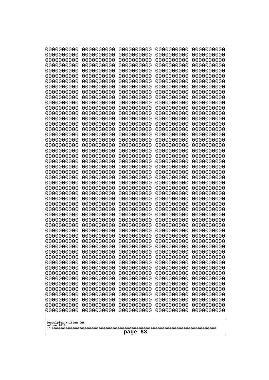| 000000000                             | 0000000000               | 0000000000               | 0000000000               | 0000000000               |
|---------------------------------------|--------------------------|--------------------------|--------------------------|--------------------------|
| 0000000000<br>0000000000              | 0000000000<br>0000000000 | 0000000000<br>0000000000 | 0000000000<br>0000000000 | 0000000000<br>0000000000 |
| 0000000000                            | 0000000000               | 0000000000               | 0000000000               | 0000000000               |
| 0000000000<br>0000000000              | 0000000000<br>0000000000 | 0000000000<br>0000000000 | 0000000000<br>0000000000 | 0000000000<br>0000000000 |
| 0000000000                            | 0000000000               | 0000000000               | 0000000000               | 0000000000               |
| 0000000000                            | 0000000000               | 0000000000               | 0000000000               | 0000000000               |
| 0000000000<br>0000000000              | 0000000000<br>0000000000 | 0000000000<br>0000000000 | 0000000000<br>0000000000 | 0000000000<br>0000000000 |
| 0000000000                            | 0000000000               | 0000000000               | 0000000000               | 0000000000               |
| 0000000000                            | 0000000000               | 0000000000               | 0000000000               | 0000000000               |
| 0000000000<br>0000000000              | 0000000000<br>0000000000 | 0000000000<br>0000000000 | 0000000000<br>0000000000 | 0000000000<br>0000000000 |
| 0000000000                            | 0000000000               | 0000000000               | 0000000000               | 0000000000               |
| 0000000000                            | 0000000000               | 0000000000               | 0000000000               | 0000000000               |
| 0000000000<br>0000000000              | 0000000000<br>0000000000 | 0000000000<br>0000000000 | 0000000000<br>0000000000 | 0000000000<br>0000000000 |
| 0000000000                            | 0000000000               | 0000000000               | 0000000000               | 0000000000               |
| 0000000000                            | 0000000000               | 0000000000               | 0000000000               | 0000000000               |
| 0000000000<br>0000000000              | 0000000000<br>0000000000 | 0000000000<br>0000000000 | 0000000000<br>0000000000 | 0000000000<br>0000000000 |
| 0000000000                            | 0000000000               | 0000000000               | 0000000000               | 0000000000               |
| 0000000000<br>0000000000              | 0000000000<br>0000000000 | 0000000000<br>0000000000 | 0000000000<br>0000000000 | 0000000000<br>0000000000 |
| 0000000000                            | 0000000000               | 0000000000               | 0000000000               | 0000000000               |
| 0000000000                            | 0000000000               | 0000000000               | 0000000000               | 0000000000               |
| 0000000000<br>0000000000              | 0000000000<br>0000000000 | 0000000000<br>0000000000 | 0000000000<br>0000000000 | 0000000000<br>0000000000 |
| 0000000000                            | 0000000000               | 0000000000               | 0000000000               | 0000000000               |
| 0000000000                            | 0000000000               | 0000000000               | 0000000000               | 0000000000               |
| 0000000000<br>0000000000              | 0000000000<br>0000000000 | 0000000000<br>0000000000 | 0000000000<br>0000000000 | 0000000000<br>0000000000 |
| 0000000000                            | 0000000000               | 0000000000               | 0000000000               | 0000000000               |
| 0000000000                            | 0000000000               | 0000000000               | 0000000000               | 0000000000               |
| 0000000000<br>0000000000              | 0000000000<br>0000000000 | 0000000000<br>0000000000 | 0000000000<br>0000000000 | 0000000000<br>0000000000 |
| 0000000000                            | 0000000000               | 0000000000               | 0000000000               | 0000000000               |
| 0000000000                            | 0000000000               | 0000000000               | 0000000000               | 0000000000               |
| 0000000000<br>0000000000              | 0000000000<br>0000000000 | 0000000000<br>0000000000 | 0000000000<br>0000000000 | 0000000000<br>0000000000 |
| 0000000000                            | 0000000000               | 0000000000               | 0000000000               | 0000000000               |
| 0000000000                            | 0000000000               | 0000000000               | 0000000000               | 0000000000               |
| 0000000000<br>0000000000              | 0000000000<br>0000000000 | 0000000000<br>0000000000 | 0000000000<br>0000000000 | 0000000000<br>0000000000 |
| 0000000000                            | 0000000000               | 0000000000               | 0000000000               | 0000000000               |
| 0000000000<br>0000000000              | 0000000000<br>0000000000 | 0000000000<br>0000000000 | 0000000000<br>0000000000 | 0000000000<br>0000000000 |
| 0000000000                            | 0000000000               | 0000000000               | 0000000000               | 0000000000               |
| 0000000000                            | 0000000000               | 0000000000               | 0000000000               | 0000000000               |
|                                       |                          |                          |                          |                          |
| Googolplex Written Out<br>volume 1013 |                          |                          |                          |                          |
| 63<br>page                            |                          |                          |                          |                          |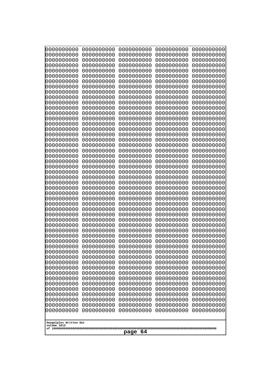| 000000000<br>0000000000  | 0000000000<br>0000000000 | 0000000000<br>0000000000 | 0000000000<br>0000000000 | 0000000000<br>0000000000 |
|--------------------------|--------------------------|--------------------------|--------------------------|--------------------------|
| 0000000000               | 0000000000               | 0000000000               | 0000000000               | 0000000000               |
| 0000000000               | 0000000000               | 0000000000               | 0000000000               | 0000000000               |
| 0000000000<br>0000000000 | 0000000000               | 0000000000               | 0000000000               | 0000000000<br>0000000000 |
| 0000000000               | 0000000000<br>0000000000 | 0000000000<br>0000000000 | 0000000000<br>0000000000 | 0000000000               |
| 0000000000               | 0000000000               | 0000000000               | 0000000000               | 0000000000               |
| 0000000000               | 0000000000               | 0000000000               | 0000000000               | 0000000000               |
| 0000000000<br>0000000000 | 0000000000<br>0000000000 | 0000000000<br>0000000000 | 0000000000<br>0000000000 | 0000000000<br>0000000000 |
| 0000000000               | 0000000000               | 0000000000               | 0000000000               | 0000000000               |
| 0000000000               | 0000000000               | 0000000000               | 0000000000               | 0000000000               |
| 0000000000               | 0000000000               | 0000000000               | 0000000000               | 0000000000               |
| 0000000000<br>0000000000 | 0000000000<br>0000000000 | 0000000000<br>0000000000 | 0000000000<br>0000000000 | 0000000000<br>0000000000 |
| 0000000000               | 0000000000               | 0000000000               | 0000000000               | 0000000000               |
| 0000000000               | 0000000000               | 0000000000               | 0000000000               | 0000000000               |
| 0000000000<br>0000000000 | 0000000000<br>0000000000 | 0000000000<br>0000000000 | 0000000000<br>0000000000 | 0000000000<br>0000000000 |
| 0000000000               | 0000000000               | 0000000000               | 0000000000               | 0000000000               |
| 0000000000               | 0000000000               | 0000000000               | 0000000000               | 0000000000               |
| 0000000000               | 0000000000               | 0000000000               | 0000000000               | 0000000000               |
| 0000000000<br>0000000000 | 0000000000<br>0000000000 | 0000000000<br>0000000000 | 0000000000<br>0000000000 | 0000000000<br>0000000000 |
| 0000000000               | 0000000000               | 0000000000               | 0000000000               | 0000000000               |
| 0000000000               | 0000000000               | 0000000000               | 0000000000               | 0000000000               |
| 0000000000<br>0000000000 | 0000000000<br>0000000000 | 0000000000<br>0000000000 | 0000000000<br>0000000000 | 0000000000<br>0000000000 |
| 0000000000               | 0000000000               | 0000000000               | 0000000000               | 0000000000               |
| 0000000000               | 0000000000               | 0000000000               | 0000000000               | 0000000000               |
| 0000000000<br>0000000000 | 0000000000<br>0000000000 | 0000000000<br>0000000000 | 0000000000<br>0000000000 | 0000000000<br>0000000000 |
| 0000000000               | 0000000000               | 0000000000               | 0000000000               | 0000000000               |
| 0000000000               | 0000000000               | 0000000000               | 0000000000               | 0000000000               |
| 0000000000               | 0000000000               | 0000000000               | 0000000000               | 0000000000               |
| 0000000000<br>0000000000 | 0000000000<br>0000000000 | 0000000000<br>0000000000 | 0000000000<br>0000000000 | 0000000000<br>0000000000 |
| 0000000000               | 0000000000               | 0000000000               | 0000000000               | 0000000000               |
| 0000000000               | 0000000000               | 0000000000               | 0000000000               | 0000000000               |
| 0000000000<br>0000000000 | 0000000000<br>0000000000 | 0000000000<br>0000000000 | 0000000000<br>0000000000 | 0000000000<br>0000000000 |
| 0000000000               | 0000000000               | 0000000000               | 0000000000               | 0000000000               |
| 0000000000               | 0000000000               | 0000000000               | 0000000000               | 0000000000               |
| 0000000000               | 0000000000               | 0000000000               | 0000000000               | 0000000000               |
| 0000000000<br>0000000000 | 0000000000<br>0000000000 | 0000000000<br>0000000000 | 0000000000<br>0000000000 | 0000000000<br>0000000000 |
| 0000000000               | 0000000000               | 0000000000               | 0000000000               | 0000000000               |
| 0000000000               | 0000000000               | 0000000000               | 0000000000               | 0000000000               |
| 0000000000               | 0000000000               | 0000000000               | 0000000000               | 0000000000               |
| Googolplex Written Out   |                          |                          |                          |                          |
| volume 1013              |                          |                          |                          |                          |
| -64<br>page              |                          |                          |                          |                          |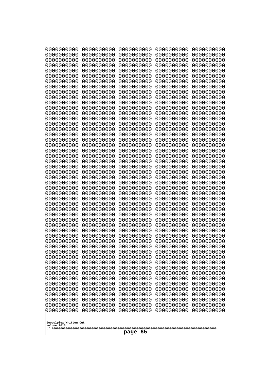| 0000000000                                           | 0000000000                                           | 0000000000                                           | 0000000000                                           | 0000000000                                           |
|------------------------------------------------------|------------------------------------------------------|------------------------------------------------------|------------------------------------------------------|------------------------------------------------------|
| 0000000000                                           | 0000000000                                           | 0000000000                                           | 0000000000                                           | 0000000000                                           |
| 0000000000                                           | 0000000000                                           | 0000000000                                           | 0000000000                                           | 0000000000                                           |
| 0000000000                                           | 0000000000                                           | 0000000000                                           | 0000000000                                           | 0000000000                                           |
| 0000000000                                           | 0000000000                                           | 0000000000                                           | 0000000000                                           | 0000000000                                           |
| 0000000000                                           | 0000000000                                           | 0000000000                                           | 0000000000                                           | 0000000000                                           |
| 0000000000                                           | 0000000000                                           | 0000000000                                           | 0000000000                                           | 0000000000                                           |
| 0000000000                                           | 0000000000                                           | 0000000000                                           | 0000000000                                           | 0000000000                                           |
| 0000000000                                           | 0000000000                                           | 0000000000                                           | 0000000000                                           | 0000000000                                           |
| 0000000000                                           | 0000000000                                           | 0000000000                                           | 0000000000                                           | 0000000000                                           |
| 0000000000                                           | 0000000000                                           | 0000000000                                           | 0000000000                                           | 0000000000                                           |
| 0000000000                                           | 0000000000                                           | 0000000000                                           | 0000000000                                           | 0000000000                                           |
| 0000000000                                           | 0000000000                                           | 0000000000                                           | 0000000000                                           | 0000000000                                           |
| 0000000000                                           | 0000000000                                           | 0000000000                                           | 0000000000                                           | 0000000000                                           |
| 0000000000                                           | 0000000000                                           | 0000000000                                           | 0000000000                                           | 0000000000                                           |
| 0000000000                                           | 0000000000                                           | 0000000000                                           | 0000000000                                           | 0000000000                                           |
| 0000000000                                           | 0000000000                                           | 0000000000                                           | 0000000000                                           | 0000000000                                           |
| 0000000000                                           | 0000000000                                           | 0000000000                                           | 0000000000                                           | 0000000000                                           |
| 0000000000                                           | 0000000000                                           | 0000000000                                           | 0000000000                                           | 0000000000                                           |
| 0000000000                                           | 0000000000                                           | 0000000000                                           | 0000000000                                           | 0000000000                                           |
| 0000000000                                           | 0000000000                                           | 0000000000                                           | 0000000000                                           | 0000000000                                           |
| 0000000000                                           | 0000000000                                           | 0000000000                                           | 0000000000                                           | 0000000000                                           |
| 0000000000                                           | 0000000000                                           | 0000000000                                           | 0000000000                                           | 0000000000                                           |
| 0000000000                                           | 0000000000                                           | 0000000000                                           | 0000000000                                           | 0000000000                                           |
| 0000000000                                           | 0000000000                                           | 0000000000                                           | 0000000000                                           | 0000000000                                           |
| 0000000000                                           | 0000000000                                           | 0000000000                                           | 0000000000                                           | 0000000000                                           |
| 0000000000                                           | 0000000000                                           | 0000000000                                           | 0000000000                                           | 0000000000                                           |
| 0000000000                                           | 0000000000                                           | 0000000000                                           | 0000000000                                           | 0000000000                                           |
| 0000000000                                           | 0000000000                                           | 0000000000                                           | 0000000000                                           | 0000000000                                           |
| 0000000000                                           | 0000000000                                           | 0000000000                                           | 0000000000                                           | 0000000000                                           |
| 0000000000                                           | 0000000000                                           | 0000000000                                           | 0000000000                                           | 0000000000                                           |
| 0000000000                                           | 0000000000                                           | 0000000000                                           | 0000000000                                           | 0000000000                                           |
| 0000000000                                           | 0000000000                                           | 0000000000                                           | 0000000000                                           | 0000000000                                           |
| 0000000000                                           | 0000000000                                           | 0000000000                                           | 0000000000                                           | 0000000000                                           |
| 0000000000<br>0000000000<br>0000000000               | 0000000000<br>0000000000<br>0000000000<br>0000000000 | 0000000000<br>0000000000<br>0000000000               | 0000000000<br>0000000000<br>0000000000               | 0000000000<br>0000000000<br>0000000000<br>0000000000 |
| 0000000000<br>0000000000<br>0000000000<br>0000000000 | 0000000000<br>0000000000<br>0000000000               | 0000000000<br>0000000000<br>0000000000<br>0000000000 | 0000000000<br>0000000000<br>0000000000<br>0000000000 | 0000000000<br>0000000000<br>0000000000               |
| 0000000000                                           | 0000000000                                           | 0000000000                                           | 0000000000                                           | 0000000000                                           |
| 0000000000                                           | 0000000000                                           | 0000000000                                           | 0000000000                                           | 0000000000                                           |
| 0000000000                                           | 0000000000                                           | 0000000000                                           | 0000000000                                           | 0000000000                                           |
| 0000000000                                           | 0000000000                                           | 0000000000                                           | 0000000000                                           | 0000000000                                           |
| 0000000000                                           | 0000000000                                           | 0000000000                                           | 0000000000                                           | 0000000000                                           |
| 0000000000                                           | 0000000000                                           | 0000000000                                           | 0000000000                                           | 0000000000                                           |
| 0000000000                                           | 0000000000                                           | 0000000000                                           | 0000000000                                           | 0000000000                                           |
| 0000000000                                           | 0000000000                                           | 0000000000                                           | 0000000000                                           | 0000000000                                           |
| 0000000000<br>Googolplex Written Out<br>volume 1013  | 0000000000                                           | 0000000000                                           | 0000000000                                           | 0000000000                                           |
| -65<br>page                                          |                                                      |                                                      |                                                      |                                                      |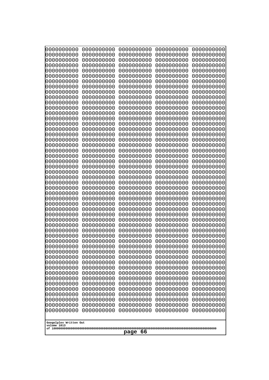| 000000000<br>0000000000               | 0000000000<br>0000000000 | 0000000000<br>0000000000 | 0000000000<br>0000000000 | 0000000000<br>0000000000 |
|---------------------------------------|--------------------------|--------------------------|--------------------------|--------------------------|
| 0000000000                            | 0000000000               | 0000000000               | 0000000000               | 0000000000               |
| 0000000000                            | 0000000000               | 0000000000               | 0000000000               | 0000000000               |
| 0000000000<br>0000000000              | 0000000000<br>0000000000 | 0000000000<br>0000000000 | 0000000000<br>0000000000 | 0000000000<br>0000000000 |
| 0000000000                            | 0000000000               | 0000000000               | 0000000000               | 0000000000               |
| 0000000000                            | 0000000000               | 0000000000               | 0000000000               | 0000000000               |
| 0000000000<br>0000000000              | 0000000000<br>0000000000 | 0000000000<br>0000000000 | 0000000000<br>0000000000 | 0000000000<br>0000000000 |
| 0000000000                            | 0000000000               | 0000000000               | 0000000000               | 0000000000               |
| 0000000000                            | 0000000000               | 0000000000               | 0000000000               | 0000000000               |
| 0000000000                            | 0000000000               | 0000000000               | 0000000000               | 0000000000               |
| 0000000000<br>0000000000              | 0000000000<br>0000000000 | 0000000000<br>0000000000 | 0000000000<br>0000000000 | 0000000000<br>0000000000 |
| 0000000000                            | 0000000000               | 0000000000               | 0000000000               | 0000000000               |
| 0000000000                            | 0000000000               | 0000000000               | 0000000000               | 0000000000               |
| 0000000000<br>0000000000              | 0000000000<br>0000000000 | 0000000000<br>0000000000 | 0000000000<br>0000000000 | 0000000000<br>0000000000 |
| 0000000000                            | 0000000000               | 0000000000               | 0000000000               | 0000000000               |
| 0000000000                            | 0000000000               | 0000000000               | 0000000000               | 0000000000               |
| 0000000000<br>0000000000              | 0000000000<br>0000000000 | 0000000000<br>0000000000 | 0000000000<br>0000000000 | 0000000000<br>0000000000 |
| 0000000000                            | 0000000000               | 0000000000               | 0000000000               | 0000000000               |
| 0000000000                            | 0000000000               | 0000000000               | 0000000000               | 0000000000               |
| 0000000000<br>0000000000              | 0000000000<br>0000000000 | 0000000000<br>0000000000 | 0000000000<br>0000000000 | 0000000000<br>0000000000 |
| 0000000000                            | 0000000000               | 0000000000               | 0000000000               | 0000000000               |
| 0000000000                            | 0000000000               | 0000000000               | 0000000000               | 0000000000               |
| 0000000000                            | 0000000000               | 0000000000               | 0000000000               | 0000000000               |
| 0000000000<br>0000000000              | 0000000000<br>0000000000 | 0000000000<br>0000000000 | 0000000000<br>0000000000 | 0000000000<br>0000000000 |
| 0000000000                            | 0000000000               | 0000000000               | 0000000000               | 0000000000               |
| 0000000000                            | 0000000000               | 0000000000               | 0000000000               | 0000000000               |
| 0000000000<br>0000000000              | 0000000000<br>0000000000 | 0000000000<br>0000000000 | 0000000000<br>0000000000 | 0000000000<br>0000000000 |
| 0000000000                            | 0000000000               | 0000000000               | 0000000000               | 0000000000               |
| 0000000000                            | 0000000000               | 0000000000               | 0000000000               | 0000000000               |
| 0000000000<br>0000000000              | 0000000000<br>0000000000 | 0000000000<br>0000000000 | 0000000000<br>0000000000 | 0000000000<br>0000000000 |
| 0000000000                            | 0000000000               | 0000000000               | 0000000000               | 0000000000               |
| 0000000000                            | 0000000000               | 0000000000               | 0000000000               | 0000000000               |
| 0000000000<br>0000000000              | 0000000000<br>0000000000 | 0000000000<br>0000000000 | 0000000000<br>0000000000 | 0000000000<br>0000000000 |
| 0000000000                            | 0000000000               | 0000000000               | 0000000000               | 0000000000               |
| 0000000000                            | 0000000000               | 0000000000               | 0000000000               | 0000000000               |
| 0000000000                            | 0000000000               | 0000000000               | 0000000000               | 0000000000               |
| 0000000000<br>0000000000              | 0000000000<br>0000000000 | 0000000000<br>0000000000 | 0000000000<br>0000000000 | 0000000000<br>0000000000 |
| 0000000000                            | 0000000000               | 0000000000               | 0000000000               | 0000000000               |
|                                       |                          |                          |                          |                          |
| Googolplex Written Out<br>volume 1013 |                          |                          |                          |                          |
| -66<br>page                           |                          |                          |                          |                          |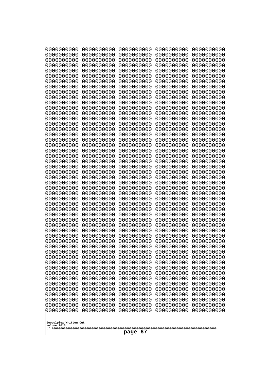| 000000000<br>0000000000  | 0000000000<br>0000000000 | 0000000000<br>0000000000 | 0000000000<br>0000000000 | 0000000000<br>0000000000 |
|--------------------------|--------------------------|--------------------------|--------------------------|--------------------------|
| 0000000000               | 0000000000               | 0000000000               | 0000000000               | 0000000000               |
| 0000000000               | 0000000000               | 0000000000               | 0000000000               | 0000000000               |
| 0000000000<br>0000000000 | 0000000000<br>0000000000 | 0000000000<br>0000000000 | 0000000000<br>0000000000 | 0000000000<br>0000000000 |
| 0000000000               | 0000000000               | 0000000000               | 0000000000               | 0000000000               |
| 0000000000               | 0000000000               | 0000000000               | 0000000000               | 0000000000               |
| 0000000000<br>0000000000 | 0000000000<br>0000000000 | 0000000000<br>0000000000 | 0000000000<br>0000000000 | 0000000000<br>0000000000 |
| 0000000000               | 0000000000               | 0000000000               | 0000000000               | 0000000000               |
| 0000000000               | 0000000000               | 0000000000               | 0000000000               | 0000000000               |
| 0000000000<br>0000000000 | 0000000000               | 0000000000               | 0000000000               | 0000000000<br>0000000000 |
| 0000000000               | 0000000000<br>0000000000 | 0000000000<br>0000000000 | 0000000000<br>0000000000 | 0000000000               |
| 0000000000               | 0000000000               | 0000000000               | 0000000000               | 0000000000               |
| 0000000000               | 0000000000               | 0000000000               | 0000000000               | 0000000000               |
| 0000000000<br>0000000000 | 0000000000<br>0000000000 | 0000000000<br>0000000000 | 0000000000<br>0000000000 | 0000000000<br>0000000000 |
| 0000000000               | 0000000000               | 0000000000               | 0000000000               | 0000000000               |
| 0000000000               | 0000000000               | 0000000000               | 0000000000               | 0000000000               |
| 0000000000<br>0000000000 | 0000000000<br>0000000000 | 0000000000<br>0000000000 | 0000000000<br>0000000000 | 0000000000<br>0000000000 |
| 0000000000               | 0000000000               | 0000000000               | 0000000000               | 0000000000               |
| 0000000000               | 0000000000               | 0000000000               | 0000000000               | 0000000000               |
| 0000000000<br>0000000000 | 0000000000<br>0000000000 | 0000000000<br>0000000000 | 0000000000<br>0000000000 | 0000000000<br>0000000000 |
| 0000000000               | 0000000000               | 0000000000               | 0000000000               | 0000000000               |
| 0000000000               | 0000000000               | 0000000000               | 0000000000               | 0000000000               |
| 0000000000<br>0000000000 | 0000000000<br>0000000000 | 0000000000<br>0000000000 | 0000000000<br>0000000000 | 0000000000<br>0000000000 |
| 0000000000               | 0000000000               | 0000000000               | 0000000000               | 0000000000               |
| 0000000000               | 0000000000               | 0000000000               | 0000000000               | 0000000000               |
| 0000000000<br>0000000000 | 0000000000<br>0000000000 | 0000000000<br>0000000000 | 0000000000<br>0000000000 | 0000000000<br>0000000000 |
| 0000000000               | 0000000000               | 0000000000               | 0000000000               | 0000000000               |
| 0000000000               | 0000000000               | 0000000000               | 0000000000               | 0000000000               |
| 0000000000               | 0000000000<br>0000000000 | 0000000000<br>0000000000 | 0000000000<br>0000000000 | 0000000000<br>0000000000 |
| 0000000000<br>0000000000 | 0000000000               | 0000000000               | 0000000000               | 0000000000               |
| 0000000000               | 0000000000               | 0000000000               | 0000000000               | 0000000000               |
| 0000000000               | 0000000000               | 0000000000<br>0000000000 | 0000000000               | 0000000000               |
| 0000000000<br>0000000000 | 0000000000<br>0000000000 | 0000000000               | 0000000000<br>0000000000 | 0000000000<br>0000000000 |
| 0000000000               | 0000000000               | 0000000000               | 0000000000               | 0000000000               |
| 0000000000               | 0000000000               | 0000000000               | 0000000000               | 0000000000               |
| 0000000000<br>0000000000 | 0000000000<br>0000000000 | 0000000000<br>0000000000 | 0000000000<br>0000000000 | 0000000000<br>0000000000 |
| 0000000000               | 0000000000               | 0000000000               | 0000000000               | 0000000000               |
| 0000000000               | 0000000000               | 0000000000               | 0000000000               | 0000000000               |
| Googolplex Written Out   |                          |                          |                          |                          |
| volume 1013              |                          |                          |                          |                          |
| -67<br>page              |                          |                          |                          |                          |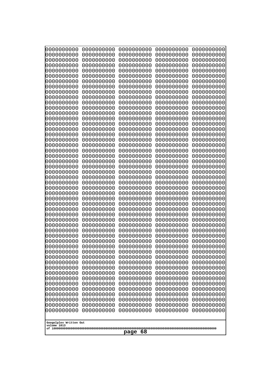| 0000000000                                           | 0000000000 | 0000000000 | 0000000000 | 0000000000 |
|------------------------------------------------------|------------|------------|------------|------------|
| 0000000000                                           | 0000000000 | 0000000000 | 0000000000 | 0000000000 |
| 0000000000                                           | 0000000000 | 0000000000 | 0000000000 | 0000000000 |
| 0000000000                                           | 0000000000 | 0000000000 | 0000000000 | 0000000000 |
| 0000000000                                           | 0000000000 | 0000000000 | 0000000000 | 0000000000 |
| 0000000000                                           | 0000000000 | 0000000000 | 0000000000 | 0000000000 |
| 0000000000                                           | 0000000000 | 0000000000 | 0000000000 | 0000000000 |
| 0000000000                                           | 0000000000 | 0000000000 | 0000000000 | 0000000000 |
| 0000000000                                           | 0000000000 | 0000000000 | 0000000000 | 0000000000 |
| 0000000000                                           | 0000000000 | 0000000000 | 0000000000 | 0000000000 |
| 0000000000                                           | 0000000000 | 0000000000 | 0000000000 | 0000000000 |
| 0000000000                                           | 0000000000 | 0000000000 | 0000000000 | 0000000000 |
| 0000000000                                           | 0000000000 | 0000000000 | 0000000000 | 0000000000 |
| 0000000000                                           | 0000000000 | 0000000000 | 0000000000 | 0000000000 |
| 0000000000                                           | 0000000000 | 0000000000 | 0000000000 | 0000000000 |
| 0000000000                                           | 0000000000 | 0000000000 | 0000000000 | 0000000000 |
| 0000000000                                           | 0000000000 | 0000000000 | 0000000000 | 0000000000 |
| 0000000000                                           | 0000000000 | 0000000000 | 0000000000 | 0000000000 |
| 0000000000                                           | 0000000000 | 0000000000 | 0000000000 | 0000000000 |
| 0000000000                                           | 0000000000 | 0000000000 | 0000000000 | 0000000000 |
| 0000000000                                           | 0000000000 | 0000000000 | 0000000000 | 0000000000 |
| 0000000000                                           | 0000000000 | 0000000000 | 0000000000 | 0000000000 |
| 0000000000                                           | 0000000000 | 0000000000 | 0000000000 | 0000000000 |
| 0000000000                                           | 0000000000 | 0000000000 | 0000000000 | 0000000000 |
| 0000000000                                           | 0000000000 | 0000000000 | 0000000000 | 0000000000 |
| 0000000000                                           | 0000000000 | 0000000000 | 0000000000 | 0000000000 |
| 0000000000                                           | 0000000000 | 0000000000 | 0000000000 | 0000000000 |
| 0000000000                                           | 0000000000 | 0000000000 | 0000000000 | 0000000000 |
| 0000000000                                           | 0000000000 | 0000000000 | 0000000000 | 0000000000 |
| 0000000000                                           | 0000000000 | 0000000000 | 0000000000 | 0000000000 |
| 0000000000                                           | 0000000000 | 0000000000 | 0000000000 | 0000000000 |
| 0000000000                                           | 0000000000 | 0000000000 | 0000000000 | 0000000000 |
| 0000000000                                           | 0000000000 | 0000000000 | 0000000000 | 0000000000 |
| 0000000000                                           | 0000000000 | 0000000000 | 0000000000 | 0000000000 |
| 0000000000                                           | 0000000000 | 0000000000 | 0000000000 | 0000000000 |
| 0000000000                                           | 0000000000 | 0000000000 | 0000000000 | 0000000000 |
| 0000000000                                           | 0000000000 | 0000000000 | 0000000000 | 0000000000 |
| 0000000000                                           | 0000000000 | 0000000000 | 0000000000 | 0000000000 |
| 0000000000                                           | 0000000000 | 0000000000 | 0000000000 | 0000000000 |
| 0000000000                                           | 0000000000 | 0000000000 | 0000000000 | 0000000000 |
| 0000000000                                           | 0000000000 | 0000000000 | 0000000000 | 0000000000 |
| 0000000000                                           | 0000000000 | 0000000000 | 0000000000 | 0000000000 |
| 0000000000                                           | 0000000000 | 0000000000 | 0000000000 | 0000000000 |
| 0000000000                                           | 0000000000 | 0000000000 | 0000000000 | 0000000000 |
| 0000000000                                           | 0000000000 | 0000000000 | 0000000000 | 0000000000 |
| 0000000000                                           | 0000000000 | 0000000000 | 0000000000 | 0000000000 |
| 0000000000                                           | 0000000000 | 0000000000 | 0000000000 | 0000000000 |
| 0000000000                                           | 0000000000 | 0000000000 | 0000000000 | 0000000000 |
| 0000000000                                           | 0000000000 | 0000000000 | 0000000000 | 0000000000 |
| 0000000000                                           | 0000000000 | 0000000000 | 0000000000 | 0000000000 |
| Googolplex Written Out<br>volume 1013<br>page<br>-68 |            |            |            |            |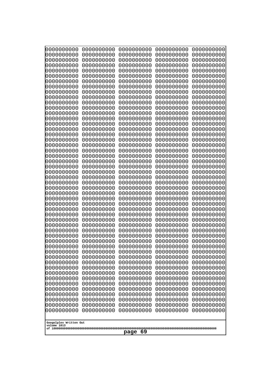| 0000000000                                           | 0000000000 | 0000000000 | 0000000000 | 0000000000 |
|------------------------------------------------------|------------|------------|------------|------------|
| 0000000000                                           | 0000000000 | 0000000000 | 0000000000 | 0000000000 |
| 0000000000                                           | 0000000000 | 0000000000 | 0000000000 | 0000000000 |
| 0000000000                                           | 0000000000 | 0000000000 | 0000000000 | 0000000000 |
| 0000000000                                           | 0000000000 | 0000000000 | 0000000000 | 0000000000 |
| 0000000000                                           | 0000000000 | 0000000000 | 0000000000 | 0000000000 |
| 0000000000                                           | 0000000000 | 0000000000 | 0000000000 | 0000000000 |
| 0000000000                                           | 0000000000 | 0000000000 | 0000000000 | 0000000000 |
| 0000000000                                           | 0000000000 | 0000000000 | 0000000000 | 0000000000 |
| 0000000000                                           | 0000000000 | 0000000000 | 0000000000 | 0000000000 |
| 0000000000                                           | 0000000000 | 0000000000 | 0000000000 | 0000000000 |
| 0000000000                                           | 0000000000 | 0000000000 | 0000000000 | 0000000000 |
| 0000000000                                           | 0000000000 | 0000000000 | 0000000000 | 0000000000 |
| 0000000000                                           | 0000000000 | 0000000000 | 0000000000 | 0000000000 |
| 0000000000                                           | 0000000000 | 0000000000 | 0000000000 | 0000000000 |
| 0000000000                                           | 0000000000 | 0000000000 | 0000000000 | 0000000000 |
| 0000000000                                           | 0000000000 | 0000000000 | 0000000000 | 0000000000 |
| 0000000000                                           | 0000000000 | 0000000000 | 0000000000 | 0000000000 |
| 0000000000                                           | 0000000000 | 0000000000 | 0000000000 | 0000000000 |
| 0000000000                                           | 0000000000 | 0000000000 | 0000000000 | 0000000000 |
| 0000000000                                           | 0000000000 | 0000000000 | 0000000000 | 0000000000 |
| 0000000000                                           | 0000000000 | 0000000000 | 0000000000 | 0000000000 |
| 0000000000                                           | 0000000000 | 0000000000 | 0000000000 | 0000000000 |
| 0000000000                                           | 0000000000 | 0000000000 | 0000000000 | 0000000000 |
| 0000000000                                           | 0000000000 | 0000000000 | 0000000000 | 0000000000 |
| 0000000000                                           | 0000000000 | 0000000000 | 0000000000 | 0000000000 |
| 0000000000                                           | 0000000000 | 0000000000 | 0000000000 | 0000000000 |
| 0000000000                                           | 0000000000 | 0000000000 | 0000000000 | 0000000000 |
| 0000000000                                           | 0000000000 | 0000000000 | 0000000000 | 0000000000 |
| 0000000000                                           | 0000000000 | 0000000000 | 0000000000 | 0000000000 |
| 0000000000                                           | 0000000000 | 0000000000 | 0000000000 | 0000000000 |
| 0000000000                                           | 0000000000 | 0000000000 | 0000000000 | 0000000000 |
| 0000000000                                           | 0000000000 | 0000000000 | 0000000000 | 0000000000 |
| 0000000000                                           | 0000000000 | 0000000000 | 0000000000 | 0000000000 |
| 0000000000                                           | 0000000000 | 0000000000 | 0000000000 | 0000000000 |
| 0000000000                                           | 0000000000 | 0000000000 | 0000000000 | 0000000000 |
| 0000000000                                           | 0000000000 | 0000000000 | 0000000000 | 0000000000 |
| 0000000000                                           | 0000000000 | 0000000000 | 0000000000 | 0000000000 |
| 0000000000                                           | 0000000000 | 0000000000 | 0000000000 | 0000000000 |
| 0000000000                                           | 0000000000 | 0000000000 | 0000000000 | 0000000000 |
| 0000000000                                           | 0000000000 | 0000000000 | 0000000000 | 0000000000 |
| 0000000000                                           | 0000000000 | 0000000000 | 0000000000 | 0000000000 |
| 0000000000                                           | 0000000000 | 0000000000 | 0000000000 | 0000000000 |
| 0000000000                                           | 0000000000 | 0000000000 | 0000000000 | 0000000000 |
| 0000000000                                           | 0000000000 | 0000000000 | 0000000000 | 0000000000 |
| 0000000000                                           | 0000000000 | 0000000000 | 0000000000 | 0000000000 |
| 0000000000                                           | 0000000000 | 0000000000 | 0000000000 | 0000000000 |
| 0000000000                                           | 0000000000 | 0000000000 | 0000000000 | 0000000000 |
| 0000000000                                           | 0000000000 | 0000000000 | 0000000000 | 0000000000 |
| 0000000000                                           | 0000000000 | 0000000000 | 0000000000 | 0000000000 |
| Googolplex Written Out<br>volume 1013<br>page<br>-69 |            |            |            |            |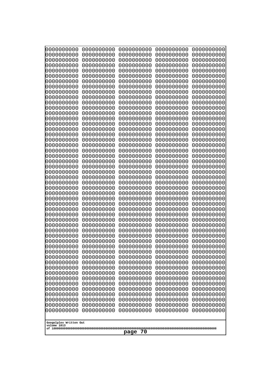| 000000000<br>0000000000               | 0000000000<br>0000000000 | 0000000000<br>0000000000 | 0000000000<br>0000000000 | 0000000000<br>0000000000 |
|---------------------------------------|--------------------------|--------------------------|--------------------------|--------------------------|
| 0000000000                            | 0000000000               | 0000000000               | 0000000000               | 0000000000               |
| 0000000000                            | 0000000000               | 0000000000               | 0000000000               | 0000000000               |
| 0000000000<br>0000000000              | 0000000000<br>0000000000 | 0000000000<br>0000000000 | 0000000000<br>0000000000 | 0000000000<br>0000000000 |
| 0000000000                            | 0000000000               | 0000000000               | 0000000000               | 0000000000               |
| 0000000000                            | 0000000000               | 0000000000               | 0000000000               | 0000000000               |
| 0000000000<br>0000000000              | 0000000000<br>0000000000 | 0000000000<br>0000000000 | 0000000000<br>0000000000 | 0000000000<br>0000000000 |
| 0000000000                            | 0000000000               | 0000000000               | 0000000000               | 0000000000               |
| 0000000000                            | 0000000000               | 0000000000               | 0000000000               | 0000000000               |
| 0000000000                            | 0000000000               | 0000000000               | 0000000000               | 0000000000               |
| 0000000000<br>0000000000              | 0000000000<br>0000000000 | 0000000000<br>0000000000 | 0000000000<br>0000000000 | 0000000000<br>0000000000 |
| 0000000000                            | 0000000000               | 0000000000               | 0000000000               | 0000000000               |
| 0000000000                            | 0000000000               | 0000000000               | 0000000000               | 0000000000               |
| 0000000000<br>0000000000              | 0000000000<br>0000000000 | 0000000000<br>0000000000 | 0000000000<br>0000000000 | 0000000000<br>0000000000 |
| 0000000000                            | 0000000000               | 0000000000               | 0000000000               | 0000000000               |
| 0000000000                            | 0000000000               | 0000000000               | 0000000000               | 0000000000               |
| 0000000000<br>0000000000              | 0000000000<br>0000000000 | 0000000000<br>0000000000 | 0000000000<br>0000000000 | 0000000000<br>0000000000 |
| 0000000000                            | 0000000000               | 0000000000               | 0000000000               | 0000000000               |
| 0000000000                            | 0000000000               | 0000000000               | 0000000000               | 0000000000               |
| 0000000000<br>0000000000              | 0000000000<br>0000000000 | 0000000000<br>0000000000 | 0000000000<br>0000000000 | 0000000000<br>0000000000 |
| 0000000000                            | 0000000000               | 0000000000               | 0000000000               | 0000000000               |
| 0000000000                            | 0000000000               | 0000000000               | 0000000000               | 0000000000               |
| 0000000000                            | 0000000000               | 0000000000               | 0000000000               | 0000000000               |
| 0000000000<br>0000000000              | 0000000000<br>0000000000 | 0000000000<br>0000000000 | 0000000000<br>0000000000 | 0000000000<br>0000000000 |
| 0000000000                            | 0000000000               | 0000000000               | 0000000000               | 0000000000               |
| 0000000000                            | 0000000000               | 0000000000               | 0000000000               | 0000000000               |
| 0000000000<br>0000000000              | 0000000000<br>0000000000 | 0000000000<br>0000000000 | 0000000000<br>0000000000 | 0000000000<br>0000000000 |
| 0000000000                            | 0000000000               | 0000000000               | 0000000000               | 0000000000               |
| 0000000000                            | 0000000000               | 0000000000               | 0000000000               | 0000000000               |
| 0000000000<br>0000000000              | 0000000000<br>0000000000 | 0000000000<br>0000000000 | 0000000000<br>0000000000 | 0000000000<br>0000000000 |
| 0000000000                            | 0000000000               | 0000000000               | 0000000000               | 0000000000               |
| 0000000000                            | 0000000000               | 0000000000               | 0000000000               | 0000000000               |
| 0000000000<br>0000000000              | 0000000000<br>0000000000 | 0000000000<br>0000000000 | 0000000000<br>0000000000 | 0000000000<br>0000000000 |
| 0000000000                            | 0000000000               | 0000000000               | 0000000000               | 0000000000               |
| 0000000000                            | 0000000000               | 0000000000               | 0000000000               | 0000000000               |
| 0000000000                            | 0000000000               | 0000000000               | 0000000000               | 0000000000               |
| 0000000000<br>0000000000              | 0000000000<br>0000000000 | 0000000000<br>0000000000 | 0000000000<br>0000000000 | 0000000000<br>0000000000 |
| 0000000000                            | 0000000000               | 0000000000               | 0000000000               | 0000000000               |
|                                       |                          |                          |                          |                          |
| Googolplex Written Out<br>volume 1013 |                          |                          |                          |                          |
| 70<br>page                            |                          |                          |                          |                          |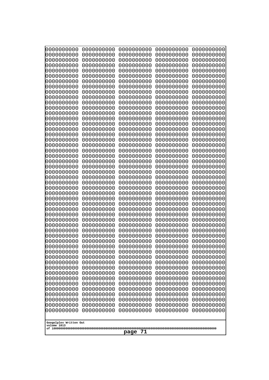| 0000000000<br>1000000000<br>0000000000<br>0000000000<br>0000000000<br>0000000000<br>0000000000<br>0000000000<br>0000000000<br>0000000000<br>0000000000<br>0000000000<br>0000000000<br>0000000000<br>0000000000<br>0000000000<br>0000000000<br>0000000000<br>0000000000<br>0000000000<br>0000000000<br>0000000000<br>0000000000<br>0000000000<br>0000000000<br>0000000000<br>0000000000<br>0000000000<br>0000000000<br>0000000000<br>0000000000<br>0000000000<br>0000000000 | 0000000000<br>0000000000<br>0000000000<br>0000000000<br>0000000000<br>0000000000<br>0000000000<br>0000000000<br>0000000000<br>0000000000<br>0000000000<br>0000000000<br>0000000000<br>0000000000<br>0000000000<br>0000000000<br>0000000000<br>0000000000<br>0000000000<br>0000000000<br>0000000000<br>0000000000<br>0000000000<br>0000000000<br>0000000000<br>0000000000<br>0000000000<br>0000000000<br>0000000000<br>0000000000<br>0000000000<br>0000000000<br>0000000000 | 0000000000<br>0000000000<br>0000000000<br>0000000000<br>0000000000<br>0000000000<br>0000000000<br>0000000000<br>0000000000<br>0000000000<br>0000000000<br>0000000000<br>0000000000<br>0000000000<br>0000000000<br>0000000000<br>0000000000<br>0000000000<br>0000000000<br>0000000000<br>0000000000<br>0000000000<br>0000000000<br>0000000000<br>0000000000<br>0000000000<br>0000000000<br>0000000000<br>0000000000<br>0000000000<br>0000000000<br>0000000000<br>0000000000 | 0000000000<br>0000000000<br>0000000000<br>0000000000<br>0000000000<br>0000000000<br>0000000000<br>0000000000<br>0000000000<br>0000000000<br>0000000000<br>0000000000<br>0000000000<br>0000000000<br>0000000000<br>0000000000<br>0000000000<br>0000000000<br>0000000000<br>0000000000<br>0000000000<br>0000000000<br>0000000000<br>0000000000<br>0000000000<br>0000000000<br>0000000000<br>0000000000<br>0000000000<br>0000000000<br>0000000000<br>0000000000<br>0000000000 | 0000000000<br>0000000000<br>0000000000<br>0000000000<br>0000000000<br>0000000000<br>0000000000<br>0000000000<br>0000000000<br>0000000000<br>0000000000<br>0000000000<br>0000000000<br>0000000000<br>0000000000<br>0000000000<br>0000000000<br>0000000000<br>0000000000<br>0000000000<br>0000000000<br>0000000000<br>0000000000<br>0000000000<br>0000000000<br>0000000000<br>0000000000<br>0000000000<br>0000000000<br>0000000000<br>0000000000<br>0000000000<br>0000000000 |  |
|----------------------------------------------------------------------------------------------------------------------------------------------------------------------------------------------------------------------------------------------------------------------------------------------------------------------------------------------------------------------------------------------------------------------------------------------------------------------------|----------------------------------------------------------------------------------------------------------------------------------------------------------------------------------------------------------------------------------------------------------------------------------------------------------------------------------------------------------------------------------------------------------------------------------------------------------------------------|----------------------------------------------------------------------------------------------------------------------------------------------------------------------------------------------------------------------------------------------------------------------------------------------------------------------------------------------------------------------------------------------------------------------------------------------------------------------------|----------------------------------------------------------------------------------------------------------------------------------------------------------------------------------------------------------------------------------------------------------------------------------------------------------------------------------------------------------------------------------------------------------------------------------------------------------------------------|----------------------------------------------------------------------------------------------------------------------------------------------------------------------------------------------------------------------------------------------------------------------------------------------------------------------------------------------------------------------------------------------------------------------------------------------------------------------------|--|
|                                                                                                                                                                                                                                                                                                                                                                                                                                                                            |                                                                                                                                                                                                                                                                                                                                                                                                                                                                            |                                                                                                                                                                                                                                                                                                                                                                                                                                                                            |                                                                                                                                                                                                                                                                                                                                                                                                                                                                            |                                                                                                                                                                                                                                                                                                                                                                                                                                                                            |  |
|                                                                                                                                                                                                                                                                                                                                                                                                                                                                            |                                                                                                                                                                                                                                                                                                                                                                                                                                                                            |                                                                                                                                                                                                                                                                                                                                                                                                                                                                            |                                                                                                                                                                                                                                                                                                                                                                                                                                                                            |                                                                                                                                                                                                                                                                                                                                                                                                                                                                            |  |
|                                                                                                                                                                                                                                                                                                                                                                                                                                                                            |                                                                                                                                                                                                                                                                                                                                                                                                                                                                            |                                                                                                                                                                                                                                                                                                                                                                                                                                                                            |                                                                                                                                                                                                                                                                                                                                                                                                                                                                            |                                                                                                                                                                                                                                                                                                                                                                                                                                                                            |  |
|                                                                                                                                                                                                                                                                                                                                                                                                                                                                            |                                                                                                                                                                                                                                                                                                                                                                                                                                                                            |                                                                                                                                                                                                                                                                                                                                                                                                                                                                            |                                                                                                                                                                                                                                                                                                                                                                                                                                                                            |                                                                                                                                                                                                                                                                                                                                                                                                                                                                            |  |
|                                                                                                                                                                                                                                                                                                                                                                                                                                                                            |                                                                                                                                                                                                                                                                                                                                                                                                                                                                            |                                                                                                                                                                                                                                                                                                                                                                                                                                                                            |                                                                                                                                                                                                                                                                                                                                                                                                                                                                            |                                                                                                                                                                                                                                                                                                                                                                                                                                                                            |  |
| 0000000000                                                                                                                                                                                                                                                                                                                                                                                                                                                                 | 0000000000                                                                                                                                                                                                                                                                                                                                                                                                                                                                 | 0000000000                                                                                                                                                                                                                                                                                                                                                                                                                                                                 | 0000000000                                                                                                                                                                                                                                                                                                                                                                                                                                                                 | 0000000000                                                                                                                                                                                                                                                                                                                                                                                                                                                                 |  |
| 0000000000<br>1000000000                                                                                                                                                                                                                                                                                                                                                                                                                                                   | 0000000000<br>0000000000                                                                                                                                                                                                                                                                                                                                                                                                                                                   | 0000000000<br>0000000000                                                                                                                                                                                                                                                                                                                                                                                                                                                   | 0000000000<br>0000000000                                                                                                                                                                                                                                                                                                                                                                                                                                                   | 0000000000<br>0000000000                                                                                                                                                                                                                                                                                                                                                                                                                                                   |  |
| 0000000000<br>0000000000                                                                                                                                                                                                                                                                                                                                                                                                                                                   | 0000000000<br>0000000000                                                                                                                                                                                                                                                                                                                                                                                                                                                   | 0000000000<br>0000000000                                                                                                                                                                                                                                                                                                                                                                                                                                                   | 0000000000<br>0000000000                                                                                                                                                                                                                                                                                                                                                                                                                                                   | 0000000000<br>0000000000                                                                                                                                                                                                                                                                                                                                                                                                                                                   |  |
| 0000000000<br>0000000000                                                                                                                                                                                                                                                                                                                                                                                                                                                   | 0000000000<br>0000000000                                                                                                                                                                                                                                                                                                                                                                                                                                                   | 0000000000<br>0000000000                                                                                                                                                                                                                                                                                                                                                                                                                                                   | 0000000000<br>0000000000                                                                                                                                                                                                                                                                                                                                                                                                                                                   | 0000000000<br>0000000000                                                                                                                                                                                                                                                                                                                                                                                                                                                   |  |
| 0000000000<br>0000000000                                                                                                                                                                                                                                                                                                                                                                                                                                                   | 0000000000<br>0000000000                                                                                                                                                                                                                                                                                                                                                                                                                                                   | 0000000000<br>0000000000                                                                                                                                                                                                                                                                                                                                                                                                                                                   | 0000000000<br>0000000000                                                                                                                                                                                                                                                                                                                                                                                                                                                   | 0000000000<br>0000000000                                                                                                                                                                                                                                                                                                                                                                                                                                                   |  |
| 0000000000<br>0000000000                                                                                                                                                                                                                                                                                                                                                                                                                                                   | 0000000000<br>0000000000                                                                                                                                                                                                                                                                                                                                                                                                                                                   | 0000000000<br>0000000000                                                                                                                                                                                                                                                                                                                                                                                                                                                   | 0000000000<br>0000000000                                                                                                                                                                                                                                                                                                                                                                                                                                                   | 0000000000<br>0000000000                                                                                                                                                                                                                                                                                                                                                                                                                                                   |  |
| 0000000000<br>0000000000                                                                                                                                                                                                                                                                                                                                                                                                                                                   | 0000000000<br>0000000000                                                                                                                                                                                                                                                                                                                                                                                                                                                   | 0000000000<br>0000000000                                                                                                                                                                                                                                                                                                                                                                                                                                                   | 0000000000<br>0000000000                                                                                                                                                                                                                                                                                                                                                                                                                                                   | 0000000000<br>0000000000                                                                                                                                                                                                                                                                                                                                                                                                                                                   |  |
| 0000000000                                                                                                                                                                                                                                                                                                                                                                                                                                                                 | 0000000000                                                                                                                                                                                                                                                                                                                                                                                                                                                                 | 0000000000                                                                                                                                                                                                                                                                                                                                                                                                                                                                 | 0000000000                                                                                                                                                                                                                                                                                                                                                                                                                                                                 | 0000000000                                                                                                                                                                                                                                                                                                                                                                                                                                                                 |  |
| 0000000000<br>0000000000                                                                                                                                                                                                                                                                                                                                                                                                                                                   | 0000000000<br>0000000000                                                                                                                                                                                                                                                                                                                                                                                                                                                   | 0000000000<br>0000000000                                                                                                                                                                                                                                                                                                                                                                                                                                                   | 0000000000<br>0000000000                                                                                                                                                                                                                                                                                                                                                                                                                                                   | 0000000000<br>0000000000                                                                                                                                                                                                                                                                                                                                                                                                                                                   |  |
| 0000000000                                                                                                                                                                                                                                                                                                                                                                                                                                                                 | 0000000000                                                                                                                                                                                                                                                                                                                                                                                                                                                                 | 0000000000                                                                                                                                                                                                                                                                                                                                                                                                                                                                 | 0000000000                                                                                                                                                                                                                                                                                                                                                                                                                                                                 | 0000000000                                                                                                                                                                                                                                                                                                                                                                                                                                                                 |  |
| volume 1013                                                                                                                                                                                                                                                                                                                                                                                                                                                                | Googolplex Written Out<br>71<br>page                                                                                                                                                                                                                                                                                                                                                                                                                                       |                                                                                                                                                                                                                                                                                                                                                                                                                                                                            |                                                                                                                                                                                                                                                                                                                                                                                                                                                                            |                                                                                                                                                                                                                                                                                                                                                                                                                                                                            |  |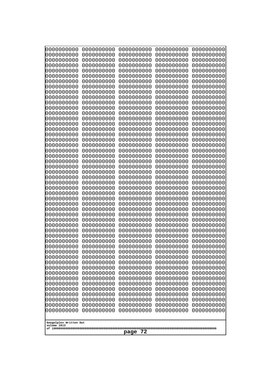| 0000000000                                          | 0000000000 | 0000000000 | 0000000000 | 0000000000 |
|-----------------------------------------------------|------------|------------|------------|------------|
| 0000000000                                          | 0000000000 | 0000000000 | 0000000000 | 0000000000 |
| 0000000000                                          | 0000000000 | 0000000000 | 0000000000 | 0000000000 |
| 0000000000                                          | 0000000000 | 0000000000 | 0000000000 | 0000000000 |
| 0000000000                                          | 0000000000 | 0000000000 | 0000000000 | 0000000000 |
| 0000000000                                          | 0000000000 | 0000000000 | 0000000000 | 0000000000 |
| 0000000000                                          | 0000000000 | 0000000000 | 0000000000 | 0000000000 |
| 0000000000                                          | 0000000000 | 0000000000 | 0000000000 | 0000000000 |
| 0000000000                                          | 0000000000 | 0000000000 | 0000000000 | 0000000000 |
| 0000000000                                          | 0000000000 | 0000000000 | 0000000000 | 0000000000 |
| 0000000000                                          | 0000000000 | 0000000000 | 0000000000 | 0000000000 |
| 0000000000                                          | 0000000000 | 0000000000 | 0000000000 | 0000000000 |
| 0000000000                                          | 0000000000 | 0000000000 | 0000000000 | 0000000000 |
| 0000000000                                          | 0000000000 | 0000000000 | 0000000000 | 0000000000 |
| 0000000000                                          | 0000000000 | 0000000000 | 0000000000 | 0000000000 |
| 0000000000                                          | 0000000000 | 0000000000 | 0000000000 | 0000000000 |
| 0000000000                                          | 0000000000 | 0000000000 | 0000000000 | 0000000000 |
| 0000000000                                          | 0000000000 | 0000000000 | 0000000000 | 0000000000 |
| 0000000000                                          | 0000000000 | 0000000000 | 0000000000 | 0000000000 |
| 0000000000                                          | 0000000000 | 0000000000 | 0000000000 | 0000000000 |
| 0000000000                                          | 0000000000 | 0000000000 | 0000000000 | 0000000000 |
| 0000000000                                          | 0000000000 | 0000000000 | 0000000000 | 0000000000 |
| 0000000000                                          | 0000000000 | 0000000000 | 0000000000 | 0000000000 |
| 0000000000                                          | 0000000000 | 0000000000 | 0000000000 | 0000000000 |
| 0000000000                                          | 0000000000 | 0000000000 | 0000000000 | 0000000000 |
| 0000000000                                          | 0000000000 | 0000000000 | 0000000000 | 0000000000 |
| 0000000000                                          | 0000000000 | 0000000000 | 0000000000 | 0000000000 |
| 0000000000                                          | 0000000000 | 0000000000 | 0000000000 | 0000000000 |
| 0000000000                                          | 0000000000 | 0000000000 | 0000000000 | 0000000000 |
| 0000000000                                          | 0000000000 | 0000000000 | 0000000000 | 0000000000 |
| 0000000000                                          | 0000000000 | 0000000000 | 0000000000 | 0000000000 |
| 0000000000                                          | 0000000000 | 0000000000 | 0000000000 | 0000000000 |
| 0000000000                                          | 0000000000 | 0000000000 | 0000000000 | 0000000000 |
| 0000000000                                          | 0000000000 | 0000000000 | 0000000000 | 0000000000 |
| 0000000000                                          | 0000000000 | 0000000000 | 0000000000 | 0000000000 |
| 0000000000                                          | 0000000000 | 0000000000 | 0000000000 | 0000000000 |
| 0000000000                                          | 0000000000 | 0000000000 | 0000000000 | 0000000000 |
| 0000000000                                          | 0000000000 | 0000000000 | 0000000000 | 0000000000 |
| 0000000000                                          | 0000000000 | 0000000000 | 0000000000 | 0000000000 |
| 0000000000                                          | 0000000000 | 0000000000 | 0000000000 | 0000000000 |
| 0000000000                                          | 0000000000 | 0000000000 | 0000000000 | 0000000000 |
| 0000000000                                          | 0000000000 | 0000000000 | 0000000000 | 0000000000 |
| 0000000000                                          | 0000000000 | 0000000000 | 0000000000 | 0000000000 |
| 0000000000                                          | 0000000000 | 0000000000 | 0000000000 | 0000000000 |
| 0000000000                                          | 0000000000 | 0000000000 | 0000000000 | 0000000000 |
|                                                     |            |            |            |            |
| 0000000000                                          | 0000000000 | 0000000000 | 0000000000 | 0000000000 |
| 0000000000                                          | 0000000000 | 0000000000 | 0000000000 | 0000000000 |
| 0000000000                                          | 0000000000 | 0000000000 | 0000000000 | 0000000000 |
| 0000000000                                          | 0000000000 | 0000000000 | 0000000000 | 0000000000 |
| 0000000000                                          | 0000000000 | 0000000000 | 0000000000 | 0000000000 |
| Googolplex Written Out<br>volume 1013<br>72<br>page |            |            |            |            |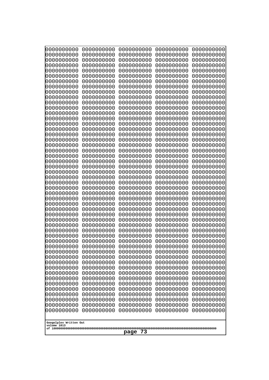| Googolplex Written Out<br>volume 1013 |
|---------------------------------------|
| 73<br>page                            |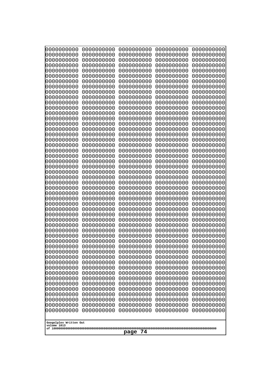| 000000000<br>0000000000  | 0000000000<br>0000000000 | 0000000000<br>0000000000 | 0000000000<br>0000000000 | 0000000000<br>0000000000 |
|--------------------------|--------------------------|--------------------------|--------------------------|--------------------------|
| 0000000000               | 0000000000               | 0000000000               | 0000000000               | 0000000000               |
| 0000000000<br>0000000000 | 0000000000<br>0000000000 | 0000000000<br>0000000000 | 0000000000<br>0000000000 | 0000000000<br>0000000000 |
| 0000000000               | 0000000000               | 0000000000               | 0000000000               | 0000000000               |
| 0000000000               | 0000000000               | 0000000000               | 0000000000               | 0000000000               |
| 0000000000<br>0000000000 | 0000000000<br>0000000000 | 0000000000<br>0000000000 | 0000000000<br>0000000000 | 0000000000<br>0000000000 |
| 0000000000               | 0000000000               | 0000000000               | 0000000000               | 0000000000               |
| 0000000000               | 0000000000               | 0000000000               | 0000000000               | 0000000000               |
| 0000000000<br>0000000000 | 0000000000<br>0000000000 | 0000000000<br>0000000000 | 0000000000<br>0000000000 | 0000000000<br>0000000000 |
| 0000000000               | 0000000000               | 0000000000               | 0000000000               | 0000000000               |
| 0000000000               | 0000000000               | 0000000000               | 0000000000               | 0000000000               |
| 0000000000<br>0000000000 | 0000000000<br>0000000000 | 0000000000<br>0000000000 | 0000000000<br>0000000000 | 0000000000<br>0000000000 |
| 0000000000               | 0000000000               | 0000000000               | 0000000000               | 0000000000               |
| 0000000000               | 0000000000               | 0000000000               | 0000000000               | 0000000000               |
| 0000000000<br>0000000000 | 0000000000<br>0000000000 | 0000000000<br>0000000000 | 0000000000<br>0000000000 | 0000000000<br>0000000000 |
| 0000000000               | 0000000000               | 0000000000               | 0000000000               | 0000000000               |
| 0000000000               | 0000000000               | 0000000000               | 0000000000               | 0000000000               |
| 0000000000<br>0000000000 | 0000000000<br>0000000000 | 0000000000<br>0000000000 | 0000000000<br>0000000000 | 0000000000<br>0000000000 |
| 0000000000               | 0000000000               | 0000000000               | 0000000000               | 0000000000               |
| 0000000000               | 0000000000               | 0000000000               | 0000000000               | 0000000000               |
| 0000000000<br>0000000000 | 0000000000<br>0000000000 | 0000000000<br>0000000000 | 0000000000<br>0000000000 | 0000000000<br>0000000000 |
| 0000000000               | 0000000000               | 0000000000               | 0000000000               | 0000000000               |
| 0000000000               | 0000000000               | 0000000000               | 0000000000               | 0000000000               |
| 0000000000<br>0000000000 | 0000000000<br>0000000000 | 0000000000<br>0000000000 | 0000000000<br>0000000000 | 0000000000<br>0000000000 |
| 0000000000               | 0000000000               | 0000000000               | 0000000000               | 0000000000               |
| 0000000000<br>0000000000 | 0000000000<br>0000000000 | 0000000000<br>0000000000 | 0000000000<br>0000000000 | 0000000000<br>0000000000 |
| 0000000000               | 0000000000               | 0000000000               | 0000000000               | 0000000000               |
| 0000000000               | 0000000000               | 0000000000               | 0000000000               | 0000000000               |
| 0000000000<br>0000000000 | 0000000000<br>0000000000 | 0000000000<br>0000000000 | 0000000000<br>0000000000 | 0000000000<br>0000000000 |
| 0000000000               | 0000000000               | 0000000000               | 0000000000               | 0000000000               |
| 0000000000               | 0000000000               | 0000000000               | 0000000000               | 0000000000               |
| 0000000000<br>0000000000 | 0000000000<br>0000000000 | 0000000000<br>0000000000 | 0000000000<br>0000000000 | 0000000000<br>0000000000 |
| 0000000000               | 0000000000               | 0000000000               | 0000000000               | 0000000000               |
| 0000000000               | 0000000000               | 0000000000               | 0000000000               | 0000000000               |
| 0000000000<br>0000000000 | 0000000000<br>0000000000 | 0000000000<br>0000000000 | 0000000000<br>0000000000 | 0000000000<br>0000000000 |
| 0000000000               | 0000000000               | 0000000000               | 0000000000               | 0000000000               |
| 0000000000               | 0000000000               | 0000000000               | 0000000000               | 0000000000               |
| Googolplex Written Out   |                          |                          |                          |                          |
| volume 1013              |                          |                          |                          |                          |
| 74<br>page               |                          |                          |                          |                          |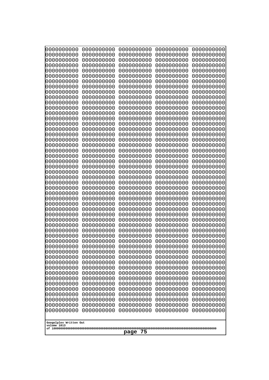| 0000000000                                          | 0000000000 | 0000000000 | 0000000000 | 0000000000 |
|-----------------------------------------------------|------------|------------|------------|------------|
| 0000000000                                          | 0000000000 | 0000000000 | 0000000000 | 0000000000 |
| 0000000000                                          | 0000000000 | 0000000000 | 0000000000 | 0000000000 |
| 0000000000                                          | 0000000000 | 0000000000 | 0000000000 | 0000000000 |
| 0000000000                                          | 0000000000 | 0000000000 | 0000000000 | 0000000000 |
| 0000000000                                          | 0000000000 | 0000000000 | 0000000000 | 0000000000 |
| 0000000000                                          | 0000000000 | 0000000000 | 0000000000 | 0000000000 |
| 0000000000                                          | 0000000000 | 0000000000 | 0000000000 | 0000000000 |
| 0000000000                                          | 0000000000 | 0000000000 | 0000000000 | 0000000000 |
| 0000000000                                          | 0000000000 | 0000000000 | 0000000000 | 0000000000 |
| 0000000000                                          | 0000000000 | 0000000000 | 0000000000 | 0000000000 |
| 0000000000                                          | 0000000000 | 0000000000 | 0000000000 | 0000000000 |
| 0000000000                                          | 0000000000 | 0000000000 | 0000000000 | 0000000000 |
| 0000000000                                          | 0000000000 | 0000000000 | 0000000000 | 0000000000 |
| 0000000000                                          | 0000000000 | 0000000000 | 0000000000 | 0000000000 |
| 0000000000                                          | 0000000000 | 0000000000 | 0000000000 | 0000000000 |
| 0000000000                                          | 0000000000 | 0000000000 | 0000000000 | 0000000000 |
| 0000000000                                          | 0000000000 | 0000000000 | 0000000000 | 0000000000 |
| 0000000000                                          | 0000000000 | 0000000000 | 0000000000 | 0000000000 |
| 0000000000                                          | 0000000000 | 0000000000 | 0000000000 | 0000000000 |
| 0000000000                                          | 0000000000 | 0000000000 | 0000000000 | 0000000000 |
| 0000000000                                          | 0000000000 | 0000000000 | 0000000000 | 0000000000 |
| 0000000000                                          | 0000000000 | 0000000000 | 0000000000 | 0000000000 |
| 0000000000                                          | 0000000000 | 0000000000 | 0000000000 | 0000000000 |
| 0000000000                                          | 0000000000 | 0000000000 | 0000000000 | 0000000000 |
| 0000000000                                          | 0000000000 | 0000000000 | 0000000000 | 0000000000 |
| 0000000000                                          | 0000000000 | 0000000000 | 0000000000 | 0000000000 |
| 0000000000                                          | 0000000000 | 0000000000 | 0000000000 | 0000000000 |
| 0000000000                                          | 0000000000 | 0000000000 | 0000000000 | 0000000000 |
| 0000000000                                          | 0000000000 | 0000000000 | 0000000000 | 0000000000 |
| 0000000000                                          | 0000000000 | 0000000000 | 0000000000 | 0000000000 |
| 0000000000                                          | 0000000000 | 0000000000 | 0000000000 | 0000000000 |
| 0000000000                                          | 0000000000 | 0000000000 | 0000000000 | 0000000000 |
| 0000000000                                          | 0000000000 | 0000000000 | 0000000000 | 0000000000 |
| 0000000000                                          | 0000000000 | 0000000000 | 0000000000 | 0000000000 |
| 0000000000                                          | 0000000000 | 0000000000 | 0000000000 | 0000000000 |
| 0000000000                                          | 0000000000 | 0000000000 | 0000000000 | 0000000000 |
| 0000000000                                          | 0000000000 | 0000000000 | 0000000000 | 0000000000 |
| 0000000000                                          | 0000000000 | 0000000000 | 0000000000 | 0000000000 |
| 0000000000                                          | 0000000000 | 0000000000 | 0000000000 | 0000000000 |
| 0000000000                                          | 0000000000 | 0000000000 | 0000000000 | 0000000000 |
| 0000000000                                          | 0000000000 | 0000000000 | 0000000000 | 0000000000 |
| 0000000000                                          | 0000000000 | 0000000000 | 0000000000 | 0000000000 |
| 0000000000                                          | 0000000000 | 0000000000 | 0000000000 | 0000000000 |
|                                                     |            |            |            |            |
| 0000000000                                          | 0000000000 | 0000000000 | 0000000000 | 0000000000 |
| 0000000000                                          | 0000000000 | 0000000000 | 0000000000 | 0000000000 |
| 0000000000                                          | 0000000000 | 0000000000 | 0000000000 | 0000000000 |
| 0000000000                                          | 0000000000 | 0000000000 | 0000000000 | 0000000000 |
| 0000000000                                          | 0000000000 | 0000000000 | 0000000000 | 0000000000 |
| 0000000000                                          | 0000000000 | 0000000000 | 0000000000 | 0000000000 |
| Googolplex Written Out<br>volume 1013<br>75<br>page |            |            |            |            |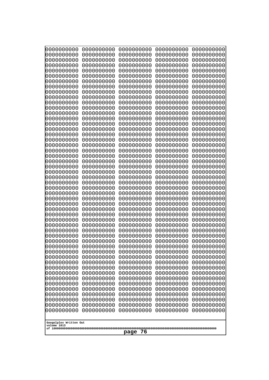| 0000000000                                          | 0000000000 | 0000000000 | 0000000000 | 0000000000 |
|-----------------------------------------------------|------------|------------|------------|------------|
| 0000000000                                          | 0000000000 | 0000000000 | 0000000000 | 0000000000 |
| 0000000000                                          | 0000000000 | 0000000000 | 0000000000 | 0000000000 |
| 0000000000                                          | 0000000000 | 0000000000 | 0000000000 | 0000000000 |
| 0000000000                                          | 0000000000 | 0000000000 | 0000000000 | 0000000000 |
| 0000000000                                          | 0000000000 | 0000000000 | 0000000000 | 0000000000 |
| 0000000000                                          | 0000000000 | 0000000000 | 0000000000 | 0000000000 |
| 0000000000                                          | 0000000000 | 0000000000 | 0000000000 | 0000000000 |
| 0000000000                                          | 0000000000 | 0000000000 | 0000000000 | 0000000000 |
| 0000000000                                          | 0000000000 | 0000000000 | 0000000000 | 0000000000 |
| 0000000000                                          | 0000000000 | 0000000000 | 0000000000 | 0000000000 |
| 0000000000                                          | 0000000000 | 0000000000 | 0000000000 | 0000000000 |
| 0000000000                                          | 0000000000 | 0000000000 | 0000000000 | 0000000000 |
| 0000000000                                          | 0000000000 | 0000000000 | 0000000000 | 0000000000 |
| 0000000000                                          | 0000000000 | 0000000000 | 0000000000 | 0000000000 |
| 0000000000                                          | 0000000000 | 0000000000 | 0000000000 | 0000000000 |
| 0000000000                                          | 0000000000 | 0000000000 | 0000000000 | 0000000000 |
| 0000000000                                          | 0000000000 | 0000000000 | 0000000000 | 0000000000 |
| 0000000000                                          | 0000000000 | 0000000000 | 0000000000 | 0000000000 |
| 0000000000                                          | 0000000000 | 0000000000 | 0000000000 | 0000000000 |
| 0000000000                                          | 0000000000 | 0000000000 | 0000000000 | 0000000000 |
| 0000000000                                          | 0000000000 | 0000000000 | 0000000000 | 0000000000 |
| 0000000000                                          | 0000000000 | 0000000000 | 0000000000 | 0000000000 |
| 0000000000                                          | 0000000000 | 0000000000 | 0000000000 | 0000000000 |
| 0000000000                                          | 0000000000 | 0000000000 | 0000000000 | 0000000000 |
| 0000000000                                          | 0000000000 | 0000000000 | 0000000000 | 0000000000 |
| 0000000000                                          | 0000000000 | 0000000000 | 0000000000 | 0000000000 |
| 0000000000                                          | 0000000000 | 0000000000 | 0000000000 | 0000000000 |
| 0000000000                                          | 0000000000 | 0000000000 | 0000000000 | 0000000000 |
| 0000000000                                          | 0000000000 | 0000000000 | 0000000000 | 0000000000 |
| 0000000000                                          | 0000000000 | 0000000000 | 0000000000 | 0000000000 |
| 0000000000                                          | 0000000000 | 0000000000 | 0000000000 | 0000000000 |
| 0000000000                                          | 0000000000 | 0000000000 | 0000000000 | 0000000000 |
| 0000000000                                          | 0000000000 | 0000000000 | 0000000000 | 0000000000 |
| 0000000000                                          | 0000000000 | 0000000000 | 0000000000 | 0000000000 |
| 0000000000                                          | 0000000000 | 0000000000 | 0000000000 | 0000000000 |
| 0000000000                                          | 0000000000 | 0000000000 | 0000000000 | 0000000000 |
| 0000000000                                          | 0000000000 | 0000000000 | 0000000000 | 0000000000 |
| 0000000000                                          | 0000000000 | 0000000000 | 0000000000 | 0000000000 |
| 0000000000                                          | 0000000000 | 0000000000 | 0000000000 | 0000000000 |
| 0000000000                                          | 0000000000 | 0000000000 | 0000000000 | 0000000000 |
| 0000000000                                          | 0000000000 | 0000000000 | 0000000000 | 0000000000 |
| 0000000000                                          | 0000000000 | 0000000000 | 0000000000 | 0000000000 |
| 0000000000                                          | 0000000000 | 0000000000 | 0000000000 | 0000000000 |
| 0000000000                                          | 0000000000 | 0000000000 | 0000000000 | 0000000000 |
|                                                     |            |            |            |            |
| 0000000000                                          | 0000000000 | 0000000000 | 0000000000 | 0000000000 |
| 0000000000                                          | 0000000000 | 0000000000 | 0000000000 | 0000000000 |
| 0000000000                                          | 0000000000 | 0000000000 | 0000000000 | 0000000000 |
| 0000000000                                          | 0000000000 | 0000000000 | 0000000000 | 0000000000 |
| 0000000000                                          | 0000000000 | 0000000000 | 0000000000 | 0000000000 |
| Googolplex Written Out<br>volume 1013<br>76<br>page |            |            |            |            |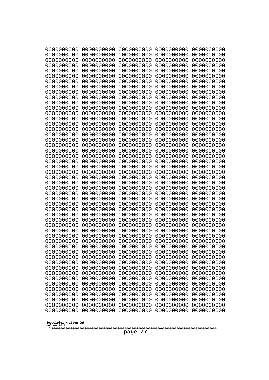| 0000000000<br>0000000000<br>0000000000<br>0000000000<br>0000000000<br>0000000000<br>0000000000<br>0000000000<br>1000000000<br>0000000000<br>0000000000<br>0000000000<br>0000000000<br>0000000000<br>0000000000<br>0000000000<br>0000000000<br>0000000000<br>0000000000<br>0000000000<br>0000000000<br>0000000000<br>0000000000<br>0000000000<br>0000000000<br>0000000000<br>0000000000<br>0000000000<br>0000000000<br>0000000000<br>0000000000<br>0000000000<br>0000000000<br>0000000000<br>10000000000<br>0000000000<br>0000000000<br>0000000000<br>0000000000<br>0000000000<br>0000000000<br>0000000000<br>0000000000<br>0000000000<br>0000000000<br>0000000000<br>0000000000 | 0000000000<br>0000000000<br>0000000000<br>0000000000<br>0000000000<br>0000000000<br>0000000000<br>0000000000<br>0000000000<br>0000000000<br>0000000000<br>0000000000<br>0000000000<br>0000000000<br>0000000000<br>0000000000<br>0000000000<br>0000000000<br>0000000000<br>0000000000<br>0000000000<br>0000000000<br>0000000000<br>0000000000<br>0000000000<br>0000000000<br>0000000000<br>0000000000<br>0000000000<br>0000000000<br>0000000000<br>0000000000<br>0000000000<br>0000000000<br>0000000000<br>0000000000<br>0000000000<br>0000000000<br>0000000000<br>0000000000<br>0000000000<br>0000000000<br>0000000000<br>0000000000<br>0000000000<br>0000000000 | 0000000000<br>0000000000<br>0000000000<br>0000000000<br>0000000000<br>0000000000<br>0000000000<br>0000000000<br>0000000000<br>0000000000<br>0000000000<br>0000000000<br>0000000000<br>0000000000<br>0000000000<br>0000000000<br>0000000000<br>0000000000<br>0000000000<br>0000000000<br>0000000000<br>0000000000<br>0000000000<br>0000000000<br>0000000000<br>0000000000<br>0000000000<br>0000000000<br>0000000000<br>0000000000<br>0000000000<br>0000000000<br>0000000000<br>0000000000<br>0000000000<br>0000000000<br>0000000000<br>0000000000<br>0000000000<br>0000000000<br>0000000000<br>0000000000<br>0000000000<br>0000000000<br>0000000000<br>0000000000<br>0000000000 | 0000000000<br>0000000000<br>0000000000<br>0000000000<br>0000000000<br>0000000000<br>0000000000<br>0000000000<br>0000000000<br>0000000000<br>0000000000<br>0000000000<br>0000000000<br>0000000000<br>0000000000<br>0000000000<br>0000000000<br>0000000000<br>0000000000<br>0000000000<br>0000000000<br>0000000000<br>0000000000<br>0000000000<br>0000000000<br>0000000000<br>0000000000<br>0000000000<br>0000000000<br>0000000000<br>0000000000<br>0000000000<br>0000000000<br>0000000000<br>0000000000<br>0000000000<br>0000000000<br>0000000000<br>0000000000<br>0000000000<br>0000000000<br>0000000000<br>0000000000<br>0000000000<br>0000000000<br>0000000000<br>0000000000 | 0000000000<br>0000000000<br>0000000000<br>0000000000<br>0000000000<br>0000000000<br>0000000000<br>0000000000<br>0000000000<br>0000000000<br>0000000000<br>0000000000<br>0000000000<br>0000000000<br>0000000000<br>0000000000<br>0000000000<br>0000000000<br>0000000000<br>0000000000<br>0000000000<br>0000000000<br>0000000000<br>0000000000<br>0000000000<br>0000000000<br>0000000000<br>0000000000<br>0000000000<br>0000000000<br>0000000000<br>0000000000<br>0000000000<br>0000000000<br>0000000000<br>0000000000<br>0000000000<br>0000000000<br>0000000000<br>0000000000<br>0000000000<br>0000000000<br>0000000000<br>0000000000<br>0000000000<br>0000000000<br>0000000000 |
|---------------------------------------------------------------------------------------------------------------------------------------------------------------------------------------------------------------------------------------------------------------------------------------------------------------------------------------------------------------------------------------------------------------------------------------------------------------------------------------------------------------------------------------------------------------------------------------------------------------------------------------------------------------------------------|------------------------------------------------------------------------------------------------------------------------------------------------------------------------------------------------------------------------------------------------------------------------------------------------------------------------------------------------------------------------------------------------------------------------------------------------------------------------------------------------------------------------------------------------------------------------------------------------------------------------------------------------------------------|--------------------------------------------------------------------------------------------------------------------------------------------------------------------------------------------------------------------------------------------------------------------------------------------------------------------------------------------------------------------------------------------------------------------------------------------------------------------------------------------------------------------------------------------------------------------------------------------------------------------------------------------------------------------------------|--------------------------------------------------------------------------------------------------------------------------------------------------------------------------------------------------------------------------------------------------------------------------------------------------------------------------------------------------------------------------------------------------------------------------------------------------------------------------------------------------------------------------------------------------------------------------------------------------------------------------------------------------------------------------------|--------------------------------------------------------------------------------------------------------------------------------------------------------------------------------------------------------------------------------------------------------------------------------------------------------------------------------------------------------------------------------------------------------------------------------------------------------------------------------------------------------------------------------------------------------------------------------------------------------------------------------------------------------------------------------|
| Googolplex Written Out<br>volume 1013<br>77<br>page                                                                                                                                                                                                                                                                                                                                                                                                                                                                                                                                                                                                                             |                                                                                                                                                                                                                                                                                                                                                                                                                                                                                                                                                                                                                                                                  |                                                                                                                                                                                                                                                                                                                                                                                                                                                                                                                                                                                                                                                                                |                                                                                                                                                                                                                                                                                                                                                                                                                                                                                                                                                                                                                                                                                |                                                                                                                                                                                                                                                                                                                                                                                                                                                                                                                                                                                                                                                                                |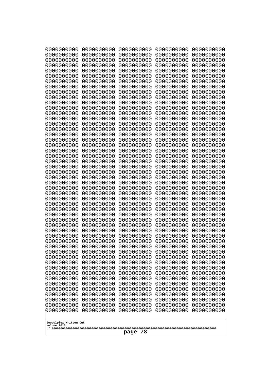| 0000000000                                          | 0000000000 | 0000000000 | 0000000000 | 0000000000 |
|-----------------------------------------------------|------------|------------|------------|------------|
| 0000000000                                          | 0000000000 | 0000000000 | 0000000000 | 0000000000 |
| 0000000000                                          | 0000000000 | 0000000000 | 0000000000 | 0000000000 |
| 0000000000                                          | 0000000000 | 0000000000 | 0000000000 | 0000000000 |
| 1000000000                                          | 0000000000 | 0000000000 | 0000000000 | 0000000000 |
| 0000000000                                          | 0000000000 | 0000000000 | 0000000000 | 0000000000 |
| 0000000000                                          | 0000000000 | 0000000000 | 0000000000 | 0000000000 |
| 0000000000                                          | 0000000000 | 0000000000 | 0000000000 | 0000000000 |
| 0000000000                                          | 0000000000 | 0000000000 | 0000000000 | 0000000000 |
| 0000000000                                          | 0000000000 | 0000000000 | 0000000000 | 0000000000 |
| 0000000000                                          | 0000000000 | 0000000000 | 0000000000 | 0000000000 |
| 0000000000                                          | 0000000000 | 0000000000 | 0000000000 | 0000000000 |
| 0000000000                                          | 0000000000 | 0000000000 | 0000000000 | 0000000000 |
| 0000000000                                          | 0000000000 | 0000000000 | 0000000000 | 0000000000 |
| 0000000000                                          | 0000000000 | 0000000000 | 0000000000 | 0000000000 |
| 0000000000                                          | 0000000000 | 0000000000 | 0000000000 | 0000000000 |
| 0000000000                                          | 0000000000 | 0000000000 | 0000000000 | 0000000000 |
| 0000000000                                          | 0000000000 | 0000000000 | 0000000000 | 0000000000 |
| 0000000000                                          | 0000000000 | 0000000000 | 0000000000 | 0000000000 |
| 0000000000                                          | 0000000000 | 0000000000 | 0000000000 | 0000000000 |
| 0000000000                                          | 0000000000 | 0000000000 | 0000000000 | 0000000000 |
| 0000000000                                          | 0000000000 | 0000000000 | 0000000000 | 0000000000 |
| 0000000000                                          | 0000000000 | 0000000000 | 0000000000 | 0000000000 |
| 0000000000                                          | 0000000000 | 0000000000 | 0000000000 | 0000000000 |
| 0000000000                                          | 0000000000 | 0000000000 | 0000000000 | 0000000000 |
| 0000000000                                          | 0000000000 | 0000000000 | 0000000000 | 0000000000 |
| 0000000000                                          | 0000000000 | 0000000000 | 0000000000 | 0000000000 |
| 0000000000                                          | 0000000000 | 0000000000 | 0000000000 | 0000000000 |
| 0000000000                                          | 0000000000 | 0000000000 | 0000000000 | 0000000000 |
| 0000000000                                          | 0000000000 | 0000000000 | 0000000000 | 0000000000 |
| 0000000000                                          | 0000000000 | 0000000000 | 0000000000 | 0000000000 |
| 0000000000                                          | 0000000000 | 0000000000 | 0000000000 | 0000000000 |
| 0000000000                                          | 0000000000 | 0000000000 | 0000000000 | 0000000000 |
| 0000000000                                          | 0000000000 | 0000000000 | 0000000000 | 0000000000 |
| 0000000000                                          | 0000000000 | 0000000000 | 0000000000 | 0000000000 |
| 0000000000                                          | 0000000000 | 0000000000 | 0000000000 | 0000000000 |
| 0000000000                                          | 0000000000 | 0000000000 | 0000000000 | 0000000000 |
| 0000000000                                          | 0000000000 | 0000000000 | 0000000000 | 0000000000 |
| 0000000000                                          | 0000000000 | 0000000000 | 0000000000 | 0000000000 |
| 0000000000                                          | 0000000000 | 0000000000 | 0000000000 | 0000000000 |
| 0000000000                                          | 0000000000 | 0000000000 | 0000000000 | 0000000000 |
| 0000000000                                          | 0000000000 | 0000000000 | 0000000000 | 0000000000 |
|                                                     |            |            |            |            |
| 0000000000                                          | 0000000000 | 0000000000 | 0000000000 | 0000000000 |
| 0000000000                                          | 0000000000 | 0000000000 | 0000000000 | 0000000000 |
| 0000000000                                          | 0000000000 | 0000000000 | 0000000000 | 0000000000 |
| 0000000000                                          | 0000000000 | 0000000000 | 0000000000 | 0000000000 |
| 0000000000                                          | 0000000000 | 0000000000 | 0000000000 | 0000000000 |
| 0000000000                                          | 0000000000 | 0000000000 | 0000000000 | 0000000000 |
| 0000000000                                          | 0000000000 | 0000000000 | 0000000000 | 0000000000 |
| 0000000000                                          | 0000000000 | 0000000000 | 0000000000 | 0000000000 |
| Googolplex Written Out<br>volume 1013<br>78<br>page |            |            |            |            |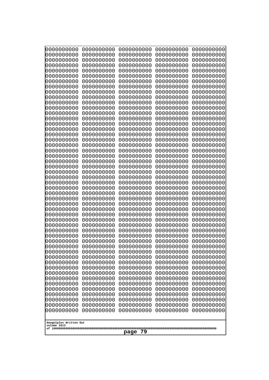| 000000000                                                          | 0000000000 | 0000000000 | 0000000000 | 0000000000 |
|--------------------------------------------------------------------|------------|------------|------------|------------|
| 0000000000                                                         | 0000000000 | 0000000000 | 0000000000 | 0000000000 |
| 0000000000                                                         | 0000000000 | 0000000000 | 0000000000 | 0000000000 |
| 0000000000                                                         | 0000000000 | 0000000000 | 0000000000 | 0000000000 |
| 0000000000                                                         | 0000000000 | 0000000000 | 0000000000 | 0000000000 |
| 0000000000                                                         | 0000000000 | 0000000000 | 0000000000 | 0000000000 |
| 0000000000                                                         | 0000000000 | 0000000000 | 0000000000 | 0000000000 |
| 0000000000                                                         | 0000000000 | 0000000000 | 0000000000 | 0000000000 |
| 0000000000                                                         | 0000000000 | 0000000000 | 0000000000 | 0000000000 |
| 0000000000                                                         | 0000000000 | 0000000000 | 0000000000 | 0000000000 |
| 0000000000                                                         | 0000000000 | 0000000000 | 0000000000 | 0000000000 |
| 0000000000                                                         | 0000000000 | 0000000000 | 0000000000 | 0000000000 |
| 0000000000                                                         | 0000000000 | 0000000000 | 0000000000 | 0000000000 |
| 0000000000                                                         | 0000000000 | 0000000000 | 0000000000 | 0000000000 |
| 0000000000                                                         | 0000000000 | 0000000000 | 0000000000 | 0000000000 |
| 0000000000                                                         | 0000000000 | 0000000000 | 0000000000 | 0000000000 |
| 0000000000                                                         | 0000000000 | 0000000000 | 0000000000 | 0000000000 |
| 0000000000                                                         | 0000000000 | 0000000000 | 0000000000 | 0000000000 |
| 0000000000                                                         | 0000000000 | 0000000000 | 0000000000 | 0000000000 |
| 0000000000                                                         | 0000000000 | 0000000000 | 0000000000 | 0000000000 |
| 0000000000                                                         | 0000000000 | 0000000000 | 0000000000 | 0000000000 |
| 0000000000                                                         | 0000000000 | 0000000000 | 0000000000 | 0000000000 |
| 0000000000                                                         | 0000000000 | 0000000000 | 0000000000 | 0000000000 |
| 0000000000                                                         | 0000000000 | 0000000000 | 0000000000 | 0000000000 |
| 0000000000                                                         | 0000000000 | 0000000000 | 0000000000 | 0000000000 |
| 0000000000                                                         | 0000000000 | 0000000000 | 0000000000 | 0000000000 |
| 0000000000                                                         | 0000000000 | 0000000000 | 0000000000 | 0000000000 |
| 0000000000                                                         | 0000000000 | 0000000000 | 0000000000 | 0000000000 |
| 0000000000                                                         | 0000000000 | 0000000000 | 0000000000 | 0000000000 |
| 0000000000                                                         | 0000000000 | 0000000000 | 0000000000 | 0000000000 |
| 0000000000                                                         | 0000000000 | 0000000000 | 0000000000 | 0000000000 |
| 0000000000                                                         | 0000000000 | 0000000000 | 0000000000 | 0000000000 |
| 0000000000                                                         | 0000000000 | 0000000000 | 0000000000 | 0000000000 |
| 0000000000                                                         | 0000000000 | 0000000000 | 0000000000 | 0000000000 |
| 0000000000                                                         | 0000000000 | 0000000000 | 0000000000 | 0000000000 |
| 0000000000                                                         | 0000000000 | 0000000000 | 0000000000 | 0000000000 |
| 0000000000                                                         | 0000000000 | 0000000000 | 0000000000 | 0000000000 |
| 0000000000                                                         | 0000000000 | 0000000000 | 0000000000 | 0000000000 |
| 0000000000                                                         | 0000000000 | 0000000000 | 0000000000 | 0000000000 |
| 0000000000                                                         | 0000000000 | 0000000000 | 0000000000 | 0000000000 |
| 0000000000                                                         | 0000000000 | 0000000000 | 0000000000 | 0000000000 |
| 0000000000                                                         | 0000000000 | 0000000000 | 0000000000 | 0000000000 |
| 0000000000                                                         | 0000000000 | 0000000000 | 0000000000 | 0000000000 |
| 0000000000                                                         | 0000000000 | 0000000000 | 0000000000 | 0000000000 |
| 0000000000                                                         | 0000000000 | 0000000000 | 0000000000 | 0000000000 |
| 0000000000                                                         | 0000000000 | 0000000000 | 0000000000 | 0000000000 |
| 0000000000                                                         | 0000000000 | 0000000000 | 0000000000 | 0000000000 |
| 0000000000                                                         | 0000000000 | 0000000000 | 0000000000 | 0000000000 |
| 0000000000                                                         | 0000000000 | 0000000000 | 0000000000 | 0000000000 |
| 0000000000<br>0000000000<br>0000000000<br>0000000000<br>0000000000 |            |            |            |            |
| Googolplex Written Out<br>volume 1013<br>79<br>page                |            |            |            |            |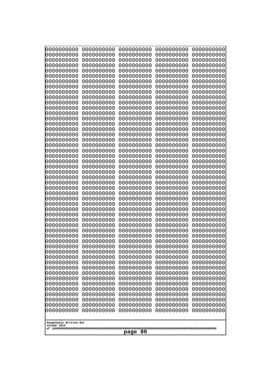| 0000000000                                                                                                                               | 0000000000 | 0000000000 | 0000000000 | 0000000000 |
|------------------------------------------------------------------------------------------------------------------------------------------|------------|------------|------------|------------|
| 0000000000                                                                                                                               | 0000000000 | 0000000000 | 0000000000 | 0000000000 |
| 0000000000                                                                                                                               | 0000000000 | 0000000000 | 0000000000 | 0000000000 |
| 0000000000                                                                                                                               | 0000000000 | 0000000000 | 0000000000 | 0000000000 |
| 0000000000                                                                                                                               | 0000000000 | 0000000000 | 0000000000 | 0000000000 |
| 0000000000                                                                                                                               | 0000000000 | 0000000000 | 0000000000 | 0000000000 |
| 0000000000                                                                                                                               | 0000000000 | 0000000000 | 0000000000 | 0000000000 |
| 0000000000                                                                                                                               | 0000000000 | 0000000000 | 0000000000 | 0000000000 |
| 0000000000                                                                                                                               | 0000000000 | 0000000000 | 0000000000 | 0000000000 |
| 0000000000                                                                                                                               | 0000000000 | 0000000000 | 0000000000 | 0000000000 |
| 0000000000                                                                                                                               | 0000000000 | 0000000000 | 0000000000 | 0000000000 |
| 0000000000                                                                                                                               | 0000000000 | 0000000000 | 0000000000 | 0000000000 |
| 0000000000                                                                                                                               | 0000000000 | 0000000000 | 0000000000 | 0000000000 |
| 0000000000                                                                                                                               | 0000000000 | 0000000000 | 0000000000 | 0000000000 |
| 0000000000                                                                                                                               | 0000000000 | 0000000000 | 0000000000 | 0000000000 |
| 0000000000                                                                                                                               | 0000000000 | 0000000000 | 0000000000 | 0000000000 |
| 0000000000                                                                                                                               | 0000000000 | 0000000000 | 0000000000 | 0000000000 |
| 0000000000                                                                                                                               | 0000000000 | 0000000000 | 0000000000 | 0000000000 |
| 0000000000                                                                                                                               | 0000000000 | 0000000000 | 0000000000 | 0000000000 |
| 0000000000                                                                                                                               | 0000000000 | 0000000000 | 0000000000 | 0000000000 |
| 0000000000                                                                                                                               | 0000000000 | 0000000000 | 0000000000 | 0000000000 |
| 0000000000                                                                                                                               | 0000000000 | 0000000000 | 0000000000 | 0000000000 |
| 0000000000                                                                                                                               | 0000000000 | 0000000000 | 0000000000 | 0000000000 |
| 0000000000                                                                                                                               | 0000000000 | 0000000000 | 0000000000 | 0000000000 |
| 0000000000                                                                                                                               | 0000000000 | 0000000000 | 0000000000 | 0000000000 |
| 0000000000                                                                                                                               | 0000000000 | 0000000000 | 0000000000 | 0000000000 |
| 0000000000                                                                                                                               | 0000000000 | 0000000000 | 0000000000 | 0000000000 |
| 0000000000                                                                                                                               | 0000000000 | 0000000000 | 0000000000 | 0000000000 |
| 0000000000                                                                                                                               | 0000000000 | 0000000000 | 0000000000 | 0000000000 |
| 0000000000                                                                                                                               | 0000000000 | 0000000000 | 0000000000 | 0000000000 |
| 0000000000                                                                                                                               | 0000000000 | 0000000000 | 0000000000 | 0000000000 |
| 0000000000                                                                                                                               | 0000000000 | 0000000000 | 0000000000 | 0000000000 |
| 0000000000                                                                                                                               | 0000000000 | 0000000000 | 0000000000 | 0000000000 |
| 0000000000                                                                                                                               | 0000000000 | 0000000000 | 0000000000 | 0000000000 |
| 0000000000                                                                                                                               | 0000000000 | 0000000000 | 0000000000 | 0000000000 |
| 0000000000                                                                                                                               | 0000000000 | 0000000000 | 0000000000 | 0000000000 |
| 0000000000                                                                                                                               | 0000000000 | 0000000000 | 0000000000 | 0000000000 |
| 0000000000                                                                                                                               | 0000000000 | 0000000000 | 0000000000 | 0000000000 |
| 0000000000                                                                                                                               | 0000000000 | 0000000000 | 0000000000 | 0000000000 |
| 0000000000                                                                                                                               | 0000000000 | 0000000000 | 0000000000 | 0000000000 |
| 0000000000                                                                                                                               | 0000000000 | 0000000000 | 0000000000 | 0000000000 |
| 0000000000                                                                                                                               | 0000000000 | 0000000000 | 0000000000 | 0000000000 |
| 0000000000                                                                                                                               | 0000000000 | 0000000000 | 0000000000 | 0000000000 |
| 0000000000                                                                                                                               | 0000000000 | 0000000000 | 0000000000 | 0000000000 |
| 0000000000                                                                                                                               | 0000000000 | 0000000000 | 0000000000 | 0000000000 |
| 0000000000                                                                                                                               | 0000000000 | 0000000000 | 0000000000 | 0000000000 |
| 0000000000                                                                                                                               | 0000000000 | 0000000000 | 0000000000 | 0000000000 |
| 0000000000                                                                                                                               | 0000000000 | 0000000000 | 0000000000 | 0000000000 |
| 0000000000<br>0000000000<br>0000000000<br>0000000000<br>0000000000<br>0000000000<br>0000000000<br>0000000000<br>0000000000<br>0000000000 |            |            |            |            |
| Googolplex Written Out<br>volume 1013<br>page 80                                                                                         |            |            |            |            |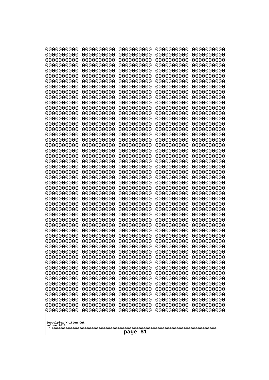| 000000000<br>0000000000               | 0000000000<br>0000000000 | 0000000000<br>0000000000 | 0000000000<br>0000000000 | 0000000000<br>0000000000 |  |
|---------------------------------------|--------------------------|--------------------------|--------------------------|--------------------------|--|
| 0000000000                            | 0000000000               | 0000000000               | 0000000000               | 0000000000               |  |
| 0000000000<br>0000000000              | 0000000000<br>0000000000 | 0000000000<br>0000000000 | 0000000000<br>0000000000 | 0000000000<br>0000000000 |  |
| 0000000000                            | 0000000000               | 0000000000               | 0000000000               | 0000000000               |  |
| 0000000000<br>0000000000              | 0000000000<br>0000000000 | 0000000000<br>0000000000 | 0000000000<br>0000000000 | 0000000000<br>0000000000 |  |
| 0000000000                            | 0000000000               | 0000000000               | 0000000000               | 0000000000               |  |
| 0000000000                            | 0000000000               | 0000000000               | 0000000000               | 0000000000               |  |
| 0000000000<br>0000000000              | 0000000000<br>0000000000 | 0000000000<br>0000000000 | 0000000000<br>0000000000 | 0000000000<br>0000000000 |  |
| 0000000000                            | 0000000000               | 0000000000               | 0000000000               | 0000000000               |  |
| 0000000000<br>0000000000              | 0000000000<br>0000000000 | 0000000000<br>0000000000 | 0000000000<br>0000000000 | 0000000000<br>0000000000 |  |
| 0000000000                            | 0000000000               | 0000000000               | 0000000000               | 0000000000               |  |
| 0000000000                            | 0000000000               | 0000000000               | 0000000000               | 0000000000<br>0000000000 |  |
| 0000000000<br>0000000000              | 0000000000<br>0000000000 | 0000000000<br>0000000000 | 0000000000<br>0000000000 | 0000000000               |  |
| 0000000000                            | 0000000000               | 0000000000               | 0000000000               | 0000000000               |  |
| 0000000000<br>0000000000              | 0000000000<br>0000000000 | 0000000000<br>0000000000 | 0000000000<br>0000000000 | 0000000000<br>0000000000 |  |
| 0000000000                            | 0000000000               | 0000000000               | 0000000000               | 0000000000               |  |
| 0000000000<br>0000000000              | 0000000000<br>0000000000 | 0000000000<br>0000000000 | 0000000000<br>0000000000 | 0000000000<br>0000000000 |  |
| 0000000000                            | 0000000000               | 0000000000               | 0000000000               | 0000000000               |  |
| 0000000000                            | 0000000000               | 0000000000               | 0000000000               | 0000000000               |  |
| 0000000000<br>0000000000              | 0000000000<br>0000000000 | 0000000000<br>0000000000 | 0000000000<br>0000000000 | 0000000000<br>0000000000 |  |
| 0000000000                            | 0000000000               | 0000000000               | 0000000000               | 0000000000               |  |
| 0000000000<br>0000000000              | 0000000000<br>0000000000 | 0000000000<br>0000000000 | 0000000000<br>0000000000 | 0000000000<br>0000000000 |  |
| 0000000000                            | 0000000000               | 0000000000               | 0000000000               | 0000000000               |  |
| 0000000000<br>0000000000              | 0000000000<br>0000000000 | 0000000000<br>0000000000 | 0000000000<br>0000000000 | 0000000000<br>0000000000 |  |
| 0000000000                            | 0000000000               | 0000000000               | 0000000000               | 0000000000               |  |
| 0000000000                            | 0000000000               | 0000000000               | 0000000000               | 0000000000               |  |
| 0000000000<br>0000000000              | 0000000000<br>0000000000 | 0000000000<br>0000000000 | 0000000000<br>0000000000 | 0000000000<br>0000000000 |  |
| 0000000000                            | 0000000000               | 0000000000               | 0000000000               | 0000000000               |  |
| 0000000000<br>0000000000              | 0000000000<br>0000000000 | 0000000000<br>0000000000 | 0000000000<br>0000000000 | 0000000000<br>0000000000 |  |
| 0000000000                            | 0000000000               | 0000000000               | 0000000000               | 0000000000               |  |
| 0000000000<br>0000000000              | 0000000000<br>0000000000 | 0000000000<br>0000000000 | 0000000000<br>0000000000 | 0000000000<br>0000000000 |  |
| 0000000000                            | 0000000000               | 0000000000               | 0000000000               | 0000000000               |  |
| 0000000000                            | 0000000000               | 0000000000               | 0000000000               | 0000000000               |  |
| 0000000000<br>0000000000              | 0000000000<br>0000000000 | 0000000000<br>0000000000 | 0000000000<br>0000000000 | 0000000000<br>0000000000 |  |
| 0000000000                            | 0000000000               | 0000000000               | 0000000000               | 0000000000               |  |
|                                       |                          |                          |                          |                          |  |
| Googolplex Written Out<br>volume 1013 |                          |                          |                          |                          |  |
| page 81                               |                          |                          |                          |                          |  |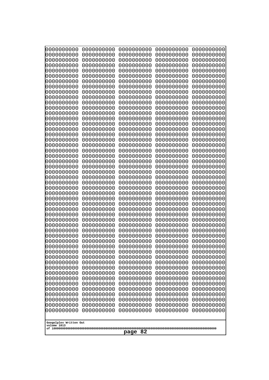| 000000000<br>0000000000  | 0000000000<br>0000000000 | 0000000000<br>0000000000 | 0000000000<br>0000000000 | 0000000000<br>0000000000 |  |
|--------------------------|--------------------------|--------------------------|--------------------------|--------------------------|--|
| 0000000000               | 0000000000               | 0000000000               | 0000000000               | 0000000000               |  |
| 0000000000               | 0000000000               | 0000000000               | 0000000000               | 0000000000               |  |
| 0000000000<br>0000000000 | 0000000000<br>0000000000 | 0000000000<br>0000000000 | 0000000000<br>0000000000 | 0000000000<br>0000000000 |  |
| 0000000000               | 0000000000               | 0000000000               | 0000000000               | 0000000000               |  |
| 0000000000               | 0000000000               | 0000000000               | 0000000000               | 0000000000               |  |
| 0000000000<br>0000000000 | 0000000000<br>0000000000 | 0000000000<br>0000000000 | 0000000000<br>0000000000 | 0000000000<br>0000000000 |  |
| 0000000000               | 0000000000               | 0000000000               | 0000000000               | 0000000000               |  |
| 0000000000               | 0000000000               | 0000000000               | 0000000000               | 0000000000               |  |
| 0000000000<br>0000000000 | 0000000000<br>0000000000 | 0000000000<br>0000000000 | 0000000000<br>0000000000 | 0000000000<br>0000000000 |  |
| 0000000000               | 0000000000               | 0000000000               | 0000000000               | 0000000000               |  |
| 0000000000               | 0000000000               | 0000000000               | 0000000000               | 0000000000               |  |
| 0000000000<br>0000000000 | 0000000000<br>0000000000 | 0000000000<br>0000000000 | 0000000000<br>0000000000 | 0000000000<br>0000000000 |  |
| 0000000000               | 0000000000               | 0000000000               | 0000000000               | 0000000000               |  |
| 0000000000               | 0000000000               | 0000000000               | 0000000000               | 0000000000               |  |
| 0000000000               | 0000000000               | 0000000000               | 0000000000               | 0000000000               |  |
| 0000000000<br>0000000000 | 0000000000<br>0000000000 | 0000000000<br>0000000000 | 0000000000<br>0000000000 | 0000000000<br>0000000000 |  |
| 0000000000               | 0000000000               | 0000000000               | 0000000000               | 0000000000               |  |
| 0000000000               | 0000000000               | 0000000000               | 0000000000               | 0000000000               |  |
| 0000000000<br>0000000000 | 0000000000<br>0000000000 | 0000000000<br>0000000000 | 0000000000<br>0000000000 | 0000000000<br>0000000000 |  |
| 0000000000               | 0000000000               | 0000000000               | 0000000000               | 0000000000               |  |
| 0000000000               | 0000000000               | 0000000000               | 0000000000               | 0000000000               |  |
| 0000000000<br>0000000000 | 0000000000<br>0000000000 | 0000000000<br>0000000000 | 0000000000<br>0000000000 | 0000000000<br>0000000000 |  |
| 0000000000               | 0000000000               | 0000000000               | 0000000000               | 0000000000               |  |
| 0000000000               | 0000000000               | 0000000000               | 0000000000               | 0000000000               |  |
| 0000000000<br>0000000000 | 0000000000<br>0000000000 | 0000000000<br>0000000000 | 0000000000<br>0000000000 | 0000000000<br>0000000000 |  |
| 0000000000               | 0000000000               | 0000000000               | 0000000000               | 0000000000               |  |
| 0000000000               | 0000000000               | 0000000000               | 0000000000               | 0000000000               |  |
| 0000000000<br>0000000000 | 0000000000<br>0000000000 | 0000000000<br>0000000000 | 0000000000<br>0000000000 | 0000000000<br>0000000000 |  |
| 0000000000               | 0000000000               | 0000000000               | 0000000000               | 0000000000               |  |
| 0000000000               | 0000000000               | 0000000000               | 0000000000               | 0000000000               |  |
| 0000000000<br>0000000000 | 0000000000<br>0000000000 | 0000000000<br>0000000000 | 0000000000<br>0000000000 | 0000000000<br>0000000000 |  |
| 0000000000               | 0000000000               | 0000000000               | 0000000000               | 0000000000               |  |
| 0000000000               | 0000000000               | 0000000000               | 0000000000               | 0000000000               |  |
| 0000000000               | 0000000000<br>0000000000 | 0000000000               | 0000000000               | 0000000000               |  |
| 0000000000<br>0000000000 | 0000000000               | 0000000000<br>0000000000 | 0000000000<br>0000000000 | 0000000000<br>0000000000 |  |
| 0000000000               | 0000000000               | 0000000000               | 0000000000               | 0000000000               |  |
| 0000000000               | 0000000000               | 0000000000               | 0000000000               | 0000000000               |  |
| Googolplex Written Out   |                          |                          |                          |                          |  |
| volume 1013              |                          |                          |                          |                          |  |
| page 82                  |                          |                          |                          |                          |  |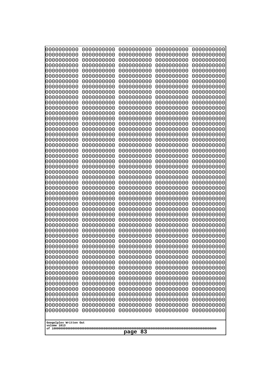| 0000000000                                       | 0000000000 | 0000000000 | 0000000000 | 0000000000 |
|--------------------------------------------------|------------|------------|------------|------------|
| 0000000000                                       | 0000000000 | 0000000000 | 0000000000 | 0000000000 |
| 0000000000                                       | 0000000000 | 0000000000 | 0000000000 | 0000000000 |
| 0000000000                                       | 0000000000 | 0000000000 | 0000000000 | 0000000000 |
| 0000000000                                       | 0000000000 | 0000000000 | 0000000000 | 0000000000 |
| 0000000000                                       | 0000000000 | 0000000000 | 0000000000 | 0000000000 |
| 0000000000                                       | 0000000000 | 0000000000 | 0000000000 | 0000000000 |
| 0000000000                                       | 0000000000 | 0000000000 | 0000000000 | 0000000000 |
| 0000000000                                       | 0000000000 | 0000000000 | 0000000000 | 0000000000 |
| 0000000000                                       | 0000000000 | 0000000000 | 0000000000 | 0000000000 |
| 0000000000                                       | 0000000000 | 0000000000 | 0000000000 | 0000000000 |
| 0000000000                                       | 0000000000 | 0000000000 | 0000000000 | 0000000000 |
| 0000000000                                       | 0000000000 | 0000000000 | 0000000000 | 0000000000 |
| 0000000000                                       | 0000000000 | 0000000000 | 0000000000 | 0000000000 |
| 0000000000                                       | 0000000000 | 0000000000 | 0000000000 | 0000000000 |
| 0000000000                                       | 0000000000 | 0000000000 | 0000000000 | 0000000000 |
| 0000000000                                       | 0000000000 | 0000000000 | 0000000000 | 0000000000 |
| 0000000000                                       | 0000000000 | 0000000000 | 0000000000 | 0000000000 |
| 0000000000                                       | 0000000000 | 0000000000 | 0000000000 | 0000000000 |
| 0000000000                                       | 0000000000 | 0000000000 | 0000000000 | 0000000000 |
| 0000000000                                       | 0000000000 | 0000000000 | 0000000000 | 0000000000 |
| 0000000000                                       | 0000000000 | 0000000000 | 0000000000 | 0000000000 |
| 0000000000                                       | 0000000000 | 0000000000 | 0000000000 | 0000000000 |
| 0000000000                                       | 0000000000 | 0000000000 | 0000000000 | 0000000000 |
| 0000000000                                       | 0000000000 | 0000000000 | 0000000000 | 0000000000 |
| 0000000000                                       | 0000000000 | 0000000000 | 0000000000 | 0000000000 |
| 0000000000                                       | 0000000000 | 0000000000 | 0000000000 | 0000000000 |
| 0000000000                                       | 0000000000 | 0000000000 | 0000000000 | 0000000000 |
| 0000000000                                       | 0000000000 | 0000000000 | 0000000000 | 0000000000 |
| 0000000000                                       | 0000000000 | 0000000000 | 0000000000 | 0000000000 |
| 0000000000                                       | 0000000000 | 0000000000 | 0000000000 | 0000000000 |
| 0000000000                                       | 0000000000 | 0000000000 | 0000000000 | 0000000000 |
| 0000000000                                       | 0000000000 | 0000000000 | 0000000000 | 0000000000 |
| 0000000000                                       | 0000000000 | 0000000000 | 0000000000 | 0000000000 |
| 0000000000                                       | 0000000000 | 0000000000 | 0000000000 | 0000000000 |
| 0000000000                                       | 0000000000 | 0000000000 | 0000000000 | 0000000000 |
| 0000000000                                       | 0000000000 | 0000000000 | 0000000000 | 0000000000 |
| 0000000000                                       | 0000000000 | 0000000000 | 0000000000 | 0000000000 |
| 0000000000                                       | 0000000000 | 0000000000 | 0000000000 | 0000000000 |
| 0000000000                                       | 0000000000 | 0000000000 | 0000000000 | 0000000000 |
| 0000000000                                       | 0000000000 | 0000000000 | 0000000000 | 0000000000 |
| 0000000000                                       | 0000000000 | 0000000000 | 0000000000 | 0000000000 |
| 0000000000                                       | 0000000000 | 0000000000 | 0000000000 | 0000000000 |
| 0000000000                                       | 0000000000 | 0000000000 | 0000000000 | 0000000000 |
| 0000000000                                       | 0000000000 | 0000000000 | 0000000000 | 0000000000 |
| 0000000000                                       | 0000000000 | 0000000000 | 0000000000 | 0000000000 |
| 0000000000                                       | 0000000000 | 0000000000 | 0000000000 | 0000000000 |
| 0000000000                                       | 0000000000 | 0000000000 | 0000000000 | 0000000000 |
| 0000000000                                       | 0000000000 | 0000000000 | 0000000000 | 0000000000 |
| 0000000000                                       | 0000000000 | 0000000000 | 0000000000 | 0000000000 |
| Googolplex Written Out<br>volume 1013<br>page 83 |            |            |            |            |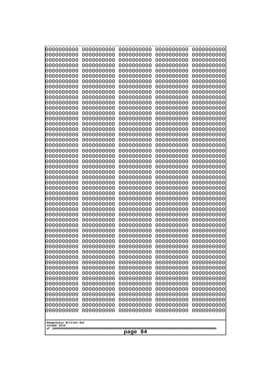| 0000000000<br>0000000000<br>0000000000<br>0000000000<br>0000000000<br>0000000000<br>0000000000<br>0000000000<br>0000000000<br>0000000000<br>0000000000<br>0000000000<br>0000000000<br>0000000000<br>0000000000<br>0000000000<br>0000000000<br>0000000000<br>0000000000<br>0000000000<br>0000000000<br>0000000000<br>0000000000<br>0000000000<br>0000000000<br>0000000000<br>0000000000<br>0000000000<br>0000000000<br>0000000000<br>0000000000<br>0000000000<br>0000000000<br>0000000000<br>0000000000<br>0000000000<br>0000000000<br>10000000000<br>0000000000<br>0000000000<br>0000000000<br>0000000000<br>0000000000<br>0000000000<br>0000000000<br>0000000000<br>0000000000<br>0000000000<br>0000000000<br>0000000000 | 0000000000<br>0000000000<br>0000000000<br>0000000000<br>0000000000<br>0000000000<br>0000000000<br>0000000000<br>0000000000<br>0000000000<br>0000000000<br>0000000000<br>0000000000<br>0000000000<br>0000000000<br>0000000000<br>0000000000<br>0000000000<br>0000000000<br>0000000000<br>0000000000<br>0000000000<br>0000000000<br>0000000000<br>0000000000<br>0000000000<br>0000000000<br>0000000000<br>0000000000<br>0000000000<br>0000000000<br>0000000000<br>0000000000<br>0000000000<br>0000000000<br>0000000000<br>0000000000<br>0000000000<br>0000000000<br>0000000000<br>0000000000<br>0000000000<br>0000000000<br>0000000000<br>0000000000<br>0000000000<br>0000000000<br>0000000000<br>0000000000<br>0000000000 | 0000000000<br>0000000000<br>0000000000<br>0000000000<br>0000000000<br>0000000000<br>0000000000<br>0000000000<br>0000000000<br>0000000000<br>0000000000<br>0000000000<br>0000000000<br>0000000000<br>0000000000<br>0000000000<br>0000000000<br>0000000000<br>0000000000<br>0000000000<br>0000000000<br>0000000000<br>0000000000<br>0000000000<br>0000000000<br>0000000000<br>0000000000<br>0000000000<br>0000000000<br>0000000000<br>0000000000<br>0000000000<br>0000000000<br>0000000000<br>0000000000<br>0000000000<br>0000000000<br>0000000000<br>0000000000<br>0000000000<br>0000000000<br>0000000000<br>0000000000<br>0000000000<br>0000000000<br>0000000000<br>0000000000<br>0000000000<br>0000000000<br>0000000000 | 0000000000<br>0000000000<br>0000000000<br>0000000000<br>0000000000<br>0000000000<br>0000000000<br>0000000000<br>0000000000<br>0000000000<br>0000000000<br>0000000000<br>0000000000<br>0000000000<br>0000000000<br>0000000000<br>0000000000<br>0000000000<br>0000000000<br>0000000000<br>0000000000<br>0000000000<br>0000000000<br>0000000000<br>0000000000<br>0000000000<br>0000000000<br>0000000000<br>0000000000<br>0000000000<br>0000000000<br>0000000000<br>0000000000<br>0000000000<br>0000000000<br>0000000000<br>0000000000<br>0000000000<br>0000000000<br>0000000000<br>0000000000<br>0000000000<br>0000000000<br>0000000000<br>0000000000<br>0000000000<br>0000000000<br>0000000000<br>0000000000<br>0000000000 | 0000000000<br>0000000000<br>0000000000<br>0000000000<br>0000000000<br>0000000000<br>0000000000<br>0000000000<br>0000000000<br>0000000000<br>0000000000<br>0000000000<br>0000000000<br>0000000000<br>0000000000<br>0000000000<br>0000000000<br>0000000000<br>0000000000<br>0000000000<br>0000000000<br>0000000000<br>0000000000<br>0000000000<br>0000000000<br>0000000000<br>0000000000<br>0000000000<br>0000000000<br>0000000000<br>0000000000<br>0000000000<br>0000000000<br>0000000000<br>0000000000<br>0000000000<br>0000000000<br>0000000000<br>0000000000<br>0000000000<br>0000000000<br>0000000000<br>0000000000<br>0000000000<br>0000000000<br>0000000000<br>0000000000<br>0000000000<br>0000000000<br>0000000000 |
|---------------------------------------------------------------------------------------------------------------------------------------------------------------------------------------------------------------------------------------------------------------------------------------------------------------------------------------------------------------------------------------------------------------------------------------------------------------------------------------------------------------------------------------------------------------------------------------------------------------------------------------------------------------------------------------------------------------------------|--------------------------------------------------------------------------------------------------------------------------------------------------------------------------------------------------------------------------------------------------------------------------------------------------------------------------------------------------------------------------------------------------------------------------------------------------------------------------------------------------------------------------------------------------------------------------------------------------------------------------------------------------------------------------------------------------------------------------|--------------------------------------------------------------------------------------------------------------------------------------------------------------------------------------------------------------------------------------------------------------------------------------------------------------------------------------------------------------------------------------------------------------------------------------------------------------------------------------------------------------------------------------------------------------------------------------------------------------------------------------------------------------------------------------------------------------------------|--------------------------------------------------------------------------------------------------------------------------------------------------------------------------------------------------------------------------------------------------------------------------------------------------------------------------------------------------------------------------------------------------------------------------------------------------------------------------------------------------------------------------------------------------------------------------------------------------------------------------------------------------------------------------------------------------------------------------|--------------------------------------------------------------------------------------------------------------------------------------------------------------------------------------------------------------------------------------------------------------------------------------------------------------------------------------------------------------------------------------------------------------------------------------------------------------------------------------------------------------------------------------------------------------------------------------------------------------------------------------------------------------------------------------------------------------------------|
| Googolplex Written Out<br>volume 1013                                                                                                                                                                                                                                                                                                                                                                                                                                                                                                                                                                                                                                                                                     |                                                                                                                                                                                                                                                                                                                                                                                                                                                                                                                                                                                                                                                                                                                          |                                                                                                                                                                                                                                                                                                                                                                                                                                                                                                                                                                                                                                                                                                                          |                                                                                                                                                                                                                                                                                                                                                                                                                                                                                                                                                                                                                                                                                                                          |                                                                                                                                                                                                                                                                                                                                                                                                                                                                                                                                                                                                                                                                                                                          |
| 84<br>page                                                                                                                                                                                                                                                                                                                                                                                                                                                                                                                                                                                                                                                                                                                |                                                                                                                                                                                                                                                                                                                                                                                                                                                                                                                                                                                                                                                                                                                          |                                                                                                                                                                                                                                                                                                                                                                                                                                                                                                                                                                                                                                                                                                                          |                                                                                                                                                                                                                                                                                                                                                                                                                                                                                                                                                                                                                                                                                                                          |                                                                                                                                                                                                                                                                                                                                                                                                                                                                                                                                                                                                                                                                                                                          |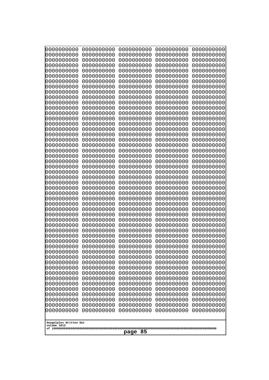| 000000000                             | 0000000000<br>0000000000 | 0000000000               | 0000000000               | 0000000000               |
|---------------------------------------|--------------------------|--------------------------|--------------------------|--------------------------|
| 0000000000<br>0000000000              | 0000000000               | 0000000000<br>0000000000 | 0000000000<br>0000000000 | 0000000000<br>0000000000 |
| 0000000000                            | 0000000000               | 0000000000               | 0000000000               | 0000000000               |
| 0000000000<br>0000000000              | 0000000000<br>0000000000 | 0000000000<br>0000000000 | 0000000000<br>0000000000 | 0000000000<br>0000000000 |
| 0000000000                            | 0000000000               | 0000000000               | 0000000000               | 0000000000               |
| 0000000000                            | 0000000000               | 0000000000               | 0000000000               | 0000000000               |
| 0000000000<br>0000000000              | 0000000000<br>0000000000 | 0000000000<br>0000000000 | 0000000000<br>0000000000 | 0000000000<br>0000000000 |
| 0000000000                            | 0000000000               | 0000000000               | 0000000000               | 0000000000               |
| 0000000000                            | 0000000000               | 0000000000               | 0000000000               | 0000000000               |
| 0000000000<br>0000000000              | 0000000000<br>0000000000 | 0000000000<br>0000000000 | 0000000000<br>0000000000 | 0000000000<br>0000000000 |
| 0000000000                            | 0000000000               | 0000000000               | 0000000000               | 0000000000               |
| 0000000000                            | 0000000000               | 0000000000               | 0000000000               | 0000000000               |
| 0000000000<br>0000000000              | 0000000000<br>0000000000 | 0000000000<br>0000000000 | 0000000000<br>0000000000 | 0000000000<br>0000000000 |
| 0000000000                            | 0000000000               | 0000000000               | 0000000000               | 0000000000               |
| 0000000000                            | 0000000000               | 0000000000               | 0000000000               | 0000000000               |
| 0000000000<br>0000000000              | 0000000000<br>0000000000 | 0000000000<br>0000000000 | 0000000000<br>0000000000 | 0000000000<br>0000000000 |
| 0000000000                            | 0000000000               | 0000000000               | 0000000000               | 0000000000               |
| 0000000000                            | 0000000000               | 0000000000               | 0000000000               | 0000000000               |
| 0000000000<br>0000000000              | 0000000000<br>0000000000 | 0000000000<br>0000000000 | 0000000000<br>0000000000 | 0000000000<br>0000000000 |
| 0000000000                            | 0000000000               | 0000000000               | 0000000000               | 0000000000               |
| 0000000000                            | 0000000000               | 0000000000               | 0000000000               | 0000000000               |
| 0000000000<br>0000000000              | 0000000000<br>0000000000 | 0000000000<br>0000000000 | 0000000000<br>0000000000 | 0000000000<br>0000000000 |
| 0000000000                            | 0000000000               | 0000000000               | 0000000000               | 0000000000               |
| 0000000000                            | 0000000000               | 0000000000               | 0000000000               | 0000000000               |
| 0000000000<br>0000000000              | 0000000000<br>0000000000 | 0000000000<br>0000000000 | 0000000000<br>0000000000 | 0000000000<br>0000000000 |
| 0000000000                            | 0000000000               | 0000000000               | 0000000000               | 0000000000               |
| 0000000000                            | 0000000000               | 0000000000               | 0000000000               | 0000000000               |
| 0000000000<br>0000000000              | 0000000000<br>0000000000 | 0000000000<br>0000000000 | 0000000000<br>0000000000 | 0000000000<br>0000000000 |
| 0000000000                            | 0000000000               | 0000000000               | 0000000000               | 0000000000               |
| 0000000000                            | 0000000000               | 0000000000               | 0000000000               | 0000000000               |
| 0000000000<br>0000000000              | 0000000000<br>0000000000 | 0000000000<br>0000000000 | 0000000000<br>0000000000 | 0000000000<br>0000000000 |
| 0000000000                            | 0000000000               | 0000000000               | 0000000000               | 0000000000               |
| 0000000000                            | 0000000000               | 0000000000               | 0000000000               | 0000000000               |
| 0000000000<br>0000000000              | 0000000000<br>0000000000 | 0000000000<br>0000000000 | 0000000000<br>0000000000 | 0000000000<br>0000000000 |
| 0000000000                            | 0000000000               | 0000000000               | 0000000000               | 0000000000               |
| 0000000000                            | 0000000000               | 0000000000               | 0000000000               | 0000000000               |
| 0000000000<br>0000000000              | 0000000000<br>0000000000 | 0000000000<br>0000000000 | 0000000000<br>0000000000 | 0000000000<br>0000000000 |
|                                       |                          |                          |                          |                          |
| Googolplex Written Out<br>volume 1013 |                          |                          |                          |                          |
|                                       | 85<br>page               |                          |                          |                          |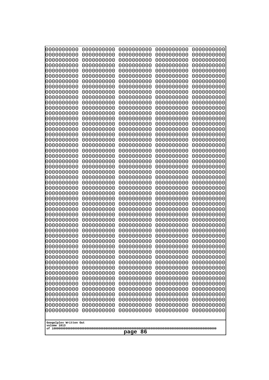| 0000000000<br>0000000000<br>0000000000<br>0000000000<br>0000000000<br>0000000000<br>0000000000<br>0000000000<br>0000000000<br>0000000000<br>0000000000<br>0000000000<br>0000000000<br>0000000000<br>0000000000<br>0000000000<br>0000000000<br>0000000000<br>0000000000<br>0000000000<br>0000000000<br>0000000000<br>0000000000<br>0000000000<br>0000000000<br>0000000000<br>0000000000<br>0000000000<br>0000000000<br>0000000000<br>0000000000<br>0000000000<br>0000000000<br>0000000000<br>0000000000<br>0000000000<br>0000000000<br>10000000000<br>0000000000<br>0000000000<br>0000000000<br>0000000000<br>0000000000<br>0000000000<br>0000000000<br>0000000000<br>0000000000<br>0000000000<br>0000000000<br>0000000000 | 0000000000<br>0000000000<br>0000000000<br>0000000000<br>0000000000<br>0000000000<br>0000000000<br>0000000000<br>0000000000<br>0000000000<br>0000000000<br>0000000000<br>0000000000<br>0000000000<br>0000000000<br>0000000000<br>0000000000<br>0000000000<br>0000000000<br>0000000000<br>0000000000<br>0000000000<br>0000000000<br>0000000000<br>0000000000<br>0000000000<br>0000000000<br>0000000000<br>0000000000<br>0000000000<br>0000000000<br>0000000000<br>0000000000<br>0000000000<br>0000000000<br>0000000000<br>0000000000<br>0000000000<br>0000000000<br>0000000000<br>0000000000<br>0000000000<br>0000000000<br>0000000000<br>0000000000<br>0000000000<br>0000000000<br>0000000000<br>0000000000<br>0000000000 | 0000000000<br>0000000000<br>0000000000<br>0000000000<br>0000000000<br>0000000000<br>0000000000<br>0000000000<br>0000000000<br>0000000000<br>0000000000<br>0000000000<br>0000000000<br>0000000000<br>0000000000<br>0000000000<br>0000000000<br>0000000000<br>0000000000<br>0000000000<br>0000000000<br>0000000000<br>0000000000<br>0000000000<br>0000000000<br>0000000000<br>0000000000<br>0000000000<br>0000000000<br>0000000000<br>0000000000<br>0000000000<br>0000000000<br>0000000000<br>0000000000<br>0000000000<br>0000000000<br>0000000000<br>0000000000<br>0000000000<br>0000000000<br>0000000000<br>0000000000<br>0000000000<br>0000000000<br>0000000000<br>0000000000<br>0000000000<br>0000000000<br>0000000000 | 0000000000<br>0000000000<br>0000000000<br>0000000000<br>0000000000<br>0000000000<br>0000000000<br>0000000000<br>0000000000<br>0000000000<br>0000000000<br>0000000000<br>0000000000<br>0000000000<br>0000000000<br>0000000000<br>0000000000<br>0000000000<br>0000000000<br>0000000000<br>0000000000<br>0000000000<br>0000000000<br>0000000000<br>0000000000<br>0000000000<br>0000000000<br>0000000000<br>0000000000<br>0000000000<br>0000000000<br>0000000000<br>0000000000<br>0000000000<br>0000000000<br>0000000000<br>0000000000<br>0000000000<br>0000000000<br>0000000000<br>0000000000<br>0000000000<br>0000000000<br>0000000000<br>0000000000<br>0000000000<br>0000000000<br>0000000000<br>0000000000<br>0000000000 | 0000000000<br>0000000000<br>0000000000<br>0000000000<br>0000000000<br>0000000000<br>0000000000<br>0000000000<br>0000000000<br>0000000000<br>0000000000<br>0000000000<br>0000000000<br>0000000000<br>0000000000<br>0000000000<br>0000000000<br>0000000000<br>0000000000<br>0000000000<br>0000000000<br>0000000000<br>0000000000<br>0000000000<br>0000000000<br>0000000000<br>0000000000<br>0000000000<br>0000000000<br>0000000000<br>0000000000<br>0000000000<br>0000000000<br>0000000000<br>0000000000<br>0000000000<br>0000000000<br>0000000000<br>0000000000<br>0000000000<br>0000000000<br>0000000000<br>0000000000<br>0000000000<br>0000000000<br>0000000000<br>0000000000<br>0000000000<br>0000000000<br>0000000000 |  |
|---------------------------------------------------------------------------------------------------------------------------------------------------------------------------------------------------------------------------------------------------------------------------------------------------------------------------------------------------------------------------------------------------------------------------------------------------------------------------------------------------------------------------------------------------------------------------------------------------------------------------------------------------------------------------------------------------------------------------|--------------------------------------------------------------------------------------------------------------------------------------------------------------------------------------------------------------------------------------------------------------------------------------------------------------------------------------------------------------------------------------------------------------------------------------------------------------------------------------------------------------------------------------------------------------------------------------------------------------------------------------------------------------------------------------------------------------------------|--------------------------------------------------------------------------------------------------------------------------------------------------------------------------------------------------------------------------------------------------------------------------------------------------------------------------------------------------------------------------------------------------------------------------------------------------------------------------------------------------------------------------------------------------------------------------------------------------------------------------------------------------------------------------------------------------------------------------|--------------------------------------------------------------------------------------------------------------------------------------------------------------------------------------------------------------------------------------------------------------------------------------------------------------------------------------------------------------------------------------------------------------------------------------------------------------------------------------------------------------------------------------------------------------------------------------------------------------------------------------------------------------------------------------------------------------------------|--------------------------------------------------------------------------------------------------------------------------------------------------------------------------------------------------------------------------------------------------------------------------------------------------------------------------------------------------------------------------------------------------------------------------------------------------------------------------------------------------------------------------------------------------------------------------------------------------------------------------------------------------------------------------------------------------------------------------|--|
| Googolplex Written Out                                                                                                                                                                                                                                                                                                                                                                                                                                                                                                                                                                                                                                                                                                    |                                                                                                                                                                                                                                                                                                                                                                                                                                                                                                                                                                                                                                                                                                                          |                                                                                                                                                                                                                                                                                                                                                                                                                                                                                                                                                                                                                                                                                                                          |                                                                                                                                                                                                                                                                                                                                                                                                                                                                                                                                                                                                                                                                                                                          |                                                                                                                                                                                                                                                                                                                                                                                                                                                                                                                                                                                                                                                                                                                          |  |
|                                                                                                                                                                                                                                                                                                                                                                                                                                                                                                                                                                                                                                                                                                                           | volume 1013<br>86<br>page                                                                                                                                                                                                                                                                                                                                                                                                                                                                                                                                                                                                                                                                                                |                                                                                                                                                                                                                                                                                                                                                                                                                                                                                                                                                                                                                                                                                                                          |                                                                                                                                                                                                                                                                                                                                                                                                                                                                                                                                                                                                                                                                                                                          |                                                                                                                                                                                                                                                                                                                                                                                                                                                                                                                                                                                                                                                                                                                          |  |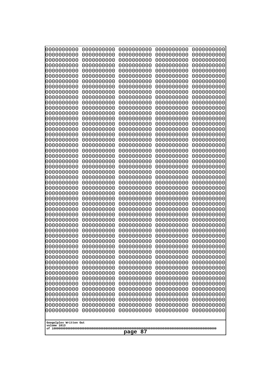| 000000000<br>0000000000               | 0000000000<br>0000000000 | 0000000000<br>0000000000 | 0000000000<br>0000000000 | 0000000000<br>0000000000 |
|---------------------------------------|--------------------------|--------------------------|--------------------------|--------------------------|
| 0000000000                            | 0000000000               | 0000000000               | 0000000000               | 0000000000               |
| 0000000000                            | 0000000000               | 0000000000               | 0000000000               | 0000000000               |
| 0000000000<br>0000000000              | 0000000000<br>0000000000 | 0000000000<br>0000000000 | 0000000000<br>0000000000 | 0000000000<br>0000000000 |
| 0000000000                            | 0000000000               | 0000000000               | 0000000000               | 0000000000               |
| 0000000000                            | 0000000000               | 0000000000               | 0000000000               | 0000000000               |
| 0000000000<br>0000000000              | 0000000000<br>0000000000 | 0000000000<br>0000000000 | 0000000000<br>0000000000 | 0000000000<br>0000000000 |
| 0000000000                            | 0000000000               | 0000000000               | 0000000000               | 0000000000               |
| 0000000000                            | 0000000000               | 0000000000               | 0000000000               | 0000000000               |
| 0000000000                            | 0000000000               | 0000000000               | 0000000000               | 0000000000               |
| 0000000000<br>0000000000              | 0000000000<br>0000000000 | 0000000000<br>0000000000 | 0000000000<br>0000000000 | 0000000000<br>0000000000 |
| 0000000000                            | 0000000000               | 0000000000               | 0000000000               | 0000000000               |
| 0000000000                            | 0000000000               | 0000000000               | 0000000000               | 0000000000               |
| 0000000000<br>0000000000              | 0000000000<br>0000000000 | 0000000000<br>0000000000 | 0000000000<br>0000000000 | 0000000000<br>0000000000 |
| 0000000000                            | 0000000000               | 0000000000               | 0000000000               | 0000000000               |
| 0000000000                            | 0000000000               | 0000000000               | 0000000000               | 0000000000               |
| 0000000000<br>0000000000              | 0000000000<br>0000000000 | 0000000000<br>0000000000 | 0000000000<br>0000000000 | 0000000000<br>0000000000 |
| 0000000000                            | 0000000000               | 0000000000               | 0000000000               | 0000000000               |
| 0000000000                            | 0000000000               | 0000000000               | 0000000000               | 0000000000               |
| 0000000000<br>0000000000              | 0000000000<br>0000000000 | 0000000000<br>0000000000 | 0000000000<br>0000000000 | 0000000000<br>0000000000 |
| 0000000000                            | 0000000000               | 0000000000               | 0000000000               | 0000000000               |
| 0000000000                            | 0000000000               | 0000000000               | 0000000000               | 0000000000               |
| 0000000000                            | 0000000000               | 0000000000               | 0000000000               | 0000000000               |
| 0000000000<br>0000000000              | 0000000000<br>0000000000 | 0000000000<br>0000000000 | 0000000000<br>0000000000 | 0000000000<br>0000000000 |
| 0000000000                            | 0000000000               | 0000000000               | 0000000000               | 0000000000               |
| 0000000000                            | 0000000000               | 0000000000               | 0000000000               | 0000000000               |
| 0000000000<br>0000000000              | 0000000000<br>0000000000 | 0000000000<br>0000000000 | 0000000000<br>0000000000 | 0000000000<br>0000000000 |
| 0000000000                            | 0000000000               | 0000000000               | 0000000000               | 0000000000               |
| 0000000000                            | 0000000000               | 0000000000               | 0000000000               | 0000000000               |
| 0000000000<br>0000000000              | 0000000000<br>0000000000 | 0000000000<br>0000000000 | 0000000000<br>0000000000 | 0000000000<br>0000000000 |
| 0000000000                            | 0000000000               | 0000000000               | 0000000000               | 0000000000               |
| 0000000000                            | 0000000000               | 0000000000               | 0000000000               | 0000000000               |
| 0000000000<br>0000000000              | 0000000000<br>0000000000 | 0000000000<br>0000000000 | 0000000000<br>0000000000 | 0000000000<br>0000000000 |
| 0000000000                            | 0000000000               | 0000000000               | 0000000000               | 0000000000               |
| 0000000000                            | 0000000000               | 0000000000               | 0000000000               | 0000000000               |
| 0000000000<br>0000000000              | 0000000000               | 0000000000               | 0000000000               | 0000000000               |
| 0000000000                            | 0000000000<br>0000000000 | 0000000000<br>0000000000 | 0000000000<br>0000000000 | 0000000000<br>0000000000 |
| 0000000000                            | 0000000000               | 0000000000               | 0000000000               | 0000000000               |
|                                       |                          |                          |                          |                          |
| Googolplex Written Out<br>volume 1013 |                          |                          |                          |                          |
| 87<br>page                            |                          |                          |                          |                          |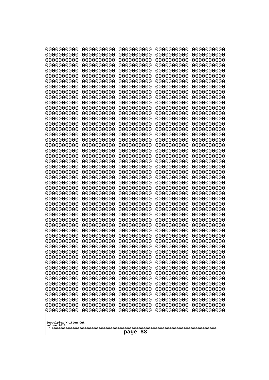| 0000000000                                          | 0000000000 | 0000000000 | 0000000000 | 0000000000 |
|-----------------------------------------------------|------------|------------|------------|------------|
| 0000000000                                          | 0000000000 | 0000000000 | 0000000000 | 0000000000 |
| 0000000000                                          | 0000000000 | 0000000000 | 0000000000 | 0000000000 |
| 0000000000                                          | 0000000000 | 0000000000 | 0000000000 | 0000000000 |
| 0000000000                                          | 0000000000 | 0000000000 | 0000000000 | 0000000000 |
| 0000000000                                          | 0000000000 | 0000000000 | 0000000000 | 0000000000 |
| 0000000000                                          | 0000000000 | 0000000000 | 0000000000 | 0000000000 |
| 0000000000                                          | 0000000000 | 0000000000 | 0000000000 | 0000000000 |
| 0000000000                                          | 0000000000 | 0000000000 | 0000000000 | 0000000000 |
| 0000000000                                          | 0000000000 | 0000000000 | 0000000000 | 0000000000 |
| 0000000000                                          | 0000000000 | 0000000000 | 0000000000 | 0000000000 |
| 0000000000                                          | 0000000000 | 0000000000 | 0000000000 | 0000000000 |
| 0000000000                                          | 0000000000 | 0000000000 | 0000000000 | 0000000000 |
| 0000000000                                          | 0000000000 | 0000000000 | 0000000000 | 0000000000 |
| 0000000000                                          | 0000000000 | 0000000000 | 0000000000 | 0000000000 |
| 0000000000                                          | 0000000000 | 0000000000 | 0000000000 | 0000000000 |
| 0000000000                                          | 0000000000 | 0000000000 | 0000000000 | 0000000000 |
| 0000000000                                          | 0000000000 | 0000000000 | 0000000000 | 0000000000 |
| 0000000000                                          | 0000000000 | 0000000000 | 0000000000 | 0000000000 |
| 0000000000                                          | 0000000000 | 0000000000 | 0000000000 | 0000000000 |
| 0000000000                                          | 0000000000 | 0000000000 | 0000000000 | 0000000000 |
| 0000000000                                          | 0000000000 | 0000000000 | 0000000000 | 0000000000 |
| 0000000000                                          | 0000000000 | 0000000000 | 0000000000 | 0000000000 |
| 0000000000                                          | 0000000000 | 0000000000 | 0000000000 | 0000000000 |
| 0000000000                                          | 0000000000 | 0000000000 | 0000000000 | 0000000000 |
| 0000000000                                          | 0000000000 | 0000000000 | 0000000000 | 0000000000 |
| 0000000000                                          | 0000000000 | 0000000000 | 0000000000 | 0000000000 |
| 0000000000                                          | 0000000000 | 0000000000 | 0000000000 | 0000000000 |
| 0000000000                                          | 0000000000 | 0000000000 | 0000000000 | 0000000000 |
| 0000000000                                          | 0000000000 | 0000000000 | 0000000000 | 0000000000 |
| 0000000000                                          | 0000000000 | 0000000000 | 0000000000 | 0000000000 |
| 0000000000                                          | 0000000000 | 0000000000 | 0000000000 | 0000000000 |
| 0000000000                                          | 0000000000 | 0000000000 | 0000000000 | 0000000000 |
| 0000000000                                          | 0000000000 | 0000000000 | 0000000000 | 0000000000 |
| 0000000000                                          | 0000000000 | 0000000000 | 0000000000 | 0000000000 |
| 0000000000                                          | 0000000000 | 0000000000 | 0000000000 | 0000000000 |
| 0000000000                                          | 0000000000 | 0000000000 | 0000000000 | 0000000000 |
| 0000000000                                          | 0000000000 | 0000000000 | 0000000000 | 0000000000 |
| 0000000000                                          | 0000000000 | 0000000000 | 0000000000 | 0000000000 |
| 0000000000                                          | 0000000000 | 0000000000 | 0000000000 | 0000000000 |
| 0000000000                                          | 0000000000 | 0000000000 | 0000000000 | 0000000000 |
| 0000000000                                          | 0000000000 | 0000000000 | 0000000000 | 0000000000 |
| 0000000000                                          | 0000000000 | 0000000000 | 0000000000 | 0000000000 |
| 0000000000                                          | 0000000000 | 0000000000 | 0000000000 | 0000000000 |
| 0000000000                                          | 0000000000 | 0000000000 | 0000000000 | 0000000000 |
| 0000000000                                          | 0000000000 | 0000000000 | 0000000000 | 0000000000 |
| 0000000000                                          | 0000000000 | 0000000000 | 0000000000 | 0000000000 |
| 0000000000                                          | 0000000000 | 0000000000 | 0000000000 | 0000000000 |
| 0000000000                                          | 0000000000 | 0000000000 | 0000000000 | 0000000000 |
| 0000000000<br>Googolplex Written Out<br>volume 1013 | 0000000000 | 0000000000 | 0000000000 | 0000000000 |
| page 88                                             |            |            |            |            |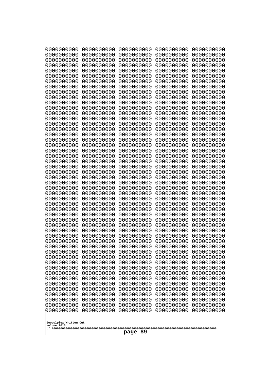| 0000000000                                       | 0000000000 | 0000000000 | 0000000000 | 0000000000 |
|--------------------------------------------------|------------|------------|------------|------------|
| 0000000000                                       | 0000000000 | 0000000000 | 0000000000 | 0000000000 |
| 0000000000                                       | 0000000000 | 0000000000 | 0000000000 | 0000000000 |
| 0000000000                                       | 0000000000 | 0000000000 | 0000000000 | 0000000000 |
| 0000000000                                       | 0000000000 | 0000000000 | 0000000000 | 0000000000 |
| 0000000000                                       | 0000000000 | 0000000000 | 0000000000 | 0000000000 |
| 0000000000                                       | 0000000000 | 0000000000 | 0000000000 | 0000000000 |
| 0000000000                                       | 0000000000 | 0000000000 | 0000000000 | 0000000000 |
| 0000000000                                       | 0000000000 | 0000000000 | 0000000000 | 0000000000 |
| 0000000000                                       | 0000000000 | 0000000000 | 0000000000 | 0000000000 |
| 0000000000                                       | 0000000000 | 0000000000 | 0000000000 | 0000000000 |
| 0000000000                                       | 0000000000 | 0000000000 | 0000000000 | 0000000000 |
| 0000000000                                       | 0000000000 | 0000000000 | 0000000000 | 0000000000 |
| 0000000000                                       | 0000000000 | 0000000000 | 0000000000 | 0000000000 |
| 0000000000                                       | 0000000000 | 0000000000 | 0000000000 | 0000000000 |
| 0000000000                                       | 0000000000 | 0000000000 | 0000000000 | 0000000000 |
| 0000000000                                       | 0000000000 | 0000000000 | 0000000000 | 0000000000 |
| 0000000000                                       | 0000000000 | 0000000000 | 0000000000 | 0000000000 |
| 0000000000                                       | 0000000000 | 0000000000 | 0000000000 | 0000000000 |
| 0000000000                                       | 0000000000 | 0000000000 | 0000000000 | 0000000000 |
| 0000000000                                       | 0000000000 | 0000000000 | 0000000000 | 0000000000 |
| 0000000000                                       | 0000000000 | 0000000000 | 0000000000 | 0000000000 |
| 0000000000                                       | 0000000000 | 0000000000 | 0000000000 | 0000000000 |
| 0000000000                                       | 0000000000 | 0000000000 | 0000000000 | 0000000000 |
| 0000000000                                       | 0000000000 | 0000000000 | 0000000000 | 0000000000 |
| 0000000000                                       | 0000000000 | 0000000000 | 0000000000 | 0000000000 |
| 0000000000                                       | 0000000000 | 0000000000 | 0000000000 | 0000000000 |
| 0000000000                                       | 0000000000 | 0000000000 | 0000000000 | 0000000000 |
| 0000000000                                       | 0000000000 | 0000000000 | 0000000000 | 0000000000 |
| 0000000000                                       | 0000000000 | 0000000000 | 0000000000 | 0000000000 |
| 0000000000                                       | 0000000000 | 0000000000 | 0000000000 | 0000000000 |
| 0000000000                                       | 0000000000 | 0000000000 | 0000000000 | 0000000000 |
| 0000000000                                       | 0000000000 | 0000000000 | 0000000000 | 0000000000 |
| 0000000000                                       | 0000000000 | 0000000000 | 0000000000 | 0000000000 |
| 0000000000                                       | 0000000000 | 0000000000 | 0000000000 | 0000000000 |
| 0000000000                                       | 0000000000 | 0000000000 | 0000000000 | 0000000000 |
| 0000000000                                       | 0000000000 | 0000000000 | 0000000000 | 0000000000 |
| 0000000000                                       | 0000000000 | 0000000000 | 0000000000 | 0000000000 |
| 0000000000                                       | 0000000000 | 0000000000 | 0000000000 | 0000000000 |
| 0000000000                                       | 0000000000 | 0000000000 | 0000000000 | 0000000000 |
| 0000000000                                       | 0000000000 | 0000000000 | 0000000000 | 0000000000 |
| 0000000000                                       | 0000000000 | 0000000000 | 0000000000 | 0000000000 |
| 0000000000                                       | 0000000000 | 0000000000 | 0000000000 | 0000000000 |
| 0000000000                                       | 0000000000 | 0000000000 | 0000000000 | 0000000000 |
| 0000000000                                       | 0000000000 | 0000000000 | 0000000000 | 0000000000 |
| 0000000000                                       | 0000000000 | 0000000000 | 0000000000 | 0000000000 |
| 0000000000                                       | 0000000000 | 0000000000 | 0000000000 | 0000000000 |
| 0000000000                                       | 0000000000 | 0000000000 | 0000000000 | 0000000000 |
| 0000000000                                       | 0000000000 | 0000000000 | 0000000000 | 0000000000 |
| 0000000000                                       | 0000000000 | 0000000000 | 0000000000 | 0000000000 |
| Googolplex Written Out<br>volume 1013<br>page 89 |            |            |            |            |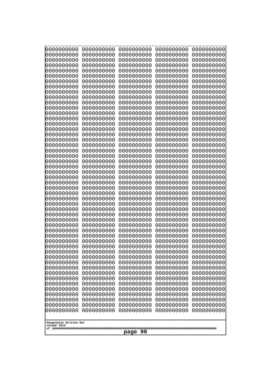| 000000000<br>0000000000  | 0000000000<br>0000000000 | 0000000000<br>0000000000 | 0000000000<br>0000000000 | 0000000000<br>0000000000 |
|--------------------------|--------------------------|--------------------------|--------------------------|--------------------------|
| 0000000000               | 0000000000               | 0000000000               | 0000000000               | 0000000000               |
| 0000000000               | 0000000000               | 0000000000               | 0000000000               | 0000000000               |
| 0000000000<br>0000000000 | 0000000000<br>0000000000 | 0000000000<br>0000000000 | 0000000000<br>0000000000 | 0000000000<br>0000000000 |
| 0000000000               | 0000000000               | 0000000000               | 0000000000               | 0000000000               |
| 0000000000               | 0000000000               | 0000000000               | 0000000000               | 0000000000               |
| 0000000000<br>0000000000 | 0000000000<br>0000000000 | 0000000000<br>0000000000 | 0000000000<br>0000000000 | 0000000000<br>0000000000 |
| 0000000000               | 0000000000               | 0000000000               | 0000000000               | 0000000000               |
| 0000000000               | 0000000000               | 0000000000               | 0000000000               | 0000000000               |
| 0000000000<br>0000000000 | 0000000000<br>0000000000 | 0000000000<br>0000000000 | 0000000000<br>0000000000 | 0000000000<br>0000000000 |
| 0000000000               | 0000000000               | 0000000000               | 0000000000               | 0000000000               |
| 0000000000               | 0000000000               | 0000000000               | 0000000000               | 0000000000               |
| 0000000000<br>0000000000 | 0000000000<br>0000000000 | 0000000000<br>0000000000 | 0000000000<br>0000000000 | 0000000000<br>0000000000 |
| 0000000000               | 0000000000               | 0000000000               | 0000000000               | 0000000000               |
| 0000000000               | 0000000000               | 0000000000               | 0000000000               | 0000000000               |
| 0000000000               | 0000000000               | 0000000000               | 0000000000               | 0000000000               |
| 0000000000<br>0000000000 | 0000000000<br>0000000000 | 0000000000<br>0000000000 | 0000000000<br>0000000000 | 0000000000<br>0000000000 |
| 0000000000               | 0000000000               | 0000000000               | 0000000000               | 0000000000               |
| 0000000000               | 0000000000               | 0000000000               | 0000000000               | 0000000000               |
| 0000000000<br>0000000000 | 0000000000<br>0000000000 | 0000000000<br>0000000000 | 0000000000<br>0000000000 | 0000000000<br>0000000000 |
| 0000000000               | 0000000000               | 0000000000               | 0000000000               | 0000000000               |
| 0000000000               | 0000000000               | 0000000000               | 0000000000               | 0000000000               |
| 0000000000<br>0000000000 | 0000000000<br>0000000000 | 0000000000<br>0000000000 | 0000000000<br>0000000000 | 0000000000<br>0000000000 |
| 0000000000               | 0000000000               | 0000000000               | 0000000000               | 0000000000               |
| 0000000000               | 0000000000               | 0000000000               | 0000000000               | 0000000000               |
| 0000000000<br>0000000000 | 0000000000<br>0000000000 | 0000000000<br>0000000000 | 0000000000<br>0000000000 | 0000000000<br>0000000000 |
| 0000000000               | 0000000000               | 0000000000               | 0000000000               | 0000000000               |
| 0000000000               | 0000000000               | 0000000000               | 0000000000               | 0000000000               |
| 0000000000<br>0000000000 | 0000000000<br>0000000000 | 0000000000<br>0000000000 | 0000000000<br>0000000000 | 0000000000<br>0000000000 |
| 0000000000               | 0000000000               | 0000000000               | 0000000000               | 0000000000               |
| 0000000000               | 0000000000               | 0000000000               | 0000000000               | 0000000000               |
| 0000000000<br>0000000000 | 0000000000<br>0000000000 | 0000000000<br>0000000000 | 0000000000<br>0000000000 | 0000000000<br>0000000000 |
| 0000000000               | 0000000000               | 0000000000               | 0000000000               | 0000000000               |
| 0000000000               | 0000000000               | 0000000000               | 0000000000               | 0000000000               |
| 0000000000               | 0000000000<br>0000000000 | 0000000000               | 0000000000               | 0000000000               |
| 0000000000<br>0000000000 | 0000000000               | 0000000000<br>0000000000 | 0000000000<br>0000000000 | 0000000000<br>0000000000 |
| 0000000000               | 0000000000               | 0000000000               | 0000000000               | 0000000000               |
| 0000000000               | 0000000000               | 0000000000               | 0000000000               | 0000000000               |
| Googolplex Written Out   |                          |                          |                          |                          |
| volume 1013              |                          |                          |                          |                          |
| page 90                  |                          |                          |                          |                          |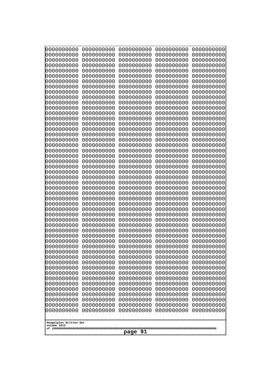| 000000000<br>0000000000               | 0000000000<br>0000000000 | 0000000000<br>0000000000 | 0000000000<br>0000000000 | 0000000000<br>0000000000 |
|---------------------------------------|--------------------------|--------------------------|--------------------------|--------------------------|
| 0000000000                            | 0000000000               | 0000000000               | 0000000000               | 0000000000               |
| 0000000000                            | 0000000000               | 0000000000               | 0000000000               | 0000000000               |
| 0000000000<br>0000000000              | 0000000000<br>0000000000 | 0000000000<br>0000000000 | 0000000000<br>0000000000 | 0000000000<br>0000000000 |
| 0000000000                            | 0000000000               | 0000000000               | 0000000000               | 0000000000               |
| 0000000000                            | 0000000000               | 0000000000               | 0000000000               | 0000000000               |
| 0000000000<br>0000000000              | 0000000000<br>0000000000 | 0000000000<br>0000000000 | 0000000000<br>0000000000 | 0000000000<br>0000000000 |
| 0000000000                            | 0000000000               | 0000000000               | 0000000000               | 0000000000               |
| 0000000000                            | 0000000000               | 0000000000               | 0000000000               | 0000000000               |
| 0000000000                            | 0000000000               | 0000000000               | 0000000000               | 0000000000               |
| 0000000000<br>0000000000              | 0000000000<br>0000000000 | 0000000000<br>0000000000 | 0000000000<br>0000000000 | 0000000000<br>0000000000 |
| 0000000000                            | 0000000000               | 0000000000               | 0000000000               | 0000000000               |
| 0000000000                            | 0000000000               | 0000000000               | 0000000000               | 0000000000               |
| 0000000000<br>0000000000              | 0000000000<br>0000000000 | 0000000000<br>0000000000 | 0000000000<br>0000000000 | 0000000000<br>0000000000 |
| 0000000000                            | 0000000000               | 0000000000               | 0000000000               | 0000000000               |
| 0000000000                            | 0000000000               | 0000000000               | 0000000000               | 0000000000               |
| 0000000000<br>0000000000              | 0000000000<br>0000000000 | 0000000000<br>0000000000 | 0000000000<br>0000000000 | 0000000000<br>0000000000 |
| 0000000000                            | 0000000000               | 0000000000               | 0000000000               | 0000000000               |
| 0000000000                            | 0000000000               | 0000000000               | 0000000000               | 0000000000               |
| 0000000000<br>0000000000              | 0000000000<br>0000000000 | 0000000000<br>0000000000 | 0000000000<br>0000000000 | 0000000000<br>0000000000 |
| 0000000000                            | 0000000000               | 0000000000               | 0000000000               | 0000000000               |
| 0000000000                            | 0000000000               | 0000000000               | 0000000000               | 0000000000               |
| 0000000000                            | 0000000000               | 0000000000               | 0000000000               | 0000000000               |
| 0000000000<br>0000000000              | 0000000000<br>0000000000 | 0000000000<br>0000000000 | 0000000000<br>0000000000 | 0000000000<br>0000000000 |
| 0000000000                            | 0000000000               | 0000000000               | 0000000000               | 0000000000               |
| 0000000000                            | 0000000000               | 0000000000               | 0000000000               | 0000000000               |
| 0000000000<br>0000000000              | 0000000000<br>0000000000 | 0000000000<br>0000000000 | 0000000000<br>0000000000 | 0000000000<br>0000000000 |
| 0000000000                            | 0000000000               | 0000000000               | 0000000000               | 0000000000               |
| 0000000000                            | 0000000000               | 0000000000               | 0000000000               | 0000000000               |
| 0000000000<br>0000000000              | 0000000000<br>0000000000 | 0000000000<br>0000000000 | 0000000000<br>0000000000 | 0000000000<br>0000000000 |
| 0000000000                            | 0000000000               | 0000000000               | 0000000000               | 0000000000               |
| 0000000000                            | 0000000000               | 0000000000               | 0000000000               | 0000000000               |
| 0000000000<br>0000000000              | 0000000000<br>0000000000 | 0000000000<br>0000000000 | 0000000000<br>0000000000 | 0000000000<br>0000000000 |
| 0000000000                            | 0000000000               | 0000000000               | 0000000000               | 0000000000               |
| 0000000000                            | 0000000000               | 0000000000               | 0000000000               | 0000000000               |
| 0000000000                            | 0000000000               | 0000000000               | 0000000000               | 0000000000               |
| 0000000000<br>0000000000              | 0000000000<br>0000000000 | 0000000000<br>0000000000 | 0000000000<br>0000000000 | 0000000000<br>0000000000 |
| 0000000000                            | 0000000000               | 0000000000               | 0000000000               | 0000000000               |
|                                       |                          |                          |                          |                          |
| Googolplex Written Out<br>volume 1013 |                          |                          |                          |                          |
| page 91                               |                          |                          |                          |                          |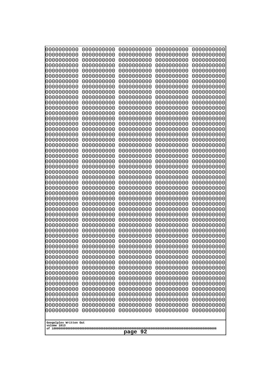| 000000000<br>0000000000               | 0000000000<br>0000000000 | 0000000000<br>0000000000 | 0000000000<br>0000000000 | 0000000000<br>0000000000 |
|---------------------------------------|--------------------------|--------------------------|--------------------------|--------------------------|
| 0000000000                            | 0000000000               | 0000000000               | 0000000000               | 0000000000               |
| 0000000000                            | 0000000000               | 0000000000               | 0000000000               | 0000000000               |
| 0000000000<br>0000000000              | 0000000000<br>0000000000 | 0000000000<br>0000000000 | 0000000000<br>0000000000 | 0000000000<br>0000000000 |
| 0000000000                            | 0000000000               | 0000000000               | 0000000000               | 0000000000               |
| 0000000000                            | 0000000000               | 0000000000               | 0000000000               | 0000000000               |
| 0000000000<br>0000000000              | 0000000000<br>0000000000 | 0000000000<br>0000000000 | 0000000000<br>0000000000 | 0000000000<br>0000000000 |
| 0000000000                            | 0000000000               | 0000000000               | 0000000000               | 0000000000               |
| 0000000000                            | 0000000000               | 0000000000               | 0000000000               | 0000000000               |
| 0000000000<br>0000000000              | 0000000000<br>0000000000 | 0000000000<br>0000000000 | 0000000000<br>0000000000 | 0000000000<br>0000000000 |
| 0000000000                            | 0000000000               | 0000000000               | 0000000000               | 0000000000               |
| 0000000000                            | 0000000000               | 0000000000               | 0000000000               | 0000000000               |
| 0000000000<br>0000000000              | 0000000000<br>0000000000 | 0000000000<br>0000000000 | 0000000000<br>0000000000 | 0000000000<br>0000000000 |
| 0000000000                            | 0000000000               | 0000000000               | 0000000000               | 0000000000               |
| 0000000000                            | 0000000000               | 0000000000               | 0000000000               | 0000000000               |
| 0000000000<br>0000000000              | 0000000000<br>0000000000 | 0000000000<br>0000000000 | 0000000000<br>0000000000 | 0000000000<br>0000000000 |
| 0000000000                            | 0000000000               | 0000000000               | 0000000000               | 0000000000               |
| 0000000000                            | 0000000000               | 0000000000               | 0000000000               | 0000000000               |
| 0000000000<br>0000000000              | 0000000000<br>0000000000 | 0000000000<br>0000000000 | 0000000000<br>0000000000 | 0000000000<br>0000000000 |
| 0000000000                            | 0000000000               | 0000000000               | 0000000000               | 0000000000               |
| 0000000000                            | 0000000000               | 0000000000               | 0000000000               | 0000000000               |
| 0000000000<br>0000000000              | 0000000000<br>0000000000 | 0000000000<br>0000000000 | 0000000000<br>0000000000 | 0000000000<br>0000000000 |
| 0000000000                            | 0000000000               | 0000000000               | 0000000000               | 0000000000               |
| 0000000000                            | 0000000000               | 0000000000               | 0000000000               | 0000000000               |
| 0000000000<br>0000000000              | 0000000000<br>0000000000 | 0000000000<br>0000000000 | 0000000000<br>0000000000 | 0000000000<br>0000000000 |
| 0000000000                            | 0000000000               | 0000000000               | 0000000000               | 0000000000               |
| 0000000000                            | 0000000000               | 0000000000<br>0000000000 | 0000000000               | 0000000000               |
| 0000000000<br>0000000000              | 0000000000<br>0000000000 | 0000000000               | 0000000000<br>0000000000 | 0000000000<br>0000000000 |
| 0000000000                            | 0000000000               | 0000000000               | 0000000000               | 0000000000               |
| 0000000000                            | 0000000000               | 0000000000               | 0000000000               | 0000000000               |
| 0000000000<br>0000000000              | 0000000000<br>0000000000 | 0000000000<br>0000000000 | 0000000000<br>0000000000 | 0000000000<br>0000000000 |
| 0000000000                            | 0000000000               | 0000000000               | 0000000000               | 0000000000               |
| 0000000000                            | 0000000000               | 0000000000               | 0000000000               | 0000000000               |
| 0000000000<br>0000000000              | 0000000000<br>0000000000 | 0000000000<br>0000000000 | 0000000000<br>0000000000 | 0000000000<br>0000000000 |
| 0000000000                            | 0000000000               | 0000000000               | 0000000000               | 0000000000               |
| 0000000000                            | 0000000000               | 0000000000               | 0000000000               | 0000000000               |
| 0000000000<br>0000000000              | 0000000000<br>0000000000 | 0000000000<br>0000000000 | 0000000000<br>0000000000 | 0000000000<br>0000000000 |
|                                       |                          |                          |                          |                          |
| Googolplex Written Out<br>volume 1013 |                          |                          |                          |                          |
| page 92                               |                          |                          |                          |                          |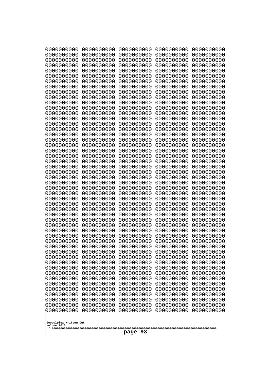| 000000000<br>0000000000               | 0000000000<br>0000000000 | 0000000000<br>0000000000 | 0000000000<br>0000000000 | 0000000000<br>0000000000 |  |
|---------------------------------------|--------------------------|--------------------------|--------------------------|--------------------------|--|
| 0000000000                            | 0000000000               | 0000000000               | 0000000000               | 0000000000               |  |
| 0000000000                            | 0000000000               | 0000000000               | 0000000000               | 0000000000               |  |
| 0000000000<br>0000000000              | 0000000000<br>0000000000 | 0000000000<br>0000000000 | 0000000000<br>0000000000 | 0000000000<br>0000000000 |  |
| 0000000000                            | 0000000000               | 0000000000               | 0000000000               | 0000000000               |  |
| 0000000000                            | 0000000000               | 0000000000               | 0000000000               | 0000000000               |  |
| 0000000000<br>0000000000              | 0000000000<br>0000000000 | 0000000000<br>0000000000 | 0000000000<br>0000000000 | 0000000000<br>0000000000 |  |
| 0000000000                            | 0000000000               | 0000000000               | 0000000000               | 0000000000               |  |
| 0000000000                            | 0000000000               | 0000000000               | 0000000000               | 0000000000               |  |
| 0000000000                            | 0000000000               | 0000000000               | 0000000000               | 0000000000               |  |
| 0000000000<br>0000000000              | 0000000000<br>0000000000 | 0000000000<br>0000000000 | 0000000000<br>0000000000 | 0000000000<br>0000000000 |  |
| 0000000000                            | 0000000000               | 0000000000               | 0000000000               | 0000000000               |  |
| 0000000000                            | 0000000000               | 0000000000               | 0000000000               | 0000000000               |  |
| 0000000000<br>0000000000              | 0000000000<br>0000000000 | 0000000000<br>0000000000 | 0000000000<br>0000000000 | 0000000000<br>0000000000 |  |
| 0000000000                            | 0000000000               | 0000000000               | 0000000000               | 0000000000               |  |
| 0000000000                            | 0000000000               | 0000000000               | 0000000000               | 0000000000               |  |
| 0000000000<br>0000000000              | 0000000000<br>0000000000 | 0000000000<br>0000000000 | 0000000000<br>0000000000 | 0000000000<br>0000000000 |  |
| 0000000000                            | 0000000000               | 0000000000               | 0000000000               | 0000000000               |  |
| 0000000000                            | 0000000000               | 0000000000               | 0000000000               | 0000000000               |  |
| 0000000000                            | 0000000000               | 0000000000               | 0000000000               | 0000000000               |  |
| 0000000000<br>0000000000              | 0000000000<br>0000000000 | 0000000000<br>0000000000 | 0000000000<br>0000000000 | 0000000000<br>0000000000 |  |
| 0000000000                            | 0000000000               | 0000000000               | 0000000000               | 0000000000               |  |
| 0000000000                            | 0000000000               | 0000000000               | 0000000000               | 0000000000               |  |
| 0000000000<br>0000000000              | 0000000000<br>0000000000 | 0000000000<br>0000000000 | 0000000000<br>0000000000 | 0000000000<br>0000000000 |  |
| 0000000000                            | 0000000000               | 0000000000               | 0000000000               | 0000000000               |  |
| 0000000000                            | 0000000000               | 0000000000               | 0000000000               | 0000000000               |  |
| 0000000000<br>0000000000              | 0000000000<br>0000000000 | 0000000000<br>0000000000 | 0000000000<br>0000000000 | 0000000000<br>0000000000 |  |
| 0000000000                            | 0000000000               | 0000000000               | 0000000000               | 0000000000               |  |
| 0000000000                            | 0000000000               | 0000000000               | 0000000000               | 0000000000               |  |
| 0000000000<br>0000000000              | 0000000000               | 0000000000<br>0000000000 | 0000000000               | 0000000000               |  |
| 0000000000                            | 0000000000<br>0000000000 | 0000000000               | 0000000000<br>0000000000 | 0000000000<br>0000000000 |  |
| 0000000000                            | 0000000000               | 0000000000               | 0000000000               | 0000000000               |  |
| 0000000000                            | 0000000000               | 0000000000               | 0000000000               | 0000000000               |  |
| 0000000000<br>0000000000              | 0000000000<br>0000000000 | 0000000000<br>0000000000 | 0000000000<br>0000000000 | 0000000000<br>0000000000 |  |
| 0000000000                            | 0000000000               | 0000000000               | 0000000000               | 0000000000               |  |
| 0000000000                            | 0000000000               | 0000000000               | 0000000000               | 0000000000               |  |
| 0000000000<br>0000000000              | 0000000000<br>0000000000 | 0000000000<br>0000000000 | 0000000000<br>0000000000 | 0000000000<br>0000000000 |  |
| 0000000000                            | 0000000000               | 0000000000               | 0000000000               | 0000000000               |  |
|                                       |                          |                          |                          |                          |  |
| Googolplex Written Out<br>volume 1013 |                          |                          |                          |                          |  |
|                                       | page 93                  |                          |                          |                          |  |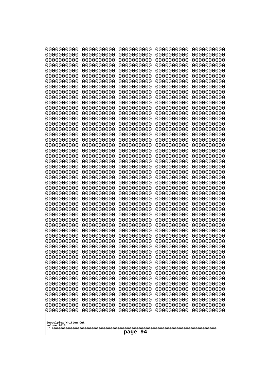| 0000000000                                       | 0000000000 | 0000000000 | 0000000000 | 0000000000 |
|--------------------------------------------------|------------|------------|------------|------------|
| 0000000000                                       | 0000000000 | 0000000000 | 0000000000 | 0000000000 |
| 0000000000                                       | 0000000000 | 0000000000 | 0000000000 | 0000000000 |
| 0000000000                                       | 0000000000 | 0000000000 | 0000000000 | 0000000000 |
| 0000000000                                       | 0000000000 | 0000000000 | 0000000000 | 0000000000 |
| 0000000000                                       | 0000000000 | 0000000000 | 0000000000 | 0000000000 |
| 0000000000                                       | 0000000000 | 0000000000 | 0000000000 | 0000000000 |
| 0000000000                                       | 0000000000 | 0000000000 | 0000000000 | 0000000000 |
| 0000000000                                       | 0000000000 | 0000000000 | 0000000000 | 0000000000 |
| 0000000000                                       | 0000000000 | 0000000000 | 0000000000 | 0000000000 |
| 0000000000                                       | 0000000000 | 0000000000 | 0000000000 | 0000000000 |
| 0000000000                                       | 0000000000 | 0000000000 | 0000000000 | 0000000000 |
| 0000000000                                       | 0000000000 | 0000000000 | 0000000000 | 0000000000 |
| 0000000000                                       | 0000000000 | 0000000000 | 0000000000 | 0000000000 |
| 0000000000                                       | 0000000000 | 0000000000 | 0000000000 | 0000000000 |
| 0000000000                                       | 0000000000 | 0000000000 | 0000000000 | 0000000000 |
| 0000000000                                       | 0000000000 | 0000000000 | 0000000000 | 0000000000 |
| 0000000000                                       | 0000000000 | 0000000000 | 0000000000 | 0000000000 |
| 0000000000                                       | 0000000000 | 0000000000 | 0000000000 | 0000000000 |
| 0000000000                                       | 0000000000 | 0000000000 | 0000000000 | 0000000000 |
| 0000000000                                       | 0000000000 | 0000000000 | 0000000000 | 0000000000 |
| 0000000000                                       | 0000000000 | 0000000000 | 0000000000 | 0000000000 |
| 0000000000                                       | 0000000000 | 0000000000 | 0000000000 | 0000000000 |
| 0000000000                                       | 0000000000 | 0000000000 | 0000000000 | 0000000000 |
| 0000000000                                       | 0000000000 | 0000000000 | 0000000000 | 0000000000 |
| 0000000000                                       | 0000000000 | 0000000000 | 0000000000 | 0000000000 |
| 0000000000                                       | 0000000000 | 0000000000 | 0000000000 | 0000000000 |
| 0000000000                                       | 0000000000 | 0000000000 | 0000000000 | 0000000000 |
| 0000000000                                       | 0000000000 | 0000000000 | 0000000000 | 0000000000 |
| 0000000000                                       | 0000000000 | 0000000000 | 0000000000 | 0000000000 |
| 0000000000                                       | 0000000000 | 0000000000 | 0000000000 | 0000000000 |
| 0000000000                                       | 0000000000 | 0000000000 | 0000000000 | 0000000000 |
| 0000000000                                       | 0000000000 | 0000000000 | 0000000000 | 0000000000 |
| 0000000000                                       | 0000000000 | 0000000000 | 0000000000 | 0000000000 |
| 0000000000                                       | 0000000000 | 0000000000 | 0000000000 | 0000000000 |
| 0000000000                                       | 0000000000 | 0000000000 | 0000000000 | 0000000000 |
| 0000000000                                       | 0000000000 | 0000000000 | 0000000000 | 0000000000 |
| 0000000000                                       | 0000000000 | 0000000000 | 0000000000 | 0000000000 |
| 0000000000                                       | 0000000000 | 0000000000 | 0000000000 | 0000000000 |
| 0000000000                                       | 0000000000 | 0000000000 | 0000000000 | 0000000000 |
| 0000000000                                       | 0000000000 | 0000000000 | 0000000000 | 0000000000 |
| 0000000000                                       | 0000000000 | 0000000000 | 0000000000 | 0000000000 |
| 0000000000                                       | 0000000000 | 0000000000 | 0000000000 | 0000000000 |
| 0000000000                                       | 0000000000 | 0000000000 | 0000000000 | 0000000000 |
|                                                  |            |            |            |            |
| 0000000000                                       | 0000000000 | 0000000000 | 0000000000 | 0000000000 |
| 0000000000                                       | 0000000000 | 0000000000 | 0000000000 | 0000000000 |
| 0000000000                                       | 0000000000 | 0000000000 | 0000000000 | 0000000000 |
| 0000000000                                       | 0000000000 | 0000000000 | 0000000000 | 0000000000 |
| 0000000000                                       | 0000000000 | 0000000000 | 0000000000 | 0000000000 |
| 0000000000                                       | 0000000000 | 0000000000 | 0000000000 | 0000000000 |
| Googolplex Written Out<br>volume 1013<br>page 94 |            |            |            |            |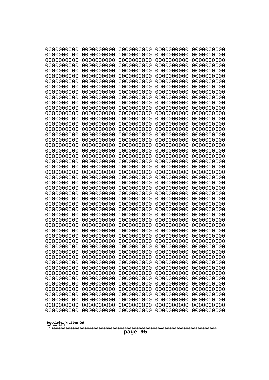| 0000000000<br>0000000000<br>0000000000<br>0000000000<br>0000000000<br>0000000000<br>0000000000<br>0000000000<br>0000000000<br>0000000000<br>0000000000<br>0000000000<br>0000000000<br>0000000000<br>0000000000<br>0000000000<br>0000000000<br>0000000000<br>0000000000<br>0000000000<br>0000000000<br>0000000000<br>0000000000<br>0000000000<br>0000000000<br>0000000000<br>0000000000<br>0000000000<br>0000000000<br>0000000000<br>0000000000<br>0000000000<br>0000000000<br>0000000000<br>0000000000<br>0000000000<br>0000000000<br>10000000000<br>0000000000<br>0000000000<br>0000000000<br>0000000000<br>0000000000<br>0000000000<br>0000000000<br>0000000000<br>0000000000<br>0000000000<br>0000000000<br>0000000000 | 0000000000<br>0000000000<br>0000000000<br>0000000000<br>0000000000<br>0000000000<br>0000000000<br>0000000000<br>0000000000<br>0000000000<br>0000000000<br>0000000000<br>0000000000<br>0000000000<br>0000000000<br>0000000000<br>0000000000<br>0000000000<br>0000000000<br>0000000000<br>0000000000<br>0000000000<br>0000000000<br>0000000000<br>0000000000<br>0000000000<br>0000000000<br>0000000000<br>0000000000<br>0000000000<br>0000000000<br>0000000000<br>0000000000<br>0000000000<br>0000000000<br>0000000000<br>0000000000<br>0000000000<br>0000000000<br>0000000000<br>0000000000<br>0000000000<br>0000000000<br>0000000000<br>0000000000<br>0000000000<br>0000000000<br>0000000000<br>0000000000<br>0000000000 | 0000000000<br>0000000000<br>0000000000<br>0000000000<br>0000000000<br>0000000000<br>0000000000<br>0000000000<br>0000000000<br>0000000000<br>0000000000<br>0000000000<br>0000000000<br>0000000000<br>0000000000<br>0000000000<br>0000000000<br>0000000000<br>0000000000<br>0000000000<br>0000000000<br>0000000000<br>0000000000<br>0000000000<br>0000000000<br>0000000000<br>0000000000<br>0000000000<br>0000000000<br>0000000000<br>0000000000<br>0000000000<br>0000000000<br>0000000000<br>0000000000<br>0000000000<br>0000000000<br>0000000000<br>0000000000<br>0000000000<br>0000000000<br>0000000000<br>0000000000<br>0000000000<br>0000000000<br>0000000000<br>0000000000<br>0000000000<br>0000000000<br>0000000000 | 0000000000<br>0000000000<br>0000000000<br>0000000000<br>0000000000<br>0000000000<br>0000000000<br>0000000000<br>0000000000<br>0000000000<br>0000000000<br>0000000000<br>0000000000<br>0000000000<br>0000000000<br>0000000000<br>0000000000<br>0000000000<br>0000000000<br>0000000000<br>0000000000<br>0000000000<br>0000000000<br>0000000000<br>0000000000<br>0000000000<br>0000000000<br>0000000000<br>0000000000<br>0000000000<br>0000000000<br>0000000000<br>0000000000<br>0000000000<br>0000000000<br>0000000000<br>0000000000<br>0000000000<br>0000000000<br>0000000000<br>0000000000<br>0000000000<br>0000000000<br>0000000000<br>0000000000<br>0000000000<br>0000000000<br>0000000000<br>0000000000<br>0000000000 | 0000000000<br>0000000000<br>0000000000<br>0000000000<br>0000000000<br>0000000000<br>0000000000<br>0000000000<br>0000000000<br>0000000000<br>0000000000<br>0000000000<br>0000000000<br>0000000000<br>0000000000<br>0000000000<br>0000000000<br>0000000000<br>0000000000<br>0000000000<br>0000000000<br>0000000000<br>0000000000<br>0000000000<br>0000000000<br>0000000000<br>0000000000<br>0000000000<br>0000000000<br>0000000000<br>0000000000<br>0000000000<br>0000000000<br>0000000000<br>0000000000<br>0000000000<br>0000000000<br>0000000000<br>0000000000<br>0000000000<br>0000000000<br>0000000000<br>0000000000<br>0000000000<br>0000000000<br>0000000000<br>0000000000<br>0000000000<br>0000000000<br>0000000000 |
|---------------------------------------------------------------------------------------------------------------------------------------------------------------------------------------------------------------------------------------------------------------------------------------------------------------------------------------------------------------------------------------------------------------------------------------------------------------------------------------------------------------------------------------------------------------------------------------------------------------------------------------------------------------------------------------------------------------------------|--------------------------------------------------------------------------------------------------------------------------------------------------------------------------------------------------------------------------------------------------------------------------------------------------------------------------------------------------------------------------------------------------------------------------------------------------------------------------------------------------------------------------------------------------------------------------------------------------------------------------------------------------------------------------------------------------------------------------|--------------------------------------------------------------------------------------------------------------------------------------------------------------------------------------------------------------------------------------------------------------------------------------------------------------------------------------------------------------------------------------------------------------------------------------------------------------------------------------------------------------------------------------------------------------------------------------------------------------------------------------------------------------------------------------------------------------------------|--------------------------------------------------------------------------------------------------------------------------------------------------------------------------------------------------------------------------------------------------------------------------------------------------------------------------------------------------------------------------------------------------------------------------------------------------------------------------------------------------------------------------------------------------------------------------------------------------------------------------------------------------------------------------------------------------------------------------|--------------------------------------------------------------------------------------------------------------------------------------------------------------------------------------------------------------------------------------------------------------------------------------------------------------------------------------------------------------------------------------------------------------------------------------------------------------------------------------------------------------------------------------------------------------------------------------------------------------------------------------------------------------------------------------------------------------------------|
| Googolplex Written Out                                                                                                                                                                                                                                                                                                                                                                                                                                                                                                                                                                                                                                                                                                    |                                                                                                                                                                                                                                                                                                                                                                                                                                                                                                                                                                                                                                                                                                                          |                                                                                                                                                                                                                                                                                                                                                                                                                                                                                                                                                                                                                                                                                                                          |                                                                                                                                                                                                                                                                                                                                                                                                                                                                                                                                                                                                                                                                                                                          |                                                                                                                                                                                                                                                                                                                                                                                                                                                                                                                                                                                                                                                                                                                          |
| volume 1013<br>95<br>page                                                                                                                                                                                                                                                                                                                                                                                                                                                                                                                                                                                                                                                                                                 |                                                                                                                                                                                                                                                                                                                                                                                                                                                                                                                                                                                                                                                                                                                          |                                                                                                                                                                                                                                                                                                                                                                                                                                                                                                                                                                                                                                                                                                                          |                                                                                                                                                                                                                                                                                                                                                                                                                                                                                                                                                                                                                                                                                                                          |                                                                                                                                                                                                                                                                                                                                                                                                                                                                                                                                                                                                                                                                                                                          |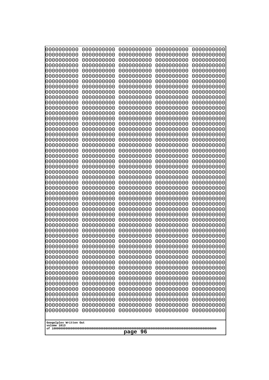| 0000000000<br>0000000000<br>0000000000<br>0000000000<br>0000000000<br>0000000000<br>0000000000<br>0000000000<br>0000000000<br>0000000000<br>0000000000<br>0000000000<br>0000000000<br>0000000000<br>0000000000<br>0000000000<br>0000000000<br>0000000000<br>0000000000<br>0000000000<br>0000000000<br>0000000000<br>0000000000<br>0000000000<br>0000000000<br>0000000000<br>0000000000<br>0000000000<br>0000000000<br>0000000000<br>0000000000<br>0000000000<br>0000000000<br>0000000000<br>0000000000<br>0000000000<br>0000000000<br>0000000000<br>0000000000<br>0000000000<br>0000000000<br>0000000000<br>0000000000<br>0000000000 | 0000000000<br>0000000000<br>0000000000<br>0000000000<br>0000000000<br>0000000000<br>0000000000<br>0000000000<br>0000000000<br>0000000000<br>0000000000<br>0000000000<br>0000000000<br>0000000000<br>0000000000<br>0000000000<br>0000000000<br>0000000000<br>0000000000<br>0000000000<br>0000000000<br>0000000000<br>0000000000<br>0000000000<br>0000000000<br>0000000000<br>0000000000<br>0000000000<br>0000000000<br>0000000000<br>0000000000<br>0000000000<br>0000000000<br>0000000000<br>0000000000<br>0000000000<br>0000000000<br>0000000000<br>0000000000<br>0000000000<br>0000000000<br>0000000000<br>0000000000<br>0000000000 | 0000000000<br>0000000000<br>0000000000<br>0000000000<br>0000000000<br>0000000000<br>0000000000<br>0000000000<br>0000000000<br>0000000000<br>0000000000<br>0000000000<br>0000000000<br>0000000000<br>0000000000<br>0000000000<br>0000000000<br>0000000000<br>0000000000<br>0000000000<br>0000000000<br>0000000000<br>0000000000<br>0000000000<br>0000000000<br>0000000000<br>0000000000<br>0000000000<br>0000000000<br>0000000000<br>0000000000<br>0000000000<br>0000000000<br>0000000000<br>0000000000<br>0000000000<br>0000000000<br>0000000000<br>0000000000<br>0000000000<br>0000000000<br>0000000000<br>0000000000<br>0000000000 | 0000000000<br>0000000000<br>0000000000<br>0000000000<br>0000000000<br>0000000000<br>0000000000<br>0000000000<br>0000000000<br>0000000000<br>0000000000<br>0000000000<br>0000000000<br>0000000000<br>0000000000<br>0000000000<br>0000000000<br>0000000000<br>0000000000<br>0000000000<br>0000000000<br>0000000000<br>0000000000<br>0000000000<br>0000000000<br>0000000000<br>0000000000<br>0000000000<br>0000000000<br>0000000000<br>0000000000<br>0000000000<br>0000000000<br>0000000000<br>0000000000<br>0000000000<br>0000000000<br>0000000000<br>0000000000<br>0000000000<br>0000000000<br>0000000000<br>0000000000<br>0000000000 | 0000000000<br>0000000000<br>0000000000<br>0000000000<br>0000000000<br>0000000000<br>0000000000<br>0000000000<br>0000000000<br>0000000000<br>0000000000<br>0000000000<br>0000000000<br>0000000000<br>0000000000<br>0000000000<br>0000000000<br>0000000000<br>0000000000<br>0000000000<br>0000000000<br>0000000000<br>0000000000<br>0000000000<br>0000000000<br>0000000000<br>0000000000<br>0000000000<br>0000000000<br>0000000000<br>0000000000<br>0000000000<br>0000000000<br>0000000000<br>0000000000<br>0000000000<br>0000000000<br>0000000000<br>0000000000<br>0000000000<br>0000000000<br>0000000000<br>0000000000 |
|--------------------------------------------------------------------------------------------------------------------------------------------------------------------------------------------------------------------------------------------------------------------------------------------------------------------------------------------------------------------------------------------------------------------------------------------------------------------------------------------------------------------------------------------------------------------------------------------------------------------------------------|--------------------------------------------------------------------------------------------------------------------------------------------------------------------------------------------------------------------------------------------------------------------------------------------------------------------------------------------------------------------------------------------------------------------------------------------------------------------------------------------------------------------------------------------------------------------------------------------------------------------------------------|--------------------------------------------------------------------------------------------------------------------------------------------------------------------------------------------------------------------------------------------------------------------------------------------------------------------------------------------------------------------------------------------------------------------------------------------------------------------------------------------------------------------------------------------------------------------------------------------------------------------------------------|--------------------------------------------------------------------------------------------------------------------------------------------------------------------------------------------------------------------------------------------------------------------------------------------------------------------------------------------------------------------------------------------------------------------------------------------------------------------------------------------------------------------------------------------------------------------------------------------------------------------------------------|------------------------------------------------------------------------------------------------------------------------------------------------------------------------------------------------------------------------------------------------------------------------------------------------------------------------------------------------------------------------------------------------------------------------------------------------------------------------------------------------------------------------------------------------------------------------------------------------------------------------|
|                                                                                                                                                                                                                                                                                                                                                                                                                                                                                                                                                                                                                                      |                                                                                                                                                                                                                                                                                                                                                                                                                                                                                                                                                                                                                                      |                                                                                                                                                                                                                                                                                                                                                                                                                                                                                                                                                                                                                                      |                                                                                                                                                                                                                                                                                                                                                                                                                                                                                                                                                                                                                                      | 0000000000                                                                                                                                                                                                                                                                                                                                                                                                                                                                                                                                                                                                             |
| 0000000000<br>0000000000<br>0000000000<br>0000000000<br>0000000000<br>0000000000                                                                                                                                                                                                                                                                                                                                                                                                                                                                                                                                                     | 0000000000<br>0000000000<br>0000000000<br>0000000000<br>0000000000<br>0000000000                                                                                                                                                                                                                                                                                                                                                                                                                                                                                                                                                     | 0000000000<br>0000000000<br>0000000000<br>0000000000<br>0000000000<br>0000000000                                                                                                                                                                                                                                                                                                                                                                                                                                                                                                                                                     | 0000000000<br>0000000000<br>0000000000<br>0000000000<br>0000000000<br>0000000000                                                                                                                                                                                                                                                                                                                                                                                                                                                                                                                                                     | 0000000000<br>0000000000<br>0000000000<br>0000000000<br>0000000000<br>0000000000                                                                                                                                                                                                                                                                                                                                                                                                                                                                                                                                       |
| Googolplex Written Out<br>volume 1013<br>page 96                                                                                                                                                                                                                                                                                                                                                                                                                                                                                                                                                                                     |                                                                                                                                                                                                                                                                                                                                                                                                                                                                                                                                                                                                                                      |                                                                                                                                                                                                                                                                                                                                                                                                                                                                                                                                                                                                                                      |                                                                                                                                                                                                                                                                                                                                                                                                                                                                                                                                                                                                                                      |                                                                                                                                                                                                                                                                                                                                                                                                                                                                                                                                                                                                                        |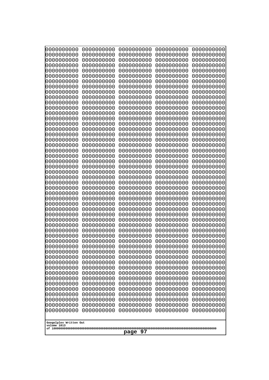| 000000000                             | 0000000000 | 0000000000 | 0000000000 | 0000000000 |
|---------------------------------------|------------|------------|------------|------------|
| 0000000000                            | 0000000000 | 0000000000 | 0000000000 | 0000000000 |
| 0000000000                            | 0000000000 | 0000000000 | 0000000000 | 0000000000 |
| 0000000000                            | 0000000000 | 0000000000 | 0000000000 | 0000000000 |
| 0000000000                            | 0000000000 | 0000000000 | 0000000000 | 0000000000 |
| 0000000000                            | 0000000000 | 0000000000 | 0000000000 | 0000000000 |
| 0000000000                            | 0000000000 | 0000000000 | 0000000000 | 0000000000 |
| 0000000000                            | 0000000000 | 0000000000 | 0000000000 | 0000000000 |
| 0000000000                            | 0000000000 | 0000000000 | 0000000000 | 0000000000 |
| 0000000000                            | 0000000000 | 0000000000 | 0000000000 | 0000000000 |
| 0000000000                            | 0000000000 | 0000000000 | 0000000000 | 0000000000 |
| 0000000000                            | 0000000000 | 0000000000 | 0000000000 | 0000000000 |
| 0000000000                            | 0000000000 | 0000000000 | 0000000000 | 0000000000 |
| 0000000000                            | 0000000000 | 0000000000 | 0000000000 | 0000000000 |
| 0000000000                            | 0000000000 | 0000000000 | 0000000000 | 0000000000 |
| 0000000000                            | 0000000000 | 0000000000 | 0000000000 | 0000000000 |
| 0000000000                            | 0000000000 | 0000000000 | 0000000000 | 0000000000 |
| 0000000000                            | 0000000000 | 0000000000 | 0000000000 | 0000000000 |
| 0000000000                            | 0000000000 | 0000000000 | 0000000000 | 0000000000 |
| 0000000000                            | 0000000000 | 0000000000 | 0000000000 | 0000000000 |
| 0000000000                            | 0000000000 | 0000000000 | 0000000000 | 0000000000 |
| 0000000000                            | 0000000000 | 0000000000 | 0000000000 | 0000000000 |
| 0000000000                            | 0000000000 | 0000000000 | 0000000000 | 0000000000 |
| 0000000000                            | 0000000000 | 0000000000 | 0000000000 | 0000000000 |
| 0000000000                            | 0000000000 | 0000000000 | 0000000000 | 0000000000 |
| 0000000000                            | 0000000000 | 0000000000 | 0000000000 | 0000000000 |
| 0000000000                            | 0000000000 | 0000000000 | 0000000000 | 0000000000 |
| 0000000000                            | 0000000000 | 0000000000 | 0000000000 | 0000000000 |
| 0000000000                            | 0000000000 | 0000000000 | 0000000000 | 0000000000 |
| 0000000000                            | 0000000000 | 0000000000 | 0000000000 | 0000000000 |
| 0000000000                            | 0000000000 | 0000000000 | 0000000000 | 0000000000 |
| 0000000000                            | 0000000000 | 0000000000 | 0000000000 | 0000000000 |
| 0000000000                            | 0000000000 | 0000000000 | 0000000000 | 0000000000 |
| 0000000000                            | 0000000000 | 0000000000 | 0000000000 | 0000000000 |
| 0000000000                            | 0000000000 | 0000000000 | 0000000000 | 0000000000 |
| 0000000000                            | 0000000000 | 0000000000 | 0000000000 | 0000000000 |
| 0000000000                            | 0000000000 | 0000000000 | 0000000000 | 0000000000 |
| 0000000000                            | 0000000000 | 0000000000 | 0000000000 | 0000000000 |
| 0000000000                            | 0000000000 | 0000000000 | 0000000000 | 0000000000 |
| 0000000000                            | 0000000000 | 0000000000 | 0000000000 | 0000000000 |
| 0000000000                            | 0000000000 | 0000000000 | 0000000000 | 0000000000 |
| 0000000000                            | 0000000000 | 0000000000 | 0000000000 | 0000000000 |
| 0000000000                            | 0000000000 | 0000000000 | 0000000000 | 0000000000 |
| 0000000000                            | 0000000000 | 0000000000 | 0000000000 | 0000000000 |
| 0000000000                            | 0000000000 | 0000000000 | 0000000000 | 0000000000 |
| 0000000000                            | 0000000000 | 0000000000 | 0000000000 | 0000000000 |
| 0000000000                            | 0000000000 | 0000000000 | 0000000000 | 0000000000 |
| 0000000000                            | 0000000000 | 0000000000 | 0000000000 | 0000000000 |
| 0000000000                            | 0000000000 | 0000000000 | 0000000000 | 0000000000 |
| 0000000000                            | 0000000000 | 0000000000 | 0000000000 | 0000000000 |
| Googolplex Written Out<br>volume 1013 |            |            |            |            |
| page 97                               |            |            |            |            |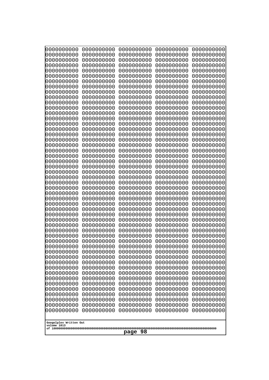| 0000000000                                       | 0000000000 | 0000000000 | 0000000000 | 0000000000 |
|--------------------------------------------------|------------|------------|------------|------------|
| 0000000000                                       | 0000000000 | 0000000000 | 0000000000 | 0000000000 |
| 0000000000                                       | 0000000000 | 0000000000 | 0000000000 | 0000000000 |
| 0000000000                                       | 0000000000 | 0000000000 | 0000000000 | 0000000000 |
| 0000000000                                       | 0000000000 | 0000000000 | 0000000000 | 0000000000 |
| 0000000000                                       | 0000000000 | 0000000000 | 0000000000 | 0000000000 |
| 0000000000                                       | 0000000000 | 0000000000 | 0000000000 | 0000000000 |
| 0000000000                                       | 0000000000 | 0000000000 | 0000000000 | 0000000000 |
| 0000000000                                       | 0000000000 | 0000000000 | 0000000000 | 0000000000 |
| 0000000000                                       | 0000000000 | 0000000000 | 0000000000 | 0000000000 |
| 0000000000                                       | 0000000000 | 0000000000 | 0000000000 | 0000000000 |
| 0000000000                                       | 0000000000 | 0000000000 | 0000000000 | 0000000000 |
| 0000000000                                       | 0000000000 | 0000000000 | 0000000000 | 0000000000 |
| 0000000000                                       | 0000000000 | 0000000000 | 0000000000 | 0000000000 |
| 0000000000                                       | 0000000000 | 0000000000 | 0000000000 | 0000000000 |
| 0000000000                                       | 0000000000 | 0000000000 | 0000000000 | 0000000000 |
| 0000000000                                       | 0000000000 | 0000000000 | 0000000000 | 0000000000 |
| 0000000000                                       | 0000000000 | 0000000000 | 0000000000 | 0000000000 |
| 0000000000                                       | 0000000000 | 0000000000 | 0000000000 | 0000000000 |
| 0000000000                                       | 0000000000 | 0000000000 | 0000000000 | 0000000000 |
| 0000000000                                       | 0000000000 | 0000000000 | 0000000000 | 0000000000 |
| 0000000000                                       | 0000000000 | 0000000000 | 0000000000 | 0000000000 |
| 0000000000                                       | 0000000000 | 0000000000 | 0000000000 | 0000000000 |
| 0000000000                                       | 0000000000 | 0000000000 | 0000000000 | 0000000000 |
| 0000000000                                       | 0000000000 | 0000000000 | 0000000000 | 0000000000 |
| 0000000000                                       | 0000000000 | 0000000000 | 0000000000 | 0000000000 |
| 0000000000                                       | 0000000000 | 0000000000 | 0000000000 | 0000000000 |
| 0000000000                                       | 0000000000 | 0000000000 | 0000000000 | 0000000000 |
| 0000000000                                       | 0000000000 | 0000000000 | 0000000000 | 0000000000 |
| 0000000000                                       | 0000000000 | 0000000000 | 0000000000 | 0000000000 |
| 0000000000                                       | 0000000000 | 0000000000 | 0000000000 | 0000000000 |
| 0000000000                                       | 0000000000 | 0000000000 | 0000000000 | 0000000000 |
| 0000000000                                       | 0000000000 | 0000000000 | 0000000000 | 0000000000 |
| 0000000000                                       | 0000000000 | 0000000000 | 0000000000 | 0000000000 |
| 0000000000                                       | 0000000000 | 0000000000 | 0000000000 | 0000000000 |
| 0000000000                                       | 0000000000 | 0000000000 | 0000000000 | 0000000000 |
| 0000000000                                       | 0000000000 | 0000000000 | 0000000000 | 0000000000 |
| 0000000000                                       | 0000000000 | 0000000000 | 0000000000 | 0000000000 |
| 0000000000                                       | 0000000000 | 0000000000 | 0000000000 | 0000000000 |
| 0000000000                                       | 0000000000 | 0000000000 | 0000000000 | 0000000000 |
| 0000000000                                       | 0000000000 | 0000000000 | 0000000000 | 0000000000 |
| 0000000000                                       | 0000000000 | 0000000000 | 0000000000 | 0000000000 |
| 0000000000                                       | 0000000000 | 0000000000 | 0000000000 | 0000000000 |
| 0000000000                                       | 0000000000 | 0000000000 | 0000000000 | 0000000000 |
| 0000000000                                       | 0000000000 | 0000000000 | 0000000000 | 0000000000 |
| 0000000000                                       | 0000000000 | 0000000000 | 0000000000 | 0000000000 |
| 0000000000                                       | 0000000000 | 0000000000 | 0000000000 | 0000000000 |
| 0000000000                                       | 0000000000 | 0000000000 | 0000000000 | 0000000000 |
| 0000000000                                       | 0000000000 | 0000000000 | 0000000000 | 0000000000 |
| 0000000000                                       | 0000000000 | 0000000000 | 0000000000 | 0000000000 |
| Googolplex Written Out<br>volume 1013<br>page 98 |            |            |            |            |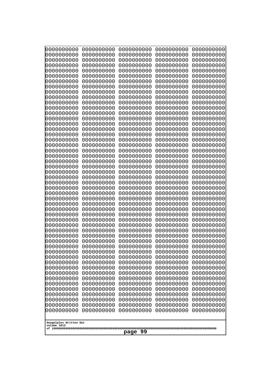| 0000000000                                       | 0000000000 | 0000000000 | 0000000000 | 0000000000 |
|--------------------------------------------------|------------|------------|------------|------------|
| 0000000000                                       | 0000000000 | 0000000000 | 0000000000 | 0000000000 |
| 0000000000                                       | 0000000000 | 0000000000 | 0000000000 | 0000000000 |
| 0000000000                                       | 0000000000 | 0000000000 | 0000000000 | 0000000000 |
| 1000000000                                       | 0000000000 | 0000000000 | 0000000000 | 0000000000 |
| 0000000000                                       | 0000000000 | 0000000000 | 0000000000 | 0000000000 |
| 0000000000                                       | 0000000000 | 0000000000 | 0000000000 | 0000000000 |
| 0000000000                                       | 0000000000 | 0000000000 | 0000000000 | 0000000000 |
| 0000000000                                       | 0000000000 | 0000000000 | 0000000000 | 0000000000 |
| 0000000000                                       | 0000000000 | 0000000000 | 0000000000 | 0000000000 |
| 0000000000                                       | 0000000000 | 0000000000 | 0000000000 | 0000000000 |
| 0000000000                                       | 0000000000 | 0000000000 | 0000000000 | 0000000000 |
| 0000000000                                       | 0000000000 | 0000000000 | 0000000000 | 0000000000 |
| 0000000000                                       | 0000000000 | 0000000000 | 0000000000 | 0000000000 |
| 0000000000                                       | 0000000000 | 0000000000 | 0000000000 | 0000000000 |
| 0000000000                                       | 0000000000 | 0000000000 | 0000000000 | 0000000000 |
| 0000000000                                       | 0000000000 | 0000000000 | 0000000000 | 0000000000 |
| 0000000000                                       | 0000000000 | 0000000000 | 0000000000 | 0000000000 |
| 0000000000                                       | 0000000000 | 0000000000 | 0000000000 | 0000000000 |
| 0000000000                                       | 0000000000 | 0000000000 | 0000000000 | 0000000000 |
| 0000000000                                       | 0000000000 | 0000000000 | 0000000000 | 0000000000 |
| 0000000000                                       | 0000000000 | 0000000000 | 0000000000 | 0000000000 |
| 0000000000                                       | 0000000000 | 0000000000 | 0000000000 | 0000000000 |
| 0000000000                                       | 0000000000 | 0000000000 | 0000000000 | 0000000000 |
| 0000000000                                       | 0000000000 | 0000000000 | 0000000000 | 0000000000 |
| 0000000000                                       | 0000000000 | 0000000000 | 0000000000 | 0000000000 |
| 0000000000                                       | 0000000000 | 0000000000 | 0000000000 | 0000000000 |
| 0000000000                                       | 0000000000 | 0000000000 | 0000000000 | 0000000000 |
| 0000000000                                       | 0000000000 | 0000000000 | 0000000000 | 0000000000 |
| 0000000000                                       | 0000000000 | 0000000000 | 0000000000 | 0000000000 |
| 0000000000                                       | 0000000000 | 0000000000 | 0000000000 | 0000000000 |
| 0000000000                                       | 0000000000 | 0000000000 | 0000000000 | 0000000000 |
| 0000000000                                       | 0000000000 | 0000000000 | 0000000000 | 0000000000 |
| 0000000000                                       | 0000000000 | 0000000000 | 0000000000 | 0000000000 |
| 0000000000                                       | 0000000000 | 0000000000 | 0000000000 | 0000000000 |
| 0000000000                                       | 0000000000 | 0000000000 | 0000000000 | 0000000000 |
| 0000000000                                       | 0000000000 | 0000000000 | 0000000000 | 0000000000 |
| 0000000000                                       | 0000000000 | 0000000000 | 0000000000 | 0000000000 |
| 0000000000                                       | 0000000000 | 0000000000 | 0000000000 | 0000000000 |
| 0000000000                                       | 0000000000 | 0000000000 | 0000000000 | 0000000000 |
| 0000000000                                       | 0000000000 | 0000000000 | 0000000000 | 0000000000 |
| 0000000000                                       | 0000000000 | 0000000000 | 0000000000 | 0000000000 |
| 0000000000                                       | 0000000000 | 0000000000 | 0000000000 | 0000000000 |
| 0000000000                                       | 0000000000 | 0000000000 | 0000000000 | 0000000000 |
| 0000000000                                       | 0000000000 | 0000000000 | 0000000000 | 0000000000 |
| 0000000000                                       | 0000000000 | 0000000000 | 0000000000 | 0000000000 |
| 0000000000                                       | 0000000000 | 0000000000 | 0000000000 | 0000000000 |
| 0000000000                                       | 0000000000 | 0000000000 | 0000000000 | 0000000000 |
| Googolplex Written Out<br>volume 1013<br>page 99 |            |            |            |            |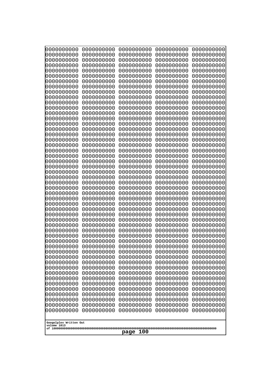| 0000000000                                           | 0000000000 | 0000000000 | 0000000000 | 0000000000 |
|------------------------------------------------------|------------|------------|------------|------------|
| 0000000000                                           | 0000000000 | 0000000000 | 0000000000 | 0000000000 |
| 0000000000                                           | 0000000000 | 0000000000 | 0000000000 | 0000000000 |
| 0000000000                                           | 0000000000 | 0000000000 | 0000000000 | 0000000000 |
| 0000000000                                           | 0000000000 | 0000000000 | 0000000000 | 0000000000 |
| 0000000000                                           | 0000000000 | 0000000000 | 0000000000 | 0000000000 |
| 0000000000                                           | 0000000000 | 0000000000 | 0000000000 | 0000000000 |
| 0000000000                                           | 0000000000 | 0000000000 | 0000000000 | 0000000000 |
| 0000000000                                           | 0000000000 | 0000000000 | 0000000000 | 0000000000 |
| 0000000000                                           | 0000000000 | 0000000000 | 0000000000 | 0000000000 |
| 0000000000                                           | 0000000000 | 0000000000 | 0000000000 | 0000000000 |
| 0000000000                                           | 0000000000 | 0000000000 | 0000000000 | 0000000000 |
| 0000000000                                           | 0000000000 | 0000000000 | 0000000000 | 0000000000 |
| 0000000000                                           | 0000000000 | 0000000000 | 0000000000 | 0000000000 |
| 0000000000                                           | 0000000000 | 0000000000 | 0000000000 | 0000000000 |
| 0000000000                                           | 0000000000 | 0000000000 | 0000000000 | 0000000000 |
| 0000000000                                           | 0000000000 | 0000000000 | 0000000000 | 0000000000 |
| 0000000000                                           | 0000000000 | 0000000000 | 0000000000 | 0000000000 |
| 0000000000                                           | 0000000000 | 0000000000 | 0000000000 | 0000000000 |
| 0000000000                                           | 0000000000 | 0000000000 | 0000000000 | 0000000000 |
| 0000000000                                           | 0000000000 | 0000000000 | 0000000000 | 0000000000 |
| 0000000000                                           | 0000000000 | 0000000000 | 0000000000 | 0000000000 |
| 0000000000                                           | 0000000000 | 0000000000 | 0000000000 | 0000000000 |
| 0000000000                                           | 0000000000 | 0000000000 | 0000000000 | 0000000000 |
| 0000000000                                           | 0000000000 | 0000000000 | 0000000000 | 0000000000 |
| 0000000000                                           | 0000000000 | 0000000000 | 0000000000 | 0000000000 |
| 0000000000                                           | 0000000000 | 0000000000 | 0000000000 | 0000000000 |
| 0000000000                                           | 0000000000 | 0000000000 | 0000000000 | 0000000000 |
| 0000000000                                           | 0000000000 | 0000000000 | 0000000000 | 0000000000 |
| 0000000000                                           | 0000000000 | 0000000000 | 0000000000 | 0000000000 |
| 0000000000                                           | 0000000000 | 0000000000 | 0000000000 | 0000000000 |
| 0000000000                                           | 0000000000 | 0000000000 | 0000000000 | 0000000000 |
| 0000000000                                           | 0000000000 | 0000000000 | 0000000000 | 0000000000 |
| 0000000000                                           | 0000000000 | 0000000000 | 0000000000 | 0000000000 |
| 0000000000                                           | 0000000000 | 0000000000 | 0000000000 | 0000000000 |
| 0000000000                                           | 0000000000 | 0000000000 | 0000000000 | 0000000000 |
| 0000000000                                           | 0000000000 | 0000000000 | 0000000000 | 0000000000 |
| 0000000000                                           | 0000000000 | 0000000000 | 0000000000 | 0000000000 |
| 0000000000                                           | 0000000000 | 0000000000 | 0000000000 | 0000000000 |
| 0000000000                                           | 0000000000 | 0000000000 | 0000000000 | 0000000000 |
| 0000000000                                           | 0000000000 | 0000000000 | 0000000000 | 0000000000 |
| 0000000000                                           | 0000000000 | 0000000000 | 0000000000 | 0000000000 |
| 0000000000                                           | 0000000000 | 0000000000 | 0000000000 | 0000000000 |
| 0000000000                                           | 0000000000 | 0000000000 | 0000000000 | 0000000000 |
| 0000000000                                           | 0000000000 | 0000000000 | 0000000000 | 0000000000 |
| 0000000000                                           | 0000000000 | 0000000000 | 0000000000 | 0000000000 |
| 0000000000                                           | 0000000000 | 0000000000 | 0000000000 | 0000000000 |
| 0000000000                                           | 0000000000 | 0000000000 | 0000000000 | 0000000000 |
| 0000000000                                           | 0000000000 | 0000000000 | 0000000000 | 0000000000 |
| 0000000000                                           | 0000000000 | 0000000000 | 0000000000 | 0000000000 |
| Googolplex Written Out<br>volume 1013<br>100<br>page |            |            |            |            |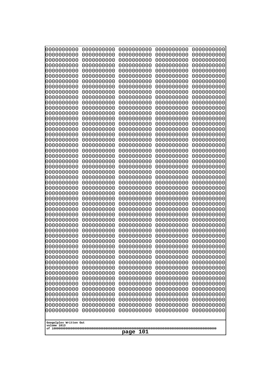| 10000000000                           | 0000000000               | 0000000000               | 0000000000               | 0000000000               |
|---------------------------------------|--------------------------|--------------------------|--------------------------|--------------------------|
| 0000000000<br>0000000000              | 0000000000<br>0000000000 | 0000000000<br>0000000000 | 0000000000<br>0000000000 | 0000000000<br>0000000000 |
| 0000000000                            | 0000000000               | 0000000000               | 0000000000               | 0000000000               |
| 0000000000                            | 0000000000               | 0000000000               | 0000000000               | 0000000000               |
| 0000000000                            | 0000000000               | 0000000000               | 0000000000               | 0000000000               |
| 0000000000                            | 0000000000               | 0000000000               | 0000000000               | 0000000000               |
| 0000000000<br>0000000000              | 0000000000<br>0000000000 | 0000000000<br>0000000000 | 0000000000<br>0000000000 | 0000000000<br>0000000000 |
| 0000000000                            | 0000000000               | 0000000000               | 0000000000               | 0000000000               |
| 0000000000                            | 0000000000               | 0000000000               | 0000000000               | 0000000000               |
| 0000000000                            | 0000000000               | 0000000000               | 0000000000               | 0000000000               |
| 0000000000<br>0000000000              | 0000000000<br>0000000000 | 0000000000<br>0000000000 | 0000000000<br>0000000000 | 0000000000<br>0000000000 |
| 0000000000                            | 0000000000               | 0000000000               | 0000000000               | 0000000000               |
| 0000000000                            | 0000000000               | 0000000000               | 0000000000               | 0000000000               |
| 0000000000                            | 0000000000               | 0000000000               | 0000000000               | 0000000000               |
| 0000000000<br>0000000000              | 0000000000<br>0000000000 | 0000000000<br>0000000000 | 0000000000<br>0000000000 | 0000000000<br>0000000000 |
| 0000000000                            | 0000000000               | 0000000000               | 0000000000               | 0000000000               |
| 0000000000                            | 0000000000               | 0000000000               | 0000000000               | 0000000000               |
| 0000000000                            | 0000000000               | 0000000000               | 0000000000               | 0000000000               |
| 0000000000<br>0000000000              | 0000000000<br>0000000000 | 0000000000<br>0000000000 | 0000000000<br>0000000000 | 0000000000<br>0000000000 |
| 0000000000                            | 0000000000               | 0000000000               | 0000000000               | 0000000000               |
| 0000000000                            | 0000000000               | 0000000000               | 0000000000               | 0000000000               |
| 0000000000                            | 0000000000               | 0000000000               | 0000000000               | 0000000000               |
| 0000000000<br>0000000000              | 0000000000<br>0000000000 | 0000000000<br>0000000000 | 0000000000<br>0000000000 | 0000000000<br>0000000000 |
| 0000000000                            | 0000000000               | 0000000000               | 0000000000               | 0000000000               |
| 0000000000                            | 0000000000               | 0000000000               | 0000000000               | 0000000000               |
| 0000000000                            | 0000000000               | 0000000000               | 0000000000               | 0000000000               |
| 0000000000<br>0000000000              | 0000000000<br>0000000000 | 0000000000<br>0000000000 | 0000000000<br>0000000000 | 0000000000<br>0000000000 |
| 0000000000                            | 0000000000               | 0000000000               | 0000000000               | 0000000000               |
| 0000000000                            | 0000000000               | 0000000000               | 0000000000               | 0000000000               |
| 0000000000                            | 0000000000               | 0000000000               | 0000000000               | 0000000000               |
| 0000000000<br>0000000000              | 0000000000<br>0000000000 | 0000000000<br>0000000000 | 0000000000<br>0000000000 | 0000000000<br>0000000000 |
| 0000000000                            | 0000000000               | 0000000000               | 0000000000               | 0000000000               |
| 0000000000                            | 0000000000               | 0000000000               | 0000000000               | 0000000000               |
| 0000000000                            | 0000000000               | 0000000000               | 0000000000               | 0000000000               |
| 0000000000<br>0000000000              | 0000000000<br>0000000000 | 0000000000<br>0000000000 | 0000000000<br>0000000000 | 0000000000<br>0000000000 |
| 0000000000                            | 0000000000               | 0000000000               | 0000000000               | 0000000000               |
| 0000000000                            | 0000000000               | 0000000000               | 0000000000               | 0000000000               |
| 0000000000                            | 0000000000               | 0000000000               | 0000000000               | 0000000000               |
| 0000000000<br>0000000000              | 0000000000<br>0000000000 | 0000000000<br>0000000000 | 0000000000<br>0000000000 | 0000000000<br>0000000000 |
| 0000000000                            | 0000000000               | 0000000000               | 0000000000               | 0000000000               |
|                                       |                          |                          |                          |                          |
| Googolplex Written Out<br>volume 1013 |                          |                          |                          |                          |
|                                       |                          | 101<br>page              |                          |                          |
|                                       |                          |                          |                          |                          |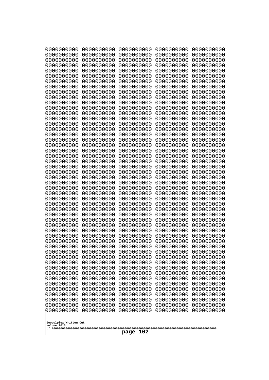| 0000000000<br>0000000000<br>0000000000<br>0000000000<br>0000000000<br>0000000000<br>0000000000<br>0000000000<br>0000000000<br>0000000000<br>0000000000<br>0000000000<br>0000000000<br>0000000000<br>0000000000<br>0000000000<br>0000000000<br>0000000000<br>0000000000<br>0000000000<br>0000000000<br>0000000000<br>0000000000<br>0000000000<br>0000000000 | 0000000000<br>0000000000<br>0000000000<br>0000000000<br>0000000000<br>0000000000<br>0000000000<br>0000000000<br>0000000000<br>0000000000<br>0000000000<br>0000000000<br>0000000000<br>0000000000<br>0000000000<br>0000000000<br>0000000000<br>0000000000<br>0000000000<br>0000000000<br>0000000000<br>0000000000<br>0000000000<br>0000000000<br>0000000000 | 0000000000<br>0000000000<br>0000000000<br>0000000000<br>0000000000<br>0000000000<br>0000000000<br>0000000000<br>0000000000<br>0000000000<br>0000000000<br>0000000000<br>0000000000<br>0000000000<br>0000000000<br>0000000000<br>0000000000<br>0000000000<br>0000000000<br>0000000000<br>0000000000<br>0000000000<br>0000000000<br>0000000000<br>0000000000 | 0000000000<br>0000000000<br>0000000000<br>0000000000<br>0000000000<br>0000000000<br>0000000000<br>0000000000<br>0000000000<br>0000000000<br>0000000000<br>0000000000<br>0000000000<br>0000000000<br>0000000000<br>0000000000<br>0000000000<br>0000000000<br>0000000000<br>0000000000<br>0000000000<br>0000000000<br>0000000000<br>0000000000<br>0000000000 | 0000000000<br>0000000000<br>0000000000<br>0000000000<br>0000000000<br>0000000000<br>0000000000<br>0000000000<br>0000000000<br>0000000000<br>0000000000<br>0000000000<br>0000000000<br>0000000000<br>0000000000<br>0000000000<br>0000000000<br>0000000000<br>0000000000<br>0000000000<br>0000000000<br>0000000000<br>0000000000<br>0000000000<br>0000000000 |
|------------------------------------------------------------------------------------------------------------------------------------------------------------------------------------------------------------------------------------------------------------------------------------------------------------------------------------------------------------|------------------------------------------------------------------------------------------------------------------------------------------------------------------------------------------------------------------------------------------------------------------------------------------------------------------------------------------------------------|------------------------------------------------------------------------------------------------------------------------------------------------------------------------------------------------------------------------------------------------------------------------------------------------------------------------------------------------------------|------------------------------------------------------------------------------------------------------------------------------------------------------------------------------------------------------------------------------------------------------------------------------------------------------------------------------------------------------------|------------------------------------------------------------------------------------------------------------------------------------------------------------------------------------------------------------------------------------------------------------------------------------------------------------------------------------------------------------|
|                                                                                                                                                                                                                                                                                                                                                            |                                                                                                                                                                                                                                                                                                                                                            |                                                                                                                                                                                                                                                                                                                                                            |                                                                                                                                                                                                                                                                                                                                                            |                                                                                                                                                                                                                                                                                                                                                            |
|                                                                                                                                                                                                                                                                                                                                                            |                                                                                                                                                                                                                                                                                                                                                            |                                                                                                                                                                                                                                                                                                                                                            |                                                                                                                                                                                                                                                                                                                                                            |                                                                                                                                                                                                                                                                                                                                                            |
|                                                                                                                                                                                                                                                                                                                                                            |                                                                                                                                                                                                                                                                                                                                                            |                                                                                                                                                                                                                                                                                                                                                            |                                                                                                                                                                                                                                                                                                                                                            |                                                                                                                                                                                                                                                                                                                                                            |
|                                                                                                                                                                                                                                                                                                                                                            |                                                                                                                                                                                                                                                                                                                                                            |                                                                                                                                                                                                                                                                                                                                                            |                                                                                                                                                                                                                                                                                                                                                            |                                                                                                                                                                                                                                                                                                                                                            |
|                                                                                                                                                                                                                                                                                                                                                            |                                                                                                                                                                                                                                                                                                                                                            |                                                                                                                                                                                                                                                                                                                                                            |                                                                                                                                                                                                                                                                                                                                                            |                                                                                                                                                                                                                                                                                                                                                            |
|                                                                                                                                                                                                                                                                                                                                                            |                                                                                                                                                                                                                                                                                                                                                            |                                                                                                                                                                                                                                                                                                                                                            |                                                                                                                                                                                                                                                                                                                                                            |                                                                                                                                                                                                                                                                                                                                                            |
|                                                                                                                                                                                                                                                                                                                                                            |                                                                                                                                                                                                                                                                                                                                                            |                                                                                                                                                                                                                                                                                                                                                            |                                                                                                                                                                                                                                                                                                                                                            |                                                                                                                                                                                                                                                                                                                                                            |
|                                                                                                                                                                                                                                                                                                                                                            |                                                                                                                                                                                                                                                                                                                                                            |                                                                                                                                                                                                                                                                                                                                                            |                                                                                                                                                                                                                                                                                                                                                            |                                                                                                                                                                                                                                                                                                                                                            |
|                                                                                                                                                                                                                                                                                                                                                            |                                                                                                                                                                                                                                                                                                                                                            |                                                                                                                                                                                                                                                                                                                                                            |                                                                                                                                                                                                                                                                                                                                                            |                                                                                                                                                                                                                                                                                                                                                            |
|                                                                                                                                                                                                                                                                                                                                                            |                                                                                                                                                                                                                                                                                                                                                            |                                                                                                                                                                                                                                                                                                                                                            |                                                                                                                                                                                                                                                                                                                                                            |                                                                                                                                                                                                                                                                                                                                                            |
|                                                                                                                                                                                                                                                                                                                                                            |                                                                                                                                                                                                                                                                                                                                                            |                                                                                                                                                                                                                                                                                                                                                            |                                                                                                                                                                                                                                                                                                                                                            |                                                                                                                                                                                                                                                                                                                                                            |
|                                                                                                                                                                                                                                                                                                                                                            |                                                                                                                                                                                                                                                                                                                                                            |                                                                                                                                                                                                                                                                                                                                                            |                                                                                                                                                                                                                                                                                                                                                            |                                                                                                                                                                                                                                                                                                                                                            |
| 0000000000                                                                                                                                                                                                                                                                                                                                                 | 0000000000                                                                                                                                                                                                                                                                                                                                                 | 0000000000                                                                                                                                                                                                                                                                                                                                                 | 0000000000                                                                                                                                                                                                                                                                                                                                                 | 0000000000                                                                                                                                                                                                                                                                                                                                                 |
| 0000000000<br>0000000000                                                                                                                                                                                                                                                                                                                                   | 0000000000<br>0000000000                                                                                                                                                                                                                                                                                                                                   | 0000000000<br>0000000000                                                                                                                                                                                                                                                                                                                                   | 0000000000<br>0000000000                                                                                                                                                                                                                                                                                                                                   | 0000000000<br>0000000000                                                                                                                                                                                                                                                                                                                                   |
| 0000000000                                                                                                                                                                                                                                                                                                                                                 | 0000000000                                                                                                                                                                                                                                                                                                                                                 | 0000000000                                                                                                                                                                                                                                                                                                                                                 | 0000000000                                                                                                                                                                                                                                                                                                                                                 | 0000000000                                                                                                                                                                                                                                                                                                                                                 |
| 0000000000<br>0000000000                                                                                                                                                                                                                                                                                                                                   | 0000000000<br>0000000000                                                                                                                                                                                                                                                                                                                                   | 0000000000<br>0000000000                                                                                                                                                                                                                                                                                                                                   | 0000000000<br>0000000000                                                                                                                                                                                                                                                                                                                                   | 0000000000<br>0000000000                                                                                                                                                                                                                                                                                                                                   |
| 0000000000<br>0000000000                                                                                                                                                                                                                                                                                                                                   | 0000000000<br>0000000000                                                                                                                                                                                                                                                                                                                                   | 0000000000<br>0000000000                                                                                                                                                                                                                                                                                                                                   | 0000000000<br>0000000000                                                                                                                                                                                                                                                                                                                                   | 0000000000<br>0000000000                                                                                                                                                                                                                                                                                                                                   |
| 0000000000                                                                                                                                                                                                                                                                                                                                                 | 0000000000                                                                                                                                                                                                                                                                                                                                                 | 0000000000                                                                                                                                                                                                                                                                                                                                                 | 0000000000                                                                                                                                                                                                                                                                                                                                                 | 0000000000                                                                                                                                                                                                                                                                                                                                                 |
| 0000000000<br>0000000000                                                                                                                                                                                                                                                                                                                                   | 0000000000<br>0000000000                                                                                                                                                                                                                                                                                                                                   | 0000000000<br>0000000000                                                                                                                                                                                                                                                                                                                                   | 0000000000<br>0000000000                                                                                                                                                                                                                                                                                                                                   | 0000000000<br>0000000000                                                                                                                                                                                                                                                                                                                                   |
| 0000000000<br>0000000000                                                                                                                                                                                                                                                                                                                                   | 0000000000<br>0000000000                                                                                                                                                                                                                                                                                                                                   | 0000000000<br>0000000000                                                                                                                                                                                                                                                                                                                                   | 0000000000<br>0000000000                                                                                                                                                                                                                                                                                                                                   | 0000000000<br>0000000000                                                                                                                                                                                                                                                                                                                                   |
| 0000000000                                                                                                                                                                                                                                                                                                                                                 | 0000000000                                                                                                                                                                                                                                                                                                                                                 | 0000000000                                                                                                                                                                                                                                                                                                                                                 | 0000000000                                                                                                                                                                                                                                                                                                                                                 | 0000000000                                                                                                                                                                                                                                                                                                                                                 |
| 0000000000<br>0000000000                                                                                                                                                                                                                                                                                                                                   | 0000000000<br>0000000000                                                                                                                                                                                                                                                                                                                                   | 0000000000<br>0000000000                                                                                                                                                                                                                                                                                                                                   | 0000000000<br>0000000000                                                                                                                                                                                                                                                                                                                                   | 0000000000<br>0000000000                                                                                                                                                                                                                                                                                                                                   |
| 0000000000                                                                                                                                                                                                                                                                                                                                                 | 0000000000                                                                                                                                                                                                                                                                                                                                                 | 0000000000                                                                                                                                                                                                                                                                                                                                                 | 0000000000                                                                                                                                                                                                                                                                                                                                                 | 0000000000                                                                                                                                                                                                                                                                                                                                                 |
| 0000000000<br>0000000000                                                                                                                                                                                                                                                                                                                                   | 0000000000<br>0000000000                                                                                                                                                                                                                                                                                                                                   | 0000000000<br>0000000000                                                                                                                                                                                                                                                                                                                                   | 0000000000<br>0000000000                                                                                                                                                                                                                                                                                                                                   | 0000000000<br>0000000000                                                                                                                                                                                                                                                                                                                                   |
| 0000000000<br>0000000000                                                                                                                                                                                                                                                                                                                                   | 0000000000<br>0000000000                                                                                                                                                                                                                                                                                                                                   | 0000000000<br>0000000000                                                                                                                                                                                                                                                                                                                                   | 0000000000<br>0000000000                                                                                                                                                                                                                                                                                                                                   | 0000000000<br>0000000000                                                                                                                                                                                                                                                                                                                                   |
| 0000000000                                                                                                                                                                                                                                                                                                                                                 | 0000000000                                                                                                                                                                                                                                                                                                                                                 | 0000000000                                                                                                                                                                                                                                                                                                                                                 | 0000000000                                                                                                                                                                                                                                                                                                                                                 | 0000000000                                                                                                                                                                                                                                                                                                                                                 |
| 0000000000<br>0000000000                                                                                                                                                                                                                                                                                                                                   | 0000000000<br>0000000000                                                                                                                                                                                                                                                                                                                                   | 0000000000<br>0000000000                                                                                                                                                                                                                                                                                                                                   | 0000000000<br>0000000000                                                                                                                                                                                                                                                                                                                                   | 0000000000<br>0000000000                                                                                                                                                                                                                                                                                                                                   |
| 0000000000                                                                                                                                                                                                                                                                                                                                                 | 0000000000                                                                                                                                                                                                                                                                                                                                                 | 0000000000                                                                                                                                                                                                                                                                                                                                                 | 0000000000                                                                                                                                                                                                                                                                                                                                                 | 0000000000                                                                                                                                                                                                                                                                                                                                                 |
| Googolplex Written Out<br>volume 1013                                                                                                                                                                                                                                                                                                                      |                                                                                                                                                                                                                                                                                                                                                            |                                                                                                                                                                                                                                                                                                                                                            |                                                                                                                                                                                                                                                                                                                                                            |                                                                                                                                                                                                                                                                                                                                                            |
| 102<br>page                                                                                                                                                                                                                                                                                                                                                |                                                                                                                                                                                                                                                                                                                                                            |                                                                                                                                                                                                                                                                                                                                                            |                                                                                                                                                                                                                                                                                                                                                            |                                                                                                                                                                                                                                                                                                                                                            |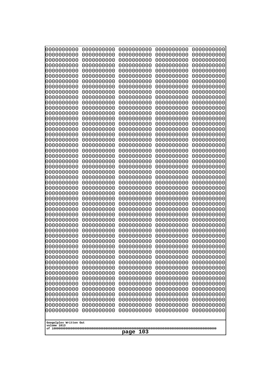| 10000000000<br>0000000000 | 0000000000<br>0000000000 | 0000000000<br>0000000000 | 0000000000<br>0000000000 | 0000000000<br>0000000000 |
|---------------------------|--------------------------|--------------------------|--------------------------|--------------------------|
| 0000000000                | 0000000000               | 0000000000               | 0000000000               | 0000000000               |
| 0000000000                | 0000000000               | 0000000000               | 0000000000               | 0000000000               |
| 0000000000                | 0000000000               | 0000000000               | 0000000000               | 0000000000               |
| 0000000000<br>0000000000  | 0000000000<br>0000000000 | 0000000000<br>0000000000 | 0000000000<br>0000000000 | 0000000000<br>0000000000 |
| 0000000000                | 0000000000               | 0000000000               | 0000000000               | 0000000000               |
| 0000000000                | 0000000000               | 0000000000               | 0000000000               | 0000000000               |
| 0000000000                | 0000000000               | 0000000000               | 0000000000               | 0000000000               |
| 0000000000<br>0000000000  | 0000000000<br>0000000000 | 0000000000<br>0000000000 | 0000000000<br>0000000000 | 0000000000<br>0000000000 |
| 0000000000                | 0000000000               | 0000000000               | 0000000000               | 0000000000               |
| 0000000000                | 0000000000               | 0000000000               | 0000000000               | 0000000000               |
| 0000000000                | 0000000000               | 0000000000               | 0000000000               | 0000000000               |
| 0000000000<br>0000000000  | 0000000000<br>0000000000 | 0000000000<br>0000000000 | 0000000000<br>0000000000 | 0000000000<br>0000000000 |
| 0000000000                | 0000000000               | 0000000000               | 0000000000               | 0000000000               |
| 0000000000                | 0000000000               | 0000000000               | 0000000000               | 0000000000               |
| 0000000000                | 0000000000               | 0000000000               | 0000000000               | 0000000000               |
| 0000000000<br>0000000000  | 0000000000<br>0000000000 | 0000000000<br>0000000000 | 0000000000<br>0000000000 | 0000000000<br>0000000000 |
| 0000000000                | 0000000000               | 0000000000               | 0000000000               | 0000000000               |
| 0000000000                | 0000000000               | 0000000000               | 0000000000               | 0000000000               |
| 0000000000                | 0000000000               | 0000000000               | 0000000000               | 0000000000               |
| 0000000000<br>0000000000  | 0000000000<br>0000000000 | 0000000000<br>0000000000 | 0000000000<br>0000000000 | 0000000000<br>0000000000 |
| 0000000000                | 0000000000               | 0000000000               | 0000000000               | 0000000000               |
| 0000000000                | 0000000000               | 0000000000               | 0000000000               | 0000000000               |
| 0000000000                | 0000000000               | 0000000000               | 0000000000               | 0000000000               |
| 0000000000<br>0000000000  | 0000000000<br>0000000000 | 0000000000<br>0000000000 | 0000000000<br>0000000000 | 0000000000<br>0000000000 |
| 0000000000                | 0000000000               | 0000000000               | 0000000000               | 0000000000               |
| 0000000000                | 0000000000               | 0000000000               | 0000000000               | 0000000000               |
| 0000000000                | 0000000000               | 0000000000               | 0000000000               | 0000000000               |
| 0000000000<br>0000000000  | 0000000000<br>0000000000 | 0000000000<br>0000000000 | 0000000000<br>0000000000 | 0000000000<br>0000000000 |
| 0000000000                | 0000000000               | 0000000000               | 0000000000               | 0000000000               |
| 0000000000                | 0000000000               | 0000000000               | 0000000000               | 0000000000               |
| 0000000000                | 0000000000               | 0000000000               | 0000000000               | 0000000000               |
| 0000000000<br>0000000000  | 0000000000<br>0000000000 | 0000000000<br>0000000000 | 0000000000<br>0000000000 | 0000000000<br>0000000000 |
| 0000000000                | 0000000000               | 0000000000               | 0000000000               | 0000000000               |
| 0000000000                | 0000000000               | 0000000000               | 0000000000               | 0000000000               |
| 0000000000                | 0000000000               | 0000000000               | 0000000000               | 0000000000               |
| 0000000000<br>0000000000  | 0000000000<br>0000000000 | 0000000000<br>0000000000 | 0000000000<br>0000000000 | 0000000000<br>0000000000 |
| 0000000000                | 0000000000               | 0000000000               | 0000000000               | 0000000000               |
| 0000000000                | 0000000000               | 0000000000               | 0000000000               | 0000000000               |
| 0000000000                | 0000000000               | 0000000000               | 0000000000               | 0000000000               |
| Googolplex Written Out    |                          |                          |                          |                          |
| volume 1013               |                          |                          |                          |                          |
| 103<br>page               |                          |                          |                          |                          |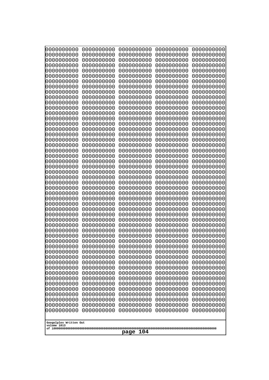| 10000000000                           | 0000000000               | 0000000000               | 0000000000               | 0000000000               |
|---------------------------------------|--------------------------|--------------------------|--------------------------|--------------------------|
| 0000000000<br>0000000000              | 0000000000<br>0000000000 | 0000000000<br>0000000000 | 0000000000<br>0000000000 | 0000000000<br>0000000000 |
| 0000000000                            | 0000000000               | 0000000000               | 0000000000               | 0000000000               |
| 0000000000                            | 0000000000               | 0000000000               | 0000000000               | 0000000000               |
| 0000000000                            | 0000000000               | 0000000000               | 0000000000               | 0000000000               |
| 0000000000                            | 0000000000               | 0000000000               | 0000000000               | 0000000000               |
| 0000000000<br>0000000000              | 0000000000<br>0000000000 | 0000000000<br>0000000000 | 0000000000<br>0000000000 | 0000000000<br>0000000000 |
| 0000000000                            | 0000000000               | 0000000000               | 0000000000               | 0000000000               |
| 0000000000                            | 0000000000               | 0000000000               | 0000000000               | 0000000000               |
| 0000000000                            | 0000000000               | 0000000000               | 0000000000               | 0000000000               |
| 0000000000<br>0000000000              | 0000000000<br>0000000000 | 0000000000<br>0000000000 | 0000000000<br>0000000000 | 0000000000<br>0000000000 |
| 0000000000                            | 0000000000               | 0000000000               | 0000000000               | 0000000000               |
| 0000000000                            | 0000000000               | 0000000000               | 0000000000               | 0000000000               |
| 0000000000                            | 0000000000               | 0000000000<br>0000000000 | 0000000000<br>0000000000 | 0000000000               |
| 0000000000<br>0000000000              | 0000000000<br>0000000000 | 0000000000               | 0000000000               | 0000000000<br>0000000000 |
| 0000000000                            | 0000000000               | 0000000000               | 0000000000               | 0000000000               |
| 0000000000                            | 0000000000               | 0000000000               | 0000000000               | 0000000000               |
| 0000000000<br>0000000000              | 0000000000<br>0000000000 | 0000000000<br>0000000000 | 0000000000<br>0000000000 | 0000000000<br>0000000000 |
| 0000000000                            | 0000000000               | 0000000000               | 0000000000               | 0000000000               |
| 0000000000                            | 0000000000               | 0000000000               | 0000000000               | 0000000000               |
| 0000000000                            | 0000000000               | 0000000000               | 0000000000               | 0000000000               |
| 0000000000<br>0000000000              | 0000000000<br>0000000000 | 0000000000<br>0000000000 | 0000000000<br>0000000000 | 0000000000<br>0000000000 |
| 0000000000                            | 0000000000               | 0000000000               | 0000000000               | 0000000000               |
| 0000000000                            | 0000000000               | 0000000000               | 0000000000               | 0000000000               |
| 0000000000                            | 0000000000               | 0000000000               | 0000000000               | 0000000000               |
| 0000000000<br>0000000000              | 0000000000<br>0000000000 | 0000000000<br>0000000000 | 0000000000<br>0000000000 | 0000000000<br>0000000000 |
| 0000000000                            | 0000000000               | 0000000000               | 0000000000               | 0000000000               |
| 0000000000                            | 0000000000               | 0000000000               | 0000000000               | 0000000000               |
| 0000000000                            | 0000000000               | 0000000000               | 0000000000               | 0000000000               |
| 0000000000<br>0000000000              | 0000000000<br>0000000000 | 0000000000<br>0000000000 | 0000000000<br>0000000000 | 0000000000<br>0000000000 |
| 0000000000                            | 0000000000               | 0000000000               | 0000000000               | 0000000000               |
| 0000000000                            | 0000000000               | 0000000000               | 0000000000               | 0000000000               |
| 0000000000                            | 0000000000               | 0000000000               | 0000000000               | 0000000000               |
| 0000000000<br>0000000000              | 0000000000<br>0000000000 | 0000000000<br>0000000000 | 0000000000<br>0000000000 | 0000000000<br>0000000000 |
| 0000000000                            | 0000000000               | 0000000000               | 0000000000               | 0000000000               |
| 0000000000                            | 0000000000               | 0000000000               | 0000000000               | 0000000000               |
| 0000000000<br>0000000000              | 0000000000<br>0000000000 | 0000000000               | 0000000000               | 0000000000               |
| 0000000000                            | 0000000000               | 0000000000<br>0000000000 | 0000000000<br>0000000000 | 0000000000<br>0000000000 |
| 0000000000                            | 0000000000               | 0000000000               | 0000000000               | 0000000000               |
| 0000000000                            | 0000000000               | 0000000000               | 0000000000               | 0000000000               |
|                                       |                          |                          |                          |                          |
| Googolplex Written Out<br>volume 1013 |                          |                          |                          |                          |
| 104<br>page                           |                          |                          |                          |                          |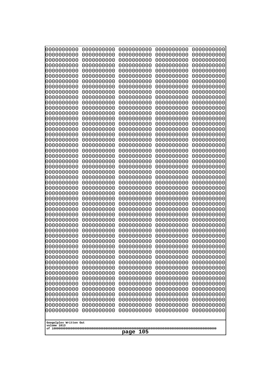| 000000000                             | 0000000000               | 0000000000               | 0000000000               | 0000000000               |
|---------------------------------------|--------------------------|--------------------------|--------------------------|--------------------------|
| 0000000000                            | 0000000000               | 0000000000               | 0000000000               | 0000000000               |
| 0000000000                            | 0000000000               | 0000000000               | 0000000000               | 0000000000               |
| 0000000000                            | 0000000000               | 0000000000               | 0000000000               | 0000000000               |
| 0000000000                            | 0000000000               | 0000000000               | 0000000000               | 0000000000               |
| 0000000000                            | 0000000000               | 0000000000               | 0000000000               | 0000000000               |
| 0000000000                            | 0000000000               | 0000000000               | 0000000000               | 0000000000               |
| 0000000000<br>0000000000              | 0000000000<br>0000000000 | 0000000000<br>0000000000 | 0000000000<br>0000000000 | 0000000000<br>0000000000 |
| 0000000000                            | 0000000000               | 0000000000               | 0000000000               | 0000000000               |
| 0000000000                            | 0000000000               | 0000000000               | 0000000000               | 0000000000               |
| 0000000000                            | 0000000000               | 0000000000               | 0000000000               | 0000000000               |
| 0000000000                            | 0000000000               | 0000000000               | 0000000000               | 0000000000               |
| 0000000000                            | 0000000000               | 0000000000               | 0000000000               | 0000000000               |
| 0000000000                            | 0000000000               | 0000000000               | 0000000000               | 0000000000               |
| 0000000000                            | 0000000000               | 0000000000               | 0000000000               | 0000000000               |
| 0000000000<br>0000000000              | 0000000000<br>0000000000 | 0000000000<br>0000000000 | 0000000000<br>0000000000 | 0000000000<br>0000000000 |
| 0000000000                            | 0000000000               | 0000000000               | 0000000000               | 0000000000               |
| 0000000000                            | 0000000000               | 0000000000               | 0000000000               | 0000000000               |
| 0000000000                            | 0000000000               | 0000000000               | 0000000000               | 0000000000               |
| 0000000000                            | 0000000000               | 0000000000               | 0000000000               | 0000000000               |
| 0000000000                            | 0000000000               | 0000000000               | 0000000000               | 0000000000               |
| 0000000000                            | 0000000000               | 0000000000               | 0000000000               | 0000000000               |
| 0000000000                            | 0000000000               | 0000000000               | 0000000000               | 0000000000               |
| 0000000000<br>0000000000              | 0000000000<br>0000000000 | 0000000000<br>0000000000 | 0000000000<br>0000000000 | 0000000000<br>0000000000 |
| 0000000000                            | 0000000000               | 0000000000               | 0000000000               | 0000000000               |
| 0000000000                            | 0000000000               | 0000000000               | 0000000000               | 0000000000               |
| 0000000000                            | 0000000000               | 0000000000               | 0000000000               | 0000000000               |
| 0000000000                            | 0000000000               | 0000000000               | 0000000000               | 0000000000               |
| 0000000000                            | 0000000000               | 0000000000               | 0000000000               | 0000000000               |
| 0000000000                            | 0000000000               | 0000000000               | 0000000000               | 0000000000               |
| 0000000000                            | 0000000000<br>0000000000 | 0000000000<br>0000000000 | 0000000000               | 0000000000               |
| 0000000000<br>0000000000              | 0000000000               | 0000000000               | 0000000000<br>0000000000 | 0000000000<br>0000000000 |
| 0000000000                            | 0000000000               | 0000000000               | 0000000000               | 0000000000               |
| 0000000000                            | 0000000000               | 0000000000               | 0000000000               | 0000000000               |
| 0000000000                            | 0000000000               | 0000000000               | 0000000000               | 0000000000               |
| 0000000000                            | 0000000000               | 0000000000               | 0000000000               | 0000000000               |
| 0000000000                            | 0000000000               | 0000000000               | 0000000000               | 0000000000               |
| 0000000000                            | 0000000000               | 0000000000               | 0000000000               | 0000000000               |
| 0000000000<br>0000000000              | 0000000000<br>0000000000 | 0000000000<br>0000000000 | 0000000000<br>0000000000 | 0000000000<br>0000000000 |
| 0000000000                            | 0000000000               | 0000000000               | 0000000000               | 0000000000               |
| 0000000000                            | 0000000000               | 0000000000               | 0000000000               | 0000000000               |
| 0000000000                            | 0000000000               | 0000000000               | 0000000000               | 0000000000               |
| 0000000000                            | 0000000000               | 0000000000               | 0000000000               | 0000000000               |
| 0000000000                            | 0000000000               | 0000000000               | 0000000000               | 0000000000               |
| 0000000000                            | 0000000000               | 0000000000               | 0000000000               | 0000000000               |
|                                       |                          |                          |                          |                          |
| Googolplex Written Out<br>volume 1013 |                          |                          |                          |                          |
|                                       |                          | 105<br>page              |                          |                          |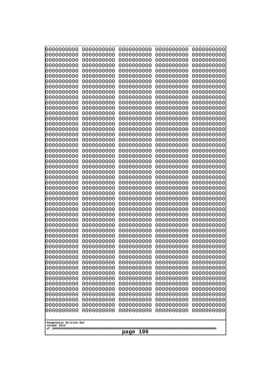| 10000000000                           | 0000000000               | 0000000000               | 0000000000               | 0000000000               |
|---------------------------------------|--------------------------|--------------------------|--------------------------|--------------------------|
| 0000000000<br>0000000000              | 0000000000<br>0000000000 | 0000000000<br>0000000000 | 0000000000<br>0000000000 | 0000000000<br>0000000000 |
| 0000000000                            | 0000000000               | 0000000000               | 0000000000               | 0000000000               |
| 0000000000                            | 0000000000               | 0000000000               | 0000000000               | 0000000000               |
| 0000000000                            | 0000000000               | 0000000000               | 0000000000               | 0000000000               |
| 0000000000<br>0000000000              | 0000000000<br>0000000000 | 0000000000<br>0000000000 | 0000000000<br>0000000000 | 0000000000<br>0000000000 |
| 0000000000                            | 0000000000               | 0000000000               | 0000000000               | 0000000000               |
| 0000000000                            | 0000000000               | 0000000000               | 0000000000               | 0000000000               |
| 0000000000<br>0000000000              | 0000000000<br>0000000000 | 0000000000<br>0000000000 | 0000000000<br>0000000000 | 0000000000<br>0000000000 |
| 0000000000                            | 0000000000               | 0000000000               | 0000000000               | 0000000000               |
| 0000000000                            | 0000000000               | 0000000000               | 0000000000               | 0000000000               |
| 0000000000                            | 0000000000               | 0000000000               | 0000000000               | 0000000000               |
| 0000000000<br>0000000000              | 0000000000<br>0000000000 | 0000000000<br>0000000000 | 0000000000<br>0000000000 | 0000000000<br>0000000000 |
| 0000000000                            | 0000000000               | 0000000000               | 0000000000               | 0000000000               |
| 0000000000                            | 0000000000               | 0000000000               | 0000000000               | 0000000000               |
| 0000000000<br>0000000000              | 0000000000<br>0000000000 | 0000000000<br>0000000000 | 0000000000<br>0000000000 | 0000000000<br>0000000000 |
| 0000000000                            | 0000000000               | 0000000000               | 0000000000               | 0000000000               |
| 0000000000                            | 0000000000               | 0000000000               | 0000000000               | 0000000000               |
| 0000000000                            | 0000000000               | 0000000000               | 0000000000               | 0000000000               |
| 0000000000<br>0000000000              | 0000000000<br>0000000000 | 0000000000<br>0000000000 | 0000000000<br>0000000000 | 0000000000<br>0000000000 |
| 0000000000                            | 0000000000               | 0000000000               | 0000000000               | 0000000000               |
| 0000000000                            | 0000000000               | 0000000000               | 0000000000               | 0000000000               |
| 0000000000<br>0000000000              | 0000000000<br>0000000000 | 0000000000<br>0000000000 | 0000000000<br>0000000000 | 0000000000<br>0000000000 |
| 0000000000                            | 0000000000               | 0000000000               | 0000000000               | 0000000000               |
| 0000000000                            | 0000000000               | 0000000000               | 0000000000               | 0000000000               |
| 0000000000<br>0000000000              | 0000000000<br>0000000000 | 0000000000<br>0000000000 | 0000000000<br>0000000000 | 0000000000<br>0000000000 |
| 0000000000                            | 0000000000               | 0000000000               | 0000000000               | 0000000000               |
| 0000000000                            | 0000000000               | 0000000000               | 0000000000               | 0000000000               |
| 0000000000                            | 0000000000               | 0000000000               | 0000000000               | 0000000000               |
| 0000000000<br>0000000000              | 0000000000<br>0000000000 | 0000000000<br>0000000000 | 0000000000<br>0000000000 | 0000000000<br>0000000000 |
| 0000000000                            | 0000000000               | 0000000000               | 0000000000               | 0000000000               |
| 0000000000                            | 0000000000               | 0000000000               | 0000000000               | 0000000000               |
| 0000000000<br>0000000000              | 0000000000<br>0000000000 | 0000000000<br>0000000000 | 0000000000<br>0000000000 | 0000000000<br>0000000000 |
| 0000000000                            | 0000000000               | 0000000000               | 0000000000               | 0000000000               |
| 0000000000                            | 0000000000               | 0000000000               | 0000000000               | 0000000000               |
| 0000000000                            | 0000000000               | 0000000000               | 0000000000               | 0000000000               |
| 0000000000<br>0000000000              | 0000000000<br>0000000000 | 0000000000<br>0000000000 | 0000000000<br>0000000000 | 0000000000<br>0000000000 |
| 0000000000                            | 0000000000               | 0000000000               | 0000000000               | 0000000000               |
| 0000000000                            | 0000000000               | 0000000000               | 0000000000               | 0000000000               |
|                                       |                          |                          |                          |                          |
| Googolplex Written Out<br>volume 1013 |                          |                          |                          |                          |
| 106<br>page                           |                          |                          |                          |                          |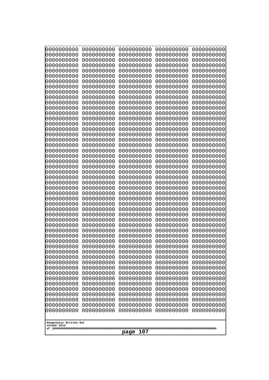| 10000000000<br>0000000000 | 0000000000<br>0000000000 | 0000000000<br>0000000000 | 0000000000<br>0000000000 | 0000000000<br>0000000000 |
|---------------------------|--------------------------|--------------------------|--------------------------|--------------------------|
| 0000000000                | 0000000000               | 0000000000               | 0000000000               | 0000000000               |
| 0000000000                | 0000000000               | 0000000000               | 0000000000               | 0000000000               |
| 0000000000<br>0000000000  | 0000000000<br>0000000000 | 0000000000               | 0000000000<br>0000000000 | 0000000000               |
| 0000000000                | 0000000000               | 0000000000<br>0000000000 | 0000000000               | 0000000000<br>0000000000 |
| 0000000000                | 0000000000               | 0000000000               | 0000000000               | 0000000000               |
| 0000000000                | 0000000000               | 0000000000               | 0000000000               | 0000000000               |
| 0000000000<br>0000000000  | 0000000000<br>0000000000 | 0000000000<br>0000000000 | 0000000000<br>0000000000 | 0000000000<br>0000000000 |
| 0000000000                | 0000000000               | 0000000000               | 0000000000               | 0000000000               |
| 0000000000                | 0000000000               | 0000000000               | 0000000000               | 0000000000               |
| 0000000000                | 0000000000               | 0000000000               | 0000000000               | 0000000000               |
| 0000000000<br>0000000000  | 0000000000<br>0000000000 | 0000000000<br>0000000000 | 0000000000<br>0000000000 | 0000000000<br>0000000000 |
| 0000000000                | 0000000000               | 0000000000               | 0000000000               | 0000000000               |
| 0000000000                | 0000000000               | 0000000000               | 0000000000               | 0000000000               |
| 0000000000<br>0000000000  | 0000000000<br>0000000000 | 0000000000<br>0000000000 | 0000000000<br>0000000000 | 0000000000<br>0000000000 |
| 0000000000                | 0000000000               | 0000000000               | 0000000000               | 0000000000               |
| 0000000000                | 0000000000               | 0000000000               | 0000000000               | 0000000000               |
| 0000000000                | 0000000000               | 0000000000               | 0000000000               | 0000000000               |
| 0000000000<br>0000000000  | 0000000000<br>0000000000 | 0000000000<br>0000000000 | 0000000000<br>0000000000 | 0000000000<br>0000000000 |
| 0000000000                | 0000000000               | 0000000000               | 0000000000               | 0000000000               |
| 0000000000                | 0000000000               | 0000000000               | 0000000000               | 0000000000               |
| 0000000000<br>0000000000  | 0000000000<br>0000000000 | 0000000000<br>0000000000 | 0000000000<br>0000000000 | 0000000000<br>0000000000 |
| 0000000000                | 0000000000               | 0000000000               | 0000000000               | 0000000000               |
| 0000000000                | 0000000000               | 0000000000               | 0000000000               | 0000000000               |
| 0000000000                | 0000000000               | 0000000000               | 0000000000               | 0000000000               |
| 0000000000<br>0000000000  | 0000000000<br>0000000000 | 0000000000<br>0000000000 | 0000000000<br>0000000000 | 0000000000<br>0000000000 |
| 0000000000                | 0000000000               | 0000000000               | 0000000000               | 0000000000               |
| 0000000000                | 0000000000               | 0000000000               | 0000000000               | 0000000000               |
| 0000000000<br>0000000000  | 0000000000<br>0000000000 | 0000000000<br>0000000000 | 0000000000<br>0000000000 | 0000000000<br>0000000000 |
| 0000000000                | 0000000000               | 0000000000               | 0000000000               | 0000000000               |
| 0000000000                | 0000000000               | 0000000000               | 0000000000               | 0000000000               |
| 0000000000<br>0000000000  | 0000000000               | 0000000000               | 0000000000               | 0000000000               |
| 0000000000                | 0000000000<br>0000000000 | 0000000000<br>0000000000 | 0000000000<br>0000000000 | 0000000000<br>0000000000 |
| 0000000000                | 0000000000               | 0000000000               | 0000000000               | 0000000000               |
| 0000000000                | 0000000000               | 0000000000               | 0000000000               | 0000000000               |
| 0000000000<br>0000000000  | 0000000000<br>0000000000 | 0000000000<br>0000000000 | 0000000000<br>0000000000 | 0000000000<br>0000000000 |
| 0000000000                | 0000000000               | 0000000000               | 0000000000               | 0000000000               |
| 0000000000                | 0000000000               | 0000000000               | 0000000000               | 0000000000               |
| 0000000000                | 0000000000               | 0000000000               | 0000000000               | 0000000000               |
| Googolplex Written Out    |                          |                          |                          |                          |
| volume 1013               |                          |                          |                          |                          |
| 107<br>page               |                          |                          |                          |                          |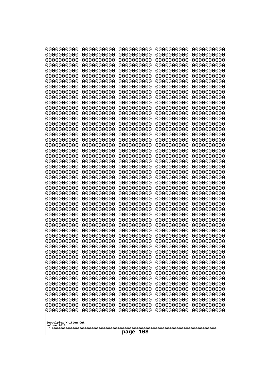| 000000000                             | 0000000000               | 0000000000               | 0000000000               | 0000000000               |
|---------------------------------------|--------------------------|--------------------------|--------------------------|--------------------------|
| 0000000000                            | 0000000000               | 0000000000               | 0000000000               | 0000000000               |
| 0000000000                            | 0000000000               | 0000000000               | 0000000000               | 0000000000               |
| 0000000000                            | 0000000000               | 0000000000               | 0000000000               | 0000000000               |
| 0000000000                            | 0000000000               | 0000000000               | 0000000000               | 0000000000               |
| 0000000000                            | 0000000000               | 0000000000               | 0000000000               | 0000000000               |
| 0000000000<br>0000000000              | 0000000000<br>0000000000 | 0000000000<br>0000000000 | 0000000000<br>0000000000 | 0000000000               |
| 0000000000                            | 0000000000               | 0000000000               | 0000000000               | 0000000000<br>0000000000 |
| 0000000000                            | 0000000000               | 0000000000               | 0000000000               | 0000000000               |
| 0000000000                            | 0000000000               | 0000000000               | 0000000000               | 0000000000               |
| 0000000000                            | 0000000000               | 0000000000               | 0000000000               | 0000000000               |
| 0000000000                            | 0000000000               | 0000000000               | 0000000000               | 0000000000               |
| 0000000000                            | 0000000000               | 0000000000               | 0000000000               | 0000000000               |
| 0000000000                            | 0000000000               | 0000000000               | 0000000000               | 0000000000               |
| 0000000000                            | 0000000000               | 0000000000               | 0000000000               | 0000000000               |
| 0000000000<br>0000000000              | 0000000000<br>0000000000 | 0000000000<br>0000000000 | 0000000000<br>0000000000 | 0000000000<br>0000000000 |
| 0000000000                            | 0000000000               | 0000000000               | 0000000000               | 0000000000               |
| 0000000000                            | 0000000000               | 0000000000               | 0000000000               | 0000000000               |
| 0000000000                            | 0000000000               | 0000000000               | 0000000000               | 0000000000               |
| 0000000000                            | 0000000000               | 0000000000               | 0000000000               | 0000000000               |
| 0000000000                            | 0000000000               | 0000000000               | 0000000000               | 0000000000               |
| 0000000000                            | 0000000000               | 0000000000               | 0000000000               | 0000000000               |
| 0000000000                            | 0000000000               | 0000000000               | 0000000000               | 0000000000               |
| 0000000000<br>0000000000              | 0000000000<br>0000000000 | 0000000000<br>0000000000 | 0000000000<br>0000000000 | 0000000000<br>0000000000 |
| 0000000000                            | 0000000000               | 0000000000               | 0000000000               | 0000000000               |
| 0000000000                            | 0000000000               | 0000000000               | 0000000000               | 0000000000               |
| 0000000000                            | 0000000000               | 0000000000               | 0000000000               | 0000000000               |
| 0000000000                            | 0000000000               | 0000000000               | 0000000000               | 0000000000               |
| 0000000000                            | 0000000000               | 0000000000               | 0000000000               | 0000000000               |
| 0000000000                            | 0000000000               | 0000000000               | 0000000000               | 0000000000               |
| 0000000000                            | 0000000000<br>0000000000 | 0000000000<br>0000000000 | 0000000000               | 0000000000               |
| 0000000000<br>0000000000              | 0000000000               | 0000000000               | 0000000000<br>0000000000 | 0000000000<br>0000000000 |
| 0000000000                            | 0000000000               | 0000000000               | 0000000000               | 0000000000               |
| 0000000000                            | 0000000000               | 0000000000               | 0000000000               | 0000000000               |
| 0000000000                            | 0000000000               | 0000000000               | 0000000000               | 0000000000               |
| 0000000000                            | 0000000000               | 0000000000               | 0000000000               | 0000000000               |
| 0000000000                            | 0000000000               | 0000000000               | 0000000000               | 0000000000               |
| 0000000000                            | 0000000000               | 0000000000               | 0000000000               | 0000000000               |
| 0000000000<br>0000000000              | 0000000000<br>0000000000 | 0000000000<br>0000000000 | 0000000000<br>0000000000 | 0000000000<br>0000000000 |
| 0000000000                            | 0000000000               | 0000000000               | 0000000000               | 0000000000               |
| 0000000000                            | 0000000000               | 0000000000               | 0000000000               | 0000000000               |
| 0000000000                            | 0000000000               | 0000000000               | 0000000000               | 0000000000               |
| 0000000000                            | 0000000000               | 0000000000               | 0000000000               | 0000000000               |
| 0000000000                            | 0000000000               | 0000000000               | 0000000000               | 0000000000               |
| 0000000000                            | 0000000000               | 0000000000               | 0000000000               | 0000000000               |
|                                       |                          |                          |                          |                          |
| Googolplex Written Out<br>volume 1013 |                          |                          |                          |                          |
|                                       |                          | 108<br>page              |                          |                          |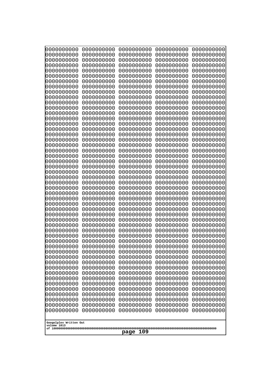| 000000000                             | 0000000000               | 0000000000               | 0000000000               | 0000000000               |
|---------------------------------------|--------------------------|--------------------------|--------------------------|--------------------------|
| 0000000000                            | 0000000000               | 0000000000               | 0000000000               | 0000000000               |
| 0000000000                            | 0000000000               | 0000000000               | 0000000000               | 0000000000               |
| 0000000000                            | 0000000000               | 0000000000               | 0000000000               | 0000000000               |
| 0000000000                            | 0000000000               | 0000000000               | 0000000000               | 0000000000               |
| 0000000000                            | 0000000000               | 0000000000               | 0000000000               | 0000000000               |
| 0000000000                            | 0000000000               | 0000000000               | 0000000000               | 0000000000               |
| 0000000000<br>0000000000              | 0000000000<br>0000000000 | 0000000000<br>0000000000 | 0000000000<br>0000000000 | 0000000000<br>0000000000 |
| 0000000000                            | 0000000000               | 0000000000               | 0000000000               | 0000000000               |
| 0000000000                            | 0000000000               | 0000000000               | 0000000000               | 0000000000               |
| 0000000000                            | 0000000000               | 0000000000               | 0000000000               | 0000000000               |
| 0000000000                            | 0000000000               | 0000000000               | 0000000000               | 0000000000               |
| 0000000000                            | 0000000000               | 0000000000               | 0000000000               | 0000000000               |
| 0000000000                            | 0000000000               | 0000000000               | 0000000000               | 0000000000               |
| 0000000000                            | 0000000000               | 0000000000               | 0000000000               | 0000000000               |
| 0000000000<br>0000000000              | 0000000000<br>0000000000 | 0000000000<br>0000000000 | 0000000000<br>0000000000 | 0000000000<br>0000000000 |
| 0000000000                            | 0000000000               | 0000000000               | 0000000000               | 0000000000               |
| 0000000000                            | 0000000000               | 0000000000               | 0000000000               | 0000000000               |
| 0000000000                            | 0000000000               | 0000000000               | 0000000000               | 0000000000               |
| 0000000000                            | 0000000000               | 0000000000               | 0000000000               | 0000000000               |
| 0000000000                            | 0000000000               | 0000000000               | 0000000000               | 0000000000               |
| 0000000000                            | 0000000000               | 0000000000               | 0000000000               | 0000000000               |
| 0000000000                            | 0000000000               | 0000000000               | 0000000000               | 0000000000               |
| 0000000000<br>0000000000              | 0000000000<br>0000000000 | 0000000000<br>0000000000 | 0000000000<br>0000000000 | 0000000000<br>0000000000 |
| 0000000000                            | 0000000000               | 0000000000               | 0000000000               | 0000000000               |
| 0000000000                            | 0000000000               | 0000000000               | 0000000000               | 0000000000               |
| 0000000000                            | 0000000000               | 0000000000               | 0000000000               | 0000000000               |
| 0000000000                            | 0000000000               | 0000000000               | 0000000000               | 0000000000               |
| 0000000000                            | 0000000000               | 0000000000               | 0000000000               | 0000000000               |
| 0000000000                            | 0000000000               | 0000000000               | 0000000000               | 0000000000               |
| 0000000000                            | 0000000000<br>0000000000 | 0000000000<br>0000000000 | 0000000000               | 0000000000               |
| 0000000000<br>0000000000              | 0000000000               | 0000000000               | 0000000000<br>0000000000 | 0000000000<br>0000000000 |
| 0000000000                            | 0000000000               | 0000000000               | 0000000000               | 0000000000               |
| 0000000000                            | 0000000000               | 0000000000               | 0000000000               | 0000000000               |
| 0000000000                            | 0000000000               | 0000000000               | 0000000000               | 0000000000               |
| 0000000000                            | 0000000000               | 0000000000               | 0000000000               | 0000000000               |
| 0000000000                            | 0000000000               | 0000000000               | 0000000000               | 0000000000               |
| 0000000000                            | 0000000000               | 0000000000               | 0000000000               | 0000000000               |
| 0000000000<br>0000000000              | 0000000000<br>0000000000 | 0000000000<br>0000000000 | 0000000000<br>0000000000 | 0000000000<br>0000000000 |
| 0000000000                            | 0000000000               | 0000000000               | 0000000000               | 0000000000               |
| 0000000000                            | 0000000000               | 0000000000               | 0000000000               | 0000000000               |
| 0000000000                            | 0000000000               | 0000000000               | 0000000000               | 0000000000               |
| 0000000000                            | 0000000000               | 0000000000               | 0000000000               | 0000000000               |
| 0000000000                            | 0000000000               | 0000000000               | 0000000000               | 0000000000               |
| 0000000000                            | 0000000000               | 0000000000               | 0000000000               | 0000000000               |
|                                       |                          |                          |                          |                          |
| Googolplex Written Out<br>volume 1013 |                          |                          |                          |                          |
|                                       |                          | 109<br>page              |                          |                          |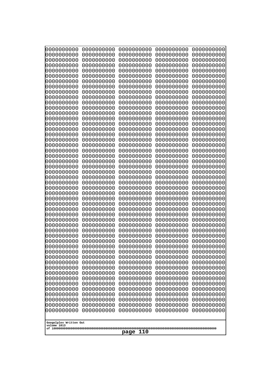| 000000000                             | 0000000000               | 0000000000               | 0000000000               | 0000000000               |
|---------------------------------------|--------------------------|--------------------------|--------------------------|--------------------------|
| 0000000000                            | 0000000000               | 0000000000               | 0000000000               | 0000000000               |
| 0000000000                            | 0000000000               | 0000000000               | 0000000000               | 0000000000               |
| 0000000000                            | 0000000000               | 0000000000               | 0000000000               | 0000000000               |
| 0000000000<br>0000000000              | 0000000000<br>0000000000 | 0000000000<br>0000000000 | 0000000000<br>0000000000 | 0000000000<br>0000000000 |
| 0000000000                            | 0000000000               | 0000000000               | 0000000000               | 0000000000               |
| 0000000000                            | 0000000000               | 0000000000               | 0000000000               | 0000000000               |
| 0000000000                            | 0000000000               | 0000000000               | 0000000000               | 0000000000               |
| 0000000000                            | 0000000000               | 0000000000               | 0000000000               | 0000000000               |
| 0000000000                            | 0000000000               | 0000000000               | 0000000000               | 0000000000               |
| 0000000000                            | 0000000000               | 0000000000               | 0000000000               | 0000000000               |
| 0000000000<br>0000000000              | 0000000000<br>0000000000 | 0000000000<br>0000000000 | 0000000000<br>0000000000 | 0000000000<br>0000000000 |
| 0000000000                            | 0000000000               | 0000000000               | 0000000000               | 0000000000               |
| 0000000000                            | 0000000000               | 0000000000               | 0000000000               | 0000000000               |
| 0000000000                            | 0000000000               | 0000000000               | 0000000000               | 0000000000               |
| 0000000000                            | 0000000000               | 0000000000               | 0000000000               | 0000000000               |
| 0000000000                            | 0000000000               | 0000000000               | 0000000000               | 0000000000               |
| 0000000000                            | 0000000000               | 0000000000               | 0000000000               | 0000000000               |
| 0000000000<br>0000000000              | 0000000000<br>0000000000 | 0000000000<br>0000000000 | 0000000000<br>0000000000 | 0000000000<br>0000000000 |
| 0000000000                            | 0000000000               | 0000000000               | 0000000000               | 0000000000               |
| 0000000000                            | 0000000000               | 0000000000               | 0000000000               | 0000000000               |
| 0000000000                            | 0000000000               | 0000000000               | 0000000000               | 0000000000               |
| 0000000000                            | 0000000000               | 0000000000               | 0000000000               | 0000000000               |
| 0000000000                            | 0000000000               | 0000000000               | 0000000000               | 0000000000               |
| 0000000000                            | 0000000000               | 0000000000               | 0000000000               | 0000000000               |
| 0000000000<br>0000000000              | 0000000000<br>0000000000 | 0000000000<br>0000000000 | 0000000000<br>0000000000 | 0000000000<br>0000000000 |
| 0000000000                            | 0000000000               | 0000000000               | 0000000000               | 0000000000               |
| 0000000000                            | 0000000000               | 0000000000               | 0000000000               | 0000000000               |
| 0000000000                            | 0000000000               | 0000000000               | 0000000000               | 0000000000               |
| 0000000000                            | 0000000000               | 0000000000               | 0000000000               | 0000000000               |
| 0000000000                            | 0000000000               | 0000000000               | 0000000000               | 0000000000               |
| 0000000000<br>0000000000              | 0000000000<br>0000000000 | 0000000000<br>0000000000 | 0000000000<br>0000000000 | 0000000000<br>0000000000 |
| 0000000000                            | 0000000000               | 0000000000               | 0000000000               | 0000000000               |
| 0000000000                            | 0000000000               | 0000000000               | 0000000000               | 0000000000               |
| 0000000000                            | 0000000000               | 0000000000               | 0000000000               | 0000000000               |
| 0000000000                            | 0000000000               | 0000000000               | 0000000000               | 0000000000               |
| 0000000000                            | 0000000000               | 0000000000               | 0000000000               | 0000000000               |
| 0000000000                            | 0000000000               | 0000000000               | 0000000000               | 0000000000               |
| 0000000000<br>0000000000              | 0000000000<br>0000000000 | 0000000000<br>0000000000 | 0000000000<br>0000000000 | 0000000000<br>0000000000 |
| 0000000000                            | 0000000000               | 0000000000               | 0000000000               | 0000000000               |
| 0000000000                            | 0000000000               | 0000000000               | 0000000000               | 0000000000               |
| 0000000000                            | 0000000000               | 0000000000               | 0000000000               | 0000000000               |
| 0000000000                            | 0000000000               | 0000000000               | 0000000000               | 0000000000               |
| 0000000000                            | 0000000000               | 0000000000               | 0000000000               | 0000000000               |
|                                       |                          |                          |                          |                          |
| Googolplex Written Out<br>volume 1013 |                          |                          |                          |                          |
|                                       |                          | 110<br>page              |                          |                          |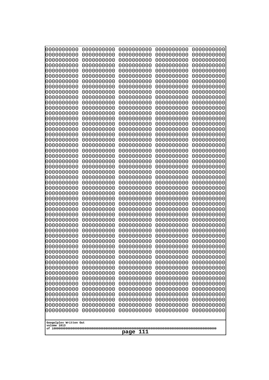| 10000000000              | 0000000000               | 0000000000<br>0000000000 | 0000000000<br>0000000000 | 0000000000<br>0000000000 |
|--------------------------|--------------------------|--------------------------|--------------------------|--------------------------|
| 0000000000<br>0000000000 | 0000000000<br>0000000000 | 0000000000               | 0000000000               | 0000000000               |
| 0000000000               | 0000000000               | 0000000000               | 0000000000               | 0000000000               |
| 0000000000               | 0000000000               | 0000000000               | 0000000000               | 0000000000               |
| 0000000000               | 0000000000               | 0000000000<br>0000000000 | 0000000000<br>0000000000 | 0000000000               |
| 0000000000<br>0000000000 | 0000000000<br>0000000000 | 0000000000               | 0000000000               | 0000000000<br>0000000000 |
| 0000000000               | 0000000000               | 0000000000               | 0000000000               | 0000000000               |
| 0000000000               | 0000000000               | 0000000000               | 0000000000               | 0000000000               |
| 0000000000               | 0000000000               | 0000000000               | 0000000000               | 0000000000               |
| 0000000000<br>0000000000 | 0000000000<br>0000000000 | 0000000000<br>0000000000 | 0000000000<br>0000000000 | 0000000000<br>0000000000 |
| 0000000000               | 0000000000               | 0000000000               | 0000000000               | 0000000000               |
| 0000000000               | 0000000000               | 0000000000               | 0000000000               | 0000000000               |
| 0000000000<br>0000000000 | 0000000000<br>0000000000 | 0000000000               | 0000000000<br>0000000000 | 0000000000               |
| 0000000000               | 0000000000               | 0000000000<br>0000000000 | 0000000000               | 0000000000<br>0000000000 |
| 0000000000               | 0000000000               | 0000000000               | 0000000000               | 0000000000               |
| 0000000000               | 0000000000               | 0000000000               | 0000000000               | 0000000000               |
| 0000000000<br>0000000000 | 0000000000<br>0000000000 | 0000000000<br>0000000000 | 0000000000<br>0000000000 | 0000000000<br>0000000000 |
| 0000000000               | 0000000000               | 0000000000               | 0000000000               | 0000000000               |
| 0000000000               | 0000000000               | 0000000000               | 0000000000               | 0000000000               |
| 0000000000               | 0000000000               | 0000000000               | 0000000000               | 0000000000               |
| 0000000000<br>0000000000 | 0000000000<br>0000000000 | 0000000000<br>0000000000 | 0000000000<br>0000000000 | 0000000000<br>0000000000 |
| 0000000000               | 0000000000               | 0000000000               | 0000000000               | 0000000000               |
| 0000000000               | 0000000000               | 0000000000               | 0000000000               | 0000000000               |
| 0000000000               | 0000000000               | 0000000000               | 0000000000               | 0000000000               |
| 0000000000<br>0000000000 | 0000000000<br>0000000000 | 0000000000<br>0000000000 | 0000000000<br>0000000000 | 0000000000<br>0000000000 |
| 0000000000               | 0000000000               | 0000000000               | 0000000000               | 0000000000               |
| 0000000000               | 0000000000               | 0000000000               | 0000000000               | 0000000000               |
| 0000000000               | 0000000000               | 0000000000               | 0000000000               | 0000000000               |
| 0000000000<br>0000000000 | 0000000000<br>0000000000 | 0000000000<br>0000000000 | 0000000000<br>0000000000 | 0000000000<br>0000000000 |
| 0000000000               | 0000000000               | 0000000000               | 0000000000               | 0000000000               |
| 0000000000               | 0000000000               | 0000000000               | 0000000000               | 0000000000               |
| 0000000000               | 0000000000               | 0000000000               | 0000000000               | 0000000000               |
| 0000000000<br>0000000000 | 0000000000<br>0000000000 | 0000000000<br>0000000000 | 0000000000<br>0000000000 | 0000000000<br>0000000000 |
| 0000000000               | 0000000000               | 0000000000               | 0000000000               | 0000000000               |
| 0000000000               | 0000000000               | 0000000000               | 0000000000               | 0000000000               |
| 0000000000               | 0000000000               | 0000000000               | 0000000000               | 0000000000               |
| 0000000000<br>0000000000 | 0000000000<br>0000000000 | 0000000000<br>0000000000 | 0000000000<br>0000000000 | 0000000000<br>0000000000 |
| 0000000000               | 0000000000               | 0000000000               | 0000000000               | 0000000000               |
| 0000000000               | 0000000000               | 0000000000               | 0000000000               | 0000000000               |
| 0000000000               | 0000000000               | 0000000000               | 0000000000               | 0000000000               |
| Googolplex Written Out   |                          |                          |                          |                          |
| volume 1013              |                          |                          |                          |                          |
| 111<br>page              |                          |                          |                          |                          |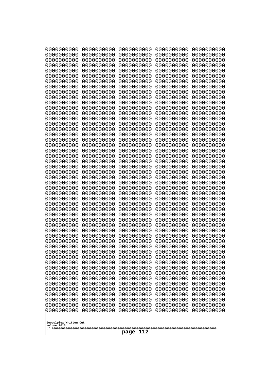| 000000000                             | 0000000000               | 0000000000               | 0000000000               | 0000000000               |
|---------------------------------------|--------------------------|--------------------------|--------------------------|--------------------------|
| 0000000000                            | 0000000000               | 0000000000               | 0000000000               | 0000000000               |
| 0000000000                            | 0000000000               | 0000000000               | 0000000000               | 0000000000               |
| 0000000000                            | 0000000000               | 0000000000               | 0000000000               | 0000000000               |
| 0000000000                            | 0000000000               | 0000000000               | 0000000000               | 0000000000               |
| 0000000000                            | 0000000000               | 0000000000               | 0000000000               | 0000000000               |
| 0000000000                            | 0000000000               | 0000000000               | 0000000000               | 0000000000               |
| 0000000000<br>0000000000              | 0000000000<br>0000000000 | 0000000000<br>0000000000 | 0000000000<br>0000000000 | 0000000000<br>0000000000 |
| 0000000000                            | 0000000000               | 0000000000               | 0000000000               | 0000000000               |
| 0000000000                            | 0000000000               | 0000000000               | 0000000000               | 0000000000               |
| 0000000000                            | 0000000000               | 0000000000               | 0000000000               | 0000000000               |
| 0000000000                            | 0000000000               | 0000000000               | 0000000000               | 0000000000               |
| 0000000000                            | 0000000000               | 0000000000               | 0000000000               | 0000000000               |
| 0000000000                            | 0000000000               | 0000000000               | 0000000000               | 0000000000               |
| 0000000000                            | 0000000000               | 0000000000               | 0000000000               | 0000000000               |
| 0000000000<br>0000000000              | 0000000000<br>0000000000 | 0000000000<br>0000000000 | 0000000000<br>0000000000 | 0000000000<br>0000000000 |
| 0000000000                            | 0000000000               | 0000000000               | 0000000000               | 0000000000               |
| 0000000000                            | 0000000000               | 0000000000               | 0000000000               | 0000000000               |
| 0000000000                            | 0000000000               | 0000000000               | 0000000000               | 0000000000               |
| 0000000000                            | 0000000000               | 0000000000               | 0000000000               | 0000000000               |
| 0000000000                            | 0000000000               | 0000000000               | 0000000000               | 0000000000               |
| 0000000000                            | 0000000000               | 0000000000               | 0000000000               | 0000000000               |
| 0000000000                            | 0000000000               | 0000000000               | 0000000000               | 0000000000               |
| 0000000000<br>0000000000              | 0000000000<br>0000000000 | 0000000000<br>0000000000 | 0000000000<br>0000000000 | 0000000000<br>0000000000 |
| 0000000000                            | 0000000000               | 0000000000               | 0000000000               | 0000000000               |
| 0000000000                            | 0000000000               | 0000000000               | 0000000000               | 0000000000               |
| 0000000000                            | 0000000000               | 0000000000               | 0000000000               | 0000000000               |
| 0000000000                            | 0000000000               | 0000000000               | 0000000000               | 0000000000               |
| 0000000000                            | 0000000000               | 0000000000               | 0000000000               | 0000000000               |
| 0000000000                            | 0000000000               | 0000000000               | 0000000000               | 0000000000               |
| 0000000000                            | 0000000000<br>0000000000 | 0000000000<br>0000000000 | 0000000000               | 0000000000               |
| 0000000000<br>0000000000              | 0000000000               | 0000000000               | 0000000000<br>0000000000 | 0000000000<br>0000000000 |
| 0000000000                            | 0000000000               | 0000000000               | 0000000000               | 0000000000               |
| 0000000000                            | 0000000000               | 0000000000               | 0000000000               | 0000000000               |
| 0000000000                            | 0000000000               | 0000000000               | 0000000000               | 0000000000               |
| 0000000000                            | 0000000000               | 0000000000               | 0000000000               | 0000000000               |
| 0000000000                            | 0000000000               | 0000000000               | 0000000000               | 0000000000               |
| 0000000000                            | 0000000000               | 0000000000               | 0000000000               | 0000000000               |
| 0000000000<br>0000000000              | 0000000000<br>0000000000 | 0000000000<br>0000000000 | 0000000000<br>0000000000 | 0000000000<br>0000000000 |
| 0000000000                            | 0000000000               | 0000000000               | 0000000000               | 0000000000               |
| 0000000000                            | 0000000000               | 0000000000               | 0000000000               | 0000000000               |
| 0000000000                            | 0000000000               | 0000000000               | 0000000000               | 0000000000               |
| 0000000000                            | 0000000000               | 0000000000               | 0000000000               | 0000000000               |
| 0000000000                            | 0000000000               | 0000000000               | 0000000000               | 0000000000               |
| 0000000000                            | 0000000000               | 0000000000               | 0000000000               | 0000000000               |
|                                       |                          |                          |                          |                          |
| Googolplex Written Out<br>volume 1013 |                          |                          |                          |                          |
|                                       |                          | 112<br>page              |                          |                          |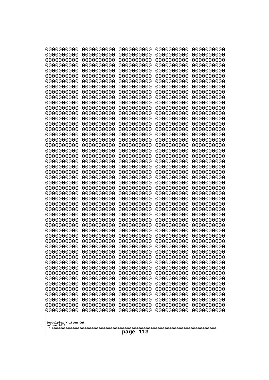| 0000000000               | 0000000000               | 0000000000               | 0000000000               | 0000000000               |
|--------------------------|--------------------------|--------------------------|--------------------------|--------------------------|
| 0000000000<br>0000000000 | 0000000000<br>0000000000 | 0000000000<br>0000000000 | 0000000000<br>0000000000 | 0000000000<br>0000000000 |
| 0000000000               | 0000000000               | 0000000000               | 0000000000               | 0000000000               |
| 0000000000               | 0000000000               | 0000000000               | 0000000000               | 0000000000               |
| 0000000000               | 0000000000               | 0000000000               | 0000000000               | 0000000000               |
| 0000000000               | 0000000000               | 0000000000               | 0000000000               | 0000000000               |
| 0000000000<br>0000000000 | 0000000000<br>0000000000 | 0000000000<br>0000000000 | 0000000000<br>0000000000 | 0000000000<br>0000000000 |
| 0000000000               | 0000000000               | 0000000000               | 0000000000               | 0000000000               |
| 0000000000               | 0000000000               | 0000000000               | 0000000000               | 0000000000               |
| 0000000000               | 0000000000               | 0000000000               | 0000000000               | 0000000000               |
| 0000000000<br>0000000000 | 0000000000<br>0000000000 | 0000000000<br>0000000000 | 0000000000<br>0000000000 | 0000000000<br>0000000000 |
| 0000000000               | 0000000000               | 0000000000               | 0000000000               | 0000000000               |
| 0000000000               | 0000000000               | 0000000000               | 0000000000               | 0000000000               |
| 0000000000<br>0000000000 | 0000000000<br>0000000000 | 0000000000<br>0000000000 | 0000000000<br>0000000000 | 0000000000<br>0000000000 |
| 0000000000               | 0000000000               | 0000000000               | 0000000000               | 0000000000               |
| 0000000000               | 0000000000               | 0000000000               | 0000000000               | 0000000000               |
| 0000000000               | 0000000000               | 0000000000               | 0000000000               | 0000000000               |
| 0000000000<br>0000000000 | 0000000000<br>0000000000 | 0000000000<br>0000000000 | 0000000000<br>0000000000 | 0000000000<br>0000000000 |
| 0000000000               | 0000000000               | 0000000000               | 0000000000               | 0000000000               |
| 0000000000               | 0000000000               | 0000000000               | 0000000000               | 0000000000               |
| 0000000000               | 0000000000               | 0000000000               | 0000000000               | 0000000000               |
| 0000000000<br>0000000000 | 0000000000<br>0000000000 | 0000000000<br>0000000000 | 0000000000<br>0000000000 | 0000000000<br>0000000000 |
| 0000000000               | 0000000000               | 0000000000               | 0000000000               | 0000000000               |
| 0000000000               | 0000000000               | 0000000000               | 0000000000               | 0000000000               |
| 0000000000<br>0000000000 | 0000000000<br>0000000000 | 0000000000<br>0000000000 | 0000000000<br>0000000000 | 0000000000<br>0000000000 |
| 0000000000               | 0000000000               | 0000000000               | 0000000000               | 0000000000               |
| 0000000000               | 0000000000               | 0000000000               | 0000000000               | 0000000000               |
| 0000000000               | 0000000000               | 0000000000               | 0000000000               | 0000000000               |
| 0000000000<br>0000000000 | 0000000000<br>0000000000 | 0000000000<br>0000000000 | 0000000000<br>0000000000 | 0000000000<br>0000000000 |
| 0000000000               | 0000000000               | 0000000000               | 0000000000               | 0000000000               |
| 0000000000               | 0000000000               | 0000000000               | 0000000000               | 0000000000               |
| 0000000000               | 0000000000               | 0000000000               | 0000000000               | 0000000000               |
| 0000000000<br>0000000000 | 0000000000<br>0000000000 | 0000000000<br>0000000000 | 0000000000<br>0000000000 | 0000000000<br>0000000000 |
| 0000000000               | 0000000000               | 0000000000               | 0000000000               | 0000000000               |
| 0000000000               | 0000000000               | 0000000000               | 0000000000               | 0000000000               |
| 0000000000<br>0000000000 | 0000000000<br>0000000000 | 0000000000<br>0000000000 | 0000000000<br>0000000000 | 0000000000<br>0000000000 |
| 0000000000               | 0000000000               | 0000000000               | 0000000000               | 0000000000               |
| 0000000000               | 0000000000               | 0000000000               | 0000000000               | 0000000000               |
| 0000000000               | 0000000000               | 0000000000               | 0000000000               | 0000000000               |
| 0000000000               | 0000000000               | 0000000000               | 0000000000               | 0000000000               |
| Googolplex Written Out   |                          |                          |                          |                          |
| volume 1013              |                          |                          |                          |                          |
| 113<br>page              |                          |                          |                          |                          |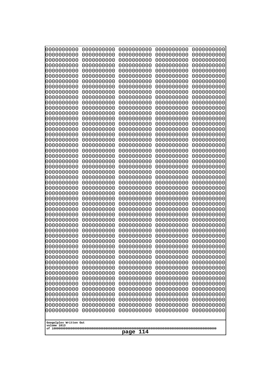| 10000000000<br>0000000000             | 0000000000<br>0000000000 | 0000000000<br>0000000000 | 0000000000<br>0000000000 | 0000000000<br>0000000000 |
|---------------------------------------|--------------------------|--------------------------|--------------------------|--------------------------|
| 0000000000                            | 0000000000               | 0000000000               | 0000000000               | 0000000000               |
| 0000000000                            | 0000000000               | 0000000000               | 0000000000               | 0000000000               |
| 0000000000                            | 0000000000               | 0000000000               | 0000000000               | 0000000000               |
| 0000000000<br>0000000000              | 0000000000<br>0000000000 | 0000000000<br>0000000000 | 0000000000<br>0000000000 | 0000000000<br>0000000000 |
| 0000000000                            | 0000000000               | 0000000000               | 0000000000               | 0000000000               |
| 0000000000                            | 0000000000               | 0000000000               | 0000000000               | 0000000000               |
| 0000000000                            | 0000000000               | 0000000000               | 0000000000               | 0000000000               |
| 0000000000<br>0000000000              | 0000000000<br>0000000000 | 0000000000<br>0000000000 | 0000000000<br>0000000000 | 0000000000<br>0000000000 |
| 0000000000                            | 0000000000               | 0000000000               | 0000000000               | 0000000000               |
| 0000000000                            | 0000000000               | 0000000000               | 0000000000               | 0000000000               |
| 0000000000                            | 0000000000               | 0000000000               | 0000000000               | 0000000000               |
| 0000000000<br>0000000000              | 0000000000<br>0000000000 | 0000000000<br>0000000000 | 0000000000<br>0000000000 | 0000000000<br>0000000000 |
| 0000000000                            | 0000000000               | 0000000000               | 0000000000               | 0000000000               |
| 0000000000                            | 0000000000               | 0000000000               | 0000000000               | 0000000000               |
| 0000000000                            | 0000000000               | 0000000000               | 0000000000               | 0000000000               |
| 0000000000<br>0000000000              | 0000000000<br>0000000000 | 0000000000<br>0000000000 | 0000000000<br>0000000000 | 0000000000<br>0000000000 |
| 0000000000                            | 0000000000               | 0000000000               | 0000000000               | 0000000000               |
| 0000000000                            | 0000000000               | 0000000000               | 0000000000               | 0000000000               |
| 0000000000                            | 0000000000               | 0000000000               | 0000000000               | 0000000000               |
| 0000000000<br>0000000000              | 0000000000<br>0000000000 | 0000000000<br>0000000000 | 0000000000<br>0000000000 | 0000000000<br>0000000000 |
| 0000000000                            | 0000000000               | 0000000000               | 0000000000               | 0000000000               |
| 0000000000                            | 0000000000               | 0000000000               | 0000000000               | 0000000000               |
| 0000000000<br>0000000000              | 0000000000<br>0000000000 | 0000000000<br>0000000000 | 0000000000<br>0000000000 | 0000000000<br>0000000000 |
| 0000000000                            | 0000000000               | 0000000000               | 0000000000               | 0000000000               |
| 0000000000                            | 0000000000               | 0000000000               | 0000000000               | 0000000000               |
| 0000000000<br>0000000000              | 0000000000<br>0000000000 | 0000000000<br>0000000000 | 0000000000<br>0000000000 | 0000000000               |
| 0000000000                            | 0000000000               | 0000000000               | 0000000000               | 0000000000<br>0000000000 |
| 0000000000                            | 0000000000               | 0000000000               | 0000000000               | 0000000000               |
| 0000000000                            | 0000000000               | 0000000000               | 0000000000               | 0000000000               |
| 0000000000<br>0000000000              | 0000000000<br>0000000000 | 0000000000<br>0000000000 | 0000000000<br>0000000000 | 0000000000<br>0000000000 |
| 0000000000                            | 0000000000               | 0000000000               | 0000000000               | 0000000000               |
| 0000000000                            | 0000000000               | 0000000000               | 0000000000               | 0000000000               |
| 0000000000                            | 0000000000               | 0000000000               | 0000000000               | 0000000000               |
| 0000000000<br>0000000000              | 0000000000<br>0000000000 | 0000000000<br>0000000000 | 0000000000<br>0000000000 | 0000000000<br>0000000000 |
| 0000000000                            | 0000000000               | 0000000000               | 0000000000               | 0000000000               |
| 0000000000                            | 0000000000               | 0000000000               | 0000000000               | 0000000000               |
| 0000000000<br>0000000000              | 0000000000<br>0000000000 | 0000000000<br>0000000000 | 0000000000<br>0000000000 | 0000000000<br>0000000000 |
| 0000000000                            | 0000000000               | 0000000000               | 0000000000               | 0000000000               |
|                                       |                          |                          |                          |                          |
| Googolplex Written Out<br>volume 1013 |                          |                          |                          |                          |
|                                       |                          | 114<br>page              |                          |                          |
|                                       |                          |                          |                          |                          |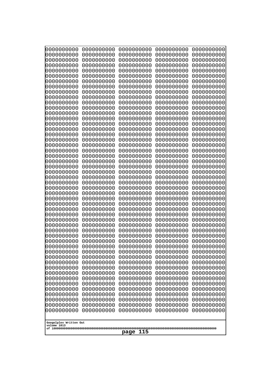| 10000000000<br>0000000000 | 0000000000<br>0000000000 | 0000000000<br>0000000000 | 0000000000<br>0000000000 | 0000000000<br>0000000000 |
|---------------------------|--------------------------|--------------------------|--------------------------|--------------------------|
| 0000000000                | 0000000000               | 0000000000               | 0000000000               | 0000000000               |
| 0000000000                | 0000000000               | 0000000000               | 0000000000               | 0000000000               |
| 0000000000<br>0000000000  | 0000000000<br>0000000000 | 0000000000               | 0000000000<br>0000000000 | 0000000000               |
| 0000000000                | 0000000000               | 0000000000<br>0000000000 | 0000000000               | 0000000000<br>0000000000 |
| 0000000000                | 0000000000               | 0000000000               | 0000000000               | 0000000000               |
| 0000000000                | 0000000000               | 0000000000               | 0000000000               | 0000000000               |
| 0000000000<br>0000000000  | 0000000000<br>0000000000 | 0000000000<br>0000000000 | 0000000000<br>0000000000 | 0000000000<br>0000000000 |
| 0000000000                | 0000000000               | 0000000000               | 0000000000               | 0000000000               |
| 0000000000                | 0000000000               | 0000000000               | 0000000000               | 0000000000               |
| 0000000000                | 0000000000               | 0000000000               | 0000000000               | 0000000000               |
| 0000000000<br>0000000000  | 0000000000<br>0000000000 | 0000000000<br>0000000000 | 0000000000<br>0000000000 | 0000000000<br>0000000000 |
| 0000000000                | 0000000000               | 0000000000               | 0000000000               | 0000000000               |
| 0000000000                | 0000000000               | 0000000000               | 0000000000               | 0000000000               |
| 0000000000<br>0000000000  | 0000000000<br>0000000000 | 0000000000<br>0000000000 | 0000000000<br>0000000000 | 0000000000<br>0000000000 |
| 0000000000                | 0000000000               | 0000000000               | 0000000000               | 0000000000               |
| 0000000000                | 0000000000               | 0000000000               | 0000000000               | 0000000000               |
| 0000000000                | 0000000000               | 0000000000               | 0000000000               | 0000000000               |
| 0000000000<br>0000000000  | 0000000000<br>0000000000 | 0000000000<br>0000000000 | 0000000000<br>0000000000 | 0000000000<br>0000000000 |
| 0000000000                | 0000000000               | 0000000000               | 0000000000               | 0000000000               |
| 0000000000                | 0000000000               | 0000000000               | 0000000000               | 0000000000               |
| 0000000000<br>0000000000  | 0000000000<br>0000000000 | 0000000000<br>0000000000 | 0000000000<br>0000000000 | 0000000000<br>0000000000 |
| 0000000000                | 0000000000               | 0000000000               | 0000000000               | 0000000000               |
| 0000000000                | 0000000000               | 0000000000               | 0000000000               | 0000000000               |
| 0000000000                | 0000000000               | 0000000000               | 0000000000               | 0000000000               |
| 0000000000<br>0000000000  | 0000000000<br>0000000000 | 0000000000<br>0000000000 | 0000000000<br>0000000000 | 0000000000<br>0000000000 |
| 0000000000                | 0000000000               | 0000000000               | 0000000000               | 0000000000               |
| 0000000000                | 0000000000               | 0000000000               | 0000000000               | 0000000000               |
| 0000000000<br>0000000000  | 0000000000<br>0000000000 | 0000000000<br>0000000000 | 0000000000<br>0000000000 | 0000000000<br>0000000000 |
| 0000000000                | 0000000000               | 0000000000               | 0000000000               | 0000000000               |
| 0000000000                | 0000000000               | 0000000000               | 0000000000               | 0000000000               |
| 0000000000<br>0000000000  | 0000000000               | 0000000000               | 0000000000               | 0000000000               |
| 0000000000                | 0000000000<br>0000000000 | 0000000000<br>0000000000 | 0000000000<br>0000000000 | 0000000000<br>0000000000 |
| 0000000000                | 0000000000               | 0000000000               | 0000000000               | 0000000000               |
| 0000000000                | 0000000000               | 0000000000               | 0000000000               | 0000000000               |
| 0000000000<br>0000000000  | 0000000000<br>0000000000 | 0000000000<br>0000000000 | 0000000000<br>0000000000 | 0000000000<br>0000000000 |
| 0000000000                | 0000000000               | 0000000000               | 0000000000               | 0000000000               |
| 0000000000                | 0000000000               | 0000000000               | 0000000000               | 0000000000               |
| 0000000000                | 0000000000               | 0000000000               | 0000000000               | 0000000000               |
| Googolplex Written Out    |                          |                          |                          |                          |
| volume 1013               |                          |                          |                          |                          |
| 115<br>page               |                          |                          |                          |                          |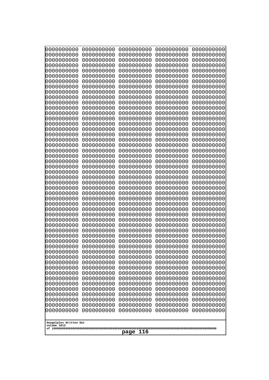| 000000000                             | 0000000000               | 0000000000               | 0000000000               | 0000000000               |  |
|---------------------------------------|--------------------------|--------------------------|--------------------------|--------------------------|--|
| 0000000000                            | 0000000000               | 0000000000               | 0000000000               | 0000000000               |  |
| 0000000000                            | 0000000000               | 0000000000               | 0000000000               | 0000000000               |  |
| 0000000000                            | 0000000000               | 0000000000               | 0000000000               | 0000000000               |  |
| 0000000000                            | 0000000000               | 0000000000               | 0000000000               | 0000000000               |  |
| 0000000000                            | 0000000000               | 0000000000               | 0000000000               | 0000000000               |  |
| 0000000000                            | 0000000000               | 0000000000               | 0000000000               | 0000000000               |  |
| 0000000000<br>0000000000              | 0000000000<br>0000000000 | 0000000000<br>0000000000 | 0000000000<br>0000000000 | 0000000000<br>0000000000 |  |
| 0000000000                            | 0000000000               | 0000000000               | 0000000000               | 0000000000               |  |
| 0000000000                            | 0000000000               | 0000000000               | 0000000000               | 0000000000               |  |
| 0000000000                            | 0000000000               | 0000000000               | 0000000000               | 0000000000               |  |
| 0000000000                            | 0000000000               | 0000000000               | 0000000000               | 0000000000               |  |
| 0000000000                            | 0000000000               | 0000000000               | 0000000000               | 0000000000               |  |
| 0000000000                            | 0000000000               | 0000000000               | 0000000000               | 0000000000               |  |
| 0000000000                            | 0000000000               | 0000000000               | 0000000000               | 0000000000               |  |
| 0000000000<br>0000000000              | 0000000000<br>0000000000 | 0000000000<br>0000000000 | 0000000000<br>0000000000 | 0000000000<br>0000000000 |  |
| 0000000000                            | 0000000000               | 0000000000               | 0000000000               | 0000000000               |  |
| 0000000000                            | 0000000000               | 0000000000               | 0000000000               | 0000000000               |  |
| 0000000000                            | 0000000000               | 0000000000               | 0000000000               | 0000000000               |  |
| 0000000000                            | 0000000000               | 0000000000               | 0000000000               | 0000000000               |  |
| 0000000000                            | 0000000000               | 0000000000               | 0000000000               | 0000000000               |  |
| 0000000000                            | 0000000000               | 0000000000               | 0000000000               | 0000000000               |  |
| 0000000000                            | 0000000000               | 0000000000               | 0000000000               | 0000000000               |  |
| 0000000000<br>0000000000              | 0000000000<br>0000000000 | 0000000000<br>0000000000 | 0000000000<br>0000000000 | 0000000000<br>0000000000 |  |
| 0000000000                            | 0000000000               | 0000000000               | 0000000000               | 0000000000               |  |
| 0000000000                            | 0000000000               | 0000000000               | 0000000000               | 0000000000               |  |
| 0000000000                            | 0000000000               | 0000000000               | 0000000000               | 0000000000               |  |
| 0000000000                            | 0000000000               | 0000000000               | 0000000000               | 0000000000               |  |
| 0000000000                            | 0000000000               | 0000000000               | 0000000000               | 0000000000               |  |
| 0000000000                            | 0000000000               | 0000000000               | 0000000000               | 0000000000               |  |
| 0000000000                            | 0000000000<br>0000000000 | 0000000000<br>0000000000 | 0000000000               | 0000000000               |  |
| 0000000000<br>0000000000              | 0000000000               | 0000000000               | 0000000000<br>0000000000 | 0000000000<br>0000000000 |  |
| 0000000000                            | 0000000000               | 0000000000               | 0000000000               | 0000000000               |  |
| 0000000000                            | 0000000000               | 0000000000               | 0000000000               | 0000000000               |  |
| 0000000000                            | 0000000000               | 0000000000               | 0000000000               | 0000000000               |  |
| 0000000000                            | 0000000000               | 0000000000               | 0000000000               | 0000000000               |  |
| 0000000000                            | 0000000000               | 0000000000               | 0000000000               | 0000000000               |  |
| 0000000000                            | 0000000000               | 0000000000               | 0000000000               | 0000000000               |  |
| 0000000000<br>0000000000              | 0000000000<br>0000000000 | 0000000000<br>0000000000 | 0000000000<br>0000000000 | 0000000000<br>0000000000 |  |
| 0000000000                            | 0000000000               | 0000000000               | 0000000000               | 0000000000               |  |
| 0000000000                            | 0000000000               | 0000000000               | 0000000000               | 0000000000               |  |
| 0000000000                            | 0000000000               | 0000000000               | 0000000000               | 0000000000               |  |
| 0000000000                            | 0000000000               | 0000000000               | 0000000000               | 0000000000               |  |
| 0000000000                            | 0000000000               | 0000000000               | 0000000000               | 0000000000               |  |
| 0000000000                            | 0000000000               | 0000000000               | 0000000000               | 0000000000               |  |
|                                       |                          |                          |                          |                          |  |
| Googolplex Written Out<br>volume 1013 |                          |                          |                          |                          |  |
|                                       | 116<br>page              |                          |                          |                          |  |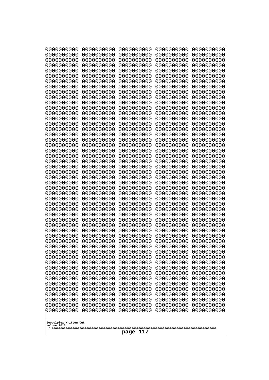| 10000000000<br>0000000000             | 0000000000<br>0000000000 | 0000000000<br>0000000000 | 0000000000<br>0000000000 | 0000000000<br>0000000000 |
|---------------------------------------|--------------------------|--------------------------|--------------------------|--------------------------|
| 0000000000                            | 0000000000               | 0000000000               | 0000000000               | 0000000000               |
| 0000000000                            | 0000000000               | 0000000000               | 0000000000               | 0000000000               |
| 0000000000                            | 0000000000               | 0000000000               | 0000000000               | 0000000000               |
| 0000000000<br>0000000000              | 0000000000<br>0000000000 | 0000000000<br>0000000000 | 0000000000<br>0000000000 | 0000000000<br>0000000000 |
| 0000000000                            | 0000000000               | 0000000000               | 0000000000               | 0000000000               |
| 0000000000                            | 0000000000               | 0000000000               | 0000000000               | 0000000000               |
| 0000000000                            | 0000000000               | 0000000000               | 0000000000               | 0000000000               |
| 0000000000<br>0000000000              | 0000000000<br>0000000000 | 0000000000<br>0000000000 | 0000000000<br>0000000000 | 0000000000<br>0000000000 |
| 0000000000                            | 0000000000               | 0000000000               | 0000000000               | 0000000000               |
| 0000000000                            | 0000000000               | 0000000000               | 0000000000               | 0000000000               |
| 0000000000                            | 0000000000               | 0000000000               | 0000000000               | 0000000000               |
| 0000000000<br>0000000000              | 0000000000<br>0000000000 | 0000000000<br>0000000000 | 0000000000<br>0000000000 | 0000000000<br>0000000000 |
| 0000000000                            | 0000000000               | 0000000000               | 0000000000               | 0000000000               |
| 0000000000                            | 0000000000               | 0000000000               | 0000000000               | 0000000000               |
| 0000000000<br>0000000000              | 0000000000               | 0000000000               | 0000000000               | 0000000000               |
| 0000000000                            | 0000000000<br>0000000000 | 0000000000<br>0000000000 | 0000000000<br>0000000000 | 0000000000<br>0000000000 |
| 0000000000                            | 0000000000               | 0000000000               | 0000000000               | 0000000000               |
| 0000000000                            | 0000000000               | 0000000000               | 0000000000               | 0000000000               |
| 0000000000<br>0000000000              | 0000000000<br>0000000000 | 0000000000<br>0000000000 | 0000000000<br>0000000000 | 0000000000<br>0000000000 |
| 0000000000                            | 0000000000               | 0000000000               | 0000000000               | 0000000000               |
| 0000000000                            | 0000000000               | 0000000000               | 0000000000               | 0000000000               |
| 0000000000                            | 0000000000               | 0000000000               | 0000000000               | 0000000000               |
| 0000000000<br>0000000000              | 0000000000<br>0000000000 | 0000000000<br>0000000000 | 0000000000<br>0000000000 | 0000000000<br>0000000000 |
| 0000000000                            | 0000000000               | 0000000000               | 0000000000               | 0000000000               |
| 0000000000                            | 0000000000               | 0000000000               | 0000000000               | 0000000000               |
| 0000000000<br>0000000000              | 0000000000<br>0000000000 | 0000000000<br>0000000000 | 0000000000<br>0000000000 | 0000000000<br>0000000000 |
| 0000000000                            | 0000000000               | 0000000000               | 0000000000               | 0000000000               |
| 0000000000                            | 0000000000               | 0000000000               | 0000000000               | 0000000000               |
| 0000000000                            | 0000000000               | 0000000000               | 0000000000               | 0000000000               |
| 0000000000<br>0000000000              | 0000000000<br>0000000000 | 0000000000<br>0000000000 | 0000000000<br>0000000000 | 0000000000<br>0000000000 |
| 0000000000                            | 0000000000               | 0000000000               | 0000000000               | 0000000000               |
| 0000000000                            | 0000000000               | 0000000000               | 0000000000               | 0000000000               |
| 0000000000<br>0000000000              | 0000000000<br>0000000000 | 0000000000<br>0000000000 | 0000000000<br>0000000000 | 0000000000<br>0000000000 |
| 0000000000                            | 0000000000               | 0000000000               | 0000000000               | 0000000000               |
| 0000000000                            | 0000000000               | 0000000000               | 0000000000               | 0000000000               |
| 0000000000                            | 0000000000               | 0000000000               | 0000000000               | 0000000000               |
| 0000000000<br>0000000000              | 0000000000<br>0000000000 | 0000000000<br>0000000000 | 0000000000<br>0000000000 | 0000000000<br>0000000000 |
| 0000000000                            | 0000000000               | 0000000000               | 0000000000               | 0000000000               |
|                                       |                          |                          |                          |                          |
| Googolplex Written Out<br>volume 1013 |                          |                          |                          |                          |
| 117<br>page                           |                          |                          |                          |                          |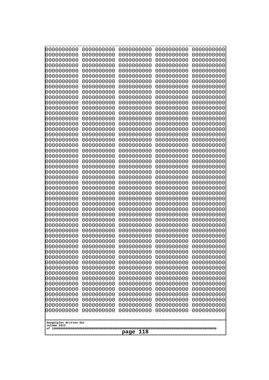| 10000000000<br>0000000000             | 0000000000<br>0000000000 | 0000000000<br>0000000000 | 0000000000<br>0000000000 | 0000000000<br>0000000000 |  |
|---------------------------------------|--------------------------|--------------------------|--------------------------|--------------------------|--|
| 0000000000                            | 0000000000               | 0000000000               | 0000000000               | 0000000000               |  |
| 0000000000                            | 0000000000               | 0000000000               | 0000000000               | 0000000000               |  |
| 0000000000<br>0000000000              | 0000000000<br>0000000000 | 0000000000               | 0000000000<br>0000000000 | 0000000000               |  |
| 0000000000                            | 0000000000               | 0000000000<br>0000000000 | 0000000000               | 0000000000<br>0000000000 |  |
| 0000000000                            | 0000000000               | 0000000000               | 0000000000               | 0000000000               |  |
| 0000000000                            | 0000000000               | 0000000000               | 0000000000               | 0000000000               |  |
| 0000000000<br>0000000000              | 0000000000<br>0000000000 | 0000000000<br>0000000000 | 0000000000<br>0000000000 | 0000000000<br>0000000000 |  |
| 0000000000                            | 0000000000               | 0000000000               | 0000000000               | 0000000000               |  |
| 0000000000                            | 0000000000               | 0000000000               | 0000000000               | 0000000000               |  |
| 0000000000<br>0000000000              | 0000000000<br>0000000000 | 0000000000<br>0000000000 | 0000000000<br>0000000000 | 0000000000<br>0000000000 |  |
| 0000000000                            | 0000000000               | 0000000000               | 0000000000               | 0000000000               |  |
| 0000000000                            | 0000000000               | 0000000000               | 0000000000               | 0000000000               |  |
| 0000000000<br>0000000000              | 0000000000               | 0000000000               | 0000000000               | 0000000000               |  |
| 0000000000                            | 0000000000<br>0000000000 | 0000000000<br>0000000000 | 0000000000<br>0000000000 | 0000000000<br>0000000000 |  |
| 0000000000                            | 0000000000               | 0000000000               | 0000000000               | 0000000000               |  |
| 0000000000                            | 0000000000               | 0000000000               | 0000000000               | 0000000000               |  |
| 0000000000<br>0000000000              | 0000000000<br>0000000000 | 0000000000<br>0000000000 | 0000000000<br>0000000000 | 0000000000<br>0000000000 |  |
| 0000000000                            | 0000000000               | 0000000000               | 0000000000               | 0000000000               |  |
| 0000000000                            | 0000000000               | 0000000000               | 0000000000               | 0000000000               |  |
| 0000000000<br>0000000000              | 0000000000<br>0000000000 | 0000000000<br>0000000000 | 0000000000<br>0000000000 | 0000000000<br>0000000000 |  |
| 0000000000                            | 0000000000               | 0000000000               | 0000000000               | 0000000000               |  |
| 0000000000                            | 0000000000               | 0000000000               | 0000000000               | 0000000000               |  |
| 0000000000<br>0000000000              | 0000000000<br>0000000000 | 0000000000<br>0000000000 | 0000000000<br>0000000000 | 0000000000<br>0000000000 |  |
| 0000000000                            | 0000000000               | 0000000000               | 0000000000               | 0000000000               |  |
| 0000000000                            | 0000000000               | 0000000000               | 0000000000               | 0000000000               |  |
| 0000000000                            | 0000000000               | 0000000000               | 0000000000               | 0000000000               |  |
| 0000000000<br>0000000000              | 0000000000<br>0000000000 | 0000000000<br>0000000000 | 0000000000<br>0000000000 | 0000000000<br>0000000000 |  |
| 0000000000                            | 0000000000               | 0000000000               | 0000000000               | 0000000000               |  |
| 0000000000                            | 0000000000               | 0000000000               | 0000000000               | 0000000000               |  |
| 0000000000<br>0000000000              | 0000000000<br>0000000000 | 0000000000<br>0000000000 | 0000000000<br>0000000000 | 0000000000<br>0000000000 |  |
| 0000000000                            | 0000000000               | 0000000000               | 0000000000               | 0000000000               |  |
| 0000000000                            | 0000000000               | 0000000000               | 0000000000               | 0000000000               |  |
| 0000000000<br>0000000000              | 0000000000<br>0000000000 | 0000000000<br>0000000000 | 0000000000<br>0000000000 | 0000000000<br>0000000000 |  |
| 0000000000                            | 0000000000               | 0000000000               | 0000000000               | 0000000000               |  |
| 0000000000                            | 0000000000               | 0000000000               | 0000000000               | 0000000000               |  |
| 0000000000                            | 0000000000               | 0000000000               | 0000000000               | 0000000000               |  |
| 0000000000<br>0000000000              | 0000000000<br>0000000000 | 0000000000<br>0000000000 | 0000000000<br>0000000000 | 0000000000<br>0000000000 |  |
|                                       |                          |                          |                          |                          |  |
| Googolplex Written Out<br>volume 1013 |                          |                          |                          |                          |  |
|                                       | 118<br>page              |                          |                          |                          |  |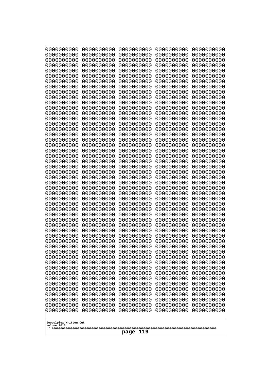| 0000000000                            | 0000000000               | 0000000000               | 0000000000               | 0000000000               |
|---------------------------------------|--------------------------|--------------------------|--------------------------|--------------------------|
| 0000000000<br>0000000000              | 0000000000<br>0000000000 | 0000000000<br>0000000000 | 0000000000<br>0000000000 | 0000000000<br>0000000000 |
| 0000000000                            | 0000000000               | 0000000000               | 0000000000               | 0000000000               |
| 0000000000                            | 0000000000               | 0000000000               | 0000000000               | 0000000000               |
| 0000000000                            | 0000000000               | 0000000000               | 0000000000               | 0000000000               |
| 0000000000                            | 0000000000               | 0000000000               | 0000000000               | 0000000000               |
| 0000000000<br>0000000000              | 0000000000<br>0000000000 | 0000000000<br>0000000000 | 0000000000<br>0000000000 | 0000000000<br>0000000000 |
| 0000000000                            | 0000000000               | 0000000000               | 0000000000               | 0000000000               |
| 0000000000                            | 0000000000               | 0000000000               | 0000000000               | 0000000000               |
| 0000000000                            | 0000000000               | 0000000000               | 0000000000               | 0000000000               |
| 0000000000<br>0000000000              | 0000000000<br>0000000000 | 0000000000<br>0000000000 | 0000000000<br>0000000000 | 0000000000<br>0000000000 |
| 0000000000                            | 0000000000               | 0000000000               | 0000000000               | 0000000000               |
| 0000000000                            | 0000000000               | 0000000000               | 0000000000               | 0000000000               |
| 0000000000                            | 0000000000<br>0000000000 | 0000000000               | 0000000000               | 0000000000               |
| 0000000000<br>0000000000              | 0000000000               | 0000000000<br>0000000000 | 0000000000<br>0000000000 | 0000000000<br>0000000000 |
| 0000000000                            | 0000000000               | 0000000000               | 0000000000               | 0000000000               |
| 0000000000                            | 0000000000               | 0000000000               | 0000000000               | 0000000000               |
| 0000000000<br>0000000000              | 0000000000<br>0000000000 | 0000000000<br>0000000000 | 0000000000<br>0000000000 | 0000000000<br>0000000000 |
| 0000000000                            | 0000000000               | 0000000000               | 0000000000               | 0000000000               |
| 0000000000                            | 0000000000               | 0000000000               | 0000000000               | 0000000000               |
| 0000000000                            | 0000000000               | 0000000000               | 0000000000               | 0000000000               |
| 0000000000<br>0000000000              | 0000000000<br>0000000000 | 0000000000<br>0000000000 | 0000000000<br>0000000000 | 0000000000<br>0000000000 |
| 0000000000                            | 0000000000               | 0000000000               | 0000000000               | 0000000000               |
| 0000000000                            | 0000000000               | 0000000000               | 0000000000               | 0000000000               |
| 0000000000                            | 0000000000               | 0000000000               | 0000000000               | 0000000000               |
| 0000000000<br>0000000000              | 0000000000<br>0000000000 | 0000000000<br>0000000000 | 0000000000<br>0000000000 | 0000000000<br>0000000000 |
| 0000000000                            | 0000000000               | 0000000000               | 0000000000               | 0000000000               |
| 0000000000                            | 0000000000               | 0000000000               | 0000000000               | 0000000000               |
| 0000000000<br>0000000000              | 0000000000<br>0000000000 | 0000000000<br>0000000000 | 0000000000<br>0000000000 | 0000000000<br>0000000000 |
| 0000000000                            | 0000000000               | 0000000000               | 0000000000               | 0000000000               |
| 0000000000                            | 0000000000               | 0000000000               | 0000000000               | 0000000000               |
| 0000000000                            | 0000000000               | 0000000000               | 0000000000               | 0000000000               |
| 0000000000<br>0000000000              | 0000000000<br>0000000000 | 0000000000<br>0000000000 | 0000000000<br>0000000000 | 0000000000<br>0000000000 |
| 0000000000                            | 0000000000               | 0000000000               | 0000000000               | 0000000000               |
| 0000000000                            | 0000000000               | 0000000000               | 0000000000               | 0000000000               |
| 0000000000                            | 0000000000               | 0000000000               | 0000000000               | 0000000000               |
| 0000000000<br>0000000000              | 0000000000<br>0000000000 | 0000000000<br>0000000000 | 0000000000<br>0000000000 | 0000000000<br>0000000000 |
| 0000000000                            | 0000000000               | 0000000000               | 0000000000               | 0000000000               |
| 0000000000                            | 0000000000               | 0000000000               | 0000000000               | 0000000000               |
| 0000000000                            | 0000000000               | 0000000000               | 0000000000               | 0000000000               |
|                                       |                          |                          |                          |                          |
| Googolplex Written Out<br>volume 1013 |                          |                          |                          |                          |
| 119<br>page                           |                          |                          |                          |                          |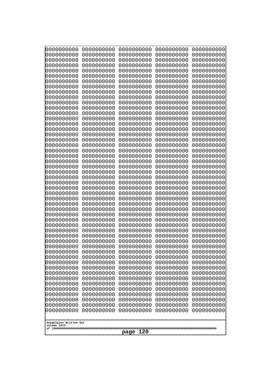| 0000000000                            | 0000000000               | 0000000000               | 0000000000               | 0000000000               |
|---------------------------------------|--------------------------|--------------------------|--------------------------|--------------------------|
| 0000000000<br>0000000000              | 0000000000<br>0000000000 | 0000000000<br>0000000000 | 0000000000<br>0000000000 | 0000000000<br>0000000000 |
| 0000000000                            | 0000000000               | 0000000000               | 0000000000               | 0000000000               |
| 0000000000                            | 0000000000               | 0000000000               | 0000000000               | 0000000000               |
| 0000000000                            | 0000000000               | 0000000000               | 0000000000               | 0000000000               |
| 0000000000                            | 0000000000               | 0000000000               | 0000000000               | 0000000000               |
| 0000000000<br>0000000000              | 0000000000<br>0000000000 | 0000000000<br>0000000000 | 0000000000<br>0000000000 | 0000000000<br>0000000000 |
| 0000000000                            | 0000000000               | 0000000000               | 0000000000               | 0000000000               |
| 0000000000                            | 0000000000               | 0000000000               | 0000000000               | 0000000000               |
| 0000000000                            | 0000000000               | 0000000000               | 0000000000               | 0000000000               |
| 0000000000<br>0000000000              | 0000000000<br>0000000000 | 0000000000<br>0000000000 | 0000000000<br>0000000000 | 0000000000<br>0000000000 |
| 0000000000                            | 0000000000               | 0000000000               | 0000000000               | 0000000000               |
| 0000000000                            | 0000000000               | 0000000000               | 0000000000               | 0000000000               |
| 0000000000                            | 0000000000<br>0000000000 | 0000000000               | 0000000000               | 0000000000               |
| 0000000000<br>0000000000              | 0000000000               | 0000000000<br>0000000000 | 0000000000<br>0000000000 | 0000000000<br>0000000000 |
| 0000000000                            | 0000000000               | 0000000000               | 0000000000               | 0000000000               |
| 0000000000                            | 0000000000               | 0000000000               | 0000000000               | 0000000000               |
| 0000000000<br>0000000000              | 0000000000<br>0000000000 | 0000000000<br>0000000000 | 0000000000<br>0000000000 | 0000000000<br>0000000000 |
| 0000000000                            | 0000000000               | 0000000000               | 0000000000               | 0000000000               |
| 0000000000                            | 0000000000               | 0000000000               | 0000000000               | 0000000000               |
| 0000000000                            | 0000000000               | 0000000000               | 0000000000               | 0000000000               |
| 0000000000<br>0000000000              | 0000000000<br>0000000000 | 0000000000<br>0000000000 | 0000000000<br>0000000000 | 0000000000<br>0000000000 |
| 0000000000                            | 0000000000               | 0000000000               | 0000000000               | 0000000000               |
| 0000000000                            | 0000000000               | 0000000000               | 0000000000               | 0000000000               |
| 0000000000                            | 0000000000               | 0000000000               | 0000000000               | 0000000000               |
| 0000000000<br>0000000000              | 0000000000<br>0000000000 | 0000000000<br>0000000000 | 0000000000<br>0000000000 | 0000000000<br>0000000000 |
| 0000000000                            | 0000000000               | 0000000000               | 0000000000               | 0000000000               |
| 0000000000                            | 0000000000               | 0000000000               | 0000000000               | 0000000000               |
| 0000000000                            | 0000000000               | 0000000000               | 0000000000               | 0000000000               |
| 0000000000<br>0000000000              | 0000000000<br>0000000000 | 0000000000<br>0000000000 | 0000000000<br>0000000000 | 0000000000<br>0000000000 |
| 0000000000                            | 0000000000               | 0000000000               | 0000000000               | 0000000000               |
| 0000000000                            | 0000000000               | 0000000000               | 0000000000               | 0000000000               |
| 0000000000<br>0000000000              | 0000000000               | 0000000000               | 0000000000               | 0000000000               |
| 0000000000                            | 0000000000<br>0000000000 | 0000000000<br>0000000000 | 0000000000<br>0000000000 | 0000000000<br>0000000000 |
| 0000000000                            | 0000000000               | 0000000000               | 0000000000               | 0000000000               |
| 0000000000                            | 0000000000               | 0000000000               | 0000000000               | 0000000000               |
| 0000000000<br>0000000000              | 0000000000<br>0000000000 | 0000000000<br>0000000000 | 0000000000<br>0000000000 | 0000000000<br>0000000000 |
| 0000000000                            | 0000000000               | 0000000000               | 0000000000               | 0000000000               |
| 0000000000                            | 0000000000               | 0000000000               | 0000000000               | 0000000000               |
| 0000000000                            | 0000000000               | 0000000000               | 0000000000               | 0000000000               |
|                                       |                          |                          |                          |                          |
| Googolplex Written Out<br>volume 1013 |                          |                          |                          |                          |
| 120<br>page                           |                          |                          |                          |                          |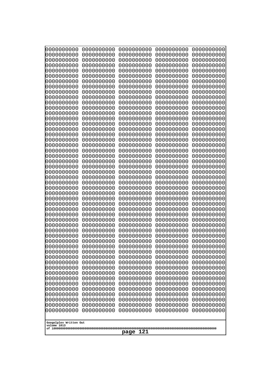| 0000000000                                                                                                                                                                        | 0000000000                                                                                                                               | 0000000000                                                                                                                               | 0000000000                                                                                                                               | 0000000000                                                                                                                               |
|-----------------------------------------------------------------------------------------------------------------------------------------------------------------------------------|------------------------------------------------------------------------------------------------------------------------------------------|------------------------------------------------------------------------------------------------------------------------------------------|------------------------------------------------------------------------------------------------------------------------------------------|------------------------------------------------------------------------------------------------------------------------------------------|
| 0000000000                                                                                                                                                                        | 0000000000                                                                                                                               | 0000000000                                                                                                                               | 0000000000                                                                                                                               | 0000000000                                                                                                                               |
| 0000000000                                                                                                                                                                        | 0000000000                                                                                                                               | 0000000000                                                                                                                               | 0000000000                                                                                                                               | 0000000000                                                                                                                               |
| 0000000000                                                                                                                                                                        | 0000000000                                                                                                                               | 0000000000                                                                                                                               | 0000000000                                                                                                                               | 0000000000                                                                                                                               |
| 0000000000                                                                                                                                                                        | 0000000000                                                                                                                               | 0000000000                                                                                                                               | 0000000000                                                                                                                               | 0000000000                                                                                                                               |
| 0000000000                                                                                                                                                                        | 0000000000                                                                                                                               | 0000000000                                                                                                                               | 0000000000                                                                                                                               | 0000000000                                                                                                                               |
| 0000000000                                                                                                                                                                        | 0000000000                                                                                                                               | 0000000000                                                                                                                               | 0000000000                                                                                                                               | 0000000000                                                                                                                               |
| 0000000000                                                                                                                                                                        | 0000000000                                                                                                                               | 0000000000                                                                                                                               | 0000000000                                                                                                                               | 0000000000                                                                                                                               |
| 0000000000                                                                                                                                                                        | 0000000000                                                                                                                               | 0000000000                                                                                                                               | 0000000000                                                                                                                               | 0000000000                                                                                                                               |
| 0000000000                                                                                                                                                                        | 0000000000                                                                                                                               | 0000000000                                                                                                                               | 0000000000                                                                                                                               | 0000000000                                                                                                                               |
| 0000000000                                                                                                                                                                        | 0000000000                                                                                                                               | 0000000000                                                                                                                               | 0000000000                                                                                                                               | 0000000000                                                                                                                               |
| 0000000000                                                                                                                                                                        | 0000000000                                                                                                                               | 0000000000                                                                                                                               | 0000000000                                                                                                                               | 0000000000                                                                                                                               |
| 0000000000                                                                                                                                                                        | 0000000000                                                                                                                               | 0000000000                                                                                                                               | 0000000000                                                                                                                               | 0000000000                                                                                                                               |
| 0000000000                                                                                                                                                                        | 0000000000                                                                                                                               | 0000000000                                                                                                                               | 0000000000                                                                                                                               | 0000000000                                                                                                                               |
| 0000000000                                                                                                                                                                        | 0000000000                                                                                                                               | 0000000000                                                                                                                               | 0000000000                                                                                                                               | 0000000000                                                                                                                               |
| 0000000000                                                                                                                                                                        | 0000000000                                                                                                                               | 0000000000                                                                                                                               | 0000000000                                                                                                                               | 0000000000                                                                                                                               |
| 0000000000                                                                                                                                                                        | 0000000000                                                                                                                               | 0000000000                                                                                                                               | 0000000000                                                                                                                               | 0000000000                                                                                                                               |
| 0000000000                                                                                                                                                                        | 0000000000                                                                                                                               | 0000000000                                                                                                                               | 0000000000                                                                                                                               | 0000000000                                                                                                                               |
| 0000000000                                                                                                                                                                        | 0000000000                                                                                                                               | 0000000000                                                                                                                               | 0000000000                                                                                                                               | 0000000000                                                                                                                               |
| 0000000000                                                                                                                                                                        | 0000000000                                                                                                                               | 0000000000                                                                                                                               | 0000000000                                                                                                                               | 0000000000                                                                                                                               |
| 0000000000                                                                                                                                                                        | 0000000000                                                                                                                               | 0000000000                                                                                                                               | 0000000000                                                                                                                               | 0000000000                                                                                                                               |
| 0000000000                                                                                                                                                                        | 0000000000                                                                                                                               | 0000000000                                                                                                                               | 0000000000                                                                                                                               | 0000000000                                                                                                                               |
| 0000000000                                                                                                                                                                        | 0000000000                                                                                                                               | 0000000000                                                                                                                               | 0000000000                                                                                                                               | 0000000000                                                                                                                               |
| 0000000000                                                                                                                                                                        | 0000000000                                                                                                                               | 0000000000                                                                                                                               | 0000000000                                                                                                                               | 0000000000                                                                                                                               |
| 0000000000                                                                                                                                                                        | 0000000000                                                                                                                               | 0000000000                                                                                                                               | 0000000000                                                                                                                               | 0000000000                                                                                                                               |
| 0000000000                                                                                                                                                                        | 0000000000                                                                                                                               | 0000000000                                                                                                                               | 0000000000                                                                                                                               | 0000000000                                                                                                                               |
| 0000000000                                                                                                                                                                        | 0000000000                                                                                                                               | 0000000000                                                                                                                               | 0000000000                                                                                                                               | 0000000000                                                                                                                               |
| 0000000000                                                                                                                                                                        | 0000000000                                                                                                                               | 0000000000                                                                                                                               | 0000000000                                                                                                                               | 0000000000                                                                                                                               |
| 0000000000                                                                                                                                                                        | 0000000000                                                                                                                               | 0000000000                                                                                                                               | 0000000000                                                                                                                               | 0000000000                                                                                                                               |
| 0000000000                                                                                                                                                                        | 0000000000                                                                                                                               | 0000000000                                                                                                                               | 0000000000                                                                                                                               | 0000000000                                                                                                                               |
| 0000000000                                                                                                                                                                        | 0000000000                                                                                                                               | 0000000000                                                                                                                               | 0000000000                                                                                                                               | 0000000000                                                                                                                               |
| 0000000000                                                                                                                                                                        | 0000000000                                                                                                                               | 0000000000                                                                                                                               | 0000000000                                                                                                                               | 0000000000                                                                                                                               |
| 0000000000                                                                                                                                                                        | 0000000000                                                                                                                               | 0000000000                                                                                                                               | 0000000000                                                                                                                               | 0000000000                                                                                                                               |
| 0000000000                                                                                                                                                                        | 0000000000                                                                                                                               | 0000000000                                                                                                                               | 0000000000                                                                                                                               | 0000000000                                                                                                                               |
| 0000000000                                                                                                                                                                        | 0000000000                                                                                                                               | 0000000000                                                                                                                               | 0000000000                                                                                                                               | 0000000000                                                                                                                               |
| 0000000000                                                                                                                                                                        | 0000000000                                                                                                                               | 0000000000                                                                                                                               | 0000000000                                                                                                                               | 0000000000                                                                                                                               |
| 0000000000                                                                                                                                                                        | 0000000000                                                                                                                               | 0000000000                                                                                                                               | 0000000000                                                                                                                               | 0000000000                                                                                                                               |
| 0000000000                                                                                                                                                                        | 0000000000                                                                                                                               | 0000000000                                                                                                                               | 0000000000                                                                                                                               | 0000000000                                                                                                                               |
| 0000000000                                                                                                                                                                        | 0000000000                                                                                                                               | 0000000000                                                                                                                               | 0000000000                                                                                                                               | 0000000000                                                                                                                               |
| 0000000000                                                                                                                                                                        | 0000000000                                                                                                                               | 0000000000                                                                                                                               | 0000000000                                                                                                                               | 0000000000                                                                                                                               |
| 0000000000<br>0000000000<br>0000000000<br>0000000000<br>0000000000<br>0000000000<br>0000000000<br>0000000000<br>0000000000<br>0000000000<br>Googolplex Written Out<br>volume 1013 | 0000000000<br>0000000000<br>0000000000<br>0000000000<br>0000000000<br>0000000000<br>0000000000<br>0000000000<br>0000000000<br>0000000000 | 0000000000<br>0000000000<br>0000000000<br>0000000000<br>0000000000<br>0000000000<br>0000000000<br>0000000000<br>0000000000<br>0000000000 | 0000000000<br>0000000000<br>0000000000<br>0000000000<br>0000000000<br>0000000000<br>0000000000<br>0000000000<br>0000000000<br>0000000000 | 0000000000<br>0000000000<br>0000000000<br>0000000000<br>0000000000<br>0000000000<br>0000000000<br>0000000000<br>0000000000<br>0000000000 |
| 121<br>page                                                                                                                                                                       |                                                                                                                                          |                                                                                                                                          |                                                                                                                                          |                                                                                                                                          |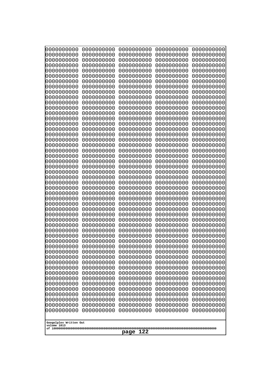| 10000000000<br>0000000000             | 0000000000<br>0000000000 | 0000000000<br>0000000000 | 0000000000<br>0000000000 | 0000000000<br>0000000000 |
|---------------------------------------|--------------------------|--------------------------|--------------------------|--------------------------|
| 0000000000                            | 0000000000               | 0000000000               | 0000000000               | 0000000000               |
| 0000000000                            | 0000000000               | 0000000000               | 0000000000               | 0000000000               |
| 0000000000<br>0000000000              | 0000000000<br>0000000000 | 0000000000<br>0000000000 | 0000000000<br>0000000000 | 0000000000<br>0000000000 |
| 0000000000                            | 0000000000               | 0000000000               | 0000000000               | 0000000000               |
| 0000000000                            | 0000000000               | 0000000000               | 0000000000               | 0000000000               |
| 0000000000<br>0000000000              | 0000000000<br>0000000000 | 0000000000<br>0000000000 | 0000000000<br>0000000000 | 0000000000<br>0000000000 |
| 0000000000                            | 0000000000               | 0000000000               | 0000000000               | 0000000000               |
| 0000000000                            | 0000000000               | 0000000000               | 0000000000               | 0000000000               |
| 0000000000<br>0000000000              | 0000000000<br>0000000000 | 0000000000               | 0000000000               | 0000000000               |
| 0000000000                            | 0000000000               | 0000000000<br>0000000000 | 0000000000<br>0000000000 | 0000000000<br>0000000000 |
| 0000000000                            | 0000000000               | 0000000000               | 0000000000               | 0000000000               |
| 0000000000                            | 0000000000               | 0000000000               | 0000000000               | 0000000000               |
| 0000000000<br>0000000000              | 0000000000<br>0000000000 | 0000000000<br>0000000000 | 0000000000<br>0000000000 | 0000000000<br>0000000000 |
| 0000000000                            | 0000000000               | 0000000000               | 0000000000               | 0000000000               |
| 0000000000                            | 0000000000               | 0000000000               | 0000000000               | 0000000000               |
| 0000000000<br>0000000000              | 0000000000<br>0000000000 | 0000000000<br>0000000000 | 0000000000<br>0000000000 | 0000000000<br>0000000000 |
| 0000000000                            | 0000000000               | 0000000000               | 0000000000               | 0000000000               |
| 0000000000                            | 0000000000               | 0000000000               | 0000000000               | 0000000000               |
| 0000000000<br>0000000000              | 0000000000<br>0000000000 | 0000000000<br>0000000000 | 0000000000<br>0000000000 | 0000000000<br>0000000000 |
| 0000000000                            | 0000000000               | 0000000000               | 0000000000               | 0000000000               |
| 0000000000                            | 0000000000               | 0000000000               | 0000000000               | 0000000000               |
| 0000000000<br>0000000000              | 0000000000<br>0000000000 | 0000000000<br>0000000000 | 0000000000<br>0000000000 | 0000000000<br>0000000000 |
| 0000000000                            | 0000000000               | 0000000000               | 0000000000               | 0000000000               |
| 0000000000                            | 0000000000               | 0000000000               | 0000000000               | 0000000000               |
| 0000000000<br>0000000000              | 0000000000<br>0000000000 | 0000000000<br>0000000000 | 0000000000<br>0000000000 | 0000000000<br>0000000000 |
| 0000000000                            | 0000000000               | 0000000000               | 0000000000               | 0000000000               |
| 0000000000                            | 0000000000               | 0000000000               | 0000000000               | 0000000000               |
| 0000000000                            | 0000000000<br>0000000000 | 0000000000<br>0000000000 | 0000000000<br>0000000000 | 0000000000               |
| 0000000000<br>0000000000              | 0000000000               | 0000000000               | 0000000000               | 0000000000<br>0000000000 |
| 0000000000                            | 0000000000               | 0000000000               | 0000000000               | 0000000000               |
| 0000000000                            | 0000000000<br>0000000000 | 0000000000               | 0000000000<br>0000000000 | 0000000000               |
| 0000000000<br>0000000000              | 0000000000               | 0000000000<br>0000000000 | 0000000000               | 0000000000<br>0000000000 |
| 0000000000                            | 0000000000               | 0000000000               | 0000000000               | 0000000000               |
| 0000000000                            | 0000000000               | 0000000000               | 0000000000               | 0000000000               |
| 0000000000<br>0000000000              | 0000000000<br>0000000000 | 0000000000<br>0000000000 | 0000000000<br>0000000000 | 0000000000<br>0000000000 |
| 0000000000                            | 0000000000               | 0000000000               | 0000000000               | 0000000000               |
| 0000000000                            | 0000000000               | 0000000000               | 0000000000               | 0000000000               |
|                                       |                          |                          |                          |                          |
| Googolplex Written Out<br>volume 1013 |                          |                          |                          |                          |
| 122<br>page                           |                          |                          |                          |                          |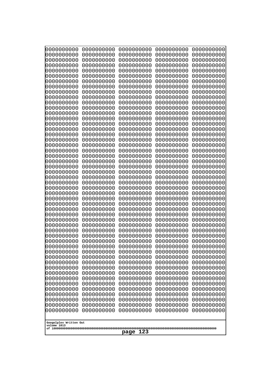| 10000000000<br>0000000000 | 0000000000<br>0000000000 | 0000000000<br>0000000000 | 0000000000<br>0000000000 | 0000000000<br>0000000000 |
|---------------------------|--------------------------|--------------------------|--------------------------|--------------------------|
| 0000000000                | 0000000000               | 0000000000               | 0000000000               | 0000000000               |
| 0000000000                | 0000000000               | 0000000000               | 0000000000               | 0000000000               |
| 0000000000<br>0000000000  | 0000000000<br>0000000000 | 0000000000               | 0000000000<br>0000000000 | 0000000000               |
| 0000000000                | 0000000000               | 0000000000<br>0000000000 | 0000000000               | 0000000000<br>0000000000 |
| 0000000000                | 0000000000               | 0000000000               | 0000000000               | 0000000000               |
| 0000000000                | 0000000000               | 0000000000               | 0000000000               | 0000000000               |
| 0000000000<br>0000000000  | 0000000000<br>0000000000 | 0000000000<br>0000000000 | 0000000000<br>0000000000 | 0000000000<br>0000000000 |
| 0000000000                | 0000000000               | 0000000000               | 0000000000               | 0000000000               |
| 0000000000                | 0000000000               | 0000000000               | 0000000000               | 0000000000               |
| 0000000000                | 0000000000               | 0000000000               | 0000000000               | 0000000000               |
| 0000000000<br>0000000000  | 0000000000<br>0000000000 | 0000000000<br>0000000000 | 0000000000<br>0000000000 | 0000000000<br>0000000000 |
| 0000000000                | 0000000000               | 0000000000               | 0000000000               | 0000000000               |
| 0000000000                | 0000000000               | 0000000000               | 0000000000               | 0000000000               |
| 0000000000<br>0000000000  | 0000000000<br>0000000000 | 0000000000<br>0000000000 | 0000000000<br>0000000000 | 0000000000<br>0000000000 |
| 0000000000                | 0000000000               | 0000000000               | 0000000000               | 0000000000               |
| 0000000000                | 0000000000               | 0000000000               | 0000000000               | 0000000000               |
| 0000000000                | 0000000000               | 0000000000               | 0000000000               | 0000000000               |
| 0000000000<br>0000000000  | 0000000000<br>0000000000 | 0000000000<br>0000000000 | 0000000000<br>0000000000 | 0000000000<br>0000000000 |
| 0000000000                | 0000000000               | 0000000000               | 0000000000               | 0000000000               |
| 0000000000                | 0000000000               | 0000000000               | 0000000000               | 0000000000               |
| 0000000000<br>0000000000  | 0000000000<br>0000000000 | 0000000000<br>0000000000 | 0000000000<br>0000000000 | 0000000000<br>0000000000 |
| 0000000000                | 0000000000               | 0000000000               | 0000000000               | 0000000000               |
| 0000000000                | 0000000000               | 0000000000               | 0000000000               | 0000000000               |
| 0000000000                | 0000000000               | 0000000000               | 0000000000               | 0000000000               |
| 0000000000<br>0000000000  | 0000000000<br>0000000000 | 0000000000<br>0000000000 | 0000000000<br>0000000000 | 0000000000<br>0000000000 |
| 0000000000                | 0000000000               | 0000000000               | 0000000000               | 0000000000               |
| 0000000000                | 0000000000               | 0000000000               | 0000000000               | 0000000000               |
| 0000000000<br>0000000000  | 0000000000<br>0000000000 | 0000000000<br>0000000000 | 0000000000<br>0000000000 | 0000000000<br>0000000000 |
| 0000000000                | 0000000000               | 0000000000               | 0000000000               | 0000000000               |
| 0000000000                | 0000000000               | 0000000000               | 0000000000               | 0000000000               |
| 0000000000<br>0000000000  | 0000000000               | 0000000000               | 0000000000               | 0000000000               |
| 0000000000                | 0000000000<br>0000000000 | 0000000000<br>0000000000 | 0000000000<br>0000000000 | 0000000000<br>0000000000 |
| 0000000000                | 0000000000               | 0000000000               | 0000000000               | 0000000000               |
| 0000000000                | 0000000000               | 0000000000               | 0000000000               | 0000000000               |
| 0000000000<br>0000000000  | 0000000000<br>0000000000 | 0000000000<br>0000000000 | 0000000000<br>0000000000 | 0000000000<br>0000000000 |
| 0000000000                | 0000000000               | 0000000000               | 0000000000               | 0000000000               |
| 0000000000                | 0000000000               | 0000000000               | 0000000000               | 0000000000               |
| 0000000000                | 0000000000               | 0000000000               | 0000000000               | 0000000000               |
| Googolplex Written Out    |                          |                          |                          |                          |
| volume 1013               |                          |                          |                          |                          |
| 123<br>page               |                          |                          |                          |                          |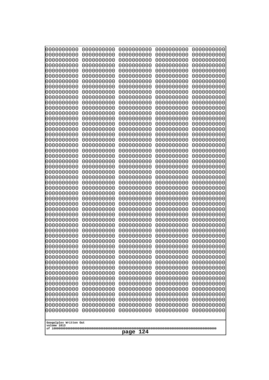| 10000000000              | 0000000000<br>0000000000<br>0000000000<br>0000000000 |                          |                          |                          |  |  |
|--------------------------|------------------------------------------------------|--------------------------|--------------------------|--------------------------|--|--|
| 0000000000<br>0000000000 | 0000000000<br>0000000000                             | 0000000000<br>0000000000 | 0000000000<br>0000000000 | 0000000000<br>0000000000 |  |  |
| 0000000000               | 0000000000                                           | 0000000000               | 0000000000               | 0000000000               |  |  |
| 0000000000               | 0000000000                                           | 0000000000               | 0000000000               | 0000000000               |  |  |
| 0000000000               | 0000000000                                           | 0000000000               | 0000000000               | 0000000000               |  |  |
| 0000000000<br>0000000000 | 0000000000<br>0000000000                             | 0000000000<br>0000000000 | 0000000000<br>0000000000 | 0000000000<br>0000000000 |  |  |
| 0000000000               | 0000000000                                           | 0000000000               | 0000000000               | 0000000000               |  |  |
| 0000000000               | 0000000000                                           | 0000000000               | 0000000000               | 0000000000               |  |  |
| 0000000000               | 0000000000                                           | 0000000000               | 0000000000               | 0000000000               |  |  |
| 0000000000<br>0000000000 | 0000000000<br>0000000000                             | 0000000000<br>0000000000 | 0000000000<br>0000000000 | 0000000000<br>0000000000 |  |  |
| 0000000000               | 0000000000                                           | 0000000000               | 0000000000               | 0000000000               |  |  |
| 0000000000               | 0000000000                                           | 0000000000               | 0000000000               | 0000000000               |  |  |
| 0000000000               | 0000000000                                           | 0000000000               | 0000000000               | 0000000000               |  |  |
| 0000000000<br>0000000000 | 0000000000<br>0000000000                             | 0000000000<br>0000000000 | 0000000000<br>0000000000 | 0000000000<br>0000000000 |  |  |
| 0000000000               | 0000000000                                           | 0000000000               | 0000000000               | 0000000000               |  |  |
| 0000000000               | 0000000000                                           | 0000000000               | 0000000000               | 0000000000               |  |  |
| 0000000000               | 0000000000                                           | 0000000000               | 0000000000               | 0000000000               |  |  |
| 0000000000<br>0000000000 | 0000000000<br>0000000000                             | 0000000000<br>0000000000 | 0000000000<br>0000000000 | 0000000000<br>0000000000 |  |  |
| 0000000000               | 0000000000                                           | 0000000000               | 0000000000               | 0000000000               |  |  |
| 0000000000               | 0000000000                                           | 0000000000               | 0000000000               | 0000000000               |  |  |
| 0000000000<br>0000000000 | 0000000000<br>0000000000                             | 0000000000<br>0000000000 | 0000000000<br>0000000000 | 0000000000<br>0000000000 |  |  |
| 0000000000               | 0000000000                                           | 0000000000               | 0000000000               | 0000000000               |  |  |
| 0000000000               | 0000000000                                           | 0000000000               | 0000000000               | 0000000000               |  |  |
| 0000000000               | 0000000000                                           | 0000000000               | 0000000000               | 0000000000               |  |  |
| 0000000000<br>0000000000 | 0000000000<br>0000000000                             | 0000000000<br>0000000000 | 0000000000<br>0000000000 | 0000000000<br>0000000000 |  |  |
| 0000000000               | 0000000000                                           | 0000000000               | 0000000000               | 0000000000               |  |  |
| 0000000000               | 0000000000                                           | 0000000000               | 0000000000               | 0000000000               |  |  |
| 0000000000<br>0000000000 | 0000000000<br>0000000000                             | 0000000000               | 0000000000               | 0000000000               |  |  |
| 0000000000               | 0000000000                                           | 0000000000<br>0000000000 | 0000000000<br>0000000000 | 0000000000<br>0000000000 |  |  |
| 0000000000               | 0000000000                                           | 0000000000               | 0000000000               | 0000000000               |  |  |
| 0000000000               | 0000000000                                           | 0000000000               | 0000000000               | 0000000000               |  |  |
| 0000000000<br>0000000000 | 0000000000<br>0000000000                             | 0000000000<br>0000000000 | 0000000000<br>0000000000 | 0000000000<br>0000000000 |  |  |
| 0000000000               | 0000000000                                           | 0000000000               | 0000000000               | 0000000000               |  |  |
| 0000000000               | 0000000000                                           | 0000000000               | 0000000000               | 0000000000               |  |  |
| 0000000000               | 0000000000                                           | 0000000000               | 0000000000               | 0000000000               |  |  |
| 0000000000<br>0000000000 | 0000000000<br>0000000000                             | 0000000000<br>0000000000 | 0000000000<br>0000000000 | 0000000000<br>0000000000 |  |  |
| 0000000000               | 0000000000                                           | 0000000000               | 0000000000               | 0000000000               |  |  |
| 0000000000               | 0000000000                                           | 0000000000               | 0000000000               | 0000000000               |  |  |
| 0000000000               | 0000000000                                           | 0000000000               | 0000000000               | 0000000000               |  |  |
| 0000000000               | 0000000000                                           | 0000000000               | 0000000000               | 0000000000               |  |  |
| Googolplex Written Out   |                                                      |                          |                          |                          |  |  |
| volume 1013              |                                                      | 124                      |                          |                          |  |  |
|                          |                                                      | page                     |                          |                          |  |  |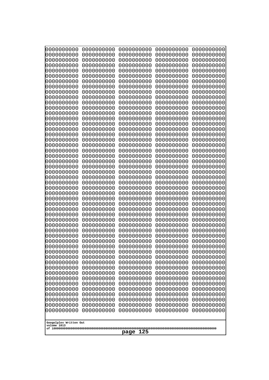| 10000000000<br>0000000000             | 0000000000<br>0000000000 | 0000000000<br>0000000000 | 0000000000<br>0000000000 | 0000000000<br>0000000000 |
|---------------------------------------|--------------------------|--------------------------|--------------------------|--------------------------|
| 0000000000                            | 0000000000               | 0000000000               | 0000000000               | 0000000000               |
| 0000000000                            | 0000000000               | 0000000000               | 0000000000               | 0000000000               |
| 0000000000                            | 0000000000               | 0000000000               | 0000000000               | 0000000000               |
| 0000000000<br>0000000000              | 0000000000<br>0000000000 | 0000000000<br>0000000000 | 0000000000<br>0000000000 | 0000000000<br>0000000000 |
| 0000000000                            | 0000000000               | 0000000000               | 0000000000               | 0000000000               |
| 0000000000                            | 0000000000               | 0000000000               | 0000000000               | 0000000000               |
| 0000000000                            | 0000000000               | 0000000000               | 0000000000               | 0000000000               |
| 0000000000<br>0000000000              | 0000000000<br>0000000000 | 0000000000<br>0000000000 | 0000000000<br>0000000000 | 0000000000               |
| 0000000000                            | 0000000000               | 0000000000               | 0000000000               | 0000000000<br>0000000000 |
| 0000000000                            | 0000000000               | 0000000000               | 0000000000               | 0000000000               |
| 0000000000                            | 0000000000               | 0000000000               | 0000000000               | 0000000000               |
| 0000000000                            | 0000000000               | 0000000000               | 0000000000               | 0000000000               |
| 0000000000<br>0000000000              | 0000000000<br>0000000000 | 0000000000<br>0000000000 | 0000000000<br>0000000000 | 0000000000<br>0000000000 |
| 0000000000                            | 0000000000               | 0000000000               | 0000000000               | 0000000000               |
| 0000000000                            | 0000000000               | 0000000000               | 0000000000               | 0000000000               |
| 0000000000                            | 0000000000<br>0000000000 | 0000000000               | 0000000000               | 0000000000               |
| 0000000000<br>0000000000              | 0000000000               | 0000000000<br>0000000000 | 0000000000<br>0000000000 | 0000000000<br>0000000000 |
| 0000000000                            | 0000000000               | 0000000000               | 0000000000               | 0000000000               |
| 0000000000                            | 0000000000               | 0000000000               | 0000000000               | 0000000000               |
| 0000000000                            | 0000000000<br>0000000000 | 0000000000<br>0000000000 | 0000000000<br>0000000000 | 0000000000               |
| 0000000000<br>0000000000              | 0000000000               | 0000000000               | 0000000000               | 0000000000<br>0000000000 |
| 0000000000                            | 0000000000               | 0000000000               | 0000000000               | 0000000000               |
| 0000000000                            | 0000000000               | 0000000000               | 0000000000               | 0000000000               |
| 0000000000<br>0000000000              | 0000000000<br>0000000000 | 0000000000<br>0000000000 | 0000000000<br>0000000000 | 0000000000<br>0000000000 |
| 0000000000                            | 0000000000               | 0000000000               | 0000000000               | 0000000000               |
| 0000000000                            | 0000000000               | 0000000000               | 0000000000               | 0000000000               |
| 0000000000                            | 0000000000               | 0000000000               | 0000000000               | 0000000000               |
| 0000000000                            | 0000000000<br>0000000000 | 0000000000<br>0000000000 | 0000000000               | 0000000000               |
| 0000000000<br>0000000000              | 0000000000               | 0000000000               | 0000000000<br>0000000000 | 0000000000<br>0000000000 |
| 0000000000                            | 0000000000               | 0000000000               | 0000000000               | 0000000000               |
| 0000000000                            | 0000000000               | 0000000000               | 0000000000               | 0000000000               |
| 0000000000                            | 0000000000               | 0000000000               | 0000000000               | 0000000000               |
| 0000000000<br>0000000000              | 0000000000<br>0000000000 | 0000000000<br>0000000000 | 0000000000<br>0000000000 | 0000000000<br>0000000000 |
| 0000000000                            | 0000000000               | 0000000000               | 0000000000               | 0000000000               |
| 0000000000                            | 0000000000               | 0000000000               | 0000000000               | 0000000000               |
| 0000000000                            | 0000000000               | 0000000000               | 0000000000               | 0000000000               |
| 0000000000<br>0000000000              | 0000000000<br>0000000000 | 0000000000<br>0000000000 | 0000000000<br>0000000000 | 0000000000<br>0000000000 |
| 0000000000                            | 0000000000               | 0000000000               | 0000000000               | 0000000000               |
| 0000000000                            | 0000000000               | 0000000000               | 0000000000               | 0000000000               |
|                                       |                          |                          |                          |                          |
| Googolplex Written Out<br>volume 1013 |                          |                          |                          |                          |
| 125<br>page                           |                          |                          |                          |                          |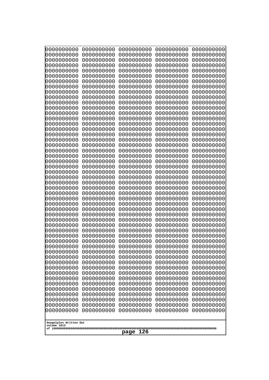| 10000000000<br>0000000000             | 0000000000<br>0000000000 | 0000000000<br>0000000000 | 0000000000<br>0000000000 | 0000000000<br>0000000000 |
|---------------------------------------|--------------------------|--------------------------|--------------------------|--------------------------|
| 0000000000                            | 0000000000               | 0000000000               | 0000000000               | 0000000000               |
| 0000000000                            | 0000000000               | 0000000000               | 0000000000               | 0000000000               |
| 0000000000<br>0000000000              | 0000000000<br>0000000000 | 0000000000<br>0000000000 | 0000000000<br>0000000000 | 0000000000<br>0000000000 |
| 0000000000                            | 0000000000               | 0000000000               | 0000000000               | 0000000000               |
| 0000000000                            | 0000000000               | 0000000000               | 0000000000               | 0000000000               |
| 0000000000                            | 0000000000               | 0000000000               | 0000000000               | 0000000000               |
| 0000000000<br>0000000000              | 0000000000<br>0000000000 | 0000000000<br>0000000000 | 0000000000<br>0000000000 | 0000000000<br>0000000000 |
| 0000000000                            | 0000000000               | 0000000000               | 0000000000               | 0000000000               |
| 0000000000                            | 0000000000               | 0000000000               | 0000000000               | 0000000000               |
| 0000000000<br>0000000000              | 0000000000<br>0000000000 | 0000000000<br>0000000000 | 0000000000<br>0000000000 | 0000000000<br>0000000000 |
| 0000000000                            | 0000000000               | 0000000000               | 0000000000               | 0000000000               |
| 0000000000                            | 0000000000               | 0000000000               | 0000000000               | 0000000000               |
| 0000000000<br>0000000000              | 0000000000<br>0000000000 | 0000000000<br>0000000000 | 0000000000<br>0000000000 | 0000000000<br>0000000000 |
| 0000000000                            | 0000000000               | 0000000000               | 0000000000               | 0000000000               |
| 0000000000                            | 0000000000               | 0000000000               | 0000000000               | 0000000000               |
| 0000000000<br>0000000000              | 0000000000<br>0000000000 | 0000000000<br>0000000000 | 0000000000<br>0000000000 | 0000000000<br>0000000000 |
| 0000000000                            | 0000000000               | 0000000000               | 0000000000               | 0000000000               |
| 0000000000                            | 0000000000               | 0000000000               | 0000000000               | 0000000000               |
| 0000000000<br>0000000000              | 0000000000<br>0000000000 | 0000000000<br>0000000000 | 0000000000<br>0000000000 | 0000000000<br>0000000000 |
| 0000000000                            | 0000000000               | 0000000000               | 0000000000               | 0000000000               |
| 0000000000                            | 0000000000               | 0000000000               | 0000000000               | 0000000000               |
| 0000000000<br>0000000000              | 0000000000<br>0000000000 | 0000000000<br>0000000000 | 0000000000<br>0000000000 | 0000000000<br>0000000000 |
| 0000000000                            | 0000000000               | 0000000000               | 0000000000               | 0000000000               |
| 0000000000                            | 0000000000               | 0000000000               | 0000000000               | 0000000000               |
| 0000000000<br>0000000000              | 0000000000               | 0000000000               | 0000000000               | 0000000000               |
| 0000000000                            | 0000000000<br>0000000000 | 0000000000<br>0000000000 | 0000000000<br>0000000000 | 0000000000<br>0000000000 |
| 0000000000                            | 0000000000               | 0000000000               | 0000000000               | 0000000000               |
| 0000000000                            | 0000000000               | 0000000000               | 0000000000               | 0000000000               |
| 0000000000<br>0000000000              | 0000000000<br>0000000000 | 0000000000<br>0000000000 | 0000000000<br>0000000000 | 0000000000<br>0000000000 |
| 0000000000                            | 0000000000               | 0000000000               | 0000000000               | 0000000000               |
| 0000000000                            | 0000000000               | 0000000000               | 0000000000               | 0000000000               |
| 0000000000<br>0000000000              | 0000000000<br>0000000000 | 0000000000<br>0000000000 | 0000000000<br>0000000000 | 0000000000<br>0000000000 |
| 0000000000                            | 0000000000               | 0000000000               | 0000000000               | 0000000000               |
| 0000000000                            | 0000000000               | 0000000000               | 0000000000               | 0000000000               |
| 0000000000<br>0000000000              | 0000000000<br>0000000000 | 0000000000<br>0000000000 | 0000000000<br>0000000000 | 0000000000<br>0000000000 |
| 0000000000                            | 0000000000               | 0000000000               | 0000000000               | 0000000000               |
| 0000000000                            | 0000000000               | 0000000000               | 0000000000               | 0000000000               |
|                                       |                          |                          |                          |                          |
| Googolplex Written Out<br>volume 1013 |                          |                          |                          |                          |
| 126<br>page                           |                          |                          |                          |                          |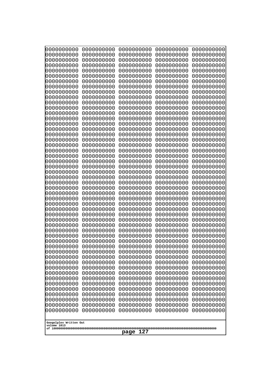| 0000000000                            | 0000000000               | 0000000000               | 0000000000               | 0000000000               |
|---------------------------------------|--------------------------|--------------------------|--------------------------|--------------------------|
| 0000000000<br>0000000000              | 0000000000<br>0000000000 | 0000000000<br>0000000000 | 0000000000<br>0000000000 | 0000000000<br>0000000000 |
| 0000000000                            | 0000000000               | 0000000000               | 0000000000               | 0000000000               |
| 0000000000                            | 0000000000               | 0000000000               | 0000000000               | 0000000000               |
| 0000000000                            | 0000000000               | 0000000000               | 0000000000               | 0000000000               |
| 0000000000<br>0000000000              | 0000000000<br>0000000000 | 0000000000<br>0000000000 | 0000000000<br>0000000000 | 0000000000<br>0000000000 |
| 0000000000                            | 0000000000               | 0000000000               | 0000000000               | 0000000000               |
| 0000000000                            | 0000000000               | 0000000000               | 0000000000               | 0000000000               |
| 0000000000<br>0000000000              | 0000000000<br>0000000000 | 0000000000<br>0000000000 | 0000000000<br>0000000000 | 0000000000               |
| 0000000000                            | 0000000000               | 0000000000               | 0000000000               | 0000000000<br>0000000000 |
| 0000000000                            | 0000000000               | 0000000000               | 0000000000               | 0000000000               |
| 0000000000                            | 0000000000               | 0000000000               | 0000000000               | 0000000000               |
| 0000000000<br>0000000000              | 0000000000<br>0000000000 | 0000000000<br>0000000000 | 0000000000<br>0000000000 | 0000000000<br>0000000000 |
| 0000000000                            | 0000000000               | 0000000000               | 0000000000               | 0000000000               |
| 0000000000                            | 0000000000               | 0000000000               | 0000000000               | 0000000000               |
| 0000000000                            | 0000000000<br>0000000000 | 0000000000<br>0000000000 | 0000000000               | 0000000000<br>0000000000 |
| 0000000000<br>0000000000              | 0000000000               | 0000000000               | 0000000000<br>0000000000 | 0000000000               |
| 0000000000                            | 0000000000               | 0000000000               | 0000000000               | 0000000000               |
| 0000000000                            | 0000000000               | 0000000000               | 0000000000               | 0000000000               |
| 0000000000<br>0000000000              | 0000000000<br>0000000000 | 0000000000<br>0000000000 | 0000000000<br>0000000000 | 0000000000<br>0000000000 |
| 0000000000                            | 0000000000               | 0000000000               | 0000000000               | 0000000000               |
| 0000000000                            | 0000000000               | 0000000000               | 0000000000               | 0000000000               |
| 0000000000<br>0000000000              | 0000000000<br>0000000000 | 0000000000<br>0000000000 | 0000000000<br>0000000000 | 0000000000<br>0000000000 |
| 0000000000                            | 0000000000               | 0000000000               | 0000000000               | 0000000000               |
| 0000000000                            | 0000000000               | 0000000000               | 0000000000               | 0000000000               |
| 0000000000                            | 0000000000               | 0000000000               | 0000000000               | 0000000000               |
| 0000000000<br>0000000000              | 0000000000<br>0000000000 | 0000000000<br>0000000000 | 0000000000<br>0000000000 | 0000000000<br>0000000000 |
| 0000000000                            | 0000000000               | 0000000000               | 0000000000               | 0000000000               |
| 0000000000                            | 0000000000               | 0000000000               | 0000000000               | 0000000000               |
| 0000000000<br>0000000000              | 0000000000<br>0000000000 | 0000000000<br>0000000000 | 0000000000<br>0000000000 | 0000000000<br>0000000000 |
| 0000000000                            | 0000000000               | 0000000000               | 0000000000               | 0000000000               |
| 0000000000                            | 0000000000               | 0000000000               | 0000000000               | 0000000000               |
| 0000000000<br>0000000000              | 0000000000<br>0000000000 | 0000000000<br>0000000000 | 0000000000<br>0000000000 | 0000000000<br>0000000000 |
| 0000000000                            | 0000000000               | 0000000000               | 0000000000               | 0000000000               |
| 0000000000                            | 0000000000               | 0000000000               | 0000000000               | 0000000000               |
| 0000000000                            | 0000000000               | 0000000000               | 0000000000               | 0000000000               |
| 0000000000<br>0000000000              | 0000000000<br>0000000000 | 0000000000<br>0000000000 | 0000000000<br>0000000000 | 0000000000<br>0000000000 |
| 0000000000                            | 0000000000               | 0000000000               | 0000000000               | 0000000000               |
| 0000000000                            | 0000000000               | 0000000000               | 0000000000               | 0000000000               |
|                                       |                          |                          |                          |                          |
| Googolplex Written Out<br>volume 1013 |                          |                          |                          |                          |
| 127<br>page                           |                          |                          |                          |                          |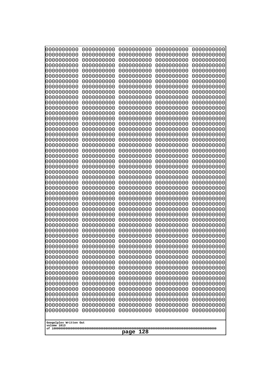| 10000000000<br>0000000000             | 0000000000<br>0000000000 | 0000000000<br>0000000000 | 0000000000<br>0000000000 | 0000000000<br>0000000000 |
|---------------------------------------|--------------------------|--------------------------|--------------------------|--------------------------|
| 0000000000                            | 0000000000               | 0000000000               | 0000000000               | 0000000000               |
| 0000000000                            | 0000000000               | 0000000000               | 0000000000               | 0000000000               |
| 0000000000                            | 0000000000               | 0000000000               | 0000000000               | 0000000000               |
| 0000000000<br>0000000000              | 0000000000<br>0000000000 | 0000000000<br>0000000000 | 0000000000<br>0000000000 | 0000000000<br>0000000000 |
| 0000000000                            | 0000000000               | 0000000000               | 0000000000               | 0000000000               |
| 0000000000                            | 0000000000               | 0000000000               | 0000000000               | 0000000000               |
| 0000000000                            | 0000000000               | 0000000000               | 0000000000               | 0000000000               |
| 0000000000<br>0000000000              | 0000000000<br>0000000000 | 0000000000<br>0000000000 | 0000000000<br>0000000000 | 0000000000               |
| 0000000000                            | 0000000000               | 0000000000               | 0000000000               | 0000000000<br>0000000000 |
| 0000000000                            | 0000000000               | 0000000000               | 0000000000               | 0000000000               |
| 0000000000                            | 0000000000               | 0000000000               | 0000000000               | 0000000000               |
| 0000000000                            | 0000000000               | 0000000000               | 0000000000               | 0000000000               |
| 0000000000<br>0000000000              | 0000000000<br>0000000000 | 0000000000<br>0000000000 | 0000000000<br>0000000000 | 0000000000<br>0000000000 |
| 0000000000                            | 0000000000               | 0000000000               | 0000000000               | 0000000000               |
| 0000000000                            | 0000000000               | 0000000000               | 0000000000               | 0000000000               |
| 0000000000                            | 0000000000<br>0000000000 | 0000000000               | 0000000000               | 0000000000               |
| 0000000000<br>0000000000              | 0000000000               | 0000000000<br>0000000000 | 0000000000<br>0000000000 | 0000000000<br>0000000000 |
| 0000000000                            | 0000000000               | 0000000000               | 0000000000               | 0000000000               |
| 0000000000                            | 0000000000               | 0000000000               | 0000000000               | 0000000000               |
| 0000000000                            | 0000000000               | 0000000000               | 0000000000               | 0000000000               |
| 0000000000<br>0000000000              | 0000000000<br>0000000000 | 0000000000<br>0000000000 | 0000000000<br>0000000000 | 0000000000<br>0000000000 |
| 0000000000                            | 0000000000               | 0000000000               | 0000000000               | 0000000000               |
| 0000000000                            | 0000000000               | 0000000000               | 0000000000               | 0000000000               |
| 0000000000                            | 0000000000               | 0000000000               | 0000000000               | 0000000000               |
| 0000000000<br>0000000000              | 0000000000<br>0000000000 | 0000000000<br>0000000000 | 0000000000<br>0000000000 | 0000000000<br>0000000000 |
| 0000000000                            | 0000000000               | 0000000000               | 0000000000               | 0000000000               |
| 0000000000                            | 0000000000               | 0000000000               | 0000000000               | 0000000000               |
| 0000000000                            | 0000000000<br>0000000000 | 0000000000<br>0000000000 | 0000000000               | 0000000000               |
| 0000000000<br>0000000000              | 0000000000               | 0000000000               | 0000000000<br>0000000000 | 0000000000<br>0000000000 |
| 0000000000                            | 0000000000               | 0000000000               | 0000000000               | 0000000000               |
| 0000000000                            | 0000000000               | 0000000000               | 0000000000               | 0000000000               |
| 0000000000                            | 0000000000               | 0000000000               | 0000000000               | 0000000000               |
| 0000000000<br>0000000000              | 0000000000<br>0000000000 | 0000000000<br>0000000000 | 0000000000<br>0000000000 | 0000000000<br>0000000000 |
| 0000000000                            | 0000000000               | 0000000000               | 0000000000               | 0000000000               |
| 0000000000                            | 0000000000               | 0000000000               | 0000000000               | 0000000000               |
| 0000000000                            | 0000000000               | 0000000000               | 0000000000               | 0000000000               |
| 0000000000<br>0000000000              | 0000000000<br>0000000000 | 0000000000<br>0000000000 | 0000000000<br>0000000000 | 0000000000<br>0000000000 |
| 0000000000                            | 0000000000               | 0000000000               | 0000000000               | 0000000000               |
| 0000000000                            | 0000000000               | 0000000000               | 0000000000               | 0000000000               |
|                                       |                          |                          |                          |                          |
| Googolplex Written Out<br>volume 1013 |                          |                          |                          |                          |
| 128<br>page                           |                          |                          |                          |                          |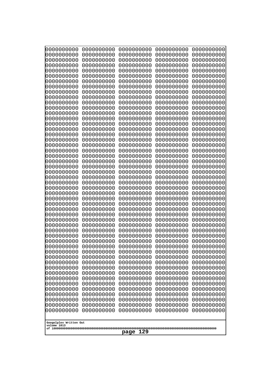| 10000000000<br>0000000000             | 0000000000<br>0000000000 | 0000000000<br>0000000000 | 0000000000<br>0000000000 | 0000000000<br>0000000000 |
|---------------------------------------|--------------------------|--------------------------|--------------------------|--------------------------|
| 0000000000                            | 0000000000               | 0000000000               | 0000000000               | 0000000000               |
| 0000000000                            | 0000000000               | 0000000000               | 0000000000               | 0000000000               |
| 0000000000                            | 0000000000               | 0000000000               | 0000000000               | 0000000000               |
| 0000000000<br>0000000000              | 0000000000<br>0000000000 | 0000000000<br>0000000000 | 0000000000<br>0000000000 | 0000000000<br>0000000000 |
| 0000000000                            | 0000000000               | 0000000000               | 0000000000               | 0000000000               |
| 0000000000                            | 0000000000               | 0000000000               | 0000000000               | 0000000000               |
| 0000000000                            | 0000000000               | 0000000000               | 0000000000               | 0000000000               |
| 0000000000<br>0000000000              | 0000000000<br>0000000000 | 0000000000<br>0000000000 | 0000000000<br>0000000000 | 0000000000               |
| 0000000000                            | 0000000000               | 0000000000               | 0000000000               | 0000000000<br>0000000000 |
| 0000000000                            | 0000000000               | 0000000000               | 0000000000               | 0000000000               |
| 0000000000                            | 0000000000               | 0000000000               | 0000000000               | 0000000000               |
| 0000000000                            | 0000000000               | 0000000000               | 0000000000               | 0000000000               |
| 0000000000<br>0000000000              | 0000000000<br>0000000000 | 0000000000<br>0000000000 | 0000000000<br>0000000000 | 0000000000<br>0000000000 |
| 0000000000                            | 0000000000               | 0000000000               | 0000000000               | 0000000000               |
| 0000000000                            | 0000000000               | 0000000000               | 0000000000               | 0000000000               |
| 0000000000                            | 0000000000<br>0000000000 | 0000000000               | 0000000000               | 0000000000               |
| 0000000000<br>0000000000              | 0000000000               | 0000000000<br>0000000000 | 0000000000<br>0000000000 | 0000000000<br>0000000000 |
| 0000000000                            | 0000000000               | 0000000000               | 0000000000               | 0000000000               |
| 0000000000                            | 0000000000               | 0000000000               | 0000000000               | 0000000000               |
| 0000000000                            | 0000000000<br>0000000000 | 0000000000<br>0000000000 | 0000000000<br>0000000000 | 0000000000               |
| 0000000000<br>0000000000              | 0000000000               | 0000000000               | 0000000000               | 0000000000<br>0000000000 |
| 0000000000                            | 0000000000               | 0000000000               | 0000000000               | 0000000000               |
| 0000000000                            | 0000000000               | 0000000000               | 0000000000               | 0000000000               |
| 0000000000<br>0000000000              | 0000000000<br>0000000000 | 0000000000<br>0000000000 | 0000000000<br>0000000000 | 0000000000<br>0000000000 |
| 0000000000                            | 0000000000               | 0000000000               | 0000000000               | 0000000000               |
| 0000000000                            | 0000000000               | 0000000000               | 0000000000               | 0000000000               |
| 0000000000                            | 0000000000               | 0000000000               | 0000000000               | 0000000000               |
| 0000000000<br>0000000000              | 0000000000<br>0000000000 | 0000000000<br>0000000000 | 0000000000<br>0000000000 | 0000000000<br>0000000000 |
| 0000000000                            | 0000000000               | 0000000000               | 0000000000               | 0000000000               |
| 0000000000                            | 0000000000               | 0000000000               | 0000000000               | 0000000000               |
| 0000000000                            | 0000000000               | 0000000000               | 0000000000               | 0000000000               |
| 0000000000                            | 0000000000               | 0000000000               | 0000000000               | 0000000000               |
| 0000000000<br>0000000000              | 0000000000<br>0000000000 | 0000000000<br>0000000000 | 0000000000<br>0000000000 | 0000000000<br>0000000000 |
| 0000000000                            | 0000000000               | 0000000000               | 0000000000               | 0000000000               |
| 0000000000                            | 0000000000               | 0000000000               | 0000000000               | 0000000000               |
| 0000000000                            | 0000000000               | 0000000000               | 0000000000               | 0000000000               |
| 0000000000<br>0000000000              | 0000000000<br>0000000000 | 0000000000<br>0000000000 | 0000000000<br>0000000000 | 0000000000<br>0000000000 |
| 0000000000                            | 0000000000               | 0000000000               | 0000000000               | 0000000000               |
| 0000000000                            | 0000000000               | 0000000000               | 0000000000               | 0000000000               |
|                                       |                          |                          |                          |                          |
| Googolplex Written Out<br>volume 1013 |                          |                          |                          |                          |
| 129<br>page                           |                          |                          |                          |                          |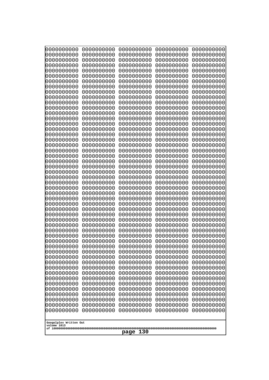| 10000000000<br>0000000000 | 0000000000<br>0000000000 | 0000000000<br>0000000000 | 0000000000<br>0000000000 | 0000000000<br>0000000000 |
|---------------------------|--------------------------|--------------------------|--------------------------|--------------------------|
| 0000000000                | 0000000000               | 0000000000               | 0000000000               | 0000000000               |
| 0000000000                | 0000000000               | 0000000000               | 0000000000               | 0000000000               |
| 0000000000<br>0000000000  | 0000000000<br>0000000000 | 0000000000               | 0000000000<br>0000000000 | 0000000000               |
| 0000000000                | 0000000000               | 0000000000<br>0000000000 | 0000000000               | 0000000000<br>0000000000 |
| 0000000000                | 0000000000               | 0000000000               | 0000000000               | 0000000000               |
| 0000000000                | 0000000000               | 0000000000               | 0000000000               | 0000000000               |
| 0000000000<br>0000000000  | 0000000000<br>0000000000 | 0000000000<br>0000000000 | 0000000000<br>0000000000 | 0000000000<br>0000000000 |
| 0000000000                | 0000000000               | 0000000000               | 0000000000               | 0000000000               |
| 0000000000                | 0000000000               | 0000000000               | 0000000000               | 0000000000               |
| 0000000000                | 0000000000               | 0000000000               | 0000000000               | 0000000000               |
| 0000000000<br>0000000000  | 0000000000<br>0000000000 | 0000000000<br>0000000000 | 0000000000<br>0000000000 | 0000000000<br>0000000000 |
| 0000000000                | 0000000000               | 0000000000               | 0000000000               | 0000000000               |
| 0000000000                | 0000000000               | 0000000000               | 0000000000               | 0000000000               |
| 0000000000<br>0000000000  | 0000000000<br>0000000000 | 0000000000<br>0000000000 | 0000000000<br>0000000000 | 0000000000<br>0000000000 |
| 0000000000                | 0000000000               | 0000000000               | 0000000000               | 0000000000               |
| 0000000000                | 0000000000               | 0000000000               | 0000000000               | 0000000000               |
| 0000000000                | 0000000000               | 0000000000               | 0000000000               | 0000000000               |
| 0000000000<br>0000000000  | 0000000000<br>0000000000 | 0000000000<br>0000000000 | 0000000000<br>0000000000 | 0000000000<br>0000000000 |
| 0000000000                | 0000000000               | 0000000000               | 0000000000               | 0000000000               |
| 0000000000                | 0000000000               | 0000000000               | 0000000000               | 0000000000               |
| 0000000000<br>0000000000  | 0000000000<br>0000000000 | 0000000000<br>0000000000 | 0000000000<br>0000000000 | 0000000000<br>0000000000 |
| 0000000000                | 0000000000               | 0000000000               | 0000000000               | 0000000000               |
| 0000000000                | 0000000000               | 0000000000               | 0000000000               | 0000000000               |
| 0000000000<br>0000000000  | 0000000000<br>0000000000 | 0000000000<br>0000000000 | 0000000000<br>0000000000 | 0000000000<br>0000000000 |
| 0000000000                | 0000000000               | 0000000000               | 0000000000               | 0000000000               |
| 0000000000                | 0000000000               | 0000000000               | 0000000000               | 0000000000               |
| 0000000000                | 0000000000               | 0000000000               | 0000000000               | 0000000000               |
| 0000000000<br>0000000000  | 0000000000<br>0000000000 | 0000000000<br>0000000000 | 0000000000<br>0000000000 | 0000000000<br>0000000000 |
| 0000000000                | 0000000000               | 0000000000               | 0000000000               | 0000000000               |
| 0000000000                | 0000000000               | 0000000000               | 0000000000               | 0000000000               |
| 0000000000<br>0000000000  | 0000000000<br>0000000000 | 0000000000<br>0000000000 | 0000000000<br>0000000000 | 0000000000<br>0000000000 |
| 0000000000                | 0000000000               | 0000000000               | 0000000000               | 0000000000               |
| 0000000000                | 0000000000               | 0000000000               | 0000000000               | 0000000000               |
| 0000000000                | 0000000000               | 0000000000               | 0000000000               | 0000000000               |
| 0000000000<br>0000000000  | 0000000000<br>0000000000 | 0000000000<br>0000000000 | 0000000000<br>0000000000 | 0000000000<br>0000000000 |
| 0000000000                | 0000000000               | 0000000000               | 0000000000               | 0000000000               |
| 0000000000                | 0000000000               | 0000000000               | 0000000000               | 0000000000               |
| 0000000000                | 0000000000               | 0000000000               | 0000000000               | 0000000000               |
| Googolplex Written Out    |                          |                          |                          |                          |
| volume 1013               |                          |                          |                          |                          |
| 130<br>page               |                          |                          |                          |                          |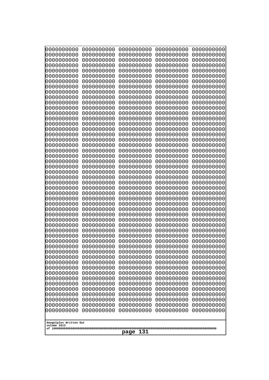| 0000000000<br>0000000000<br>0000000000<br>0000000000<br>0000000000<br>0000000000<br>0000000000<br>0000000000<br>0000000000<br>0000000000<br>0000000000<br>0000000000<br>0000000000<br>0000000000<br>0000000000<br>0000000000<br>0000000000<br>0000000000<br>0000000000<br>0000000000<br>0000000000<br>0000000000<br>0000000000<br>0000000000<br>0000000000<br>0000000000<br>0000000000<br>0000000000<br>0000000000<br>0000000000<br>0000000000<br>0000000000<br>0000000000<br>0000000000<br>0000000000<br>0000000000<br>0000000000<br>0000000000<br>0000000000<br>0000000000<br>0000000000<br>0000000000<br>0000000000<br>0000000000<br>0000000000<br>0000000000<br>0000000000<br>0000000000<br>0000000000<br>0000000000<br>0000000000<br>0000000000<br>0000000000<br>0000000000<br>0000000000<br>0000000000<br>0000000000<br>0000000000<br>0000000000<br>0000000000<br>0000000000<br>0000000000<br>0000000000<br>0000000000<br>0000000000<br>0000000000<br>0000000000<br>0000000000<br>0000000000<br>0000000000<br>0000000000<br>0000000000<br>0000000000<br>0000000000<br>0000000000<br>0000000000<br>0000000000<br>0000000000 | 0000000000<br>0000000000<br>0000000000<br>0000000000<br>0000000000<br>0000000000<br>0000000000<br>0000000000<br>0000000000<br>0000000000<br>0000000000<br>0000000000<br>0000000000<br>0000000000<br>0000000000<br>0000000000<br>0000000000<br>0000000000<br>0000000000<br>0000000000<br>0000000000<br>0000000000<br>0000000000<br>0000000000<br>0000000000<br>0000000000<br>0000000000<br>0000000000<br>0000000000<br>0000000000<br>0000000000 | 0000000000<br>0000000000<br>0000000000<br>0000000000<br>0000000000<br>0000000000<br>0000000000<br>0000000000<br>0000000000<br>0000000000<br>0000000000<br>0000000000<br>0000000000<br>0000000000<br>0000000000<br>0000000000<br>0000000000<br>0000000000<br>0000000000<br>0000000000<br>0000000000<br>0000000000<br>0000000000<br>0000000000<br>0000000000<br>0000000000<br>0000000000<br>0000000000<br>0000000000<br>0000000000<br>0000000000 | 0000000000<br>0000000000<br>0000000000<br>0000000000<br>0000000000<br>0000000000<br>0000000000<br>0000000000<br>0000000000<br>0000000000<br>0000000000<br>0000000000<br>0000000000<br>0000000000<br>0000000000<br>0000000000<br>0000000000<br>0000000000<br>0000000000<br>0000000000<br>0000000000<br>0000000000<br>0000000000<br>0000000000<br>0000000000<br>0000000000<br>0000000000<br>0000000000<br>0000000000<br>0000000000<br>0000000000 | 0000000000<br>0000000000<br>0000000000<br>0000000000<br>0000000000<br>0000000000<br>0000000000<br>0000000000<br>0000000000<br>0000000000<br>0000000000<br>0000000000<br>0000000000<br>0000000000<br>0000000000<br>0000000000<br>0000000000<br>0000000000<br>0000000000<br>0000000000<br>0000000000<br>0000000000<br>0000000000<br>0000000000<br>0000000000<br>0000000000<br>0000000000<br>0000000000<br>0000000000<br>0000000000<br>0000000000 | 0000000000<br>0000000000<br>0000000000<br>0000000000<br>0000000000<br>0000000000<br>0000000000<br>0000000000<br>0000000000<br>0000000000<br>0000000000<br>0000000000<br>0000000000<br>0000000000<br>0000000000<br>0000000000<br>0000000000<br>0000000000<br>0000000000<br>0000000000<br>0000000000<br>0000000000<br>0000000000<br>0000000000<br>0000000000<br>0000000000<br>0000000000<br>0000000000<br>0000000000<br>0000000000<br>0000000000 |
|----------------------------------------------------------------------------------------------------------------------------------------------------------------------------------------------------------------------------------------------------------------------------------------------------------------------------------------------------------------------------------------------------------------------------------------------------------------------------------------------------------------------------------------------------------------------------------------------------------------------------------------------------------------------------------------------------------------------------------------------------------------------------------------------------------------------------------------------------------------------------------------------------------------------------------------------------------------------------------------------------------------------------------------------------------------------------------------------------------------------------------|------------------------------------------------------------------------------------------------------------------------------------------------------------------------------------------------------------------------------------------------------------------------------------------------------------------------------------------------------------------------------------------------------------------------------------------------|------------------------------------------------------------------------------------------------------------------------------------------------------------------------------------------------------------------------------------------------------------------------------------------------------------------------------------------------------------------------------------------------------------------------------------------------|------------------------------------------------------------------------------------------------------------------------------------------------------------------------------------------------------------------------------------------------------------------------------------------------------------------------------------------------------------------------------------------------------------------------------------------------|------------------------------------------------------------------------------------------------------------------------------------------------------------------------------------------------------------------------------------------------------------------------------------------------------------------------------------------------------------------------------------------------------------------------------------------------|------------------------------------------------------------------------------------------------------------------------------------------------------------------------------------------------------------------------------------------------------------------------------------------------------------------------------------------------------------------------------------------------------------------------------------------------|
| 0000000000<br>0000000000<br>0000000000<br>0000000000                                                                                                                                                                                                                                                                                                                                                                                                                                                                                                                                                                                                                                                                                                                                                                                                                                                                                                                                                                                                                                                                             |                                                                                                                                                                                                                                                                                                                                                                                                                                                |                                                                                                                                                                                                                                                                                                                                                                                                                                                |                                                                                                                                                                                                                                                                                                                                                                                                                                                |                                                                                                                                                                                                                                                                                                                                                                                                                                                |                                                                                                                                                                                                                                                                                                                                                                                                                                                |
|                                                                                                                                                                                                                                                                                                                                                                                                                                                                                                                                                                                                                                                                                                                                                                                                                                                                                                                                                                                                                                                                                                                                  |                                                                                                                                                                                                                                                                                                                                                                                                                                                |                                                                                                                                                                                                                                                                                                                                                                                                                                                |                                                                                                                                                                                                                                                                                                                                                                                                                                                |                                                                                                                                                                                                                                                                                                                                                                                                                                                |                                                                                                                                                                                                                                                                                                                                                                                                                                                |
|                                                                                                                                                                                                                                                                                                                                                                                                                                                                                                                                                                                                                                                                                                                                                                                                                                                                                                                                                                                                                                                                                                                                  |                                                                                                                                                                                                                                                                                                                                                                                                                                                |                                                                                                                                                                                                                                                                                                                                                                                                                                                |                                                                                                                                                                                                                                                                                                                                                                                                                                                |                                                                                                                                                                                                                                                                                                                                                                                                                                                |                                                                                                                                                                                                                                                                                                                                                                                                                                                |
|                                                                                                                                                                                                                                                                                                                                                                                                                                                                                                                                                                                                                                                                                                                                                                                                                                                                                                                                                                                                                                                                                                                                  |                                                                                                                                                                                                                                                                                                                                                                                                                                                |                                                                                                                                                                                                                                                                                                                                                                                                                                                |                                                                                                                                                                                                                                                                                                                                                                                                                                                |                                                                                                                                                                                                                                                                                                                                                                                                                                                |                                                                                                                                                                                                                                                                                                                                                                                                                                                |
|                                                                                                                                                                                                                                                                                                                                                                                                                                                                                                                                                                                                                                                                                                                                                                                                                                                                                                                                                                                                                                                                                                                                  |                                                                                                                                                                                                                                                                                                                                                                                                                                                |                                                                                                                                                                                                                                                                                                                                                                                                                                                |                                                                                                                                                                                                                                                                                                                                                                                                                                                |                                                                                                                                                                                                                                                                                                                                                                                                                                                |                                                                                                                                                                                                                                                                                                                                                                                                                                                |
|                                                                                                                                                                                                                                                                                                                                                                                                                                                                                                                                                                                                                                                                                                                                                                                                                                                                                                                                                                                                                                                                                                                                  |                                                                                                                                                                                                                                                                                                                                                                                                                                                |                                                                                                                                                                                                                                                                                                                                                                                                                                                |                                                                                                                                                                                                                                                                                                                                                                                                                                                |                                                                                                                                                                                                                                                                                                                                                                                                                                                |                                                                                                                                                                                                                                                                                                                                                                                                                                                |
|                                                                                                                                                                                                                                                                                                                                                                                                                                                                                                                                                                                                                                                                                                                                                                                                                                                                                                                                                                                                                                                                                                                                  |                                                                                                                                                                                                                                                                                                                                                                                                                                                |                                                                                                                                                                                                                                                                                                                                                                                                                                                |                                                                                                                                                                                                                                                                                                                                                                                                                                                |                                                                                                                                                                                                                                                                                                                                                                                                                                                | 0000000000                                                                                                                                                                                                                                                                                                                                                                                                                                     |
|                                                                                                                                                                                                                                                                                                                                                                                                                                                                                                                                                                                                                                                                                                                                                                                                                                                                                                                                                                                                                                                                                                                                  |                                                                                                                                                                                                                                                                                                                                                                                                                                                |                                                                                                                                                                                                                                                                                                                                                                                                                                                |                                                                                                                                                                                                                                                                                                                                                                                                                                                |                                                                                                                                                                                                                                                                                                                                                                                                                                                | 0000000000                                                                                                                                                                                                                                                                                                                                                                                                                                     |
|                                                                                                                                                                                                                                                                                                                                                                                                                                                                                                                                                                                                                                                                                                                                                                                                                                                                                                                                                                                                                                                                                                                                  |                                                                                                                                                                                                                                                                                                                                                                                                                                                |                                                                                                                                                                                                                                                                                                                                                                                                                                                |                                                                                                                                                                                                                                                                                                                                                                                                                                                |                                                                                                                                                                                                                                                                                                                                                                                                                                                | 0000000000                                                                                                                                                                                                                                                                                                                                                                                                                                     |
|                                                                                                                                                                                                                                                                                                                                                                                                                                                                                                                                                                                                                                                                                                                                                                                                                                                                                                                                                                                                                                                                                                                                  | 0000000000                                                                                                                                                                                                                                                                                                                                                                                                                                     |                                                                                                                                                                                                                                                                                                                                                                                                                                                |                                                                                                                                                                                                                                                                                                                                                                                                                                                |                                                                                                                                                                                                                                                                                                                                                                                                                                                | 0000000000                                                                                                                                                                                                                                                                                                                                                                                                                                     |
|                                                                                                                                                                                                                                                                                                                                                                                                                                                                                                                                                                                                                                                                                                                                                                                                                                                                                                                                                                                                                                                                                                                                  |                                                                                                                                                                                                                                                                                                                                                                                                                                                |                                                                                                                                                                                                                                                                                                                                                                                                                                                |                                                                                                                                                                                                                                                                                                                                                                                                                                                |                                                                                                                                                                                                                                                                                                                                                                                                                                                | 0000000000                                                                                                                                                                                                                                                                                                                                                                                                                                     |
|                                                                                                                                                                                                                                                                                                                                                                                                                                                                                                                                                                                                                                                                                                                                                                                                                                                                                                                                                                                                                                                                                                                                  |                                                                                                                                                                                                                                                                                                                                                                                                                                                |                                                                                                                                                                                                                                                                                                                                                                                                                                                |                                                                                                                                                                                                                                                                                                                                                                                                                                                |                                                                                                                                                                                                                                                                                                                                                                                                                                                | 0000000000                                                                                                                                                                                                                                                                                                                                                                                                                                     |
|                                                                                                                                                                                                                                                                                                                                                                                                                                                                                                                                                                                                                                                                                                                                                                                                                                                                                                                                                                                                                                                                                                                                  |                                                                                                                                                                                                                                                                                                                                                                                                                                                |                                                                                                                                                                                                                                                                                                                                                                                                                                                |                                                                                                                                                                                                                                                                                                                                                                                                                                                |                                                                                                                                                                                                                                                                                                                                                                                                                                                | 0000000000<br>0000000000                                                                                                                                                                                                                                                                                                                                                                                                                       |
|                                                                                                                                                                                                                                                                                                                                                                                                                                                                                                                                                                                                                                                                                                                                                                                                                                                                                                                                                                                                                                                                                                                                  |                                                                                                                                                                                                                                                                                                                                                                                                                                                |                                                                                                                                                                                                                                                                                                                                                                                                                                                |                                                                                                                                                                                                                                                                                                                                                                                                                                                |                                                                                                                                                                                                                                                                                                                                                                                                                                                | 0000000000<br>0000000000                                                                                                                                                                                                                                                                                                                                                                                                                       |
|                                                                                                                                                                                                                                                                                                                                                                                                                                                                                                                                                                                                                                                                                                                                                                                                                                                                                                                                                                                                                                                                                                                                  |                                                                                                                                                                                                                                                                                                                                                                                                                                                |                                                                                                                                                                                                                                                                                                                                                                                                                                                |                                                                                                                                                                                                                                                                                                                                                                                                                                                |                                                                                                                                                                                                                                                                                                                                                                                                                                                | 0000000000                                                                                                                                                                                                                                                                                                                                                                                                                                     |
|                                                                                                                                                                                                                                                                                                                                                                                                                                                                                                                                                                                                                                                                                                                                                                                                                                                                                                                                                                                                                                                                                                                                  |                                                                                                                                                                                                                                                                                                                                                                                                                                                |                                                                                                                                                                                                                                                                                                                                                                                                                                                |                                                                                                                                                                                                                                                                                                                                                                                                                                                |                                                                                                                                                                                                                                                                                                                                                                                                                                                | 0000000000                                                                                                                                                                                                                                                                                                                                                                                                                                     |
|                                                                                                                                                                                                                                                                                                                                                                                                                                                                                                                                                                                                                                                                                                                                                                                                                                                                                                                                                                                                                                                                                                                                  |                                                                                                                                                                                                                                                                                                                                                                                                                                                |                                                                                                                                                                                                                                                                                                                                                                                                                                                |                                                                                                                                                                                                                                                                                                                                                                                                                                                |                                                                                                                                                                                                                                                                                                                                                                                                                                                |                                                                                                                                                                                                                                                                                                                                                                                                                                                |
| volume 1013<br>131<br>page                                                                                                                                                                                                                                                                                                                                                                                                                                                                                                                                                                                                                                                                                                                                                                                                                                                                                                                                                                                                                                                                                                       | Googolplex Written Out                                                                                                                                                                                                                                                                                                                                                                                                                         |                                                                                                                                                                                                                                                                                                                                                                                                                                                |                                                                                                                                                                                                                                                                                                                                                                                                                                                |                                                                                                                                                                                                                                                                                                                                                                                                                                                |                                                                                                                                                                                                                                                                                                                                                                                                                                                |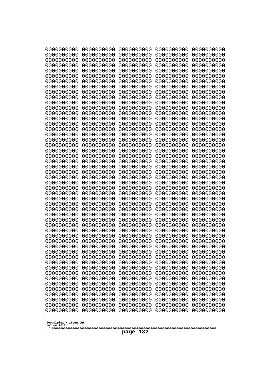| 10000000000<br>0000000000 | 0000000000<br>0000000000 | 0000000000<br>0000000000 | 0000000000<br>0000000000 | 0000000000<br>0000000000 |
|---------------------------|--------------------------|--------------------------|--------------------------|--------------------------|
| 0000000000                | 0000000000               | 0000000000               | 0000000000               | 0000000000               |
| 0000000000                | 0000000000               | 0000000000               | 0000000000               | 0000000000               |
| 0000000000<br>0000000000  | 0000000000<br>0000000000 | 0000000000<br>0000000000 | 0000000000<br>0000000000 | 0000000000<br>0000000000 |
| 0000000000                | 0000000000               | 0000000000               | 0000000000               | 0000000000               |
| 0000000000                | 0000000000               | 0000000000               | 0000000000               | 0000000000               |
| 0000000000<br>0000000000  | 0000000000<br>0000000000 | 0000000000<br>0000000000 | 0000000000<br>0000000000 | 0000000000<br>0000000000 |
| 0000000000                | 0000000000               | 0000000000               | 0000000000               | 0000000000               |
| 0000000000                | 0000000000               | 0000000000               | 0000000000               | 0000000000               |
| 0000000000<br>0000000000  | 0000000000<br>0000000000 | 0000000000<br>0000000000 | 0000000000<br>0000000000 | 0000000000<br>0000000000 |
| 0000000000                | 0000000000               | 0000000000               | 0000000000               | 0000000000               |
| 0000000000                | 0000000000               | 0000000000               | 0000000000               | 0000000000               |
| 0000000000<br>0000000000  | 0000000000<br>0000000000 | 0000000000<br>0000000000 | 0000000000<br>0000000000 | 0000000000<br>0000000000 |
| 0000000000                | 0000000000               | 0000000000               | 0000000000               | 0000000000               |
| 0000000000                | 0000000000               | 0000000000               | 0000000000               | 0000000000               |
| 0000000000                | 0000000000               | 0000000000               | 0000000000               | 0000000000               |
| 0000000000<br>0000000000  | 0000000000<br>0000000000 | 0000000000<br>0000000000 | 0000000000<br>0000000000 | 0000000000<br>0000000000 |
| 0000000000                | 0000000000               | 0000000000               | 0000000000               | 0000000000               |
| 0000000000                | 0000000000               | 0000000000               | 0000000000               | 0000000000               |
| 0000000000<br>0000000000  | 0000000000<br>0000000000 | 0000000000<br>0000000000 | 0000000000<br>0000000000 | 0000000000<br>0000000000 |
| 0000000000                | 0000000000               | 0000000000               | 0000000000               | 0000000000               |
| 0000000000                | 0000000000               | 0000000000               | 0000000000               | 0000000000               |
| 0000000000<br>0000000000  | 0000000000<br>0000000000 | 0000000000<br>0000000000 | 0000000000<br>0000000000 | 0000000000<br>0000000000 |
| 0000000000                | 0000000000               | 0000000000               | 0000000000               | 0000000000               |
| 0000000000                | 0000000000               | 0000000000               | 0000000000               | 0000000000               |
| 0000000000<br>0000000000  | 0000000000<br>0000000000 | 0000000000<br>0000000000 | 0000000000<br>0000000000 | 0000000000<br>0000000000 |
| 0000000000                | 0000000000               | 0000000000               | 0000000000               | 0000000000               |
| 0000000000                | 0000000000               | 0000000000               | 0000000000               | 0000000000               |
| 0000000000<br>0000000000  | 0000000000<br>0000000000 | 0000000000<br>0000000000 | 0000000000<br>0000000000 | 0000000000<br>0000000000 |
| 0000000000                | 0000000000               | 0000000000               | 0000000000               | 0000000000               |
| 0000000000                | 0000000000               | 0000000000               | 0000000000               | 0000000000               |
| 0000000000<br>0000000000  | 0000000000<br>0000000000 | 0000000000<br>0000000000 | 0000000000<br>0000000000 | 0000000000<br>0000000000 |
| 0000000000                | 0000000000               | 0000000000               | 0000000000               | 0000000000               |
| 0000000000                | 0000000000               | 0000000000               | 0000000000               | 0000000000               |
| 0000000000                | 0000000000<br>0000000000 | 0000000000               | 0000000000               | 0000000000               |
| 0000000000<br>0000000000  | 0000000000               | 0000000000<br>0000000000 | 0000000000<br>0000000000 | 0000000000<br>0000000000 |
| 0000000000                | 0000000000               | 0000000000               | 0000000000               | 0000000000               |
| 0000000000                | 0000000000               | 0000000000               | 0000000000               | 0000000000               |
| Googolplex Written Out    |                          |                          |                          |                          |
| volume 1013               |                          |                          |                          |                          |
| 132<br>page               |                          |                          |                          |                          |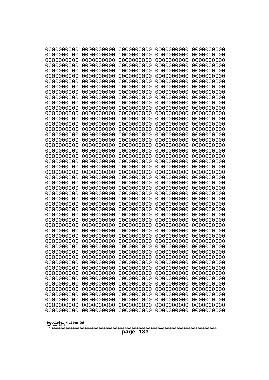| 10000000000              | 0000000000               | 0000000000               | 0000000000               | 0000000000               |
|--------------------------|--------------------------|--------------------------|--------------------------|--------------------------|
| 0000000000<br>0000000000 | 0000000000<br>0000000000 | 0000000000<br>0000000000 | 0000000000<br>0000000000 | 0000000000<br>0000000000 |
| 0000000000               | 0000000000               | 0000000000               | 0000000000               | 0000000000               |
| 0000000000               | 0000000000               | 0000000000               | 0000000000               | 0000000000               |
| 0000000000               | 0000000000               | 0000000000               | 0000000000               | 0000000000               |
| 0000000000<br>0000000000 | 0000000000<br>0000000000 | 0000000000<br>0000000000 | 0000000000<br>0000000000 | 0000000000<br>0000000000 |
| 0000000000               | 0000000000               | 0000000000               | 0000000000               | 0000000000               |
| 0000000000               | 0000000000               | 0000000000               | 0000000000               | 0000000000               |
| 0000000000               | 0000000000               | 0000000000               | 0000000000               | 0000000000               |
| 0000000000<br>0000000000 | 0000000000<br>0000000000 | 0000000000<br>0000000000 | 0000000000<br>0000000000 | 0000000000<br>0000000000 |
| 0000000000               | 0000000000               | 0000000000               | 0000000000               | 0000000000               |
| 0000000000               | 0000000000               | 0000000000               | 0000000000               | 0000000000               |
| 0000000000               | 0000000000               | 0000000000               | 0000000000               | 0000000000               |
| 0000000000<br>0000000000 | 0000000000<br>0000000000 | 0000000000<br>0000000000 | 0000000000<br>0000000000 | 0000000000<br>0000000000 |
| 0000000000               | 0000000000               | 0000000000               | 0000000000               | 0000000000               |
| 0000000000               | 0000000000               | 0000000000               | 0000000000               | 0000000000               |
| 0000000000               | 0000000000<br>0000000000 | 0000000000               | 0000000000               | 0000000000               |
| 0000000000<br>0000000000 | 0000000000               | 0000000000<br>0000000000 | 0000000000<br>0000000000 | 0000000000<br>0000000000 |
| 0000000000               | 0000000000               | 0000000000               | 0000000000               | 0000000000               |
| 0000000000               | 0000000000               | 0000000000               | 0000000000               | 0000000000               |
| 0000000000<br>0000000000 | 0000000000<br>0000000000 | 0000000000<br>0000000000 | 0000000000<br>0000000000 | 0000000000<br>0000000000 |
| 0000000000               | 0000000000               | 0000000000               | 0000000000               | 0000000000               |
| 0000000000               | 0000000000               | 0000000000               | 0000000000               | 0000000000               |
| 0000000000               | 0000000000               | 0000000000               | 0000000000               | 0000000000               |
| 0000000000<br>0000000000 | 0000000000<br>0000000000 | 0000000000<br>0000000000 | 0000000000<br>0000000000 | 0000000000<br>0000000000 |
| 0000000000               | 0000000000               | 0000000000               | 0000000000               | 0000000000               |
| 0000000000               | 0000000000               | 0000000000               | 0000000000               | 0000000000               |
| 0000000000<br>0000000000 | 0000000000<br>0000000000 | 0000000000               | 0000000000               | 0000000000               |
| 0000000000               | 0000000000               | 0000000000<br>0000000000 | 0000000000<br>0000000000 | 0000000000<br>0000000000 |
| 0000000000               | 0000000000               | 0000000000               | 0000000000               | 0000000000               |
| 0000000000               | 0000000000               | 0000000000               | 0000000000               | 0000000000               |
| 0000000000<br>0000000000 | 0000000000<br>0000000000 | 0000000000<br>0000000000 | 0000000000<br>0000000000 | 0000000000<br>0000000000 |
| 0000000000               | 0000000000               | 0000000000               | 0000000000               | 0000000000               |
| 0000000000               | 0000000000               | 0000000000               | 0000000000               | 0000000000               |
| 0000000000               | 0000000000               | 0000000000               | 0000000000               | 0000000000               |
| 0000000000<br>0000000000 | 0000000000<br>0000000000 | 0000000000<br>0000000000 | 0000000000<br>0000000000 | 0000000000<br>0000000000 |
| 0000000000               | 0000000000               | 0000000000               | 0000000000               | 0000000000               |
| 0000000000               | 0000000000               | 0000000000               | 0000000000               | 0000000000               |
| 0000000000               | 0000000000               | 0000000000               | 0000000000               | 0000000000               |
| 0000000000               | 0000000000               | 0000000000               | 0000000000               | 0000000000               |
| Googolplex Written Out   |                          |                          |                          |                          |
| volume 1013              |                          | 133                      |                          |                          |
|                          |                          | page                     |                          |                          |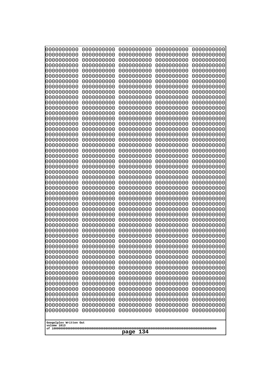| 0000000000                                           | 0000000000 | 0000000000 | 0000000000 | 0000000000 |
|------------------------------------------------------|------------|------------|------------|------------|
| 0000000000                                           | 0000000000 | 0000000000 | 0000000000 | 0000000000 |
| 0000000000                                           | 0000000000 | 0000000000 | 0000000000 | 0000000000 |
| 0000000000                                           | 0000000000 | 0000000000 | 0000000000 | 0000000000 |
| 0000000000                                           | 0000000000 | 0000000000 | 0000000000 | 0000000000 |
| 0000000000                                           | 0000000000 | 0000000000 | 0000000000 | 0000000000 |
| 0000000000                                           | 0000000000 | 0000000000 | 0000000000 | 0000000000 |
| 0000000000                                           | 0000000000 | 0000000000 | 0000000000 | 0000000000 |
| 0000000000                                           | 0000000000 | 0000000000 | 0000000000 | 0000000000 |
| 0000000000                                           | 0000000000 | 0000000000 | 0000000000 | 0000000000 |
| 0000000000                                           | 0000000000 | 0000000000 | 0000000000 | 0000000000 |
| 0000000000                                           | 0000000000 | 0000000000 | 0000000000 | 0000000000 |
| 0000000000                                           | 0000000000 | 0000000000 | 0000000000 | 0000000000 |
| 0000000000                                           | 0000000000 | 0000000000 | 0000000000 | 0000000000 |
| 0000000000                                           | 0000000000 | 0000000000 | 0000000000 | 0000000000 |
| 0000000000                                           | 0000000000 | 0000000000 | 0000000000 | 0000000000 |
| 0000000000                                           | 0000000000 | 0000000000 | 0000000000 | 0000000000 |
| 0000000000                                           | 0000000000 | 0000000000 | 0000000000 | 0000000000 |
| 0000000000                                           | 0000000000 | 0000000000 | 0000000000 | 0000000000 |
| 0000000000                                           | 0000000000 | 0000000000 | 0000000000 | 0000000000 |
| 0000000000                                           | 0000000000 | 0000000000 | 0000000000 | 0000000000 |
| 0000000000                                           | 0000000000 | 0000000000 | 0000000000 | 0000000000 |
| 0000000000                                           | 0000000000 | 0000000000 | 0000000000 | 0000000000 |
| 0000000000                                           | 0000000000 | 0000000000 | 0000000000 | 0000000000 |
| 0000000000                                           | 0000000000 | 0000000000 | 0000000000 | 0000000000 |
| 0000000000                                           | 0000000000 | 0000000000 | 0000000000 | 0000000000 |
| 0000000000                                           | 0000000000 | 0000000000 | 0000000000 | 0000000000 |
| 0000000000                                           | 0000000000 | 0000000000 | 0000000000 | 0000000000 |
| 0000000000                                           | 0000000000 | 0000000000 | 0000000000 | 0000000000 |
| 0000000000                                           | 0000000000 | 0000000000 | 0000000000 | 0000000000 |
| 0000000000                                           | 0000000000 | 0000000000 | 0000000000 | 0000000000 |
| 0000000000                                           | 0000000000 | 0000000000 | 0000000000 | 0000000000 |
| 0000000000                                           | 0000000000 | 0000000000 | 0000000000 | 0000000000 |
| 0000000000                                           | 0000000000 | 0000000000 | 0000000000 | 0000000000 |
| 0000000000                                           | 0000000000 | 0000000000 | 0000000000 | 0000000000 |
| 0000000000                                           | 0000000000 | 0000000000 | 0000000000 | 0000000000 |
| 0000000000                                           | 0000000000 | 0000000000 | 0000000000 | 0000000000 |
| 0000000000                                           | 0000000000 | 0000000000 | 0000000000 | 0000000000 |
| 0000000000                                           | 0000000000 | 0000000000 | 0000000000 | 0000000000 |
| 0000000000                                           | 0000000000 | 0000000000 | 0000000000 | 0000000000 |
| 0000000000                                           | 0000000000 | 0000000000 | 0000000000 | 0000000000 |
| 0000000000                                           | 0000000000 | 0000000000 | 0000000000 | 0000000000 |
| 0000000000                                           | 0000000000 | 0000000000 | 0000000000 | 0000000000 |
| 0000000000                                           | 0000000000 | 0000000000 | 0000000000 | 0000000000 |
| 0000000000                                           | 0000000000 | 0000000000 | 0000000000 | 0000000000 |
| 0000000000                                           | 0000000000 | 0000000000 | 0000000000 | 0000000000 |
| 0000000000                                           | 0000000000 | 0000000000 | 0000000000 | 0000000000 |
| 0000000000                                           | 0000000000 | 0000000000 | 0000000000 | 0000000000 |
| 0000000000                                           | 0000000000 | 0000000000 | 0000000000 | 0000000000 |
| 0000000000                                           | 0000000000 | 0000000000 | 0000000000 | 0000000000 |
| Googolplex Written Out<br>volume 1013<br>134<br>page |            |            |            |            |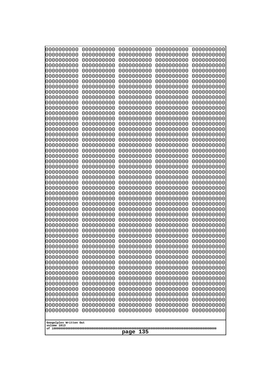| 10000000000<br>0000000000             | 0000000000<br>0000000000 | 0000000000<br>0000000000 | 0000000000<br>0000000000 | 0000000000<br>0000000000 |
|---------------------------------------|--------------------------|--------------------------|--------------------------|--------------------------|
| 0000000000                            | 0000000000               | 0000000000               | 0000000000               | 0000000000               |
| 0000000000                            | 0000000000               | 0000000000               | 0000000000               | 0000000000               |
| 0000000000<br>0000000000              | 0000000000<br>0000000000 | 0000000000               | 0000000000<br>0000000000 | 0000000000               |
| 0000000000                            | 0000000000               | 0000000000<br>0000000000 | 0000000000               | 0000000000<br>0000000000 |
| 0000000000                            | 0000000000               | 0000000000               | 0000000000               | 0000000000               |
| 0000000000                            | 0000000000               | 0000000000               | 0000000000               | 0000000000               |
| 0000000000<br>0000000000              | 0000000000<br>0000000000 | 0000000000<br>0000000000 | 0000000000<br>0000000000 | 0000000000<br>0000000000 |
| 0000000000                            | 0000000000               | 0000000000               | 0000000000               | 0000000000               |
| 0000000000                            | 0000000000               | 0000000000               | 0000000000               | 0000000000               |
| 0000000000<br>0000000000              | 0000000000<br>0000000000 | 0000000000<br>0000000000 | 0000000000<br>0000000000 | 0000000000<br>0000000000 |
| 0000000000                            | 0000000000               | 0000000000               | 0000000000               | 0000000000               |
| 0000000000                            | 0000000000               | 0000000000               | 0000000000               | 0000000000               |
| 0000000000<br>0000000000              | 0000000000               | 0000000000               | 0000000000               | 0000000000               |
| 0000000000                            | 0000000000<br>0000000000 | 0000000000<br>0000000000 | 0000000000<br>0000000000 | 0000000000<br>0000000000 |
| 0000000000                            | 0000000000               | 0000000000               | 0000000000               | 0000000000               |
| 0000000000                            | 0000000000               | 0000000000               | 0000000000               | 0000000000               |
| 0000000000<br>0000000000              | 0000000000<br>0000000000 | 0000000000<br>0000000000 | 0000000000<br>0000000000 | 0000000000<br>0000000000 |
| 0000000000                            | 0000000000               | 0000000000               | 0000000000               | 0000000000               |
| 0000000000                            | 0000000000               | 0000000000               | 0000000000               | 0000000000               |
| 0000000000<br>0000000000              | 0000000000<br>0000000000 | 0000000000<br>0000000000 | 0000000000<br>0000000000 | 0000000000<br>0000000000 |
| 0000000000                            | 0000000000               | 0000000000               | 0000000000               | 0000000000               |
| 0000000000                            | 0000000000               | 0000000000               | 0000000000               | 0000000000               |
| 0000000000<br>0000000000              | 0000000000<br>0000000000 | 0000000000<br>0000000000 | 0000000000<br>0000000000 | 0000000000<br>0000000000 |
| 0000000000                            | 0000000000               | 0000000000               | 0000000000               | 0000000000               |
| 0000000000                            | 0000000000               | 0000000000               | 0000000000               | 0000000000               |
| 0000000000                            | 0000000000               | 0000000000               | 0000000000               | 0000000000               |
| 0000000000<br>0000000000              | 0000000000<br>0000000000 | 0000000000<br>0000000000 | 0000000000<br>0000000000 | 0000000000<br>0000000000 |
| 0000000000                            | 0000000000               | 0000000000               | 0000000000               | 0000000000               |
| 0000000000                            | 0000000000               | 0000000000               | 0000000000               | 0000000000               |
| 0000000000<br>0000000000              | 0000000000<br>0000000000 | 0000000000<br>0000000000 | 0000000000<br>0000000000 | 0000000000<br>0000000000 |
| 0000000000                            | 0000000000               | 0000000000               | 0000000000               | 0000000000               |
| 0000000000                            | 0000000000               | 0000000000               | 0000000000               | 0000000000               |
| 0000000000<br>0000000000              | 0000000000<br>0000000000 | 0000000000<br>0000000000 | 0000000000<br>0000000000 | 0000000000<br>0000000000 |
| 0000000000                            | 0000000000               | 0000000000               | 0000000000               | 0000000000               |
| 0000000000                            | 0000000000               | 0000000000               | 0000000000               | 0000000000               |
| 0000000000                            | 0000000000               | 0000000000               | 0000000000<br>0000000000 | 0000000000               |
| 0000000000<br>0000000000              | 0000000000<br>0000000000 | 0000000000<br>0000000000 | 0000000000               | 0000000000<br>0000000000 |
|                                       |                          |                          |                          |                          |
| Googolplex Written Out<br>volume 1013 |                          |                          |                          |                          |
| 135<br>page                           |                          |                          |                          |                          |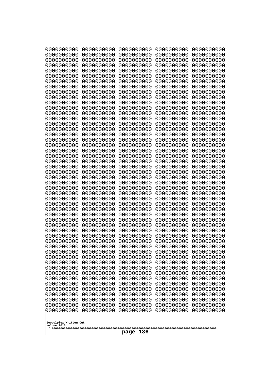| 10000000000                           | 0000000000               | 0000000000               | 0000000000               | 0000000000               |
|---------------------------------------|--------------------------|--------------------------|--------------------------|--------------------------|
| 0000000000<br>0000000000              | 0000000000<br>0000000000 | 0000000000<br>0000000000 | 0000000000<br>0000000000 | 0000000000<br>0000000000 |
| 0000000000                            | 0000000000               | 0000000000               | 0000000000               | 0000000000               |
| 0000000000                            | 0000000000               | 0000000000               | 0000000000               | 0000000000               |
| 0000000000                            | 0000000000               | 0000000000               | 0000000000               | 0000000000               |
| 0000000000                            | 0000000000               | 0000000000               | 0000000000               | 0000000000               |
| 0000000000<br>0000000000              | 0000000000<br>0000000000 | 0000000000<br>0000000000 | 0000000000<br>0000000000 | 0000000000<br>0000000000 |
| 0000000000                            | 0000000000               | 0000000000               | 0000000000               | 0000000000               |
| 0000000000                            | 0000000000               | 0000000000               | 0000000000               | 0000000000               |
| 0000000000<br>0000000000              | 0000000000<br>0000000000 | 0000000000<br>0000000000 | 0000000000<br>0000000000 | 0000000000<br>0000000000 |
| 0000000000                            | 0000000000               | 0000000000               | 0000000000               | 0000000000               |
| 0000000000                            | 0000000000               | 0000000000               | 0000000000               | 0000000000               |
| 0000000000                            | 0000000000               | 0000000000               | 0000000000               | 0000000000               |
| 0000000000<br>0000000000              | 0000000000<br>0000000000 | 0000000000<br>0000000000 | 0000000000<br>0000000000 | 0000000000<br>0000000000 |
| 0000000000                            | 0000000000               | 0000000000               | 0000000000               | 0000000000               |
| 0000000000                            | 0000000000               | 0000000000               | 0000000000               | 0000000000               |
| 0000000000                            | 0000000000               | 0000000000               | 0000000000               | 0000000000               |
| 0000000000<br>0000000000              | 0000000000<br>0000000000 | 0000000000<br>0000000000 | 0000000000<br>0000000000 | 0000000000<br>0000000000 |
| 0000000000                            | 0000000000               | 0000000000               | 0000000000               | 0000000000               |
| 0000000000                            | 0000000000               | 0000000000               | 0000000000               | 0000000000               |
| 0000000000                            | 0000000000               | 0000000000               | 0000000000               | 0000000000               |
| 0000000000<br>0000000000              | 0000000000<br>0000000000 | 0000000000<br>0000000000 | 0000000000<br>0000000000 | 0000000000<br>0000000000 |
| 0000000000                            | 0000000000               | 0000000000               | 0000000000               | 0000000000               |
| 0000000000                            | 0000000000               | 0000000000               | 0000000000               | 0000000000               |
| 0000000000                            | 0000000000               | 0000000000               | 0000000000               | 0000000000               |
| 0000000000<br>0000000000              | 0000000000<br>0000000000 | 0000000000<br>0000000000 | 0000000000<br>0000000000 | 0000000000<br>0000000000 |
| 0000000000                            | 0000000000               | 0000000000               | 0000000000               | 0000000000               |
| 0000000000                            | 0000000000               | 0000000000               | 0000000000               | 0000000000               |
| 0000000000<br>0000000000              | 0000000000<br>0000000000 | 0000000000<br>0000000000 | 0000000000<br>0000000000 | 0000000000<br>0000000000 |
| 0000000000                            | 0000000000               | 0000000000               | 0000000000               | 0000000000               |
| 0000000000                            | 0000000000               | 0000000000               | 0000000000               | 0000000000               |
| 0000000000                            | 0000000000               | 0000000000               | 0000000000               | 0000000000               |
| 0000000000<br>0000000000              | 0000000000<br>0000000000 | 0000000000<br>0000000000 | 0000000000<br>0000000000 | 0000000000<br>0000000000 |
| 0000000000                            | 0000000000               | 0000000000               | 0000000000               | 0000000000               |
| 0000000000                            | 0000000000               | 0000000000               | 0000000000               | 0000000000               |
| 0000000000                            | 0000000000               | 0000000000               | 0000000000               | 0000000000               |
| 0000000000<br>0000000000              | 0000000000<br>0000000000 | 0000000000<br>0000000000 | 0000000000<br>0000000000 | 0000000000<br>0000000000 |
| 0000000000                            | 0000000000               | 0000000000               | 0000000000               | 0000000000               |
| 0000000000                            | 0000000000               | 0000000000               | 0000000000               | 0000000000               |
| 0000000000                            | 0000000000               | 0000000000               | 0000000000               | 0000000000               |
|                                       |                          |                          |                          |                          |
| Googolplex Written Out<br>volume 1013 |                          |                          |                          |                          |
| 136<br>page                           |                          |                          |                          |                          |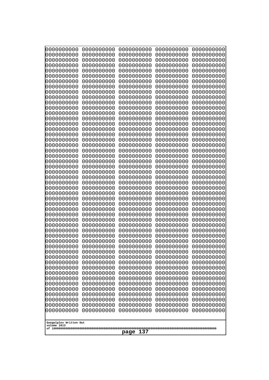| 000000000                             | 0000000000               | 0000000000               | 0000000000               | 0000000000               |
|---------------------------------------|--------------------------|--------------------------|--------------------------|--------------------------|
| 0000000000                            | 0000000000               | 0000000000               | 0000000000               | 0000000000               |
| 0000000000                            | 0000000000               | 0000000000               | 0000000000               | 0000000000               |
| 0000000000                            | 0000000000               | 0000000000               | 0000000000               | 0000000000               |
| 0000000000                            | 0000000000               | 0000000000               | 0000000000               | 0000000000               |
| 0000000000                            | 0000000000               | 0000000000               | 0000000000               | 0000000000               |
| 0000000000<br>0000000000              | 0000000000<br>0000000000 | 0000000000<br>0000000000 | 0000000000<br>0000000000 | 0000000000               |
| 0000000000                            | 0000000000               | 0000000000               | 0000000000               | 0000000000<br>0000000000 |
| 0000000000                            | 0000000000               | 0000000000               | 0000000000               | 0000000000               |
| 0000000000                            | 0000000000               | 0000000000               | 0000000000               | 0000000000               |
| 0000000000                            | 0000000000               | 0000000000               | 0000000000               | 0000000000               |
| 0000000000                            | 0000000000               | 0000000000               | 0000000000               | 0000000000               |
| 0000000000                            | 0000000000               | 0000000000               | 0000000000               | 0000000000               |
| 0000000000                            | 0000000000               | 0000000000               | 0000000000               | 0000000000               |
| 0000000000                            | 0000000000               | 0000000000               | 0000000000               | 0000000000               |
| 0000000000<br>0000000000              | 0000000000<br>0000000000 | 0000000000<br>0000000000 | 0000000000<br>0000000000 | 0000000000<br>0000000000 |
| 0000000000                            | 0000000000               | 0000000000               | 0000000000               | 0000000000               |
| 0000000000                            | 0000000000               | 0000000000               | 0000000000               | 0000000000               |
| 0000000000                            | 0000000000               | 0000000000               | 0000000000               | 0000000000               |
| 0000000000                            | 0000000000               | 0000000000               | 0000000000               | 0000000000               |
| 0000000000                            | 0000000000               | 0000000000               | 0000000000               | 0000000000               |
| 0000000000                            | 0000000000               | 0000000000               | 0000000000               | 0000000000               |
| 0000000000                            | 0000000000               | 0000000000               | 0000000000               | 0000000000               |
| 0000000000<br>0000000000              | 0000000000<br>0000000000 | 0000000000<br>0000000000 | 0000000000<br>0000000000 | 0000000000<br>0000000000 |
| 0000000000                            | 0000000000               | 0000000000               | 0000000000               | 0000000000               |
| 0000000000                            | 0000000000               | 0000000000               | 0000000000               | 0000000000               |
| 0000000000                            | 0000000000               | 0000000000               | 0000000000               | 0000000000               |
| 0000000000                            | 0000000000               | 0000000000               | 0000000000               | 0000000000               |
| 0000000000                            | 0000000000               | 0000000000               | 0000000000               | 0000000000               |
| 0000000000                            | 0000000000               | 0000000000               | 0000000000               | 0000000000               |
| 0000000000                            | 0000000000<br>0000000000 | 0000000000<br>0000000000 | 0000000000               | 0000000000               |
| 0000000000<br>0000000000              | 0000000000               | 0000000000               | 0000000000<br>0000000000 | 0000000000<br>0000000000 |
| 0000000000                            | 0000000000               | 0000000000               | 0000000000               | 0000000000               |
| 0000000000                            | 0000000000               | 0000000000               | 0000000000               | 0000000000               |
| 0000000000                            | 0000000000               | 0000000000               | 0000000000               | 0000000000               |
| 0000000000                            | 0000000000               | 0000000000               | 0000000000               | 0000000000               |
| 0000000000                            | 0000000000               | 0000000000               | 0000000000               | 0000000000               |
| 0000000000                            | 0000000000               | 0000000000               | 0000000000               | 0000000000               |
| 0000000000<br>0000000000              | 0000000000<br>0000000000 | 0000000000<br>0000000000 | 0000000000<br>0000000000 | 0000000000<br>0000000000 |
| 0000000000                            | 0000000000               | 0000000000               | 0000000000               | 0000000000               |
| 0000000000                            | 0000000000               | 0000000000               | 0000000000               | 0000000000               |
| 0000000000                            | 0000000000               | 0000000000               | 0000000000               | 0000000000               |
| 0000000000                            | 0000000000               | 0000000000               | 0000000000               | 0000000000               |
| 0000000000                            | 0000000000               | 0000000000               | 0000000000               | 0000000000               |
| 0000000000                            | 0000000000               | 0000000000               | 0000000000               | 0000000000               |
|                                       |                          |                          |                          |                          |
| Googolplex Written Out<br>volume 1013 |                          |                          |                          |                          |
|                                       | 137<br>page              |                          |                          |                          |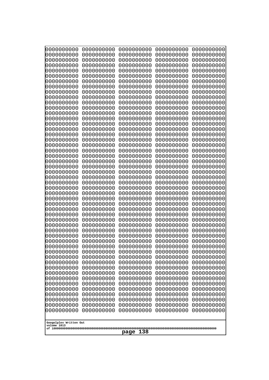| 10000000000<br>0000000000 | 0000000000<br>0000000000 | 0000000000<br>0000000000 | 0000000000<br>0000000000 | 0000000000<br>0000000000 |
|---------------------------|--------------------------|--------------------------|--------------------------|--------------------------|
| 0000000000                | 0000000000               | 0000000000               | 0000000000               | 0000000000               |
| 0000000000                | 0000000000               | 0000000000               | 0000000000               | 0000000000               |
| 0000000000<br>0000000000  | 0000000000<br>0000000000 | 0000000000               | 0000000000<br>0000000000 | 0000000000               |
| 0000000000                | 0000000000               | 0000000000<br>0000000000 | 0000000000               | 0000000000<br>0000000000 |
| 0000000000                | 0000000000               | 0000000000               | 0000000000               | 0000000000               |
| 0000000000                | 0000000000               | 0000000000               | 0000000000               | 0000000000               |
| 0000000000<br>0000000000  | 0000000000<br>0000000000 | 0000000000<br>0000000000 | 0000000000<br>0000000000 | 0000000000<br>0000000000 |
| 0000000000                | 0000000000               | 0000000000               | 0000000000               | 0000000000               |
| 0000000000                | 0000000000               | 0000000000               | 0000000000               | 0000000000               |
| 0000000000                | 0000000000               | 0000000000               | 0000000000               | 0000000000               |
| 0000000000<br>0000000000  | 0000000000<br>0000000000 | 0000000000<br>0000000000 | 0000000000<br>0000000000 | 0000000000<br>0000000000 |
| 0000000000                | 0000000000               | 0000000000               | 0000000000               | 0000000000               |
| 0000000000                | 0000000000               | 0000000000               | 0000000000               | 0000000000               |
| 0000000000<br>0000000000  | 0000000000<br>0000000000 | 0000000000<br>0000000000 | 0000000000<br>0000000000 | 0000000000<br>0000000000 |
| 0000000000                | 0000000000               | 0000000000               | 0000000000               | 0000000000               |
| 0000000000                | 0000000000               | 0000000000               | 0000000000               | 0000000000               |
| 0000000000                | 0000000000               | 0000000000               | 0000000000               | 0000000000               |
| 0000000000<br>0000000000  | 0000000000<br>0000000000 | 0000000000<br>0000000000 | 0000000000<br>0000000000 | 0000000000<br>0000000000 |
| 0000000000                | 0000000000               | 0000000000               | 0000000000               | 0000000000               |
| 0000000000                | 0000000000               | 0000000000               | 0000000000               | 0000000000               |
| 0000000000<br>0000000000  | 0000000000<br>0000000000 | 0000000000<br>0000000000 | 0000000000<br>0000000000 | 0000000000<br>0000000000 |
| 0000000000                | 0000000000               | 0000000000               | 0000000000               | 0000000000               |
| 0000000000                | 0000000000               | 0000000000               | 0000000000               | 0000000000               |
| 0000000000<br>0000000000  | 0000000000<br>0000000000 | 0000000000<br>0000000000 | 0000000000<br>0000000000 | 0000000000<br>0000000000 |
| 0000000000                | 0000000000               | 0000000000               | 0000000000               | 0000000000               |
| 0000000000                | 0000000000               | 0000000000               | 0000000000               | 0000000000               |
| 0000000000                | 0000000000               | 0000000000               | 0000000000               | 0000000000               |
| 0000000000<br>0000000000  | 0000000000<br>0000000000 | 0000000000<br>0000000000 | 0000000000<br>0000000000 | 0000000000<br>0000000000 |
| 0000000000                | 0000000000               | 0000000000               | 0000000000               | 0000000000               |
| 0000000000                | 0000000000               | 0000000000               | 0000000000               | 0000000000               |
| 0000000000<br>0000000000  | 0000000000<br>0000000000 | 0000000000<br>0000000000 | 0000000000<br>0000000000 | 0000000000<br>0000000000 |
| 0000000000                | 0000000000               | 0000000000               | 0000000000               | 0000000000               |
| 0000000000                | 0000000000               | 0000000000               | 0000000000               | 0000000000               |
| 0000000000                | 0000000000               | 0000000000               | 0000000000               | 0000000000               |
| 0000000000<br>0000000000  | 0000000000<br>0000000000 | 0000000000<br>0000000000 | 0000000000<br>0000000000 | 0000000000<br>0000000000 |
| 0000000000                | 0000000000               | 0000000000               | 0000000000               | 0000000000               |
| 0000000000                | 0000000000               | 0000000000               | 0000000000               | 0000000000               |
| 0000000000                | 0000000000               | 0000000000               | 0000000000               | 0000000000               |
| Googolplex Written Out    |                          |                          |                          |                          |
| volume 1013               |                          |                          |                          |                          |
| 138<br>page               |                          |                          |                          |                          |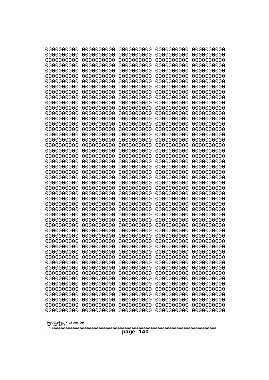| 10000000000<br>0000000000             | 0000000000<br>0000000000 | 0000000000<br>0000000000 | 0000000000<br>0000000000 | 0000000000<br>0000000000 |
|---------------------------------------|--------------------------|--------------------------|--------------------------|--------------------------|
| 0000000000                            | 0000000000               | 0000000000               | 0000000000               | 0000000000               |
| 0000000000                            | 0000000000               | 0000000000               | 0000000000               | 0000000000               |
| 0000000000                            | 0000000000               | 0000000000               | 0000000000               | 0000000000               |
| 0000000000<br>0000000000              | 0000000000<br>0000000000 | 0000000000<br>0000000000 | 0000000000<br>0000000000 | 0000000000<br>0000000000 |
| 0000000000                            | 0000000000               | 0000000000               | 0000000000               | 0000000000               |
| 0000000000                            | 0000000000               | 0000000000               | 0000000000               | 0000000000               |
| 0000000000                            | 0000000000               | 0000000000               | 0000000000               | 0000000000               |
| 0000000000<br>0000000000              | 0000000000<br>0000000000 | 0000000000<br>0000000000 | 0000000000<br>0000000000 | 0000000000<br>0000000000 |
| 0000000000                            | 0000000000               | 0000000000               | 0000000000               | 0000000000               |
| 0000000000                            | 0000000000               | 0000000000               | 0000000000               | 0000000000               |
| 0000000000                            | 0000000000               | 0000000000               | 0000000000               | 0000000000               |
| 0000000000<br>0000000000              | 0000000000<br>0000000000 | 0000000000<br>0000000000 | 0000000000<br>0000000000 | 0000000000<br>0000000000 |
| 0000000000                            | 0000000000               | 0000000000               | 0000000000               | 0000000000               |
| 0000000000                            | 0000000000               | 0000000000               | 0000000000               | 0000000000               |
| 0000000000<br>0000000000              | 0000000000               | 0000000000               | 0000000000               | 0000000000               |
| 0000000000                            | 0000000000<br>0000000000 | 0000000000<br>0000000000 | 0000000000<br>0000000000 | 0000000000<br>0000000000 |
| 0000000000                            | 0000000000               | 0000000000               | 0000000000               | 0000000000               |
| 0000000000                            | 0000000000               | 0000000000               | 0000000000               | 0000000000               |
| 0000000000<br>0000000000              | 0000000000<br>0000000000 | 0000000000<br>0000000000 | 0000000000<br>0000000000 | 0000000000<br>0000000000 |
| 0000000000                            | 0000000000               | 0000000000               | 0000000000               | 0000000000               |
| 0000000000                            | 0000000000               | 0000000000               | 0000000000               | 0000000000               |
| 0000000000                            | 0000000000               | 0000000000               | 0000000000               | 0000000000               |
| 0000000000<br>0000000000              | 0000000000<br>0000000000 | 0000000000<br>0000000000 | 0000000000<br>0000000000 | 0000000000<br>0000000000 |
| 0000000000                            | 0000000000               | 0000000000               | 0000000000               | 0000000000               |
| 0000000000                            | 0000000000               | 0000000000               | 0000000000               | 0000000000               |
| 0000000000<br>0000000000              | 0000000000<br>0000000000 | 0000000000<br>0000000000 | 0000000000<br>0000000000 | 0000000000<br>0000000000 |
| 0000000000                            | 0000000000               | 0000000000               | 0000000000               | 0000000000               |
| 0000000000                            | 0000000000               | 0000000000               | 0000000000               | 0000000000               |
| 0000000000                            | 0000000000               | 0000000000               | 0000000000               | 0000000000               |
| 0000000000<br>0000000000              | 0000000000<br>0000000000 | 0000000000<br>0000000000 | 0000000000<br>0000000000 | 0000000000<br>0000000000 |
| 0000000000                            | 0000000000               | 0000000000               | 0000000000               | 0000000000               |
| 0000000000                            | 0000000000               | 0000000000               | 0000000000               | 0000000000               |
| 0000000000<br>0000000000              | 0000000000<br>0000000000 | 0000000000<br>0000000000 | 0000000000<br>0000000000 | 0000000000<br>0000000000 |
| 0000000000                            | 0000000000               | 0000000000               | 0000000000               | 0000000000               |
| 0000000000                            | 0000000000               | 0000000000               | 0000000000               | 0000000000               |
| 0000000000<br>0000000000              | 0000000000               | 0000000000               | 0000000000               | 0000000000               |
| 0000000000                            | 0000000000<br>0000000000 | 0000000000<br>0000000000 | 0000000000<br>0000000000 | 0000000000<br>0000000000 |
| 0000000000                            | 0000000000               | 0000000000               | 0000000000               | 0000000000               |
|                                       |                          |                          |                          |                          |
| Googolplex Written Out<br>volume 1013 |                          |                          |                          |                          |
| 140<br>page                           |                          |                          |                          |                          |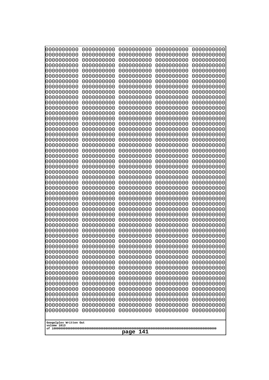| 10000000000                           | 0000000000               | 0000000000               | 0000000000               | 0000000000               |
|---------------------------------------|--------------------------|--------------------------|--------------------------|--------------------------|
| 0000000000<br>0000000000              | 0000000000<br>0000000000 | 0000000000<br>0000000000 | 0000000000<br>0000000000 | 0000000000<br>0000000000 |
| 0000000000                            | 0000000000               | 0000000000               | 0000000000               | 0000000000               |
| 0000000000                            | 0000000000               | 0000000000               | 0000000000               | 0000000000               |
| 0000000000                            | 0000000000               | 0000000000               | 0000000000               | 0000000000               |
| 0000000000                            | 0000000000               | 0000000000               | 0000000000               | 0000000000               |
| 0000000000<br>0000000000              | 0000000000<br>0000000000 | 0000000000<br>0000000000 | 0000000000<br>0000000000 | 0000000000<br>0000000000 |
| 0000000000                            | 0000000000               | 0000000000               | 0000000000               | 0000000000               |
| 0000000000                            | 0000000000               | 0000000000               | 0000000000               | 0000000000               |
| 0000000000                            | 0000000000               | 0000000000               | 0000000000               | 0000000000               |
| 0000000000<br>0000000000              | 0000000000<br>0000000000 | 0000000000<br>0000000000 | 0000000000<br>0000000000 | 0000000000<br>0000000000 |
| 0000000000                            | 0000000000               | 0000000000               | 0000000000               | 0000000000               |
| 0000000000                            | 0000000000               | 0000000000               | 0000000000               | 0000000000               |
| 0000000000                            | 0000000000               | 0000000000<br>0000000000 | 0000000000<br>0000000000 | 0000000000               |
| 0000000000<br>0000000000              | 0000000000<br>0000000000 | 0000000000               | 0000000000               | 0000000000<br>0000000000 |
| 0000000000                            | 0000000000               | 0000000000               | 0000000000               | 0000000000               |
| 0000000000                            | 0000000000               | 0000000000               | 0000000000               | 0000000000               |
| 0000000000<br>0000000000              | 0000000000<br>0000000000 | 0000000000<br>0000000000 | 0000000000<br>0000000000 | 0000000000<br>0000000000 |
| 0000000000                            | 0000000000               | 0000000000               | 0000000000               | 0000000000               |
| 0000000000                            | 0000000000               | 0000000000               | 0000000000               | 0000000000               |
| 0000000000                            | 0000000000               | 0000000000               | 0000000000               | 0000000000               |
| 0000000000<br>0000000000              | 0000000000<br>0000000000 | 0000000000<br>0000000000 | 0000000000<br>0000000000 | 0000000000<br>0000000000 |
| 0000000000                            | 0000000000               | 0000000000               | 0000000000               | 0000000000               |
| 0000000000                            | 0000000000               | 0000000000               | 0000000000               | 0000000000               |
| 0000000000                            | 0000000000               | 0000000000               | 0000000000               | 0000000000               |
| 0000000000<br>0000000000              | 0000000000<br>0000000000 | 0000000000<br>0000000000 | 0000000000<br>0000000000 | 0000000000<br>0000000000 |
| 0000000000                            | 0000000000               | 0000000000               | 0000000000               | 0000000000               |
| 0000000000                            | 0000000000               | 0000000000               | 0000000000               | 0000000000               |
| 0000000000                            | 0000000000               | 0000000000               | 0000000000               | 0000000000               |
| 0000000000<br>0000000000              | 0000000000<br>0000000000 | 0000000000<br>0000000000 | 0000000000<br>0000000000 | 0000000000<br>0000000000 |
| 0000000000                            | 0000000000               | 0000000000               | 0000000000               | 0000000000               |
| 0000000000                            | 0000000000               | 0000000000               | 0000000000               | 0000000000               |
| 0000000000                            | 0000000000               | 0000000000               | 0000000000               | 0000000000               |
| 0000000000<br>0000000000              | 0000000000<br>0000000000 | 0000000000<br>0000000000 | 0000000000<br>0000000000 | 0000000000<br>0000000000 |
| 0000000000                            | 0000000000               | 0000000000               | 0000000000               | 0000000000               |
| 0000000000                            | 0000000000               | 0000000000               | 0000000000               | 0000000000               |
| 0000000000<br>0000000000              | 0000000000<br>0000000000 | 0000000000               | 0000000000               | 0000000000               |
| 0000000000                            | 0000000000               | 0000000000<br>0000000000 | 0000000000<br>0000000000 | 0000000000<br>0000000000 |
| 0000000000                            | 0000000000               | 0000000000               | 0000000000               | 0000000000               |
| 0000000000                            | 0000000000               | 0000000000               | 0000000000               | 0000000000               |
|                                       |                          |                          |                          |                          |
| Googolplex Written Out<br>volume 1013 |                          |                          |                          |                          |
| 141<br>page                           |                          |                          |                          |                          |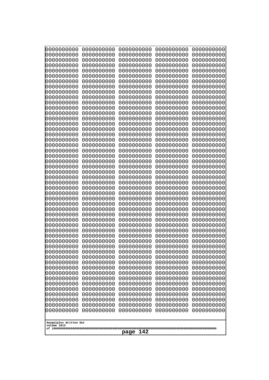| 10000000000<br>0000000000             | 0000000000<br>0000000000 | 0000000000<br>0000000000 | 0000000000<br>0000000000 | 0000000000<br>0000000000 |
|---------------------------------------|--------------------------|--------------------------|--------------------------|--------------------------|
| 0000000000                            | 0000000000               | 0000000000               | 0000000000               | 0000000000               |
| 0000000000                            | 0000000000               | 0000000000               | 0000000000               | 0000000000               |
| 0000000000                            | 0000000000               | 0000000000               | 0000000000               | 0000000000               |
| 0000000000<br>0000000000              | 0000000000<br>0000000000 | 0000000000<br>0000000000 | 0000000000<br>0000000000 | 0000000000<br>0000000000 |
| 0000000000                            | 0000000000               | 0000000000               | 0000000000               | 0000000000               |
| 0000000000                            | 0000000000               | 0000000000               | 0000000000               | 0000000000               |
| 0000000000                            | 0000000000               | 0000000000               | 0000000000               | 0000000000               |
| 0000000000<br>0000000000              | 0000000000<br>0000000000 | 0000000000<br>0000000000 | 0000000000<br>0000000000 | 0000000000               |
| 0000000000                            | 0000000000               | 0000000000               | 0000000000               | 0000000000<br>0000000000 |
| 0000000000                            | 0000000000               | 0000000000               | 0000000000               | 0000000000               |
| 0000000000                            | 0000000000               | 0000000000               | 0000000000               | 0000000000               |
| 0000000000<br>0000000000              | 0000000000<br>0000000000 | 0000000000<br>0000000000 | 0000000000<br>0000000000 | 0000000000<br>0000000000 |
| 0000000000                            | 0000000000               | 0000000000               | 0000000000               | 0000000000               |
| 0000000000                            | 0000000000               | 0000000000               | 0000000000               | 0000000000               |
| 0000000000                            | 0000000000               | 0000000000               | 0000000000               | 0000000000               |
| 0000000000<br>0000000000              | 0000000000<br>0000000000 | 0000000000<br>0000000000 | 0000000000<br>0000000000 | 0000000000<br>0000000000 |
| 0000000000                            | 0000000000               | 0000000000               | 0000000000               | 0000000000               |
| 0000000000                            | 0000000000               | 0000000000               | 0000000000               | 0000000000               |
| 0000000000                            | 0000000000               | 0000000000               | 0000000000               | 0000000000               |
| 0000000000<br>0000000000              | 0000000000<br>0000000000 | 0000000000<br>0000000000 | 0000000000<br>0000000000 | 0000000000<br>0000000000 |
| 0000000000                            | 0000000000               | 0000000000               | 0000000000               | 0000000000               |
| 0000000000                            | 0000000000               | 0000000000               | 0000000000               | 0000000000               |
| 0000000000                            | 0000000000               | 0000000000               | 0000000000               | 0000000000               |
| 0000000000<br>0000000000              | 0000000000<br>0000000000 | 0000000000<br>0000000000 | 0000000000<br>0000000000 | 0000000000<br>0000000000 |
| 0000000000                            | 0000000000               | 0000000000               | 0000000000               | 0000000000               |
| 0000000000                            | 0000000000               | 0000000000               | 0000000000               | 0000000000               |
| 0000000000                            | 0000000000               | 0000000000               | 0000000000               | 0000000000               |
| 0000000000<br>0000000000              | 0000000000<br>0000000000 | 0000000000<br>0000000000 | 0000000000<br>0000000000 | 0000000000<br>0000000000 |
| 0000000000                            | 0000000000               | 0000000000               | 0000000000               | 0000000000               |
| 0000000000                            | 0000000000               | 0000000000               | 0000000000               | 0000000000               |
| 0000000000                            | 0000000000               | 0000000000               | 0000000000               | 0000000000               |
| 0000000000<br>0000000000              | 0000000000<br>0000000000 | 0000000000<br>0000000000 | 0000000000<br>0000000000 | 0000000000<br>0000000000 |
| 0000000000                            | 0000000000               | 0000000000               | 0000000000               | 0000000000               |
| 0000000000                            | 0000000000               | 0000000000               | 0000000000               | 0000000000               |
| 0000000000                            | 0000000000               | 0000000000               | 0000000000               | 0000000000               |
| 0000000000<br>0000000000              | 0000000000<br>0000000000 | 0000000000<br>0000000000 | 0000000000<br>0000000000 | 0000000000<br>0000000000 |
| 0000000000                            | 0000000000               | 0000000000               | 0000000000               | 0000000000               |
| 0000000000                            | 0000000000               | 0000000000               | 0000000000               | 0000000000               |
| 0000000000                            | 0000000000               | 0000000000               | 0000000000               | 0000000000               |
|                                       |                          |                          |                          |                          |
| Googolplex Written Out<br>volume 1013 |                          |                          |                          |                          |
| 142<br>page                           |                          |                          |                          |                          |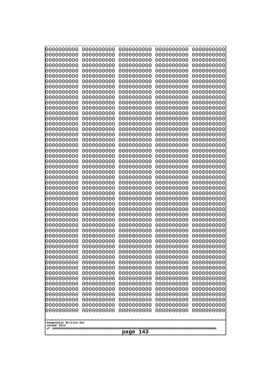| 10000000000<br>0000000000             | 0000000000<br>0000000000 | 0000000000<br>0000000000 | 0000000000<br>0000000000 | 0000000000<br>0000000000 |
|---------------------------------------|--------------------------|--------------------------|--------------------------|--------------------------|
| 0000000000                            | 0000000000               | 0000000000               | 0000000000               | 0000000000               |
| 0000000000                            | 0000000000               | 0000000000               | 0000000000               | 0000000000               |
| 0000000000                            | 0000000000               | 0000000000               | 0000000000               | 0000000000               |
| 0000000000<br>0000000000              | 0000000000<br>0000000000 | 0000000000<br>0000000000 | 0000000000<br>0000000000 | 0000000000<br>0000000000 |
| 0000000000                            | 0000000000               | 0000000000               | 0000000000               | 0000000000               |
| 0000000000                            | 0000000000               | 0000000000               | 0000000000               | 0000000000               |
| 0000000000                            | 0000000000               | 0000000000               | 0000000000               | 0000000000               |
| 0000000000<br>0000000000              | 0000000000<br>0000000000 | 0000000000<br>0000000000 | 0000000000<br>0000000000 | 0000000000<br>0000000000 |
| 0000000000                            | 0000000000               | 0000000000               | 0000000000               | 0000000000               |
| 0000000000                            | 0000000000               | 0000000000               | 0000000000               | 0000000000               |
| 0000000000                            | 0000000000               | 0000000000               | 0000000000               | 0000000000               |
| 0000000000<br>0000000000              | 0000000000<br>0000000000 | 0000000000<br>0000000000 | 0000000000<br>0000000000 | 0000000000<br>0000000000 |
| 0000000000                            | 0000000000               | 0000000000               | 0000000000               | 0000000000               |
| 0000000000                            | 0000000000               | 0000000000               | 0000000000               | 0000000000               |
| 0000000000<br>0000000000              | 0000000000               | 0000000000               | 0000000000               | 0000000000               |
| 0000000000                            | 0000000000<br>0000000000 | 0000000000<br>0000000000 | 0000000000<br>0000000000 | 0000000000<br>0000000000 |
| 0000000000                            | 0000000000               | 0000000000               | 0000000000               | 0000000000               |
| 0000000000                            | 0000000000               | 0000000000               | 0000000000               | 0000000000               |
| 0000000000<br>0000000000              | 0000000000<br>0000000000 | 0000000000<br>0000000000 | 0000000000<br>0000000000 | 0000000000<br>0000000000 |
| 0000000000                            | 0000000000               | 0000000000               | 0000000000               | 0000000000               |
| 0000000000                            | 0000000000               | 0000000000               | 0000000000               | 0000000000               |
| 0000000000                            | 0000000000               | 0000000000               | 0000000000               | 0000000000               |
| 0000000000<br>0000000000              | 0000000000<br>0000000000 | 0000000000<br>0000000000 | 0000000000<br>0000000000 | 0000000000<br>0000000000 |
| 0000000000                            | 0000000000               | 0000000000               | 0000000000               | 0000000000               |
| 0000000000                            | 0000000000               | 0000000000               | 0000000000               | 0000000000               |
| 0000000000<br>0000000000              | 0000000000<br>0000000000 | 0000000000<br>0000000000 | 0000000000<br>0000000000 | 0000000000<br>0000000000 |
| 0000000000                            | 0000000000               | 0000000000               | 0000000000               | 0000000000               |
| 0000000000                            | 0000000000               | 0000000000               | 0000000000               | 0000000000               |
| 0000000000                            | 0000000000               | 0000000000               | 0000000000               | 0000000000               |
| 0000000000<br>0000000000              | 0000000000<br>0000000000 | 0000000000<br>0000000000 | 0000000000<br>0000000000 | 0000000000<br>0000000000 |
| 0000000000                            | 0000000000               | 0000000000               | 0000000000               | 0000000000               |
| 0000000000                            | 0000000000               | 0000000000               | 0000000000               | 0000000000               |
| 0000000000<br>0000000000              | 0000000000<br>0000000000 | 0000000000<br>0000000000 | 0000000000<br>0000000000 | 0000000000<br>0000000000 |
| 0000000000                            | 0000000000               | 0000000000               | 0000000000               | 0000000000               |
| 0000000000                            | 0000000000               | 0000000000               | 0000000000               | 0000000000               |
| 0000000000                            | 0000000000               | 0000000000               | 0000000000               | 0000000000               |
| 0000000000<br>0000000000              | 0000000000<br>0000000000 | 0000000000<br>0000000000 | 0000000000<br>0000000000 | 0000000000<br>0000000000 |
| 0000000000                            | 0000000000               | 0000000000               | 0000000000               | 0000000000               |
|                                       |                          |                          |                          |                          |
| Googolplex Written Out<br>volume 1013 |                          |                          |                          |                          |
| 143<br>page                           |                          |                          |                          |                          |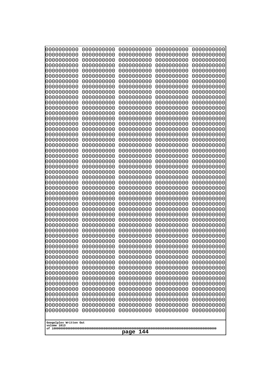| 0000000000                                                                                                                                                                                                                                                             | 0000000000 | 0000000000 | 0000000000 | 0000000000 |
|------------------------------------------------------------------------------------------------------------------------------------------------------------------------------------------------------------------------------------------------------------------------|------------|------------|------------|------------|
| 0000000000                                                                                                                                                                                                                                                             | 0000000000 | 0000000000 | 0000000000 | 0000000000 |
| 0000000000                                                                                                                                                                                                                                                             | 0000000000 | 0000000000 | 0000000000 | 0000000000 |
| 0000000000                                                                                                                                                                                                                                                             | 0000000000 | 0000000000 | 0000000000 | 0000000000 |
| 0000000000                                                                                                                                                                                                                                                             | 0000000000 | 0000000000 | 0000000000 | 0000000000 |
| 0000000000                                                                                                                                                                                                                                                             | 0000000000 | 0000000000 | 0000000000 | 0000000000 |
| 0000000000                                                                                                                                                                                                                                                             | 0000000000 | 0000000000 | 0000000000 | 0000000000 |
| 0000000000                                                                                                                                                                                                                                                             | 0000000000 | 0000000000 | 0000000000 | 0000000000 |
| 0000000000                                                                                                                                                                                                                                                             | 0000000000 | 0000000000 | 0000000000 | 0000000000 |
| 0000000000                                                                                                                                                                                                                                                             | 0000000000 | 0000000000 | 0000000000 | 0000000000 |
| 0000000000                                                                                                                                                                                                                                                             | 0000000000 | 0000000000 | 0000000000 | 0000000000 |
| 0000000000                                                                                                                                                                                                                                                             | 0000000000 | 0000000000 | 0000000000 | 0000000000 |
| 0000000000                                                                                                                                                                                                                                                             | 0000000000 | 0000000000 | 0000000000 | 0000000000 |
| 0000000000                                                                                                                                                                                                                                                             | 0000000000 | 0000000000 | 0000000000 | 0000000000 |
| 0000000000                                                                                                                                                                                                                                                             | 0000000000 | 0000000000 | 0000000000 | 0000000000 |
| 0000000000                                                                                                                                                                                                                                                             | 0000000000 | 0000000000 | 0000000000 | 0000000000 |
| 0000000000                                                                                                                                                                                                                                                             | 0000000000 | 0000000000 | 0000000000 | 0000000000 |
| 0000000000                                                                                                                                                                                                                                                             | 0000000000 | 0000000000 | 0000000000 | 0000000000 |
| 0000000000                                                                                                                                                                                                                                                             | 0000000000 | 0000000000 | 0000000000 | 0000000000 |
| 0000000000                                                                                                                                                                                                                                                             | 0000000000 | 0000000000 | 0000000000 | 0000000000 |
| 0000000000                                                                                                                                                                                                                                                             | 0000000000 | 0000000000 | 0000000000 | 0000000000 |
| 0000000000                                                                                                                                                                                                                                                             | 0000000000 | 0000000000 | 0000000000 | 0000000000 |
| 0000000000                                                                                                                                                                                                                                                             | 0000000000 | 0000000000 | 0000000000 | 0000000000 |
| 0000000000                                                                                                                                                                                                                                                             | 0000000000 | 0000000000 | 0000000000 | 0000000000 |
| 0000000000                                                                                                                                                                                                                                                             | 0000000000 | 0000000000 | 0000000000 | 0000000000 |
| 0000000000                                                                                                                                                                                                                                                             | 0000000000 | 0000000000 | 0000000000 | 0000000000 |
| 0000000000                                                                                                                                                                                                                                                             | 0000000000 | 0000000000 | 0000000000 | 0000000000 |
| 0000000000                                                                                                                                                                                                                                                             | 0000000000 | 0000000000 | 0000000000 | 0000000000 |
| 0000000000                                                                                                                                                                                                                                                             | 0000000000 | 0000000000 | 0000000000 | 0000000000 |
| 0000000000                                                                                                                                                                                                                                                             | 0000000000 | 0000000000 | 0000000000 | 0000000000 |
| 0000000000                                                                                                                                                                                                                                                             | 0000000000 | 0000000000 | 0000000000 | 0000000000 |
| 0000000000                                                                                                                                                                                                                                                             | 0000000000 | 0000000000 | 0000000000 | 0000000000 |
| 0000000000                                                                                                                                                                                                                                                             | 0000000000 | 0000000000 | 0000000000 | 0000000000 |
| 0000000000                                                                                                                                                                                                                                                             | 0000000000 | 0000000000 | 0000000000 | 0000000000 |
| 0000000000                                                                                                                                                                                                                                                             | 0000000000 | 0000000000 | 0000000000 | 0000000000 |
| 0000000000                                                                                                                                                                                                                                                             | 0000000000 | 0000000000 | 0000000000 | 0000000000 |
| 0000000000                                                                                                                                                                                                                                                             | 0000000000 | 0000000000 | 0000000000 | 0000000000 |
| 0000000000                                                                                                                                                                                                                                                             | 0000000000 | 0000000000 | 0000000000 | 0000000000 |
| 0000000000                                                                                                                                                                                                                                                             | 0000000000 | 0000000000 | 0000000000 | 0000000000 |
| 0000000000                                                                                                                                                                                                                                                             | 0000000000 | 0000000000 | 0000000000 | 0000000000 |
| 0000000000                                                                                                                                                                                                                                                             | 0000000000 | 0000000000 | 0000000000 | 0000000000 |
| 0000000000                                                                                                                                                                                                                                                             | 0000000000 | 0000000000 | 0000000000 | 0000000000 |
| 0000000000                                                                                                                                                                                                                                                             | 0000000000 | 0000000000 | 0000000000 | 0000000000 |
| 0000000000                                                                                                                                                                                                                                                             | 0000000000 | 0000000000 | 0000000000 | 0000000000 |
| 0000000000                                                                                                                                                                                                                                                             | 0000000000 | 0000000000 | 0000000000 | 0000000000 |
| 0000000000                                                                                                                                                                                                                                                             | 0000000000 | 0000000000 | 0000000000 | 0000000000 |
| 0000000000                                                                                                                                                                                                                                                             | 0000000000 | 0000000000 | 0000000000 | 0000000000 |
| 0000000000<br>0000000000<br>0000000000<br>0000000000<br>0000000000<br>0000000000<br>0000000000<br>0000000000<br>0000000000<br>0000000000<br>0000000000<br>0000000000<br>0000000000<br>0000000000<br>0000000000<br>Googolplex Written Out<br>volume 1013<br>144<br>page |            |            |            |            |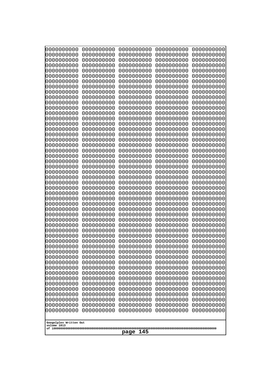| 10000000000<br>0000000000 | 0000000000<br>0000000000 | 0000000000<br>0000000000 | 0000000000<br>0000000000 | 0000000000<br>0000000000 |
|---------------------------|--------------------------|--------------------------|--------------------------|--------------------------|
| 0000000000                | 0000000000               | 0000000000               | 0000000000               | 0000000000               |
| 0000000000                | 0000000000               | 0000000000               | 0000000000               | 0000000000               |
| 0000000000<br>0000000000  | 0000000000<br>0000000000 | 0000000000               | 0000000000<br>0000000000 | 0000000000               |
| 0000000000                | 0000000000               | 0000000000<br>0000000000 | 0000000000               | 0000000000<br>0000000000 |
| 0000000000                | 0000000000               | 0000000000               | 0000000000               | 0000000000               |
| 0000000000                | 0000000000               | 0000000000               | 0000000000               | 0000000000               |
| 0000000000<br>0000000000  | 0000000000<br>0000000000 | 0000000000<br>0000000000 | 0000000000<br>0000000000 | 0000000000<br>0000000000 |
| 0000000000                | 0000000000               | 0000000000               | 0000000000               | 0000000000               |
| 0000000000                | 0000000000               | 0000000000               | 0000000000               | 0000000000               |
| 0000000000                | 0000000000               | 0000000000               | 0000000000               | 0000000000               |
| 0000000000<br>0000000000  | 0000000000<br>0000000000 | 0000000000<br>0000000000 | 0000000000<br>0000000000 | 0000000000<br>0000000000 |
| 0000000000                | 0000000000               | 0000000000               | 0000000000               | 0000000000               |
| 0000000000                | 0000000000               | 0000000000               | 0000000000               | 0000000000               |
| 0000000000<br>0000000000  | 0000000000<br>0000000000 | 0000000000<br>0000000000 | 0000000000<br>0000000000 | 0000000000<br>0000000000 |
| 0000000000                | 0000000000               | 0000000000               | 0000000000               | 0000000000               |
| 0000000000                | 0000000000               | 0000000000               | 0000000000               | 0000000000               |
| 0000000000                | 0000000000               | 0000000000               | 0000000000               | 0000000000               |
| 0000000000<br>0000000000  | 0000000000<br>0000000000 | 0000000000<br>0000000000 | 0000000000<br>0000000000 | 0000000000<br>0000000000 |
| 0000000000                | 0000000000               | 0000000000               | 0000000000               | 0000000000               |
| 0000000000                | 0000000000               | 0000000000               | 0000000000               | 0000000000               |
| 0000000000<br>0000000000  | 0000000000<br>0000000000 | 0000000000<br>0000000000 | 0000000000<br>0000000000 | 0000000000<br>0000000000 |
| 0000000000                | 0000000000               | 0000000000               | 0000000000               | 0000000000               |
| 0000000000                | 0000000000               | 0000000000               | 0000000000               | 0000000000               |
| 0000000000                | 0000000000               | 0000000000               | 0000000000               | 0000000000               |
| 0000000000<br>0000000000  | 0000000000<br>0000000000 | 0000000000<br>0000000000 | 0000000000<br>0000000000 | 0000000000<br>0000000000 |
| 0000000000                | 0000000000               | 0000000000               | 0000000000               | 0000000000               |
| 0000000000                | 0000000000               | 0000000000               | 0000000000               | 0000000000               |
| 0000000000<br>0000000000  | 0000000000<br>0000000000 | 0000000000<br>0000000000 | 0000000000<br>0000000000 | 0000000000<br>0000000000 |
| 0000000000                | 0000000000               | 0000000000               | 0000000000               | 0000000000               |
| 0000000000                | 0000000000               | 0000000000               | 0000000000               | 0000000000               |
| 0000000000<br>0000000000  | 0000000000               | 0000000000               | 0000000000               | 0000000000               |
| 0000000000                | 0000000000<br>0000000000 | 0000000000<br>0000000000 | 0000000000<br>0000000000 | 0000000000<br>0000000000 |
| 0000000000                | 0000000000               | 0000000000               | 0000000000               | 0000000000               |
| 0000000000                | 0000000000               | 0000000000               | 0000000000               | 0000000000               |
| 0000000000<br>0000000000  | 0000000000<br>0000000000 | 0000000000<br>0000000000 | 0000000000<br>0000000000 | 0000000000<br>0000000000 |
| 0000000000                | 0000000000               | 0000000000               | 0000000000               | 0000000000               |
| 0000000000                | 0000000000               | 0000000000               | 0000000000               | 0000000000               |
| 0000000000                | 0000000000               | 0000000000               | 0000000000               | 0000000000               |
| Googolplex Written Out    |                          |                          |                          |                          |
| volume 1013               |                          |                          |                          |                          |
| 145<br>page               |                          |                          |                          |                          |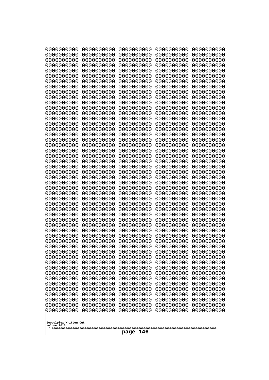| 10000000000<br>0000000000             | 0000000000<br>0000000000 | 0000000000<br>0000000000 | 0000000000<br>0000000000 | 0000000000<br>0000000000 |
|---------------------------------------|--------------------------|--------------------------|--------------------------|--------------------------|
| 0000000000                            | 0000000000               | 0000000000               | 0000000000               | 0000000000               |
| 0000000000                            | 0000000000               | 0000000000               | 0000000000               | 0000000000               |
| 0000000000                            | 0000000000               | 0000000000               | 0000000000               | 0000000000               |
| 0000000000<br>0000000000              | 0000000000<br>0000000000 | 0000000000<br>0000000000 | 0000000000<br>0000000000 | 0000000000<br>0000000000 |
| 0000000000                            | 0000000000               | 0000000000               | 0000000000               | 0000000000               |
| 0000000000                            | 0000000000               | 0000000000               | 0000000000               | 0000000000               |
| 0000000000                            | 0000000000               | 0000000000               | 0000000000               | 0000000000               |
| 0000000000<br>0000000000              | 0000000000<br>0000000000 | 0000000000<br>0000000000 | 0000000000<br>0000000000 | 0000000000               |
| 0000000000                            | 0000000000               | 0000000000               | 0000000000               | 0000000000<br>0000000000 |
| 0000000000                            | 0000000000               | 0000000000               | 0000000000               | 0000000000               |
| 0000000000                            | 0000000000               | 0000000000               | 0000000000               | 0000000000               |
| 0000000000<br>0000000000              | 0000000000<br>0000000000 | 0000000000<br>0000000000 | 0000000000<br>0000000000 | 0000000000<br>0000000000 |
| 0000000000                            | 0000000000               | 0000000000               | 0000000000               | 0000000000               |
| 0000000000                            | 0000000000               | 0000000000               | 0000000000               | 0000000000               |
| 0000000000                            | 0000000000               | 0000000000               | 0000000000               | 0000000000               |
| 0000000000<br>0000000000              | 0000000000<br>0000000000 | 0000000000<br>0000000000 | 0000000000<br>0000000000 | 0000000000<br>0000000000 |
| 0000000000                            | 0000000000               | 0000000000               | 0000000000               | 0000000000               |
| 0000000000                            | 0000000000               | 0000000000               | 0000000000               | 0000000000               |
| 0000000000                            | 0000000000               | 0000000000               | 0000000000               | 0000000000               |
| 0000000000<br>0000000000              | 0000000000<br>0000000000 | 0000000000<br>0000000000 | 0000000000<br>0000000000 | 0000000000<br>0000000000 |
| 0000000000                            | 0000000000               | 0000000000               | 0000000000               | 0000000000               |
| 0000000000                            | 0000000000               | 0000000000               | 0000000000               | 0000000000               |
| 0000000000                            | 0000000000               | 0000000000               | 0000000000               | 0000000000               |
| 0000000000<br>0000000000              | 0000000000<br>0000000000 | 0000000000<br>0000000000 | 0000000000<br>0000000000 | 0000000000<br>0000000000 |
| 0000000000                            | 0000000000               | 0000000000               | 0000000000               | 0000000000               |
| 0000000000                            | 0000000000               | 0000000000               | 0000000000               | 0000000000               |
| 0000000000                            | 0000000000               | 0000000000               | 0000000000               | 0000000000               |
| 0000000000<br>0000000000              | 0000000000<br>0000000000 | 0000000000<br>0000000000 | 0000000000<br>0000000000 | 0000000000<br>0000000000 |
| 0000000000                            | 0000000000               | 0000000000               | 0000000000               | 0000000000               |
| 0000000000                            | 0000000000               | 0000000000               | 0000000000               | 0000000000               |
| 0000000000                            | 0000000000               | 0000000000               | 0000000000               | 0000000000               |
| 0000000000<br>0000000000              | 0000000000<br>0000000000 | 0000000000<br>0000000000 | 0000000000<br>0000000000 | 0000000000<br>0000000000 |
| 0000000000                            | 0000000000               | 0000000000               | 0000000000               | 0000000000               |
| 0000000000                            | 0000000000               | 0000000000               | 0000000000               | 0000000000               |
| 0000000000                            | 0000000000               | 0000000000               | 0000000000               | 0000000000               |
| 0000000000<br>0000000000              | 0000000000<br>0000000000 | 0000000000<br>0000000000 | 0000000000<br>0000000000 | 0000000000<br>0000000000 |
| 0000000000                            | 0000000000               | 0000000000               | 0000000000               | 0000000000               |
| 0000000000                            | 0000000000               | 0000000000               | 0000000000               | 0000000000               |
| 0000000000                            | 0000000000               | 0000000000               | 0000000000               | 0000000000               |
|                                       |                          |                          |                          |                          |
| Googolplex Written Out<br>volume 1013 |                          |                          |                          |                          |
| 146<br>page                           |                          |                          |                          |                          |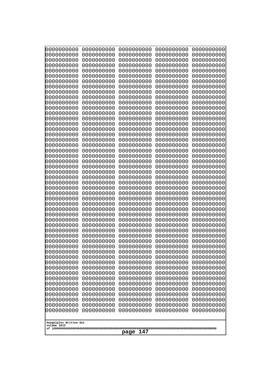| 0000000000               | 0000000000               | 0000000000               | 0000000000               | 0000000000               |
|--------------------------|--------------------------|--------------------------|--------------------------|--------------------------|
| 0000000000<br>0000000000 | 0000000000<br>0000000000 | 0000000000<br>0000000000 | 0000000000<br>0000000000 | 0000000000<br>0000000000 |
| 0000000000               | 0000000000               | 0000000000               | 0000000000               | 0000000000               |
| 0000000000               | 0000000000               | 0000000000               | 0000000000               | 0000000000               |
| 0000000000               | 0000000000               | 0000000000               | 0000000000               | 0000000000               |
| 0000000000<br>0000000000 | 0000000000<br>0000000000 | 0000000000<br>0000000000 | 0000000000<br>0000000000 | 0000000000<br>0000000000 |
| 0000000000               | 0000000000               | 0000000000               | 0000000000               | 0000000000               |
| 0000000000               | 0000000000               | 0000000000               | 0000000000               | 0000000000               |
| 0000000000<br>0000000000 | 0000000000<br>0000000000 | 0000000000<br>0000000000 | 0000000000<br>0000000000 | 0000000000               |
| 0000000000               | 0000000000               | 0000000000               | 0000000000               | 0000000000<br>0000000000 |
| 0000000000               | 0000000000               | 0000000000               | 0000000000               | 0000000000               |
| 0000000000               | 0000000000               | 0000000000               | 0000000000               | 0000000000               |
| 0000000000<br>0000000000 | 0000000000<br>0000000000 | 0000000000<br>0000000000 | 0000000000<br>0000000000 | 0000000000<br>0000000000 |
| 0000000000               | 0000000000               | 0000000000               | 0000000000               | 0000000000               |
| 0000000000               | 0000000000               | 0000000000               | 0000000000               | 0000000000               |
| 0000000000<br>0000000000 | 0000000000<br>0000000000 | 0000000000<br>0000000000 | 0000000000<br>0000000000 | 0000000000<br>0000000000 |
| 0000000000               | 0000000000               | 0000000000               | 0000000000               | 0000000000               |
| 0000000000               | 0000000000               | 0000000000               | 0000000000               | 0000000000               |
| 0000000000               | 0000000000               | 0000000000               | 0000000000               | 0000000000               |
| 0000000000<br>0000000000 | 0000000000<br>0000000000 | 0000000000<br>0000000000 | 0000000000<br>0000000000 | 0000000000<br>0000000000 |
| 0000000000               | 0000000000               | 0000000000               | 0000000000               | 0000000000               |
| 0000000000               | 0000000000               | 0000000000               | 0000000000               | 0000000000               |
| 0000000000<br>0000000000 | 0000000000<br>0000000000 | 0000000000<br>0000000000 | 0000000000<br>0000000000 | 0000000000<br>0000000000 |
| 0000000000               | 0000000000               | 0000000000               | 0000000000               | 0000000000               |
| 0000000000               | 0000000000               | 0000000000               | 0000000000               | 0000000000               |
| 0000000000<br>0000000000 | 0000000000<br>0000000000 | 0000000000<br>0000000000 | 0000000000<br>0000000000 | 0000000000<br>0000000000 |
| 0000000000               | 0000000000               | 0000000000               | 0000000000               | 0000000000               |
| 0000000000               | 0000000000               | 0000000000               | 0000000000               | 0000000000               |
| 0000000000               | 0000000000               | 0000000000               | 0000000000               | 0000000000               |
| 0000000000<br>0000000000 | 0000000000<br>0000000000 | 0000000000<br>0000000000 | 0000000000<br>0000000000 | 0000000000<br>0000000000 |
| 0000000000               | 0000000000               | 0000000000               | 0000000000               | 0000000000               |
| 0000000000               | 0000000000               | 0000000000               | 0000000000               | 0000000000               |
| 0000000000<br>0000000000 | 0000000000<br>0000000000 | 0000000000<br>0000000000 | 0000000000<br>0000000000 | 0000000000<br>0000000000 |
| 0000000000               | 0000000000               | 0000000000               | 0000000000               | 0000000000               |
| 0000000000               | 0000000000               | 0000000000               | 0000000000               | 0000000000               |
| 0000000000<br>0000000000 | 0000000000<br>0000000000 | 0000000000<br>0000000000 | 0000000000<br>0000000000 | 0000000000<br>0000000000 |
| 0000000000               | 0000000000               | 0000000000               | 0000000000               | 0000000000               |
| 0000000000               | 0000000000               | 0000000000               | 0000000000               | 0000000000               |
| 0000000000               | 0000000000               | 0000000000               | 0000000000               | 0000000000               |
| Googolplex Written Out   |                          |                          |                          |                          |
| volume 1013              |                          |                          |                          |                          |
| 147<br>page              |                          |                          |                          |                          |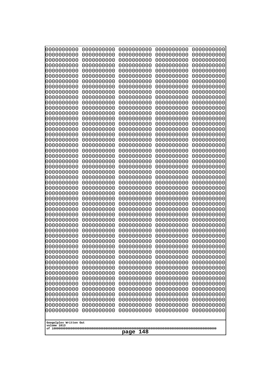| 10000000000<br>0000000000             | 0000000000<br>0000000000 | 0000000000<br>0000000000 | 0000000000<br>0000000000 | 0000000000<br>0000000000 |
|---------------------------------------|--------------------------|--------------------------|--------------------------|--------------------------|
| 0000000000                            | 0000000000               | 0000000000               | 0000000000               | 0000000000               |
| 0000000000                            | 0000000000               | 0000000000               | 0000000000               | 0000000000               |
| 0000000000                            | 0000000000               | 0000000000               | 0000000000               | 0000000000               |
| 0000000000<br>0000000000              | 0000000000<br>0000000000 | 0000000000<br>0000000000 | 0000000000<br>0000000000 | 0000000000<br>0000000000 |
| 0000000000                            | 0000000000               | 0000000000               | 0000000000               | 0000000000               |
| 0000000000                            | 0000000000               | 0000000000               | 0000000000               | 0000000000               |
| 0000000000                            | 0000000000               | 0000000000               | 0000000000               | 0000000000               |
| 0000000000<br>0000000000              | 0000000000<br>0000000000 | 0000000000<br>0000000000 | 0000000000<br>0000000000 | 0000000000               |
| 0000000000                            | 0000000000               | 0000000000               | 0000000000               | 0000000000<br>0000000000 |
| 0000000000                            | 0000000000               | 0000000000               | 0000000000               | 0000000000               |
| 0000000000                            | 0000000000               | 0000000000               | 0000000000               | 0000000000               |
| 0000000000                            | 0000000000               | 0000000000               | 0000000000               | 0000000000               |
| 0000000000<br>0000000000              | 0000000000<br>0000000000 | 0000000000<br>0000000000 | 0000000000<br>0000000000 | 0000000000<br>0000000000 |
| 0000000000                            | 0000000000               | 0000000000               | 0000000000               | 0000000000               |
| 0000000000                            | 0000000000               | 0000000000               | 0000000000               | 0000000000               |
| 0000000000                            | 0000000000<br>0000000000 | 0000000000               | 0000000000               | 0000000000               |
| 0000000000<br>0000000000              | 0000000000               | 0000000000<br>0000000000 | 0000000000<br>0000000000 | 0000000000<br>0000000000 |
| 0000000000                            | 0000000000               | 0000000000               | 0000000000               | 0000000000               |
| 0000000000                            | 0000000000               | 0000000000               | 0000000000               | 0000000000               |
| 0000000000                            | 0000000000<br>0000000000 | 0000000000<br>0000000000 | 0000000000<br>0000000000 | 0000000000               |
| 0000000000<br>0000000000              | 0000000000               | 0000000000               | 0000000000               | 0000000000<br>0000000000 |
| 0000000000                            | 0000000000               | 0000000000               | 0000000000               | 0000000000               |
| 0000000000                            | 0000000000               | 0000000000               | 0000000000               | 0000000000               |
| 0000000000<br>0000000000              | 0000000000<br>0000000000 | 0000000000<br>0000000000 | 0000000000<br>0000000000 | 0000000000<br>0000000000 |
| 0000000000                            | 0000000000               | 0000000000               | 0000000000               | 0000000000               |
| 0000000000                            | 0000000000               | 0000000000               | 0000000000               | 0000000000               |
| 0000000000                            | 0000000000               | 0000000000               | 0000000000               | 0000000000               |
| 0000000000<br>0000000000              | 0000000000<br>0000000000 | 0000000000<br>0000000000 | 0000000000<br>0000000000 | 0000000000<br>0000000000 |
| 0000000000                            | 0000000000               | 0000000000               | 0000000000               | 0000000000               |
| 0000000000                            | 0000000000               | 0000000000               | 0000000000               | 0000000000               |
| 0000000000                            | 0000000000               | 0000000000               | 0000000000               | 0000000000               |
| 0000000000                            | 0000000000               | 0000000000               | 0000000000               | 0000000000               |
| 0000000000<br>0000000000              | 0000000000<br>0000000000 | 0000000000<br>0000000000 | 0000000000<br>0000000000 | 0000000000<br>0000000000 |
| 0000000000                            | 0000000000               | 0000000000               | 0000000000               | 0000000000               |
| 0000000000                            | 0000000000               | 0000000000               | 0000000000               | 0000000000               |
| 0000000000<br>0000000000              | 0000000000<br>0000000000 | 0000000000               | 0000000000               | 0000000000               |
| 0000000000                            | 0000000000               | 0000000000<br>0000000000 | 0000000000<br>0000000000 | 0000000000<br>0000000000 |
| 0000000000                            | 0000000000               | 0000000000               | 0000000000               | 0000000000               |
| 0000000000                            | 0000000000               | 0000000000               | 0000000000               | 0000000000               |
|                                       |                          |                          |                          |                          |
| Googolplex Written Out<br>volume 1013 |                          |                          |                          |                          |
| 148<br>page                           |                          |                          |                          |                          |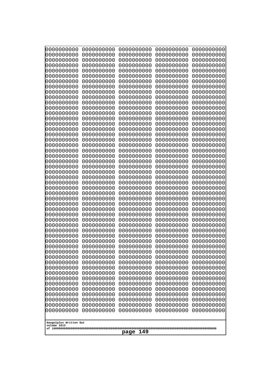| 000000000                | 0000000000               | 0000000000               | 0000000000               | 0000000000               |
|--------------------------|--------------------------|--------------------------|--------------------------|--------------------------|
| 0000000000               | 0000000000               | 0000000000               | 0000000000               | 0000000000               |
| 0000000000               | 0000000000               | 0000000000               | 0000000000               | 0000000000               |
| 0000000000               | 0000000000               | 0000000000               | 0000000000               | 0000000000               |
| 0000000000               | 0000000000               | 0000000000               | 0000000000               | 0000000000               |
| 0000000000               | 0000000000               | 0000000000               | 0000000000               | 0000000000               |
| 0000000000               | 0000000000               | 0000000000               | 0000000000               | 0000000000               |
| 0000000000               | 0000000000               | 0000000000               | 0000000000               | 0000000000               |
| 0000000000               | 0000000000<br>0000000000 | 0000000000<br>0000000000 | 0000000000               | 0000000000               |
| 0000000000<br>0000000000 | 0000000000               | 0000000000               | 0000000000<br>0000000000 | 0000000000<br>0000000000 |
| 0000000000               | 0000000000               | 0000000000               | 0000000000               | 0000000000               |
| 0000000000               | 0000000000               | 0000000000               | 0000000000               | 0000000000               |
| 0000000000               | 0000000000               | 0000000000               | 0000000000               | 0000000000               |
| 0000000000               | 0000000000               | 0000000000               | 0000000000               | 0000000000               |
| 0000000000               | 0000000000               | 0000000000               | 0000000000               | 0000000000               |
| 0000000000               | 0000000000               | 0000000000               | 0000000000               | 0000000000               |
| 0000000000               | 0000000000               | 0000000000               | 0000000000               | 0000000000               |
| 0000000000               | 0000000000               | 0000000000               | 0000000000               | 0000000000               |
| 0000000000               | 0000000000               | 0000000000               | 0000000000               | 0000000000               |
| 0000000000               | 0000000000               | 0000000000               | 0000000000               | 0000000000               |
| 0000000000<br>0000000000 | 0000000000<br>0000000000 | 0000000000<br>0000000000 | 0000000000<br>0000000000 | 0000000000<br>0000000000 |
| 0000000000               | 0000000000               | 0000000000               | 0000000000               | 0000000000               |
| 0000000000               | 0000000000               | 0000000000               | 0000000000               | 0000000000               |
| 0000000000               | 0000000000               | 0000000000               | 0000000000               | 0000000000               |
| 0000000000               | 0000000000               | 0000000000               | 0000000000               | 0000000000               |
| 0000000000               | 0000000000               | 0000000000               | 0000000000               | 0000000000               |
| 0000000000               | 0000000000               | 0000000000               | 0000000000               | 0000000000               |
| 0000000000               | 0000000000               | 0000000000               | 0000000000               | 0000000000               |
| 0000000000               | 0000000000               | 0000000000               | 0000000000               | 0000000000               |
| 0000000000               | 0000000000               | 0000000000               | 0000000000               | 0000000000               |
| 0000000000               | 0000000000               | 0000000000               | 0000000000               | 0000000000               |
| 0000000000<br>0000000000 | 0000000000<br>0000000000 | 0000000000<br>0000000000 | 0000000000<br>0000000000 | 0000000000<br>0000000000 |
| 0000000000               | 0000000000               | 0000000000               | 0000000000               | 0000000000               |
| 0000000000               | 0000000000               | 0000000000               | 0000000000               | 0000000000               |
| 0000000000               | 0000000000               | 0000000000               | 0000000000               | 0000000000               |
| 0000000000               | 0000000000               | 0000000000               | 0000000000               | 0000000000               |
| 0000000000               | 0000000000               | 0000000000               | 0000000000               | 0000000000               |
| 0000000000               | 0000000000               | 0000000000               | 0000000000               | 0000000000               |
| 0000000000               | 0000000000               | 0000000000               | 0000000000               | 0000000000               |
| 0000000000               | 0000000000               | 0000000000               | 0000000000               | 0000000000               |
| 0000000000               | 0000000000               | 0000000000               | 0000000000               | 0000000000               |
| 0000000000               | 0000000000               | 0000000000               | 0000000000               | 0000000000               |
| 0000000000<br>0000000000 | 0000000000<br>0000000000 | 0000000000<br>0000000000 | 0000000000<br>0000000000 | 0000000000<br>0000000000 |
| 0000000000               | 0000000000               | 0000000000               | 0000000000               | 0000000000               |
| 0000000000               | 0000000000               | 0000000000               | 0000000000               | 0000000000               |
| 0000000000               | 0000000000               | 0000000000               | 0000000000               | 0000000000               |
|                          |                          |                          |                          |                          |
| Googolplex Written Out   |                          |                          |                          |                          |
| volume 1013              |                          |                          |                          |                          |
| 149<br>page              |                          |                          |                          |                          |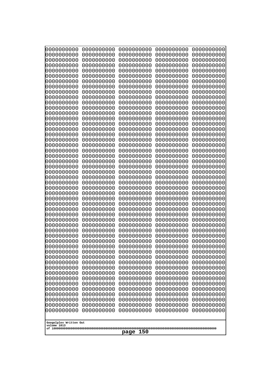| 10000000000                           | 0000000000               | 0000000000               | 0000000000               | 0000000000               |
|---------------------------------------|--------------------------|--------------------------|--------------------------|--------------------------|
| 0000000000<br>0000000000              | 0000000000<br>0000000000 | 0000000000<br>0000000000 | 0000000000<br>0000000000 | 0000000000<br>0000000000 |
| 0000000000                            | 0000000000               | 0000000000               | 0000000000               | 0000000000               |
| 0000000000                            | 0000000000               | 0000000000               | 0000000000               | 0000000000               |
| 0000000000                            | 0000000000               | 0000000000               | 0000000000               | 0000000000               |
| 0000000000<br>0000000000              | 0000000000<br>0000000000 | 0000000000<br>0000000000 | 0000000000<br>0000000000 | 0000000000<br>0000000000 |
| 0000000000                            | 0000000000               | 0000000000               | 0000000000               | 0000000000               |
| 0000000000                            | 0000000000               | 0000000000               | 0000000000               | 0000000000               |
| 0000000000<br>0000000000              | 0000000000<br>0000000000 | 0000000000<br>0000000000 | 0000000000<br>0000000000 | 0000000000<br>0000000000 |
| 0000000000                            | 0000000000               | 0000000000               | 0000000000               | 0000000000               |
| 0000000000                            | 0000000000               | 0000000000               | 0000000000               | 0000000000               |
| 0000000000                            | 0000000000               | 0000000000               | 0000000000               | 0000000000               |
| 0000000000<br>0000000000              | 0000000000<br>0000000000 | 0000000000<br>0000000000 | 0000000000<br>0000000000 | 0000000000<br>0000000000 |
| 0000000000                            | 0000000000               | 0000000000               | 0000000000               | 0000000000               |
| 0000000000                            | 0000000000               | 0000000000               | 0000000000               | 0000000000               |
| 0000000000<br>0000000000              | 0000000000<br>0000000000 | 0000000000<br>0000000000 | 0000000000<br>0000000000 | 0000000000<br>0000000000 |
| 0000000000                            | 0000000000               | 0000000000               | 0000000000               | 0000000000               |
| 0000000000                            | 0000000000               | 0000000000               | 0000000000               | 0000000000               |
| 0000000000                            | 0000000000               | 0000000000               | 0000000000               | 0000000000               |
| 0000000000<br>0000000000              | 0000000000<br>0000000000 | 0000000000<br>0000000000 | 0000000000<br>0000000000 | 0000000000<br>0000000000 |
| 0000000000                            | 0000000000               | 0000000000               | 0000000000               | 0000000000               |
| 0000000000                            | 0000000000               | 0000000000               | 0000000000               | 0000000000               |
| 0000000000<br>0000000000              | 0000000000<br>0000000000 | 0000000000<br>0000000000 | 0000000000<br>0000000000 | 0000000000<br>0000000000 |
| 0000000000                            | 0000000000               | 0000000000               | 0000000000               | 0000000000               |
| 0000000000                            | 0000000000               | 0000000000               | 0000000000               | 0000000000               |
| 0000000000<br>0000000000              | 0000000000               | 0000000000<br>0000000000 | 0000000000               | 0000000000               |
| 0000000000                            | 0000000000<br>0000000000 | 0000000000               | 0000000000<br>0000000000 | 0000000000<br>0000000000 |
| 0000000000                            | 0000000000               | 0000000000               | 0000000000               | 0000000000               |
| 0000000000                            | 0000000000               | 0000000000               | 0000000000               | 0000000000               |
| 0000000000<br>0000000000              | 0000000000<br>0000000000 | 0000000000<br>0000000000 | 0000000000<br>0000000000 | 0000000000<br>0000000000 |
| 0000000000                            | 0000000000               | 0000000000               | 0000000000               | 0000000000               |
| 0000000000                            | 0000000000               | 0000000000               | 0000000000               | 0000000000               |
| 0000000000<br>0000000000              | 0000000000<br>0000000000 | 0000000000<br>0000000000 | 0000000000<br>0000000000 | 0000000000<br>0000000000 |
| 0000000000                            | 0000000000               | 0000000000               | 0000000000               | 0000000000               |
| 0000000000                            | 0000000000               | 0000000000               | 0000000000               | 0000000000               |
| 0000000000                            | 0000000000               | 0000000000               | 0000000000               | 0000000000               |
| 0000000000<br>0000000000              | 0000000000<br>0000000000 | 0000000000<br>0000000000 | 0000000000<br>0000000000 | 0000000000<br>0000000000 |
| 0000000000                            | 0000000000               | 0000000000               | 0000000000               | 0000000000               |
| 0000000000                            | 0000000000               | 0000000000               | 0000000000               | 0000000000               |
|                                       |                          |                          |                          |                          |
| Googolplex Written Out<br>volume 1013 |                          |                          |                          |                          |
| 150<br>page                           |                          |                          |                          |                          |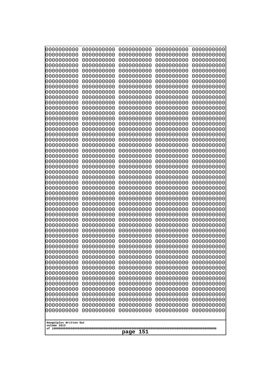| 000000000                             | 0000000000               | 0000000000               | 0000000000               | 0000000000               |
|---------------------------------------|--------------------------|--------------------------|--------------------------|--------------------------|
| 0000000000                            | 0000000000               | 0000000000               | 0000000000               | 0000000000               |
| 0000000000                            | 0000000000               | 0000000000               | 0000000000               | 0000000000               |
| 0000000000                            | 0000000000               | 0000000000               | 0000000000               | 0000000000               |
| 0000000000                            | 0000000000               | 0000000000               | 0000000000               | 0000000000               |
| 0000000000                            | 0000000000               | 0000000000               | 0000000000               | 0000000000               |
| 0000000000<br>0000000000              | 0000000000<br>0000000000 | 0000000000<br>0000000000 | 0000000000<br>0000000000 | 0000000000               |
| 0000000000                            | 0000000000               | 0000000000               | 0000000000               | 0000000000<br>0000000000 |
| 0000000000                            | 0000000000               | 0000000000               | 0000000000               | 0000000000               |
| 0000000000                            | 0000000000               | 0000000000               | 0000000000               | 0000000000               |
| 0000000000                            | 0000000000               | 0000000000               | 0000000000               | 0000000000               |
| 0000000000                            | 0000000000               | 0000000000               | 0000000000               | 0000000000               |
| 0000000000                            | 0000000000               | 0000000000               | 0000000000               | 0000000000               |
| 0000000000                            | 0000000000               | 0000000000               | 0000000000               | 0000000000               |
| 0000000000                            | 0000000000               | 0000000000               | 0000000000               | 0000000000               |
| 0000000000<br>0000000000              | 0000000000<br>0000000000 | 0000000000<br>0000000000 | 0000000000<br>0000000000 | 0000000000<br>0000000000 |
| 0000000000                            | 0000000000               | 0000000000               | 0000000000               | 0000000000               |
| 0000000000                            | 0000000000               | 0000000000               | 0000000000               | 0000000000               |
| 0000000000                            | 0000000000               | 0000000000               | 0000000000               | 0000000000               |
| 0000000000                            | 0000000000               | 0000000000               | 0000000000               | 0000000000               |
| 0000000000                            | 0000000000               | 0000000000               | 0000000000               | 0000000000               |
| 0000000000                            | 0000000000               | 0000000000               | 0000000000               | 0000000000               |
| 0000000000                            | 0000000000               | 0000000000               | 0000000000               | 0000000000               |
| 0000000000<br>0000000000              | 0000000000<br>0000000000 | 0000000000<br>0000000000 | 0000000000<br>0000000000 | 0000000000<br>0000000000 |
| 0000000000                            | 0000000000               | 0000000000               | 0000000000               | 0000000000               |
| 0000000000                            | 0000000000               | 0000000000               | 0000000000               | 0000000000               |
| 0000000000                            | 0000000000               | 0000000000               | 0000000000               | 0000000000               |
| 0000000000                            | 0000000000               | 0000000000               | 0000000000               | 0000000000               |
| 0000000000                            | 0000000000               | 0000000000               | 0000000000               | 0000000000               |
| 0000000000                            | 0000000000               | 0000000000               | 0000000000               | 0000000000               |
| 0000000000                            | 0000000000<br>0000000000 | 0000000000<br>0000000000 | 0000000000               | 0000000000               |
| 0000000000<br>0000000000              | 0000000000               | 0000000000               | 0000000000<br>0000000000 | 0000000000<br>0000000000 |
| 0000000000                            | 0000000000               | 0000000000               | 0000000000               | 0000000000               |
| 0000000000                            | 0000000000               | 0000000000               | 0000000000               | 0000000000               |
| 0000000000                            | 0000000000               | 0000000000               | 0000000000               | 0000000000               |
| 0000000000                            | 0000000000               | 0000000000               | 0000000000               | 0000000000               |
| 0000000000                            | 0000000000               | 0000000000               | 0000000000               | 0000000000               |
| 0000000000                            | 0000000000               | 0000000000               | 0000000000               | 0000000000               |
| 0000000000<br>0000000000              | 0000000000<br>0000000000 | 0000000000<br>0000000000 | 0000000000<br>0000000000 | 0000000000<br>0000000000 |
| 0000000000                            | 0000000000               | 0000000000               | 0000000000               | 0000000000               |
| 0000000000                            | 0000000000               | 0000000000               | 0000000000               | 0000000000               |
| 0000000000                            | 0000000000               | 0000000000               | 0000000000               | 0000000000               |
| 0000000000                            | 0000000000               | 0000000000               | 0000000000               | 0000000000               |
| 0000000000                            | 0000000000               | 0000000000               | 0000000000               | 0000000000               |
| 0000000000                            | 0000000000               | 0000000000               | 0000000000               | 0000000000               |
|                                       |                          |                          |                          |                          |
| Googolplex Written Out<br>volume 1013 |                          |                          |                          |                          |
|                                       |                          | 151<br>page              |                          |                          |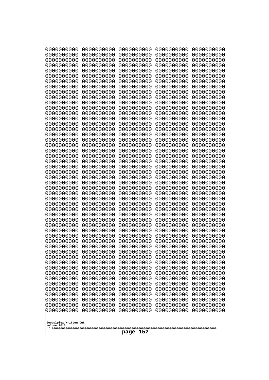| 10000000000<br>0000000000 | 0000000000<br>0000000000 | 0000000000<br>0000000000 | 0000000000<br>0000000000 | 0000000000<br>0000000000 |
|---------------------------|--------------------------|--------------------------|--------------------------|--------------------------|
| 0000000000                | 0000000000               | 0000000000               | 0000000000               | 0000000000               |
| 0000000000                | 0000000000               | 0000000000               | 0000000000               | 0000000000               |
| 0000000000<br>0000000000  | 0000000000<br>0000000000 | 0000000000<br>0000000000 | 0000000000<br>0000000000 | 0000000000<br>0000000000 |
| 0000000000                | 0000000000               | 0000000000               | 0000000000               | 0000000000               |
| 0000000000                | 0000000000               | 0000000000               | 0000000000               | 0000000000               |
| 0000000000<br>0000000000  | 0000000000<br>0000000000 | 0000000000<br>0000000000 | 0000000000<br>0000000000 | 0000000000<br>0000000000 |
| 0000000000                | 0000000000               | 0000000000               | 0000000000               | 0000000000               |
| 0000000000                | 0000000000               | 0000000000               | 0000000000               | 0000000000               |
| 0000000000<br>0000000000  | 0000000000<br>0000000000 | 0000000000<br>0000000000 | 0000000000<br>0000000000 | 0000000000<br>0000000000 |
| 0000000000                | 0000000000               | 0000000000               | 0000000000               | 0000000000               |
| 0000000000                | 0000000000               | 0000000000               | 0000000000               | 0000000000               |
| 0000000000<br>0000000000  | 0000000000<br>0000000000 | 0000000000<br>0000000000 | 0000000000<br>0000000000 | 0000000000<br>0000000000 |
| 0000000000                | 0000000000               | 0000000000               | 0000000000               | 0000000000               |
| 0000000000                | 0000000000               | 0000000000               | 0000000000               | 0000000000               |
| 0000000000                | 0000000000               | 0000000000               | 0000000000               | 0000000000               |
| 0000000000<br>0000000000  | 0000000000<br>0000000000 | 0000000000<br>0000000000 | 0000000000<br>0000000000 | 0000000000<br>0000000000 |
| 0000000000                | 0000000000               | 0000000000               | 0000000000               | 0000000000               |
| 0000000000                | 0000000000               | 0000000000               | 0000000000               | 0000000000               |
| 0000000000<br>0000000000  | 0000000000<br>0000000000 | 0000000000<br>0000000000 | 0000000000<br>0000000000 | 0000000000<br>0000000000 |
| 0000000000                | 0000000000               | 0000000000               | 0000000000               | 0000000000               |
| 0000000000                | 0000000000               | 0000000000               | 0000000000               | 0000000000               |
| 0000000000<br>0000000000  | 0000000000<br>0000000000 | 0000000000<br>0000000000 | 0000000000<br>0000000000 | 0000000000<br>0000000000 |
| 0000000000                | 0000000000               | 0000000000               | 0000000000               | 0000000000               |
| 0000000000                | 0000000000               | 0000000000               | 0000000000               | 0000000000               |
| 0000000000<br>0000000000  | 0000000000<br>0000000000 | 0000000000<br>0000000000 | 0000000000<br>0000000000 | 0000000000<br>0000000000 |
| 0000000000                | 0000000000               | 0000000000               | 0000000000               | 0000000000               |
| 0000000000                | 0000000000               | 0000000000               | 0000000000               | 0000000000               |
| 0000000000<br>0000000000  | 0000000000<br>0000000000 | 0000000000<br>0000000000 | 0000000000<br>0000000000 | 0000000000<br>0000000000 |
| 0000000000                | 0000000000               | 0000000000               | 0000000000               | 0000000000               |
| 0000000000                | 0000000000               | 0000000000               | 0000000000               | 0000000000               |
| 0000000000<br>0000000000  | 0000000000<br>0000000000 | 0000000000<br>0000000000 | 0000000000<br>0000000000 | 0000000000<br>0000000000 |
| 0000000000                | 0000000000               | 0000000000               | 0000000000               | 0000000000               |
| 0000000000                | 0000000000               | 0000000000               | 0000000000               | 0000000000               |
| 0000000000                | 0000000000<br>0000000000 | 0000000000               | 0000000000               | 0000000000               |
| 0000000000<br>0000000000  | 0000000000               | 0000000000<br>0000000000 | 0000000000<br>0000000000 | 0000000000<br>0000000000 |
| 0000000000                | 0000000000               | 0000000000               | 0000000000               | 0000000000               |
| 0000000000                | 0000000000               | 0000000000               | 0000000000               | 0000000000               |
| Googolplex Written Out    |                          |                          |                          |                          |
| volume 1013               |                          |                          |                          |                          |
| 152<br>page               |                          |                          |                          |                          |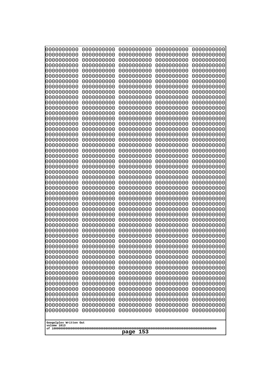| 10000000000<br>0000000000             | 0000000000<br>0000000000 | 0000000000<br>0000000000 | 0000000000<br>0000000000 | 0000000000<br>0000000000 |
|---------------------------------------|--------------------------|--------------------------|--------------------------|--------------------------|
| 0000000000                            | 0000000000               | 0000000000               | 0000000000               | 0000000000               |
| 0000000000                            | 0000000000               | 0000000000               | 0000000000               | 0000000000               |
| 0000000000<br>0000000000              | 0000000000<br>0000000000 | 0000000000<br>0000000000 | 0000000000<br>0000000000 | 0000000000<br>0000000000 |
| 0000000000                            | 0000000000               | 0000000000               | 0000000000               | 0000000000               |
| 0000000000                            | 0000000000               | 0000000000               | 0000000000               | 0000000000               |
| 0000000000<br>0000000000              | 0000000000<br>0000000000 | 0000000000<br>0000000000 | 0000000000<br>0000000000 | 0000000000<br>0000000000 |
| 0000000000                            | 0000000000               | 0000000000               | 0000000000               | 0000000000               |
| 0000000000                            | 0000000000               | 0000000000               | 0000000000               | 0000000000               |
| 0000000000                            | 0000000000               | 0000000000               | 0000000000               | 0000000000               |
| 0000000000<br>0000000000              | 0000000000<br>0000000000 | 0000000000<br>0000000000 | 0000000000<br>0000000000 | 0000000000<br>0000000000 |
| 0000000000                            | 0000000000               | 0000000000               | 0000000000               | 0000000000               |
| 0000000000                            | 0000000000               | 0000000000               | 0000000000               | 0000000000               |
| 0000000000<br>0000000000              | 0000000000<br>0000000000 | 0000000000<br>0000000000 | 0000000000<br>0000000000 | 0000000000<br>0000000000 |
| 0000000000                            | 0000000000               | 0000000000               | 0000000000               | 0000000000               |
| 0000000000                            | 0000000000               | 0000000000               | 0000000000               | 0000000000               |
| 0000000000<br>0000000000              | 0000000000<br>0000000000 | 0000000000<br>0000000000 | 0000000000<br>0000000000 | 0000000000<br>0000000000 |
| 0000000000                            | 0000000000               | 0000000000               | 0000000000               | 0000000000               |
| 0000000000                            | 0000000000               | 0000000000               | 0000000000               | 0000000000               |
| 0000000000<br>0000000000              | 0000000000<br>0000000000 | 0000000000<br>0000000000 | 0000000000<br>0000000000 | 0000000000<br>0000000000 |
| 0000000000                            | 0000000000               | 0000000000               | 0000000000               | 0000000000               |
| 0000000000                            | 0000000000               | 0000000000               | 0000000000               | 0000000000               |
| 0000000000                            | 0000000000<br>0000000000 | 0000000000<br>0000000000 | 0000000000<br>0000000000 | 0000000000               |
| 0000000000<br>0000000000              | 0000000000               | 0000000000               | 0000000000               | 0000000000<br>0000000000 |
| 0000000000                            | 0000000000               | 0000000000               | 0000000000               | 0000000000               |
| 0000000000                            | 0000000000               | 0000000000               | 0000000000               | 0000000000               |
| 0000000000<br>0000000000              | 0000000000<br>0000000000 | 0000000000<br>0000000000 | 0000000000<br>0000000000 | 0000000000<br>0000000000 |
| 0000000000                            | 0000000000               | 0000000000               | 0000000000               | 0000000000               |
| 0000000000                            | 0000000000               | 0000000000               | 0000000000               | 0000000000               |
| 0000000000<br>0000000000              | 0000000000<br>0000000000 | 0000000000<br>0000000000 | 0000000000<br>0000000000 | 0000000000<br>0000000000 |
| 0000000000                            | 0000000000               | 0000000000               | 0000000000               | 0000000000               |
| 0000000000                            | 0000000000               | 0000000000               | 0000000000               | 0000000000               |
| 0000000000<br>0000000000              | 0000000000<br>0000000000 | 0000000000<br>0000000000 | 0000000000<br>0000000000 | 0000000000<br>0000000000 |
| 0000000000                            | 0000000000               | 0000000000               | 0000000000               | 0000000000               |
| 0000000000                            | 0000000000               | 0000000000               | 0000000000               | 0000000000               |
| 0000000000<br>0000000000              | 0000000000<br>0000000000 | 0000000000<br>0000000000 | 0000000000<br>0000000000 | 0000000000<br>0000000000 |
| 0000000000                            | 0000000000               | 0000000000               | 0000000000               | 0000000000               |
| 0000000000                            | 0000000000               | 0000000000               | 0000000000               | 0000000000               |
|                                       |                          |                          |                          |                          |
| Googolplex Written Out<br>volume 1013 |                          |                          |                          |                          |
| 153<br>page                           |                          |                          |                          |                          |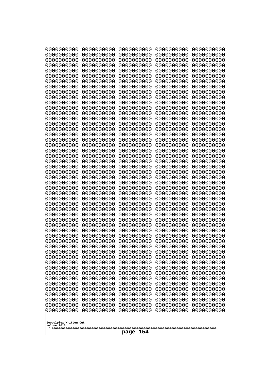| 0000000000                                                                                                                | 0000000000                                                                       | 0000000000                                                                                      | 0000000000                                                                       | 0000000000                                                                       |
|---------------------------------------------------------------------------------------------------------------------------|----------------------------------------------------------------------------------|-------------------------------------------------------------------------------------------------|----------------------------------------------------------------------------------|----------------------------------------------------------------------------------|
| 0000000000                                                                                                                | 0000000000                                                                       | 0000000000                                                                                      | 0000000000                                                                       | 0000000000                                                                       |
| 0000000000                                                                                                                | 0000000000                                                                       | 0000000000                                                                                      | 0000000000                                                                       | 0000000000                                                                       |
| 0000000000                                                                                                                | 0000000000                                                                       | 0000000000                                                                                      | 0000000000                                                                       | 0000000000                                                                       |
| 0000000000                                                                                                                | 0000000000                                                                       | 0000000000                                                                                      | 0000000000                                                                       | 0000000000                                                                       |
| 0000000000                                                                                                                | 0000000000                                                                       | 0000000000                                                                                      | 0000000000                                                                       | 0000000000                                                                       |
| 0000000000                                                                                                                | 0000000000                                                                       | 0000000000                                                                                      | 0000000000                                                                       | 0000000000                                                                       |
| 0000000000                                                                                                                | 0000000000                                                                       | 0000000000                                                                                      | 0000000000                                                                       | 0000000000                                                                       |
| 0000000000                                                                                                                | 0000000000                                                                       | 0000000000                                                                                      | 0000000000                                                                       | 0000000000                                                                       |
| 0000000000                                                                                                                | 0000000000                                                                       | 0000000000                                                                                      | 0000000000                                                                       | 0000000000                                                                       |
| 0000000000                                                                                                                | 0000000000                                                                       | 0000000000                                                                                      | 0000000000                                                                       | 0000000000                                                                       |
| 0000000000                                                                                                                | 0000000000                                                                       | 0000000000                                                                                      | 0000000000                                                                       | 0000000000                                                                       |
| 0000000000                                                                                                                | 0000000000                                                                       | 0000000000                                                                                      | 0000000000                                                                       | 0000000000                                                                       |
| 0000000000                                                                                                                | 0000000000                                                                       | 0000000000                                                                                      | 0000000000                                                                       | 0000000000                                                                       |
| 0000000000                                                                                                                | 0000000000                                                                       | 0000000000                                                                                      | 0000000000                                                                       | 0000000000                                                                       |
| 0000000000                                                                                                                | 0000000000                                                                       | 0000000000                                                                                      | 0000000000                                                                       | 0000000000                                                                       |
| 0000000000                                                                                                                | 0000000000                                                                       | 0000000000                                                                                      | 0000000000                                                                       | 0000000000                                                                       |
| 0000000000                                                                                                                | 0000000000                                                                       | 0000000000                                                                                      | 0000000000                                                                       | 0000000000                                                                       |
| 0000000000                                                                                                                | 0000000000                                                                       | 0000000000                                                                                      | 0000000000                                                                       | 0000000000                                                                       |
| 0000000000                                                                                                                | 0000000000                                                                       | 0000000000                                                                                      | 0000000000                                                                       | 0000000000                                                                       |
| 0000000000                                                                                                                | 0000000000                                                                       | 0000000000                                                                                      | 0000000000                                                                       | 0000000000                                                                       |
| 0000000000                                                                                                                | 0000000000                                                                       | 0000000000                                                                                      | 0000000000                                                                       | 0000000000                                                                       |
| 0000000000                                                                                                                | 0000000000                                                                       | 0000000000                                                                                      | 0000000000                                                                       | 0000000000                                                                       |
| 0000000000                                                                                                                | 0000000000                                                                       | 0000000000                                                                                      | 0000000000                                                                       | 0000000000                                                                       |
| 0000000000                                                                                                                | 0000000000                                                                       | 0000000000                                                                                      | 0000000000                                                                       | 0000000000                                                                       |
| 0000000000                                                                                                                | 0000000000                                                                       | 0000000000                                                                                      | 0000000000                                                                       | 0000000000                                                                       |
| 0000000000                                                                                                                | 0000000000                                                                       | 0000000000                                                                                      | 0000000000                                                                       | 0000000000                                                                       |
| 0000000000                                                                                                                | 0000000000                                                                       | 0000000000                                                                                      | 0000000000                                                                       | 0000000000                                                                       |
| 0000000000                                                                                                                | 0000000000                                                                       | 0000000000                                                                                      | 0000000000                                                                       | 0000000000                                                                       |
| 0000000000                                                                                                                | 0000000000                                                                       | 0000000000                                                                                      | 0000000000                                                                       | 0000000000                                                                       |
| 0000000000                                                                                                                | 0000000000                                                                       | 0000000000                                                                                      | 0000000000                                                                       | 0000000000                                                                       |
| 0000000000                                                                                                                | 0000000000                                                                       | 0000000000                                                                                      | 0000000000                                                                       | 0000000000                                                                       |
| 0000000000                                                                                                                | 0000000000                                                                       | 0000000000                                                                                      | 0000000000                                                                       | 0000000000                                                                       |
| 0000000000                                                                                                                | 0000000000                                                                       | 0000000000                                                                                      | 0000000000                                                                       | 0000000000                                                                       |
| 0000000000                                                                                                                | 0000000000                                                                       | 0000000000                                                                                      | 0000000000                                                                       | 0000000000                                                                       |
| 0000000000                                                                                                                | 0000000000                                                                       | 0000000000                                                                                      | 0000000000                                                                       | 0000000000                                                                       |
| 0000000000                                                                                                                | 0000000000                                                                       | 0000000000                                                                                      | 0000000000                                                                       | 0000000000                                                                       |
| 0000000000                                                                                                                | 0000000000                                                                       | 0000000000                                                                                      | 0000000000                                                                       | 0000000000                                                                       |
| 0000000000                                                                                                                | 0000000000                                                                       | 0000000000                                                                                      | 0000000000                                                                       | 0000000000                                                                       |
| 0000000000                                                                                                                | 0000000000                                                                       | 0000000000                                                                                      | 0000000000                                                                       | 0000000000                                                                       |
| 0000000000                                                                                                                | 0000000000                                                                       | 0000000000                                                                                      | 0000000000                                                                       | 0000000000                                                                       |
| 0000000000                                                                                                                | 0000000000                                                                       | 0000000000                                                                                      | 0000000000                                                                       | 0000000000                                                                       |
| 0000000000                                                                                                                | 0000000000                                                                       | 0000000000                                                                                      | 0000000000                                                                       | 0000000000                                                                       |
| 0000000000                                                                                                                | 0000000000                                                                       | 0000000000                                                                                      | 0000000000                                                                       | 0000000000                                                                       |
| 0000000000<br>0000000000<br>0000000000<br>0000000000<br>0000000000<br>0000000000<br>Googolplex Written Out<br>volume 1013 | 0000000000<br>0000000000<br>0000000000<br>0000000000<br>0000000000<br>0000000000 | 0000000000<br>0000000000<br>0000000000<br>0000000000<br>0000000000<br>0000000000<br>154<br>page | 0000000000<br>0000000000<br>0000000000<br>0000000000<br>0000000000<br>0000000000 | 0000000000<br>0000000000<br>0000000000<br>0000000000<br>0000000000<br>0000000000 |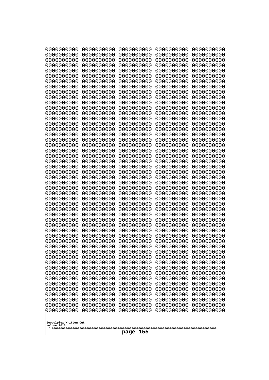| 0000000000                            | 0000000000               | 0000000000               | 0000000000               | 0000000000               |
|---------------------------------------|--------------------------|--------------------------|--------------------------|--------------------------|
| 0000000000<br>0000000000              | 0000000000<br>0000000000 | 0000000000<br>0000000000 | 0000000000<br>0000000000 | 0000000000<br>0000000000 |
| 0000000000                            | 0000000000               | 0000000000               | 0000000000               | 0000000000               |
| 0000000000                            | 0000000000               | 0000000000               | 0000000000               | 0000000000               |
| 0000000000                            | 0000000000               | 0000000000               | 0000000000               | 0000000000               |
| 0000000000                            | 0000000000               | 0000000000               | 0000000000               | 0000000000               |
| 0000000000<br>0000000000              | 0000000000<br>0000000000 | 0000000000<br>0000000000 | 0000000000<br>0000000000 | 0000000000<br>0000000000 |
| 0000000000                            | 0000000000               | 0000000000               | 0000000000               | 0000000000               |
| 0000000000                            | 0000000000               | 0000000000               | 0000000000               | 0000000000               |
| 0000000000                            | 0000000000               | 0000000000               | 0000000000               | 0000000000               |
| 0000000000<br>0000000000              | 0000000000<br>0000000000 | 0000000000<br>0000000000 | 0000000000<br>0000000000 | 0000000000<br>0000000000 |
| 0000000000                            | 0000000000               | 0000000000               | 0000000000               | 0000000000               |
| 0000000000                            | 0000000000               | 0000000000               | 0000000000               | 0000000000               |
| 0000000000                            | 0000000000<br>0000000000 | 0000000000               | 0000000000               | 0000000000               |
| 0000000000<br>0000000000              | 0000000000               | 0000000000<br>0000000000 | 0000000000<br>0000000000 | 0000000000<br>0000000000 |
| 0000000000                            | 0000000000               | 0000000000               | 0000000000               | 0000000000               |
| 0000000000                            | 0000000000               | 0000000000               | 0000000000               | 0000000000               |
| 0000000000<br>0000000000              | 0000000000<br>0000000000 | 0000000000<br>0000000000 | 0000000000<br>0000000000 | 0000000000<br>0000000000 |
| 0000000000                            | 0000000000               | 0000000000               | 0000000000               | 0000000000               |
| 0000000000                            | 0000000000               | 0000000000               | 0000000000               | 0000000000               |
| 0000000000                            | 0000000000               | 0000000000               | 0000000000               | 0000000000               |
| 0000000000<br>0000000000              | 0000000000<br>0000000000 | 0000000000<br>0000000000 | 0000000000<br>0000000000 | 0000000000<br>0000000000 |
| 0000000000                            | 0000000000               | 0000000000               | 0000000000               | 0000000000               |
| 0000000000                            | 0000000000               | 0000000000               | 0000000000               | 0000000000               |
| 0000000000                            | 0000000000               | 0000000000               | 0000000000               | 0000000000               |
| 0000000000<br>0000000000              | 0000000000<br>0000000000 | 0000000000<br>0000000000 | 0000000000<br>0000000000 | 0000000000<br>0000000000 |
| 0000000000                            | 0000000000               | 0000000000               | 0000000000               | 0000000000               |
| 0000000000                            | 0000000000               | 0000000000               | 0000000000               | 0000000000               |
| 0000000000                            | 0000000000               | 0000000000               | 0000000000<br>0000000000 | 0000000000               |
| 0000000000<br>0000000000              | 0000000000<br>0000000000 | 0000000000<br>0000000000 | 0000000000               | 0000000000<br>0000000000 |
| 0000000000                            | 0000000000               | 0000000000               | 0000000000               | 0000000000               |
| 0000000000                            | 0000000000               | 0000000000               | 0000000000               | 0000000000               |
| 0000000000<br>0000000000              | 0000000000<br>0000000000 | 0000000000<br>0000000000 | 0000000000<br>0000000000 | 0000000000<br>0000000000 |
| 0000000000                            | 0000000000               | 0000000000               | 0000000000               | 0000000000               |
| 0000000000                            | 0000000000               | 0000000000               | 0000000000               | 0000000000               |
| 0000000000                            | 0000000000               | 0000000000               | 0000000000               | 0000000000               |
| 0000000000<br>0000000000              | 0000000000<br>0000000000 | 0000000000<br>0000000000 | 0000000000<br>0000000000 | 0000000000<br>0000000000 |
| 0000000000                            | 0000000000               | 0000000000               | 0000000000               | 0000000000               |
| 0000000000                            | 0000000000               | 0000000000               | 0000000000               | 0000000000               |
| 0000000000                            | 0000000000               | 0000000000               | 0000000000               | 0000000000               |
|                                       |                          |                          |                          |                          |
| Googolplex Written Out<br>volume 1013 |                          |                          |                          |                          |
| 155<br>page                           |                          |                          |                          |                          |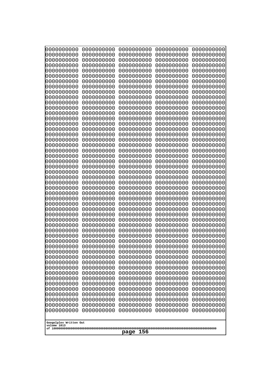| 10000000000<br>0000000000 | 0000000000<br>0000000000 | 0000000000<br>0000000000 | 0000000000<br>0000000000 | 0000000000<br>0000000000 |
|---------------------------|--------------------------|--------------------------|--------------------------|--------------------------|
| 0000000000                | 0000000000               | 0000000000               | 0000000000               | 0000000000               |
| 0000000000                | 0000000000               | 0000000000               | 0000000000               | 0000000000               |
| 0000000000                | 0000000000               | 0000000000               | 0000000000               | 0000000000               |
| 0000000000<br>0000000000  | 0000000000<br>0000000000 | 0000000000<br>0000000000 | 0000000000<br>0000000000 | 0000000000<br>0000000000 |
| 0000000000                | 0000000000               | 0000000000               | 0000000000               | 0000000000               |
| 0000000000                | 0000000000               | 0000000000               | 0000000000               | 0000000000               |
| 0000000000                | 0000000000               | 0000000000               | 0000000000               | 0000000000               |
| 0000000000<br>0000000000  | 0000000000<br>0000000000 | 0000000000<br>0000000000 | 0000000000<br>0000000000 | 0000000000<br>0000000000 |
| 0000000000                | 0000000000               | 0000000000               | 0000000000               | 0000000000               |
| 0000000000                | 0000000000               | 0000000000               | 0000000000               | 0000000000               |
| 0000000000                | 0000000000               | 0000000000               | 0000000000               | 0000000000               |
| 0000000000<br>0000000000  | 0000000000<br>0000000000 | 0000000000<br>0000000000 | 0000000000<br>0000000000 | 0000000000<br>0000000000 |
| 0000000000                | 0000000000               | 0000000000               | 0000000000               | 0000000000               |
| 0000000000                | 0000000000               | 0000000000               | 0000000000               | 0000000000               |
| 0000000000                | 0000000000               | 0000000000               | 0000000000               | 0000000000               |
| 0000000000<br>0000000000  | 0000000000<br>0000000000 | 0000000000<br>0000000000 | 0000000000<br>0000000000 | 0000000000<br>0000000000 |
| 0000000000                | 0000000000               | 0000000000               | 0000000000               | 0000000000               |
| 0000000000                | 0000000000               | 0000000000               | 0000000000               | 0000000000               |
| 0000000000                | 0000000000               | 0000000000               | 0000000000               | 0000000000               |
| 0000000000<br>0000000000  | 0000000000<br>0000000000 | 0000000000<br>0000000000 | 0000000000<br>0000000000 | 0000000000<br>0000000000 |
| 0000000000                | 0000000000               | 0000000000               | 0000000000               | 0000000000               |
| 0000000000                | 0000000000               | 0000000000               | 0000000000               | 0000000000               |
| 0000000000                | 0000000000               | 0000000000               | 0000000000               | 0000000000               |
| 0000000000<br>0000000000  | 0000000000<br>0000000000 | 0000000000<br>0000000000 | 0000000000<br>0000000000 | 0000000000<br>0000000000 |
| 0000000000                | 0000000000               | 0000000000               | 0000000000               | 0000000000               |
| 0000000000                | 0000000000               | 0000000000               | 0000000000               | 0000000000               |
| 0000000000                | 0000000000               | 0000000000               | 0000000000               | 0000000000               |
| 0000000000<br>0000000000  | 0000000000<br>0000000000 | 0000000000<br>0000000000 | 0000000000<br>0000000000 | 0000000000<br>0000000000 |
| 0000000000                | 0000000000               | 0000000000               | 0000000000               | 0000000000               |
| 0000000000                | 0000000000               | 0000000000               | 0000000000               | 0000000000               |
| 0000000000                | 0000000000               | 0000000000               | 0000000000               | 0000000000               |
| 0000000000<br>0000000000  | 0000000000<br>0000000000 | 0000000000<br>0000000000 | 0000000000<br>0000000000 | 0000000000<br>0000000000 |
| 0000000000                | 0000000000               | 0000000000               | 0000000000               | 0000000000               |
| 0000000000                | 0000000000               | 0000000000               | 0000000000               | 0000000000               |
| 0000000000                | 0000000000               | 0000000000               | 0000000000               | 0000000000               |
| 0000000000<br>0000000000  | 0000000000<br>0000000000 | 0000000000<br>0000000000 | 0000000000<br>0000000000 | 0000000000<br>0000000000 |
| 0000000000                | 0000000000               | 0000000000               | 0000000000               | 0000000000               |
| 0000000000                | 0000000000               | 0000000000               | 0000000000               | 0000000000               |
| 0000000000                | 0000000000               | 0000000000               | 0000000000               | 0000000000               |
| Googolplex Written Out    |                          |                          |                          |                          |
| volume 1013               |                          |                          |                          |                          |
| 156<br>page               |                          |                          |                          |                          |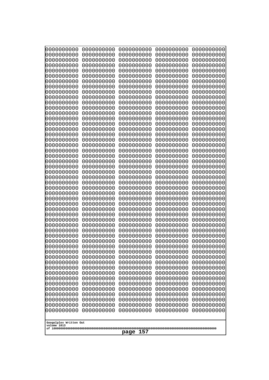| 000000000                             | 0000000000               | 0000000000               | 0000000000               | 0000000000               |  |
|---------------------------------------|--------------------------|--------------------------|--------------------------|--------------------------|--|
| 0000000000                            | 0000000000               | 0000000000               | 0000000000               | 0000000000               |  |
| 0000000000                            | 0000000000               | 0000000000               | 0000000000               | 0000000000               |  |
| 0000000000                            | 0000000000               | 0000000000               | 0000000000               | 0000000000               |  |
| 0000000000                            | 0000000000               | 0000000000               | 0000000000               | 0000000000               |  |
| 0000000000                            | 0000000000               | 0000000000               | 0000000000               | 0000000000               |  |
| 0000000000<br>0000000000              | 0000000000<br>0000000000 | 0000000000<br>0000000000 | 0000000000<br>0000000000 | 0000000000               |  |
| 0000000000                            | 0000000000               | 0000000000               | 0000000000               | 0000000000<br>0000000000 |  |
| 0000000000                            | 0000000000               | 0000000000               | 0000000000               | 0000000000               |  |
| 0000000000                            | 0000000000               | 0000000000               | 0000000000               | 0000000000               |  |
| 0000000000                            | 0000000000               | 0000000000               | 0000000000               | 0000000000               |  |
| 0000000000                            | 0000000000               | 0000000000               | 0000000000               | 0000000000               |  |
| 0000000000                            | 0000000000               | 0000000000               | 0000000000               | 0000000000               |  |
| 0000000000                            | 0000000000               | 0000000000               | 0000000000               | 0000000000               |  |
| 0000000000                            | 0000000000               | 0000000000               | 0000000000               | 0000000000               |  |
| 0000000000<br>0000000000              | 0000000000<br>0000000000 | 0000000000<br>0000000000 | 0000000000<br>0000000000 | 0000000000<br>0000000000 |  |
| 0000000000                            | 0000000000               | 0000000000               | 0000000000               | 0000000000               |  |
| 0000000000                            | 0000000000               | 0000000000               | 0000000000               | 0000000000               |  |
| 0000000000                            | 0000000000               | 0000000000               | 0000000000               | 0000000000               |  |
| 0000000000                            | 0000000000               | 0000000000               | 0000000000               | 0000000000               |  |
| 0000000000                            | 0000000000               | 0000000000               | 0000000000               | 0000000000               |  |
| 0000000000                            | 0000000000               | 0000000000               | 0000000000               | 0000000000               |  |
| 0000000000                            | 0000000000               | 0000000000               | 0000000000               | 0000000000               |  |
| 0000000000<br>0000000000              | 0000000000<br>0000000000 | 0000000000<br>0000000000 | 0000000000<br>0000000000 | 0000000000<br>0000000000 |  |
| 0000000000                            | 0000000000               | 0000000000               | 0000000000               | 0000000000               |  |
| 0000000000                            | 0000000000               | 0000000000               | 0000000000               | 0000000000               |  |
| 0000000000                            | 0000000000               | 0000000000               | 0000000000               | 0000000000               |  |
| 0000000000                            | 0000000000               | 0000000000               | 0000000000               | 0000000000               |  |
| 0000000000                            | 0000000000               | 0000000000               | 0000000000               | 0000000000               |  |
| 0000000000                            | 0000000000               | 0000000000               | 0000000000               | 0000000000               |  |
| 0000000000                            | 0000000000<br>0000000000 | 0000000000<br>0000000000 | 0000000000               | 0000000000               |  |
| 0000000000<br>0000000000              | 0000000000               | 0000000000               | 0000000000<br>0000000000 | 0000000000<br>0000000000 |  |
| 0000000000                            | 0000000000               | 0000000000               | 0000000000               | 0000000000               |  |
| 0000000000                            | 0000000000               | 0000000000               | 0000000000               | 0000000000               |  |
| 0000000000                            | 0000000000               | 0000000000               | 0000000000               | 0000000000               |  |
| 0000000000                            | 0000000000               | 0000000000               | 0000000000               | 0000000000               |  |
| 0000000000                            | 0000000000               | 0000000000               | 0000000000               | 0000000000               |  |
| 0000000000                            | 0000000000               | 0000000000               | 0000000000               | 0000000000               |  |
| 0000000000<br>0000000000              | 0000000000<br>0000000000 | 0000000000<br>0000000000 | 0000000000<br>0000000000 | 0000000000<br>0000000000 |  |
| 0000000000                            | 0000000000               | 0000000000               | 0000000000               | 0000000000               |  |
| 0000000000                            | 0000000000               | 0000000000               | 0000000000               | 0000000000               |  |
| 0000000000                            | 0000000000               | 0000000000               | 0000000000               | 0000000000               |  |
| 0000000000                            | 0000000000               | 0000000000               | 0000000000               | 0000000000               |  |
| 0000000000                            | 0000000000               | 0000000000               | 0000000000               | 0000000000               |  |
| 0000000000                            | 0000000000               | 0000000000               | 0000000000               | 0000000000               |  |
|                                       |                          |                          |                          |                          |  |
| Googolplex Written Out<br>volume 1013 |                          |                          |                          |                          |  |
|                                       | 157<br>page              |                          |                          |                          |  |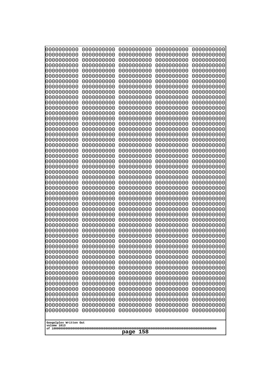| 10000000000<br>0000000000             | 0000000000<br>0000000000 | 0000000000<br>0000000000 | 0000000000<br>0000000000 | 0000000000<br>0000000000 |
|---------------------------------------|--------------------------|--------------------------|--------------------------|--------------------------|
| 0000000000                            | 0000000000               | 0000000000               | 0000000000               | 0000000000               |
| 0000000000                            | 0000000000               | 0000000000               | 0000000000               | 0000000000               |
| 0000000000<br>0000000000              | 0000000000<br>0000000000 | 0000000000               | 0000000000<br>0000000000 | 0000000000               |
| 0000000000                            | 0000000000               | 0000000000<br>0000000000 | 0000000000               | 0000000000<br>0000000000 |
| 0000000000                            | 0000000000               | 0000000000               | 0000000000               | 0000000000               |
| 0000000000                            | 0000000000               | 0000000000               | 0000000000               | 0000000000               |
| 0000000000<br>0000000000              | 0000000000<br>0000000000 | 0000000000<br>0000000000 | 0000000000<br>0000000000 | 0000000000<br>0000000000 |
| 0000000000                            | 0000000000               | 0000000000               | 0000000000               | 0000000000               |
| 0000000000                            | 0000000000               | 0000000000               | 0000000000               | 0000000000               |
| 0000000000<br>0000000000              | 0000000000<br>0000000000 | 0000000000<br>0000000000 | 0000000000<br>0000000000 | 0000000000<br>0000000000 |
| 0000000000                            | 0000000000               | 0000000000               | 0000000000               | 0000000000               |
| 0000000000                            | 0000000000               | 0000000000               | 0000000000               | 0000000000               |
| 0000000000<br>0000000000              | 0000000000               | 0000000000               | 0000000000               | 0000000000               |
| 0000000000                            | 0000000000<br>0000000000 | 0000000000<br>0000000000 | 0000000000<br>0000000000 | 0000000000<br>0000000000 |
| 0000000000                            | 0000000000               | 0000000000               | 0000000000               | 0000000000               |
| 0000000000                            | 0000000000               | 0000000000               | 0000000000               | 0000000000               |
| 0000000000<br>0000000000              | 0000000000<br>0000000000 | 0000000000<br>0000000000 | 0000000000<br>0000000000 | 0000000000<br>0000000000 |
| 0000000000                            | 0000000000               | 0000000000               | 0000000000               | 0000000000               |
| 0000000000                            | 0000000000               | 0000000000               | 0000000000               | 0000000000               |
| 0000000000<br>0000000000              | 0000000000<br>0000000000 | 0000000000<br>0000000000 | 0000000000<br>0000000000 | 0000000000<br>0000000000 |
| 0000000000                            | 0000000000               | 0000000000               | 0000000000               | 0000000000               |
| 0000000000                            | 0000000000               | 0000000000               | 0000000000               | 0000000000               |
| 0000000000<br>0000000000              | 0000000000<br>0000000000 | 0000000000<br>0000000000 | 0000000000<br>0000000000 | 0000000000<br>0000000000 |
| 0000000000                            | 0000000000               | 0000000000               | 0000000000               | 0000000000               |
| 0000000000                            | 0000000000               | 0000000000               | 0000000000               | 0000000000               |
| 0000000000                            | 0000000000               | 0000000000               | 0000000000               | 0000000000               |
| 0000000000<br>0000000000              | 0000000000<br>0000000000 | 0000000000<br>0000000000 | 0000000000<br>0000000000 | 0000000000<br>0000000000 |
| 0000000000                            | 0000000000               | 0000000000               | 0000000000               | 0000000000               |
| 0000000000                            | 0000000000               | 0000000000               | 0000000000               | 0000000000               |
| 0000000000<br>0000000000              | 0000000000<br>0000000000 | 0000000000<br>0000000000 | 0000000000<br>0000000000 | 0000000000<br>0000000000 |
| 0000000000                            | 0000000000               | 0000000000               | 0000000000               | 0000000000               |
| 0000000000                            | 0000000000               | 0000000000               | 0000000000               | 0000000000               |
| 0000000000<br>0000000000              | 0000000000<br>0000000000 | 0000000000<br>0000000000 | 0000000000<br>0000000000 | 0000000000<br>0000000000 |
| 0000000000                            | 0000000000               | 0000000000               | 0000000000               | 0000000000               |
| 0000000000                            | 0000000000               | 0000000000               | 0000000000               | 0000000000               |
| 0000000000                            | 0000000000               | 0000000000               | 0000000000               | 0000000000               |
| 0000000000<br>0000000000              | 0000000000<br>0000000000 | 0000000000<br>0000000000 | 0000000000<br>0000000000 | 0000000000<br>0000000000 |
|                                       |                          |                          |                          |                          |
| Googolplex Written Out<br>volume 1013 |                          |                          |                          |                          |
| 158<br>page                           |                          |                          |                          |                          |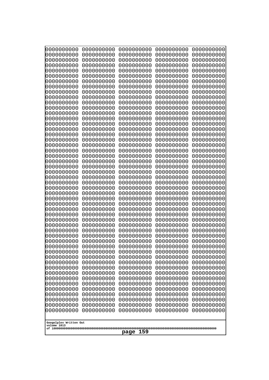| 0000000000<br>0000000000<br>0000000000<br>0000000000<br>0000000000<br>0000000000<br>0000000000<br>0000000000<br>0000000000<br>0000000000<br>0000000000<br>0000000000<br>0000000000<br>0000000000<br>0000000000<br>0000000000<br>0000000000<br>0000000000<br>0000000000<br>0000000000<br>0000000000<br>0000000000<br>0000000000<br>0000000000<br>0000000000 | 0000000000<br>0000000000<br>0000000000<br>0000000000<br>0000000000<br>0000000000<br>0000000000<br>0000000000<br>0000000000<br>0000000000<br>0000000000<br>0000000000<br>0000000000<br>0000000000<br>0000000000<br>0000000000<br>0000000000<br>0000000000<br>0000000000<br>0000000000<br>0000000000<br>0000000000<br>0000000000<br>0000000000<br>0000000000 | 0000000000<br>0000000000<br>0000000000<br>0000000000<br>0000000000<br>0000000000<br>0000000000<br>0000000000<br>0000000000<br>0000000000<br>0000000000<br>0000000000<br>0000000000<br>0000000000<br>0000000000<br>0000000000<br>0000000000<br>0000000000<br>0000000000<br>0000000000<br>0000000000<br>0000000000<br>0000000000<br>0000000000<br>0000000000 | 0000000000<br>0000000000<br>0000000000<br>0000000000<br>0000000000<br>0000000000<br>0000000000<br>0000000000<br>0000000000<br>0000000000<br>0000000000<br>0000000000<br>0000000000<br>0000000000<br>0000000000<br>0000000000<br>0000000000<br>0000000000<br>0000000000<br>0000000000<br>0000000000<br>0000000000<br>0000000000<br>0000000000<br>0000000000 | 0000000000<br>0000000000<br>0000000000<br>0000000000<br>0000000000<br>0000000000<br>0000000000<br>0000000000<br>0000000000<br>0000000000<br>0000000000<br>0000000000<br>0000000000<br>0000000000<br>0000000000<br>0000000000<br>0000000000<br>0000000000<br>0000000000<br>0000000000<br>0000000000<br>0000000000<br>0000000000<br>0000000000<br>0000000000 |
|------------------------------------------------------------------------------------------------------------------------------------------------------------------------------------------------------------------------------------------------------------------------------------------------------------------------------------------------------------|------------------------------------------------------------------------------------------------------------------------------------------------------------------------------------------------------------------------------------------------------------------------------------------------------------------------------------------------------------|------------------------------------------------------------------------------------------------------------------------------------------------------------------------------------------------------------------------------------------------------------------------------------------------------------------------------------------------------------|------------------------------------------------------------------------------------------------------------------------------------------------------------------------------------------------------------------------------------------------------------------------------------------------------------------------------------------------------------|------------------------------------------------------------------------------------------------------------------------------------------------------------------------------------------------------------------------------------------------------------------------------------------------------------------------------------------------------------|
|                                                                                                                                                                                                                                                                                                                                                            |                                                                                                                                                                                                                                                                                                                                                            |                                                                                                                                                                                                                                                                                                                                                            |                                                                                                                                                                                                                                                                                                                                                            |                                                                                                                                                                                                                                                                                                                                                            |
|                                                                                                                                                                                                                                                                                                                                                            |                                                                                                                                                                                                                                                                                                                                                            |                                                                                                                                                                                                                                                                                                                                                            |                                                                                                                                                                                                                                                                                                                                                            |                                                                                                                                                                                                                                                                                                                                                            |
|                                                                                                                                                                                                                                                                                                                                                            |                                                                                                                                                                                                                                                                                                                                                            |                                                                                                                                                                                                                                                                                                                                                            |                                                                                                                                                                                                                                                                                                                                                            |                                                                                                                                                                                                                                                                                                                                                            |
|                                                                                                                                                                                                                                                                                                                                                            |                                                                                                                                                                                                                                                                                                                                                            |                                                                                                                                                                                                                                                                                                                                                            |                                                                                                                                                                                                                                                                                                                                                            |                                                                                                                                                                                                                                                                                                                                                            |
|                                                                                                                                                                                                                                                                                                                                                            |                                                                                                                                                                                                                                                                                                                                                            |                                                                                                                                                                                                                                                                                                                                                            |                                                                                                                                                                                                                                                                                                                                                            |                                                                                                                                                                                                                                                                                                                                                            |
|                                                                                                                                                                                                                                                                                                                                                            |                                                                                                                                                                                                                                                                                                                                                            |                                                                                                                                                                                                                                                                                                                                                            |                                                                                                                                                                                                                                                                                                                                                            |                                                                                                                                                                                                                                                                                                                                                            |
|                                                                                                                                                                                                                                                                                                                                                            |                                                                                                                                                                                                                                                                                                                                                            |                                                                                                                                                                                                                                                                                                                                                            |                                                                                                                                                                                                                                                                                                                                                            |                                                                                                                                                                                                                                                                                                                                                            |
|                                                                                                                                                                                                                                                                                                                                                            |                                                                                                                                                                                                                                                                                                                                                            |                                                                                                                                                                                                                                                                                                                                                            |                                                                                                                                                                                                                                                                                                                                                            |                                                                                                                                                                                                                                                                                                                                                            |
|                                                                                                                                                                                                                                                                                                                                                            |                                                                                                                                                                                                                                                                                                                                                            |                                                                                                                                                                                                                                                                                                                                                            |                                                                                                                                                                                                                                                                                                                                                            |                                                                                                                                                                                                                                                                                                                                                            |
|                                                                                                                                                                                                                                                                                                                                                            |                                                                                                                                                                                                                                                                                                                                                            |                                                                                                                                                                                                                                                                                                                                                            |                                                                                                                                                                                                                                                                                                                                                            |                                                                                                                                                                                                                                                                                                                                                            |
|                                                                                                                                                                                                                                                                                                                                                            |                                                                                                                                                                                                                                                                                                                                                            |                                                                                                                                                                                                                                                                                                                                                            |                                                                                                                                                                                                                                                                                                                                                            |                                                                                                                                                                                                                                                                                                                                                            |
|                                                                                                                                                                                                                                                                                                                                                            |                                                                                                                                                                                                                                                                                                                                                            |                                                                                                                                                                                                                                                                                                                                                            |                                                                                                                                                                                                                                                                                                                                                            |                                                                                                                                                                                                                                                                                                                                                            |
| 0000000000                                                                                                                                                                                                                                                                                                                                                 | 0000000000                                                                                                                                                                                                                                                                                                                                                 | 0000000000                                                                                                                                                                                                                                                                                                                                                 | 0000000000                                                                                                                                                                                                                                                                                                                                                 | 0000000000                                                                                                                                                                                                                                                                                                                                                 |
| 0000000000<br>0000000000                                                                                                                                                                                                                                                                                                                                   | 0000000000<br>0000000000                                                                                                                                                                                                                                                                                                                                   | 0000000000<br>0000000000                                                                                                                                                                                                                                                                                                                                   | 0000000000<br>0000000000                                                                                                                                                                                                                                                                                                                                   | 0000000000<br>0000000000                                                                                                                                                                                                                                                                                                                                   |
| 0000000000                                                                                                                                                                                                                                                                                                                                                 | 0000000000                                                                                                                                                                                                                                                                                                                                                 | 0000000000                                                                                                                                                                                                                                                                                                                                                 | 0000000000                                                                                                                                                                                                                                                                                                                                                 | 0000000000                                                                                                                                                                                                                                                                                                                                                 |
| 0000000000<br>0000000000                                                                                                                                                                                                                                                                                                                                   | 0000000000<br>0000000000                                                                                                                                                                                                                                                                                                                                   | 0000000000<br>0000000000                                                                                                                                                                                                                                                                                                                                   | 0000000000<br>0000000000                                                                                                                                                                                                                                                                                                                                   | 0000000000<br>0000000000                                                                                                                                                                                                                                                                                                                                   |
| 0000000000                                                                                                                                                                                                                                                                                                                                                 | 0000000000                                                                                                                                                                                                                                                                                                                                                 | 0000000000                                                                                                                                                                                                                                                                                                                                                 | 0000000000                                                                                                                                                                                                                                                                                                                                                 | 0000000000                                                                                                                                                                                                                                                                                                                                                 |
| 0000000000<br>0000000000                                                                                                                                                                                                                                                                                                                                   | 0000000000<br>0000000000                                                                                                                                                                                                                                                                                                                                   | 0000000000<br>0000000000                                                                                                                                                                                                                                                                                                                                   | 0000000000<br>0000000000                                                                                                                                                                                                                                                                                                                                   | 0000000000<br>0000000000                                                                                                                                                                                                                                                                                                                                   |
| 0000000000<br>0000000000                                                                                                                                                                                                                                                                                                                                   | 0000000000<br>0000000000                                                                                                                                                                                                                                                                                                                                   | 0000000000<br>0000000000                                                                                                                                                                                                                                                                                                                                   | 0000000000<br>0000000000                                                                                                                                                                                                                                                                                                                                   | 0000000000<br>0000000000                                                                                                                                                                                                                                                                                                                                   |
| 0000000000                                                                                                                                                                                                                                                                                                                                                 | 0000000000                                                                                                                                                                                                                                                                                                                                                 | 0000000000                                                                                                                                                                                                                                                                                                                                                 | 0000000000                                                                                                                                                                                                                                                                                                                                                 | 0000000000                                                                                                                                                                                                                                                                                                                                                 |
| 0000000000<br>0000000000                                                                                                                                                                                                                                                                                                                                   | 0000000000<br>0000000000                                                                                                                                                                                                                                                                                                                                   | 0000000000<br>0000000000                                                                                                                                                                                                                                                                                                                                   | 0000000000<br>0000000000                                                                                                                                                                                                                                                                                                                                   | 0000000000<br>0000000000                                                                                                                                                                                                                                                                                                                                   |
| 0000000000                                                                                                                                                                                                                                                                                                                                                 | 0000000000                                                                                                                                                                                                                                                                                                                                                 | 0000000000                                                                                                                                                                                                                                                                                                                                                 | 0000000000                                                                                                                                                                                                                                                                                                                                                 | 0000000000                                                                                                                                                                                                                                                                                                                                                 |
| 0000000000<br>0000000000                                                                                                                                                                                                                                                                                                                                   | 0000000000<br>0000000000                                                                                                                                                                                                                                                                                                                                   | 0000000000<br>0000000000                                                                                                                                                                                                                                                                                                                                   | 0000000000<br>0000000000                                                                                                                                                                                                                                                                                                                                   | 0000000000<br>0000000000                                                                                                                                                                                                                                                                                                                                   |
| 0000000000<br>0000000000                                                                                                                                                                                                                                                                                                                                   | 0000000000<br>0000000000                                                                                                                                                                                                                                                                                                                                   | 0000000000<br>0000000000                                                                                                                                                                                                                                                                                                                                   | 0000000000<br>0000000000                                                                                                                                                                                                                                                                                                                                   | 0000000000<br>0000000000                                                                                                                                                                                                                                                                                                                                   |
| 0000000000                                                                                                                                                                                                                                                                                                                                                 | 0000000000                                                                                                                                                                                                                                                                                                                                                 | 0000000000                                                                                                                                                                                                                                                                                                                                                 | 0000000000                                                                                                                                                                                                                                                                                                                                                 | 0000000000                                                                                                                                                                                                                                                                                                                                                 |
| 0000000000<br>0000000000                                                                                                                                                                                                                                                                                                                                   | 0000000000<br>0000000000                                                                                                                                                                                                                                                                                                                                   | 0000000000<br>0000000000                                                                                                                                                                                                                                                                                                                                   | 0000000000<br>0000000000                                                                                                                                                                                                                                                                                                                                   | 0000000000<br>0000000000                                                                                                                                                                                                                                                                                                                                   |
| 0000000000                                                                                                                                                                                                                                                                                                                                                 | 0000000000                                                                                                                                                                                                                                                                                                                                                 | 0000000000                                                                                                                                                                                                                                                                                                                                                 | 0000000000                                                                                                                                                                                                                                                                                                                                                 | 0000000000                                                                                                                                                                                                                                                                                                                                                 |
| 0000000000<br>0000000000                                                                                                                                                                                                                                                                                                                                   | 0000000000<br>0000000000                                                                                                                                                                                                                                                                                                                                   | 0000000000<br>0000000000                                                                                                                                                                                                                                                                                                                                   | 0000000000<br>0000000000                                                                                                                                                                                                                                                                                                                                   | 0000000000<br>0000000000                                                                                                                                                                                                                                                                                                                                   |
|                                                                                                                                                                                                                                                                                                                                                            |                                                                                                                                                                                                                                                                                                                                                            |                                                                                                                                                                                                                                                                                                                                                            |                                                                                                                                                                                                                                                                                                                                                            |                                                                                                                                                                                                                                                                                                                                                            |
| Googolplex Written Out<br>volume 1013                                                                                                                                                                                                                                                                                                                      |                                                                                                                                                                                                                                                                                                                                                            |                                                                                                                                                                                                                                                                                                                                                            |                                                                                                                                                                                                                                                                                                                                                            |                                                                                                                                                                                                                                                                                                                                                            |
| 159<br>page                                                                                                                                                                                                                                                                                                                                                |                                                                                                                                                                                                                                                                                                                                                            |                                                                                                                                                                                                                                                                                                                                                            |                                                                                                                                                                                                                                                                                                                                                            |                                                                                                                                                                                                                                                                                                                                                            |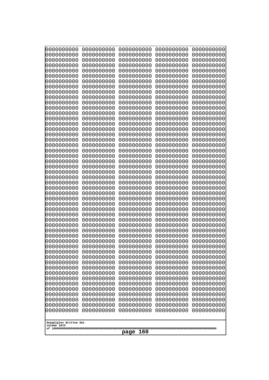| 0000000000               | 0000000000                                                         | 0000000000               | 0000000000               | 0000000000               |  |  |
|--------------------------|--------------------------------------------------------------------|--------------------------|--------------------------|--------------------------|--|--|
| 0000000000<br>0000000000 | 0000000000<br>0000000000                                           | 0000000000<br>0000000000 | 0000000000<br>0000000000 | 0000000000<br>0000000000 |  |  |
| 0000000000               | 0000000000                                                         | 0000000000               | 0000000000               | 0000000000               |  |  |
| 0000000000               | 0000000000                                                         | 0000000000               | 0000000000               | 0000000000               |  |  |
| 0000000000               | 0000000000                                                         | 0000000000               | 0000000000               | 0000000000               |  |  |
| 0000000000               | 0000000000                                                         | 0000000000               | 0000000000               | 0000000000               |  |  |
| 0000000000<br>0000000000 | 0000000000<br>0000000000                                           | 0000000000<br>0000000000 | 0000000000<br>0000000000 | 0000000000<br>0000000000 |  |  |
| 0000000000               | 0000000000                                                         | 0000000000               | 0000000000               | 0000000000               |  |  |
| 0000000000               | 0000000000                                                         | 0000000000               | 0000000000               | 0000000000               |  |  |
| 0000000000<br>0000000000 | 0000000000<br>0000000000                                           | 0000000000<br>0000000000 | 0000000000<br>0000000000 | 0000000000<br>0000000000 |  |  |
| 0000000000               | 0000000000                                                         | 0000000000               | 0000000000               | 0000000000               |  |  |
| 0000000000               | 0000000000                                                         | 0000000000               | 0000000000               | 0000000000               |  |  |
| 0000000000               | 0000000000                                                         | 0000000000               | 0000000000               | 0000000000               |  |  |
| 0000000000<br>0000000000 | 0000000000<br>0000000000                                           | 0000000000<br>0000000000 | 0000000000<br>0000000000 | 0000000000<br>0000000000 |  |  |
| 0000000000               | 0000000000                                                         | 0000000000               | 0000000000               | 0000000000               |  |  |
| 0000000000               | 0000000000                                                         | 0000000000               | 0000000000               | 0000000000               |  |  |
| 0000000000               | 0000000000                                                         | 0000000000               | 0000000000               | 0000000000               |  |  |
| 0000000000<br>0000000000 | 0000000000<br>0000000000                                           | 0000000000<br>0000000000 | 0000000000<br>0000000000 | 0000000000<br>0000000000 |  |  |
| 0000000000               | 0000000000                                                         | 0000000000               | 0000000000               | 0000000000               |  |  |
| 0000000000               | 0000000000                                                         | 0000000000               | 0000000000               | 0000000000               |  |  |
| 0000000000               | 0000000000<br>0000000000                                           | 0000000000<br>0000000000 | 0000000000<br>0000000000 | 0000000000               |  |  |
| 0000000000<br>0000000000 | 0000000000                                                         | 0000000000               | 0000000000               | 0000000000<br>0000000000 |  |  |
| 0000000000               | 0000000000                                                         | 0000000000               | 0000000000               | 0000000000               |  |  |
| 0000000000               | 0000000000                                                         | 0000000000               | 0000000000               | 0000000000               |  |  |
| 0000000000<br>0000000000 | 0000000000<br>0000000000                                           | 0000000000<br>0000000000 | 0000000000<br>0000000000 | 0000000000<br>0000000000 |  |  |
| 0000000000               | 0000000000                                                         | 0000000000               | 0000000000               | 0000000000               |  |  |
| 0000000000               | 0000000000                                                         | 0000000000               | 0000000000               | 0000000000               |  |  |
| 0000000000               | 0000000000                                                         | 0000000000<br>0000000000 | 0000000000               | 0000000000               |  |  |
| 0000000000<br>0000000000 | 0000000000<br>0000000000                                           | 0000000000               | 0000000000<br>0000000000 | 0000000000<br>0000000000 |  |  |
| 0000000000               | 0000000000                                                         | 0000000000               | 0000000000               | 0000000000               |  |  |
| 0000000000               | 0000000000                                                         | 0000000000               | 0000000000               | 0000000000               |  |  |
| 0000000000<br>0000000000 | 0000000000<br>0000000000                                           | 0000000000<br>0000000000 | 0000000000<br>0000000000 | 0000000000<br>0000000000 |  |  |
| 0000000000               | 0000000000                                                         | 0000000000               | 0000000000               | 0000000000               |  |  |
| 0000000000               | 0000000000                                                         | 0000000000               | 0000000000               | 0000000000               |  |  |
| 0000000000               | 0000000000                                                         | 0000000000               | 0000000000               | 0000000000               |  |  |
| 0000000000<br>0000000000 | 0000000000<br>0000000000                                           | 0000000000<br>0000000000 | 0000000000<br>0000000000 | 0000000000<br>0000000000 |  |  |
| 0000000000               | 0000000000                                                         | 0000000000               | 0000000000               | 0000000000               |  |  |
| 0000000000               | 0000000000                                                         | 0000000000               | 0000000000               | 0000000000               |  |  |
| 0000000000               | 0000000000                                                         | 0000000000               | 0000000000               | 0000000000               |  |  |
|                          | 0000000000<br>0000000000<br>0000000000<br>0000000000<br>0000000000 |                          |                          |                          |  |  |
| Googolplex Written Out   |                                                                    |                          |                          |                          |  |  |
| volume 1013              |                                                                    |                          |                          |                          |  |  |
| page<br>160              |                                                                    |                          |                          |                          |  |  |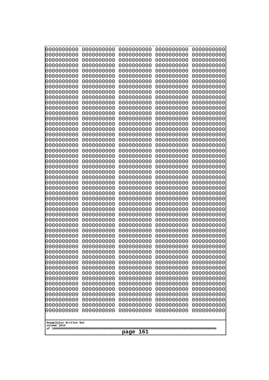| 10000000000                           | 0000000000               | 0000000000               | 0000000000               | 0000000000               |
|---------------------------------------|--------------------------|--------------------------|--------------------------|--------------------------|
| 0000000000<br>0000000000              | 0000000000<br>0000000000 | 0000000000<br>0000000000 | 0000000000<br>0000000000 | 0000000000<br>0000000000 |
| 0000000000                            | 0000000000               | 0000000000               | 0000000000               | 0000000000               |
| 0000000000                            | 0000000000               | 0000000000               | 0000000000               | 0000000000               |
| 0000000000                            | 0000000000               | 0000000000               | 0000000000               | 0000000000               |
| 0000000000<br>0000000000              | 0000000000<br>0000000000 | 0000000000<br>0000000000 | 0000000000<br>0000000000 | 0000000000<br>0000000000 |
| 0000000000                            | 0000000000               | 0000000000               | 0000000000               | 0000000000               |
| 0000000000                            | 0000000000               | 0000000000               | 0000000000               | 0000000000               |
| 0000000000                            | 0000000000               | 0000000000               | 0000000000               | 0000000000               |
| 0000000000<br>0000000000              | 0000000000<br>0000000000 | 0000000000<br>0000000000 | 0000000000<br>0000000000 | 0000000000<br>0000000000 |
| 0000000000                            | 0000000000               | 0000000000               | 0000000000               | 0000000000               |
| 0000000000                            | 0000000000               | 0000000000               | 0000000000               | 0000000000               |
| 0000000000                            | 0000000000               | 0000000000               | 0000000000               | 0000000000               |
| 0000000000<br>0000000000              | 0000000000<br>0000000000 | 0000000000<br>0000000000 | 0000000000<br>0000000000 | 0000000000<br>0000000000 |
| 0000000000                            | 0000000000               | 0000000000               | 0000000000               | 0000000000               |
| 0000000000                            | 0000000000               | 0000000000               | 0000000000               | 0000000000               |
| 0000000000                            | 0000000000               | 0000000000               | 0000000000               | 0000000000               |
| 0000000000<br>0000000000              | 0000000000<br>0000000000 | 0000000000<br>0000000000 | 0000000000<br>0000000000 | 0000000000<br>0000000000 |
| 0000000000                            | 0000000000               | 0000000000               | 0000000000               | 0000000000               |
| 0000000000                            | 0000000000               | 0000000000               | 0000000000               | 0000000000               |
| 0000000000                            | 0000000000               | 0000000000               | 0000000000               | 0000000000               |
| 0000000000<br>0000000000              | 0000000000<br>0000000000 | 0000000000<br>0000000000 | 0000000000<br>0000000000 | 0000000000<br>0000000000 |
| 0000000000                            | 0000000000               | 0000000000               | 0000000000               | 0000000000               |
| 0000000000                            | 0000000000               | 0000000000               | 0000000000               | 0000000000               |
| 0000000000                            | 0000000000               | 0000000000               | 0000000000               | 0000000000               |
| 0000000000<br>0000000000              | 0000000000<br>0000000000 | 0000000000<br>0000000000 | 0000000000<br>0000000000 | 0000000000<br>0000000000 |
| 0000000000                            | 0000000000               | 0000000000               | 0000000000               | 0000000000               |
| 0000000000                            | 0000000000               | 0000000000               | 0000000000               | 0000000000               |
| 0000000000                            | 0000000000<br>0000000000 | 0000000000<br>0000000000 | 0000000000               | 0000000000               |
| 0000000000<br>0000000000              | 0000000000               | 0000000000               | 0000000000<br>0000000000 | 0000000000<br>0000000000 |
| 0000000000                            | 0000000000               | 0000000000               | 0000000000               | 0000000000               |
| 0000000000                            | 0000000000               | 0000000000               | 0000000000               | 0000000000               |
| 0000000000<br>0000000000              | 0000000000<br>0000000000 | 0000000000<br>0000000000 | 0000000000<br>0000000000 | 0000000000<br>0000000000 |
| 0000000000                            | 0000000000               | 0000000000               | 0000000000               | 0000000000               |
| 0000000000                            | 0000000000               | 0000000000               | 0000000000               | 0000000000               |
| 0000000000                            | 0000000000               | 0000000000               | 0000000000               | 0000000000               |
| 0000000000<br>0000000000              | 0000000000<br>0000000000 | 0000000000<br>0000000000 | 0000000000<br>0000000000 | 0000000000<br>0000000000 |
| 0000000000                            | 0000000000               | 0000000000               | 0000000000               | 0000000000               |
| 0000000000                            | 0000000000               | 0000000000               | 0000000000               | 0000000000               |
| 0000000000                            | 0000000000               | 0000000000               | 0000000000               | 0000000000               |
|                                       |                          |                          |                          |                          |
| Googolplex Written Out<br>volume 1013 |                          |                          |                          |                          |
| page<br>161                           |                          |                          |                          |                          |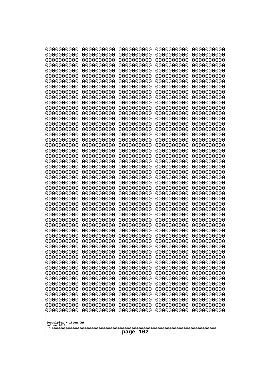| 10000000000<br>0000000000 | 0000000000<br>0000000000 | 0000000000<br>0000000000 | 0000000000<br>0000000000 | 0000000000<br>0000000000 |
|---------------------------|--------------------------|--------------------------|--------------------------|--------------------------|
| 0000000000                | 0000000000               | 0000000000               | 0000000000               | 0000000000               |
| 0000000000                | 0000000000               | 0000000000               | 0000000000               | 0000000000               |
| 0000000000<br>0000000000  | 0000000000<br>0000000000 | 0000000000               | 0000000000<br>0000000000 | 0000000000               |
| 0000000000                | 0000000000               | 0000000000<br>0000000000 | 0000000000               | 0000000000<br>0000000000 |
| 0000000000                | 0000000000               | 0000000000               | 0000000000               | 0000000000               |
| 0000000000                | 0000000000               | 0000000000               | 0000000000               | 0000000000               |
| 0000000000<br>0000000000  | 0000000000<br>0000000000 | 0000000000<br>0000000000 | 0000000000<br>0000000000 | 0000000000<br>0000000000 |
| 0000000000                | 0000000000               | 0000000000               | 0000000000               | 0000000000               |
| 0000000000                | 0000000000               | 0000000000               | 0000000000               | 0000000000               |
| 0000000000                | 0000000000               | 0000000000               | 0000000000               | 0000000000               |
| 0000000000<br>0000000000  | 0000000000<br>0000000000 | 0000000000<br>0000000000 | 0000000000<br>0000000000 | 0000000000<br>0000000000 |
| 0000000000                | 0000000000               | 0000000000               | 0000000000               | 0000000000               |
| 0000000000                | 0000000000               | 0000000000               | 0000000000               | 0000000000               |
| 0000000000<br>0000000000  | 0000000000<br>0000000000 | 0000000000<br>0000000000 | 0000000000<br>0000000000 | 0000000000<br>0000000000 |
| 0000000000                | 0000000000               | 0000000000               | 0000000000               | 0000000000               |
| 0000000000                | 0000000000               | 0000000000               | 0000000000               | 0000000000               |
| 0000000000                | 0000000000               | 0000000000               | 0000000000               | 0000000000               |
| 0000000000<br>0000000000  | 0000000000<br>0000000000 | 0000000000<br>0000000000 | 0000000000<br>0000000000 | 0000000000<br>0000000000 |
| 0000000000                | 0000000000               | 0000000000               | 0000000000               | 0000000000               |
| 0000000000                | 0000000000               | 0000000000               | 0000000000               | 0000000000               |
| 0000000000<br>0000000000  | 0000000000<br>0000000000 | 0000000000<br>0000000000 | 0000000000<br>0000000000 | 0000000000<br>0000000000 |
| 0000000000                | 0000000000               | 0000000000               | 0000000000               | 0000000000               |
| 0000000000                | 0000000000               | 0000000000               | 0000000000               | 0000000000               |
| 0000000000<br>0000000000  | 0000000000<br>0000000000 | 0000000000<br>0000000000 | 0000000000<br>0000000000 | 0000000000<br>0000000000 |
| 0000000000                | 0000000000               | 0000000000               | 0000000000               | 0000000000               |
| 0000000000                | 0000000000               | 0000000000               | 0000000000               | 0000000000               |
| 0000000000                | 0000000000               | 0000000000               | 0000000000               | 0000000000               |
| 0000000000<br>0000000000  | 0000000000<br>0000000000 | 0000000000<br>0000000000 | 0000000000<br>0000000000 | 0000000000<br>0000000000 |
| 0000000000                | 0000000000               | 0000000000               | 0000000000               | 0000000000               |
| 0000000000                | 0000000000               | 0000000000               | 0000000000               | 0000000000               |
| 0000000000<br>0000000000  | 0000000000<br>0000000000 | 0000000000<br>0000000000 | 0000000000<br>0000000000 | 0000000000<br>0000000000 |
| 0000000000                | 0000000000               | 0000000000               | 0000000000               | 0000000000               |
| 0000000000                | 0000000000               | 0000000000               | 0000000000               | 0000000000               |
| 0000000000                | 0000000000               | 0000000000               | 0000000000               | 0000000000               |
| 0000000000<br>0000000000  | 0000000000<br>0000000000 | 0000000000<br>0000000000 | 0000000000<br>0000000000 | 0000000000<br>0000000000 |
| 0000000000                | 0000000000               | 0000000000               | 0000000000               | 0000000000               |
| 0000000000                | 0000000000               | 0000000000               | 0000000000               | 0000000000               |
| 0000000000                | 0000000000               | 0000000000               | 0000000000               | 0000000000               |
| Googolplex Written Out    |                          |                          |                          |                          |
| volume 1013               |                          |                          |                          |                          |
| page<br>162               |                          |                          |                          |                          |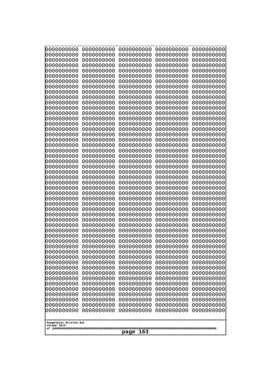| 0000000000                                           | 0000000000 | 0000000000 | 0000000000 | 0000000000 |
|------------------------------------------------------|------------|------------|------------|------------|
| 0000000000                                           | 0000000000 | 0000000000 | 0000000000 | 0000000000 |
| 0000000000                                           | 0000000000 | 0000000000 | 0000000000 | 0000000000 |
| 0000000000                                           | 0000000000 | 0000000000 | 0000000000 | 0000000000 |
| 0000000000                                           | 0000000000 | 0000000000 | 0000000000 | 0000000000 |
| 0000000000                                           | 0000000000 | 0000000000 | 0000000000 | 0000000000 |
| 0000000000                                           | 0000000000 | 0000000000 | 0000000000 | 0000000000 |
| 0000000000                                           | 0000000000 | 0000000000 | 0000000000 | 0000000000 |
| 0000000000                                           | 0000000000 | 0000000000 | 0000000000 | 0000000000 |
| 0000000000                                           | 0000000000 | 0000000000 | 0000000000 | 0000000000 |
| 0000000000                                           | 0000000000 | 0000000000 | 0000000000 | 0000000000 |
| 0000000000                                           | 0000000000 | 0000000000 | 0000000000 | 0000000000 |
| 0000000000                                           | 0000000000 | 0000000000 | 0000000000 | 0000000000 |
| 0000000000                                           | 0000000000 | 0000000000 | 0000000000 | 0000000000 |
| 0000000000                                           | 0000000000 | 0000000000 | 0000000000 | 0000000000 |
| 0000000000                                           | 0000000000 | 0000000000 | 0000000000 | 0000000000 |
| 0000000000                                           | 0000000000 | 0000000000 | 0000000000 | 0000000000 |
| 0000000000                                           | 0000000000 | 0000000000 | 0000000000 | 0000000000 |
| 0000000000                                           | 0000000000 | 0000000000 | 0000000000 | 0000000000 |
| 0000000000                                           | 0000000000 | 0000000000 | 0000000000 | 0000000000 |
| 0000000000                                           | 0000000000 | 0000000000 | 0000000000 | 0000000000 |
| 0000000000                                           | 0000000000 | 0000000000 | 0000000000 | 0000000000 |
| 0000000000                                           | 0000000000 | 0000000000 | 0000000000 | 0000000000 |
| 0000000000                                           | 0000000000 | 0000000000 | 0000000000 | 0000000000 |
|                                                      |            |            |            |            |
| 0000000000                                           | 0000000000 | 0000000000 | 0000000000 | 0000000000 |
| 0000000000                                           | 0000000000 | 0000000000 | 0000000000 | 0000000000 |
| 0000000000                                           | 0000000000 | 0000000000 | 0000000000 | 0000000000 |
| 0000000000                                           | 0000000000 | 0000000000 | 0000000000 | 0000000000 |
| 0000000000                                           | 0000000000 | 0000000000 | 0000000000 | 0000000000 |
| 0000000000                                           | 0000000000 | 0000000000 | 0000000000 | 0000000000 |
| 0000000000                                           | 0000000000 | 0000000000 | 0000000000 | 0000000000 |
| 0000000000                                           | 0000000000 | 0000000000 | 0000000000 | 0000000000 |
| 0000000000                                           | 0000000000 | 0000000000 | 0000000000 | 0000000000 |
| 0000000000                                           | 0000000000 | 0000000000 | 0000000000 | 0000000000 |
| 0000000000                                           | 0000000000 | 0000000000 | 0000000000 | 0000000000 |
| 0000000000                                           | 0000000000 | 0000000000 | 0000000000 | 0000000000 |
| 0000000000                                           | 0000000000 | 0000000000 | 0000000000 | 0000000000 |
| 0000000000                                           | 0000000000 | 0000000000 | 0000000000 | 0000000000 |
| 0000000000                                           | 0000000000 | 0000000000 | 0000000000 | 0000000000 |
| 0000000000                                           | 0000000000 | 0000000000 | 0000000000 | 0000000000 |
| 0000000000                                           | 0000000000 | 0000000000 | 0000000000 | 0000000000 |
| 0000000000                                           | 0000000000 | 0000000000 | 0000000000 | 0000000000 |
| 0000000000                                           | 0000000000 | 0000000000 | 0000000000 | 0000000000 |
| 0000000000                                           | 0000000000 | 0000000000 | 0000000000 | 0000000000 |
| 0000000000                                           | 0000000000 | 0000000000 | 0000000000 | 0000000000 |
| 0000000000                                           | 0000000000 | 0000000000 | 0000000000 | 0000000000 |
| 0000000000                                           | 0000000000 | 0000000000 | 0000000000 | 0000000000 |
| 0000000000                                           | 0000000000 | 0000000000 | 0000000000 | 0000000000 |
| 0000000000                                           | 0000000000 | 0000000000 | 0000000000 | 0000000000 |
| 0000000000                                           | 0000000000 | 0000000000 | 0000000000 | 0000000000 |
| Googolplex Written Out<br>volume 1013<br>163<br>page |            |            |            |            |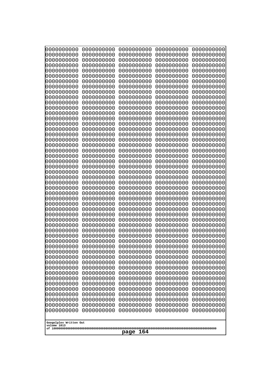| 10000000000              | 0000000000               | 0000000000<br>0000000000 | 0000000000<br>0000000000 | 0000000000<br>0000000000 |
|--------------------------|--------------------------|--------------------------|--------------------------|--------------------------|
| 0000000000<br>0000000000 | 0000000000<br>0000000000 | 0000000000               | 0000000000               | 0000000000               |
| 0000000000               | 0000000000               | 0000000000               | 0000000000               | 0000000000               |
| 0000000000               | 0000000000               | 0000000000               | 0000000000               | 0000000000               |
| 0000000000               | 0000000000               | 0000000000<br>0000000000 | 0000000000<br>0000000000 | 0000000000               |
| 0000000000<br>0000000000 | 0000000000<br>0000000000 | 0000000000               | 0000000000               | 0000000000<br>0000000000 |
| 0000000000               | 0000000000               | 0000000000               | 0000000000               | 0000000000               |
| 0000000000               | 0000000000               | 0000000000               | 0000000000               | 0000000000               |
| 0000000000               | 0000000000               | 0000000000               | 0000000000               | 0000000000               |
| 0000000000<br>0000000000 | 0000000000<br>0000000000 | 0000000000<br>0000000000 | 0000000000<br>0000000000 | 0000000000<br>0000000000 |
| 0000000000               | 0000000000               | 0000000000               | 0000000000               | 0000000000               |
| 0000000000               | 0000000000               | 0000000000               | 0000000000               | 0000000000               |
| 0000000000<br>0000000000 | 0000000000<br>0000000000 | 0000000000               | 0000000000<br>0000000000 | 0000000000               |
| 0000000000               | 0000000000               | 0000000000<br>0000000000 | 0000000000               | 0000000000<br>0000000000 |
| 0000000000               | 0000000000               | 0000000000               | 0000000000               | 0000000000               |
| 0000000000               | 0000000000               | 0000000000               | 0000000000               | 0000000000               |
| 0000000000<br>0000000000 | 0000000000<br>0000000000 | 0000000000<br>0000000000 | 0000000000<br>0000000000 | 0000000000<br>0000000000 |
| 0000000000               | 0000000000               | 0000000000               | 0000000000               | 0000000000               |
| 0000000000               | 0000000000               | 0000000000               | 0000000000               | 0000000000               |
| 0000000000               | 0000000000               | 0000000000               | 0000000000               | 0000000000               |
| 0000000000<br>0000000000 | 0000000000<br>0000000000 | 0000000000<br>0000000000 | 0000000000<br>0000000000 | 0000000000<br>0000000000 |
| 0000000000               | 0000000000               | 0000000000               | 0000000000               | 0000000000               |
| 0000000000               | 0000000000               | 0000000000               | 0000000000               | 0000000000               |
| 0000000000               | 0000000000               | 0000000000               | 0000000000               | 0000000000               |
| 0000000000<br>0000000000 | 0000000000<br>0000000000 | 0000000000<br>0000000000 | 0000000000<br>0000000000 | 0000000000<br>0000000000 |
| 0000000000               | 0000000000               | 0000000000               | 0000000000               | 0000000000               |
| 0000000000               | 0000000000               | 0000000000               | 0000000000               | 0000000000               |
| 0000000000               | 0000000000               | 0000000000               | 0000000000               | 0000000000               |
| 0000000000<br>0000000000 | 0000000000<br>0000000000 | 0000000000<br>0000000000 | 0000000000<br>0000000000 | 0000000000<br>0000000000 |
| 0000000000               | 0000000000               | 0000000000               | 0000000000               | 0000000000               |
| 0000000000               | 0000000000               | 0000000000               | 0000000000               | 0000000000               |
| 0000000000               | 0000000000               | 0000000000               | 0000000000               | 0000000000               |
| 0000000000<br>0000000000 | 0000000000<br>0000000000 | 0000000000<br>0000000000 | 0000000000<br>0000000000 | 0000000000<br>0000000000 |
| 0000000000               | 0000000000               | 0000000000               | 0000000000               | 0000000000               |
| 0000000000               | 0000000000               | 0000000000               | 0000000000               | 0000000000               |
| 0000000000<br>0000000000 | 0000000000               | 0000000000<br>0000000000 | 0000000000               | 0000000000               |
| 0000000000               | 0000000000<br>0000000000 | 0000000000               | 0000000000<br>0000000000 | 0000000000<br>0000000000 |
| 0000000000               | 0000000000               | 0000000000               | 0000000000               | 0000000000               |
| 0000000000               | 0000000000               | 0000000000               | 0000000000               | 0000000000               |
| 0000000000               | 0000000000               | 0000000000               | 0000000000               | 0000000000               |
| Googolplex Written Out   |                          |                          |                          |                          |
| volume 1013              |                          |                          |                          |                          |
| 164<br>page              |                          |                          |                          |                          |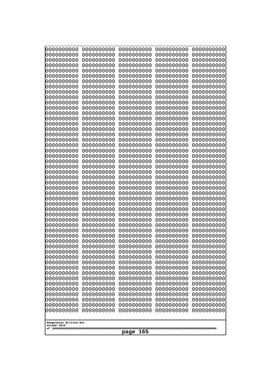| 10000000000<br>0000000000             | 0000000000<br>0000000000 | 0000000000<br>0000000000 | 0000000000<br>0000000000 | 0000000000<br>0000000000 |
|---------------------------------------|--------------------------|--------------------------|--------------------------|--------------------------|
| 0000000000                            | 0000000000               | 0000000000               | 0000000000               | 0000000000               |
| 0000000000                            | 0000000000               | 0000000000               | 0000000000               | 0000000000               |
| 0000000000<br>0000000000              | 0000000000<br>0000000000 | 0000000000               | 0000000000<br>0000000000 | 0000000000               |
| 0000000000                            | 0000000000               | 0000000000<br>0000000000 | 0000000000               | 0000000000<br>0000000000 |
| 0000000000                            | 0000000000               | 0000000000               | 0000000000               | 0000000000               |
| 0000000000                            | 0000000000               | 0000000000               | 0000000000               | 0000000000               |
| 0000000000<br>0000000000              | 0000000000<br>0000000000 | 0000000000<br>0000000000 | 0000000000<br>0000000000 | 0000000000<br>0000000000 |
| 0000000000                            | 0000000000               | 0000000000               | 0000000000               | 0000000000               |
| 0000000000                            | 0000000000               | 0000000000               | 0000000000               | 0000000000               |
| 0000000000<br>0000000000              | 0000000000<br>0000000000 | 0000000000<br>0000000000 | 0000000000<br>0000000000 | 0000000000<br>0000000000 |
| 0000000000                            | 0000000000               | 0000000000               | 0000000000               | 0000000000               |
| 0000000000                            | 0000000000               | 0000000000               | 0000000000               | 0000000000               |
| 0000000000<br>0000000000              | 0000000000               | 0000000000               | 0000000000               | 0000000000               |
| 0000000000                            | 0000000000<br>0000000000 | 0000000000<br>0000000000 | 0000000000<br>0000000000 | 0000000000<br>0000000000 |
| 0000000000                            | 0000000000               | 0000000000               | 0000000000               | 0000000000               |
| 0000000000                            | 0000000000               | 0000000000               | 0000000000               | 0000000000               |
| 0000000000<br>0000000000              | 0000000000<br>0000000000 | 0000000000<br>0000000000 | 0000000000<br>0000000000 | 0000000000<br>0000000000 |
| 0000000000                            | 0000000000               | 0000000000               | 0000000000               | 0000000000               |
| 0000000000                            | 0000000000               | 0000000000               | 0000000000               | 0000000000               |
| 0000000000<br>0000000000              | 0000000000<br>0000000000 | 0000000000<br>0000000000 | 0000000000<br>0000000000 | 0000000000<br>0000000000 |
| 0000000000                            | 0000000000               | 0000000000               | 0000000000               | 0000000000               |
| 0000000000                            | 0000000000               | 0000000000               | 0000000000               | 0000000000               |
| 0000000000<br>0000000000              | 0000000000<br>0000000000 | 0000000000<br>0000000000 | 0000000000<br>0000000000 | 0000000000<br>0000000000 |
| 0000000000                            | 0000000000               | 0000000000               | 0000000000               | 0000000000               |
| 0000000000                            | 0000000000               | 0000000000               | 0000000000               | 0000000000               |
| 0000000000                            | 0000000000               | 0000000000               | 0000000000               | 0000000000               |
| 0000000000<br>0000000000              | 0000000000<br>0000000000 | 0000000000<br>0000000000 | 0000000000<br>0000000000 | 0000000000<br>0000000000 |
| 0000000000                            | 0000000000               | 0000000000               | 0000000000               | 0000000000               |
| 0000000000                            | 0000000000               | 0000000000               | 0000000000               | 0000000000               |
| 0000000000<br>0000000000              | 0000000000<br>0000000000 | 0000000000<br>0000000000 | 0000000000<br>0000000000 | 0000000000<br>0000000000 |
| 0000000000                            | 0000000000               | 0000000000               | 0000000000               | 0000000000               |
| 0000000000                            | 0000000000               | 0000000000               | 0000000000               | 0000000000               |
| 0000000000<br>0000000000              | 0000000000<br>0000000000 | 0000000000<br>0000000000 | 0000000000<br>0000000000 | 0000000000<br>0000000000 |
| 0000000000                            | 0000000000               | 0000000000               | 0000000000               | 0000000000               |
| 0000000000                            | 0000000000               | 0000000000               | 0000000000               | 0000000000               |
| 0000000000<br>0000000000              | 0000000000<br>0000000000 | 0000000000<br>0000000000 | 0000000000<br>0000000000 | 0000000000<br>0000000000 |
| 0000000000                            | 0000000000               | 0000000000               | 0000000000               | 0000000000               |
|                                       |                          |                          |                          |                          |
| Googolplex Written Out<br>volume 1013 |                          |                          |                          |                          |
| 165<br>page                           |                          |                          |                          |                          |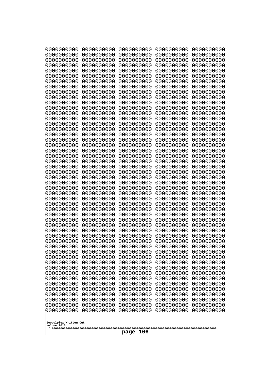| 10000000000                           | 0000000000               | 0000000000<br>0000000000 | 0000000000<br>0000000000 | 0000000000<br>0000000000 |
|---------------------------------------|--------------------------|--------------------------|--------------------------|--------------------------|
| 0000000000<br>0000000000              | 0000000000<br>0000000000 | 0000000000               | 0000000000               | 0000000000               |
| 0000000000                            | 0000000000               | 0000000000               | 0000000000               | 0000000000               |
| 0000000000                            | 0000000000               | 0000000000               | 0000000000               | 0000000000               |
| 0000000000                            | 0000000000               | 0000000000<br>0000000000 | 0000000000<br>0000000000 | 0000000000               |
| 0000000000<br>0000000000              | 0000000000<br>0000000000 | 0000000000               | 0000000000               | 0000000000<br>0000000000 |
| 0000000000                            | 0000000000               | 0000000000               | 0000000000               | 0000000000               |
| 0000000000                            | 0000000000               | 0000000000               | 0000000000               | 0000000000               |
| 0000000000<br>0000000000              | 0000000000<br>0000000000 | 0000000000<br>0000000000 | 0000000000<br>0000000000 | 0000000000<br>0000000000 |
| 0000000000                            | 0000000000               | 0000000000               | 0000000000               | 0000000000               |
| 0000000000                            | 0000000000               | 0000000000               | 0000000000               | 0000000000               |
| 0000000000                            | 0000000000               | 0000000000               | 0000000000               | 0000000000               |
| 0000000000<br>0000000000              | 0000000000<br>0000000000 | 0000000000<br>0000000000 | 0000000000<br>0000000000 | 0000000000<br>0000000000 |
| 0000000000                            | 0000000000               | 0000000000               | 0000000000               | 0000000000               |
| 0000000000                            | 0000000000               | 0000000000               | 0000000000               | 0000000000               |
| 0000000000                            | 0000000000               | 0000000000               | 0000000000               | 0000000000               |
| 0000000000<br>0000000000              | 0000000000<br>0000000000 | 0000000000<br>0000000000 | 0000000000<br>0000000000 | 0000000000<br>0000000000 |
| 0000000000                            | 0000000000               | 0000000000               | 0000000000               | 0000000000               |
| 0000000000                            | 0000000000               | 0000000000               | 0000000000               | 0000000000               |
| 0000000000<br>0000000000              | 0000000000<br>0000000000 | 0000000000<br>0000000000 | 0000000000<br>0000000000 | 0000000000<br>0000000000 |
| 0000000000                            | 0000000000               | 0000000000               | 0000000000               | 0000000000               |
| 0000000000                            | 0000000000               | 0000000000               | 0000000000               | 0000000000               |
| 0000000000                            | 0000000000               | 0000000000               | 0000000000               | 0000000000               |
| 0000000000<br>0000000000              | 0000000000<br>0000000000 | 0000000000<br>0000000000 | 0000000000<br>0000000000 | 0000000000<br>0000000000 |
| 0000000000                            | 0000000000               | 0000000000               | 0000000000               | 0000000000               |
| 0000000000                            | 0000000000               | 0000000000               | 0000000000               | 0000000000               |
| 0000000000<br>0000000000              | 0000000000<br>0000000000 | 0000000000<br>0000000000 | 0000000000<br>0000000000 | 0000000000<br>0000000000 |
| 0000000000                            | 0000000000               | 0000000000               | 0000000000               | 0000000000               |
| 0000000000                            | 0000000000               | 0000000000               | 0000000000               | 0000000000               |
| 0000000000                            | 0000000000               | 0000000000               | 0000000000               | 0000000000               |
| 0000000000<br>0000000000              | 0000000000<br>0000000000 | 0000000000<br>0000000000 | 0000000000<br>0000000000 | 0000000000<br>0000000000 |
| 0000000000                            | 0000000000               | 0000000000               | 0000000000               | 0000000000               |
| 0000000000                            | 0000000000               | 0000000000               | 0000000000               | 0000000000               |
| 0000000000<br>0000000000              | 0000000000<br>0000000000 | 0000000000<br>0000000000 | 0000000000<br>0000000000 | 0000000000<br>0000000000 |
| 0000000000                            | 0000000000               | 0000000000               | 0000000000               | 0000000000               |
| 0000000000                            | 0000000000               | 0000000000               | 0000000000               | 0000000000               |
| 0000000000                            | 0000000000               | 0000000000               | 0000000000               | 0000000000               |
| 0000000000<br>0000000000              | 0000000000<br>0000000000 | 0000000000<br>0000000000 | 0000000000<br>0000000000 | 0000000000<br>0000000000 |
| 0000000000                            | 0000000000               | 0000000000               | 0000000000               | 0000000000               |
|                                       |                          |                          |                          |                          |
| Googolplex Written Out<br>volume 1013 |                          |                          |                          |                          |
| 166<br>page                           |                          |                          |                          |                          |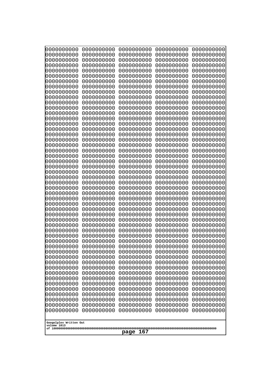| 10000000000<br>0000000000             | 0000000000<br>0000000000 | 0000000000<br>0000000000 | 0000000000<br>0000000000 | 0000000000<br>0000000000 |
|---------------------------------------|--------------------------|--------------------------|--------------------------|--------------------------|
| 0000000000                            | 0000000000               | 0000000000               | 0000000000               | 0000000000               |
| 0000000000                            | 0000000000               | 0000000000               | 0000000000               | 0000000000               |
| 0000000000                            | 0000000000               | 0000000000               | 0000000000               | 0000000000               |
| 0000000000<br>0000000000              | 0000000000<br>0000000000 | 0000000000<br>0000000000 | 0000000000<br>0000000000 | 0000000000<br>0000000000 |
| 0000000000                            | 0000000000               | 0000000000               | 0000000000               | 0000000000               |
| 0000000000                            | 0000000000               | 0000000000               | 0000000000               | 0000000000               |
| 0000000000                            | 0000000000               | 0000000000               | 0000000000               | 0000000000               |
| 0000000000<br>0000000000              | 0000000000<br>0000000000 | 0000000000<br>0000000000 | 0000000000<br>0000000000 | 0000000000<br>0000000000 |
| 0000000000                            | 0000000000               | 0000000000               | 0000000000               | 0000000000               |
| 0000000000                            | 0000000000               | 0000000000               | 0000000000               | 0000000000               |
| 0000000000                            | 0000000000               | 0000000000               | 0000000000               | 0000000000               |
| 0000000000<br>0000000000              | 0000000000<br>0000000000 | 0000000000<br>0000000000 | 0000000000<br>0000000000 | 0000000000<br>0000000000 |
| 0000000000                            | 0000000000               | 0000000000               | 0000000000               | 0000000000               |
| 0000000000                            | 0000000000               | 0000000000               | 0000000000               | 0000000000               |
| 0000000000                            | 0000000000               | 0000000000               | 0000000000               | 0000000000               |
| 0000000000<br>0000000000              | 0000000000<br>0000000000 | 0000000000<br>0000000000 | 0000000000<br>0000000000 | 0000000000<br>0000000000 |
| 0000000000                            | 0000000000               | 0000000000               | 0000000000               | 0000000000               |
| 0000000000                            | 0000000000               | 0000000000               | 0000000000               | 0000000000               |
| 0000000000                            | 0000000000               | 0000000000               | 0000000000               | 0000000000               |
| 0000000000<br>0000000000              | 0000000000<br>0000000000 | 0000000000<br>0000000000 | 0000000000<br>0000000000 | 0000000000<br>0000000000 |
| 0000000000                            | 0000000000               | 0000000000               | 0000000000               | 0000000000               |
| 0000000000                            | 0000000000               | 0000000000               | 0000000000               | 0000000000               |
| 0000000000<br>0000000000              | 0000000000<br>0000000000 | 0000000000<br>0000000000 | 0000000000<br>0000000000 | 0000000000<br>0000000000 |
| 0000000000                            | 0000000000               | 0000000000               | 0000000000               | 0000000000               |
| 0000000000                            | 0000000000               | 0000000000               | 0000000000               | 0000000000               |
| 0000000000                            | 0000000000               | 0000000000               | 0000000000               | 0000000000               |
| 0000000000<br>0000000000              | 0000000000<br>0000000000 | 0000000000<br>0000000000 | 0000000000<br>0000000000 | 0000000000<br>0000000000 |
| 0000000000                            | 0000000000               | 0000000000               | 0000000000               | 0000000000               |
| 0000000000                            | 0000000000               | 0000000000               | 0000000000               | 0000000000               |
| 0000000000<br>0000000000              | 0000000000<br>0000000000 | 0000000000<br>0000000000 | 0000000000<br>0000000000 | 0000000000<br>0000000000 |
| 0000000000                            | 0000000000               | 0000000000               | 0000000000               | 0000000000               |
| 0000000000                            | 0000000000               | 0000000000               | 0000000000               | 0000000000               |
| 0000000000                            | 0000000000               | 0000000000               | 0000000000               | 0000000000               |
| 0000000000<br>0000000000              | 0000000000<br>0000000000 | 0000000000<br>0000000000 | 0000000000<br>0000000000 | 0000000000<br>0000000000 |
| 0000000000                            | 0000000000               | 0000000000               | 0000000000               | 0000000000               |
| 0000000000                            | 0000000000               | 0000000000               | 0000000000               | 0000000000               |
| 0000000000                            | 0000000000               | 0000000000               | 0000000000               | 0000000000               |
| 0000000000<br>0000000000              | 0000000000<br>0000000000 | 0000000000<br>0000000000 | 0000000000<br>0000000000 | 0000000000<br>0000000000 |
|                                       |                          |                          |                          |                          |
| Googolplex Written Out<br>volume 1013 |                          |                          |                          |                          |
|                                       |                          | 167<br>page              |                          |                          |
|                                       |                          |                          |                          |                          |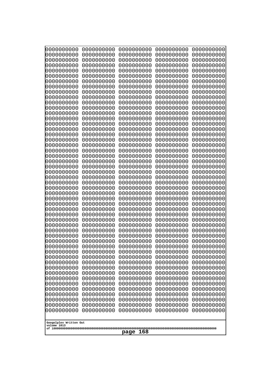| 0000000000<br>0000000000<br>0000000000<br>0000000000<br>0000000000<br>0000000000<br>0000000000<br>0000000000<br>0000000000<br>0000000000<br>0000000000<br>0000000000<br>0000000000<br>0000000000<br>0000000000<br>0000000000<br>0000000000<br>0000000000<br>0000000000<br>0000000000<br>0000000000<br>0000000000<br>0000000000<br>0000000000<br>0000000000<br>0000000000<br>0000000000<br>0000000000<br>0000000000<br>0000000000<br>0000000000<br>0000000000<br>0000000000<br>0000000000<br>0000000000<br>0000000000<br>0000000000<br>0000000000<br>0000000000<br>0000000000<br>0000000000<br>0000000000<br>0000000000<br>0000000000<br>0000000000<br>0000000000<br>0000000000<br>0000000000<br>0000000000<br>0000000000<br>0000000000<br>0000000000<br>0000000000<br>0000000000<br>0000000000<br>0000000000<br>0000000000<br>0000000000<br>0000000000<br>0000000000<br>0000000000<br>0000000000<br>0000000000<br>0000000000<br>0000000000<br>0000000000<br>0000000000<br>0000000000<br>0000000000<br>0000000000<br>0000000000<br>0000000000<br>0000000000<br>0000000000<br>0000000000<br>0000000000<br>0000000000<br>0000000000<br>0000000000<br>0000000000<br>0000000000<br>0000000000<br>0000000000<br>0000000000<br>0000000000<br>0000000000<br>0000000000<br>0000000000<br>0000000000<br>0000000000<br>0000000000<br>0000000000<br>0000000000<br>0000000000<br>0000000000<br>0000000000<br>0000000000<br>0000000000<br>0000000000<br>0000000000<br>0000000000<br>0000000000<br>0000000000<br>0000000000<br>0000000000<br>0000000000<br>0000000000<br>0000000000<br>0000000000<br>0000000000<br>0000000000<br>0000000000<br>0000000000<br>0000000000<br>0000000000<br>0000000000<br>0000000000<br>0000000000<br>0000000000<br>0000000000<br>0000000000<br>0000000000<br>0000000000<br>0000000000<br>0000000000<br>0000000000<br>0000000000<br>0000000000<br>0000000000<br>0000000000<br>Googolplex Written Out<br>volume 1013 | 0000000000<br>0000000000<br>0000000000<br>0000000000<br>0000000000<br>0000000000<br>0000000000<br>0000000000<br>0000000000<br>0000000000<br>0000000000<br>0000000000<br>0000000000<br>0000000000<br>0000000000<br>0000000000<br>0000000000<br>0000000000<br>0000000000<br>0000000000<br>0000000000<br>0000000000<br>0000000000 | 0000000000<br>0000000000<br>0000000000<br>0000000000<br>0000000000<br>0000000000<br>0000000000<br>0000000000<br>0000000000<br>0000000000<br>0000000000<br>0000000000<br>0000000000<br>0000000000<br>0000000000<br>0000000000<br>0000000000<br>0000000000<br>0000000000<br>0000000000<br>0000000000<br>0000000000<br>0000000000 | 0000000000<br>0000000000<br>0000000000<br>0000000000<br>0000000000<br>0000000000<br>0000000000<br>0000000000<br>0000000000<br>0000000000<br>0000000000<br>0000000000<br>0000000000<br>0000000000<br>0000000000<br>0000000000<br>0000000000<br>0000000000<br>0000000000<br>0000000000<br>0000000000<br>0000000000<br>0000000000 | 0000000000<br>0000000000<br>0000000000<br>0000000000<br>0000000000<br>0000000000<br>0000000000<br>0000000000<br>0000000000<br>0000000000<br>0000000000<br>0000000000<br>0000000000<br>0000000000<br>0000000000<br>0000000000<br>0000000000<br>0000000000<br>0000000000<br>0000000000<br>0000000000<br>0000000000<br>0000000000 | 0000000000<br>0000000000<br>0000000000<br>0000000000<br>0000000000<br>0000000000<br>0000000000<br>0000000000<br>0000000000<br>0000000000<br>0000000000<br>0000000000<br>0000000000<br>0000000000<br>0000000000<br>0000000000<br>0000000000<br>0000000000<br>0000000000<br>0000000000<br>0000000000<br>0000000000<br>0000000000 |
|-----------------------------------------------------------------------------------------------------------------------------------------------------------------------------------------------------------------------------------------------------------------------------------------------------------------------------------------------------------------------------------------------------------------------------------------------------------------------------------------------------------------------------------------------------------------------------------------------------------------------------------------------------------------------------------------------------------------------------------------------------------------------------------------------------------------------------------------------------------------------------------------------------------------------------------------------------------------------------------------------------------------------------------------------------------------------------------------------------------------------------------------------------------------------------------------------------------------------------------------------------------------------------------------------------------------------------------------------------------------------------------------------------------------------------------------------------------------------------------------------------------------------------------------------------------------------------------------------------------------------------------------------------------------------------------------------------------------------------------------------------------------------------------------------------------------------------------------------------------------------------------------------------------------------------------|--------------------------------------------------------------------------------------------------------------------------------------------------------------------------------------------------------------------------------------------------------------------------------------------------------------------------------|--------------------------------------------------------------------------------------------------------------------------------------------------------------------------------------------------------------------------------------------------------------------------------------------------------------------------------|--------------------------------------------------------------------------------------------------------------------------------------------------------------------------------------------------------------------------------------------------------------------------------------------------------------------------------|--------------------------------------------------------------------------------------------------------------------------------------------------------------------------------------------------------------------------------------------------------------------------------------------------------------------------------|--------------------------------------------------------------------------------------------------------------------------------------------------------------------------------------------------------------------------------------------------------------------------------------------------------------------------------|
|                                                                                                                                                                                                                                                                                                                                                                                                                                                                                                                                                                                                                                                                                                                                                                                                                                                                                                                                                                                                                                                                                                                                                                                                                                                                                                                                                                                                                                                                                                                                                                                                                                                                                                                                                                                                                                                                                                                                   | 0000000000                                                                                                                                                                                                                                                                                                                     | 0000000000                                                                                                                                                                                                                                                                                                                     | 0000000000<br>168<br>page                                                                                                                                                                                                                                                                                                      | 0000000000                                                                                                                                                                                                                                                                                                                     | 0000000000                                                                                                                                                                                                                                                                                                                     |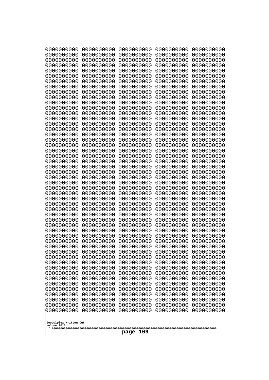| 0000000000                                                                                                                 | 0000000000 | 0000000000 | 0000000000 | 0000000000 |
|----------------------------------------------------------------------------------------------------------------------------|------------|------------|------------|------------|
| 0000000000                                                                                                                 | 0000000000 | 0000000000 | 0000000000 | 0000000000 |
| 0000000000                                                                                                                 | 0000000000 | 0000000000 | 0000000000 | 0000000000 |
| 0000000000                                                                                                                 | 0000000000 | 0000000000 | 0000000000 | 0000000000 |
| 0000000000                                                                                                                 | 0000000000 | 0000000000 | 0000000000 | 0000000000 |
| 0000000000                                                                                                                 | 0000000000 | 0000000000 | 0000000000 | 0000000000 |
| 0000000000                                                                                                                 | 0000000000 | 0000000000 | 0000000000 | 0000000000 |
| 0000000000                                                                                                                 | 0000000000 | 0000000000 | 0000000000 | 0000000000 |
| 0000000000                                                                                                                 | 0000000000 | 0000000000 | 0000000000 | 0000000000 |
| 0000000000                                                                                                                 | 0000000000 | 0000000000 | 0000000000 | 0000000000 |
| 0000000000                                                                                                                 | 0000000000 | 0000000000 | 0000000000 | 0000000000 |
| 0000000000                                                                                                                 | 0000000000 | 0000000000 | 0000000000 | 0000000000 |
| 0000000000                                                                                                                 | 0000000000 | 0000000000 | 0000000000 | 0000000000 |
| 0000000000                                                                                                                 | 0000000000 | 0000000000 | 0000000000 | 0000000000 |
| 0000000000                                                                                                                 | 0000000000 | 0000000000 | 0000000000 | 0000000000 |
| 0000000000                                                                                                                 | 0000000000 | 0000000000 | 0000000000 | 0000000000 |
| 0000000000                                                                                                                 | 0000000000 | 0000000000 | 0000000000 | 0000000000 |
| 0000000000                                                                                                                 | 0000000000 | 0000000000 | 0000000000 | 0000000000 |
| 0000000000                                                                                                                 | 0000000000 | 0000000000 | 0000000000 | 0000000000 |
| 0000000000                                                                                                                 | 0000000000 | 0000000000 | 0000000000 | 0000000000 |
| 0000000000                                                                                                                 | 0000000000 | 0000000000 | 0000000000 | 0000000000 |
| 0000000000                                                                                                                 | 0000000000 | 0000000000 | 0000000000 | 0000000000 |
|                                                                                                                            |            |            |            |            |
| 0000000000                                                                                                                 | 0000000000 | 0000000000 | 0000000000 | 0000000000 |
| 0000000000                                                                                                                 | 0000000000 | 0000000000 | 0000000000 | 0000000000 |
| 0000000000                                                                                                                 | 0000000000 | 0000000000 | 0000000000 | 0000000000 |
| 0000000000                                                                                                                 | 0000000000 | 0000000000 | 0000000000 | 0000000000 |
| 0000000000                                                                                                                 | 0000000000 | 0000000000 | 0000000000 | 0000000000 |
| 0000000000                                                                                                                 | 0000000000 | 0000000000 | 0000000000 | 0000000000 |
| 0000000000                                                                                                                 | 0000000000 | 0000000000 | 0000000000 | 0000000000 |
| 0000000000                                                                                                                 | 0000000000 | 0000000000 | 0000000000 | 0000000000 |
| 0000000000                                                                                                                 | 0000000000 | 0000000000 | 0000000000 | 0000000000 |
| 0000000000                                                                                                                 | 0000000000 | 0000000000 | 0000000000 | 0000000000 |
| 0000000000                                                                                                                 | 0000000000 | 0000000000 | 0000000000 | 0000000000 |
| 0000000000                                                                                                                 | 0000000000 | 0000000000 | 0000000000 | 0000000000 |
| 0000000000                                                                                                                 | 0000000000 | 0000000000 | 0000000000 | 0000000000 |
| 0000000000                                                                                                                 | 0000000000 | 0000000000 | 0000000000 | 0000000000 |
| 0000000000                                                                                                                 | 0000000000 | 0000000000 | 0000000000 | 0000000000 |
| 0000000000                                                                                                                 | 0000000000 | 0000000000 | 0000000000 | 0000000000 |
| 0000000000                                                                                                                 | 0000000000 | 0000000000 | 0000000000 | 0000000000 |
| 0000000000                                                                                                                 | 0000000000 | 0000000000 | 0000000000 | 0000000000 |
| 0000000000                                                                                                                 | 0000000000 | 0000000000 | 0000000000 | 0000000000 |
| 0000000000                                                                                                                 | 0000000000 | 0000000000 | 0000000000 | 0000000000 |
| 0000000000                                                                                                                 | 0000000000 | 0000000000 | 0000000000 | 0000000000 |
| 0000000000                                                                                                                 | 0000000000 | 0000000000 | 0000000000 | 0000000000 |
| 0000000000                                                                                                                 | 0000000000 | 0000000000 | 0000000000 | 0000000000 |
| 0000000000                                                                                                                 | 0000000000 | 0000000000 | 0000000000 | 0000000000 |
| 0000000000                                                                                                                 | 0000000000 | 0000000000 | 0000000000 | 0000000000 |
| 0000000000                                                                                                                 | 0000000000 | 0000000000 | 0000000000 | 0000000000 |
| 0000000000                                                                                                                 | 0000000000 | 0000000000 | 0000000000 | 0000000000 |
| 0000000000<br>0000000000<br>0000000000<br>0000000000<br>0000000000<br>Googolplex Written Out<br>volume 1013<br>169<br>page |            |            |            |            |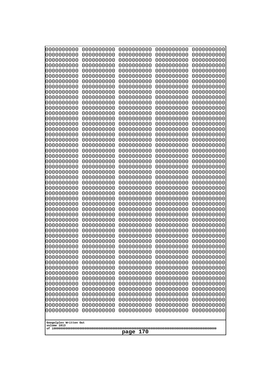| 10000000000              | 0000000000               | 0000000000<br>0000000000 | 0000000000<br>0000000000 | 0000000000<br>0000000000 |
|--------------------------|--------------------------|--------------------------|--------------------------|--------------------------|
| 0000000000<br>0000000000 | 0000000000<br>0000000000 | 0000000000               | 0000000000               | 0000000000               |
| 0000000000               | 0000000000               | 0000000000               | 0000000000               | 0000000000               |
| 0000000000               | 0000000000               | 0000000000               | 0000000000               | 0000000000               |
| 0000000000               | 0000000000               | 0000000000<br>0000000000 | 0000000000<br>0000000000 | 0000000000               |
| 0000000000<br>0000000000 | 0000000000<br>0000000000 | 0000000000               | 0000000000               | 0000000000<br>0000000000 |
| 0000000000               | 0000000000               | 0000000000               | 0000000000               | 0000000000               |
| 0000000000               | 0000000000               | 0000000000               | 0000000000               | 0000000000               |
| 0000000000<br>0000000000 | 0000000000<br>0000000000 | 0000000000<br>0000000000 | 0000000000<br>0000000000 | 0000000000               |
| 0000000000               | 0000000000               | 0000000000               | 0000000000               | 0000000000<br>0000000000 |
| 0000000000               | 0000000000               | 0000000000               | 0000000000               | 0000000000               |
| 0000000000               | 0000000000               | 0000000000               | 0000000000               | 0000000000               |
| 0000000000<br>0000000000 | 0000000000<br>0000000000 | 0000000000<br>0000000000 | 0000000000<br>0000000000 | 0000000000<br>0000000000 |
| 0000000000               | 0000000000               | 0000000000               | 0000000000               | 0000000000               |
| 0000000000               | 0000000000               | 0000000000               | 0000000000               | 0000000000               |
| 0000000000               | 0000000000               | 0000000000               | 0000000000               | 0000000000               |
| 0000000000<br>0000000000 | 0000000000<br>0000000000 | 0000000000<br>0000000000 | 0000000000<br>0000000000 | 0000000000<br>0000000000 |
| 0000000000               | 0000000000               | 0000000000               | 0000000000               | 0000000000               |
| 0000000000               | 0000000000               | 0000000000               | 0000000000               | 0000000000               |
| 0000000000               | 0000000000               | 0000000000               | 0000000000               | 0000000000               |
| 0000000000<br>0000000000 | 0000000000<br>0000000000 | 0000000000<br>0000000000 | 0000000000<br>0000000000 | 0000000000<br>0000000000 |
| 0000000000               | 0000000000               | 0000000000               | 0000000000               | 0000000000               |
| 0000000000               | 0000000000               | 0000000000               | 0000000000               | 0000000000               |
| 0000000000               | 0000000000               | 0000000000               | 0000000000               | 0000000000               |
| 0000000000<br>0000000000 | 0000000000<br>0000000000 | 0000000000<br>0000000000 | 0000000000<br>0000000000 | 0000000000<br>0000000000 |
| 0000000000               | 0000000000               | 0000000000               | 0000000000               | 0000000000               |
| 0000000000               | 0000000000               | 0000000000               | 0000000000               | 0000000000               |
| 0000000000<br>0000000000 | 0000000000<br>0000000000 | 0000000000<br>0000000000 | 0000000000<br>0000000000 | 0000000000<br>0000000000 |
| 0000000000               | 0000000000               | 0000000000               | 0000000000               | 0000000000               |
| 0000000000               | 0000000000               | 0000000000               | 0000000000               | 0000000000               |
| 0000000000               | 0000000000               | 0000000000               | 0000000000               | 0000000000               |
| 0000000000<br>0000000000 | 0000000000<br>0000000000 | 0000000000<br>0000000000 | 0000000000<br>0000000000 | 0000000000<br>0000000000 |
| 0000000000               | 0000000000               | 0000000000               | 0000000000               | 0000000000               |
| 0000000000               | 0000000000               | 0000000000               | 0000000000               | 0000000000               |
| 0000000000               | 0000000000               | 0000000000               | 0000000000               | 0000000000               |
| 0000000000<br>0000000000 | 0000000000<br>0000000000 | 0000000000<br>0000000000 | 0000000000<br>0000000000 | 0000000000<br>0000000000 |
| 0000000000               | 0000000000               | 0000000000               | 0000000000               | 0000000000               |
| 0000000000               | 0000000000               | 0000000000               | 0000000000               | 0000000000               |
| 0000000000               | 0000000000               | 0000000000               | 0000000000               | 0000000000               |
| 0000000000               | 0000000000               | 0000000000               | 0000000000               | 0000000000               |
| Googolplex Written Out   |                          |                          |                          |                          |
| volume 1013              |                          |                          |                          |                          |
| 170<br>page              |                          |                          |                          |                          |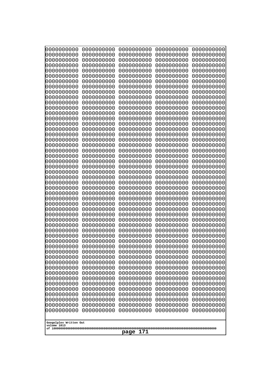| 0000000000               | 0000000000               | 0000000000               | 0000000000               | 0000000000               |
|--------------------------|--------------------------|--------------------------|--------------------------|--------------------------|
| 0000000000<br>0000000000 | 0000000000<br>0000000000 | 0000000000<br>0000000000 | 0000000000<br>0000000000 | 0000000000<br>0000000000 |
| 0000000000               | 0000000000               | 0000000000               | 0000000000               | 0000000000               |
| 0000000000               | 0000000000               | 0000000000               | 0000000000               | 0000000000               |
| 0000000000               | 0000000000               | 0000000000               | 0000000000               | 0000000000               |
| 0000000000               | 0000000000               | 0000000000               | 0000000000               | 0000000000               |
| 0000000000<br>0000000000 | 0000000000<br>0000000000 | 0000000000<br>0000000000 | 0000000000<br>0000000000 | 0000000000<br>0000000000 |
| 0000000000               | 0000000000               | 0000000000               | 0000000000               | 0000000000               |
| 0000000000               | 0000000000               | 0000000000               | 0000000000               | 0000000000               |
| 0000000000               | 0000000000               | 0000000000               | 0000000000               | 0000000000               |
| 0000000000<br>0000000000 | 0000000000<br>0000000000 | 0000000000<br>0000000000 | 0000000000<br>0000000000 | 0000000000<br>0000000000 |
| 0000000000               | 0000000000               | 0000000000               | 0000000000               | 0000000000               |
| 0000000000               | 0000000000               | 0000000000               | 0000000000               | 0000000000               |
| 0000000000<br>0000000000 | 0000000000<br>0000000000 | 0000000000<br>0000000000 | 0000000000<br>0000000000 | 0000000000<br>0000000000 |
| 0000000000               | 0000000000               | 0000000000               | 0000000000               | 0000000000               |
| 0000000000               | 0000000000               | 0000000000               | 0000000000               | 0000000000               |
| 0000000000               | 0000000000               | 0000000000               | 0000000000               | 0000000000               |
| 0000000000<br>0000000000 | 0000000000<br>0000000000 | 0000000000<br>0000000000 | 0000000000<br>0000000000 | 0000000000<br>0000000000 |
| 0000000000               | 0000000000               | 0000000000               | 0000000000               | 0000000000               |
| 0000000000               | 0000000000               | 0000000000               | 0000000000               | 0000000000               |
| 0000000000               | 0000000000               | 0000000000               | 0000000000               | 0000000000               |
| 0000000000<br>0000000000 | 0000000000<br>0000000000 | 0000000000<br>0000000000 | 0000000000<br>0000000000 | 0000000000<br>0000000000 |
| 0000000000               | 0000000000               | 0000000000               | 0000000000               | 0000000000               |
| 0000000000               | 0000000000               | 0000000000               | 0000000000               | 0000000000               |
| 0000000000<br>0000000000 | 0000000000<br>0000000000 | 0000000000<br>0000000000 | 0000000000<br>0000000000 | 0000000000<br>0000000000 |
| 0000000000               | 0000000000               | 0000000000               | 0000000000               | 0000000000               |
| 0000000000               | 0000000000               | 0000000000               | 0000000000               | 0000000000               |
| 0000000000               | 0000000000               | 0000000000               | 0000000000               | 0000000000               |
| 0000000000<br>0000000000 | 0000000000<br>0000000000 | 0000000000<br>0000000000 | 0000000000<br>0000000000 | 0000000000<br>0000000000 |
| 0000000000               | 0000000000               | 0000000000               | 0000000000               | 0000000000               |
| 0000000000               | 0000000000               | 0000000000               | 0000000000               | 0000000000               |
| 0000000000               | 0000000000               | 0000000000               | 0000000000               | 0000000000               |
| 0000000000<br>0000000000 | 0000000000<br>0000000000 | 0000000000<br>0000000000 | 0000000000<br>0000000000 | 0000000000<br>0000000000 |
| 0000000000               | 0000000000               | 0000000000               | 0000000000               | 0000000000               |
| 0000000000               | 0000000000               | 0000000000               | 0000000000               | 0000000000               |
| 0000000000<br>0000000000 | 0000000000<br>0000000000 | 0000000000<br>0000000000 | 0000000000<br>0000000000 | 0000000000<br>0000000000 |
| 0000000000               | 0000000000               | 0000000000               | 0000000000               | 0000000000               |
| 0000000000               | 0000000000               | 0000000000               | 0000000000               | 0000000000               |
| 0000000000               | 0000000000               | 0000000000               | 0000000000               | 0000000000               |
| 0000000000               | 0000000000               | 0000000000               | 0000000000               | 0000000000               |
| Googolplex Written Out   |                          |                          |                          |                          |
| volume 1013              |                          |                          |                          |                          |
| 171<br>page              |                          |                          |                          |                          |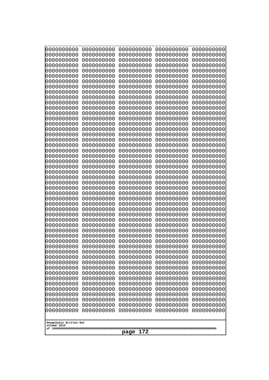| 10000000000<br>0000000000             | 0000000000<br>0000000000 | 0000000000<br>0000000000 | 0000000000<br>0000000000 | 0000000000<br>0000000000 |
|---------------------------------------|--------------------------|--------------------------|--------------------------|--------------------------|
| 0000000000                            | 0000000000               | 0000000000               | 0000000000               | 0000000000               |
| 0000000000                            | 0000000000               | 0000000000               | 0000000000               | 0000000000               |
| 0000000000<br>0000000000              | 0000000000<br>0000000000 | 0000000000<br>0000000000 | 0000000000<br>0000000000 | 0000000000<br>0000000000 |
| 0000000000                            | 0000000000               | 0000000000               | 0000000000               | 0000000000               |
| 0000000000                            | 0000000000               | 0000000000               | 0000000000               | 0000000000               |
| 0000000000<br>0000000000              | 0000000000<br>0000000000 | 0000000000<br>0000000000 | 0000000000<br>0000000000 | 0000000000<br>0000000000 |
| 0000000000                            | 0000000000               | 0000000000               | 0000000000               | 0000000000               |
| 0000000000                            | 0000000000               | 0000000000               | 0000000000               | 0000000000               |
| 0000000000<br>0000000000              | 0000000000<br>0000000000 | 0000000000               | 0000000000               | 0000000000               |
| 0000000000                            | 0000000000               | 0000000000<br>0000000000 | 0000000000<br>0000000000 | 0000000000<br>0000000000 |
| 0000000000                            | 0000000000               | 0000000000               | 0000000000               | 0000000000               |
| 0000000000                            | 0000000000               | 0000000000               | 0000000000               | 0000000000               |
| 0000000000<br>0000000000              | 0000000000<br>0000000000 | 0000000000<br>0000000000 | 0000000000<br>0000000000 | 0000000000<br>0000000000 |
| 0000000000                            | 0000000000               | 0000000000               | 0000000000               | 0000000000               |
| 0000000000                            | 0000000000               | 0000000000               | 0000000000               | 0000000000               |
| 0000000000<br>0000000000              | 0000000000<br>0000000000 | 0000000000<br>0000000000 | 0000000000<br>0000000000 | 0000000000<br>0000000000 |
| 0000000000                            | 0000000000               | 0000000000               | 0000000000               | 0000000000               |
| 0000000000                            | 0000000000               | 0000000000               | 0000000000               | 0000000000               |
| 0000000000<br>0000000000              | 0000000000<br>0000000000 | 0000000000<br>0000000000 | 0000000000<br>0000000000 | 0000000000<br>0000000000 |
| 0000000000                            | 0000000000               | 0000000000               | 0000000000               | 0000000000               |
| 0000000000                            | 0000000000               | 0000000000               | 0000000000               | 0000000000               |
| 0000000000<br>0000000000              | 0000000000<br>0000000000 | 0000000000<br>0000000000 | 0000000000<br>0000000000 | 0000000000<br>0000000000 |
| 0000000000                            | 0000000000               | 0000000000               | 0000000000               | 0000000000               |
| 0000000000                            | 0000000000               | 0000000000               | 0000000000               | 0000000000               |
| 0000000000<br>0000000000              | 0000000000<br>0000000000 | 0000000000<br>0000000000 | 0000000000<br>0000000000 | 0000000000<br>0000000000 |
| 0000000000                            | 0000000000               | 0000000000               | 0000000000               | 0000000000               |
| 0000000000                            | 0000000000               | 0000000000               | 0000000000               | 0000000000               |
| 0000000000                            | 0000000000<br>0000000000 | 0000000000<br>0000000000 | 0000000000<br>0000000000 | 0000000000<br>0000000000 |
| 0000000000<br>0000000000              | 0000000000               | 0000000000               | 0000000000               | 0000000000               |
| 0000000000                            | 0000000000               | 0000000000               | 0000000000               | 0000000000               |
| 0000000000                            | 0000000000<br>0000000000 | 0000000000               | 0000000000<br>0000000000 | 0000000000               |
| 0000000000<br>0000000000              | 0000000000               | 0000000000<br>0000000000 | 0000000000               | 0000000000<br>0000000000 |
| 0000000000                            | 0000000000               | 0000000000               | 0000000000               | 0000000000               |
| 0000000000                            | 0000000000               | 0000000000               | 0000000000               | 0000000000               |
| 0000000000<br>0000000000              | 0000000000<br>0000000000 | 0000000000<br>0000000000 | 0000000000<br>0000000000 | 0000000000<br>0000000000 |
| 0000000000                            | 0000000000               | 0000000000               | 0000000000               | 0000000000               |
| 0000000000                            | 0000000000               | 0000000000               | 0000000000               | 0000000000               |
|                                       |                          |                          |                          |                          |
| Googolplex Written Out<br>volume 1013 |                          |                          |                          |                          |
| 172<br>page                           |                          |                          |                          |                          |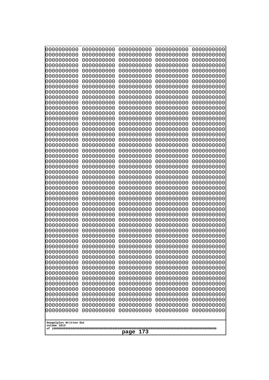| 10000000000<br>0000000000 | 0000000000<br>0000000000 | 0000000000<br>0000000000 | 0000000000<br>0000000000 | 0000000000<br>0000000000 |
|---------------------------|--------------------------|--------------------------|--------------------------|--------------------------|
| 0000000000                | 0000000000               | 0000000000               | 0000000000               | 0000000000               |
| 0000000000                | 0000000000               | 0000000000               | 0000000000               | 0000000000               |
| 0000000000<br>0000000000  | 0000000000<br>0000000000 | 0000000000               | 0000000000<br>0000000000 | 0000000000               |
| 0000000000                | 0000000000               | 0000000000<br>0000000000 | 0000000000               | 0000000000<br>0000000000 |
| 0000000000                | 0000000000               | 0000000000               | 0000000000               | 0000000000               |
| 0000000000                | 0000000000               | 0000000000               | 0000000000               | 0000000000               |
| 0000000000<br>0000000000  | 0000000000<br>0000000000 | 0000000000<br>0000000000 | 0000000000<br>0000000000 | 0000000000<br>0000000000 |
| 0000000000                | 0000000000               | 0000000000               | 0000000000               | 0000000000               |
| 0000000000                | 0000000000               | 0000000000               | 0000000000               | 0000000000               |
| 0000000000                | 0000000000               | 0000000000               | 0000000000               | 0000000000               |
| 0000000000<br>0000000000  | 0000000000<br>0000000000 | 0000000000<br>0000000000 | 0000000000<br>0000000000 | 0000000000<br>0000000000 |
| 0000000000                | 0000000000               | 0000000000               | 0000000000               | 0000000000               |
| 0000000000                | 0000000000               | 0000000000               | 0000000000               | 0000000000               |
| 0000000000<br>0000000000  | 0000000000<br>0000000000 | 0000000000<br>0000000000 | 0000000000<br>0000000000 | 0000000000<br>0000000000 |
| 0000000000                | 0000000000               | 0000000000               | 0000000000               | 0000000000               |
| 0000000000                | 0000000000               | 0000000000               | 0000000000               | 0000000000               |
| 0000000000                | 0000000000               | 0000000000               | 0000000000               | 0000000000               |
| 0000000000<br>0000000000  | 0000000000<br>0000000000 | 0000000000<br>0000000000 | 0000000000<br>0000000000 | 0000000000<br>0000000000 |
| 0000000000                | 0000000000               | 0000000000               | 0000000000               | 0000000000               |
| 0000000000                | 0000000000               | 0000000000               | 0000000000               | 0000000000               |
| 0000000000<br>0000000000  | 0000000000<br>0000000000 | 0000000000<br>0000000000 | 0000000000<br>0000000000 | 0000000000<br>0000000000 |
| 0000000000                | 0000000000               | 0000000000               | 0000000000               | 0000000000               |
| 0000000000                | 0000000000               | 0000000000               | 0000000000               | 0000000000               |
| 0000000000                | 0000000000               | 0000000000               | 0000000000               | 0000000000               |
| 0000000000<br>0000000000  | 0000000000<br>0000000000 | 0000000000<br>0000000000 | 0000000000<br>0000000000 | 0000000000<br>0000000000 |
| 0000000000                | 0000000000               | 0000000000               | 0000000000               | 0000000000               |
| 0000000000                | 0000000000               | 0000000000               | 0000000000               | 0000000000               |
| 0000000000<br>0000000000  | 0000000000<br>0000000000 | 0000000000<br>0000000000 | 0000000000<br>0000000000 | 0000000000<br>0000000000 |
| 0000000000                | 0000000000               | 0000000000               | 0000000000               | 0000000000               |
| 0000000000                | 0000000000               | 0000000000               | 0000000000               | 0000000000               |
| 0000000000<br>0000000000  | 0000000000               | 0000000000               | 0000000000               | 0000000000               |
| 0000000000                | 0000000000<br>0000000000 | 0000000000<br>0000000000 | 0000000000<br>0000000000 | 0000000000<br>0000000000 |
| 0000000000                | 0000000000               | 0000000000               | 0000000000               | 0000000000               |
| 0000000000                | 0000000000               | 0000000000               | 0000000000               | 0000000000               |
| 0000000000<br>0000000000  | 0000000000<br>0000000000 | 0000000000<br>0000000000 | 0000000000<br>0000000000 | 0000000000<br>0000000000 |
| 0000000000                | 0000000000               | 0000000000               | 0000000000               | 0000000000               |
| 0000000000                | 0000000000               | 0000000000               | 0000000000               | 0000000000               |
| 0000000000                | 0000000000               | 0000000000               | 0000000000               | 0000000000               |
| Googolplex Written Out    |                          |                          |                          |                          |
| volume 1013               |                          |                          |                          |                          |
| 173<br>page               |                          |                          |                          |                          |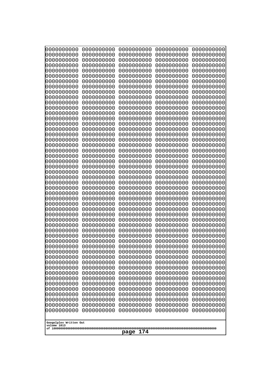| 0000000000               | 0000000000               | 0000000000               | 0000000000               | 0000000000               |
|--------------------------|--------------------------|--------------------------|--------------------------|--------------------------|
| 0000000000<br>0000000000 | 0000000000<br>0000000000 | 0000000000<br>0000000000 | 0000000000<br>0000000000 | 0000000000<br>0000000000 |
| 0000000000               | 0000000000               | 0000000000               | 0000000000               | 0000000000               |
| 0000000000               | 0000000000               | 0000000000               | 0000000000               | 0000000000               |
| 0000000000               | 0000000000               | 0000000000               | 0000000000               | 0000000000               |
| 0000000000<br>0000000000 | 0000000000<br>0000000000 | 0000000000<br>0000000000 | 0000000000<br>0000000000 | 0000000000<br>0000000000 |
| 0000000000               | 0000000000               | 0000000000               | 0000000000               | 0000000000               |
| 0000000000               | 0000000000               | 0000000000               | 0000000000               | 0000000000               |
| 0000000000<br>0000000000 | 0000000000<br>0000000000 | 0000000000<br>0000000000 | 0000000000<br>0000000000 | 0000000000               |
| 0000000000               | 0000000000               | 0000000000               | 0000000000               | 0000000000<br>0000000000 |
| 0000000000               | 0000000000               | 0000000000               | 0000000000               | 0000000000               |
| 0000000000               | 0000000000               | 0000000000               | 0000000000               | 0000000000               |
| 0000000000<br>0000000000 | 0000000000<br>0000000000 | 0000000000<br>0000000000 | 0000000000<br>0000000000 | 0000000000<br>0000000000 |
| 0000000000               | 0000000000               | 0000000000               | 0000000000               | 0000000000               |
| 0000000000               | 0000000000               | 0000000000               | 0000000000               | 0000000000               |
| 0000000000<br>0000000000 | 0000000000<br>0000000000 | 0000000000<br>0000000000 | 0000000000<br>0000000000 | 0000000000<br>0000000000 |
| 0000000000               | 0000000000               | 0000000000               | 0000000000               | 0000000000               |
| 0000000000               | 0000000000               | 0000000000               | 0000000000               | 0000000000               |
| 0000000000               | 0000000000               | 0000000000               | 0000000000               | 0000000000               |
| 0000000000<br>0000000000 | 0000000000<br>0000000000 | 0000000000<br>0000000000 | 0000000000<br>0000000000 | 0000000000<br>0000000000 |
| 0000000000               | 0000000000               | 0000000000               | 0000000000               | 0000000000               |
| 0000000000               | 0000000000               | 0000000000               | 0000000000               | 0000000000               |
| 0000000000<br>0000000000 | 0000000000<br>0000000000 | 0000000000<br>0000000000 | 0000000000<br>0000000000 | 0000000000<br>0000000000 |
| 0000000000               | 0000000000               | 0000000000               | 0000000000               | 0000000000               |
| 0000000000               | 0000000000               | 0000000000               | 0000000000               | 0000000000               |
| 0000000000<br>0000000000 | 0000000000<br>0000000000 | 0000000000<br>0000000000 | 0000000000<br>0000000000 | 0000000000<br>0000000000 |
| 0000000000               | 0000000000               | 0000000000               | 0000000000               | 0000000000               |
| 0000000000               | 0000000000               | 0000000000               | 0000000000               | 0000000000               |
| 0000000000               | 0000000000               | 0000000000               | 0000000000               | 0000000000               |
| 0000000000<br>0000000000 | 0000000000<br>0000000000 | 0000000000<br>0000000000 | 0000000000<br>0000000000 | 0000000000<br>0000000000 |
| 0000000000               | 0000000000               | 0000000000               | 0000000000               | 0000000000               |
| 0000000000               | 0000000000               | 0000000000               | 0000000000               | 0000000000               |
| 0000000000<br>0000000000 | 0000000000<br>0000000000 | 0000000000<br>0000000000 | 0000000000<br>0000000000 | 0000000000<br>0000000000 |
| 0000000000               | 0000000000               | 0000000000               | 0000000000               | 0000000000               |
| 0000000000               | 0000000000               | 0000000000               | 0000000000               | 0000000000               |
| 0000000000               | 0000000000               | 0000000000               | 0000000000               | 0000000000               |
| 0000000000<br>0000000000 | 0000000000<br>0000000000 | 0000000000<br>0000000000 | 0000000000<br>0000000000 | 0000000000<br>0000000000 |
| 0000000000               | 0000000000               | 0000000000               | 0000000000               | 0000000000               |
| 0000000000               | 0000000000               | 0000000000               | 0000000000               | 0000000000               |
| Googolplex Written Out   |                          |                          |                          |                          |
| volume 1013              |                          |                          |                          |                          |
| 174<br>page              |                          |                          |                          |                          |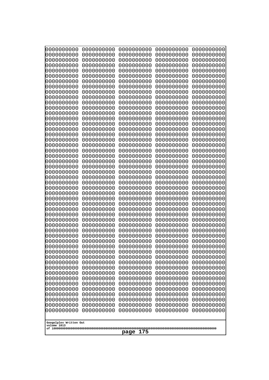| 0000000000               | 0000000000               | 0000000000               | 0000000000               | 0000000000               |
|--------------------------|--------------------------|--------------------------|--------------------------|--------------------------|
| 0000000000<br>0000000000 | 0000000000<br>0000000000 | 0000000000<br>0000000000 | 0000000000<br>0000000000 | 0000000000<br>0000000000 |
| 0000000000               | 0000000000               | 0000000000               | 0000000000               | 0000000000               |
| 0000000000               | 0000000000               | 0000000000               | 0000000000               | 0000000000               |
| 0000000000               | 0000000000               | 0000000000               | 0000000000               | 0000000000               |
| 0000000000<br>0000000000 | 0000000000<br>0000000000 | 0000000000<br>0000000000 | 0000000000<br>0000000000 | 0000000000<br>0000000000 |
| 0000000000               | 0000000000               | 0000000000               | 0000000000               | 0000000000               |
| 0000000000               | 0000000000               | 0000000000               | 0000000000               | 0000000000               |
| 0000000000<br>0000000000 | 0000000000<br>0000000000 | 0000000000<br>0000000000 | 0000000000<br>0000000000 | 0000000000               |
| 0000000000               | 0000000000               | 0000000000               | 0000000000               | 0000000000<br>0000000000 |
| 0000000000               | 0000000000               | 0000000000               | 0000000000               | 0000000000               |
| 0000000000               | 0000000000               | 0000000000               | 0000000000               | 0000000000               |
| 0000000000<br>0000000000 | 0000000000<br>0000000000 | 0000000000<br>0000000000 | 0000000000<br>0000000000 | 0000000000<br>0000000000 |
| 0000000000               | 0000000000               | 0000000000               | 0000000000               | 0000000000               |
| 0000000000               | 0000000000               | 0000000000               | 0000000000               | 0000000000               |
| 0000000000<br>0000000000 | 0000000000<br>0000000000 | 0000000000<br>0000000000 | 0000000000<br>0000000000 | 0000000000<br>0000000000 |
| 0000000000               | 0000000000               | 0000000000               | 0000000000               | 0000000000               |
| 0000000000               | 0000000000               | 0000000000               | 0000000000               | 0000000000               |
| 0000000000               | 0000000000               | 0000000000               | 0000000000               | 0000000000               |
| 0000000000<br>0000000000 | 0000000000<br>0000000000 | 0000000000<br>0000000000 | 0000000000<br>0000000000 | 0000000000<br>0000000000 |
| 0000000000               | 0000000000               | 0000000000               | 0000000000               | 0000000000               |
| 0000000000               | 0000000000               | 0000000000               | 0000000000               | 0000000000               |
| 0000000000<br>0000000000 | 0000000000<br>0000000000 | 0000000000<br>0000000000 | 0000000000<br>0000000000 | 0000000000<br>0000000000 |
| 0000000000               | 0000000000               | 0000000000               | 0000000000               | 0000000000               |
| 0000000000               | 0000000000               | 0000000000               | 0000000000               | 0000000000               |
| 0000000000<br>0000000000 | 0000000000<br>0000000000 | 0000000000<br>0000000000 | 0000000000<br>0000000000 | 0000000000<br>0000000000 |
| 0000000000               | 0000000000               | 0000000000               | 0000000000               | 0000000000               |
| 0000000000               | 0000000000               | 0000000000               | 0000000000               | 0000000000               |
| 0000000000               | 0000000000               | 0000000000               | 0000000000               | 0000000000               |
| 0000000000<br>0000000000 | 0000000000<br>0000000000 | 0000000000<br>0000000000 | 0000000000<br>0000000000 | 0000000000<br>0000000000 |
| 0000000000               | 0000000000               | 0000000000               | 0000000000               | 0000000000               |
| 0000000000               | 0000000000               | 0000000000               | 0000000000               | 0000000000               |
| 0000000000<br>0000000000 | 0000000000<br>0000000000 | 0000000000<br>0000000000 | 0000000000<br>0000000000 | 0000000000<br>0000000000 |
| 0000000000               | 0000000000               | 0000000000               | 0000000000               | 0000000000               |
| 0000000000               | 0000000000               | 0000000000               | 0000000000               | 0000000000               |
| 0000000000<br>0000000000 | 0000000000<br>0000000000 | 0000000000<br>0000000000 | 0000000000<br>0000000000 | 0000000000<br>0000000000 |
| 0000000000               | 0000000000               | 0000000000               | 0000000000               | 0000000000               |
| 0000000000               | 0000000000               | 0000000000               | 0000000000               | 0000000000               |
| 0000000000               | 0000000000               | 0000000000               | 0000000000               | 0000000000               |
| Googolplex Written Out   |                          |                          |                          |                          |
| volume 1013              |                          |                          |                          |                          |
| 175<br>page              |                          |                          |                          |                          |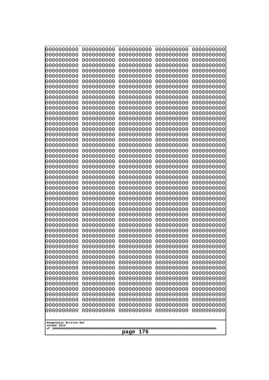| 10000000000<br>0000000000             | 0000000000<br>0000000000 | 0000000000<br>0000000000 | 0000000000<br>0000000000 | 0000000000<br>0000000000 |
|---------------------------------------|--------------------------|--------------------------|--------------------------|--------------------------|
| 0000000000                            | 0000000000               | 0000000000               | 0000000000               | 0000000000               |
| 0000000000                            | 0000000000               | 0000000000               | 0000000000               | 0000000000               |
| 0000000000                            | 0000000000               | 0000000000               | 0000000000               | 0000000000               |
| 0000000000<br>0000000000              | 0000000000<br>0000000000 | 0000000000<br>0000000000 | 0000000000<br>0000000000 | 0000000000<br>0000000000 |
| 0000000000                            | 0000000000               | 0000000000               | 0000000000               | 0000000000               |
| 0000000000                            | 0000000000               | 0000000000               | 0000000000               | 0000000000               |
| 0000000000                            | 0000000000               | 0000000000               | 0000000000               | 0000000000               |
| 0000000000<br>0000000000              | 0000000000<br>0000000000 | 0000000000<br>0000000000 | 0000000000<br>0000000000 | 0000000000               |
| 0000000000                            | 0000000000               | 0000000000               | 0000000000               | 0000000000<br>0000000000 |
| 0000000000                            | 0000000000               | 0000000000               | 0000000000               | 0000000000               |
| 0000000000                            | 0000000000               | 0000000000               | 0000000000               | 0000000000               |
| 0000000000                            | 0000000000               | 0000000000               | 0000000000               | 0000000000               |
| 0000000000<br>0000000000              | 0000000000<br>0000000000 | 0000000000<br>0000000000 | 0000000000<br>0000000000 | 0000000000<br>0000000000 |
| 0000000000                            | 0000000000               | 0000000000               | 0000000000               | 0000000000               |
| 0000000000                            | 0000000000               | 0000000000               | 0000000000               | 0000000000               |
| 0000000000                            | 0000000000<br>0000000000 | 0000000000               | 0000000000               | 0000000000               |
| 0000000000<br>0000000000              | 0000000000               | 0000000000<br>0000000000 | 0000000000<br>0000000000 | 0000000000<br>0000000000 |
| 0000000000                            | 0000000000               | 0000000000               | 0000000000               | 0000000000               |
| 0000000000                            | 0000000000               | 0000000000               | 0000000000               | 0000000000               |
| 0000000000                            | 0000000000<br>0000000000 | 0000000000<br>0000000000 | 0000000000<br>0000000000 | 0000000000               |
| 0000000000<br>0000000000              | 0000000000               | 0000000000               | 0000000000               | 0000000000<br>0000000000 |
| 0000000000                            | 0000000000               | 0000000000               | 0000000000               | 0000000000               |
| 0000000000                            | 0000000000               | 0000000000               | 0000000000               | 0000000000               |
| 0000000000<br>0000000000              | 0000000000<br>0000000000 | 0000000000<br>0000000000 | 0000000000<br>0000000000 | 0000000000<br>0000000000 |
| 0000000000                            | 0000000000               | 0000000000               | 0000000000               | 0000000000               |
| 0000000000                            | 0000000000               | 0000000000               | 0000000000               | 0000000000               |
| 0000000000                            | 0000000000               | 0000000000               | 0000000000               | 0000000000               |
| 0000000000<br>0000000000              | 0000000000<br>0000000000 | 0000000000<br>0000000000 | 0000000000<br>0000000000 | 0000000000<br>0000000000 |
| 0000000000                            | 0000000000               | 0000000000               | 0000000000               | 0000000000               |
| 0000000000                            | 0000000000               | 0000000000               | 0000000000               | 0000000000               |
| 0000000000                            | 0000000000               | 0000000000               | 0000000000               | 0000000000               |
| 0000000000<br>0000000000              | 0000000000<br>0000000000 | 0000000000<br>0000000000 | 0000000000<br>0000000000 | 0000000000<br>0000000000 |
| 0000000000                            | 0000000000               | 0000000000               | 0000000000               | 0000000000               |
| 0000000000                            | 0000000000               | 0000000000               | 0000000000               | 0000000000               |
| 0000000000                            | 0000000000               | 0000000000               | 0000000000               | 0000000000               |
| 0000000000<br>0000000000              | 0000000000<br>0000000000 | 0000000000<br>0000000000 | 0000000000<br>0000000000 | 0000000000<br>0000000000 |
| 0000000000                            | 0000000000               | 0000000000               | 0000000000               | 0000000000               |
| 0000000000                            | 0000000000               | 0000000000               | 0000000000               | 0000000000               |
| 0000000000                            | 0000000000               | 0000000000               | 0000000000               | 0000000000               |
|                                       |                          |                          |                          |                          |
| Googolplex Written Out<br>volume 1013 |                          |                          |                          |                          |
| 176<br>page                           |                          |                          |                          |                          |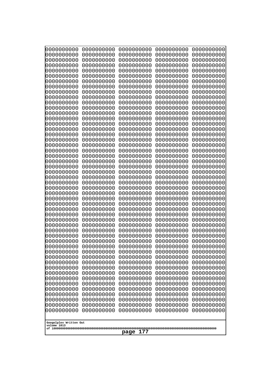| 10000000000<br>0000000000 | 0000000000<br>0000000000 | 0000000000<br>0000000000 | 0000000000<br>0000000000 | 0000000000<br>0000000000 |
|---------------------------|--------------------------|--------------------------|--------------------------|--------------------------|
| 0000000000                | 0000000000               | 0000000000               | 0000000000               | 0000000000               |
| 0000000000                | 0000000000               | 0000000000               | 0000000000               | 0000000000               |
| 0000000000<br>0000000000  | 0000000000<br>0000000000 | 0000000000               | 0000000000<br>0000000000 | 0000000000               |
| 0000000000                | 0000000000               | 0000000000<br>0000000000 | 0000000000               | 0000000000<br>0000000000 |
| 0000000000                | 0000000000               | 0000000000               | 0000000000               | 0000000000               |
| 0000000000                | 0000000000               | 0000000000               | 0000000000               | 0000000000               |
| 0000000000<br>0000000000  | 0000000000<br>0000000000 | 0000000000<br>0000000000 | 0000000000<br>0000000000 | 0000000000<br>0000000000 |
| 0000000000                | 0000000000               | 0000000000               | 0000000000               | 0000000000               |
| 0000000000                | 0000000000               | 0000000000               | 0000000000               | 0000000000               |
| 0000000000                | 0000000000               | 0000000000               | 0000000000               | 0000000000               |
| 0000000000<br>0000000000  | 0000000000<br>0000000000 | 0000000000<br>0000000000 | 0000000000<br>0000000000 | 0000000000<br>0000000000 |
| 0000000000                | 0000000000               | 0000000000               | 0000000000               | 0000000000               |
| 0000000000                | 0000000000               | 0000000000               | 0000000000               | 0000000000               |
| 0000000000<br>0000000000  | 0000000000<br>0000000000 | 0000000000<br>0000000000 | 0000000000<br>0000000000 | 0000000000<br>0000000000 |
| 0000000000                | 0000000000               | 0000000000               | 0000000000               | 0000000000               |
| 0000000000                | 0000000000               | 0000000000               | 0000000000               | 0000000000               |
| 0000000000                | 0000000000               | 0000000000               | 0000000000               | 0000000000               |
| 0000000000<br>0000000000  | 0000000000<br>0000000000 | 0000000000<br>0000000000 | 0000000000<br>0000000000 | 0000000000<br>0000000000 |
| 0000000000                | 0000000000               | 0000000000               | 0000000000               | 0000000000               |
| 0000000000                | 0000000000               | 0000000000               | 0000000000               | 0000000000               |
| 0000000000<br>0000000000  | 0000000000<br>0000000000 | 0000000000<br>0000000000 | 0000000000<br>0000000000 | 0000000000<br>0000000000 |
| 0000000000                | 0000000000               | 0000000000               | 0000000000               | 0000000000               |
| 0000000000                | 0000000000               | 0000000000               | 0000000000               | 0000000000               |
| 0000000000                | 0000000000               | 0000000000               | 0000000000               | 0000000000               |
| 0000000000<br>0000000000  | 0000000000<br>0000000000 | 0000000000<br>0000000000 | 0000000000<br>0000000000 | 0000000000<br>0000000000 |
| 0000000000                | 0000000000               | 0000000000               | 0000000000               | 0000000000               |
| 0000000000                | 0000000000               | 0000000000               | 0000000000               | 0000000000               |
| 0000000000<br>0000000000  | 0000000000<br>0000000000 | 0000000000<br>0000000000 | 0000000000<br>0000000000 | 0000000000<br>0000000000 |
| 0000000000                | 0000000000               | 0000000000               | 0000000000               | 0000000000               |
| 0000000000                | 0000000000               | 0000000000               | 0000000000               | 0000000000               |
| 0000000000<br>0000000000  | 0000000000               | 0000000000               | 0000000000               | 0000000000               |
| 0000000000                | 0000000000<br>0000000000 | 0000000000<br>0000000000 | 0000000000<br>0000000000 | 0000000000<br>0000000000 |
| 0000000000                | 0000000000               | 0000000000               | 0000000000               | 0000000000               |
| 0000000000                | 0000000000               | 0000000000               | 0000000000               | 0000000000               |
| 0000000000<br>0000000000  | 0000000000<br>0000000000 | 0000000000<br>0000000000 | 0000000000<br>0000000000 | 0000000000<br>0000000000 |
| 0000000000                | 0000000000               | 0000000000               | 0000000000               | 0000000000               |
| 0000000000                | 0000000000               | 0000000000               | 0000000000               | 0000000000               |
| 0000000000                | 0000000000               | 0000000000               | 0000000000               | 0000000000               |
| Googolplex Written Out    |                          |                          |                          |                          |
| volume 1013               |                          |                          |                          |                          |
| 177<br>page               |                          |                          |                          |                          |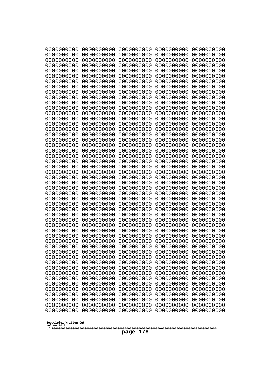| 0000000000               | 0000000000               | 0000000000               | 0000000000               | 0000000000               |
|--------------------------|--------------------------|--------------------------|--------------------------|--------------------------|
| 0000000000<br>0000000000 | 0000000000<br>0000000000 | 0000000000<br>0000000000 | 0000000000<br>0000000000 | 0000000000<br>0000000000 |
| 0000000000               | 0000000000               | 0000000000               | 0000000000               | 0000000000               |
| 0000000000               | 0000000000               | 0000000000               | 0000000000               | 0000000000               |
| 0000000000               | 0000000000               | 0000000000               | 0000000000               | 0000000000               |
| 0000000000<br>0000000000 | 0000000000<br>0000000000 | 0000000000<br>0000000000 | 0000000000<br>0000000000 | 0000000000<br>0000000000 |
| 0000000000               | 0000000000               | 0000000000               | 0000000000               | 0000000000               |
| 0000000000               | 0000000000               | 0000000000               | 0000000000               | 0000000000               |
| 0000000000<br>0000000000 | 0000000000<br>0000000000 | 0000000000<br>0000000000 | 0000000000<br>0000000000 | 0000000000               |
| 0000000000               | 0000000000               | 0000000000               | 0000000000               | 0000000000<br>0000000000 |
| 0000000000               | 0000000000               | 0000000000               | 0000000000               | 0000000000               |
| 0000000000               | 0000000000               | 0000000000               | 0000000000               | 0000000000               |
| 0000000000<br>0000000000 | 0000000000<br>0000000000 | 0000000000<br>0000000000 | 0000000000<br>0000000000 | 0000000000<br>0000000000 |
| 0000000000               | 0000000000               | 0000000000               | 0000000000               | 0000000000               |
| 0000000000               | 0000000000               | 0000000000               | 0000000000               | 0000000000               |
| 0000000000<br>0000000000 | 0000000000<br>0000000000 | 0000000000<br>0000000000 | 0000000000<br>0000000000 | 0000000000<br>0000000000 |
| 0000000000               | 0000000000               | 0000000000               | 0000000000               | 0000000000               |
| 0000000000               | 0000000000               | 0000000000               | 0000000000               | 0000000000               |
| 0000000000               | 0000000000               | 0000000000               | 0000000000               | 0000000000               |
| 0000000000<br>0000000000 | 0000000000<br>0000000000 | 0000000000<br>0000000000 | 0000000000<br>0000000000 | 0000000000<br>0000000000 |
| 0000000000               | 0000000000               | 0000000000               | 0000000000               | 0000000000               |
| 0000000000               | 0000000000               | 0000000000               | 0000000000               | 0000000000               |
| 0000000000<br>0000000000 | 0000000000<br>0000000000 | 0000000000<br>0000000000 | 0000000000<br>0000000000 | 0000000000<br>0000000000 |
| 0000000000               | 0000000000               | 0000000000               | 0000000000               | 0000000000               |
| 0000000000               | 0000000000               | 0000000000               | 0000000000               | 0000000000               |
| 0000000000<br>0000000000 | 0000000000<br>0000000000 | 0000000000<br>0000000000 | 0000000000<br>0000000000 | 0000000000<br>0000000000 |
| 0000000000               | 0000000000               | 0000000000               | 0000000000               | 0000000000               |
| 0000000000               | 0000000000               | 0000000000               | 0000000000               | 0000000000               |
| 0000000000               | 0000000000               | 0000000000               | 0000000000               | 0000000000               |
| 0000000000<br>0000000000 | 0000000000<br>0000000000 | 0000000000<br>0000000000 | 0000000000<br>0000000000 | 0000000000<br>0000000000 |
| 0000000000               | 0000000000               | 0000000000               | 0000000000               | 0000000000               |
| 0000000000               | 0000000000               | 0000000000               | 0000000000               | 0000000000               |
| 0000000000<br>0000000000 | 0000000000<br>0000000000 | 0000000000<br>0000000000 | 0000000000<br>0000000000 | 0000000000<br>0000000000 |
| 0000000000               | 0000000000               | 0000000000               | 0000000000               | 0000000000               |
| 0000000000               | 0000000000               | 0000000000               | 0000000000               | 0000000000               |
| 0000000000<br>0000000000 | 0000000000<br>0000000000 | 0000000000<br>0000000000 | 0000000000<br>0000000000 | 0000000000<br>0000000000 |
| 0000000000               | 0000000000               | 0000000000               | 0000000000               | 0000000000               |
| 0000000000               | 0000000000               | 0000000000               | 0000000000               | 0000000000               |
| 0000000000               | 0000000000               | 0000000000               | 0000000000               | 0000000000               |
| Googolplex Written Out   |                          |                          |                          |                          |
| volume 1013              |                          |                          |                          |                          |
| 178<br>page              |                          |                          |                          |                          |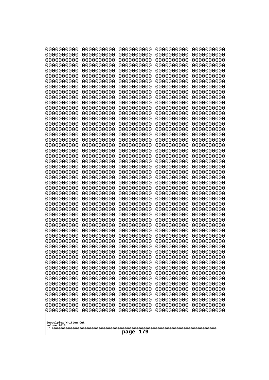| 0000000000               | 0000000000               | 0000000000               | 0000000000               | 0000000000               |
|--------------------------|--------------------------|--------------------------|--------------------------|--------------------------|
| 0000000000<br>0000000000 | 0000000000<br>0000000000 | 0000000000<br>0000000000 | 0000000000<br>0000000000 | 0000000000<br>0000000000 |
| 0000000000               | 0000000000               | 0000000000               | 0000000000               | 0000000000               |
| 0000000000               | 0000000000               | 0000000000               | 0000000000               | 0000000000               |
| 0000000000               | 0000000000               | 0000000000               | 0000000000               | 0000000000               |
| 0000000000               | 0000000000               | 0000000000               | 0000000000               | 0000000000               |
| 0000000000<br>0000000000 | 0000000000<br>0000000000 | 0000000000<br>0000000000 | 0000000000<br>0000000000 | 0000000000<br>0000000000 |
| 0000000000               | 0000000000               | 0000000000               | 0000000000               | 0000000000               |
| 0000000000               | 0000000000               | 0000000000               | 0000000000               | 0000000000               |
| 0000000000               | 0000000000               | 0000000000               | 0000000000               | 0000000000               |
| 0000000000<br>0000000000 | 0000000000<br>0000000000 | 0000000000<br>0000000000 | 0000000000<br>0000000000 | 0000000000<br>0000000000 |
| 0000000000               | 0000000000               | 0000000000               | 0000000000               | 0000000000               |
| 0000000000               | 0000000000               | 0000000000               | 0000000000               | 0000000000               |
| 0000000000<br>0000000000 | 0000000000<br>0000000000 | 0000000000<br>0000000000 | 0000000000<br>0000000000 | 0000000000<br>0000000000 |
| 0000000000               | 0000000000               | 0000000000               | 0000000000               | 0000000000               |
| 0000000000               | 0000000000               | 0000000000               | 0000000000               | 0000000000               |
| 0000000000               | 0000000000               | 0000000000               | 0000000000               | 0000000000               |
| 0000000000<br>0000000000 | 0000000000<br>0000000000 | 0000000000<br>0000000000 | 0000000000<br>0000000000 | 0000000000<br>0000000000 |
| 0000000000               | 0000000000               | 0000000000               | 0000000000               | 0000000000               |
| 0000000000               | 0000000000               | 0000000000               | 0000000000               | 0000000000               |
| 0000000000               | 0000000000               | 0000000000               | 0000000000               | 0000000000               |
| 0000000000<br>0000000000 | 0000000000<br>0000000000 | 0000000000<br>0000000000 | 0000000000<br>0000000000 | 0000000000<br>0000000000 |
| 0000000000               | 0000000000               | 0000000000               | 0000000000               | 0000000000               |
| 0000000000               | 0000000000               | 0000000000               | 0000000000               | 0000000000               |
| 0000000000<br>0000000000 | 0000000000<br>0000000000 | 0000000000<br>0000000000 | 0000000000<br>0000000000 | 0000000000<br>0000000000 |
| 0000000000               | 0000000000               | 0000000000               | 0000000000               | 0000000000               |
| 0000000000               | 0000000000               | 0000000000               | 0000000000               | 0000000000               |
| 0000000000               | 0000000000               | 0000000000               | 0000000000               | 0000000000               |
| 0000000000<br>0000000000 | 0000000000<br>0000000000 | 0000000000<br>0000000000 | 0000000000<br>0000000000 | 0000000000<br>0000000000 |
| 0000000000               | 0000000000               | 0000000000               | 0000000000               | 0000000000               |
| 0000000000               | 0000000000               | 0000000000               | 0000000000               | 0000000000               |
| 0000000000               | 0000000000               | 0000000000               | 0000000000               | 0000000000               |
| 0000000000<br>0000000000 | 0000000000<br>0000000000 | 0000000000<br>0000000000 | 0000000000<br>0000000000 | 0000000000<br>0000000000 |
| 0000000000               | 0000000000               | 0000000000               | 0000000000               | 0000000000               |
| 0000000000               | 0000000000               | 0000000000               | 0000000000               | 0000000000               |
| 0000000000<br>0000000000 | 0000000000<br>0000000000 | 0000000000<br>0000000000 | 0000000000<br>0000000000 | 0000000000<br>0000000000 |
| 0000000000               | 0000000000               | 0000000000               | 0000000000               | 0000000000               |
| 0000000000               | 0000000000               | 0000000000               | 0000000000               | 0000000000               |
| 0000000000               | 0000000000               | 0000000000               | 0000000000               | 0000000000               |
| 0000000000               | 0000000000               | 0000000000               | 0000000000               | 0000000000               |
| Googolplex Written Out   |                          |                          |                          |                          |
| volume 1013              |                          |                          |                          |                          |
| 179<br>page              |                          |                          |                          |                          |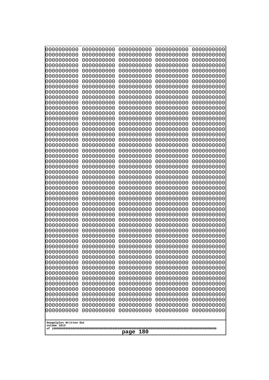| 10000000000                           | 0000000000               | 0000000000               | 0000000000               | 0000000000               |
|---------------------------------------|--------------------------|--------------------------|--------------------------|--------------------------|
| 0000000000<br>0000000000              | 0000000000<br>0000000000 | 0000000000<br>0000000000 | 0000000000<br>0000000000 | 0000000000<br>0000000000 |
| 0000000000                            | 0000000000               | 0000000000               | 0000000000               | 0000000000               |
| 0000000000                            | 0000000000               | 0000000000               | 0000000000               | 0000000000               |
| 0000000000                            | 0000000000               | 0000000000               | 0000000000               | 0000000000               |
| 0000000000<br>0000000000              | 0000000000<br>0000000000 | 0000000000<br>0000000000 | 0000000000<br>0000000000 | 0000000000<br>0000000000 |
| 0000000000                            | 0000000000               | 0000000000               | 0000000000               | 0000000000               |
| 0000000000                            | 0000000000               | 0000000000               | 0000000000               | 0000000000               |
| 0000000000                            | 0000000000               | 0000000000               | 0000000000               | 0000000000               |
| 0000000000<br>0000000000              | 0000000000<br>0000000000 | 0000000000<br>0000000000 | 0000000000<br>0000000000 | 0000000000<br>0000000000 |
| 0000000000                            | 0000000000               | 0000000000               | 0000000000               | 0000000000               |
| 0000000000                            | 0000000000               | 0000000000               | 0000000000               | 0000000000               |
| 0000000000                            | 0000000000               | 0000000000               | 0000000000               | 0000000000               |
| 0000000000<br>0000000000              | 0000000000<br>0000000000 | 0000000000<br>0000000000 | 0000000000<br>0000000000 | 0000000000<br>0000000000 |
| 0000000000                            | 0000000000               | 0000000000               | 0000000000               | 0000000000               |
| 0000000000                            | 0000000000               | 0000000000               | 0000000000               | 0000000000               |
| 0000000000                            | 0000000000               | 0000000000               | 0000000000               | 0000000000               |
| 0000000000<br>0000000000              | 0000000000<br>0000000000 | 0000000000<br>0000000000 | 0000000000<br>0000000000 | 0000000000<br>0000000000 |
| 0000000000                            | 0000000000               | 0000000000               | 0000000000               | 0000000000               |
| 0000000000                            | 0000000000               | 0000000000               | 0000000000               | 0000000000               |
| 0000000000                            | 0000000000               | 0000000000               | 0000000000               | 0000000000               |
| 0000000000<br>0000000000              | 0000000000<br>0000000000 | 0000000000<br>0000000000 | 0000000000<br>0000000000 | 0000000000<br>0000000000 |
| 0000000000                            | 0000000000               | 0000000000               | 0000000000               | 0000000000               |
| 0000000000                            | 0000000000               | 0000000000               | 0000000000               | 0000000000               |
| 0000000000                            | 0000000000               | 0000000000               | 0000000000               | 0000000000               |
| 0000000000<br>0000000000              | 0000000000<br>0000000000 | 0000000000<br>0000000000 | 0000000000<br>0000000000 | 0000000000<br>0000000000 |
| 0000000000                            | 0000000000               | 0000000000               | 0000000000               | 0000000000               |
| 0000000000                            | 0000000000               | 0000000000               | 0000000000               | 0000000000               |
| 0000000000                            | 0000000000<br>0000000000 | 0000000000<br>0000000000 | 0000000000               | 0000000000               |
| 0000000000<br>0000000000              | 0000000000               | 0000000000               | 0000000000<br>0000000000 | 0000000000<br>0000000000 |
| 0000000000                            | 0000000000               | 0000000000               | 0000000000               | 0000000000               |
| 0000000000                            | 0000000000               | 0000000000               | 0000000000               | 0000000000               |
| 0000000000<br>0000000000              | 0000000000<br>0000000000 | 0000000000<br>0000000000 | 0000000000<br>0000000000 | 0000000000<br>0000000000 |
| 0000000000                            | 0000000000               | 0000000000               | 0000000000               | 0000000000               |
| 0000000000                            | 0000000000               | 0000000000               | 0000000000               | 0000000000               |
| 0000000000                            | 0000000000               | 0000000000               | 0000000000               | 0000000000               |
| 0000000000<br>0000000000              | 0000000000<br>0000000000 | 0000000000<br>0000000000 | 0000000000<br>0000000000 | 0000000000<br>0000000000 |
| 0000000000                            | 0000000000               | 0000000000               | 0000000000               | 0000000000               |
| 0000000000                            | 0000000000               | 0000000000               | 0000000000               | 0000000000               |
| 0000000000                            | 0000000000               | 0000000000               | 0000000000               | 0000000000               |
|                                       |                          |                          |                          |                          |
| Googolplex Written Out<br>volume 1013 |                          |                          |                          |                          |
| 180<br>page                           |                          |                          |                          |                          |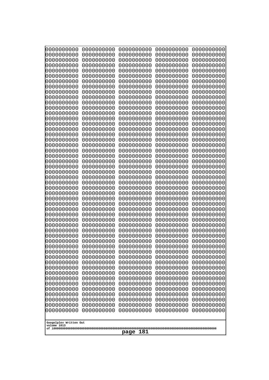| 10000000000                           | 0000000000               | 0000000000               | 0000000000               | 0000000000               |
|---------------------------------------|--------------------------|--------------------------|--------------------------|--------------------------|
| 0000000000<br>0000000000              | 0000000000<br>0000000000 | 0000000000<br>0000000000 | 0000000000<br>0000000000 | 0000000000<br>0000000000 |
| 0000000000                            | 0000000000               | 0000000000               | 0000000000               | 0000000000               |
| 0000000000                            | 0000000000               | 0000000000               | 0000000000               | 0000000000               |
| 0000000000                            | 0000000000               | 0000000000               | 0000000000               | 0000000000               |
| 0000000000                            | 0000000000               | 0000000000               | 0000000000               | 0000000000               |
| 0000000000<br>0000000000              | 0000000000<br>0000000000 | 0000000000<br>0000000000 | 0000000000<br>0000000000 | 0000000000<br>0000000000 |
| 0000000000                            | 0000000000               | 0000000000               | 0000000000               | 0000000000               |
| 0000000000                            | 0000000000               | 0000000000               | 0000000000               | 0000000000               |
| 0000000000                            | 0000000000               | 0000000000               | 0000000000               | 0000000000               |
| 0000000000<br>0000000000              | 0000000000<br>0000000000 | 0000000000<br>0000000000 | 0000000000<br>0000000000 | 0000000000<br>0000000000 |
| 0000000000                            | 0000000000               | 0000000000               | 0000000000               | 0000000000               |
| 0000000000                            | 0000000000               | 0000000000               | 0000000000               | 0000000000               |
| 0000000000                            | 0000000000               | 0000000000<br>0000000000 | 0000000000<br>0000000000 | 0000000000               |
| 0000000000<br>0000000000              | 0000000000<br>0000000000 | 0000000000               | 0000000000               | 0000000000<br>0000000000 |
| 0000000000                            | 0000000000               | 0000000000               | 0000000000               | 0000000000               |
| 0000000000                            | 0000000000               | 0000000000               | 0000000000               | 0000000000               |
| 0000000000<br>0000000000              | 0000000000<br>0000000000 | 0000000000<br>0000000000 | 0000000000<br>0000000000 | 0000000000<br>0000000000 |
| 0000000000                            | 0000000000               | 0000000000               | 0000000000               | 0000000000               |
| 0000000000                            | 0000000000               | 0000000000               | 0000000000               | 0000000000               |
| 0000000000                            | 0000000000               | 0000000000               | 0000000000               | 0000000000               |
| 0000000000<br>0000000000              | 0000000000<br>0000000000 | 0000000000<br>0000000000 | 0000000000<br>0000000000 | 0000000000<br>0000000000 |
| 0000000000                            | 0000000000               | 0000000000               | 0000000000               | 0000000000               |
| 0000000000                            | 0000000000               | 0000000000               | 0000000000               | 0000000000               |
| 0000000000                            | 0000000000               | 0000000000               | 0000000000               | 0000000000               |
| 0000000000<br>0000000000              | 0000000000<br>0000000000 | 0000000000<br>0000000000 | 0000000000<br>0000000000 | 0000000000<br>0000000000 |
| 0000000000                            | 0000000000               | 0000000000               | 0000000000               | 0000000000               |
| 0000000000                            | 0000000000               | 0000000000               | 0000000000               | 0000000000               |
| 0000000000                            | 0000000000               | 0000000000               | 0000000000               | 0000000000               |
| 0000000000<br>0000000000              | 0000000000<br>0000000000 | 0000000000<br>0000000000 | 0000000000<br>0000000000 | 0000000000<br>0000000000 |
| 0000000000                            | 0000000000               | 0000000000               | 0000000000               | 0000000000               |
| 0000000000                            | 0000000000               | 0000000000               | 0000000000               | 0000000000               |
| 0000000000                            | 0000000000               | 0000000000               | 0000000000               | 0000000000               |
| 0000000000<br>0000000000              | 0000000000<br>0000000000 | 0000000000<br>0000000000 | 0000000000<br>0000000000 | 0000000000<br>0000000000 |
| 0000000000                            | 0000000000               | 0000000000               | 0000000000               | 0000000000               |
| 0000000000                            | 0000000000               | 0000000000               | 0000000000               | 0000000000               |
| 0000000000<br>0000000000              | 0000000000<br>0000000000 | 0000000000<br>0000000000 | 0000000000<br>0000000000 | 0000000000<br>0000000000 |
| 0000000000                            | 0000000000               | 0000000000               | 0000000000               | 0000000000               |
| 0000000000                            | 0000000000               | 0000000000               | 0000000000               | 0000000000               |
| 0000000000                            | 0000000000               | 0000000000               | 0000000000               | 0000000000               |
|                                       |                          |                          |                          |                          |
| Googolplex Written Out<br>volume 1013 |                          |                          |                          |                          |
| 181<br>page                           |                          |                          |                          |                          |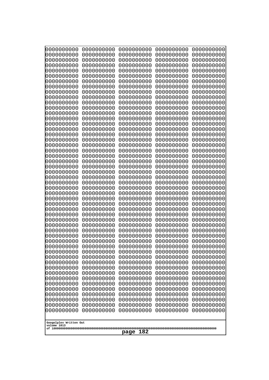| 10000000000                           | 0000000000               | 0000000000               | 0000000000               | 0000000000               |
|---------------------------------------|--------------------------|--------------------------|--------------------------|--------------------------|
| 0000000000<br>0000000000              | 0000000000<br>0000000000 | 0000000000<br>0000000000 | 0000000000<br>0000000000 | 0000000000<br>0000000000 |
| 0000000000                            | 0000000000               | 0000000000               | 0000000000               | 0000000000               |
| 0000000000                            | 0000000000               | 0000000000               | 0000000000               | 0000000000               |
| 0000000000                            | 0000000000               | 0000000000               | 0000000000               | 0000000000               |
| 0000000000<br>0000000000              | 0000000000<br>0000000000 | 0000000000<br>0000000000 | 0000000000<br>0000000000 | 0000000000<br>0000000000 |
| 0000000000                            | 0000000000               | 0000000000               | 0000000000               | 0000000000               |
| 0000000000                            | 0000000000               | 0000000000               | 0000000000               | 0000000000               |
| 0000000000                            | 0000000000               | 0000000000               | 0000000000               | 0000000000               |
| 0000000000<br>0000000000              | 0000000000<br>0000000000 | 0000000000<br>0000000000 | 0000000000<br>0000000000 | 0000000000<br>0000000000 |
| 0000000000                            | 0000000000               | 0000000000               | 0000000000               | 0000000000               |
| 0000000000                            | 0000000000               | 0000000000               | 0000000000               | 0000000000               |
| 0000000000                            | 0000000000               | 0000000000               | 0000000000               | 0000000000               |
| 0000000000<br>0000000000              | 0000000000<br>0000000000 | 0000000000<br>0000000000 | 0000000000<br>0000000000 | 0000000000<br>0000000000 |
| 0000000000                            | 0000000000               | 0000000000               | 0000000000               | 0000000000               |
| 0000000000                            | 0000000000               | 0000000000               | 0000000000               | 0000000000               |
| 0000000000                            | 0000000000               | 0000000000               | 0000000000               | 0000000000               |
| 0000000000<br>0000000000              | 0000000000<br>0000000000 | 0000000000<br>0000000000 | 0000000000<br>0000000000 | 0000000000<br>0000000000 |
| 0000000000                            | 0000000000               | 0000000000               | 0000000000               | 0000000000               |
| 0000000000                            | 0000000000               | 0000000000               | 0000000000               | 0000000000               |
| 0000000000                            | 0000000000               | 0000000000               | 0000000000               | 0000000000               |
| 0000000000<br>0000000000              | 0000000000<br>0000000000 | 0000000000<br>0000000000 | 0000000000<br>0000000000 | 0000000000<br>0000000000 |
| 0000000000                            | 0000000000               | 0000000000               | 0000000000               | 0000000000               |
| 0000000000                            | 0000000000               | 0000000000               | 0000000000               | 0000000000               |
| 0000000000                            | 0000000000               | 0000000000               | 0000000000               | 0000000000               |
| 0000000000<br>0000000000              | 0000000000<br>0000000000 | 0000000000<br>0000000000 | 0000000000<br>0000000000 | 0000000000<br>0000000000 |
| 0000000000                            | 0000000000               | 0000000000               | 0000000000               | 0000000000               |
| 0000000000                            | 0000000000               | 0000000000               | 0000000000               | 0000000000               |
| 0000000000                            | 0000000000<br>0000000000 | 0000000000<br>0000000000 | 0000000000               | 0000000000               |
| 0000000000<br>0000000000              | 0000000000               | 0000000000               | 0000000000<br>0000000000 | 0000000000<br>0000000000 |
| 0000000000                            | 0000000000               | 0000000000               | 0000000000               | 0000000000               |
| 0000000000                            | 0000000000               | 0000000000               | 0000000000               | 0000000000               |
| 0000000000<br>0000000000              | 0000000000<br>0000000000 | 0000000000<br>0000000000 | 0000000000<br>0000000000 | 0000000000<br>0000000000 |
| 0000000000                            | 0000000000               | 0000000000               | 0000000000               | 0000000000               |
| 0000000000                            | 0000000000               | 0000000000               | 0000000000               | 0000000000               |
| 0000000000                            | 0000000000               | 0000000000               | 0000000000               | 0000000000               |
| 0000000000<br>0000000000              | 0000000000<br>0000000000 | 0000000000<br>0000000000 | 0000000000<br>0000000000 | 0000000000<br>0000000000 |
| 0000000000                            | 0000000000               | 0000000000               | 0000000000               | 0000000000               |
| 0000000000                            | 0000000000               | 0000000000               | 0000000000               | 0000000000               |
| 0000000000                            | 0000000000               | 0000000000               | 0000000000               | 0000000000               |
|                                       |                          |                          |                          |                          |
| Googolplex Written Out<br>volume 1013 |                          |                          |                          |                          |
| 182<br>page                           |                          |                          |                          |                          |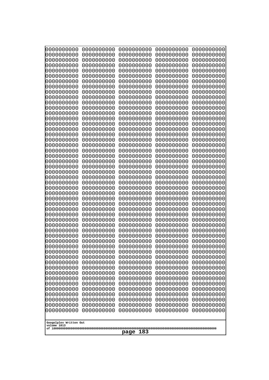| 0000000000                                                                                                                                                                                                                                                                                                                                                                                          | 0000000000                                                                                                                                                                                                                                                                                                                                                 | 0000000000                                                                                                                                                                                                                                                                                                                                                                | 0000000000                                                                                                                                                                                                                                                                                                                                                 | 0000000000                                                                                                                                                                                                                                                                                                                                                 |
|-----------------------------------------------------------------------------------------------------------------------------------------------------------------------------------------------------------------------------------------------------------------------------------------------------------------------------------------------------------------------------------------------------|------------------------------------------------------------------------------------------------------------------------------------------------------------------------------------------------------------------------------------------------------------------------------------------------------------------------------------------------------------|---------------------------------------------------------------------------------------------------------------------------------------------------------------------------------------------------------------------------------------------------------------------------------------------------------------------------------------------------------------------------|------------------------------------------------------------------------------------------------------------------------------------------------------------------------------------------------------------------------------------------------------------------------------------------------------------------------------------------------------------|------------------------------------------------------------------------------------------------------------------------------------------------------------------------------------------------------------------------------------------------------------------------------------------------------------------------------------------------------------|
| 0000000000                                                                                                                                                                                                                                                                                                                                                                                          | 0000000000                                                                                                                                                                                                                                                                                                                                                 | 0000000000                                                                                                                                                                                                                                                                                                                                                                | 0000000000                                                                                                                                                                                                                                                                                                                                                 | 0000000000                                                                                                                                                                                                                                                                                                                                                 |
| 0000000000                                                                                                                                                                                                                                                                                                                                                                                          | 0000000000                                                                                                                                                                                                                                                                                                                                                 | 0000000000                                                                                                                                                                                                                                                                                                                                                                | 0000000000                                                                                                                                                                                                                                                                                                                                                 | 0000000000                                                                                                                                                                                                                                                                                                                                                 |
| 0000000000                                                                                                                                                                                                                                                                                                                                                                                          | 0000000000                                                                                                                                                                                                                                                                                                                                                 | 0000000000                                                                                                                                                                                                                                                                                                                                                                | 0000000000                                                                                                                                                                                                                                                                                                                                                 | 0000000000                                                                                                                                                                                                                                                                                                                                                 |
| 0000000000                                                                                                                                                                                                                                                                                                                                                                                          | 0000000000                                                                                                                                                                                                                                                                                                                                                 | 0000000000                                                                                                                                                                                                                                                                                                                                                                | 0000000000                                                                                                                                                                                                                                                                                                                                                 | 0000000000                                                                                                                                                                                                                                                                                                                                                 |
| 0000000000                                                                                                                                                                                                                                                                                                                                                                                          | 0000000000                                                                                                                                                                                                                                                                                                                                                 | 0000000000                                                                                                                                                                                                                                                                                                                                                                | 0000000000                                                                                                                                                                                                                                                                                                                                                 | 0000000000                                                                                                                                                                                                                                                                                                                                                 |
| 0000000000                                                                                                                                                                                                                                                                                                                                                                                          | 0000000000                                                                                                                                                                                                                                                                                                                                                 | 0000000000                                                                                                                                                                                                                                                                                                                                                                | 0000000000                                                                                                                                                                                                                                                                                                                                                 | 0000000000                                                                                                                                                                                                                                                                                                                                                 |
| 0000000000                                                                                                                                                                                                                                                                                                                                                                                          | 0000000000                                                                                                                                                                                                                                                                                                                                                 | 0000000000                                                                                                                                                                                                                                                                                                                                                                | 0000000000                                                                                                                                                                                                                                                                                                                                                 | 0000000000                                                                                                                                                                                                                                                                                                                                                 |
| 0000000000                                                                                                                                                                                                                                                                                                                                                                                          | 0000000000                                                                                                                                                                                                                                                                                                                                                 | 0000000000                                                                                                                                                                                                                                                                                                                                                                | 0000000000                                                                                                                                                                                                                                                                                                                                                 | 0000000000                                                                                                                                                                                                                                                                                                                                                 |
| 0000000000                                                                                                                                                                                                                                                                                                                                                                                          | 0000000000                                                                                                                                                                                                                                                                                                                                                 | 0000000000                                                                                                                                                                                                                                                                                                                                                                | 0000000000                                                                                                                                                                                                                                                                                                                                                 | 0000000000                                                                                                                                                                                                                                                                                                                                                 |
| 0000000000                                                                                                                                                                                                                                                                                                                                                                                          | 0000000000                                                                                                                                                                                                                                                                                                                                                 | 0000000000                                                                                                                                                                                                                                                                                                                                                                | 0000000000                                                                                                                                                                                                                                                                                                                                                 | 0000000000                                                                                                                                                                                                                                                                                                                                                 |
| 0000000000                                                                                                                                                                                                                                                                                                                                                                                          | 0000000000                                                                                                                                                                                                                                                                                                                                                 | 0000000000                                                                                                                                                                                                                                                                                                                                                                | 0000000000                                                                                                                                                                                                                                                                                                                                                 | 0000000000                                                                                                                                                                                                                                                                                                                                                 |
| 0000000000                                                                                                                                                                                                                                                                                                                                                                                          | 0000000000                                                                                                                                                                                                                                                                                                                                                 | 0000000000                                                                                                                                                                                                                                                                                                                                                                | 0000000000                                                                                                                                                                                                                                                                                                                                                 | 0000000000                                                                                                                                                                                                                                                                                                                                                 |
| 0000000000                                                                                                                                                                                                                                                                                                                                                                                          | 0000000000                                                                                                                                                                                                                                                                                                                                                 | 0000000000                                                                                                                                                                                                                                                                                                                                                                | 0000000000                                                                                                                                                                                                                                                                                                                                                 | 0000000000                                                                                                                                                                                                                                                                                                                                                 |
| 0000000000                                                                                                                                                                                                                                                                                                                                                                                          | 0000000000                                                                                                                                                                                                                                                                                                                                                 | 0000000000                                                                                                                                                                                                                                                                                                                                                                | 0000000000                                                                                                                                                                                                                                                                                                                                                 | 0000000000                                                                                                                                                                                                                                                                                                                                                 |
| 0000000000                                                                                                                                                                                                                                                                                                                                                                                          | 0000000000                                                                                                                                                                                                                                                                                                                                                 | 0000000000                                                                                                                                                                                                                                                                                                                                                                | 0000000000                                                                                                                                                                                                                                                                                                                                                 | 0000000000                                                                                                                                                                                                                                                                                                                                                 |
| 0000000000                                                                                                                                                                                                                                                                                                                                                                                          | 0000000000                                                                                                                                                                                                                                                                                                                                                 | 0000000000                                                                                                                                                                                                                                                                                                                                                                | 0000000000                                                                                                                                                                                                                                                                                                                                                 | 0000000000                                                                                                                                                                                                                                                                                                                                                 |
| 0000000000                                                                                                                                                                                                                                                                                                                                                                                          | 0000000000                                                                                                                                                                                                                                                                                                                                                 | 0000000000                                                                                                                                                                                                                                                                                                                                                                | 0000000000                                                                                                                                                                                                                                                                                                                                                 | 0000000000                                                                                                                                                                                                                                                                                                                                                 |
| 0000000000                                                                                                                                                                                                                                                                                                                                                                                          | 0000000000                                                                                                                                                                                                                                                                                                                                                 | 0000000000                                                                                                                                                                                                                                                                                                                                                                | 0000000000                                                                                                                                                                                                                                                                                                                                                 | 0000000000                                                                                                                                                                                                                                                                                                                                                 |
| 0000000000                                                                                                                                                                                                                                                                                                                                                                                          | 0000000000                                                                                                                                                                                                                                                                                                                                                 | 0000000000                                                                                                                                                                                                                                                                                                                                                                | 0000000000                                                                                                                                                                                                                                                                                                                                                 | 0000000000                                                                                                                                                                                                                                                                                                                                                 |
| 0000000000                                                                                                                                                                                                                                                                                                                                                                                          | 0000000000                                                                                                                                                                                                                                                                                                                                                 | 0000000000                                                                                                                                                                                                                                                                                                                                                                | 0000000000                                                                                                                                                                                                                                                                                                                                                 | 0000000000                                                                                                                                                                                                                                                                                                                                                 |
| 0000000000                                                                                                                                                                                                                                                                                                                                                                                          | 0000000000                                                                                                                                                                                                                                                                                                                                                 | 0000000000                                                                                                                                                                                                                                                                                                                                                                | 0000000000                                                                                                                                                                                                                                                                                                                                                 | 0000000000                                                                                                                                                                                                                                                                                                                                                 |
| 0000000000                                                                                                                                                                                                                                                                                                                                                                                          | 0000000000                                                                                                                                                                                                                                                                                                                                                 | 0000000000                                                                                                                                                                                                                                                                                                                                                                | 0000000000                                                                                                                                                                                                                                                                                                                                                 | 0000000000                                                                                                                                                                                                                                                                                                                                                 |
| 0000000000                                                                                                                                                                                                                                                                                                                                                                                          | 0000000000                                                                                                                                                                                                                                                                                                                                                 | 0000000000                                                                                                                                                                                                                                                                                                                                                                | 0000000000                                                                                                                                                                                                                                                                                                                                                 | 0000000000                                                                                                                                                                                                                                                                                                                                                 |
| 0000000000                                                                                                                                                                                                                                                                                                                                                                                          | 0000000000                                                                                                                                                                                                                                                                                                                                                 | 0000000000                                                                                                                                                                                                                                                                                                                                                                | 0000000000                                                                                                                                                                                                                                                                                                                                                 | 0000000000                                                                                                                                                                                                                                                                                                                                                 |
| 0000000000<br>0000000000<br>0000000000<br>0000000000<br>0000000000<br>0000000000<br>0000000000<br>0000000000<br>0000000000<br>0000000000<br>0000000000<br>0000000000<br>0000000000<br>0000000000<br>0000000000<br>0000000000<br>0000000000<br>0000000000<br>0000000000<br>0000000000<br>0000000000<br>0000000000<br>0000000000<br>0000000000<br>0000000000<br>Googolplex Written Out<br>volume 1013 | 0000000000<br>0000000000<br>0000000000<br>0000000000<br>0000000000<br>0000000000<br>0000000000<br>0000000000<br>0000000000<br>0000000000<br>0000000000<br>0000000000<br>0000000000<br>0000000000<br>0000000000<br>0000000000<br>0000000000<br>0000000000<br>0000000000<br>0000000000<br>0000000000<br>0000000000<br>0000000000<br>0000000000<br>0000000000 | 0000000000<br>0000000000<br>0000000000<br>0000000000<br>0000000000<br>0000000000<br>0000000000<br>0000000000<br>0000000000<br>0000000000<br>0000000000<br>0000000000<br>0000000000<br>0000000000<br>0000000000<br>0000000000<br>0000000000<br>0000000000<br>0000000000<br>0000000000<br>0000000000<br>0000000000<br>0000000000<br>0000000000<br>0000000000<br>183<br>page | 0000000000<br>0000000000<br>0000000000<br>0000000000<br>0000000000<br>0000000000<br>0000000000<br>0000000000<br>0000000000<br>0000000000<br>0000000000<br>0000000000<br>0000000000<br>0000000000<br>0000000000<br>0000000000<br>0000000000<br>0000000000<br>0000000000<br>0000000000<br>0000000000<br>0000000000<br>0000000000<br>0000000000<br>0000000000 | 0000000000<br>0000000000<br>0000000000<br>0000000000<br>0000000000<br>0000000000<br>0000000000<br>0000000000<br>0000000000<br>0000000000<br>0000000000<br>0000000000<br>0000000000<br>0000000000<br>0000000000<br>0000000000<br>0000000000<br>0000000000<br>0000000000<br>0000000000<br>0000000000<br>0000000000<br>0000000000<br>0000000000<br>0000000000 |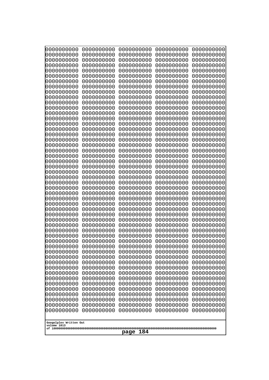| 10000000000                           | 0000000000               | 0000000000               | 0000000000               | 0000000000               |
|---------------------------------------|--------------------------|--------------------------|--------------------------|--------------------------|
| 0000000000<br>0000000000              | 0000000000<br>0000000000 | 0000000000<br>0000000000 | 0000000000<br>0000000000 | 0000000000<br>0000000000 |
| 0000000000                            | 0000000000               | 0000000000               | 0000000000               | 0000000000               |
| 0000000000                            | 0000000000               | 0000000000               | 0000000000               | 0000000000               |
| 0000000000                            | 0000000000               | 0000000000               | 0000000000               | 0000000000               |
| 0000000000<br>0000000000              | 0000000000<br>0000000000 | 0000000000<br>0000000000 | 0000000000<br>0000000000 | 0000000000<br>0000000000 |
| 0000000000                            | 0000000000               | 0000000000               | 0000000000               | 0000000000               |
| 0000000000                            | 0000000000               | 0000000000               | 0000000000               | 0000000000               |
| 0000000000                            | 0000000000               | 0000000000               | 0000000000               | 0000000000               |
| 0000000000<br>0000000000              | 0000000000<br>0000000000 | 0000000000<br>0000000000 | 0000000000<br>0000000000 | 0000000000<br>0000000000 |
| 0000000000                            | 0000000000               | 0000000000               | 0000000000               | 0000000000               |
| 0000000000                            | 0000000000               | 0000000000               | 0000000000               | 0000000000               |
| 0000000000                            | 0000000000               | 0000000000               | 0000000000               | 0000000000               |
| 0000000000<br>0000000000              | 0000000000<br>0000000000 | 0000000000<br>0000000000 | 0000000000<br>0000000000 | 0000000000<br>0000000000 |
| 0000000000                            | 0000000000               | 0000000000               | 0000000000               | 0000000000               |
| 0000000000                            | 0000000000               | 0000000000               | 0000000000               | 0000000000               |
| 0000000000                            | 0000000000               | 0000000000               | 0000000000               | 0000000000               |
| 0000000000<br>0000000000              | 0000000000<br>0000000000 | 0000000000<br>0000000000 | 0000000000<br>0000000000 | 0000000000<br>0000000000 |
| 0000000000                            | 0000000000               | 0000000000               | 0000000000               | 0000000000               |
| 0000000000                            | 0000000000               | 0000000000               | 0000000000               | 0000000000               |
| 0000000000                            | 0000000000               | 0000000000               | 0000000000               | 0000000000               |
| 0000000000<br>0000000000              | 0000000000<br>0000000000 | 0000000000<br>0000000000 | 0000000000<br>0000000000 | 0000000000<br>0000000000 |
| 0000000000                            | 0000000000               | 0000000000               | 0000000000               | 0000000000               |
| 0000000000                            | 0000000000               | 0000000000               | 0000000000               | 0000000000               |
| 0000000000                            | 0000000000               | 0000000000               | 0000000000               | 0000000000               |
| 0000000000<br>0000000000              | 0000000000<br>0000000000 | 0000000000<br>0000000000 | 0000000000<br>0000000000 | 0000000000<br>0000000000 |
| 0000000000                            | 0000000000               | 0000000000               | 0000000000               | 0000000000               |
| 0000000000                            | 0000000000               | 0000000000               | 0000000000               | 0000000000               |
| 0000000000                            | 0000000000<br>0000000000 | 0000000000<br>0000000000 | 0000000000               | 0000000000               |
| 0000000000<br>0000000000              | 0000000000               | 0000000000               | 0000000000<br>0000000000 | 0000000000<br>0000000000 |
| 0000000000                            | 0000000000               | 0000000000               | 0000000000               | 0000000000               |
| 0000000000                            | 0000000000               | 0000000000               | 0000000000               | 0000000000               |
| 0000000000<br>0000000000              | 0000000000<br>0000000000 | 0000000000<br>0000000000 | 0000000000<br>0000000000 | 0000000000<br>0000000000 |
| 0000000000                            | 0000000000               | 0000000000               | 0000000000               | 0000000000               |
| 0000000000                            | 0000000000               | 0000000000               | 0000000000               | 0000000000               |
| 0000000000                            | 0000000000               | 0000000000               | 0000000000               | 0000000000               |
| 0000000000<br>0000000000              | 0000000000<br>0000000000 | 0000000000<br>0000000000 | 0000000000<br>0000000000 | 0000000000<br>0000000000 |
| 0000000000                            | 0000000000               | 0000000000               | 0000000000               | 0000000000               |
| 0000000000                            | 0000000000               | 0000000000               | 0000000000               | 0000000000               |
| 0000000000                            | 0000000000               | 0000000000               | 0000000000               | 0000000000               |
|                                       |                          |                          |                          |                          |
| Googolplex Written Out<br>volume 1013 |                          |                          |                          |                          |
| 184<br>page                           |                          |                          |                          |                          |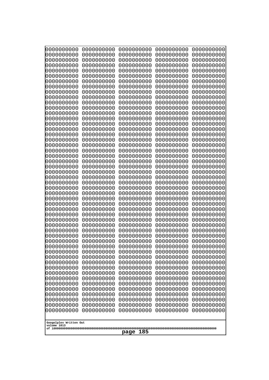| 000000000                             | 0000000000               | 0000000000               | 0000000000               | 0000000000               |
|---------------------------------------|--------------------------|--------------------------|--------------------------|--------------------------|
| 0000000000                            | 0000000000               | 0000000000               | 0000000000               | 0000000000               |
| 0000000000                            | 0000000000               | 0000000000               | 0000000000               | 0000000000               |
| 0000000000                            | 0000000000               | 0000000000               | 0000000000               | 0000000000               |
| 0000000000                            | 0000000000               | 0000000000               | 0000000000               | 0000000000               |
| 0000000000                            | 0000000000               | 0000000000               | 0000000000               | 0000000000               |
| 0000000000                            | 0000000000               | 0000000000               | 0000000000               | 0000000000               |
| 0000000000<br>0000000000              | 0000000000<br>0000000000 | 0000000000<br>0000000000 | 0000000000<br>0000000000 | 0000000000<br>0000000000 |
| 0000000000                            | 0000000000               | 0000000000               | 0000000000               | 0000000000               |
| 0000000000                            | 0000000000               | 0000000000               | 0000000000               | 0000000000               |
| 0000000000                            | 0000000000               | 0000000000               | 0000000000               | 0000000000               |
| 0000000000                            | 0000000000               | 0000000000               | 0000000000               | 0000000000               |
| 0000000000                            | 0000000000               | 0000000000               | 0000000000               | 0000000000               |
| 0000000000                            | 0000000000               | 0000000000               | 0000000000               | 0000000000               |
| 0000000000                            | 0000000000               | 0000000000               | 0000000000               | 0000000000               |
| 0000000000<br>0000000000              | 0000000000<br>0000000000 | 0000000000<br>0000000000 | 0000000000<br>0000000000 | 0000000000<br>0000000000 |
| 0000000000                            | 0000000000               | 0000000000               | 0000000000               | 0000000000               |
| 0000000000                            | 0000000000               | 0000000000               | 0000000000               | 0000000000               |
| 0000000000                            | 0000000000               | 0000000000               | 0000000000               | 0000000000               |
| 0000000000                            | 0000000000               | 0000000000               | 0000000000               | 0000000000               |
| 0000000000                            | 0000000000               | 0000000000               | 0000000000               | 0000000000               |
| 0000000000                            | 0000000000               | 0000000000               | 0000000000               | 0000000000               |
| 0000000000                            | 0000000000               | 0000000000               | 0000000000               | 0000000000               |
| 0000000000<br>0000000000              | 0000000000<br>0000000000 | 0000000000<br>0000000000 | 0000000000<br>0000000000 | 0000000000<br>0000000000 |
| 0000000000                            | 0000000000               | 0000000000               | 0000000000               | 0000000000               |
| 0000000000                            | 0000000000               | 0000000000               | 0000000000               | 0000000000               |
| 0000000000                            | 0000000000               | 0000000000               | 0000000000               | 0000000000               |
| 0000000000                            | 0000000000               | 0000000000               | 0000000000               | 0000000000               |
| 0000000000                            | 0000000000               | 0000000000               | 0000000000               | 0000000000               |
| 0000000000                            | 0000000000               | 0000000000               | 0000000000               | 0000000000               |
| 0000000000                            | 0000000000<br>0000000000 | 0000000000<br>0000000000 | 0000000000               | 0000000000               |
| 0000000000<br>0000000000              | 0000000000               | 0000000000               | 0000000000<br>0000000000 | 0000000000<br>0000000000 |
| 0000000000                            | 0000000000               | 0000000000               | 0000000000               | 0000000000               |
| 0000000000                            | 0000000000               | 0000000000               | 0000000000               | 0000000000               |
| 0000000000                            | 0000000000               | 0000000000               | 0000000000               | 0000000000               |
| 0000000000                            | 0000000000               | 0000000000               | 0000000000               | 0000000000               |
| 0000000000                            | 0000000000               | 0000000000               | 0000000000               | 0000000000               |
| 0000000000                            | 0000000000               | 0000000000               | 0000000000               | 0000000000               |
| 0000000000<br>0000000000              | 0000000000<br>0000000000 | 0000000000<br>0000000000 | 0000000000<br>0000000000 | 0000000000<br>0000000000 |
| 0000000000                            | 0000000000               | 0000000000               | 0000000000               | 0000000000               |
| 0000000000                            | 0000000000               | 0000000000               | 0000000000               | 0000000000               |
| 0000000000                            | 0000000000               | 0000000000               | 0000000000               | 0000000000               |
| 0000000000                            | 0000000000               | 0000000000               | 0000000000               | 0000000000               |
| 0000000000                            | 0000000000               | 0000000000               | 0000000000               | 0000000000               |
| 0000000000                            | 0000000000               | 0000000000               | 0000000000               | 0000000000               |
|                                       |                          |                          |                          |                          |
| Googolplex Written Out<br>volume 1013 |                          |                          |                          |                          |
| 185<br>page                           |                          |                          |                          |                          |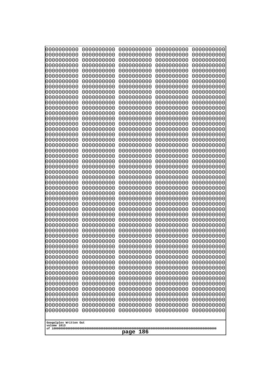| 000000000                | 0000000000               | 0000000000               | 0000000000               | 0000000000               |
|--------------------------|--------------------------|--------------------------|--------------------------|--------------------------|
| 0000000000               | 0000000000               | 0000000000               | 0000000000               | 0000000000               |
| 0000000000               | 0000000000               | 0000000000               | 0000000000               | 0000000000               |
| 0000000000               | 0000000000               | 0000000000               | 0000000000               | 0000000000               |
| 0000000000               | 0000000000               | 0000000000               | 0000000000               | 0000000000               |
| 0000000000               | 0000000000               | 0000000000               | 0000000000               | 0000000000               |
| 0000000000               | 0000000000               | 0000000000               | 0000000000               | 0000000000               |
| 0000000000<br>0000000000 | 0000000000<br>0000000000 | 0000000000<br>0000000000 | 0000000000<br>0000000000 | 0000000000<br>0000000000 |
| 0000000000               | 0000000000               | 0000000000               | 0000000000               | 0000000000               |
| 0000000000               | 0000000000               | 0000000000               | 0000000000               | 0000000000               |
| 0000000000               | 0000000000               | 0000000000               | 0000000000               | 0000000000               |
| 0000000000               | 0000000000               | 0000000000               | 0000000000               | 0000000000               |
| 0000000000               | 0000000000               | 0000000000               | 0000000000               | 0000000000               |
| 0000000000               | 0000000000               | 0000000000               | 0000000000               | 0000000000               |
| 0000000000               | 0000000000               | 0000000000               | 0000000000               | 0000000000               |
| 0000000000               | 0000000000               | 0000000000               | 0000000000               | 0000000000               |
| 0000000000               | 0000000000               | 0000000000               | 0000000000               | 0000000000               |
| 0000000000<br>0000000000 | 0000000000<br>0000000000 | 0000000000<br>0000000000 | 0000000000<br>0000000000 | 0000000000<br>0000000000 |
| 0000000000               | 0000000000               | 0000000000               | 0000000000               | 0000000000               |
| 0000000000               | 0000000000               | 0000000000               | 0000000000               | 0000000000               |
| 0000000000               | 0000000000               | 0000000000               | 0000000000               | 0000000000               |
| 0000000000               | 0000000000               | 0000000000               | 0000000000               | 0000000000               |
| 0000000000               | 0000000000               | 0000000000               | 0000000000               | 0000000000               |
| 0000000000               | 0000000000               | 0000000000               | 0000000000               | 0000000000               |
| 0000000000               | 0000000000               | 0000000000               | 0000000000               | 0000000000               |
| 0000000000               | 0000000000               | 0000000000               | 0000000000               | 0000000000               |
| 0000000000<br>0000000000 | 0000000000<br>0000000000 | 0000000000<br>0000000000 | 0000000000<br>0000000000 | 0000000000<br>0000000000 |
| 0000000000               | 0000000000               | 0000000000               | 0000000000               | 0000000000               |
| 0000000000               | 0000000000               | 0000000000               | 0000000000               | 0000000000               |
| 0000000000               | 0000000000               | 0000000000               | 0000000000               | 0000000000               |
| 0000000000               | 0000000000               | 0000000000               | 0000000000               | 0000000000               |
| 0000000000               | 0000000000               | 0000000000               | 0000000000               | 0000000000               |
| 0000000000               | 0000000000               | 0000000000               | 0000000000               | 0000000000               |
| 0000000000               | 0000000000               | 0000000000               | 0000000000               | 0000000000               |
| 0000000000<br>0000000000 | 0000000000               | 0000000000               | 0000000000               | 0000000000               |
| 0000000000               | 0000000000<br>0000000000 | 0000000000<br>0000000000 | 0000000000<br>0000000000 | 0000000000<br>0000000000 |
| 0000000000               | 0000000000               | 0000000000               | 0000000000               | 0000000000               |
| 0000000000               | 0000000000               | 0000000000               | 0000000000               | 0000000000               |
| 0000000000               | 0000000000               | 0000000000               | 0000000000               | 0000000000               |
| 0000000000               | 0000000000               | 0000000000               | 0000000000               | 0000000000               |
| 0000000000               | 0000000000               | 0000000000               | 0000000000               | 0000000000               |
| 0000000000               | 0000000000               | 0000000000               | 0000000000               | 0000000000               |
| 0000000000               | 0000000000               | 0000000000               | 0000000000               | 0000000000               |
| 0000000000<br>0000000000 | 0000000000<br>0000000000 | 0000000000<br>0000000000 | 0000000000<br>0000000000 | 0000000000<br>0000000000 |
| 0000000000               | 0000000000               | 0000000000               | 0000000000               | 0000000000               |
|                          |                          |                          |                          |                          |
| Googolplex Written Out   |                          |                          |                          |                          |
| volume 1013              |                          |                          |                          |                          |
| 186<br>page              |                          |                          |                          |                          |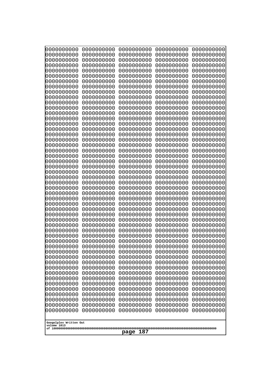| 000000000                             | 0000000000               | 0000000000               | 0000000000               | 0000000000               |
|---------------------------------------|--------------------------|--------------------------|--------------------------|--------------------------|
| 0000000000                            | 0000000000               | 0000000000               | 0000000000               | 0000000000               |
| 0000000000                            | 0000000000               | 0000000000               | 0000000000               | 0000000000               |
| 0000000000                            | 0000000000               | 0000000000               | 0000000000               | 0000000000               |
| 0000000000                            | 0000000000               | 0000000000               | 0000000000               | 0000000000               |
| 0000000000                            | 0000000000               | 0000000000               | 0000000000               | 0000000000               |
| 0000000000<br>0000000000              | 0000000000<br>0000000000 | 0000000000<br>0000000000 | 0000000000<br>0000000000 | 0000000000               |
| 0000000000                            | 0000000000               | 0000000000               | 0000000000               | 0000000000<br>0000000000 |
| 0000000000                            | 0000000000               | 0000000000               | 0000000000               | 0000000000               |
| 0000000000                            | 0000000000               | 0000000000               | 0000000000               | 0000000000               |
| 0000000000                            | 0000000000               | 0000000000               | 0000000000               | 0000000000               |
| 0000000000                            | 0000000000               | 0000000000               | 0000000000               | 0000000000               |
| 0000000000                            | 0000000000               | 0000000000               | 0000000000               | 0000000000               |
| 0000000000                            | 0000000000               | 0000000000               | 0000000000               | 0000000000               |
| 0000000000                            | 0000000000               | 0000000000               | 0000000000               | 0000000000               |
| 0000000000<br>0000000000              | 0000000000<br>0000000000 | 0000000000<br>0000000000 | 0000000000<br>0000000000 | 0000000000<br>0000000000 |
| 0000000000                            | 0000000000               | 0000000000               | 0000000000               | 0000000000               |
| 0000000000                            | 0000000000               | 0000000000               | 0000000000               | 0000000000               |
| 0000000000                            | 0000000000               | 0000000000               | 0000000000               | 0000000000               |
| 0000000000                            | 0000000000               | 0000000000               | 0000000000               | 0000000000               |
| 0000000000                            | 0000000000               | 0000000000               | 0000000000               | 0000000000               |
| 0000000000                            | 0000000000               | 0000000000               | 0000000000               | 0000000000               |
| 0000000000                            | 0000000000               | 0000000000               | 0000000000               | 0000000000               |
| 0000000000<br>0000000000              | 0000000000<br>0000000000 | 0000000000<br>0000000000 | 0000000000<br>0000000000 | 0000000000<br>0000000000 |
| 0000000000                            | 0000000000               | 0000000000               | 0000000000               | 0000000000               |
| 0000000000                            | 0000000000               | 0000000000               | 0000000000               | 0000000000               |
| 0000000000                            | 0000000000               | 0000000000               | 0000000000               | 0000000000               |
| 0000000000                            | 0000000000               | 0000000000               | 0000000000               | 0000000000               |
| 0000000000                            | 0000000000               | 0000000000               | 0000000000               | 0000000000               |
| 0000000000                            | 0000000000               | 0000000000               | 0000000000               | 0000000000               |
| 0000000000<br>0000000000              | 0000000000<br>0000000000 | 0000000000<br>0000000000 | 0000000000<br>0000000000 | 0000000000<br>0000000000 |
| 0000000000                            | 0000000000               | 0000000000               | 0000000000               | 0000000000               |
| 0000000000                            | 0000000000               | 0000000000               | 0000000000               | 0000000000               |
| 0000000000                            | 0000000000               | 0000000000               | 0000000000               | 0000000000               |
| 0000000000                            | 0000000000               | 0000000000               | 0000000000               | 0000000000               |
| 0000000000                            | 0000000000               | 0000000000               | 0000000000               | 0000000000               |
| 0000000000                            | 0000000000               | 0000000000               | 0000000000               | 0000000000               |
| 0000000000                            | 0000000000               | 0000000000               | 0000000000               | 0000000000               |
| 0000000000<br>0000000000              | 0000000000<br>0000000000 | 0000000000<br>0000000000 | 0000000000<br>0000000000 | 0000000000<br>0000000000 |
| 0000000000                            | 0000000000               | 0000000000               | 0000000000               | 0000000000               |
| 0000000000                            | 0000000000               | 0000000000               | 0000000000               | 0000000000               |
| 0000000000                            | 0000000000               | 0000000000               | 0000000000               | 0000000000               |
| 0000000000                            | 0000000000               | 0000000000               | 0000000000               | 0000000000               |
| 0000000000                            | 0000000000               | 0000000000               | 0000000000               | 0000000000               |
| 0000000000                            | 0000000000               | 0000000000               | 0000000000               | 0000000000               |
|                                       |                          |                          |                          |                          |
| Googolplex Written Out<br>volume 1013 |                          |                          |                          |                          |
|                                       | 187<br>page              |                          |                          |                          |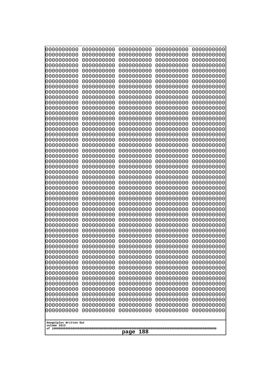| 10000000000                           | 0000000000               | 0000000000               | 0000000000               | 0000000000               |
|---------------------------------------|--------------------------|--------------------------|--------------------------|--------------------------|
| 0000000000<br>0000000000              | 0000000000<br>0000000000 | 0000000000<br>0000000000 | 0000000000<br>0000000000 | 0000000000<br>0000000000 |
| 0000000000                            | 0000000000               | 0000000000               | 0000000000               | 0000000000               |
| 0000000000                            | 0000000000               | 0000000000               | 0000000000               | 0000000000               |
| 0000000000                            | 0000000000               | 0000000000               | 0000000000               | 0000000000               |
| 0000000000<br>0000000000              | 0000000000<br>0000000000 | 0000000000<br>0000000000 | 0000000000<br>0000000000 | 0000000000<br>0000000000 |
| 0000000000                            | 0000000000               | 0000000000               | 0000000000               | 0000000000               |
| 0000000000                            | 0000000000               | 0000000000               | 0000000000               | 0000000000               |
| 0000000000                            | 0000000000               | 0000000000               | 0000000000               | 0000000000               |
| 0000000000<br>0000000000              | 0000000000<br>0000000000 | 0000000000<br>0000000000 | 0000000000<br>0000000000 | 0000000000<br>0000000000 |
| 0000000000                            | 0000000000               | 0000000000               | 0000000000               | 0000000000               |
| 0000000000                            | 0000000000               | 0000000000               | 0000000000               | 0000000000               |
| 0000000000                            | 0000000000               | 0000000000               | 0000000000               | 0000000000               |
| 0000000000<br>0000000000              | 0000000000<br>0000000000 | 0000000000<br>0000000000 | 0000000000<br>0000000000 | 0000000000<br>0000000000 |
| 0000000000                            | 0000000000               | 0000000000               | 0000000000               | 0000000000               |
| 0000000000                            | 0000000000               | 0000000000               | 0000000000               | 0000000000               |
| 0000000000                            | 0000000000               | 0000000000               | 0000000000               | 0000000000               |
| 0000000000<br>0000000000              | 0000000000<br>0000000000 | 0000000000<br>0000000000 | 0000000000<br>0000000000 | 0000000000<br>0000000000 |
| 0000000000                            | 0000000000               | 0000000000               | 0000000000               | 0000000000               |
| 0000000000                            | 0000000000               | 0000000000               | 0000000000               | 0000000000               |
| 0000000000                            | 0000000000               | 0000000000               | 0000000000               | 0000000000               |
| 0000000000<br>0000000000              | 0000000000<br>0000000000 | 0000000000<br>0000000000 | 0000000000<br>0000000000 | 0000000000<br>0000000000 |
| 0000000000                            | 0000000000               | 0000000000               | 0000000000               | 0000000000               |
| 0000000000                            | 0000000000               | 0000000000               | 0000000000               | 0000000000               |
| 0000000000                            | 0000000000               | 0000000000               | 0000000000               | 0000000000               |
| 0000000000<br>0000000000              | 0000000000<br>0000000000 | 0000000000<br>0000000000 | 0000000000<br>0000000000 | 0000000000<br>0000000000 |
| 0000000000                            | 0000000000               | 0000000000               | 0000000000               | 0000000000               |
| 0000000000                            | 0000000000               | 0000000000               | 0000000000               | 0000000000               |
| 0000000000                            | 0000000000<br>0000000000 | 0000000000<br>0000000000 | 0000000000               | 0000000000               |
| 0000000000<br>0000000000              | 0000000000               | 0000000000               | 0000000000<br>0000000000 | 0000000000<br>0000000000 |
| 0000000000                            | 0000000000               | 0000000000               | 0000000000               | 0000000000               |
| 0000000000                            | 0000000000               | 0000000000               | 0000000000               | 0000000000               |
| 0000000000<br>0000000000              | 0000000000<br>0000000000 | 0000000000<br>0000000000 | 0000000000<br>0000000000 | 0000000000<br>0000000000 |
| 0000000000                            | 0000000000               | 0000000000               | 0000000000               | 0000000000               |
| 0000000000                            | 0000000000               | 0000000000               | 0000000000               | 0000000000               |
| 0000000000                            | 0000000000               | 0000000000               | 0000000000               | 0000000000               |
| 0000000000<br>0000000000              | 0000000000<br>0000000000 | 0000000000<br>0000000000 | 0000000000<br>0000000000 | 0000000000<br>0000000000 |
| 0000000000                            | 0000000000               | 0000000000               | 0000000000               | 0000000000               |
| 0000000000                            | 0000000000               | 0000000000               | 0000000000               | 0000000000               |
| 0000000000                            | 0000000000               | 0000000000               | 0000000000               | 0000000000               |
|                                       |                          |                          |                          |                          |
| Googolplex Written Out<br>volume 1013 |                          |                          |                          |                          |
| 188<br>page                           |                          |                          |                          |                          |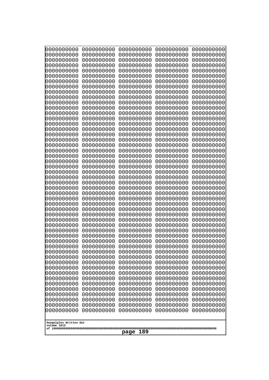| 10000000000                           | 0000000000               | 0000000000               | 0000000000               | 0000000000               |
|---------------------------------------|--------------------------|--------------------------|--------------------------|--------------------------|
| 0000000000<br>0000000000              | 0000000000<br>0000000000 | 0000000000<br>0000000000 | 0000000000<br>0000000000 | 0000000000<br>0000000000 |
| 0000000000                            | 0000000000               | 0000000000               | 0000000000               | 0000000000               |
| 0000000000                            | 0000000000               | 0000000000               | 0000000000               | 0000000000               |
| 0000000000                            | 0000000000               | 0000000000               | 0000000000               | 0000000000               |
| 0000000000<br>0000000000              | 0000000000<br>0000000000 | 0000000000<br>0000000000 | 0000000000<br>0000000000 | 0000000000<br>0000000000 |
| 0000000000                            | 0000000000               | 0000000000               | 0000000000               | 0000000000               |
| 0000000000                            | 0000000000               | 0000000000               | 0000000000               | 0000000000               |
| 0000000000                            | 0000000000               | 0000000000               | 0000000000               | 0000000000               |
| 0000000000<br>0000000000              | 0000000000<br>0000000000 | 0000000000<br>0000000000 | 0000000000<br>0000000000 | 0000000000<br>0000000000 |
| 0000000000                            | 0000000000               | 0000000000               | 0000000000               | 0000000000               |
| 0000000000                            | 0000000000               | 0000000000               | 0000000000               | 0000000000               |
| 0000000000                            | 0000000000               | 0000000000               | 0000000000               | 0000000000               |
| 0000000000<br>0000000000              | 0000000000<br>0000000000 | 0000000000<br>0000000000 | 0000000000<br>0000000000 | 0000000000<br>0000000000 |
| 0000000000                            | 0000000000               | 0000000000               | 0000000000               | 0000000000               |
| 0000000000                            | 0000000000               | 0000000000               | 0000000000               | 0000000000               |
| 0000000000                            | 0000000000               | 0000000000               | 0000000000               | 0000000000               |
| 0000000000<br>0000000000              | 0000000000<br>0000000000 | 0000000000<br>0000000000 | 0000000000<br>0000000000 | 0000000000<br>0000000000 |
| 0000000000                            | 0000000000               | 0000000000               | 0000000000               | 0000000000               |
| 0000000000                            | 0000000000               | 0000000000               | 0000000000               | 0000000000               |
| 0000000000                            | 0000000000               | 0000000000               | 0000000000               | 0000000000               |
| 0000000000<br>0000000000              | 0000000000<br>0000000000 | 0000000000<br>0000000000 | 0000000000<br>0000000000 | 0000000000<br>0000000000 |
| 0000000000                            | 0000000000               | 0000000000               | 0000000000               | 0000000000               |
| 0000000000                            | 0000000000               | 0000000000               | 0000000000               | 0000000000               |
| 0000000000                            | 0000000000               | 0000000000               | 0000000000               | 0000000000               |
| 0000000000<br>0000000000              | 0000000000<br>0000000000 | 0000000000<br>0000000000 | 0000000000<br>0000000000 | 0000000000<br>0000000000 |
| 0000000000                            | 0000000000               | 0000000000               | 0000000000               | 0000000000               |
| 0000000000                            | 0000000000               | 0000000000               | 0000000000               | 0000000000               |
| 0000000000                            | 0000000000<br>0000000000 | 0000000000<br>0000000000 | 0000000000               | 0000000000               |
| 0000000000<br>0000000000              | 0000000000               | 0000000000               | 0000000000<br>0000000000 | 0000000000<br>0000000000 |
| 0000000000                            | 0000000000               | 0000000000               | 0000000000               | 0000000000               |
| 0000000000                            | 0000000000               | 0000000000               | 0000000000               | 0000000000               |
| 0000000000<br>0000000000              | 0000000000<br>0000000000 | 0000000000<br>0000000000 | 0000000000<br>0000000000 | 0000000000<br>0000000000 |
| 0000000000                            | 0000000000               | 0000000000               | 0000000000               | 0000000000               |
| 0000000000                            | 0000000000               | 0000000000               | 0000000000               | 0000000000               |
| 0000000000                            | 0000000000               | 0000000000               | 0000000000               | 0000000000               |
| 0000000000<br>0000000000              | 0000000000<br>0000000000 | 0000000000<br>0000000000 | 0000000000<br>0000000000 | 0000000000<br>0000000000 |
| 0000000000                            | 0000000000               | 0000000000               | 0000000000               | 0000000000               |
| 0000000000                            | 0000000000               | 0000000000               | 0000000000               | 0000000000               |
| 0000000000                            | 0000000000               | 0000000000               | 0000000000               | 0000000000               |
|                                       |                          |                          |                          |                          |
| Googolplex Written Out<br>volume 1013 |                          |                          |                          |                          |
| 189<br>page                           |                          |                          |                          |                          |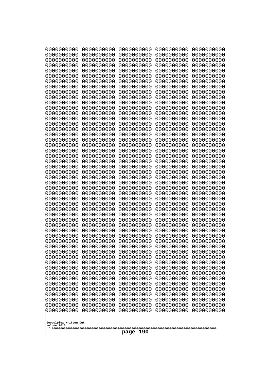| 10000000000                           | 0000000000               | 0000000000<br>0000000000 | 0000000000<br>0000000000 | 0000000000<br>0000000000 |
|---------------------------------------|--------------------------|--------------------------|--------------------------|--------------------------|
| 0000000000<br>0000000000              | 0000000000<br>0000000000 | 0000000000               | 0000000000               | 0000000000               |
| 0000000000                            | 0000000000               | 0000000000               | 0000000000               | 0000000000               |
| 0000000000                            | 0000000000               | 0000000000               | 0000000000               | 0000000000               |
| 0000000000                            | 0000000000               | 0000000000<br>0000000000 | 0000000000<br>0000000000 | 0000000000               |
| 0000000000<br>0000000000              | 0000000000<br>0000000000 | 0000000000               | 0000000000               | 0000000000<br>0000000000 |
| 0000000000                            | 0000000000               | 0000000000               | 0000000000               | 0000000000               |
| 0000000000                            | 0000000000               | 0000000000               | 0000000000               | 0000000000               |
| 0000000000<br>0000000000              | 0000000000<br>0000000000 | 0000000000<br>0000000000 | 0000000000<br>0000000000 | 0000000000<br>0000000000 |
| 0000000000                            | 0000000000               | 0000000000               | 0000000000               | 0000000000               |
| 0000000000                            | 0000000000               | 0000000000               | 0000000000               | 0000000000               |
| 0000000000                            | 0000000000               | 0000000000               | 0000000000               | 0000000000               |
| 0000000000<br>0000000000              | 0000000000<br>0000000000 | 0000000000<br>0000000000 | 0000000000<br>0000000000 | 0000000000<br>0000000000 |
| 0000000000                            | 0000000000               | 0000000000               | 0000000000               | 0000000000               |
| 0000000000                            | 0000000000               | 0000000000               | 0000000000               | 0000000000               |
| 0000000000                            | 0000000000               | 0000000000               | 0000000000               | 0000000000               |
| 0000000000<br>0000000000              | 0000000000<br>0000000000 | 0000000000<br>0000000000 | 0000000000<br>0000000000 | 0000000000<br>0000000000 |
| 0000000000                            | 0000000000               | 0000000000               | 0000000000               | 0000000000               |
| 0000000000                            | 0000000000               | 0000000000               | 0000000000               | 0000000000               |
| 0000000000<br>0000000000              | 0000000000<br>0000000000 | 0000000000<br>0000000000 | 0000000000<br>0000000000 | 0000000000<br>0000000000 |
| 0000000000                            | 0000000000               | 0000000000               | 0000000000               | 0000000000               |
| 0000000000                            | 0000000000               | 0000000000               | 0000000000               | 0000000000               |
| 0000000000                            | 0000000000               | 0000000000               | 0000000000               | 0000000000               |
| 0000000000<br>0000000000              | 0000000000<br>0000000000 | 0000000000<br>0000000000 | 0000000000<br>0000000000 | 0000000000<br>0000000000 |
| 0000000000                            | 0000000000               | 0000000000               | 0000000000               | 0000000000               |
| 0000000000                            | 0000000000               | 0000000000               | 0000000000               | 0000000000               |
| 0000000000<br>0000000000              | 0000000000<br>0000000000 | 0000000000<br>0000000000 | 0000000000<br>0000000000 | 0000000000<br>0000000000 |
| 0000000000                            | 0000000000               | 0000000000               | 0000000000               | 0000000000               |
| 0000000000                            | 0000000000               | 0000000000               | 0000000000               | 0000000000               |
| 0000000000                            | 0000000000               | 0000000000               | 0000000000               | 0000000000               |
| 0000000000<br>0000000000              | 0000000000<br>0000000000 | 0000000000<br>0000000000 | 0000000000<br>0000000000 | 0000000000<br>0000000000 |
| 0000000000                            | 0000000000               | 0000000000               | 0000000000               | 0000000000               |
| 0000000000                            | 0000000000               | 0000000000               | 0000000000               | 0000000000               |
| 0000000000<br>0000000000              | 0000000000<br>0000000000 | 0000000000<br>0000000000 | 0000000000<br>0000000000 | 0000000000<br>0000000000 |
| 0000000000                            | 0000000000               | 0000000000               | 0000000000               | 0000000000               |
| 0000000000                            | 0000000000               | 0000000000               | 0000000000               | 0000000000               |
| 0000000000                            | 0000000000               | 0000000000               | 0000000000               | 0000000000               |
| 0000000000<br>0000000000              | 0000000000<br>0000000000 | 0000000000<br>0000000000 | 0000000000<br>0000000000 | 0000000000<br>0000000000 |
| 0000000000                            | 0000000000               | 0000000000               | 0000000000               | 0000000000               |
|                                       |                          |                          |                          |                          |
| Googolplex Written Out<br>volume 1013 |                          |                          |                          |                          |
| 190<br>page                           |                          |                          |                          |                          |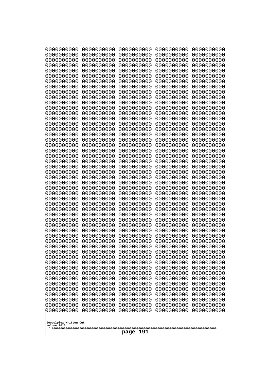| 10000000000                           | 0000000000               | 0000000000               | 0000000000               | 0000000000               |
|---------------------------------------|--------------------------|--------------------------|--------------------------|--------------------------|
| 0000000000<br>0000000000              | 0000000000<br>0000000000 | 0000000000<br>0000000000 | 0000000000<br>0000000000 | 0000000000<br>0000000000 |
| 0000000000                            | 0000000000               | 0000000000               | 0000000000               | 0000000000               |
| 0000000000                            | 0000000000               | 0000000000               | 0000000000               | 0000000000               |
| 0000000000                            | 0000000000               | 0000000000               | 0000000000               | 0000000000               |
| 0000000000<br>0000000000              | 0000000000<br>0000000000 | 0000000000<br>0000000000 | 0000000000<br>0000000000 | 0000000000<br>0000000000 |
| 0000000000                            | 0000000000               | 0000000000               | 0000000000               | 0000000000               |
| 0000000000                            | 0000000000               | 0000000000               | 0000000000               | 0000000000               |
| 0000000000                            | 0000000000               | 0000000000               | 0000000000               | 0000000000               |
| 0000000000<br>0000000000              | 0000000000<br>0000000000 | 0000000000<br>0000000000 | 0000000000<br>0000000000 | 0000000000<br>0000000000 |
| 0000000000                            | 0000000000               | 0000000000               | 0000000000               | 0000000000               |
| 0000000000                            | 0000000000               | 0000000000               | 0000000000               | 0000000000               |
| 0000000000                            | 0000000000               | 0000000000               | 0000000000               | 0000000000               |
| 0000000000<br>0000000000              | 0000000000<br>0000000000 | 0000000000<br>0000000000 | 0000000000<br>0000000000 | 0000000000<br>0000000000 |
| 0000000000                            | 0000000000               | 0000000000               | 0000000000               | 0000000000               |
| 0000000000                            | 0000000000               | 0000000000               | 0000000000               | 0000000000               |
| 0000000000                            | 0000000000               | 0000000000               | 0000000000               | 0000000000               |
| 0000000000<br>0000000000              | 0000000000<br>0000000000 | 0000000000<br>0000000000 | 0000000000<br>0000000000 | 0000000000<br>0000000000 |
| 0000000000                            | 0000000000               | 0000000000               | 0000000000               | 0000000000               |
| 0000000000                            | 0000000000               | 0000000000               | 0000000000               | 0000000000               |
| 0000000000                            | 0000000000               | 0000000000               | 0000000000               | 0000000000               |
| 0000000000<br>0000000000              | 0000000000<br>0000000000 | 0000000000<br>0000000000 | 0000000000<br>0000000000 | 0000000000<br>0000000000 |
| 0000000000                            | 0000000000               | 0000000000               | 0000000000               | 0000000000               |
| 0000000000                            | 0000000000               | 0000000000               | 0000000000               | 0000000000               |
| 0000000000                            | 0000000000               | 0000000000               | 0000000000               | 0000000000               |
| 0000000000<br>0000000000              | 0000000000<br>0000000000 | 0000000000<br>0000000000 | 0000000000<br>0000000000 | 0000000000<br>0000000000 |
| 0000000000                            | 0000000000               | 0000000000               | 0000000000               | 0000000000               |
| 0000000000                            | 0000000000               | 0000000000               | 0000000000               | 0000000000               |
| 0000000000                            | 0000000000<br>0000000000 | 0000000000<br>0000000000 | 0000000000               | 0000000000               |
| 0000000000<br>0000000000              | 0000000000               | 0000000000               | 0000000000<br>0000000000 | 0000000000<br>0000000000 |
| 0000000000                            | 0000000000               | 0000000000               | 0000000000               | 0000000000               |
| 0000000000                            | 0000000000               | 0000000000               | 0000000000               | 0000000000               |
| 0000000000<br>0000000000              | 0000000000<br>0000000000 | 0000000000<br>0000000000 | 0000000000<br>0000000000 | 0000000000<br>0000000000 |
| 0000000000                            | 0000000000               | 0000000000               | 0000000000               | 0000000000               |
| 0000000000                            | 0000000000               | 0000000000               | 0000000000               | 0000000000               |
| 0000000000                            | 0000000000               | 0000000000               | 0000000000               | 0000000000               |
| 0000000000<br>0000000000              | 0000000000<br>0000000000 | 0000000000<br>0000000000 | 0000000000<br>0000000000 | 0000000000<br>0000000000 |
| 0000000000                            | 0000000000               | 0000000000               | 0000000000               | 0000000000               |
| 0000000000                            | 0000000000               | 0000000000               | 0000000000               | 0000000000               |
| 0000000000                            | 0000000000               | 0000000000               | 0000000000               | 0000000000               |
|                                       |                          |                          |                          |                          |
| Googolplex Written Out<br>volume 1013 |                          |                          |                          |                          |
| 191<br>page                           |                          |                          |                          |                          |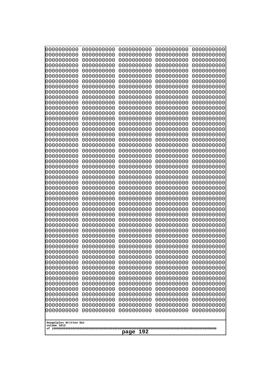| 10000000000              | 0000000000               | 0000000000               | 0000000000               | 0000000000               |
|--------------------------|--------------------------|--------------------------|--------------------------|--------------------------|
| 0000000000<br>0000000000 | 0000000000<br>0000000000 | 0000000000<br>0000000000 | 0000000000<br>0000000000 | 0000000000<br>0000000000 |
| 0000000000               | 0000000000               | 0000000000               | 0000000000               | 0000000000               |
| 0000000000               | 0000000000               | 0000000000               | 0000000000               | 0000000000               |
| 0000000000               | 0000000000               | 0000000000               | 0000000000               | 0000000000               |
| 0000000000<br>0000000000 | 0000000000<br>0000000000 | 0000000000<br>0000000000 | 0000000000<br>0000000000 | 0000000000<br>0000000000 |
| 0000000000               | 0000000000               | 0000000000               | 0000000000               | 0000000000               |
| 0000000000               | 0000000000               | 0000000000               | 0000000000               | 0000000000               |
| 0000000000               | 0000000000               | 0000000000               | 0000000000               | 0000000000               |
| 0000000000<br>0000000000 | 0000000000<br>0000000000 | 0000000000<br>0000000000 | 0000000000<br>0000000000 | 0000000000<br>0000000000 |
| 0000000000               | 0000000000               | 0000000000               | 0000000000               | 0000000000               |
| 0000000000               | 0000000000               | 0000000000               | 0000000000               | 0000000000               |
| 0000000000               | 0000000000               | 0000000000               | 0000000000               | 0000000000               |
| 0000000000<br>0000000000 | 0000000000<br>0000000000 | 0000000000<br>0000000000 | 0000000000<br>0000000000 | 0000000000<br>0000000000 |
| 0000000000               | 0000000000               | 0000000000               | 0000000000               | 0000000000               |
| 0000000000               | 0000000000               | 0000000000               | 0000000000               | 0000000000               |
| 0000000000               | 0000000000<br>0000000000 | 0000000000               | 0000000000               | 0000000000               |
| 0000000000<br>0000000000 | 0000000000               | 0000000000<br>0000000000 | 0000000000<br>0000000000 | 0000000000<br>0000000000 |
| 0000000000               | 0000000000               | 0000000000               | 0000000000               | 0000000000               |
| 0000000000               | 0000000000               | 0000000000               | 0000000000               | 0000000000               |
| 0000000000<br>0000000000 | 0000000000<br>0000000000 | 0000000000<br>0000000000 | 0000000000<br>0000000000 | 0000000000<br>0000000000 |
| 0000000000               | 0000000000               | 0000000000               | 0000000000               | 0000000000               |
| 0000000000               | 0000000000               | 0000000000               | 0000000000               | 0000000000               |
| 0000000000               | 0000000000               | 0000000000               | 0000000000               | 0000000000               |
| 0000000000<br>0000000000 | 0000000000<br>0000000000 | 0000000000<br>0000000000 | 0000000000<br>0000000000 | 0000000000<br>0000000000 |
| 0000000000               | 0000000000               | 0000000000               | 0000000000               | 0000000000               |
| 0000000000               | 0000000000               | 0000000000               | 0000000000               | 0000000000               |
| 0000000000<br>0000000000 | 0000000000<br>0000000000 | 0000000000               | 0000000000               | 0000000000               |
| 0000000000               | 0000000000               | 0000000000<br>0000000000 | 0000000000<br>0000000000 | 0000000000<br>0000000000 |
| 0000000000               | 0000000000               | 0000000000               | 0000000000               | 0000000000               |
| 0000000000               | 0000000000               | 0000000000               | 0000000000               | 0000000000               |
| 0000000000<br>0000000000 | 0000000000<br>0000000000 | 0000000000<br>0000000000 | 0000000000<br>0000000000 | 0000000000<br>0000000000 |
| 0000000000               | 0000000000               | 0000000000               | 0000000000               | 0000000000               |
| 0000000000               | 0000000000               | 0000000000               | 0000000000               | 0000000000               |
| 0000000000               | 0000000000               | 0000000000               | 0000000000               | 0000000000               |
| 0000000000<br>0000000000 | 0000000000<br>0000000000 | 0000000000<br>0000000000 | 0000000000<br>0000000000 | 0000000000<br>0000000000 |
| 0000000000               | 0000000000               | 0000000000               | 0000000000               | 0000000000               |
| 0000000000               | 0000000000               | 0000000000               | 0000000000               | 0000000000               |
| 0000000000               | 0000000000               | 0000000000               | 0000000000               | 0000000000               |
| 0000000000               | 0000000000               | 0000000000               | 0000000000               | 0000000000               |
| Googolplex Written Out   |                          |                          |                          |                          |
| volume 1013              |                          |                          |                          |                          |
|                          |                          | 192<br>page              |                          |                          |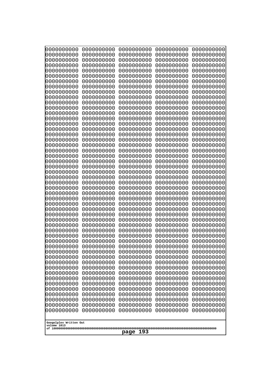| 0000000000                                                                                                                              | 0000000000                                                                                     | 0000000000                                                                                                    | 0000000000                                                                                     | 0000000000                                                                                     |
|-----------------------------------------------------------------------------------------------------------------------------------------|------------------------------------------------------------------------------------------------|---------------------------------------------------------------------------------------------------------------|------------------------------------------------------------------------------------------------|------------------------------------------------------------------------------------------------|
| 0000000000                                                                                                                              | 0000000000                                                                                     | 0000000000                                                                                                    | 0000000000                                                                                     | 0000000000                                                                                     |
| 0000000000                                                                                                                              | 0000000000                                                                                     | 0000000000                                                                                                    | 0000000000                                                                                     | 0000000000                                                                                     |
| 0000000000                                                                                                                              | 0000000000                                                                                     | 0000000000                                                                                                    | 0000000000                                                                                     | 0000000000                                                                                     |
| 0000000000                                                                                                                              | 0000000000                                                                                     | 0000000000                                                                                                    | 0000000000                                                                                     | 0000000000                                                                                     |
| 0000000000                                                                                                                              | 0000000000                                                                                     | 0000000000                                                                                                    | 0000000000                                                                                     | 0000000000                                                                                     |
| 0000000000                                                                                                                              | 0000000000                                                                                     | 0000000000                                                                                                    | 0000000000                                                                                     | 0000000000                                                                                     |
| 0000000000                                                                                                                              | 0000000000                                                                                     | 0000000000                                                                                                    | 0000000000                                                                                     | 0000000000                                                                                     |
| 0000000000                                                                                                                              | 0000000000                                                                                     | 0000000000                                                                                                    | 0000000000                                                                                     | 0000000000                                                                                     |
| 0000000000                                                                                                                              | 0000000000                                                                                     | 0000000000                                                                                                    | 0000000000                                                                                     | 0000000000                                                                                     |
| 0000000000                                                                                                                              | 0000000000                                                                                     | 0000000000                                                                                                    | 0000000000                                                                                     | 0000000000                                                                                     |
| 0000000000                                                                                                                              | 0000000000                                                                                     | 0000000000                                                                                                    | 0000000000                                                                                     | 0000000000                                                                                     |
| 0000000000                                                                                                                              | 0000000000                                                                                     | 0000000000                                                                                                    | 0000000000                                                                                     | 0000000000                                                                                     |
| 0000000000                                                                                                                              | 0000000000                                                                                     | 0000000000                                                                                                    | 0000000000                                                                                     | 0000000000                                                                                     |
| 0000000000                                                                                                                              | 0000000000                                                                                     | 0000000000                                                                                                    | 0000000000                                                                                     | 0000000000                                                                                     |
| 0000000000                                                                                                                              | 0000000000                                                                                     | 0000000000                                                                                                    | 0000000000                                                                                     | 0000000000                                                                                     |
| 0000000000                                                                                                                              | 0000000000                                                                                     | 0000000000                                                                                                    | 0000000000                                                                                     | 0000000000                                                                                     |
| 0000000000                                                                                                                              | 0000000000                                                                                     | 0000000000                                                                                                    | 0000000000                                                                                     | 0000000000                                                                                     |
| 0000000000                                                                                                                              | 0000000000                                                                                     | 0000000000                                                                                                    | 0000000000                                                                                     | 0000000000                                                                                     |
| 0000000000                                                                                                                              | 0000000000                                                                                     | 0000000000                                                                                                    | 0000000000                                                                                     | 0000000000                                                                                     |
| 0000000000                                                                                                                              | 0000000000                                                                                     | 0000000000                                                                                                    | 0000000000                                                                                     | 0000000000                                                                                     |
| 0000000000                                                                                                                              | 0000000000                                                                                     | 0000000000                                                                                                    | 0000000000                                                                                     | 0000000000                                                                                     |
| 0000000000                                                                                                                              | 0000000000                                                                                     | 0000000000                                                                                                    | 0000000000                                                                                     | 0000000000                                                                                     |
| 0000000000                                                                                                                              | 0000000000                                                                                     | 0000000000                                                                                                    | 0000000000                                                                                     | 0000000000                                                                                     |
| 0000000000                                                                                                                              | 0000000000                                                                                     | 0000000000                                                                                                    | 0000000000                                                                                     | 0000000000                                                                                     |
| 0000000000                                                                                                                              | 0000000000                                                                                     | 0000000000                                                                                                    | 0000000000                                                                                     | 0000000000                                                                                     |
| 0000000000                                                                                                                              | 0000000000                                                                                     | 0000000000                                                                                                    | 0000000000                                                                                     | 0000000000                                                                                     |
| 0000000000                                                                                                                              | 0000000000                                                                                     | 0000000000                                                                                                    | 0000000000                                                                                     | 0000000000                                                                                     |
| 0000000000                                                                                                                              | 0000000000                                                                                     | 0000000000                                                                                                    | 0000000000                                                                                     | 0000000000                                                                                     |
| 0000000000                                                                                                                              | 0000000000                                                                                     | 0000000000                                                                                                    | 0000000000                                                                                     | 0000000000                                                                                     |
| 0000000000                                                                                                                              | 0000000000                                                                                     | 0000000000                                                                                                    | 0000000000                                                                                     | 0000000000                                                                                     |
| 0000000000                                                                                                                              | 0000000000                                                                                     | 0000000000                                                                                                    | 0000000000                                                                                     | 0000000000                                                                                     |
| 0000000000                                                                                                                              | 0000000000                                                                                     | 0000000000                                                                                                    | 0000000000                                                                                     | 0000000000                                                                                     |
| 0000000000                                                                                                                              | 0000000000                                                                                     | 0000000000                                                                                                    | 0000000000                                                                                     | 0000000000                                                                                     |
| 0000000000                                                                                                                              | 0000000000                                                                                     | 0000000000                                                                                                    | 0000000000                                                                                     | 0000000000                                                                                     |
| 0000000000                                                                                                                              | 0000000000                                                                                     | 0000000000                                                                                                    | 0000000000                                                                                     | 0000000000                                                                                     |
| 0000000000                                                                                                                              | 0000000000                                                                                     | 0000000000                                                                                                    | 0000000000                                                                                     | 0000000000                                                                                     |
| 0000000000                                                                                                                              | 0000000000                                                                                     | 0000000000                                                                                                    | 0000000000                                                                                     | 0000000000                                                                                     |
| 0000000000                                                                                                                              | 0000000000                                                                                     | 0000000000                                                                                                    | 0000000000                                                                                     | 0000000000                                                                                     |
| 0000000000                                                                                                                              | 0000000000                                                                                     | 0000000000                                                                                                    | 0000000000                                                                                     | 0000000000                                                                                     |
| 0000000000                                                                                                                              | 0000000000                                                                                     | 0000000000                                                                                                    | 0000000000                                                                                     | 0000000000                                                                                     |
| 0000000000                                                                                                                              | 0000000000                                                                                     | 0000000000                                                                                                    | 0000000000                                                                                     | 0000000000                                                                                     |
| 0000000000                                                                                                                              | 0000000000                                                                                     | 0000000000                                                                                                    | 0000000000                                                                                     | 0000000000                                                                                     |
| 0000000000<br>0000000000<br>0000000000<br>0000000000<br>0000000000<br>0000000000<br>0000000000<br>Googolplex Written Out<br>volume 1013 | 0000000000<br>0000000000<br>0000000000<br>0000000000<br>0000000000<br>0000000000<br>0000000000 | 0000000000<br>0000000000<br>0000000000<br>0000000000<br>0000000000<br>0000000000<br>0000000000<br>193<br>page | 0000000000<br>0000000000<br>0000000000<br>0000000000<br>0000000000<br>0000000000<br>0000000000 | 0000000000<br>0000000000<br>0000000000<br>0000000000<br>0000000000<br>0000000000<br>0000000000 |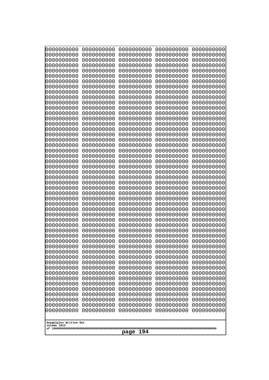| 10000000000                           | 0000000000               | 0000000000               | 0000000000               | 0000000000               |
|---------------------------------------|--------------------------|--------------------------|--------------------------|--------------------------|
| 0000000000<br>0000000000              | 0000000000<br>0000000000 | 0000000000<br>0000000000 | 0000000000<br>0000000000 | 0000000000<br>0000000000 |
| 0000000000                            | 0000000000               | 0000000000               | 0000000000               | 0000000000               |
| 0000000000                            | 0000000000               | 0000000000               | 0000000000               | 0000000000               |
| 0000000000                            | 0000000000               | 0000000000               | 0000000000               | 0000000000               |
| 0000000000<br>0000000000              | 0000000000<br>0000000000 | 0000000000<br>0000000000 | 0000000000<br>0000000000 | 0000000000<br>0000000000 |
| 0000000000                            | 0000000000               | 0000000000               | 0000000000               | 0000000000               |
| 0000000000                            | 0000000000               | 0000000000               | 0000000000               | 0000000000               |
| 0000000000                            | 0000000000               | 0000000000               | 0000000000               | 0000000000               |
| 0000000000<br>0000000000              | 0000000000<br>0000000000 | 0000000000<br>0000000000 | 0000000000<br>0000000000 | 0000000000<br>0000000000 |
| 0000000000                            | 0000000000               | 0000000000               | 0000000000               | 0000000000               |
| 0000000000                            | 0000000000               | 0000000000               | 0000000000               | 0000000000               |
| 0000000000                            | 0000000000               | 0000000000               | 0000000000               | 0000000000               |
| 0000000000<br>0000000000              | 0000000000<br>0000000000 | 0000000000<br>0000000000 | 0000000000<br>0000000000 | 0000000000<br>0000000000 |
| 0000000000                            | 0000000000               | 0000000000               | 0000000000               | 0000000000               |
| 0000000000                            | 0000000000               | 0000000000               | 0000000000               | 0000000000               |
| 0000000000                            | 0000000000               | 0000000000               | 0000000000               | 0000000000               |
| 0000000000<br>0000000000              | 0000000000<br>0000000000 | 0000000000<br>0000000000 | 0000000000<br>0000000000 | 0000000000<br>0000000000 |
| 0000000000                            | 0000000000               | 0000000000               | 0000000000               | 0000000000               |
| 0000000000                            | 0000000000               | 0000000000               | 0000000000               | 0000000000               |
| 0000000000                            | 0000000000               | 0000000000               | 0000000000               | 0000000000               |
| 0000000000<br>0000000000              | 0000000000<br>0000000000 | 0000000000<br>0000000000 | 0000000000<br>0000000000 | 0000000000<br>0000000000 |
| 0000000000                            | 0000000000               | 0000000000               | 0000000000               | 0000000000               |
| 0000000000                            | 0000000000               | 0000000000               | 0000000000               | 0000000000               |
| 0000000000                            | 0000000000               | 0000000000               | 0000000000               | 0000000000               |
| 0000000000<br>0000000000              | 0000000000<br>0000000000 | 0000000000<br>0000000000 | 0000000000<br>0000000000 | 0000000000<br>0000000000 |
| 0000000000                            | 0000000000               | 0000000000               | 0000000000               | 0000000000               |
| 0000000000                            | 0000000000               | 0000000000               | 0000000000               | 0000000000               |
| 0000000000                            | 0000000000<br>0000000000 | 0000000000<br>0000000000 | 0000000000               | 0000000000               |
| 0000000000<br>0000000000              | 0000000000               | 0000000000               | 0000000000<br>0000000000 | 0000000000<br>0000000000 |
| 0000000000                            | 0000000000               | 0000000000               | 0000000000               | 0000000000               |
| 0000000000                            | 0000000000               | 0000000000               | 0000000000               | 0000000000               |
| 0000000000<br>0000000000              | 0000000000<br>0000000000 | 0000000000<br>0000000000 | 0000000000<br>0000000000 | 0000000000<br>0000000000 |
| 0000000000                            | 0000000000               | 0000000000               | 0000000000               | 0000000000               |
| 0000000000                            | 0000000000               | 0000000000               | 0000000000               | 0000000000               |
| 0000000000                            | 0000000000               | 0000000000               | 0000000000               | 0000000000               |
| 0000000000<br>0000000000              | 0000000000<br>0000000000 | 0000000000<br>0000000000 | 0000000000<br>0000000000 | 0000000000<br>0000000000 |
| 0000000000                            | 0000000000               | 0000000000               | 0000000000               | 0000000000               |
| 0000000000                            | 0000000000               | 0000000000               | 0000000000               | 0000000000               |
| 0000000000                            | 0000000000               | 0000000000               | 0000000000               | 0000000000               |
|                                       |                          |                          |                          |                          |
| Googolplex Written Out<br>volume 1013 |                          |                          |                          |                          |
| 194<br>page                           |                          |                          |                          |                          |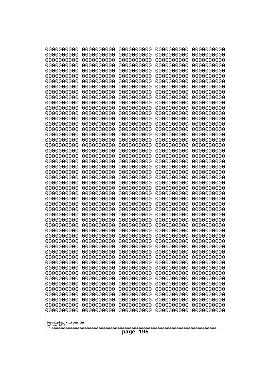| 0000000000<br>0000000000<br>0000000000<br>0000000000<br>0000000000<br>0000000000<br>0000000000<br>0000000000<br>0000000000<br>0000000000<br>0000000000<br>0000000000<br>0000000000<br>0000000000<br>0000000000<br>0000000000<br>0000000000<br>0000000000<br>0000000000<br>0000000000<br>0000000000<br>0000000000<br>0000000000<br>0000000000<br>0000000000<br>0000000000 | 0000000000<br>0000000000<br>0000000000<br>0000000000<br>0000000000<br>0000000000<br>0000000000<br>0000000000<br>0000000000<br>0000000000<br>0000000000<br>0000000000<br>0000000000<br>0000000000<br>0000000000<br>0000000000<br>0000000000<br>0000000000<br>0000000000<br>0000000000<br>0000000000<br>0000000000<br>0000000000<br>0000000000<br>0000000000<br>0000000000 | 0000000000<br>0000000000<br>0000000000<br>0000000000<br>0000000000<br>0000000000<br>0000000000<br>0000000000<br>0000000000<br>0000000000<br>0000000000<br>0000000000<br>0000000000<br>0000000000<br>0000000000<br>0000000000<br>0000000000<br>0000000000<br>0000000000<br>0000000000<br>0000000000<br>0000000000<br>0000000000<br>0000000000<br>0000000000<br>0000000000 | 0000000000<br>0000000000<br>0000000000<br>0000000000<br>0000000000<br>0000000000<br>0000000000<br>0000000000<br>0000000000<br>0000000000<br>0000000000<br>0000000000<br>0000000000<br>0000000000<br>0000000000<br>0000000000<br>0000000000<br>0000000000<br>0000000000<br>0000000000<br>0000000000<br>0000000000<br>0000000000<br>0000000000<br>0000000000<br>0000000000 | 0000000000<br>0000000000<br>0000000000<br>0000000000<br>0000000000<br>0000000000<br>0000000000<br>0000000000<br>0000000000<br>0000000000<br>0000000000<br>0000000000<br>0000000000<br>0000000000<br>0000000000<br>0000000000<br>0000000000<br>0000000000<br>0000000000<br>0000000000<br>0000000000<br>0000000000<br>0000000000<br>0000000000<br>0000000000<br>0000000000 |
|--------------------------------------------------------------------------------------------------------------------------------------------------------------------------------------------------------------------------------------------------------------------------------------------------------------------------------------------------------------------------|--------------------------------------------------------------------------------------------------------------------------------------------------------------------------------------------------------------------------------------------------------------------------------------------------------------------------------------------------------------------------|--------------------------------------------------------------------------------------------------------------------------------------------------------------------------------------------------------------------------------------------------------------------------------------------------------------------------------------------------------------------------|--------------------------------------------------------------------------------------------------------------------------------------------------------------------------------------------------------------------------------------------------------------------------------------------------------------------------------------------------------------------------|--------------------------------------------------------------------------------------------------------------------------------------------------------------------------------------------------------------------------------------------------------------------------------------------------------------------------------------------------------------------------|
| 0000000000<br>0000000000<br>0000000000<br>0000000000<br>0000000000<br>0000000000<br>0000000000<br>0000000000<br>0000000000<br>0000000000<br>0000000000<br>0000000000<br>0000000000<br>0000000000                                                                                                                                                                         | 0000000000<br>0000000000<br>0000000000<br>0000000000<br>0000000000<br>0000000000<br>0000000000<br>0000000000<br>0000000000<br>0000000000<br>0000000000<br>0000000000<br>0000000000<br>0000000000                                                                                                                                                                         | 0000000000<br>0000000000<br>0000000000<br>0000000000<br>0000000000<br>0000000000<br>0000000000<br>0000000000<br>0000000000<br>0000000000<br>0000000000<br>0000000000<br>0000000000<br>0000000000                                                                                                                                                                         | 0000000000<br>0000000000<br>0000000000<br>0000000000<br>0000000000<br>0000000000<br>0000000000<br>0000000000<br>0000000000<br>0000000000<br>0000000000<br>0000000000<br>0000000000<br>0000000000                                                                                                                                                                         | 0000000000<br>0000000000<br>0000000000<br>0000000000<br>0000000000<br>0000000000<br>0000000000<br>0000000000<br>0000000000<br>0000000000<br>0000000000<br>0000000000<br>0000000000<br>0000000000                                                                                                                                                                         |
| 0000000000<br>0000000000<br>0000000000<br>0000000000                                                                                                                                                                                                                                                                                                                     | 0000000000<br>0000000000<br>0000000000<br>0000000000                                                                                                                                                                                                                                                                                                                     | 0000000000<br>0000000000<br>0000000000<br>0000000000                                                                                                                                                                                                                                                                                                                     | 0000000000<br>0000000000<br>0000000000<br>0000000000<br>0000000000                                                                                                                                                                                                                                                                                                       | 0000000000<br>0000000000<br>0000000000<br>0000000000                                                                                                                                                                                                                                                                                                                     |
| 0000000000<br>0000000000<br>0000000000<br>0000000000<br>0000000000<br>0000000000                                                                                                                                                                                                                                                                                         | 0000000000<br>0000000000<br>0000000000<br>0000000000<br>0000000000<br>0000000000                                                                                                                                                                                                                                                                                         | 0000000000<br>0000000000<br>0000000000<br>0000000000<br>0000000000<br>0000000000                                                                                                                                                                                                                                                                                         | 0000000000<br>0000000000<br>0000000000<br>0000000000<br>0000000000                                                                                                                                                                                                                                                                                                       | 0000000000<br>0000000000<br>0000000000<br>0000000000<br>0000000000<br>0000000000                                                                                                                                                                                                                                                                                         |
| Googolplex Written Out<br>volume 1013<br>195<br>page                                                                                                                                                                                                                                                                                                                     |                                                                                                                                                                                                                                                                                                                                                                          |                                                                                                                                                                                                                                                                                                                                                                          |                                                                                                                                                                                                                                                                                                                                                                          |                                                                                                                                                                                                                                                                                                                                                                          |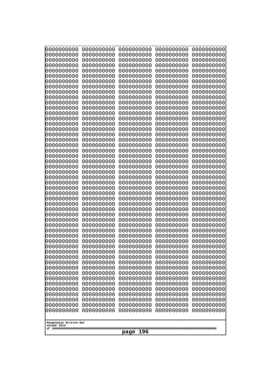| 000000000                             | 0000000000               | 0000000000               | 0000000000               | 0000000000               |
|---------------------------------------|--------------------------|--------------------------|--------------------------|--------------------------|
| 0000000000                            | 0000000000               | 0000000000               | 0000000000               | 0000000000               |
| 0000000000                            | 0000000000               | 0000000000               | 0000000000               | 0000000000               |
| 0000000000                            | 0000000000               | 0000000000               | 0000000000               | 0000000000               |
| 0000000000                            | 0000000000               | 0000000000               | 0000000000               | 0000000000               |
| 0000000000                            | 0000000000               | 0000000000               | 0000000000               | 0000000000               |
| 0000000000                            | 0000000000               | 0000000000               | 0000000000               | 0000000000               |
| 0000000000                            | 0000000000               | 0000000000<br>0000000000 | 0000000000               | 0000000000               |
| 0000000000<br>0000000000              | 0000000000<br>0000000000 | 0000000000               | 0000000000<br>0000000000 | 0000000000<br>0000000000 |
| 0000000000                            | 0000000000               | 0000000000               | 0000000000               | 0000000000               |
| 0000000000                            | 0000000000               | 0000000000               | 0000000000               | 0000000000               |
| 0000000000                            | 0000000000               | 0000000000               | 0000000000               | 0000000000               |
| 0000000000                            | 0000000000               | 0000000000               | 0000000000               | 0000000000               |
| 0000000000                            | 0000000000               | 0000000000               | 0000000000               | 0000000000               |
| 0000000000                            | 0000000000               | 0000000000               | 0000000000               | 0000000000               |
| 0000000000                            | 0000000000               | 0000000000               | 0000000000               | 0000000000               |
| 0000000000                            | 0000000000               | 0000000000               | 0000000000               | 0000000000               |
| 0000000000                            | 0000000000               | 0000000000               | 0000000000               | 0000000000               |
| 0000000000                            | 0000000000               | 0000000000               | 0000000000               | 0000000000               |
| 0000000000<br>0000000000              | 0000000000<br>0000000000 | 0000000000<br>0000000000 | 0000000000<br>0000000000 | 0000000000<br>0000000000 |
| 0000000000                            | 0000000000               | 0000000000               | 0000000000               | 0000000000               |
| 0000000000                            | 0000000000               | 0000000000               | 0000000000               | 0000000000               |
| 0000000000                            | 0000000000               | 0000000000               | 0000000000               | 0000000000               |
| 0000000000                            | 0000000000               | 0000000000               | 0000000000               | 0000000000               |
| 0000000000                            | 0000000000               | 0000000000               | 0000000000               | 0000000000               |
| 0000000000                            | 0000000000               | 0000000000               | 0000000000               | 0000000000               |
| 0000000000                            | 0000000000               | 0000000000               | 0000000000               | 0000000000               |
| 0000000000                            | 0000000000               | 0000000000               | 0000000000               | 0000000000               |
| 0000000000                            | 0000000000               | 0000000000               | 0000000000               | 0000000000               |
| 0000000000<br>0000000000              | 0000000000<br>0000000000 | 0000000000<br>0000000000 | 0000000000<br>0000000000 | 0000000000               |
| 0000000000                            | 0000000000               | 0000000000               | 0000000000               | 0000000000<br>0000000000 |
| 0000000000                            | 0000000000               | 0000000000               | 0000000000               | 0000000000               |
| 0000000000                            | 0000000000               | 0000000000               | 0000000000               | 0000000000               |
| 0000000000                            | 0000000000               | 0000000000               | 0000000000               | 0000000000               |
| 0000000000                            | 0000000000               | 0000000000               | 0000000000               | 0000000000               |
| 0000000000                            | 0000000000               | 0000000000               | 0000000000               | 0000000000               |
| 0000000000                            | 0000000000               | 0000000000               | 0000000000               | 0000000000               |
| 0000000000                            | 0000000000               | 0000000000               | 0000000000               | 0000000000               |
| 0000000000                            | 0000000000               | 0000000000               | 0000000000               | 0000000000               |
| 0000000000<br>0000000000              | 0000000000<br>0000000000 | 0000000000               | 0000000000               | 0000000000               |
| 0000000000                            | 0000000000               | 0000000000<br>0000000000 | 0000000000<br>0000000000 | 0000000000<br>0000000000 |
| 0000000000                            | 0000000000               | 0000000000               | 0000000000               | 0000000000               |
| 0000000000                            | 0000000000               | 0000000000               | 0000000000               | 0000000000               |
| 0000000000                            | 0000000000               | 0000000000               | 0000000000               | 0000000000               |
| 0000000000                            | 0000000000               | 0000000000               | 0000000000               | 0000000000               |
| 0000000000                            | 0000000000               | 0000000000               | 0000000000               | 0000000000               |
|                                       |                          |                          |                          |                          |
| Googolplex Written Out<br>volume 1013 |                          |                          |                          |                          |
|                                       |                          |                          |                          |                          |
| 196<br>page                           |                          |                          |                          |                          |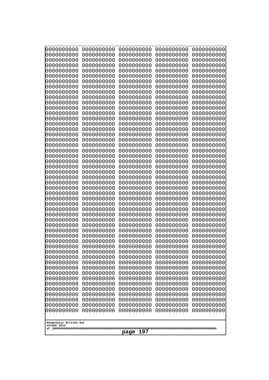| 000000000                             | 0000000000               | 0000000000               | 0000000000               | 0000000000               |
|---------------------------------------|--------------------------|--------------------------|--------------------------|--------------------------|
| 0000000000                            | 0000000000               | 0000000000               | 0000000000               | 0000000000               |
| 0000000000                            | 0000000000               | 0000000000               | 0000000000               | 0000000000               |
| 0000000000                            | 0000000000               | 0000000000               | 0000000000               | 0000000000               |
| 0000000000                            | 0000000000               | 0000000000               | 0000000000               | 0000000000               |
| 0000000000                            | 0000000000               | 0000000000               | 0000000000               | 0000000000               |
| 0000000000<br>0000000000              | 0000000000<br>0000000000 | 0000000000<br>0000000000 | 0000000000<br>0000000000 | 0000000000               |
| 0000000000                            | 0000000000               | 0000000000               | 0000000000               | 0000000000<br>0000000000 |
| 0000000000                            | 0000000000               | 0000000000               | 0000000000               | 0000000000               |
| 0000000000                            | 0000000000               | 0000000000               | 0000000000               | 0000000000               |
| 0000000000                            | 0000000000               | 0000000000               | 0000000000               | 0000000000               |
| 0000000000                            | 0000000000               | 0000000000               | 0000000000               | 0000000000               |
| 0000000000                            | 0000000000               | 0000000000               | 0000000000               | 0000000000               |
| 0000000000                            | 0000000000               | 0000000000               | 0000000000               | 0000000000               |
| 0000000000                            | 0000000000               | 0000000000               | 0000000000               | 0000000000               |
| 0000000000<br>0000000000              | 0000000000<br>0000000000 | 0000000000<br>0000000000 | 0000000000<br>0000000000 | 0000000000<br>0000000000 |
| 0000000000                            | 0000000000               | 0000000000               | 0000000000               | 0000000000               |
| 0000000000                            | 0000000000               | 0000000000               | 0000000000               | 0000000000               |
| 0000000000                            | 0000000000               | 0000000000               | 0000000000               | 0000000000               |
| 0000000000                            | 0000000000               | 0000000000               | 0000000000               | 0000000000               |
| 0000000000                            | 0000000000               | 0000000000               | 0000000000               | 0000000000               |
| 0000000000                            | 0000000000               | 0000000000               | 0000000000               | 0000000000               |
| 0000000000                            | 0000000000               | 0000000000               | 0000000000               | 0000000000               |
| 0000000000<br>0000000000              | 0000000000<br>0000000000 | 0000000000<br>0000000000 | 0000000000<br>0000000000 | 0000000000<br>0000000000 |
| 0000000000                            | 0000000000               | 0000000000               | 0000000000               | 0000000000               |
| 0000000000                            | 0000000000               | 0000000000               | 0000000000               | 0000000000               |
| 0000000000                            | 0000000000               | 0000000000               | 0000000000               | 0000000000               |
| 0000000000                            | 0000000000               | 0000000000               | 0000000000               | 0000000000               |
| 0000000000                            | 0000000000               | 0000000000               | 0000000000               | 0000000000               |
| 0000000000                            | 0000000000               | 0000000000               | 0000000000               | 0000000000               |
| 0000000000<br>0000000000              | 0000000000<br>0000000000 | 0000000000<br>0000000000 | 0000000000<br>0000000000 | 0000000000<br>0000000000 |
| 0000000000                            | 0000000000               | 0000000000               | 0000000000               | 0000000000               |
| 0000000000                            | 0000000000               | 0000000000               | 0000000000               | 0000000000               |
| 0000000000                            | 0000000000               | 0000000000               | 0000000000               | 0000000000               |
| 0000000000                            | 0000000000               | 0000000000               | 0000000000               | 0000000000               |
| 0000000000                            | 0000000000               | 0000000000               | 0000000000               | 0000000000               |
| 0000000000                            | 0000000000               | 0000000000               | 0000000000               | 0000000000               |
| 0000000000<br>0000000000              | 0000000000               | 0000000000               | 0000000000<br>0000000000 | 0000000000               |
| 0000000000                            | 0000000000<br>0000000000 | 0000000000<br>0000000000 | 0000000000               | 0000000000<br>0000000000 |
| 0000000000                            | 0000000000               | 0000000000               | 0000000000               | 0000000000               |
| 0000000000                            | 0000000000               | 0000000000               | 0000000000               | 0000000000               |
| 0000000000                            | 0000000000               | 0000000000               | 0000000000               | 0000000000               |
| 0000000000                            | 0000000000               | 0000000000               | 0000000000               | 0000000000               |
| 0000000000                            | 0000000000               | 0000000000               | 0000000000               | 0000000000               |
| 0000000000                            | 0000000000               | 0000000000               | 0000000000               | 0000000000               |
|                                       |                          |                          |                          |                          |
| Googolplex Written Out<br>volume 1013 |                          |                          |                          |                          |
| 197<br>page                           |                          |                          |                          |                          |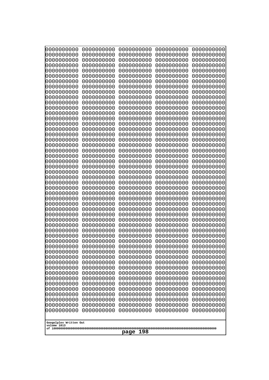| 10000000000                           | 0000000000               | 0000000000               | 0000000000               | 0000000000               |
|---------------------------------------|--------------------------|--------------------------|--------------------------|--------------------------|
| 0000000000<br>0000000000              | 0000000000<br>0000000000 | 0000000000<br>0000000000 | 0000000000<br>0000000000 | 0000000000<br>0000000000 |
| 0000000000                            | 0000000000               | 0000000000               | 0000000000               | 0000000000               |
| 0000000000                            | 0000000000               | 0000000000               | 0000000000               | 0000000000               |
| 0000000000                            | 0000000000               | 0000000000               | 0000000000               | 0000000000               |
| 0000000000<br>0000000000              | 0000000000<br>0000000000 | 0000000000<br>0000000000 | 0000000000<br>0000000000 | 0000000000<br>0000000000 |
| 0000000000                            | 0000000000               | 0000000000               | 0000000000               | 0000000000               |
| 0000000000                            | 0000000000               | 0000000000               | 0000000000               | 0000000000               |
| 0000000000                            | 0000000000               | 0000000000               | 0000000000               | 0000000000               |
| 0000000000<br>0000000000              | 0000000000<br>0000000000 | 0000000000<br>0000000000 | 0000000000<br>0000000000 | 0000000000<br>0000000000 |
| 0000000000                            | 0000000000               | 0000000000               | 0000000000               | 0000000000               |
| 0000000000                            | 0000000000               | 0000000000               | 0000000000               | 0000000000               |
| 0000000000                            | 0000000000               | 0000000000               | 0000000000               | 0000000000               |
| 0000000000<br>0000000000              | 0000000000<br>0000000000 | 0000000000<br>0000000000 | 0000000000<br>0000000000 | 0000000000<br>0000000000 |
| 0000000000                            | 0000000000               | 0000000000               | 0000000000               | 0000000000               |
| 0000000000                            | 0000000000               | 0000000000               | 0000000000               | 0000000000               |
| 0000000000                            | 0000000000               | 0000000000               | 0000000000               | 0000000000               |
| 0000000000<br>0000000000              | 0000000000<br>0000000000 | 0000000000<br>0000000000 | 0000000000<br>0000000000 | 0000000000<br>0000000000 |
| 0000000000                            | 0000000000               | 0000000000               | 0000000000               | 0000000000               |
| 0000000000                            | 0000000000               | 0000000000               | 0000000000               | 0000000000               |
| 0000000000                            | 0000000000               | 0000000000               | 0000000000               | 0000000000               |
| 0000000000<br>0000000000              | 0000000000<br>0000000000 | 0000000000<br>0000000000 | 0000000000<br>0000000000 | 0000000000<br>0000000000 |
| 0000000000                            | 0000000000               | 0000000000               | 0000000000               | 0000000000               |
| 0000000000                            | 0000000000               | 0000000000               | 0000000000               | 0000000000               |
| 0000000000                            | 0000000000               | 0000000000               | 0000000000               | 0000000000               |
| 0000000000<br>0000000000              | 0000000000<br>0000000000 | 0000000000<br>0000000000 | 0000000000<br>0000000000 | 0000000000<br>0000000000 |
| 0000000000                            | 0000000000               | 0000000000               | 0000000000               | 0000000000               |
| 0000000000                            | 0000000000               | 0000000000               | 0000000000               | 0000000000               |
| 0000000000                            | 0000000000<br>0000000000 | 0000000000<br>0000000000 | 0000000000               | 0000000000               |
| 0000000000<br>0000000000              | 0000000000               | 0000000000               | 0000000000<br>0000000000 | 0000000000<br>0000000000 |
| 0000000000                            | 0000000000               | 0000000000               | 0000000000               | 0000000000               |
| 0000000000                            | 0000000000               | 0000000000               | 0000000000               | 0000000000               |
| 0000000000<br>0000000000              | 0000000000<br>0000000000 | 0000000000<br>0000000000 | 0000000000<br>0000000000 | 0000000000<br>0000000000 |
| 0000000000                            | 0000000000               | 0000000000               | 0000000000               | 0000000000               |
| 0000000000                            | 0000000000               | 0000000000               | 0000000000               | 0000000000               |
| 0000000000                            | 0000000000               | 0000000000               | 0000000000               | 0000000000               |
| 0000000000<br>0000000000              | 0000000000<br>0000000000 | 0000000000<br>0000000000 | 0000000000<br>0000000000 | 0000000000<br>0000000000 |
| 0000000000                            | 0000000000               | 0000000000               | 0000000000               | 0000000000               |
| 0000000000                            | 0000000000               | 0000000000               | 0000000000               | 0000000000               |
| 0000000000                            | 0000000000               | 0000000000               | 0000000000               | 0000000000               |
|                                       |                          |                          |                          |                          |
| Googolplex Written Out<br>volume 1013 |                          |                          |                          |                          |
| 198<br>page                           |                          |                          |                          |                          |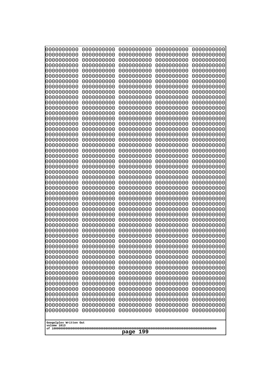| 10000000000              | 0000000000               | 0000000000               | 0000000000               | 0000000000               |
|--------------------------|--------------------------|--------------------------|--------------------------|--------------------------|
| 0000000000<br>0000000000 | 0000000000<br>0000000000 | 0000000000<br>0000000000 | 0000000000<br>0000000000 | 0000000000<br>0000000000 |
| 0000000000               | 0000000000               | 0000000000               | 0000000000               | 0000000000               |
| 0000000000               | 0000000000               | 0000000000               | 0000000000               | 0000000000               |
| 0000000000               | 0000000000               | 0000000000               | 0000000000               | 0000000000               |
| 0000000000<br>0000000000 | 0000000000<br>0000000000 | 0000000000<br>0000000000 | 0000000000<br>0000000000 | 0000000000<br>0000000000 |
| 0000000000               | 0000000000               | 0000000000               | 0000000000               | 0000000000               |
| 0000000000               | 0000000000               | 0000000000               | 0000000000               | 0000000000               |
| 0000000000               | 0000000000               | 0000000000               | 0000000000               | 0000000000               |
| 0000000000<br>0000000000 | 0000000000<br>0000000000 | 0000000000<br>0000000000 | 0000000000<br>0000000000 | 0000000000<br>0000000000 |
| 0000000000               | 0000000000               | 0000000000               | 0000000000               | 0000000000               |
| 0000000000               | 0000000000               | 0000000000               | 0000000000               | 0000000000               |
| 0000000000               | 0000000000               | 0000000000               | 0000000000               | 0000000000               |
| 0000000000<br>0000000000 | 0000000000<br>0000000000 | 0000000000<br>0000000000 | 0000000000<br>0000000000 | 0000000000<br>0000000000 |
| 0000000000               | 0000000000               | 0000000000               | 0000000000               | 0000000000               |
| 0000000000               | 0000000000               | 0000000000               | 0000000000               | 0000000000               |
| 0000000000               | 0000000000<br>0000000000 | 0000000000               | 0000000000               | 0000000000               |
| 0000000000<br>0000000000 | 0000000000               | 0000000000<br>0000000000 | 0000000000<br>0000000000 | 0000000000<br>0000000000 |
| 0000000000               | 0000000000               | 0000000000               | 0000000000               | 0000000000               |
| 0000000000               | 0000000000               | 0000000000               | 0000000000               | 0000000000               |
| 0000000000<br>0000000000 | 0000000000<br>0000000000 | 0000000000<br>0000000000 | 0000000000<br>0000000000 | 0000000000<br>0000000000 |
| 0000000000               | 0000000000               | 0000000000               | 0000000000               | 0000000000               |
| 0000000000               | 0000000000               | 0000000000               | 0000000000               | 0000000000               |
| 0000000000               | 0000000000               | 0000000000               | 0000000000               | 0000000000               |
| 0000000000<br>0000000000 | 0000000000<br>0000000000 | 0000000000<br>0000000000 | 0000000000<br>0000000000 | 0000000000<br>0000000000 |
| 0000000000               | 0000000000               | 0000000000               | 0000000000               | 0000000000               |
| 0000000000               | 0000000000               | 0000000000               | 0000000000               | 0000000000               |
| 0000000000<br>0000000000 | 0000000000<br>0000000000 | 0000000000               | 0000000000               | 0000000000               |
| 0000000000               | 0000000000               | 0000000000<br>0000000000 | 0000000000<br>0000000000 | 0000000000<br>0000000000 |
| 0000000000               | 0000000000               | 0000000000               | 0000000000               | 0000000000               |
| 0000000000               | 0000000000               | 0000000000               | 0000000000               | 0000000000               |
| 0000000000<br>0000000000 | 0000000000<br>0000000000 | 0000000000<br>0000000000 | 0000000000<br>0000000000 | 0000000000<br>0000000000 |
| 0000000000               | 0000000000               | 0000000000               | 0000000000               | 0000000000               |
| 0000000000               | 0000000000               | 0000000000               | 0000000000               | 0000000000               |
| 0000000000               | 0000000000               | 0000000000               | 0000000000               | 0000000000               |
| 0000000000<br>0000000000 | 0000000000<br>0000000000 | 0000000000<br>0000000000 | 0000000000<br>0000000000 | 0000000000<br>0000000000 |
| 0000000000               | 0000000000               | 0000000000               | 0000000000               | 0000000000               |
| 0000000000               | 0000000000               | 0000000000               | 0000000000               | 0000000000               |
| 0000000000               | 0000000000               | 0000000000               | 0000000000               | 0000000000               |
| 0000000000               | 0000000000               | 0000000000               | 0000000000               | 0000000000               |
| Googolplex Written Out   |                          |                          |                          |                          |
| volume 1013              |                          | 199                      |                          |                          |
|                          |                          | page                     |                          |                          |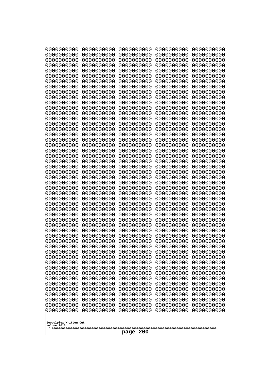| 10000000000                           | 0000000000               | 0000000000<br>0000000000 | 0000000000<br>0000000000 | 0000000000<br>0000000000 |
|---------------------------------------|--------------------------|--------------------------|--------------------------|--------------------------|
| 0000000000<br>0000000000              | 0000000000<br>0000000000 | 0000000000               | 0000000000               | 0000000000               |
| 0000000000                            | 0000000000               | 0000000000               | 0000000000               | 0000000000               |
| 0000000000                            | 0000000000               | 0000000000               | 0000000000               | 0000000000               |
| 0000000000                            | 0000000000               | 0000000000<br>0000000000 | 0000000000<br>0000000000 | 0000000000               |
| 0000000000<br>0000000000              | 0000000000<br>0000000000 | 0000000000               | 0000000000               | 0000000000<br>0000000000 |
| 0000000000                            | 0000000000               | 0000000000               | 0000000000               | 0000000000               |
| 0000000000                            | 0000000000               | 0000000000               | 0000000000               | 0000000000               |
| 0000000000<br>0000000000              | 0000000000<br>0000000000 | 0000000000<br>0000000000 | 0000000000<br>0000000000 | 0000000000<br>0000000000 |
| 0000000000                            | 0000000000               | 0000000000               | 0000000000               | 0000000000               |
| 0000000000                            | 0000000000               | 0000000000               | 0000000000               | 0000000000               |
| 0000000000                            | 0000000000               | 0000000000               | 0000000000               | 0000000000               |
| 0000000000<br>0000000000              | 0000000000<br>0000000000 | 0000000000<br>0000000000 | 0000000000<br>0000000000 | 0000000000<br>0000000000 |
| 0000000000                            | 0000000000               | 0000000000               | 0000000000               | 0000000000               |
| 0000000000                            | 0000000000               | 0000000000               | 0000000000               | 0000000000               |
| 0000000000                            | 0000000000               | 0000000000               | 0000000000               | 0000000000               |
| 0000000000<br>0000000000              | 0000000000<br>0000000000 | 0000000000<br>0000000000 | 0000000000<br>0000000000 | 0000000000<br>0000000000 |
| 0000000000                            | 0000000000               | 0000000000               | 0000000000               | 0000000000               |
| 0000000000                            | 0000000000               | 0000000000               | 0000000000               | 0000000000               |
| 0000000000<br>0000000000              | 0000000000<br>0000000000 | 0000000000<br>0000000000 | 0000000000<br>0000000000 | 0000000000<br>0000000000 |
| 0000000000                            | 0000000000               | 0000000000               | 0000000000               | 0000000000               |
| 0000000000                            | 0000000000               | 0000000000               | 0000000000               | 0000000000               |
| 0000000000                            | 0000000000               | 0000000000               | 0000000000               | 0000000000               |
| 0000000000<br>0000000000              | 0000000000<br>0000000000 | 0000000000<br>0000000000 | 0000000000<br>0000000000 | 0000000000<br>0000000000 |
| 0000000000                            | 0000000000               | 0000000000               | 0000000000               | 0000000000               |
| 0000000000                            | 0000000000               | 0000000000               | 0000000000               | 0000000000               |
| 0000000000<br>0000000000              | 0000000000<br>0000000000 | 0000000000<br>0000000000 | 0000000000<br>0000000000 | 0000000000               |
| 0000000000                            | 0000000000               | 0000000000               | 0000000000               | 0000000000<br>0000000000 |
| 0000000000                            | 0000000000               | 0000000000               | 0000000000               | 0000000000               |
| 0000000000                            | 0000000000               | 0000000000               | 0000000000               | 0000000000               |
| 0000000000<br>0000000000              | 0000000000<br>0000000000 | 0000000000<br>0000000000 | 0000000000<br>0000000000 | 0000000000<br>0000000000 |
| 0000000000                            | 0000000000               | 0000000000               | 0000000000               | 0000000000               |
| 0000000000                            | 0000000000               | 0000000000               | 0000000000               | 0000000000               |
| 0000000000                            | 0000000000               | 0000000000               | 0000000000               | 0000000000               |
| 0000000000<br>0000000000              | 0000000000<br>0000000000 | 0000000000<br>0000000000 | 0000000000<br>0000000000 | 0000000000<br>0000000000 |
| 0000000000                            | 0000000000               | 0000000000               | 0000000000               | 0000000000               |
| 0000000000                            | 0000000000               | 0000000000               | 0000000000               | 0000000000               |
| 0000000000<br>0000000000              | 0000000000<br>0000000000 | 0000000000<br>0000000000 | 0000000000<br>0000000000 | 0000000000<br>0000000000 |
| 0000000000                            | 0000000000               | 0000000000               | 0000000000               | 0000000000               |
|                                       |                          |                          |                          |                          |
| Googolplex Written Out<br>volume 1013 |                          |                          |                          |                          |
|                                       |                          | 200<br>page              |                          |                          |
|                                       |                          |                          |                          |                          |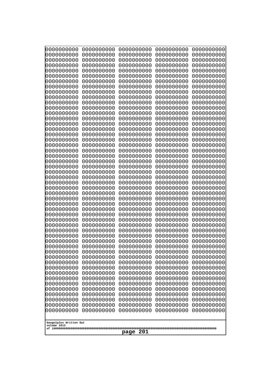| 10000000000                           | 0000000000               | 0000000000               | 0000000000               | 0000000000               |
|---------------------------------------|--------------------------|--------------------------|--------------------------|--------------------------|
| 0000000000<br>0000000000              | 0000000000<br>0000000000 | 0000000000<br>0000000000 | 0000000000<br>0000000000 | 0000000000<br>0000000000 |
| 0000000000                            | 0000000000               | 0000000000               | 0000000000               | 0000000000               |
| 0000000000                            | 0000000000               | 0000000000               | 0000000000               | 0000000000               |
| 0000000000                            | 0000000000               | 0000000000               | 0000000000               | 0000000000               |
| 0000000000<br>0000000000              | 0000000000<br>0000000000 | 0000000000<br>0000000000 | 0000000000<br>0000000000 | 0000000000<br>0000000000 |
| 0000000000                            | 0000000000               | 0000000000               | 0000000000               | 0000000000               |
| 0000000000                            | 0000000000               | 0000000000               | 0000000000               | 0000000000               |
| 0000000000                            | 0000000000               | 0000000000               | 0000000000               | 0000000000               |
| 0000000000<br>0000000000              | 0000000000<br>0000000000 | 0000000000<br>0000000000 | 0000000000<br>0000000000 | 0000000000<br>0000000000 |
| 0000000000                            | 0000000000               | 0000000000               | 0000000000               | 0000000000               |
| 0000000000                            | 0000000000               | 0000000000               | 0000000000               | 0000000000               |
| 0000000000                            | 0000000000               | 0000000000               | 0000000000               | 0000000000               |
| 0000000000<br>0000000000              | 0000000000<br>0000000000 | 0000000000<br>0000000000 | 0000000000<br>0000000000 | 0000000000<br>0000000000 |
| 0000000000                            | 0000000000               | 0000000000               | 0000000000               | 0000000000               |
| 0000000000                            | 0000000000               | 0000000000               | 0000000000               | 0000000000               |
| 0000000000                            | 0000000000               | 0000000000               | 0000000000               | 0000000000               |
| 0000000000<br>0000000000              | 0000000000<br>0000000000 | 0000000000<br>0000000000 | 0000000000<br>0000000000 | 0000000000<br>0000000000 |
| 0000000000                            | 0000000000               | 0000000000               | 0000000000               | 0000000000               |
| 0000000000                            | 0000000000               | 0000000000               | 0000000000               | 0000000000               |
| 0000000000                            | 0000000000               | 0000000000               | 0000000000               | 0000000000               |
| 0000000000<br>0000000000              | 0000000000<br>0000000000 | 0000000000<br>0000000000 | 0000000000<br>0000000000 | 0000000000<br>0000000000 |
| 0000000000                            | 0000000000               | 0000000000               | 0000000000               | 0000000000               |
| 0000000000                            | 0000000000               | 0000000000               | 0000000000               | 0000000000               |
| 0000000000                            | 0000000000               | 0000000000               | 0000000000               | 0000000000               |
| 0000000000<br>0000000000              | 0000000000<br>0000000000 | 0000000000<br>0000000000 | 0000000000<br>0000000000 | 0000000000<br>0000000000 |
| 0000000000                            | 0000000000               | 0000000000               | 0000000000               | 0000000000               |
| 0000000000                            | 0000000000               | 0000000000               | 0000000000               | 0000000000               |
| 0000000000                            | 0000000000               | 0000000000               | 0000000000               | 0000000000               |
| 0000000000<br>0000000000              | 0000000000<br>0000000000 | 0000000000<br>0000000000 | 0000000000<br>0000000000 | 0000000000<br>0000000000 |
| 0000000000                            | 0000000000               | 0000000000               | 0000000000               | 0000000000               |
| 0000000000                            | 0000000000               | 0000000000               | 0000000000               | 0000000000               |
| 0000000000<br>0000000000              | 0000000000               | 0000000000               | 0000000000               | 0000000000               |
| 0000000000                            | 0000000000<br>0000000000 | 0000000000<br>0000000000 | 0000000000<br>0000000000 | 0000000000<br>0000000000 |
| 0000000000                            | 0000000000               | 0000000000               | 0000000000               | 0000000000               |
| 0000000000                            | 0000000000               | 0000000000               | 0000000000               | 0000000000               |
| 0000000000<br>0000000000              | 0000000000<br>0000000000 | 0000000000<br>0000000000 | 0000000000<br>0000000000 | 0000000000<br>0000000000 |
| 0000000000                            | 0000000000               | 0000000000               | 0000000000               | 0000000000               |
| 0000000000                            | 0000000000               | 0000000000               | 0000000000               | 0000000000               |
| 0000000000                            | 0000000000               | 0000000000               | 0000000000               | 0000000000               |
|                                       |                          |                          |                          |                          |
| Googolplex Written Out<br>volume 1013 |                          |                          |                          |                          |
| 201<br>page                           |                          |                          |                          |                          |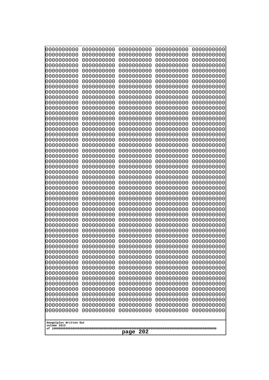| 10000000000<br>0000000000             | 0000000000<br>0000000000 | 0000000000<br>0000000000 | 0000000000<br>0000000000 | 0000000000<br>0000000000 |
|---------------------------------------|--------------------------|--------------------------|--------------------------|--------------------------|
| 0000000000                            | 0000000000               | 0000000000               | 0000000000               | 0000000000               |
| 0000000000                            | 0000000000               | 0000000000               | 0000000000               | 0000000000               |
| 0000000000                            | 0000000000               | 0000000000               | 0000000000               | 0000000000               |
| 0000000000<br>0000000000              | 0000000000<br>0000000000 | 0000000000<br>0000000000 | 0000000000<br>0000000000 | 0000000000<br>0000000000 |
| 0000000000                            | 0000000000               | 0000000000               | 0000000000               | 0000000000               |
| 0000000000                            | 0000000000               | 0000000000               | 0000000000               | 0000000000               |
| 0000000000                            | 0000000000               | 0000000000               | 0000000000               | 0000000000               |
| 0000000000<br>0000000000              | 0000000000<br>0000000000 | 0000000000<br>0000000000 | 0000000000<br>0000000000 | 0000000000               |
| 0000000000                            | 0000000000               | 0000000000               | 0000000000               | 0000000000<br>0000000000 |
| 0000000000                            | 0000000000               | 0000000000               | 0000000000               | 0000000000               |
| 0000000000                            | 0000000000               | 0000000000               | 0000000000               | 0000000000               |
| 0000000000                            | 0000000000               | 0000000000               | 0000000000               | 0000000000               |
| 0000000000<br>0000000000              | 0000000000<br>0000000000 | 0000000000<br>0000000000 | 0000000000<br>0000000000 | 0000000000<br>0000000000 |
| 0000000000                            | 0000000000               | 0000000000               | 0000000000               | 0000000000               |
| 0000000000                            | 0000000000               | 0000000000               | 0000000000               | 0000000000               |
| 0000000000                            | 0000000000<br>0000000000 | 0000000000               | 0000000000               | 0000000000               |
| 0000000000<br>0000000000              | 0000000000               | 0000000000<br>0000000000 | 0000000000<br>0000000000 | 0000000000<br>0000000000 |
| 0000000000                            | 0000000000               | 0000000000               | 0000000000               | 0000000000               |
| 0000000000                            | 0000000000               | 0000000000               | 0000000000               | 0000000000               |
| 0000000000                            | 0000000000               | 0000000000               | 0000000000               | 0000000000               |
| 0000000000<br>0000000000              | 0000000000<br>0000000000 | 0000000000<br>0000000000 | 0000000000<br>0000000000 | 0000000000<br>0000000000 |
| 0000000000                            | 0000000000               | 0000000000               | 0000000000               | 0000000000               |
| 0000000000                            | 0000000000               | 0000000000               | 0000000000               | 0000000000               |
| 0000000000                            | 0000000000               | 0000000000               | 0000000000               | 0000000000               |
| 0000000000<br>0000000000              | 0000000000<br>0000000000 | 0000000000<br>0000000000 | 0000000000<br>0000000000 | 0000000000<br>0000000000 |
| 0000000000                            | 0000000000               | 0000000000               | 0000000000               | 0000000000               |
| 0000000000                            | 0000000000               | 0000000000               | 0000000000               | 0000000000               |
| 0000000000                            | 0000000000<br>0000000000 | 0000000000<br>0000000000 | 0000000000               | 0000000000               |
| 0000000000<br>0000000000              | 0000000000               | 0000000000               | 0000000000<br>0000000000 | 0000000000<br>0000000000 |
| 0000000000                            | 0000000000               | 0000000000               | 0000000000               | 0000000000               |
| 0000000000                            | 0000000000               | 0000000000               | 0000000000               | 0000000000               |
| 0000000000                            | 0000000000               | 0000000000               | 0000000000               | 0000000000               |
| 0000000000<br>0000000000              | 0000000000<br>0000000000 | 0000000000<br>0000000000 | 0000000000<br>0000000000 | 0000000000<br>0000000000 |
| 0000000000                            | 0000000000               | 0000000000               | 0000000000               | 0000000000               |
| 0000000000                            | 0000000000               | 0000000000               | 0000000000               | 0000000000               |
| 0000000000                            | 0000000000               | 0000000000               | 0000000000               | 0000000000               |
| 0000000000<br>0000000000              | 0000000000<br>0000000000 | 0000000000<br>0000000000 | 0000000000<br>0000000000 | 0000000000<br>0000000000 |
| 0000000000                            | 0000000000               | 0000000000               | 0000000000               | 0000000000               |
| 0000000000                            | 0000000000               | 0000000000               | 0000000000               | 0000000000               |
|                                       |                          |                          |                          |                          |
| Googolplex Written Out<br>volume 1013 |                          |                          |                          |                          |
| 202<br>page                           |                          |                          |                          |                          |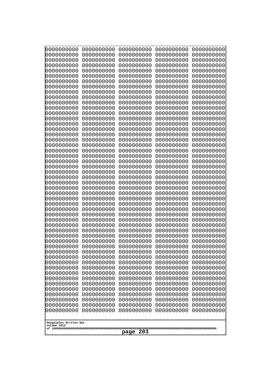| 0000000000               | 0000000000               | 0000000000               | 0000000000               | 0000000000               |
|--------------------------|--------------------------|--------------------------|--------------------------|--------------------------|
| 0000000000<br>0000000000 | 0000000000<br>0000000000 | 0000000000<br>0000000000 | 0000000000<br>0000000000 | 0000000000<br>0000000000 |
| 0000000000               | 0000000000               | 0000000000               | 0000000000               | 0000000000               |
| 0000000000               | 0000000000               | 0000000000               | 0000000000               | 0000000000               |
| 0000000000               | 0000000000               | 0000000000               | 0000000000               | 0000000000               |
| 0000000000               | 0000000000               | 0000000000               | 0000000000               | 0000000000               |
| 0000000000<br>0000000000 | 0000000000<br>0000000000 | 0000000000<br>0000000000 | 0000000000<br>0000000000 | 0000000000<br>0000000000 |
| 0000000000               | 0000000000               | 0000000000               | 0000000000               | 0000000000               |
| 0000000000               | 0000000000               | 0000000000               | 0000000000               | 0000000000               |
| 0000000000               | 0000000000               | 0000000000               | 0000000000               | 0000000000               |
| 0000000000<br>0000000000 | 0000000000<br>0000000000 | 0000000000<br>0000000000 | 0000000000<br>0000000000 | 0000000000<br>0000000000 |
| 0000000000               | 0000000000               | 0000000000               | 0000000000               | 0000000000               |
| 0000000000               | 0000000000               | 0000000000               | 0000000000               | 0000000000               |
| 0000000000<br>0000000000 | 0000000000<br>0000000000 | 0000000000<br>0000000000 | 0000000000<br>0000000000 | 0000000000<br>0000000000 |
| 0000000000               | 0000000000               | 0000000000               | 0000000000               | 0000000000               |
| 0000000000               | 0000000000               | 0000000000               | 0000000000               | 0000000000               |
| 0000000000               | 0000000000               | 0000000000               | 0000000000               | 0000000000               |
| 0000000000<br>0000000000 | 0000000000<br>0000000000 | 0000000000<br>0000000000 | 0000000000<br>0000000000 | 0000000000<br>0000000000 |
| 0000000000               | 0000000000               | 0000000000               | 0000000000               | 0000000000               |
| 0000000000               | 0000000000               | 0000000000               | 0000000000               | 0000000000               |
| 0000000000               | 0000000000               | 0000000000               | 0000000000               | 0000000000               |
| 0000000000<br>0000000000 | 0000000000<br>0000000000 | 0000000000<br>0000000000 | 0000000000<br>0000000000 | 0000000000<br>0000000000 |
| 0000000000               | 0000000000               | 0000000000               | 0000000000               | 0000000000               |
| 0000000000               | 0000000000               | 0000000000               | 0000000000               | 0000000000               |
| 0000000000<br>0000000000 | 0000000000<br>0000000000 | 0000000000<br>0000000000 | 0000000000<br>0000000000 | 0000000000<br>0000000000 |
| 0000000000               | 0000000000               | 0000000000               | 0000000000               | 0000000000               |
| 0000000000               | 0000000000               | 0000000000               | 0000000000               | 0000000000               |
| 0000000000               | 0000000000               | 0000000000               | 0000000000               | 0000000000               |
| 0000000000<br>0000000000 | 0000000000<br>0000000000 | 0000000000<br>0000000000 | 0000000000<br>0000000000 | 0000000000<br>0000000000 |
| 0000000000               | 0000000000               | 0000000000               | 0000000000               | 0000000000               |
| 0000000000               | 0000000000               | 0000000000               | 0000000000               | 0000000000               |
| 0000000000               | 0000000000               | 0000000000               | 0000000000               | 0000000000               |
| 0000000000<br>0000000000 | 0000000000<br>0000000000 | 0000000000<br>0000000000 | 0000000000<br>0000000000 | 0000000000<br>0000000000 |
| 0000000000               | 0000000000               | 0000000000               | 0000000000               | 0000000000               |
| 0000000000               | 0000000000               | 0000000000               | 0000000000               | 0000000000               |
| 0000000000<br>0000000000 | 0000000000<br>0000000000 | 0000000000<br>0000000000 | 0000000000<br>0000000000 | 0000000000<br>0000000000 |
| 0000000000               | 0000000000               | 0000000000               | 0000000000               | 0000000000               |
| 0000000000               | 0000000000               | 0000000000               | 0000000000               | 0000000000               |
| 0000000000               | 0000000000               | 0000000000               | 0000000000               | 0000000000               |
| 0000000000               | 0000000000               | 0000000000               | 0000000000               | 0000000000               |
| Googolplex Written Out   |                          |                          |                          |                          |
| volume 1013              |                          |                          |                          |                          |
| 203<br>page              |                          |                          |                          |                          |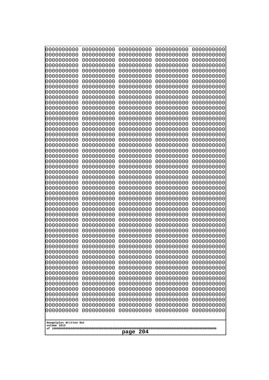| 0000000000<br>0000000000<br>0000000000<br>0000000000<br>0000000000<br>0000000000<br>0000000000<br>0000000000<br>0000000000<br>0000000000<br>0000000000<br>0000000000<br>0000000000<br>0000000000<br>0000000000<br>0000000000<br>0000000000<br>0000000000<br>0000000000<br>0000000000<br>0000000000<br>0000000000<br>0000000000<br>0000000000<br>0000000000<br>0000000000<br>0000000000<br>0000000000<br>0000000000<br>0000000000<br>0000000000<br>0000000000<br>0000000000<br>0000000000<br>0000000000<br>0000000000<br>0000000000<br>0000000000<br>0000000000<br>0000000000<br>0000000000<br>0000000000<br>0000000000<br>0000000000<br>0000000000<br>0000000000<br>0000000000<br>0000000000<br>0000000000<br>0000000000<br>0000000000<br>0000000000<br>0000000000<br>0000000000<br>0000000000<br>0000000000<br>0000000000<br>0000000000<br>0000000000<br>0000000000<br>0000000000<br>0000000000<br>0000000000<br>0000000000<br>0000000000<br>0000000000<br>0000000000<br>0000000000<br>0000000000<br>0000000000<br>0000000000<br>0000000000<br>0000000000<br>0000000000<br>0000000000<br>0000000000<br>0000000000<br>0000000000<br>0000000000<br>0000000000<br>0000000000<br>0000000000<br>0000000000<br>0000000000<br>0000000000<br>0000000000<br>0000000000<br>0000000000<br>0000000000<br>0000000000<br>0000000000<br>0000000000<br>0000000000<br>0000000000<br>0000000000<br>0000000000<br>0000000000<br>0000000000<br>0000000000<br>0000000000<br>0000000000<br>0000000000<br>0000000000<br>0000000000<br>0000000000<br>0000000000<br>0000000000<br>0000000000<br>0000000000<br>0000000000<br>0000000000<br>0000000000<br>0000000000<br>0000000000<br>0000000000<br>0000000000<br>0000000000<br>0000000000<br>0000000000<br>0000000000<br>0000000000<br>0000000000<br>0000000000<br>0000000000<br>0000000000<br>0000000000<br>0000000000<br>0000000000<br>0000000000<br>0000000000<br>0000000000<br>0000000000<br>0000000000<br>0000000000<br>0000000000<br>0000000000<br>0000000000<br>0000000000<br>0000000000<br>0000000000<br>0000000000<br>0000000000<br>0000000000<br>0000000000<br>0000000000<br>0000000000<br>0000000000<br>0000000000<br>0000000000<br>0000000000<br>0000000000<br>0000000000<br>0000000000<br>0000000000<br>0000000000<br>0000000000<br>0000000000<br>0000000000<br>0000000000<br>0000000000<br>0000000000<br>0000000000<br>0000000000<br>0000000000<br>0000000000<br>0000000000<br>0000000000<br>0000000000<br>0000000000<br>0000000000<br>0000000000<br>0000000000<br>0000000000<br>0000000000<br>0000000000<br>0000000000<br>0000000000<br>0000000000<br>0000000000<br>0000000000<br>0000000000<br>0000000000<br>0000000000<br>0000000000<br>0000000000<br>0000000000<br>0000000000<br>0000000000<br>0000000000<br>0000000000<br>0000000000<br>0000000000<br>0000000000<br>0000000000<br>0000000000<br>0000000000<br>0000000000<br>0000000000<br>0000000000<br>0000000000<br>0000000000<br>0000000000<br>0000000000<br>0000000000<br>0000000000<br>0000000000<br>0000000000<br>0000000000<br>0000000000<br>0000000000<br>0000000000<br>0000000000<br>0000000000<br>0000000000<br>0000000000<br>0000000000<br>0000000000<br>0000000000<br>0000000000<br>0000000000<br>0000000000<br>0000000000<br>0000000000<br>0000000000<br>0000000000<br>0000000000<br>0000000000<br>0000000000<br>0000000000<br>0000000000<br>0000000000<br>0000000000<br>0000000000<br>0000000000<br>0000000000<br>0000000000<br>0000000000<br>0000000000<br>0000000000 | 10000000000<br>0000000000 | 0000000000<br>0000000000 | 0000000000<br>0000000000 | 0000000000<br>0000000000 | 0000000000<br>0000000000 |
|--------------------------------------------------------------------------------------------------------------------------------------------------------------------------------------------------------------------------------------------------------------------------------------------------------------------------------------------------------------------------------------------------------------------------------------------------------------------------------------------------------------------------------------------------------------------------------------------------------------------------------------------------------------------------------------------------------------------------------------------------------------------------------------------------------------------------------------------------------------------------------------------------------------------------------------------------------------------------------------------------------------------------------------------------------------------------------------------------------------------------------------------------------------------------------------------------------------------------------------------------------------------------------------------------------------------------------------------------------------------------------------------------------------------------------------------------------------------------------------------------------------------------------------------------------------------------------------------------------------------------------------------------------------------------------------------------------------------------------------------------------------------------------------------------------------------------------------------------------------------------------------------------------------------------------------------------------------------------------------------------------------------------------------------------------------------------------------------------------------------------------------------------------------------------------------------------------------------------------------------------------------------------------------------------------------------------------------------------------------------------------------------------------------------------------------------------------------------------------------------------------------------------------------------------------------------------------------------------------------------------------------------------------------------------------------------------------------------------------------------------------------------------------------------------------------------------------------------------------------------------------------------------------------------------------------------------------------------------------------------------------------------------------------------------------------------------------------------------------------------------------------------------------------------------------------------------------------------------------------------------------------------------------------------------------------------------------------------------------------------------------------------------------------------------------------------------------------------------------|---------------------------|--------------------------|--------------------------|--------------------------|--------------------------|
|                                                                                                                                                                                                                                                                                                                                                                                                                                                                                                                                                                                                                                                                                                                                                                                                                                                                                                                                                                                                                                                                                                                                                                                                                                                                                                                                                                                                                                                                                                                                                                                                                                                                                                                                                                                                                                                                                                                                                                                                                                                                                                                                                                                                                                                                                                                                                                                                                                                                                                                                                                                                                                                                                                                                                                                                                                                                                                                                                                                                                                                                                                                                                                                                                                                                                                                                                                                                                                                                                |                           |                          |                          |                          |                          |
|                                                                                                                                                                                                                                                                                                                                                                                                                                                                                                                                                                                                                                                                                                                                                                                                                                                                                                                                                                                                                                                                                                                                                                                                                                                                                                                                                                                                                                                                                                                                                                                                                                                                                                                                                                                                                                                                                                                                                                                                                                                                                                                                                                                                                                                                                                                                                                                                                                                                                                                                                                                                                                                                                                                                                                                                                                                                                                                                                                                                                                                                                                                                                                                                                                                                                                                                                                                                                                                                                |                           |                          |                          |                          |                          |
|                                                                                                                                                                                                                                                                                                                                                                                                                                                                                                                                                                                                                                                                                                                                                                                                                                                                                                                                                                                                                                                                                                                                                                                                                                                                                                                                                                                                                                                                                                                                                                                                                                                                                                                                                                                                                                                                                                                                                                                                                                                                                                                                                                                                                                                                                                                                                                                                                                                                                                                                                                                                                                                                                                                                                                                                                                                                                                                                                                                                                                                                                                                                                                                                                                                                                                                                                                                                                                                                                |                           |                          |                          |                          |                          |
|                                                                                                                                                                                                                                                                                                                                                                                                                                                                                                                                                                                                                                                                                                                                                                                                                                                                                                                                                                                                                                                                                                                                                                                                                                                                                                                                                                                                                                                                                                                                                                                                                                                                                                                                                                                                                                                                                                                                                                                                                                                                                                                                                                                                                                                                                                                                                                                                                                                                                                                                                                                                                                                                                                                                                                                                                                                                                                                                                                                                                                                                                                                                                                                                                                                                                                                                                                                                                                                                                |                           |                          |                          |                          |                          |
|                                                                                                                                                                                                                                                                                                                                                                                                                                                                                                                                                                                                                                                                                                                                                                                                                                                                                                                                                                                                                                                                                                                                                                                                                                                                                                                                                                                                                                                                                                                                                                                                                                                                                                                                                                                                                                                                                                                                                                                                                                                                                                                                                                                                                                                                                                                                                                                                                                                                                                                                                                                                                                                                                                                                                                                                                                                                                                                                                                                                                                                                                                                                                                                                                                                                                                                                                                                                                                                                                |                           |                          |                          |                          |                          |
|                                                                                                                                                                                                                                                                                                                                                                                                                                                                                                                                                                                                                                                                                                                                                                                                                                                                                                                                                                                                                                                                                                                                                                                                                                                                                                                                                                                                                                                                                                                                                                                                                                                                                                                                                                                                                                                                                                                                                                                                                                                                                                                                                                                                                                                                                                                                                                                                                                                                                                                                                                                                                                                                                                                                                                                                                                                                                                                                                                                                                                                                                                                                                                                                                                                                                                                                                                                                                                                                                |                           |                          |                          |                          |                          |
|                                                                                                                                                                                                                                                                                                                                                                                                                                                                                                                                                                                                                                                                                                                                                                                                                                                                                                                                                                                                                                                                                                                                                                                                                                                                                                                                                                                                                                                                                                                                                                                                                                                                                                                                                                                                                                                                                                                                                                                                                                                                                                                                                                                                                                                                                                                                                                                                                                                                                                                                                                                                                                                                                                                                                                                                                                                                                                                                                                                                                                                                                                                                                                                                                                                                                                                                                                                                                                                                                |                           |                          |                          |                          |                          |
|                                                                                                                                                                                                                                                                                                                                                                                                                                                                                                                                                                                                                                                                                                                                                                                                                                                                                                                                                                                                                                                                                                                                                                                                                                                                                                                                                                                                                                                                                                                                                                                                                                                                                                                                                                                                                                                                                                                                                                                                                                                                                                                                                                                                                                                                                                                                                                                                                                                                                                                                                                                                                                                                                                                                                                                                                                                                                                                                                                                                                                                                                                                                                                                                                                                                                                                                                                                                                                                                                |                           |                          |                          |                          |                          |
|                                                                                                                                                                                                                                                                                                                                                                                                                                                                                                                                                                                                                                                                                                                                                                                                                                                                                                                                                                                                                                                                                                                                                                                                                                                                                                                                                                                                                                                                                                                                                                                                                                                                                                                                                                                                                                                                                                                                                                                                                                                                                                                                                                                                                                                                                                                                                                                                                                                                                                                                                                                                                                                                                                                                                                                                                                                                                                                                                                                                                                                                                                                                                                                                                                                                                                                                                                                                                                                                                |                           |                          |                          |                          |                          |
|                                                                                                                                                                                                                                                                                                                                                                                                                                                                                                                                                                                                                                                                                                                                                                                                                                                                                                                                                                                                                                                                                                                                                                                                                                                                                                                                                                                                                                                                                                                                                                                                                                                                                                                                                                                                                                                                                                                                                                                                                                                                                                                                                                                                                                                                                                                                                                                                                                                                                                                                                                                                                                                                                                                                                                                                                                                                                                                                                                                                                                                                                                                                                                                                                                                                                                                                                                                                                                                                                |                           |                          |                          |                          |                          |
|                                                                                                                                                                                                                                                                                                                                                                                                                                                                                                                                                                                                                                                                                                                                                                                                                                                                                                                                                                                                                                                                                                                                                                                                                                                                                                                                                                                                                                                                                                                                                                                                                                                                                                                                                                                                                                                                                                                                                                                                                                                                                                                                                                                                                                                                                                                                                                                                                                                                                                                                                                                                                                                                                                                                                                                                                                                                                                                                                                                                                                                                                                                                                                                                                                                                                                                                                                                                                                                                                |                           |                          |                          |                          |                          |
|                                                                                                                                                                                                                                                                                                                                                                                                                                                                                                                                                                                                                                                                                                                                                                                                                                                                                                                                                                                                                                                                                                                                                                                                                                                                                                                                                                                                                                                                                                                                                                                                                                                                                                                                                                                                                                                                                                                                                                                                                                                                                                                                                                                                                                                                                                                                                                                                                                                                                                                                                                                                                                                                                                                                                                                                                                                                                                                                                                                                                                                                                                                                                                                                                                                                                                                                                                                                                                                                                |                           |                          |                          |                          |                          |
|                                                                                                                                                                                                                                                                                                                                                                                                                                                                                                                                                                                                                                                                                                                                                                                                                                                                                                                                                                                                                                                                                                                                                                                                                                                                                                                                                                                                                                                                                                                                                                                                                                                                                                                                                                                                                                                                                                                                                                                                                                                                                                                                                                                                                                                                                                                                                                                                                                                                                                                                                                                                                                                                                                                                                                                                                                                                                                                                                                                                                                                                                                                                                                                                                                                                                                                                                                                                                                                                                |                           |                          |                          |                          |                          |
|                                                                                                                                                                                                                                                                                                                                                                                                                                                                                                                                                                                                                                                                                                                                                                                                                                                                                                                                                                                                                                                                                                                                                                                                                                                                                                                                                                                                                                                                                                                                                                                                                                                                                                                                                                                                                                                                                                                                                                                                                                                                                                                                                                                                                                                                                                                                                                                                                                                                                                                                                                                                                                                                                                                                                                                                                                                                                                                                                                                                                                                                                                                                                                                                                                                                                                                                                                                                                                                                                |                           |                          |                          |                          |                          |
|                                                                                                                                                                                                                                                                                                                                                                                                                                                                                                                                                                                                                                                                                                                                                                                                                                                                                                                                                                                                                                                                                                                                                                                                                                                                                                                                                                                                                                                                                                                                                                                                                                                                                                                                                                                                                                                                                                                                                                                                                                                                                                                                                                                                                                                                                                                                                                                                                                                                                                                                                                                                                                                                                                                                                                                                                                                                                                                                                                                                                                                                                                                                                                                                                                                                                                                                                                                                                                                                                |                           |                          |                          |                          |                          |
|                                                                                                                                                                                                                                                                                                                                                                                                                                                                                                                                                                                                                                                                                                                                                                                                                                                                                                                                                                                                                                                                                                                                                                                                                                                                                                                                                                                                                                                                                                                                                                                                                                                                                                                                                                                                                                                                                                                                                                                                                                                                                                                                                                                                                                                                                                                                                                                                                                                                                                                                                                                                                                                                                                                                                                                                                                                                                                                                                                                                                                                                                                                                                                                                                                                                                                                                                                                                                                                                                |                           |                          |                          |                          |                          |
|                                                                                                                                                                                                                                                                                                                                                                                                                                                                                                                                                                                                                                                                                                                                                                                                                                                                                                                                                                                                                                                                                                                                                                                                                                                                                                                                                                                                                                                                                                                                                                                                                                                                                                                                                                                                                                                                                                                                                                                                                                                                                                                                                                                                                                                                                                                                                                                                                                                                                                                                                                                                                                                                                                                                                                                                                                                                                                                                                                                                                                                                                                                                                                                                                                                                                                                                                                                                                                                                                |                           |                          |                          |                          |                          |
|                                                                                                                                                                                                                                                                                                                                                                                                                                                                                                                                                                                                                                                                                                                                                                                                                                                                                                                                                                                                                                                                                                                                                                                                                                                                                                                                                                                                                                                                                                                                                                                                                                                                                                                                                                                                                                                                                                                                                                                                                                                                                                                                                                                                                                                                                                                                                                                                                                                                                                                                                                                                                                                                                                                                                                                                                                                                                                                                                                                                                                                                                                                                                                                                                                                                                                                                                                                                                                                                                |                           |                          |                          |                          |                          |
|                                                                                                                                                                                                                                                                                                                                                                                                                                                                                                                                                                                                                                                                                                                                                                                                                                                                                                                                                                                                                                                                                                                                                                                                                                                                                                                                                                                                                                                                                                                                                                                                                                                                                                                                                                                                                                                                                                                                                                                                                                                                                                                                                                                                                                                                                                                                                                                                                                                                                                                                                                                                                                                                                                                                                                                                                                                                                                                                                                                                                                                                                                                                                                                                                                                                                                                                                                                                                                                                                |                           |                          |                          |                          |                          |
|                                                                                                                                                                                                                                                                                                                                                                                                                                                                                                                                                                                                                                                                                                                                                                                                                                                                                                                                                                                                                                                                                                                                                                                                                                                                                                                                                                                                                                                                                                                                                                                                                                                                                                                                                                                                                                                                                                                                                                                                                                                                                                                                                                                                                                                                                                                                                                                                                                                                                                                                                                                                                                                                                                                                                                                                                                                                                                                                                                                                                                                                                                                                                                                                                                                                                                                                                                                                                                                                                |                           |                          |                          |                          |                          |
|                                                                                                                                                                                                                                                                                                                                                                                                                                                                                                                                                                                                                                                                                                                                                                                                                                                                                                                                                                                                                                                                                                                                                                                                                                                                                                                                                                                                                                                                                                                                                                                                                                                                                                                                                                                                                                                                                                                                                                                                                                                                                                                                                                                                                                                                                                                                                                                                                                                                                                                                                                                                                                                                                                                                                                                                                                                                                                                                                                                                                                                                                                                                                                                                                                                                                                                                                                                                                                                                                |                           |                          |                          |                          |                          |
|                                                                                                                                                                                                                                                                                                                                                                                                                                                                                                                                                                                                                                                                                                                                                                                                                                                                                                                                                                                                                                                                                                                                                                                                                                                                                                                                                                                                                                                                                                                                                                                                                                                                                                                                                                                                                                                                                                                                                                                                                                                                                                                                                                                                                                                                                                                                                                                                                                                                                                                                                                                                                                                                                                                                                                                                                                                                                                                                                                                                                                                                                                                                                                                                                                                                                                                                                                                                                                                                                |                           |                          |                          |                          |                          |
|                                                                                                                                                                                                                                                                                                                                                                                                                                                                                                                                                                                                                                                                                                                                                                                                                                                                                                                                                                                                                                                                                                                                                                                                                                                                                                                                                                                                                                                                                                                                                                                                                                                                                                                                                                                                                                                                                                                                                                                                                                                                                                                                                                                                                                                                                                                                                                                                                                                                                                                                                                                                                                                                                                                                                                                                                                                                                                                                                                                                                                                                                                                                                                                                                                                                                                                                                                                                                                                                                |                           |                          |                          |                          |                          |
|                                                                                                                                                                                                                                                                                                                                                                                                                                                                                                                                                                                                                                                                                                                                                                                                                                                                                                                                                                                                                                                                                                                                                                                                                                                                                                                                                                                                                                                                                                                                                                                                                                                                                                                                                                                                                                                                                                                                                                                                                                                                                                                                                                                                                                                                                                                                                                                                                                                                                                                                                                                                                                                                                                                                                                                                                                                                                                                                                                                                                                                                                                                                                                                                                                                                                                                                                                                                                                                                                |                           |                          |                          |                          |                          |
|                                                                                                                                                                                                                                                                                                                                                                                                                                                                                                                                                                                                                                                                                                                                                                                                                                                                                                                                                                                                                                                                                                                                                                                                                                                                                                                                                                                                                                                                                                                                                                                                                                                                                                                                                                                                                                                                                                                                                                                                                                                                                                                                                                                                                                                                                                                                                                                                                                                                                                                                                                                                                                                                                                                                                                                                                                                                                                                                                                                                                                                                                                                                                                                                                                                                                                                                                                                                                                                                                |                           |                          |                          |                          |                          |
|                                                                                                                                                                                                                                                                                                                                                                                                                                                                                                                                                                                                                                                                                                                                                                                                                                                                                                                                                                                                                                                                                                                                                                                                                                                                                                                                                                                                                                                                                                                                                                                                                                                                                                                                                                                                                                                                                                                                                                                                                                                                                                                                                                                                                                                                                                                                                                                                                                                                                                                                                                                                                                                                                                                                                                                                                                                                                                                                                                                                                                                                                                                                                                                                                                                                                                                                                                                                                                                                                |                           |                          |                          |                          |                          |
|                                                                                                                                                                                                                                                                                                                                                                                                                                                                                                                                                                                                                                                                                                                                                                                                                                                                                                                                                                                                                                                                                                                                                                                                                                                                                                                                                                                                                                                                                                                                                                                                                                                                                                                                                                                                                                                                                                                                                                                                                                                                                                                                                                                                                                                                                                                                                                                                                                                                                                                                                                                                                                                                                                                                                                                                                                                                                                                                                                                                                                                                                                                                                                                                                                                                                                                                                                                                                                                                                |                           |                          |                          |                          |                          |
|                                                                                                                                                                                                                                                                                                                                                                                                                                                                                                                                                                                                                                                                                                                                                                                                                                                                                                                                                                                                                                                                                                                                                                                                                                                                                                                                                                                                                                                                                                                                                                                                                                                                                                                                                                                                                                                                                                                                                                                                                                                                                                                                                                                                                                                                                                                                                                                                                                                                                                                                                                                                                                                                                                                                                                                                                                                                                                                                                                                                                                                                                                                                                                                                                                                                                                                                                                                                                                                                                |                           |                          |                          |                          |                          |
|                                                                                                                                                                                                                                                                                                                                                                                                                                                                                                                                                                                                                                                                                                                                                                                                                                                                                                                                                                                                                                                                                                                                                                                                                                                                                                                                                                                                                                                                                                                                                                                                                                                                                                                                                                                                                                                                                                                                                                                                                                                                                                                                                                                                                                                                                                                                                                                                                                                                                                                                                                                                                                                                                                                                                                                                                                                                                                                                                                                                                                                                                                                                                                                                                                                                                                                                                                                                                                                                                |                           |                          |                          |                          |                          |
|                                                                                                                                                                                                                                                                                                                                                                                                                                                                                                                                                                                                                                                                                                                                                                                                                                                                                                                                                                                                                                                                                                                                                                                                                                                                                                                                                                                                                                                                                                                                                                                                                                                                                                                                                                                                                                                                                                                                                                                                                                                                                                                                                                                                                                                                                                                                                                                                                                                                                                                                                                                                                                                                                                                                                                                                                                                                                                                                                                                                                                                                                                                                                                                                                                                                                                                                                                                                                                                                                |                           |                          |                          |                          |                          |
|                                                                                                                                                                                                                                                                                                                                                                                                                                                                                                                                                                                                                                                                                                                                                                                                                                                                                                                                                                                                                                                                                                                                                                                                                                                                                                                                                                                                                                                                                                                                                                                                                                                                                                                                                                                                                                                                                                                                                                                                                                                                                                                                                                                                                                                                                                                                                                                                                                                                                                                                                                                                                                                                                                                                                                                                                                                                                                                                                                                                                                                                                                                                                                                                                                                                                                                                                                                                                                                                                |                           |                          |                          |                          |                          |
|                                                                                                                                                                                                                                                                                                                                                                                                                                                                                                                                                                                                                                                                                                                                                                                                                                                                                                                                                                                                                                                                                                                                                                                                                                                                                                                                                                                                                                                                                                                                                                                                                                                                                                                                                                                                                                                                                                                                                                                                                                                                                                                                                                                                                                                                                                                                                                                                                                                                                                                                                                                                                                                                                                                                                                                                                                                                                                                                                                                                                                                                                                                                                                                                                                                                                                                                                                                                                                                                                |                           |                          |                          |                          |                          |
|                                                                                                                                                                                                                                                                                                                                                                                                                                                                                                                                                                                                                                                                                                                                                                                                                                                                                                                                                                                                                                                                                                                                                                                                                                                                                                                                                                                                                                                                                                                                                                                                                                                                                                                                                                                                                                                                                                                                                                                                                                                                                                                                                                                                                                                                                                                                                                                                                                                                                                                                                                                                                                                                                                                                                                                                                                                                                                                                                                                                                                                                                                                                                                                                                                                                                                                                                                                                                                                                                |                           |                          |                          |                          |                          |
|                                                                                                                                                                                                                                                                                                                                                                                                                                                                                                                                                                                                                                                                                                                                                                                                                                                                                                                                                                                                                                                                                                                                                                                                                                                                                                                                                                                                                                                                                                                                                                                                                                                                                                                                                                                                                                                                                                                                                                                                                                                                                                                                                                                                                                                                                                                                                                                                                                                                                                                                                                                                                                                                                                                                                                                                                                                                                                                                                                                                                                                                                                                                                                                                                                                                                                                                                                                                                                                                                |                           |                          |                          |                          |                          |
|                                                                                                                                                                                                                                                                                                                                                                                                                                                                                                                                                                                                                                                                                                                                                                                                                                                                                                                                                                                                                                                                                                                                                                                                                                                                                                                                                                                                                                                                                                                                                                                                                                                                                                                                                                                                                                                                                                                                                                                                                                                                                                                                                                                                                                                                                                                                                                                                                                                                                                                                                                                                                                                                                                                                                                                                                                                                                                                                                                                                                                                                                                                                                                                                                                                                                                                                                                                                                                                                                |                           |                          |                          |                          |                          |
|                                                                                                                                                                                                                                                                                                                                                                                                                                                                                                                                                                                                                                                                                                                                                                                                                                                                                                                                                                                                                                                                                                                                                                                                                                                                                                                                                                                                                                                                                                                                                                                                                                                                                                                                                                                                                                                                                                                                                                                                                                                                                                                                                                                                                                                                                                                                                                                                                                                                                                                                                                                                                                                                                                                                                                                                                                                                                                                                                                                                                                                                                                                                                                                                                                                                                                                                                                                                                                                                                |                           |                          |                          |                          |                          |
|                                                                                                                                                                                                                                                                                                                                                                                                                                                                                                                                                                                                                                                                                                                                                                                                                                                                                                                                                                                                                                                                                                                                                                                                                                                                                                                                                                                                                                                                                                                                                                                                                                                                                                                                                                                                                                                                                                                                                                                                                                                                                                                                                                                                                                                                                                                                                                                                                                                                                                                                                                                                                                                                                                                                                                                                                                                                                                                                                                                                                                                                                                                                                                                                                                                                                                                                                                                                                                                                                |                           |                          |                          |                          |                          |
|                                                                                                                                                                                                                                                                                                                                                                                                                                                                                                                                                                                                                                                                                                                                                                                                                                                                                                                                                                                                                                                                                                                                                                                                                                                                                                                                                                                                                                                                                                                                                                                                                                                                                                                                                                                                                                                                                                                                                                                                                                                                                                                                                                                                                                                                                                                                                                                                                                                                                                                                                                                                                                                                                                                                                                                                                                                                                                                                                                                                                                                                                                                                                                                                                                                                                                                                                                                                                                                                                |                           |                          |                          |                          | 0000000000               |
|                                                                                                                                                                                                                                                                                                                                                                                                                                                                                                                                                                                                                                                                                                                                                                                                                                                                                                                                                                                                                                                                                                                                                                                                                                                                                                                                                                                                                                                                                                                                                                                                                                                                                                                                                                                                                                                                                                                                                                                                                                                                                                                                                                                                                                                                                                                                                                                                                                                                                                                                                                                                                                                                                                                                                                                                                                                                                                                                                                                                                                                                                                                                                                                                                                                                                                                                                                                                                                                                                |                           |                          |                          |                          |                          |
| Googolplex Written Out<br>volume 1013                                                                                                                                                                                                                                                                                                                                                                                                                                                                                                                                                                                                                                                                                                                                                                                                                                                                                                                                                                                                                                                                                                                                                                                                                                                                                                                                                                                                                                                                                                                                                                                                                                                                                                                                                                                                                                                                                                                                                                                                                                                                                                                                                                                                                                                                                                                                                                                                                                                                                                                                                                                                                                                                                                                                                                                                                                                                                                                                                                                                                                                                                                                                                                                                                                                                                                                                                                                                                                          |                           |                          |                          |                          |                          |
| 204<br>page                                                                                                                                                                                                                                                                                                                                                                                                                                                                                                                                                                                                                                                                                                                                                                                                                                                                                                                                                                                                                                                                                                                                                                                                                                                                                                                                                                                                                                                                                                                                                                                                                                                                                                                                                                                                                                                                                                                                                                                                                                                                                                                                                                                                                                                                                                                                                                                                                                                                                                                                                                                                                                                                                                                                                                                                                                                                                                                                                                                                                                                                                                                                                                                                                                                                                                                                                                                                                                                                    |                           |                          |                          |                          |                          |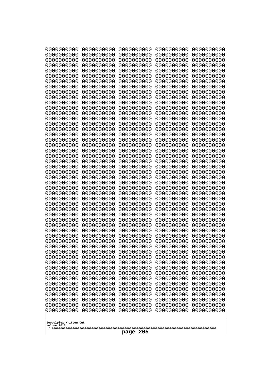| 10000000000<br>0000000000             | 0000000000<br>0000000000 | 0000000000<br>0000000000 | 0000000000<br>0000000000 | 0000000000<br>0000000000 |
|---------------------------------------|--------------------------|--------------------------|--------------------------|--------------------------|
| 0000000000                            | 0000000000               | 0000000000               | 0000000000               | 0000000000               |
| 0000000000                            | 0000000000               | 0000000000               | 0000000000               | 0000000000               |
| 0000000000                            | 0000000000               | 0000000000               | 0000000000               | 0000000000               |
| 0000000000<br>0000000000              | 0000000000<br>0000000000 | 0000000000<br>0000000000 | 0000000000<br>0000000000 | 0000000000<br>0000000000 |
| 0000000000                            | 0000000000               | 0000000000               | 0000000000               | 0000000000               |
| 0000000000                            | 0000000000               | 0000000000               | 0000000000               | 0000000000               |
| 0000000000                            | 0000000000               | 0000000000               | 0000000000               | 0000000000               |
| 0000000000<br>0000000000              | 0000000000<br>0000000000 | 0000000000<br>0000000000 | 0000000000<br>0000000000 | 0000000000               |
| 0000000000                            | 0000000000               | 0000000000               | 0000000000               | 0000000000<br>0000000000 |
| 0000000000                            | 0000000000               | 0000000000               | 0000000000               | 0000000000               |
| 0000000000                            | 0000000000               | 0000000000               | 0000000000               | 0000000000               |
| 0000000000                            | 0000000000               | 0000000000               | 0000000000               | 0000000000               |
| 0000000000<br>0000000000              | 0000000000<br>0000000000 | 0000000000<br>0000000000 | 0000000000<br>0000000000 | 0000000000<br>0000000000 |
| 0000000000                            | 0000000000               | 0000000000               | 0000000000               | 0000000000               |
| 0000000000                            | 0000000000               | 0000000000               | 0000000000               | 0000000000               |
| 0000000000                            | 0000000000<br>0000000000 | 0000000000               | 0000000000               | 0000000000               |
| 0000000000<br>0000000000              | 0000000000               | 0000000000<br>0000000000 | 0000000000<br>0000000000 | 0000000000<br>0000000000 |
| 0000000000                            | 0000000000               | 0000000000               | 0000000000               | 0000000000               |
| 0000000000                            | 0000000000               | 0000000000               | 0000000000               | 0000000000               |
| 0000000000                            | 0000000000<br>0000000000 | 0000000000<br>0000000000 | 0000000000<br>0000000000 | 0000000000               |
| 0000000000<br>0000000000              | 0000000000               | 0000000000               | 0000000000               | 0000000000<br>0000000000 |
| 0000000000                            | 0000000000               | 0000000000               | 0000000000               | 0000000000               |
| 0000000000                            | 0000000000               | 0000000000               | 0000000000               | 0000000000               |
| 0000000000<br>0000000000              | 0000000000<br>0000000000 | 0000000000<br>0000000000 | 0000000000<br>0000000000 | 0000000000<br>0000000000 |
| 0000000000                            | 0000000000               | 0000000000               | 0000000000               | 0000000000               |
| 0000000000                            | 0000000000               | 0000000000               | 0000000000               | 0000000000               |
| 0000000000                            | 0000000000               | 0000000000               | 0000000000               | 0000000000               |
| 0000000000                            | 0000000000<br>0000000000 | 0000000000<br>0000000000 | 0000000000               | 0000000000               |
| 0000000000<br>0000000000              | 0000000000               | 0000000000               | 0000000000<br>0000000000 | 0000000000<br>0000000000 |
| 0000000000                            | 0000000000               | 0000000000               | 0000000000               | 0000000000               |
| 0000000000                            | 0000000000               | 0000000000               | 0000000000               | 0000000000               |
| 0000000000<br>0000000000              | 0000000000               | 0000000000               | 0000000000               | 0000000000               |
| 0000000000                            | 0000000000<br>0000000000 | 0000000000<br>0000000000 | 0000000000<br>0000000000 | 0000000000<br>0000000000 |
| 0000000000                            | 0000000000               | 0000000000               | 0000000000               | 0000000000               |
| 0000000000                            | 0000000000               | 0000000000               | 0000000000               | 0000000000               |
| 0000000000                            | 0000000000               | 0000000000               | 0000000000               | 0000000000               |
| 0000000000<br>0000000000              | 0000000000<br>0000000000 | 0000000000<br>0000000000 | 0000000000<br>0000000000 | 0000000000<br>0000000000 |
| 0000000000                            | 0000000000               | 0000000000               | 0000000000               | 0000000000               |
| 0000000000                            | 0000000000               | 0000000000               | 0000000000               | 0000000000               |
|                                       |                          |                          |                          |                          |
| Googolplex Written Out<br>volume 1013 |                          |                          |                          |                          |
| 205<br>page                           |                          |                          |                          |                          |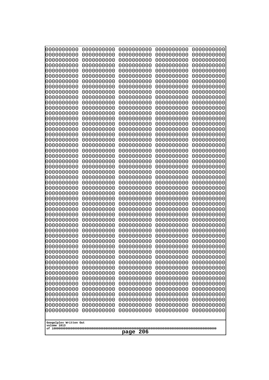| 10000000000<br>0000000000             | 0000000000<br>0000000000 | 0000000000<br>0000000000 | 0000000000<br>0000000000 | 0000000000<br>0000000000 |
|---------------------------------------|--------------------------|--------------------------|--------------------------|--------------------------|
| 0000000000                            | 0000000000               | 0000000000               | 0000000000               | 0000000000               |
| 0000000000                            | 0000000000               | 0000000000               | 0000000000               | 0000000000               |
| 0000000000                            | 0000000000               | 0000000000               | 0000000000               | 0000000000               |
| 0000000000<br>0000000000              | 0000000000<br>0000000000 | 0000000000<br>0000000000 | 0000000000<br>0000000000 | 0000000000<br>0000000000 |
| 0000000000                            | 0000000000               | 0000000000               | 0000000000               | 0000000000               |
| 0000000000                            | 0000000000               | 0000000000               | 0000000000               | 0000000000               |
| 0000000000                            | 0000000000               | 0000000000               | 0000000000               | 0000000000               |
| 0000000000<br>0000000000              | 0000000000<br>0000000000 | 0000000000<br>0000000000 | 0000000000<br>0000000000 | 0000000000               |
| 0000000000                            | 0000000000               | 0000000000               | 0000000000               | 0000000000<br>0000000000 |
| 0000000000                            | 0000000000               | 0000000000               | 0000000000               | 0000000000               |
| 0000000000                            | 0000000000               | 0000000000               | 0000000000               | 0000000000               |
| 0000000000                            | 0000000000               | 0000000000               | 0000000000               | 0000000000               |
| 0000000000<br>0000000000              | 0000000000<br>0000000000 | 0000000000<br>0000000000 | 0000000000<br>0000000000 | 0000000000<br>0000000000 |
| 0000000000                            | 0000000000               | 0000000000               | 0000000000               | 0000000000               |
| 0000000000                            | 0000000000               | 0000000000               | 0000000000               | 0000000000               |
| 0000000000                            | 0000000000<br>0000000000 | 0000000000               | 0000000000               | 0000000000               |
| 0000000000<br>0000000000              | 0000000000               | 0000000000<br>0000000000 | 0000000000<br>0000000000 | 0000000000<br>0000000000 |
| 0000000000                            | 0000000000               | 0000000000               | 0000000000               | 0000000000               |
| 0000000000                            | 0000000000               | 0000000000               | 0000000000               | 0000000000               |
| 0000000000                            | 0000000000<br>0000000000 | 0000000000<br>0000000000 | 0000000000<br>0000000000 | 0000000000               |
| 0000000000<br>0000000000              | 0000000000               | 0000000000               | 0000000000               | 0000000000<br>0000000000 |
| 0000000000                            | 0000000000               | 0000000000               | 0000000000               | 0000000000               |
| 0000000000                            | 0000000000               | 0000000000               | 0000000000               | 0000000000               |
| 0000000000<br>0000000000              | 0000000000<br>0000000000 | 0000000000<br>0000000000 | 0000000000<br>0000000000 | 0000000000<br>0000000000 |
| 0000000000                            | 0000000000               | 0000000000               | 0000000000               | 0000000000               |
| 0000000000                            | 0000000000               | 0000000000               | 0000000000               | 0000000000               |
| 0000000000                            | 0000000000               | 0000000000               | 0000000000               | 0000000000               |
| 0000000000<br>0000000000              | 0000000000<br>0000000000 | 0000000000<br>0000000000 | 0000000000<br>0000000000 | 0000000000<br>0000000000 |
| 0000000000                            | 0000000000               | 0000000000               | 0000000000               | 0000000000               |
| 0000000000                            | 0000000000               | 0000000000               | 0000000000               | 0000000000               |
| 0000000000                            | 0000000000               | 0000000000               | 0000000000               | 0000000000               |
| 0000000000<br>0000000000              | 0000000000<br>0000000000 | 0000000000<br>0000000000 | 0000000000<br>0000000000 | 0000000000<br>0000000000 |
| 0000000000                            | 0000000000               | 0000000000               | 0000000000               | 0000000000               |
| 0000000000                            | 0000000000               | 0000000000               | 0000000000               | 0000000000               |
| 0000000000                            | 0000000000               | 0000000000               | 0000000000               | 0000000000               |
| 0000000000<br>0000000000              | 0000000000<br>0000000000 | 0000000000<br>0000000000 | 0000000000<br>0000000000 | 0000000000<br>0000000000 |
| 0000000000                            | 0000000000               | 0000000000               | 0000000000               | 0000000000               |
| 0000000000                            | 0000000000               | 0000000000               | 0000000000               | 0000000000               |
| 0000000000                            | 0000000000               | 0000000000               | 0000000000               | 0000000000               |
|                                       |                          |                          |                          |                          |
| Googolplex Written Out<br>volume 1013 |                          |                          |                          |                          |
| 206<br>page                           |                          |                          |                          |                          |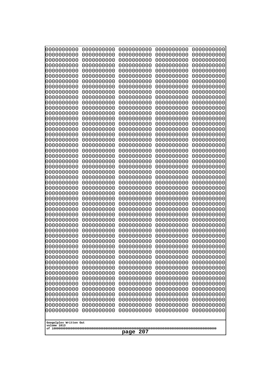| 10000000000<br>0000000000             | 0000000000<br>0000000000 | 0000000000<br>0000000000 | 0000000000<br>0000000000 | 0000000000<br>0000000000 |
|---------------------------------------|--------------------------|--------------------------|--------------------------|--------------------------|
| 0000000000                            | 0000000000               | 0000000000               | 0000000000               | 0000000000               |
| 0000000000                            | 0000000000               | 0000000000               | 0000000000               | 0000000000               |
| 0000000000<br>0000000000              | 0000000000<br>0000000000 | 0000000000<br>0000000000 | 0000000000<br>0000000000 | 0000000000<br>0000000000 |
| 0000000000                            | 0000000000               | 0000000000               | 0000000000               | 0000000000               |
| 0000000000                            | 0000000000               | 0000000000               | 0000000000               | 0000000000               |
| 0000000000<br>0000000000              | 0000000000<br>0000000000 | 0000000000<br>0000000000 | 0000000000<br>0000000000 | 0000000000<br>0000000000 |
| 0000000000                            | 0000000000               | 0000000000               | 0000000000               | 0000000000               |
| 0000000000                            | 0000000000               | 0000000000               | 0000000000               | 0000000000               |
| 0000000000                            | 0000000000               | 0000000000               | 0000000000               | 0000000000               |
| 0000000000<br>0000000000              | 0000000000<br>0000000000 | 0000000000<br>0000000000 | 0000000000<br>0000000000 | 0000000000<br>0000000000 |
| 0000000000                            | 0000000000               | 0000000000               | 0000000000               | 0000000000               |
| 0000000000                            | 0000000000               | 0000000000               | 0000000000               | 0000000000               |
| 0000000000<br>0000000000              | 0000000000<br>0000000000 | 0000000000<br>0000000000 | 0000000000<br>0000000000 | 0000000000<br>0000000000 |
| 0000000000                            | 0000000000               | 0000000000               | 0000000000               | 0000000000               |
| 0000000000                            | 0000000000               | 0000000000               | 0000000000               | 0000000000               |
| 0000000000<br>0000000000              | 0000000000<br>0000000000 | 0000000000<br>0000000000 | 0000000000<br>0000000000 | 0000000000<br>0000000000 |
| 0000000000                            | 0000000000               | 0000000000               | 0000000000               | 0000000000               |
| 0000000000                            | 0000000000               | 0000000000               | 0000000000               | 0000000000               |
| 0000000000<br>0000000000              | 0000000000<br>0000000000 | 0000000000<br>0000000000 | 0000000000<br>0000000000 | 0000000000<br>0000000000 |
| 0000000000                            | 0000000000               | 0000000000               | 0000000000               | 0000000000               |
| 0000000000                            | 0000000000               | 0000000000               | 0000000000               | 0000000000               |
| 0000000000                            | 0000000000<br>0000000000 | 0000000000<br>0000000000 | 0000000000<br>0000000000 | 0000000000               |
| 0000000000<br>0000000000              | 0000000000               | 0000000000               | 0000000000               | 0000000000<br>0000000000 |
| 0000000000                            | 0000000000               | 0000000000               | 0000000000               | 0000000000               |
| 0000000000                            | 0000000000               | 0000000000               | 0000000000               | 0000000000               |
| 0000000000<br>0000000000              | 0000000000<br>0000000000 | 0000000000<br>0000000000 | 0000000000<br>0000000000 | 0000000000<br>0000000000 |
| 0000000000                            | 0000000000               | 0000000000               | 0000000000               | 0000000000               |
| 0000000000                            | 0000000000               | 0000000000               | 0000000000               | 0000000000               |
| 0000000000<br>0000000000              | 0000000000<br>0000000000 | 0000000000<br>0000000000 | 0000000000<br>0000000000 | 0000000000<br>0000000000 |
| 0000000000                            | 0000000000               | 0000000000               | 0000000000               | 0000000000               |
| 0000000000                            | 0000000000               | 0000000000               | 0000000000               | 0000000000               |
| 0000000000<br>0000000000              | 0000000000<br>0000000000 | 0000000000<br>0000000000 | 0000000000<br>0000000000 | 0000000000<br>0000000000 |
| 0000000000                            | 0000000000               | 0000000000               | 0000000000               | 0000000000               |
| 0000000000                            | 0000000000               | 0000000000               | 0000000000               | 0000000000               |
| 0000000000<br>0000000000              | 0000000000<br>0000000000 | 0000000000<br>0000000000 | 0000000000<br>0000000000 | 0000000000<br>0000000000 |
| 0000000000                            | 0000000000               | 0000000000               | 0000000000               | 0000000000               |
| 0000000000                            | 0000000000               | 0000000000               | 0000000000               | 0000000000               |
|                                       |                          |                          |                          |                          |
| Googolplex Written Out<br>volume 1013 |                          |                          |                          |                          |
| 207<br>page                           |                          |                          |                          |                          |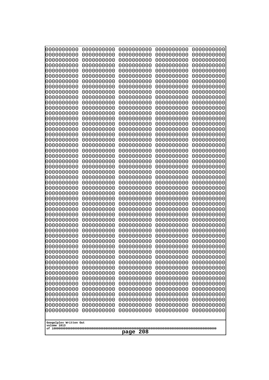| 10000000000<br>0000000000 | 0000000000<br>0000000000 | 0000000000<br>0000000000 | 0000000000<br>0000000000 | 0000000000<br>0000000000 |
|---------------------------|--------------------------|--------------------------|--------------------------|--------------------------|
| 0000000000                | 0000000000               | 0000000000               | 0000000000               | 0000000000               |
| 0000000000                | 0000000000               | 0000000000               | 0000000000               | 0000000000               |
| 0000000000                | 0000000000               | 0000000000               | 0000000000               | 0000000000               |
| 0000000000<br>0000000000  | 0000000000<br>0000000000 | 0000000000<br>0000000000 | 0000000000<br>0000000000 | 0000000000<br>0000000000 |
| 0000000000                | 0000000000               | 0000000000               | 0000000000               | 0000000000               |
| 0000000000                | 0000000000               | 0000000000               | 0000000000               | 0000000000               |
| 0000000000                | 0000000000               | 0000000000               | 0000000000               | 0000000000               |
| 0000000000<br>0000000000  | 0000000000<br>0000000000 | 0000000000<br>0000000000 | 0000000000<br>0000000000 | 0000000000<br>0000000000 |
| 0000000000                | 0000000000               | 0000000000               | 0000000000               | 0000000000               |
| 0000000000                | 0000000000               | 0000000000               | 0000000000               | 0000000000               |
| 0000000000                | 0000000000               | 0000000000               | 0000000000               | 0000000000               |
| 0000000000<br>0000000000  | 0000000000<br>0000000000 | 0000000000<br>0000000000 | 0000000000<br>0000000000 | 0000000000<br>0000000000 |
| 0000000000                | 0000000000               | 0000000000               | 0000000000               | 0000000000               |
| 0000000000                | 0000000000               | 0000000000               | 0000000000               | 0000000000               |
| 0000000000                | 0000000000               | 0000000000               | 0000000000               | 0000000000               |
| 0000000000<br>0000000000  | 0000000000<br>0000000000 | 0000000000<br>0000000000 | 0000000000<br>0000000000 | 0000000000<br>0000000000 |
| 0000000000                | 0000000000               | 0000000000               | 0000000000               | 0000000000               |
| 0000000000                | 0000000000               | 0000000000               | 0000000000               | 0000000000               |
| 0000000000                | 0000000000               | 0000000000               | 0000000000               | 0000000000               |
| 0000000000<br>0000000000  | 0000000000<br>0000000000 | 0000000000<br>0000000000 | 0000000000<br>0000000000 | 0000000000<br>0000000000 |
| 0000000000                | 0000000000               | 0000000000               | 0000000000               | 0000000000               |
| 0000000000                | 0000000000               | 0000000000               | 0000000000               | 0000000000               |
| 0000000000                | 0000000000               | 0000000000               | 0000000000               | 0000000000               |
| 0000000000<br>0000000000  | 0000000000<br>0000000000 | 0000000000<br>0000000000 | 0000000000<br>0000000000 | 0000000000<br>0000000000 |
| 0000000000                | 0000000000               | 0000000000               | 0000000000               | 0000000000               |
| 0000000000                | 0000000000               | 0000000000               | 0000000000               | 0000000000               |
| 0000000000<br>0000000000  | 0000000000<br>0000000000 | 0000000000<br>0000000000 | 0000000000<br>0000000000 | 0000000000<br>0000000000 |
| 0000000000                | 0000000000               | 0000000000               | 0000000000               | 0000000000               |
| 0000000000                | 0000000000               | 0000000000               | 0000000000               | 0000000000               |
| 0000000000                | 0000000000               | 0000000000               | 0000000000               | 0000000000               |
| 0000000000<br>0000000000  | 0000000000<br>0000000000 | 0000000000<br>0000000000 | 0000000000<br>0000000000 | 0000000000<br>0000000000 |
| 0000000000                | 0000000000               | 0000000000               | 0000000000               | 0000000000               |
| 0000000000                | 0000000000               | 0000000000               | 0000000000               | 0000000000               |
| 0000000000                | 0000000000               | 0000000000               | 0000000000               | 0000000000               |
| 0000000000<br>0000000000  | 0000000000<br>0000000000 | 0000000000<br>0000000000 | 0000000000<br>0000000000 | 0000000000<br>0000000000 |
| 0000000000                | 0000000000               | 0000000000               | 0000000000               | 0000000000               |
| 0000000000                | 0000000000               | 0000000000               | 0000000000               | 0000000000               |
| 0000000000                | 0000000000               | 0000000000               | 0000000000               | 0000000000               |
| 0000000000                | 0000000000               | 0000000000               | 0000000000               | 0000000000               |
| Googolplex Written Out    |                          |                          |                          |                          |
| volume 1013               |                          |                          |                          |                          |
| 208<br>page               |                          |                          |                          |                          |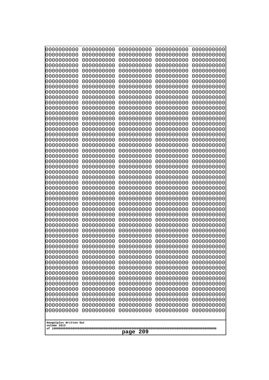| 10000000000<br>0000000000 | 0000000000<br>0000000000 | 0000000000<br>0000000000 | 0000000000<br>0000000000 | 0000000000<br>0000000000 |
|---------------------------|--------------------------|--------------------------|--------------------------|--------------------------|
| 0000000000                | 0000000000               | 0000000000               | 0000000000               | 0000000000               |
| 0000000000                | 0000000000               | 0000000000               | 0000000000               | 0000000000               |
| 0000000000                | 0000000000               | 0000000000               | 0000000000               | 0000000000               |
| 0000000000<br>0000000000  | 0000000000<br>0000000000 | 0000000000<br>0000000000 | 0000000000<br>0000000000 | 0000000000<br>0000000000 |
| 0000000000                | 0000000000               | 0000000000               | 0000000000               | 0000000000               |
| 0000000000                | 0000000000               | 0000000000               | 0000000000               | 0000000000               |
| 0000000000                | 0000000000               | 0000000000               | 0000000000               | 0000000000               |
| 0000000000<br>0000000000  | 0000000000<br>0000000000 | 0000000000<br>0000000000 | 0000000000<br>0000000000 | 0000000000<br>0000000000 |
| 0000000000                | 0000000000               | 0000000000               | 0000000000               | 0000000000               |
| 0000000000                | 0000000000               | 0000000000               | 0000000000               | 0000000000               |
| 0000000000                | 0000000000               | 0000000000               | 0000000000               | 0000000000               |
| 0000000000<br>0000000000  | 0000000000<br>0000000000 | 0000000000<br>0000000000 | 0000000000<br>0000000000 | 0000000000<br>0000000000 |
| 0000000000                | 0000000000               | 0000000000               | 0000000000               | 0000000000               |
| 0000000000                | 0000000000               | 0000000000               | 0000000000               | 0000000000               |
| 0000000000                | 0000000000               | 0000000000               | 0000000000               | 0000000000               |
| 0000000000<br>0000000000  | 0000000000<br>0000000000 | 0000000000<br>0000000000 | 0000000000<br>0000000000 | 0000000000<br>0000000000 |
| 0000000000                | 0000000000               | 0000000000               | 0000000000               | 0000000000               |
| 0000000000                | 0000000000               | 0000000000               | 0000000000               | 0000000000               |
| 0000000000                | 0000000000               | 0000000000               | 0000000000               | 0000000000               |
| 0000000000<br>0000000000  | 0000000000<br>0000000000 | 0000000000<br>0000000000 | 0000000000<br>0000000000 | 0000000000<br>0000000000 |
| 0000000000                | 0000000000               | 0000000000               | 0000000000               | 0000000000               |
| 0000000000                | 0000000000               | 0000000000               | 0000000000               | 0000000000               |
| 0000000000<br>0000000000  | 0000000000<br>0000000000 | 0000000000<br>0000000000 | 0000000000<br>0000000000 | 0000000000<br>0000000000 |
| 0000000000                | 0000000000               | 0000000000               | 0000000000               | 0000000000               |
| 0000000000                | 0000000000               | 0000000000               | 0000000000               | 0000000000               |
| 0000000000                | 0000000000               | 0000000000               | 0000000000               | 0000000000               |
| 0000000000<br>0000000000  | 0000000000<br>0000000000 | 0000000000<br>0000000000 | 0000000000<br>0000000000 | 0000000000<br>0000000000 |
| 0000000000                | 0000000000               | 0000000000               | 0000000000               | 0000000000               |
| 0000000000                | 0000000000               | 0000000000               | 0000000000               | 0000000000               |
| 0000000000                | 0000000000               | 0000000000               | 0000000000               | 0000000000               |
| 0000000000<br>0000000000  | 0000000000<br>0000000000 | 0000000000<br>0000000000 | 0000000000<br>0000000000 | 0000000000<br>0000000000 |
| 0000000000                | 0000000000               | 0000000000               | 0000000000               | 0000000000               |
| 0000000000                | 0000000000               | 0000000000               | 0000000000               | 0000000000               |
| 0000000000                | 0000000000               | 0000000000               | 0000000000               | 0000000000               |
| 0000000000<br>0000000000  | 0000000000<br>0000000000 | 0000000000<br>0000000000 | 0000000000<br>0000000000 | 0000000000<br>0000000000 |
| 0000000000                | 0000000000               | 0000000000               | 0000000000               | 0000000000               |
| 0000000000                | 0000000000               | 0000000000               | 0000000000               | 0000000000               |
| 0000000000                | 0000000000               | 0000000000               | 0000000000               | 0000000000               |
| 0000000000                | 0000000000               | 0000000000               | 0000000000               | 0000000000               |
| Googolplex Written Out    |                          |                          |                          |                          |
| volume 1013               |                          |                          |                          |                          |
| 209<br>page               |                          |                          |                          |                          |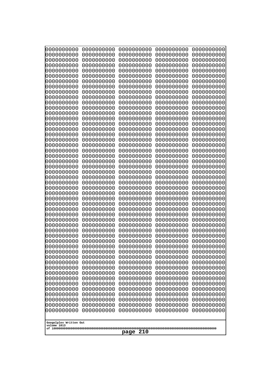| 10000000000<br>0000000000             | 0000000000<br>0000000000 | 0000000000<br>0000000000 | 0000000000<br>0000000000 | 0000000000<br>0000000000 |
|---------------------------------------|--------------------------|--------------------------|--------------------------|--------------------------|
| 0000000000                            | 0000000000               | 0000000000               | 0000000000               | 0000000000               |
| 0000000000                            | 0000000000               | 0000000000               | 0000000000               | 0000000000               |
| 0000000000                            | 0000000000               | 0000000000               | 0000000000               | 0000000000               |
| 0000000000<br>0000000000              | 0000000000<br>0000000000 | 0000000000<br>0000000000 | 0000000000<br>0000000000 | 0000000000<br>0000000000 |
| 0000000000                            | 0000000000               | 0000000000               | 0000000000               | 0000000000               |
| 0000000000                            | 0000000000               | 0000000000               | 0000000000               | 0000000000               |
| 0000000000                            | 0000000000               | 0000000000               | 0000000000               | 0000000000               |
| 0000000000<br>0000000000              | 0000000000<br>0000000000 | 0000000000<br>0000000000 | 0000000000<br>0000000000 | 0000000000               |
| 0000000000                            | 0000000000               | 0000000000               | 0000000000               | 0000000000<br>0000000000 |
| 0000000000                            | 0000000000               | 0000000000               | 0000000000               | 0000000000               |
| 0000000000                            | 0000000000               | 0000000000               | 0000000000               | 0000000000               |
| 0000000000                            | 0000000000               | 0000000000               | 0000000000               | 0000000000               |
| 0000000000<br>0000000000              | 0000000000<br>0000000000 | 0000000000<br>0000000000 | 0000000000<br>0000000000 | 0000000000<br>0000000000 |
| 0000000000                            | 0000000000               | 0000000000               | 0000000000               | 0000000000               |
| 0000000000                            | 0000000000               | 0000000000               | 0000000000               | 0000000000               |
| 0000000000                            | 0000000000<br>0000000000 | 0000000000               | 0000000000               | 0000000000               |
| 0000000000<br>0000000000              | 0000000000               | 0000000000<br>0000000000 | 0000000000<br>0000000000 | 0000000000<br>0000000000 |
| 0000000000                            | 0000000000               | 0000000000               | 0000000000               | 0000000000               |
| 0000000000                            | 0000000000               | 0000000000               | 0000000000               | 0000000000               |
| 0000000000                            | 0000000000<br>0000000000 | 0000000000<br>0000000000 | 0000000000<br>0000000000 | 0000000000               |
| 0000000000<br>0000000000              | 0000000000               | 0000000000               | 0000000000               | 0000000000<br>0000000000 |
| 0000000000                            | 0000000000               | 0000000000               | 0000000000               | 0000000000               |
| 0000000000                            | 0000000000               | 0000000000               | 0000000000               | 0000000000               |
| 0000000000<br>0000000000              | 0000000000<br>0000000000 | 0000000000<br>0000000000 | 0000000000<br>0000000000 | 0000000000<br>0000000000 |
| 0000000000                            | 0000000000               | 0000000000               | 0000000000               | 0000000000               |
| 0000000000                            | 0000000000               | 0000000000               | 0000000000               | 0000000000               |
| 0000000000                            | 0000000000               | 0000000000               | 0000000000               | 0000000000               |
| 0000000000<br>0000000000              | 0000000000<br>0000000000 | 0000000000<br>0000000000 | 0000000000<br>0000000000 | 0000000000<br>0000000000 |
| 0000000000                            | 0000000000               | 0000000000               | 0000000000               | 0000000000               |
| 0000000000                            | 0000000000               | 0000000000               | 0000000000               | 0000000000               |
| 0000000000                            | 0000000000               | 0000000000               | 0000000000               | 0000000000               |
| 0000000000                            | 0000000000               | 0000000000               | 0000000000               | 0000000000               |
| 0000000000<br>0000000000              | 0000000000<br>0000000000 | 0000000000<br>0000000000 | 0000000000<br>0000000000 | 0000000000<br>0000000000 |
| 0000000000                            | 0000000000               | 0000000000               | 0000000000               | 0000000000               |
| 0000000000                            | 0000000000               | 0000000000               | 0000000000               | 0000000000               |
| 0000000000<br>0000000000              | 0000000000<br>0000000000 | 0000000000<br>0000000000 | 0000000000               | 0000000000               |
| 0000000000                            | 0000000000               | 0000000000               | 0000000000<br>0000000000 | 0000000000<br>0000000000 |
| 0000000000                            | 0000000000               | 0000000000               | 0000000000               | 0000000000               |
| 0000000000                            | 0000000000               | 0000000000               | 0000000000               | 0000000000               |
|                                       |                          |                          |                          |                          |
| Googolplex Written Out<br>volume 1013 |                          |                          |                          |                          |
| 210<br>page                           |                          |                          |                          |                          |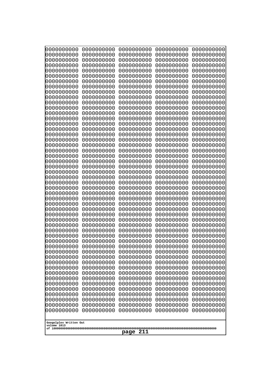| 10000000000<br>0000000000 | 0000000000<br>0000000000 | 0000000000<br>0000000000 | 0000000000<br>0000000000 | 0000000000<br>0000000000 |
|---------------------------|--------------------------|--------------------------|--------------------------|--------------------------|
| 0000000000                | 0000000000               | 0000000000               | 0000000000               | 0000000000               |
| 0000000000                | 0000000000               | 0000000000               | 0000000000               | 0000000000               |
| 0000000000<br>0000000000  | 0000000000<br>0000000000 | 0000000000               | 0000000000<br>0000000000 | 0000000000               |
| 0000000000                | 0000000000               | 0000000000<br>0000000000 | 0000000000               | 0000000000<br>0000000000 |
| 0000000000                | 0000000000               | 0000000000               | 0000000000               | 0000000000               |
| 0000000000                | 0000000000               | 0000000000               | 0000000000               | 0000000000               |
| 0000000000<br>0000000000  | 0000000000<br>0000000000 | 0000000000<br>0000000000 | 0000000000<br>0000000000 | 0000000000<br>0000000000 |
| 0000000000                | 0000000000               | 0000000000               | 0000000000               | 0000000000               |
| 0000000000                | 0000000000               | 0000000000               | 0000000000               | 0000000000               |
| 0000000000                | 0000000000               | 0000000000               | 0000000000               | 0000000000               |
| 0000000000<br>0000000000  | 0000000000<br>0000000000 | 0000000000<br>0000000000 | 0000000000<br>0000000000 | 0000000000<br>0000000000 |
| 0000000000                | 0000000000               | 0000000000               | 0000000000               | 0000000000               |
| 0000000000                | 0000000000               | 0000000000               | 0000000000               | 0000000000               |
| 0000000000<br>0000000000  | 0000000000<br>0000000000 | 0000000000<br>0000000000 | 0000000000<br>0000000000 | 0000000000<br>0000000000 |
| 0000000000                | 0000000000               | 0000000000               | 0000000000               | 0000000000               |
| 0000000000                | 0000000000               | 0000000000               | 0000000000               | 0000000000               |
| 0000000000                | 0000000000               | 0000000000               | 0000000000               | 0000000000               |
| 0000000000<br>0000000000  | 0000000000<br>0000000000 | 0000000000<br>0000000000 | 0000000000<br>0000000000 | 0000000000<br>0000000000 |
| 0000000000                | 0000000000               | 0000000000               | 0000000000               | 0000000000               |
| 0000000000                | 0000000000               | 0000000000               | 0000000000               | 0000000000               |
| 0000000000<br>0000000000  | 0000000000<br>0000000000 | 0000000000<br>0000000000 | 0000000000<br>0000000000 | 0000000000<br>0000000000 |
| 0000000000                | 0000000000               | 0000000000               | 0000000000               | 0000000000               |
| 0000000000                | 0000000000               | 0000000000               | 0000000000               | 0000000000               |
| 0000000000                | 0000000000               | 0000000000               | 0000000000               | 0000000000               |
| 0000000000<br>0000000000  | 0000000000<br>0000000000 | 0000000000<br>0000000000 | 0000000000<br>0000000000 | 0000000000<br>0000000000 |
| 0000000000                | 0000000000               | 0000000000               | 0000000000               | 0000000000               |
| 0000000000                | 0000000000               | 0000000000               | 0000000000               | 0000000000               |
| 0000000000<br>0000000000  | 0000000000<br>0000000000 | 0000000000<br>0000000000 | 0000000000<br>0000000000 | 0000000000<br>0000000000 |
| 0000000000                | 0000000000               | 0000000000               | 0000000000               | 0000000000               |
| 0000000000                | 0000000000               | 0000000000               | 0000000000               | 0000000000               |
| 0000000000<br>0000000000  | 0000000000               | 0000000000               | 0000000000               | 0000000000               |
| 0000000000                | 0000000000<br>0000000000 | 0000000000<br>0000000000 | 0000000000<br>0000000000 | 0000000000<br>0000000000 |
| 0000000000                | 0000000000               | 0000000000               | 0000000000               | 0000000000               |
| 0000000000                | 0000000000               | 0000000000               | 0000000000               | 0000000000               |
| 0000000000<br>0000000000  | 0000000000<br>0000000000 | 0000000000<br>0000000000 | 0000000000<br>0000000000 | 0000000000<br>0000000000 |
| 0000000000                | 0000000000               | 0000000000               | 0000000000               | 0000000000               |
| 0000000000                | 0000000000               | 0000000000               | 0000000000               | 0000000000               |
| 0000000000                | 0000000000               | 0000000000               | 0000000000               | 0000000000               |
| Googolplex Written Out    |                          |                          |                          |                          |
| volume 1013               |                          |                          |                          |                          |
| 211<br>page               |                          |                          |                          |                          |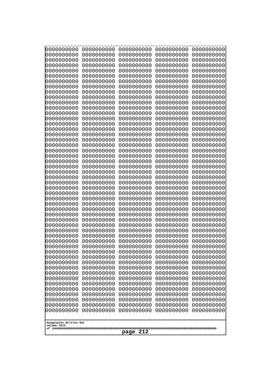| 10000000000<br>0000000000             | 0000000000<br>0000000000 | 0000000000<br>0000000000 | 0000000000<br>0000000000 | 0000000000<br>0000000000 |
|---------------------------------------|--------------------------|--------------------------|--------------------------|--------------------------|
| 0000000000                            | 0000000000               | 0000000000               | 0000000000               | 0000000000               |
| 0000000000                            | 0000000000               | 0000000000               | 0000000000               | 0000000000               |
| 0000000000<br>0000000000              | 0000000000<br>0000000000 | 0000000000<br>0000000000 | 0000000000<br>0000000000 | 0000000000<br>0000000000 |
| 0000000000                            | 0000000000               | 0000000000               | 0000000000               | 0000000000               |
| 0000000000                            | 0000000000               | 0000000000               | 0000000000               | 0000000000               |
| 0000000000                            | 0000000000               | 0000000000               | 0000000000               | 0000000000               |
| 0000000000<br>0000000000              | 0000000000<br>0000000000 | 0000000000<br>0000000000 | 0000000000<br>0000000000 | 0000000000<br>0000000000 |
| 0000000000                            | 0000000000               | 0000000000               | 0000000000               | 0000000000               |
| 0000000000                            | 0000000000               | 0000000000               | 0000000000               | 0000000000               |
| 0000000000<br>0000000000              | 0000000000<br>0000000000 | 0000000000<br>0000000000 | 0000000000<br>0000000000 | 0000000000<br>0000000000 |
| 0000000000                            | 0000000000               | 0000000000               | 0000000000               | 0000000000               |
| 0000000000                            | 0000000000               | 0000000000               | 0000000000               | 0000000000               |
| 0000000000<br>0000000000              | 0000000000<br>0000000000 | 0000000000<br>0000000000 | 0000000000<br>0000000000 | 0000000000<br>0000000000 |
| 0000000000                            | 0000000000               | 0000000000               | 0000000000               | 0000000000               |
| 0000000000                            | 0000000000               | 0000000000               | 0000000000               | 0000000000               |
| 0000000000<br>0000000000              | 0000000000<br>0000000000 | 0000000000<br>0000000000 | 0000000000<br>0000000000 | 0000000000<br>0000000000 |
| 0000000000                            | 0000000000               | 0000000000               | 0000000000               | 0000000000               |
| 0000000000                            | 0000000000               | 0000000000               | 0000000000               | 0000000000               |
| 0000000000<br>0000000000              | 0000000000<br>0000000000 | 0000000000<br>0000000000 | 0000000000<br>0000000000 | 0000000000<br>0000000000 |
| 0000000000                            | 0000000000               | 0000000000               | 0000000000               | 0000000000               |
| 0000000000                            | 0000000000               | 0000000000               | 0000000000               | 0000000000               |
| 0000000000                            | 0000000000<br>0000000000 | 0000000000<br>0000000000 | 0000000000<br>0000000000 | 0000000000               |
| 0000000000<br>0000000000              | 0000000000               | 0000000000               | 0000000000               | 0000000000<br>0000000000 |
| 0000000000                            | 0000000000               | 0000000000               | 0000000000               | 0000000000               |
| 0000000000                            | 0000000000               | 0000000000               | 0000000000               | 0000000000               |
| 0000000000<br>0000000000              | 0000000000<br>0000000000 | 0000000000<br>0000000000 | 0000000000<br>0000000000 | 0000000000<br>0000000000 |
| 0000000000                            | 0000000000               | 0000000000               | 0000000000               | 0000000000               |
| 0000000000                            | 0000000000               | 0000000000               | 0000000000               | 0000000000               |
| 0000000000<br>0000000000              | 0000000000<br>0000000000 | 0000000000<br>0000000000 | 0000000000<br>0000000000 | 0000000000<br>0000000000 |
| 0000000000                            | 0000000000               | 0000000000               | 0000000000               | 0000000000               |
| 0000000000                            | 0000000000               | 0000000000               | 0000000000               | 0000000000               |
| 0000000000<br>0000000000              | 0000000000<br>0000000000 | 0000000000<br>0000000000 | 0000000000<br>0000000000 | 0000000000<br>0000000000 |
| 0000000000                            | 0000000000               | 0000000000               | 0000000000               | 0000000000               |
| 0000000000                            | 0000000000               | 0000000000               | 0000000000               | 0000000000               |
| 0000000000<br>0000000000              | 0000000000<br>0000000000 | 0000000000<br>0000000000 | 0000000000<br>0000000000 | 0000000000<br>0000000000 |
| 0000000000                            | 0000000000               | 0000000000               | 0000000000               | 0000000000               |
| 0000000000                            | 0000000000               | 0000000000               | 0000000000               | 0000000000               |
|                                       |                          |                          |                          |                          |
| Googolplex Written Out<br>volume 1013 |                          |                          |                          |                          |
| 212<br>page                           |                          |                          |                          |                          |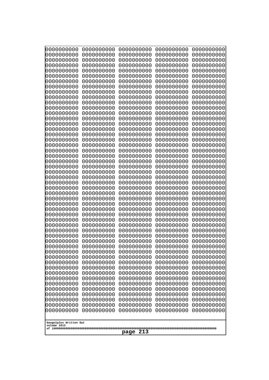| 0000000000                                                                                                 | 0000000000                                                                       | 0000000000                                                                       | 0000000000                                                                       | 0000000000                                                                       |
|------------------------------------------------------------------------------------------------------------|----------------------------------------------------------------------------------|----------------------------------------------------------------------------------|----------------------------------------------------------------------------------|----------------------------------------------------------------------------------|
| 0000000000                                                                                                 | 0000000000                                                                       | 0000000000                                                                       | 0000000000                                                                       | 0000000000                                                                       |
| 0000000000                                                                                                 | 0000000000                                                                       | 0000000000                                                                       | 0000000000                                                                       | 0000000000                                                                       |
| 0000000000                                                                                                 | 0000000000                                                                       | 0000000000                                                                       | 0000000000                                                                       | 0000000000                                                                       |
| 0000000000                                                                                                 | 0000000000                                                                       | 0000000000                                                                       | 0000000000                                                                       | 0000000000                                                                       |
| 0000000000                                                                                                 | 0000000000                                                                       | 0000000000                                                                       | 0000000000                                                                       | 0000000000                                                                       |
| 0000000000                                                                                                 | 0000000000                                                                       | 0000000000                                                                       | 0000000000                                                                       | 0000000000                                                                       |
| 0000000000                                                                                                 | 0000000000                                                                       | 0000000000                                                                       | 0000000000                                                                       | 0000000000                                                                       |
| 0000000000                                                                                                 | 0000000000                                                                       | 0000000000                                                                       | 0000000000                                                                       | 0000000000                                                                       |
| 0000000000                                                                                                 | 0000000000                                                                       | 0000000000                                                                       | 0000000000                                                                       | 0000000000                                                                       |
| 0000000000                                                                                                 | 0000000000                                                                       | 0000000000                                                                       | 0000000000                                                                       | 0000000000                                                                       |
| 0000000000                                                                                                 | 0000000000                                                                       | 0000000000                                                                       | 0000000000                                                                       | 0000000000                                                                       |
| 0000000000                                                                                                 | 0000000000                                                                       | 0000000000                                                                       | 0000000000                                                                       | 0000000000                                                                       |
| 0000000000                                                                                                 | 0000000000                                                                       | 0000000000                                                                       | 0000000000                                                                       | 0000000000                                                                       |
| 0000000000                                                                                                 | 0000000000                                                                       | 0000000000                                                                       | 0000000000                                                                       | 0000000000                                                                       |
| 0000000000                                                                                                 | 0000000000                                                                       | 0000000000                                                                       | 0000000000                                                                       | 0000000000                                                                       |
| 0000000000                                                                                                 | 0000000000                                                                       | 0000000000                                                                       | 0000000000                                                                       | 0000000000                                                                       |
| 0000000000                                                                                                 | 0000000000                                                                       | 0000000000                                                                       | 0000000000                                                                       | 0000000000                                                                       |
| 0000000000                                                                                                 | 0000000000                                                                       | 0000000000                                                                       | 0000000000                                                                       | 0000000000                                                                       |
| 0000000000                                                                                                 | 0000000000                                                                       | 0000000000                                                                       | 0000000000                                                                       | 0000000000                                                                       |
| 0000000000                                                                                                 | 0000000000                                                                       | 0000000000                                                                       | 0000000000                                                                       | 0000000000                                                                       |
| 0000000000                                                                                                 | 0000000000                                                                       | 0000000000                                                                       | 0000000000                                                                       | 0000000000                                                                       |
| 0000000000                                                                                                 | 0000000000                                                                       | 0000000000                                                                       | 0000000000                                                                       | 0000000000                                                                       |
| 0000000000                                                                                                 | 0000000000                                                                       | 0000000000                                                                       | 0000000000                                                                       | 0000000000                                                                       |
| 0000000000                                                                                                 | 0000000000                                                                       | 0000000000                                                                       | 0000000000                                                                       | 0000000000                                                                       |
| 0000000000                                                                                                 | 0000000000                                                                       | 0000000000                                                                       | 0000000000                                                                       | 0000000000                                                                       |
| 0000000000                                                                                                 | 0000000000                                                                       | 0000000000                                                                       | 0000000000                                                                       | 0000000000                                                                       |
| 0000000000                                                                                                 | 0000000000                                                                       | 0000000000                                                                       | 0000000000                                                                       | 0000000000                                                                       |
| 0000000000                                                                                                 | 0000000000                                                                       | 0000000000                                                                       | 0000000000                                                                       | 0000000000                                                                       |
| 0000000000                                                                                                 | 0000000000                                                                       | 0000000000                                                                       | 0000000000                                                                       | 0000000000                                                                       |
| 0000000000                                                                                                 | 0000000000                                                                       | 0000000000                                                                       | 0000000000                                                                       | 0000000000                                                                       |
| 0000000000                                                                                                 | 0000000000                                                                       | 0000000000                                                                       | 0000000000                                                                       | 0000000000                                                                       |
| 0000000000                                                                                                 | 0000000000                                                                       | 0000000000                                                                       | 0000000000                                                                       | 0000000000                                                                       |
| 0000000000                                                                                                 | 0000000000                                                                       | 0000000000                                                                       | 0000000000                                                                       | 0000000000                                                                       |
| 0000000000                                                                                                 | 0000000000                                                                       | 0000000000                                                                       | 0000000000                                                                       | 0000000000                                                                       |
| 0000000000                                                                                                 | 0000000000                                                                       | 0000000000                                                                       | 0000000000                                                                       | 0000000000                                                                       |
| 0000000000                                                                                                 | 0000000000                                                                       | 0000000000                                                                       | 0000000000                                                                       | 0000000000                                                                       |
| 0000000000                                                                                                 | 0000000000                                                                       | 0000000000                                                                       | 0000000000                                                                       | 0000000000                                                                       |
| 0000000000                                                                                                 | 0000000000                                                                       | 0000000000                                                                       | 0000000000                                                                       | 0000000000                                                                       |
| 0000000000                                                                                                 | 0000000000                                                                       | 0000000000                                                                       | 0000000000                                                                       | 0000000000                                                                       |
| 0000000000                                                                                                 | 0000000000                                                                       | 0000000000                                                                       | 0000000000                                                                       | 0000000000                                                                       |
| 0000000000                                                                                                 | 0000000000                                                                       | 0000000000                                                                       | 0000000000                                                                       | 0000000000                                                                       |
| 0000000000                                                                                                 | 0000000000                                                                       | 0000000000                                                                       | 0000000000                                                                       | 0000000000                                                                       |
| 0000000000                                                                                                 | 0000000000                                                                       | 0000000000                                                                       | 0000000000                                                                       | 0000000000                                                                       |
| 0000000000<br>0000000000<br>0000000000<br>0000000000<br>0000000000<br>0000000000<br>Googolplex Written Out | 0000000000<br>0000000000<br>0000000000<br>0000000000<br>0000000000<br>0000000000 | 0000000000<br>0000000000<br>0000000000<br>0000000000<br>0000000000<br>0000000000 | 0000000000<br>0000000000<br>0000000000<br>0000000000<br>0000000000<br>0000000000 | 0000000000<br>0000000000<br>0000000000<br>0000000000<br>0000000000<br>0000000000 |
| volume 1013<br>213<br>page                                                                                 |                                                                                  |                                                                                  |                                                                                  |                                                                                  |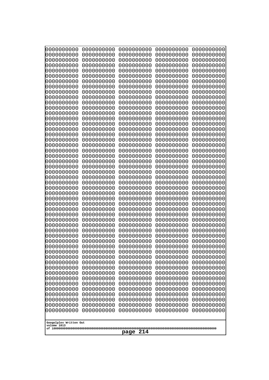| 0000000000               | 0000000000               | 0000000000               | 0000000000               | 0000000000               |
|--------------------------|--------------------------|--------------------------|--------------------------|--------------------------|
| 0000000000<br>0000000000 | 0000000000<br>0000000000 | 0000000000<br>0000000000 | 0000000000<br>0000000000 | 0000000000<br>0000000000 |
| 0000000000               | 0000000000               | 0000000000               | 0000000000               | 0000000000               |
| 0000000000               | 0000000000               | 0000000000               | 0000000000               | 0000000000               |
| 0000000000               | 0000000000               | 0000000000               | 0000000000               | 0000000000               |
| 0000000000               | 0000000000               | 0000000000               | 0000000000               | 0000000000               |
| 0000000000<br>0000000000 | 0000000000<br>0000000000 | 0000000000<br>0000000000 | 0000000000<br>0000000000 | 0000000000<br>0000000000 |
| 0000000000               | 0000000000               | 0000000000               | 0000000000               | 0000000000               |
| 0000000000               | 0000000000               | 0000000000               | 0000000000               | 0000000000               |
| 0000000000               | 0000000000               | 0000000000               | 0000000000               | 0000000000               |
| 0000000000<br>0000000000 | 0000000000<br>0000000000 | 0000000000<br>0000000000 | 0000000000<br>0000000000 | 0000000000<br>0000000000 |
| 0000000000               | 0000000000               | 0000000000               | 0000000000               | 0000000000               |
| 0000000000               | 0000000000               | 0000000000               | 0000000000               | 0000000000               |
| 0000000000<br>0000000000 | 0000000000<br>0000000000 | 0000000000<br>0000000000 | 0000000000<br>0000000000 | 0000000000<br>0000000000 |
| 0000000000               | 0000000000               | 0000000000               | 0000000000               | 0000000000               |
| 0000000000               | 0000000000               | 0000000000               | 0000000000               | 0000000000               |
| 0000000000               | 0000000000               | 0000000000               | 0000000000               | 0000000000               |
| 0000000000<br>0000000000 | 0000000000<br>0000000000 | 0000000000<br>0000000000 | 0000000000<br>0000000000 | 0000000000<br>0000000000 |
| 0000000000               | 0000000000               | 0000000000               | 0000000000               | 0000000000               |
| 0000000000               | 0000000000               | 0000000000               | 0000000000               | 0000000000               |
| 0000000000               | 0000000000               | 0000000000               | 0000000000               | 0000000000               |
| 0000000000<br>0000000000 | 0000000000<br>0000000000 | 0000000000<br>0000000000 | 0000000000<br>0000000000 | 0000000000<br>0000000000 |
| 0000000000               | 0000000000               | 0000000000               | 0000000000               | 0000000000               |
| 0000000000               | 0000000000               | 0000000000               | 0000000000               | 0000000000               |
| 0000000000<br>0000000000 | 0000000000<br>0000000000 | 0000000000<br>0000000000 | 0000000000<br>0000000000 | 0000000000<br>0000000000 |
| 0000000000               | 0000000000               | 0000000000               | 0000000000               | 0000000000               |
| 0000000000               | 0000000000               | 0000000000               | 0000000000               | 0000000000               |
| 0000000000               | 0000000000               | 0000000000               | 0000000000               | 0000000000               |
| 0000000000<br>0000000000 | 0000000000<br>0000000000 | 0000000000<br>0000000000 | 0000000000<br>0000000000 | 0000000000<br>0000000000 |
| 0000000000               | 0000000000               | 0000000000               | 0000000000               | 0000000000               |
| 0000000000               | 0000000000               | 0000000000               | 0000000000               | 0000000000               |
| 0000000000               | 0000000000               | 0000000000               | 0000000000               | 0000000000               |
| 0000000000<br>0000000000 | 0000000000<br>0000000000 | 0000000000<br>0000000000 | 0000000000<br>0000000000 | 0000000000<br>0000000000 |
| 0000000000               | 0000000000               | 0000000000               | 0000000000               | 0000000000               |
| 0000000000               | 0000000000               | 0000000000               | 0000000000               | 0000000000               |
| 0000000000<br>0000000000 | 0000000000<br>0000000000 | 0000000000<br>0000000000 | 0000000000<br>0000000000 | 0000000000<br>0000000000 |
| 0000000000               | 0000000000               | 0000000000               | 0000000000               | 0000000000               |
| 0000000000               | 0000000000               | 0000000000               | 0000000000               | 0000000000               |
| 0000000000               | 0000000000               | 0000000000               | 0000000000               | 0000000000               |
| 0000000000               | 0000000000               | 0000000000               | 0000000000               | 0000000000               |
| Googolplex Written Out   |                          |                          |                          |                          |
| volume 1013              |                          |                          |                          |                          |
| 214<br>page              |                          |                          |                          |                          |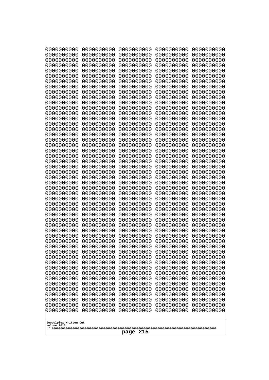| 10000000000<br>0000000000             | 0000000000<br>0000000000 | 0000000000<br>0000000000 | 0000000000<br>0000000000 | 0000000000<br>0000000000 |
|---------------------------------------|--------------------------|--------------------------|--------------------------|--------------------------|
| 0000000000                            | 0000000000               | 0000000000               | 0000000000               | 0000000000               |
| 0000000000                            | 0000000000               | 0000000000               | 0000000000               | 0000000000               |
| 0000000000<br>0000000000              | 0000000000<br>0000000000 | 0000000000<br>0000000000 | 0000000000<br>0000000000 | 0000000000<br>0000000000 |
| 0000000000                            | 0000000000               | 0000000000               | 0000000000               | 0000000000               |
| 0000000000                            | 0000000000               | 0000000000               | 0000000000               | 0000000000               |
| 0000000000                            | 0000000000               | 0000000000               | 0000000000               | 0000000000               |
| 0000000000<br>0000000000              | 0000000000<br>0000000000 | 0000000000<br>0000000000 | 0000000000<br>0000000000 | 0000000000<br>0000000000 |
| 0000000000                            | 0000000000               | 0000000000               | 0000000000               | 0000000000               |
| 0000000000                            | 0000000000               | 0000000000               | 0000000000               | 0000000000               |
| 0000000000<br>0000000000              | 0000000000<br>0000000000 | 0000000000<br>0000000000 | 0000000000<br>0000000000 | 0000000000<br>0000000000 |
| 0000000000                            | 0000000000               | 0000000000               | 0000000000               | 0000000000               |
| 0000000000                            | 0000000000               | 0000000000               | 0000000000               | 0000000000               |
| 0000000000<br>0000000000              | 0000000000               | 0000000000               | 0000000000               | 0000000000               |
| 0000000000                            | 0000000000<br>0000000000 | 0000000000<br>0000000000 | 0000000000<br>0000000000 | 0000000000<br>0000000000 |
| 0000000000                            | 0000000000               | 0000000000               | 0000000000               | 0000000000               |
| 0000000000                            | 0000000000               | 0000000000               | 0000000000               | 0000000000               |
| 0000000000<br>0000000000              | 0000000000<br>0000000000 | 0000000000<br>0000000000 | 0000000000<br>0000000000 | 0000000000<br>0000000000 |
| 0000000000                            | 0000000000               | 0000000000               | 0000000000               | 0000000000               |
| 0000000000                            | 0000000000               | 0000000000               | 0000000000               | 0000000000               |
| 0000000000<br>0000000000              | 0000000000<br>0000000000 | 0000000000<br>0000000000 | 0000000000<br>0000000000 | 0000000000<br>0000000000 |
| 0000000000                            | 0000000000               | 0000000000               | 0000000000               | 0000000000               |
| 0000000000                            | 0000000000               | 0000000000               | 0000000000               | 0000000000               |
| 0000000000                            | 0000000000               | 0000000000               | 0000000000               | 0000000000               |
| 0000000000<br>0000000000              | 0000000000<br>0000000000 | 0000000000<br>0000000000 | 0000000000<br>0000000000 | 0000000000<br>0000000000 |
| 0000000000                            | 0000000000               | 0000000000               | 0000000000               | 0000000000               |
| 0000000000                            | 0000000000               | 0000000000               | 0000000000               | 0000000000               |
| 0000000000<br>0000000000              | 0000000000<br>0000000000 | 0000000000<br>0000000000 | 0000000000<br>0000000000 | 0000000000<br>0000000000 |
| 0000000000                            | 0000000000               | 0000000000               | 0000000000               | 0000000000               |
| 0000000000                            | 0000000000               | 0000000000               | 0000000000               | 0000000000               |
| 0000000000<br>0000000000              | 0000000000<br>0000000000 | 0000000000<br>0000000000 | 0000000000<br>0000000000 | 0000000000<br>0000000000 |
| 0000000000                            | 0000000000               | 0000000000               | 0000000000               | 0000000000               |
| 0000000000                            | 0000000000               | 0000000000               | 0000000000               | 0000000000               |
| 0000000000                            | 0000000000               | 0000000000               | 0000000000               | 0000000000               |
| 0000000000<br>0000000000              | 0000000000<br>0000000000 | 0000000000<br>0000000000 | 0000000000<br>0000000000 | 0000000000<br>0000000000 |
| 0000000000                            | 0000000000               | 0000000000               | 0000000000               | 0000000000               |
| 0000000000                            | 0000000000               | 0000000000               | 0000000000               | 0000000000               |
| 0000000000<br>0000000000              | 0000000000<br>0000000000 | 0000000000<br>0000000000 | 0000000000<br>0000000000 | 0000000000<br>0000000000 |
|                                       |                          |                          |                          |                          |
| Googolplex Written Out<br>volume 1013 |                          |                          |                          |                          |
|                                       |                          | 215<br>page              |                          |                          |
|                                       |                          |                          |                          |                          |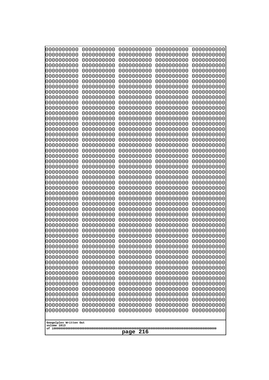| 10000000000<br>0000000000             | 0000000000<br>0000000000 | 0000000000<br>0000000000 | 0000000000<br>0000000000 | 0000000000<br>0000000000 |  |  |
|---------------------------------------|--------------------------|--------------------------|--------------------------|--------------------------|--|--|
| 0000000000                            | 0000000000               | 0000000000               | 0000000000               | 0000000000               |  |  |
| 0000000000                            | 0000000000               | 0000000000               | 0000000000               | 0000000000               |  |  |
| 0000000000<br>0000000000              | 0000000000<br>0000000000 | 0000000000               | 0000000000<br>0000000000 | 0000000000               |  |  |
| 0000000000                            | 0000000000               | 0000000000<br>0000000000 | 0000000000               | 0000000000<br>0000000000 |  |  |
| 0000000000                            | 0000000000               | 0000000000               | 0000000000               | 0000000000               |  |  |
| 0000000000                            | 0000000000               | 0000000000               | 0000000000               | 0000000000               |  |  |
| 0000000000<br>0000000000              | 0000000000<br>0000000000 | 0000000000<br>0000000000 | 0000000000<br>0000000000 | 0000000000<br>0000000000 |  |  |
| 0000000000                            | 0000000000               | 0000000000               | 0000000000               | 0000000000               |  |  |
| 0000000000                            | 0000000000               | 0000000000               | 0000000000               | 0000000000               |  |  |
| 0000000000<br>0000000000              | 0000000000<br>0000000000 | 0000000000<br>0000000000 | 0000000000<br>0000000000 | 0000000000<br>0000000000 |  |  |
| 0000000000                            | 0000000000               | 0000000000               | 0000000000               | 0000000000               |  |  |
| 0000000000                            | 0000000000               | 0000000000               | 0000000000               | 0000000000               |  |  |
| 0000000000<br>0000000000              | 0000000000               | 0000000000               | 0000000000               | 0000000000               |  |  |
| 0000000000                            | 0000000000<br>0000000000 | 0000000000<br>0000000000 | 0000000000<br>0000000000 | 0000000000<br>0000000000 |  |  |
| 0000000000                            | 0000000000               | 0000000000               | 0000000000               | 0000000000               |  |  |
| 0000000000                            | 0000000000               | 0000000000               | 0000000000               | 0000000000               |  |  |
| 0000000000<br>0000000000              | 0000000000<br>0000000000 | 0000000000<br>0000000000 | 0000000000<br>0000000000 | 0000000000<br>0000000000 |  |  |
| 0000000000                            | 0000000000               | 0000000000               | 0000000000               | 0000000000               |  |  |
| 0000000000                            | 0000000000               | 0000000000               | 0000000000               | 0000000000               |  |  |
| 0000000000<br>0000000000              | 0000000000<br>0000000000 | 0000000000<br>0000000000 | 0000000000<br>0000000000 | 0000000000<br>0000000000 |  |  |
| 0000000000                            | 0000000000               | 0000000000               | 0000000000               | 0000000000               |  |  |
| 0000000000                            | 0000000000               | 0000000000               | 0000000000               | 0000000000               |  |  |
| 0000000000<br>0000000000              | 0000000000<br>0000000000 | 0000000000<br>0000000000 | 0000000000<br>0000000000 | 0000000000<br>0000000000 |  |  |
| 0000000000                            | 0000000000               | 0000000000               | 0000000000               | 0000000000               |  |  |
| 0000000000                            | 0000000000               | 0000000000               | 0000000000               | 0000000000               |  |  |
| 0000000000                            | 0000000000               | 0000000000               | 0000000000               | 0000000000               |  |  |
| 0000000000<br>0000000000              | 0000000000<br>0000000000 | 0000000000<br>0000000000 | 0000000000<br>0000000000 | 0000000000<br>0000000000 |  |  |
| 0000000000                            | 0000000000               | 0000000000               | 0000000000               | 0000000000               |  |  |
| 0000000000                            | 0000000000               | 0000000000               | 0000000000               | 0000000000               |  |  |
| 0000000000<br>0000000000              | 0000000000<br>0000000000 | 0000000000<br>0000000000 | 0000000000<br>0000000000 | 0000000000<br>0000000000 |  |  |
| 0000000000                            | 0000000000               | 0000000000               | 0000000000               | 0000000000               |  |  |
| 0000000000                            | 0000000000               | 0000000000               | 0000000000               | 0000000000               |  |  |
| 0000000000<br>0000000000              | 0000000000<br>0000000000 | 0000000000<br>0000000000 | 0000000000<br>0000000000 | 0000000000<br>0000000000 |  |  |
| 0000000000                            | 0000000000               | 0000000000               | 0000000000               | 0000000000               |  |  |
| 0000000000                            | 0000000000               | 0000000000               | 0000000000               | 0000000000               |  |  |
| 0000000000                            | 0000000000               | 0000000000<br>0000000000 | 0000000000<br>0000000000 | 0000000000               |  |  |
| 0000000000<br>0000000000              | 0000000000<br>0000000000 | 0000000000               | 0000000000               | 0000000000<br>0000000000 |  |  |
|                                       |                          |                          |                          |                          |  |  |
| Googolplex Written Out<br>volume 1013 |                          |                          |                          |                          |  |  |
|                                       |                          | 216<br>page              |                          |                          |  |  |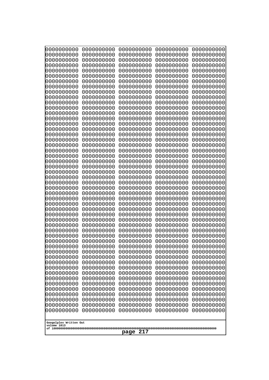| 0000000000<br>0000000000<br>0000000000<br>0000000000<br>0000000000<br>0000000000<br>0000000000<br>0000000000<br>0000000000<br>0000000000<br>0000000000<br>0000000000<br>0000000000<br>0000000000<br>0000000000<br>0000000000<br>0000000000<br>0000000000<br>0000000000<br>0000000000<br>0000000000<br>0000000000<br>0000000000<br>0000000000<br>0000000000<br>0000000000<br>0000000000<br>0000000000<br>0000000000<br>0000000000<br>0000000000<br>0000000000<br>0000000000<br>0000000000<br>0000000000<br>0000000000<br>0000000000<br>0000000000<br>0000000000<br>0000000000<br>0000000000<br>0000000000<br>0000000000<br>0000000000<br>0000000000<br>0000000000<br>0000000000<br>0000000000<br>0000000000<br>0000000000<br>0000000000<br>0000000000<br>0000000000<br>0000000000<br>0000000000<br>0000000000<br>0000000000<br>0000000000<br>0000000000<br>0000000000<br>0000000000<br>0000000000<br>0000000000<br>0000000000<br>0000000000<br>0000000000<br>0000000000<br>0000000000<br>0000000000<br>0000000000<br>0000000000<br>0000000000<br>0000000000<br>0000000000<br>0000000000<br>0000000000<br>0000000000<br>0000000000<br>0000000000<br>0000000000<br>0000000000<br>0000000000<br>0000000000<br>0000000000<br>0000000000<br>0000000000<br>0000000000<br>0000000000<br>0000000000<br>0000000000<br>0000000000<br>0000000000<br>0000000000<br>0000000000<br>0000000000<br>0000000000<br>0000000000<br>0000000000<br>0000000000<br>0000000000<br>0000000000<br>0000000000<br>0000000000<br>0000000000<br>0000000000 |
|----------------------------------------------------------------------------------------------------------------------------------------------------------------------------------------------------------------------------------------------------------------------------------------------------------------------------------------------------------------------------------------------------------------------------------------------------------------------------------------------------------------------------------------------------------------------------------------------------------------------------------------------------------------------------------------------------------------------------------------------------------------------------------------------------------------------------------------------------------------------------------------------------------------------------------------------------------------------------------------------------------------------------------------------------------------------------------------------------------------------------------------------------------------------------------------------------------------------------------------------------------------------------------------------------------------------------------------------------------------------------------------------------------------------------------------------------------------------------------------------------------------------------|
|                                                                                                                                                                                                                                                                                                                                                                                                                                                                                                                                                                                                                                                                                                                                                                                                                                                                                                                                                                                                                                                                                                                                                                                                                                                                                                                                                                                                                                                                                                                            |
|                                                                                                                                                                                                                                                                                                                                                                                                                                                                                                                                                                                                                                                                                                                                                                                                                                                                                                                                                                                                                                                                                                                                                                                                                                                                                                                                                                                                                                                                                                                            |
|                                                                                                                                                                                                                                                                                                                                                                                                                                                                                                                                                                                                                                                                                                                                                                                                                                                                                                                                                                                                                                                                                                                                                                                                                                                                                                                                                                                                                                                                                                                            |
|                                                                                                                                                                                                                                                                                                                                                                                                                                                                                                                                                                                                                                                                                                                                                                                                                                                                                                                                                                                                                                                                                                                                                                                                                                                                                                                                                                                                                                                                                                                            |
|                                                                                                                                                                                                                                                                                                                                                                                                                                                                                                                                                                                                                                                                                                                                                                                                                                                                                                                                                                                                                                                                                                                                                                                                                                                                                                                                                                                                                                                                                                                            |
|                                                                                                                                                                                                                                                                                                                                                                                                                                                                                                                                                                                                                                                                                                                                                                                                                                                                                                                                                                                                                                                                                                                                                                                                                                                                                                                                                                                                                                                                                                                            |
|                                                                                                                                                                                                                                                                                                                                                                                                                                                                                                                                                                                                                                                                                                                                                                                                                                                                                                                                                                                                                                                                                                                                                                                                                                                                                                                                                                                                                                                                                                                            |
|                                                                                                                                                                                                                                                                                                                                                                                                                                                                                                                                                                                                                                                                                                                                                                                                                                                                                                                                                                                                                                                                                                                                                                                                                                                                                                                                                                                                                                                                                                                            |
|                                                                                                                                                                                                                                                                                                                                                                                                                                                                                                                                                                                                                                                                                                                                                                                                                                                                                                                                                                                                                                                                                                                                                                                                                                                                                                                                                                                                                                                                                                                            |
|                                                                                                                                                                                                                                                                                                                                                                                                                                                                                                                                                                                                                                                                                                                                                                                                                                                                                                                                                                                                                                                                                                                                                                                                                                                                                                                                                                                                                                                                                                                            |
|                                                                                                                                                                                                                                                                                                                                                                                                                                                                                                                                                                                                                                                                                                                                                                                                                                                                                                                                                                                                                                                                                                                                                                                                                                                                                                                                                                                                                                                                                                                            |
|                                                                                                                                                                                                                                                                                                                                                                                                                                                                                                                                                                                                                                                                                                                                                                                                                                                                                                                                                                                                                                                                                                                                                                                                                                                                                                                                                                                                                                                                                                                            |
|                                                                                                                                                                                                                                                                                                                                                                                                                                                                                                                                                                                                                                                                                                                                                                                                                                                                                                                                                                                                                                                                                                                                                                                                                                                                                                                                                                                                                                                                                                                            |
|                                                                                                                                                                                                                                                                                                                                                                                                                                                                                                                                                                                                                                                                                                                                                                                                                                                                                                                                                                                                                                                                                                                                                                                                                                                                                                                                                                                                                                                                                                                            |
|                                                                                                                                                                                                                                                                                                                                                                                                                                                                                                                                                                                                                                                                                                                                                                                                                                                                                                                                                                                                                                                                                                                                                                                                                                                                                                                                                                                                                                                                                                                            |
|                                                                                                                                                                                                                                                                                                                                                                                                                                                                                                                                                                                                                                                                                                                                                                                                                                                                                                                                                                                                                                                                                                                                                                                                                                                                                                                                                                                                                                                                                                                            |
| 0000000000<br>0000000000<br>0000000000<br>0000000000<br>0000000000<br>0000000000<br>0000000000<br>0000000000<br>0000000000<br>0000000000                                                                                                                                                                                                                                                                                                                                                                                                                                                                                                                                                                                                                                                                                                                                                                                                                                                                                                                                                                                                                                                                                                                                                                                                                                                                                                                                                                                   |
| 0000000000<br>0000000000<br>0000000000<br>0000000000<br>0000000000                                                                                                                                                                                                                                                                                                                                                                                                                                                                                                                                                                                                                                                                                                                                                                                                                                                                                                                                                                                                                                                                                                                                                                                                                                                                                                                                                                                                                                                         |
| 0000000000<br>0000000000<br>0000000000<br>0000000000<br>0000000000                                                                                                                                                                                                                                                                                                                                                                                                                                                                                                                                                                                                                                                                                                                                                                                                                                                                                                                                                                                                                                                                                                                                                                                                                                                                                                                                                                                                                                                         |
| 0000000000<br>0000000000<br>0000000000<br>0000000000<br>0000000000<br>0000000000<br>0000000000<br>0000000000<br>0000000000<br>0000000000                                                                                                                                                                                                                                                                                                                                                                                                                                                                                                                                                                                                                                                                                                                                                                                                                                                                                                                                                                                                                                                                                                                                                                                                                                                                                                                                                                                   |
| 0000000000<br>0000000000<br>0000000000<br>0000000000<br>0000000000                                                                                                                                                                                                                                                                                                                                                                                                                                                                                                                                                                                                                                                                                                                                                                                                                                                                                                                                                                                                                                                                                                                                                                                                                                                                                                                                                                                                                                                         |
| 0000000000<br>0000000000<br>0000000000<br>0000000000<br>0000000000                                                                                                                                                                                                                                                                                                                                                                                                                                                                                                                                                                                                                                                                                                                                                                                                                                                                                                                                                                                                                                                                                                                                                                                                                                                                                                                                                                                                                                                         |
| 0000000000<br>0000000000<br>0000000000<br>0000000000<br>0000000000<br>0000000000<br>0000000000<br>0000000000<br>0000000000<br>0000000000                                                                                                                                                                                                                                                                                                                                                                                                                                                                                                                                                                                                                                                                                                                                                                                                                                                                                                                                                                                                                                                                                                                                                                                                                                                                                                                                                                                   |
| 0000000000<br>0000000000<br>0000000000<br>0000000000<br>0000000000                                                                                                                                                                                                                                                                                                                                                                                                                                                                                                                                                                                                                                                                                                                                                                                                                                                                                                                                                                                                                                                                                                                                                                                                                                                                                                                                                                                                                                                         |
| 0000000000<br>0000000000<br>0000000000<br>0000000000<br>0000000000                                                                                                                                                                                                                                                                                                                                                                                                                                                                                                                                                                                                                                                                                                                                                                                                                                                                                                                                                                                                                                                                                                                                                                                                                                                                                                                                                                                                                                                         |
| 0000000000<br>0000000000<br>0000000000<br>0000000000<br>0000000000                                                                                                                                                                                                                                                                                                                                                                                                                                                                                                                                                                                                                                                                                                                                                                                                                                                                                                                                                                                                                                                                                                                                                                                                                                                                                                                                                                                                                                                         |
| 0000000000<br>0000000000<br>0000000000<br>0000000000<br>0000000000<br>0000000000<br>0000000000<br>0000000000<br>0000000000<br>0000000000                                                                                                                                                                                                                                                                                                                                                                                                                                                                                                                                                                                                                                                                                                                                                                                                                                                                                                                                                                                                                                                                                                                                                                                                                                                                                                                                                                                   |
| 0000000000<br>0000000000<br>0000000000<br>0000000000<br>0000000000                                                                                                                                                                                                                                                                                                                                                                                                                                                                                                                                                                                                                                                                                                                                                                                                                                                                                                                                                                                                                                                                                                                                                                                                                                                                                                                                                                                                                                                         |
| 0000000000<br>0000000000<br>0000000000<br>0000000000<br>0000000000                                                                                                                                                                                                                                                                                                                                                                                                                                                                                                                                                                                                                                                                                                                                                                                                                                                                                                                                                                                                                                                                                                                                                                                                                                                                                                                                                                                                                                                         |
| 0000000000<br>0000000000<br>0000000000<br>0000000000<br>0000000000<br>0000000000<br>0000000000<br>0000000000<br>0000000000<br>0000000000                                                                                                                                                                                                                                                                                                                                                                                                                                                                                                                                                                                                                                                                                                                                                                                                                                                                                                                                                                                                                                                                                                                                                                                                                                                                                                                                                                                   |
| 0000000000<br>0000000000<br>0000000000<br>0000000000<br>0000000000                                                                                                                                                                                                                                                                                                                                                                                                                                                                                                                                                                                                                                                                                                                                                                                                                                                                                                                                                                                                                                                                                                                                                                                                                                                                                                                                                                                                                                                         |
| 0000000000<br>0000000000<br>0000000000<br>0000000000<br>0000000000                                                                                                                                                                                                                                                                                                                                                                                                                                                                                                                                                                                                                                                                                                                                                                                                                                                                                                                                                                                                                                                                                                                                                                                                                                                                                                                                                                                                                                                         |
| 0000000000<br>0000000000<br>0000000000<br>0000000000<br>0000000000<br>0000000000<br>0000000000<br>0000000000<br>0000000000<br>0000000000                                                                                                                                                                                                                                                                                                                                                                                                                                                                                                                                                                                                                                                                                                                                                                                                                                                                                                                                                                                                                                                                                                                                                                                                                                                                                                                                                                                   |
| 0000000000<br>0000000000<br>0000000000<br>0000000000<br>0000000000                                                                                                                                                                                                                                                                                                                                                                                                                                                                                                                                                                                                                                                                                                                                                                                                                                                                                                                                                                                                                                                                                                                                                                                                                                                                                                                                                                                                                                                         |
| 0000000000<br>0000000000<br>0000000000<br>0000000000<br>0000000000                                                                                                                                                                                                                                                                                                                                                                                                                                                                                                                                                                                                                                                                                                                                                                                                                                                                                                                                                                                                                                                                                                                                                                                                                                                                                                                                                                                                                                                         |
| 0000000000<br>0000000000<br>0000000000<br>0000000000<br>0000000000<br>0000000000                                                                                                                                                                                                                                                                                                                                                                                                                                                                                                                                                                                                                                                                                                                                                                                                                                                                                                                                                                                                                                                                                                                                                                                                                                                                                                                                                                                                                                           |
| 0000000000<br>0000000000<br>0000000000<br>0000000000<br>0000000000<br>0000000000<br>0000000000<br>0000000000<br>0000000000                                                                                                                                                                                                                                                                                                                                                                                                                                                                                                                                                                                                                                                                                                                                                                                                                                                                                                                                                                                                                                                                                                                                                                                                                                                                                                                                                                                                 |
|                                                                                                                                                                                                                                                                                                                                                                                                                                                                                                                                                                                                                                                                                                                                                                                                                                                                                                                                                                                                                                                                                                                                                                                                                                                                                                                                                                                                                                                                                                                            |
| Googolplex Written Out<br>volume 1013                                                                                                                                                                                                                                                                                                                                                                                                                                                                                                                                                                                                                                                                                                                                                                                                                                                                                                                                                                                                                                                                                                                                                                                                                                                                                                                                                                                                                                                                                      |
| 217<br>page                                                                                                                                                                                                                                                                                                                                                                                                                                                                                                                                                                                                                                                                                                                                                                                                                                                                                                                                                                                                                                                                                                                                                                                                                                                                                                                                                                                                                                                                                                                |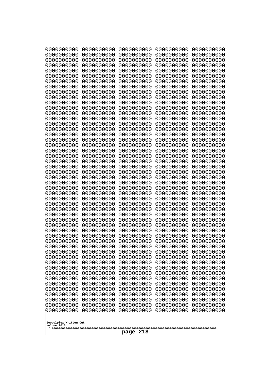| 10000000000<br>0000000000             | 0000000000<br>0000000000 | 0000000000<br>0000000000 | 0000000000<br>0000000000 | 0000000000<br>0000000000 |
|---------------------------------------|--------------------------|--------------------------|--------------------------|--------------------------|
| 0000000000                            | 0000000000               | 0000000000               | 0000000000               | 0000000000               |
| 0000000000                            | 0000000000               | 0000000000               | 0000000000               | 0000000000               |
| 0000000000                            | 0000000000               | 0000000000               | 0000000000               | 0000000000               |
| 0000000000<br>0000000000              | 0000000000<br>0000000000 | 0000000000<br>0000000000 | 0000000000<br>0000000000 | 0000000000<br>0000000000 |
| 0000000000                            | 0000000000               | 0000000000               | 0000000000               | 0000000000               |
| 0000000000                            | 0000000000               | 0000000000               | 0000000000               | 0000000000               |
| 0000000000                            | 0000000000               | 0000000000               | 0000000000               | 0000000000               |
| 0000000000<br>0000000000              | 0000000000<br>0000000000 | 0000000000<br>0000000000 | 0000000000<br>0000000000 | 0000000000               |
| 0000000000                            | 0000000000               | 0000000000               | 0000000000               | 0000000000<br>0000000000 |
| 0000000000                            | 0000000000               | 0000000000               | 0000000000               | 0000000000               |
| 0000000000                            | 0000000000               | 0000000000               | 0000000000               | 0000000000               |
| 0000000000<br>0000000000              | 0000000000<br>0000000000 | 0000000000<br>0000000000 | 0000000000<br>0000000000 | 0000000000<br>0000000000 |
| 0000000000                            | 0000000000               | 0000000000               | 0000000000               | 0000000000               |
| 0000000000                            | 0000000000               | 0000000000               | 0000000000               | 0000000000               |
| 0000000000                            | 0000000000               | 0000000000               | 0000000000               | 0000000000               |
| 0000000000<br>0000000000              | 0000000000<br>0000000000 | 0000000000<br>0000000000 | 0000000000<br>0000000000 | 0000000000<br>0000000000 |
| 0000000000                            | 0000000000               | 0000000000               | 0000000000               | 0000000000               |
| 0000000000                            | 0000000000               | 0000000000               | 0000000000               | 0000000000               |
| 0000000000                            | 0000000000               | 0000000000               | 0000000000               | 0000000000               |
| 0000000000<br>0000000000              | 0000000000<br>0000000000 | 0000000000<br>0000000000 | 0000000000<br>0000000000 | 0000000000<br>0000000000 |
| 0000000000                            | 0000000000               | 0000000000               | 0000000000               | 0000000000               |
| 0000000000                            | 0000000000               | 0000000000               | 0000000000               | 0000000000               |
| 0000000000                            | 0000000000               | 0000000000               | 0000000000               | 0000000000               |
| 0000000000<br>0000000000              | 0000000000<br>0000000000 | 0000000000<br>0000000000 | 0000000000<br>0000000000 | 0000000000<br>0000000000 |
| 0000000000                            | 0000000000               | 0000000000               | 0000000000               | 0000000000               |
| 0000000000                            | 0000000000               | 0000000000               | 0000000000               | 0000000000               |
| 0000000000                            | 0000000000               | 0000000000               | 0000000000               | 0000000000               |
| 0000000000<br>0000000000              | 0000000000<br>0000000000 | 0000000000<br>0000000000 | 0000000000<br>0000000000 | 0000000000<br>0000000000 |
| 0000000000                            | 0000000000               | 0000000000               | 0000000000               | 0000000000               |
| 0000000000                            | 0000000000               | 0000000000               | 0000000000               | 0000000000               |
| 0000000000                            | 0000000000               | 0000000000               | 0000000000               | 0000000000               |
| 0000000000<br>0000000000              | 0000000000<br>0000000000 | 0000000000<br>0000000000 | 0000000000<br>0000000000 | 0000000000<br>0000000000 |
| 0000000000                            | 0000000000               | 0000000000               | 0000000000               | 0000000000               |
| 0000000000                            | 0000000000               | 0000000000               | 0000000000               | 0000000000               |
| 0000000000                            | 0000000000               | 0000000000               | 0000000000               | 0000000000               |
| 0000000000<br>0000000000              | 0000000000<br>0000000000 | 0000000000<br>0000000000 | 0000000000<br>0000000000 | 0000000000<br>0000000000 |
| 0000000000                            | 0000000000               | 0000000000               | 0000000000               | 0000000000               |
| 0000000000                            | 0000000000               | 0000000000               | 0000000000               | 0000000000               |
| 0000000000                            | 0000000000               | 0000000000               | 0000000000               | 0000000000               |
|                                       |                          |                          |                          |                          |
| Googolplex Written Out<br>volume 1013 |                          |                          |                          |                          |
| 218<br>page                           |                          |                          |                          |                          |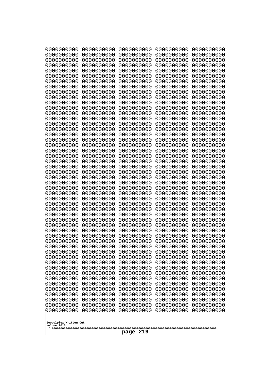| 10000000000<br>0000000000 | 0000000000<br>0000000000 | 0000000000<br>0000000000 | 0000000000<br>0000000000 | 0000000000<br>0000000000 |
|---------------------------|--------------------------|--------------------------|--------------------------|--------------------------|
| 0000000000                | 0000000000               | 0000000000               | 0000000000               | 0000000000               |
| 0000000000                | 0000000000               | 0000000000               | 0000000000               | 0000000000               |
| 0000000000                | 0000000000               | 0000000000               | 0000000000               | 0000000000               |
| 0000000000<br>0000000000  | 0000000000<br>0000000000 | 0000000000<br>0000000000 | 0000000000<br>0000000000 | 0000000000<br>0000000000 |
| 0000000000                | 0000000000               | 0000000000               | 0000000000               | 0000000000               |
| 0000000000                | 0000000000               | 0000000000               | 0000000000               | 0000000000               |
| 0000000000                | 0000000000               | 0000000000               | 0000000000               | 0000000000               |
| 0000000000<br>0000000000  | 0000000000<br>0000000000 | 0000000000<br>0000000000 | 0000000000<br>0000000000 | 0000000000<br>0000000000 |
| 0000000000                | 0000000000               | 0000000000               | 0000000000               | 0000000000               |
| 0000000000                | 0000000000               | 0000000000               | 0000000000               | 0000000000               |
| 0000000000                | 0000000000               | 0000000000               | 0000000000               | 0000000000               |
| 0000000000<br>0000000000  | 0000000000<br>0000000000 | 0000000000<br>0000000000 | 0000000000<br>0000000000 | 0000000000<br>0000000000 |
| 0000000000                | 0000000000               | 0000000000               | 0000000000               | 0000000000               |
| 0000000000                | 0000000000               | 0000000000               | 0000000000               | 0000000000               |
| 0000000000                | 0000000000               | 0000000000               | 0000000000               | 0000000000               |
| 0000000000<br>0000000000  | 0000000000<br>0000000000 | 0000000000<br>0000000000 | 0000000000<br>0000000000 | 0000000000<br>0000000000 |
| 0000000000                | 0000000000               | 0000000000               | 0000000000               | 0000000000               |
| 0000000000                | 0000000000               | 0000000000               | 0000000000               | 0000000000               |
| 0000000000                | 0000000000               | 0000000000               | 0000000000               | 0000000000               |
| 0000000000<br>0000000000  | 0000000000<br>0000000000 | 0000000000<br>0000000000 | 0000000000<br>0000000000 | 0000000000<br>0000000000 |
| 0000000000                | 0000000000               | 0000000000               | 0000000000               | 0000000000               |
| 0000000000                | 0000000000               | 0000000000               | 0000000000               | 0000000000               |
| 0000000000                | 0000000000               | 0000000000               | 0000000000               | 0000000000               |
| 0000000000<br>0000000000  | 0000000000<br>0000000000 | 0000000000<br>0000000000 | 0000000000<br>0000000000 | 0000000000<br>0000000000 |
| 0000000000                | 0000000000               | 0000000000               | 0000000000               | 0000000000               |
| 0000000000                | 0000000000               | 0000000000               | 0000000000               | 0000000000               |
| 0000000000                | 0000000000               | 0000000000               | 0000000000               | 0000000000               |
| 0000000000<br>0000000000  | 0000000000<br>0000000000 | 0000000000<br>0000000000 | 0000000000<br>0000000000 | 0000000000<br>0000000000 |
| 0000000000                | 0000000000               | 0000000000               | 0000000000               | 0000000000               |
| 0000000000                | 0000000000               | 0000000000               | 0000000000               | 0000000000               |
| 0000000000                | 0000000000               | 0000000000               | 0000000000               | 0000000000               |
| 0000000000<br>0000000000  | 0000000000<br>0000000000 | 0000000000<br>0000000000 | 0000000000<br>0000000000 | 0000000000<br>0000000000 |
| 0000000000                | 0000000000               | 0000000000               | 0000000000               | 0000000000               |
| 0000000000                | 0000000000               | 0000000000               | 0000000000               | 0000000000               |
| 0000000000                | 0000000000               | 0000000000               | 0000000000               | 0000000000               |
| 0000000000<br>0000000000  | 0000000000<br>0000000000 | 0000000000<br>0000000000 | 0000000000<br>0000000000 | 0000000000<br>0000000000 |
| 0000000000                | 0000000000               | 0000000000               | 0000000000               | 0000000000               |
| 0000000000                | 0000000000               | 0000000000               | 0000000000               | 0000000000               |
| 0000000000                | 0000000000               | 0000000000               | 0000000000               | 0000000000               |
| Googolplex Written Out    |                          |                          |                          |                          |
| volume 1013               |                          |                          |                          |                          |
| 219<br>page               |                          |                          |                          |                          |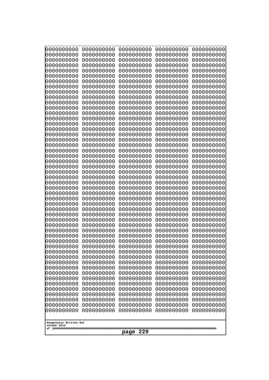| 10000000000<br>0000000000             | 0000000000<br>0000000000 | 0000000000<br>0000000000 | 0000000000<br>0000000000 | 0000000000<br>0000000000 |
|---------------------------------------|--------------------------|--------------------------|--------------------------|--------------------------|
| 0000000000                            | 0000000000               | 0000000000               | 0000000000               | 0000000000               |
| 0000000000                            | 0000000000               | 0000000000               | 0000000000               | 0000000000               |
| 0000000000                            | 0000000000               | 0000000000               | 0000000000               | 0000000000               |
| 0000000000<br>0000000000              | 0000000000<br>0000000000 | 0000000000<br>0000000000 | 0000000000<br>0000000000 | 0000000000<br>0000000000 |
| 0000000000                            | 0000000000               | 0000000000               | 0000000000               | 0000000000               |
| 0000000000                            | 0000000000               | 0000000000               | 0000000000               | 0000000000               |
| 0000000000                            | 0000000000               | 0000000000               | 0000000000               | 0000000000               |
| 0000000000<br>0000000000              | 0000000000<br>0000000000 | 0000000000<br>0000000000 | 0000000000<br>0000000000 | 0000000000               |
| 0000000000                            | 0000000000               | 0000000000               | 0000000000               | 0000000000<br>0000000000 |
| 0000000000                            | 0000000000               | 0000000000               | 0000000000               | 0000000000               |
| 0000000000                            | 0000000000               | 0000000000               | 0000000000               | 0000000000               |
| 0000000000<br>0000000000              | 0000000000<br>0000000000 | 0000000000               | 0000000000<br>0000000000 | 0000000000               |
| 0000000000                            | 0000000000               | 0000000000<br>0000000000 | 0000000000               | 0000000000<br>0000000000 |
| 0000000000                            | 0000000000               | 0000000000               | 0000000000               | 0000000000               |
| 0000000000                            | 0000000000               | 0000000000               | 0000000000               | 0000000000               |
| 0000000000<br>0000000000              | 0000000000<br>0000000000 | 0000000000<br>0000000000 | 0000000000<br>0000000000 | 0000000000<br>0000000000 |
| 0000000000                            | 0000000000               | 0000000000               | 0000000000               | 0000000000               |
| 0000000000                            | 0000000000               | 0000000000               | 0000000000               | 0000000000               |
| 0000000000                            | 0000000000               | 0000000000               | 0000000000               | 0000000000               |
| 0000000000<br>0000000000              | 0000000000<br>0000000000 | 0000000000<br>0000000000 | 0000000000<br>0000000000 | 0000000000<br>0000000000 |
| 0000000000                            | 0000000000               | 0000000000               | 0000000000               | 0000000000               |
| 0000000000                            | 0000000000               | 0000000000               | 0000000000               | 0000000000               |
| 0000000000                            | 0000000000               | 0000000000               | 0000000000               | 0000000000               |
| 0000000000<br>0000000000              | 0000000000<br>0000000000 | 0000000000<br>0000000000 | 0000000000<br>0000000000 | 0000000000<br>0000000000 |
| 0000000000                            | 0000000000               | 0000000000               | 0000000000               | 0000000000               |
| 0000000000                            | 0000000000               | 0000000000               | 0000000000               | 0000000000               |
| 0000000000                            | 0000000000               | 0000000000               | 0000000000               | 0000000000               |
| 0000000000<br>0000000000              | 0000000000<br>0000000000 | 0000000000<br>0000000000 | 0000000000<br>0000000000 | 0000000000<br>0000000000 |
| 0000000000                            | 0000000000               | 0000000000               | 0000000000               | 0000000000               |
| 0000000000                            | 0000000000               | 0000000000               | 0000000000               | 0000000000               |
| 0000000000                            | 0000000000               | 0000000000               | 0000000000               | 0000000000               |
| 0000000000<br>0000000000              | 0000000000<br>0000000000 | 0000000000<br>0000000000 | 0000000000<br>0000000000 | 0000000000<br>0000000000 |
| 0000000000                            | 0000000000               | 0000000000               | 0000000000               | 0000000000               |
| 0000000000                            | 0000000000               | 0000000000               | 0000000000               | 0000000000               |
| 0000000000                            | 0000000000               | 0000000000               | 0000000000               | 0000000000               |
| 0000000000<br>0000000000              | 0000000000<br>0000000000 | 0000000000<br>0000000000 | 0000000000<br>0000000000 | 0000000000<br>0000000000 |
| 0000000000                            | 0000000000               | 0000000000               | 0000000000               | 0000000000               |
| 0000000000                            | 0000000000               | 0000000000               | 0000000000               | 0000000000               |
| 0000000000                            | 0000000000               | 0000000000               | 0000000000               | 0000000000               |
|                                       |                          |                          |                          |                          |
| Googolplex Written Out<br>volume 1013 |                          |                          |                          |                          |
| 220<br>page                           |                          |                          |                          |                          |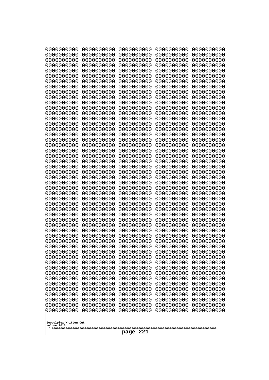| 10000000000<br>0000000000             | 0000000000<br>0000000000 | 0000000000<br>0000000000 | 0000000000<br>0000000000 | 0000000000<br>0000000000 |
|---------------------------------------|--------------------------|--------------------------|--------------------------|--------------------------|
| 0000000000                            | 0000000000               | 0000000000               | 0000000000               | 0000000000               |
| 0000000000                            | 0000000000               | 0000000000               | 0000000000               | 0000000000               |
| 0000000000<br>0000000000              | 0000000000<br>0000000000 | 0000000000<br>0000000000 | 0000000000<br>0000000000 | 0000000000               |
| 0000000000                            | 0000000000               | 0000000000               | 0000000000               | 0000000000<br>0000000000 |
| 0000000000                            | 0000000000               | 0000000000               | 0000000000               | 0000000000               |
| 0000000000                            | 0000000000               | 0000000000               | 0000000000               | 0000000000               |
| 0000000000<br>0000000000              | 0000000000<br>0000000000 | 0000000000<br>0000000000 | 0000000000<br>0000000000 | 0000000000<br>0000000000 |
| 0000000000                            | 0000000000               | 0000000000               | 0000000000               | 0000000000               |
| 0000000000                            | 0000000000               | 0000000000               | 0000000000               | 0000000000               |
| 0000000000<br>0000000000              | 0000000000<br>0000000000 | 0000000000<br>0000000000 | 0000000000<br>0000000000 | 0000000000<br>0000000000 |
| 0000000000                            | 0000000000               | 0000000000               | 0000000000               | 0000000000               |
| 0000000000                            | 0000000000               | 0000000000               | 0000000000               | 0000000000               |
| 0000000000<br>0000000000              | 0000000000               | 0000000000               | 0000000000               | 0000000000               |
| 0000000000                            | 0000000000<br>0000000000 | 0000000000<br>0000000000 | 0000000000<br>0000000000 | 0000000000<br>0000000000 |
| 0000000000                            | 0000000000               | 0000000000               | 0000000000               | 0000000000               |
| 0000000000                            | 0000000000               | 0000000000               | 0000000000               | 0000000000               |
| 0000000000<br>0000000000              | 0000000000<br>0000000000 | 0000000000<br>0000000000 | 0000000000<br>0000000000 | 0000000000<br>0000000000 |
| 0000000000                            | 0000000000               | 0000000000               | 0000000000               | 0000000000               |
| 0000000000                            | 0000000000               | 0000000000               | 0000000000               | 0000000000               |
| 0000000000<br>0000000000              | 0000000000<br>0000000000 | 0000000000<br>0000000000 | 0000000000<br>0000000000 | 0000000000<br>0000000000 |
| 0000000000                            | 0000000000               | 0000000000               | 0000000000               | 0000000000               |
| 0000000000                            | 0000000000               | 0000000000               | 0000000000               | 0000000000               |
| 0000000000<br>0000000000              | 0000000000<br>0000000000 | 0000000000<br>0000000000 | 0000000000<br>0000000000 | 0000000000<br>0000000000 |
| 0000000000                            | 0000000000               | 0000000000               | 0000000000               | 0000000000               |
| 0000000000                            | 0000000000               | 0000000000               | 0000000000               | 0000000000               |
| 0000000000                            | 0000000000               | 0000000000               | 0000000000               | 0000000000               |
| 0000000000<br>0000000000              | 0000000000<br>0000000000 | 0000000000<br>0000000000 | 0000000000<br>0000000000 | 0000000000<br>0000000000 |
| 0000000000                            | 0000000000               | 0000000000               | 0000000000               | 0000000000               |
| 0000000000                            | 0000000000               | 0000000000               | 0000000000               | 0000000000               |
| 0000000000<br>0000000000              | 0000000000<br>0000000000 | 0000000000<br>0000000000 | 0000000000<br>0000000000 | 0000000000<br>0000000000 |
| 0000000000                            | 0000000000               | 0000000000               | 0000000000               | 0000000000               |
| 0000000000                            | 0000000000               | 0000000000               | 0000000000               | 0000000000               |
| 0000000000<br>0000000000              | 0000000000<br>0000000000 | 0000000000<br>0000000000 | 0000000000<br>0000000000 | 0000000000<br>0000000000 |
| 0000000000                            | 0000000000               | 0000000000               | 0000000000               | 0000000000               |
| 0000000000                            | 0000000000               | 0000000000               | 0000000000               | 0000000000               |
| 0000000000                            | 0000000000               | 0000000000               | 0000000000<br>0000000000 | 0000000000               |
| 0000000000<br>0000000000              | 0000000000<br>0000000000 | 0000000000<br>0000000000 | 0000000000               | 0000000000<br>0000000000 |
|                                       |                          |                          |                          |                          |
| Googolplex Written Out<br>volume 1013 |                          |                          |                          |                          |
|                                       |                          | 221<br>page              |                          |                          |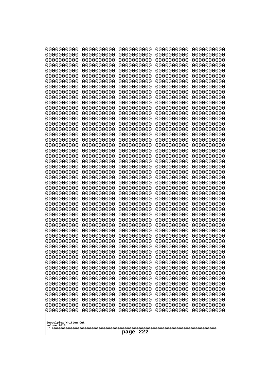| 10000000000<br>0000000000             | 0000000000<br>0000000000 | 0000000000<br>0000000000 | 0000000000<br>0000000000 | 0000000000<br>0000000000 |
|---------------------------------------|--------------------------|--------------------------|--------------------------|--------------------------|
| 0000000000                            | 0000000000               | 0000000000               | 0000000000               | 0000000000               |
| 0000000000                            | 0000000000               | 0000000000               | 0000000000               | 0000000000               |
| 0000000000<br>0000000000              | 0000000000<br>0000000000 | 0000000000               | 0000000000<br>0000000000 | 0000000000               |
| 0000000000                            | 0000000000               | 0000000000<br>0000000000 | 0000000000               | 0000000000<br>0000000000 |
| 0000000000                            | 0000000000               | 0000000000               | 0000000000               | 0000000000               |
| 0000000000                            | 0000000000               | 0000000000               | 0000000000               | 0000000000               |
| 0000000000<br>0000000000              | 0000000000<br>0000000000 | 0000000000<br>0000000000 | 0000000000<br>0000000000 | 0000000000<br>0000000000 |
| 0000000000                            | 0000000000               | 0000000000               | 0000000000               | 0000000000               |
| 0000000000                            | 0000000000               | 0000000000               | 0000000000               | 0000000000               |
| 0000000000<br>0000000000              | 0000000000<br>0000000000 | 0000000000<br>0000000000 | 0000000000<br>0000000000 | 0000000000<br>0000000000 |
| 0000000000                            | 0000000000               | 0000000000               | 0000000000               | 0000000000               |
| 0000000000                            | 0000000000               | 0000000000               | 0000000000               | 0000000000               |
| 0000000000<br>0000000000              | 0000000000               | 0000000000               | 0000000000               | 0000000000               |
| 0000000000                            | 0000000000<br>0000000000 | 0000000000<br>0000000000 | 0000000000<br>0000000000 | 0000000000<br>0000000000 |
| 0000000000                            | 0000000000               | 0000000000               | 0000000000               | 0000000000               |
| 0000000000                            | 0000000000               | 0000000000               | 0000000000               | 0000000000               |
| 0000000000<br>0000000000              | 0000000000<br>0000000000 | 0000000000<br>0000000000 | 0000000000<br>0000000000 | 0000000000<br>0000000000 |
| 0000000000                            | 0000000000               | 0000000000               | 0000000000               | 0000000000               |
| 0000000000                            | 0000000000               | 0000000000               | 0000000000               | 0000000000               |
| 0000000000<br>0000000000              | 0000000000<br>0000000000 | 0000000000<br>0000000000 | 0000000000<br>0000000000 | 0000000000<br>0000000000 |
| 0000000000                            | 0000000000               | 0000000000               | 0000000000               | 0000000000               |
| 0000000000                            | 0000000000               | 0000000000               | 0000000000               | 0000000000               |
| 0000000000<br>0000000000              | 0000000000<br>0000000000 | 0000000000<br>0000000000 | 0000000000<br>0000000000 | 0000000000<br>0000000000 |
| 0000000000                            | 0000000000               | 0000000000               | 0000000000               | 0000000000               |
| 0000000000                            | 0000000000               | 0000000000               | 0000000000               | 0000000000               |
| 0000000000                            | 0000000000               | 0000000000               | 0000000000               | 0000000000               |
| 0000000000<br>0000000000              | 0000000000<br>0000000000 | 0000000000<br>0000000000 | 0000000000<br>0000000000 | 0000000000<br>0000000000 |
| 0000000000                            | 0000000000               | 0000000000               | 0000000000               | 0000000000               |
| 0000000000                            | 0000000000               | 0000000000               | 0000000000               | 0000000000               |
| 0000000000<br>0000000000              | 0000000000<br>0000000000 | 0000000000<br>0000000000 | 0000000000<br>0000000000 | 0000000000<br>0000000000 |
| 0000000000                            | 0000000000               | 0000000000               | 0000000000               | 0000000000               |
| 0000000000                            | 0000000000               | 0000000000               | 0000000000               | 0000000000               |
| 0000000000<br>0000000000              | 0000000000<br>0000000000 | 0000000000<br>0000000000 | 0000000000<br>0000000000 | 0000000000<br>0000000000 |
| 0000000000                            | 0000000000               | 0000000000               | 0000000000               | 0000000000               |
| 0000000000                            | 0000000000               | 0000000000               | 0000000000               | 0000000000               |
| 0000000000                            | 0000000000               | 0000000000               | 0000000000<br>0000000000 | 0000000000               |
| 0000000000<br>0000000000              | 0000000000<br>0000000000 | 0000000000<br>0000000000 | 0000000000               | 0000000000<br>0000000000 |
|                                       |                          |                          |                          |                          |
| Googolplex Written Out<br>volume 1013 |                          |                          |                          |                          |
|                                       |                          | 222<br>page              |                          |                          |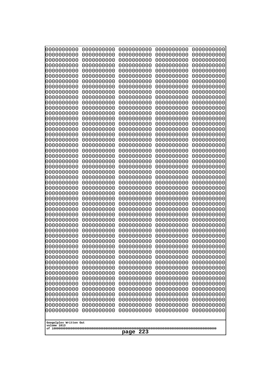| 10000000000<br>0000000000             | 0000000000<br>0000000000 | 0000000000<br>0000000000 | 0000000000<br>0000000000 | 0000000000<br>0000000000 |
|---------------------------------------|--------------------------|--------------------------|--------------------------|--------------------------|
| 0000000000                            | 0000000000               | 0000000000               | 0000000000               | 0000000000               |
| 0000000000                            | 0000000000               | 0000000000               | 0000000000               | 0000000000               |
| 0000000000<br>0000000000              | 0000000000<br>0000000000 | 0000000000<br>0000000000 | 0000000000<br>0000000000 | 0000000000<br>0000000000 |
| 0000000000                            | 0000000000               | 0000000000               | 0000000000               | 0000000000               |
| 0000000000                            | 0000000000               | 0000000000               | 0000000000               | 0000000000               |
| 0000000000<br>0000000000              | 0000000000<br>0000000000 | 0000000000<br>0000000000 | 0000000000<br>0000000000 | 0000000000<br>0000000000 |
| 0000000000                            | 0000000000               | 0000000000               | 0000000000               | 0000000000               |
| 0000000000                            | 0000000000               | 0000000000               | 0000000000               | 0000000000               |
| 0000000000                            | 0000000000               | 0000000000               | 0000000000               | 0000000000               |
| 0000000000<br>0000000000              | 0000000000<br>0000000000 | 0000000000<br>0000000000 | 0000000000<br>0000000000 | 0000000000<br>0000000000 |
| 0000000000                            | 0000000000               | 0000000000               | 0000000000               | 0000000000               |
| 0000000000                            | 0000000000               | 0000000000               | 0000000000               | 0000000000               |
| 0000000000<br>0000000000              | 0000000000<br>0000000000 | 0000000000<br>0000000000 | 0000000000<br>0000000000 | 0000000000<br>0000000000 |
| 0000000000                            | 0000000000               | 0000000000               | 0000000000               | 0000000000               |
| 0000000000                            | 0000000000               | 0000000000               | 0000000000               | 0000000000               |
| 0000000000<br>0000000000              | 0000000000<br>0000000000 | 0000000000<br>0000000000 | 0000000000<br>0000000000 | 0000000000<br>0000000000 |
| 0000000000                            | 0000000000               | 0000000000               | 0000000000               | 0000000000               |
| 0000000000                            | 0000000000               | 0000000000               | 0000000000               | 0000000000               |
| 0000000000<br>0000000000              | 0000000000<br>0000000000 | 0000000000<br>0000000000 | 0000000000<br>0000000000 | 0000000000<br>0000000000 |
| 0000000000                            | 0000000000               | 0000000000               | 0000000000               | 0000000000               |
| 0000000000                            | 0000000000               | 0000000000               | 0000000000               | 0000000000               |
| 0000000000<br>0000000000              | 0000000000<br>0000000000 | 0000000000<br>0000000000 | 0000000000<br>0000000000 | 0000000000<br>0000000000 |
| 0000000000                            | 0000000000               | 0000000000               | 0000000000               | 0000000000               |
| 0000000000                            | 0000000000               | 0000000000               | 0000000000               | 0000000000               |
| 0000000000<br>0000000000              | 0000000000<br>0000000000 | 0000000000<br>0000000000 | 0000000000<br>0000000000 | 0000000000<br>0000000000 |
| 0000000000                            | 0000000000               | 0000000000               | 0000000000               | 0000000000               |
| 0000000000                            | 0000000000               | 0000000000               | 0000000000               | 0000000000               |
| 0000000000                            | 0000000000<br>0000000000 | 0000000000<br>0000000000 | 0000000000<br>0000000000 | 0000000000               |
| 0000000000<br>0000000000              | 0000000000               | 0000000000               | 0000000000               | 0000000000<br>0000000000 |
| 0000000000                            | 0000000000               | 0000000000               | 0000000000               | 0000000000               |
| 0000000000                            | 0000000000<br>0000000000 | 0000000000               | 0000000000<br>0000000000 | 0000000000               |
| 0000000000<br>0000000000              | 0000000000               | 0000000000<br>0000000000 | 0000000000               | 0000000000<br>0000000000 |
| 0000000000                            | 0000000000               | 0000000000               | 0000000000               | 0000000000               |
| 0000000000                            | 0000000000               | 0000000000               | 0000000000               | 0000000000               |
| 0000000000<br>0000000000              | 0000000000<br>0000000000 | 0000000000<br>0000000000 | 0000000000<br>0000000000 | 0000000000<br>0000000000 |
| 0000000000                            | 0000000000               | 0000000000               | 0000000000               | 0000000000               |
| 0000000000                            | 0000000000               | 0000000000               | 0000000000               | 0000000000               |
|                                       |                          |                          |                          |                          |
| Googolplex Written Out<br>volume 1013 |                          |                          |                          |                          |
| 223<br>page                           |                          |                          |                          |                          |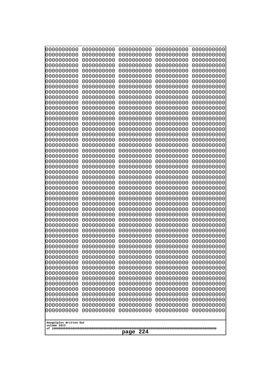| 10000000000<br>0000000000 | 0000000000<br>0000000000 | 0000000000<br>0000000000 | 0000000000<br>0000000000 | 0000000000<br>0000000000 |
|---------------------------|--------------------------|--------------------------|--------------------------|--------------------------|
| 0000000000                | 0000000000               | 0000000000               | 0000000000               | 0000000000               |
| 0000000000                | 0000000000               | 0000000000               | 0000000000               | 0000000000               |
| 0000000000<br>0000000000  | 0000000000<br>0000000000 | 0000000000               | 0000000000<br>0000000000 | 0000000000               |
| 0000000000                | 0000000000               | 0000000000<br>0000000000 | 0000000000               | 0000000000<br>0000000000 |
| 0000000000                | 0000000000               | 0000000000               | 0000000000               | 0000000000               |
| 0000000000                | 0000000000               | 0000000000               | 0000000000               | 0000000000               |
| 0000000000<br>0000000000  | 0000000000<br>0000000000 | 0000000000<br>0000000000 | 0000000000<br>0000000000 | 0000000000<br>0000000000 |
| 0000000000                | 0000000000               | 0000000000               | 0000000000               | 0000000000               |
| 0000000000                | 0000000000               | 0000000000               | 0000000000               | 0000000000               |
| 0000000000                | 0000000000               | 0000000000               | 0000000000               | 0000000000               |
| 0000000000<br>0000000000  | 0000000000<br>0000000000 | 0000000000<br>0000000000 | 0000000000<br>0000000000 | 0000000000<br>0000000000 |
| 0000000000                | 0000000000               | 0000000000               | 0000000000               | 0000000000               |
| 0000000000                | 0000000000               | 0000000000               | 0000000000               | 0000000000               |
| 0000000000<br>0000000000  | 0000000000<br>0000000000 | 0000000000<br>0000000000 | 0000000000<br>0000000000 | 0000000000<br>0000000000 |
| 0000000000                | 0000000000               | 0000000000               | 0000000000               | 0000000000               |
| 0000000000                | 0000000000               | 0000000000               | 0000000000               | 0000000000               |
| 0000000000                | 0000000000               | 0000000000               | 0000000000               | 0000000000               |
| 0000000000<br>0000000000  | 0000000000<br>0000000000 | 0000000000<br>0000000000 | 0000000000<br>0000000000 | 0000000000<br>0000000000 |
| 0000000000                | 0000000000               | 0000000000               | 0000000000               | 0000000000               |
| 0000000000                | 0000000000               | 0000000000               | 0000000000               | 0000000000               |
| 0000000000<br>0000000000  | 0000000000<br>0000000000 | 0000000000<br>0000000000 | 0000000000<br>0000000000 | 0000000000<br>0000000000 |
| 0000000000                | 0000000000               | 0000000000               | 0000000000               | 0000000000               |
| 0000000000                | 0000000000               | 0000000000               | 0000000000               | 0000000000               |
| 0000000000                | 0000000000               | 0000000000               | 0000000000               | 0000000000               |
| 0000000000<br>0000000000  | 0000000000<br>0000000000 | 0000000000<br>0000000000 | 0000000000<br>0000000000 | 0000000000<br>0000000000 |
| 0000000000                | 0000000000               | 0000000000               | 0000000000               | 0000000000               |
| 0000000000                | 0000000000               | 0000000000               | 0000000000               | 0000000000               |
| 0000000000<br>0000000000  | 0000000000<br>0000000000 | 0000000000<br>0000000000 | 0000000000<br>0000000000 | 0000000000<br>0000000000 |
| 0000000000                | 0000000000               | 0000000000               | 0000000000               | 0000000000               |
| 0000000000                | 0000000000               | 0000000000               | 0000000000               | 0000000000               |
| 0000000000<br>0000000000  | 0000000000               | 0000000000               | 0000000000               | 0000000000               |
| 0000000000                | 0000000000<br>0000000000 | 0000000000<br>0000000000 | 0000000000<br>0000000000 | 0000000000<br>0000000000 |
| 0000000000                | 0000000000               | 0000000000               | 0000000000               | 0000000000               |
| 0000000000                | 0000000000               | 0000000000               | 0000000000               | 0000000000               |
| 0000000000<br>0000000000  | 0000000000<br>0000000000 | 0000000000<br>0000000000 | 0000000000<br>0000000000 | 0000000000<br>0000000000 |
| 0000000000                | 0000000000               | 0000000000               | 0000000000               | 0000000000               |
| 0000000000                | 0000000000               | 0000000000               | 0000000000               | 0000000000               |
| 0000000000                | 0000000000               | 0000000000               | 0000000000               | 0000000000               |
| Googolplex Written Out    |                          |                          |                          |                          |
| volume 1013               |                          |                          |                          |                          |
| 224<br>page               |                          |                          |                          |                          |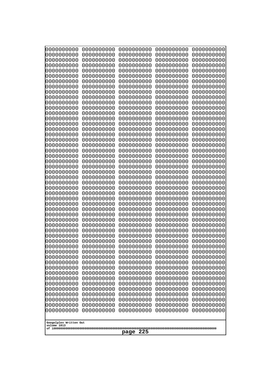| 10000000000<br>0000000000 | 0000000000<br>0000000000 | 0000000000<br>0000000000 | 0000000000<br>0000000000 | 0000000000<br>0000000000 |
|---------------------------|--------------------------|--------------------------|--------------------------|--------------------------|
| 0000000000                | 0000000000               | 0000000000               | 0000000000               | 0000000000               |
| 0000000000                | 0000000000               | 0000000000               | 0000000000               | 0000000000               |
| 0000000000<br>0000000000  | 0000000000<br>0000000000 | 0000000000               | 0000000000<br>0000000000 | 0000000000               |
| 0000000000                | 0000000000               | 0000000000<br>0000000000 | 0000000000               | 0000000000<br>0000000000 |
| 0000000000                | 0000000000               | 0000000000               | 0000000000               | 0000000000               |
| 0000000000                | 0000000000               | 0000000000               | 0000000000               | 0000000000               |
| 0000000000<br>0000000000  | 0000000000<br>0000000000 | 0000000000<br>0000000000 | 0000000000<br>0000000000 | 0000000000<br>0000000000 |
| 0000000000                | 0000000000               | 0000000000               | 0000000000               | 0000000000               |
| 0000000000                | 0000000000               | 0000000000               | 0000000000               | 0000000000               |
| 0000000000                | 0000000000               | 0000000000               | 0000000000               | 0000000000               |
| 0000000000<br>0000000000  | 0000000000<br>0000000000 | 0000000000<br>0000000000 | 0000000000<br>0000000000 | 0000000000<br>0000000000 |
| 0000000000                | 0000000000               | 0000000000               | 0000000000               | 0000000000               |
| 0000000000                | 0000000000               | 0000000000               | 0000000000               | 0000000000               |
| 0000000000<br>0000000000  | 0000000000<br>0000000000 | 0000000000<br>0000000000 | 0000000000<br>0000000000 | 0000000000<br>0000000000 |
| 0000000000                | 0000000000               | 0000000000               | 0000000000               | 0000000000               |
| 0000000000                | 0000000000               | 0000000000               | 0000000000               | 0000000000               |
| 0000000000                | 0000000000               | 0000000000               | 0000000000               | 0000000000               |
| 0000000000<br>0000000000  | 0000000000<br>0000000000 | 0000000000<br>0000000000 | 0000000000<br>0000000000 | 0000000000<br>0000000000 |
| 0000000000                | 0000000000               | 0000000000               | 0000000000               | 0000000000               |
| 0000000000                | 0000000000               | 0000000000               | 0000000000               | 0000000000               |
| 0000000000<br>0000000000  | 0000000000<br>0000000000 | 0000000000<br>0000000000 | 0000000000<br>0000000000 | 0000000000<br>0000000000 |
| 0000000000                | 0000000000               | 0000000000               | 0000000000               | 0000000000               |
| 0000000000                | 0000000000               | 0000000000               | 0000000000               | 0000000000               |
| 0000000000                | 0000000000               | 0000000000               | 0000000000               | 0000000000               |
| 0000000000<br>0000000000  | 0000000000<br>0000000000 | 0000000000<br>0000000000 | 0000000000<br>0000000000 | 0000000000<br>0000000000 |
| 0000000000                | 0000000000               | 0000000000               | 0000000000               | 0000000000               |
| 0000000000                | 0000000000               | 0000000000               | 0000000000               | 0000000000               |
| 0000000000<br>0000000000  | 0000000000<br>0000000000 | 0000000000<br>0000000000 | 0000000000<br>0000000000 | 0000000000<br>0000000000 |
| 0000000000                | 0000000000               | 0000000000               | 0000000000               | 0000000000               |
| 0000000000                | 0000000000               | 0000000000               | 0000000000               | 0000000000               |
| 0000000000<br>0000000000  | 0000000000               | 0000000000               | 0000000000               | 0000000000               |
| 0000000000                | 0000000000<br>0000000000 | 0000000000<br>0000000000 | 0000000000<br>0000000000 | 0000000000<br>0000000000 |
| 0000000000                | 0000000000               | 0000000000               | 0000000000               | 0000000000               |
| 0000000000                | 0000000000               | 0000000000               | 0000000000               | 0000000000               |
| 0000000000<br>0000000000  | 0000000000<br>0000000000 | 0000000000<br>0000000000 | 0000000000<br>0000000000 | 0000000000<br>0000000000 |
| 0000000000                | 0000000000               | 0000000000               | 0000000000               | 0000000000               |
| 0000000000                | 0000000000               | 0000000000               | 0000000000               | 0000000000               |
| 0000000000                | 0000000000               | 0000000000               | 0000000000               | 0000000000               |
| Googolplex Written Out    |                          |                          |                          |                          |
| volume 1013               |                          |                          |                          |                          |
| 225<br>page               |                          |                          |                          |                          |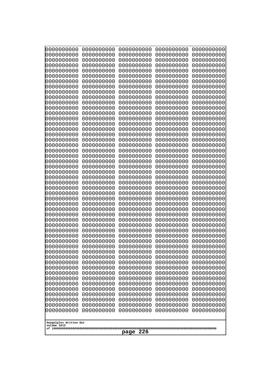| 10000000000<br>0000000000 | 0000000000<br>0000000000 | 0000000000<br>0000000000 | 0000000000<br>0000000000 | 0000000000<br>0000000000 |
|---------------------------|--------------------------|--------------------------|--------------------------|--------------------------|
| 0000000000                | 0000000000               | 0000000000               | 0000000000               | 0000000000               |
| 0000000000                | 0000000000               | 0000000000               | 0000000000               | 0000000000               |
| 0000000000<br>0000000000  | 0000000000<br>0000000000 | 0000000000               | 0000000000<br>0000000000 | 0000000000               |
| 0000000000                | 0000000000               | 0000000000<br>0000000000 | 0000000000               | 0000000000<br>0000000000 |
| 0000000000                | 0000000000               | 0000000000               | 0000000000               | 0000000000               |
| 0000000000                | 0000000000               | 0000000000               | 0000000000               | 0000000000               |
| 0000000000<br>0000000000  | 0000000000<br>0000000000 | 0000000000<br>0000000000 | 0000000000<br>0000000000 | 0000000000<br>0000000000 |
| 0000000000                | 0000000000               | 0000000000               | 0000000000               | 0000000000               |
| 0000000000                | 0000000000               | 0000000000               | 0000000000               | 0000000000               |
| 0000000000                | 0000000000               | 0000000000               | 0000000000               | 0000000000               |
| 0000000000<br>0000000000  | 0000000000<br>0000000000 | 0000000000<br>0000000000 | 0000000000<br>0000000000 | 0000000000<br>0000000000 |
| 0000000000                | 0000000000               | 0000000000               | 0000000000               | 0000000000               |
| 0000000000                | 0000000000               | 0000000000               | 0000000000               | 0000000000               |
| 0000000000<br>0000000000  | 0000000000<br>0000000000 | 0000000000<br>0000000000 | 0000000000<br>0000000000 | 0000000000<br>0000000000 |
| 0000000000                | 0000000000               | 0000000000               | 0000000000               | 0000000000               |
| 0000000000                | 0000000000               | 0000000000               | 0000000000               | 0000000000               |
| 0000000000                | 0000000000               | 0000000000               | 0000000000               | 0000000000               |
| 0000000000<br>0000000000  | 0000000000<br>0000000000 | 0000000000<br>0000000000 | 0000000000<br>0000000000 | 0000000000<br>0000000000 |
| 0000000000                | 0000000000               | 0000000000               | 0000000000               | 0000000000               |
| 0000000000                | 0000000000               | 0000000000               | 0000000000               | 0000000000               |
| 0000000000<br>0000000000  | 0000000000<br>0000000000 | 0000000000<br>0000000000 | 0000000000<br>0000000000 | 0000000000<br>0000000000 |
| 0000000000                | 0000000000               | 0000000000               | 0000000000               | 0000000000               |
| 0000000000                | 0000000000               | 0000000000               | 0000000000               | 0000000000               |
| 0000000000<br>0000000000  | 0000000000<br>0000000000 | 0000000000<br>0000000000 | 0000000000<br>0000000000 | 0000000000<br>0000000000 |
| 0000000000                | 0000000000               | 0000000000               | 0000000000               | 0000000000               |
| 0000000000                | 0000000000               | 0000000000               | 0000000000               | 0000000000               |
| 0000000000                | 0000000000               | 0000000000               | 0000000000               | 0000000000               |
| 0000000000<br>0000000000  | 0000000000<br>0000000000 | 0000000000<br>0000000000 | 0000000000<br>0000000000 | 0000000000<br>0000000000 |
| 0000000000                | 0000000000               | 0000000000               | 0000000000               | 0000000000               |
| 0000000000                | 0000000000               | 0000000000               | 0000000000               | 0000000000               |
| 0000000000<br>0000000000  | 0000000000<br>0000000000 | 0000000000<br>0000000000 | 0000000000<br>0000000000 | 0000000000<br>0000000000 |
| 0000000000                | 0000000000               | 0000000000               | 0000000000               | 0000000000               |
| 0000000000                | 0000000000               | 0000000000               | 0000000000               | 0000000000               |
| 0000000000                | 0000000000               | 0000000000               | 0000000000               | 0000000000               |
| 0000000000<br>0000000000  | 0000000000<br>0000000000 | 0000000000<br>0000000000 | 0000000000<br>0000000000 | 0000000000<br>0000000000 |
| 0000000000                | 0000000000               | 0000000000               | 0000000000               | 0000000000               |
| 0000000000                | 0000000000               | 0000000000               | 0000000000               | 0000000000               |
| 0000000000                | 0000000000               | 0000000000               | 0000000000               | 0000000000               |
| Googolplex Written Out    |                          |                          |                          |                          |
| volume 1013               |                          |                          |                          |                          |
| 226<br>page               |                          |                          |                          |                          |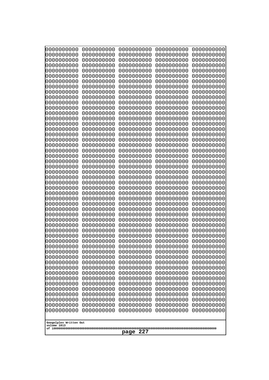| 10000000000<br>0000000000             | 0000000000<br>0000000000 | 0000000000<br>0000000000 | 0000000000<br>0000000000 | 0000000000<br>0000000000 |
|---------------------------------------|--------------------------|--------------------------|--------------------------|--------------------------|
| 0000000000                            | 0000000000               | 0000000000               | 0000000000               | 0000000000               |
| 0000000000                            | 0000000000               | 0000000000               | 0000000000               | 0000000000               |
| 0000000000<br>0000000000              | 0000000000<br>0000000000 | 0000000000<br>0000000000 | 0000000000<br>0000000000 | 0000000000<br>0000000000 |
| 0000000000                            | 0000000000               | 0000000000               | 0000000000               | 0000000000               |
| 0000000000                            | 0000000000               | 0000000000               | 0000000000               | 0000000000               |
| 0000000000<br>0000000000              | 0000000000<br>0000000000 | 0000000000<br>0000000000 | 0000000000<br>0000000000 | 0000000000<br>0000000000 |
| 0000000000                            | 0000000000               | 0000000000               | 0000000000               | 0000000000               |
| 0000000000                            | 0000000000               | 0000000000               | 0000000000               | 0000000000               |
| 0000000000                            | 0000000000               | 0000000000               | 0000000000               | 0000000000               |
| 0000000000<br>0000000000              | 0000000000<br>0000000000 | 0000000000<br>0000000000 | 0000000000<br>0000000000 | 0000000000<br>0000000000 |
| 0000000000                            | 0000000000               | 0000000000               | 0000000000               | 0000000000               |
| 0000000000                            | 0000000000               | 0000000000               | 0000000000               | 0000000000               |
| 0000000000<br>0000000000              | 0000000000<br>0000000000 | 0000000000<br>0000000000 | 0000000000<br>0000000000 | 0000000000<br>0000000000 |
| 0000000000                            | 0000000000               | 0000000000               | 0000000000               | 0000000000               |
| 0000000000                            | 0000000000               | 0000000000               | 0000000000               | 0000000000               |
| 0000000000<br>0000000000              | 0000000000<br>0000000000 | 0000000000<br>0000000000 | 0000000000<br>0000000000 | 0000000000<br>0000000000 |
| 0000000000                            | 0000000000               | 0000000000               | 0000000000               | 0000000000               |
| 0000000000                            | 0000000000               | 0000000000               | 0000000000               | 0000000000               |
| 0000000000<br>0000000000              | 0000000000<br>0000000000 | 0000000000<br>0000000000 | 0000000000<br>0000000000 | 0000000000<br>0000000000 |
| 0000000000                            | 0000000000               | 0000000000               | 0000000000               | 0000000000               |
| 0000000000                            | 0000000000               | 0000000000               | 0000000000               | 0000000000               |
| 0000000000                            | 0000000000               | 0000000000               | 0000000000               | 0000000000               |
| 0000000000<br>0000000000              | 0000000000<br>0000000000 | 0000000000<br>0000000000 | 0000000000<br>0000000000 | 0000000000<br>0000000000 |
| 0000000000                            | 0000000000               | 0000000000               | 0000000000               | 0000000000               |
| 0000000000                            | 0000000000               | 0000000000               | 0000000000               | 0000000000               |
| 0000000000<br>0000000000              | 0000000000<br>0000000000 | 0000000000<br>0000000000 | 0000000000<br>0000000000 | 0000000000<br>0000000000 |
| 0000000000                            | 0000000000               | 0000000000               | 0000000000               | 0000000000               |
| 0000000000                            | 0000000000               | 0000000000               | 0000000000               | 0000000000               |
| 0000000000<br>0000000000              | 0000000000<br>0000000000 | 0000000000<br>0000000000 | 0000000000<br>0000000000 | 0000000000<br>0000000000 |
| 0000000000                            | 0000000000               | 0000000000               | 0000000000               | 0000000000               |
| 0000000000                            | 0000000000               | 0000000000               | 0000000000               | 0000000000               |
| 0000000000<br>0000000000              | 0000000000<br>0000000000 | 0000000000<br>0000000000 | 0000000000<br>0000000000 | 0000000000<br>0000000000 |
| 0000000000                            | 0000000000               | 0000000000               | 0000000000               | 0000000000               |
| 0000000000                            | 0000000000               | 0000000000               | 0000000000               | 0000000000               |
| 0000000000<br>0000000000              | 0000000000               | 0000000000               | 0000000000               | 0000000000               |
| 0000000000                            | 0000000000<br>0000000000 | 0000000000<br>0000000000 | 0000000000<br>0000000000 | 0000000000<br>0000000000 |
| 0000000000                            | 0000000000               | 0000000000               | 0000000000               | 0000000000               |
|                                       |                          |                          |                          |                          |
| Googolplex Written Out<br>volume 1013 |                          |                          |                          |                          |
| 227<br>page                           |                          |                          |                          |                          |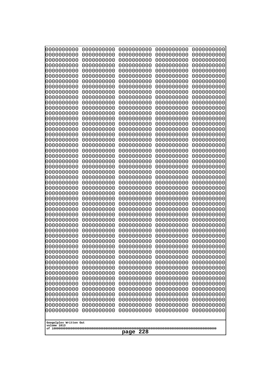| 10000000000<br>0000000000             | 0000000000<br>0000000000 | 0000000000<br>0000000000 | 0000000000<br>0000000000 | 0000000000<br>0000000000 |
|---------------------------------------|--------------------------|--------------------------|--------------------------|--------------------------|
| 0000000000                            | 0000000000               | 0000000000               | 0000000000               | 0000000000               |
| 0000000000                            | 0000000000               | 0000000000               | 0000000000               | 0000000000               |
| 0000000000                            | 0000000000               | 0000000000               | 0000000000               | 0000000000               |
| 0000000000<br>0000000000              | 0000000000<br>0000000000 | 0000000000<br>0000000000 | 0000000000<br>0000000000 | 0000000000<br>0000000000 |
| 0000000000                            | 0000000000               | 0000000000               | 0000000000               | 0000000000               |
| 0000000000                            | 0000000000               | 0000000000               | 0000000000               | 0000000000               |
| 0000000000                            | 0000000000               | 0000000000               | 0000000000               | 0000000000               |
| 0000000000<br>0000000000              | 0000000000<br>0000000000 | 0000000000<br>0000000000 | 0000000000<br>0000000000 | 0000000000               |
| 0000000000                            | 0000000000               | 0000000000               | 0000000000               | 0000000000<br>0000000000 |
| 0000000000                            | 0000000000               | 0000000000               | 0000000000               | 0000000000               |
| 0000000000                            | 0000000000               | 0000000000               | 0000000000               | 0000000000               |
| 0000000000                            | 0000000000               | 0000000000               | 0000000000               | 0000000000               |
| 0000000000<br>0000000000              | 0000000000<br>0000000000 | 0000000000<br>0000000000 | 0000000000<br>0000000000 | 0000000000<br>0000000000 |
| 0000000000                            | 0000000000               | 0000000000               | 0000000000               | 0000000000               |
| 0000000000                            | 0000000000               | 0000000000               | 0000000000               | 0000000000               |
| 0000000000                            | 0000000000<br>0000000000 | 0000000000               | 0000000000               | 0000000000               |
| 0000000000<br>0000000000              | 0000000000               | 0000000000<br>0000000000 | 0000000000<br>0000000000 | 0000000000<br>0000000000 |
| 0000000000                            | 0000000000               | 0000000000               | 0000000000               | 0000000000               |
| 0000000000                            | 0000000000               | 0000000000               | 0000000000               | 0000000000               |
| 0000000000                            | 0000000000<br>0000000000 | 0000000000<br>0000000000 | 0000000000<br>0000000000 | 0000000000               |
| 0000000000<br>0000000000              | 0000000000               | 0000000000               | 0000000000               | 0000000000<br>0000000000 |
| 0000000000                            | 0000000000               | 0000000000               | 0000000000               | 0000000000               |
| 0000000000                            | 0000000000               | 0000000000               | 0000000000               | 0000000000               |
| 0000000000<br>0000000000              | 0000000000<br>0000000000 | 0000000000<br>0000000000 | 0000000000<br>0000000000 | 0000000000<br>0000000000 |
| 0000000000                            | 0000000000               | 0000000000               | 0000000000               | 0000000000               |
| 0000000000                            | 0000000000               | 0000000000               | 0000000000               | 0000000000               |
| 0000000000                            | 0000000000               | 0000000000               | 0000000000               | 0000000000               |
| 0000000000                            | 0000000000<br>0000000000 | 0000000000<br>0000000000 | 0000000000               | 0000000000               |
| 0000000000<br>0000000000              | 0000000000               | 0000000000               | 0000000000<br>0000000000 | 0000000000<br>0000000000 |
| 0000000000                            | 0000000000               | 0000000000               | 0000000000               | 0000000000               |
| 0000000000                            | 0000000000               | 0000000000               | 0000000000               | 0000000000               |
| 0000000000<br>0000000000              | 0000000000               | 0000000000               | 0000000000               | 0000000000               |
| 0000000000                            | 0000000000<br>0000000000 | 0000000000<br>0000000000 | 0000000000<br>0000000000 | 0000000000<br>0000000000 |
| 0000000000                            | 0000000000               | 0000000000               | 0000000000               | 0000000000               |
| 0000000000                            | 0000000000               | 0000000000               | 0000000000               | 0000000000               |
| 0000000000                            | 0000000000<br>0000000000 | 0000000000               | 0000000000               | 0000000000               |
| 0000000000<br>0000000000              | 0000000000               | 0000000000<br>0000000000 | 0000000000<br>0000000000 | 0000000000<br>0000000000 |
| 0000000000                            | 0000000000               | 0000000000               | 0000000000               | 0000000000               |
| 0000000000                            | 0000000000               | 0000000000               | 0000000000               | 0000000000               |
|                                       |                          |                          |                          |                          |
| Googolplex Written Out<br>volume 1013 |                          |                          |                          |                          |
| 228<br>page                           |                          |                          |                          |                          |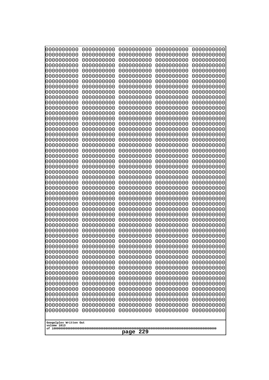| 0000000000               | 0000000000               | 0000000000               | 0000000000               | 0000000000               |
|--------------------------|--------------------------|--------------------------|--------------------------|--------------------------|
| 0000000000<br>0000000000 | 0000000000<br>0000000000 | 0000000000<br>0000000000 | 0000000000<br>0000000000 | 0000000000<br>0000000000 |
| 0000000000               | 0000000000               | 0000000000               | 0000000000               | 0000000000               |
| 0000000000               | 0000000000               | 0000000000               | 0000000000               | 0000000000               |
| 0000000000               | 0000000000               | 0000000000               | 0000000000               | 0000000000               |
| 0000000000               | 0000000000               | 0000000000               | 0000000000               | 0000000000               |
| 0000000000<br>0000000000 | 0000000000<br>0000000000 | 0000000000<br>0000000000 | 0000000000<br>0000000000 | 0000000000<br>0000000000 |
| 0000000000               | 0000000000               | 0000000000               | 0000000000               | 0000000000               |
| 0000000000               | 0000000000               | 0000000000               | 0000000000               | 0000000000               |
| 0000000000               | 0000000000               | 0000000000<br>0000000000 | 0000000000               | 0000000000               |
| 0000000000<br>0000000000 | 0000000000<br>0000000000 | 0000000000               | 0000000000<br>0000000000 | 0000000000<br>0000000000 |
| 0000000000               | 0000000000               | 0000000000               | 0000000000               | 0000000000               |
| 0000000000               | 0000000000               | 0000000000               | 0000000000               | 0000000000               |
| 0000000000<br>0000000000 | 0000000000<br>0000000000 | 0000000000<br>0000000000 | 0000000000<br>0000000000 | 0000000000<br>0000000000 |
| 0000000000               | 0000000000               | 0000000000               | 0000000000               | 0000000000               |
| 0000000000               | 0000000000               | 0000000000               | 0000000000               | 0000000000               |
| 0000000000               | 0000000000               | 0000000000               | 0000000000               | 0000000000               |
| 0000000000<br>0000000000 | 0000000000<br>0000000000 | 0000000000<br>0000000000 | 0000000000<br>0000000000 | 0000000000<br>0000000000 |
| 0000000000               | 0000000000               | 0000000000               | 0000000000               | 0000000000               |
| 0000000000               | 0000000000               | 0000000000               | 0000000000               | 0000000000               |
| 0000000000               | 0000000000               | 0000000000               | 0000000000               | 0000000000               |
| 0000000000<br>0000000000 | 0000000000<br>0000000000 | 0000000000<br>0000000000 | 0000000000<br>0000000000 | 0000000000<br>0000000000 |
| 0000000000               | 0000000000               | 0000000000               | 0000000000               | 0000000000               |
| 0000000000               | 0000000000               | 0000000000               | 0000000000               | 0000000000               |
| 0000000000<br>0000000000 | 0000000000<br>0000000000 | 0000000000<br>0000000000 | 0000000000<br>0000000000 | 0000000000<br>0000000000 |
| 0000000000               | 0000000000               | 0000000000               | 0000000000               | 0000000000               |
| 0000000000               | 0000000000               | 0000000000               | 0000000000               | 0000000000               |
| 0000000000               | 0000000000               | 0000000000               | 0000000000               | 0000000000               |
| 0000000000<br>0000000000 | 0000000000<br>0000000000 | 0000000000<br>0000000000 | 0000000000<br>0000000000 | 0000000000<br>0000000000 |
| 0000000000               | 0000000000               | 0000000000               | 0000000000               | 0000000000               |
| 0000000000               | 0000000000               | 0000000000               | 0000000000               | 0000000000               |
| 0000000000<br>0000000000 | 0000000000<br>0000000000 | 0000000000               | 0000000000               | 0000000000               |
| 0000000000               | 0000000000               | 0000000000<br>0000000000 | 0000000000<br>0000000000 | 0000000000<br>0000000000 |
| 0000000000               | 0000000000               | 0000000000               | 0000000000               | 0000000000               |
| 0000000000               | 0000000000               | 0000000000               | 0000000000               | 0000000000               |
| 0000000000<br>0000000000 | 0000000000<br>0000000000 | 0000000000<br>0000000000 | 0000000000<br>0000000000 | 0000000000<br>0000000000 |
| 0000000000               | 0000000000               | 0000000000               | 0000000000               | 0000000000               |
| 0000000000               | 0000000000               | 0000000000               | 0000000000               | 0000000000               |
| 0000000000               | 0000000000               | 0000000000               | 0000000000               | 0000000000               |
| 0000000000               | 0000000000               | 0000000000               | 0000000000               | 0000000000               |
| Googolplex Written Out   |                          |                          |                          |                          |
| volume 1013              |                          |                          |                          |                          |
| 229<br>page              |                          |                          |                          |                          |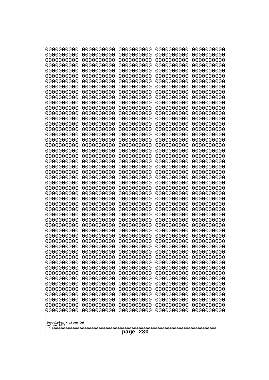| 10000000000<br>0000000000             | 0000000000<br>0000000000 | 0000000000<br>0000000000 | 0000000000<br>0000000000 | 0000000000<br>0000000000 |
|---------------------------------------|--------------------------|--------------------------|--------------------------|--------------------------|
| 0000000000                            | 0000000000               | 0000000000               | 0000000000               | 0000000000               |
| 0000000000                            | 0000000000               | 0000000000               | 0000000000               | 0000000000               |
| 0000000000                            | 0000000000               | 0000000000               | 0000000000               | 0000000000               |
| 0000000000<br>0000000000              | 0000000000<br>0000000000 | 0000000000<br>0000000000 | 0000000000<br>0000000000 | 0000000000<br>0000000000 |
| 0000000000                            | 0000000000               | 0000000000               | 0000000000               | 0000000000               |
| 0000000000                            | 0000000000               | 0000000000               | 0000000000               | 0000000000               |
| 0000000000                            | 0000000000               | 0000000000               | 0000000000               | 0000000000               |
| 0000000000<br>0000000000              | 0000000000<br>0000000000 | 0000000000<br>0000000000 | 0000000000<br>0000000000 | 0000000000               |
| 0000000000                            | 0000000000               | 0000000000               | 0000000000               | 0000000000<br>0000000000 |
| 0000000000                            | 0000000000               | 0000000000               | 0000000000               | 0000000000               |
| 0000000000                            | 0000000000               | 0000000000               | 0000000000               | 0000000000               |
| 0000000000                            | 0000000000               | 0000000000               | 0000000000               | 0000000000               |
| 0000000000<br>0000000000              | 0000000000<br>0000000000 | 0000000000<br>0000000000 | 0000000000<br>0000000000 | 0000000000<br>0000000000 |
| 0000000000                            | 0000000000               | 0000000000               | 0000000000               | 0000000000               |
| 0000000000                            | 0000000000               | 0000000000               | 0000000000               | 0000000000               |
| 0000000000                            | 0000000000<br>0000000000 | 0000000000               | 0000000000               | 0000000000               |
| 0000000000<br>0000000000              | 0000000000               | 0000000000<br>0000000000 | 0000000000<br>0000000000 | 0000000000<br>0000000000 |
| 0000000000                            | 0000000000               | 0000000000               | 0000000000               | 0000000000               |
| 0000000000                            | 0000000000               | 0000000000               | 0000000000               | 0000000000               |
| 0000000000                            | 0000000000<br>0000000000 | 0000000000<br>0000000000 | 0000000000<br>0000000000 | 0000000000               |
| 0000000000<br>0000000000              | 0000000000               | 0000000000               | 0000000000               | 0000000000<br>0000000000 |
| 0000000000                            | 0000000000               | 0000000000               | 0000000000               | 0000000000               |
| 0000000000                            | 0000000000               | 0000000000               | 0000000000               | 0000000000               |
| 0000000000<br>0000000000              | 0000000000<br>0000000000 | 0000000000<br>0000000000 | 0000000000<br>0000000000 | 0000000000<br>0000000000 |
| 0000000000                            | 0000000000               | 0000000000               | 0000000000               | 0000000000               |
| 0000000000                            | 0000000000               | 0000000000               | 0000000000               | 0000000000               |
| 0000000000                            | 0000000000               | 0000000000               | 0000000000               | 0000000000               |
| 0000000000                            | 0000000000<br>0000000000 | 0000000000<br>0000000000 | 0000000000               | 0000000000               |
| 0000000000<br>0000000000              | 0000000000               | 0000000000               | 0000000000<br>0000000000 | 0000000000<br>0000000000 |
| 0000000000                            | 0000000000               | 0000000000               | 0000000000               | 0000000000               |
| 0000000000                            | 0000000000               | 0000000000               | 0000000000               | 0000000000               |
| 0000000000                            | 0000000000               | 0000000000               | 0000000000               | 0000000000               |
| 0000000000<br>0000000000              | 0000000000<br>0000000000 | 0000000000<br>0000000000 | 0000000000<br>0000000000 | 0000000000<br>0000000000 |
| 0000000000                            | 0000000000               | 0000000000               | 0000000000               | 0000000000               |
| 0000000000                            | 0000000000               | 0000000000               | 0000000000               | 0000000000               |
| 0000000000                            | 0000000000               | 0000000000               | 0000000000               | 0000000000               |
| 0000000000<br>0000000000              | 0000000000<br>0000000000 | 0000000000<br>0000000000 | 0000000000<br>0000000000 | 0000000000<br>0000000000 |
| 0000000000                            | 0000000000               | 0000000000               | 0000000000               | 0000000000               |
| 0000000000                            | 0000000000               | 0000000000               | 0000000000               | 0000000000               |
|                                       |                          |                          |                          |                          |
| Googolplex Written Out<br>volume 1013 |                          |                          |                          |                          |
| 230<br>page                           |                          |                          |                          |                          |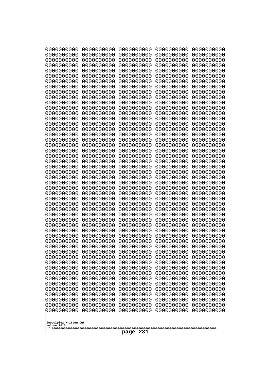| 10000000000<br>0000000000             | 0000000000<br>0000000000 | 0000000000<br>0000000000 | 0000000000<br>0000000000 | 0000000000<br>0000000000 |
|---------------------------------------|--------------------------|--------------------------|--------------------------|--------------------------|
| 0000000000                            | 0000000000               | 0000000000               | 0000000000               | 0000000000               |
| 0000000000                            | 0000000000               | 0000000000               | 0000000000               | 0000000000               |
| 0000000000                            | 0000000000               | 0000000000               | 0000000000               | 0000000000               |
| 0000000000<br>0000000000              | 0000000000<br>0000000000 | 0000000000<br>0000000000 | 0000000000<br>0000000000 | 0000000000<br>0000000000 |
| 0000000000                            | 0000000000               | 0000000000               | 0000000000               | 0000000000               |
| 0000000000                            | 0000000000               | 0000000000               | 0000000000               | 0000000000               |
| 0000000000                            | 0000000000               | 0000000000               | 0000000000               | 0000000000               |
| 0000000000<br>0000000000              | 0000000000<br>0000000000 | 0000000000<br>0000000000 | 0000000000<br>0000000000 | 0000000000               |
| 0000000000                            | 0000000000               | 0000000000               | 0000000000               | 0000000000<br>0000000000 |
| 0000000000                            | 0000000000               | 0000000000               | 0000000000               | 0000000000               |
| 0000000000                            | 0000000000               | 0000000000               | 0000000000               | 0000000000               |
| 0000000000                            | 0000000000               | 0000000000               | 0000000000               | 0000000000               |
| 0000000000<br>0000000000              | 0000000000<br>0000000000 | 0000000000<br>0000000000 | 0000000000<br>0000000000 | 0000000000<br>0000000000 |
| 0000000000                            | 0000000000               | 0000000000               | 0000000000               | 0000000000               |
| 0000000000                            | 0000000000               | 0000000000               | 0000000000               | 0000000000               |
| 0000000000                            | 0000000000<br>0000000000 | 0000000000               | 0000000000               | 0000000000               |
| 0000000000<br>0000000000              | 0000000000               | 0000000000<br>0000000000 | 0000000000<br>0000000000 | 0000000000<br>0000000000 |
| 0000000000                            | 0000000000               | 0000000000               | 0000000000               | 0000000000               |
| 0000000000                            | 0000000000               | 0000000000               | 0000000000               | 0000000000               |
| 0000000000                            | 0000000000<br>0000000000 | 0000000000<br>0000000000 | 0000000000<br>0000000000 | 0000000000               |
| 0000000000<br>0000000000              | 0000000000               | 0000000000               | 0000000000               | 0000000000<br>0000000000 |
| 0000000000                            | 0000000000               | 0000000000               | 0000000000               | 0000000000               |
| 0000000000                            | 0000000000               | 0000000000               | 0000000000               | 0000000000               |
| 0000000000<br>0000000000              | 0000000000<br>0000000000 | 0000000000<br>0000000000 | 0000000000<br>0000000000 | 0000000000<br>0000000000 |
| 0000000000                            | 0000000000               | 0000000000               | 0000000000               | 0000000000               |
| 0000000000                            | 0000000000               | 0000000000               | 0000000000               | 0000000000               |
| 0000000000                            | 0000000000               | 0000000000               | 0000000000               | 0000000000               |
| 0000000000<br>0000000000              | 0000000000<br>0000000000 | 0000000000<br>0000000000 | 0000000000<br>0000000000 | 0000000000<br>0000000000 |
| 0000000000                            | 0000000000               | 0000000000               | 0000000000               | 0000000000               |
| 0000000000                            | 0000000000               | 0000000000               | 0000000000               | 0000000000               |
| 0000000000                            | 0000000000               | 0000000000               | 0000000000               | 0000000000               |
| 0000000000                            | 0000000000               | 0000000000               | 0000000000               | 0000000000               |
| 0000000000<br>0000000000              | 0000000000<br>0000000000 | 0000000000<br>0000000000 | 0000000000<br>0000000000 | 0000000000<br>0000000000 |
| 0000000000                            | 0000000000               | 0000000000               | 0000000000               | 0000000000               |
| 0000000000                            | 0000000000               | 0000000000               | 0000000000               | 0000000000               |
| 0000000000<br>0000000000              | 0000000000<br>0000000000 | 0000000000               | 0000000000               | 0000000000               |
| 0000000000                            | 0000000000               | 0000000000<br>0000000000 | 0000000000<br>0000000000 | 0000000000<br>0000000000 |
| 0000000000                            | 0000000000               | 0000000000               | 0000000000               | 0000000000               |
| 0000000000                            | 0000000000               | 0000000000               | 0000000000               | 0000000000               |
|                                       |                          |                          |                          |                          |
| Googolplex Written Out<br>volume 1013 |                          |                          |                          |                          |
| 231<br>page                           |                          |                          |                          |                          |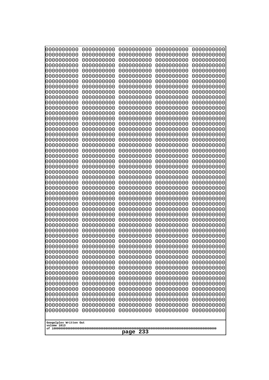| 10000000000<br>0000000000 | 0000000000<br>0000000000 | 0000000000<br>0000000000 | 0000000000<br>0000000000 | 0000000000<br>0000000000 |
|---------------------------|--------------------------|--------------------------|--------------------------|--------------------------|
| 0000000000                | 0000000000               | 0000000000               | 0000000000               | 0000000000               |
| 0000000000                | 0000000000               | 0000000000               | 0000000000               | 0000000000               |
| 0000000000<br>0000000000  | 0000000000<br>0000000000 | 0000000000               | 0000000000<br>0000000000 | 0000000000               |
| 0000000000                | 0000000000               | 0000000000<br>0000000000 | 0000000000               | 0000000000<br>0000000000 |
| 0000000000                | 0000000000               | 0000000000               | 0000000000               | 0000000000               |
| 0000000000                | 0000000000               | 0000000000               | 0000000000               | 0000000000               |
| 0000000000<br>0000000000  | 0000000000<br>0000000000 | 0000000000<br>0000000000 | 0000000000<br>0000000000 | 0000000000<br>0000000000 |
| 0000000000                | 0000000000               | 0000000000               | 0000000000               | 0000000000               |
| 0000000000                | 0000000000               | 0000000000               | 0000000000               | 0000000000               |
| 0000000000                | 0000000000               | 0000000000               | 0000000000               | 0000000000               |
| 0000000000<br>0000000000  | 0000000000<br>0000000000 | 0000000000<br>0000000000 | 0000000000<br>0000000000 | 0000000000<br>0000000000 |
| 0000000000                | 0000000000               | 0000000000               | 0000000000               | 0000000000               |
| 0000000000                | 0000000000               | 0000000000               | 0000000000               | 0000000000               |
| 0000000000<br>0000000000  | 0000000000<br>0000000000 | 0000000000<br>0000000000 | 0000000000<br>0000000000 | 0000000000<br>0000000000 |
| 0000000000                | 0000000000               | 0000000000               | 0000000000               | 0000000000               |
| 0000000000                | 0000000000               | 0000000000               | 0000000000               | 0000000000               |
| 0000000000                | 0000000000               | 0000000000               | 0000000000               | 0000000000               |
| 0000000000<br>0000000000  | 0000000000<br>0000000000 | 0000000000<br>0000000000 | 0000000000<br>0000000000 | 0000000000<br>0000000000 |
| 0000000000                | 0000000000               | 0000000000               | 0000000000               | 0000000000               |
| 0000000000                | 0000000000               | 0000000000               | 0000000000               | 0000000000               |
| 0000000000<br>0000000000  | 0000000000<br>0000000000 | 0000000000<br>0000000000 | 0000000000<br>0000000000 | 0000000000<br>0000000000 |
| 0000000000                | 0000000000               | 0000000000               | 0000000000               | 0000000000               |
| 0000000000                | 0000000000               | 0000000000               | 0000000000               | 0000000000               |
| 0000000000                | 0000000000               | 0000000000               | 0000000000               | 0000000000               |
| 0000000000<br>0000000000  | 0000000000<br>0000000000 | 0000000000<br>0000000000 | 0000000000<br>0000000000 | 0000000000<br>0000000000 |
| 0000000000                | 0000000000               | 0000000000               | 0000000000               | 0000000000               |
| 0000000000                | 0000000000               | 0000000000               | 0000000000               | 0000000000               |
| 0000000000<br>0000000000  | 0000000000<br>0000000000 | 0000000000<br>0000000000 | 0000000000<br>0000000000 | 0000000000<br>0000000000 |
| 0000000000                | 0000000000               | 0000000000               | 0000000000               | 0000000000               |
| 0000000000                | 0000000000               | 0000000000               | 0000000000               | 0000000000               |
| 0000000000<br>0000000000  | 0000000000<br>0000000000 | 0000000000               | 0000000000               | 0000000000               |
| 0000000000                | 0000000000               | 0000000000<br>0000000000 | 0000000000<br>0000000000 | 0000000000<br>0000000000 |
| 0000000000                | 0000000000               | 0000000000               | 0000000000               | 0000000000               |
| 0000000000                | 0000000000               | 0000000000               | 0000000000               | 0000000000               |
| 0000000000<br>0000000000  | 0000000000<br>0000000000 | 0000000000<br>0000000000 | 0000000000<br>0000000000 | 0000000000<br>0000000000 |
| 0000000000                | 0000000000               | 0000000000               | 0000000000               | 0000000000               |
| 0000000000                | 0000000000               | 0000000000               | 0000000000               | 0000000000               |
| 0000000000                | 0000000000               | 0000000000               | 0000000000               | 0000000000               |
| Googolplex Written Out    |                          |                          |                          |                          |
| volume 1013               |                          |                          |                          |                          |
| 233<br>page               |                          |                          |                          |                          |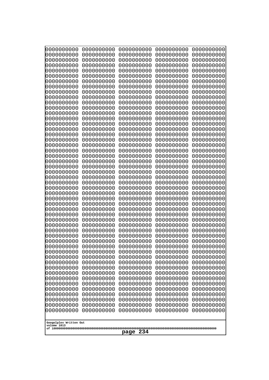| 10000000000<br>0000000000             | 0000000000<br>0000000000 | 0000000000<br>0000000000 | 0000000000<br>0000000000 | 0000000000<br>0000000000 |
|---------------------------------------|--------------------------|--------------------------|--------------------------|--------------------------|
| 0000000000                            | 0000000000               | 0000000000               | 0000000000               | 0000000000               |
| 0000000000                            | 0000000000               | 0000000000               | 0000000000               | 0000000000               |
| 0000000000                            | 0000000000               | 0000000000               | 0000000000               | 0000000000               |
| 0000000000<br>0000000000              | 0000000000<br>0000000000 | 0000000000<br>0000000000 | 0000000000<br>0000000000 | 0000000000<br>0000000000 |
| 0000000000                            | 0000000000               | 0000000000               | 0000000000               | 0000000000               |
| 0000000000                            | 0000000000               | 0000000000               | 0000000000               | 0000000000               |
| 0000000000                            | 0000000000               | 0000000000               | 0000000000               | 0000000000               |
| 0000000000<br>0000000000              | 0000000000<br>0000000000 | 0000000000<br>0000000000 | 0000000000<br>0000000000 | 0000000000<br>0000000000 |
| 0000000000                            | 0000000000               | 0000000000               | 0000000000               | 0000000000               |
| 0000000000                            | 0000000000               | 0000000000               | 0000000000               | 0000000000               |
| 0000000000                            | 0000000000               | 0000000000               | 0000000000               | 0000000000               |
| 0000000000<br>0000000000              | 0000000000<br>0000000000 | 0000000000<br>0000000000 | 0000000000<br>0000000000 | 0000000000<br>0000000000 |
| 0000000000                            | 0000000000               | 0000000000               | 0000000000               | 0000000000               |
| 0000000000                            | 0000000000               | 0000000000               | 0000000000               | 0000000000               |
| 0000000000                            | 0000000000               | 0000000000               | 0000000000               | 0000000000               |
| 0000000000<br>0000000000              | 0000000000<br>0000000000 | 0000000000<br>0000000000 | 0000000000<br>0000000000 | 0000000000<br>0000000000 |
| 0000000000                            | 0000000000               | 0000000000               | 0000000000               | 0000000000               |
| 0000000000                            | 0000000000               | 0000000000               | 0000000000               | 0000000000               |
| 0000000000                            | 0000000000               | 0000000000               | 0000000000               | 0000000000               |
| 0000000000<br>0000000000              | 0000000000<br>0000000000 | 0000000000<br>0000000000 | 0000000000<br>0000000000 | 0000000000<br>0000000000 |
| 0000000000                            | 0000000000               | 0000000000               | 0000000000               | 0000000000               |
| 0000000000                            | 0000000000               | 0000000000               | 0000000000               | 0000000000               |
| 0000000000<br>0000000000              | 0000000000<br>0000000000 | 0000000000<br>0000000000 | 0000000000<br>0000000000 | 0000000000<br>0000000000 |
| 0000000000                            | 0000000000               | 0000000000               | 0000000000               | 0000000000               |
| 0000000000                            | 0000000000               | 0000000000               | 0000000000               | 0000000000               |
| 0000000000                            | 0000000000               | 0000000000               | 0000000000               | 0000000000               |
| 0000000000<br>0000000000              | 0000000000<br>0000000000 | 0000000000<br>0000000000 | 0000000000<br>0000000000 | 0000000000<br>0000000000 |
| 0000000000                            | 0000000000               | 0000000000               | 0000000000               | 0000000000               |
| 0000000000                            | 0000000000               | 0000000000               | 0000000000               | 0000000000               |
| 0000000000<br>0000000000              | 0000000000<br>0000000000 | 0000000000<br>0000000000 | 0000000000<br>0000000000 | 0000000000<br>0000000000 |
| 0000000000                            | 0000000000               | 0000000000               | 0000000000               | 0000000000               |
| 0000000000                            | 0000000000               | 0000000000               | 0000000000               | 0000000000               |
| 0000000000                            | 0000000000               | 0000000000               | 0000000000               | 0000000000               |
| 0000000000<br>0000000000              | 0000000000<br>0000000000 | 0000000000<br>0000000000 | 0000000000<br>0000000000 | 0000000000<br>0000000000 |
| 0000000000                            | 0000000000               | 0000000000               | 0000000000               | 0000000000               |
| 0000000000                            | 0000000000               | 0000000000               | 0000000000               | 0000000000               |
| 0000000000                            | 0000000000               | 0000000000               | 0000000000               | 0000000000               |
| 0000000000<br>0000000000              | 0000000000<br>0000000000 | 0000000000<br>0000000000 | 0000000000<br>0000000000 | 0000000000<br>0000000000 |
|                                       |                          |                          |                          |                          |
| Googolplex Written Out<br>volume 1013 |                          |                          |                          |                          |
|                                       |                          | 234<br>page              |                          |                          |
|                                       |                          |                          |                          |                          |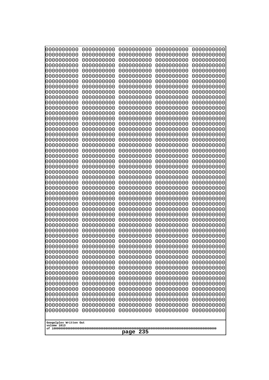| 0000000000                            | 0000000000               | 0000000000               | 0000000000               | 0000000000               |
|---------------------------------------|--------------------------|--------------------------|--------------------------|--------------------------|
| 0000000000<br>0000000000              | 0000000000<br>0000000000 | 0000000000<br>0000000000 | 0000000000<br>0000000000 | 0000000000<br>0000000000 |
| 0000000000                            | 0000000000               | 0000000000               | 0000000000               | 0000000000               |
| 0000000000                            | 0000000000               | 0000000000               | 0000000000               | 0000000000               |
| 0000000000                            | 0000000000               | 0000000000               | 0000000000               | 0000000000               |
| 0000000000                            | 0000000000               | 0000000000               | 0000000000               | 0000000000               |
| 0000000000<br>0000000000              | 0000000000<br>0000000000 | 0000000000<br>0000000000 | 0000000000<br>0000000000 | 0000000000<br>0000000000 |
| 0000000000                            | 0000000000               | 0000000000               | 0000000000               | 0000000000               |
| 0000000000                            | 0000000000               | 0000000000               | 0000000000               | 0000000000               |
| 0000000000                            | 0000000000               | 0000000000               | 0000000000               | 0000000000               |
| 0000000000<br>0000000000              | 0000000000<br>0000000000 | 0000000000<br>0000000000 | 0000000000<br>0000000000 | 0000000000<br>0000000000 |
| 0000000000                            | 0000000000               | 0000000000               | 0000000000               | 0000000000               |
| 0000000000                            | 0000000000               | 0000000000               | 0000000000               | 0000000000               |
| 0000000000                            | 0000000000<br>0000000000 | 0000000000               | 0000000000               | 0000000000               |
| 0000000000<br>0000000000              | 0000000000               | 0000000000<br>0000000000 | 0000000000<br>0000000000 | 0000000000<br>0000000000 |
| 0000000000                            | 0000000000               | 0000000000               | 0000000000               | 0000000000               |
| 0000000000                            | 0000000000               | 0000000000               | 0000000000               | 0000000000               |
| 0000000000<br>0000000000              | 0000000000<br>0000000000 | 0000000000<br>0000000000 | 0000000000<br>0000000000 | 0000000000<br>0000000000 |
| 0000000000                            | 0000000000               | 0000000000               | 0000000000               | 0000000000               |
| 0000000000                            | 0000000000               | 0000000000               | 0000000000               | 0000000000               |
| 0000000000                            | 0000000000               | 0000000000               | 0000000000               | 0000000000               |
| 0000000000<br>0000000000              | 0000000000<br>0000000000 | 0000000000<br>0000000000 | 0000000000<br>0000000000 | 0000000000<br>0000000000 |
| 0000000000                            | 0000000000               | 0000000000               | 0000000000               | 0000000000               |
| 0000000000                            | 0000000000               | 0000000000               | 0000000000               | 0000000000               |
| 0000000000                            | 0000000000               | 0000000000               | 0000000000               | 0000000000               |
| 0000000000<br>0000000000              | 0000000000<br>0000000000 | 0000000000<br>0000000000 | 0000000000<br>0000000000 | 0000000000<br>0000000000 |
| 0000000000                            | 0000000000               | 0000000000               | 0000000000               | 0000000000               |
| 0000000000                            | 0000000000               | 0000000000               | 0000000000               | 0000000000               |
| 0000000000                            | 0000000000               | 0000000000               | 0000000000<br>0000000000 | 0000000000               |
| 0000000000<br>0000000000              | 0000000000<br>0000000000 | 0000000000<br>0000000000 | 0000000000               | 0000000000<br>0000000000 |
| 0000000000                            | 0000000000               | 0000000000               | 0000000000               | 0000000000               |
| 0000000000                            | 0000000000               | 0000000000               | 0000000000               | 0000000000               |
| 0000000000<br>0000000000              | 0000000000<br>0000000000 | 0000000000<br>0000000000 | 0000000000<br>0000000000 | 0000000000<br>0000000000 |
| 0000000000                            | 0000000000               | 0000000000               | 0000000000               | 0000000000               |
| 0000000000                            | 0000000000               | 0000000000               | 0000000000               | 0000000000               |
| 0000000000                            | 0000000000               | 0000000000               | 0000000000               | 0000000000               |
| 0000000000<br>0000000000              | 0000000000<br>0000000000 | 0000000000<br>0000000000 | 0000000000<br>0000000000 | 0000000000<br>0000000000 |
| 0000000000                            | 0000000000               | 0000000000               | 0000000000               | 0000000000               |
| 0000000000                            | 0000000000               | 0000000000               | 0000000000               | 0000000000               |
| 0000000000                            | 0000000000               | 0000000000               | 0000000000               | 0000000000               |
|                                       |                          |                          |                          |                          |
| Googolplex Written Out<br>volume 1013 |                          |                          |                          |                          |
| 235<br>page                           |                          |                          |                          |                          |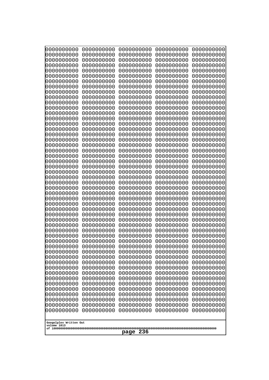| 0000000000                                           | 0000000000 | 0000000000 | 0000000000 | 0000000000 |
|------------------------------------------------------|------------|------------|------------|------------|
| 0000000000                                           | 0000000000 | 0000000000 | 0000000000 | 0000000000 |
| 0000000000                                           | 0000000000 | 0000000000 | 0000000000 | 0000000000 |
| 0000000000                                           | 0000000000 | 0000000000 | 0000000000 | 0000000000 |
| 0000000000                                           | 0000000000 | 0000000000 | 0000000000 | 0000000000 |
| 0000000000                                           | 0000000000 | 0000000000 | 0000000000 | 0000000000 |
| 0000000000                                           | 0000000000 | 0000000000 | 0000000000 | 0000000000 |
| 0000000000                                           | 0000000000 | 0000000000 | 0000000000 | 0000000000 |
| 0000000000                                           | 0000000000 | 0000000000 | 0000000000 | 0000000000 |
| 0000000000                                           | 0000000000 | 0000000000 | 0000000000 | 0000000000 |
| 0000000000                                           | 0000000000 | 0000000000 | 0000000000 | 0000000000 |
| 0000000000                                           | 0000000000 | 0000000000 | 0000000000 | 0000000000 |
| 0000000000                                           | 0000000000 | 0000000000 | 0000000000 | 0000000000 |
| 0000000000                                           | 0000000000 | 0000000000 | 0000000000 | 0000000000 |
| 0000000000                                           | 0000000000 | 0000000000 | 0000000000 | 0000000000 |
| 0000000000                                           | 0000000000 | 0000000000 | 0000000000 | 0000000000 |
| 0000000000                                           | 0000000000 | 0000000000 | 0000000000 | 0000000000 |
| 0000000000                                           | 0000000000 | 0000000000 | 0000000000 | 0000000000 |
| 0000000000                                           | 0000000000 | 0000000000 | 0000000000 | 0000000000 |
| 0000000000                                           | 0000000000 | 0000000000 | 0000000000 | 0000000000 |
| 0000000000                                           | 0000000000 | 0000000000 | 0000000000 | 0000000000 |
| 0000000000                                           | 0000000000 | 0000000000 | 0000000000 | 0000000000 |
| 0000000000                                           | 0000000000 | 0000000000 | 0000000000 | 0000000000 |
| 0000000000                                           | 0000000000 | 0000000000 | 0000000000 | 0000000000 |
| 0000000000                                           | 0000000000 | 0000000000 | 0000000000 | 0000000000 |
| 0000000000                                           | 0000000000 | 0000000000 | 0000000000 | 0000000000 |
| 0000000000                                           | 0000000000 | 0000000000 | 0000000000 | 0000000000 |
| 0000000000                                           | 0000000000 | 0000000000 | 0000000000 | 0000000000 |
| 0000000000                                           | 0000000000 | 0000000000 | 0000000000 | 0000000000 |
| 0000000000                                           | 0000000000 | 0000000000 | 0000000000 | 0000000000 |
| 0000000000                                           | 0000000000 | 0000000000 | 0000000000 | 0000000000 |
| 0000000000                                           | 0000000000 | 0000000000 | 0000000000 | 0000000000 |
| 0000000000                                           | 0000000000 | 0000000000 | 0000000000 | 0000000000 |
| 0000000000                                           | 0000000000 | 0000000000 | 0000000000 | 0000000000 |
| 0000000000                                           | 0000000000 | 0000000000 | 0000000000 | 0000000000 |
| 0000000000                                           | 0000000000 | 0000000000 | 0000000000 | 0000000000 |
| 0000000000                                           | 0000000000 | 0000000000 | 0000000000 | 0000000000 |
| 0000000000                                           | 0000000000 | 0000000000 | 0000000000 | 0000000000 |
| 0000000000                                           | 0000000000 | 0000000000 | 0000000000 | 0000000000 |
| 0000000000                                           | 0000000000 | 0000000000 | 0000000000 | 0000000000 |
| 0000000000                                           | 0000000000 | 0000000000 | 0000000000 | 0000000000 |
| 0000000000                                           | 0000000000 | 0000000000 | 0000000000 | 0000000000 |
| 0000000000                                           | 0000000000 | 0000000000 | 0000000000 | 0000000000 |
| 0000000000                                           | 0000000000 | 0000000000 | 0000000000 | 0000000000 |
| 0000000000                                           | 0000000000 | 0000000000 | 0000000000 | 0000000000 |
| 0000000000                                           | 0000000000 | 0000000000 | 0000000000 | 0000000000 |
| 0000000000                                           | 0000000000 | 0000000000 | 0000000000 | 0000000000 |
| 0000000000                                           | 0000000000 | 0000000000 | 0000000000 | 0000000000 |
| 0000000000                                           | 0000000000 | 0000000000 | 0000000000 | 0000000000 |
| 0000000000                                           | 0000000000 | 0000000000 | 0000000000 | 0000000000 |
| Googolplex Written Out<br>volume 1013<br>236<br>page |            |            |            |            |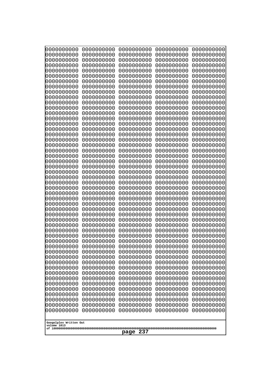| 10000000000<br>0000000000             | 0000000000<br>0000000000 | 0000000000<br>0000000000 | 0000000000<br>0000000000 | 0000000000<br>0000000000 |
|---------------------------------------|--------------------------|--------------------------|--------------------------|--------------------------|
| 0000000000                            | 0000000000               | 0000000000               | 0000000000               | 0000000000               |
| 0000000000                            | 0000000000               | 0000000000               | 0000000000               | 0000000000               |
| 0000000000<br>0000000000              | 0000000000<br>0000000000 | 0000000000<br>0000000000 | 0000000000<br>0000000000 | 0000000000<br>0000000000 |
| 0000000000                            | 0000000000               | 0000000000               | 0000000000               | 0000000000               |
| 0000000000                            | 0000000000               | 0000000000               | 0000000000               | 0000000000               |
| 0000000000                            | 0000000000               | 0000000000               | 0000000000               | 0000000000               |
| 0000000000<br>0000000000              | 0000000000<br>0000000000 | 0000000000<br>0000000000 | 0000000000<br>0000000000 | 0000000000<br>0000000000 |
| 0000000000                            | 0000000000               | 0000000000               | 0000000000               | 0000000000               |
| 0000000000                            | 0000000000               | 0000000000               | 0000000000               | 0000000000               |
| 0000000000<br>0000000000              | 0000000000<br>0000000000 | 0000000000<br>0000000000 | 0000000000<br>0000000000 | 0000000000<br>0000000000 |
| 0000000000                            | 0000000000               | 0000000000               | 0000000000               | 0000000000               |
| 0000000000                            | 0000000000               | 0000000000               | 0000000000               | 0000000000               |
| 0000000000<br>0000000000              | 0000000000<br>0000000000 | 0000000000<br>0000000000 | 0000000000<br>0000000000 | 0000000000<br>0000000000 |
| 0000000000                            | 0000000000               | 0000000000               | 0000000000               | 0000000000               |
| 0000000000                            | 0000000000               | 0000000000               | 0000000000               | 0000000000               |
| 0000000000<br>0000000000              | 0000000000<br>0000000000 | 0000000000<br>0000000000 | 0000000000<br>0000000000 | 0000000000<br>0000000000 |
| 0000000000                            | 0000000000               | 0000000000               | 0000000000               | 0000000000               |
| 0000000000                            | 0000000000               | 0000000000               | 0000000000               | 0000000000               |
| 0000000000<br>0000000000              | 0000000000<br>0000000000 | 0000000000<br>0000000000 | 0000000000<br>0000000000 | 0000000000<br>0000000000 |
| 0000000000                            | 0000000000               | 0000000000               | 0000000000               | 0000000000               |
| 0000000000                            | 0000000000               | 0000000000               | 0000000000               | 0000000000               |
| 0000000000<br>0000000000              | 0000000000<br>0000000000 | 0000000000<br>0000000000 | 0000000000<br>0000000000 | 0000000000<br>0000000000 |
| 0000000000                            | 0000000000               | 0000000000               | 0000000000               | 0000000000               |
| 0000000000                            | 0000000000               | 0000000000               | 0000000000               | 0000000000               |
| 0000000000<br>0000000000              | 0000000000               | 0000000000               | 0000000000               | 0000000000               |
| 0000000000                            | 0000000000<br>0000000000 | 0000000000<br>0000000000 | 0000000000<br>0000000000 | 0000000000<br>0000000000 |
| 0000000000                            | 0000000000               | 0000000000               | 0000000000               | 0000000000               |
| 0000000000                            | 0000000000               | 0000000000               | 0000000000               | 0000000000               |
| 0000000000<br>0000000000              | 0000000000<br>0000000000 | 0000000000<br>0000000000 | 0000000000<br>0000000000 | 0000000000<br>0000000000 |
| 0000000000                            | 0000000000               | 0000000000               | 0000000000               | 0000000000               |
| 0000000000                            | 0000000000               | 0000000000               | 0000000000               | 0000000000               |
| 0000000000<br>0000000000              | 0000000000<br>0000000000 | 0000000000<br>0000000000 | 0000000000<br>0000000000 | 0000000000<br>0000000000 |
| 0000000000                            | 0000000000               | 0000000000               | 0000000000               | 0000000000               |
| 0000000000                            | 0000000000               | 0000000000               | 0000000000               | 0000000000               |
| 0000000000<br>0000000000              | 0000000000<br>0000000000 | 0000000000<br>0000000000 | 0000000000<br>0000000000 | 0000000000<br>0000000000 |
| 0000000000                            | 0000000000               | 0000000000               | 0000000000               | 0000000000               |
| 0000000000                            | 0000000000               | 0000000000               | 0000000000               | 0000000000               |
|                                       |                          |                          |                          |                          |
| Googolplex Written Out<br>volume 1013 |                          |                          |                          |                          |
| 237<br>page                           |                          |                          |                          |                          |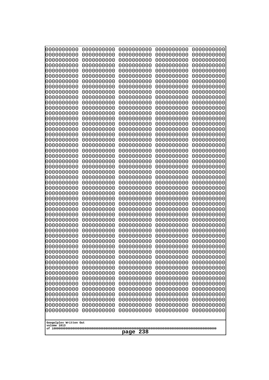| 0000000000<br>0000000000<br>0000000000<br>0000000000<br>0000000000<br>0000000000<br>0000000000<br>0000000000<br>0000000000<br>0000000000<br>0000000000<br>0000000000<br>0000000000<br>0000000000<br>0000000000<br>0000000000<br>0000000000<br>0000000000<br>0000000000<br>0000000000<br>0000000000<br>0000000000<br>0000000000<br>0000000000<br>0000000000<br>0000000000<br>0000000000<br>0000000000<br>0000000000<br>0000000000<br>0000000000<br>0000000000<br>0000000000<br>0000000000<br>0000000000<br>0000000000<br>0000000000<br>0000000000<br>0000000000<br>0000000000<br>0000000000<br>0000000000<br>0000000000<br>0000000000<br>0000000000<br>0000000000<br>0000000000<br>0000000000<br>0000000000<br>0000000000<br>0000000000<br>0000000000<br>0000000000<br>0000000000<br>0000000000<br>0000000000<br>0000000000<br>0000000000<br>0000000000<br>0000000000<br>0000000000<br>0000000000<br>0000000000<br>0000000000<br>0000000000<br>0000000000<br>0000000000<br>0000000000<br>0000000000<br>0000000000<br>0000000000<br>0000000000<br>0000000000<br>0000000000<br>0000000000<br>0000000000<br>0000000000<br>0000000000<br>0000000000<br>0000000000<br>0000000000<br>0000000000<br>0000000000<br>0000000000<br>0000000000<br>0000000000<br>0000000000<br>0000000000<br>0000000000<br>0000000000<br>0000000000<br>0000000000<br>0000000000<br>0000000000<br>0000000000<br>0000000000<br>0000000000<br>0000000000<br>0000000000<br>0000000000<br>0000000000<br>0000000000<br>0000000000<br>0000000000<br>0000000000<br>0000000000<br>0000000000<br>0000000000<br>0000000000<br>0000000000<br>0000000000<br>0000000000<br>0000000000<br>0000000000<br>0000000000<br>0000000000<br>0000000000<br>0000000000<br>0000000000<br>0000000000<br>0000000000<br>0000000000<br>0000000000<br>0000000000<br>0000000000<br>0000000000<br>0000000000<br>0000000000<br>0000000000<br>0000000000<br>0000000000<br>0000000000<br>0000000000<br>0000000000<br>0000000000<br>0000000000<br>0000000000<br>0000000000<br>0000000000<br>0000000000<br>0000000000<br>0000000000<br>0000000000<br>0000000000<br>0000000000<br>0000000000<br>0000000000<br>0000000000<br>0000000000<br>0000000000<br>0000000000<br>0000000000<br>0000000000<br>0000000000<br>0000000000<br>0000000000<br>0000000000<br>0000000000<br>0000000000<br>0000000000<br>0000000000<br>0000000000<br>0000000000<br>0000000000<br>0000000000<br>0000000000<br>0000000000<br>0000000000<br>0000000000<br>0000000000<br>0000000000<br>0000000000<br>0000000000<br>0000000000<br>0000000000<br>0000000000<br>0000000000<br>0000000000<br>0000000000<br>0000000000<br>0000000000<br>0000000000<br>0000000000<br>0000000000<br>0000000000<br>0000000000<br>0000000000<br>0000000000<br>0000000000<br>0000000000<br>0000000000<br>0000000000<br>0000000000<br>0000000000<br>0000000000<br>0000000000<br>0000000000<br>0000000000<br>0000000000<br>0000000000<br>0000000000<br>0000000000<br>0000000000<br>0000000000<br>0000000000<br>0000000000<br>0000000000<br>0000000000<br>0000000000<br>0000000000<br>0000000000<br>0000000000<br>0000000000<br>0000000000<br>0000000000<br>0000000000<br>0000000000<br>0000000000<br>0000000000<br>0000000000<br>0000000000<br>0000000000<br>0000000000<br>0000000000<br>0000000000<br>0000000000<br>0000000000<br>0000000000<br>0000000000<br>0000000000<br>0000000000<br>0000000000<br>0000000000<br>0000000000<br>0000000000<br>0000000000<br>0000000000<br>0000000000<br>0000000000<br>0000000000<br>Googolplex Written Out | 10000000000<br>0000000000 | 0000000000<br>0000000000 | 0000000000<br>0000000000 | 0000000000<br>0000000000 | 0000000000<br>0000000000 |
|------------------------------------------------------------------------------------------------------------------------------------------------------------------------------------------------------------------------------------------------------------------------------------------------------------------------------------------------------------------------------------------------------------------------------------------------------------------------------------------------------------------------------------------------------------------------------------------------------------------------------------------------------------------------------------------------------------------------------------------------------------------------------------------------------------------------------------------------------------------------------------------------------------------------------------------------------------------------------------------------------------------------------------------------------------------------------------------------------------------------------------------------------------------------------------------------------------------------------------------------------------------------------------------------------------------------------------------------------------------------------------------------------------------------------------------------------------------------------------------------------------------------------------------------------------------------------------------------------------------------------------------------------------------------------------------------------------------------------------------------------------------------------------------------------------------------------------------------------------------------------------------------------------------------------------------------------------------------------------------------------------------------------------------------------------------------------------------------------------------------------------------------------------------------------------------------------------------------------------------------------------------------------------------------------------------------------------------------------------------------------------------------------------------------------------------------------------------------------------------------------------------------------------------------------------------------------------------------------------------------------------------------------------------------------------------------------------------------------------------------------------------------------------------------------------------------------------------------------------------------------------------------------------------------------------------------------------------------------------------------------------------------------------------------------------------------------------------------------------------------------------------------------------------------------------------------------------------------------------------------------------------------------------------------------------------------------------------------------------------------------------------------------------------------------------------------------------------------------------------------------------------------|---------------------------|--------------------------|--------------------------|--------------------------|--------------------------|
|                                                                                                                                                                                                                                                                                                                                                                                                                                                                                                                                                                                                                                                                                                                                                                                                                                                                                                                                                                                                                                                                                                                                                                                                                                                                                                                                                                                                                                                                                                                                                                                                                                                                                                                                                                                                                                                                                                                                                                                                                                                                                                                                                                                                                                                                                                                                                                                                                                                                                                                                                                                                                                                                                                                                                                                                                                                                                                                                                                                                                                                                                                                                                                                                                                                                                                                                                                                                                                                                                                                        |                           |                          |                          |                          |                          |
|                                                                                                                                                                                                                                                                                                                                                                                                                                                                                                                                                                                                                                                                                                                                                                                                                                                                                                                                                                                                                                                                                                                                                                                                                                                                                                                                                                                                                                                                                                                                                                                                                                                                                                                                                                                                                                                                                                                                                                                                                                                                                                                                                                                                                                                                                                                                                                                                                                                                                                                                                                                                                                                                                                                                                                                                                                                                                                                                                                                                                                                                                                                                                                                                                                                                                                                                                                                                                                                                                                                        |                           |                          |                          |                          |                          |
|                                                                                                                                                                                                                                                                                                                                                                                                                                                                                                                                                                                                                                                                                                                                                                                                                                                                                                                                                                                                                                                                                                                                                                                                                                                                                                                                                                                                                                                                                                                                                                                                                                                                                                                                                                                                                                                                                                                                                                                                                                                                                                                                                                                                                                                                                                                                                                                                                                                                                                                                                                                                                                                                                                                                                                                                                                                                                                                                                                                                                                                                                                                                                                                                                                                                                                                                                                                                                                                                                                                        |                           |                          |                          |                          |                          |
|                                                                                                                                                                                                                                                                                                                                                                                                                                                                                                                                                                                                                                                                                                                                                                                                                                                                                                                                                                                                                                                                                                                                                                                                                                                                                                                                                                                                                                                                                                                                                                                                                                                                                                                                                                                                                                                                                                                                                                                                                                                                                                                                                                                                                                                                                                                                                                                                                                                                                                                                                                                                                                                                                                                                                                                                                                                                                                                                                                                                                                                                                                                                                                                                                                                                                                                                                                                                                                                                                                                        |                           |                          |                          |                          |                          |
|                                                                                                                                                                                                                                                                                                                                                                                                                                                                                                                                                                                                                                                                                                                                                                                                                                                                                                                                                                                                                                                                                                                                                                                                                                                                                                                                                                                                                                                                                                                                                                                                                                                                                                                                                                                                                                                                                                                                                                                                                                                                                                                                                                                                                                                                                                                                                                                                                                                                                                                                                                                                                                                                                                                                                                                                                                                                                                                                                                                                                                                                                                                                                                                                                                                                                                                                                                                                                                                                                                                        |                           |                          |                          |                          |                          |
|                                                                                                                                                                                                                                                                                                                                                                                                                                                                                                                                                                                                                                                                                                                                                                                                                                                                                                                                                                                                                                                                                                                                                                                                                                                                                                                                                                                                                                                                                                                                                                                                                                                                                                                                                                                                                                                                                                                                                                                                                                                                                                                                                                                                                                                                                                                                                                                                                                                                                                                                                                                                                                                                                                                                                                                                                                                                                                                                                                                                                                                                                                                                                                                                                                                                                                                                                                                                                                                                                                                        |                           |                          |                          |                          |                          |
|                                                                                                                                                                                                                                                                                                                                                                                                                                                                                                                                                                                                                                                                                                                                                                                                                                                                                                                                                                                                                                                                                                                                                                                                                                                                                                                                                                                                                                                                                                                                                                                                                                                                                                                                                                                                                                                                                                                                                                                                                                                                                                                                                                                                                                                                                                                                                                                                                                                                                                                                                                                                                                                                                                                                                                                                                                                                                                                                                                                                                                                                                                                                                                                                                                                                                                                                                                                                                                                                                                                        |                           |                          |                          |                          |                          |
|                                                                                                                                                                                                                                                                                                                                                                                                                                                                                                                                                                                                                                                                                                                                                                                                                                                                                                                                                                                                                                                                                                                                                                                                                                                                                                                                                                                                                                                                                                                                                                                                                                                                                                                                                                                                                                                                                                                                                                                                                                                                                                                                                                                                                                                                                                                                                                                                                                                                                                                                                                                                                                                                                                                                                                                                                                                                                                                                                                                                                                                                                                                                                                                                                                                                                                                                                                                                                                                                                                                        |                           |                          |                          |                          |                          |
|                                                                                                                                                                                                                                                                                                                                                                                                                                                                                                                                                                                                                                                                                                                                                                                                                                                                                                                                                                                                                                                                                                                                                                                                                                                                                                                                                                                                                                                                                                                                                                                                                                                                                                                                                                                                                                                                                                                                                                                                                                                                                                                                                                                                                                                                                                                                                                                                                                                                                                                                                                                                                                                                                                                                                                                                                                                                                                                                                                                                                                                                                                                                                                                                                                                                                                                                                                                                                                                                                                                        |                           |                          |                          |                          |                          |
|                                                                                                                                                                                                                                                                                                                                                                                                                                                                                                                                                                                                                                                                                                                                                                                                                                                                                                                                                                                                                                                                                                                                                                                                                                                                                                                                                                                                                                                                                                                                                                                                                                                                                                                                                                                                                                                                                                                                                                                                                                                                                                                                                                                                                                                                                                                                                                                                                                                                                                                                                                                                                                                                                                                                                                                                                                                                                                                                                                                                                                                                                                                                                                                                                                                                                                                                                                                                                                                                                                                        |                           |                          |                          |                          |                          |
|                                                                                                                                                                                                                                                                                                                                                                                                                                                                                                                                                                                                                                                                                                                                                                                                                                                                                                                                                                                                                                                                                                                                                                                                                                                                                                                                                                                                                                                                                                                                                                                                                                                                                                                                                                                                                                                                                                                                                                                                                                                                                                                                                                                                                                                                                                                                                                                                                                                                                                                                                                                                                                                                                                                                                                                                                                                                                                                                                                                                                                                                                                                                                                                                                                                                                                                                                                                                                                                                                                                        |                           |                          |                          |                          |                          |
|                                                                                                                                                                                                                                                                                                                                                                                                                                                                                                                                                                                                                                                                                                                                                                                                                                                                                                                                                                                                                                                                                                                                                                                                                                                                                                                                                                                                                                                                                                                                                                                                                                                                                                                                                                                                                                                                                                                                                                                                                                                                                                                                                                                                                                                                                                                                                                                                                                                                                                                                                                                                                                                                                                                                                                                                                                                                                                                                                                                                                                                                                                                                                                                                                                                                                                                                                                                                                                                                                                                        |                           |                          |                          |                          |                          |
|                                                                                                                                                                                                                                                                                                                                                                                                                                                                                                                                                                                                                                                                                                                                                                                                                                                                                                                                                                                                                                                                                                                                                                                                                                                                                                                                                                                                                                                                                                                                                                                                                                                                                                                                                                                                                                                                                                                                                                                                                                                                                                                                                                                                                                                                                                                                                                                                                                                                                                                                                                                                                                                                                                                                                                                                                                                                                                                                                                                                                                                                                                                                                                                                                                                                                                                                                                                                                                                                                                                        |                           |                          |                          |                          |                          |
|                                                                                                                                                                                                                                                                                                                                                                                                                                                                                                                                                                                                                                                                                                                                                                                                                                                                                                                                                                                                                                                                                                                                                                                                                                                                                                                                                                                                                                                                                                                                                                                                                                                                                                                                                                                                                                                                                                                                                                                                                                                                                                                                                                                                                                                                                                                                                                                                                                                                                                                                                                                                                                                                                                                                                                                                                                                                                                                                                                                                                                                                                                                                                                                                                                                                                                                                                                                                                                                                                                                        |                           |                          |                          |                          |                          |
|                                                                                                                                                                                                                                                                                                                                                                                                                                                                                                                                                                                                                                                                                                                                                                                                                                                                                                                                                                                                                                                                                                                                                                                                                                                                                                                                                                                                                                                                                                                                                                                                                                                                                                                                                                                                                                                                                                                                                                                                                                                                                                                                                                                                                                                                                                                                                                                                                                                                                                                                                                                                                                                                                                                                                                                                                                                                                                                                                                                                                                                                                                                                                                                                                                                                                                                                                                                                                                                                                                                        |                           |                          |                          |                          |                          |
|                                                                                                                                                                                                                                                                                                                                                                                                                                                                                                                                                                                                                                                                                                                                                                                                                                                                                                                                                                                                                                                                                                                                                                                                                                                                                                                                                                                                                                                                                                                                                                                                                                                                                                                                                                                                                                                                                                                                                                                                                                                                                                                                                                                                                                                                                                                                                                                                                                                                                                                                                                                                                                                                                                                                                                                                                                                                                                                                                                                                                                                                                                                                                                                                                                                                                                                                                                                                                                                                                                                        |                           |                          |                          |                          |                          |
|                                                                                                                                                                                                                                                                                                                                                                                                                                                                                                                                                                                                                                                                                                                                                                                                                                                                                                                                                                                                                                                                                                                                                                                                                                                                                                                                                                                                                                                                                                                                                                                                                                                                                                                                                                                                                                                                                                                                                                                                                                                                                                                                                                                                                                                                                                                                                                                                                                                                                                                                                                                                                                                                                                                                                                                                                                                                                                                                                                                                                                                                                                                                                                                                                                                                                                                                                                                                                                                                                                                        |                           |                          |                          |                          |                          |
|                                                                                                                                                                                                                                                                                                                                                                                                                                                                                                                                                                                                                                                                                                                                                                                                                                                                                                                                                                                                                                                                                                                                                                                                                                                                                                                                                                                                                                                                                                                                                                                                                                                                                                                                                                                                                                                                                                                                                                                                                                                                                                                                                                                                                                                                                                                                                                                                                                                                                                                                                                                                                                                                                                                                                                                                                                                                                                                                                                                                                                                                                                                                                                                                                                                                                                                                                                                                                                                                                                                        |                           |                          |                          |                          |                          |
|                                                                                                                                                                                                                                                                                                                                                                                                                                                                                                                                                                                                                                                                                                                                                                                                                                                                                                                                                                                                                                                                                                                                                                                                                                                                                                                                                                                                                                                                                                                                                                                                                                                                                                                                                                                                                                                                                                                                                                                                                                                                                                                                                                                                                                                                                                                                                                                                                                                                                                                                                                                                                                                                                                                                                                                                                                                                                                                                                                                                                                                                                                                                                                                                                                                                                                                                                                                                                                                                                                                        |                           |                          |                          |                          |                          |
|                                                                                                                                                                                                                                                                                                                                                                                                                                                                                                                                                                                                                                                                                                                                                                                                                                                                                                                                                                                                                                                                                                                                                                                                                                                                                                                                                                                                                                                                                                                                                                                                                                                                                                                                                                                                                                                                                                                                                                                                                                                                                                                                                                                                                                                                                                                                                                                                                                                                                                                                                                                                                                                                                                                                                                                                                                                                                                                                                                                                                                                                                                                                                                                                                                                                                                                                                                                                                                                                                                                        |                           |                          |                          |                          |                          |
|                                                                                                                                                                                                                                                                                                                                                                                                                                                                                                                                                                                                                                                                                                                                                                                                                                                                                                                                                                                                                                                                                                                                                                                                                                                                                                                                                                                                                                                                                                                                                                                                                                                                                                                                                                                                                                                                                                                                                                                                                                                                                                                                                                                                                                                                                                                                                                                                                                                                                                                                                                                                                                                                                                                                                                                                                                                                                                                                                                                                                                                                                                                                                                                                                                                                                                                                                                                                                                                                                                                        |                           |                          |                          |                          |                          |
|                                                                                                                                                                                                                                                                                                                                                                                                                                                                                                                                                                                                                                                                                                                                                                                                                                                                                                                                                                                                                                                                                                                                                                                                                                                                                                                                                                                                                                                                                                                                                                                                                                                                                                                                                                                                                                                                                                                                                                                                                                                                                                                                                                                                                                                                                                                                                                                                                                                                                                                                                                                                                                                                                                                                                                                                                                                                                                                                                                                                                                                                                                                                                                                                                                                                                                                                                                                                                                                                                                                        |                           |                          |                          |                          |                          |
|                                                                                                                                                                                                                                                                                                                                                                                                                                                                                                                                                                                                                                                                                                                                                                                                                                                                                                                                                                                                                                                                                                                                                                                                                                                                                                                                                                                                                                                                                                                                                                                                                                                                                                                                                                                                                                                                                                                                                                                                                                                                                                                                                                                                                                                                                                                                                                                                                                                                                                                                                                                                                                                                                                                                                                                                                                                                                                                                                                                                                                                                                                                                                                                                                                                                                                                                                                                                                                                                                                                        |                           |                          |                          |                          |                          |
|                                                                                                                                                                                                                                                                                                                                                                                                                                                                                                                                                                                                                                                                                                                                                                                                                                                                                                                                                                                                                                                                                                                                                                                                                                                                                                                                                                                                                                                                                                                                                                                                                                                                                                                                                                                                                                                                                                                                                                                                                                                                                                                                                                                                                                                                                                                                                                                                                                                                                                                                                                                                                                                                                                                                                                                                                                                                                                                                                                                                                                                                                                                                                                                                                                                                                                                                                                                                                                                                                                                        |                           |                          |                          |                          |                          |
|                                                                                                                                                                                                                                                                                                                                                                                                                                                                                                                                                                                                                                                                                                                                                                                                                                                                                                                                                                                                                                                                                                                                                                                                                                                                                                                                                                                                                                                                                                                                                                                                                                                                                                                                                                                                                                                                                                                                                                                                                                                                                                                                                                                                                                                                                                                                                                                                                                                                                                                                                                                                                                                                                                                                                                                                                                                                                                                                                                                                                                                                                                                                                                                                                                                                                                                                                                                                                                                                                                                        |                           |                          |                          |                          |                          |
|                                                                                                                                                                                                                                                                                                                                                                                                                                                                                                                                                                                                                                                                                                                                                                                                                                                                                                                                                                                                                                                                                                                                                                                                                                                                                                                                                                                                                                                                                                                                                                                                                                                                                                                                                                                                                                                                                                                                                                                                                                                                                                                                                                                                                                                                                                                                                                                                                                                                                                                                                                                                                                                                                                                                                                                                                                                                                                                                                                                                                                                                                                                                                                                                                                                                                                                                                                                                                                                                                                                        |                           |                          |                          |                          |                          |
|                                                                                                                                                                                                                                                                                                                                                                                                                                                                                                                                                                                                                                                                                                                                                                                                                                                                                                                                                                                                                                                                                                                                                                                                                                                                                                                                                                                                                                                                                                                                                                                                                                                                                                                                                                                                                                                                                                                                                                                                                                                                                                                                                                                                                                                                                                                                                                                                                                                                                                                                                                                                                                                                                                                                                                                                                                                                                                                                                                                                                                                                                                                                                                                                                                                                                                                                                                                                                                                                                                                        |                           |                          |                          |                          |                          |
|                                                                                                                                                                                                                                                                                                                                                                                                                                                                                                                                                                                                                                                                                                                                                                                                                                                                                                                                                                                                                                                                                                                                                                                                                                                                                                                                                                                                                                                                                                                                                                                                                                                                                                                                                                                                                                                                                                                                                                                                                                                                                                                                                                                                                                                                                                                                                                                                                                                                                                                                                                                                                                                                                                                                                                                                                                                                                                                                                                                                                                                                                                                                                                                                                                                                                                                                                                                                                                                                                                                        |                           |                          |                          |                          |                          |
|                                                                                                                                                                                                                                                                                                                                                                                                                                                                                                                                                                                                                                                                                                                                                                                                                                                                                                                                                                                                                                                                                                                                                                                                                                                                                                                                                                                                                                                                                                                                                                                                                                                                                                                                                                                                                                                                                                                                                                                                                                                                                                                                                                                                                                                                                                                                                                                                                                                                                                                                                                                                                                                                                                                                                                                                                                                                                                                                                                                                                                                                                                                                                                                                                                                                                                                                                                                                                                                                                                                        |                           |                          |                          |                          |                          |
|                                                                                                                                                                                                                                                                                                                                                                                                                                                                                                                                                                                                                                                                                                                                                                                                                                                                                                                                                                                                                                                                                                                                                                                                                                                                                                                                                                                                                                                                                                                                                                                                                                                                                                                                                                                                                                                                                                                                                                                                                                                                                                                                                                                                                                                                                                                                                                                                                                                                                                                                                                                                                                                                                                                                                                                                                                                                                                                                                                                                                                                                                                                                                                                                                                                                                                                                                                                                                                                                                                                        |                           |                          |                          |                          |                          |
|                                                                                                                                                                                                                                                                                                                                                                                                                                                                                                                                                                                                                                                                                                                                                                                                                                                                                                                                                                                                                                                                                                                                                                                                                                                                                                                                                                                                                                                                                                                                                                                                                                                                                                                                                                                                                                                                                                                                                                                                                                                                                                                                                                                                                                                                                                                                                                                                                                                                                                                                                                                                                                                                                                                                                                                                                                                                                                                                                                                                                                                                                                                                                                                                                                                                                                                                                                                                                                                                                                                        |                           |                          |                          |                          |                          |
|                                                                                                                                                                                                                                                                                                                                                                                                                                                                                                                                                                                                                                                                                                                                                                                                                                                                                                                                                                                                                                                                                                                                                                                                                                                                                                                                                                                                                                                                                                                                                                                                                                                                                                                                                                                                                                                                                                                                                                                                                                                                                                                                                                                                                                                                                                                                                                                                                                                                                                                                                                                                                                                                                                                                                                                                                                                                                                                                                                                                                                                                                                                                                                                                                                                                                                                                                                                                                                                                                                                        |                           |                          |                          |                          |                          |
|                                                                                                                                                                                                                                                                                                                                                                                                                                                                                                                                                                                                                                                                                                                                                                                                                                                                                                                                                                                                                                                                                                                                                                                                                                                                                                                                                                                                                                                                                                                                                                                                                                                                                                                                                                                                                                                                                                                                                                                                                                                                                                                                                                                                                                                                                                                                                                                                                                                                                                                                                                                                                                                                                                                                                                                                                                                                                                                                                                                                                                                                                                                                                                                                                                                                                                                                                                                                                                                                                                                        |                           |                          |                          |                          |                          |
|                                                                                                                                                                                                                                                                                                                                                                                                                                                                                                                                                                                                                                                                                                                                                                                                                                                                                                                                                                                                                                                                                                                                                                                                                                                                                                                                                                                                                                                                                                                                                                                                                                                                                                                                                                                                                                                                                                                                                                                                                                                                                                                                                                                                                                                                                                                                                                                                                                                                                                                                                                                                                                                                                                                                                                                                                                                                                                                                                                                                                                                                                                                                                                                                                                                                                                                                                                                                                                                                                                                        |                           |                          |                          |                          |                          |
|                                                                                                                                                                                                                                                                                                                                                                                                                                                                                                                                                                                                                                                                                                                                                                                                                                                                                                                                                                                                                                                                                                                                                                                                                                                                                                                                                                                                                                                                                                                                                                                                                                                                                                                                                                                                                                                                                                                                                                                                                                                                                                                                                                                                                                                                                                                                                                                                                                                                                                                                                                                                                                                                                                                                                                                                                                                                                                                                                                                                                                                                                                                                                                                                                                                                                                                                                                                                                                                                                                                        |                           |                          |                          |                          |                          |
|                                                                                                                                                                                                                                                                                                                                                                                                                                                                                                                                                                                                                                                                                                                                                                                                                                                                                                                                                                                                                                                                                                                                                                                                                                                                                                                                                                                                                                                                                                                                                                                                                                                                                                                                                                                                                                                                                                                                                                                                                                                                                                                                                                                                                                                                                                                                                                                                                                                                                                                                                                                                                                                                                                                                                                                                                                                                                                                                                                                                                                                                                                                                                                                                                                                                                                                                                                                                                                                                                                                        |                           |                          |                          |                          |                          |
|                                                                                                                                                                                                                                                                                                                                                                                                                                                                                                                                                                                                                                                                                                                                                                                                                                                                                                                                                                                                                                                                                                                                                                                                                                                                                                                                                                                                                                                                                                                                                                                                                                                                                                                                                                                                                                                                                                                                                                                                                                                                                                                                                                                                                                                                                                                                                                                                                                                                                                                                                                                                                                                                                                                                                                                                                                                                                                                                                                                                                                                                                                                                                                                                                                                                                                                                                                                                                                                                                                                        |                           |                          |                          |                          |                          |
|                                                                                                                                                                                                                                                                                                                                                                                                                                                                                                                                                                                                                                                                                                                                                                                                                                                                                                                                                                                                                                                                                                                                                                                                                                                                                                                                                                                                                                                                                                                                                                                                                                                                                                                                                                                                                                                                                                                                                                                                                                                                                                                                                                                                                                                                                                                                                                                                                                                                                                                                                                                                                                                                                                                                                                                                                                                                                                                                                                                                                                                                                                                                                                                                                                                                                                                                                                                                                                                                                                                        |                           |                          |                          |                          |                          |
|                                                                                                                                                                                                                                                                                                                                                                                                                                                                                                                                                                                                                                                                                                                                                                                                                                                                                                                                                                                                                                                                                                                                                                                                                                                                                                                                                                                                                                                                                                                                                                                                                                                                                                                                                                                                                                                                                                                                                                                                                                                                                                                                                                                                                                                                                                                                                                                                                                                                                                                                                                                                                                                                                                                                                                                                                                                                                                                                                                                                                                                                                                                                                                                                                                                                                                                                                                                                                                                                                                                        |                           |                          |                          |                          |                          |
|                                                                                                                                                                                                                                                                                                                                                                                                                                                                                                                                                                                                                                                                                                                                                                                                                                                                                                                                                                                                                                                                                                                                                                                                                                                                                                                                                                                                                                                                                                                                                                                                                                                                                                                                                                                                                                                                                                                                                                                                                                                                                                                                                                                                                                                                                                                                                                                                                                                                                                                                                                                                                                                                                                                                                                                                                                                                                                                                                                                                                                                                                                                                                                                                                                                                                                                                                                                                                                                                                                                        | volume 1013               |                          |                          |                          |                          |
| 238<br>page                                                                                                                                                                                                                                                                                                                                                                                                                                                                                                                                                                                                                                                                                                                                                                                                                                                                                                                                                                                                                                                                                                                                                                                                                                                                                                                                                                                                                                                                                                                                                                                                                                                                                                                                                                                                                                                                                                                                                                                                                                                                                                                                                                                                                                                                                                                                                                                                                                                                                                                                                                                                                                                                                                                                                                                                                                                                                                                                                                                                                                                                                                                                                                                                                                                                                                                                                                                                                                                                                                            |                           |                          |                          |                          |                          |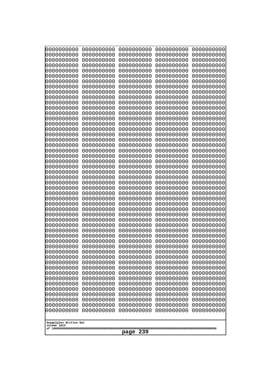| 0000000000                                                                                                  | 0000000000                                                         | 0000000000                                                                        | 0000000000                                                         | 0000000000                                                         |
|-------------------------------------------------------------------------------------------------------------|--------------------------------------------------------------------|-----------------------------------------------------------------------------------|--------------------------------------------------------------------|--------------------------------------------------------------------|
| 0000000000                                                                                                  | 0000000000                                                         | 0000000000                                                                        | 0000000000                                                         | 0000000000                                                         |
| 0000000000                                                                                                  | 0000000000                                                         | 0000000000                                                                        | 0000000000                                                         | 0000000000                                                         |
| 0000000000                                                                                                  | 0000000000                                                         | 0000000000                                                                        | 0000000000                                                         | 0000000000                                                         |
| 0000000000                                                                                                  | 0000000000                                                         | 0000000000                                                                        | 0000000000                                                         | 0000000000                                                         |
| 0000000000                                                                                                  | 0000000000                                                         | 0000000000                                                                        | 0000000000                                                         | 0000000000                                                         |
| 0000000000                                                                                                  | 0000000000                                                         | 0000000000                                                                        | 0000000000                                                         | 0000000000                                                         |
| 0000000000                                                                                                  | 0000000000                                                         | 0000000000                                                                        | 0000000000                                                         | 0000000000                                                         |
| 0000000000                                                                                                  | 0000000000                                                         | 0000000000                                                                        | 0000000000                                                         | 0000000000                                                         |
| 0000000000                                                                                                  | 0000000000                                                         | 0000000000                                                                        | 0000000000                                                         | 0000000000                                                         |
| 0000000000                                                                                                  | 0000000000                                                         | 0000000000                                                                        | 0000000000                                                         | 0000000000                                                         |
| 0000000000                                                                                                  | 0000000000                                                         | 0000000000                                                                        | 0000000000                                                         | 0000000000                                                         |
| 0000000000                                                                                                  | 0000000000                                                         | 0000000000                                                                        | 0000000000                                                         | 0000000000                                                         |
| 0000000000                                                                                                  | 0000000000                                                         | 0000000000                                                                        | 0000000000                                                         | 0000000000                                                         |
| 0000000000                                                                                                  | 0000000000                                                         | 0000000000                                                                        | 0000000000                                                         | 0000000000                                                         |
| 0000000000                                                                                                  | 0000000000                                                         | 0000000000                                                                        | 0000000000                                                         | 0000000000                                                         |
| 0000000000                                                                                                  | 0000000000                                                         | 0000000000                                                                        | 0000000000                                                         | 0000000000                                                         |
| 0000000000                                                                                                  | 0000000000                                                         | 0000000000                                                                        | 0000000000                                                         | 0000000000                                                         |
| 0000000000                                                                                                  | 0000000000                                                         | 0000000000                                                                        | 0000000000                                                         | 0000000000                                                         |
| 0000000000                                                                                                  | 0000000000                                                         | 0000000000                                                                        | 0000000000                                                         | 0000000000                                                         |
| 0000000000                                                                                                  | 0000000000                                                         | 0000000000                                                                        | 0000000000                                                         | 0000000000                                                         |
| 0000000000                                                                                                  | 0000000000                                                         | 0000000000                                                                        | 0000000000                                                         | 0000000000                                                         |
| 0000000000                                                                                                  | 0000000000                                                         | 0000000000                                                                        | 0000000000                                                         | 0000000000                                                         |
| 0000000000                                                                                                  | 0000000000                                                         | 0000000000                                                                        | 0000000000                                                         | 0000000000                                                         |
| 0000000000                                                                                                  | 0000000000                                                         | 0000000000                                                                        | 0000000000                                                         | 0000000000                                                         |
| 0000000000                                                                                                  | 0000000000                                                         | 0000000000                                                                        | 0000000000                                                         | 0000000000                                                         |
| 0000000000                                                                                                  | 0000000000                                                         | 0000000000                                                                        | 0000000000                                                         | 0000000000                                                         |
| 0000000000                                                                                                  | 0000000000                                                         | 0000000000                                                                        | 0000000000                                                         | 0000000000                                                         |
| 0000000000                                                                                                  | 0000000000                                                         | 0000000000                                                                        | 0000000000                                                         | 0000000000                                                         |
| 0000000000                                                                                                  | 0000000000                                                         | 0000000000                                                                        | 0000000000                                                         | 0000000000                                                         |
| 0000000000                                                                                                  | 0000000000                                                         | 0000000000                                                                        | 0000000000                                                         | 0000000000                                                         |
| 0000000000                                                                                                  | 0000000000                                                         | 0000000000                                                                        | 0000000000                                                         | 0000000000                                                         |
| 0000000000                                                                                                  | 0000000000                                                         | 0000000000                                                                        | 0000000000                                                         | 0000000000                                                         |
| 0000000000                                                                                                  | 0000000000                                                         | 0000000000                                                                        | 0000000000                                                         | 0000000000                                                         |
| 0000000000                                                                                                  | 0000000000                                                         | 0000000000                                                                        | 0000000000                                                         | 0000000000                                                         |
| 0000000000                                                                                                  | 0000000000                                                         | 0000000000                                                                        | 0000000000                                                         | 0000000000                                                         |
| 0000000000                                                                                                  | 0000000000                                                         | 0000000000                                                                        | 0000000000                                                         | 0000000000                                                         |
| 0000000000                                                                                                  | 0000000000                                                         | 0000000000                                                                        | 0000000000                                                         | 0000000000                                                         |
| 0000000000                                                                                                  | 0000000000                                                         | 0000000000                                                                        | 0000000000                                                         | 0000000000                                                         |
| 0000000000                                                                                                  | 0000000000                                                         | 0000000000                                                                        | 0000000000                                                         | 0000000000                                                         |
| 0000000000                                                                                                  | 0000000000                                                         | 0000000000                                                                        | 0000000000                                                         | 0000000000                                                         |
| 0000000000                                                                                                  | 0000000000                                                         | 0000000000                                                                        | 0000000000                                                         | 0000000000                                                         |
| 0000000000                                                                                                  | 0000000000                                                         | 0000000000                                                                        | 0000000000                                                         | 0000000000                                                         |
| 0000000000                                                                                                  | 0000000000                                                         | 0000000000                                                                        | 0000000000                                                         | 0000000000                                                         |
| 0000000000                                                                                                  | 0000000000                                                         | 0000000000                                                                        | 0000000000                                                         | 0000000000                                                         |
| 0000000000<br>0000000000<br>0000000000<br>0000000000<br>0000000000<br>Googolplex Written Out<br>volume 1013 | 0000000000<br>0000000000<br>0000000000<br>0000000000<br>0000000000 | 0000000000<br>0000000000<br>0000000000<br>0000000000<br>0000000000<br>239<br>page | 0000000000<br>0000000000<br>0000000000<br>0000000000<br>0000000000 | 0000000000<br>0000000000<br>0000000000<br>0000000000<br>0000000000 |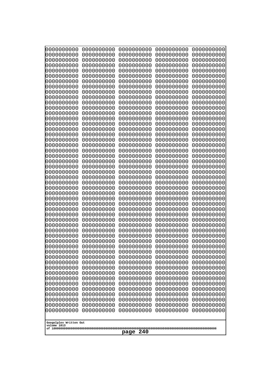| 10000000000<br>0000000000 | 0000000000<br>0000000000 | 0000000000<br>0000000000 | 0000000000<br>0000000000 | 0000000000<br>0000000000 |
|---------------------------|--------------------------|--------------------------|--------------------------|--------------------------|
| 0000000000                | 0000000000               | 0000000000               | 0000000000               | 0000000000               |
| 0000000000                | 0000000000               | 0000000000               | 0000000000               | 0000000000               |
| 0000000000                | 0000000000               | 0000000000               | 0000000000               | 0000000000               |
| 0000000000<br>0000000000  | 0000000000<br>0000000000 | 0000000000<br>0000000000 | 0000000000<br>0000000000 | 0000000000<br>0000000000 |
| 0000000000                | 0000000000               | 0000000000               | 0000000000               | 0000000000               |
| 0000000000                | 0000000000               | 0000000000               | 0000000000               | 0000000000               |
| 0000000000                | 0000000000               | 0000000000               | 0000000000               | 0000000000               |
| 0000000000<br>0000000000  | 0000000000<br>0000000000 | 0000000000<br>0000000000 | 0000000000<br>0000000000 | 0000000000<br>0000000000 |
| 0000000000                | 0000000000               | 0000000000               | 0000000000               | 0000000000               |
| 0000000000                | 0000000000               | 0000000000               | 0000000000               | 0000000000               |
| 0000000000                | 0000000000               | 0000000000               | 0000000000               | 0000000000               |
| 0000000000<br>0000000000  | 0000000000<br>0000000000 | 0000000000<br>0000000000 | 0000000000<br>0000000000 | 0000000000<br>0000000000 |
| 0000000000                | 0000000000               | 0000000000               | 0000000000               | 0000000000               |
| 0000000000                | 0000000000               | 0000000000               | 0000000000               | 0000000000               |
| 0000000000                | 0000000000               | 0000000000               | 0000000000               | 0000000000               |
| 0000000000<br>0000000000  | 0000000000<br>0000000000 | 0000000000<br>0000000000 | 0000000000<br>0000000000 | 0000000000<br>0000000000 |
| 0000000000                | 0000000000               | 0000000000               | 0000000000               | 0000000000               |
| 0000000000                | 0000000000               | 0000000000               | 0000000000               | 0000000000               |
| 0000000000                | 0000000000               | 0000000000               | 0000000000               | 0000000000               |
| 0000000000<br>0000000000  | 0000000000<br>0000000000 | 0000000000<br>0000000000 | 0000000000<br>0000000000 | 0000000000<br>0000000000 |
| 0000000000                | 0000000000               | 0000000000               | 0000000000               | 0000000000               |
| 0000000000                | 0000000000               | 0000000000               | 0000000000               | 0000000000               |
| 0000000000                | 0000000000               | 0000000000               | 0000000000               | 0000000000               |
| 0000000000<br>0000000000  | 0000000000<br>0000000000 | 0000000000<br>0000000000 | 0000000000<br>0000000000 | 0000000000<br>0000000000 |
| 0000000000                | 0000000000               | 0000000000               | 0000000000               | 0000000000               |
| 0000000000                | 0000000000               | 0000000000               | 0000000000               | 0000000000               |
| 0000000000<br>0000000000  | 0000000000<br>0000000000 | 0000000000<br>0000000000 | 0000000000<br>0000000000 | 0000000000<br>0000000000 |
| 0000000000                | 0000000000               | 0000000000               | 0000000000               | 0000000000               |
| 0000000000                | 0000000000               | 0000000000               | 0000000000               | 0000000000               |
| 0000000000                | 0000000000               | 0000000000               | 0000000000               | 0000000000               |
| 0000000000<br>0000000000  | 0000000000<br>0000000000 | 0000000000<br>0000000000 | 0000000000<br>0000000000 | 0000000000<br>0000000000 |
| 0000000000                | 0000000000               | 0000000000               | 0000000000               | 0000000000               |
| 0000000000                | 0000000000               | 0000000000               | 0000000000               | 0000000000               |
| 0000000000                | 0000000000               | 0000000000               | 0000000000               | 0000000000               |
| 0000000000<br>0000000000  | 0000000000<br>0000000000 | 0000000000<br>0000000000 | 0000000000<br>0000000000 | 0000000000<br>0000000000 |
| 0000000000                | 0000000000               | 0000000000               | 0000000000               | 0000000000               |
| 0000000000                | 0000000000               | 0000000000               | 0000000000               | 0000000000               |
| 0000000000                | 0000000000               | 0000000000               | 0000000000               | 0000000000               |
| 0000000000                | 0000000000               | 0000000000               | 0000000000               | 0000000000               |
| Googolplex Written Out    |                          |                          |                          |                          |
| volume 1013               |                          |                          |                          |                          |
| 240<br>page               |                          |                          |                          |                          |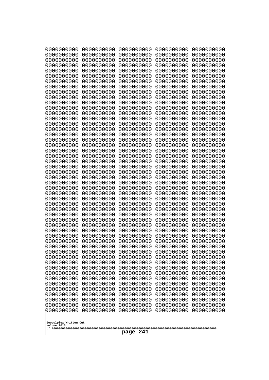| 10000000000              | 0000000000               | 0000000000               | 0000000000               | 0000000000               |
|--------------------------|--------------------------|--------------------------|--------------------------|--------------------------|
| 0000000000<br>0000000000 | 0000000000<br>0000000000 | 0000000000<br>0000000000 | 0000000000<br>0000000000 | 0000000000<br>0000000000 |
| 0000000000               | 0000000000               | 0000000000               | 0000000000               | 0000000000               |
| 0000000000               | 0000000000               | 0000000000               | 0000000000               | 0000000000               |
| 0000000000               | 0000000000               | 0000000000               | 0000000000               | 0000000000               |
| 0000000000<br>0000000000 | 0000000000<br>0000000000 | 0000000000<br>0000000000 | 0000000000<br>0000000000 | 0000000000<br>0000000000 |
| 0000000000               | 0000000000               | 0000000000               | 0000000000               | 0000000000               |
| 0000000000               | 0000000000               | 0000000000               | 0000000000               | 0000000000               |
| 0000000000               | 0000000000               | 0000000000               | 0000000000               | 0000000000               |
| 0000000000<br>0000000000 | 0000000000<br>0000000000 | 0000000000<br>0000000000 | 0000000000<br>0000000000 | 0000000000<br>0000000000 |
| 0000000000               | 0000000000               | 0000000000               | 0000000000               | 0000000000               |
| 0000000000               | 0000000000               | 0000000000               | 0000000000               | 0000000000               |
| 0000000000               | 0000000000               | 0000000000               | 0000000000               | 0000000000               |
| 0000000000<br>0000000000 | 0000000000<br>0000000000 | 0000000000<br>0000000000 | 0000000000<br>0000000000 | 0000000000<br>0000000000 |
| 0000000000               | 0000000000               | 0000000000               | 0000000000               | 0000000000               |
| 0000000000               | 0000000000               | 0000000000               | 0000000000               | 0000000000               |
| 0000000000<br>0000000000 | 0000000000<br>0000000000 | 0000000000<br>0000000000 | 0000000000<br>0000000000 | 0000000000<br>0000000000 |
| 0000000000               | 0000000000               | 0000000000               | 0000000000               | 0000000000               |
| 0000000000               | 0000000000               | 0000000000               | 0000000000               | 0000000000               |
| 0000000000               | 0000000000               | 0000000000               | 0000000000               | 0000000000               |
| 0000000000<br>0000000000 | 0000000000<br>0000000000 | 0000000000<br>0000000000 | 0000000000<br>0000000000 | 0000000000<br>0000000000 |
| 0000000000               | 0000000000               | 0000000000               | 0000000000               | 0000000000               |
| 0000000000               | 0000000000               | 0000000000               | 0000000000               | 0000000000               |
| 0000000000               | 0000000000               | 0000000000               | 0000000000               | 0000000000               |
| 0000000000<br>0000000000 | 0000000000<br>0000000000 | 0000000000<br>0000000000 | 0000000000<br>0000000000 | 0000000000<br>0000000000 |
| 0000000000               | 0000000000               | 0000000000               | 0000000000               | 0000000000               |
| 0000000000               | 0000000000               | 0000000000               | 0000000000               | 0000000000               |
| 0000000000               | 0000000000               | 0000000000               | 0000000000               | 0000000000               |
| 0000000000<br>0000000000 | 0000000000<br>0000000000 | 0000000000<br>0000000000 | 0000000000<br>0000000000 | 0000000000<br>0000000000 |
| 0000000000               | 0000000000               | 0000000000               | 0000000000               | 0000000000               |
| 0000000000               | 0000000000               | 0000000000               | 0000000000               | 0000000000               |
| 0000000000               | 0000000000               | 0000000000               | 0000000000               | 0000000000               |
| 0000000000<br>0000000000 | 0000000000<br>0000000000 | 0000000000<br>0000000000 | 0000000000<br>0000000000 | 0000000000<br>0000000000 |
| 0000000000               | 0000000000               | 0000000000               | 0000000000               | 0000000000               |
| 0000000000               | 0000000000               | 0000000000               | 0000000000               | 0000000000               |
| 0000000000               | 0000000000               | 0000000000<br>0000000000 | 0000000000               | 0000000000               |
| 0000000000<br>0000000000 | 0000000000<br>0000000000 | 0000000000               | 0000000000<br>0000000000 | 0000000000<br>0000000000 |
| 0000000000               | 0000000000               | 0000000000               | 0000000000               | 0000000000               |
| 0000000000               | 0000000000               | 0000000000               | 0000000000               | 0000000000               |
| 0000000000               | 0000000000               | 0000000000               | 0000000000               | 0000000000               |
| Googolplex Written Out   |                          |                          |                          |                          |
| volume 1013              |                          |                          |                          |                          |
| 241<br>page              |                          |                          |                          |                          |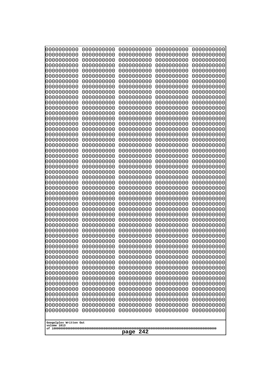| 0000000000                                                                      | 0000000000                             | 0000000000                                            | 0000000000                             | 0000000000                             |
|---------------------------------------------------------------------------------|----------------------------------------|-------------------------------------------------------|----------------------------------------|----------------------------------------|
| 0000000000                                                                      | 0000000000                             | 0000000000                                            | 0000000000                             | 0000000000                             |
| 0000000000                                                                      | 0000000000                             | 0000000000                                            | 0000000000                             | 0000000000                             |
| 0000000000                                                                      | 0000000000                             | 0000000000                                            | 0000000000                             | 0000000000                             |
| 0000000000                                                                      | 0000000000                             | 0000000000                                            | 0000000000                             | 0000000000                             |
| 0000000000                                                                      | 0000000000                             | 0000000000                                            | 0000000000                             | 0000000000                             |
| 0000000000                                                                      | 0000000000                             | 0000000000                                            | 0000000000                             | 0000000000                             |
| 0000000000                                                                      | 0000000000                             | 0000000000                                            | 0000000000                             | 0000000000                             |
| 0000000000                                                                      | 0000000000                             | 0000000000                                            | 0000000000                             | 0000000000                             |
| 0000000000                                                                      | 0000000000                             | 0000000000                                            | 0000000000                             | 0000000000                             |
| 0000000000                                                                      | 0000000000                             | 0000000000                                            | 0000000000                             | 0000000000                             |
| 0000000000                                                                      | 0000000000                             | 0000000000                                            | 0000000000                             | 0000000000                             |
| 0000000000                                                                      | 0000000000                             | 0000000000                                            | 0000000000                             | 0000000000                             |
| 0000000000                                                                      | 0000000000                             | 0000000000                                            | 0000000000                             | 0000000000                             |
| 0000000000                                                                      | 0000000000                             | 0000000000                                            | 0000000000                             | 0000000000                             |
| 0000000000                                                                      | 0000000000                             | 0000000000                                            | 0000000000                             | 0000000000                             |
| 0000000000                                                                      | 0000000000                             | 0000000000                                            | 0000000000                             | 0000000000                             |
| 0000000000                                                                      | 0000000000                             | 0000000000                                            | 0000000000                             | 0000000000                             |
| 0000000000                                                                      | 0000000000                             | 0000000000                                            | 0000000000                             | 0000000000                             |
| 0000000000                                                                      | 0000000000                             | 0000000000                                            | 0000000000                             | 0000000000                             |
| 0000000000                                                                      | 0000000000                             | 0000000000                                            | 0000000000                             | 0000000000                             |
| 0000000000                                                                      | 0000000000                             | 0000000000                                            | 0000000000                             | 0000000000                             |
| 0000000000                                                                      | 0000000000                             | 0000000000                                            | 0000000000                             | 0000000000                             |
| 0000000000                                                                      | 0000000000                             | 0000000000                                            | 0000000000                             | 0000000000                             |
| 0000000000                                                                      | 0000000000                             | 0000000000                                            | 0000000000                             | 0000000000                             |
| 0000000000                                                                      | 0000000000                             | 0000000000                                            | 0000000000                             | 0000000000                             |
| 0000000000                                                                      | 0000000000                             | 0000000000                                            | 0000000000                             | 0000000000                             |
| 0000000000                                                                      | 0000000000                             | 0000000000                                            | 0000000000                             | 0000000000                             |
| 0000000000                                                                      | 0000000000                             | 0000000000                                            | 0000000000                             | 0000000000                             |
| 0000000000                                                                      | 0000000000                             | 0000000000                                            | 0000000000                             | 0000000000                             |
| 0000000000                                                                      | 0000000000                             | 0000000000                                            | 0000000000                             | 0000000000                             |
| 0000000000                                                                      | 0000000000                             | 0000000000                                            | 0000000000                             | 0000000000                             |
| 0000000000                                                                      | 0000000000                             | 0000000000                                            | 0000000000                             | 0000000000                             |
| 0000000000                                                                      | 0000000000                             | 0000000000                                            | 0000000000                             | 0000000000                             |
| 0000000000                                                                      | 0000000000                             | 0000000000                                            | 0000000000                             | 0000000000                             |
| 0000000000                                                                      | 0000000000                             | 0000000000                                            | 0000000000                             | 0000000000                             |
| 0000000000                                                                      | 0000000000                             | 0000000000                                            | 0000000000                             | 0000000000                             |
| 0000000000                                                                      | 0000000000                             | 0000000000                                            | 0000000000                             | 0000000000                             |
| 0000000000                                                                      | 0000000000                             | 0000000000                                            | 0000000000                             | 0000000000                             |
| 0000000000                                                                      | 0000000000                             | 0000000000                                            | 0000000000                             | 0000000000                             |
| 0000000000                                                                      | 0000000000                             | 0000000000                                            | 0000000000                             | 0000000000                             |
| 0000000000                                                                      | 0000000000                             | 0000000000                                            | 0000000000                             | 0000000000                             |
| 0000000000<br>0000000000<br>0000000000<br>Googolplex Written Out<br>volume 1013 | 0000000000<br>0000000000<br>0000000000 | 0000000000<br>0000000000<br>0000000000<br>242<br>page | 0000000000<br>0000000000<br>0000000000 | 0000000000<br>0000000000<br>0000000000 |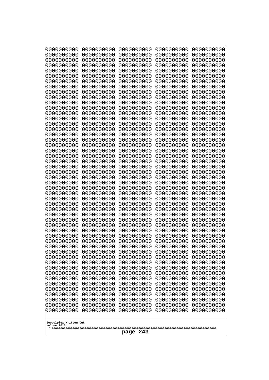| 10000000000<br>0000000000 | 0000000000<br>0000000000 | 0000000000<br>0000000000 | 0000000000<br>0000000000 | 0000000000<br>0000000000 |
|---------------------------|--------------------------|--------------------------|--------------------------|--------------------------|
| 0000000000                | 0000000000               | 0000000000               | 0000000000               | 0000000000               |
| 0000000000                | 0000000000               | 0000000000               | 0000000000               | 0000000000               |
| 0000000000<br>0000000000  | 0000000000<br>0000000000 | 0000000000               | 0000000000<br>0000000000 | 0000000000               |
| 0000000000                | 0000000000               | 0000000000<br>0000000000 | 0000000000               | 0000000000<br>0000000000 |
| 0000000000                | 0000000000               | 0000000000               | 0000000000               | 0000000000               |
| 0000000000                | 0000000000               | 0000000000               | 0000000000               | 0000000000               |
| 0000000000<br>0000000000  | 0000000000<br>0000000000 | 0000000000<br>0000000000 | 0000000000<br>0000000000 | 0000000000<br>0000000000 |
| 0000000000                | 0000000000               | 0000000000               | 0000000000               | 0000000000               |
| 0000000000                | 0000000000               | 0000000000               | 0000000000               | 0000000000               |
| 0000000000                | 0000000000               | 0000000000               | 0000000000               | 0000000000               |
| 0000000000<br>0000000000  | 0000000000<br>0000000000 | 0000000000<br>0000000000 | 0000000000<br>0000000000 | 0000000000<br>0000000000 |
| 0000000000                | 0000000000               | 0000000000               | 0000000000               | 0000000000               |
| 0000000000                | 0000000000               | 0000000000               | 0000000000               | 0000000000               |
| 0000000000<br>0000000000  | 0000000000<br>0000000000 | 0000000000<br>0000000000 | 0000000000<br>0000000000 | 0000000000<br>0000000000 |
| 0000000000                | 0000000000               | 0000000000               | 0000000000               | 0000000000               |
| 0000000000                | 0000000000               | 0000000000               | 0000000000               | 0000000000               |
| 0000000000                | 0000000000               | 0000000000               | 0000000000               | 0000000000               |
| 0000000000<br>0000000000  | 0000000000<br>0000000000 | 0000000000<br>0000000000 | 0000000000<br>0000000000 | 0000000000<br>0000000000 |
| 0000000000                | 0000000000               | 0000000000               | 0000000000               | 0000000000               |
| 0000000000                | 0000000000               | 0000000000               | 0000000000               | 0000000000               |
| 0000000000<br>0000000000  | 0000000000<br>0000000000 | 0000000000<br>0000000000 | 0000000000<br>0000000000 | 0000000000<br>0000000000 |
| 0000000000                | 0000000000               | 0000000000               | 0000000000               | 0000000000               |
| 0000000000                | 0000000000               | 0000000000               | 0000000000               | 0000000000               |
| 0000000000                | 0000000000               | 0000000000               | 0000000000               | 0000000000               |
| 0000000000<br>0000000000  | 0000000000<br>0000000000 | 0000000000<br>0000000000 | 0000000000<br>0000000000 | 0000000000<br>0000000000 |
| 0000000000                | 0000000000               | 0000000000               | 0000000000               | 0000000000               |
| 0000000000                | 0000000000               | 0000000000               | 0000000000               | 0000000000               |
| 0000000000<br>0000000000  | 0000000000<br>0000000000 | 0000000000<br>0000000000 | 0000000000<br>0000000000 | 0000000000<br>0000000000 |
| 0000000000                | 0000000000               | 0000000000               | 0000000000               | 0000000000               |
| 0000000000                | 0000000000               | 0000000000               | 0000000000               | 0000000000               |
| 0000000000<br>0000000000  | 0000000000<br>0000000000 | 0000000000<br>0000000000 | 0000000000<br>0000000000 | 0000000000<br>0000000000 |
| 0000000000                | 0000000000               | 0000000000               | 0000000000               | 0000000000               |
| 0000000000                | 0000000000               | 0000000000               | 0000000000               | 0000000000               |
| 0000000000                | 0000000000               | 0000000000               | 0000000000               | 0000000000               |
| 0000000000<br>0000000000  | 0000000000<br>0000000000 | 0000000000<br>0000000000 | 0000000000<br>0000000000 | 0000000000<br>0000000000 |
| 0000000000                | 0000000000               | 0000000000               | 0000000000               | 0000000000               |
| 0000000000                | 0000000000               | 0000000000               | 0000000000               | 0000000000               |
| 0000000000                | 0000000000               | 0000000000               | 0000000000               | 0000000000               |
| Googolplex Written Out    |                          |                          |                          |                          |
| volume 1013               |                          |                          |                          |                          |
| 243<br>page               |                          |                          |                          |                          |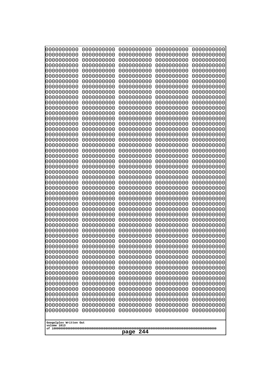| 10000000000<br>0000000000             | 0000000000<br>0000000000 | 0000000000<br>0000000000 | 0000000000<br>0000000000 | 0000000000<br>0000000000 |
|---------------------------------------|--------------------------|--------------------------|--------------------------|--------------------------|
| 0000000000                            | 0000000000               | 0000000000               | 0000000000               | 0000000000               |
| 0000000000                            | 0000000000               | 0000000000               | 0000000000               | 0000000000               |
| 0000000000<br>0000000000              | 0000000000<br>0000000000 | 0000000000               | 0000000000<br>0000000000 | 0000000000               |
| 0000000000                            | 0000000000               | 0000000000<br>0000000000 | 0000000000               | 0000000000<br>0000000000 |
| 0000000000                            | 0000000000               | 0000000000               | 0000000000               | 0000000000               |
| 0000000000                            | 0000000000               | 0000000000               | 0000000000               | 0000000000               |
| 0000000000<br>0000000000              | 0000000000<br>0000000000 | 0000000000<br>0000000000 | 0000000000<br>0000000000 | 0000000000<br>0000000000 |
| 0000000000                            | 0000000000               | 0000000000               | 0000000000               | 0000000000               |
| 0000000000                            | 0000000000               | 0000000000               | 0000000000               | 0000000000               |
| 0000000000<br>0000000000              | 0000000000<br>0000000000 | 0000000000<br>0000000000 | 0000000000<br>0000000000 | 0000000000<br>0000000000 |
| 0000000000                            | 0000000000               | 0000000000               | 0000000000               | 0000000000               |
| 0000000000                            | 0000000000               | 0000000000               | 0000000000               | 0000000000               |
| 0000000000<br>0000000000              | 0000000000               | 0000000000               | 0000000000               | 0000000000               |
| 0000000000                            | 0000000000<br>0000000000 | 0000000000<br>0000000000 | 0000000000<br>0000000000 | 0000000000<br>0000000000 |
| 0000000000                            | 0000000000               | 0000000000               | 0000000000               | 0000000000               |
| 0000000000                            | 0000000000               | 0000000000               | 0000000000               | 0000000000               |
| 0000000000<br>0000000000              | 0000000000<br>0000000000 | 0000000000<br>0000000000 | 0000000000<br>0000000000 | 0000000000<br>0000000000 |
| 0000000000                            | 0000000000               | 0000000000               | 0000000000               | 0000000000               |
| 0000000000                            | 0000000000               | 0000000000               | 0000000000               | 0000000000               |
| 0000000000<br>0000000000              | 0000000000<br>0000000000 | 0000000000<br>0000000000 | 0000000000<br>0000000000 | 0000000000<br>0000000000 |
| 0000000000                            | 0000000000               | 0000000000               | 0000000000               | 0000000000               |
| 0000000000                            | 0000000000               | 0000000000               | 0000000000               | 0000000000               |
| 0000000000<br>0000000000              | 0000000000<br>0000000000 | 0000000000<br>0000000000 | 0000000000<br>0000000000 | 0000000000<br>0000000000 |
| 0000000000                            | 0000000000               | 0000000000               | 0000000000               | 0000000000               |
| 0000000000                            | 0000000000               | 0000000000               | 0000000000               | 0000000000               |
| 0000000000                            | 0000000000               | 0000000000               | 0000000000               | 0000000000               |
| 0000000000<br>0000000000              | 0000000000<br>0000000000 | 0000000000<br>0000000000 | 0000000000<br>0000000000 | 0000000000<br>0000000000 |
| 0000000000                            | 0000000000               | 0000000000               | 0000000000               | 0000000000               |
| 0000000000                            | 0000000000               | 0000000000               | 0000000000               | 0000000000               |
| 0000000000<br>0000000000              | 0000000000<br>0000000000 | 0000000000<br>0000000000 | 0000000000<br>0000000000 | 0000000000<br>0000000000 |
| 0000000000                            | 0000000000               | 0000000000               | 0000000000               | 0000000000               |
| 0000000000                            | 0000000000               | 0000000000               | 0000000000               | 0000000000               |
| 0000000000<br>0000000000              | 0000000000<br>0000000000 | 0000000000<br>0000000000 | 0000000000<br>0000000000 | 0000000000<br>0000000000 |
| 0000000000                            | 0000000000               | 0000000000               | 0000000000               | 0000000000               |
| 0000000000                            | 0000000000               | 0000000000               | 0000000000               | 0000000000               |
| 0000000000<br>0000000000              | 0000000000<br>0000000000 | 0000000000<br>0000000000 | 0000000000<br>0000000000 | 0000000000<br>0000000000 |
| 0000000000                            | 0000000000               | 0000000000               | 0000000000               | 0000000000               |
|                                       |                          |                          |                          |                          |
| Googolplex Written Out<br>volume 1013 |                          |                          |                          |                          |
|                                       |                          | 244<br>page              |                          |                          |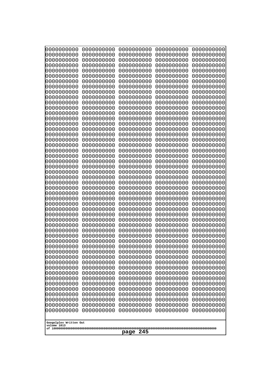| 10000000000<br>0000000000 | 0000000000<br>0000000000 | 0000000000<br>0000000000 | 0000000000<br>0000000000 | 0000000000<br>0000000000 |
|---------------------------|--------------------------|--------------------------|--------------------------|--------------------------|
| 0000000000                | 0000000000               | 0000000000               | 0000000000               | 0000000000               |
| 0000000000                | 0000000000               | 0000000000               | 0000000000               | 0000000000               |
| 0000000000<br>0000000000  | 0000000000<br>0000000000 | 0000000000               | 0000000000<br>0000000000 | 0000000000               |
| 0000000000                | 0000000000               | 0000000000<br>0000000000 | 0000000000               | 0000000000<br>0000000000 |
| 0000000000                | 0000000000               | 0000000000               | 0000000000               | 0000000000               |
| 0000000000                | 0000000000               | 0000000000               | 0000000000               | 0000000000               |
| 0000000000<br>0000000000  | 0000000000<br>0000000000 | 0000000000<br>0000000000 | 0000000000<br>0000000000 | 0000000000<br>0000000000 |
| 0000000000                | 0000000000               | 0000000000               | 0000000000               | 0000000000               |
| 0000000000                | 0000000000               | 0000000000               | 0000000000               | 0000000000               |
| 0000000000                | 0000000000               | 0000000000               | 0000000000               | 0000000000               |
| 0000000000<br>0000000000  | 0000000000<br>0000000000 | 0000000000<br>0000000000 | 0000000000<br>0000000000 | 0000000000<br>0000000000 |
| 0000000000                | 0000000000               | 0000000000               | 0000000000               | 0000000000               |
| 0000000000                | 0000000000               | 0000000000               | 0000000000               | 0000000000               |
| 0000000000<br>0000000000  | 0000000000<br>0000000000 | 0000000000<br>0000000000 | 0000000000<br>0000000000 | 0000000000<br>0000000000 |
| 0000000000                | 0000000000               | 0000000000               | 0000000000               | 0000000000               |
| 0000000000                | 0000000000               | 0000000000               | 0000000000               | 0000000000               |
| 0000000000                | 0000000000               | 0000000000               | 0000000000               | 0000000000               |
| 0000000000<br>0000000000  | 0000000000<br>0000000000 | 0000000000<br>0000000000 | 0000000000<br>0000000000 | 0000000000<br>0000000000 |
| 0000000000                | 0000000000               | 0000000000               | 0000000000               | 0000000000               |
| 0000000000                | 0000000000               | 0000000000               | 0000000000               | 0000000000               |
| 0000000000<br>0000000000  | 0000000000<br>0000000000 | 0000000000<br>0000000000 | 0000000000<br>0000000000 | 0000000000<br>0000000000 |
| 0000000000                | 0000000000               | 0000000000               | 0000000000               | 0000000000               |
| 0000000000                | 0000000000               | 0000000000               | 0000000000               | 0000000000               |
| 0000000000                | 0000000000               | 0000000000               | 0000000000               | 0000000000               |
| 0000000000<br>0000000000  | 0000000000<br>0000000000 | 0000000000<br>0000000000 | 0000000000<br>0000000000 | 0000000000<br>0000000000 |
| 0000000000                | 0000000000               | 0000000000               | 0000000000               | 0000000000               |
| 0000000000                | 0000000000               | 0000000000               | 0000000000               | 0000000000               |
| 0000000000<br>0000000000  | 0000000000<br>0000000000 | 0000000000<br>0000000000 | 0000000000<br>0000000000 | 0000000000<br>0000000000 |
| 0000000000                | 0000000000               | 0000000000               | 0000000000               | 0000000000               |
| 0000000000                | 0000000000               | 0000000000               | 0000000000               | 0000000000               |
| 0000000000<br>0000000000  | 0000000000               | 0000000000               | 0000000000               | 0000000000               |
| 0000000000                | 0000000000<br>0000000000 | 0000000000<br>0000000000 | 0000000000<br>0000000000 | 0000000000<br>0000000000 |
| 0000000000                | 0000000000               | 0000000000               | 0000000000               | 0000000000               |
| 0000000000                | 0000000000               | 0000000000               | 0000000000               | 0000000000               |
| 0000000000<br>0000000000  | 0000000000<br>0000000000 | 0000000000<br>0000000000 | 0000000000<br>0000000000 | 0000000000<br>0000000000 |
| 0000000000                | 0000000000               | 0000000000               | 0000000000               | 0000000000               |
| 0000000000                | 0000000000               | 0000000000               | 0000000000               | 0000000000               |
| 0000000000                | 0000000000               | 0000000000               | 0000000000               | 0000000000               |
| Googolplex Written Out    |                          |                          |                          |                          |
| volume 1013               |                          |                          |                          |                          |
| 245<br>page               |                          |                          |                          |                          |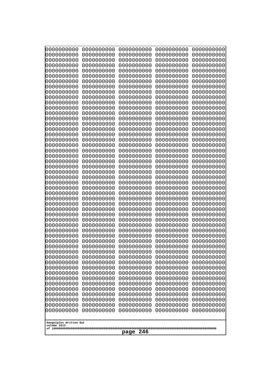| 10000000000<br>0000000000             | 0000000000<br>0000000000 | 0000000000<br>0000000000 | 0000000000<br>0000000000 | 0000000000<br>0000000000 |
|---------------------------------------|--------------------------|--------------------------|--------------------------|--------------------------|
| 0000000000                            | 0000000000               | 0000000000               | 0000000000               | 0000000000               |
| 0000000000                            | 0000000000               | 0000000000               | 0000000000               | 0000000000               |
| 0000000000                            | 0000000000               | 0000000000               | 0000000000               | 0000000000               |
| 0000000000<br>0000000000              | 0000000000<br>0000000000 | 0000000000<br>0000000000 | 0000000000<br>0000000000 | 0000000000<br>0000000000 |
| 0000000000                            | 0000000000               | 0000000000               | 0000000000               | 0000000000               |
| 0000000000                            | 0000000000               | 0000000000               | 0000000000               | 0000000000               |
| 0000000000                            | 0000000000               | 0000000000               | 0000000000               | 0000000000               |
| 0000000000<br>0000000000              | 0000000000<br>0000000000 | 0000000000<br>0000000000 | 0000000000<br>0000000000 | 0000000000               |
| 0000000000                            | 0000000000               | 0000000000               | 0000000000               | 0000000000<br>0000000000 |
| 0000000000                            | 0000000000               | 0000000000               | 0000000000               | 0000000000               |
| 0000000000                            | 0000000000               | 0000000000               | 0000000000               | 0000000000               |
| 0000000000                            | 0000000000               | 0000000000               | 0000000000               | 0000000000               |
| 0000000000<br>0000000000              | 0000000000<br>0000000000 | 0000000000<br>0000000000 | 0000000000<br>0000000000 | 0000000000<br>0000000000 |
| 0000000000                            | 0000000000               | 0000000000               | 0000000000               | 0000000000               |
| 0000000000                            | 0000000000               | 0000000000               | 0000000000               | 0000000000               |
| 0000000000                            | 0000000000<br>0000000000 | 0000000000               | 0000000000               | 0000000000               |
| 0000000000<br>0000000000              | 0000000000               | 0000000000<br>0000000000 | 0000000000<br>0000000000 | 0000000000<br>0000000000 |
| 0000000000                            | 0000000000               | 0000000000               | 0000000000               | 0000000000               |
| 0000000000                            | 0000000000               | 0000000000               | 0000000000               | 0000000000               |
| 0000000000                            | 0000000000<br>0000000000 | 0000000000<br>0000000000 | 0000000000<br>0000000000 | 0000000000               |
| 0000000000<br>0000000000              | 0000000000               | 0000000000               | 0000000000               | 0000000000<br>0000000000 |
| 0000000000                            | 0000000000               | 0000000000               | 0000000000               | 0000000000               |
| 0000000000                            | 0000000000               | 0000000000               | 0000000000               | 0000000000               |
| 0000000000<br>0000000000              | 0000000000<br>0000000000 | 0000000000<br>0000000000 | 0000000000<br>0000000000 | 0000000000<br>0000000000 |
| 0000000000                            | 0000000000               | 0000000000               | 0000000000               | 0000000000               |
| 0000000000                            | 0000000000               | 0000000000               | 0000000000               | 0000000000               |
| 0000000000                            | 0000000000               | 0000000000               | 0000000000               | 0000000000               |
| 0000000000<br>0000000000              | 0000000000<br>0000000000 | 0000000000<br>0000000000 | 0000000000<br>0000000000 | 0000000000<br>0000000000 |
| 0000000000                            | 0000000000               | 0000000000               | 0000000000               | 0000000000               |
| 0000000000                            | 0000000000               | 0000000000               | 0000000000               | 0000000000               |
| 0000000000                            | 0000000000               | 0000000000               | 0000000000               | 0000000000               |
| 0000000000<br>0000000000              | 0000000000<br>0000000000 | 0000000000<br>0000000000 | 0000000000<br>0000000000 | 0000000000<br>0000000000 |
| 0000000000                            | 0000000000               | 0000000000               | 0000000000               | 0000000000               |
| 0000000000                            | 0000000000               | 0000000000               | 0000000000               | 0000000000               |
| 0000000000                            | 0000000000               | 0000000000               | 0000000000               | 0000000000               |
| 0000000000<br>0000000000              | 0000000000<br>0000000000 | 0000000000<br>0000000000 | 0000000000<br>0000000000 | 0000000000<br>0000000000 |
| 0000000000                            | 0000000000               | 0000000000               | 0000000000               | 0000000000               |
| 0000000000                            | 0000000000               | 0000000000               | 0000000000               | 0000000000               |
| 0000000000                            | 0000000000               | 0000000000               | 0000000000               | 0000000000               |
|                                       |                          |                          |                          |                          |
| Googolplex Written Out<br>volume 1013 |                          |                          |                          |                          |
| 246<br>page                           |                          |                          |                          |                          |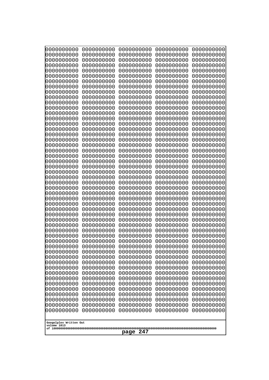| 10000000000<br>0000000000 | 0000000000<br>0000000000 | 0000000000<br>0000000000 | 0000000000<br>0000000000 | 0000000000<br>0000000000 |
|---------------------------|--------------------------|--------------------------|--------------------------|--------------------------|
| 0000000000                | 0000000000               | 0000000000               | 0000000000               | 0000000000               |
| 0000000000                | 0000000000               | 0000000000               | 0000000000               | 0000000000               |
| 0000000000<br>0000000000  | 0000000000<br>0000000000 | 0000000000               | 0000000000<br>0000000000 | 0000000000               |
| 0000000000                | 0000000000               | 0000000000<br>0000000000 | 0000000000               | 0000000000<br>0000000000 |
| 0000000000                | 0000000000               | 0000000000               | 0000000000               | 0000000000               |
| 0000000000                | 0000000000               | 0000000000               | 0000000000               | 0000000000               |
| 0000000000<br>0000000000  | 0000000000<br>0000000000 | 0000000000<br>0000000000 | 0000000000<br>0000000000 | 0000000000<br>0000000000 |
| 0000000000                | 0000000000               | 0000000000               | 0000000000               | 0000000000               |
| 0000000000                | 0000000000               | 0000000000               | 0000000000               | 0000000000               |
| 0000000000                | 0000000000               | 0000000000               | 0000000000               | 0000000000               |
| 0000000000<br>0000000000  | 0000000000<br>0000000000 | 0000000000<br>0000000000 | 0000000000<br>0000000000 | 0000000000<br>0000000000 |
| 0000000000                | 0000000000               | 0000000000               | 0000000000               | 0000000000               |
| 0000000000                | 0000000000               | 0000000000               | 0000000000               | 0000000000               |
| 0000000000<br>0000000000  | 0000000000<br>0000000000 | 0000000000<br>0000000000 | 0000000000<br>0000000000 | 0000000000<br>0000000000 |
| 0000000000                | 0000000000               | 0000000000               | 0000000000               | 0000000000               |
| 0000000000                | 0000000000               | 0000000000               | 0000000000               | 0000000000               |
| 0000000000                | 0000000000               | 0000000000               | 0000000000               | 0000000000               |
| 0000000000<br>0000000000  | 0000000000<br>0000000000 | 0000000000<br>0000000000 | 0000000000<br>0000000000 | 0000000000<br>0000000000 |
| 0000000000                | 0000000000               | 0000000000               | 0000000000               | 0000000000               |
| 0000000000                | 0000000000               | 0000000000               | 0000000000               | 0000000000               |
| 0000000000<br>0000000000  | 0000000000<br>0000000000 | 0000000000<br>0000000000 | 0000000000<br>0000000000 | 0000000000<br>0000000000 |
| 0000000000                | 0000000000               | 0000000000               | 0000000000               | 0000000000               |
| 0000000000                | 0000000000               | 0000000000               | 0000000000               | 0000000000               |
| 0000000000                | 0000000000               | 0000000000               | 0000000000               | 0000000000               |
| 0000000000<br>0000000000  | 0000000000<br>0000000000 | 0000000000<br>0000000000 | 0000000000<br>0000000000 | 0000000000<br>0000000000 |
| 0000000000                | 0000000000               | 0000000000               | 0000000000               | 0000000000               |
| 0000000000                | 0000000000               | 0000000000               | 0000000000               | 0000000000               |
| 0000000000<br>0000000000  | 0000000000<br>0000000000 | 0000000000<br>0000000000 | 0000000000<br>0000000000 | 0000000000<br>0000000000 |
| 0000000000                | 0000000000               | 0000000000               | 0000000000               | 0000000000               |
| 0000000000                | 0000000000               | 0000000000               | 0000000000               | 0000000000               |
| 0000000000<br>0000000000  | 0000000000               | 0000000000               | 0000000000               | 0000000000               |
| 0000000000                | 0000000000<br>0000000000 | 0000000000<br>0000000000 | 0000000000<br>0000000000 | 0000000000<br>0000000000 |
| 0000000000                | 0000000000               | 0000000000               | 0000000000               | 0000000000               |
| 0000000000                | 0000000000               | 0000000000               | 0000000000               | 0000000000               |
| 0000000000<br>0000000000  | 0000000000<br>0000000000 | 0000000000<br>0000000000 | 0000000000<br>0000000000 | 0000000000<br>0000000000 |
| 0000000000                | 0000000000               | 0000000000               | 0000000000               | 0000000000               |
| 0000000000                | 0000000000               | 0000000000               | 0000000000               | 0000000000               |
| 0000000000                | 0000000000               | 0000000000               | 0000000000               | 0000000000               |
| Googolplex Written Out    |                          |                          |                          |                          |
| volume 1013               |                          |                          |                          |                          |
| 247<br>page               |                          |                          |                          |                          |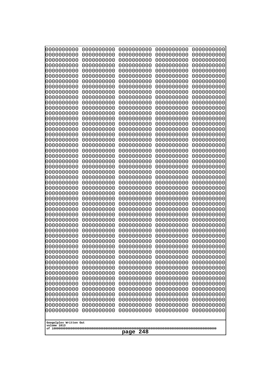| 0000000000               | 0000000000               | 0000000000               | 0000000000               | 0000000000               |
|--------------------------|--------------------------|--------------------------|--------------------------|--------------------------|
| 0000000000<br>0000000000 | 0000000000<br>0000000000 | 0000000000<br>0000000000 | 0000000000<br>0000000000 | 0000000000<br>0000000000 |
| 0000000000               | 0000000000               | 0000000000               | 0000000000               | 0000000000               |
| 0000000000               | 0000000000               | 0000000000               | 0000000000               | 0000000000               |
| 0000000000               | 0000000000               | 0000000000               | 0000000000               | 0000000000               |
| 0000000000               | 0000000000               | 0000000000               | 0000000000               | 0000000000               |
| 0000000000<br>0000000000 | 0000000000<br>0000000000 | 0000000000<br>0000000000 | 0000000000<br>0000000000 | 0000000000<br>0000000000 |
| 0000000000               | 0000000000               | 0000000000               | 0000000000               | 0000000000               |
| 0000000000               | 0000000000               | 0000000000               | 0000000000               | 0000000000               |
| 0000000000               | 0000000000               | 0000000000               | 0000000000               | 0000000000               |
| 0000000000<br>0000000000 | 0000000000<br>0000000000 | 0000000000<br>0000000000 | 0000000000<br>0000000000 | 0000000000<br>0000000000 |
| 0000000000               | 0000000000               | 0000000000               | 0000000000               | 0000000000               |
| 0000000000               | 0000000000               | 0000000000               | 0000000000               | 0000000000               |
| 0000000000<br>0000000000 | 0000000000<br>0000000000 | 0000000000<br>0000000000 | 0000000000<br>0000000000 | 0000000000<br>0000000000 |
| 0000000000               | 0000000000               | 0000000000               | 0000000000               | 0000000000               |
| 0000000000               | 0000000000               | 0000000000               | 0000000000               | 0000000000               |
| 0000000000               | 0000000000               | 0000000000               | 0000000000               | 0000000000               |
| 0000000000<br>0000000000 | 0000000000<br>0000000000 | 0000000000<br>0000000000 | 0000000000<br>0000000000 | 0000000000<br>0000000000 |
| 0000000000               | 0000000000               | 0000000000               | 0000000000               | 0000000000               |
| 0000000000               | 0000000000               | 0000000000               | 0000000000               | 0000000000               |
| 0000000000               | 0000000000               | 0000000000               | 0000000000               | 0000000000               |
| 0000000000<br>0000000000 | 0000000000<br>0000000000 | 0000000000<br>0000000000 | 0000000000<br>0000000000 | 0000000000<br>0000000000 |
| 0000000000               | 0000000000               | 0000000000               | 0000000000               | 0000000000               |
| 0000000000               | 0000000000               | 0000000000               | 0000000000               | 0000000000               |
| 0000000000<br>0000000000 | 0000000000<br>0000000000 | 0000000000<br>0000000000 | 0000000000<br>0000000000 | 0000000000<br>0000000000 |
| 0000000000               | 0000000000               | 0000000000               | 0000000000               | 0000000000               |
| 0000000000               | 0000000000               | 0000000000               | 0000000000               | 0000000000               |
| 0000000000               | 0000000000               | 0000000000               | 0000000000               | 0000000000               |
| 0000000000<br>0000000000 | 0000000000<br>0000000000 | 0000000000<br>0000000000 | 0000000000<br>0000000000 | 0000000000<br>0000000000 |
| 0000000000               | 0000000000               | 0000000000               | 0000000000               | 0000000000               |
| 0000000000               | 0000000000               | 0000000000               | 0000000000               | 0000000000               |
| 0000000000               | 0000000000               | 0000000000               | 0000000000               | 0000000000               |
| 0000000000<br>0000000000 | 0000000000<br>0000000000 | 0000000000<br>0000000000 | 0000000000<br>0000000000 | 0000000000<br>0000000000 |
| 0000000000               | 0000000000               | 0000000000               | 0000000000               | 0000000000               |
| 0000000000               | 0000000000               | 0000000000               | 0000000000               | 0000000000               |
| 0000000000<br>0000000000 | 0000000000<br>0000000000 | 0000000000<br>0000000000 | 0000000000<br>0000000000 | 0000000000<br>0000000000 |
| 0000000000               | 0000000000               | 0000000000               | 0000000000               | 0000000000               |
| 0000000000               | 0000000000               | 0000000000               | 0000000000               | 0000000000               |
| 0000000000               | 0000000000               | 0000000000               | 0000000000               | 0000000000               |
| 0000000000               | 0000000000               | 0000000000               | 0000000000               | 0000000000               |
| Googolplex Written Out   |                          |                          |                          |                          |
| volume 1013              |                          |                          |                          |                          |
| 248<br>page              |                          |                          |                          |                          |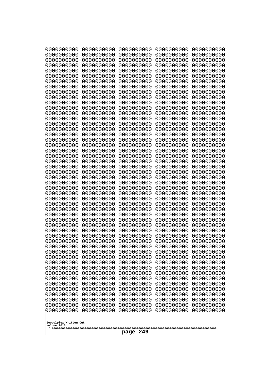| 10000000000<br>0000000000 | 0000000000<br>0000000000 | 0000000000<br>0000000000 | 0000000000<br>0000000000 | 0000000000<br>0000000000 |
|---------------------------|--------------------------|--------------------------|--------------------------|--------------------------|
| 0000000000                | 0000000000               | 0000000000               | 0000000000               | 0000000000               |
| 0000000000                | 0000000000               | 0000000000               | 0000000000               | 0000000000               |
| 0000000000<br>0000000000  | 0000000000<br>0000000000 | 0000000000               | 0000000000<br>0000000000 | 0000000000               |
| 0000000000                | 0000000000               | 0000000000<br>0000000000 | 0000000000               | 0000000000<br>0000000000 |
| 0000000000                | 0000000000               | 0000000000               | 0000000000               | 0000000000               |
| 0000000000                | 0000000000               | 0000000000               | 0000000000               | 0000000000               |
| 0000000000<br>0000000000  | 0000000000<br>0000000000 | 0000000000<br>0000000000 | 0000000000<br>0000000000 | 0000000000<br>0000000000 |
| 0000000000                | 0000000000               | 0000000000               | 0000000000               | 0000000000               |
| 0000000000                | 0000000000               | 0000000000               | 0000000000               | 0000000000               |
| 0000000000                | 0000000000               | 0000000000               | 0000000000               | 0000000000               |
| 0000000000<br>0000000000  | 0000000000<br>0000000000 | 0000000000<br>0000000000 | 0000000000<br>0000000000 | 0000000000<br>0000000000 |
| 0000000000                | 0000000000               | 0000000000               | 0000000000               | 0000000000               |
| 0000000000                | 0000000000               | 0000000000               | 0000000000               | 0000000000               |
| 0000000000<br>0000000000  | 0000000000<br>0000000000 | 0000000000<br>0000000000 | 0000000000<br>0000000000 | 0000000000<br>0000000000 |
| 0000000000                | 0000000000               | 0000000000               | 0000000000               | 0000000000               |
| 0000000000                | 0000000000               | 0000000000               | 0000000000               | 0000000000               |
| 0000000000                | 0000000000               | 0000000000               | 0000000000               | 0000000000               |
| 0000000000<br>0000000000  | 0000000000<br>0000000000 | 0000000000<br>0000000000 | 0000000000<br>0000000000 | 0000000000<br>0000000000 |
| 0000000000                | 0000000000               | 0000000000               | 0000000000               | 0000000000               |
| 0000000000                | 0000000000               | 0000000000               | 0000000000               | 0000000000               |
| 0000000000<br>0000000000  | 0000000000<br>0000000000 | 0000000000<br>0000000000 | 0000000000<br>0000000000 | 0000000000<br>0000000000 |
| 0000000000                | 0000000000               | 0000000000               | 0000000000               | 0000000000               |
| 0000000000                | 0000000000               | 0000000000               | 0000000000               | 0000000000               |
| 0000000000                | 0000000000               | 0000000000               | 0000000000               | 0000000000               |
| 0000000000<br>0000000000  | 0000000000<br>0000000000 | 0000000000<br>0000000000 | 0000000000<br>0000000000 | 0000000000<br>0000000000 |
| 0000000000                | 0000000000               | 0000000000               | 0000000000               | 0000000000               |
| 0000000000                | 0000000000               | 0000000000               | 0000000000               | 0000000000               |
| 0000000000<br>0000000000  | 0000000000<br>0000000000 | 0000000000<br>0000000000 | 0000000000<br>0000000000 | 0000000000<br>0000000000 |
| 0000000000                | 0000000000               | 0000000000               | 0000000000               | 0000000000               |
| 0000000000                | 0000000000               | 0000000000               | 0000000000               | 0000000000               |
| 0000000000<br>0000000000  | 0000000000<br>0000000000 | 0000000000               | 0000000000               | 0000000000               |
| 0000000000                | 0000000000               | 0000000000<br>0000000000 | 0000000000<br>0000000000 | 0000000000<br>0000000000 |
| 0000000000                | 0000000000               | 0000000000               | 0000000000               | 0000000000               |
| 0000000000                | 0000000000               | 0000000000               | 0000000000               | 0000000000               |
| 0000000000<br>0000000000  | 0000000000<br>0000000000 | 0000000000<br>0000000000 | 0000000000<br>0000000000 | 0000000000<br>0000000000 |
| 0000000000                | 0000000000               | 0000000000               | 0000000000               | 0000000000               |
| 0000000000                | 0000000000               | 0000000000               | 0000000000               | 0000000000               |
| 0000000000                | 0000000000               | 0000000000               | 0000000000               | 0000000000               |
| Googolplex Written Out    |                          |                          |                          |                          |
| volume 1013               |                          |                          |                          |                          |
| 249<br>page               |                          |                          |                          |                          |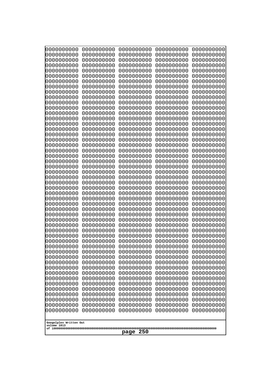| 0000000000<br>0000000000<br>0000000000<br>0000000000<br>0000000000<br>0000000000<br>0000000000<br>0000000000<br>0000000000<br>0000000000<br>0000000000<br>0000000000<br>0000000000<br>0000000000<br>0000000000<br>0000000000<br>0000000000<br>0000000000<br>0000000000<br>0000000000<br>0000000000<br>0000000000<br>0000000000<br>0000000000<br>0000000000<br>0000000000<br>0000000000<br>0000000000<br>0000000000<br>0000000000<br>0000000000<br>0000000000<br>0000000000<br>0000000000<br>0000000000<br>0000000000<br>0000000000<br>0000000000<br>0000000000<br>0000000000<br>0000000000<br>0000000000<br>0000000000<br>0000000000<br>0000000000<br>0000000000<br>0000000000<br>0000000000<br>0000000000<br>0000000000<br>10000000000<br>0000000000<br>0000000000<br>0000000000<br>0000000000<br>0000000000<br>0000000000<br>0000000000<br>0000000000<br>0000000000<br>0000000000<br>0000000000<br>0000000000<br>0000000000<br>0000000000<br>0000000000<br>0000000000<br>0000000000<br>0000000000<br>0000000000<br>0000000000<br>0000000000<br>0000000000<br>0000000000<br>0000000000<br>0000000000<br>0000000000<br>0000000000<br>0000000000<br>0000000000<br>0000000000<br>0000000000<br>0000000000<br>0000000000<br>0000000000<br>0000000000<br>0000000000<br>0000000000<br>0000000000<br>0000000000<br>0000000000<br>0000000000<br>0000000000<br>0000000000<br>0000000000<br>0000000000<br>0000000000<br>0000000000<br>0000000000<br>0000000000<br>0000000000<br>0000000000<br>0000000000<br>0000000000<br>0000000000<br>0000000000<br>0000000000<br>0000000000<br>0000000000<br>0000000000<br>0000000000<br>0000000000<br>0000000000<br>0000000000<br>0000000000 |  |  |  |  |
|-------------------------------------------------------------------------------------------------------------------------------------------------------------------------------------------------------------------------------------------------------------------------------------------------------------------------------------------------------------------------------------------------------------------------------------------------------------------------------------------------------------------------------------------------------------------------------------------------------------------------------------------------------------------------------------------------------------------------------------------------------------------------------------------------------------------------------------------------------------------------------------------------------------------------------------------------------------------------------------------------------------------------------------------------------------------------------------------------------------------------------------------------------------------------------------------------------------------------------------------------------------------------------------------------------------------------------------------------------------------------------------------------------------------------------------------------------------------------------------------------------------------------------------------------------------------------------------------------------------------------------------------------------------------------|--|--|--|--|
| Googolplex Written Out<br>volume 1013<br>250<br>page                                                                                                                                                                                                                                                                                                                                                                                                                                                                                                                                                                                                                                                                                                                                                                                                                                                                                                                                                                                                                                                                                                                                                                                                                                                                                                                                                                                                                                                                                                                                                                                                                    |  |  |  |  |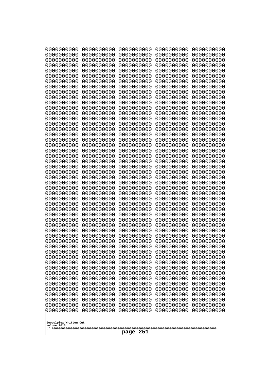| 0000000000                                    | 0000000000 | 0000000000 | 0000000000 | 0000000000 |
|-----------------------------------------------|------------|------------|------------|------------|
| 0000000000                                    | 0000000000 | 0000000000 | 0000000000 | 0000000000 |
| 0000000000                                    | 0000000000 | 0000000000 | 0000000000 | 0000000000 |
| 0000000000                                    | 0000000000 | 0000000000 | 0000000000 | 0000000000 |
| 0000000000                                    | 0000000000 | 0000000000 | 0000000000 | 0000000000 |
| 0000000000                                    | 0000000000 | 0000000000 | 0000000000 | 0000000000 |
| 0000000000                                    | 0000000000 | 0000000000 | 0000000000 | 0000000000 |
| 0000000000                                    | 0000000000 | 0000000000 | 0000000000 | 0000000000 |
| 0000000000                                    | 0000000000 | 0000000000 | 0000000000 | 0000000000 |
| 0000000000                                    | 0000000000 | 0000000000 | 0000000000 | 0000000000 |
| 0000000000                                    | 0000000000 | 0000000000 | 0000000000 | 0000000000 |
| 0000000000                                    | 0000000000 | 0000000000 | 0000000000 | 0000000000 |
| 0000000000                                    | 0000000000 | 0000000000 | 0000000000 | 0000000000 |
| 0000000000                                    | 0000000000 | 0000000000 | 0000000000 | 0000000000 |
| 0000000000                                    | 0000000000 | 0000000000 | 0000000000 | 0000000000 |
| 0000000000                                    | 0000000000 | 0000000000 | 0000000000 | 0000000000 |
| 0000000000                                    | 0000000000 | 0000000000 | 0000000000 | 0000000000 |
| 0000000000                                    | 0000000000 | 0000000000 | 0000000000 | 0000000000 |
| 0000000000                                    | 0000000000 | 0000000000 | 0000000000 | 0000000000 |
| 0000000000                                    | 0000000000 | 0000000000 | 0000000000 | 0000000000 |
| 0000000000                                    | 0000000000 | 0000000000 | 0000000000 | 0000000000 |
| 0000000000                                    | 0000000000 | 0000000000 | 0000000000 | 0000000000 |
| 0000000000                                    | 0000000000 | 0000000000 | 0000000000 | 0000000000 |
| 0000000000                                    | 0000000000 | 0000000000 | 0000000000 | 0000000000 |
| 0000000000                                    | 0000000000 | 0000000000 | 0000000000 | 0000000000 |
| 0000000000                                    | 0000000000 | 0000000000 | 0000000000 | 0000000000 |
| 0000000000                                    | 0000000000 | 0000000000 | 0000000000 | 0000000000 |
| 0000000000                                    | 0000000000 | 0000000000 | 0000000000 | 0000000000 |
| 0000000000                                    | 0000000000 | 0000000000 | 0000000000 | 0000000000 |
| 0000000000                                    | 0000000000 | 0000000000 | 0000000000 | 0000000000 |
| 0000000000                                    | 0000000000 | 0000000000 | 0000000000 | 0000000000 |
| 0000000000                                    | 0000000000 | 0000000000 | 0000000000 | 0000000000 |
| 0000000000                                    | 0000000000 | 0000000000 | 0000000000 | 0000000000 |
| 0000000000                                    | 0000000000 | 0000000000 | 0000000000 | 0000000000 |
| 0000000000                                    | 0000000000 | 0000000000 | 0000000000 | 0000000000 |
| 0000000000                                    | 0000000000 | 0000000000 | 0000000000 | 0000000000 |
| 0000000000                                    | 0000000000 | 0000000000 | 0000000000 | 0000000000 |
| 0000000000                                    | 0000000000 | 0000000000 | 0000000000 | 0000000000 |
| 0000000000                                    | 0000000000 | 0000000000 | 0000000000 | 0000000000 |
| 0000000000                                    | 0000000000 | 0000000000 | 0000000000 | 0000000000 |
| 0000000000                                    | 0000000000 | 0000000000 | 0000000000 | 0000000000 |
| 0000000000                                    | 0000000000 | 0000000000 | 0000000000 | 0000000000 |
| 0000000000                                    | 0000000000 | 0000000000 | 0000000000 | 0000000000 |
| 0000000000                                    | 0000000000 | 0000000000 | 0000000000 | 0000000000 |
| 0000000000                                    | 0000000000 | 0000000000 | 0000000000 | 0000000000 |
| 0000000000                                    | 0000000000 | 0000000000 | 0000000000 | 0000000000 |
| 0000000000                                    | 0000000000 | 0000000000 | 0000000000 | 0000000000 |
| 0000000000                                    | 0000000000 | 0000000000 | 0000000000 | 0000000000 |
| 0000000000                                    | 0000000000 | 0000000000 | 0000000000 | 0000000000 |
| 0000000000                                    | 0000000000 | 0000000000 | 0000000000 | 0000000000 |
| Googolplex Written Out<br>volume 1013<br>page |            |            |            |            |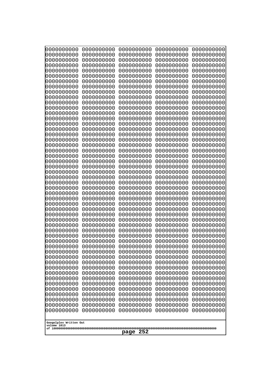| 000000000                             | 0000000000               | 0000000000               | 0000000000               | 0000000000               |
|---------------------------------------|--------------------------|--------------------------|--------------------------|--------------------------|
| 0000000000                            | 0000000000               | 0000000000               | 0000000000               | 0000000000               |
| 0000000000                            | 0000000000               | 0000000000               | 0000000000               | 0000000000               |
| 0000000000                            | 0000000000               | 0000000000               | 0000000000               | 0000000000               |
| 0000000000                            | 0000000000               | 0000000000               | 0000000000               | 0000000000               |
| 0000000000                            | 0000000000               | 0000000000               | 0000000000               | 0000000000               |
| 0000000000                            | 0000000000               | 0000000000               | 0000000000               | 0000000000               |
| 0000000000<br>0000000000              | 0000000000<br>0000000000 | 0000000000<br>0000000000 | 0000000000<br>0000000000 | 0000000000<br>0000000000 |
| 0000000000                            | 0000000000               | 0000000000               | 0000000000               | 0000000000               |
| 0000000000                            | 0000000000               | 0000000000               | 0000000000               | 0000000000               |
| 0000000000                            | 0000000000               | 0000000000               | 0000000000               | 0000000000               |
| 0000000000                            | 0000000000               | 0000000000               | 0000000000               | 0000000000               |
| 0000000000                            | 0000000000               | 0000000000               | 0000000000               | 0000000000               |
| 0000000000                            | 0000000000               | 0000000000               | 0000000000               | 0000000000               |
| 0000000000                            | 0000000000               | 0000000000               | 0000000000               | 0000000000               |
| 0000000000<br>0000000000              | 0000000000<br>0000000000 | 0000000000<br>0000000000 | 0000000000<br>0000000000 | 0000000000<br>0000000000 |
| 0000000000                            | 0000000000               | 0000000000               | 0000000000               | 0000000000               |
| 0000000000                            | 0000000000               | 0000000000               | 0000000000               | 0000000000               |
| 0000000000                            | 0000000000               | 0000000000               | 0000000000               | 0000000000               |
| 0000000000                            | 0000000000               | 0000000000               | 0000000000               | 0000000000               |
| 0000000000                            | 0000000000               | 0000000000               | 0000000000               | 0000000000               |
| 0000000000                            | 0000000000               | 0000000000               | 0000000000               | 0000000000               |
| 0000000000                            | 0000000000               | 0000000000               | 0000000000               | 0000000000               |
| 0000000000<br>0000000000              | 0000000000<br>0000000000 | 0000000000<br>0000000000 | 0000000000<br>0000000000 | 0000000000<br>0000000000 |
| 0000000000                            | 0000000000               | 0000000000               | 0000000000               | 0000000000               |
| 0000000000                            | 0000000000               | 0000000000               | 0000000000               | 0000000000               |
| 0000000000                            | 0000000000               | 0000000000               | 0000000000               | 0000000000               |
| 0000000000                            | 0000000000               | 0000000000               | 0000000000               | 0000000000               |
| 0000000000                            | 0000000000               | 0000000000               | 0000000000               | 0000000000               |
| 0000000000                            | 0000000000               | 0000000000               | 0000000000               | 0000000000               |
| 0000000000                            | 0000000000<br>0000000000 | 0000000000<br>0000000000 | 0000000000               | 0000000000               |
| 0000000000<br>0000000000              | 0000000000               | 0000000000               | 0000000000<br>0000000000 | 0000000000<br>0000000000 |
| 0000000000                            | 0000000000               | 0000000000               | 0000000000               | 0000000000               |
| 0000000000                            | 0000000000               | 0000000000               | 0000000000               | 0000000000               |
| 0000000000                            | 0000000000               | 0000000000               | 0000000000               | 0000000000               |
| 0000000000                            | 0000000000               | 0000000000               | 0000000000               | 0000000000               |
| 0000000000                            | 0000000000               | 0000000000               | 0000000000               | 0000000000               |
| 0000000000                            | 0000000000               | 0000000000               | 0000000000               | 0000000000               |
| 0000000000<br>0000000000              | 0000000000<br>0000000000 | 0000000000<br>0000000000 | 0000000000<br>0000000000 | 0000000000<br>0000000000 |
| 0000000000                            | 0000000000               | 0000000000               | 0000000000               | 0000000000               |
| 0000000000                            | 0000000000               | 0000000000               | 0000000000               | 0000000000               |
| 0000000000                            | 0000000000               | 0000000000               | 0000000000               | 0000000000               |
| 0000000000                            | 0000000000               | 0000000000               | 0000000000               | 0000000000               |
| 0000000000                            | 0000000000               | 0000000000               | 0000000000               | 0000000000               |
| 0000000000                            | 0000000000               | 0000000000               | 0000000000               | 0000000000               |
|                                       |                          |                          |                          |                          |
| Googolplex Written Out<br>volume 1013 |                          |                          |                          |                          |
|                                       |                          | 252<br>page              |                          |                          |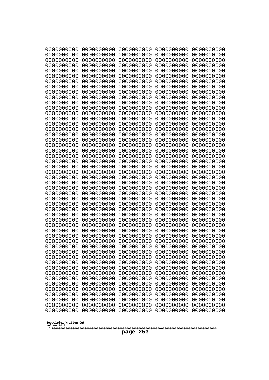| 10000000000<br>0000000000 | 0000000000<br>0000000000 | 0000000000<br>0000000000 | 0000000000<br>0000000000 | 0000000000<br>0000000000 |
|---------------------------|--------------------------|--------------------------|--------------------------|--------------------------|
| 0000000000                | 0000000000               | 0000000000               | 0000000000               | 0000000000               |
| 0000000000                | 0000000000               | 0000000000               | 0000000000               | 0000000000               |
| 0000000000<br>0000000000  | 0000000000<br>0000000000 | 0000000000<br>0000000000 | 0000000000<br>0000000000 | 0000000000<br>0000000000 |
| 0000000000                | 0000000000               | 0000000000               | 0000000000               | 0000000000               |
| 0000000000                | 0000000000               | 0000000000               | 0000000000               | 0000000000               |
| 0000000000<br>0000000000  | 0000000000<br>0000000000 | 0000000000<br>0000000000 | 0000000000<br>0000000000 | 0000000000<br>0000000000 |
| 0000000000                | 0000000000               | 0000000000               | 0000000000               | 0000000000               |
| 0000000000                | 0000000000               | 0000000000               | 0000000000               | 0000000000               |
| 0000000000<br>0000000000  | 0000000000<br>0000000000 | 0000000000<br>0000000000 | 0000000000<br>0000000000 | 0000000000<br>0000000000 |
| 0000000000                | 0000000000               | 0000000000               | 0000000000               | 0000000000               |
| 0000000000                | 0000000000               | 0000000000               | 0000000000               | 0000000000               |
| 0000000000<br>0000000000  | 0000000000<br>0000000000 | 0000000000<br>0000000000 | 0000000000<br>0000000000 | 0000000000<br>0000000000 |
| 0000000000                | 0000000000               | 0000000000               | 0000000000               | 0000000000               |
| 0000000000                | 0000000000               | 0000000000               | 0000000000               | 0000000000               |
| 0000000000                | 0000000000               | 0000000000               | 0000000000               | 0000000000               |
| 0000000000<br>0000000000  | 0000000000<br>0000000000 | 0000000000<br>0000000000 | 0000000000<br>0000000000 | 0000000000<br>0000000000 |
| 0000000000                | 0000000000               | 0000000000               | 0000000000               | 0000000000               |
| 0000000000                | 0000000000               | 0000000000               | 0000000000               | 0000000000               |
| 0000000000<br>0000000000  | 0000000000<br>0000000000 | 0000000000<br>0000000000 | 0000000000<br>0000000000 | 0000000000<br>0000000000 |
| 0000000000                | 0000000000               | 0000000000               | 0000000000               | 0000000000               |
| 0000000000                | 0000000000               | 0000000000               | 0000000000               | 0000000000               |
| 0000000000<br>0000000000  | 0000000000<br>0000000000 | 0000000000<br>0000000000 | 0000000000<br>0000000000 | 0000000000<br>0000000000 |
| 0000000000                | 0000000000               | 0000000000               | 0000000000               | 0000000000               |
| 0000000000                | 0000000000               | 0000000000               | 0000000000               | 0000000000               |
| 0000000000<br>0000000000  | 0000000000<br>0000000000 | 0000000000<br>0000000000 | 0000000000<br>0000000000 | 0000000000<br>0000000000 |
| 0000000000                | 0000000000               | 0000000000               | 0000000000               | 0000000000               |
| 0000000000                | 0000000000               | 0000000000               | 0000000000               | 0000000000               |
| 0000000000<br>0000000000  | 0000000000<br>0000000000 | 0000000000<br>0000000000 | 0000000000<br>0000000000 | 0000000000<br>0000000000 |
| 0000000000                | 0000000000               | 0000000000               | 0000000000               | 0000000000               |
| 0000000000                | 0000000000               | 0000000000               | 0000000000               | 0000000000               |
| 0000000000<br>0000000000  | 0000000000<br>0000000000 | 0000000000<br>0000000000 | 0000000000<br>0000000000 | 0000000000<br>0000000000 |
| 0000000000                | 0000000000               | 0000000000               | 0000000000               | 0000000000               |
| 0000000000                | 0000000000               | 0000000000               | 0000000000               | 0000000000               |
| 0000000000                | 0000000000<br>0000000000 | 0000000000               | 0000000000               | 0000000000               |
| 0000000000<br>0000000000  | 0000000000               | 0000000000<br>0000000000 | 0000000000<br>0000000000 | 0000000000<br>0000000000 |
| 0000000000                | 0000000000               | 0000000000               | 0000000000               | 0000000000               |
| 0000000000                | 0000000000               | 0000000000               | 0000000000               | 0000000000               |
| Googolplex Written Out    |                          |                          |                          |                          |
| volume 1013               |                          |                          |                          |                          |
| 253<br>page               |                          |                          |                          |                          |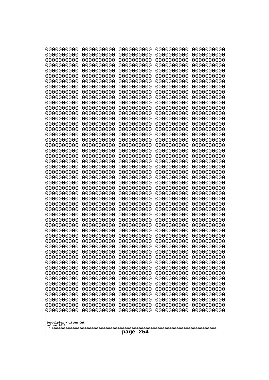| 0000000000<br>0000000000<br>0000000000<br>0000000000<br>0000000000<br>0000000000<br>0000000000<br>0000000000<br>0000000000<br>0000000000<br>0000000000<br>0000000000<br>0000000000<br>0000000000<br>0000000000<br>0000000000<br>0000000000<br>0000000000<br>0000000000<br>0000000000<br>0000000000<br>0000000000<br>0000000000<br>0000000000 | 0000000000<br>0000000000<br>0000000000<br>0000000000<br>0000000000<br>0000000000<br>0000000000<br>0000000000<br>0000000000<br>0000000000<br>0000000000<br>0000000000<br>0000000000<br>0000000000<br>0000000000<br>0000000000<br>0000000000<br>0000000000<br>0000000000<br>0000000000<br>0000000000<br>0000000000<br>0000000000<br>0000000000 | 0000000000<br>0000000000<br>0000000000<br>0000000000<br>0000000000<br>0000000000<br>0000000000<br>0000000000<br>0000000000<br>0000000000<br>0000000000<br>0000000000<br>0000000000<br>0000000000<br>0000000000<br>0000000000<br>0000000000<br>0000000000<br>0000000000<br>0000000000<br>0000000000<br>0000000000<br>0000000000<br>0000000000 | 0000000000<br>0000000000<br>0000000000<br>0000000000<br>0000000000<br>0000000000<br>0000000000<br>0000000000<br>0000000000<br>0000000000<br>0000000000<br>0000000000<br>0000000000<br>0000000000<br>0000000000<br>0000000000<br>0000000000<br>0000000000<br>0000000000<br>0000000000<br>0000000000<br>0000000000<br>0000000000<br>0000000000 | 0000000000<br>0000000000<br>0000000000<br>0000000000<br>0000000000<br>0000000000<br>0000000000<br>0000000000<br>0000000000<br>0000000000<br>0000000000<br>0000000000<br>0000000000<br>0000000000<br>0000000000<br>0000000000<br>0000000000<br>0000000000<br>0000000000<br>0000000000<br>0000000000<br>0000000000<br>0000000000<br>0000000000 |
|----------------------------------------------------------------------------------------------------------------------------------------------------------------------------------------------------------------------------------------------------------------------------------------------------------------------------------------------|----------------------------------------------------------------------------------------------------------------------------------------------------------------------------------------------------------------------------------------------------------------------------------------------------------------------------------------------|----------------------------------------------------------------------------------------------------------------------------------------------------------------------------------------------------------------------------------------------------------------------------------------------------------------------------------------------|----------------------------------------------------------------------------------------------------------------------------------------------------------------------------------------------------------------------------------------------------------------------------------------------------------------------------------------------|----------------------------------------------------------------------------------------------------------------------------------------------------------------------------------------------------------------------------------------------------------------------------------------------------------------------------------------------|
|                                                                                                                                                                                                                                                                                                                                              |                                                                                                                                                                                                                                                                                                                                              |                                                                                                                                                                                                                                                                                                                                              |                                                                                                                                                                                                                                                                                                                                              |                                                                                                                                                                                                                                                                                                                                              |
|                                                                                                                                                                                                                                                                                                                                              |                                                                                                                                                                                                                                                                                                                                              |                                                                                                                                                                                                                                                                                                                                              |                                                                                                                                                                                                                                                                                                                                              |                                                                                                                                                                                                                                                                                                                                              |
|                                                                                                                                                                                                                                                                                                                                              |                                                                                                                                                                                                                                                                                                                                              |                                                                                                                                                                                                                                                                                                                                              |                                                                                                                                                                                                                                                                                                                                              |                                                                                                                                                                                                                                                                                                                                              |
|                                                                                                                                                                                                                                                                                                                                              |                                                                                                                                                                                                                                                                                                                                              |                                                                                                                                                                                                                                                                                                                                              |                                                                                                                                                                                                                                                                                                                                              |                                                                                                                                                                                                                                                                                                                                              |
|                                                                                                                                                                                                                                                                                                                                              |                                                                                                                                                                                                                                                                                                                                              |                                                                                                                                                                                                                                                                                                                                              |                                                                                                                                                                                                                                                                                                                                              |                                                                                                                                                                                                                                                                                                                                              |
|                                                                                                                                                                                                                                                                                                                                              |                                                                                                                                                                                                                                                                                                                                              |                                                                                                                                                                                                                                                                                                                                              |                                                                                                                                                                                                                                                                                                                                              |                                                                                                                                                                                                                                                                                                                                              |
|                                                                                                                                                                                                                                                                                                                                              |                                                                                                                                                                                                                                                                                                                                              |                                                                                                                                                                                                                                                                                                                                              |                                                                                                                                                                                                                                                                                                                                              |                                                                                                                                                                                                                                                                                                                                              |
|                                                                                                                                                                                                                                                                                                                                              |                                                                                                                                                                                                                                                                                                                                              |                                                                                                                                                                                                                                                                                                                                              |                                                                                                                                                                                                                                                                                                                                              |                                                                                                                                                                                                                                                                                                                                              |
|                                                                                                                                                                                                                                                                                                                                              |                                                                                                                                                                                                                                                                                                                                              |                                                                                                                                                                                                                                                                                                                                              |                                                                                                                                                                                                                                                                                                                                              |                                                                                                                                                                                                                                                                                                                                              |
|                                                                                                                                                                                                                                                                                                                                              |                                                                                                                                                                                                                                                                                                                                              |                                                                                                                                                                                                                                                                                                                                              |                                                                                                                                                                                                                                                                                                                                              |                                                                                                                                                                                                                                                                                                                                              |
|                                                                                                                                                                                                                                                                                                                                              |                                                                                                                                                                                                                                                                                                                                              |                                                                                                                                                                                                                                                                                                                                              |                                                                                                                                                                                                                                                                                                                                              |                                                                                                                                                                                                                                                                                                                                              |
|                                                                                                                                                                                                                                                                                                                                              |                                                                                                                                                                                                                                                                                                                                              |                                                                                                                                                                                                                                                                                                                                              |                                                                                                                                                                                                                                                                                                                                              |                                                                                                                                                                                                                                                                                                                                              |
|                                                                                                                                                                                                                                                                                                                                              |                                                                                                                                                                                                                                                                                                                                              |                                                                                                                                                                                                                                                                                                                                              |                                                                                                                                                                                                                                                                                                                                              |                                                                                                                                                                                                                                                                                                                                              |
| 0000000000                                                                                                                                                                                                                                                                                                                                   | 0000000000                                                                                                                                                                                                                                                                                                                                   | 0000000000                                                                                                                                                                                                                                                                                                                                   | 0000000000                                                                                                                                                                                                                                                                                                                                   | 0000000000                                                                                                                                                                                                                                                                                                                                   |
| 0000000000<br>0000000000                                                                                                                                                                                                                                                                                                                     | 0000000000<br>0000000000                                                                                                                                                                                                                                                                                                                     | 0000000000<br>0000000000                                                                                                                                                                                                                                                                                                                     | 0000000000<br>0000000000                                                                                                                                                                                                                                                                                                                     | 0000000000<br>0000000000                                                                                                                                                                                                                                                                                                                     |
| 0000000000                                                                                                                                                                                                                                                                                                                                   | 0000000000                                                                                                                                                                                                                                                                                                                                   | 0000000000                                                                                                                                                                                                                                                                                                                                   | 0000000000                                                                                                                                                                                                                                                                                                                                   | 0000000000                                                                                                                                                                                                                                                                                                                                   |
| 0000000000<br>0000000000                                                                                                                                                                                                                                                                                                                     | 0000000000<br>0000000000                                                                                                                                                                                                                                                                                                                     | 0000000000<br>0000000000                                                                                                                                                                                                                                                                                                                     | 0000000000<br>0000000000                                                                                                                                                                                                                                                                                                                     | 0000000000<br>0000000000                                                                                                                                                                                                                                                                                                                     |
| 0000000000                                                                                                                                                                                                                                                                                                                                   | 0000000000                                                                                                                                                                                                                                                                                                                                   | 0000000000                                                                                                                                                                                                                                                                                                                                   | 0000000000                                                                                                                                                                                                                                                                                                                                   | 0000000000                                                                                                                                                                                                                                                                                                                                   |
| 0000000000                                                                                                                                                                                                                                                                                                                                   | 0000000000                                                                                                                                                                                                                                                                                                                                   | 0000000000                                                                                                                                                                                                                                                                                                                                   | 0000000000                                                                                                                                                                                                                                                                                                                                   | 0000000000                                                                                                                                                                                                                                                                                                                                   |
| 0000000000<br>0000000000                                                                                                                                                                                                                                                                                                                     | 0000000000<br>0000000000                                                                                                                                                                                                                                                                                                                     | 0000000000<br>0000000000                                                                                                                                                                                                                                                                                                                     | 0000000000<br>0000000000                                                                                                                                                                                                                                                                                                                     | 0000000000<br>0000000000                                                                                                                                                                                                                                                                                                                     |
| 0000000000                                                                                                                                                                                                                                                                                                                                   | 0000000000                                                                                                                                                                                                                                                                                                                                   | 0000000000                                                                                                                                                                                                                                                                                                                                   | 0000000000                                                                                                                                                                                                                                                                                                                                   | 0000000000                                                                                                                                                                                                                                                                                                                                   |
| 0000000000<br>0000000000                                                                                                                                                                                                                                                                                                                     | 0000000000<br>0000000000                                                                                                                                                                                                                                                                                                                     | 0000000000<br>0000000000                                                                                                                                                                                                                                                                                                                     | 0000000000<br>0000000000                                                                                                                                                                                                                                                                                                                     | 0000000000<br>0000000000                                                                                                                                                                                                                                                                                                                     |
| 0000000000                                                                                                                                                                                                                                                                                                                                   | 0000000000                                                                                                                                                                                                                                                                                                                                   | 0000000000                                                                                                                                                                                                                                                                                                                                   | 0000000000                                                                                                                                                                                                                                                                                                                                   | 0000000000                                                                                                                                                                                                                                                                                                                                   |
| 0000000000<br>0000000000                                                                                                                                                                                                                                                                                                                     | 0000000000<br>0000000000                                                                                                                                                                                                                                                                                                                     | 0000000000<br>0000000000                                                                                                                                                                                                                                                                                                                     | 0000000000<br>0000000000                                                                                                                                                                                                                                                                                                                     | 0000000000<br>0000000000                                                                                                                                                                                                                                                                                                                     |
| 0000000000                                                                                                                                                                                                                                                                                                                                   | 0000000000                                                                                                                                                                                                                                                                                                                                   | 0000000000                                                                                                                                                                                                                                                                                                                                   | 0000000000                                                                                                                                                                                                                                                                                                                                   | 0000000000                                                                                                                                                                                                                                                                                                                                   |
| 0000000000<br>0000000000                                                                                                                                                                                                                                                                                                                     | 0000000000<br>0000000000                                                                                                                                                                                                                                                                                                                     | 0000000000<br>0000000000                                                                                                                                                                                                                                                                                                                     | 0000000000<br>0000000000                                                                                                                                                                                                                                                                                                                     | 0000000000<br>0000000000                                                                                                                                                                                                                                                                                                                     |
| 0000000000                                                                                                                                                                                                                                                                                                                                   | 0000000000                                                                                                                                                                                                                                                                                                                                   | 0000000000                                                                                                                                                                                                                                                                                                                                   | 0000000000                                                                                                                                                                                                                                                                                                                                   | 0000000000                                                                                                                                                                                                                                                                                                                                   |
| 0000000000<br>0000000000                                                                                                                                                                                                                                                                                                                     | 0000000000<br>0000000000                                                                                                                                                                                                                                                                                                                     | 0000000000<br>0000000000                                                                                                                                                                                                                                                                                                                     | 0000000000<br>0000000000                                                                                                                                                                                                                                                                                                                     | 0000000000<br>0000000000                                                                                                                                                                                                                                                                                                                     |
| 0000000000                                                                                                                                                                                                                                                                                                                                   | 0000000000                                                                                                                                                                                                                                                                                                                                   | 0000000000                                                                                                                                                                                                                                                                                                                                   | 0000000000                                                                                                                                                                                                                                                                                                                                   | 0000000000                                                                                                                                                                                                                                                                                                                                   |
| 0000000000                                                                                                                                                                                                                                                                                                                                   | 0000000000                                                                                                                                                                                                                                                                                                                                   | 0000000000                                                                                                                                                                                                                                                                                                                                   | 0000000000                                                                                                                                                                                                                                                                                                                                   | 0000000000                                                                                                                                                                                                                                                                                                                                   |
| 0000000000<br>0000000000                                                                                                                                                                                                                                                                                                                     | 0000000000<br>0000000000                                                                                                                                                                                                                                                                                                                     | 0000000000<br>0000000000                                                                                                                                                                                                                                                                                                                     | 0000000000<br>0000000000                                                                                                                                                                                                                                                                                                                     | 0000000000<br>0000000000                                                                                                                                                                                                                                                                                                                     |
|                                                                                                                                                                                                                                                                                                                                              |                                                                                                                                                                                                                                                                                                                                              |                                                                                                                                                                                                                                                                                                                                              |                                                                                                                                                                                                                                                                                                                                              |                                                                                                                                                                                                                                                                                                                                              |
| Googolplex Written Out<br>volume 1013                                                                                                                                                                                                                                                                                                        |                                                                                                                                                                                                                                                                                                                                              |                                                                                                                                                                                                                                                                                                                                              |                                                                                                                                                                                                                                                                                                                                              |                                                                                                                                                                                                                                                                                                                                              |
| page                                                                                                                                                                                                                                                                                                                                         |                                                                                                                                                                                                                                                                                                                                              |                                                                                                                                                                                                                                                                                                                                              |                                                                                                                                                                                                                                                                                                                                              |                                                                                                                                                                                                                                                                                                                                              |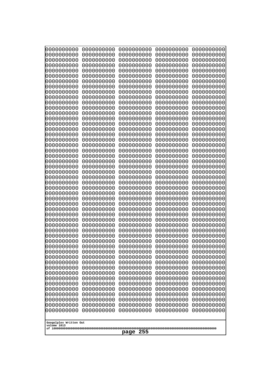| 0000000000                                                                                                                                                                                                                                              | 0000000000 | 0000000000 | 0000000000 | 0000000000 |
|---------------------------------------------------------------------------------------------------------------------------------------------------------------------------------------------------------------------------------------------------------|------------|------------|------------|------------|
| 0000000000                                                                                                                                                                                                                                              | 0000000000 | 0000000000 | 0000000000 | 0000000000 |
| 0000000000                                                                                                                                                                                                                                              | 0000000000 | 0000000000 | 0000000000 | 0000000000 |
| 0000000000                                                                                                                                                                                                                                              | 0000000000 | 0000000000 | 0000000000 | 0000000000 |
| 0000000000                                                                                                                                                                                                                                              | 0000000000 | 0000000000 | 0000000000 | 0000000000 |
| 0000000000                                                                                                                                                                                                                                              | 0000000000 | 0000000000 | 0000000000 | 0000000000 |
| 0000000000                                                                                                                                                                                                                                              | 0000000000 | 0000000000 | 0000000000 | 0000000000 |
| 0000000000                                                                                                                                                                                                                                              | 0000000000 | 0000000000 | 0000000000 | 0000000000 |
| 0000000000                                                                                                                                                                                                                                              | 0000000000 | 0000000000 | 0000000000 | 0000000000 |
| 0000000000                                                                                                                                                                                                                                              | 0000000000 | 0000000000 | 0000000000 | 0000000000 |
| 0000000000                                                                                                                                                                                                                                              | 0000000000 | 0000000000 | 0000000000 | 0000000000 |
| 0000000000                                                                                                                                                                                                                                              | 0000000000 | 0000000000 | 0000000000 | 0000000000 |
| 0000000000                                                                                                                                                                                                                                              | 0000000000 | 0000000000 | 0000000000 | 0000000000 |
| 0000000000                                                                                                                                                                                                                                              | 0000000000 | 0000000000 | 0000000000 | 0000000000 |
| 0000000000                                                                                                                                                                                                                                              | 0000000000 | 0000000000 | 0000000000 | 0000000000 |
| 0000000000                                                                                                                                                                                                                                              | 0000000000 | 0000000000 | 0000000000 | 0000000000 |
| 0000000000                                                                                                                                                                                                                                              | 0000000000 | 0000000000 | 0000000000 | 0000000000 |
| 0000000000                                                                                                                                                                                                                                              | 0000000000 | 0000000000 | 0000000000 | 0000000000 |
| 0000000000                                                                                                                                                                                                                                              | 0000000000 | 0000000000 | 0000000000 | 0000000000 |
| 0000000000                                                                                                                                                                                                                                              | 0000000000 | 0000000000 | 0000000000 | 0000000000 |
| 0000000000                                                                                                                                                                                                                                              | 0000000000 | 0000000000 | 0000000000 | 0000000000 |
| 0000000000                                                                                                                                                                                                                                              | 0000000000 | 0000000000 | 0000000000 | 0000000000 |
| 0000000000                                                                                                                                                                                                                                              | 0000000000 | 0000000000 | 0000000000 | 0000000000 |
| 0000000000                                                                                                                                                                                                                                              | 0000000000 | 0000000000 | 0000000000 | 0000000000 |
| 0000000000                                                                                                                                                                                                                                              | 0000000000 | 0000000000 | 0000000000 | 0000000000 |
| 0000000000                                                                                                                                                                                                                                              | 0000000000 | 0000000000 | 0000000000 | 0000000000 |
| 0000000000                                                                                                                                                                                                                                              | 0000000000 | 0000000000 | 0000000000 | 0000000000 |
| 0000000000                                                                                                                                                                                                                                              | 0000000000 | 0000000000 | 0000000000 | 0000000000 |
| 0000000000                                                                                                                                                                                                                                              | 0000000000 | 0000000000 | 0000000000 | 0000000000 |
| 0000000000                                                                                                                                                                                                                                              | 0000000000 | 0000000000 | 0000000000 | 0000000000 |
| 0000000000                                                                                                                                                                                                                                              | 0000000000 | 0000000000 | 0000000000 | 0000000000 |
| 0000000000                                                                                                                                                                                                                                              | 0000000000 | 0000000000 | 0000000000 | 0000000000 |
| 0000000000                                                                                                                                                                                                                                              | 0000000000 | 0000000000 | 0000000000 | 0000000000 |
| 0000000000                                                                                                                                                                                                                                              | 0000000000 | 0000000000 | 0000000000 | 0000000000 |
| 0000000000                                                                                                                                                                                                                                              | 0000000000 | 0000000000 | 0000000000 | 0000000000 |
| 0000000000                                                                                                                                                                                                                                              | 0000000000 | 0000000000 | 0000000000 | 0000000000 |
| 0000000000                                                                                                                                                                                                                                              | 0000000000 | 0000000000 | 0000000000 | 0000000000 |
| 0000000000                                                                                                                                                                                                                                              | 0000000000 | 0000000000 | 0000000000 | 0000000000 |
| 0000000000                                                                                                                                                                                                                                              | 0000000000 | 0000000000 | 0000000000 | 0000000000 |
| 0000000000                                                                                                                                                                                                                                              | 0000000000 | 0000000000 | 0000000000 | 0000000000 |
| 0000000000                                                                                                                                                                                                                                              | 0000000000 | 0000000000 | 0000000000 | 0000000000 |
| 0000000000                                                                                                                                                                                                                                              | 0000000000 | 0000000000 | 0000000000 | 0000000000 |
| 0000000000                                                                                                                                                                                                                                              | 0000000000 | 0000000000 | 0000000000 | 0000000000 |
| 0000000000                                                                                                                                                                                                                                              | 0000000000 | 0000000000 | 0000000000 | 0000000000 |
| 0000000000                                                                                                                                                                                                                                              | 0000000000 | 0000000000 | 0000000000 | 0000000000 |
| 0000000000                                                                                                                                                                                                                                              | 0000000000 | 0000000000 | 0000000000 | 0000000000 |
| 0000000000                                                                                                                                                                                                                                              | 0000000000 | 0000000000 | 0000000000 | 0000000000 |
| 0000000000<br>0000000000<br>0000000000<br>0000000000<br>0000000000<br>0000000000<br>0000000000<br>0000000000<br>0000000000<br>0000000000<br>0000000000<br>0000000000<br>0000000000<br>0000000000<br>0000000000<br>Googolplex Written Out<br>volume 1013 |            |            |            |            |
| page                                                                                                                                                                                                                                                    |            |            |            |            |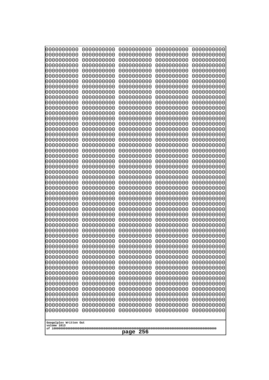| 0000000000                                           | 0000000000 | 0000000000 | 0000000000 | 0000000000 |
|------------------------------------------------------|------------|------------|------------|------------|
| 0000000000                                           | 0000000000 | 0000000000 | 0000000000 | 0000000000 |
| 0000000000                                           | 0000000000 | 0000000000 | 0000000000 | 0000000000 |
| 0000000000                                           | 0000000000 | 0000000000 | 0000000000 | 0000000000 |
| 0000000000                                           | 0000000000 | 0000000000 | 0000000000 | 0000000000 |
| 0000000000                                           | 0000000000 | 0000000000 | 0000000000 | 0000000000 |
| 0000000000                                           | 0000000000 | 0000000000 | 0000000000 | 0000000000 |
| 0000000000                                           | 0000000000 | 0000000000 | 0000000000 | 0000000000 |
| 0000000000                                           | 0000000000 | 0000000000 | 0000000000 | 0000000000 |
| 0000000000                                           | 0000000000 | 0000000000 | 0000000000 | 0000000000 |
| 0000000000                                           | 0000000000 | 0000000000 | 0000000000 | 0000000000 |
| 0000000000                                           | 0000000000 | 0000000000 | 0000000000 | 0000000000 |
| 0000000000                                           | 0000000000 | 0000000000 | 0000000000 | 0000000000 |
| 0000000000                                           | 0000000000 | 0000000000 | 0000000000 | 0000000000 |
| 0000000000                                           | 0000000000 | 0000000000 | 0000000000 | 0000000000 |
| 0000000000                                           | 0000000000 | 0000000000 | 0000000000 | 0000000000 |
| 0000000000                                           | 0000000000 | 0000000000 | 0000000000 | 0000000000 |
| 0000000000                                           | 0000000000 | 0000000000 | 0000000000 | 0000000000 |
| 0000000000                                           | 0000000000 | 0000000000 | 0000000000 | 0000000000 |
| 0000000000                                           | 0000000000 | 0000000000 | 0000000000 | 0000000000 |
| 0000000000                                           | 0000000000 | 0000000000 | 0000000000 | 0000000000 |
| 0000000000                                           | 0000000000 | 0000000000 | 0000000000 | 0000000000 |
| 0000000000                                           | 0000000000 | 0000000000 | 0000000000 | 0000000000 |
| 0000000000                                           | 0000000000 | 0000000000 | 0000000000 | 0000000000 |
| 0000000000                                           | 0000000000 | 0000000000 | 0000000000 | 0000000000 |
| 0000000000                                           | 0000000000 | 0000000000 | 0000000000 | 0000000000 |
| 0000000000                                           | 0000000000 | 0000000000 | 0000000000 | 0000000000 |
| 0000000000                                           | 0000000000 | 0000000000 | 0000000000 | 0000000000 |
| 0000000000                                           | 0000000000 | 0000000000 | 0000000000 | 0000000000 |
| 0000000000                                           | 0000000000 | 0000000000 | 0000000000 | 0000000000 |
| 0000000000                                           | 0000000000 | 0000000000 | 0000000000 | 0000000000 |
| 0000000000                                           | 0000000000 | 0000000000 | 0000000000 | 0000000000 |
| 0000000000                                           | 0000000000 | 0000000000 | 0000000000 | 0000000000 |
| 0000000000                                           | 0000000000 | 0000000000 | 0000000000 | 0000000000 |
| 0000000000                                           | 0000000000 | 0000000000 | 0000000000 | 0000000000 |
| 0000000000                                           | 0000000000 | 0000000000 | 0000000000 | 0000000000 |
| 0000000000                                           | 0000000000 | 0000000000 | 0000000000 | 0000000000 |
| 0000000000                                           | 0000000000 | 0000000000 | 0000000000 | 0000000000 |
| 0000000000                                           | 0000000000 | 0000000000 | 0000000000 | 0000000000 |
| 0000000000                                           | 0000000000 | 0000000000 | 0000000000 | 0000000000 |
| 0000000000                                           | 0000000000 | 0000000000 | 0000000000 | 0000000000 |
| 0000000000                                           | 0000000000 | 0000000000 | 0000000000 | 0000000000 |
| 0000000000                                           | 0000000000 | 0000000000 | 0000000000 | 0000000000 |
| 0000000000                                           | 0000000000 | 0000000000 | 0000000000 | 0000000000 |
| 0000000000                                           | 0000000000 | 0000000000 | 0000000000 | 0000000000 |
| 0000000000                                           | 0000000000 | 0000000000 | 0000000000 | 0000000000 |
| 0000000000                                           | 0000000000 | 0000000000 | 0000000000 | 0000000000 |
| 0000000000                                           | 0000000000 | 0000000000 | 0000000000 | 0000000000 |
| 0000000000                                           | 0000000000 | 0000000000 | 0000000000 | 0000000000 |
| 0000000000                                           | 0000000000 | 0000000000 | 0000000000 | 0000000000 |
| Googolplex Written Out<br>volume 1013<br>256<br>page |            |            |            |            |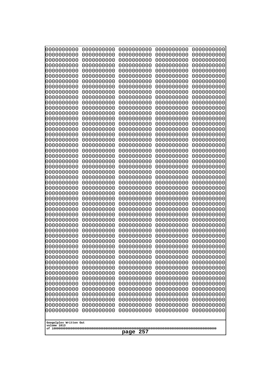| 10000000000<br>0000000000             | 0000000000<br>0000000000 | 0000000000<br>0000000000 | 0000000000<br>0000000000 | 0000000000<br>0000000000 |
|---------------------------------------|--------------------------|--------------------------|--------------------------|--------------------------|
| 0000000000                            | 0000000000               | 0000000000               | 0000000000               | 0000000000               |
| 0000000000                            | 0000000000               | 0000000000               | 0000000000               | 0000000000               |
| 0000000000<br>0000000000              | 0000000000<br>0000000000 | 0000000000<br>0000000000 | 0000000000<br>0000000000 | 0000000000<br>0000000000 |
| 0000000000                            | 0000000000               | 0000000000               | 0000000000               | 0000000000               |
| 0000000000                            | 0000000000               | 0000000000               | 0000000000               | 0000000000               |
| 0000000000<br>0000000000              | 0000000000<br>0000000000 | 0000000000<br>0000000000 | 0000000000<br>0000000000 | 0000000000<br>0000000000 |
| 0000000000                            | 0000000000               | 0000000000               | 0000000000               | 0000000000               |
| 0000000000                            | 0000000000               | 0000000000               | 0000000000               | 0000000000               |
| 0000000000                            | 0000000000               | 0000000000               | 0000000000               | 0000000000               |
| 0000000000<br>0000000000              | 0000000000<br>0000000000 | 0000000000<br>0000000000 | 0000000000<br>0000000000 | 0000000000<br>0000000000 |
| 0000000000                            | 0000000000               | 0000000000               | 0000000000               | 0000000000               |
| 0000000000                            | 0000000000               | 0000000000               | 0000000000               | 0000000000               |
| 0000000000<br>0000000000              | 0000000000<br>0000000000 | 0000000000<br>0000000000 | 0000000000<br>0000000000 | 0000000000<br>0000000000 |
| 0000000000                            | 0000000000               | 0000000000               | 0000000000               | 0000000000               |
| 0000000000                            | 0000000000               | 0000000000               | 0000000000               | 0000000000               |
| 0000000000<br>0000000000              | 0000000000<br>0000000000 | 0000000000<br>0000000000 | 0000000000<br>0000000000 | 0000000000<br>0000000000 |
| 0000000000                            | 0000000000               | 0000000000               | 0000000000               | 0000000000               |
| 0000000000                            | 0000000000               | 0000000000               | 0000000000               | 0000000000               |
| 0000000000<br>0000000000              | 0000000000<br>0000000000 | 0000000000<br>0000000000 | 0000000000<br>0000000000 | 0000000000<br>0000000000 |
| 0000000000                            | 0000000000               | 0000000000               | 0000000000               | 0000000000               |
| 0000000000                            | 0000000000               | 0000000000               | 0000000000               | 0000000000               |
| 0000000000                            | 0000000000               | 0000000000               | 0000000000               | 0000000000               |
| 0000000000<br>0000000000              | 0000000000<br>0000000000 | 0000000000<br>0000000000 | 0000000000<br>0000000000 | 0000000000<br>0000000000 |
| 0000000000                            | 0000000000               | 0000000000               | 0000000000               | 0000000000               |
| 0000000000                            | 0000000000               | 0000000000               | 0000000000               | 0000000000               |
| 0000000000<br>0000000000              | 0000000000<br>0000000000 | 0000000000<br>0000000000 | 0000000000<br>0000000000 | 0000000000<br>0000000000 |
| 0000000000                            | 0000000000               | 0000000000               | 0000000000               | 0000000000               |
| 0000000000                            | 0000000000               | 0000000000               | 0000000000               | 0000000000               |
| 0000000000<br>0000000000              | 0000000000<br>0000000000 | 0000000000<br>0000000000 | 0000000000<br>0000000000 | 0000000000<br>0000000000 |
| 0000000000                            | 0000000000               | 0000000000               | 0000000000               | 0000000000               |
| 0000000000                            | 0000000000               | 0000000000               | 0000000000               | 0000000000               |
| 0000000000<br>0000000000              | 0000000000<br>0000000000 | 0000000000<br>0000000000 | 0000000000<br>0000000000 | 0000000000<br>0000000000 |
| 0000000000                            | 0000000000               | 0000000000               | 0000000000               | 0000000000               |
| 0000000000                            | 0000000000               | 0000000000               | 0000000000               | 0000000000               |
| 0000000000<br>0000000000              | 0000000000               | 0000000000               | 0000000000               | 0000000000               |
| 0000000000                            | 0000000000<br>0000000000 | 0000000000<br>0000000000 | 0000000000<br>0000000000 | 0000000000<br>0000000000 |
| 0000000000                            | 0000000000               | 0000000000               | 0000000000               | 0000000000               |
|                                       |                          |                          |                          |                          |
| Googolplex Written Out<br>volume 1013 |                          |                          |                          |                          |
| 257<br>page                           |                          |                          |                          |                          |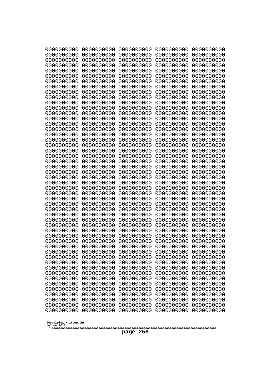| 0000000000<br>0000000000<br>0000000000<br>0000000000<br>0000000000<br>0000000000<br>0000000000<br>0000000000<br>0000000000<br>0000000000<br>0000000000<br>0000000000<br>0000000000<br>0000000000<br>0000000000<br>0000000000<br>0000000000<br>0000000000<br>0000000000<br>0000000000<br>0000000000<br>0000000000<br>0000000000<br>0000000000 | 0000000000<br>0000000000<br>0000000000<br>0000000000<br>0000000000<br>0000000000<br>0000000000<br>0000000000<br>0000000000<br>0000000000<br>0000000000<br>0000000000<br>0000000000<br>0000000000<br>0000000000<br>0000000000<br>0000000000<br>0000000000<br>0000000000<br>0000000000<br>0000000000<br>0000000000<br>0000000000<br>0000000000 | 0000000000<br>0000000000<br>0000000000<br>0000000000<br>0000000000<br>0000000000<br>0000000000<br>0000000000<br>0000000000<br>0000000000<br>0000000000<br>0000000000<br>0000000000<br>0000000000<br>0000000000<br>0000000000<br>0000000000<br>0000000000<br>0000000000<br>0000000000<br>0000000000<br>0000000000<br>0000000000<br>0000000000 | 0000000000<br>0000000000<br>0000000000<br>0000000000<br>0000000000<br>0000000000<br>0000000000<br>0000000000<br>0000000000<br>0000000000<br>0000000000<br>0000000000<br>0000000000<br>0000000000<br>0000000000<br>0000000000<br>0000000000<br>0000000000<br>0000000000<br>0000000000<br>0000000000<br>0000000000<br>0000000000<br>0000000000 | 0000000000<br>0000000000<br>0000000000<br>0000000000<br>0000000000<br>0000000000<br>0000000000<br>0000000000<br>0000000000<br>0000000000<br>0000000000<br>0000000000<br>0000000000<br>0000000000<br>0000000000<br>0000000000<br>0000000000<br>0000000000<br>0000000000<br>0000000000<br>0000000000<br>0000000000<br>0000000000<br>0000000000 |
|----------------------------------------------------------------------------------------------------------------------------------------------------------------------------------------------------------------------------------------------------------------------------------------------------------------------------------------------|----------------------------------------------------------------------------------------------------------------------------------------------------------------------------------------------------------------------------------------------------------------------------------------------------------------------------------------------|----------------------------------------------------------------------------------------------------------------------------------------------------------------------------------------------------------------------------------------------------------------------------------------------------------------------------------------------|----------------------------------------------------------------------------------------------------------------------------------------------------------------------------------------------------------------------------------------------------------------------------------------------------------------------------------------------|----------------------------------------------------------------------------------------------------------------------------------------------------------------------------------------------------------------------------------------------------------------------------------------------------------------------------------------------|
|                                                                                                                                                                                                                                                                                                                                              |                                                                                                                                                                                                                                                                                                                                              |                                                                                                                                                                                                                                                                                                                                              |                                                                                                                                                                                                                                                                                                                                              |                                                                                                                                                                                                                                                                                                                                              |
| 0000000000<br>0000000000<br>0000000000<br>0000000000<br>0000000000                                                                                                                                                                                                                                                                           | 0000000000<br>0000000000<br>0000000000<br>0000000000<br>0000000000                                                                                                                                                                                                                                                                           | 0000000000<br>0000000000<br>0000000000<br>0000000000<br>0000000000                                                                                                                                                                                                                                                                           | 0000000000<br>0000000000<br>0000000000<br>0000000000<br>0000000000                                                                                                                                                                                                                                                                           | 0000000000<br>0000000000<br>0000000000<br>0000000000<br>0000000000                                                                                                                                                                                                                                                                           |
| 0000000000<br>0000000000<br>0000000000<br>0000000000<br>0000000000<br>0000000000<br>0000000000<br>0000000000                                                                                                                                                                                                                                 | 0000000000<br>0000000000<br>0000000000<br>0000000000<br>0000000000<br>0000000000<br>0000000000<br>0000000000                                                                                                                                                                                                                                 | 0000000000<br>0000000000<br>0000000000<br>0000000000<br>0000000000<br>0000000000<br>0000000000<br>0000000000                                                                                                                                                                                                                                 | 0000000000<br>0000000000<br>0000000000<br>0000000000<br>0000000000<br>0000000000<br>0000000000                                                                                                                                                                                                                                               | 0000000000<br>0000000000<br>0000000000<br>0000000000<br>0000000000<br>0000000000<br>0000000000                                                                                                                                                                                                                                               |
| 0000000000<br>0000000000<br>0000000000<br>0000000000<br>0000000000<br>0000000000<br>0000000000                                                                                                                                                                                                                                               | 0000000000<br>0000000000<br>0000000000<br>0000000000<br>0000000000<br>0000000000<br>0000000000                                                                                                                                                                                                                                               | 0000000000<br>0000000000<br>0000000000<br>0000000000<br>0000000000<br>0000000000<br>0000000000                                                                                                                                                                                                                                               | 0000000000<br>0000000000<br>0000000000<br>0000000000<br>0000000000<br>0000000000<br>0000000000<br>0000000000                                                                                                                                                                                                                                 | 0000000000<br>0000000000<br>0000000000<br>0000000000<br>0000000000<br>0000000000<br>0000000000<br>0000000000                                                                                                                                                                                                                                 |
| 0000000000<br>0000000000<br>0000000000<br>0000000000<br>0000000000<br>0000000000                                                                                                                                                                                                                                                             | 0000000000<br>0000000000<br>0000000000<br>0000000000<br>0000000000<br>0000000000                                                                                                                                                                                                                                                             | 0000000000<br>0000000000<br>0000000000<br>0000000000<br>0000000000<br>0000000000                                                                                                                                                                                                                                                             | 0000000000<br>0000000000<br>0000000000<br>0000000000<br>0000000000<br>0000000000                                                                                                                                                                                                                                                             | 0000000000<br>0000000000<br>0000000000<br>0000000000<br>0000000000<br>0000000000                                                                                                                                                                                                                                                             |
| Googolplex Written Out<br>volume 1013<br>page                                                                                                                                                                                                                                                                                                |                                                                                                                                                                                                                                                                                                                                              |                                                                                                                                                                                                                                                                                                                                              |                                                                                                                                                                                                                                                                                                                                              |                                                                                                                                                                                                                                                                                                                                              |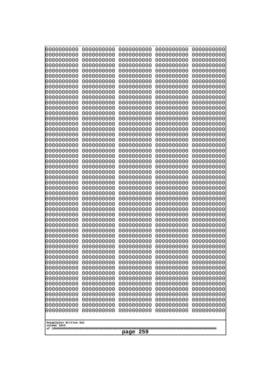| 10000000000<br>0000000000             | 0000000000<br>0000000000 | 0000000000<br>0000000000 | 0000000000<br>0000000000 | 0000000000<br>0000000000 |
|---------------------------------------|--------------------------|--------------------------|--------------------------|--------------------------|
| 0000000000                            | 0000000000               | 0000000000               | 0000000000               | 0000000000               |
| 0000000000                            | 0000000000               | 0000000000               | 0000000000               | 0000000000               |
| 0000000000<br>0000000000              | 0000000000<br>0000000000 | 0000000000<br>0000000000 | 0000000000<br>0000000000 | 0000000000<br>0000000000 |
| 0000000000                            | 0000000000               | 0000000000               | 0000000000               | 0000000000               |
| 0000000000                            | 0000000000               | 0000000000               | 0000000000               | 0000000000               |
| 0000000000<br>0000000000              | 0000000000<br>0000000000 | 0000000000<br>0000000000 | 0000000000<br>0000000000 | 0000000000<br>0000000000 |
| 0000000000                            | 0000000000               | 0000000000               | 0000000000               | 0000000000               |
| 0000000000                            | 0000000000               | 0000000000               | 0000000000               | 0000000000               |
| 0000000000<br>0000000000              | 0000000000<br>0000000000 | 0000000000<br>0000000000 | 0000000000<br>0000000000 | 0000000000<br>0000000000 |
| 0000000000                            | 0000000000               | 0000000000               | 0000000000               | 0000000000               |
| 0000000000                            | 0000000000               | 0000000000               | 0000000000               | 0000000000               |
| 0000000000<br>0000000000              | 0000000000<br>0000000000 | 0000000000<br>0000000000 | 0000000000<br>0000000000 | 0000000000<br>0000000000 |
| 0000000000                            | 0000000000               | 0000000000               | 0000000000               | 0000000000               |
| 0000000000                            | 0000000000               | 0000000000               | 0000000000               | 0000000000               |
| 0000000000<br>0000000000              | 0000000000<br>0000000000 | 0000000000<br>0000000000 | 0000000000<br>0000000000 | 0000000000<br>0000000000 |
| 0000000000                            | 0000000000               | 0000000000               | 0000000000               | 0000000000               |
| 0000000000                            | 0000000000               | 0000000000               | 0000000000               | 0000000000               |
| 0000000000<br>0000000000              | 0000000000<br>0000000000 | 0000000000<br>0000000000 | 0000000000<br>0000000000 | 0000000000<br>0000000000 |
| 0000000000                            | 0000000000               | 0000000000               | 0000000000               | 0000000000               |
| 0000000000                            | 0000000000               | 0000000000               | 0000000000               | 0000000000               |
| 0000000000<br>0000000000              | 0000000000<br>0000000000 | 0000000000<br>0000000000 | 0000000000<br>0000000000 | 0000000000<br>0000000000 |
| 0000000000                            | 0000000000               | 0000000000               | 0000000000               | 0000000000               |
| 0000000000                            | 0000000000               | 0000000000               | 0000000000               | 0000000000               |
| 0000000000<br>0000000000              | 0000000000<br>0000000000 | 0000000000<br>0000000000 | 0000000000<br>0000000000 | 0000000000<br>0000000000 |
| 0000000000                            | 0000000000               | 0000000000               | 0000000000               | 0000000000               |
| 0000000000                            | 0000000000               | 0000000000               | 0000000000               | 0000000000               |
| 0000000000<br>0000000000              | 0000000000<br>0000000000 | 0000000000<br>0000000000 | 0000000000<br>0000000000 | 0000000000<br>0000000000 |
| 0000000000                            | 0000000000               | 0000000000               | 0000000000               | 0000000000               |
| 0000000000                            | 0000000000               | 0000000000               | 0000000000               | 0000000000               |
| 0000000000<br>0000000000              | 0000000000<br>0000000000 | 0000000000<br>0000000000 | 0000000000<br>0000000000 | 0000000000<br>0000000000 |
| 0000000000                            | 0000000000               | 0000000000               | 0000000000               | 0000000000               |
| 0000000000                            | 0000000000               | 0000000000               | 0000000000               | 0000000000               |
| 0000000000<br>0000000000              | 0000000000<br>0000000000 | 0000000000<br>0000000000 | 0000000000<br>0000000000 | 0000000000<br>0000000000 |
| 0000000000                            | 0000000000               | 0000000000               | 0000000000               | 0000000000               |
| 0000000000                            | 0000000000               | 0000000000               | 0000000000               | 0000000000               |
| 0000000000<br>0000000000              | 0000000000<br>0000000000 | 0000000000<br>0000000000 | 0000000000<br>0000000000 | 0000000000<br>0000000000 |
|                                       |                          |                          |                          |                          |
| Googolplex Written Out<br>volume 1013 |                          |                          |                          |                          |
|                                       |                          | 259<br>page              |                          |                          |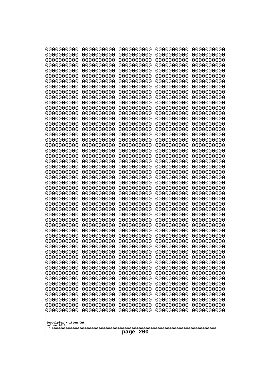| 10000000000<br>0000000000             | 0000000000<br>0000000000 | 0000000000<br>0000000000 | 0000000000<br>0000000000 | 0000000000<br>0000000000 |
|---------------------------------------|--------------------------|--------------------------|--------------------------|--------------------------|
| 0000000000                            | 0000000000               | 0000000000               | 0000000000               | 0000000000               |
| 0000000000                            | 0000000000               | 0000000000               | 0000000000               | 0000000000               |
| 0000000000                            | 0000000000               | 0000000000               | 0000000000               | 0000000000               |
| 0000000000<br>0000000000              | 0000000000<br>0000000000 | 0000000000<br>0000000000 | 0000000000<br>0000000000 | 0000000000<br>0000000000 |
| 0000000000                            | 0000000000               | 0000000000               | 0000000000               | 0000000000               |
| 0000000000                            | 0000000000               | 0000000000               | 0000000000               | 0000000000               |
| 0000000000                            | 0000000000               | 0000000000               | 0000000000               | 0000000000               |
| 0000000000<br>0000000000              | 0000000000<br>0000000000 | 0000000000<br>0000000000 | 0000000000<br>0000000000 | 0000000000               |
| 0000000000                            | 0000000000               | 0000000000               | 0000000000               | 0000000000<br>0000000000 |
| 0000000000                            | 0000000000               | 0000000000               | 0000000000               | 0000000000               |
| 0000000000                            | 0000000000               | 0000000000               | 0000000000               | 0000000000               |
| 0000000000<br>0000000000              | 0000000000<br>0000000000 | 0000000000<br>0000000000 | 0000000000<br>0000000000 | 0000000000<br>0000000000 |
| 0000000000                            | 0000000000               | 0000000000               | 0000000000               | 0000000000               |
| 0000000000                            | 0000000000               | 0000000000               | 0000000000               | 0000000000               |
| 0000000000                            | 0000000000               | 0000000000               | 0000000000               | 0000000000               |
| 0000000000<br>0000000000              | 0000000000<br>0000000000 | 0000000000<br>0000000000 | 0000000000<br>0000000000 | 0000000000<br>0000000000 |
| 0000000000                            | 0000000000               | 0000000000               | 0000000000               | 0000000000               |
| 0000000000                            | 0000000000               | 0000000000               | 0000000000               | 0000000000               |
| 0000000000                            | 0000000000               | 0000000000               | 0000000000               | 0000000000               |
| 0000000000<br>0000000000              | 0000000000<br>0000000000 | 0000000000<br>0000000000 | 0000000000<br>0000000000 | 0000000000<br>0000000000 |
| 0000000000                            | 0000000000               | 0000000000               | 0000000000               | 0000000000               |
| 0000000000                            | 0000000000               | 0000000000               | 0000000000               | 0000000000               |
| 0000000000                            | 0000000000               | 0000000000               | 0000000000               | 0000000000               |
| 0000000000<br>0000000000              | 0000000000<br>0000000000 | 0000000000<br>0000000000 | 0000000000<br>0000000000 | 0000000000<br>0000000000 |
| 0000000000                            | 0000000000               | 0000000000               | 0000000000               | 0000000000               |
| 0000000000                            | 0000000000               | 0000000000               | 0000000000               | 0000000000               |
| 0000000000                            | 0000000000               | 0000000000               | 0000000000               | 0000000000               |
| 0000000000<br>0000000000              | 0000000000<br>0000000000 | 0000000000<br>0000000000 | 0000000000<br>0000000000 | 0000000000<br>0000000000 |
| 0000000000                            | 0000000000               | 0000000000               | 0000000000               | 0000000000               |
| 0000000000                            | 0000000000               | 0000000000               | 0000000000               | 0000000000               |
| 0000000000                            | 0000000000               | 0000000000               | 0000000000               | 0000000000               |
| 0000000000<br>0000000000              | 0000000000<br>0000000000 | 0000000000<br>0000000000 | 0000000000<br>0000000000 | 0000000000<br>0000000000 |
| 0000000000                            | 0000000000               | 0000000000               | 0000000000               | 0000000000               |
| 0000000000                            | 0000000000               | 0000000000               | 0000000000               | 0000000000               |
| 0000000000                            | 0000000000               | 0000000000               | 0000000000               | 0000000000               |
| 0000000000<br>0000000000              | 0000000000<br>0000000000 | 0000000000<br>0000000000 | 0000000000<br>0000000000 | 0000000000<br>0000000000 |
| 0000000000                            | 0000000000               | 0000000000               | 0000000000               | 0000000000               |
| 0000000000                            | 0000000000               | 0000000000               | 0000000000               | 0000000000               |
| 0000000000                            | 0000000000               | 0000000000               | 0000000000               | 0000000000               |
|                                       |                          |                          |                          |                          |
| Googolplex Written Out<br>volume 1013 |                          |                          |                          |                          |
| page<br>260                           |                          |                          |                          |                          |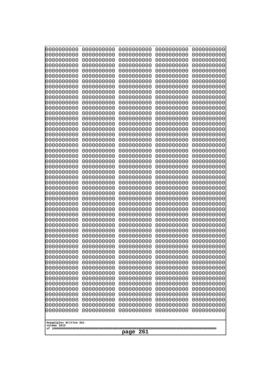| 10000000000<br>0000000000             | 0000000000<br>0000000000 | 0000000000<br>0000000000 | 0000000000<br>0000000000 | 0000000000<br>0000000000 |
|---------------------------------------|--------------------------|--------------------------|--------------------------|--------------------------|
| 0000000000                            | 0000000000               | 0000000000               | 0000000000               | 0000000000               |
| 0000000000                            | 0000000000               | 0000000000               | 0000000000               | 0000000000               |
| 0000000000                            | 0000000000               | 0000000000               | 0000000000               | 0000000000               |
| 0000000000<br>0000000000              | 0000000000<br>0000000000 | 0000000000<br>0000000000 | 0000000000<br>0000000000 | 0000000000<br>0000000000 |
| 0000000000                            | 0000000000               | 0000000000               | 0000000000               | 0000000000               |
| 0000000000                            | 0000000000               | 0000000000               | 0000000000               | 0000000000               |
| 0000000000                            | 0000000000               | 0000000000               | 0000000000               | 0000000000               |
| 0000000000<br>0000000000              | 0000000000<br>0000000000 | 0000000000<br>0000000000 | 0000000000<br>0000000000 | 0000000000<br>0000000000 |
| 0000000000                            | 0000000000               | 0000000000               | 0000000000               | 0000000000               |
| 0000000000                            | 0000000000               | 0000000000               | 0000000000               | 0000000000               |
| 0000000000                            | 0000000000               | 0000000000               | 0000000000               | 0000000000               |
| 0000000000<br>0000000000              | 0000000000<br>0000000000 | 0000000000<br>0000000000 | 0000000000<br>0000000000 | 0000000000<br>0000000000 |
| 0000000000                            | 0000000000               | 0000000000               | 0000000000               | 0000000000               |
| 0000000000                            | 0000000000               | 0000000000               | 0000000000               | 0000000000               |
| 0000000000<br>0000000000              | 0000000000               | 0000000000               | 0000000000               | 0000000000               |
| 0000000000                            | 0000000000<br>0000000000 | 0000000000<br>0000000000 | 0000000000<br>0000000000 | 0000000000<br>0000000000 |
| 0000000000                            | 0000000000               | 0000000000               | 0000000000               | 0000000000               |
| 0000000000                            | 0000000000               | 0000000000               | 0000000000               | 0000000000               |
| 0000000000<br>0000000000              | 0000000000<br>0000000000 | 0000000000<br>0000000000 | 0000000000<br>0000000000 | 0000000000<br>0000000000 |
| 0000000000                            | 0000000000               | 0000000000               | 0000000000               | 0000000000               |
| 0000000000                            | 0000000000               | 0000000000               | 0000000000               | 0000000000               |
| 0000000000                            | 0000000000               | 0000000000               | 0000000000               | 0000000000               |
| 0000000000<br>0000000000              | 0000000000<br>0000000000 | 0000000000<br>0000000000 | 0000000000<br>0000000000 | 0000000000<br>0000000000 |
| 0000000000                            | 0000000000               | 0000000000               | 0000000000               | 0000000000               |
| 0000000000                            | 0000000000               | 0000000000               | 0000000000               | 0000000000               |
| 0000000000<br>0000000000              | 0000000000<br>0000000000 | 0000000000<br>0000000000 | 0000000000<br>0000000000 | 0000000000<br>0000000000 |
| 0000000000                            | 0000000000               | 0000000000               | 0000000000               | 0000000000               |
| 0000000000                            | 0000000000               | 0000000000               | 0000000000               | 0000000000               |
| 0000000000                            | 0000000000               | 0000000000               | 0000000000               | 0000000000               |
| 0000000000<br>0000000000              | 0000000000<br>0000000000 | 0000000000<br>0000000000 | 0000000000<br>0000000000 | 0000000000<br>0000000000 |
| 0000000000                            | 0000000000               | 0000000000               | 0000000000               | 0000000000               |
| 0000000000                            | 0000000000               | 0000000000               | 0000000000               | 0000000000               |
| 0000000000<br>0000000000              | 0000000000<br>0000000000 | 0000000000<br>0000000000 | 0000000000<br>0000000000 | 0000000000<br>0000000000 |
| 0000000000                            | 0000000000               | 0000000000               | 0000000000               | 0000000000               |
| 0000000000                            | 0000000000               | 0000000000               | 0000000000               | 0000000000               |
| 0000000000                            | 0000000000               | 0000000000               | 0000000000               | 0000000000               |
| 0000000000<br>0000000000              | 0000000000<br>0000000000 | 0000000000<br>0000000000 | 0000000000<br>0000000000 | 0000000000<br>0000000000 |
| 0000000000                            | 0000000000               | 0000000000               | 0000000000               | 0000000000               |
|                                       |                          |                          |                          |                          |
| Googolplex Written Out<br>volume 1013 |                          |                          |                          |                          |
| 261<br>page                           |                          |                          |                          |                          |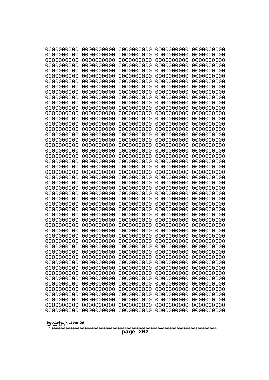| 10000000000<br>0000000000 | 0000000000<br>0000000000 | 0000000000<br>0000000000 | 0000000000<br>0000000000 | 0000000000<br>0000000000 |
|---------------------------|--------------------------|--------------------------|--------------------------|--------------------------|
| 0000000000                | 0000000000               | 0000000000               | 0000000000               | 0000000000               |
| 0000000000                | 0000000000               | 0000000000               | 0000000000               | 0000000000               |
| 0000000000<br>0000000000  | 0000000000<br>0000000000 | 0000000000               | 0000000000<br>0000000000 | 0000000000               |
| 0000000000                | 0000000000               | 0000000000<br>0000000000 | 0000000000               | 0000000000<br>0000000000 |
| 0000000000                | 0000000000               | 0000000000               | 0000000000               | 0000000000               |
| 0000000000                | 0000000000               | 0000000000               | 0000000000               | 0000000000               |
| 0000000000<br>0000000000  | 0000000000<br>0000000000 | 0000000000<br>0000000000 | 0000000000<br>0000000000 | 0000000000<br>0000000000 |
| 0000000000                | 0000000000               | 0000000000               | 0000000000               | 0000000000               |
| 0000000000                | 0000000000               | 0000000000               | 0000000000               | 0000000000               |
| 0000000000                | 0000000000               | 0000000000               | 0000000000               | 0000000000               |
| 0000000000<br>0000000000  | 0000000000<br>0000000000 | 0000000000<br>0000000000 | 0000000000<br>0000000000 | 0000000000<br>0000000000 |
| 0000000000                | 0000000000               | 0000000000               | 0000000000               | 0000000000               |
| 0000000000                | 0000000000               | 0000000000               | 0000000000               | 0000000000               |
| 0000000000<br>0000000000  | 0000000000<br>0000000000 | 0000000000<br>0000000000 | 0000000000<br>0000000000 | 0000000000<br>0000000000 |
| 0000000000                | 0000000000               | 0000000000               | 0000000000               | 0000000000               |
| 0000000000                | 0000000000               | 0000000000               | 0000000000               | 0000000000               |
| 0000000000                | 0000000000               | 0000000000               | 0000000000               | 0000000000               |
| 0000000000<br>0000000000  | 0000000000<br>0000000000 | 0000000000<br>0000000000 | 0000000000<br>0000000000 | 0000000000<br>0000000000 |
| 0000000000                | 0000000000               | 0000000000               | 0000000000               | 0000000000               |
| 0000000000                | 0000000000               | 0000000000               | 0000000000               | 0000000000               |
| 0000000000<br>0000000000  | 0000000000<br>0000000000 | 0000000000<br>0000000000 | 0000000000<br>0000000000 | 0000000000<br>0000000000 |
| 0000000000                | 0000000000               | 0000000000               | 0000000000               | 0000000000               |
| 0000000000                | 0000000000               | 0000000000               | 0000000000               | 0000000000               |
| 0000000000                | 0000000000               | 0000000000               | 0000000000               | 0000000000               |
| 0000000000<br>0000000000  | 0000000000<br>0000000000 | 0000000000<br>0000000000 | 0000000000<br>0000000000 | 0000000000<br>0000000000 |
| 0000000000                | 0000000000               | 0000000000               | 0000000000               | 0000000000               |
| 0000000000                | 0000000000               | 0000000000               | 0000000000               | 0000000000               |
| 0000000000<br>0000000000  | 0000000000<br>0000000000 | 0000000000<br>0000000000 | 0000000000<br>0000000000 | 0000000000<br>0000000000 |
| 0000000000                | 0000000000               | 0000000000               | 0000000000               | 0000000000               |
| 0000000000                | 0000000000               | 0000000000               | 0000000000               | 0000000000               |
| 0000000000<br>0000000000  | 0000000000               | 0000000000               | 0000000000               | 0000000000               |
| 0000000000                | 0000000000<br>0000000000 | 0000000000<br>0000000000 | 0000000000<br>0000000000 | 0000000000<br>0000000000 |
| 0000000000                | 0000000000               | 0000000000               | 0000000000               | 0000000000               |
| 0000000000                | 0000000000               | 0000000000               | 0000000000               | 0000000000               |
| 0000000000<br>0000000000  | 0000000000<br>0000000000 | 0000000000<br>0000000000 | 0000000000<br>0000000000 | 0000000000<br>0000000000 |
| 0000000000                | 0000000000               | 0000000000               | 0000000000               | 0000000000               |
| 0000000000                | 0000000000               | 0000000000               | 0000000000               | 0000000000               |
| 0000000000                | 0000000000               | 0000000000               | 0000000000               | 0000000000               |
| Googolplex Written Out    |                          |                          |                          |                          |
| volume 1013               |                          |                          |                          |                          |
| 262<br>page               |                          |                          |                          |                          |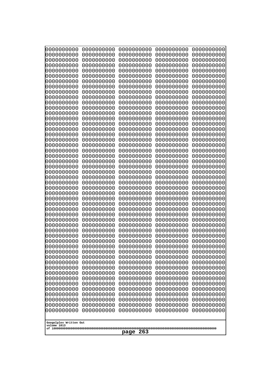| 10000000000<br>0000000000 | 0000000000<br>0000000000 | 0000000000<br>0000000000 | 0000000000<br>0000000000 | 0000000000<br>0000000000 |
|---------------------------|--------------------------|--------------------------|--------------------------|--------------------------|
| 0000000000                | 0000000000               | 0000000000               | 0000000000               | 0000000000               |
| 0000000000                | 0000000000               | 0000000000               | 0000000000               | 0000000000               |
| 0000000000<br>0000000000  | 0000000000<br>0000000000 | 0000000000               | 0000000000<br>0000000000 | 0000000000               |
| 0000000000                | 0000000000               | 0000000000<br>0000000000 | 0000000000               | 0000000000<br>0000000000 |
| 0000000000                | 0000000000               | 0000000000               | 0000000000               | 0000000000               |
| 0000000000                | 0000000000               | 0000000000               | 0000000000               | 0000000000               |
| 0000000000<br>0000000000  | 0000000000<br>0000000000 | 0000000000<br>0000000000 | 0000000000<br>0000000000 | 0000000000<br>0000000000 |
| 0000000000                | 0000000000               | 0000000000               | 0000000000               | 0000000000               |
| 0000000000                | 0000000000               | 0000000000               | 0000000000               | 0000000000               |
| 0000000000                | 0000000000               | 0000000000               | 0000000000               | 0000000000               |
| 0000000000<br>0000000000  | 0000000000<br>0000000000 | 0000000000<br>0000000000 | 0000000000<br>0000000000 | 0000000000<br>0000000000 |
| 0000000000                | 0000000000               | 0000000000               | 0000000000               | 0000000000               |
| 0000000000                | 0000000000               | 0000000000               | 0000000000               | 0000000000               |
| 0000000000<br>0000000000  | 0000000000<br>0000000000 | 0000000000<br>0000000000 | 0000000000<br>0000000000 | 0000000000<br>0000000000 |
| 0000000000                | 0000000000               | 0000000000               | 0000000000               | 0000000000               |
| 0000000000                | 0000000000               | 0000000000               | 0000000000               | 0000000000               |
| 0000000000                | 0000000000               | 0000000000               | 0000000000               | 0000000000               |
| 0000000000<br>0000000000  | 0000000000<br>0000000000 | 0000000000<br>0000000000 | 0000000000<br>0000000000 | 0000000000<br>0000000000 |
| 0000000000                | 0000000000               | 0000000000               | 0000000000               | 0000000000               |
| 0000000000                | 0000000000               | 0000000000               | 0000000000               | 0000000000               |
| 0000000000<br>0000000000  | 0000000000<br>0000000000 | 0000000000<br>0000000000 | 0000000000<br>0000000000 | 0000000000<br>0000000000 |
| 0000000000                | 0000000000               | 0000000000               | 0000000000               | 0000000000               |
| 0000000000                | 0000000000               | 0000000000               | 0000000000               | 0000000000               |
| 0000000000                | 0000000000               | 0000000000               | 0000000000               | 0000000000               |
| 0000000000<br>0000000000  | 0000000000<br>0000000000 | 0000000000<br>0000000000 | 0000000000<br>0000000000 | 0000000000<br>0000000000 |
| 0000000000                | 0000000000               | 0000000000               | 0000000000               | 0000000000               |
| 0000000000                | 0000000000               | 0000000000               | 0000000000               | 0000000000               |
| 0000000000<br>0000000000  | 0000000000<br>0000000000 | 0000000000<br>0000000000 | 0000000000<br>0000000000 | 0000000000<br>0000000000 |
| 0000000000                | 0000000000               | 0000000000               | 0000000000               | 0000000000               |
| 0000000000                | 0000000000               | 0000000000               | 0000000000               | 0000000000               |
| 0000000000<br>0000000000  | 0000000000               | 0000000000               | 0000000000               | 0000000000               |
| 0000000000                | 0000000000<br>0000000000 | 0000000000<br>0000000000 | 0000000000<br>0000000000 | 0000000000<br>0000000000 |
| 0000000000                | 0000000000               | 0000000000               | 0000000000               | 0000000000               |
| 0000000000                | 0000000000               | 0000000000               | 0000000000               | 0000000000               |
| 0000000000<br>0000000000  | 0000000000<br>0000000000 | 0000000000<br>0000000000 | 0000000000<br>0000000000 | 0000000000<br>0000000000 |
| 0000000000                | 0000000000               | 0000000000               | 0000000000               | 0000000000               |
| 0000000000                | 0000000000               | 0000000000               | 0000000000               | 0000000000               |
| 0000000000                | 0000000000               | 0000000000               | 0000000000               | 0000000000               |
| Googolplex Written Out    |                          |                          |                          |                          |
| volume 1013               |                          |                          |                          |                          |
| 263<br>page               |                          |                          |                          |                          |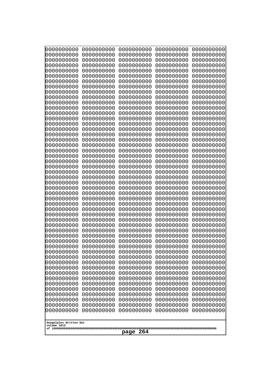| 10000000000<br>0000000000             | 0000000000<br>0000000000 | 0000000000<br>0000000000 | 0000000000<br>0000000000 | 0000000000<br>0000000000 |
|---------------------------------------|--------------------------|--------------------------|--------------------------|--------------------------|
| 0000000000                            | 0000000000               | 0000000000               | 0000000000               | 0000000000               |
| 0000000000                            | 0000000000               | 0000000000               | 0000000000               | 0000000000               |
| 0000000000<br>0000000000              | 0000000000<br>0000000000 | 0000000000               | 0000000000<br>0000000000 | 0000000000               |
| 0000000000                            | 0000000000               | 0000000000<br>0000000000 | 0000000000               | 0000000000<br>0000000000 |
| 0000000000                            | 0000000000               | 0000000000               | 0000000000               | 0000000000               |
| 0000000000                            | 0000000000               | 0000000000               | 0000000000               | 0000000000               |
| 0000000000<br>0000000000              | 0000000000<br>0000000000 | 0000000000<br>0000000000 | 0000000000<br>0000000000 | 0000000000<br>0000000000 |
| 0000000000                            | 0000000000               | 0000000000               | 0000000000               | 0000000000               |
| 0000000000                            | 0000000000               | 0000000000               | 0000000000               | 0000000000               |
| 0000000000<br>0000000000              | 0000000000<br>0000000000 | 0000000000<br>0000000000 | 0000000000<br>0000000000 | 0000000000<br>0000000000 |
| 0000000000                            | 0000000000               | 0000000000               | 0000000000               | 0000000000               |
| 0000000000                            | 0000000000               | 0000000000               | 0000000000               | 0000000000               |
| 0000000000<br>0000000000              | 0000000000               | 0000000000               | 0000000000               | 0000000000               |
| 0000000000                            | 0000000000<br>0000000000 | 0000000000<br>0000000000 | 0000000000<br>0000000000 | 0000000000<br>0000000000 |
| 0000000000                            | 0000000000               | 0000000000               | 0000000000               | 0000000000               |
| 0000000000                            | 0000000000               | 0000000000               | 0000000000               | 0000000000               |
| 0000000000<br>0000000000              | 0000000000<br>0000000000 | 0000000000<br>0000000000 | 0000000000<br>0000000000 | 0000000000<br>0000000000 |
| 0000000000                            | 0000000000               | 0000000000               | 0000000000               | 0000000000               |
| 0000000000                            | 0000000000               | 0000000000               | 0000000000               | 0000000000               |
| 0000000000<br>0000000000              | 0000000000<br>0000000000 | 0000000000<br>0000000000 | 0000000000<br>0000000000 | 0000000000<br>0000000000 |
| 0000000000                            | 0000000000               | 0000000000               | 0000000000               | 0000000000               |
| 0000000000                            | 0000000000               | 0000000000               | 0000000000               | 0000000000               |
| 0000000000<br>0000000000              | 0000000000<br>0000000000 | 0000000000<br>0000000000 | 0000000000<br>0000000000 | 0000000000<br>0000000000 |
| 0000000000                            | 0000000000               | 0000000000               | 0000000000               | 0000000000               |
| 0000000000                            | 0000000000               | 0000000000               | 0000000000               | 0000000000               |
| 0000000000                            | 0000000000               | 0000000000               | 0000000000               | 0000000000               |
| 0000000000<br>0000000000              | 0000000000<br>0000000000 | 0000000000<br>0000000000 | 0000000000<br>0000000000 | 0000000000<br>0000000000 |
| 0000000000                            | 0000000000               | 0000000000               | 0000000000               | 0000000000               |
| 0000000000                            | 0000000000               | 0000000000               | 0000000000               | 0000000000               |
| 0000000000<br>0000000000              | 0000000000<br>0000000000 | 0000000000<br>0000000000 | 0000000000<br>0000000000 | 0000000000<br>0000000000 |
| 0000000000                            | 0000000000               | 0000000000               | 0000000000               | 0000000000               |
| 0000000000                            | 0000000000               | 0000000000               | 0000000000               | 0000000000               |
| 0000000000<br>0000000000              | 0000000000<br>0000000000 | 0000000000<br>0000000000 | 0000000000<br>0000000000 | 0000000000<br>0000000000 |
| 0000000000                            | 0000000000               | 0000000000               | 0000000000               | 0000000000               |
| 0000000000                            | 0000000000               | 0000000000               | 0000000000               | 0000000000               |
| 0000000000                            | 0000000000               | 0000000000               | 0000000000               | 0000000000               |
| 0000000000<br>0000000000              | 0000000000<br>0000000000 | 0000000000<br>0000000000 | 0000000000<br>0000000000 | 0000000000<br>0000000000 |
|                                       |                          |                          |                          |                          |
| Googolplex Written Out<br>volume 1013 |                          |                          |                          |                          |
|                                       |                          | 264<br>page              |                          |                          |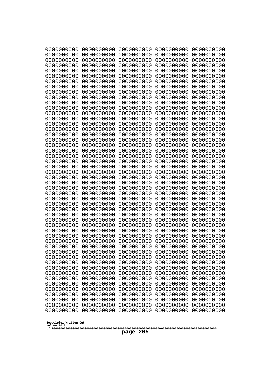| 10000000000<br>0000000000             | 0000000000<br>0000000000 | 0000000000<br>0000000000 | 0000000000<br>0000000000 | 0000000000<br>0000000000 |
|---------------------------------------|--------------------------|--------------------------|--------------------------|--------------------------|
| 0000000000                            | 0000000000               | 0000000000               | 0000000000               | 0000000000               |
| 0000000000                            | 0000000000               | 0000000000               | 0000000000               | 0000000000               |
| 0000000000<br>0000000000              | 0000000000<br>0000000000 | 0000000000<br>0000000000 | 0000000000<br>0000000000 | 0000000000               |
| 0000000000                            | 0000000000               | 0000000000               | 0000000000               | 0000000000<br>0000000000 |
| 0000000000                            | 0000000000               | 0000000000               | 0000000000               | 0000000000               |
| 0000000000                            | 0000000000               | 0000000000               | 0000000000               | 0000000000               |
| 0000000000<br>0000000000              | 0000000000<br>0000000000 | 0000000000<br>0000000000 | 0000000000<br>0000000000 | 0000000000<br>0000000000 |
| 0000000000                            | 0000000000               | 0000000000               | 0000000000               | 0000000000               |
| 0000000000                            | 0000000000               | 0000000000               | 0000000000               | 0000000000               |
| 0000000000<br>0000000000              | 0000000000<br>0000000000 | 0000000000<br>0000000000 | 0000000000<br>0000000000 | 0000000000<br>0000000000 |
| 0000000000                            | 0000000000               | 0000000000               | 0000000000               | 0000000000               |
| 0000000000                            | 0000000000               | 0000000000               | 0000000000               | 0000000000               |
| 0000000000<br>0000000000              | 0000000000               | 0000000000               | 0000000000               | 0000000000               |
| 0000000000                            | 0000000000<br>0000000000 | 0000000000<br>0000000000 | 0000000000<br>0000000000 | 0000000000<br>0000000000 |
| 0000000000                            | 0000000000               | 0000000000               | 0000000000               | 0000000000               |
| 0000000000                            | 0000000000               | 0000000000               | 0000000000               | 0000000000               |
| 0000000000<br>0000000000              | 0000000000<br>0000000000 | 0000000000<br>0000000000 | 0000000000<br>0000000000 | 0000000000<br>0000000000 |
| 0000000000                            | 0000000000               | 0000000000               | 0000000000               | 0000000000               |
| 0000000000                            | 0000000000               | 0000000000               | 0000000000               | 0000000000               |
| 0000000000<br>0000000000              | 0000000000<br>0000000000 | 0000000000<br>0000000000 | 0000000000<br>0000000000 | 0000000000<br>0000000000 |
| 0000000000                            | 0000000000               | 0000000000               | 0000000000               | 0000000000               |
| 0000000000                            | 0000000000               | 0000000000               | 0000000000               | 0000000000               |
| 0000000000<br>0000000000              | 0000000000<br>0000000000 | 0000000000<br>0000000000 | 0000000000<br>0000000000 | 0000000000<br>0000000000 |
| 0000000000                            | 0000000000               | 0000000000               | 0000000000               | 0000000000               |
| 0000000000                            | 0000000000               | 0000000000               | 0000000000               | 0000000000               |
| 0000000000                            | 0000000000               | 0000000000               | 0000000000               | 0000000000               |
| 0000000000<br>0000000000              | 0000000000<br>0000000000 | 0000000000<br>0000000000 | 0000000000<br>0000000000 | 0000000000<br>0000000000 |
| 0000000000                            | 0000000000               | 0000000000               | 0000000000               | 0000000000               |
| 0000000000                            | 0000000000               | 0000000000               | 0000000000               | 0000000000               |
| 0000000000<br>0000000000              | 0000000000<br>0000000000 | 0000000000<br>0000000000 | 0000000000<br>0000000000 | 0000000000<br>0000000000 |
| 0000000000                            | 0000000000               | 0000000000               | 0000000000               | 0000000000               |
| 0000000000                            | 0000000000               | 0000000000               | 0000000000               | 0000000000               |
| 0000000000<br>0000000000              | 0000000000<br>0000000000 | 0000000000<br>0000000000 | 0000000000<br>0000000000 | 0000000000<br>0000000000 |
| 0000000000                            | 0000000000               | 0000000000               | 0000000000               | 0000000000               |
| 0000000000                            | 0000000000               | 0000000000               | 0000000000               | 0000000000               |
| 0000000000                            | 0000000000               | 0000000000               | 0000000000               | 0000000000               |
| 0000000000<br>0000000000              | 0000000000<br>0000000000 | 0000000000<br>0000000000 | 0000000000<br>0000000000 | 0000000000<br>0000000000 |
|                                       |                          |                          |                          |                          |
| Googolplex Written Out<br>volume 1013 |                          |                          |                          |                          |
|                                       |                          | 265<br>page              |                          |                          |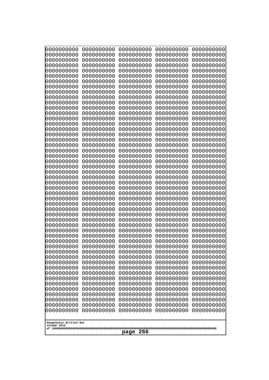| 0000000000               | 0000000000               | 0000000000               | 0000000000               | 0000000000               |
|--------------------------|--------------------------|--------------------------|--------------------------|--------------------------|
| 0000000000<br>0000000000 | 0000000000<br>0000000000 | 0000000000<br>0000000000 | 0000000000<br>0000000000 | 0000000000<br>0000000000 |
| 0000000000               | 0000000000               | 0000000000               | 0000000000               | 0000000000               |
| 0000000000               | 0000000000               | 0000000000               | 0000000000               | 0000000000               |
| 0000000000               | 0000000000               | 0000000000               | 0000000000               | 0000000000               |
| 0000000000<br>0000000000 | 0000000000<br>0000000000 | 0000000000<br>0000000000 | 0000000000<br>0000000000 | 0000000000<br>0000000000 |
| 0000000000               | 0000000000               | 0000000000               | 0000000000               | 0000000000               |
| 0000000000               | 0000000000               | 0000000000               | 0000000000               | 0000000000               |
| 0000000000<br>0000000000 | 0000000000<br>0000000000 | 0000000000<br>0000000000 | 0000000000<br>0000000000 | 0000000000<br>0000000000 |
| 0000000000               | 0000000000               | 0000000000               | 0000000000               | 0000000000               |
| 0000000000               | 0000000000               | 0000000000               | 0000000000               | 0000000000               |
| 0000000000               | 0000000000               | 0000000000               | 0000000000               | 0000000000               |
| 0000000000<br>0000000000 | 0000000000<br>0000000000 | 0000000000<br>0000000000 | 0000000000<br>0000000000 | 0000000000<br>0000000000 |
| 0000000000               | 0000000000               | 0000000000               | 0000000000               | 0000000000               |
| 0000000000               | 0000000000               | 0000000000               | 0000000000               | 0000000000               |
| 0000000000<br>0000000000 | 0000000000<br>0000000000 | 0000000000<br>0000000000 | 0000000000<br>0000000000 | 0000000000<br>0000000000 |
| 0000000000               | 0000000000               | 0000000000               | 0000000000               | 0000000000               |
| 0000000000               | 0000000000               | 0000000000               | 0000000000               | 0000000000               |
| 0000000000               | 0000000000               | 0000000000               | 0000000000               | 0000000000               |
| 0000000000<br>0000000000 | 0000000000<br>0000000000 | 0000000000<br>0000000000 | 0000000000<br>0000000000 | 0000000000<br>0000000000 |
| 0000000000               | 0000000000               | 0000000000               | 0000000000               | 0000000000               |
| 0000000000               | 0000000000               | 0000000000               | 0000000000               | 0000000000               |
| 0000000000<br>0000000000 | 0000000000<br>0000000000 | 0000000000<br>0000000000 | 0000000000<br>0000000000 | 0000000000<br>0000000000 |
| 0000000000               | 0000000000               | 0000000000               | 0000000000               | 0000000000               |
| 0000000000               | 0000000000               | 0000000000               | 0000000000               | 0000000000               |
| 0000000000<br>0000000000 | 0000000000<br>0000000000 | 0000000000<br>0000000000 | 0000000000<br>0000000000 | 0000000000<br>0000000000 |
| 0000000000               | 0000000000               | 0000000000               | 0000000000               | 0000000000               |
| 0000000000               | 0000000000               | 0000000000               | 0000000000               | 0000000000               |
| 0000000000               | 0000000000               | 0000000000               | 0000000000               | 0000000000               |
| 0000000000<br>0000000000 | 0000000000<br>0000000000 | 0000000000<br>0000000000 | 0000000000<br>0000000000 | 0000000000<br>0000000000 |
| 0000000000               | 0000000000               | 0000000000               | 0000000000               | 0000000000               |
| 0000000000               | 0000000000               | 0000000000               | 0000000000               | 0000000000               |
| 0000000000<br>0000000000 | 0000000000<br>0000000000 | 0000000000<br>0000000000 | 0000000000<br>0000000000 | 0000000000<br>0000000000 |
| 0000000000               | 0000000000               | 0000000000               | 0000000000               | 0000000000               |
| 0000000000               | 0000000000               | 0000000000               | 0000000000               | 0000000000               |
| 0000000000<br>0000000000 | 0000000000<br>0000000000 | 0000000000<br>0000000000 | 0000000000<br>0000000000 | 0000000000<br>0000000000 |
| 0000000000               | 0000000000               | 0000000000               | 0000000000               | 0000000000               |
| 0000000000               | 0000000000               | 0000000000               | 0000000000               | 0000000000               |
| 0000000000               | 0000000000               | 0000000000               | 0000000000               | 0000000000               |
| Googolplex Written Out   |                          |                          |                          |                          |
| volume 1013              |                          |                          |                          |                          |
| 266<br>page              |                          |                          |                          |                          |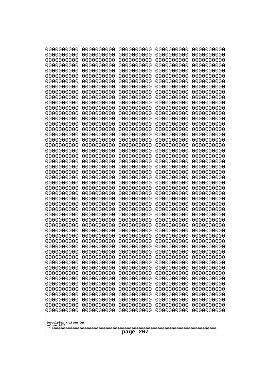| 10000000000<br>0000000000             | 0000000000<br>0000000000 | 0000000000<br>0000000000 | 0000000000<br>0000000000 | 0000000000<br>0000000000 |
|---------------------------------------|--------------------------|--------------------------|--------------------------|--------------------------|
| 0000000000                            | 0000000000               | 0000000000               | 0000000000               | 0000000000               |
| 0000000000                            | 0000000000               | 0000000000               | 0000000000               | 0000000000               |
| 0000000000<br>0000000000              | 0000000000<br>0000000000 | 0000000000<br>0000000000 | 0000000000<br>0000000000 | 0000000000<br>0000000000 |
| 0000000000                            | 0000000000               | 0000000000               | 0000000000               | 0000000000               |
| 0000000000                            | 0000000000               | 0000000000               | 0000000000               | 0000000000               |
| 0000000000<br>0000000000              | 0000000000<br>0000000000 | 0000000000<br>0000000000 | 0000000000<br>0000000000 | 0000000000<br>0000000000 |
| 0000000000                            | 0000000000               | 0000000000               | 0000000000               | 0000000000               |
| 0000000000                            | 0000000000               | 0000000000               | 0000000000               | 0000000000               |
| 0000000000<br>0000000000              | 0000000000<br>0000000000 | 0000000000<br>0000000000 | 0000000000<br>0000000000 | 0000000000<br>0000000000 |
| 0000000000                            | 0000000000               | 0000000000               | 0000000000               | 0000000000               |
| 0000000000                            | 0000000000               | 0000000000               | 0000000000               | 0000000000               |
| 0000000000<br>0000000000              | 0000000000<br>0000000000 | 0000000000<br>0000000000 | 0000000000<br>0000000000 | 0000000000<br>0000000000 |
| 0000000000                            | 0000000000               | 0000000000               | 0000000000               | 0000000000               |
| 0000000000                            | 0000000000               | 0000000000               | 0000000000               | 0000000000               |
| 0000000000<br>0000000000              | 0000000000<br>0000000000 | 0000000000<br>0000000000 | 0000000000<br>0000000000 | 0000000000<br>0000000000 |
| 0000000000                            | 0000000000               | 0000000000               | 0000000000               | 0000000000               |
| 0000000000                            | 0000000000               | 0000000000               | 0000000000               | 0000000000               |
| 0000000000<br>0000000000              | 0000000000<br>0000000000 | 0000000000<br>0000000000 | 0000000000<br>0000000000 | 0000000000<br>0000000000 |
| 0000000000                            | 0000000000               | 0000000000               | 0000000000               | 0000000000               |
| 0000000000                            | 0000000000               | 0000000000               | 0000000000               | 0000000000               |
| 0000000000<br>0000000000              | 0000000000<br>0000000000 | 0000000000<br>0000000000 | 0000000000<br>0000000000 | 0000000000<br>0000000000 |
| 0000000000                            | 0000000000               | 0000000000               | 0000000000               | 0000000000               |
| 0000000000                            | 0000000000               | 0000000000               | 0000000000               | 0000000000               |
| 0000000000<br>0000000000              | 0000000000<br>0000000000 | 0000000000<br>0000000000 | 0000000000<br>0000000000 | 0000000000<br>0000000000 |
| 0000000000                            | 0000000000               | 0000000000               | 0000000000               | 0000000000               |
| 0000000000                            | 0000000000               | 0000000000               | 0000000000               | 0000000000               |
| 0000000000<br>0000000000              | 0000000000<br>0000000000 | 0000000000<br>0000000000 | 0000000000<br>0000000000 | 0000000000<br>0000000000 |
| 0000000000                            | 0000000000               | 0000000000               | 0000000000               | 0000000000               |
| 0000000000                            | 0000000000               | 0000000000               | 0000000000               | 0000000000               |
| 0000000000<br>0000000000              | 0000000000<br>0000000000 | 0000000000<br>0000000000 | 0000000000<br>0000000000 | 0000000000<br>0000000000 |
| 0000000000                            | 0000000000               | 0000000000               | 0000000000               | 0000000000               |
| 0000000000                            | 0000000000               | 0000000000               | 0000000000               | 0000000000               |
| 0000000000<br>0000000000              | 0000000000<br>0000000000 | 0000000000<br>0000000000 | 0000000000<br>0000000000 | 0000000000<br>0000000000 |
| 0000000000                            | 0000000000               | 0000000000               | 0000000000               | 0000000000               |
| 0000000000                            | 0000000000               | 0000000000               | 0000000000               | 0000000000               |
| 0000000000<br>0000000000              | 0000000000<br>0000000000 | 0000000000<br>0000000000 | 0000000000<br>0000000000 | 0000000000<br>0000000000 |
|                                       |                          |                          |                          |                          |
| Googolplex Written Out<br>volume 1013 |                          |                          |                          |                          |
|                                       |                          | page<br>267              |                          |                          |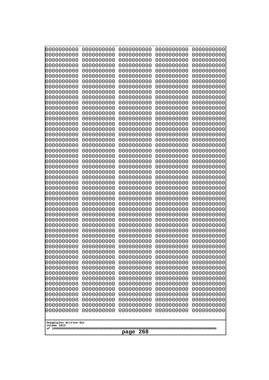| 10000000000<br>0000000000 | 0000000000<br>0000000000 | 0000000000<br>0000000000 | 0000000000<br>0000000000 | 0000000000<br>0000000000 |
|---------------------------|--------------------------|--------------------------|--------------------------|--------------------------|
| 0000000000                | 0000000000               | 0000000000               | 0000000000               | 0000000000               |
| 0000000000                | 0000000000               | 0000000000               | 0000000000               | 0000000000               |
| 0000000000<br>0000000000  | 0000000000<br>0000000000 | 0000000000               | 0000000000<br>0000000000 | 0000000000               |
| 0000000000                | 0000000000               | 0000000000<br>0000000000 | 0000000000               | 0000000000<br>0000000000 |
| 0000000000                | 0000000000               | 0000000000               | 0000000000               | 0000000000               |
| 0000000000                | 0000000000               | 0000000000               | 0000000000               | 0000000000               |
| 0000000000<br>0000000000  | 0000000000<br>0000000000 | 0000000000<br>0000000000 | 0000000000<br>0000000000 | 0000000000<br>0000000000 |
| 0000000000                | 0000000000               | 0000000000               | 0000000000               | 0000000000               |
| 0000000000                | 0000000000               | 0000000000               | 0000000000               | 0000000000               |
| 0000000000                | 0000000000               | 0000000000               | 0000000000               | 0000000000               |
| 0000000000<br>0000000000  | 0000000000<br>0000000000 | 0000000000<br>0000000000 | 0000000000<br>0000000000 | 0000000000<br>0000000000 |
| 0000000000                | 0000000000               | 0000000000               | 0000000000               | 0000000000               |
| 0000000000                | 0000000000               | 0000000000               | 0000000000               | 0000000000               |
| 0000000000<br>0000000000  | 0000000000<br>0000000000 | 0000000000<br>0000000000 | 0000000000<br>0000000000 | 0000000000<br>0000000000 |
| 0000000000                | 0000000000               | 0000000000               | 0000000000               | 0000000000               |
| 0000000000                | 0000000000               | 0000000000               | 0000000000               | 0000000000               |
| 0000000000                | 0000000000               | 0000000000               | 0000000000               | 0000000000               |
| 0000000000<br>0000000000  | 0000000000<br>0000000000 | 0000000000<br>0000000000 | 0000000000<br>0000000000 | 0000000000<br>0000000000 |
| 0000000000                | 0000000000               | 0000000000               | 0000000000               | 0000000000               |
| 0000000000                | 0000000000               | 0000000000               | 0000000000               | 0000000000               |
| 0000000000<br>0000000000  | 0000000000<br>0000000000 | 0000000000<br>0000000000 | 0000000000<br>0000000000 | 0000000000<br>0000000000 |
| 0000000000                | 0000000000               | 0000000000               | 0000000000               | 0000000000               |
| 0000000000                | 0000000000               | 0000000000               | 0000000000               | 0000000000               |
| 0000000000                | 0000000000               | 0000000000               | 0000000000               | 0000000000               |
| 0000000000<br>0000000000  | 0000000000<br>0000000000 | 0000000000<br>0000000000 | 0000000000<br>0000000000 | 0000000000<br>0000000000 |
| 0000000000                | 0000000000               | 0000000000               | 0000000000               | 0000000000               |
| 0000000000                | 0000000000               | 0000000000               | 0000000000               | 0000000000               |
| 0000000000<br>0000000000  | 0000000000<br>0000000000 | 0000000000<br>0000000000 | 0000000000<br>0000000000 | 0000000000<br>0000000000 |
| 0000000000                | 0000000000               | 0000000000               | 0000000000               | 0000000000               |
| 0000000000                | 0000000000               | 0000000000               | 0000000000               | 0000000000               |
| 0000000000<br>0000000000  | 0000000000               | 0000000000               | 0000000000               | 0000000000               |
| 0000000000                | 0000000000<br>0000000000 | 0000000000<br>0000000000 | 0000000000<br>0000000000 | 0000000000<br>0000000000 |
| 0000000000                | 0000000000               | 0000000000               | 0000000000               | 0000000000               |
| 0000000000                | 0000000000               | 0000000000               | 0000000000               | 0000000000               |
| 0000000000<br>0000000000  | 0000000000<br>0000000000 | 0000000000<br>0000000000 | 0000000000<br>0000000000 | 0000000000<br>0000000000 |
| 0000000000                | 0000000000               | 0000000000               | 0000000000               | 0000000000               |
| 0000000000                | 0000000000               | 0000000000               | 0000000000               | 0000000000               |
| 0000000000                | 0000000000               | 0000000000               | 0000000000               | 0000000000               |
| Googolplex Written Out    |                          |                          |                          |                          |
| volume 1013               |                          |                          |                          |                          |
| 268<br>page               |                          |                          |                          |                          |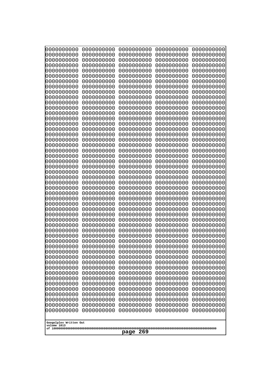| 0000000000<br>0000000000<br>0000000000<br>0000000000<br>0000000000<br>0000000000<br>0000000000<br>0000000000<br>0000000000<br>0000000000<br>0000000000<br>0000000000<br>0000000000<br>0000000000<br>0000000000<br>0000000000<br>0000000000<br>0000000000<br>0000000000<br>0000000000<br>0000000000<br>0000000000<br>0000000000<br>0000000000<br>0000000000<br>0000000000<br>0000000000<br>0000000000<br>0000000000<br>0000000000<br>0000000000<br>0000000000<br>0000000000<br>0000000000<br>0000000000<br>0000000000<br>0000000000<br>0000000000<br>0000000000<br>0000000000<br>0000000000<br>0000000000<br>0000000000<br>0000000000<br>0000000000<br>0000000000<br>0000000000<br>0000000000<br>0000000000<br>0000000000<br>0000000000<br>0000000000<br>0000000000<br>0000000000<br>0000000000<br>0000000000<br>0000000000<br>0000000000<br>0000000000<br>0000000000<br>0000000000<br>0000000000<br>0000000000<br>0000000000<br>0000000000<br>0000000000<br>0000000000<br>0000000000<br>0000000000<br>0000000000<br>0000000000<br>0000000000<br>0000000000<br>0000000000<br>0000000000<br>0000000000<br>0000000000<br>0000000000<br>0000000000<br>0000000000<br>0000000000<br>0000000000<br>0000000000<br>0000000000<br>0000000000<br>0000000000<br>0000000000<br>0000000000<br>0000000000<br>0000000000<br>0000000000<br>0000000000<br>0000000000<br>0000000000<br>0000000000<br>0000000000<br>0000000000<br>0000000000<br>0000000000<br>0000000000<br>0000000000<br>0000000000<br>0000000000<br>0000000000<br>0000000000<br>0000000000<br>0000000000<br>0000000000<br>0000000000<br>0000000000<br>0000000000<br>0000000000<br>0000000000<br>0000000000<br>0000000000<br>0000000000<br>0000000000<br>0000000000<br>0000000000<br>0000000000<br>0000000000<br>0000000000<br>0000000000<br>0000000000<br>0000000000<br>0000000000<br>0000000000<br>0000000000<br>0000000000<br>0000000000<br>0000000000<br>0000000000<br>0000000000<br>0000000000<br>0000000000<br>0000000000<br>0000000000<br>0000000000<br>0000000000<br>0000000000<br>0000000000<br>0000000000<br>0000000000<br>0000000000<br>0000000000<br>0000000000<br>0000000000<br>0000000000<br>0000000000<br>0000000000<br>0000000000<br>0000000000<br>0000000000<br>0000000000<br>0000000000<br>0000000000<br>0000000000<br>0000000000<br>0000000000<br>0000000000<br>0000000000<br>0000000000<br>0000000000<br>0000000000<br>0000000000<br>0000000000<br>0000000000<br>0000000000<br>0000000000<br>0000000000<br>0000000000<br>0000000000<br>0000000000<br>0000000000<br>0000000000<br>0000000000<br>0000000000<br>0000000000<br>0000000000<br>0000000000<br>0000000000<br>0000000000 | 10000000000<br>0000000000 | 0000000000<br>0000000000 | 0000000000<br>0000000000 | 0000000000<br>0000000000 | 0000000000<br>0000000000 |
|--------------------------------------------------------------------------------------------------------------------------------------------------------------------------------------------------------------------------------------------------------------------------------------------------------------------------------------------------------------------------------------------------------------------------------------------------------------------------------------------------------------------------------------------------------------------------------------------------------------------------------------------------------------------------------------------------------------------------------------------------------------------------------------------------------------------------------------------------------------------------------------------------------------------------------------------------------------------------------------------------------------------------------------------------------------------------------------------------------------------------------------------------------------------------------------------------------------------------------------------------------------------------------------------------------------------------------------------------------------------------------------------------------------------------------------------------------------------------------------------------------------------------------------------------------------------------------------------------------------------------------------------------------------------------------------------------------------------------------------------------------------------------------------------------------------------------------------------------------------------------------------------------------------------------------------------------------------------------------------------------------------------------------------------------------------------------------------------------------------------------------------------------------------------------------------------------------------------------------------------------------------------------------------------------------------------------------------------------------------------------------------------------------------------------------------------------------------------------------------------------------------------------------------------------------------------------------------------------------------------------------------------------|---------------------------|--------------------------|--------------------------|--------------------------|--------------------------|
|                                                                                                                                                                                                                                                                                                                                                                                                                                                                                                                                                                                                                                                                                                                                                                                                                                                                                                                                                                                                                                                                                                                                                                                                                                                                                                                                                                                                                                                                                                                                                                                                                                                                                                                                                                                                                                                                                                                                                                                                                                                                                                                                                                                                                                                                                                                                                                                                                                                                                                                                                                                                                                                  |                           |                          |                          |                          | 0000000000               |
|                                                                                                                                                                                                                                                                                                                                                                                                                                                                                                                                                                                                                                                                                                                                                                                                                                                                                                                                                                                                                                                                                                                                                                                                                                                                                                                                                                                                                                                                                                                                                                                                                                                                                                                                                                                                                                                                                                                                                                                                                                                                                                                                                                                                                                                                                                                                                                                                                                                                                                                                                                                                                                                  |                           |                          |                          |                          | 0000000000               |
|                                                                                                                                                                                                                                                                                                                                                                                                                                                                                                                                                                                                                                                                                                                                                                                                                                                                                                                                                                                                                                                                                                                                                                                                                                                                                                                                                                                                                                                                                                                                                                                                                                                                                                                                                                                                                                                                                                                                                                                                                                                                                                                                                                                                                                                                                                                                                                                                                                                                                                                                                                                                                                                  |                           |                          |                          |                          |                          |
|                                                                                                                                                                                                                                                                                                                                                                                                                                                                                                                                                                                                                                                                                                                                                                                                                                                                                                                                                                                                                                                                                                                                                                                                                                                                                                                                                                                                                                                                                                                                                                                                                                                                                                                                                                                                                                                                                                                                                                                                                                                                                                                                                                                                                                                                                                                                                                                                                                                                                                                                                                                                                                                  |                           |                          |                          |                          |                          |
|                                                                                                                                                                                                                                                                                                                                                                                                                                                                                                                                                                                                                                                                                                                                                                                                                                                                                                                                                                                                                                                                                                                                                                                                                                                                                                                                                                                                                                                                                                                                                                                                                                                                                                                                                                                                                                                                                                                                                                                                                                                                                                                                                                                                                                                                                                                                                                                                                                                                                                                                                                                                                                                  |                           |                          |                          |                          | 0000000000               |
|                                                                                                                                                                                                                                                                                                                                                                                                                                                                                                                                                                                                                                                                                                                                                                                                                                                                                                                                                                                                                                                                                                                                                                                                                                                                                                                                                                                                                                                                                                                                                                                                                                                                                                                                                                                                                                                                                                                                                                                                                                                                                                                                                                                                                                                                                                                                                                                                                                                                                                                                                                                                                                                  |                           |                          |                          |                          | 0000000000               |
|                                                                                                                                                                                                                                                                                                                                                                                                                                                                                                                                                                                                                                                                                                                                                                                                                                                                                                                                                                                                                                                                                                                                                                                                                                                                                                                                                                                                                                                                                                                                                                                                                                                                                                                                                                                                                                                                                                                                                                                                                                                                                                                                                                                                                                                                                                                                                                                                                                                                                                                                                                                                                                                  |                           |                          |                          |                          |                          |
|                                                                                                                                                                                                                                                                                                                                                                                                                                                                                                                                                                                                                                                                                                                                                                                                                                                                                                                                                                                                                                                                                                                                                                                                                                                                                                                                                                                                                                                                                                                                                                                                                                                                                                                                                                                                                                                                                                                                                                                                                                                                                                                                                                                                                                                                                                                                                                                                                                                                                                                                                                                                                                                  |                           |                          |                          |                          | 0000000000               |
|                                                                                                                                                                                                                                                                                                                                                                                                                                                                                                                                                                                                                                                                                                                                                                                                                                                                                                                                                                                                                                                                                                                                                                                                                                                                                                                                                                                                                                                                                                                                                                                                                                                                                                                                                                                                                                                                                                                                                                                                                                                                                                                                                                                                                                                                                                                                                                                                                                                                                                                                                                                                                                                  |                           |                          |                          |                          | 0000000000               |
|                                                                                                                                                                                                                                                                                                                                                                                                                                                                                                                                                                                                                                                                                                                                                                                                                                                                                                                                                                                                                                                                                                                                                                                                                                                                                                                                                                                                                                                                                                                                                                                                                                                                                                                                                                                                                                                                                                                                                                                                                                                                                                                                                                                                                                                                                                                                                                                                                                                                                                                                                                                                                                                  |                           |                          |                          |                          |                          |
|                                                                                                                                                                                                                                                                                                                                                                                                                                                                                                                                                                                                                                                                                                                                                                                                                                                                                                                                                                                                                                                                                                                                                                                                                                                                                                                                                                                                                                                                                                                                                                                                                                                                                                                                                                                                                                                                                                                                                                                                                                                                                                                                                                                                                                                                                                                                                                                                                                                                                                                                                                                                                                                  |                           |                          |                          |                          | 0000000000               |
|                                                                                                                                                                                                                                                                                                                                                                                                                                                                                                                                                                                                                                                                                                                                                                                                                                                                                                                                                                                                                                                                                                                                                                                                                                                                                                                                                                                                                                                                                                                                                                                                                                                                                                                                                                                                                                                                                                                                                                                                                                                                                                                                                                                                                                                                                                                                                                                                                                                                                                                                                                                                                                                  |                           |                          |                          |                          | 0000000000               |
|                                                                                                                                                                                                                                                                                                                                                                                                                                                                                                                                                                                                                                                                                                                                                                                                                                                                                                                                                                                                                                                                                                                                                                                                                                                                                                                                                                                                                                                                                                                                                                                                                                                                                                                                                                                                                                                                                                                                                                                                                                                                                                                                                                                                                                                                                                                                                                                                                                                                                                                                                                                                                                                  |                           |                          |                          |                          | 0000000000               |
|                                                                                                                                                                                                                                                                                                                                                                                                                                                                                                                                                                                                                                                                                                                                                                                                                                                                                                                                                                                                                                                                                                                                                                                                                                                                                                                                                                                                                                                                                                                                                                                                                                                                                                                                                                                                                                                                                                                                                                                                                                                                                                                                                                                                                                                                                                                                                                                                                                                                                                                                                                                                                                                  |                           |                          |                          |                          | 0000000000               |
|                                                                                                                                                                                                                                                                                                                                                                                                                                                                                                                                                                                                                                                                                                                                                                                                                                                                                                                                                                                                                                                                                                                                                                                                                                                                                                                                                                                                                                                                                                                                                                                                                                                                                                                                                                                                                                                                                                                                                                                                                                                                                                                                                                                                                                                                                                                                                                                                                                                                                                                                                                                                                                                  |                           |                          |                          |                          | 0000000000               |
|                                                                                                                                                                                                                                                                                                                                                                                                                                                                                                                                                                                                                                                                                                                                                                                                                                                                                                                                                                                                                                                                                                                                                                                                                                                                                                                                                                                                                                                                                                                                                                                                                                                                                                                                                                                                                                                                                                                                                                                                                                                                                                                                                                                                                                                                                                                                                                                                                                                                                                                                                                                                                                                  |                           |                          |                          |                          | 0000000000               |
|                                                                                                                                                                                                                                                                                                                                                                                                                                                                                                                                                                                                                                                                                                                                                                                                                                                                                                                                                                                                                                                                                                                                                                                                                                                                                                                                                                                                                                                                                                                                                                                                                                                                                                                                                                                                                                                                                                                                                                                                                                                                                                                                                                                                                                                                                                                                                                                                                                                                                                                                                                                                                                                  |                           |                          |                          |                          |                          |
|                                                                                                                                                                                                                                                                                                                                                                                                                                                                                                                                                                                                                                                                                                                                                                                                                                                                                                                                                                                                                                                                                                                                                                                                                                                                                                                                                                                                                                                                                                                                                                                                                                                                                                                                                                                                                                                                                                                                                                                                                                                                                                                                                                                                                                                                                                                                                                                                                                                                                                                                                                                                                                                  |                           |                          |                          |                          | 0000000000               |
|                                                                                                                                                                                                                                                                                                                                                                                                                                                                                                                                                                                                                                                                                                                                                                                                                                                                                                                                                                                                                                                                                                                                                                                                                                                                                                                                                                                                                                                                                                                                                                                                                                                                                                                                                                                                                                                                                                                                                                                                                                                                                                                                                                                                                                                                                                                                                                                                                                                                                                                                                                                                                                                  |                           |                          |                          |                          | 0000000000               |
|                                                                                                                                                                                                                                                                                                                                                                                                                                                                                                                                                                                                                                                                                                                                                                                                                                                                                                                                                                                                                                                                                                                                                                                                                                                                                                                                                                                                                                                                                                                                                                                                                                                                                                                                                                                                                                                                                                                                                                                                                                                                                                                                                                                                                                                                                                                                                                                                                                                                                                                                                                                                                                                  |                           |                          |                          |                          |                          |
|                                                                                                                                                                                                                                                                                                                                                                                                                                                                                                                                                                                                                                                                                                                                                                                                                                                                                                                                                                                                                                                                                                                                                                                                                                                                                                                                                                                                                                                                                                                                                                                                                                                                                                                                                                                                                                                                                                                                                                                                                                                                                                                                                                                                                                                                                                                                                                                                                                                                                                                                                                                                                                                  |                           |                          |                          |                          | 0000000000               |
|                                                                                                                                                                                                                                                                                                                                                                                                                                                                                                                                                                                                                                                                                                                                                                                                                                                                                                                                                                                                                                                                                                                                                                                                                                                                                                                                                                                                                                                                                                                                                                                                                                                                                                                                                                                                                                                                                                                                                                                                                                                                                                                                                                                                                                                                                                                                                                                                                                                                                                                                                                                                                                                  |                           |                          |                          |                          | 0000000000               |
|                                                                                                                                                                                                                                                                                                                                                                                                                                                                                                                                                                                                                                                                                                                                                                                                                                                                                                                                                                                                                                                                                                                                                                                                                                                                                                                                                                                                                                                                                                                                                                                                                                                                                                                                                                                                                                                                                                                                                                                                                                                                                                                                                                                                                                                                                                                                                                                                                                                                                                                                                                                                                                                  |                           |                          |                          |                          |                          |
|                                                                                                                                                                                                                                                                                                                                                                                                                                                                                                                                                                                                                                                                                                                                                                                                                                                                                                                                                                                                                                                                                                                                                                                                                                                                                                                                                                                                                                                                                                                                                                                                                                                                                                                                                                                                                                                                                                                                                                                                                                                                                                                                                                                                                                                                                                                                                                                                                                                                                                                                                                                                                                                  |                           |                          |                          |                          | 0000000000               |
|                                                                                                                                                                                                                                                                                                                                                                                                                                                                                                                                                                                                                                                                                                                                                                                                                                                                                                                                                                                                                                                                                                                                                                                                                                                                                                                                                                                                                                                                                                                                                                                                                                                                                                                                                                                                                                                                                                                                                                                                                                                                                                                                                                                                                                                                                                                                                                                                                                                                                                                                                                                                                                                  |                           |                          |                          |                          | 0000000000               |
|                                                                                                                                                                                                                                                                                                                                                                                                                                                                                                                                                                                                                                                                                                                                                                                                                                                                                                                                                                                                                                                                                                                                                                                                                                                                                                                                                                                                                                                                                                                                                                                                                                                                                                                                                                                                                                                                                                                                                                                                                                                                                                                                                                                                                                                                                                                                                                                                                                                                                                                                                                                                                                                  |                           |                          |                          |                          | 0000000000               |
|                                                                                                                                                                                                                                                                                                                                                                                                                                                                                                                                                                                                                                                                                                                                                                                                                                                                                                                                                                                                                                                                                                                                                                                                                                                                                                                                                                                                                                                                                                                                                                                                                                                                                                                                                                                                                                                                                                                                                                                                                                                                                                                                                                                                                                                                                                                                                                                                                                                                                                                                                                                                                                                  |                           |                          |                          |                          |                          |
|                                                                                                                                                                                                                                                                                                                                                                                                                                                                                                                                                                                                                                                                                                                                                                                                                                                                                                                                                                                                                                                                                                                                                                                                                                                                                                                                                                                                                                                                                                                                                                                                                                                                                                                                                                                                                                                                                                                                                                                                                                                                                                                                                                                                                                                                                                                                                                                                                                                                                                                                                                                                                                                  |                           |                          |                          |                          | 0000000000               |
|                                                                                                                                                                                                                                                                                                                                                                                                                                                                                                                                                                                                                                                                                                                                                                                                                                                                                                                                                                                                                                                                                                                                                                                                                                                                                                                                                                                                                                                                                                                                                                                                                                                                                                                                                                                                                                                                                                                                                                                                                                                                                                                                                                                                                                                                                                                                                                                                                                                                                                                                                                                                                                                  |                           |                          |                          |                          | 0000000000               |
|                                                                                                                                                                                                                                                                                                                                                                                                                                                                                                                                                                                                                                                                                                                                                                                                                                                                                                                                                                                                                                                                                                                                                                                                                                                                                                                                                                                                                                                                                                                                                                                                                                                                                                                                                                                                                                                                                                                                                                                                                                                                                                                                                                                                                                                                                                                                                                                                                                                                                                                                                                                                                                                  |                           |                          |                          |                          |                          |
|                                                                                                                                                                                                                                                                                                                                                                                                                                                                                                                                                                                                                                                                                                                                                                                                                                                                                                                                                                                                                                                                                                                                                                                                                                                                                                                                                                                                                                                                                                                                                                                                                                                                                                                                                                                                                                                                                                                                                                                                                                                                                                                                                                                                                                                                                                                                                                                                                                                                                                                                                                                                                                                  |                           |                          |                          |                          | 0000000000               |
|                                                                                                                                                                                                                                                                                                                                                                                                                                                                                                                                                                                                                                                                                                                                                                                                                                                                                                                                                                                                                                                                                                                                                                                                                                                                                                                                                                                                                                                                                                                                                                                                                                                                                                                                                                                                                                                                                                                                                                                                                                                                                                                                                                                                                                                                                                                                                                                                                                                                                                                                                                                                                                                  |                           |                          |                          |                          | 0000000000               |
| 0000000000<br>0000000000<br>0000000000<br>0000000000<br>0000000000<br>0000000000<br>0000000000<br>0000000000                                                                                                                                                                                                                                                                                                                                                                                                                                                                                                                                                                                                                                                                                                                                                                                                                                                                                                                                                                                                                                                                                                                                                                                                                                                                                                                                                                                                                                                                                                                                                                                                                                                                                                                                                                                                                                                                                                                                                                                                                                                                                                                                                                                                                                                                                                                                                                                                                                                                                                                                     |                           |                          |                          |                          | 0000000000<br>0000000000 |
| 0000000000<br>0000000000<br>0000000000<br>0000000000                                                                                                                                                                                                                                                                                                                                                                                                                                                                                                                                                                                                                                                                                                                                                                                                                                                                                                                                                                                                                                                                                                                                                                                                                                                                                                                                                                                                                                                                                                                                                                                                                                                                                                                                                                                                                                                                                                                                                                                                                                                                                                                                                                                                                                                                                                                                                                                                                                                                                                                                                                                             |                           |                          |                          |                          | 0000000000               |
| 0000000000<br>0000000000<br>0000000000<br>0000000000                                                                                                                                                                                                                                                                                                                                                                                                                                                                                                                                                                                                                                                                                                                                                                                                                                                                                                                                                                                                                                                                                                                                                                                                                                                                                                                                                                                                                                                                                                                                                                                                                                                                                                                                                                                                                                                                                                                                                                                                                                                                                                                                                                                                                                                                                                                                                                                                                                                                                                                                                                                             |                           |                          |                          |                          | 0000000000               |
| 0000000000<br>0000000000<br>0000000000<br>0000000000                                                                                                                                                                                                                                                                                                                                                                                                                                                                                                                                                                                                                                                                                                                                                                                                                                                                                                                                                                                                                                                                                                                                                                                                                                                                                                                                                                                                                                                                                                                                                                                                                                                                                                                                                                                                                                                                                                                                                                                                                                                                                                                                                                                                                                                                                                                                                                                                                                                                                                                                                                                             |                           |                          |                          |                          | 0000000000               |
| 0000000000<br>0000000000<br>0000000000<br>0000000000<br>0000000000<br>0000000000<br>0000000000<br>0000000000                                                                                                                                                                                                                                                                                                                                                                                                                                                                                                                                                                                                                                                                                                                                                                                                                                                                                                                                                                                                                                                                                                                                                                                                                                                                                                                                                                                                                                                                                                                                                                                                                                                                                                                                                                                                                                                                                                                                                                                                                                                                                                                                                                                                                                                                                                                                                                                                                                                                                                                                     |                           |                          |                          |                          | 0000000000<br>0000000000 |
|                                                                                                                                                                                                                                                                                                                                                                                                                                                                                                                                                                                                                                                                                                                                                                                                                                                                                                                                                                                                                                                                                                                                                                                                                                                                                                                                                                                                                                                                                                                                                                                                                                                                                                                                                                                                                                                                                                                                                                                                                                                                                                                                                                                                                                                                                                                                                                                                                                                                                                                                                                                                                                                  |                           |                          |                          |                          |                          |
| Googolplex Written Out<br>volume 1013                                                                                                                                                                                                                                                                                                                                                                                                                                                                                                                                                                                                                                                                                                                                                                                                                                                                                                                                                                                                                                                                                                                                                                                                                                                                                                                                                                                                                                                                                                                                                                                                                                                                                                                                                                                                                                                                                                                                                                                                                                                                                                                                                                                                                                                                                                                                                                                                                                                                                                                                                                                                            |                           |                          |                          |                          |                          |
| 269<br>page                                                                                                                                                                                                                                                                                                                                                                                                                                                                                                                                                                                                                                                                                                                                                                                                                                                                                                                                                                                                                                                                                                                                                                                                                                                                                                                                                                                                                                                                                                                                                                                                                                                                                                                                                                                                                                                                                                                                                                                                                                                                                                                                                                                                                                                                                                                                                                                                                                                                                                                                                                                                                                      |                           |                          |                          |                          |                          |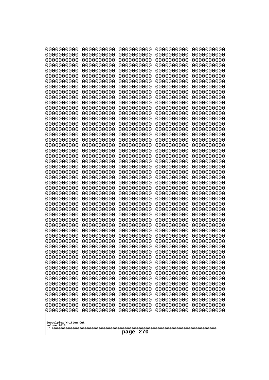| 10000000000<br>0000000000             | 0000000000<br>0000000000 | 0000000000<br>0000000000 | 0000000000<br>0000000000 | 0000000000<br>0000000000 |
|---------------------------------------|--------------------------|--------------------------|--------------------------|--------------------------|
| 0000000000                            | 0000000000               | 0000000000               | 0000000000               | 0000000000               |
| 0000000000                            | 0000000000               | 0000000000               | 0000000000               | 0000000000               |
| 0000000000                            | 0000000000               | 0000000000               | 0000000000               | 0000000000               |
| 0000000000<br>0000000000              | 0000000000<br>0000000000 | 0000000000<br>0000000000 | 0000000000<br>0000000000 | 0000000000<br>0000000000 |
| 0000000000                            | 0000000000               | 0000000000               | 0000000000               | 0000000000               |
| 0000000000                            | 0000000000               | 0000000000               | 0000000000               | 0000000000               |
| 0000000000                            | 0000000000               | 0000000000               | 0000000000               | 0000000000               |
| 0000000000<br>0000000000              | 0000000000<br>0000000000 | 0000000000<br>0000000000 | 0000000000<br>0000000000 | 0000000000               |
| 0000000000                            | 0000000000               | 0000000000               | 0000000000               | 0000000000<br>0000000000 |
| 0000000000                            | 0000000000               | 0000000000               | 0000000000               | 0000000000               |
| 0000000000                            | 0000000000               | 0000000000               | 0000000000               | 0000000000               |
| 0000000000                            | 0000000000               | 0000000000               | 0000000000               | 0000000000               |
| 0000000000<br>0000000000              | 0000000000<br>0000000000 | 0000000000<br>0000000000 | 0000000000<br>0000000000 | 0000000000<br>0000000000 |
| 0000000000                            | 0000000000               | 0000000000               | 0000000000               | 0000000000               |
| 0000000000                            | 0000000000               | 0000000000               | 0000000000               | 0000000000               |
| 0000000000                            | 0000000000<br>0000000000 | 0000000000               | 0000000000               | 0000000000               |
| 0000000000<br>0000000000              | 0000000000               | 0000000000<br>0000000000 | 0000000000<br>0000000000 | 0000000000<br>0000000000 |
| 0000000000                            | 0000000000               | 0000000000               | 0000000000               | 0000000000               |
| 0000000000                            | 0000000000               | 0000000000               | 0000000000               | 0000000000               |
| 0000000000                            | 0000000000<br>0000000000 | 0000000000<br>0000000000 | 0000000000<br>0000000000 | 0000000000               |
| 0000000000<br>0000000000              | 0000000000               | 0000000000               | 0000000000               | 0000000000<br>0000000000 |
| 0000000000                            | 0000000000               | 0000000000               | 0000000000               | 0000000000               |
| 0000000000                            | 0000000000               | 0000000000               | 0000000000               | 0000000000               |
| 0000000000<br>0000000000              | 0000000000<br>0000000000 | 0000000000<br>0000000000 | 0000000000<br>0000000000 | 0000000000<br>0000000000 |
| 0000000000                            | 0000000000               | 0000000000               | 0000000000               | 0000000000               |
| 0000000000                            | 0000000000               | 0000000000               | 0000000000               | 0000000000               |
| 0000000000                            | 0000000000               | 0000000000               | 0000000000               | 0000000000               |
| 0000000000                            | 0000000000<br>0000000000 | 0000000000<br>0000000000 | 0000000000               | 0000000000               |
| 0000000000<br>0000000000              | 0000000000               | 0000000000               | 0000000000<br>0000000000 | 0000000000<br>0000000000 |
| 0000000000                            | 0000000000               | 0000000000               | 0000000000               | 0000000000               |
| 0000000000                            | 0000000000               | 0000000000               | 0000000000               | 0000000000               |
| 0000000000                            | 0000000000               | 0000000000               | 0000000000               | 0000000000               |
| 0000000000<br>0000000000              | 0000000000<br>0000000000 | 0000000000<br>0000000000 | 0000000000<br>0000000000 | 0000000000<br>0000000000 |
| 0000000000                            | 0000000000               | 0000000000               | 0000000000               | 0000000000               |
| 0000000000                            | 0000000000               | 0000000000               | 0000000000               | 0000000000               |
| 0000000000                            | 0000000000               | 0000000000               | 0000000000               | 0000000000               |
| 0000000000<br>0000000000              | 0000000000<br>0000000000 | 0000000000<br>0000000000 | 0000000000<br>0000000000 | 0000000000<br>0000000000 |
| 0000000000                            | 0000000000               | 0000000000               | 0000000000               | 0000000000               |
| 0000000000                            | 0000000000               | 0000000000               | 0000000000               | 0000000000               |
|                                       |                          |                          |                          |                          |
| Googolplex Written Out<br>volume 1013 |                          |                          |                          |                          |
| 270<br>page                           |                          |                          |                          |                          |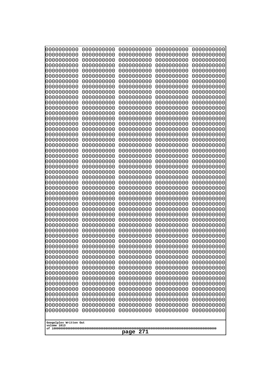| 10000000000<br>0000000000             | 0000000000<br>0000000000 | 0000000000<br>0000000000 | 0000000000<br>0000000000 | 0000000000<br>0000000000 |
|---------------------------------------|--------------------------|--------------------------|--------------------------|--------------------------|
| 0000000000                            | 0000000000               | 0000000000               | 0000000000               | 0000000000               |
| 0000000000                            | 0000000000               | 0000000000               | 0000000000               | 0000000000               |
| 0000000000<br>0000000000              | 0000000000<br>0000000000 | 0000000000               | 0000000000<br>0000000000 | 0000000000               |
| 0000000000                            | 0000000000               | 0000000000<br>0000000000 | 0000000000               | 0000000000<br>0000000000 |
| 0000000000                            | 0000000000               | 0000000000               | 0000000000               | 0000000000               |
| 0000000000                            | 0000000000               | 0000000000               | 0000000000               | 0000000000               |
| 0000000000<br>0000000000              | 0000000000<br>0000000000 | 0000000000<br>0000000000 | 0000000000<br>0000000000 | 0000000000<br>0000000000 |
| 0000000000                            | 0000000000               | 0000000000               | 0000000000               | 0000000000               |
| 0000000000                            | 0000000000               | 0000000000               | 0000000000               | 0000000000               |
| 0000000000<br>0000000000              | 0000000000<br>0000000000 | 0000000000<br>0000000000 | 0000000000<br>0000000000 | 0000000000<br>0000000000 |
| 0000000000                            | 0000000000               | 0000000000               | 0000000000               | 0000000000               |
| 0000000000                            | 0000000000               | 0000000000               | 0000000000               | 0000000000               |
| 0000000000<br>0000000000              | 0000000000               | 0000000000               | 0000000000               | 0000000000               |
| 0000000000                            | 0000000000<br>0000000000 | 0000000000<br>0000000000 | 0000000000<br>0000000000 | 0000000000<br>0000000000 |
| 0000000000                            | 0000000000               | 0000000000               | 0000000000               | 0000000000               |
| 0000000000                            | 0000000000               | 0000000000               | 0000000000               | 0000000000               |
| 0000000000<br>0000000000              | 0000000000<br>0000000000 | 0000000000<br>0000000000 | 0000000000<br>0000000000 | 0000000000<br>0000000000 |
| 0000000000                            | 0000000000               | 0000000000               | 0000000000               | 0000000000               |
| 0000000000                            | 0000000000               | 0000000000               | 0000000000               | 0000000000               |
| 0000000000<br>0000000000              | 0000000000<br>0000000000 | 0000000000<br>0000000000 | 0000000000<br>0000000000 | 0000000000<br>0000000000 |
| 0000000000                            | 0000000000               | 0000000000               | 0000000000               | 0000000000               |
| 0000000000                            | 0000000000               | 0000000000               | 0000000000               | 0000000000               |
| 0000000000<br>0000000000              | 0000000000<br>0000000000 | 0000000000<br>0000000000 | 0000000000<br>0000000000 | 0000000000<br>0000000000 |
| 0000000000                            | 0000000000               | 0000000000               | 0000000000               | 0000000000               |
| 0000000000                            | 0000000000               | 0000000000               | 0000000000               | 0000000000               |
| 0000000000                            | 0000000000               | 0000000000               | 0000000000               | 0000000000               |
| 0000000000<br>0000000000              | 0000000000<br>0000000000 | 0000000000<br>0000000000 | 0000000000<br>0000000000 | 0000000000<br>0000000000 |
| 0000000000                            | 0000000000               | 0000000000               | 0000000000               | 0000000000               |
| 0000000000                            | 0000000000               | 0000000000               | 0000000000               | 0000000000               |
| 0000000000<br>0000000000              | 0000000000<br>0000000000 | 0000000000<br>0000000000 | 0000000000<br>0000000000 | 0000000000<br>0000000000 |
| 0000000000                            | 0000000000               | 0000000000               | 0000000000               | 0000000000               |
| 0000000000                            | 0000000000               | 0000000000               | 0000000000               | 0000000000               |
| 0000000000<br>0000000000              | 0000000000<br>0000000000 | 0000000000<br>0000000000 | 0000000000<br>0000000000 | 0000000000<br>0000000000 |
| 0000000000                            | 0000000000               | 0000000000               | 0000000000               | 0000000000               |
| 0000000000                            | 0000000000               | 0000000000               | 0000000000               | 0000000000               |
| 0000000000                            | 0000000000               | 0000000000               | 0000000000               | 0000000000               |
| 0000000000<br>0000000000              | 0000000000<br>0000000000 | 0000000000<br>0000000000 | 0000000000<br>0000000000 | 0000000000<br>0000000000 |
|                                       |                          |                          |                          |                          |
| Googolplex Written Out<br>volume 1013 |                          |                          |                          |                          |
|                                       |                          | 271<br>page              |                          |                          |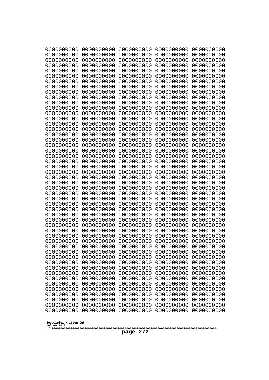| 10000000000<br>0000000000             | 0000000000<br>0000000000 | 0000000000<br>0000000000 | 0000000000<br>0000000000 | 0000000000<br>0000000000 |
|---------------------------------------|--------------------------|--------------------------|--------------------------|--------------------------|
| 0000000000                            | 0000000000               | 0000000000               | 0000000000               | 0000000000               |
| 0000000000                            | 0000000000               | 0000000000               | 0000000000               | 0000000000               |
| 0000000000<br>0000000000              | 0000000000<br>0000000000 | 0000000000<br>0000000000 | 0000000000<br>0000000000 | 0000000000<br>0000000000 |
| 0000000000                            | 0000000000               | 0000000000               | 0000000000               | 0000000000               |
| 0000000000                            | 0000000000               | 0000000000               | 0000000000               | 0000000000               |
| 0000000000<br>0000000000              | 0000000000<br>0000000000 | 0000000000<br>0000000000 | 0000000000<br>0000000000 | 0000000000<br>0000000000 |
| 0000000000                            | 0000000000               | 0000000000               | 0000000000               | 0000000000               |
| 0000000000                            | 0000000000               | 0000000000               | 0000000000               | 0000000000               |
| 0000000000<br>0000000000              | 0000000000<br>0000000000 | 0000000000               | 0000000000               | 0000000000               |
| 0000000000                            | 0000000000               | 0000000000<br>0000000000 | 0000000000<br>0000000000 | 0000000000<br>0000000000 |
| 0000000000                            | 0000000000               | 0000000000               | 0000000000               | 0000000000               |
| 0000000000                            | 0000000000               | 0000000000               | 0000000000               | 0000000000               |
| 0000000000<br>0000000000              | 0000000000<br>0000000000 | 0000000000<br>0000000000 | 0000000000<br>0000000000 | 0000000000<br>0000000000 |
| 0000000000                            | 0000000000               | 0000000000               | 0000000000               | 0000000000               |
| 0000000000                            | 0000000000               | 0000000000               | 0000000000               | 0000000000               |
| 0000000000<br>0000000000              | 0000000000<br>0000000000 | 0000000000<br>0000000000 | 0000000000<br>0000000000 | 0000000000<br>0000000000 |
| 0000000000                            | 0000000000               | 0000000000               | 0000000000               | 0000000000               |
| 0000000000                            | 0000000000               | 0000000000               | 0000000000               | 0000000000               |
| 0000000000<br>0000000000              | 0000000000<br>0000000000 | 0000000000<br>0000000000 | 0000000000<br>0000000000 | 0000000000<br>0000000000 |
| 0000000000                            | 0000000000               | 0000000000               | 0000000000               | 0000000000               |
| 0000000000                            | 0000000000               | 0000000000               | 0000000000               | 0000000000               |
| 0000000000<br>0000000000              | 0000000000<br>0000000000 | 0000000000<br>0000000000 | 0000000000<br>0000000000 | 0000000000<br>0000000000 |
| 0000000000                            | 0000000000               | 0000000000               | 0000000000               | 0000000000               |
| 0000000000                            | 0000000000               | 0000000000               | 0000000000               | 0000000000               |
| 0000000000<br>0000000000              | 0000000000<br>0000000000 | 0000000000<br>0000000000 | 0000000000<br>0000000000 | 0000000000<br>0000000000 |
| 0000000000                            | 0000000000               | 0000000000               | 0000000000               | 0000000000               |
| 0000000000                            | 0000000000               | 0000000000               | 0000000000               | 0000000000               |
| 0000000000                            | 0000000000<br>0000000000 | 0000000000<br>0000000000 | 0000000000<br>0000000000 | 0000000000<br>0000000000 |
| 0000000000<br>0000000000              | 0000000000               | 0000000000               | 0000000000               | 0000000000               |
| 0000000000                            | 0000000000               | 0000000000               | 0000000000               | 0000000000               |
| 0000000000                            | 0000000000<br>0000000000 | 0000000000               | 0000000000               | 0000000000               |
| 0000000000<br>0000000000              | 0000000000               | 0000000000<br>0000000000 | 0000000000<br>0000000000 | 0000000000<br>0000000000 |
| 0000000000                            | 0000000000               | 0000000000               | 0000000000               | 0000000000               |
| 0000000000                            | 0000000000               | 0000000000               | 0000000000               | 0000000000               |
| 0000000000<br>0000000000              | 0000000000<br>0000000000 | 0000000000<br>0000000000 | 0000000000<br>0000000000 | 0000000000<br>0000000000 |
| 0000000000                            | 0000000000               | 0000000000               | 0000000000               | 0000000000               |
| 0000000000                            | 0000000000               | 0000000000               | 0000000000               | 0000000000               |
|                                       |                          |                          |                          |                          |
| Googolplex Written Out<br>volume 1013 |                          |                          |                          |                          |
| 272<br>page                           |                          |                          |                          |                          |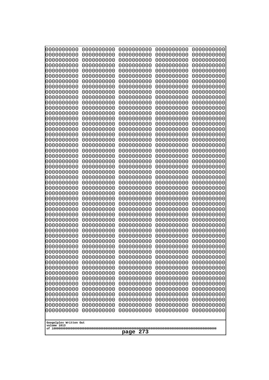| 0000000000                            | 0000000000               | 0000000000               | 0000000000               | 0000000000               |
|---------------------------------------|--------------------------|--------------------------|--------------------------|--------------------------|
| 0000000000<br>0000000000              | 0000000000<br>0000000000 | 0000000000<br>0000000000 | 0000000000<br>0000000000 | 0000000000<br>0000000000 |
| 0000000000                            | 0000000000               | 0000000000               | 0000000000               | 0000000000               |
| 0000000000                            | 0000000000               | 0000000000               | 0000000000               | 0000000000               |
| 0000000000                            | 0000000000               | 0000000000               | 0000000000               | 0000000000               |
| 0000000000<br>0000000000              | 0000000000<br>0000000000 | 0000000000<br>0000000000 | 0000000000<br>0000000000 | 0000000000<br>0000000000 |
| 0000000000                            | 0000000000               | 0000000000               | 0000000000               | 0000000000               |
| 0000000000                            | 0000000000               | 0000000000               | 0000000000               | 0000000000               |
| 0000000000<br>0000000000              | 0000000000<br>0000000000 | 0000000000<br>0000000000 | 0000000000<br>0000000000 | 0000000000<br>0000000000 |
| 0000000000                            | 0000000000               | 0000000000               | 0000000000               | 0000000000               |
| 0000000000                            | 0000000000               | 0000000000               | 0000000000               | 0000000000               |
| 0000000000<br>0000000000              | 0000000000<br>0000000000 | 0000000000<br>0000000000 | 0000000000<br>0000000000 | 0000000000<br>0000000000 |
| 0000000000                            | 0000000000               | 0000000000               | 0000000000               | 0000000000               |
| 0000000000                            | 0000000000               | 0000000000               | 0000000000               | 0000000000               |
| 0000000000<br>0000000000              | 0000000000<br>0000000000 | 0000000000<br>0000000000 | 0000000000<br>0000000000 | 0000000000<br>0000000000 |
| 0000000000                            | 0000000000               | 0000000000               | 0000000000               | 0000000000               |
| 0000000000                            | 0000000000               | 0000000000               | 0000000000               | 0000000000               |
| 0000000000<br>0000000000              | 0000000000<br>0000000000 | 0000000000<br>0000000000 | 0000000000<br>0000000000 | 0000000000<br>0000000000 |
| 0000000000                            | 0000000000               | 0000000000               | 0000000000               | 0000000000               |
| 0000000000                            | 0000000000               | 0000000000               | 0000000000               | 0000000000               |
| 0000000000<br>0000000000              | 0000000000<br>0000000000 | 0000000000<br>0000000000 | 0000000000<br>0000000000 | 0000000000<br>0000000000 |
| 0000000000                            | 0000000000               | 0000000000               | 0000000000               | 0000000000               |
| 0000000000                            | 0000000000               | 0000000000               | 0000000000               | 0000000000               |
| 0000000000<br>0000000000              | 0000000000<br>0000000000 | 0000000000<br>0000000000 | 0000000000<br>0000000000 | 0000000000<br>0000000000 |
| 0000000000                            | 0000000000               | 0000000000               | 0000000000               | 0000000000               |
| 0000000000                            | 0000000000               | 0000000000               | 0000000000               | 0000000000               |
| 0000000000<br>0000000000              | 0000000000<br>0000000000 | 0000000000<br>0000000000 | 0000000000<br>0000000000 | 0000000000<br>0000000000 |
| 0000000000                            | 0000000000               | 0000000000               | 0000000000               | 0000000000               |
| 0000000000                            | 0000000000               | 0000000000               | 0000000000               | 0000000000               |
| 0000000000<br>0000000000              | 0000000000<br>0000000000 | 0000000000<br>0000000000 | 0000000000<br>0000000000 | 0000000000<br>0000000000 |
| 0000000000                            | 0000000000               | 0000000000               | 0000000000               | 0000000000               |
| 0000000000                            | 0000000000               | 0000000000               | 0000000000               | 0000000000               |
| 0000000000<br>0000000000              | 0000000000<br>0000000000 | 0000000000<br>0000000000 | 0000000000<br>0000000000 | 0000000000<br>0000000000 |
| 0000000000                            | 0000000000               | 0000000000               | 0000000000               | 0000000000               |
| 0000000000                            | 0000000000               | 0000000000               | 0000000000               | 0000000000               |
| 0000000000<br>0000000000              | 0000000000<br>0000000000 | 0000000000<br>0000000000 | 0000000000<br>0000000000 | 0000000000<br>0000000000 |
| 0000000000                            | 0000000000               | 0000000000               | 0000000000               | 0000000000               |
| 0000000000                            | 0000000000               | 0000000000               | 0000000000               | 0000000000               |
|                                       |                          |                          |                          |                          |
| Googolplex Written Out<br>volume 1013 |                          |                          |                          |                          |
| 273<br>page                           |                          |                          |                          |                          |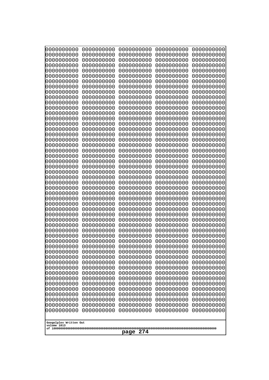| 10000000000<br>0000000000 | 0000000000<br>0000000000 | 0000000000<br>0000000000 | 0000000000<br>0000000000 | 0000000000<br>0000000000 |
|---------------------------|--------------------------|--------------------------|--------------------------|--------------------------|
| 0000000000                | 0000000000               | 0000000000               | 0000000000               | 0000000000               |
| 0000000000                | 0000000000               | 0000000000               | 0000000000               | 0000000000               |
| 0000000000                | 0000000000               | 0000000000               | 0000000000               | 0000000000               |
| 0000000000<br>0000000000  | 0000000000<br>0000000000 | 0000000000<br>0000000000 | 0000000000<br>0000000000 | 0000000000<br>0000000000 |
| 0000000000                | 0000000000               | 0000000000               | 0000000000               | 0000000000               |
| 0000000000                | 0000000000               | 0000000000               | 0000000000               | 0000000000               |
| 0000000000                | 0000000000               | 0000000000               | 0000000000               | 0000000000               |
| 0000000000<br>0000000000  | 0000000000<br>0000000000 | 0000000000<br>0000000000 | 0000000000<br>0000000000 | 0000000000<br>0000000000 |
| 0000000000                | 0000000000               | 0000000000               | 0000000000               | 0000000000               |
| 0000000000                | 0000000000               | 0000000000               | 0000000000               | 0000000000               |
| 0000000000                | 0000000000               | 0000000000               | 0000000000               | 0000000000               |
| 0000000000<br>0000000000  | 0000000000<br>0000000000 | 0000000000<br>0000000000 | 0000000000<br>0000000000 | 0000000000<br>0000000000 |
| 0000000000                | 0000000000               | 0000000000               | 0000000000               | 0000000000               |
| 0000000000                | 0000000000               | 0000000000               | 0000000000               | 0000000000               |
| 0000000000                | 0000000000               | 0000000000               | 0000000000               | 0000000000               |
| 0000000000<br>0000000000  | 0000000000<br>0000000000 | 0000000000<br>0000000000 | 0000000000<br>0000000000 | 0000000000<br>0000000000 |
| 0000000000                | 0000000000               | 0000000000               | 0000000000               | 0000000000               |
| 0000000000                | 0000000000               | 0000000000               | 0000000000               | 0000000000               |
| 0000000000                | 0000000000               | 0000000000               | 0000000000               | 0000000000               |
| 0000000000<br>0000000000  | 0000000000<br>0000000000 | 0000000000<br>0000000000 | 0000000000<br>0000000000 | 0000000000<br>0000000000 |
| 0000000000                | 0000000000               | 0000000000               | 0000000000               | 0000000000               |
| 0000000000                | 0000000000               | 0000000000               | 0000000000               | 0000000000               |
| 0000000000                | 0000000000               | 0000000000               | 0000000000               | 0000000000               |
| 0000000000<br>0000000000  | 0000000000<br>0000000000 | 0000000000<br>0000000000 | 0000000000<br>0000000000 | 0000000000<br>0000000000 |
| 0000000000                | 0000000000               | 0000000000               | 0000000000               | 0000000000               |
| 0000000000                | 0000000000               | 0000000000               | 0000000000               | 0000000000               |
| 0000000000                | 0000000000               | 0000000000               | 0000000000               | 0000000000               |
| 0000000000<br>0000000000  | 0000000000<br>0000000000 | 0000000000<br>0000000000 | 0000000000<br>0000000000 | 0000000000<br>0000000000 |
| 0000000000                | 0000000000               | 0000000000               | 0000000000               | 0000000000               |
| 0000000000                | 0000000000               | 0000000000               | 0000000000               | 0000000000               |
| 0000000000                | 0000000000               | 0000000000               | 0000000000               | 0000000000               |
| 0000000000<br>0000000000  | 0000000000<br>0000000000 | 0000000000<br>0000000000 | 0000000000<br>0000000000 | 0000000000<br>0000000000 |
| 0000000000                | 0000000000               | 0000000000               | 0000000000               | 0000000000               |
| 0000000000                | 0000000000               | 0000000000               | 0000000000               | 0000000000               |
| 0000000000                | 0000000000               | 0000000000               | 0000000000               | 0000000000               |
| 0000000000<br>0000000000  | 0000000000<br>0000000000 | 0000000000<br>0000000000 | 0000000000<br>0000000000 | 0000000000<br>0000000000 |
| 0000000000                | 0000000000               | 0000000000               | 0000000000               | 0000000000               |
| 0000000000                | 0000000000               | 0000000000               | 0000000000               | 0000000000               |
| 0000000000                | 0000000000               | 0000000000               | 0000000000               | 0000000000               |
| Googolplex Written Out    |                          |                          |                          |                          |
| volume 1013               |                          |                          |                          |                          |
| 274<br>page               |                          |                          |                          |                          |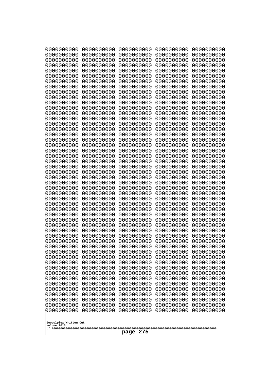| 10000000000<br>0000000000 | 0000000000<br>0000000000 | 0000000000<br>0000000000 | 0000000000<br>0000000000 | 0000000000<br>0000000000 |
|---------------------------|--------------------------|--------------------------|--------------------------|--------------------------|
| 0000000000                | 0000000000               | 0000000000               | 0000000000               | 0000000000               |
| 0000000000                | 0000000000               | 0000000000               | 0000000000               | 0000000000               |
| 0000000000<br>0000000000  | 0000000000<br>0000000000 | 0000000000<br>0000000000 | 0000000000<br>0000000000 | 0000000000<br>0000000000 |
| 0000000000                | 0000000000               | 0000000000               | 0000000000               | 0000000000               |
| 0000000000                | 0000000000               | 0000000000               | 0000000000               | 0000000000               |
| 0000000000<br>0000000000  | 0000000000<br>0000000000 | 0000000000<br>0000000000 | 0000000000<br>0000000000 | 0000000000<br>0000000000 |
| 0000000000                | 0000000000               | 0000000000               | 0000000000               | 0000000000               |
| 0000000000                | 0000000000               | 0000000000               | 0000000000               | 0000000000               |
| 0000000000<br>0000000000  | 0000000000<br>0000000000 | 0000000000<br>0000000000 | 0000000000<br>0000000000 | 0000000000<br>0000000000 |
| 0000000000                | 0000000000               | 0000000000               | 0000000000               | 0000000000               |
| 0000000000                | 0000000000               | 0000000000               | 0000000000               | 0000000000               |
| 0000000000<br>0000000000  | 0000000000<br>0000000000 | 0000000000<br>0000000000 | 0000000000<br>0000000000 | 0000000000<br>0000000000 |
| 0000000000                | 0000000000               | 0000000000               | 0000000000               | 0000000000               |
| 0000000000                | 0000000000               | 0000000000               | 0000000000               | 0000000000               |
| 0000000000                | 0000000000               | 0000000000               | 0000000000               | 0000000000               |
| 0000000000<br>0000000000  | 0000000000<br>0000000000 | 0000000000<br>0000000000 | 0000000000<br>0000000000 | 0000000000<br>0000000000 |
| 0000000000                | 0000000000               | 0000000000               | 0000000000               | 0000000000               |
| 0000000000                | 0000000000               | 0000000000               | 0000000000               | 0000000000               |
| 0000000000<br>0000000000  | 0000000000<br>0000000000 | 0000000000<br>0000000000 | 0000000000<br>0000000000 | 0000000000<br>0000000000 |
| 0000000000                | 0000000000               | 0000000000               | 0000000000               | 0000000000               |
| 0000000000                | 0000000000               | 0000000000               | 0000000000               | 0000000000               |
| 0000000000<br>0000000000  | 0000000000<br>0000000000 | 0000000000<br>0000000000 | 0000000000<br>0000000000 | 0000000000<br>0000000000 |
| 0000000000                | 0000000000               | 0000000000               | 0000000000               | 0000000000               |
| 0000000000                | 0000000000               | 0000000000               | 0000000000               | 0000000000               |
| 0000000000<br>0000000000  | 0000000000<br>0000000000 | 0000000000<br>0000000000 | 0000000000<br>0000000000 | 0000000000<br>0000000000 |
| 0000000000                | 0000000000               | 0000000000               | 0000000000               | 0000000000               |
| 0000000000                | 0000000000               | 0000000000               | 0000000000               | 0000000000               |
| 0000000000<br>0000000000  | 0000000000<br>0000000000 | 0000000000<br>0000000000 | 0000000000<br>0000000000 | 0000000000<br>0000000000 |
| 0000000000                | 0000000000               | 0000000000               | 0000000000               | 0000000000               |
| 0000000000                | 0000000000               | 0000000000               | 0000000000               | 0000000000               |
| 0000000000<br>0000000000  | 0000000000<br>0000000000 | 0000000000<br>0000000000 | 0000000000<br>0000000000 | 0000000000<br>0000000000 |
| 0000000000                | 0000000000               | 0000000000               | 0000000000               | 0000000000               |
| 0000000000                | 0000000000               | 0000000000               | 0000000000               | 0000000000               |
| 0000000000<br>0000000000  | 0000000000<br>0000000000 | 0000000000<br>0000000000 | 0000000000<br>0000000000 | 0000000000<br>0000000000 |
| 0000000000                | 0000000000               | 0000000000               | 0000000000               | 0000000000               |
| 0000000000                | 0000000000               | 0000000000               | 0000000000               | 0000000000               |
| 0000000000                | 0000000000               | 0000000000               | 0000000000               | 0000000000               |
| Googolplex Written Out    |                          |                          |                          |                          |
| volume 1013               |                          |                          |                          |                          |
| 275<br>page               |                          |                          |                          |                          |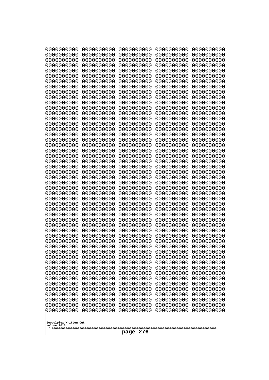| 0000000000               | 0000000000               | 0000000000               | 0000000000               | 0000000000               |
|--------------------------|--------------------------|--------------------------|--------------------------|--------------------------|
| 0000000000<br>0000000000 | 0000000000<br>0000000000 | 0000000000<br>0000000000 | 0000000000<br>0000000000 | 0000000000<br>0000000000 |
| 0000000000               | 0000000000               | 0000000000               | 0000000000               | 0000000000               |
| 0000000000               | 0000000000               | 0000000000               | 0000000000               | 0000000000               |
| 0000000000               | 0000000000               | 0000000000               | 0000000000               | 0000000000               |
| 0000000000<br>0000000000 | 0000000000<br>0000000000 | 0000000000<br>0000000000 | 0000000000<br>0000000000 | 0000000000<br>0000000000 |
| 0000000000               | 0000000000               | 0000000000               | 0000000000               | 0000000000               |
| 0000000000               | 0000000000               | 0000000000               | 0000000000               | 0000000000               |
| 0000000000<br>0000000000 | 0000000000<br>0000000000 | 0000000000<br>0000000000 | 0000000000<br>0000000000 | 0000000000<br>0000000000 |
| 0000000000               | 0000000000               | 0000000000               | 0000000000               | 0000000000               |
| 0000000000               | 0000000000               | 0000000000               | 0000000000               | 0000000000               |
| 0000000000               | 0000000000               | 0000000000               | 0000000000               | 0000000000               |
| 0000000000<br>0000000000 | 0000000000<br>0000000000 | 0000000000<br>0000000000 | 0000000000<br>0000000000 | 0000000000<br>0000000000 |
| 0000000000               | 0000000000               | 0000000000               | 0000000000               | 0000000000               |
| 0000000000               | 0000000000               | 0000000000               | 0000000000               | 0000000000               |
| 0000000000<br>0000000000 | 0000000000<br>0000000000 | 0000000000<br>0000000000 | 0000000000<br>0000000000 | 0000000000<br>0000000000 |
| 0000000000               | 0000000000               | 0000000000               | 0000000000               | 0000000000               |
| 0000000000               | 0000000000               | 0000000000               | 0000000000               | 0000000000               |
| 0000000000               | 0000000000               | 0000000000               | 0000000000               | 0000000000               |
| 0000000000<br>0000000000 | 0000000000<br>0000000000 | 0000000000<br>0000000000 | 0000000000<br>0000000000 | 0000000000<br>0000000000 |
| 0000000000               | 0000000000               | 0000000000               | 0000000000               | 0000000000               |
| 0000000000               | 0000000000               | 0000000000               | 0000000000               | 0000000000               |
| 0000000000<br>0000000000 | 0000000000<br>0000000000 | 0000000000<br>0000000000 | 0000000000<br>0000000000 | 0000000000<br>0000000000 |
| 0000000000               | 0000000000               | 0000000000               | 0000000000               | 0000000000               |
| 0000000000               | 0000000000               | 0000000000               | 0000000000               | 0000000000               |
| 0000000000<br>0000000000 | 0000000000<br>0000000000 | 0000000000<br>0000000000 | 0000000000<br>0000000000 | 0000000000<br>0000000000 |
| 0000000000               | 0000000000               | 0000000000               | 0000000000               | 0000000000               |
| 0000000000               | 0000000000               | 0000000000               | 0000000000               | 0000000000               |
| 0000000000               | 0000000000               | 0000000000               | 0000000000               | 0000000000               |
| 0000000000<br>0000000000 | 0000000000<br>0000000000 | 0000000000<br>0000000000 | 0000000000<br>0000000000 | 0000000000<br>0000000000 |
| 0000000000               | 0000000000               | 0000000000               | 0000000000               | 0000000000               |
| 0000000000               | 0000000000               | 0000000000               | 0000000000               | 0000000000               |
| 0000000000<br>0000000000 | 0000000000<br>0000000000 | 0000000000<br>0000000000 | 0000000000<br>0000000000 | 0000000000<br>0000000000 |
| 0000000000               | 0000000000               | 0000000000               | 0000000000               | 0000000000               |
| 0000000000               | 0000000000               | 0000000000               | 0000000000               | 0000000000               |
| 0000000000<br>0000000000 | 0000000000<br>0000000000 | 0000000000<br>0000000000 | 0000000000<br>0000000000 | 0000000000<br>0000000000 |
| 0000000000               | 0000000000               | 0000000000               | 0000000000               | 0000000000               |
| 0000000000               | 0000000000               | 0000000000               | 0000000000               | 0000000000               |
| 0000000000               | 0000000000               | 0000000000               | 0000000000               | 0000000000               |
| Googolplex Written Out   |                          |                          |                          |                          |
| volume 1013              |                          |                          |                          |                          |
| 276<br>page              |                          |                          |                          |                          |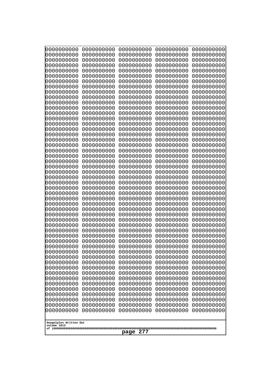| 10000000000<br>0000000000             | 0000000000<br>0000000000 | 0000000000<br>0000000000 | 0000000000<br>0000000000 | 0000000000<br>0000000000 |
|---------------------------------------|--------------------------|--------------------------|--------------------------|--------------------------|
| 0000000000                            | 0000000000               | 0000000000               | 0000000000               | 0000000000               |
| 0000000000                            | 0000000000               | 0000000000               | 0000000000               | 0000000000               |
| 0000000000<br>0000000000              | 0000000000<br>0000000000 | 0000000000<br>0000000000 | 0000000000<br>0000000000 | 0000000000<br>0000000000 |
| 0000000000                            | 0000000000               | 0000000000               | 0000000000               | 0000000000               |
| 0000000000                            | 0000000000               | 0000000000               | 0000000000               | 0000000000               |
| 0000000000<br>0000000000              | 0000000000<br>0000000000 | 0000000000<br>0000000000 | 0000000000<br>0000000000 | 0000000000<br>0000000000 |
| 0000000000                            | 0000000000               | 0000000000               | 0000000000               | 0000000000               |
| 0000000000                            | 0000000000               | 0000000000               | 0000000000               | 0000000000               |
| 0000000000                            | 0000000000               | 0000000000               | 0000000000               | 0000000000               |
| 0000000000<br>0000000000              | 0000000000<br>0000000000 | 0000000000<br>0000000000 | 0000000000<br>0000000000 | 0000000000<br>0000000000 |
| 0000000000                            | 0000000000               | 0000000000               | 0000000000               | 0000000000               |
| 0000000000                            | 0000000000               | 0000000000               | 0000000000               | 0000000000               |
| 0000000000<br>0000000000              | 0000000000<br>0000000000 | 0000000000<br>0000000000 | 0000000000<br>0000000000 | 0000000000<br>0000000000 |
| 0000000000                            | 0000000000               | 0000000000               | 0000000000               | 0000000000               |
| 0000000000                            | 0000000000               | 0000000000               | 0000000000               | 0000000000               |
| 0000000000<br>0000000000              | 0000000000<br>0000000000 | 0000000000<br>0000000000 | 0000000000<br>0000000000 | 0000000000<br>0000000000 |
| 0000000000                            | 0000000000               | 0000000000               | 0000000000               | 0000000000               |
| 0000000000                            | 0000000000               | 0000000000               | 0000000000               | 0000000000               |
| 0000000000<br>0000000000              | 0000000000<br>0000000000 | 0000000000<br>0000000000 | 0000000000<br>0000000000 | 0000000000<br>0000000000 |
| 0000000000                            | 0000000000               | 0000000000               | 0000000000               | 0000000000               |
| 0000000000                            | 0000000000               | 0000000000               | 0000000000               | 0000000000               |
| 0000000000                            | 0000000000               | 0000000000               | 0000000000               | 0000000000               |
| 0000000000<br>0000000000              | 0000000000<br>0000000000 | 0000000000<br>0000000000 | 0000000000<br>0000000000 | 0000000000<br>0000000000 |
| 0000000000                            | 0000000000               | 0000000000               | 0000000000               | 0000000000               |
| 0000000000                            | 0000000000               | 0000000000               | 0000000000               | 0000000000               |
| 0000000000<br>0000000000              | 0000000000<br>0000000000 | 0000000000<br>0000000000 | 0000000000<br>0000000000 | 0000000000<br>0000000000 |
| 0000000000                            | 0000000000               | 0000000000               | 0000000000               | 0000000000               |
| 0000000000                            | 0000000000               | 0000000000               | 0000000000               | 0000000000               |
| 0000000000<br>0000000000              | 0000000000<br>0000000000 | 0000000000<br>0000000000 | 0000000000<br>0000000000 | 0000000000<br>0000000000 |
| 0000000000                            | 0000000000               | 0000000000               | 0000000000               | 0000000000               |
| 0000000000                            | 0000000000               | 0000000000               | 0000000000               | 0000000000               |
| 0000000000<br>0000000000              | 0000000000<br>0000000000 | 0000000000<br>0000000000 | 0000000000<br>0000000000 | 0000000000<br>0000000000 |
| 0000000000                            | 0000000000               | 0000000000               | 0000000000               | 0000000000               |
| 0000000000                            | 0000000000               | 0000000000               | 0000000000               | 0000000000               |
| 0000000000<br>0000000000              | 0000000000               | 0000000000               | 0000000000               | 0000000000               |
| 0000000000                            | 0000000000<br>0000000000 | 0000000000<br>0000000000 | 0000000000<br>0000000000 | 0000000000<br>0000000000 |
| 0000000000                            | 0000000000               | 0000000000               | 0000000000               | 0000000000               |
|                                       |                          |                          |                          |                          |
| Googolplex Written Out<br>volume 1013 |                          |                          |                          |                          |
| 277<br>page                           |                          |                          |                          |                          |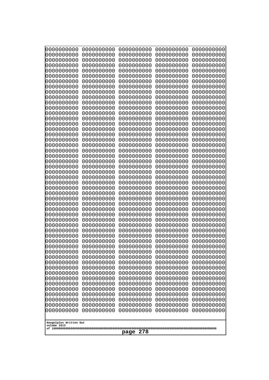| 10000000000<br>0000000000             | 0000000000<br>0000000000 | 0000000000<br>0000000000 | 0000000000<br>0000000000 | 0000000000<br>0000000000 |
|---------------------------------------|--------------------------|--------------------------|--------------------------|--------------------------|
| 0000000000                            | 0000000000               | 0000000000               | 0000000000               | 0000000000               |
| 0000000000                            | 0000000000               | 0000000000               | 0000000000               | 0000000000               |
| 0000000000                            | 0000000000               | 0000000000               | 0000000000               | 0000000000               |
| 0000000000<br>0000000000              | 0000000000<br>0000000000 | 0000000000<br>0000000000 | 0000000000<br>0000000000 | 0000000000<br>0000000000 |
| 0000000000                            | 0000000000               | 0000000000               | 0000000000               | 0000000000               |
| 0000000000                            | 0000000000               | 0000000000               | 0000000000               | 0000000000               |
| 0000000000                            | 0000000000               | 0000000000               | 0000000000               | 0000000000               |
| 0000000000<br>0000000000              | 0000000000<br>0000000000 | 0000000000<br>0000000000 | 0000000000<br>0000000000 | 0000000000<br>0000000000 |
| 0000000000                            | 0000000000               | 0000000000               | 0000000000               | 0000000000               |
| 0000000000                            | 0000000000               | 0000000000               | 0000000000               | 0000000000               |
| 0000000000                            | 0000000000               | 0000000000               | 0000000000               | 0000000000               |
| 0000000000<br>0000000000              | 0000000000<br>0000000000 | 0000000000<br>0000000000 | 0000000000<br>0000000000 | 0000000000<br>0000000000 |
| 0000000000                            | 0000000000               | 0000000000               | 0000000000               | 0000000000               |
| 0000000000                            | 0000000000               | 0000000000               | 0000000000               | 0000000000               |
| 0000000000<br>0000000000              | 0000000000               | 0000000000               | 0000000000               | 0000000000               |
| 0000000000                            | 0000000000<br>0000000000 | 0000000000<br>0000000000 | 0000000000<br>0000000000 | 0000000000<br>0000000000 |
| 0000000000                            | 0000000000               | 0000000000               | 0000000000               | 0000000000               |
| 0000000000                            | 0000000000               | 0000000000               | 0000000000               | 0000000000               |
| 0000000000<br>0000000000              | 0000000000<br>0000000000 | 0000000000<br>0000000000 | 0000000000<br>0000000000 | 0000000000<br>0000000000 |
| 0000000000                            | 0000000000               | 0000000000               | 0000000000               | 0000000000               |
| 0000000000                            | 0000000000               | 0000000000               | 0000000000               | 0000000000               |
| 0000000000                            | 0000000000               | 0000000000               | 0000000000               | 0000000000               |
| 0000000000<br>0000000000              | 0000000000<br>0000000000 | 0000000000<br>0000000000 | 0000000000<br>0000000000 | 0000000000<br>0000000000 |
| 0000000000                            | 0000000000               | 0000000000               | 0000000000               | 0000000000               |
| 0000000000                            | 0000000000               | 0000000000               | 0000000000               | 0000000000               |
| 0000000000<br>0000000000              | 0000000000<br>0000000000 | 0000000000<br>0000000000 | 0000000000<br>0000000000 | 0000000000<br>0000000000 |
| 0000000000                            | 0000000000               | 0000000000               | 0000000000               | 0000000000               |
| 0000000000                            | 0000000000               | 0000000000               | 0000000000               | 0000000000               |
| 0000000000                            | 0000000000               | 0000000000               | 0000000000               | 0000000000               |
| 0000000000<br>0000000000              | 0000000000<br>0000000000 | 0000000000<br>0000000000 | 0000000000<br>0000000000 | 0000000000<br>0000000000 |
| 0000000000                            | 0000000000               | 0000000000               | 0000000000               | 0000000000               |
| 0000000000                            | 0000000000               | 0000000000               | 0000000000               | 0000000000               |
| 0000000000<br>0000000000              | 0000000000<br>0000000000 | 0000000000<br>0000000000 | 0000000000<br>0000000000 | 0000000000               |
| 0000000000                            | 0000000000               | 0000000000               | 0000000000               | 0000000000<br>0000000000 |
| 0000000000                            | 0000000000               | 0000000000               | 0000000000               | 0000000000               |
| 0000000000                            | 0000000000               | 0000000000               | 0000000000               | 0000000000               |
| 0000000000<br>0000000000              | 0000000000<br>0000000000 | 0000000000<br>0000000000 | 0000000000<br>0000000000 | 0000000000<br>0000000000 |
| 0000000000                            | 0000000000               | 0000000000               | 0000000000               | 0000000000               |
|                                       |                          |                          |                          |                          |
| Googolplex Written Out<br>volume 1013 |                          |                          |                          |                          |
|                                       |                          | 278<br>page              |                          |                          |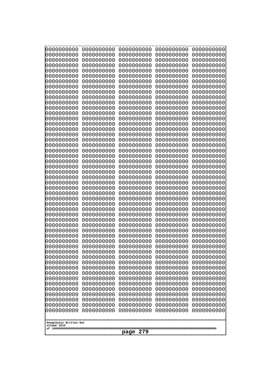| 0000000000<br>0000000000<br>0000000000<br>0000000000<br>0000000000<br>0000000000<br>0000000000<br>0000000000<br>0000000000<br>0000000000<br>0000000000<br>0000000000<br>0000000000<br>0000000000<br>0000000000<br>0000000000<br>0000000000<br>0000000000<br>0000000000<br>0000000000<br>10000000000<br>0000000000<br>0000000000<br>0000000000<br>0000000000<br>0000000000<br>0000000000<br>0000000000<br>0000000000<br>0000000000<br>0000000000<br>0000000000<br>0000000000<br>0000000000<br>0000000000<br>0000000000<br>0000000000<br>0000000000<br>0000000000<br>0000000000<br>0000000000<br>0000000000<br>0000000000<br>0000000000<br>0000000000<br>0000000000<br>0000000000<br>0000000000<br>0000000000<br>0000000000<br>0000000000<br>0000000000<br>0000000000<br>0000000000<br>0000000000<br>0000000000<br>0000000000<br>0000000000<br>0000000000<br>0000000000<br>0000000000<br>0000000000<br>0000000000<br>0000000000<br>0000000000<br>0000000000<br>0000000000<br>0000000000<br>0000000000<br>0000000000<br>0000000000<br>0000000000 | 0000000000<br>0000000000<br>0000000000<br>0000000000<br>0000000000<br>0000000000<br>0000000000<br>0000000000<br>0000000000<br>0000000000<br>0000000000<br>0000000000<br>0000000000<br>0000000000<br>0000000000<br>0000000000<br>0000000000<br>0000000000<br>0000000000<br>0000000000<br>0000000000<br>0000000000<br>0000000000<br>0000000000<br>0000000000<br>0000000000<br>0000000000<br>0000000000<br>0000000000<br>0000000000<br>0000000000<br>0000000000 | 0000000000<br>0000000000<br>0000000000<br>0000000000<br>0000000000<br>0000000000<br>0000000000<br>0000000000<br>0000000000<br>0000000000<br>0000000000<br>0000000000<br>0000000000<br>0000000000<br>0000000000<br>0000000000<br>0000000000<br>0000000000<br>0000000000<br>0000000000<br>0000000000<br>0000000000<br>0000000000<br>0000000000<br>0000000000<br>0000000000<br>0000000000<br>0000000000<br>0000000000<br>0000000000<br>0000000000<br>0000000000 | 0000000000<br>0000000000<br>0000000000<br>0000000000<br>0000000000<br>0000000000<br>0000000000<br>0000000000<br>0000000000<br>0000000000<br>0000000000<br>0000000000<br>0000000000<br>0000000000<br>0000000000<br>0000000000<br>0000000000<br>0000000000<br>0000000000<br>0000000000<br>0000000000<br>0000000000<br>0000000000<br>0000000000<br>0000000000<br>0000000000<br>0000000000<br>0000000000<br>0000000000<br>0000000000<br>0000000000<br>0000000000 | 0000000000<br>0000000000<br>0000000000<br>0000000000<br>0000000000<br>0000000000<br>0000000000<br>0000000000<br>0000000000<br>0000000000<br>0000000000<br>0000000000<br>0000000000<br>0000000000<br>0000000000<br>0000000000<br>0000000000<br>0000000000<br>0000000000<br>0000000000<br>0000000000<br>0000000000<br>0000000000<br>0000000000<br>0000000000<br>0000000000<br>0000000000<br>0000000000<br>0000000000<br>0000000000<br>0000000000<br>0000000000 | 0000000000<br>0000000000<br>0000000000<br>0000000000<br>0000000000<br>0000000000<br>0000000000<br>0000000000<br>0000000000<br>0000000000<br>0000000000<br>0000000000<br>0000000000<br>0000000000<br>0000000000<br>0000000000<br>0000000000<br>0000000000<br>0000000000<br>0000000000<br>0000000000<br>0000000000<br>0000000000<br>0000000000<br>0000000000<br>0000000000<br>0000000000<br>0000000000<br>0000000000<br>0000000000<br>0000000000<br>0000000000<br>0000000000<br>0000000000<br>0000000000<br>0000000000<br>0000000000<br>0000000000<br>0000000000<br>0000000000<br>0000000000<br>0000000000<br>0000000000<br>0000000000<br>0000000000<br>0000000000<br>0000000000<br>0000000000<br>0000000000<br>0000000000 |
|-----------------------------------------------------------------------------------------------------------------------------------------------------------------------------------------------------------------------------------------------------------------------------------------------------------------------------------------------------------------------------------------------------------------------------------------------------------------------------------------------------------------------------------------------------------------------------------------------------------------------------------------------------------------------------------------------------------------------------------------------------------------------------------------------------------------------------------------------------------------------------------------------------------------------------------------------------------------------------------------------------------------------------------------------|--------------------------------------------------------------------------------------------------------------------------------------------------------------------------------------------------------------------------------------------------------------------------------------------------------------------------------------------------------------------------------------------------------------------------------------------------------------|--------------------------------------------------------------------------------------------------------------------------------------------------------------------------------------------------------------------------------------------------------------------------------------------------------------------------------------------------------------------------------------------------------------------------------------------------------------|--------------------------------------------------------------------------------------------------------------------------------------------------------------------------------------------------------------------------------------------------------------------------------------------------------------------------------------------------------------------------------------------------------------------------------------------------------------|--------------------------------------------------------------------------------------------------------------------------------------------------------------------------------------------------------------------------------------------------------------------------------------------------------------------------------------------------------------------------------------------------------------------------------------------------------------|--------------------------------------------------------------------------------------------------------------------------------------------------------------------------------------------------------------------------------------------------------------------------------------------------------------------------------------------------------------------------------------------------------------------------------------------------------------------------------------------------------------------------------------------------------------------------------------------------------------------------------------------------------------------------------------------------------------------------|
| Googolplex Written Out<br>volume 1013<br>279<br>page                                                                                                                                                                                                                                                                                                                                                                                                                                                                                                                                                                                                                                                                                                                                                                                                                                                                                                                                                                                          |                                                                                                                                                                                                                                                                                                                                                                                                                                                              |                                                                                                                                                                                                                                                                                                                                                                                                                                                              |                                                                                                                                                                                                                                                                                                                                                                                                                                                              |                                                                                                                                                                                                                                                                                                                                                                                                                                                              |                                                                                                                                                                                                                                                                                                                                                                                                                                                                                                                                                                                                                                                                                                                          |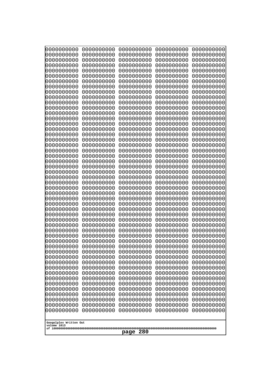| 0000000000                                           | 0000000000 | 0000000000 | 0000000000 | 0000000000 |
|------------------------------------------------------|------------|------------|------------|------------|
| 0000000000                                           | 0000000000 | 0000000000 | 0000000000 | 0000000000 |
| 0000000000                                           | 0000000000 | 0000000000 | 0000000000 | 0000000000 |
| 0000000000                                           | 0000000000 | 0000000000 | 0000000000 | 0000000000 |
| 0000000000                                           | 0000000000 | 0000000000 | 0000000000 | 0000000000 |
| 0000000000                                           | 0000000000 | 0000000000 | 0000000000 | 0000000000 |
| 0000000000                                           | 0000000000 | 0000000000 | 0000000000 | 0000000000 |
| 0000000000                                           | 0000000000 | 0000000000 | 0000000000 | 0000000000 |
| 0000000000                                           | 0000000000 | 0000000000 | 0000000000 | 0000000000 |
| 0000000000                                           | 0000000000 | 0000000000 | 0000000000 | 0000000000 |
| 0000000000                                           | 0000000000 | 0000000000 | 0000000000 | 0000000000 |
| 0000000000                                           | 0000000000 | 0000000000 | 0000000000 | 0000000000 |
| 0000000000                                           | 0000000000 | 0000000000 | 0000000000 | 0000000000 |
| 0000000000                                           | 0000000000 | 0000000000 | 0000000000 | 0000000000 |
| 0000000000                                           | 0000000000 | 0000000000 | 0000000000 | 0000000000 |
| 0000000000                                           | 0000000000 | 0000000000 | 0000000000 | 0000000000 |
| 0000000000                                           | 0000000000 | 0000000000 | 0000000000 | 0000000000 |
| 0000000000                                           | 0000000000 | 0000000000 | 0000000000 | 0000000000 |
| 0000000000                                           | 0000000000 | 0000000000 | 0000000000 | 0000000000 |
| 0000000000                                           | 0000000000 | 0000000000 | 0000000000 | 0000000000 |
| 0000000000                                           | 0000000000 | 0000000000 | 0000000000 | 0000000000 |
| 0000000000                                           | 0000000000 | 0000000000 | 0000000000 | 0000000000 |
| 0000000000                                           | 0000000000 | 0000000000 | 0000000000 | 0000000000 |
| 0000000000                                           | 0000000000 | 0000000000 | 0000000000 | 0000000000 |
| 0000000000                                           | 0000000000 | 0000000000 | 0000000000 | 0000000000 |
| 0000000000                                           | 0000000000 | 0000000000 | 0000000000 | 0000000000 |
| 0000000000                                           | 0000000000 | 0000000000 | 0000000000 | 0000000000 |
| 0000000000                                           | 0000000000 | 0000000000 | 0000000000 | 0000000000 |
| 0000000000                                           | 0000000000 | 0000000000 | 0000000000 | 0000000000 |
| 0000000000                                           | 0000000000 | 0000000000 | 0000000000 | 0000000000 |
| 0000000000                                           | 0000000000 | 0000000000 | 0000000000 | 0000000000 |
| 0000000000                                           | 0000000000 | 0000000000 | 0000000000 | 0000000000 |
| 0000000000                                           | 0000000000 | 0000000000 | 0000000000 | 0000000000 |
| 0000000000                                           | 0000000000 | 0000000000 | 0000000000 | 0000000000 |
| 0000000000                                           | 0000000000 | 0000000000 | 0000000000 | 0000000000 |
| 0000000000                                           | 0000000000 | 0000000000 | 0000000000 | 0000000000 |
| 0000000000                                           | 0000000000 | 0000000000 | 0000000000 | 0000000000 |
| 0000000000                                           | 0000000000 | 0000000000 | 0000000000 | 0000000000 |
| 0000000000                                           | 0000000000 | 0000000000 | 0000000000 | 0000000000 |
| 0000000000                                           | 0000000000 | 0000000000 | 0000000000 | 0000000000 |
| 0000000000                                           | 0000000000 | 0000000000 | 0000000000 | 0000000000 |
| 0000000000                                           | 0000000000 | 0000000000 | 0000000000 | 0000000000 |
| 0000000000                                           | 0000000000 | 0000000000 | 0000000000 | 0000000000 |
| 0000000000                                           | 0000000000 | 0000000000 | 0000000000 | 0000000000 |
| 0000000000                                           | 0000000000 | 0000000000 | 0000000000 | 0000000000 |
| 0000000000                                           | 0000000000 | 0000000000 | 0000000000 | 0000000000 |
| 0000000000                                           | 0000000000 | 0000000000 | 0000000000 | 0000000000 |
| 0000000000                                           | 0000000000 | 0000000000 | 0000000000 | 0000000000 |
| 0000000000                                           | 0000000000 | 0000000000 | 0000000000 | 0000000000 |
| 0000000000                                           | 0000000000 | 0000000000 | 0000000000 | 0000000000 |
| Googolplex Written Out<br>volume 1013<br>280<br>page |            |            |            |            |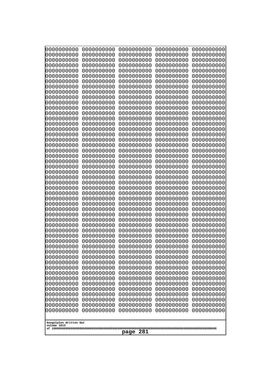| 10000000000                           | 0000000000               | 0000000000               | 0000000000               | 0000000000               |
|---------------------------------------|--------------------------|--------------------------|--------------------------|--------------------------|
| 0000000000<br>0000000000              | 0000000000<br>0000000000 | 0000000000<br>0000000000 | 0000000000<br>0000000000 | 0000000000<br>0000000000 |
| 0000000000                            | 0000000000               | 0000000000               | 0000000000               | 0000000000               |
| 0000000000                            | 0000000000               | 0000000000               | 0000000000               | 0000000000               |
| 0000000000                            | 0000000000               | 0000000000               | 0000000000               | 0000000000               |
| 0000000000                            | 0000000000               | 0000000000               | 0000000000               | 0000000000               |
| 0000000000<br>0000000000              | 0000000000<br>0000000000 | 0000000000<br>0000000000 | 0000000000<br>0000000000 | 0000000000<br>0000000000 |
| 0000000000                            | 0000000000               | 0000000000               | 0000000000               | 0000000000               |
| 0000000000                            | 0000000000               | 0000000000               | 0000000000               | 0000000000               |
| 0000000000                            | 0000000000               | 0000000000               | 0000000000               | 0000000000               |
| 0000000000<br>0000000000              | 0000000000<br>0000000000 | 0000000000<br>0000000000 | 0000000000<br>0000000000 | 0000000000<br>0000000000 |
| 0000000000                            | 0000000000               | 0000000000               | 0000000000               | 0000000000               |
| 0000000000                            | 0000000000               | 0000000000               | 0000000000               | 0000000000               |
| 0000000000                            | 0000000000               | 0000000000<br>0000000000 | 0000000000<br>0000000000 | 0000000000               |
| 0000000000<br>0000000000              | 0000000000<br>0000000000 | 0000000000               | 0000000000               | 0000000000<br>0000000000 |
| 0000000000                            | 0000000000               | 0000000000               | 0000000000               | 0000000000               |
| 0000000000                            | 0000000000               | 0000000000               | 0000000000               | 0000000000               |
| 0000000000<br>0000000000              | 0000000000<br>0000000000 | 0000000000<br>0000000000 | 0000000000<br>0000000000 | 0000000000<br>0000000000 |
| 0000000000                            | 0000000000               | 0000000000               | 0000000000               | 0000000000               |
| 0000000000                            | 0000000000               | 0000000000               | 0000000000               | 0000000000               |
| 0000000000                            | 0000000000               | 0000000000               | 0000000000               | 0000000000               |
| 0000000000<br>0000000000              | 0000000000<br>0000000000 | 0000000000<br>0000000000 | 0000000000<br>0000000000 | 0000000000<br>0000000000 |
| 0000000000                            | 0000000000               | 0000000000               | 0000000000               | 0000000000               |
| 0000000000                            | 0000000000               | 0000000000               | 0000000000               | 0000000000               |
| 0000000000                            | 0000000000               | 0000000000               | 0000000000               | 0000000000               |
| 0000000000<br>0000000000              | 0000000000<br>0000000000 | 0000000000<br>0000000000 | 0000000000<br>0000000000 | 0000000000<br>0000000000 |
| 0000000000                            | 0000000000               | 0000000000               | 0000000000               | 0000000000               |
| 0000000000                            | 0000000000               | 0000000000               | 0000000000               | 0000000000               |
| 0000000000                            | 0000000000               | 0000000000               | 0000000000               | 0000000000               |
| 0000000000<br>0000000000              | 0000000000<br>0000000000 | 0000000000<br>0000000000 | 0000000000<br>0000000000 | 0000000000<br>0000000000 |
| 0000000000                            | 0000000000               | 0000000000               | 0000000000               | 0000000000               |
| 0000000000                            | 0000000000               | 0000000000               | 0000000000               | 0000000000               |
| 0000000000                            | 0000000000               | 0000000000               | 0000000000               | 0000000000               |
| 0000000000<br>0000000000              | 0000000000<br>0000000000 | 0000000000<br>0000000000 | 0000000000<br>0000000000 | 0000000000<br>0000000000 |
| 0000000000                            | 0000000000               | 0000000000               | 0000000000               | 0000000000               |
| 0000000000                            | 0000000000               | 0000000000               | 0000000000               | 0000000000               |
| 0000000000<br>0000000000              | 0000000000<br>0000000000 | 0000000000<br>0000000000 | 0000000000<br>0000000000 | 0000000000<br>0000000000 |
| 0000000000                            | 0000000000               | 0000000000               | 0000000000               | 0000000000               |
| 0000000000                            | 0000000000               | 0000000000               | 0000000000               | 0000000000               |
| 0000000000                            | 0000000000               | 0000000000               | 0000000000               | 0000000000               |
|                                       |                          |                          |                          |                          |
| Googolplex Written Out<br>volume 1013 |                          |                          |                          |                          |
| 281<br>page                           |                          |                          |                          |                          |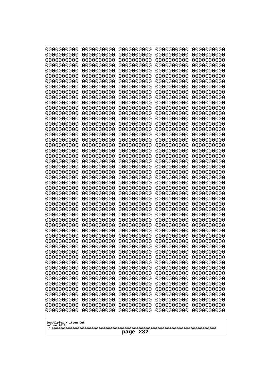| 0000000000                                                                                                                                                                                                                                                                                                                                                                                                                                                                               | 0000000000 | 0000000000 | 0000000000 | 0000000000 |
|------------------------------------------------------------------------------------------------------------------------------------------------------------------------------------------------------------------------------------------------------------------------------------------------------------------------------------------------------------------------------------------------------------------------------------------------------------------------------------------|------------|------------|------------|------------|
| 0000000000                                                                                                                                                                                                                                                                                                                                                                                                                                                                               | 0000000000 | 0000000000 | 0000000000 | 0000000000 |
| 0000000000                                                                                                                                                                                                                                                                                                                                                                                                                                                                               | 0000000000 | 0000000000 | 0000000000 | 0000000000 |
| 0000000000                                                                                                                                                                                                                                                                                                                                                                                                                                                                               | 0000000000 | 0000000000 | 0000000000 | 0000000000 |
| 0000000000                                                                                                                                                                                                                                                                                                                                                                                                                                                                               | 0000000000 | 0000000000 | 0000000000 | 0000000000 |
| 0000000000                                                                                                                                                                                                                                                                                                                                                                                                                                                                               | 0000000000 | 0000000000 | 0000000000 | 0000000000 |
| 0000000000                                                                                                                                                                                                                                                                                                                                                                                                                                                                               | 0000000000 | 0000000000 | 0000000000 | 0000000000 |
| 0000000000                                                                                                                                                                                                                                                                                                                                                                                                                                                                               | 0000000000 | 0000000000 | 0000000000 | 0000000000 |
| 0000000000                                                                                                                                                                                                                                                                                                                                                                                                                                                                               | 0000000000 | 0000000000 | 0000000000 | 0000000000 |
| 0000000000                                                                                                                                                                                                                                                                                                                                                                                                                                                                               | 0000000000 | 0000000000 | 0000000000 | 0000000000 |
| 0000000000                                                                                                                                                                                                                                                                                                                                                                                                                                                                               | 0000000000 | 0000000000 | 0000000000 | 0000000000 |
| 0000000000                                                                                                                                                                                                                                                                                                                                                                                                                                                                               | 0000000000 | 0000000000 | 0000000000 | 0000000000 |
| 0000000000                                                                                                                                                                                                                                                                                                                                                                                                                                                                               | 0000000000 | 0000000000 | 0000000000 | 0000000000 |
| 0000000000                                                                                                                                                                                                                                                                                                                                                                                                                                                                               | 0000000000 | 0000000000 | 0000000000 | 0000000000 |
| 0000000000                                                                                                                                                                                                                                                                                                                                                                                                                                                                               | 0000000000 | 0000000000 | 0000000000 | 0000000000 |
| 0000000000                                                                                                                                                                                                                                                                                                                                                                                                                                                                               | 0000000000 | 0000000000 | 0000000000 | 0000000000 |
| 0000000000                                                                                                                                                                                                                                                                                                                                                                                                                                                                               | 0000000000 | 0000000000 | 0000000000 | 0000000000 |
| 0000000000                                                                                                                                                                                                                                                                                                                                                                                                                                                                               | 0000000000 | 0000000000 | 0000000000 | 0000000000 |
| 0000000000                                                                                                                                                                                                                                                                                                                                                                                                                                                                               | 0000000000 | 0000000000 | 0000000000 | 0000000000 |
| 0000000000                                                                                                                                                                                                                                                                                                                                                                                                                                                                               | 0000000000 | 0000000000 | 0000000000 | 0000000000 |
| 0000000000                                                                                                                                                                                                                                                                                                                                                                                                                                                                               | 0000000000 | 0000000000 | 0000000000 | 0000000000 |
| 0000000000                                                                                                                                                                                                                                                                                                                                                                                                                                                                               | 0000000000 | 0000000000 | 0000000000 | 0000000000 |
| 0000000000                                                                                                                                                                                                                                                                                                                                                                                                                                                                               | 0000000000 | 0000000000 | 0000000000 | 0000000000 |
| 0000000000                                                                                                                                                                                                                                                                                                                                                                                                                                                                               | 0000000000 | 0000000000 | 0000000000 | 0000000000 |
| 0000000000                                                                                                                                                                                                                                                                                                                                                                                                                                                                               | 0000000000 | 0000000000 | 0000000000 | 0000000000 |
| 0000000000                                                                                                                                                                                                                                                                                                                                                                                                                                                                               | 0000000000 | 0000000000 | 0000000000 | 0000000000 |
| 0000000000                                                                                                                                                                                                                                                                                                                                                                                                                                                                               | 0000000000 | 0000000000 | 0000000000 | 0000000000 |
| 0000000000                                                                                                                                                                                                                                                                                                                                                                                                                                                                               | 0000000000 | 0000000000 | 0000000000 | 0000000000 |
| 0000000000                                                                                                                                                                                                                                                                                                                                                                                                                                                                               | 0000000000 | 0000000000 | 0000000000 | 0000000000 |
| 0000000000                                                                                                                                                                                                                                                                                                                                                                                                                                                                               | 0000000000 | 0000000000 | 0000000000 | 0000000000 |
| 0000000000                                                                                                                                                                                                                                                                                                                                                                                                                                                                               | 0000000000 | 0000000000 | 0000000000 | 0000000000 |
| 0000000000                                                                                                                                                                                                                                                                                                                                                                                                                                                                               | 0000000000 | 0000000000 | 0000000000 | 0000000000 |
| 0000000000                                                                                                                                                                                                                                                                                                                                                                                                                                                                               | 0000000000 | 0000000000 | 0000000000 | 0000000000 |
| 0000000000                                                                                                                                                                                                                                                                                                                                                                                                                                                                               | 0000000000 | 0000000000 | 0000000000 | 0000000000 |
| 0000000000                                                                                                                                                                                                                                                                                                                                                                                                                                                                               | 0000000000 | 0000000000 | 0000000000 | 0000000000 |
| 0000000000                                                                                                                                                                                                                                                                                                                                                                                                                                                                               | 0000000000 | 0000000000 | 0000000000 | 0000000000 |
| 0000000000                                                                                                                                                                                                                                                                                                                                                                                                                                                                               | 0000000000 | 0000000000 | 0000000000 | 0000000000 |
| 0000000000                                                                                                                                                                                                                                                                                                                                                                                                                                                                               | 0000000000 | 0000000000 | 0000000000 | 0000000000 |
| 0000000000                                                                                                                                                                                                                                                                                                                                                                                                                                                                               | 0000000000 | 0000000000 | 0000000000 | 0000000000 |
| 0000000000                                                                                                                                                                                                                                                                                                                                                                                                                                                                               | 0000000000 | 0000000000 | 0000000000 | 0000000000 |
| 0000000000<br>0000000000<br>0000000000<br>0000000000<br>0000000000<br>0000000000<br>0000000000<br>0000000000<br>0000000000<br>0000000000<br>0000000000<br>0000000000<br>0000000000<br>0000000000<br>0000000000<br>0000000000<br>0000000000<br>0000000000<br>0000000000<br>0000000000<br>0000000000<br>0000000000<br>0000000000<br>0000000000<br>0000000000<br>0000000000<br>0000000000<br>0000000000<br>0000000000<br>0000000000<br>Googolplex Written Out<br>volume 1013<br>282<br>page |            |            |            |            |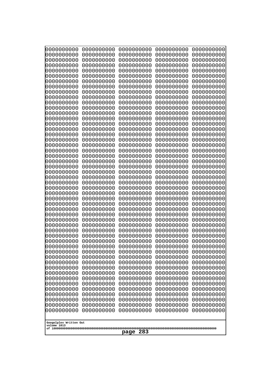| 0000000000                                           | 0000000000 | 0000000000 | 0000000000 | 0000000000 |
|------------------------------------------------------|------------|------------|------------|------------|
| 0000000000                                           | 0000000000 | 0000000000 | 0000000000 | 0000000000 |
| 0000000000                                           | 0000000000 | 0000000000 | 0000000000 | 0000000000 |
| 0000000000                                           | 0000000000 | 0000000000 | 0000000000 | 0000000000 |
| 0000000000                                           | 0000000000 | 0000000000 | 0000000000 | 0000000000 |
| 0000000000                                           | 0000000000 | 0000000000 | 0000000000 | 0000000000 |
| 0000000000                                           | 0000000000 | 0000000000 | 0000000000 | 0000000000 |
| 0000000000                                           | 0000000000 | 0000000000 | 0000000000 | 0000000000 |
| 0000000000                                           | 0000000000 | 0000000000 | 0000000000 | 0000000000 |
| 0000000000                                           | 0000000000 | 0000000000 | 0000000000 | 0000000000 |
| 0000000000                                           | 0000000000 | 0000000000 | 0000000000 | 0000000000 |
| 0000000000                                           | 0000000000 | 0000000000 | 0000000000 | 0000000000 |
| 0000000000                                           | 0000000000 | 0000000000 | 0000000000 | 0000000000 |
| 0000000000                                           | 0000000000 | 0000000000 | 0000000000 | 0000000000 |
| 0000000000                                           | 0000000000 | 0000000000 | 0000000000 | 0000000000 |
| 0000000000                                           | 0000000000 | 0000000000 | 0000000000 | 0000000000 |
| 0000000000                                           | 0000000000 | 0000000000 | 0000000000 | 0000000000 |
| 0000000000                                           | 0000000000 | 0000000000 | 0000000000 | 0000000000 |
| 0000000000                                           | 0000000000 | 0000000000 | 0000000000 | 0000000000 |
| 0000000000                                           | 0000000000 | 0000000000 | 0000000000 | 0000000000 |
| 0000000000                                           | 0000000000 | 0000000000 | 0000000000 | 0000000000 |
| 0000000000                                           | 0000000000 | 0000000000 | 0000000000 | 0000000000 |
| 0000000000                                           | 0000000000 | 0000000000 | 0000000000 | 0000000000 |
| 0000000000                                           | 0000000000 | 0000000000 | 0000000000 | 0000000000 |
| 0000000000                                           | 0000000000 | 0000000000 | 0000000000 | 0000000000 |
| 0000000000                                           | 0000000000 | 0000000000 | 0000000000 | 0000000000 |
| 0000000000                                           | 0000000000 | 0000000000 | 0000000000 | 0000000000 |
| 0000000000                                           | 0000000000 | 0000000000 | 0000000000 | 0000000000 |
| 0000000000                                           | 0000000000 | 0000000000 | 0000000000 | 0000000000 |
| 0000000000                                           | 0000000000 | 0000000000 | 0000000000 | 0000000000 |
| 0000000000                                           | 0000000000 | 0000000000 | 0000000000 | 0000000000 |
| 0000000000                                           | 0000000000 | 0000000000 | 0000000000 | 0000000000 |
| 0000000000                                           | 0000000000 | 0000000000 | 0000000000 | 0000000000 |
| 0000000000                                           | 0000000000 | 0000000000 | 0000000000 | 0000000000 |
| 0000000000                                           | 0000000000 | 0000000000 | 0000000000 | 0000000000 |
| 0000000000                                           | 0000000000 | 0000000000 | 0000000000 | 0000000000 |
| 0000000000                                           | 0000000000 | 0000000000 | 0000000000 | 0000000000 |
| 0000000000                                           | 0000000000 | 0000000000 | 0000000000 | 0000000000 |
| 0000000000                                           | 0000000000 | 0000000000 | 0000000000 | 0000000000 |
| 0000000000                                           | 0000000000 | 0000000000 | 0000000000 | 0000000000 |
| 0000000000                                           | 0000000000 | 0000000000 | 0000000000 | 0000000000 |
| 0000000000                                           | 0000000000 | 0000000000 | 0000000000 | 0000000000 |
| 0000000000                                           | 0000000000 | 0000000000 | 0000000000 | 0000000000 |
| 0000000000                                           | 0000000000 | 0000000000 | 0000000000 | 0000000000 |
| 0000000000                                           | 0000000000 | 0000000000 | 0000000000 | 0000000000 |
| 0000000000                                           | 0000000000 | 0000000000 | 0000000000 | 0000000000 |
| 0000000000                                           | 0000000000 | 0000000000 | 0000000000 | 0000000000 |
| 0000000000                                           | 0000000000 | 0000000000 | 0000000000 | 0000000000 |
| 0000000000                                           | 0000000000 | 0000000000 | 0000000000 | 0000000000 |
| 0000000000                                           | 0000000000 | 0000000000 | 0000000000 | 0000000000 |
| Googolplex Written Out<br>volume 1013<br>283<br>page |            |            |            |            |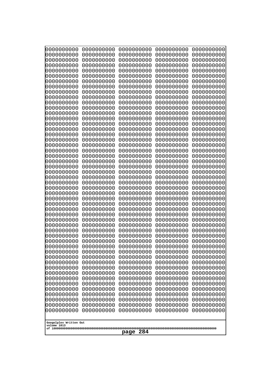| 10000000000                           | 0000000000               | 0000000000               | 0000000000               | 0000000000               |
|---------------------------------------|--------------------------|--------------------------|--------------------------|--------------------------|
| 0000000000<br>0000000000              | 0000000000<br>0000000000 | 0000000000<br>0000000000 | 0000000000<br>0000000000 | 0000000000<br>0000000000 |
| 0000000000                            | 0000000000               | 0000000000               | 0000000000               | 0000000000               |
| 0000000000                            | 0000000000               | 0000000000               | 0000000000               | 0000000000               |
| 0000000000                            | 0000000000               | 0000000000               | 0000000000               | 0000000000               |
| 0000000000<br>0000000000              | 0000000000<br>0000000000 | 0000000000<br>0000000000 | 0000000000<br>0000000000 | 0000000000<br>0000000000 |
| 0000000000                            | 0000000000               | 0000000000               | 0000000000               | 0000000000               |
| 0000000000                            | 0000000000               | 0000000000               | 0000000000               | 0000000000               |
| 0000000000                            | 0000000000               | 0000000000               | 0000000000               | 0000000000               |
| 0000000000<br>0000000000              | 0000000000<br>0000000000 | 0000000000<br>0000000000 | 0000000000<br>0000000000 | 0000000000<br>0000000000 |
| 0000000000                            | 0000000000               | 0000000000               | 0000000000               | 0000000000               |
| 0000000000                            | 0000000000               | 0000000000               | 0000000000               | 0000000000               |
| 0000000000                            | 0000000000               | 0000000000               | 0000000000               | 0000000000               |
| 0000000000<br>0000000000              | 0000000000<br>0000000000 | 0000000000<br>0000000000 | 0000000000<br>0000000000 | 0000000000<br>0000000000 |
| 0000000000                            | 0000000000               | 0000000000               | 0000000000               | 0000000000               |
| 0000000000                            | 0000000000               | 0000000000               | 0000000000               | 0000000000               |
| 0000000000                            | 0000000000               | 0000000000               | 0000000000               | 0000000000               |
| 0000000000<br>0000000000              | 0000000000<br>0000000000 | 0000000000<br>0000000000 | 0000000000<br>0000000000 | 0000000000<br>0000000000 |
| 0000000000                            | 0000000000               | 0000000000               | 0000000000               | 0000000000               |
| 0000000000                            | 0000000000               | 0000000000               | 0000000000               | 0000000000               |
| 0000000000                            | 0000000000               | 0000000000               | 0000000000               | 0000000000               |
| 0000000000<br>0000000000              | 0000000000<br>0000000000 | 0000000000<br>0000000000 | 0000000000<br>0000000000 | 0000000000<br>0000000000 |
| 0000000000                            | 0000000000               | 0000000000               | 0000000000               | 0000000000               |
| 0000000000                            | 0000000000               | 0000000000               | 0000000000               | 0000000000               |
| 0000000000                            | 0000000000               | 0000000000               | 0000000000               | 0000000000               |
| 0000000000<br>0000000000              | 0000000000<br>0000000000 | 0000000000<br>0000000000 | 0000000000<br>0000000000 | 0000000000<br>0000000000 |
| 0000000000                            | 0000000000               | 0000000000               | 0000000000               | 0000000000               |
| 0000000000                            | 0000000000               | 0000000000               | 0000000000               | 0000000000               |
| 0000000000                            | 0000000000<br>0000000000 | 0000000000<br>0000000000 | 0000000000               | 0000000000               |
| 0000000000<br>0000000000              | 0000000000               | 0000000000               | 0000000000<br>0000000000 | 0000000000<br>0000000000 |
| 0000000000                            | 0000000000               | 0000000000               | 0000000000               | 0000000000               |
| 0000000000                            | 0000000000               | 0000000000               | 0000000000               | 0000000000               |
| 0000000000<br>0000000000              | 0000000000<br>0000000000 | 0000000000<br>0000000000 | 0000000000<br>0000000000 | 0000000000<br>0000000000 |
| 0000000000                            | 0000000000               | 0000000000               | 0000000000               | 0000000000               |
| 0000000000                            | 0000000000               | 0000000000               | 0000000000               | 0000000000               |
| 0000000000                            | 0000000000               | 0000000000               | 0000000000               | 0000000000               |
| 0000000000<br>0000000000              | 0000000000<br>0000000000 | 0000000000<br>0000000000 | 0000000000<br>0000000000 | 0000000000<br>0000000000 |
| 0000000000                            | 0000000000               | 0000000000               | 0000000000               | 0000000000               |
| 0000000000                            | 0000000000               | 0000000000               | 0000000000               | 0000000000               |
| 0000000000                            | 0000000000               | 0000000000               | 0000000000               | 0000000000               |
|                                       |                          |                          |                          |                          |
| Googolplex Written Out<br>volume 1013 |                          |                          |                          |                          |
| 284<br>page                           |                          |                          |                          |                          |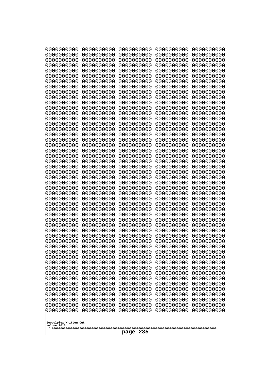| 0000000000                                           | 0000000000 | 0000000000 | 0000000000 | 0000000000 |
|------------------------------------------------------|------------|------------|------------|------------|
| 0000000000                                           | 0000000000 | 0000000000 | 0000000000 | 0000000000 |
| 0000000000                                           | 0000000000 | 0000000000 | 0000000000 | 0000000000 |
| 0000000000                                           | 0000000000 | 0000000000 | 0000000000 | 0000000000 |
| 0000000000                                           | 0000000000 | 0000000000 | 0000000000 | 0000000000 |
| 0000000000                                           | 0000000000 | 0000000000 | 0000000000 | 0000000000 |
| 0000000000                                           | 0000000000 | 0000000000 | 0000000000 | 0000000000 |
| 0000000000                                           | 0000000000 | 0000000000 | 0000000000 | 0000000000 |
| 0000000000                                           | 0000000000 | 0000000000 | 0000000000 | 0000000000 |
| 0000000000                                           | 0000000000 | 0000000000 | 0000000000 | 0000000000 |
| 0000000000                                           | 0000000000 | 0000000000 | 0000000000 | 0000000000 |
| 0000000000                                           | 0000000000 | 0000000000 | 0000000000 | 0000000000 |
| 0000000000                                           | 0000000000 | 0000000000 | 0000000000 | 0000000000 |
| 0000000000                                           | 0000000000 | 0000000000 | 0000000000 | 0000000000 |
| 0000000000                                           | 0000000000 | 0000000000 | 0000000000 | 0000000000 |
| 0000000000                                           | 0000000000 | 0000000000 | 0000000000 | 0000000000 |
| 0000000000                                           | 0000000000 | 0000000000 | 0000000000 | 0000000000 |
| 0000000000                                           | 0000000000 | 0000000000 | 0000000000 | 0000000000 |
| 0000000000                                           | 0000000000 | 0000000000 | 0000000000 | 0000000000 |
| 0000000000                                           | 0000000000 | 0000000000 | 0000000000 | 0000000000 |
| 0000000000                                           | 0000000000 | 0000000000 | 0000000000 | 0000000000 |
| 0000000000                                           | 0000000000 | 0000000000 | 0000000000 | 0000000000 |
| 0000000000                                           | 0000000000 | 0000000000 | 0000000000 | 0000000000 |
| 0000000000                                           | 0000000000 | 0000000000 | 0000000000 | 0000000000 |
| 0000000000                                           | 0000000000 | 0000000000 | 0000000000 | 0000000000 |
| 0000000000                                           | 0000000000 | 0000000000 | 0000000000 | 0000000000 |
| 0000000000                                           | 0000000000 | 0000000000 | 0000000000 | 0000000000 |
| 0000000000                                           | 0000000000 | 0000000000 | 0000000000 | 0000000000 |
| 0000000000                                           | 0000000000 | 0000000000 | 0000000000 | 0000000000 |
| 0000000000                                           | 0000000000 | 0000000000 | 0000000000 | 0000000000 |
| 0000000000                                           | 0000000000 | 0000000000 | 0000000000 | 0000000000 |
| 0000000000                                           | 0000000000 | 0000000000 | 0000000000 | 0000000000 |
| 0000000000                                           | 0000000000 | 0000000000 | 0000000000 | 0000000000 |
| 0000000000                                           | 0000000000 | 0000000000 | 0000000000 | 0000000000 |
| 0000000000                                           | 0000000000 | 0000000000 | 0000000000 | 0000000000 |
| 0000000000                                           | 0000000000 | 0000000000 | 0000000000 | 0000000000 |
| 0000000000                                           | 0000000000 | 0000000000 | 0000000000 | 0000000000 |
| 0000000000                                           | 0000000000 | 0000000000 | 0000000000 | 0000000000 |
| 0000000000                                           | 0000000000 | 0000000000 | 0000000000 | 0000000000 |
| 0000000000                                           | 0000000000 | 0000000000 | 0000000000 | 0000000000 |
| 0000000000                                           | 0000000000 | 0000000000 | 0000000000 | 0000000000 |
| 0000000000                                           | 0000000000 | 0000000000 | 0000000000 | 0000000000 |
| 0000000000                                           | 0000000000 | 0000000000 | 0000000000 | 0000000000 |
| 0000000000                                           | 0000000000 | 0000000000 | 0000000000 | 0000000000 |
| 0000000000                                           | 0000000000 | 0000000000 | 0000000000 | 0000000000 |
| 0000000000                                           | 0000000000 | 0000000000 | 0000000000 | 0000000000 |
| 0000000000                                           | 0000000000 | 0000000000 | 0000000000 | 0000000000 |
| 0000000000                                           | 0000000000 | 0000000000 | 0000000000 | 0000000000 |
| 0000000000                                           | 0000000000 | 0000000000 | 0000000000 | 0000000000 |
| 0000000000                                           | 0000000000 | 0000000000 | 0000000000 | 0000000000 |
| Googolplex Written Out<br>volume 1013<br>285<br>page |            |            |            |            |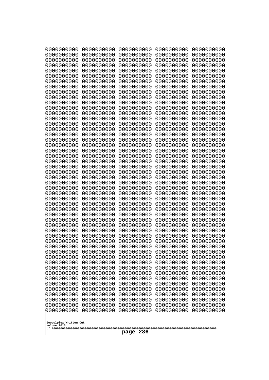| Googolplex Written Out<br>volume 1013 | 0000000000<br>0000000000<br>0000000000<br>0000000000<br>0000000000<br>0000000000<br>0000000000<br>0000000000<br>0000000000<br>0000000000<br>0000000000<br>0000000000<br>0000000000<br>0000000000<br>0000000000<br>0000000000<br>0000000000<br>0000000000<br>0000000000<br>0000000000<br>0000000000<br>0000000000<br>0000000000<br>0000000000<br>0000000000<br>0000000000<br>0000000000<br>0000000000<br>0000000000<br>0000000000<br>0000000000<br>0000000000<br>0000000000<br>0000000000<br>0000000000<br>0000000000<br>0000000000<br>10000000000<br>0000000000<br>0000000000<br>0000000000<br>0000000000<br>0000000000<br>0000000000<br>0000000000<br>0000000000<br>0000000000<br>0000000000<br>0000000000<br>0000000000 | 0000000000<br>0000000000<br>0000000000<br>0000000000<br>0000000000<br>0000000000<br>0000000000<br>0000000000<br>0000000000<br>0000000000<br>0000000000<br>0000000000<br>0000000000<br>0000000000<br>0000000000<br>0000000000<br>0000000000<br>0000000000<br>0000000000<br>0000000000<br>0000000000<br>0000000000<br>0000000000<br>0000000000<br>0000000000<br>0000000000<br>0000000000<br>0000000000<br>0000000000<br>0000000000<br>0000000000<br>0000000000<br>0000000000<br>0000000000<br>0000000000<br>0000000000<br>0000000000<br>0000000000<br>0000000000<br>0000000000<br>0000000000<br>0000000000<br>0000000000<br>0000000000<br>0000000000<br>0000000000<br>0000000000<br>0000000000<br>0000000000<br>0000000000 | 0000000000<br>0000000000<br>0000000000<br>0000000000<br>0000000000<br>0000000000<br>0000000000<br>0000000000<br>0000000000<br>0000000000<br>0000000000<br>0000000000<br>0000000000<br>0000000000<br>0000000000<br>0000000000<br>0000000000<br>0000000000<br>0000000000<br>0000000000<br>0000000000<br>0000000000<br>0000000000<br>0000000000<br>0000000000<br>0000000000<br>0000000000<br>0000000000<br>0000000000<br>0000000000<br>0000000000<br>0000000000<br>0000000000<br>0000000000<br>0000000000<br>0000000000<br>0000000000<br>0000000000<br>0000000000<br>0000000000<br>0000000000<br>0000000000<br>0000000000<br>0000000000<br>0000000000<br>0000000000<br>0000000000<br>0000000000<br>0000000000<br>0000000000 | 0000000000<br>0000000000<br>0000000000<br>0000000000<br>0000000000<br>0000000000<br>0000000000<br>0000000000<br>0000000000<br>0000000000<br>0000000000<br>0000000000<br>0000000000<br>0000000000<br>0000000000<br>0000000000<br>0000000000<br>0000000000<br>0000000000<br>0000000000<br>0000000000<br>0000000000<br>0000000000<br>0000000000<br>0000000000<br>0000000000<br>0000000000<br>0000000000<br>0000000000<br>0000000000<br>0000000000<br>0000000000<br>0000000000<br>0000000000<br>0000000000<br>0000000000<br>0000000000<br>0000000000<br>0000000000<br>0000000000<br>0000000000<br>0000000000<br>0000000000<br>0000000000<br>0000000000<br>0000000000<br>0000000000<br>0000000000<br>0000000000<br>0000000000 | 0000000000<br>0000000000<br>0000000000<br>0000000000<br>0000000000<br>0000000000<br>0000000000<br>0000000000<br>0000000000<br>0000000000<br>0000000000<br>0000000000<br>0000000000<br>0000000000<br>0000000000<br>0000000000<br>0000000000<br>0000000000<br>0000000000<br>0000000000<br>0000000000<br>0000000000<br>0000000000<br>0000000000<br>0000000000<br>0000000000<br>0000000000<br>0000000000<br>0000000000<br>0000000000<br>0000000000<br>0000000000<br>0000000000<br>0000000000<br>0000000000<br>0000000000<br>0000000000<br>0000000000<br>0000000000<br>0000000000<br>0000000000<br>0000000000<br>0000000000<br>0000000000<br>0000000000<br>0000000000<br>0000000000<br>0000000000<br>0000000000<br>0000000000 |
|---------------------------------------|---------------------------------------------------------------------------------------------------------------------------------------------------------------------------------------------------------------------------------------------------------------------------------------------------------------------------------------------------------------------------------------------------------------------------------------------------------------------------------------------------------------------------------------------------------------------------------------------------------------------------------------------------------------------------------------------------------------------------|--------------------------------------------------------------------------------------------------------------------------------------------------------------------------------------------------------------------------------------------------------------------------------------------------------------------------------------------------------------------------------------------------------------------------------------------------------------------------------------------------------------------------------------------------------------------------------------------------------------------------------------------------------------------------------------------------------------------------|--------------------------------------------------------------------------------------------------------------------------------------------------------------------------------------------------------------------------------------------------------------------------------------------------------------------------------------------------------------------------------------------------------------------------------------------------------------------------------------------------------------------------------------------------------------------------------------------------------------------------------------------------------------------------------------------------------------------------|--------------------------------------------------------------------------------------------------------------------------------------------------------------------------------------------------------------------------------------------------------------------------------------------------------------------------------------------------------------------------------------------------------------------------------------------------------------------------------------------------------------------------------------------------------------------------------------------------------------------------------------------------------------------------------------------------------------------------|--------------------------------------------------------------------------------------------------------------------------------------------------------------------------------------------------------------------------------------------------------------------------------------------------------------------------------------------------------------------------------------------------------------------------------------------------------------------------------------------------------------------------------------------------------------------------------------------------------------------------------------------------------------------------------------------------------------------------|
|                                       | 286<br>page                                                                                                                                                                                                                                                                                                                                                                                                                                                                                                                                                                                                                                                                                                               |                                                                                                                                                                                                                                                                                                                                                                                                                                                                                                                                                                                                                                                                                                                          |                                                                                                                                                                                                                                                                                                                                                                                                                                                                                                                                                                                                                                                                                                                          |                                                                                                                                                                                                                                                                                                                                                                                                                                                                                                                                                                                                                                                                                                                          |                                                                                                                                                                                                                                                                                                                                                                                                                                                                                                                                                                                                                                                                                                                          |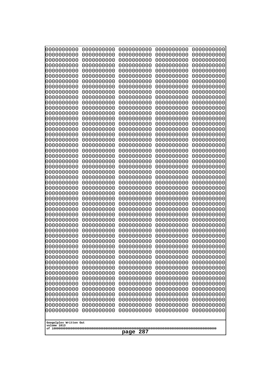| 10000000000<br>0000000000             | 0000000000<br>0000000000 | 0000000000<br>0000000000 | 0000000000<br>0000000000 | 0000000000<br>0000000000 |
|---------------------------------------|--------------------------|--------------------------|--------------------------|--------------------------|
| 0000000000                            | 0000000000               | 0000000000               | 0000000000               | 0000000000               |
| 0000000000                            | 0000000000               | 0000000000               | 0000000000               | 0000000000               |
| 0000000000<br>0000000000              | 0000000000<br>0000000000 | 0000000000<br>0000000000 | 0000000000<br>0000000000 | 0000000000<br>0000000000 |
| 0000000000                            | 0000000000               | 0000000000               | 0000000000               | 0000000000               |
| 0000000000                            | 0000000000               | 0000000000               | 0000000000               | 0000000000               |
| 0000000000                            | 0000000000               | 0000000000               | 0000000000               | 0000000000               |
| 0000000000<br>0000000000              | 0000000000<br>0000000000 | 0000000000<br>0000000000 | 0000000000<br>0000000000 | 0000000000<br>0000000000 |
| 0000000000                            | 0000000000               | 0000000000               | 0000000000               | 0000000000               |
| 0000000000                            | 0000000000               | 0000000000               | 0000000000               | 0000000000               |
| 0000000000<br>0000000000              | 0000000000<br>0000000000 | 0000000000<br>0000000000 | 0000000000<br>0000000000 | 0000000000<br>0000000000 |
| 0000000000                            | 0000000000               | 0000000000               | 0000000000               | 0000000000               |
| 0000000000                            | 0000000000               | 0000000000               | 0000000000               | 0000000000               |
| 0000000000<br>0000000000              | 0000000000<br>0000000000 | 0000000000<br>0000000000 | 0000000000<br>0000000000 | 0000000000<br>0000000000 |
| 0000000000                            | 0000000000               | 0000000000               | 0000000000               | 0000000000               |
| 0000000000                            | 0000000000               | 0000000000               | 0000000000               | 0000000000               |
| 0000000000<br>0000000000              | 0000000000<br>0000000000 | 0000000000<br>0000000000 | 0000000000<br>0000000000 | 0000000000<br>0000000000 |
| 0000000000                            | 0000000000               | 0000000000               | 0000000000               | 0000000000               |
| 0000000000                            | 0000000000               | 0000000000               | 0000000000               | 0000000000               |
| 0000000000<br>0000000000              | 0000000000<br>0000000000 | 0000000000<br>0000000000 | 0000000000<br>0000000000 | 0000000000<br>0000000000 |
| 0000000000                            | 0000000000               | 0000000000               | 0000000000               | 0000000000               |
| 0000000000                            | 0000000000               | 0000000000               | 0000000000               | 0000000000               |
| 0000000000<br>0000000000              | 0000000000<br>0000000000 | 0000000000<br>0000000000 | 0000000000<br>0000000000 | 0000000000<br>0000000000 |
| 0000000000                            | 0000000000               | 0000000000               | 0000000000               | 0000000000               |
| 0000000000                            | 0000000000               | 0000000000               | 0000000000               | 0000000000               |
| 0000000000<br>0000000000              | 0000000000               | 0000000000               | 0000000000               | 0000000000               |
| 0000000000                            | 0000000000<br>0000000000 | 0000000000<br>0000000000 | 0000000000<br>0000000000 | 0000000000<br>0000000000 |
| 0000000000                            | 0000000000               | 0000000000               | 0000000000               | 0000000000               |
| 0000000000                            | 0000000000               | 0000000000               | 0000000000               | 0000000000               |
| 0000000000<br>0000000000              | 0000000000<br>0000000000 | 0000000000<br>0000000000 | 0000000000<br>0000000000 | 0000000000<br>0000000000 |
| 0000000000                            | 0000000000               | 0000000000               | 0000000000               | 0000000000               |
| 0000000000                            | 0000000000               | 0000000000               | 0000000000               | 0000000000               |
| 0000000000<br>0000000000              | 0000000000<br>0000000000 | 0000000000<br>0000000000 | 0000000000<br>0000000000 | 0000000000<br>0000000000 |
| 0000000000                            | 0000000000               | 0000000000               | 0000000000               | 0000000000               |
| 0000000000                            | 0000000000               | 0000000000               | 0000000000               | 0000000000               |
| 0000000000<br>0000000000              | 0000000000<br>0000000000 | 0000000000<br>0000000000 | 0000000000<br>0000000000 | 0000000000<br>0000000000 |
| 0000000000                            | 0000000000               | 0000000000               | 0000000000               | 0000000000               |
| 0000000000                            | 0000000000               | 0000000000               | 0000000000               | 0000000000               |
|                                       |                          |                          |                          |                          |
| Googolplex Written Out<br>volume 1013 |                          |                          |                          |                          |
| 287<br>page                           |                          |                          |                          |                          |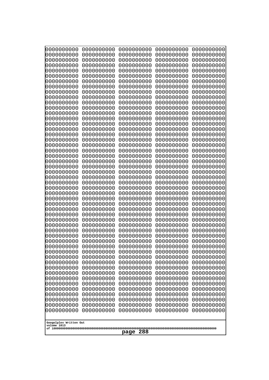| 10000000000                           | 0000000000               | 0000000000               | 0000000000               | 0000000000               |
|---------------------------------------|--------------------------|--------------------------|--------------------------|--------------------------|
| 0000000000<br>0000000000              | 0000000000<br>0000000000 | 0000000000<br>0000000000 | 0000000000<br>0000000000 | 0000000000<br>0000000000 |
| 0000000000                            | 0000000000               | 0000000000               | 0000000000               | 0000000000               |
| 0000000000                            | 0000000000               | 0000000000               | 0000000000               | 0000000000               |
| 0000000000                            | 0000000000               | 0000000000               | 0000000000               | 0000000000               |
| 0000000000                            | 0000000000               | 0000000000               | 0000000000               | 0000000000               |
| 0000000000<br>0000000000              | 0000000000<br>0000000000 | 0000000000<br>0000000000 | 0000000000<br>0000000000 | 0000000000<br>0000000000 |
| 0000000000                            | 0000000000               | 0000000000               | 0000000000               | 0000000000               |
| 0000000000                            | 0000000000               | 0000000000               | 0000000000               | 0000000000               |
| 0000000000<br>0000000000              | 0000000000<br>0000000000 | 0000000000<br>0000000000 | 0000000000<br>0000000000 | 0000000000<br>0000000000 |
| 0000000000                            | 0000000000               | 0000000000               | 0000000000               | 0000000000               |
| 0000000000                            | 0000000000               | 0000000000               | 0000000000               | 0000000000               |
| 0000000000                            | 0000000000               | 0000000000               | 0000000000               | 0000000000               |
| 0000000000<br>0000000000              | 0000000000<br>0000000000 | 0000000000<br>0000000000 | 0000000000<br>0000000000 | 0000000000<br>0000000000 |
| 0000000000                            | 0000000000               | 0000000000               | 0000000000               | 0000000000               |
| 0000000000                            | 0000000000               | 0000000000               | 0000000000               | 0000000000               |
| 0000000000                            | 0000000000               | 0000000000               | 0000000000               | 0000000000               |
| 0000000000<br>0000000000              | 0000000000<br>0000000000 | 0000000000<br>0000000000 | 0000000000<br>0000000000 | 0000000000<br>0000000000 |
| 0000000000                            | 0000000000               | 0000000000               | 0000000000               | 0000000000               |
| 0000000000                            | 0000000000               | 0000000000               | 0000000000               | 0000000000               |
| 0000000000                            | 0000000000               | 0000000000               | 0000000000               | 0000000000               |
| 0000000000<br>0000000000              | 0000000000<br>0000000000 | 0000000000<br>0000000000 | 0000000000<br>0000000000 | 0000000000<br>0000000000 |
| 0000000000                            | 0000000000               | 0000000000               | 0000000000               | 0000000000               |
| 0000000000                            | 0000000000               | 0000000000               | 0000000000               | 0000000000               |
| 0000000000                            | 0000000000               | 0000000000               | 0000000000               | 0000000000               |
| 0000000000<br>0000000000              | 0000000000<br>0000000000 | 0000000000<br>0000000000 | 0000000000<br>0000000000 | 0000000000<br>0000000000 |
| 0000000000                            | 0000000000               | 0000000000               | 0000000000               | 0000000000               |
| 0000000000                            | 0000000000               | 0000000000               | 0000000000               | 0000000000               |
| 0000000000                            | 0000000000<br>0000000000 | 0000000000<br>0000000000 | 0000000000               | 0000000000               |
| 0000000000<br>0000000000              | 0000000000               | 0000000000               | 0000000000<br>0000000000 | 0000000000<br>0000000000 |
| 0000000000                            | 0000000000               | 0000000000               | 0000000000               | 0000000000               |
| 0000000000                            | 0000000000               | 0000000000               | 0000000000               | 0000000000               |
| 0000000000<br>0000000000              | 0000000000<br>0000000000 | 0000000000<br>0000000000 | 0000000000<br>0000000000 | 0000000000<br>0000000000 |
| 0000000000                            | 0000000000               | 0000000000               | 0000000000               | 0000000000               |
| 0000000000                            | 0000000000               | 0000000000               | 0000000000               | 0000000000               |
| 0000000000                            | 0000000000               | 0000000000               | 0000000000               | 0000000000               |
| 0000000000<br>0000000000              | 0000000000<br>0000000000 | 0000000000<br>0000000000 | 0000000000<br>0000000000 | 0000000000<br>0000000000 |
| 0000000000                            | 0000000000               | 0000000000               | 0000000000               | 0000000000               |
| 0000000000                            | 0000000000               | 0000000000               | 0000000000               | 0000000000               |
| 0000000000                            | 0000000000               | 0000000000               | 0000000000               | 0000000000               |
|                                       |                          |                          |                          |                          |
| Googolplex Written Out<br>volume 1013 |                          |                          |                          |                          |
| 288<br>page                           |                          |                          |                          |                          |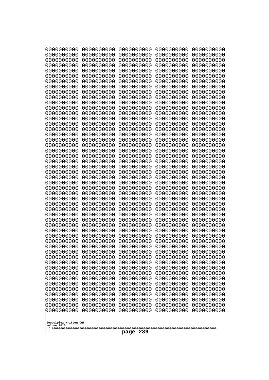| 0000000000                                                                                                                | 0000000000                                                                       | 0000000000                                                                                      | 0000000000                                                                       | 0000000000                                                                       |
|---------------------------------------------------------------------------------------------------------------------------|----------------------------------------------------------------------------------|-------------------------------------------------------------------------------------------------|----------------------------------------------------------------------------------|----------------------------------------------------------------------------------|
| 0000000000                                                                                                                | 0000000000                                                                       | 0000000000                                                                                      | 0000000000                                                                       | 0000000000                                                                       |
| 0000000000                                                                                                                | 0000000000                                                                       | 0000000000                                                                                      | 0000000000                                                                       | 0000000000                                                                       |
| 0000000000                                                                                                                | 0000000000                                                                       | 0000000000                                                                                      | 0000000000                                                                       | 0000000000                                                                       |
| 0000000000                                                                                                                | 0000000000                                                                       | 0000000000                                                                                      | 0000000000                                                                       | 0000000000                                                                       |
| 0000000000                                                                                                                | 0000000000                                                                       | 0000000000                                                                                      | 0000000000                                                                       | 0000000000                                                                       |
| 0000000000                                                                                                                | 0000000000                                                                       | 0000000000                                                                                      | 0000000000                                                                       | 0000000000                                                                       |
| 0000000000                                                                                                                | 0000000000                                                                       | 0000000000                                                                                      | 0000000000                                                                       | 0000000000                                                                       |
| 0000000000                                                                                                                | 0000000000                                                                       | 0000000000                                                                                      | 0000000000                                                                       | 0000000000                                                                       |
| 0000000000                                                                                                                | 0000000000                                                                       | 0000000000                                                                                      | 0000000000                                                                       | 0000000000                                                                       |
| 0000000000                                                                                                                | 0000000000                                                                       | 0000000000                                                                                      | 0000000000                                                                       | 0000000000                                                                       |
| 0000000000                                                                                                                | 0000000000                                                                       | 0000000000                                                                                      | 0000000000                                                                       | 0000000000                                                                       |
| 0000000000                                                                                                                | 0000000000                                                                       | 0000000000                                                                                      | 0000000000                                                                       | 0000000000                                                                       |
| 0000000000                                                                                                                | 0000000000                                                                       | 0000000000                                                                                      | 0000000000                                                                       | 0000000000                                                                       |
| 0000000000                                                                                                                | 0000000000                                                                       | 0000000000                                                                                      | 0000000000                                                                       | 0000000000                                                                       |
| 0000000000                                                                                                                | 0000000000                                                                       | 0000000000                                                                                      | 0000000000                                                                       | 0000000000                                                                       |
| 0000000000                                                                                                                | 0000000000                                                                       | 0000000000                                                                                      | 0000000000                                                                       | 0000000000                                                                       |
| 0000000000                                                                                                                | 0000000000                                                                       | 0000000000                                                                                      | 0000000000                                                                       | 0000000000                                                                       |
| 0000000000                                                                                                                | 0000000000                                                                       | 0000000000                                                                                      | 0000000000                                                                       | 0000000000                                                                       |
| 0000000000                                                                                                                | 0000000000                                                                       | 0000000000                                                                                      | 0000000000                                                                       | 0000000000                                                                       |
| 0000000000                                                                                                                | 0000000000                                                                       | 0000000000                                                                                      | 0000000000                                                                       | 0000000000                                                                       |
| 0000000000                                                                                                                | 0000000000                                                                       | 0000000000                                                                                      | 0000000000                                                                       | 0000000000                                                                       |
| 0000000000                                                                                                                | 0000000000                                                                       | 0000000000                                                                                      | 0000000000                                                                       | 0000000000                                                                       |
| 0000000000                                                                                                                | 0000000000                                                                       | 0000000000                                                                                      | 0000000000                                                                       | 0000000000                                                                       |
| 0000000000                                                                                                                | 0000000000                                                                       | 0000000000                                                                                      | 0000000000                                                                       | 0000000000                                                                       |
| 0000000000                                                                                                                | 0000000000                                                                       | 0000000000                                                                                      | 0000000000                                                                       | 0000000000                                                                       |
| 0000000000                                                                                                                | 0000000000                                                                       | 0000000000                                                                                      | 0000000000                                                                       | 0000000000                                                                       |
| 0000000000                                                                                                                | 0000000000                                                                       | 0000000000                                                                                      | 0000000000                                                                       | 0000000000                                                                       |
| 0000000000                                                                                                                | 0000000000                                                                       | 0000000000                                                                                      | 0000000000                                                                       | 0000000000                                                                       |
| 0000000000                                                                                                                | 0000000000                                                                       | 0000000000                                                                                      | 0000000000                                                                       | 0000000000                                                                       |
| 0000000000                                                                                                                | 0000000000                                                                       | 0000000000                                                                                      | 0000000000                                                                       | 0000000000                                                                       |
| 0000000000                                                                                                                | 0000000000                                                                       | 0000000000                                                                                      | 0000000000                                                                       | 0000000000                                                                       |
| 0000000000                                                                                                                | 0000000000                                                                       | 0000000000                                                                                      | 0000000000                                                                       | 0000000000                                                                       |
| 0000000000                                                                                                                | 0000000000                                                                       | 0000000000                                                                                      | 0000000000                                                                       | 0000000000                                                                       |
| 0000000000                                                                                                                | 0000000000                                                                       | 0000000000                                                                                      | 0000000000                                                                       | 0000000000                                                                       |
| 0000000000                                                                                                                | 0000000000                                                                       | 0000000000                                                                                      | 0000000000                                                                       | 0000000000                                                                       |
| 0000000000                                                                                                                | 0000000000                                                                       | 0000000000                                                                                      | 0000000000                                                                       | 0000000000                                                                       |
| 0000000000                                                                                                                | 0000000000                                                                       | 0000000000                                                                                      | 0000000000                                                                       | 0000000000                                                                       |
| 0000000000                                                                                                                | 0000000000                                                                       | 0000000000                                                                                      | 0000000000                                                                       | 0000000000                                                                       |
| 0000000000                                                                                                                | 0000000000                                                                       | 0000000000                                                                                      | 0000000000                                                                       | 0000000000                                                                       |
| 0000000000                                                                                                                | 0000000000                                                                       | 0000000000                                                                                      | 0000000000                                                                       | 0000000000                                                                       |
| 0000000000                                                                                                                | 0000000000                                                                       | 0000000000                                                                                      | 0000000000                                                                       | 0000000000                                                                       |
| 0000000000<br>0000000000<br>0000000000<br>0000000000<br>0000000000<br>0000000000<br>Googolplex Written Out<br>volume 1013 | 0000000000<br>0000000000<br>0000000000<br>0000000000<br>0000000000<br>0000000000 | 0000000000<br>0000000000<br>0000000000<br>0000000000<br>0000000000<br>0000000000<br>289<br>page | 0000000000<br>0000000000<br>0000000000<br>0000000000<br>0000000000<br>0000000000 | 0000000000<br>0000000000<br>0000000000<br>0000000000<br>0000000000<br>0000000000 |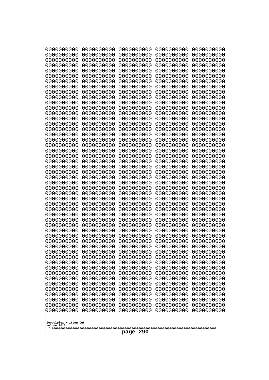| 10000000000                           | 0000000000               | 0000000000               | 0000000000               | 0000000000               |
|---------------------------------------|--------------------------|--------------------------|--------------------------|--------------------------|
| 0000000000<br>0000000000              | 0000000000<br>0000000000 | 0000000000<br>0000000000 | 0000000000<br>0000000000 | 0000000000<br>0000000000 |
| 0000000000                            | 0000000000               | 0000000000               | 0000000000               | 0000000000               |
| 0000000000                            | 0000000000               | 0000000000               | 0000000000               | 0000000000               |
| 0000000000                            | 0000000000               | 0000000000               | 0000000000               | 0000000000               |
| 0000000000<br>0000000000              | 0000000000<br>0000000000 | 0000000000<br>0000000000 | 0000000000<br>0000000000 | 0000000000<br>0000000000 |
| 0000000000                            | 0000000000               | 0000000000               | 0000000000               | 0000000000               |
| 0000000000                            | 0000000000               | 0000000000               | 0000000000               | 0000000000               |
| 0000000000                            | 0000000000               | 0000000000               | 0000000000               | 0000000000               |
| 0000000000<br>0000000000              | 0000000000<br>0000000000 | 0000000000<br>0000000000 | 0000000000<br>0000000000 | 0000000000<br>0000000000 |
| 0000000000                            | 0000000000               | 0000000000               | 0000000000               | 0000000000               |
| 0000000000                            | 0000000000               | 0000000000               | 0000000000               | 0000000000               |
| 0000000000                            | 0000000000               | 0000000000               | 0000000000               | 0000000000               |
| 0000000000<br>0000000000              | 0000000000<br>0000000000 | 0000000000<br>0000000000 | 0000000000<br>0000000000 | 0000000000<br>0000000000 |
| 0000000000                            | 0000000000               | 0000000000               | 0000000000               | 0000000000               |
| 0000000000                            | 0000000000               | 0000000000               | 0000000000               | 0000000000               |
| 0000000000                            | 0000000000               | 0000000000               | 0000000000               | 0000000000               |
| 0000000000<br>0000000000              | 0000000000<br>0000000000 | 0000000000<br>0000000000 | 0000000000<br>0000000000 | 0000000000<br>0000000000 |
| 0000000000                            | 0000000000               | 0000000000               | 0000000000               | 0000000000               |
| 0000000000                            | 0000000000               | 0000000000               | 0000000000               | 0000000000               |
| 0000000000                            | 0000000000               | 0000000000               | 0000000000               | 0000000000               |
| 0000000000<br>0000000000              | 0000000000<br>0000000000 | 0000000000<br>0000000000 | 0000000000<br>0000000000 | 0000000000<br>0000000000 |
| 0000000000                            | 0000000000               | 0000000000               | 0000000000               | 0000000000               |
| 0000000000                            | 0000000000               | 0000000000               | 0000000000               | 0000000000               |
| 0000000000                            | 0000000000               | 0000000000               | 0000000000               | 0000000000               |
| 0000000000<br>0000000000              | 0000000000<br>0000000000 | 0000000000<br>0000000000 | 0000000000<br>0000000000 | 0000000000<br>0000000000 |
| 0000000000                            | 0000000000               | 0000000000               | 0000000000               | 0000000000               |
| 0000000000                            | 0000000000               | 0000000000               | 0000000000               | 0000000000               |
| 0000000000                            | 0000000000<br>0000000000 | 0000000000<br>0000000000 | 0000000000               | 0000000000               |
| 0000000000<br>0000000000              | 0000000000               | 0000000000               | 0000000000<br>0000000000 | 0000000000<br>0000000000 |
| 0000000000                            | 0000000000               | 0000000000               | 0000000000               | 0000000000               |
| 0000000000                            | 0000000000               | 0000000000               | 0000000000               | 0000000000               |
| 0000000000<br>0000000000              | 0000000000<br>0000000000 | 0000000000<br>0000000000 | 0000000000<br>0000000000 | 0000000000<br>0000000000 |
| 0000000000                            | 0000000000               | 0000000000               | 0000000000               | 0000000000               |
| 0000000000                            | 0000000000               | 0000000000               | 0000000000               | 0000000000               |
| 0000000000                            | 0000000000               | 0000000000               | 0000000000               | 0000000000               |
| 0000000000<br>0000000000              | 0000000000<br>0000000000 | 0000000000<br>0000000000 | 0000000000<br>0000000000 | 0000000000<br>0000000000 |
| 0000000000                            | 0000000000               | 0000000000               | 0000000000               | 0000000000               |
| 0000000000                            | 0000000000               | 0000000000               | 0000000000               | 0000000000               |
| 0000000000                            | 0000000000               | 0000000000               | 0000000000               | 0000000000               |
|                                       |                          |                          |                          |                          |
| Googolplex Written Out<br>volume 1013 |                          |                          |                          |                          |
| 290<br>page                           |                          |                          |                          |                          |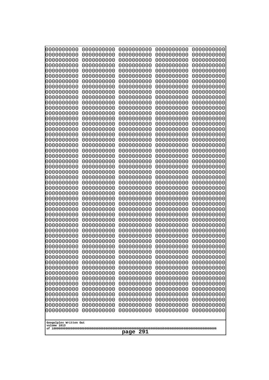| 0000000000<br>0000000000<br>0000000000<br>0000000000<br>0000000000<br>0000000000<br>0000000000<br>0000000000<br>0000000000<br>0000000000<br>0000000000<br>0000000000<br>0000000000<br>0000000000<br>0000000000                                                                                                                                                                                                                                                                                                      | 0000000000<br>0000000000<br>0000000000<br>0000000000<br>0000000000<br>0000000000<br>0000000000<br>0000000000<br>0000000000<br>0000000000<br>0000000000<br>0000000000<br>0000000000<br>0000000000<br>0000000000                                                                                                                                                                                                                                                                           | 0000000000<br>0000000000<br>0000000000<br>0000000000<br>0000000000<br>0000000000<br>0000000000<br>0000000000<br>0000000000<br>0000000000<br>0000000000<br>0000000000<br>0000000000<br>0000000000<br>0000000000                                                                                                                                                                                                                                                                           | 0000000000<br>0000000000<br>0000000000<br>0000000000<br>0000000000<br>0000000000<br>0000000000<br>0000000000<br>0000000000<br>0000000000<br>0000000000<br>0000000000<br>0000000000<br>0000000000<br>0000000000                                                                                                                                                                                                                                                                           | 0000000000<br>0000000000<br>0000000000<br>0000000000<br>0000000000<br>0000000000<br>0000000000<br>0000000000<br>0000000000<br>0000000000<br>0000000000<br>0000000000<br>0000000000<br>0000000000<br>0000000000                                                                                                                                                                                                                                                                           |
|---------------------------------------------------------------------------------------------------------------------------------------------------------------------------------------------------------------------------------------------------------------------------------------------------------------------------------------------------------------------------------------------------------------------------------------------------------------------------------------------------------------------|------------------------------------------------------------------------------------------------------------------------------------------------------------------------------------------------------------------------------------------------------------------------------------------------------------------------------------------------------------------------------------------------------------------------------------------------------------------------------------------|------------------------------------------------------------------------------------------------------------------------------------------------------------------------------------------------------------------------------------------------------------------------------------------------------------------------------------------------------------------------------------------------------------------------------------------------------------------------------------------|------------------------------------------------------------------------------------------------------------------------------------------------------------------------------------------------------------------------------------------------------------------------------------------------------------------------------------------------------------------------------------------------------------------------------------------------------------------------------------------|------------------------------------------------------------------------------------------------------------------------------------------------------------------------------------------------------------------------------------------------------------------------------------------------------------------------------------------------------------------------------------------------------------------------------------------------------------------------------------------|
| 0000000000<br>0000000000<br>0000000000<br>0000000000<br>0000000000<br>0000000000<br>0000000000<br>0000000000<br>0000000000<br>0000000000<br>0000000000<br>0000000000<br>0000000000<br>0000000000<br>0000000000<br>0000000000<br>0000000000<br>0000000000<br>0000000000<br>0000000000<br>0000000000<br>0000000000<br>0000000000<br>0000000000<br>0000000000<br>0000000000<br>0000000000<br>0000000000<br>0000000000<br>0000000000<br>0000000000<br>0000000000<br>0000000000<br>Googolplex Written Out<br>volume 1013 | 0000000000<br>0000000000<br>0000000000<br>0000000000<br>0000000000<br>0000000000<br>0000000000<br>0000000000<br>0000000000<br>0000000000<br>0000000000<br>0000000000<br>0000000000<br>0000000000<br>0000000000<br>0000000000<br>0000000000<br>0000000000<br>0000000000<br>0000000000<br>0000000000<br>0000000000<br>0000000000<br>0000000000<br>0000000000<br>0000000000<br>0000000000<br>0000000000<br>0000000000<br>0000000000<br>0000000000<br>0000000000<br>0000000000<br>0000000000 | 0000000000<br>0000000000<br>0000000000<br>0000000000<br>0000000000<br>0000000000<br>0000000000<br>0000000000<br>0000000000<br>0000000000<br>0000000000<br>0000000000<br>0000000000<br>0000000000<br>0000000000<br>0000000000<br>0000000000<br>0000000000<br>0000000000<br>0000000000<br>0000000000<br>0000000000<br>0000000000<br>0000000000<br>0000000000<br>0000000000<br>0000000000<br>0000000000<br>0000000000<br>0000000000<br>0000000000<br>0000000000<br>0000000000<br>0000000000 | 0000000000<br>0000000000<br>0000000000<br>0000000000<br>0000000000<br>0000000000<br>0000000000<br>0000000000<br>0000000000<br>0000000000<br>0000000000<br>0000000000<br>0000000000<br>0000000000<br>0000000000<br>0000000000<br>0000000000<br>0000000000<br>0000000000<br>0000000000<br>0000000000<br>0000000000<br>0000000000<br>0000000000<br>0000000000<br>0000000000<br>0000000000<br>0000000000<br>0000000000<br>0000000000<br>0000000000<br>0000000000<br>0000000000<br>0000000000 | 0000000000<br>0000000000<br>0000000000<br>0000000000<br>0000000000<br>0000000000<br>0000000000<br>0000000000<br>0000000000<br>0000000000<br>0000000000<br>0000000000<br>0000000000<br>0000000000<br>0000000000<br>0000000000<br>0000000000<br>0000000000<br>0000000000<br>0000000000<br>0000000000<br>0000000000<br>0000000000<br>0000000000<br>0000000000<br>0000000000<br>0000000000<br>0000000000<br>0000000000<br>0000000000<br>0000000000<br>0000000000<br>0000000000<br>0000000000 |
| 291<br>page                                                                                                                                                                                                                                                                                                                                                                                                                                                                                                         |                                                                                                                                                                                                                                                                                                                                                                                                                                                                                          |                                                                                                                                                                                                                                                                                                                                                                                                                                                                                          |                                                                                                                                                                                                                                                                                                                                                                                                                                                                                          |                                                                                                                                                                                                                                                                                                                                                                                                                                                                                          |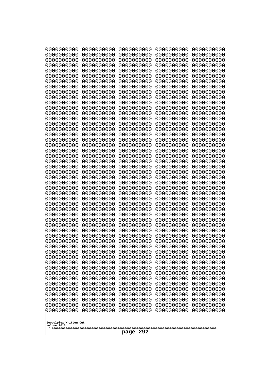| 10000000000                           | 0000000000               | 0000000000               | 0000000000               | 0000000000               |
|---------------------------------------|--------------------------|--------------------------|--------------------------|--------------------------|
| 0000000000<br>0000000000              | 0000000000<br>0000000000 | 0000000000<br>0000000000 | 0000000000<br>0000000000 | 0000000000<br>0000000000 |
| 0000000000                            | 0000000000               | 0000000000               | 0000000000               | 0000000000               |
| 0000000000                            | 0000000000               | 0000000000               | 0000000000               | 0000000000               |
| 0000000000                            | 0000000000               | 0000000000               | 0000000000               | 0000000000               |
| 0000000000<br>0000000000              | 0000000000<br>0000000000 | 0000000000<br>0000000000 | 0000000000<br>0000000000 | 0000000000<br>0000000000 |
| 0000000000                            | 0000000000               | 0000000000               | 0000000000               | 0000000000               |
| 0000000000                            | 0000000000               | 0000000000               | 0000000000               | 0000000000               |
| 0000000000                            | 0000000000               | 0000000000               | 0000000000               | 0000000000               |
| 0000000000<br>0000000000              | 0000000000<br>0000000000 | 0000000000<br>0000000000 | 0000000000<br>0000000000 | 0000000000<br>0000000000 |
| 0000000000                            | 0000000000               | 0000000000               | 0000000000               | 0000000000               |
| 0000000000                            | 0000000000               | 0000000000               | 0000000000               | 0000000000               |
| 0000000000                            | 0000000000               | 0000000000               | 0000000000               | 0000000000               |
| 0000000000<br>0000000000              | 0000000000<br>0000000000 | 0000000000<br>0000000000 | 0000000000<br>0000000000 | 0000000000<br>0000000000 |
| 0000000000                            | 0000000000               | 0000000000               | 0000000000               | 0000000000               |
| 0000000000                            | 0000000000               | 0000000000               | 0000000000               | 0000000000               |
| 0000000000                            | 0000000000               | 0000000000               | 0000000000               | 0000000000               |
| 0000000000<br>0000000000              | 0000000000<br>0000000000 | 0000000000<br>0000000000 | 0000000000<br>0000000000 | 0000000000<br>0000000000 |
| 0000000000                            | 0000000000               | 0000000000               | 0000000000               | 0000000000               |
| 0000000000                            | 0000000000               | 0000000000               | 0000000000               | 0000000000               |
| 0000000000                            | 0000000000               | 0000000000               | 0000000000               | 0000000000               |
| 0000000000<br>0000000000              | 0000000000<br>0000000000 | 0000000000<br>0000000000 | 0000000000<br>0000000000 | 0000000000<br>0000000000 |
| 0000000000                            | 0000000000               | 0000000000               | 0000000000               | 0000000000               |
| 0000000000                            | 0000000000               | 0000000000               | 0000000000               | 0000000000               |
| 0000000000                            | 0000000000               | 0000000000               | 0000000000               | 0000000000               |
| 0000000000<br>0000000000              | 0000000000<br>0000000000 | 0000000000<br>0000000000 | 0000000000<br>0000000000 | 0000000000<br>0000000000 |
| 0000000000                            | 0000000000               | 0000000000               | 0000000000               | 0000000000               |
| 0000000000                            | 0000000000               | 0000000000               | 0000000000               | 0000000000               |
| 0000000000                            | 0000000000<br>0000000000 | 0000000000<br>0000000000 | 0000000000               | 0000000000               |
| 0000000000<br>0000000000              | 0000000000               | 0000000000               | 0000000000<br>0000000000 | 0000000000<br>0000000000 |
| 0000000000                            | 0000000000               | 0000000000               | 0000000000               | 0000000000               |
| 0000000000                            | 0000000000               | 0000000000               | 0000000000               | 0000000000               |
| 0000000000<br>0000000000              | 0000000000<br>0000000000 | 0000000000<br>0000000000 | 0000000000<br>0000000000 | 0000000000<br>0000000000 |
| 0000000000                            | 0000000000               | 0000000000               | 0000000000               | 0000000000               |
| 0000000000                            | 0000000000               | 0000000000               | 0000000000               | 0000000000               |
| 0000000000                            | 0000000000               | 0000000000               | 0000000000               | 0000000000               |
| 0000000000<br>0000000000              | 0000000000<br>0000000000 | 0000000000<br>0000000000 | 0000000000<br>0000000000 | 0000000000<br>0000000000 |
| 0000000000                            | 0000000000               | 0000000000               | 0000000000               | 0000000000               |
| 0000000000                            | 0000000000               | 0000000000               | 0000000000               | 0000000000               |
| 0000000000                            | 0000000000               | 0000000000               | 0000000000               | 0000000000               |
|                                       |                          |                          |                          |                          |
| Googolplex Written Out<br>volume 1013 |                          |                          |                          |                          |
| 292<br>page                           |                          |                          |                          |                          |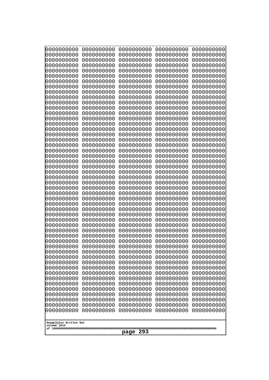| 0000000000<br>0000000000<br>0000000000<br>0000000000<br>0000000000<br>0000000000<br>0000000000<br>0000000000<br>0000000000<br>0000000000<br>0000000000<br>0000000000<br>0000000000<br>0000000000<br>0000000000<br>0000000000<br>0000000000<br>0000000000<br>0000000000<br>0000000000<br>0000000000<br>0000000000<br>0000000000<br>0000000000<br>0000000000<br>0000000000<br>0000000000<br>0000000000<br>0000000000<br>0000000000 | 0000000000<br>0000000000<br>0000000000<br>0000000000<br>0000000000<br>0000000000<br>0000000000<br>0000000000<br>0000000000<br>0000000000<br>0000000000<br>0000000000<br>0000000000<br>0000000000<br>0000000000<br>0000000000<br>0000000000<br>0000000000<br>0000000000<br>0000000000<br>0000000000<br>0000000000<br>0000000000<br>0000000000<br>0000000000<br>0000000000<br>0000000000<br>0000000000<br>0000000000<br>0000000000 | 0000000000<br>0000000000<br>0000000000<br>0000000000<br>0000000000<br>0000000000<br>0000000000<br>0000000000<br>0000000000<br>0000000000<br>0000000000<br>0000000000<br>0000000000<br>0000000000<br>0000000000<br>0000000000<br>0000000000<br>0000000000<br>0000000000<br>0000000000<br>0000000000<br>0000000000<br>0000000000<br>0000000000<br>0000000000<br>0000000000<br>0000000000<br>0000000000<br>0000000000<br>0000000000 | 0000000000<br>0000000000<br>0000000000<br>0000000000<br>0000000000<br>0000000000<br>0000000000<br>0000000000<br>0000000000<br>0000000000<br>0000000000<br>0000000000<br>0000000000<br>0000000000<br>0000000000<br>0000000000<br>0000000000<br>0000000000<br>0000000000<br>0000000000<br>0000000000<br>0000000000<br>0000000000<br>0000000000<br>0000000000<br>0000000000<br>0000000000<br>0000000000<br>0000000000<br>0000000000 | 0000000000<br>0000000000<br>0000000000<br>0000000000<br>0000000000<br>0000000000<br>0000000000<br>0000000000<br>0000000000<br>0000000000<br>0000000000<br>0000000000<br>0000000000<br>0000000000<br>0000000000<br>0000000000<br>0000000000<br>0000000000<br>0000000000<br>0000000000<br>0000000000<br>0000000000<br>0000000000<br>0000000000<br>0000000000<br>0000000000<br>0000000000<br>0000000000<br>0000000000<br>0000000000 |
|----------------------------------------------------------------------------------------------------------------------------------------------------------------------------------------------------------------------------------------------------------------------------------------------------------------------------------------------------------------------------------------------------------------------------------|----------------------------------------------------------------------------------------------------------------------------------------------------------------------------------------------------------------------------------------------------------------------------------------------------------------------------------------------------------------------------------------------------------------------------------|----------------------------------------------------------------------------------------------------------------------------------------------------------------------------------------------------------------------------------------------------------------------------------------------------------------------------------------------------------------------------------------------------------------------------------|----------------------------------------------------------------------------------------------------------------------------------------------------------------------------------------------------------------------------------------------------------------------------------------------------------------------------------------------------------------------------------------------------------------------------------|----------------------------------------------------------------------------------------------------------------------------------------------------------------------------------------------------------------------------------------------------------------------------------------------------------------------------------------------------------------------------------------------------------------------------------|
|                                                                                                                                                                                                                                                                                                                                                                                                                                  |                                                                                                                                                                                                                                                                                                                                                                                                                                  |                                                                                                                                                                                                                                                                                                                                                                                                                                  |                                                                                                                                                                                                                                                                                                                                                                                                                                  |                                                                                                                                                                                                                                                                                                                                                                                                                                  |
|                                                                                                                                                                                                                                                                                                                                                                                                                                  |                                                                                                                                                                                                                                                                                                                                                                                                                                  |                                                                                                                                                                                                                                                                                                                                                                                                                                  |                                                                                                                                                                                                                                                                                                                                                                                                                                  |                                                                                                                                                                                                                                                                                                                                                                                                                                  |
|                                                                                                                                                                                                                                                                                                                                                                                                                                  |                                                                                                                                                                                                                                                                                                                                                                                                                                  |                                                                                                                                                                                                                                                                                                                                                                                                                                  |                                                                                                                                                                                                                                                                                                                                                                                                                                  |                                                                                                                                                                                                                                                                                                                                                                                                                                  |
|                                                                                                                                                                                                                                                                                                                                                                                                                                  |                                                                                                                                                                                                                                                                                                                                                                                                                                  |                                                                                                                                                                                                                                                                                                                                                                                                                                  |                                                                                                                                                                                                                                                                                                                                                                                                                                  |                                                                                                                                                                                                                                                                                                                                                                                                                                  |
|                                                                                                                                                                                                                                                                                                                                                                                                                                  |                                                                                                                                                                                                                                                                                                                                                                                                                                  |                                                                                                                                                                                                                                                                                                                                                                                                                                  |                                                                                                                                                                                                                                                                                                                                                                                                                                  |                                                                                                                                                                                                                                                                                                                                                                                                                                  |
|                                                                                                                                                                                                                                                                                                                                                                                                                                  |                                                                                                                                                                                                                                                                                                                                                                                                                                  |                                                                                                                                                                                                                                                                                                                                                                                                                                  |                                                                                                                                                                                                                                                                                                                                                                                                                                  |                                                                                                                                                                                                                                                                                                                                                                                                                                  |
| 0000000000                                                                                                                                                                                                                                                                                                                                                                                                                       | 0000000000                                                                                                                                                                                                                                                                                                                                                                                                                       | 0000000000                                                                                                                                                                                                                                                                                                                                                                                                                       | 0000000000                                                                                                                                                                                                                                                                                                                                                                                                                       | 0000000000                                                                                                                                                                                                                                                                                                                                                                                                                       |
| 0000000000<br>0000000000                                                                                                                                                                                                                                                                                                                                                                                                         | 0000000000<br>0000000000                                                                                                                                                                                                                                                                                                                                                                                                         | 0000000000<br>0000000000                                                                                                                                                                                                                                                                                                                                                                                                         | 0000000000<br>0000000000                                                                                                                                                                                                                                                                                                                                                                                                         | 0000000000<br>0000000000                                                                                                                                                                                                                                                                                                                                                                                                         |
| 0000000000<br>0000000000                                                                                                                                                                                                                                                                                                                                                                                                         | 0000000000<br>0000000000                                                                                                                                                                                                                                                                                                                                                                                                         | 0000000000<br>0000000000                                                                                                                                                                                                                                                                                                                                                                                                         | 0000000000<br>0000000000                                                                                                                                                                                                                                                                                                                                                                                                         | 0000000000<br>0000000000                                                                                                                                                                                                                                                                                                                                                                                                         |
| 0000000000<br>0000000000                                                                                                                                                                                                                                                                                                                                                                                                         | 0000000000<br>0000000000                                                                                                                                                                                                                                                                                                                                                                                                         | 0000000000<br>0000000000                                                                                                                                                                                                                                                                                                                                                                                                         | 0000000000<br>0000000000                                                                                                                                                                                                                                                                                                                                                                                                         | 0000000000<br>0000000000                                                                                                                                                                                                                                                                                                                                                                                                         |
| 0000000000<br>0000000000                                                                                                                                                                                                                                                                                                                                                                                                         | 0000000000<br>0000000000                                                                                                                                                                                                                                                                                                                                                                                                         | 0000000000<br>0000000000                                                                                                                                                                                                                                                                                                                                                                                                         | 0000000000<br>0000000000                                                                                                                                                                                                                                                                                                                                                                                                         | 0000000000<br>0000000000                                                                                                                                                                                                                                                                                                                                                                                                         |
| 0000000000<br>0000000000                                                                                                                                                                                                                                                                                                                                                                                                         | 0000000000<br>0000000000                                                                                                                                                                                                                                                                                                                                                                                                         | 0000000000<br>0000000000                                                                                                                                                                                                                                                                                                                                                                                                         | 0000000000<br>0000000000                                                                                                                                                                                                                                                                                                                                                                                                         | 0000000000<br>0000000000                                                                                                                                                                                                                                                                                                                                                                                                         |
| 0000000000<br>0000000000                                                                                                                                                                                                                                                                                                                                                                                                         | 0000000000<br>0000000000                                                                                                                                                                                                                                                                                                                                                                                                         | 0000000000<br>0000000000                                                                                                                                                                                                                                                                                                                                                                                                         | 0000000000<br>0000000000                                                                                                                                                                                                                                                                                                                                                                                                         | 0000000000<br>0000000000                                                                                                                                                                                                                                                                                                                                                                                                         |
| 0000000000<br>0000000000                                                                                                                                                                                                                                                                                                                                                                                                         | 0000000000<br>0000000000                                                                                                                                                                                                                                                                                                                                                                                                         | 0000000000<br>0000000000                                                                                                                                                                                                                                                                                                                                                                                                         | 0000000000<br>0000000000                                                                                                                                                                                                                                                                                                                                                                                                         | 0000000000<br>0000000000                                                                                                                                                                                                                                                                                                                                                                                                         |
| 0000000000                                                                                                                                                                                                                                                                                                                                                                                                                       | 0000000000                                                                                                                                                                                                                                                                                                                                                                                                                       | 0000000000                                                                                                                                                                                                                                                                                                                                                                                                                       | 0000000000                                                                                                                                                                                                                                                                                                                                                                                                                       | 0000000000                                                                                                                                                                                                                                                                                                                                                                                                                       |
| 0000000000<br>0000000000                                                                                                                                                                                                                                                                                                                                                                                                         | 0000000000<br>0000000000                                                                                                                                                                                                                                                                                                                                                                                                         | 0000000000<br>0000000000                                                                                                                                                                                                                                                                                                                                                                                                         | 0000000000<br>0000000000                                                                                                                                                                                                                                                                                                                                                                                                         | 0000000000<br>0000000000                                                                                                                                                                                                                                                                                                                                                                                                         |
| 0000000000                                                                                                                                                                                                                                                                                                                                                                                                                       | 0000000000                                                                                                                                                                                                                                                                                                                                                                                                                       | 0000000000                                                                                                                                                                                                                                                                                                                                                                                                                       | 0000000000                                                                                                                                                                                                                                                                                                                                                                                                                       | 0000000000                                                                                                                                                                                                                                                                                                                                                                                                                       |
| Googolplex Written Out<br>volume 1013                                                                                                                                                                                                                                                                                                                                                                                            |                                                                                                                                                                                                                                                                                                                                                                                                                                  | 293<br>page                                                                                                                                                                                                                                                                                                                                                                                                                      |                                                                                                                                                                                                                                                                                                                                                                                                                                  |                                                                                                                                                                                                                                                                                                                                                                                                                                  |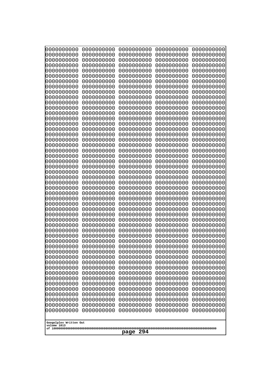| 0000000000                                           | 0000000000 | 0000000000 | 0000000000 | 0000000000 |
|------------------------------------------------------|------------|------------|------------|------------|
| 0000000000                                           | 0000000000 | 0000000000 | 0000000000 | 0000000000 |
| 0000000000                                           | 0000000000 | 0000000000 | 0000000000 | 0000000000 |
| 0000000000                                           | 0000000000 | 0000000000 | 0000000000 | 0000000000 |
| 0000000000                                           | 0000000000 | 0000000000 | 0000000000 | 0000000000 |
| 0000000000                                           | 0000000000 | 0000000000 | 0000000000 | 0000000000 |
| 0000000000                                           | 0000000000 | 0000000000 | 0000000000 | 0000000000 |
| 0000000000                                           | 0000000000 | 0000000000 | 0000000000 | 0000000000 |
| 0000000000                                           | 0000000000 | 0000000000 | 0000000000 | 0000000000 |
| 0000000000                                           | 0000000000 | 0000000000 | 0000000000 | 0000000000 |
| 0000000000                                           | 0000000000 | 0000000000 | 0000000000 | 0000000000 |
| 0000000000                                           | 0000000000 | 0000000000 | 0000000000 | 0000000000 |
| 0000000000                                           | 0000000000 | 0000000000 | 0000000000 | 0000000000 |
| 0000000000                                           | 0000000000 | 0000000000 | 0000000000 | 0000000000 |
| 0000000000                                           | 0000000000 | 0000000000 | 0000000000 | 0000000000 |
| 0000000000                                           | 0000000000 | 0000000000 | 0000000000 | 0000000000 |
| 0000000000                                           | 0000000000 | 0000000000 | 0000000000 | 0000000000 |
| 0000000000                                           | 0000000000 | 0000000000 | 0000000000 | 0000000000 |
| 0000000000                                           | 0000000000 | 0000000000 | 0000000000 | 0000000000 |
| 0000000000                                           | 0000000000 | 0000000000 | 0000000000 | 0000000000 |
| 0000000000                                           | 0000000000 | 0000000000 | 0000000000 | 0000000000 |
| 0000000000                                           | 0000000000 | 0000000000 | 0000000000 | 0000000000 |
| 0000000000                                           | 0000000000 | 0000000000 | 0000000000 | 0000000000 |
| 0000000000                                           | 0000000000 | 0000000000 | 0000000000 | 0000000000 |
| 0000000000                                           | 0000000000 | 0000000000 | 0000000000 | 0000000000 |
| 0000000000                                           | 0000000000 | 0000000000 | 0000000000 | 0000000000 |
| 0000000000                                           | 0000000000 | 0000000000 | 0000000000 | 0000000000 |
| 0000000000                                           | 0000000000 | 0000000000 | 0000000000 | 0000000000 |
| 0000000000                                           | 0000000000 | 0000000000 | 0000000000 | 0000000000 |
| 0000000000                                           | 0000000000 | 0000000000 | 0000000000 | 0000000000 |
| 0000000000                                           | 0000000000 | 0000000000 | 0000000000 | 0000000000 |
| 0000000000                                           | 0000000000 | 0000000000 | 0000000000 | 0000000000 |
| 0000000000                                           | 0000000000 | 0000000000 | 0000000000 | 0000000000 |
| 0000000000                                           | 0000000000 | 0000000000 | 0000000000 | 0000000000 |
| 0000000000                                           | 0000000000 | 0000000000 | 0000000000 | 0000000000 |
| 0000000000                                           | 0000000000 | 0000000000 | 0000000000 | 0000000000 |
| 0000000000                                           | 0000000000 | 0000000000 | 0000000000 | 0000000000 |
| 0000000000                                           | 0000000000 | 0000000000 | 0000000000 | 0000000000 |
| 0000000000                                           | 0000000000 | 0000000000 | 0000000000 | 0000000000 |
| 0000000000                                           | 0000000000 | 0000000000 | 0000000000 | 0000000000 |
| 0000000000                                           | 0000000000 | 0000000000 | 0000000000 | 0000000000 |
| 0000000000                                           | 0000000000 | 0000000000 | 0000000000 | 0000000000 |
| 0000000000                                           | 0000000000 | 0000000000 | 0000000000 | 0000000000 |
| 0000000000                                           | 0000000000 | 0000000000 | 0000000000 | 0000000000 |
| 0000000000                                           | 0000000000 | 0000000000 | 0000000000 | 0000000000 |
| 0000000000                                           | 0000000000 | 0000000000 | 0000000000 | 0000000000 |
| 0000000000                                           | 0000000000 | 0000000000 | 0000000000 | 0000000000 |
| 0000000000                                           | 0000000000 | 0000000000 | 0000000000 | 0000000000 |
| 0000000000                                           | 0000000000 | 0000000000 | 0000000000 | 0000000000 |
| 0000000000                                           | 0000000000 | 0000000000 | 0000000000 | 0000000000 |
| Googolplex Written Out<br>volume 1013<br>294<br>page |            |            |            |            |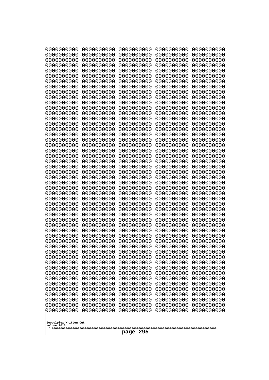| 0000000000                                                                                     | 0000000000                                                                       | 0000000000                                                                                     | 0000000000                                                                                     | 0000000000                                                                       |
|------------------------------------------------------------------------------------------------|----------------------------------------------------------------------------------|------------------------------------------------------------------------------------------------|------------------------------------------------------------------------------------------------|----------------------------------------------------------------------------------|
| 0000000000                                                                                     | 0000000000                                                                       | 0000000000                                                                                     | 0000000000                                                                                     | 0000000000                                                                       |
| 0000000000                                                                                     | 0000000000                                                                       | 0000000000                                                                                     | 0000000000                                                                                     | 0000000000                                                                       |
| 0000000000                                                                                     | 0000000000                                                                       | 0000000000                                                                                     | 0000000000                                                                                     | 0000000000                                                                       |
| 0000000000                                                                                     | 0000000000                                                                       | 0000000000                                                                                     | 0000000000                                                                                     | 0000000000                                                                       |
| 0000000000                                                                                     | 0000000000                                                                       | 0000000000                                                                                     | 0000000000                                                                                     | 0000000000                                                                       |
| 0000000000                                                                                     | 0000000000                                                                       | 0000000000                                                                                     | 0000000000                                                                                     | 0000000000                                                                       |
| 0000000000                                                                                     | 0000000000                                                                       | 0000000000                                                                                     | 0000000000                                                                                     | 0000000000                                                                       |
| 0000000000                                                                                     | 0000000000                                                                       | 0000000000                                                                                     | 0000000000                                                                                     | 0000000000                                                                       |
| 0000000000                                                                                     | 0000000000                                                                       | 0000000000                                                                                     | 0000000000                                                                                     | 0000000000                                                                       |
| 0000000000                                                                                     | 0000000000                                                                       | 0000000000                                                                                     | 0000000000                                                                                     | 0000000000                                                                       |
| 0000000000                                                                                     | 0000000000                                                                       | 0000000000                                                                                     | 0000000000                                                                                     | 0000000000                                                                       |
| 0000000000                                                                                     | 0000000000                                                                       | 0000000000                                                                                     | 0000000000                                                                                     | 0000000000                                                                       |
| 0000000000                                                                                     | 0000000000                                                                       | 0000000000                                                                                     | 0000000000                                                                                     | 0000000000                                                                       |
| 0000000000                                                                                     | 0000000000                                                                       | 0000000000                                                                                     | 0000000000                                                                                     | 0000000000                                                                       |
| 0000000000                                                                                     | 0000000000                                                                       | 0000000000                                                                                     | 0000000000                                                                                     | 0000000000                                                                       |
| 0000000000                                                                                     | 0000000000                                                                       | 0000000000                                                                                     | 0000000000                                                                                     | 0000000000                                                                       |
| 0000000000                                                                                     | 0000000000                                                                       | 0000000000                                                                                     | 0000000000                                                                                     | 0000000000                                                                       |
| 0000000000                                                                                     | 0000000000                                                                       | 0000000000                                                                                     | 0000000000                                                                                     | 0000000000                                                                       |
| 0000000000                                                                                     | 0000000000                                                                       | 0000000000                                                                                     | 0000000000                                                                                     | 0000000000                                                                       |
| 0000000000                                                                                     | 0000000000                                                                       | 0000000000                                                                                     | 0000000000                                                                                     | 0000000000                                                                       |
| 0000000000                                                                                     | 0000000000                                                                       | 0000000000                                                                                     | 0000000000                                                                                     | 0000000000                                                                       |
| 0000000000                                                                                     | 0000000000                                                                       | 0000000000                                                                                     | 0000000000                                                                                     | 0000000000                                                                       |
| 0000000000                                                                                     | 0000000000                                                                       | 0000000000                                                                                     | 0000000000                                                                                     | 0000000000                                                                       |
| 0000000000                                                                                     | 0000000000                                                                       | 0000000000                                                                                     | 0000000000                                                                                     | 0000000000                                                                       |
| 0000000000                                                                                     | 0000000000                                                                       | 0000000000                                                                                     | 0000000000                                                                                     | 0000000000                                                                       |
| 0000000000                                                                                     | 0000000000                                                                       | 0000000000                                                                                     | 0000000000                                                                                     | 0000000000                                                                       |
| 0000000000                                                                                     | 0000000000                                                                       | 0000000000                                                                                     | 0000000000                                                                                     | 0000000000                                                                       |
| 0000000000                                                                                     | 0000000000                                                                       | 0000000000                                                                                     | 0000000000                                                                                     | 0000000000                                                                       |
| 0000000000                                                                                     | 0000000000                                                                       | 0000000000                                                                                     | 0000000000                                                                                     | 0000000000                                                                       |
| 0000000000                                                                                     | 0000000000                                                                       | 0000000000                                                                                     | 0000000000                                                                                     | 0000000000                                                                       |
| 0000000000                                                                                     | 0000000000                                                                       | 0000000000                                                                                     | 0000000000                                                                                     | 0000000000                                                                       |
| 0000000000                                                                                     | 0000000000                                                                       | 0000000000                                                                                     | 0000000000                                                                                     | 0000000000                                                                       |
| 0000000000                                                                                     | 0000000000                                                                       | 0000000000                                                                                     | 0000000000                                                                                     | 0000000000                                                                       |
| 0000000000                                                                                     | 0000000000                                                                       | 0000000000                                                                                     | 0000000000                                                                                     | 0000000000                                                                       |
| 0000000000                                                                                     | 0000000000                                                                       | 0000000000                                                                                     | 0000000000                                                                                     | 0000000000                                                                       |
| 0000000000                                                                                     | 0000000000                                                                       | 0000000000                                                                                     | 0000000000                                                                                     | 0000000000                                                                       |
| 0000000000                                                                                     | 0000000000                                                                       | 0000000000                                                                                     | 0000000000                                                                                     | 0000000000                                                                       |
| 0000000000                                                                                     | 0000000000                                                                       | 0000000000                                                                                     | 0000000000                                                                                     | 0000000000                                                                       |
| 0000000000<br>0000000000<br>0000000000<br>0000000000<br>0000000000<br>0000000000<br>0000000000 | 0000000000<br>0000000000<br>0000000000<br>0000000000<br>0000000000<br>0000000000 | 0000000000<br>0000000000<br>0000000000<br>0000000000<br>0000000000<br>0000000000<br>0000000000 | 0000000000<br>0000000000<br>0000000000<br>0000000000<br>0000000000<br>0000000000<br>0000000000 | 0000000000<br>0000000000<br>0000000000<br>0000000000<br>0000000000<br>0000000000 |
| 0000000000<br>0000000000<br>0000000000<br>0000000000                                           | 0000000000<br>0000000000<br>0000000000<br>0000000000<br>0000000000               | 0000000000<br>0000000000<br>0000000000<br>0000000000                                           | 0000000000<br>0000000000<br>0000000000<br>0000000000                                           | 0000000000<br>0000000000<br>0000000000<br>0000000000<br>0000000000               |
| Googolplex Written Out<br>volume 1013<br>295<br>page                                           |                                                                                  |                                                                                                |                                                                                                |                                                                                  |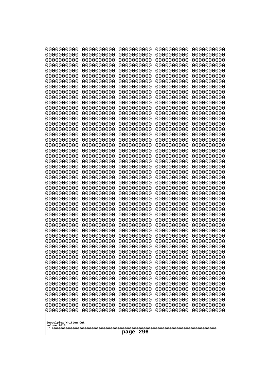| 0000000000               | 0000000000               | 0000000000               | 0000000000               | 0000000000               |
|--------------------------|--------------------------|--------------------------|--------------------------|--------------------------|
| 0000000000<br>0000000000 | 0000000000<br>0000000000 | 0000000000<br>0000000000 | 0000000000<br>0000000000 | 0000000000<br>0000000000 |
| 0000000000               | 0000000000               | 0000000000               | 0000000000               | 0000000000               |
| 0000000000               | 0000000000               | 0000000000               | 0000000000               | 0000000000               |
| 0000000000               | 0000000000               | 0000000000               | 0000000000               | 0000000000               |
| 0000000000<br>0000000000 | 0000000000<br>0000000000 | 0000000000<br>0000000000 | 0000000000<br>0000000000 | 0000000000<br>0000000000 |
| 0000000000               | 0000000000               | 0000000000               | 0000000000               | 0000000000               |
| 0000000000               | 0000000000               | 0000000000               | 0000000000               | 0000000000               |
| 0000000000<br>0000000000 | 0000000000<br>0000000000 | 0000000000<br>0000000000 | 0000000000<br>0000000000 | 0000000000               |
| 0000000000               | 0000000000               | 0000000000               | 0000000000               | 0000000000<br>0000000000 |
| 0000000000               | 0000000000               | 0000000000               | 0000000000               | 0000000000               |
| 0000000000               | 0000000000               | 0000000000               | 0000000000               | 0000000000               |
| 0000000000<br>0000000000 | 0000000000<br>0000000000 | 0000000000<br>0000000000 | 0000000000<br>0000000000 | 0000000000<br>0000000000 |
| 0000000000               | 0000000000               | 0000000000               | 0000000000               | 0000000000               |
| 0000000000               | 0000000000               | 0000000000               | 0000000000               | 0000000000               |
| 0000000000<br>0000000000 | 0000000000<br>0000000000 | 0000000000<br>0000000000 | 0000000000<br>0000000000 | 0000000000<br>0000000000 |
| 0000000000               | 0000000000               | 0000000000               | 0000000000               | 0000000000               |
| 0000000000               | 0000000000               | 0000000000               | 0000000000               | 0000000000               |
| 0000000000               | 0000000000               | 0000000000               | 0000000000               | 0000000000               |
| 0000000000<br>0000000000 | 0000000000<br>0000000000 | 0000000000<br>0000000000 | 0000000000<br>0000000000 | 0000000000<br>0000000000 |
| 0000000000               | 0000000000               | 0000000000               | 0000000000               | 0000000000               |
| 0000000000               | 0000000000               | 0000000000               | 0000000000               | 0000000000               |
| 0000000000<br>0000000000 | 0000000000<br>0000000000 | 0000000000<br>0000000000 | 0000000000<br>0000000000 | 0000000000<br>0000000000 |
| 0000000000               | 0000000000               | 0000000000               | 0000000000               | 0000000000               |
| 0000000000               | 0000000000               | 0000000000               | 0000000000               | 0000000000               |
| 0000000000<br>0000000000 | 0000000000<br>0000000000 | 0000000000<br>0000000000 | 0000000000<br>0000000000 | 0000000000<br>0000000000 |
| 0000000000               | 0000000000               | 0000000000               | 0000000000               | 0000000000               |
| 0000000000               | 0000000000               | 0000000000               | 0000000000               | 0000000000               |
| 0000000000               | 0000000000               | 0000000000               | 0000000000               | 0000000000               |
| 0000000000<br>0000000000 | 0000000000<br>0000000000 | 0000000000<br>0000000000 | 0000000000<br>0000000000 | 0000000000<br>0000000000 |
| 0000000000               | 0000000000               | 0000000000               | 0000000000               | 0000000000               |
| 0000000000               | 0000000000               | 0000000000               | 0000000000               | 0000000000               |
| 0000000000<br>0000000000 | 0000000000<br>0000000000 | 0000000000<br>0000000000 | 0000000000<br>0000000000 | 0000000000<br>0000000000 |
| 0000000000               | 0000000000               | 0000000000               | 0000000000               | 0000000000               |
| 0000000000               | 0000000000               | 0000000000               | 0000000000               | 0000000000               |
| 0000000000<br>0000000000 | 0000000000<br>0000000000 | 0000000000<br>0000000000 | 0000000000<br>0000000000 | 0000000000<br>0000000000 |
| 0000000000               | 0000000000               | 0000000000               | 0000000000               | 0000000000               |
| 0000000000               | 0000000000               | 0000000000               | 0000000000               | 0000000000               |
| 0000000000               | 0000000000               | 0000000000               | 0000000000               | 0000000000               |
| Googolplex Written Out   |                          |                          |                          |                          |
| volume 1013              |                          |                          |                          |                          |
| 296<br>page              |                          |                          |                          |                          |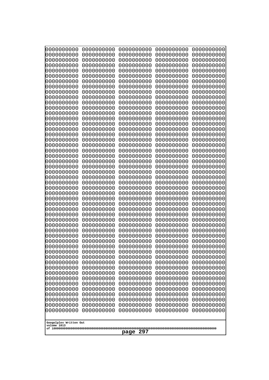| 10000000000<br>0000000000             | 0000000000<br>0000000000 | 0000000000<br>0000000000 | 0000000000<br>0000000000 | 0000000000<br>0000000000 |
|---------------------------------------|--------------------------|--------------------------|--------------------------|--------------------------|
| 0000000000                            | 0000000000               | 0000000000               | 0000000000               | 0000000000               |
| 0000000000                            | 0000000000               | 0000000000               | 0000000000               | 0000000000               |
| 0000000000<br>0000000000              | 0000000000<br>0000000000 | 0000000000<br>0000000000 | 0000000000<br>0000000000 | 0000000000<br>0000000000 |
| 0000000000                            | 0000000000               | 0000000000               | 0000000000               | 0000000000               |
| 0000000000                            | 0000000000               | 0000000000               | 0000000000               | 0000000000               |
| 0000000000<br>0000000000              | 0000000000<br>0000000000 | 0000000000<br>0000000000 | 0000000000<br>0000000000 | 0000000000<br>0000000000 |
| 0000000000                            | 0000000000               | 0000000000               | 0000000000               | 0000000000               |
| 0000000000                            | 0000000000               | 0000000000               | 0000000000               | 0000000000               |
| 0000000000                            | 0000000000               | 0000000000               | 0000000000               | 0000000000               |
| 0000000000<br>0000000000              | 0000000000<br>0000000000 | 0000000000<br>0000000000 | 0000000000<br>0000000000 | 0000000000<br>0000000000 |
| 0000000000                            | 0000000000               | 0000000000               | 0000000000               | 0000000000               |
| 0000000000                            | 0000000000               | 0000000000               | 0000000000               | 0000000000               |
| 0000000000<br>0000000000              | 0000000000<br>0000000000 | 0000000000<br>0000000000 | 0000000000<br>0000000000 | 0000000000<br>0000000000 |
| 0000000000                            | 0000000000               | 0000000000               | 0000000000               | 0000000000               |
| 0000000000                            | 0000000000               | 0000000000               | 0000000000               | 0000000000               |
| 0000000000<br>0000000000              | 0000000000<br>0000000000 | 0000000000<br>0000000000 | 0000000000<br>0000000000 | 0000000000<br>0000000000 |
| 0000000000                            | 0000000000               | 0000000000               | 0000000000               | 0000000000               |
| 0000000000                            | 0000000000               | 0000000000               | 0000000000               | 0000000000               |
| 0000000000<br>0000000000              | 0000000000<br>0000000000 | 0000000000<br>0000000000 | 0000000000<br>0000000000 | 0000000000<br>0000000000 |
| 0000000000                            | 0000000000               | 0000000000               | 0000000000               | 0000000000               |
| 0000000000                            | 0000000000               | 0000000000               | 0000000000               | 0000000000               |
| 0000000000<br>0000000000              | 0000000000<br>0000000000 | 0000000000<br>0000000000 | 0000000000<br>0000000000 | 0000000000<br>0000000000 |
| 0000000000                            | 0000000000               | 0000000000               | 0000000000               | 0000000000               |
| 0000000000                            | 0000000000               | 0000000000               | 0000000000               | 0000000000               |
| 0000000000<br>0000000000              | 0000000000<br>0000000000 | 0000000000<br>0000000000 | 0000000000<br>0000000000 | 0000000000<br>0000000000 |
| 0000000000                            | 0000000000               | 0000000000               | 0000000000               | 0000000000               |
| 0000000000                            | 0000000000               | 0000000000               | 0000000000               | 0000000000               |
| 0000000000                            | 0000000000               | 0000000000               | 0000000000               | 0000000000               |
| 0000000000<br>0000000000              | 0000000000<br>0000000000 | 0000000000<br>0000000000 | 0000000000<br>0000000000 | 0000000000<br>0000000000 |
| 0000000000                            | 0000000000               | 0000000000               | 0000000000               | 0000000000               |
| 0000000000                            | 0000000000               | 0000000000               | 0000000000               | 0000000000               |
| 0000000000<br>0000000000              | 0000000000<br>0000000000 | 0000000000<br>0000000000 | 0000000000<br>0000000000 | 0000000000<br>0000000000 |
| 0000000000                            | 0000000000               | 0000000000               | 0000000000               | 0000000000               |
| 0000000000                            | 0000000000               | 0000000000               | 0000000000               | 0000000000               |
| 0000000000<br>0000000000              | 0000000000<br>0000000000 | 0000000000<br>0000000000 | 0000000000<br>0000000000 | 0000000000<br>0000000000 |
| 0000000000                            | 0000000000               | 0000000000               | 0000000000               | 0000000000               |
| 0000000000                            | 0000000000               | 0000000000               | 0000000000               | 0000000000               |
|                                       |                          |                          |                          |                          |
| Googolplex Written Out<br>volume 1013 |                          |                          |                          |                          |
| 297<br>page                           |                          |                          |                          |                          |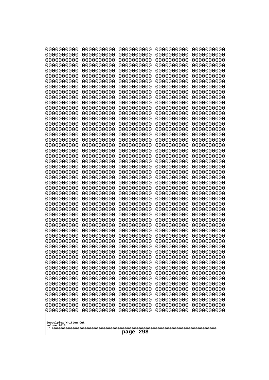| 0000000000                                                                                                                                                                                                                                                                                                                                                                                                                                    | 0000000000                                                                                                                                                                                                                                                                                                                                                                                           | 0000000000                                                                                                                                                                                                                                                                                                                                                                                                          | 0000000000                                                                                                                                                                                                                                                                                                                                                                                           | 0000000000                                                                                                                                                                                                                                                                                                                                                                                           |
|-----------------------------------------------------------------------------------------------------------------------------------------------------------------------------------------------------------------------------------------------------------------------------------------------------------------------------------------------------------------------------------------------------------------------------------------------|------------------------------------------------------------------------------------------------------------------------------------------------------------------------------------------------------------------------------------------------------------------------------------------------------------------------------------------------------------------------------------------------------|---------------------------------------------------------------------------------------------------------------------------------------------------------------------------------------------------------------------------------------------------------------------------------------------------------------------------------------------------------------------------------------------------------------------|------------------------------------------------------------------------------------------------------------------------------------------------------------------------------------------------------------------------------------------------------------------------------------------------------------------------------------------------------------------------------------------------------|------------------------------------------------------------------------------------------------------------------------------------------------------------------------------------------------------------------------------------------------------------------------------------------------------------------------------------------------------------------------------------------------------|
| 0000000000                                                                                                                                                                                                                                                                                                                                                                                                                                    | 0000000000                                                                                                                                                                                                                                                                                                                                                                                           | 0000000000                                                                                                                                                                                                                                                                                                                                                                                                          | 0000000000                                                                                                                                                                                                                                                                                                                                                                                           | 0000000000                                                                                                                                                                                                                                                                                                                                                                                           |
| 0000000000                                                                                                                                                                                                                                                                                                                                                                                                                                    | 0000000000                                                                                                                                                                                                                                                                                                                                                                                           | 0000000000                                                                                                                                                                                                                                                                                                                                                                                                          | 0000000000                                                                                                                                                                                                                                                                                                                                                                                           | 0000000000                                                                                                                                                                                                                                                                                                                                                                                           |
| 0000000000                                                                                                                                                                                                                                                                                                                                                                                                                                    | 0000000000                                                                                                                                                                                                                                                                                                                                                                                           | 0000000000                                                                                                                                                                                                                                                                                                                                                                                                          | 0000000000                                                                                                                                                                                                                                                                                                                                                                                           | 0000000000                                                                                                                                                                                                                                                                                                                                                                                           |
| 0000000000                                                                                                                                                                                                                                                                                                                                                                                                                                    | 0000000000                                                                                                                                                                                                                                                                                                                                                                                           | 0000000000                                                                                                                                                                                                                                                                                                                                                                                                          | 0000000000                                                                                                                                                                                                                                                                                                                                                                                           | 0000000000                                                                                                                                                                                                                                                                                                                                                                                           |
| 0000000000                                                                                                                                                                                                                                                                                                                                                                                                                                    | 0000000000                                                                                                                                                                                                                                                                                                                                                                                           | 0000000000                                                                                                                                                                                                                                                                                                                                                                                                          | 0000000000                                                                                                                                                                                                                                                                                                                                                                                           | 0000000000                                                                                                                                                                                                                                                                                                                                                                                           |
| 0000000000                                                                                                                                                                                                                                                                                                                                                                                                                                    | 0000000000                                                                                                                                                                                                                                                                                                                                                                                           | 0000000000                                                                                                                                                                                                                                                                                                                                                                                                          | 0000000000                                                                                                                                                                                                                                                                                                                                                                                           | 0000000000                                                                                                                                                                                                                                                                                                                                                                                           |
| 0000000000                                                                                                                                                                                                                                                                                                                                                                                                                                    | 0000000000                                                                                                                                                                                                                                                                                                                                                                                           | 0000000000                                                                                                                                                                                                                                                                                                                                                                                                          | 0000000000                                                                                                                                                                                                                                                                                                                                                                                           | 0000000000                                                                                                                                                                                                                                                                                                                                                                                           |
| 0000000000                                                                                                                                                                                                                                                                                                                                                                                                                                    | 0000000000                                                                                                                                                                                                                                                                                                                                                                                           | 0000000000                                                                                                                                                                                                                                                                                                                                                                                                          | 0000000000                                                                                                                                                                                                                                                                                                                                                                                           | 0000000000                                                                                                                                                                                                                                                                                                                                                                                           |
| 0000000000                                                                                                                                                                                                                                                                                                                                                                                                                                    | 0000000000                                                                                                                                                                                                                                                                                                                                                                                           | 0000000000                                                                                                                                                                                                                                                                                                                                                                                                          | 0000000000                                                                                                                                                                                                                                                                                                                                                                                           | 0000000000                                                                                                                                                                                                                                                                                                                                                                                           |
| 0000000000                                                                                                                                                                                                                                                                                                                                                                                                                                    | 0000000000                                                                                                                                                                                                                                                                                                                                                                                           | 0000000000                                                                                                                                                                                                                                                                                                                                                                                                          | 0000000000                                                                                                                                                                                                                                                                                                                                                                                           | 0000000000                                                                                                                                                                                                                                                                                                                                                                                           |
| 0000000000                                                                                                                                                                                                                                                                                                                                                                                                                                    | 0000000000                                                                                                                                                                                                                                                                                                                                                                                           | 0000000000                                                                                                                                                                                                                                                                                                                                                                                                          | 0000000000                                                                                                                                                                                                                                                                                                                                                                                           | 0000000000                                                                                                                                                                                                                                                                                                                                                                                           |
| 0000000000                                                                                                                                                                                                                                                                                                                                                                                                                                    | 0000000000                                                                                                                                                                                                                                                                                                                                                                                           | 0000000000                                                                                                                                                                                                                                                                                                                                                                                                          | 0000000000                                                                                                                                                                                                                                                                                                                                                                                           | 0000000000                                                                                                                                                                                                                                                                                                                                                                                           |
| 0000000000                                                                                                                                                                                                                                                                                                                                                                                                                                    | 0000000000                                                                                                                                                                                                                                                                                                                                                                                           | 0000000000                                                                                                                                                                                                                                                                                                                                                                                                          | 0000000000                                                                                                                                                                                                                                                                                                                                                                                           | 0000000000                                                                                                                                                                                                                                                                                                                                                                                           |
| 0000000000                                                                                                                                                                                                                                                                                                                                                                                                                                    | 0000000000                                                                                                                                                                                                                                                                                                                                                                                           | 0000000000                                                                                                                                                                                                                                                                                                                                                                                                          | 0000000000                                                                                                                                                                                                                                                                                                                                                                                           | 0000000000                                                                                                                                                                                                                                                                                                                                                                                           |
| 0000000000                                                                                                                                                                                                                                                                                                                                                                                                                                    | 0000000000                                                                                                                                                                                                                                                                                                                                                                                           | 0000000000                                                                                                                                                                                                                                                                                                                                                                                                          | 0000000000                                                                                                                                                                                                                                                                                                                                                                                           | 0000000000                                                                                                                                                                                                                                                                                                                                                                                           |
| 0000000000                                                                                                                                                                                                                                                                                                                                                                                                                                    | 0000000000                                                                                                                                                                                                                                                                                                                                                                                           | 0000000000                                                                                                                                                                                                                                                                                                                                                                                                          | 0000000000                                                                                                                                                                                                                                                                                                                                                                                           | 0000000000                                                                                                                                                                                                                                                                                                                                                                                           |
| 0000000000                                                                                                                                                                                                                                                                                                                                                                                                                                    | 0000000000                                                                                                                                                                                                                                                                                                                                                                                           | 0000000000                                                                                                                                                                                                                                                                                                                                                                                                          | 0000000000                                                                                                                                                                                                                                                                                                                                                                                           | 0000000000                                                                                                                                                                                                                                                                                                                                                                                           |
| 0000000000                                                                                                                                                                                                                                                                                                                                                                                                                                    | 0000000000                                                                                                                                                                                                                                                                                                                                                                                           | 0000000000                                                                                                                                                                                                                                                                                                                                                                                                          | 0000000000                                                                                                                                                                                                                                                                                                                                                                                           | 0000000000                                                                                                                                                                                                                                                                                                                                                                                           |
| 0000000000                                                                                                                                                                                                                                                                                                                                                                                                                                    | 0000000000                                                                                                                                                                                                                                                                                                                                                                                           | 0000000000                                                                                                                                                                                                                                                                                                                                                                                                          | 0000000000                                                                                                                                                                                                                                                                                                                                                                                           | 0000000000                                                                                                                                                                                                                                                                                                                                                                                           |
| 0000000000                                                                                                                                                                                                                                                                                                                                                                                                                                    | 0000000000                                                                                                                                                                                                                                                                                                                                                                                           | 0000000000                                                                                                                                                                                                                                                                                                                                                                                                          | 0000000000                                                                                                                                                                                                                                                                                                                                                                                           | 0000000000                                                                                                                                                                                                                                                                                                                                                                                           |
| 0000000000                                                                                                                                                                                                                                                                                                                                                                                                                                    | 0000000000                                                                                                                                                                                                                                                                                                                                                                                           | 0000000000                                                                                                                                                                                                                                                                                                                                                                                                          | 0000000000                                                                                                                                                                                                                                                                                                                                                                                           | 0000000000                                                                                                                                                                                                                                                                                                                                                                                           |
| 0000000000<br>0000000000<br>0000000000<br>0000000000<br>0000000000<br>0000000000<br>0000000000<br>0000000000<br>0000000000<br>0000000000<br>0000000000<br>0000000000<br>0000000000<br>0000000000<br>0000000000<br>0000000000<br>0000000000<br>0000000000<br>0000000000<br>0000000000<br>0000000000<br>0000000000<br>0000000000<br>0000000000<br>0000000000<br>0000000000<br>0000000000<br>0000000000<br>Googolplex Written Out<br>volume 1013 | 0000000000<br>0000000000<br>0000000000<br>0000000000<br>0000000000<br>0000000000<br>0000000000<br>0000000000<br>0000000000<br>0000000000<br>0000000000<br>0000000000<br>0000000000<br>0000000000<br>0000000000<br>0000000000<br>0000000000<br>0000000000<br>0000000000<br>0000000000<br>0000000000<br>0000000000<br>0000000000<br>0000000000<br>0000000000<br>0000000000<br>0000000000<br>0000000000 | 0000000000<br>0000000000<br>0000000000<br>0000000000<br>0000000000<br>0000000000<br>0000000000<br>0000000000<br>0000000000<br>0000000000<br>0000000000<br>0000000000<br>0000000000<br>0000000000<br>0000000000<br>0000000000<br>0000000000<br>0000000000<br>0000000000<br>0000000000<br>0000000000<br>0000000000<br>0000000000<br>0000000000<br>0000000000<br>0000000000<br>0000000000<br>0000000000<br>298<br>page | 0000000000<br>0000000000<br>0000000000<br>0000000000<br>0000000000<br>0000000000<br>0000000000<br>0000000000<br>0000000000<br>0000000000<br>0000000000<br>0000000000<br>0000000000<br>0000000000<br>0000000000<br>0000000000<br>0000000000<br>0000000000<br>0000000000<br>0000000000<br>0000000000<br>0000000000<br>0000000000<br>0000000000<br>0000000000<br>0000000000<br>0000000000<br>0000000000 | 0000000000<br>0000000000<br>0000000000<br>0000000000<br>0000000000<br>0000000000<br>0000000000<br>0000000000<br>0000000000<br>0000000000<br>0000000000<br>0000000000<br>0000000000<br>0000000000<br>0000000000<br>0000000000<br>0000000000<br>0000000000<br>0000000000<br>0000000000<br>0000000000<br>0000000000<br>0000000000<br>0000000000<br>0000000000<br>0000000000<br>0000000000<br>0000000000 |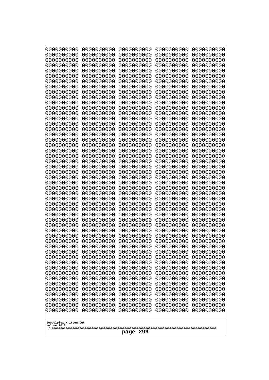| 0000000000                                           | 0000000000 | 0000000000 | 0000000000 | 0000000000 |
|------------------------------------------------------|------------|------------|------------|------------|
| 0000000000                                           | 0000000000 | 0000000000 | 0000000000 | 0000000000 |
| 0000000000                                           | 0000000000 | 0000000000 | 0000000000 | 0000000000 |
| 0000000000                                           | 0000000000 | 0000000000 | 0000000000 | 0000000000 |
| 0000000000                                           | 0000000000 | 0000000000 | 0000000000 | 0000000000 |
| 0000000000                                           | 0000000000 | 0000000000 | 0000000000 | 0000000000 |
| 0000000000                                           | 0000000000 | 0000000000 | 0000000000 | 0000000000 |
| 0000000000                                           | 0000000000 | 0000000000 | 0000000000 | 0000000000 |
| 0000000000                                           | 0000000000 | 0000000000 | 0000000000 | 0000000000 |
| 0000000000                                           | 0000000000 | 0000000000 | 0000000000 | 0000000000 |
| 0000000000                                           | 0000000000 | 0000000000 | 0000000000 | 0000000000 |
| 0000000000                                           | 0000000000 | 0000000000 | 0000000000 | 0000000000 |
| 0000000000                                           | 0000000000 | 0000000000 | 0000000000 | 0000000000 |
| 0000000000                                           | 0000000000 | 0000000000 | 0000000000 | 0000000000 |
| 0000000000                                           | 0000000000 | 0000000000 | 0000000000 | 0000000000 |
| 0000000000                                           | 0000000000 | 0000000000 | 0000000000 | 0000000000 |
| 0000000000                                           | 0000000000 | 0000000000 | 0000000000 | 0000000000 |
| 0000000000                                           | 0000000000 | 0000000000 | 0000000000 | 0000000000 |
| 0000000000                                           | 0000000000 | 0000000000 | 0000000000 | 0000000000 |
| 0000000000                                           | 0000000000 | 0000000000 | 0000000000 | 0000000000 |
| 0000000000                                           | 0000000000 | 0000000000 | 0000000000 | 0000000000 |
| 0000000000                                           | 0000000000 | 0000000000 | 0000000000 | 0000000000 |
|                                                      |            |            |            |            |
| 0000000000                                           | 0000000000 | 0000000000 | 0000000000 | 0000000000 |
| 0000000000                                           | 0000000000 | 0000000000 | 0000000000 | 0000000000 |
| 0000000000                                           | 0000000000 | 0000000000 | 0000000000 | 0000000000 |
| 0000000000                                           | 0000000000 | 0000000000 | 0000000000 | 0000000000 |
| 0000000000                                           | 0000000000 | 0000000000 | 0000000000 | 0000000000 |
| 0000000000                                           | 0000000000 | 0000000000 | 0000000000 | 0000000000 |
| 0000000000                                           | 0000000000 | 0000000000 | 0000000000 | 0000000000 |
| 0000000000                                           | 0000000000 | 0000000000 | 0000000000 | 0000000000 |
| 0000000000                                           | 0000000000 | 0000000000 | 0000000000 | 0000000000 |
| 0000000000                                           | 0000000000 | 0000000000 | 0000000000 | 0000000000 |
| 0000000000                                           | 0000000000 | 0000000000 | 0000000000 | 0000000000 |
| 0000000000                                           | 0000000000 | 0000000000 | 0000000000 | 0000000000 |
| 0000000000                                           | 0000000000 | 0000000000 | 0000000000 | 0000000000 |
| 0000000000                                           | 0000000000 | 0000000000 | 0000000000 | 0000000000 |
| 0000000000                                           | 0000000000 | 0000000000 | 0000000000 | 0000000000 |
| 0000000000                                           | 0000000000 | 0000000000 | 0000000000 | 0000000000 |
| 0000000000                                           | 0000000000 | 0000000000 | 0000000000 | 0000000000 |
| 0000000000                                           | 0000000000 | 0000000000 | 0000000000 | 0000000000 |
| 0000000000                                           | 0000000000 | 0000000000 | 0000000000 | 0000000000 |
| 0000000000                                           | 0000000000 | 0000000000 | 0000000000 | 0000000000 |
| 0000000000                                           | 0000000000 | 0000000000 | 0000000000 | 0000000000 |
| 0000000000                                           | 0000000000 | 0000000000 | 0000000000 | 0000000000 |
| 0000000000                                           | 0000000000 | 0000000000 | 0000000000 | 0000000000 |
| 0000000000                                           | 0000000000 | 0000000000 | 0000000000 | 0000000000 |
| 0000000000                                           | 0000000000 | 0000000000 | 0000000000 | 0000000000 |
| 0000000000                                           | 0000000000 | 0000000000 | 0000000000 | 0000000000 |
| 0000000000                                           | 0000000000 | 0000000000 | 0000000000 | 0000000000 |
| 0000000000                                           | 0000000000 | 0000000000 | 0000000000 | 0000000000 |
| Googolplex Written Out<br>volume 1013<br>299<br>page |            |            |            |            |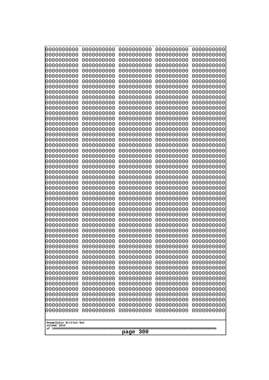| 0000000000                                           | 0000000000 | 0000000000 | 0000000000 | 0000000000 |
|------------------------------------------------------|------------|------------|------------|------------|
| 0000000000                                           | 0000000000 | 0000000000 | 0000000000 | 0000000000 |
| 0000000000                                           | 0000000000 | 0000000000 | 0000000000 | 0000000000 |
| 0000000000                                           | 0000000000 | 0000000000 | 0000000000 | 0000000000 |
| 0000000000                                           | 0000000000 | 0000000000 | 0000000000 | 0000000000 |
| 0000000000                                           | 0000000000 | 0000000000 | 0000000000 | 0000000000 |
| 0000000000                                           | 0000000000 | 0000000000 | 0000000000 | 0000000000 |
| 0000000000                                           | 0000000000 | 0000000000 | 0000000000 | 0000000000 |
| 0000000000                                           | 0000000000 | 0000000000 | 0000000000 | 0000000000 |
| 0000000000                                           | 0000000000 | 0000000000 | 0000000000 | 0000000000 |
| 0000000000                                           | 0000000000 | 0000000000 | 0000000000 | 0000000000 |
| 0000000000                                           | 0000000000 | 0000000000 | 0000000000 | 0000000000 |
| 0000000000                                           | 0000000000 | 0000000000 | 0000000000 | 0000000000 |
| 0000000000                                           | 0000000000 | 0000000000 | 0000000000 | 0000000000 |
| 0000000000                                           | 0000000000 | 0000000000 | 0000000000 | 0000000000 |
| 0000000000                                           | 0000000000 | 0000000000 | 0000000000 | 0000000000 |
| 0000000000                                           | 0000000000 | 0000000000 | 0000000000 | 0000000000 |
| 0000000000                                           | 0000000000 | 0000000000 | 0000000000 | 0000000000 |
| 0000000000                                           | 0000000000 | 0000000000 | 0000000000 | 0000000000 |
| 0000000000                                           | 0000000000 | 0000000000 | 0000000000 | 0000000000 |
| 0000000000                                           | 0000000000 | 0000000000 | 0000000000 | 0000000000 |
| 0000000000                                           | 0000000000 | 0000000000 | 0000000000 | 0000000000 |
| 0000000000                                           | 0000000000 | 0000000000 | 0000000000 | 0000000000 |
| 0000000000                                           | 0000000000 | 0000000000 | 0000000000 | 0000000000 |
| 0000000000                                           | 0000000000 | 0000000000 | 0000000000 | 0000000000 |
| 0000000000                                           | 0000000000 | 0000000000 | 0000000000 | 0000000000 |
| 0000000000                                           | 0000000000 | 0000000000 | 0000000000 | 0000000000 |
| 0000000000                                           | 0000000000 | 0000000000 | 0000000000 | 0000000000 |
| 0000000000                                           | 0000000000 | 0000000000 | 0000000000 | 0000000000 |
| 0000000000                                           | 0000000000 | 0000000000 | 0000000000 | 0000000000 |
| 0000000000                                           | 0000000000 | 0000000000 | 0000000000 | 0000000000 |
| 0000000000                                           | 0000000000 | 0000000000 | 0000000000 | 0000000000 |
| 0000000000                                           | 0000000000 | 0000000000 | 0000000000 | 0000000000 |
| 0000000000                                           | 0000000000 | 0000000000 | 0000000000 | 0000000000 |
| 0000000000                                           | 0000000000 | 0000000000 | 0000000000 | 0000000000 |
| 0000000000                                           | 0000000000 | 0000000000 | 0000000000 | 0000000000 |
| 0000000000                                           | 0000000000 | 0000000000 | 0000000000 | 0000000000 |
| 0000000000                                           | 0000000000 | 0000000000 | 0000000000 | 0000000000 |
| 0000000000                                           | 0000000000 | 0000000000 | 0000000000 | 0000000000 |
| 0000000000                                           | 0000000000 | 0000000000 | 0000000000 | 0000000000 |
| 0000000000                                           | 0000000000 | 0000000000 | 0000000000 | 0000000000 |
| 0000000000                                           | 0000000000 | 0000000000 | 0000000000 | 0000000000 |
| 0000000000                                           | 0000000000 | 0000000000 | 0000000000 | 0000000000 |
| 0000000000                                           | 0000000000 | 0000000000 | 0000000000 | 0000000000 |
| 0000000000                                           | 0000000000 | 0000000000 | 0000000000 | 0000000000 |
| 0000000000                                           | 0000000000 | 0000000000 | 0000000000 | 0000000000 |
| 0000000000                                           | 0000000000 | 0000000000 | 0000000000 | 0000000000 |
| 0000000000                                           | 0000000000 | 0000000000 | 0000000000 | 0000000000 |
| 0000000000                                           | 0000000000 | 0000000000 | 0000000000 | 0000000000 |
| 0000000000                                           | 0000000000 | 0000000000 | 0000000000 | 0000000000 |
| Googolplex Written Out<br>volume 1013<br>300<br>page |            |            |            |            |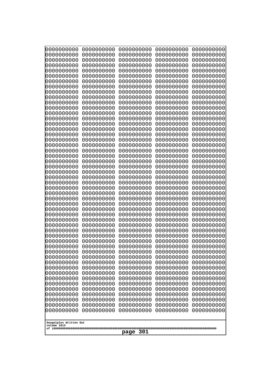| 0000000000                                                                                                                                                                                                                                                                                                                                   | 0000000000 | 0000000000 | 0000000000 | 0000000000 |
|----------------------------------------------------------------------------------------------------------------------------------------------------------------------------------------------------------------------------------------------------------------------------------------------------------------------------------------------|------------|------------|------------|------------|
| 0000000000                                                                                                                                                                                                                                                                                                                                   | 0000000000 | 0000000000 | 0000000000 | 0000000000 |
| 0000000000                                                                                                                                                                                                                                                                                                                                   | 0000000000 | 0000000000 | 0000000000 | 0000000000 |
| 0000000000                                                                                                                                                                                                                                                                                                                                   | 0000000000 | 0000000000 | 0000000000 | 0000000000 |
| 0000000000                                                                                                                                                                                                                                                                                                                                   | 0000000000 | 0000000000 | 0000000000 | 0000000000 |
| 0000000000                                                                                                                                                                                                                                                                                                                                   | 0000000000 | 0000000000 | 0000000000 | 0000000000 |
| 0000000000                                                                                                                                                                                                                                                                                                                                   | 0000000000 | 0000000000 | 0000000000 | 0000000000 |
| 0000000000                                                                                                                                                                                                                                                                                                                                   | 0000000000 | 0000000000 | 0000000000 | 0000000000 |
| 0000000000                                                                                                                                                                                                                                                                                                                                   | 0000000000 | 0000000000 | 0000000000 | 0000000000 |
| 0000000000                                                                                                                                                                                                                                                                                                                                   | 0000000000 | 0000000000 | 0000000000 | 0000000000 |
| 0000000000                                                                                                                                                                                                                                                                                                                                   | 0000000000 | 0000000000 | 0000000000 | 0000000000 |
| 0000000000                                                                                                                                                                                                                                                                                                                                   | 0000000000 | 0000000000 | 0000000000 | 0000000000 |
| 0000000000                                                                                                                                                                                                                                                                                                                                   | 0000000000 | 0000000000 | 0000000000 | 0000000000 |
| 0000000000                                                                                                                                                                                                                                                                                                                                   | 0000000000 | 0000000000 | 0000000000 | 0000000000 |
| 0000000000                                                                                                                                                                                                                                                                                                                                   | 0000000000 | 0000000000 | 0000000000 | 0000000000 |
| 0000000000                                                                                                                                                                                                                                                                                                                                   | 0000000000 | 0000000000 | 0000000000 | 0000000000 |
| 0000000000                                                                                                                                                                                                                                                                                                                                   | 0000000000 | 0000000000 | 0000000000 | 0000000000 |
| 0000000000                                                                                                                                                                                                                                                                                                                                   | 0000000000 | 0000000000 | 0000000000 | 0000000000 |
| 0000000000                                                                                                                                                                                                                                                                                                                                   | 0000000000 | 0000000000 | 0000000000 | 0000000000 |
| 0000000000                                                                                                                                                                                                                                                                                                                                   | 0000000000 | 0000000000 | 0000000000 | 0000000000 |
| 0000000000                                                                                                                                                                                                                                                                                                                                   | 0000000000 | 0000000000 | 0000000000 | 0000000000 |
| 0000000000                                                                                                                                                                                                                                                                                                                                   | 0000000000 | 0000000000 | 0000000000 | 0000000000 |
| 0000000000                                                                                                                                                                                                                                                                                                                                   | 0000000000 | 0000000000 | 0000000000 | 0000000000 |
| 0000000000                                                                                                                                                                                                                                                                                                                                   | 0000000000 | 0000000000 | 0000000000 | 0000000000 |
| 0000000000                                                                                                                                                                                                                                                                                                                                   | 0000000000 | 0000000000 | 0000000000 | 0000000000 |
| 0000000000                                                                                                                                                                                                                                                                                                                                   | 0000000000 | 0000000000 | 0000000000 | 0000000000 |
| 0000000000                                                                                                                                                                                                                                                                                                                                   | 0000000000 | 0000000000 | 0000000000 | 0000000000 |
| 0000000000                                                                                                                                                                                                                                                                                                                                   | 0000000000 | 0000000000 | 0000000000 | 0000000000 |
| 0000000000                                                                                                                                                                                                                                                                                                                                   | 0000000000 | 0000000000 | 0000000000 | 0000000000 |
| 0000000000                                                                                                                                                                                                                                                                                                                                   | 0000000000 | 0000000000 | 0000000000 | 0000000000 |
| 0000000000                                                                                                                                                                                                                                                                                                                                   | 0000000000 | 0000000000 | 0000000000 | 0000000000 |
| 0000000000                                                                                                                                                                                                                                                                                                                                   | 0000000000 | 0000000000 | 0000000000 | 0000000000 |
| 0000000000                                                                                                                                                                                                                                                                                                                                   | 0000000000 | 0000000000 | 0000000000 | 0000000000 |
| 0000000000                                                                                                                                                                                                                                                                                                                                   | 0000000000 | 0000000000 | 0000000000 | 0000000000 |
| 0000000000                                                                                                                                                                                                                                                                                                                                   | 0000000000 | 0000000000 | 0000000000 | 0000000000 |
| 0000000000                                                                                                                                                                                                                                                                                                                                   | 0000000000 | 0000000000 | 0000000000 | 0000000000 |
| 0000000000                                                                                                                                                                                                                                                                                                                                   | 0000000000 | 0000000000 | 0000000000 | 0000000000 |
| 0000000000                                                                                                                                                                                                                                                                                                                                   | 0000000000 | 0000000000 | 0000000000 | 0000000000 |
| 0000000000                                                                                                                                                                                                                                                                                                                                   | 0000000000 | 0000000000 | 0000000000 | 0000000000 |
| 0000000000                                                                                                                                                                                                                                                                                                                                   | 0000000000 | 0000000000 | 0000000000 | 0000000000 |
| 0000000000                                                                                                                                                                                                                                                                                                                                   | 0000000000 | 0000000000 | 0000000000 | 0000000000 |
| 0000000000                                                                                                                                                                                                                                                                                                                                   | 0000000000 | 0000000000 | 0000000000 | 0000000000 |
| 0000000000                                                                                                                                                                                                                                                                                                                                   | 0000000000 | 0000000000 | 0000000000 | 0000000000 |
| 0000000000                                                                                                                                                                                                                                                                                                                                   | 0000000000 | 0000000000 | 0000000000 | 0000000000 |
| 0000000000                                                                                                                                                                                                                                                                                                                                   | 0000000000 | 0000000000 | 0000000000 | 0000000000 |
| 0000000000                                                                                                                                                                                                                                                                                                                                   | 0000000000 | 0000000000 | 0000000000 | 0000000000 |
| 0000000000<br>0000000000<br>0000000000<br>0000000000<br>0000000000<br>0000000000<br>0000000000<br>0000000000<br>0000000000<br>0000000000<br>0000000000<br>0000000000<br>0000000000<br>0000000000<br>0000000000<br>0000000000<br>0000000000<br>0000000000<br>0000000000<br>0000000000<br>Googolplex Written Out<br>volume 1013<br>301<br>page |            |            |            |            |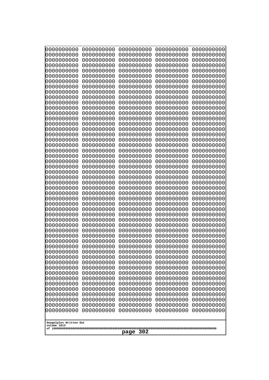| 0000000000  | 0000000000             | 0000000000 | 0000000000 | 0000000000 |  |
|-------------|------------------------|------------|------------|------------|--|
| 0000000000  | 0000000000             | 0000000000 | 0000000000 | 0000000000 |  |
| 0000000000  | 0000000000             | 0000000000 | 0000000000 | 0000000000 |  |
| 0000000000  | 0000000000             | 0000000000 | 0000000000 | 0000000000 |  |
| 0000000000  | 0000000000             | 0000000000 | 0000000000 | 0000000000 |  |
| 0000000000  | 0000000000             | 0000000000 | 0000000000 | 0000000000 |  |
| 0000000000  | 0000000000             | 0000000000 | 0000000000 | 0000000000 |  |
| 0000000000  | 0000000000             | 0000000000 | 0000000000 | 0000000000 |  |
| 0000000000  | 0000000000             | 0000000000 | 0000000000 | 0000000000 |  |
| 0000000000  | 0000000000             | 0000000000 | 0000000000 | 0000000000 |  |
| 0000000000  | 0000000000             | 0000000000 | 0000000000 | 0000000000 |  |
| 0000000000  | 0000000000             | 0000000000 | 0000000000 | 0000000000 |  |
| 0000000000  | 0000000000             | 0000000000 | 0000000000 | 0000000000 |  |
| 0000000000  | 0000000000             | 0000000000 | 0000000000 | 0000000000 |  |
| 0000000000  | 0000000000             | 0000000000 | 0000000000 | 0000000000 |  |
| 0000000000  | 0000000000             | 0000000000 | 0000000000 | 0000000000 |  |
| 0000000000  | 0000000000             | 0000000000 | 0000000000 | 0000000000 |  |
| 0000000000  | 0000000000             | 0000000000 | 0000000000 | 0000000000 |  |
| 0000000000  | 0000000000             | 0000000000 | 0000000000 | 0000000000 |  |
| 0000000000  | 0000000000             | 0000000000 | 0000000000 | 0000000000 |  |
|             |                        |            |            |            |  |
|             |                        |            |            |            |  |
|             |                        |            |            |            |  |
| 0000000000  | 0000000000             | 0000000000 | 0000000000 | 0000000000 |  |
| 0000000000  | 0000000000             | 0000000000 | 0000000000 | 0000000000 |  |
| 0000000000  | 0000000000             | 0000000000 | 0000000000 | 0000000000 |  |
| 0000000000  | 0000000000             | 0000000000 | 0000000000 | 0000000000 |  |
| 0000000000  | 0000000000             | 0000000000 | 0000000000 | 0000000000 |  |
| 0000000000  | 0000000000             | 0000000000 | 0000000000 | 0000000000 |  |
| 0000000000  | 0000000000             | 0000000000 | 0000000000 | 0000000000 |  |
| 0000000000  | 0000000000             | 0000000000 | 0000000000 | 0000000000 |  |
| 0000000000  | 0000000000             | 0000000000 | 0000000000 | 0000000000 |  |
| 0000000000  | 0000000000             | 0000000000 | 0000000000 | 0000000000 |  |
| 0000000000  | 0000000000             | 0000000000 | 0000000000 | 0000000000 |  |
| 0000000000  | 0000000000             | 0000000000 | 0000000000 | 0000000000 |  |
| 0000000000  | 0000000000             | 0000000000 | 0000000000 | 0000000000 |  |
| 0000000000  | 0000000000             | 0000000000 | 0000000000 | 0000000000 |  |
| 0000000000  | 0000000000             | 0000000000 | 0000000000 | 0000000000 |  |
| 0000000000  | 0000000000             | 0000000000 | 0000000000 | 0000000000 |  |
| 0000000000  | 0000000000             | 0000000000 | 0000000000 | 0000000000 |  |
| 0000000000  | 0000000000             | 0000000000 | 0000000000 | 0000000000 |  |
| 0000000000  | 0000000000             | 0000000000 | 0000000000 | 0000000000 |  |
| 0000000000  | 0000000000             | 0000000000 | 0000000000 | 0000000000 |  |
| 0000000000  | 0000000000             | 0000000000 | 0000000000 | 0000000000 |  |
| 0000000000  | 0000000000             | 0000000000 | 0000000000 | 0000000000 |  |
| 0000000000  | 0000000000             | 0000000000 | 0000000000 | 0000000000 |  |
| 0000000000  | 0000000000             | 0000000000 | 0000000000 | 0000000000 |  |
| 0000000000  | 0000000000             | 0000000000 | 0000000000 | 0000000000 |  |
| 0000000000  | 0000000000             | 0000000000 | 0000000000 | 0000000000 |  |
| 0000000000  | 0000000000             | 0000000000 | 0000000000 | 0000000000 |  |
| 0000000000  | 0000000000             | 0000000000 | 0000000000 | 0000000000 |  |
| 0000000000  | 0000000000             | 0000000000 | 0000000000 | 0000000000 |  |
| 0000000000  | 0000000000             | 0000000000 | 0000000000 | 0000000000 |  |
| volume 1013 | Googolplex Written Out |            |            |            |  |
| 302<br>page |                        |            |            |            |  |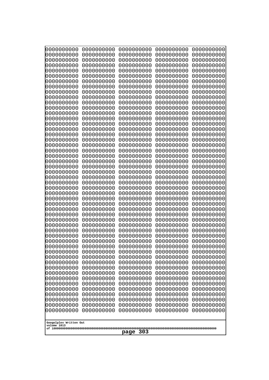| 0000000000<br>0000000000<br>0000000000<br>0000000000<br>0000000000<br>0000000000<br>0000000000<br>0000000000<br>0000000000<br>0000000000<br>0000000000<br>0000000000<br>0000000000<br>0000000000<br>0000000000<br>0000000000<br>0000000000<br>0000000000<br>0000000000<br>0000000000<br>0000000000<br>0000000000<br>0000000000<br>0000000000 | 0000000000<br>0000000000<br>0000000000<br>0000000000<br>0000000000<br>0000000000<br>0000000000<br>0000000000<br>0000000000<br>0000000000<br>0000000000<br>0000000000<br>0000000000<br>0000000000<br>0000000000<br>0000000000<br>0000000000<br>0000000000<br>0000000000<br>0000000000<br>0000000000<br>0000000000<br>0000000000<br>0000000000 | 0000000000<br>0000000000<br>0000000000<br>0000000000<br>0000000000<br>0000000000<br>0000000000<br>0000000000<br>0000000000<br>0000000000<br>0000000000<br>0000000000<br>0000000000<br>0000000000<br>0000000000<br>0000000000<br>0000000000<br>0000000000<br>0000000000<br>0000000000<br>0000000000<br>0000000000<br>0000000000<br>0000000000 | 0000000000<br>0000000000<br>0000000000<br>0000000000<br>0000000000<br>0000000000<br>0000000000<br>0000000000<br>0000000000<br>0000000000<br>0000000000<br>0000000000<br>0000000000<br>0000000000<br>0000000000<br>0000000000<br>0000000000<br>0000000000<br>0000000000<br>0000000000<br>0000000000<br>0000000000<br>0000000000<br>0000000000 | 0000000000<br>0000000000<br>0000000000<br>0000000000<br>0000000000<br>0000000000<br>0000000000<br>0000000000<br>0000000000<br>0000000000<br>0000000000<br>0000000000<br>0000000000<br>0000000000<br>0000000000<br>0000000000<br>0000000000<br>0000000000<br>0000000000<br>0000000000<br>0000000000<br>0000000000<br>0000000000<br>0000000000 |
|----------------------------------------------------------------------------------------------------------------------------------------------------------------------------------------------------------------------------------------------------------------------------------------------------------------------------------------------|----------------------------------------------------------------------------------------------------------------------------------------------------------------------------------------------------------------------------------------------------------------------------------------------------------------------------------------------|----------------------------------------------------------------------------------------------------------------------------------------------------------------------------------------------------------------------------------------------------------------------------------------------------------------------------------------------|----------------------------------------------------------------------------------------------------------------------------------------------------------------------------------------------------------------------------------------------------------------------------------------------------------------------------------------------|----------------------------------------------------------------------------------------------------------------------------------------------------------------------------------------------------------------------------------------------------------------------------------------------------------------------------------------------|
|                                                                                                                                                                                                                                                                                                                                              |                                                                                                                                                                                                                                                                                                                                              |                                                                                                                                                                                                                                                                                                                                              |                                                                                                                                                                                                                                                                                                                                              |                                                                                                                                                                                                                                                                                                                                              |
|                                                                                                                                                                                                                                                                                                                                              |                                                                                                                                                                                                                                                                                                                                              |                                                                                                                                                                                                                                                                                                                                              |                                                                                                                                                                                                                                                                                                                                              |                                                                                                                                                                                                                                                                                                                                              |
|                                                                                                                                                                                                                                                                                                                                              |                                                                                                                                                                                                                                                                                                                                              |                                                                                                                                                                                                                                                                                                                                              |                                                                                                                                                                                                                                                                                                                                              |                                                                                                                                                                                                                                                                                                                                              |
|                                                                                                                                                                                                                                                                                                                                              |                                                                                                                                                                                                                                                                                                                                              |                                                                                                                                                                                                                                                                                                                                              |                                                                                                                                                                                                                                                                                                                                              |                                                                                                                                                                                                                                                                                                                                              |
|                                                                                                                                                                                                                                                                                                                                              |                                                                                                                                                                                                                                                                                                                                              |                                                                                                                                                                                                                                                                                                                                              |                                                                                                                                                                                                                                                                                                                                              |                                                                                                                                                                                                                                                                                                                                              |
|                                                                                                                                                                                                                                                                                                                                              |                                                                                                                                                                                                                                                                                                                                              |                                                                                                                                                                                                                                                                                                                                              |                                                                                                                                                                                                                                                                                                                                              |                                                                                                                                                                                                                                                                                                                                              |
|                                                                                                                                                                                                                                                                                                                                              |                                                                                                                                                                                                                                                                                                                                              |                                                                                                                                                                                                                                                                                                                                              |                                                                                                                                                                                                                                                                                                                                              |                                                                                                                                                                                                                                                                                                                                              |
|                                                                                                                                                                                                                                                                                                                                              |                                                                                                                                                                                                                                                                                                                                              |                                                                                                                                                                                                                                                                                                                                              |                                                                                                                                                                                                                                                                                                                                              |                                                                                                                                                                                                                                                                                                                                              |
|                                                                                                                                                                                                                                                                                                                                              |                                                                                                                                                                                                                                                                                                                                              |                                                                                                                                                                                                                                                                                                                                              |                                                                                                                                                                                                                                                                                                                                              |                                                                                                                                                                                                                                                                                                                                              |
|                                                                                                                                                                                                                                                                                                                                              |                                                                                                                                                                                                                                                                                                                                              |                                                                                                                                                                                                                                                                                                                                              |                                                                                                                                                                                                                                                                                                                                              |                                                                                                                                                                                                                                                                                                                                              |
|                                                                                                                                                                                                                                                                                                                                              |                                                                                                                                                                                                                                                                                                                                              |                                                                                                                                                                                                                                                                                                                                              |                                                                                                                                                                                                                                                                                                                                              |                                                                                                                                                                                                                                                                                                                                              |
|                                                                                                                                                                                                                                                                                                                                              |                                                                                                                                                                                                                                                                                                                                              |                                                                                                                                                                                                                                                                                                                                              |                                                                                                                                                                                                                                                                                                                                              |                                                                                                                                                                                                                                                                                                                                              |
|                                                                                                                                                                                                                                                                                                                                              |                                                                                                                                                                                                                                                                                                                                              |                                                                                                                                                                                                                                                                                                                                              |                                                                                                                                                                                                                                                                                                                                              |                                                                                                                                                                                                                                                                                                                                              |
| 0000000000                                                                                                                                                                                                                                                                                                                                   | 0000000000                                                                                                                                                                                                                                                                                                                                   | 0000000000                                                                                                                                                                                                                                                                                                                                   | 0000000000                                                                                                                                                                                                                                                                                                                                   | 0000000000                                                                                                                                                                                                                                                                                                                                   |
| 0000000000                                                                                                                                                                                                                                                                                                                                   | 0000000000                                                                                                                                                                                                                                                                                                                                   | 0000000000                                                                                                                                                                                                                                                                                                                                   | 0000000000                                                                                                                                                                                                                                                                                                                                   | 0000000000                                                                                                                                                                                                                                                                                                                                   |
| 0000000000<br>0000000000                                                                                                                                                                                                                                                                                                                     | 0000000000<br>0000000000                                                                                                                                                                                                                                                                                                                     | 0000000000<br>0000000000                                                                                                                                                                                                                                                                                                                     | 0000000000<br>0000000000                                                                                                                                                                                                                                                                                                                     | 0000000000<br>0000000000                                                                                                                                                                                                                                                                                                                     |
| 0000000000                                                                                                                                                                                                                                                                                                                                   | 0000000000                                                                                                                                                                                                                                                                                                                                   | 0000000000                                                                                                                                                                                                                                                                                                                                   | 0000000000                                                                                                                                                                                                                                                                                                                                   | 0000000000                                                                                                                                                                                                                                                                                                                                   |
| 0000000000<br>0000000000                                                                                                                                                                                                                                                                                                                     | 0000000000<br>0000000000                                                                                                                                                                                                                                                                                                                     | 0000000000<br>0000000000                                                                                                                                                                                                                                                                                                                     | 0000000000<br>0000000000                                                                                                                                                                                                                                                                                                                     | 0000000000<br>0000000000                                                                                                                                                                                                                                                                                                                     |
| 0000000000                                                                                                                                                                                                                                                                                                                                   | 0000000000                                                                                                                                                                                                                                                                                                                                   | 0000000000                                                                                                                                                                                                                                                                                                                                   | 0000000000                                                                                                                                                                                                                                                                                                                                   | 0000000000                                                                                                                                                                                                                                                                                                                                   |
| 0000000000<br>0000000000                                                                                                                                                                                                                                                                                                                     | 0000000000<br>0000000000                                                                                                                                                                                                                                                                                                                     | 0000000000<br>0000000000                                                                                                                                                                                                                                                                                                                     | 0000000000<br>0000000000                                                                                                                                                                                                                                                                                                                     | 0000000000<br>0000000000                                                                                                                                                                                                                                                                                                                     |
| 0000000000                                                                                                                                                                                                                                                                                                                                   | 0000000000                                                                                                                                                                                                                                                                                                                                   | 0000000000                                                                                                                                                                                                                                                                                                                                   | 0000000000                                                                                                                                                                                                                                                                                                                                   | 0000000000                                                                                                                                                                                                                                                                                                                                   |
| 0000000000<br>0000000000                                                                                                                                                                                                                                                                                                                     | 0000000000<br>0000000000                                                                                                                                                                                                                                                                                                                     | 0000000000<br>0000000000                                                                                                                                                                                                                                                                                                                     | 0000000000<br>0000000000                                                                                                                                                                                                                                                                                                                     | 0000000000<br>0000000000                                                                                                                                                                                                                                                                                                                     |
| 0000000000                                                                                                                                                                                                                                                                                                                                   | 0000000000                                                                                                                                                                                                                                                                                                                                   | 0000000000                                                                                                                                                                                                                                                                                                                                   | 0000000000                                                                                                                                                                                                                                                                                                                                   | 0000000000                                                                                                                                                                                                                                                                                                                                   |
| 0000000000                                                                                                                                                                                                                                                                                                                                   | 0000000000<br>0000000000                                                                                                                                                                                                                                                                                                                     | 0000000000<br>0000000000                                                                                                                                                                                                                                                                                                                     | 0000000000                                                                                                                                                                                                                                                                                                                                   | 0000000000<br>0000000000                                                                                                                                                                                                                                                                                                                     |
| 0000000000<br>0000000000                                                                                                                                                                                                                                                                                                                     | 0000000000                                                                                                                                                                                                                                                                                                                                   | 0000000000                                                                                                                                                                                                                                                                                                                                   | 0000000000<br>0000000000                                                                                                                                                                                                                                                                                                                     | 0000000000                                                                                                                                                                                                                                                                                                                                   |
| 0000000000                                                                                                                                                                                                                                                                                                                                   | 0000000000                                                                                                                                                                                                                                                                                                                                   | 0000000000                                                                                                                                                                                                                                                                                                                                   | 0000000000                                                                                                                                                                                                                                                                                                                                   | 0000000000                                                                                                                                                                                                                                                                                                                                   |
| 0000000000<br>0000000000                                                                                                                                                                                                                                                                                                                     | 0000000000<br>0000000000                                                                                                                                                                                                                                                                                                                     | 0000000000<br>0000000000                                                                                                                                                                                                                                                                                                                     | 0000000000<br>0000000000                                                                                                                                                                                                                                                                                                                     | 0000000000<br>0000000000                                                                                                                                                                                                                                                                                                                     |
| 0000000000                                                                                                                                                                                                                                                                                                                                   | 0000000000                                                                                                                                                                                                                                                                                                                                   | 0000000000                                                                                                                                                                                                                                                                                                                                   | 0000000000                                                                                                                                                                                                                                                                                                                                   | 0000000000                                                                                                                                                                                                                                                                                                                                   |
| 0000000000<br>0000000000                                                                                                                                                                                                                                                                                                                     | 0000000000<br>0000000000                                                                                                                                                                                                                                                                                                                     | 0000000000<br>0000000000                                                                                                                                                                                                                                                                                                                     | 0000000000<br>0000000000                                                                                                                                                                                                                                                                                                                     | 0000000000<br>0000000000                                                                                                                                                                                                                                                                                                                     |
| 0000000000                                                                                                                                                                                                                                                                                                                                   | 0000000000                                                                                                                                                                                                                                                                                                                                   | 0000000000                                                                                                                                                                                                                                                                                                                                   | 0000000000                                                                                                                                                                                                                                                                                                                                   | 0000000000                                                                                                                                                                                                                                                                                                                                   |
| 0000000000<br>0000000000                                                                                                                                                                                                                                                                                                                     | 0000000000<br>0000000000                                                                                                                                                                                                                                                                                                                     | 0000000000<br>0000000000                                                                                                                                                                                                                                                                                                                     | 0000000000<br>0000000000                                                                                                                                                                                                                                                                                                                     | 0000000000<br>0000000000                                                                                                                                                                                                                                                                                                                     |
|                                                                                                                                                                                                                                                                                                                                              |                                                                                                                                                                                                                                                                                                                                              |                                                                                                                                                                                                                                                                                                                                              |                                                                                                                                                                                                                                                                                                                                              |                                                                                                                                                                                                                                                                                                                                              |
| Googolplex Written Out<br>volume 1013                                                                                                                                                                                                                                                                                                        |                                                                                                                                                                                                                                                                                                                                              |                                                                                                                                                                                                                                                                                                                                              |                                                                                                                                                                                                                                                                                                                                              |                                                                                                                                                                                                                                                                                                                                              |
| 303<br>page                                                                                                                                                                                                                                                                                                                                  |                                                                                                                                                                                                                                                                                                                                              |                                                                                                                                                                                                                                                                                                                                              |                                                                                                                                                                                                                                                                                                                                              |                                                                                                                                                                                                                                                                                                                                              |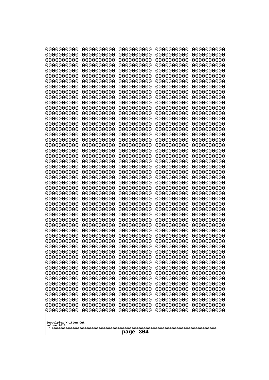| 10000000000                           | 0000000000               | 0000000000               | 0000000000               | 0000000000               |
|---------------------------------------|--------------------------|--------------------------|--------------------------|--------------------------|
| 0000000000<br>0000000000              | 0000000000<br>0000000000 | 0000000000<br>0000000000 | 0000000000<br>0000000000 | 0000000000<br>0000000000 |
| 0000000000                            | 0000000000               | 0000000000               | 0000000000               | 0000000000               |
| 0000000000                            | 0000000000               | 0000000000               | 0000000000               | 0000000000               |
| 0000000000                            | 0000000000               | 0000000000               | 0000000000               | 0000000000               |
| 0000000000                            | 0000000000               | 0000000000               | 0000000000               | 0000000000               |
| 0000000000<br>0000000000              | 0000000000<br>0000000000 | 0000000000<br>0000000000 | 0000000000<br>0000000000 | 0000000000<br>0000000000 |
| 0000000000                            | 0000000000               | 0000000000               | 0000000000               | 0000000000               |
| 0000000000                            | 0000000000               | 0000000000               | 0000000000               | 0000000000               |
| 0000000000                            | 0000000000               | 0000000000               | 0000000000               | 0000000000               |
| 0000000000<br>0000000000              | 0000000000<br>0000000000 | 0000000000<br>0000000000 | 0000000000<br>0000000000 | 0000000000<br>0000000000 |
| 0000000000                            | 0000000000               | 0000000000               | 0000000000               | 0000000000               |
| 0000000000                            | 0000000000               | 0000000000               | 0000000000               | 0000000000               |
| 0000000000                            | 0000000000               | 0000000000<br>0000000000 | 0000000000<br>0000000000 | 0000000000               |
| 0000000000<br>0000000000              | 0000000000<br>0000000000 | 0000000000               | 0000000000               | 0000000000<br>0000000000 |
| 0000000000                            | 0000000000               | 0000000000               | 0000000000               | 0000000000               |
| 0000000000                            | 0000000000               | 0000000000               | 0000000000               | 0000000000               |
| 0000000000<br>0000000000              | 0000000000<br>0000000000 | 0000000000<br>0000000000 | 0000000000<br>0000000000 | 0000000000<br>0000000000 |
| 0000000000                            | 0000000000               | 0000000000               | 0000000000               | 0000000000               |
| 0000000000                            | 0000000000               | 0000000000               | 0000000000               | 0000000000               |
| 0000000000                            | 0000000000               | 0000000000               | 0000000000               | 0000000000               |
| 0000000000<br>0000000000              | 0000000000<br>0000000000 | 0000000000<br>0000000000 | 0000000000<br>0000000000 | 0000000000<br>0000000000 |
| 0000000000                            | 0000000000               | 0000000000               | 0000000000               | 0000000000               |
| 0000000000                            | 0000000000               | 0000000000               | 0000000000               | 0000000000               |
| 0000000000                            | 0000000000               | 0000000000               | 0000000000               | 0000000000               |
| 0000000000<br>0000000000              | 0000000000<br>0000000000 | 0000000000<br>0000000000 | 0000000000<br>0000000000 | 0000000000<br>0000000000 |
| 0000000000                            | 0000000000               | 0000000000               | 0000000000               | 0000000000               |
| 0000000000                            | 0000000000               | 0000000000               | 0000000000               | 0000000000               |
| 0000000000                            | 0000000000               | 0000000000               | 0000000000               | 0000000000               |
| 0000000000<br>0000000000              | 0000000000<br>0000000000 | 0000000000<br>0000000000 | 0000000000<br>0000000000 | 0000000000<br>0000000000 |
| 0000000000                            | 0000000000               | 0000000000               | 0000000000               | 0000000000               |
| 0000000000                            | 0000000000               | 0000000000               | 0000000000               | 0000000000               |
| 0000000000                            | 0000000000               | 0000000000               | 0000000000               | 0000000000               |
| 0000000000<br>0000000000              | 0000000000<br>0000000000 | 0000000000<br>0000000000 | 0000000000<br>0000000000 | 0000000000<br>0000000000 |
| 0000000000                            | 0000000000               | 0000000000               | 0000000000               | 0000000000               |
| 0000000000                            | 0000000000               | 0000000000               | 0000000000               | 0000000000               |
| 0000000000                            | 0000000000               | 0000000000               | 0000000000               | 0000000000               |
| 0000000000<br>0000000000              | 0000000000<br>0000000000 | 0000000000<br>0000000000 | 0000000000<br>0000000000 | 0000000000<br>0000000000 |
| 0000000000                            | 0000000000               | 0000000000               | 0000000000               | 0000000000               |
| 0000000000                            | 0000000000               | 0000000000               | 0000000000               | 0000000000               |
|                                       |                          |                          |                          |                          |
| Googolplex Written Out<br>volume 1013 |                          |                          |                          |                          |
| 304<br>page                           |                          |                          |                          |                          |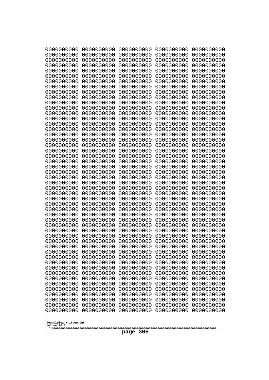| 000000000                             | 0000000000               | 0000000000               | 0000000000               | 0000000000               |
|---------------------------------------|--------------------------|--------------------------|--------------------------|--------------------------|
| 0000000000                            | 0000000000               | 0000000000               | 0000000000               | 0000000000               |
| 0000000000                            | 0000000000               | 0000000000               | 0000000000               | 0000000000               |
| 0000000000                            | 0000000000               | 0000000000               | 0000000000               | 0000000000               |
| 0000000000<br>0000000000              | 0000000000<br>0000000000 | 0000000000<br>0000000000 | 0000000000<br>0000000000 | 0000000000<br>0000000000 |
| 0000000000                            | 0000000000               | 0000000000               | 0000000000               | 0000000000               |
| 0000000000                            | 0000000000               | 0000000000               | 0000000000               | 0000000000               |
| 0000000000                            | 0000000000               | 0000000000               | 0000000000               | 0000000000               |
| 0000000000                            | 0000000000               | 0000000000               | 0000000000               | 0000000000               |
| 0000000000                            | 0000000000               | 0000000000               | 0000000000               | 0000000000               |
| 0000000000                            | 0000000000               | 0000000000               | 0000000000               | 0000000000               |
| 0000000000<br>0000000000              | 0000000000<br>0000000000 | 0000000000<br>0000000000 | 0000000000<br>0000000000 | 0000000000<br>0000000000 |
| 0000000000                            | 0000000000               | 0000000000               | 0000000000               | 0000000000               |
| 0000000000                            | 0000000000               | 0000000000               | 0000000000               | 0000000000               |
| 0000000000                            | 0000000000               | 0000000000               | 0000000000               | 0000000000               |
| 0000000000                            | 0000000000               | 0000000000               | 0000000000               | 0000000000               |
| 0000000000                            | 0000000000               | 0000000000               | 0000000000               | 0000000000               |
| 0000000000                            | 0000000000               | 0000000000               | 0000000000               | 0000000000               |
| 0000000000<br>0000000000              | 0000000000<br>0000000000 | 0000000000<br>0000000000 | 0000000000<br>0000000000 | 0000000000<br>0000000000 |
| 0000000000                            | 0000000000               | 0000000000               | 0000000000               | 0000000000               |
| 0000000000                            | 0000000000               | 0000000000               | 0000000000               | 0000000000               |
| 0000000000                            | 0000000000               | 0000000000               | 0000000000               | 0000000000               |
| 0000000000                            | 0000000000               | 0000000000               | 0000000000               | 0000000000               |
| 0000000000                            | 0000000000               | 0000000000               | 0000000000               | 0000000000               |
| 0000000000                            | 0000000000               | 0000000000               | 0000000000               | 0000000000               |
| 0000000000<br>0000000000              | 0000000000<br>0000000000 | 0000000000<br>0000000000 | 0000000000<br>0000000000 | 0000000000<br>0000000000 |
| 0000000000                            | 0000000000               | 0000000000               | 0000000000               | 0000000000               |
| 0000000000                            | 0000000000               | 0000000000               | 0000000000               | 0000000000               |
| 0000000000                            | 0000000000               | 0000000000               | 0000000000               | 0000000000               |
| 0000000000                            | 0000000000               | 0000000000               | 0000000000               | 0000000000               |
| 0000000000                            | 0000000000               | 0000000000               | 0000000000               | 0000000000               |
| 0000000000<br>0000000000              | 0000000000<br>0000000000 | 0000000000<br>0000000000 | 0000000000<br>0000000000 | 0000000000<br>0000000000 |
| 0000000000                            | 0000000000               | 0000000000               | 0000000000               | 0000000000               |
| 0000000000                            | 0000000000               | 0000000000               | 0000000000               | 0000000000               |
| 0000000000                            | 0000000000               | 0000000000               | 0000000000               | 0000000000               |
| 0000000000                            | 0000000000               | 0000000000               | 0000000000               | 0000000000               |
| 0000000000                            | 0000000000               | 0000000000               | 0000000000               | 0000000000               |
| 0000000000<br>0000000000              | 0000000000<br>0000000000 | 0000000000<br>0000000000 | 0000000000<br>0000000000 | 0000000000<br>0000000000 |
| 0000000000                            | 0000000000               | 0000000000               | 0000000000               | 0000000000               |
| 0000000000                            | 0000000000               | 0000000000               | 0000000000               | 0000000000               |
| 0000000000                            | 0000000000               | 0000000000               | 0000000000               | 0000000000               |
| 0000000000                            | 0000000000               | 0000000000               | 0000000000               | 0000000000               |
| 0000000000                            | 0000000000               | 0000000000               | 0000000000               | 0000000000               |
| 0000000000                            | 0000000000               | 0000000000               | 0000000000               | 0000000000               |
|                                       |                          |                          |                          |                          |
| Googolplex Written Out<br>volume 1013 |                          |                          |                          |                          |
| 305<br>page                           |                          |                          |                          |                          |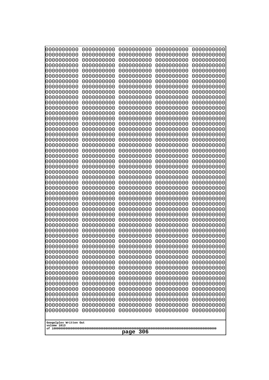| 0000000000                                                                                                                                                                                       | 0000000000 | 0000000000 | 0000000000 | 0000000000 |
|--------------------------------------------------------------------------------------------------------------------------------------------------------------------------------------------------|------------|------------|------------|------------|
| 0000000000                                                                                                                                                                                       | 0000000000 | 0000000000 | 0000000000 | 0000000000 |
| 0000000000                                                                                                                                                                                       | 0000000000 | 0000000000 | 0000000000 | 0000000000 |
| 0000000000                                                                                                                                                                                       | 0000000000 | 0000000000 | 0000000000 | 0000000000 |
| 0000000000                                                                                                                                                                                       | 0000000000 | 0000000000 | 0000000000 | 0000000000 |
| 0000000000                                                                                                                                                                                       | 0000000000 | 0000000000 | 0000000000 | 0000000000 |
| 0000000000                                                                                                                                                                                       | 0000000000 | 0000000000 | 0000000000 | 0000000000 |
| 0000000000                                                                                                                                                                                       | 0000000000 | 0000000000 | 0000000000 | 0000000000 |
| 0000000000                                                                                                                                                                                       | 0000000000 | 0000000000 | 0000000000 | 0000000000 |
| 0000000000                                                                                                                                                                                       | 0000000000 | 0000000000 | 0000000000 | 0000000000 |
| 0000000000                                                                                                                                                                                       | 0000000000 | 0000000000 | 0000000000 | 0000000000 |
| 0000000000                                                                                                                                                                                       | 0000000000 | 0000000000 | 0000000000 | 0000000000 |
| 0000000000                                                                                                                                                                                       | 0000000000 | 0000000000 | 0000000000 | 0000000000 |
| 0000000000                                                                                                                                                                                       | 0000000000 | 0000000000 | 0000000000 | 0000000000 |
| 0000000000                                                                                                                                                                                       | 0000000000 | 0000000000 | 0000000000 | 0000000000 |
| 0000000000                                                                                                                                                                                       | 0000000000 | 0000000000 | 0000000000 | 0000000000 |
| 0000000000                                                                                                                                                                                       | 0000000000 | 0000000000 | 0000000000 | 0000000000 |
| 0000000000                                                                                                                                                                                       | 0000000000 | 0000000000 | 0000000000 | 0000000000 |
| 0000000000                                                                                                                                                                                       | 0000000000 | 0000000000 | 0000000000 | 0000000000 |
| 0000000000                                                                                                                                                                                       | 0000000000 | 0000000000 | 0000000000 | 0000000000 |
| 0000000000                                                                                                                                                                                       | 0000000000 | 0000000000 | 0000000000 | 0000000000 |
| 0000000000                                                                                                                                                                                       | 0000000000 | 0000000000 | 0000000000 | 0000000000 |
| 0000000000                                                                                                                                                                                       | 0000000000 | 0000000000 | 0000000000 | 0000000000 |
| 0000000000                                                                                                                                                                                       | 0000000000 | 0000000000 | 0000000000 | 0000000000 |
| 0000000000                                                                                                                                                                                       | 0000000000 | 0000000000 | 0000000000 | 0000000000 |
| 0000000000                                                                                                                                                                                       | 0000000000 | 0000000000 | 0000000000 | 0000000000 |
| 0000000000                                                                                                                                                                                       | 0000000000 | 0000000000 | 0000000000 | 0000000000 |
| 0000000000                                                                                                                                                                                       | 0000000000 | 0000000000 | 0000000000 | 0000000000 |
| 0000000000                                                                                                                                                                                       | 0000000000 | 0000000000 | 0000000000 | 0000000000 |
| 0000000000                                                                                                                                                                                       | 0000000000 | 0000000000 | 0000000000 | 0000000000 |
| 0000000000                                                                                                                                                                                       | 0000000000 | 0000000000 | 0000000000 | 0000000000 |
| 0000000000                                                                                                                                                                                       | 0000000000 | 0000000000 | 0000000000 | 0000000000 |
| 0000000000                                                                                                                                                                                       | 0000000000 | 0000000000 | 0000000000 | 0000000000 |
| 0000000000                                                                                                                                                                                       | 0000000000 | 0000000000 | 0000000000 | 0000000000 |
| 0000000000                                                                                                                                                                                       | 0000000000 | 0000000000 | 0000000000 | 0000000000 |
| 0000000000                                                                                                                                                                                       | 0000000000 | 0000000000 | 0000000000 | 0000000000 |
| 0000000000                                                                                                                                                                                       | 0000000000 | 0000000000 | 0000000000 | 0000000000 |
| 0000000000                                                                                                                                                                                       | 0000000000 | 0000000000 | 0000000000 | 0000000000 |
| 0000000000                                                                                                                                                                                       | 0000000000 | 0000000000 | 0000000000 | 0000000000 |
| 0000000000                                                                                                                                                                                       | 0000000000 | 0000000000 | 0000000000 | 0000000000 |
| 0000000000                                                                                                                                                                                       | 0000000000 | 0000000000 | 0000000000 | 0000000000 |
| 0000000000                                                                                                                                                                                       | 0000000000 | 0000000000 | 0000000000 | 0000000000 |
| 0000000000                                                                                                                                                                                       | 0000000000 | 0000000000 | 0000000000 | 0000000000 |
| 0000000000                                                                                                                                                                                       | 0000000000 | 0000000000 | 0000000000 | 0000000000 |
| 0000000000                                                                                                                                                                                       | 0000000000 | 0000000000 | 0000000000 | 0000000000 |
| 0000000000                                                                                                                                                                                       | 0000000000 | 0000000000 | 0000000000 | 0000000000 |
| 0000000000                                                                                                                                                                                       | 0000000000 | 0000000000 | 0000000000 | 0000000000 |
| 0000000000                                                                                                                                                                                       | 0000000000 | 0000000000 | 0000000000 | 0000000000 |
| 0000000000<br>0000000000<br>0000000000<br>0000000000<br>0000000000<br>0000000000<br>0000000000<br>0000000000<br>0000000000<br>0000000000<br>Googolplex Written Out<br>volume 1013<br>306<br>page |            |            |            |            |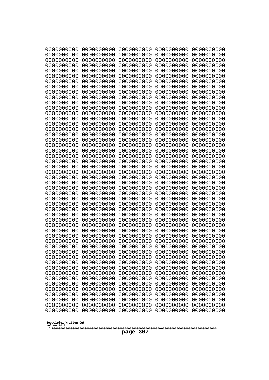| 10000000000<br>0000000000 | 0000000000<br>0000000000 | 0000000000<br>0000000000 | 0000000000<br>0000000000 | 0000000000<br>0000000000 |
|---------------------------|--------------------------|--------------------------|--------------------------|--------------------------|
| 0000000000                | 0000000000               | 0000000000               | 0000000000               | 0000000000               |
| 0000000000                | 0000000000               | 0000000000               | 0000000000               | 0000000000               |
| 0000000000<br>0000000000  | 0000000000<br>0000000000 | 0000000000<br>0000000000 | 0000000000<br>0000000000 | 0000000000<br>0000000000 |
| 0000000000                | 0000000000               | 0000000000               | 0000000000               | 0000000000               |
| 0000000000                | 0000000000               | 0000000000               | 0000000000               | 0000000000               |
| 0000000000<br>0000000000  | 0000000000<br>0000000000 | 0000000000<br>0000000000 | 0000000000<br>0000000000 | 0000000000<br>0000000000 |
| 0000000000                | 0000000000               | 0000000000               | 0000000000               | 0000000000               |
| 0000000000                | 0000000000               | 0000000000               | 0000000000               | 0000000000               |
| 0000000000<br>0000000000  | 0000000000<br>0000000000 | 0000000000<br>0000000000 | 0000000000<br>0000000000 | 0000000000<br>0000000000 |
| 0000000000                | 0000000000               | 0000000000               | 0000000000               | 0000000000               |
| 0000000000                | 0000000000               | 0000000000               | 0000000000               | 0000000000               |
| 0000000000<br>0000000000  | 0000000000<br>0000000000 | 0000000000<br>0000000000 | 0000000000<br>0000000000 | 0000000000<br>0000000000 |
| 0000000000                | 0000000000               | 0000000000               | 0000000000               | 0000000000               |
| 0000000000                | 0000000000               | 0000000000               | 0000000000               | 0000000000               |
| 0000000000                | 0000000000               | 0000000000               | 0000000000               | 0000000000               |
| 0000000000<br>0000000000  | 0000000000<br>0000000000 | 0000000000<br>0000000000 | 0000000000<br>0000000000 | 0000000000<br>0000000000 |
| 0000000000                | 0000000000               | 0000000000               | 0000000000               | 0000000000               |
| 0000000000                | 0000000000               | 0000000000               | 0000000000               | 0000000000               |
| 0000000000<br>0000000000  | 0000000000<br>0000000000 | 0000000000<br>0000000000 | 0000000000<br>0000000000 | 0000000000<br>0000000000 |
| 0000000000                | 0000000000               | 0000000000               | 0000000000               | 0000000000               |
| 0000000000                | 0000000000               | 0000000000               | 0000000000               | 0000000000               |
| 0000000000<br>0000000000  | 0000000000<br>0000000000 | 0000000000<br>0000000000 | 0000000000<br>0000000000 | 0000000000<br>0000000000 |
| 0000000000                | 0000000000               | 0000000000               | 0000000000               | 0000000000               |
| 0000000000                | 0000000000               | 0000000000               | 0000000000               | 0000000000               |
| 0000000000<br>0000000000  | 0000000000<br>0000000000 | 0000000000<br>0000000000 | 0000000000<br>0000000000 | 0000000000<br>0000000000 |
| 0000000000                | 0000000000               | 0000000000               | 0000000000               | 0000000000               |
| 0000000000                | 0000000000               | 0000000000               | 0000000000               | 0000000000               |
| 0000000000<br>0000000000  | 0000000000<br>0000000000 | 0000000000<br>0000000000 | 0000000000<br>0000000000 | 0000000000<br>0000000000 |
| 0000000000                | 0000000000               | 0000000000               | 0000000000               | 0000000000               |
| 0000000000                | 0000000000               | 0000000000               | 0000000000               | 0000000000               |
| 0000000000<br>0000000000  | 0000000000<br>0000000000 | 0000000000<br>0000000000 | 0000000000<br>0000000000 | 0000000000<br>0000000000 |
| 0000000000                | 0000000000               | 0000000000               | 0000000000               | 0000000000               |
| 0000000000                | 0000000000               | 0000000000               | 0000000000               | 0000000000               |
| 0000000000                | 0000000000<br>0000000000 | 0000000000<br>0000000000 | 0000000000               | 0000000000               |
| 0000000000<br>0000000000  | 0000000000               | 0000000000               | 0000000000<br>0000000000 | 0000000000<br>0000000000 |
| 0000000000                | 0000000000               | 0000000000               | 0000000000               | 0000000000               |
| 0000000000                | 0000000000               | 0000000000               | 0000000000               | 0000000000               |
| Googolplex Written Out    |                          |                          |                          |                          |
| volume 1013               |                          |                          |                          |                          |
| 307<br>page               |                          |                          |                          |                          |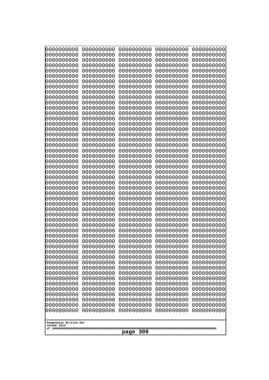| 10000000000                           | 0000000000               | 0000000000               | 0000000000               | 0000000000               |
|---------------------------------------|--------------------------|--------------------------|--------------------------|--------------------------|
| 0000000000<br>0000000000              | 0000000000<br>0000000000 | 0000000000<br>0000000000 | 0000000000<br>0000000000 | 0000000000<br>0000000000 |
| 0000000000                            | 0000000000               | 0000000000               | 0000000000               | 0000000000               |
| 0000000000                            | 0000000000               | 0000000000               | 0000000000               | 0000000000               |
| 0000000000                            | 0000000000               | 0000000000               | 0000000000               | 0000000000               |
| 0000000000<br>0000000000              | 0000000000<br>0000000000 | 0000000000<br>0000000000 | 0000000000<br>0000000000 | 0000000000<br>0000000000 |
| 0000000000                            | 0000000000               | 0000000000               | 0000000000               | 0000000000               |
| 0000000000                            | 0000000000               | 0000000000               | 0000000000               | 0000000000               |
| 0000000000                            | 0000000000               | 0000000000               | 0000000000               | 0000000000               |
| 0000000000<br>0000000000              | 0000000000<br>0000000000 | 0000000000<br>0000000000 | 0000000000<br>0000000000 | 0000000000<br>0000000000 |
| 0000000000                            | 0000000000               | 0000000000               | 0000000000               | 0000000000               |
| 0000000000                            | 0000000000               | 0000000000               | 0000000000               | 0000000000               |
| 0000000000                            | 0000000000               | 0000000000               | 0000000000               | 0000000000               |
| 0000000000<br>0000000000              | 0000000000<br>0000000000 | 0000000000<br>0000000000 | 0000000000<br>0000000000 | 0000000000<br>0000000000 |
| 0000000000                            | 0000000000               | 0000000000               | 0000000000               | 0000000000               |
| 0000000000                            | 0000000000               | 0000000000               | 0000000000               | 0000000000               |
| 0000000000                            | 0000000000               | 0000000000               | 0000000000               | 0000000000               |
| 0000000000<br>0000000000              | 0000000000<br>0000000000 | 0000000000<br>0000000000 | 0000000000<br>0000000000 | 0000000000<br>0000000000 |
| 0000000000                            | 0000000000               | 0000000000               | 0000000000               | 0000000000               |
| 0000000000                            | 0000000000               | 0000000000               | 0000000000               | 0000000000               |
| 0000000000                            | 0000000000               | 0000000000               | 0000000000               | 0000000000               |
| 0000000000<br>0000000000              | 0000000000<br>0000000000 | 0000000000<br>0000000000 | 0000000000<br>0000000000 | 0000000000<br>0000000000 |
| 0000000000                            | 0000000000               | 0000000000               | 0000000000               | 0000000000               |
| 0000000000                            | 0000000000               | 0000000000               | 0000000000               | 0000000000               |
| 0000000000                            | 0000000000               | 0000000000               | 0000000000               | 0000000000               |
| 0000000000<br>0000000000              | 0000000000<br>0000000000 | 0000000000<br>0000000000 | 0000000000<br>0000000000 | 0000000000<br>0000000000 |
| 0000000000                            | 0000000000               | 0000000000               | 0000000000               | 0000000000               |
| 0000000000                            | 0000000000               | 0000000000               | 0000000000               | 0000000000               |
| 0000000000                            | 0000000000<br>0000000000 | 0000000000<br>0000000000 | 0000000000               | 0000000000               |
| 0000000000<br>0000000000              | 0000000000               | 0000000000               | 0000000000<br>0000000000 | 0000000000<br>0000000000 |
| 0000000000                            | 0000000000               | 0000000000               | 0000000000               | 0000000000               |
| 0000000000                            | 0000000000               | 0000000000               | 0000000000               | 0000000000               |
| 0000000000<br>0000000000              | 0000000000<br>0000000000 | 0000000000<br>0000000000 | 0000000000<br>0000000000 | 0000000000<br>0000000000 |
| 0000000000                            | 0000000000               | 0000000000               | 0000000000               | 0000000000               |
| 0000000000                            | 0000000000               | 0000000000               | 0000000000               | 0000000000               |
| 0000000000                            | 0000000000               | 0000000000               | 0000000000               | 0000000000               |
| 0000000000<br>0000000000              | 0000000000<br>0000000000 | 0000000000<br>0000000000 | 0000000000<br>0000000000 | 0000000000<br>0000000000 |
| 0000000000                            | 0000000000               | 0000000000               | 0000000000               | 0000000000               |
| 0000000000                            | 0000000000               | 0000000000               | 0000000000               | 0000000000               |
| 0000000000                            | 0000000000               | 0000000000               | 0000000000               | 0000000000               |
|                                       |                          |                          |                          |                          |
| Googolplex Written Out<br>volume 1013 |                          |                          |                          |                          |
| 308<br>page                           |                          |                          |                          |                          |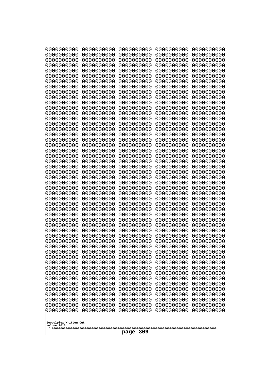| 10000000000                           | 0000000000               | 0000000000<br>0000000000 | 0000000000<br>0000000000 | 0000000000<br>0000000000 |
|---------------------------------------|--------------------------|--------------------------|--------------------------|--------------------------|
| 0000000000<br>0000000000              | 0000000000<br>0000000000 | 0000000000               | 0000000000               | 0000000000               |
| 0000000000                            | 0000000000               | 0000000000               | 0000000000               | 0000000000               |
| 0000000000                            | 0000000000               | 0000000000               | 0000000000               | 0000000000               |
| 0000000000<br>0000000000              | 0000000000<br>0000000000 | 0000000000<br>0000000000 | 0000000000<br>0000000000 | 0000000000<br>0000000000 |
| 0000000000                            | 0000000000               | 0000000000               | 0000000000               | 0000000000               |
| 0000000000                            | 0000000000               | 0000000000               | 0000000000               | 0000000000               |
| 0000000000                            | 0000000000               | 0000000000               | 0000000000               | 0000000000               |
| 0000000000<br>0000000000              | 0000000000<br>0000000000 | 0000000000<br>0000000000 | 0000000000<br>0000000000 | 0000000000<br>0000000000 |
| 0000000000                            | 0000000000               | 0000000000               | 0000000000               | 0000000000               |
| 0000000000                            | 0000000000               | 0000000000               | 0000000000               | 0000000000               |
| 0000000000                            | 0000000000               | 0000000000               | 0000000000               | 0000000000               |
| 0000000000<br>0000000000              | 0000000000<br>0000000000 | 0000000000<br>0000000000 | 0000000000<br>0000000000 | 0000000000<br>0000000000 |
| 0000000000                            | 0000000000               | 0000000000               | 0000000000               | 0000000000               |
| 0000000000                            | 0000000000               | 0000000000               | 0000000000               | 0000000000               |
| 0000000000                            | 0000000000               | 0000000000               | 0000000000               | 0000000000               |
| 0000000000<br>0000000000              | 0000000000<br>0000000000 | 0000000000<br>0000000000 | 0000000000<br>0000000000 | 0000000000<br>0000000000 |
| 0000000000                            | 0000000000               | 0000000000               | 0000000000               | 0000000000               |
| 0000000000                            | 0000000000               | 0000000000               | 0000000000               | 0000000000               |
| 0000000000<br>0000000000              | 0000000000<br>0000000000 | 0000000000<br>0000000000 | 0000000000<br>0000000000 | 0000000000<br>0000000000 |
| 0000000000                            | 0000000000               | 0000000000               | 0000000000               | 0000000000               |
| 0000000000                            | 0000000000               | 0000000000               | 0000000000               | 0000000000               |
| 0000000000                            | 0000000000               | 0000000000               | 0000000000               | 0000000000               |
| 0000000000<br>0000000000              | 0000000000<br>0000000000 | 0000000000<br>0000000000 | 0000000000<br>0000000000 | 0000000000<br>0000000000 |
| 0000000000                            | 0000000000               | 0000000000               | 0000000000               | 0000000000               |
| 0000000000                            | 0000000000               | 0000000000               | 0000000000               | 0000000000               |
| 0000000000<br>0000000000              | 0000000000<br>0000000000 | 0000000000<br>0000000000 | 0000000000<br>0000000000 | 0000000000               |
| 0000000000                            | 0000000000               | 0000000000               | 0000000000               | 0000000000<br>0000000000 |
| 0000000000                            | 0000000000               | 0000000000               | 0000000000               | 0000000000               |
| 0000000000                            | 0000000000               | 0000000000               | 0000000000               | 0000000000               |
| 0000000000<br>0000000000              | 0000000000<br>0000000000 | 0000000000<br>0000000000 | 0000000000<br>0000000000 | 0000000000<br>0000000000 |
| 0000000000                            | 0000000000               | 0000000000               | 0000000000               | 0000000000               |
| 0000000000                            | 0000000000               | 0000000000               | 0000000000               | 0000000000               |
| 0000000000                            | 0000000000               | 0000000000               | 0000000000               | 0000000000               |
| 0000000000<br>0000000000              | 0000000000<br>0000000000 | 0000000000<br>0000000000 | 0000000000<br>0000000000 | 0000000000<br>0000000000 |
| 0000000000                            | 0000000000               | 0000000000               | 0000000000               | 0000000000               |
| 0000000000                            | 0000000000               | 0000000000               | 0000000000               | 0000000000               |
| 0000000000<br>0000000000              | 0000000000<br>0000000000 | 0000000000<br>0000000000 | 0000000000<br>0000000000 | 0000000000<br>0000000000 |
| 0000000000                            | 0000000000               | 0000000000               | 0000000000               | 0000000000               |
|                                       |                          |                          |                          |                          |
| Googolplex Written Out<br>volume 1013 |                          |                          |                          |                          |
|                                       |                          | 309<br>page              |                          |                          |
|                                       |                          |                          |                          |                          |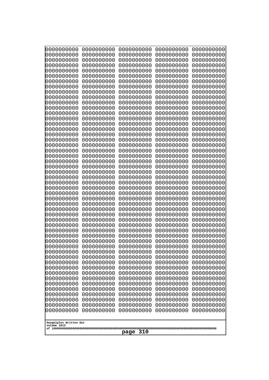| 0000000000                            | 0000000000               | 0000000000               | 0000000000               | 0000000000               |
|---------------------------------------|--------------------------|--------------------------|--------------------------|--------------------------|
| 0000000000<br>0000000000              | 0000000000<br>0000000000 | 0000000000<br>0000000000 | 0000000000<br>0000000000 | 0000000000<br>0000000000 |
| 0000000000                            | 0000000000               | 0000000000               | 0000000000               | 0000000000               |
| 0000000000                            | 0000000000               | 0000000000               | 0000000000               | 0000000000               |
| 0000000000                            | 0000000000               | 0000000000               | 0000000000               | 0000000000               |
| 0000000000                            | 0000000000               | 0000000000               | 0000000000               | 0000000000               |
| 0000000000<br>0000000000              | 0000000000<br>0000000000 | 0000000000<br>0000000000 | 0000000000<br>0000000000 | 0000000000<br>0000000000 |
| 0000000000                            | 0000000000               | 0000000000               | 0000000000               | 0000000000               |
| 0000000000                            | 0000000000               | 0000000000               | 0000000000               | 0000000000               |
| 0000000000                            | 0000000000               | 0000000000               | 0000000000               | 0000000000               |
| 0000000000<br>0000000000              | 0000000000<br>0000000000 | 0000000000<br>0000000000 | 0000000000<br>0000000000 | 0000000000<br>0000000000 |
| 0000000000                            | 0000000000               | 0000000000               | 0000000000               | 0000000000               |
| 0000000000                            | 0000000000               | 0000000000               | 0000000000               | 0000000000               |
| 0000000000                            | 0000000000<br>0000000000 | 0000000000               | 0000000000               | 0000000000               |
| 0000000000<br>0000000000              | 0000000000               | 0000000000<br>0000000000 | 0000000000<br>0000000000 | 0000000000<br>0000000000 |
| 0000000000                            | 0000000000               | 0000000000               | 0000000000               | 0000000000               |
| 0000000000                            | 0000000000               | 0000000000               | 0000000000               | 0000000000               |
| 0000000000<br>0000000000              | 0000000000<br>0000000000 | 0000000000<br>0000000000 | 0000000000<br>0000000000 | 0000000000<br>0000000000 |
| 0000000000                            | 0000000000               | 0000000000               | 0000000000               | 0000000000               |
| 0000000000                            | 0000000000               | 0000000000               | 0000000000               | 0000000000               |
| 0000000000                            | 0000000000               | 0000000000               | 0000000000               | 0000000000               |
| 0000000000<br>0000000000              | 0000000000<br>0000000000 | 0000000000<br>0000000000 | 0000000000<br>0000000000 | 0000000000<br>0000000000 |
| 0000000000                            | 0000000000               | 0000000000               | 0000000000               | 0000000000               |
| 0000000000                            | 0000000000               | 0000000000               | 0000000000               | 0000000000               |
| 0000000000                            | 0000000000               | 0000000000               | 0000000000               | 0000000000               |
| 0000000000<br>0000000000              | 0000000000<br>0000000000 | 0000000000<br>0000000000 | 0000000000<br>0000000000 | 0000000000<br>0000000000 |
| 0000000000                            | 0000000000               | 0000000000               | 0000000000               | 0000000000               |
| 0000000000                            | 0000000000               | 0000000000               | 0000000000               | 0000000000               |
| 0000000000                            | 0000000000               | 0000000000               | 0000000000               | 0000000000               |
| 0000000000<br>0000000000              | 0000000000<br>0000000000 | 0000000000<br>0000000000 | 0000000000<br>0000000000 | 0000000000<br>0000000000 |
| 0000000000                            | 0000000000               | 0000000000               | 0000000000               | 0000000000               |
| 0000000000                            | 0000000000               | 0000000000               | 0000000000               | 0000000000               |
| 0000000000<br>0000000000              | 0000000000               | 0000000000               | 0000000000               | 0000000000<br>0000000000 |
| 0000000000                            | 0000000000<br>0000000000 | 0000000000<br>0000000000 | 0000000000<br>0000000000 | 0000000000               |
| 0000000000                            | 0000000000               | 0000000000               | 0000000000               | 0000000000               |
| 0000000000                            | 0000000000               | 0000000000               | 0000000000               | 0000000000               |
| 0000000000<br>0000000000              | 0000000000<br>0000000000 | 0000000000<br>0000000000 | 0000000000<br>0000000000 | 0000000000<br>0000000000 |
| 0000000000                            | 0000000000               | 0000000000               | 0000000000               | 0000000000               |
| 0000000000                            | 0000000000               | 0000000000               | 0000000000               | 0000000000               |
| 0000000000                            | 0000000000               | 0000000000               | 0000000000               | 0000000000               |
|                                       |                          |                          |                          |                          |
| Googolplex Written Out<br>volume 1013 |                          |                          |                          |                          |
| 310<br>page                           |                          |                          |                          |                          |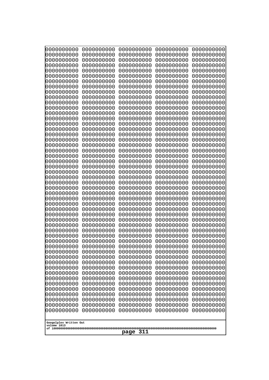| 10000000000                           | 0000000000               | 0000000000               | 0000000000               | 0000000000               |
|---------------------------------------|--------------------------|--------------------------|--------------------------|--------------------------|
| 0000000000<br>0000000000              | 0000000000<br>0000000000 | 0000000000<br>0000000000 | 0000000000<br>0000000000 | 0000000000<br>0000000000 |
| 0000000000                            | 0000000000               | 0000000000               | 0000000000               | 0000000000               |
| 0000000000                            | 0000000000               | 0000000000               | 0000000000               | 0000000000               |
| 0000000000                            | 0000000000               | 0000000000               | 0000000000               | 0000000000               |
| 0000000000<br>0000000000              | 0000000000<br>0000000000 | 0000000000<br>0000000000 | 0000000000<br>0000000000 | 0000000000<br>0000000000 |
| 0000000000                            | 0000000000               | 0000000000               | 0000000000               | 0000000000               |
| 0000000000                            | 0000000000               | 0000000000               | 0000000000               | 0000000000               |
| 0000000000                            | 0000000000               | 0000000000               | 0000000000               | 0000000000               |
| 0000000000<br>0000000000              | 0000000000<br>0000000000 | 0000000000<br>0000000000 | 0000000000<br>0000000000 | 0000000000<br>0000000000 |
| 0000000000                            | 0000000000               | 0000000000               | 0000000000               | 0000000000               |
| 0000000000                            | 0000000000               | 0000000000               | 0000000000               | 0000000000               |
| 0000000000                            | 0000000000               | 0000000000               | 0000000000               | 0000000000               |
| 0000000000<br>0000000000              | 0000000000<br>0000000000 | 0000000000<br>0000000000 | 0000000000<br>0000000000 | 0000000000<br>0000000000 |
| 0000000000                            | 0000000000               | 0000000000               | 0000000000               | 0000000000               |
| 0000000000                            | 0000000000               | 0000000000               | 0000000000               | 0000000000               |
| 0000000000                            | 0000000000               | 0000000000               | 0000000000               | 0000000000               |
| 0000000000<br>0000000000              | 0000000000<br>0000000000 | 0000000000<br>0000000000 | 0000000000<br>0000000000 | 0000000000<br>0000000000 |
| 0000000000                            | 0000000000               | 0000000000               | 0000000000               | 0000000000               |
| 0000000000                            | 0000000000               | 0000000000               | 0000000000               | 0000000000               |
| 0000000000                            | 0000000000               | 0000000000               | 0000000000               | 0000000000               |
| 0000000000<br>0000000000              | 0000000000<br>0000000000 | 0000000000<br>0000000000 | 0000000000<br>0000000000 | 0000000000<br>0000000000 |
| 0000000000                            | 0000000000               | 0000000000               | 0000000000               | 0000000000               |
| 0000000000                            | 0000000000               | 0000000000               | 0000000000               | 0000000000               |
| 0000000000                            | 0000000000               | 0000000000               | 0000000000               | 0000000000               |
| 0000000000<br>0000000000              | 0000000000<br>0000000000 | 0000000000<br>0000000000 | 0000000000<br>0000000000 | 0000000000<br>0000000000 |
| 0000000000                            | 0000000000               | 0000000000               | 0000000000               | 0000000000               |
| 0000000000                            | 0000000000               | 0000000000               | 0000000000               | 0000000000               |
| 0000000000                            | 0000000000<br>0000000000 | 0000000000<br>0000000000 | 0000000000               | 0000000000               |
| 0000000000<br>0000000000              | 0000000000               | 0000000000               | 0000000000<br>0000000000 | 0000000000<br>0000000000 |
| 0000000000                            | 0000000000               | 0000000000               | 0000000000               | 0000000000               |
| 0000000000                            | 0000000000               | 0000000000               | 0000000000               | 0000000000               |
| 0000000000<br>0000000000              | 0000000000<br>0000000000 | 0000000000<br>0000000000 | 0000000000<br>0000000000 | 0000000000<br>0000000000 |
| 0000000000                            | 0000000000               | 0000000000               | 0000000000               | 0000000000               |
| 0000000000                            | 0000000000               | 0000000000               | 0000000000               | 0000000000               |
| 0000000000                            | 0000000000               | 0000000000               | 0000000000               | 0000000000               |
| 0000000000<br>0000000000              | 0000000000<br>0000000000 | 0000000000<br>0000000000 | 0000000000<br>0000000000 | 0000000000<br>0000000000 |
| 0000000000                            | 0000000000               | 0000000000               | 0000000000               | 0000000000               |
| 0000000000                            | 0000000000               | 0000000000               | 0000000000               | 0000000000               |
| 0000000000                            | 0000000000               | 0000000000               | 0000000000               | 0000000000               |
|                                       |                          |                          |                          |                          |
| Googolplex Written Out<br>volume 1013 |                          |                          |                          |                          |
| 311<br>page                           |                          |                          |                          |                          |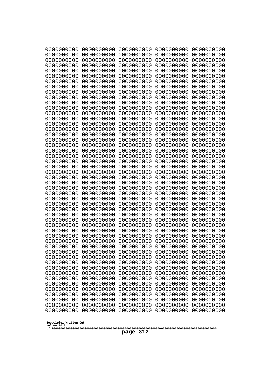| 0000000000                            | 0000000000               | 0000000000               | 0000000000               | 0000000000               |
|---------------------------------------|--------------------------|--------------------------|--------------------------|--------------------------|
| 0000000000<br>0000000000              | 0000000000<br>0000000000 | 0000000000<br>0000000000 | 0000000000<br>0000000000 | 0000000000<br>0000000000 |
| 0000000000                            | 0000000000               | 0000000000               | 0000000000               | 0000000000               |
| 0000000000                            | 0000000000               | 0000000000               | 0000000000               | 0000000000               |
| 0000000000                            | 0000000000               | 0000000000               | 0000000000               | 0000000000               |
| 0000000000<br>0000000000              | 0000000000<br>0000000000 | 0000000000<br>0000000000 | 0000000000<br>0000000000 | 0000000000<br>0000000000 |
| 0000000000                            | 0000000000               | 0000000000               | 0000000000               | 0000000000               |
| 0000000000                            | 0000000000               | 0000000000               | 0000000000               | 0000000000               |
| 0000000000<br>0000000000              | 0000000000<br>0000000000 | 0000000000<br>0000000000 | 0000000000<br>0000000000 | 0000000000               |
| 0000000000                            | 0000000000               | 0000000000               | 0000000000               | 0000000000<br>0000000000 |
| 0000000000                            | 0000000000               | 0000000000               | 0000000000               | 0000000000               |
| 0000000000                            | 0000000000               | 0000000000               | 0000000000               | 0000000000               |
| 0000000000<br>0000000000              | 0000000000<br>0000000000 | 0000000000<br>0000000000 | 0000000000<br>0000000000 | 0000000000<br>0000000000 |
| 0000000000                            | 0000000000               | 0000000000               | 0000000000               | 0000000000               |
| 0000000000                            | 0000000000               | 0000000000               | 0000000000               | 0000000000               |
| 0000000000                            | 0000000000               | 0000000000               | 0000000000               | 0000000000<br>0000000000 |
| 0000000000<br>0000000000              | 0000000000<br>0000000000 | 0000000000<br>0000000000 | 0000000000<br>0000000000 | 0000000000               |
| 0000000000                            | 0000000000               | 0000000000               | 0000000000               | 0000000000               |
| 0000000000                            | 0000000000               | 0000000000               | 0000000000               | 0000000000               |
| 0000000000<br>0000000000              | 0000000000<br>0000000000 | 0000000000<br>0000000000 | 0000000000<br>0000000000 | 0000000000<br>0000000000 |
| 0000000000                            | 0000000000               | 0000000000               | 0000000000               | 0000000000               |
| 0000000000                            | 0000000000               | 0000000000               | 0000000000               | 0000000000               |
| 0000000000<br>0000000000              | 0000000000<br>0000000000 | 0000000000<br>0000000000 | 0000000000<br>0000000000 | 0000000000<br>0000000000 |
| 0000000000                            | 0000000000               | 0000000000               | 0000000000               | 0000000000               |
| 0000000000                            | 0000000000               | 0000000000               | 0000000000               | 0000000000               |
| 0000000000                            | 0000000000               | 0000000000               | 0000000000               | 0000000000               |
| 0000000000<br>0000000000              | 0000000000<br>0000000000 | 0000000000<br>0000000000 | 0000000000<br>0000000000 | 0000000000<br>0000000000 |
| 0000000000                            | 0000000000               | 0000000000               | 0000000000               | 0000000000               |
| 0000000000                            | 0000000000               | 0000000000               | 0000000000               | 0000000000               |
| 0000000000<br>0000000000              | 0000000000<br>0000000000 | 0000000000<br>0000000000 | 0000000000<br>0000000000 | 0000000000<br>0000000000 |
| 0000000000                            | 0000000000               | 0000000000               | 0000000000               | 0000000000               |
| 0000000000                            | 0000000000               | 0000000000               | 0000000000               | 0000000000               |
| 0000000000<br>0000000000              | 0000000000<br>0000000000 | 0000000000<br>0000000000 | 0000000000<br>0000000000 | 0000000000<br>0000000000 |
| 0000000000                            | 0000000000               | 0000000000               | 0000000000               | 0000000000               |
| 0000000000                            | 0000000000               | 0000000000               | 0000000000               | 0000000000               |
| 0000000000                            | 0000000000               | 0000000000               | 0000000000               | 0000000000               |
| 0000000000<br>0000000000              | 0000000000<br>0000000000 | 0000000000<br>0000000000 | 0000000000<br>0000000000 | 0000000000<br>0000000000 |
| 0000000000                            | 0000000000               | 0000000000               | 0000000000               | 0000000000               |
| 0000000000                            | 0000000000               | 0000000000               | 0000000000               | 0000000000               |
|                                       |                          |                          |                          |                          |
| Googolplex Written Out<br>volume 1013 |                          |                          |                          |                          |
| 312<br>page                           |                          |                          |                          |                          |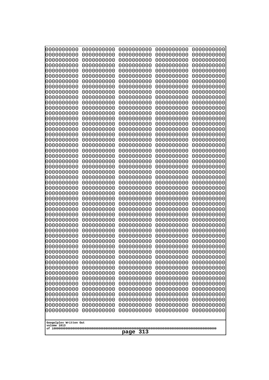| 10000000000<br>0000000000 | 0000000000<br>0000000000 | 0000000000<br>0000000000 | 0000000000<br>0000000000 | 0000000000<br>0000000000 |
|---------------------------|--------------------------|--------------------------|--------------------------|--------------------------|
| 0000000000                | 0000000000               | 0000000000               | 0000000000               | 0000000000               |
| 0000000000                | 0000000000               | 0000000000               | 0000000000               | 0000000000               |
| 0000000000<br>0000000000  | 0000000000<br>0000000000 | 0000000000               | 0000000000<br>0000000000 | 0000000000               |
| 0000000000                | 0000000000               | 0000000000<br>0000000000 | 0000000000               | 0000000000<br>0000000000 |
| 0000000000                | 0000000000               | 0000000000               | 0000000000               | 0000000000               |
| 0000000000                | 0000000000               | 0000000000               | 0000000000               | 0000000000               |
| 0000000000<br>0000000000  | 0000000000<br>0000000000 | 0000000000<br>0000000000 | 0000000000<br>0000000000 | 0000000000<br>0000000000 |
| 0000000000                | 0000000000               | 0000000000               | 0000000000               | 0000000000               |
| 0000000000                | 0000000000               | 0000000000               | 0000000000               | 0000000000               |
| 0000000000                | 0000000000               | 0000000000               | 0000000000               | 0000000000               |
| 0000000000<br>0000000000  | 0000000000<br>0000000000 | 0000000000<br>0000000000 | 0000000000<br>0000000000 | 0000000000<br>0000000000 |
| 0000000000                | 0000000000               | 0000000000               | 0000000000               | 0000000000               |
| 0000000000                | 0000000000               | 0000000000               | 0000000000               | 0000000000               |
| 0000000000<br>0000000000  | 0000000000<br>0000000000 | 0000000000<br>0000000000 | 0000000000<br>0000000000 | 0000000000<br>0000000000 |
| 0000000000                | 0000000000               | 0000000000               | 0000000000               | 0000000000               |
| 0000000000                | 0000000000               | 0000000000               | 0000000000               | 0000000000               |
| 0000000000                | 0000000000               | 0000000000               | 0000000000               | 0000000000               |
| 0000000000<br>0000000000  | 0000000000<br>0000000000 | 0000000000<br>0000000000 | 0000000000<br>0000000000 | 0000000000<br>0000000000 |
| 0000000000                | 0000000000               | 0000000000               | 0000000000               | 0000000000               |
| 0000000000                | 0000000000               | 0000000000               | 0000000000               | 0000000000               |
| 0000000000<br>0000000000  | 0000000000<br>0000000000 | 0000000000<br>0000000000 | 0000000000<br>0000000000 | 0000000000<br>0000000000 |
| 0000000000                | 0000000000               | 0000000000               | 0000000000               | 0000000000               |
| 0000000000                | 0000000000               | 0000000000               | 0000000000               | 0000000000               |
| 0000000000                | 0000000000               | 0000000000               | 0000000000               | 0000000000               |
| 0000000000<br>0000000000  | 0000000000<br>0000000000 | 0000000000<br>0000000000 | 0000000000<br>0000000000 | 0000000000<br>0000000000 |
| 0000000000                | 0000000000               | 0000000000               | 0000000000               | 0000000000               |
| 0000000000                | 0000000000               | 0000000000               | 0000000000               | 0000000000               |
| 0000000000<br>0000000000  | 0000000000<br>0000000000 | 0000000000<br>0000000000 | 0000000000<br>0000000000 | 0000000000<br>0000000000 |
| 0000000000                | 0000000000               | 0000000000               | 0000000000               | 0000000000               |
| 0000000000                | 0000000000               | 0000000000               | 0000000000               | 0000000000               |
| 0000000000<br>0000000000  | 0000000000<br>0000000000 | 0000000000               | 0000000000               | 0000000000               |
| 0000000000                | 0000000000               | 0000000000<br>0000000000 | 0000000000<br>0000000000 | 0000000000<br>0000000000 |
| 0000000000                | 0000000000               | 0000000000               | 0000000000               | 0000000000               |
| 0000000000                | 0000000000               | 0000000000               | 0000000000               | 0000000000               |
| 0000000000<br>0000000000  | 0000000000<br>0000000000 | 0000000000<br>0000000000 | 0000000000<br>0000000000 | 0000000000<br>0000000000 |
| 0000000000                | 0000000000               | 0000000000               | 0000000000               | 0000000000               |
| 0000000000                | 0000000000               | 0000000000               | 0000000000               | 0000000000               |
| 0000000000                | 0000000000               | 0000000000               | 0000000000               | 0000000000               |
| Googolplex Written Out    |                          |                          |                          |                          |
| volume 1013               |                          |                          |                          |                          |
| 313<br>page               |                          |                          |                          |                          |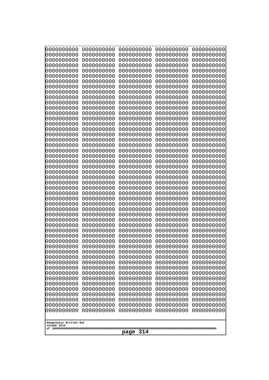| 10000000000                           | 0000000000               | 0000000000               | 0000000000               | 0000000000               |
|---------------------------------------|--------------------------|--------------------------|--------------------------|--------------------------|
| 0000000000<br>0000000000              | 0000000000<br>0000000000 | 0000000000<br>0000000000 | 0000000000<br>0000000000 | 0000000000<br>0000000000 |
| 0000000000                            | 0000000000               | 0000000000               | 0000000000               | 0000000000               |
| 0000000000                            | 0000000000               | 0000000000               | 0000000000               | 0000000000               |
| 0000000000                            | 0000000000               | 0000000000               | 0000000000               | 0000000000               |
| 0000000000<br>0000000000              | 0000000000<br>0000000000 | 0000000000<br>0000000000 | 0000000000<br>0000000000 | 0000000000<br>0000000000 |
| 0000000000                            | 0000000000               | 0000000000               | 0000000000               | 0000000000               |
| 0000000000                            | 0000000000               | 0000000000               | 0000000000               | 0000000000               |
| 0000000000                            | 0000000000               | 0000000000               | 0000000000               | 0000000000               |
| 0000000000<br>0000000000              | 0000000000<br>0000000000 | 0000000000<br>0000000000 | 0000000000<br>0000000000 | 0000000000<br>0000000000 |
| 0000000000                            | 0000000000               | 0000000000               | 0000000000               | 0000000000               |
| 0000000000                            | 0000000000               | 0000000000               | 0000000000               | 0000000000               |
| 0000000000                            | 0000000000               | 0000000000               | 0000000000               | 0000000000               |
| 0000000000<br>0000000000              | 0000000000<br>0000000000 | 0000000000<br>0000000000 | 0000000000<br>0000000000 | 0000000000<br>0000000000 |
| 0000000000                            | 0000000000               | 0000000000               | 0000000000               | 0000000000               |
| 0000000000                            | 0000000000               | 0000000000               | 0000000000               | 0000000000               |
| 0000000000                            | 0000000000               | 0000000000               | 0000000000               | 0000000000               |
| 0000000000<br>0000000000              | 0000000000<br>0000000000 | 0000000000<br>0000000000 | 0000000000<br>0000000000 | 0000000000<br>0000000000 |
| 0000000000                            | 0000000000               | 0000000000               | 0000000000               | 0000000000               |
| 0000000000                            | 0000000000               | 0000000000               | 0000000000               | 0000000000               |
| 0000000000                            | 0000000000               | 0000000000               | 0000000000               | 0000000000               |
| 0000000000<br>0000000000              | 0000000000<br>0000000000 | 0000000000<br>0000000000 | 0000000000<br>0000000000 | 0000000000<br>0000000000 |
| 0000000000                            | 0000000000               | 0000000000               | 0000000000               | 0000000000               |
| 0000000000                            | 0000000000               | 0000000000               | 0000000000               | 0000000000               |
| 0000000000                            | 0000000000               | 0000000000               | 0000000000               | 0000000000               |
| 0000000000<br>0000000000              | 0000000000<br>0000000000 | 0000000000<br>0000000000 | 0000000000<br>0000000000 | 0000000000<br>0000000000 |
| 0000000000                            | 0000000000               | 0000000000               | 0000000000               | 0000000000               |
| 0000000000                            | 0000000000               | 0000000000               | 0000000000               | 0000000000               |
| 0000000000                            | 0000000000<br>0000000000 | 0000000000<br>0000000000 | 0000000000               | 0000000000               |
| 0000000000<br>0000000000              | 0000000000               | 0000000000               | 0000000000<br>0000000000 | 0000000000<br>0000000000 |
| 0000000000                            | 0000000000               | 0000000000               | 0000000000               | 0000000000               |
| 0000000000                            | 0000000000               | 0000000000               | 0000000000               | 0000000000               |
| 0000000000<br>0000000000              | 0000000000<br>0000000000 | 0000000000<br>0000000000 | 0000000000<br>0000000000 | 0000000000<br>0000000000 |
| 0000000000                            | 0000000000               | 0000000000               | 0000000000               | 0000000000               |
| 0000000000                            | 0000000000               | 0000000000               | 0000000000               | 0000000000               |
| 0000000000                            | 0000000000               | 0000000000               | 0000000000               | 0000000000               |
| 0000000000<br>0000000000              | 0000000000<br>0000000000 | 0000000000<br>0000000000 | 0000000000<br>0000000000 | 0000000000<br>0000000000 |
| 0000000000                            | 0000000000               | 0000000000               | 0000000000               | 0000000000               |
| 0000000000                            | 0000000000               | 0000000000               | 0000000000               | 0000000000               |
| 0000000000                            | 0000000000               | 0000000000               | 0000000000               | 0000000000               |
|                                       |                          |                          |                          |                          |
| Googolplex Written Out<br>volume 1013 |                          |                          |                          |                          |
| 314<br>page                           |                          |                          |                          |                          |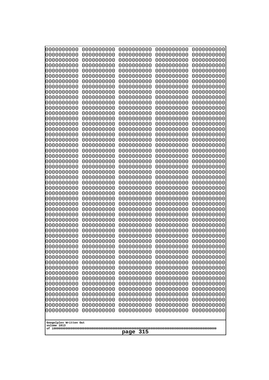| 000000000                | 0000000000               | 0000000000               | 0000000000               | 0000000000               |
|--------------------------|--------------------------|--------------------------|--------------------------|--------------------------|
| 0000000000               | 0000000000               | 0000000000               | 0000000000               | 0000000000               |
| 0000000000               | 0000000000               | 0000000000               | 0000000000               | 0000000000               |
| 0000000000               | 0000000000               | 0000000000               | 0000000000               | 0000000000               |
| 0000000000               | 0000000000               | 0000000000<br>0000000000 | 0000000000<br>0000000000 | 0000000000               |
| 0000000000<br>0000000000 | 0000000000<br>0000000000 | 0000000000               | 0000000000               | 0000000000<br>0000000000 |
| 0000000000               | 0000000000               | 0000000000               | 0000000000               | 0000000000               |
| 0000000000               | 0000000000               | 0000000000               | 0000000000               | 0000000000               |
| 0000000000               | 0000000000               | 0000000000               | 0000000000               | 0000000000               |
| 0000000000               | 0000000000               | 0000000000               | 0000000000               | 0000000000               |
| 0000000000               | 0000000000               | 0000000000               | 0000000000               | 0000000000               |
| 0000000000               | 0000000000               | 0000000000               | 0000000000               | 0000000000               |
| 0000000000<br>0000000000 | 0000000000<br>0000000000 | 0000000000               | 0000000000               | 0000000000               |
| 0000000000               | 0000000000               | 0000000000<br>0000000000 | 0000000000<br>0000000000 | 0000000000<br>0000000000 |
| 0000000000               | 0000000000               | 0000000000               | 0000000000               | 0000000000               |
| 0000000000               | 0000000000               | 0000000000               | 0000000000               | 0000000000               |
| 0000000000               | 0000000000               | 0000000000               | 0000000000               | 0000000000               |
| 0000000000               | 0000000000               | 0000000000               | 0000000000               | 0000000000               |
| 0000000000               | 0000000000               | 0000000000               | 0000000000               | 0000000000               |
| 0000000000               | 0000000000               | 0000000000               | 0000000000               | 0000000000               |
| 0000000000<br>0000000000 | 0000000000<br>0000000000 | 0000000000<br>0000000000 | 0000000000<br>0000000000 | 0000000000<br>0000000000 |
| 0000000000               | 0000000000               | 0000000000               | 0000000000               | 0000000000               |
| 0000000000               | 0000000000               | 0000000000               | 0000000000               | 0000000000               |
| 0000000000               | 0000000000               | 0000000000               | 0000000000               | 0000000000               |
| 0000000000               | 0000000000               | 0000000000               | 0000000000               | 0000000000               |
| 0000000000               | 0000000000               | 0000000000               | 0000000000               | 0000000000               |
| 0000000000               | 0000000000               | 0000000000               | 0000000000               | 0000000000               |
| 0000000000<br>0000000000 | 0000000000<br>0000000000 | 0000000000<br>0000000000 | 0000000000<br>0000000000 | 0000000000<br>0000000000 |
| 0000000000               | 0000000000               | 0000000000               | 0000000000               | 0000000000               |
| 0000000000               | 0000000000               | 0000000000               | 0000000000               | 0000000000               |
| 0000000000               | 0000000000               | 0000000000               | 0000000000               | 0000000000               |
| 0000000000               | 0000000000               | 0000000000               | 0000000000               | 0000000000               |
| 0000000000               | 0000000000               | 0000000000               | 0000000000               | 0000000000               |
| 0000000000               | 0000000000               | 0000000000               | 0000000000               | 0000000000               |
| 0000000000<br>0000000000 | 0000000000<br>0000000000 | 0000000000<br>0000000000 | 0000000000<br>0000000000 | 0000000000<br>0000000000 |
| 0000000000               | 0000000000               | 0000000000               | 0000000000               | 0000000000               |
| 0000000000               | 0000000000               | 0000000000               | 0000000000               | 0000000000               |
| 0000000000               | 0000000000               | 0000000000               | 0000000000               | 0000000000               |
| 0000000000               | 0000000000               | 0000000000               | 0000000000               | 0000000000               |
| 0000000000               | 0000000000               | 0000000000               | 0000000000               | 0000000000               |
| 0000000000               | 0000000000               | 0000000000               | 0000000000               | 0000000000               |
| 0000000000<br>0000000000 | 0000000000<br>0000000000 | 0000000000<br>0000000000 | 0000000000<br>0000000000 | 0000000000<br>0000000000 |
| 0000000000               | 0000000000               | 0000000000               | 0000000000               | 0000000000               |
| 0000000000               | 0000000000               | 0000000000               | 0000000000               | 0000000000               |
|                          |                          |                          |                          |                          |
| Googolplex Written Out   |                          |                          |                          |                          |
| volume 1013              |                          |                          |                          |                          |
| 315<br>page              |                          |                          |                          |                          |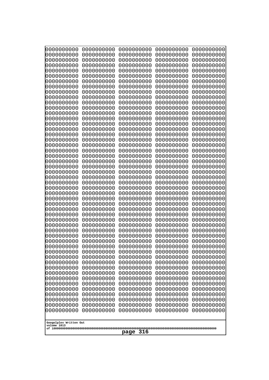| 10000000000<br>0000000000             | 0000000000<br>0000000000 | 0000000000<br>0000000000 | 0000000000<br>0000000000 | 0000000000<br>0000000000 |
|---------------------------------------|--------------------------|--------------------------|--------------------------|--------------------------|
| 0000000000                            | 0000000000               | 0000000000               | 0000000000               | 0000000000               |
| 0000000000                            | 0000000000               | 0000000000               | 0000000000               | 0000000000               |
| 0000000000<br>0000000000              | 0000000000<br>0000000000 | 0000000000<br>0000000000 | 0000000000<br>0000000000 | 0000000000<br>0000000000 |
| 0000000000                            | 0000000000               | 0000000000               | 0000000000               | 0000000000               |
| 0000000000                            | 0000000000               | 0000000000               | 0000000000               | 0000000000               |
| 0000000000<br>0000000000              | 0000000000<br>0000000000 | 0000000000<br>0000000000 | 0000000000<br>0000000000 | 0000000000<br>0000000000 |
| 0000000000                            | 0000000000               | 0000000000               | 0000000000               | 0000000000               |
| 0000000000                            | 0000000000               | 0000000000               | 0000000000               | 0000000000               |
| 0000000000<br>0000000000              | 0000000000<br>0000000000 | 0000000000               | 0000000000               | 0000000000               |
| 0000000000                            | 0000000000               | 0000000000<br>0000000000 | 0000000000<br>0000000000 | 0000000000<br>0000000000 |
| 0000000000                            | 0000000000               | 0000000000               | 0000000000               | 0000000000               |
| 0000000000                            | 0000000000               | 0000000000<br>0000000000 | 0000000000<br>0000000000 | 0000000000               |
| 0000000000<br>0000000000              | 0000000000<br>0000000000 | 0000000000               | 0000000000               | 0000000000<br>0000000000 |
| 0000000000                            | 0000000000               | 0000000000               | 0000000000               | 0000000000               |
| 0000000000                            | 0000000000               | 0000000000               | 0000000000               | 0000000000               |
| 0000000000<br>0000000000              | 0000000000<br>0000000000 | 0000000000<br>0000000000 | 0000000000<br>0000000000 | 0000000000<br>0000000000 |
| 0000000000                            | 0000000000               | 0000000000               | 0000000000               | 0000000000               |
| 0000000000                            | 0000000000               | 0000000000               | 0000000000               | 0000000000               |
| 0000000000<br>0000000000              | 0000000000<br>0000000000 | 0000000000<br>0000000000 | 0000000000<br>0000000000 | 0000000000<br>0000000000 |
| 0000000000                            | 0000000000               | 0000000000               | 0000000000               | 0000000000               |
| 0000000000                            | 0000000000               | 0000000000               | 0000000000               | 0000000000               |
| 0000000000<br>0000000000              | 0000000000<br>0000000000 | 0000000000<br>0000000000 | 0000000000<br>0000000000 | 0000000000<br>0000000000 |
| 0000000000                            | 0000000000               | 0000000000               | 0000000000               | 0000000000               |
| 0000000000                            | 0000000000               | 0000000000               | 0000000000               | 0000000000               |
| 0000000000<br>0000000000              | 0000000000<br>0000000000 | 0000000000<br>0000000000 | 0000000000<br>0000000000 | 0000000000<br>0000000000 |
| 0000000000                            | 0000000000               | 0000000000               | 0000000000               | 0000000000               |
| 0000000000                            | 0000000000               | 0000000000               | 0000000000               | 0000000000               |
| 0000000000<br>0000000000              | 0000000000<br>0000000000 | 0000000000<br>0000000000 | 0000000000<br>0000000000 | 0000000000<br>0000000000 |
| 0000000000                            | 0000000000               | 0000000000               | 0000000000               | 0000000000               |
| 0000000000                            | 0000000000               | 0000000000               | 0000000000               | 0000000000               |
| 0000000000<br>0000000000              | 0000000000<br>0000000000 | 0000000000<br>0000000000 | 0000000000<br>0000000000 | 0000000000<br>0000000000 |
| 0000000000                            | 0000000000               | 0000000000               | 0000000000               | 0000000000               |
| 0000000000                            | 0000000000               | 0000000000               | 0000000000               | 0000000000               |
| 0000000000<br>0000000000              | 0000000000<br>0000000000 | 0000000000<br>0000000000 | 0000000000<br>0000000000 | 0000000000<br>0000000000 |
| 0000000000                            | 0000000000               | 0000000000               | 0000000000               | 0000000000               |
| 0000000000                            | 0000000000               | 0000000000               | 0000000000               | 0000000000               |
| 0000000000                            | 0000000000               | 0000000000               | 0000000000               | 0000000000               |
| Googolplex Written Out<br>volume 1013 |                          |                          |                          |                          |
|                                       |                          | 316<br>page              |                          |                          |
|                                       |                          |                          |                          |                          |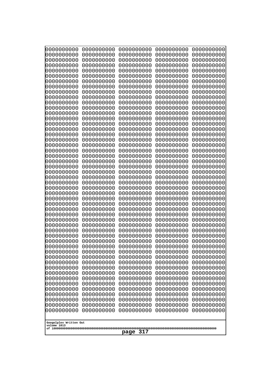| 10000000000<br>0000000000             | 0000000000<br>0000000000 | 0000000000<br>0000000000 | 0000000000<br>0000000000 | 0000000000<br>0000000000 |
|---------------------------------------|--------------------------|--------------------------|--------------------------|--------------------------|
| 0000000000                            | 0000000000               | 0000000000               | 0000000000               | 0000000000               |
| 0000000000                            | 0000000000               | 0000000000               | 0000000000               | 0000000000               |
| 0000000000<br>0000000000              | 0000000000<br>0000000000 | 0000000000<br>0000000000 | 0000000000<br>0000000000 | 0000000000<br>0000000000 |
| 0000000000                            | 0000000000               | 0000000000               | 0000000000               | 0000000000               |
| 0000000000                            | 0000000000               | 0000000000               | 0000000000               | 0000000000               |
| 0000000000<br>0000000000              | 0000000000<br>0000000000 | 0000000000<br>0000000000 | 0000000000<br>0000000000 | 0000000000<br>0000000000 |
| 0000000000                            | 0000000000               | 0000000000               | 0000000000               | 0000000000               |
| 0000000000                            | 0000000000               | 0000000000               | 0000000000               | 0000000000               |
| 0000000000                            | 0000000000               | 0000000000               | 0000000000               | 0000000000               |
| 0000000000<br>0000000000              | 0000000000<br>0000000000 | 0000000000<br>0000000000 | 0000000000<br>0000000000 | 0000000000<br>0000000000 |
| 0000000000                            | 0000000000               | 0000000000               | 0000000000               | 0000000000               |
| 0000000000                            | 0000000000               | 0000000000               | 0000000000               | 0000000000               |
| 0000000000<br>0000000000              | 0000000000<br>0000000000 | 0000000000<br>0000000000 | 0000000000<br>0000000000 | 0000000000<br>0000000000 |
| 0000000000                            | 0000000000               | 0000000000               | 0000000000               | 0000000000               |
| 0000000000                            | 0000000000               | 0000000000               | 0000000000               | 0000000000               |
| 0000000000<br>0000000000              | 0000000000<br>0000000000 | 0000000000<br>0000000000 | 0000000000<br>0000000000 | 0000000000<br>0000000000 |
| 0000000000                            | 0000000000               | 0000000000               | 0000000000               | 0000000000               |
| 0000000000                            | 0000000000               | 0000000000               | 0000000000               | 0000000000               |
| 0000000000<br>0000000000              | 0000000000<br>0000000000 | 0000000000<br>0000000000 | 0000000000<br>0000000000 | 0000000000<br>0000000000 |
| 0000000000                            | 0000000000               | 0000000000               | 0000000000               | 0000000000               |
| 0000000000                            | 0000000000               | 0000000000               | 0000000000               | 0000000000               |
| 0000000000                            | 0000000000<br>0000000000 | 0000000000<br>0000000000 | 0000000000<br>0000000000 | 0000000000               |
| 0000000000<br>0000000000              | 0000000000               | 0000000000               | 0000000000               | 0000000000<br>0000000000 |
| 0000000000                            | 0000000000               | 0000000000               | 0000000000               | 0000000000               |
| 0000000000                            | 0000000000               | 0000000000               | 0000000000               | 0000000000               |
| 0000000000<br>0000000000              | 0000000000<br>0000000000 | 0000000000<br>0000000000 | 0000000000<br>0000000000 | 0000000000<br>0000000000 |
| 0000000000                            | 0000000000               | 0000000000               | 0000000000               | 0000000000               |
| 0000000000                            | 0000000000               | 0000000000               | 0000000000               | 0000000000               |
| 0000000000<br>0000000000              | 0000000000<br>0000000000 | 0000000000<br>0000000000 | 0000000000<br>0000000000 | 0000000000<br>0000000000 |
| 0000000000                            | 0000000000               | 0000000000               | 0000000000               | 0000000000               |
| 0000000000                            | 0000000000               | 0000000000               | 0000000000               | 0000000000               |
| 0000000000<br>0000000000              | 0000000000<br>0000000000 | 0000000000<br>0000000000 | 0000000000<br>0000000000 | 0000000000<br>0000000000 |
| 0000000000                            | 0000000000               | 0000000000               | 0000000000               | 0000000000               |
| 0000000000                            | 0000000000               | 0000000000               | 0000000000               | 0000000000               |
| 0000000000<br>0000000000              | 0000000000<br>0000000000 | 0000000000<br>0000000000 | 0000000000<br>0000000000 | 0000000000<br>0000000000 |
| 0000000000                            | 0000000000               | 0000000000               | 0000000000               | 0000000000               |
| 0000000000                            | 0000000000               | 0000000000               | 0000000000               | 0000000000               |
|                                       |                          |                          |                          |                          |
| Googolplex Written Out<br>volume 1013 |                          |                          |                          |                          |
| 317<br>page                           |                          |                          |                          |                          |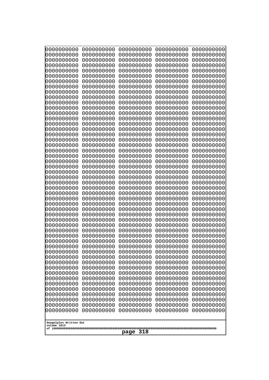| 10000000000<br>0000000000             | 0000000000<br>0000000000 | 0000000000<br>0000000000 | 0000000000<br>0000000000 | 0000000000<br>0000000000 |
|---------------------------------------|--------------------------|--------------------------|--------------------------|--------------------------|
| 0000000000                            | 0000000000               | 0000000000               | 0000000000               | 0000000000               |
| 0000000000                            | 0000000000               | 0000000000               | 0000000000               | 0000000000               |
| 0000000000                            | 0000000000               | 0000000000               | 0000000000               | 0000000000               |
| 0000000000<br>0000000000              | 0000000000<br>0000000000 | 0000000000<br>0000000000 | 0000000000<br>0000000000 | 0000000000<br>0000000000 |
| 0000000000                            | 0000000000               | 0000000000               | 0000000000               | 0000000000               |
| 0000000000                            | 0000000000               | 0000000000               | 0000000000               | 0000000000               |
| 0000000000                            | 0000000000               | 0000000000               | 0000000000               | 0000000000               |
| 0000000000<br>0000000000              | 0000000000<br>0000000000 | 0000000000<br>0000000000 | 0000000000<br>0000000000 | 0000000000<br>0000000000 |
| 0000000000                            | 0000000000               | 0000000000               | 0000000000               | 0000000000               |
| 0000000000                            | 0000000000               | 0000000000               | 0000000000               | 0000000000               |
| 0000000000                            | 0000000000               | 0000000000               | 0000000000               | 0000000000               |
| 0000000000<br>0000000000              | 0000000000<br>0000000000 | 0000000000<br>0000000000 | 0000000000<br>0000000000 | 0000000000<br>0000000000 |
| 0000000000                            | 0000000000               | 0000000000               | 0000000000               | 0000000000               |
| 0000000000                            | 0000000000               | 0000000000               | 0000000000               | 0000000000               |
| 0000000000                            | 0000000000               | 0000000000               | 0000000000               | 0000000000               |
| 0000000000<br>0000000000              | 0000000000<br>0000000000 | 0000000000<br>0000000000 | 0000000000<br>0000000000 | 0000000000<br>0000000000 |
| 0000000000                            | 0000000000               | 0000000000               | 0000000000               | 0000000000               |
| 0000000000                            | 0000000000               | 0000000000               | 0000000000               | 0000000000               |
| 0000000000                            | 0000000000               | 0000000000               | 0000000000               | 0000000000               |
| 0000000000<br>0000000000              | 0000000000<br>0000000000 | 0000000000<br>0000000000 | 0000000000<br>0000000000 | 0000000000<br>0000000000 |
| 0000000000                            | 0000000000               | 0000000000               | 0000000000               | 0000000000               |
| 0000000000                            | 0000000000               | 0000000000               | 0000000000               | 0000000000               |
| 0000000000                            | 0000000000               | 0000000000               | 0000000000               | 0000000000               |
| 0000000000<br>0000000000              | 0000000000<br>0000000000 | 0000000000<br>0000000000 | 0000000000<br>0000000000 | 0000000000<br>0000000000 |
| 0000000000                            | 0000000000               | 0000000000               | 0000000000               | 0000000000               |
| 0000000000                            | 0000000000               | 0000000000               | 0000000000               | 0000000000               |
| 0000000000                            | 0000000000               | 0000000000               | 0000000000               | 0000000000               |
| 0000000000<br>0000000000              | 0000000000<br>0000000000 | 0000000000<br>0000000000 | 0000000000<br>0000000000 | 0000000000<br>0000000000 |
| 0000000000                            | 0000000000               | 0000000000               | 0000000000               | 0000000000               |
| 0000000000                            | 0000000000               | 0000000000               | 0000000000               | 0000000000               |
| 0000000000                            | 0000000000               | 0000000000               | 0000000000               | 0000000000               |
| 0000000000<br>0000000000              | 0000000000<br>0000000000 | 0000000000<br>0000000000 | 0000000000<br>0000000000 | 0000000000<br>0000000000 |
| 0000000000                            | 0000000000               | 0000000000               | 0000000000               | 0000000000               |
| 0000000000                            | 0000000000               | 0000000000               | 0000000000               | 0000000000               |
| 0000000000                            | 0000000000               | 0000000000               | 0000000000               | 0000000000               |
| 0000000000<br>0000000000              | 0000000000<br>0000000000 | 0000000000<br>0000000000 | 0000000000<br>0000000000 | 0000000000<br>0000000000 |
| 0000000000                            | 0000000000               | 0000000000               | 0000000000               | 0000000000               |
| 0000000000                            | 0000000000               | 0000000000               | 0000000000               | 0000000000               |
| 0000000000                            | 0000000000               | 0000000000               | 0000000000               | 0000000000               |
|                                       |                          |                          |                          |                          |
| Googolplex Written Out<br>volume 1013 |                          |                          |                          |                          |
| 318<br>page                           |                          |                          |                          |                          |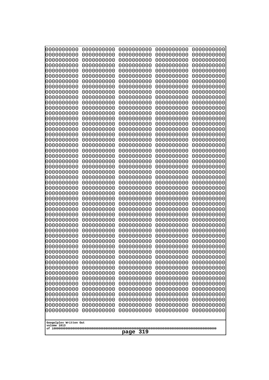| 10000000000                           | 0000000000               | 0000000000               | 0000000000               | 0000000000               |
|---------------------------------------|--------------------------|--------------------------|--------------------------|--------------------------|
| 0000000000<br>0000000000              | 0000000000<br>0000000000 | 0000000000<br>0000000000 | 0000000000<br>0000000000 | 0000000000<br>0000000000 |
| 0000000000                            | 0000000000               | 0000000000               | 0000000000               | 0000000000               |
| 0000000000                            | 0000000000               | 0000000000               | 0000000000               | 0000000000               |
| 0000000000                            | 0000000000               | 0000000000               | 0000000000               | 0000000000               |
| 0000000000<br>0000000000              | 0000000000<br>0000000000 | 0000000000<br>0000000000 | 0000000000<br>0000000000 | 0000000000<br>0000000000 |
| 0000000000                            | 0000000000               | 0000000000               | 0000000000               | 0000000000               |
| 0000000000                            | 0000000000               | 0000000000               | 0000000000               | 0000000000               |
| 0000000000                            | 0000000000               | 0000000000               | 0000000000               | 0000000000               |
| 0000000000<br>0000000000              | 0000000000<br>0000000000 | 0000000000<br>0000000000 | 0000000000<br>0000000000 | 0000000000<br>0000000000 |
| 0000000000                            | 0000000000               | 0000000000               | 0000000000               | 0000000000               |
| 0000000000                            | 0000000000               | 0000000000               | 0000000000               | 0000000000               |
| 0000000000                            | 0000000000               | 0000000000               | 0000000000               | 0000000000               |
| 0000000000<br>0000000000              | 0000000000<br>0000000000 | 0000000000<br>0000000000 | 0000000000<br>0000000000 | 0000000000<br>0000000000 |
| 0000000000                            | 0000000000               | 0000000000               | 0000000000               | 0000000000               |
| 0000000000                            | 0000000000               | 0000000000               | 0000000000               | 0000000000               |
| 0000000000                            | 0000000000               | 0000000000               | 0000000000               | 0000000000               |
| 0000000000<br>0000000000              | 0000000000<br>0000000000 | 0000000000<br>0000000000 | 0000000000<br>0000000000 | 0000000000<br>0000000000 |
| 0000000000                            | 0000000000               | 0000000000               | 0000000000               | 0000000000               |
| 0000000000                            | 0000000000               | 0000000000               | 0000000000               | 0000000000               |
| 0000000000                            | 0000000000               | 0000000000               | 0000000000               | 0000000000               |
| 0000000000<br>0000000000              | 0000000000<br>0000000000 | 0000000000<br>0000000000 | 0000000000<br>0000000000 | 0000000000<br>0000000000 |
| 0000000000                            | 0000000000               | 0000000000               | 0000000000               | 0000000000               |
| 0000000000                            | 0000000000               | 0000000000               | 0000000000               | 0000000000               |
| 0000000000                            | 0000000000               | 0000000000               | 0000000000               | 0000000000               |
| 0000000000<br>0000000000              | 0000000000<br>0000000000 | 0000000000<br>0000000000 | 0000000000<br>0000000000 | 0000000000<br>0000000000 |
| 0000000000                            | 0000000000               | 0000000000               | 0000000000               | 0000000000               |
| 0000000000                            | 0000000000               | 0000000000               | 0000000000               | 0000000000               |
| 0000000000                            | 0000000000               | 0000000000               | 0000000000               | 0000000000               |
| 0000000000<br>0000000000              | 0000000000<br>0000000000 | 0000000000<br>0000000000 | 0000000000<br>0000000000 | 0000000000<br>0000000000 |
| 0000000000                            | 0000000000               | 0000000000               | 0000000000               | 0000000000               |
| 0000000000                            | 0000000000               | 0000000000               | 0000000000               | 0000000000               |
| 0000000000<br>0000000000              | 0000000000               | 0000000000<br>0000000000 | 0000000000               | 0000000000               |
| 0000000000                            | 0000000000<br>0000000000 | 0000000000               | 0000000000<br>0000000000 | 0000000000<br>0000000000 |
| 0000000000                            | 0000000000               | 0000000000               | 0000000000               | 0000000000               |
| 0000000000                            | 0000000000               | 0000000000               | 0000000000               | 0000000000               |
| 0000000000<br>0000000000              | 0000000000<br>0000000000 | 0000000000<br>0000000000 | 0000000000<br>0000000000 | 0000000000<br>0000000000 |
| 0000000000                            | 0000000000               | 0000000000               | 0000000000               | 0000000000               |
| 0000000000                            | 0000000000               | 0000000000               | 0000000000               | 0000000000               |
| 0000000000                            | 0000000000               | 0000000000               | 0000000000               | 0000000000               |
|                                       |                          |                          |                          |                          |
| Googolplex Written Out<br>volume 1013 |                          |                          |                          |                          |
| 319<br>page                           |                          |                          |                          |                          |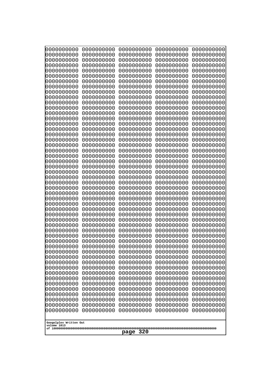| 0000000000                                                                                                                                                                                                                                                                                                                                   | 0000000000 | 0000000000 | 0000000000 | 0000000000 |
|----------------------------------------------------------------------------------------------------------------------------------------------------------------------------------------------------------------------------------------------------------------------------------------------------------------------------------------------|------------|------------|------------|------------|
| 0000000000                                                                                                                                                                                                                                                                                                                                   | 0000000000 | 0000000000 | 0000000000 | 0000000000 |
| 0000000000                                                                                                                                                                                                                                                                                                                                   | 0000000000 | 0000000000 | 0000000000 | 0000000000 |
| 0000000000                                                                                                                                                                                                                                                                                                                                   | 0000000000 | 0000000000 | 0000000000 | 0000000000 |
| 0000000000                                                                                                                                                                                                                                                                                                                                   | 0000000000 | 0000000000 | 0000000000 | 0000000000 |
| 0000000000                                                                                                                                                                                                                                                                                                                                   | 0000000000 | 0000000000 | 0000000000 | 0000000000 |
| 0000000000                                                                                                                                                                                                                                                                                                                                   | 0000000000 | 0000000000 | 0000000000 | 0000000000 |
| 0000000000                                                                                                                                                                                                                                                                                                                                   | 0000000000 | 0000000000 | 0000000000 | 0000000000 |
| 0000000000                                                                                                                                                                                                                                                                                                                                   | 0000000000 | 0000000000 | 0000000000 | 0000000000 |
| 0000000000                                                                                                                                                                                                                                                                                                                                   | 0000000000 | 0000000000 | 0000000000 | 0000000000 |
| 0000000000                                                                                                                                                                                                                                                                                                                                   | 0000000000 | 0000000000 | 0000000000 | 0000000000 |
| 0000000000                                                                                                                                                                                                                                                                                                                                   | 0000000000 | 0000000000 | 0000000000 | 0000000000 |
| 0000000000                                                                                                                                                                                                                                                                                                                                   | 0000000000 | 0000000000 | 0000000000 | 0000000000 |
| 0000000000                                                                                                                                                                                                                                                                                                                                   | 0000000000 | 0000000000 | 0000000000 | 0000000000 |
| 0000000000                                                                                                                                                                                                                                                                                                                                   | 0000000000 | 0000000000 | 0000000000 | 0000000000 |
| 0000000000                                                                                                                                                                                                                                                                                                                                   | 0000000000 | 0000000000 | 0000000000 | 0000000000 |
| 0000000000                                                                                                                                                                                                                                                                                                                                   | 0000000000 | 0000000000 | 0000000000 | 0000000000 |
| 0000000000                                                                                                                                                                                                                                                                                                                                   | 0000000000 | 0000000000 | 0000000000 | 0000000000 |
| 0000000000                                                                                                                                                                                                                                                                                                                                   | 0000000000 | 0000000000 | 0000000000 | 0000000000 |
| 0000000000                                                                                                                                                                                                                                                                                                                                   | 0000000000 | 0000000000 | 0000000000 | 0000000000 |
| 0000000000                                                                                                                                                                                                                                                                                                                                   | 0000000000 | 0000000000 | 0000000000 | 0000000000 |
| 0000000000                                                                                                                                                                                                                                                                                                                                   | 0000000000 | 0000000000 | 0000000000 | 0000000000 |
| 0000000000                                                                                                                                                                                                                                                                                                                                   | 0000000000 | 0000000000 | 0000000000 | 0000000000 |
| 0000000000                                                                                                                                                                                                                                                                                                                                   | 0000000000 | 0000000000 | 0000000000 | 0000000000 |
| 0000000000                                                                                                                                                                                                                                                                                                                                   | 0000000000 | 0000000000 | 0000000000 | 0000000000 |
| 0000000000                                                                                                                                                                                                                                                                                                                                   | 0000000000 | 0000000000 | 0000000000 | 0000000000 |
| 0000000000                                                                                                                                                                                                                                                                                                                                   | 0000000000 | 0000000000 | 0000000000 | 0000000000 |
| 0000000000                                                                                                                                                                                                                                                                                                                                   | 0000000000 | 0000000000 | 0000000000 | 0000000000 |
| 0000000000                                                                                                                                                                                                                                                                                                                                   | 0000000000 | 0000000000 | 0000000000 | 0000000000 |
| 0000000000                                                                                                                                                                                                                                                                                                                                   | 0000000000 | 0000000000 | 0000000000 | 0000000000 |
| 0000000000                                                                                                                                                                                                                                                                                                                                   | 0000000000 | 0000000000 | 0000000000 | 0000000000 |
| 0000000000                                                                                                                                                                                                                                                                                                                                   | 0000000000 | 0000000000 | 0000000000 | 0000000000 |
| 0000000000                                                                                                                                                                                                                                                                                                                                   | 0000000000 | 0000000000 | 0000000000 | 0000000000 |
| 0000000000                                                                                                                                                                                                                                                                                                                                   | 0000000000 | 0000000000 | 0000000000 | 0000000000 |
| 0000000000                                                                                                                                                                                                                                                                                                                                   | 0000000000 | 0000000000 | 0000000000 | 0000000000 |
| 0000000000                                                                                                                                                                                                                                                                                                                                   | 0000000000 | 0000000000 | 0000000000 | 0000000000 |
| 0000000000                                                                                                                                                                                                                                                                                                                                   | 0000000000 | 0000000000 | 0000000000 | 0000000000 |
| 0000000000                                                                                                                                                                                                                                                                                                                                   | 0000000000 | 0000000000 | 0000000000 | 0000000000 |
| 0000000000                                                                                                                                                                                                                                                                                                                                   | 0000000000 | 0000000000 | 0000000000 | 0000000000 |
| 0000000000                                                                                                                                                                                                                                                                                                                                   | 0000000000 | 0000000000 | 0000000000 | 0000000000 |
| 0000000000                                                                                                                                                                                                                                                                                                                                   | 0000000000 | 0000000000 | 0000000000 | 0000000000 |
| 0000000000                                                                                                                                                                                                                                                                                                                                   | 0000000000 | 0000000000 | 0000000000 | 0000000000 |
| 0000000000                                                                                                                                                                                                                                                                                                                                   | 0000000000 | 0000000000 | 0000000000 | 0000000000 |
| 0000000000                                                                                                                                                                                                                                                                                                                                   | 0000000000 | 0000000000 | 0000000000 | 0000000000 |
| 0000000000                                                                                                                                                                                                                                                                                                                                   | 0000000000 | 0000000000 | 0000000000 | 0000000000 |
| 0000000000                                                                                                                                                                                                                                                                                                                                   | 0000000000 | 0000000000 | 0000000000 | 0000000000 |
| 0000000000<br>0000000000<br>0000000000<br>0000000000<br>0000000000<br>0000000000<br>0000000000<br>0000000000<br>0000000000<br>0000000000<br>0000000000<br>0000000000<br>0000000000<br>0000000000<br>0000000000<br>0000000000<br>0000000000<br>0000000000<br>0000000000<br>0000000000<br>Googolplex Written Out<br>volume 1013<br>320<br>page |            |            |            |            |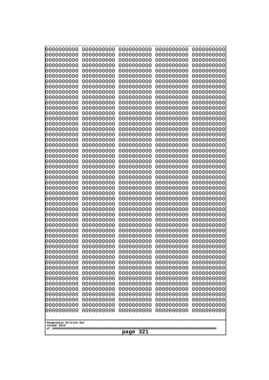| 0000000000<br>0000000000<br>0000000000<br>0000000000<br>0000000000<br>0000000000<br>0000000000<br>0000000000<br>0000000000<br>0000000000<br>0000000000<br>0000000000<br>0000000000<br>0000000000<br>0000000000<br>0000000000                                                                                                                                                                                                                               | 0000000000<br>0000000000<br>0000000000<br>0000000000<br>0000000000<br>0000000000<br>0000000000<br>0000000000<br>0000000000<br>0000000000<br>0000000000<br>0000000000<br>0000000000<br>0000000000<br>0000000000<br>0000000000                                                                                                                                                                                                     | 0000000000<br>0000000000<br>0000000000<br>0000000000<br>0000000000<br>0000000000<br>0000000000<br>0000000000<br>0000000000<br>0000000000<br>0000000000<br>0000000000<br>0000000000<br>0000000000<br>0000000000<br>0000000000                                                                                                                                                                                                     | 0000000000<br>0000000000<br>0000000000<br>0000000000<br>0000000000<br>0000000000<br>0000000000<br>0000000000<br>0000000000<br>0000000000<br>0000000000<br>0000000000<br>0000000000<br>0000000000<br>0000000000<br>0000000000                                                                                                                                                                                                     | 0000000000<br>0000000000<br>0000000000<br>0000000000<br>0000000000<br>0000000000<br>0000000000<br>0000000000<br>0000000000<br>0000000000<br>0000000000<br>0000000000<br>0000000000<br>0000000000<br>0000000000<br>0000000000                                                                                                                                                                                                     |
|------------------------------------------------------------------------------------------------------------------------------------------------------------------------------------------------------------------------------------------------------------------------------------------------------------------------------------------------------------------------------------------------------------------------------------------------------------|----------------------------------------------------------------------------------------------------------------------------------------------------------------------------------------------------------------------------------------------------------------------------------------------------------------------------------------------------------------------------------------------------------------------------------|----------------------------------------------------------------------------------------------------------------------------------------------------------------------------------------------------------------------------------------------------------------------------------------------------------------------------------------------------------------------------------------------------------------------------------|----------------------------------------------------------------------------------------------------------------------------------------------------------------------------------------------------------------------------------------------------------------------------------------------------------------------------------------------------------------------------------------------------------------------------------|----------------------------------------------------------------------------------------------------------------------------------------------------------------------------------------------------------------------------------------------------------------------------------------------------------------------------------------------------------------------------------------------------------------------------------|
| 0000000000<br>0000000000<br>0000000000<br>0000000000<br>0000000000<br>0000000000<br>0000000000<br>0000000000<br>0000000000<br>0000000000<br>0000000000<br>0000000000<br>0000000000<br>0000000000<br>0000000000<br>0000000000<br>0000000000<br>0000000000<br>0000000000<br>0000000000<br>0000000000<br>0000000000<br>0000000000<br>0000000000<br>0000000000<br>0000000000<br>0000000000<br>0000000000<br>0000000000<br>0000000000<br>Googolplex Written Out | 0000000000<br>0000000000<br>0000000000<br>0000000000<br>0000000000<br>0000000000<br>0000000000<br>0000000000<br>0000000000<br>0000000000<br>0000000000<br>0000000000<br>0000000000<br>0000000000<br>0000000000<br>0000000000<br>0000000000<br>0000000000<br>0000000000<br>0000000000<br>0000000000<br>0000000000<br>0000000000<br>0000000000<br>0000000000<br>0000000000<br>0000000000<br>0000000000<br>0000000000<br>0000000000 | 0000000000<br>0000000000<br>0000000000<br>0000000000<br>0000000000<br>0000000000<br>0000000000<br>0000000000<br>0000000000<br>0000000000<br>0000000000<br>0000000000<br>0000000000<br>0000000000<br>0000000000<br>0000000000<br>0000000000<br>0000000000<br>0000000000<br>0000000000<br>0000000000<br>0000000000<br>0000000000<br>0000000000<br>0000000000<br>0000000000<br>0000000000<br>0000000000<br>0000000000<br>0000000000 | 0000000000<br>0000000000<br>0000000000<br>0000000000<br>0000000000<br>0000000000<br>0000000000<br>0000000000<br>0000000000<br>0000000000<br>0000000000<br>0000000000<br>0000000000<br>0000000000<br>0000000000<br>0000000000<br>0000000000<br>0000000000<br>0000000000<br>0000000000<br>0000000000<br>0000000000<br>0000000000<br>0000000000<br>0000000000<br>0000000000<br>0000000000<br>0000000000<br>0000000000<br>0000000000 | 0000000000<br>0000000000<br>0000000000<br>0000000000<br>0000000000<br>0000000000<br>0000000000<br>0000000000<br>0000000000<br>0000000000<br>0000000000<br>0000000000<br>0000000000<br>0000000000<br>0000000000<br>0000000000<br>0000000000<br>0000000000<br>0000000000<br>0000000000<br>0000000000<br>0000000000<br>0000000000<br>0000000000<br>0000000000<br>0000000000<br>0000000000<br>0000000000<br>0000000000<br>0000000000 |
| volume 1013<br>321<br>page                                                                                                                                                                                                                                                                                                                                                                                                                                 |                                                                                                                                                                                                                                                                                                                                                                                                                                  |                                                                                                                                                                                                                                                                                                                                                                                                                                  |                                                                                                                                                                                                                                                                                                                                                                                                                                  |                                                                                                                                                                                                                                                                                                                                                                                                                                  |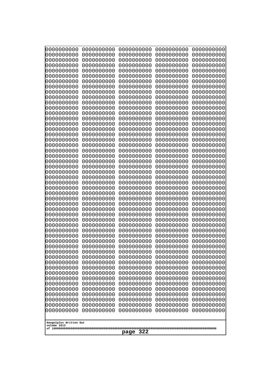| 0000000000                                                                                                  | 0000000000                                                         | 0000000000                                                                        | 0000000000                                                         | 0000000000                                                         |
|-------------------------------------------------------------------------------------------------------------|--------------------------------------------------------------------|-----------------------------------------------------------------------------------|--------------------------------------------------------------------|--------------------------------------------------------------------|
| 0000000000                                                                                                  | 0000000000                                                         | 0000000000                                                                        | 0000000000                                                         | 0000000000                                                         |
| 0000000000                                                                                                  | 0000000000                                                         | 0000000000                                                                        | 0000000000                                                         | 0000000000                                                         |
| 0000000000                                                                                                  | 0000000000                                                         | 0000000000                                                                        | 0000000000                                                         | 0000000000                                                         |
| 0000000000                                                                                                  | 0000000000                                                         | 0000000000                                                                        | 0000000000                                                         | 0000000000                                                         |
| 0000000000                                                                                                  | 0000000000                                                         | 0000000000                                                                        | 0000000000                                                         | 0000000000                                                         |
| 0000000000                                                                                                  | 0000000000                                                         | 0000000000                                                                        | 0000000000                                                         | 0000000000                                                         |
| 0000000000                                                                                                  | 0000000000                                                         | 0000000000                                                                        | 0000000000                                                         | 0000000000                                                         |
| 0000000000                                                                                                  | 0000000000                                                         | 0000000000                                                                        | 0000000000                                                         | 0000000000                                                         |
| 0000000000                                                                                                  | 0000000000                                                         | 0000000000                                                                        | 0000000000                                                         | 0000000000                                                         |
| 0000000000                                                                                                  | 0000000000                                                         | 0000000000                                                                        | 0000000000                                                         | 0000000000                                                         |
| 0000000000                                                                                                  | 0000000000                                                         | 0000000000                                                                        | 0000000000                                                         | 0000000000                                                         |
| 0000000000                                                                                                  | 0000000000                                                         | 0000000000                                                                        | 0000000000                                                         | 0000000000                                                         |
| 0000000000                                                                                                  | 0000000000                                                         | 0000000000                                                                        | 0000000000                                                         | 0000000000                                                         |
| 0000000000                                                                                                  | 0000000000                                                         | 0000000000                                                                        | 0000000000                                                         | 0000000000                                                         |
| 0000000000                                                                                                  | 0000000000                                                         | 0000000000                                                                        | 0000000000                                                         | 0000000000                                                         |
| 0000000000                                                                                                  | 0000000000                                                         | 0000000000                                                                        | 0000000000                                                         | 0000000000                                                         |
| 0000000000                                                                                                  | 0000000000                                                         | 0000000000                                                                        | 0000000000                                                         | 0000000000                                                         |
| 0000000000                                                                                                  | 0000000000                                                         | 0000000000                                                                        | 0000000000                                                         | 0000000000                                                         |
| 0000000000                                                                                                  | 0000000000                                                         | 0000000000                                                                        | 0000000000                                                         | 0000000000                                                         |
| 0000000000                                                                                                  | 0000000000                                                         | 0000000000                                                                        | 0000000000                                                         | 0000000000                                                         |
| 0000000000                                                                                                  | 0000000000                                                         | 0000000000                                                                        | 0000000000                                                         | 0000000000                                                         |
| 0000000000                                                                                                  | 0000000000                                                         | 0000000000                                                                        | 0000000000                                                         | 0000000000                                                         |
| 0000000000                                                                                                  | 0000000000                                                         | 0000000000                                                                        | 0000000000                                                         | 0000000000                                                         |
| 0000000000                                                                                                  | 0000000000                                                         | 0000000000                                                                        | 0000000000                                                         | 0000000000                                                         |
| 0000000000                                                                                                  | 0000000000                                                         | 0000000000                                                                        | 0000000000                                                         | 0000000000                                                         |
| 0000000000                                                                                                  | 0000000000                                                         | 0000000000                                                                        | 0000000000                                                         | 0000000000                                                         |
| 0000000000                                                                                                  | 0000000000                                                         | 0000000000                                                                        | 0000000000                                                         | 0000000000                                                         |
| 0000000000                                                                                                  | 0000000000                                                         | 0000000000                                                                        | 0000000000                                                         | 0000000000                                                         |
| 0000000000                                                                                                  | 0000000000                                                         | 0000000000                                                                        | 0000000000                                                         | 0000000000                                                         |
| 0000000000                                                                                                  | 0000000000                                                         | 0000000000                                                                        | 0000000000                                                         | 0000000000                                                         |
| 0000000000                                                                                                  | 0000000000                                                         | 0000000000                                                                        | 0000000000                                                         | 0000000000                                                         |
| 0000000000                                                                                                  | 0000000000                                                         | 0000000000                                                                        | 0000000000                                                         | 0000000000                                                         |
| 0000000000                                                                                                  | 0000000000                                                         | 0000000000                                                                        | 0000000000                                                         | 0000000000                                                         |
| 0000000000                                                                                                  | 0000000000                                                         | 0000000000                                                                        | 0000000000                                                         | 0000000000                                                         |
| 0000000000                                                                                                  | 0000000000                                                         | 0000000000                                                                        | 0000000000                                                         | 0000000000                                                         |
| 0000000000                                                                                                  | 0000000000                                                         | 0000000000                                                                        | 0000000000                                                         | 0000000000                                                         |
| 0000000000                                                                                                  | 0000000000                                                         | 0000000000                                                                        | 0000000000                                                         | 0000000000                                                         |
| 0000000000                                                                                                  | 0000000000                                                         | 0000000000                                                                        | 0000000000                                                         | 0000000000                                                         |
| 0000000000                                                                                                  | 0000000000                                                         | 0000000000                                                                        | 0000000000                                                         | 0000000000                                                         |
| 0000000000<br>0000000000<br>0000000000<br>0000000000<br>0000000000<br>Googolplex Written Out<br>volume 1013 | 0000000000<br>0000000000<br>0000000000<br>0000000000<br>0000000000 | 0000000000<br>0000000000<br>0000000000<br>0000000000<br>0000000000<br>322<br>page | 0000000000<br>0000000000<br>0000000000<br>0000000000<br>0000000000 | 0000000000<br>0000000000<br>0000000000<br>0000000000<br>0000000000 |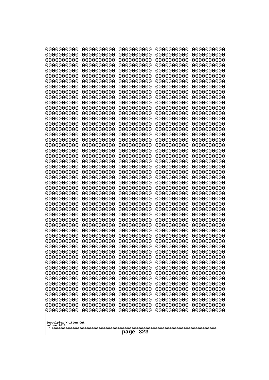| 0000000000                                                                                    | 0000000000                                           | 0000000000                                           | 0000000000                                           | 0000000000                                           |
|-----------------------------------------------------------------------------------------------|------------------------------------------------------|------------------------------------------------------|------------------------------------------------------|------------------------------------------------------|
| 0000000000                                                                                    | 0000000000                                           | 0000000000                                           | 0000000000                                           | 0000000000                                           |
| 0000000000                                                                                    | 0000000000                                           | 0000000000                                           | 0000000000                                           | 0000000000                                           |
| 0000000000                                                                                    | 0000000000                                           | 0000000000                                           | 0000000000                                           | 0000000000                                           |
| 0000000000                                                                                    | 0000000000                                           | 0000000000                                           | 0000000000                                           | 0000000000                                           |
| 0000000000                                                                                    | 0000000000                                           | 0000000000                                           | 0000000000                                           | 0000000000                                           |
| 0000000000                                                                                    | 0000000000                                           | 0000000000                                           | 0000000000                                           | 0000000000                                           |
| 0000000000                                                                                    | 0000000000                                           | 0000000000                                           | 0000000000                                           | 0000000000                                           |
| 0000000000                                                                                    | 0000000000                                           | 0000000000                                           | 0000000000                                           | 0000000000                                           |
| 0000000000                                                                                    | 0000000000                                           | 0000000000                                           | 0000000000                                           | 0000000000                                           |
| 0000000000                                                                                    | 0000000000                                           | 0000000000                                           | 0000000000                                           | 0000000000                                           |
| 0000000000                                                                                    | 0000000000                                           | 0000000000                                           | 0000000000                                           | 0000000000                                           |
| 0000000000                                                                                    | 0000000000                                           | 0000000000                                           | 0000000000                                           | 0000000000                                           |
| 0000000000                                                                                    | 0000000000                                           | 0000000000                                           | 0000000000                                           | 0000000000                                           |
| 0000000000                                                                                    | 0000000000                                           | 0000000000                                           | 0000000000                                           | 0000000000                                           |
| 0000000000                                                                                    | 0000000000                                           | 0000000000                                           | 0000000000                                           | 0000000000                                           |
| 0000000000                                                                                    | 0000000000                                           | 0000000000                                           | 0000000000                                           | 0000000000                                           |
| 0000000000                                                                                    | 0000000000                                           | 0000000000                                           | 0000000000                                           | 0000000000                                           |
| 0000000000                                                                                    | 0000000000                                           | 0000000000                                           | 0000000000                                           | 0000000000                                           |
| 0000000000                                                                                    | 0000000000                                           | 0000000000                                           | 0000000000                                           | 0000000000                                           |
| 0000000000                                                                                    | 0000000000                                           | 0000000000                                           | 0000000000                                           | 0000000000                                           |
| 0000000000                                                                                    | 0000000000                                           | 0000000000                                           | 0000000000                                           | 0000000000                                           |
| 0000000000                                                                                    | 0000000000                                           | 0000000000                                           | 0000000000                                           | 0000000000                                           |
| 0000000000                                                                                    | 0000000000                                           | 0000000000                                           | 0000000000                                           | 0000000000                                           |
| 0000000000                                                                                    | 0000000000                                           | 0000000000                                           | 0000000000                                           | 0000000000                                           |
| 0000000000                                                                                    | 0000000000                                           | 0000000000                                           | 0000000000                                           | 0000000000                                           |
| 0000000000                                                                                    | 0000000000                                           | 0000000000                                           | 0000000000                                           | 0000000000                                           |
| 0000000000                                                                                    | 0000000000                                           | 0000000000                                           | 0000000000                                           | 0000000000                                           |
| 0000000000                                                                                    | 0000000000                                           | 0000000000                                           | 0000000000                                           | 0000000000                                           |
| 0000000000                                                                                    | 0000000000                                           | 0000000000                                           | 0000000000                                           | 0000000000                                           |
| 0000000000                                                                                    | 0000000000                                           | 0000000000                                           | 0000000000                                           | 0000000000                                           |
| 0000000000                                                                                    | 0000000000                                           | 0000000000                                           | 0000000000                                           | 0000000000                                           |
| 0000000000                                                                                    | 0000000000                                           | 0000000000                                           | 0000000000                                           | 0000000000                                           |
| 0000000000                                                                                    | 0000000000                                           | 0000000000                                           | 0000000000                                           | 0000000000                                           |
| 0000000000                                                                                    | 0000000000                                           | 0000000000                                           | 0000000000                                           | 0000000000                                           |
| 0000000000                                                                                    | 0000000000                                           | 0000000000                                           | 0000000000                                           | 0000000000                                           |
| 0000000000                                                                                    | 0000000000                                           | 0000000000                                           | 0000000000                                           | 0000000000                                           |
| 0000000000                                                                                    | 0000000000                                           | 0000000000                                           | 0000000000                                           | 0000000000                                           |
| 0000000000                                                                                    | 0000000000                                           | 0000000000                                           | 0000000000                                           | 0000000000                                           |
| 0000000000                                                                                    | 0000000000                                           | 0000000000                                           | 0000000000                                           | 0000000000                                           |
| 0000000000                                                                                    | 0000000000                                           | 0000000000                                           | 0000000000                                           | 0000000000                                           |
| 0000000000                                                                                    | 0000000000                                           | 0000000000                                           | 0000000000                                           | 0000000000                                           |
| 0000000000                                                                                    | 0000000000                                           | 0000000000                                           | 0000000000                                           | 0000000000                                           |
| 0000000000                                                                                    | 0000000000                                           | 0000000000                                           | 0000000000                                           | 0000000000                                           |
| 0000000000                                                                                    | 0000000000                                           | 0000000000                                           | 0000000000                                           | 0000000000                                           |
| 0000000000                                                                                    | 0000000000                                           | 0000000000                                           | 0000000000                                           | 0000000000                                           |
| 0000000000<br>0000000000<br>0000000000<br>0000000000<br>Googolplex Written Out<br>volume 1013 | 0000000000<br>0000000000<br>0000000000<br>0000000000 | 0000000000<br>0000000000<br>0000000000<br>0000000000 | 0000000000<br>0000000000<br>0000000000<br>0000000000 | 0000000000<br>0000000000<br>0000000000<br>0000000000 |
| 323<br>page                                                                                   |                                                      |                                                      |                                                      |                                                      |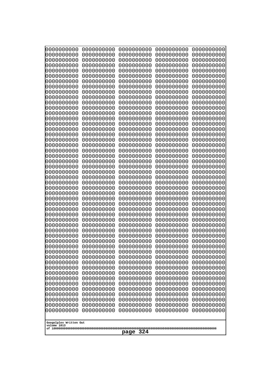| 0000000000<br>0000000000<br>0000000000<br>0000000000<br>0000000000<br>0000000000<br>0000000000<br>0000000000<br>0000000000<br>0000000000<br>0000000000<br>0000000000<br>0000000000<br>0000000000<br>0000000000<br>0000000000<br>0000000000<br>0000000000<br>0000000000<br>0000000000<br>0000000000<br>0000000000<br>0000000000                                                                                   | 0000000000<br>0000000000<br>0000000000<br>0000000000<br>0000000000<br>0000000000<br>0000000000<br>0000000000<br>0000000000<br>0000000000<br>0000000000<br>0000000000<br>0000000000<br>0000000000<br>0000000000<br>0000000000<br>0000000000<br>0000000000<br>0000000000<br>0000000000<br>0000000000<br>0000000000                                                                                     | 0000000000<br>0000000000<br>0000000000<br>0000000000<br>0000000000<br>0000000000<br>0000000000<br>0000000000<br>0000000000<br>0000000000<br>0000000000<br>0000000000<br>0000000000<br>0000000000<br>0000000000<br>0000000000<br>0000000000<br>0000000000<br>0000000000<br>0000000000<br>0000000000<br>0000000000                                                                                     | 0000000000<br>0000000000<br>0000000000<br>0000000000<br>0000000000<br>0000000000<br>0000000000<br>0000000000<br>0000000000<br>0000000000<br>0000000000<br>0000000000<br>0000000000<br>0000000000<br>0000000000<br>0000000000<br>0000000000<br>0000000000<br>0000000000<br>0000000000<br>0000000000<br>0000000000                                                                                     | 0000000000<br>0000000000<br>0000000000<br>0000000000<br>0000000000<br>0000000000<br>0000000000<br>0000000000<br>0000000000<br>0000000000<br>0000000000<br>0000000000<br>0000000000<br>0000000000<br>0000000000<br>0000000000<br>0000000000<br>0000000000<br>0000000000<br>0000000000<br>0000000000<br>0000000000                                                                                     |
|------------------------------------------------------------------------------------------------------------------------------------------------------------------------------------------------------------------------------------------------------------------------------------------------------------------------------------------------------------------------------------------------------------------|------------------------------------------------------------------------------------------------------------------------------------------------------------------------------------------------------------------------------------------------------------------------------------------------------------------------------------------------------------------------------------------------------|------------------------------------------------------------------------------------------------------------------------------------------------------------------------------------------------------------------------------------------------------------------------------------------------------------------------------------------------------------------------------------------------------|------------------------------------------------------------------------------------------------------------------------------------------------------------------------------------------------------------------------------------------------------------------------------------------------------------------------------------------------------------------------------------------------------|------------------------------------------------------------------------------------------------------------------------------------------------------------------------------------------------------------------------------------------------------------------------------------------------------------------------------------------------------------------------------------------------------|
| 0000000000<br>0000000000<br>0000000000<br>0000000000<br>0000000000<br>0000000000<br>0000000000<br>0000000000<br>0000000000<br>0000000000<br>0000000000<br>0000000000<br>0000000000<br>0000000000<br>0000000000<br>0000000000<br>0000000000<br>0000000000<br>0000000000<br>0000000000<br>0000000000<br>0000000000<br>0000000000<br>0000000000<br>0000000000<br>0000000000<br>0000000000<br>Googolplex Written Out | 0000000000<br>0000000000<br>0000000000<br>0000000000<br>0000000000<br>0000000000<br>0000000000<br>0000000000<br>0000000000<br>0000000000<br>0000000000<br>0000000000<br>0000000000<br>0000000000<br>0000000000<br>0000000000<br>0000000000<br>0000000000<br>0000000000<br>0000000000<br>0000000000<br>0000000000<br>0000000000<br>0000000000<br>0000000000<br>0000000000<br>0000000000<br>0000000000 | 0000000000<br>0000000000<br>0000000000<br>0000000000<br>0000000000<br>0000000000<br>0000000000<br>0000000000<br>0000000000<br>0000000000<br>0000000000<br>0000000000<br>0000000000<br>0000000000<br>0000000000<br>0000000000<br>0000000000<br>0000000000<br>0000000000<br>0000000000<br>0000000000<br>0000000000<br>0000000000<br>0000000000<br>0000000000<br>0000000000<br>0000000000<br>0000000000 | 0000000000<br>0000000000<br>0000000000<br>0000000000<br>0000000000<br>0000000000<br>0000000000<br>0000000000<br>0000000000<br>0000000000<br>0000000000<br>0000000000<br>0000000000<br>0000000000<br>0000000000<br>0000000000<br>0000000000<br>0000000000<br>0000000000<br>0000000000<br>0000000000<br>0000000000<br>0000000000<br>0000000000<br>0000000000<br>0000000000<br>0000000000<br>0000000000 | 0000000000<br>0000000000<br>0000000000<br>0000000000<br>0000000000<br>0000000000<br>0000000000<br>0000000000<br>0000000000<br>0000000000<br>0000000000<br>0000000000<br>0000000000<br>0000000000<br>0000000000<br>0000000000<br>0000000000<br>0000000000<br>0000000000<br>0000000000<br>0000000000<br>0000000000<br>0000000000<br>0000000000<br>0000000000<br>0000000000<br>0000000000<br>0000000000 |
| volume 1013<br>324<br>page                                                                                                                                                                                                                                                                                                                                                                                       |                                                                                                                                                                                                                                                                                                                                                                                                      |                                                                                                                                                                                                                                                                                                                                                                                                      |                                                                                                                                                                                                                                                                                                                                                                                                      |                                                                                                                                                                                                                                                                                                                                                                                                      |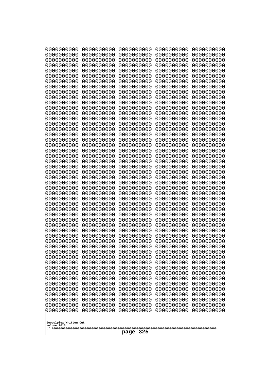| 0000000000                                                                                                                                                                                                                                                                                                                                   | 0000000000 | 0000000000 | 0000000000 | 0000000000 |
|----------------------------------------------------------------------------------------------------------------------------------------------------------------------------------------------------------------------------------------------------------------------------------------------------------------------------------------------|------------|------------|------------|------------|
| 0000000000                                                                                                                                                                                                                                                                                                                                   | 0000000000 | 0000000000 | 0000000000 | 0000000000 |
| 0000000000                                                                                                                                                                                                                                                                                                                                   | 0000000000 | 0000000000 | 0000000000 | 0000000000 |
| 0000000000                                                                                                                                                                                                                                                                                                                                   | 0000000000 | 0000000000 | 0000000000 | 0000000000 |
| 0000000000                                                                                                                                                                                                                                                                                                                                   | 0000000000 | 0000000000 | 0000000000 | 0000000000 |
| 0000000000                                                                                                                                                                                                                                                                                                                                   | 0000000000 | 0000000000 | 0000000000 | 0000000000 |
| 0000000000                                                                                                                                                                                                                                                                                                                                   | 0000000000 | 0000000000 | 0000000000 | 0000000000 |
| 0000000000                                                                                                                                                                                                                                                                                                                                   | 0000000000 | 0000000000 | 0000000000 | 0000000000 |
| 0000000000                                                                                                                                                                                                                                                                                                                                   | 0000000000 | 0000000000 | 0000000000 | 0000000000 |
| 0000000000                                                                                                                                                                                                                                                                                                                                   | 0000000000 | 0000000000 | 0000000000 | 0000000000 |
| 0000000000                                                                                                                                                                                                                                                                                                                                   | 0000000000 | 0000000000 | 0000000000 | 0000000000 |
| 0000000000                                                                                                                                                                                                                                                                                                                                   | 0000000000 | 0000000000 | 0000000000 | 0000000000 |
| 0000000000                                                                                                                                                                                                                                                                                                                                   | 0000000000 | 0000000000 | 0000000000 | 0000000000 |
| 0000000000                                                                                                                                                                                                                                                                                                                                   | 0000000000 | 0000000000 | 0000000000 | 0000000000 |
| 0000000000                                                                                                                                                                                                                                                                                                                                   | 0000000000 | 0000000000 | 0000000000 | 0000000000 |
| 0000000000                                                                                                                                                                                                                                                                                                                                   | 0000000000 | 0000000000 | 0000000000 | 0000000000 |
| 0000000000                                                                                                                                                                                                                                                                                                                                   | 0000000000 | 0000000000 | 0000000000 | 0000000000 |
| 0000000000                                                                                                                                                                                                                                                                                                                                   | 0000000000 | 0000000000 | 0000000000 | 0000000000 |
| 0000000000                                                                                                                                                                                                                                                                                                                                   | 0000000000 | 0000000000 | 0000000000 | 0000000000 |
| 0000000000                                                                                                                                                                                                                                                                                                                                   | 0000000000 | 0000000000 | 0000000000 | 0000000000 |
| 0000000000                                                                                                                                                                                                                                                                                                                                   | 0000000000 | 0000000000 | 0000000000 | 0000000000 |
| 0000000000                                                                                                                                                                                                                                                                                                                                   | 0000000000 | 0000000000 | 0000000000 | 0000000000 |
| 0000000000                                                                                                                                                                                                                                                                                                                                   | 0000000000 | 0000000000 | 0000000000 | 0000000000 |
| 0000000000                                                                                                                                                                                                                                                                                                                                   | 0000000000 | 0000000000 | 0000000000 | 0000000000 |
| 0000000000                                                                                                                                                                                                                                                                                                                                   | 0000000000 | 0000000000 | 0000000000 | 0000000000 |
| 0000000000                                                                                                                                                                                                                                                                                                                                   | 0000000000 | 0000000000 | 0000000000 | 0000000000 |
| 0000000000                                                                                                                                                                                                                                                                                                                                   | 0000000000 | 0000000000 | 0000000000 | 0000000000 |
| 0000000000                                                                                                                                                                                                                                                                                                                                   | 0000000000 | 0000000000 | 0000000000 | 0000000000 |
| 0000000000                                                                                                                                                                                                                                                                                                                                   | 0000000000 | 0000000000 | 0000000000 | 0000000000 |
| 0000000000                                                                                                                                                                                                                                                                                                                                   | 0000000000 | 0000000000 | 0000000000 | 0000000000 |
| 0000000000                                                                                                                                                                                                                                                                                                                                   | 0000000000 | 0000000000 | 0000000000 | 0000000000 |
| 0000000000                                                                                                                                                                                                                                                                                                                                   | 0000000000 | 0000000000 | 0000000000 | 0000000000 |
| 0000000000                                                                                                                                                                                                                                                                                                                                   | 0000000000 | 0000000000 | 0000000000 | 0000000000 |
| 0000000000                                                                                                                                                                                                                                                                                                                                   | 0000000000 | 0000000000 | 0000000000 | 0000000000 |
| 0000000000                                                                                                                                                                                                                                                                                                                                   | 0000000000 | 0000000000 | 0000000000 | 0000000000 |
| 0000000000                                                                                                                                                                                                                                                                                                                                   | 0000000000 | 0000000000 | 0000000000 | 0000000000 |
| 0000000000                                                                                                                                                                                                                                                                                                                                   | 0000000000 | 0000000000 | 0000000000 | 0000000000 |
| 0000000000                                                                                                                                                                                                                                                                                                                                   | 0000000000 | 0000000000 | 0000000000 | 0000000000 |
| 0000000000                                                                                                                                                                                                                                                                                                                                   | 0000000000 | 0000000000 | 0000000000 | 0000000000 |
| 0000000000                                                                                                                                                                                                                                                                                                                                   | 0000000000 | 0000000000 | 0000000000 | 0000000000 |
| 0000000000                                                                                                                                                                                                                                                                                                                                   | 0000000000 | 0000000000 | 0000000000 | 0000000000 |
| 0000000000                                                                                                                                                                                                                                                                                                                                   | 0000000000 | 0000000000 | 0000000000 | 0000000000 |
| 0000000000                                                                                                                                                                                                                                                                                                                                   | 0000000000 | 0000000000 | 0000000000 | 0000000000 |
| 0000000000                                                                                                                                                                                                                                                                                                                                   | 0000000000 | 0000000000 | 0000000000 | 0000000000 |
| 0000000000                                                                                                                                                                                                                                                                                                                                   | 0000000000 | 0000000000 | 0000000000 | 0000000000 |
| 0000000000                                                                                                                                                                                                                                                                                                                                   | 0000000000 | 0000000000 | 0000000000 | 0000000000 |
| 0000000000<br>0000000000<br>0000000000<br>0000000000<br>0000000000<br>0000000000<br>0000000000<br>0000000000<br>0000000000<br>0000000000<br>0000000000<br>0000000000<br>0000000000<br>0000000000<br>0000000000<br>0000000000<br>0000000000<br>0000000000<br>0000000000<br>0000000000<br>Googolplex Written Out<br>volume 1013<br>325<br>page |            |            |            |            |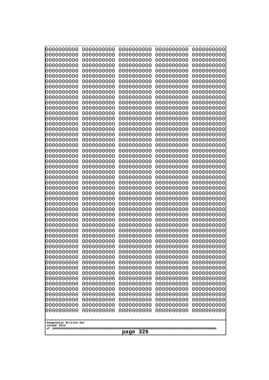| Googolplex Written Out<br>volume 1013 | 0000000000<br>0000000000<br>0000000000<br>0000000000<br>0000000000<br>0000000000<br>0000000000<br>0000000000<br>0000000000<br>0000000000<br>0000000000<br>0000000000<br>0000000000<br>0000000000<br>0000000000<br>0000000000<br>0000000000<br>0000000000<br>0000000000<br>0000000000<br>0000000000<br>0000000000<br>0000000000<br>0000000000<br>0000000000<br>0000000000<br>0000000000<br>0000000000<br>0000000000<br>0000000000<br>0000000000<br>0000000000<br>0000000000<br>0000000000<br>0000000000<br>0000000000<br>0000000000<br>10000000000<br>0000000000<br>0000000000<br>0000000000<br>0000000000<br>0000000000<br>0000000000<br>0000000000<br>0000000000<br>0000000000<br>0000000000<br>0000000000<br>0000000000 | 0000000000<br>0000000000<br>0000000000<br>0000000000<br>0000000000<br>0000000000<br>0000000000<br>0000000000<br>0000000000<br>0000000000<br>0000000000<br>0000000000<br>0000000000<br>0000000000<br>0000000000<br>0000000000<br>0000000000<br>0000000000<br>0000000000<br>0000000000<br>0000000000<br>0000000000<br>0000000000<br>0000000000<br>0000000000<br>0000000000<br>0000000000<br>0000000000<br>0000000000<br>0000000000<br>0000000000<br>0000000000<br>0000000000<br>0000000000<br>0000000000<br>0000000000<br>0000000000<br>0000000000<br>0000000000<br>0000000000<br>0000000000<br>0000000000<br>0000000000<br>0000000000<br>0000000000<br>0000000000<br>0000000000<br>0000000000<br>0000000000<br>0000000000 | 0000000000<br>0000000000<br>0000000000<br>0000000000<br>0000000000<br>0000000000<br>0000000000<br>0000000000<br>0000000000<br>0000000000<br>0000000000<br>0000000000<br>0000000000<br>0000000000<br>0000000000<br>0000000000<br>0000000000<br>0000000000<br>0000000000<br>0000000000<br>0000000000<br>0000000000<br>0000000000<br>0000000000<br>0000000000<br>0000000000<br>0000000000<br>0000000000<br>0000000000<br>0000000000<br>0000000000<br>0000000000<br>0000000000<br>0000000000<br>0000000000<br>0000000000<br>0000000000<br>0000000000<br>0000000000<br>0000000000<br>0000000000<br>0000000000<br>0000000000<br>0000000000<br>0000000000<br>0000000000<br>0000000000<br>0000000000<br>0000000000<br>0000000000 | 0000000000<br>0000000000<br>0000000000<br>0000000000<br>0000000000<br>0000000000<br>0000000000<br>0000000000<br>0000000000<br>0000000000<br>0000000000<br>0000000000<br>0000000000<br>0000000000<br>0000000000<br>0000000000<br>0000000000<br>0000000000<br>0000000000<br>0000000000<br>0000000000<br>0000000000<br>0000000000<br>0000000000<br>0000000000<br>0000000000<br>0000000000<br>0000000000<br>0000000000<br>0000000000<br>0000000000<br>0000000000<br>0000000000<br>0000000000<br>0000000000<br>0000000000<br>0000000000<br>0000000000<br>0000000000<br>0000000000<br>0000000000<br>0000000000<br>0000000000<br>0000000000<br>0000000000<br>0000000000<br>0000000000<br>0000000000<br>0000000000<br>0000000000 | 0000000000<br>0000000000<br>0000000000<br>0000000000<br>0000000000<br>0000000000<br>0000000000<br>0000000000<br>0000000000<br>0000000000<br>0000000000<br>0000000000<br>0000000000<br>0000000000<br>0000000000<br>0000000000<br>0000000000<br>0000000000<br>0000000000<br>0000000000<br>0000000000<br>0000000000<br>0000000000<br>0000000000<br>0000000000<br>0000000000<br>0000000000<br>0000000000<br>0000000000<br>0000000000<br>0000000000<br>0000000000<br>0000000000<br>0000000000<br>0000000000<br>0000000000<br>0000000000<br>0000000000<br>0000000000<br>0000000000<br>0000000000<br>0000000000<br>0000000000<br>0000000000<br>0000000000<br>0000000000<br>0000000000<br>0000000000<br>0000000000<br>0000000000 |
|---------------------------------------|---------------------------------------------------------------------------------------------------------------------------------------------------------------------------------------------------------------------------------------------------------------------------------------------------------------------------------------------------------------------------------------------------------------------------------------------------------------------------------------------------------------------------------------------------------------------------------------------------------------------------------------------------------------------------------------------------------------------------|--------------------------------------------------------------------------------------------------------------------------------------------------------------------------------------------------------------------------------------------------------------------------------------------------------------------------------------------------------------------------------------------------------------------------------------------------------------------------------------------------------------------------------------------------------------------------------------------------------------------------------------------------------------------------------------------------------------------------|--------------------------------------------------------------------------------------------------------------------------------------------------------------------------------------------------------------------------------------------------------------------------------------------------------------------------------------------------------------------------------------------------------------------------------------------------------------------------------------------------------------------------------------------------------------------------------------------------------------------------------------------------------------------------------------------------------------------------|--------------------------------------------------------------------------------------------------------------------------------------------------------------------------------------------------------------------------------------------------------------------------------------------------------------------------------------------------------------------------------------------------------------------------------------------------------------------------------------------------------------------------------------------------------------------------------------------------------------------------------------------------------------------------------------------------------------------------|--------------------------------------------------------------------------------------------------------------------------------------------------------------------------------------------------------------------------------------------------------------------------------------------------------------------------------------------------------------------------------------------------------------------------------------------------------------------------------------------------------------------------------------------------------------------------------------------------------------------------------------------------------------------------------------------------------------------------|
| 326<br>page                           |                                                                                                                                                                                                                                                                                                                                                                                                                                                                                                                                                                                                                                                                                                                           |                                                                                                                                                                                                                                                                                                                                                                                                                                                                                                                                                                                                                                                                                                                          |                                                                                                                                                                                                                                                                                                                                                                                                                                                                                                                                                                                                                                                                                                                          |                                                                                                                                                                                                                                                                                                                                                                                                                                                                                                                                                                                                                                                                                                                          |                                                                                                                                                                                                                                                                                                                                                                                                                                                                                                                                                                                                                                                                                                                          |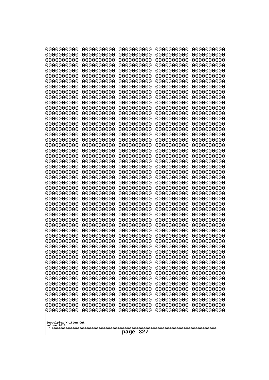| 0000000000<br>0000000000<br>0000000000<br>0000000000<br>0000000000<br>0000000000<br>0000000000<br>0000000000<br>0000000000<br>0000000000<br>0000000000<br>0000000000<br>0000000000<br>0000000000<br>0000000000<br>0000000000<br>0000000000<br>0000000000<br>0000000000<br>0000000000<br>0000000000<br>0000000000<br>0000000000<br>0000000000<br>0000000000<br>0000000000<br>0000000000<br>0000000000<br>0000000000<br>0000000000<br>0000000000<br>0000000000<br>0000000000<br>0000000000<br>0000000000<br>0000000000<br>0000000000<br>10000000000<br>0000000000<br>0000000000<br>0000000000<br>0000000000<br>0000000000<br>0000000000<br>0000000000<br>0000000000<br>0000000000<br>0000000000<br>0000000000<br>0000000000 | 0000000000<br>0000000000<br>0000000000<br>0000000000<br>0000000000<br>0000000000<br>0000000000<br>0000000000<br>0000000000<br>0000000000<br>0000000000<br>0000000000<br>0000000000<br>0000000000<br>0000000000<br>0000000000<br>0000000000<br>0000000000<br>0000000000<br>0000000000<br>0000000000<br>0000000000<br>0000000000<br>0000000000<br>0000000000<br>0000000000<br>0000000000<br>0000000000<br>0000000000<br>0000000000<br>0000000000<br>0000000000<br>0000000000<br>0000000000<br>0000000000<br>0000000000<br>0000000000<br>0000000000<br>0000000000<br>0000000000<br>0000000000<br>0000000000<br>0000000000<br>0000000000<br>0000000000<br>0000000000<br>0000000000<br>0000000000<br>0000000000<br>0000000000 | 0000000000<br>0000000000<br>0000000000<br>0000000000<br>0000000000<br>0000000000<br>0000000000<br>0000000000<br>0000000000<br>0000000000<br>0000000000<br>0000000000<br>0000000000<br>0000000000<br>0000000000<br>0000000000<br>0000000000<br>0000000000<br>0000000000<br>0000000000<br>0000000000<br>0000000000<br>0000000000<br>0000000000<br>0000000000<br>0000000000<br>0000000000<br>0000000000<br>0000000000<br>0000000000<br>0000000000<br>0000000000<br>0000000000<br>0000000000<br>0000000000<br>0000000000<br>0000000000<br>0000000000<br>0000000000<br>0000000000<br>0000000000<br>0000000000<br>0000000000<br>0000000000<br>0000000000<br>0000000000<br>0000000000<br>0000000000<br>0000000000<br>0000000000 | 0000000000<br>0000000000<br>0000000000<br>0000000000<br>0000000000<br>0000000000<br>0000000000<br>0000000000<br>0000000000<br>0000000000<br>0000000000<br>0000000000<br>0000000000<br>0000000000<br>0000000000<br>0000000000<br>0000000000<br>0000000000<br>0000000000<br>0000000000<br>0000000000<br>0000000000<br>0000000000<br>0000000000<br>0000000000<br>0000000000<br>0000000000<br>0000000000<br>0000000000<br>0000000000<br>0000000000<br>0000000000<br>0000000000<br>0000000000<br>0000000000<br>0000000000<br>0000000000<br>0000000000<br>0000000000<br>0000000000<br>0000000000<br>0000000000<br>0000000000<br>0000000000<br>0000000000<br>0000000000<br>0000000000<br>0000000000<br>0000000000<br>0000000000 | 0000000000<br>0000000000<br>0000000000<br>0000000000<br>0000000000<br>0000000000<br>0000000000<br>0000000000<br>0000000000<br>0000000000<br>0000000000<br>0000000000<br>0000000000<br>0000000000<br>0000000000<br>0000000000<br>0000000000<br>0000000000<br>0000000000<br>0000000000<br>0000000000<br>0000000000<br>0000000000<br>0000000000<br>0000000000<br>0000000000<br>0000000000<br>0000000000<br>0000000000<br>0000000000<br>0000000000<br>0000000000<br>0000000000<br>0000000000<br>0000000000<br>0000000000<br>0000000000<br>0000000000<br>0000000000<br>0000000000<br>0000000000<br>0000000000<br>0000000000<br>0000000000<br>0000000000<br>0000000000<br>0000000000<br>0000000000<br>0000000000<br>0000000000 |
|---------------------------------------------------------------------------------------------------------------------------------------------------------------------------------------------------------------------------------------------------------------------------------------------------------------------------------------------------------------------------------------------------------------------------------------------------------------------------------------------------------------------------------------------------------------------------------------------------------------------------------------------------------------------------------------------------------------------------|--------------------------------------------------------------------------------------------------------------------------------------------------------------------------------------------------------------------------------------------------------------------------------------------------------------------------------------------------------------------------------------------------------------------------------------------------------------------------------------------------------------------------------------------------------------------------------------------------------------------------------------------------------------------------------------------------------------------------|--------------------------------------------------------------------------------------------------------------------------------------------------------------------------------------------------------------------------------------------------------------------------------------------------------------------------------------------------------------------------------------------------------------------------------------------------------------------------------------------------------------------------------------------------------------------------------------------------------------------------------------------------------------------------------------------------------------------------|--------------------------------------------------------------------------------------------------------------------------------------------------------------------------------------------------------------------------------------------------------------------------------------------------------------------------------------------------------------------------------------------------------------------------------------------------------------------------------------------------------------------------------------------------------------------------------------------------------------------------------------------------------------------------------------------------------------------------|--------------------------------------------------------------------------------------------------------------------------------------------------------------------------------------------------------------------------------------------------------------------------------------------------------------------------------------------------------------------------------------------------------------------------------------------------------------------------------------------------------------------------------------------------------------------------------------------------------------------------------------------------------------------------------------------------------------------------|
| Googolplex Written Out<br>volume 1013                                                                                                                                                                                                                                                                                                                                                                                                                                                                                                                                                                                                                                                                                     |                                                                                                                                                                                                                                                                                                                                                                                                                                                                                                                                                                                                                                                                                                                          |                                                                                                                                                                                                                                                                                                                                                                                                                                                                                                                                                                                                                                                                                                                          |                                                                                                                                                                                                                                                                                                                                                                                                                                                                                                                                                                                                                                                                                                                          |                                                                                                                                                                                                                                                                                                                                                                                                                                                                                                                                                                                                                                                                                                                          |
| 327<br>page                                                                                                                                                                                                                                                                                                                                                                                                                                                                                                                                                                                                                                                                                                               |                                                                                                                                                                                                                                                                                                                                                                                                                                                                                                                                                                                                                                                                                                                          |                                                                                                                                                                                                                                                                                                                                                                                                                                                                                                                                                                                                                                                                                                                          |                                                                                                                                                                                                                                                                                                                                                                                                                                                                                                                                                                                                                                                                                                                          |                                                                                                                                                                                                                                                                                                                                                                                                                                                                                                                                                                                                                                                                                                                          |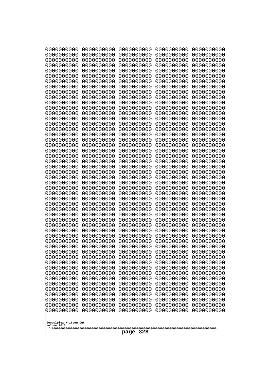| 0000000000<br>0000000000<br>0000000000<br>0000000000<br>0000000000<br>0000000000<br>0000000000<br>0000000000<br>0000000000<br>0000000000<br>0000000000<br>0000000000<br>0000000000<br>0000000000<br>0000000000<br>0000000000<br>0000000000<br>0000000000<br>0000000000<br>0000000000<br>0000000000<br>0000000000<br>0000000000                                                                                                  | 0000000000<br>0000000000<br>0000000000<br>0000000000<br>0000000000<br>0000000000<br>0000000000<br>0000000000<br>0000000000<br>0000000000<br>0000000000<br>0000000000<br>0000000000<br>0000000000<br>0000000000<br>0000000000<br>0000000000<br>0000000000<br>0000000000<br>0000000000<br>0000000000<br>0000000000<br>0000000000                                                         | 0000000000<br>0000000000<br>0000000000<br>0000000000<br>0000000000<br>0000000000<br>0000000000<br>0000000000<br>0000000000<br>0000000000<br>0000000000<br>0000000000<br>0000000000<br>0000000000<br>0000000000<br>0000000000<br>0000000000<br>0000000000<br>0000000000<br>0000000000<br>0000000000<br>0000000000<br>0000000000                                                         | 0000000000<br>0000000000<br>0000000000<br>0000000000<br>0000000000<br>0000000000<br>0000000000<br>0000000000<br>0000000000<br>0000000000<br>0000000000<br>0000000000<br>0000000000<br>0000000000<br>0000000000<br>0000000000<br>0000000000<br>0000000000<br>0000000000<br>0000000000<br>0000000000<br>0000000000<br>0000000000                                                         | 0000000000<br>0000000000<br>0000000000<br>0000000000<br>0000000000<br>0000000000<br>0000000000<br>0000000000<br>0000000000<br>0000000000<br>0000000000<br>0000000000<br>0000000000<br>0000000000<br>0000000000<br>0000000000<br>0000000000<br>0000000000<br>0000000000<br>0000000000<br>0000000000<br>0000000000<br>0000000000                                                         |
|---------------------------------------------------------------------------------------------------------------------------------------------------------------------------------------------------------------------------------------------------------------------------------------------------------------------------------------------------------------------------------------------------------------------------------|----------------------------------------------------------------------------------------------------------------------------------------------------------------------------------------------------------------------------------------------------------------------------------------------------------------------------------------------------------------------------------------|----------------------------------------------------------------------------------------------------------------------------------------------------------------------------------------------------------------------------------------------------------------------------------------------------------------------------------------------------------------------------------------|----------------------------------------------------------------------------------------------------------------------------------------------------------------------------------------------------------------------------------------------------------------------------------------------------------------------------------------------------------------------------------------|----------------------------------------------------------------------------------------------------------------------------------------------------------------------------------------------------------------------------------------------------------------------------------------------------------------------------------------------------------------------------------------|
| 0000000000<br>0000000000<br>0000000000<br>0000000000<br>0000000000<br>0000000000<br>0000000000<br>0000000000<br>0000000000<br>0000000000<br>0000000000<br>0000000000<br>0000000000<br>0000000000<br>0000000000<br>0000000000<br>0000000000<br>0000000000<br>0000000000<br>0000000000<br>0000000000<br>0000000000<br>0000000000<br>0000000000<br>0000000000<br>0000000000<br>0000000000<br>Googolplex Written Out<br>volume 1013 | 0000000000<br>0000000000<br>0000000000<br>0000000000<br>0000000000<br>0000000000<br>0000000000<br>0000000000<br>0000000000<br>0000000000<br>0000000000<br>0000000000<br>0000000000<br>0000000000<br>0000000000<br>0000000000<br>0000000000<br>0000000000<br>0000000000<br>0000000000<br>0000000000<br>0000000000<br>0000000000<br>0000000000<br>0000000000<br>0000000000<br>0000000000 | 0000000000<br>0000000000<br>0000000000<br>0000000000<br>0000000000<br>0000000000<br>0000000000<br>0000000000<br>0000000000<br>0000000000<br>0000000000<br>0000000000<br>0000000000<br>0000000000<br>0000000000<br>0000000000<br>0000000000<br>0000000000<br>0000000000<br>0000000000<br>0000000000<br>0000000000<br>0000000000<br>0000000000<br>0000000000<br>0000000000<br>0000000000 | 0000000000<br>0000000000<br>0000000000<br>0000000000<br>0000000000<br>0000000000<br>0000000000<br>0000000000<br>0000000000<br>0000000000<br>0000000000<br>0000000000<br>0000000000<br>0000000000<br>0000000000<br>0000000000<br>0000000000<br>0000000000<br>0000000000<br>0000000000<br>0000000000<br>0000000000<br>0000000000<br>0000000000<br>0000000000<br>0000000000<br>0000000000 | 0000000000<br>0000000000<br>0000000000<br>0000000000<br>0000000000<br>0000000000<br>0000000000<br>0000000000<br>0000000000<br>0000000000<br>0000000000<br>0000000000<br>0000000000<br>0000000000<br>0000000000<br>0000000000<br>0000000000<br>0000000000<br>0000000000<br>0000000000<br>0000000000<br>0000000000<br>0000000000<br>0000000000<br>0000000000<br>0000000000<br>0000000000 |
|                                                                                                                                                                                                                                                                                                                                                                                                                                 |                                                                                                                                                                                                                                                                                                                                                                                        | 328<br>page                                                                                                                                                                                                                                                                                                                                                                            |                                                                                                                                                                                                                                                                                                                                                                                        |                                                                                                                                                                                                                                                                                                                                                                                        |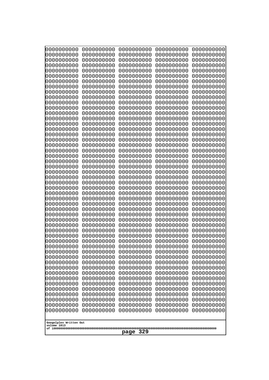| 10000000000              | 0000000000               | 0000000000               | 0000000000               | 0000000000               |
|--------------------------|--------------------------|--------------------------|--------------------------|--------------------------|
| 0000000000<br>0000000000 | 0000000000<br>0000000000 | 0000000000<br>0000000000 | 0000000000<br>0000000000 | 0000000000<br>0000000000 |
| 0000000000               | 0000000000               | 0000000000               | 0000000000               | 0000000000               |
| 0000000000               | 0000000000               | 0000000000               | 0000000000               | 0000000000               |
| 0000000000               | 0000000000               | 0000000000               | 0000000000               | 0000000000               |
| 0000000000<br>0000000000 | 0000000000<br>0000000000 | 0000000000<br>0000000000 | 0000000000<br>0000000000 | 0000000000<br>0000000000 |
| 0000000000               | 0000000000               | 0000000000               | 0000000000               | 0000000000               |
| 0000000000               | 0000000000               | 0000000000               | 0000000000               | 0000000000               |
| 0000000000               | 0000000000               | 0000000000               | 0000000000               | 0000000000               |
| 0000000000<br>0000000000 | 0000000000<br>0000000000 | 0000000000<br>0000000000 | 0000000000<br>0000000000 | 0000000000<br>0000000000 |
| 0000000000               | 0000000000               | 0000000000               | 0000000000               | 0000000000               |
| 0000000000               | 0000000000               | 0000000000               | 0000000000               | 0000000000               |
| 0000000000               | 0000000000               | 0000000000               | 0000000000               | 0000000000               |
| 0000000000<br>0000000000 | 0000000000<br>0000000000 | 0000000000<br>0000000000 | 0000000000<br>0000000000 | 0000000000<br>0000000000 |
| 0000000000               | 0000000000               | 0000000000               | 0000000000               | 0000000000               |
| 0000000000               | 0000000000               | 0000000000               | 0000000000               | 0000000000               |
| 0000000000               | 0000000000<br>0000000000 | 0000000000               | 0000000000               | 0000000000               |
| 0000000000<br>0000000000 | 0000000000               | 0000000000<br>0000000000 | 0000000000<br>0000000000 | 0000000000<br>0000000000 |
| 0000000000               | 0000000000               | 0000000000               | 0000000000               | 0000000000               |
| 0000000000               | 0000000000               | 0000000000               | 0000000000               | 0000000000               |
| 0000000000<br>0000000000 | 0000000000<br>0000000000 | 0000000000<br>0000000000 | 0000000000<br>0000000000 | 0000000000<br>0000000000 |
| 0000000000               | 0000000000               | 0000000000               | 0000000000               | 0000000000               |
| 0000000000               | 0000000000               | 0000000000               | 0000000000               | 0000000000               |
| 0000000000               | 0000000000               | 0000000000               | 0000000000               | 0000000000               |
| 0000000000<br>0000000000 | 0000000000<br>0000000000 | 0000000000<br>0000000000 | 0000000000<br>0000000000 | 0000000000<br>0000000000 |
| 0000000000               | 0000000000               | 0000000000               | 0000000000               | 0000000000               |
| 0000000000               | 0000000000               | 0000000000               | 0000000000               | 0000000000               |
| 0000000000               | 0000000000               | 0000000000               | 0000000000               | 0000000000               |
| 0000000000<br>0000000000 | 0000000000<br>0000000000 | 0000000000<br>0000000000 | 0000000000<br>0000000000 | 0000000000<br>0000000000 |
| 0000000000               | 0000000000               | 0000000000               | 0000000000               | 0000000000               |
| 0000000000               | 0000000000               | 0000000000               | 0000000000               | 0000000000               |
| 0000000000               | 0000000000               | 0000000000               | 0000000000               | 0000000000               |
| 0000000000<br>0000000000 | 0000000000<br>0000000000 | 0000000000<br>0000000000 | 0000000000<br>0000000000 | 0000000000<br>0000000000 |
| 0000000000               | 0000000000               | 0000000000               | 0000000000               | 0000000000               |
| 0000000000               | 0000000000               | 0000000000               | 0000000000               | 0000000000               |
| 0000000000<br>0000000000 | 0000000000<br>0000000000 | 0000000000<br>0000000000 | 0000000000<br>0000000000 | 0000000000<br>0000000000 |
| 0000000000               | 0000000000               | 0000000000               | 0000000000               | 0000000000               |
| 0000000000               | 0000000000               | 0000000000               | 0000000000               | 0000000000               |
| 0000000000               | 0000000000               | 0000000000               | 0000000000               | 0000000000               |
| 0000000000               | 0000000000               | 0000000000               | 0000000000               | 0000000000               |
| Googolplex Written Out   |                          |                          |                          |                          |
| volume 1013              |                          |                          |                          |                          |
| 329<br>page              |                          |                          |                          |                          |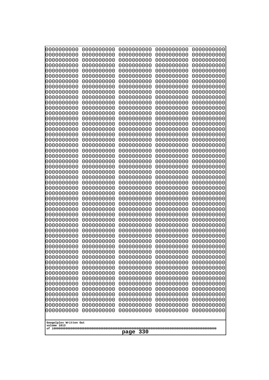| 0000000000<br>0000000000<br>0000000000<br>0000000000<br>0000000000<br>0000000000<br>0000000000<br>0000000000<br>0000000000<br>0000000000<br>0000000000<br>0000000000<br>0000000000<br>0000000000<br>0000000000<br>0000000000<br>0000000000<br>0000000000<br>0000000000<br>0000000000<br>0000000000<br>0000000000<br>0000000000<br>0000000000<br>0000000000<br>0000000000<br>0000000000<br>0000000000<br>0000000000<br>0000000000<br>0000000000<br>0000000000<br>10000000000<br>0000000000<br>0000000000<br>0000000000<br>0000000000<br>0000000000<br>0000000000<br>0000000000<br>0000000000<br>0000000000<br>0000000000<br>0000000000<br>0000000000<br>0000000000<br>0000000000<br>0000000000<br>0000000000<br>0000000000<br>0000000000<br>0000000000<br>0000000000<br>0000000000<br>0000000000<br>0000000000<br>0000000000<br>0000000000<br>0000000000<br>0000000000<br>0000000000<br>0000000000<br>0000000000<br>0000000000<br>0000000000<br>0000000000<br>0000000000<br>0000000000<br>0000000000<br>0000000000<br>0000000000<br>0000000000<br>0000000000<br>0000000000<br>0000000000<br>0000000000<br>0000000000<br>0000000000<br>0000000000<br>0000000000<br>0000000000<br>0000000000<br>0000000000<br>0000000000 | 0000000000<br>0000000000<br>0000000000<br>0000000000<br>0000000000<br>0000000000<br>0000000000<br>0000000000<br>0000000000<br>0000000000<br>0000000000<br>0000000000<br>0000000000<br>0000000000<br>0000000000<br>0000000000<br>0000000000<br>0000000000<br>0000000000<br>0000000000<br>0000000000<br>0000000000<br>0000000000<br>0000000000<br>0000000000<br>0000000000<br>0000000000<br>0000000000<br>0000000000 | 0000000000<br>0000000000<br>0000000000<br>0000000000<br>0000000000<br>0000000000<br>0000000000<br>0000000000<br>0000000000<br>0000000000<br>0000000000<br>0000000000<br>0000000000<br>0000000000<br>0000000000<br>0000000000<br>0000000000<br>0000000000<br>0000000000<br>0000000000<br>0000000000<br>0000000000<br>0000000000<br>0000000000<br>0000000000<br>0000000000<br>0000000000<br>0000000000<br>0000000000 | 0000000000<br>0000000000<br>0000000000<br>0000000000<br>0000000000<br>0000000000<br>0000000000<br>0000000000<br>0000000000<br>0000000000<br>0000000000<br>0000000000<br>0000000000<br>0000000000<br>0000000000<br>0000000000<br>0000000000<br>0000000000<br>0000000000<br>0000000000<br>0000000000<br>0000000000<br>0000000000<br>0000000000<br>0000000000<br>0000000000<br>0000000000<br>0000000000<br>0000000000 | 0000000000<br>0000000000<br>0000000000<br>0000000000<br>0000000000<br>0000000000<br>0000000000<br>0000000000<br>0000000000<br>0000000000<br>0000000000<br>0000000000<br>0000000000<br>0000000000<br>0000000000<br>0000000000<br>0000000000<br>0000000000<br>0000000000<br>0000000000<br>0000000000<br>0000000000<br>0000000000<br>0000000000<br>0000000000<br>0000000000<br>0000000000<br>0000000000<br>0000000000 | 0000000000<br>0000000000<br>0000000000<br>0000000000<br>0000000000<br>0000000000<br>0000000000<br>0000000000<br>0000000000<br>0000000000<br>0000000000<br>0000000000<br>0000000000<br>0000000000<br>0000000000<br>0000000000<br>0000000000<br>0000000000<br>0000000000<br>0000000000<br>0000000000<br>0000000000<br>0000000000<br>0000000000<br>0000000000<br>0000000000<br>0000000000<br>0000000000<br>0000000000<br>0000000000<br>0000000000<br>0000000000<br>0000000000<br>0000000000<br>0000000000<br>0000000000<br>0000000000<br>0000000000<br>0000000000<br>0000000000<br>0000000000<br>0000000000<br>0000000000<br>0000000000<br>0000000000<br>0000000000<br>0000000000<br>0000000000<br>0000000000<br>0000000000 |
|-----------------------------------------------------------------------------------------------------------------------------------------------------------------------------------------------------------------------------------------------------------------------------------------------------------------------------------------------------------------------------------------------------------------------------------------------------------------------------------------------------------------------------------------------------------------------------------------------------------------------------------------------------------------------------------------------------------------------------------------------------------------------------------------------------------------------------------------------------------------------------------------------------------------------------------------------------------------------------------------------------------------------------------------------------------------------------------------------------------------------------------------------------------------------------------------------------------------------|--------------------------------------------------------------------------------------------------------------------------------------------------------------------------------------------------------------------------------------------------------------------------------------------------------------------------------------------------------------------------------------------------------------------|--------------------------------------------------------------------------------------------------------------------------------------------------------------------------------------------------------------------------------------------------------------------------------------------------------------------------------------------------------------------------------------------------------------------|--------------------------------------------------------------------------------------------------------------------------------------------------------------------------------------------------------------------------------------------------------------------------------------------------------------------------------------------------------------------------------------------------------------------|--------------------------------------------------------------------------------------------------------------------------------------------------------------------------------------------------------------------------------------------------------------------------------------------------------------------------------------------------------------------------------------------------------------------|--------------------------------------------------------------------------------------------------------------------------------------------------------------------------------------------------------------------------------------------------------------------------------------------------------------------------------------------------------------------------------------------------------------------------------------------------------------------------------------------------------------------------------------------------------------------------------------------------------------------------------------------------------------------------------------------------------------------------|
| Googolplex Written Out<br>volume 1013<br>330<br>page                                                                                                                                                                                                                                                                                                                                                                                                                                                                                                                                                                                                                                                                                                                                                                                                                                                                                                                                                                                                                                                                                                                                                                  |                                                                                                                                                                                                                                                                                                                                                                                                                    |                                                                                                                                                                                                                                                                                                                                                                                                                    |                                                                                                                                                                                                                                                                                                                                                                                                                    |                                                                                                                                                                                                                                                                                                                                                                                                                    |                                                                                                                                                                                                                                                                                                                                                                                                                                                                                                                                                                                                                                                                                                                          |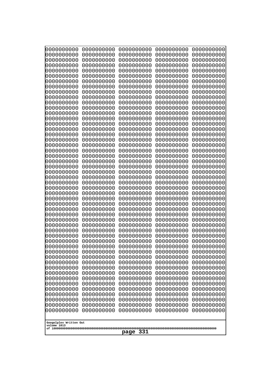| 10000000000              | 0000000000               | 0000000000<br>0000000000 | 0000000000<br>0000000000 | 0000000000<br>0000000000 |
|--------------------------|--------------------------|--------------------------|--------------------------|--------------------------|
| 0000000000<br>0000000000 | 0000000000<br>0000000000 | 0000000000               | 0000000000               | 0000000000               |
| 0000000000               | 0000000000               | 0000000000               | 0000000000               | 0000000000               |
| 0000000000               | 0000000000               | 0000000000               | 0000000000               | 0000000000               |
| 0000000000               | 0000000000               | 0000000000<br>0000000000 | 0000000000<br>0000000000 | 0000000000               |
| 0000000000<br>0000000000 | 0000000000<br>0000000000 | 0000000000               | 0000000000               | 0000000000<br>0000000000 |
| 0000000000               | 0000000000               | 0000000000               | 0000000000               | 0000000000               |
| 0000000000               | 0000000000               | 0000000000               | 0000000000               | 0000000000               |
| 0000000000<br>0000000000 | 0000000000<br>0000000000 | 0000000000<br>0000000000 | 0000000000<br>0000000000 | 0000000000               |
| 0000000000               | 0000000000               | 0000000000               | 0000000000               | 0000000000<br>0000000000 |
| 0000000000               | 0000000000               | 0000000000               | 0000000000               | 0000000000               |
| 0000000000               | 0000000000               | 0000000000               | 0000000000               | 0000000000               |
| 0000000000<br>0000000000 | 0000000000<br>0000000000 | 0000000000<br>0000000000 | 0000000000<br>0000000000 | 0000000000<br>0000000000 |
| 0000000000               | 0000000000               | 0000000000               | 0000000000               | 0000000000               |
| 0000000000               | 0000000000               | 0000000000               | 0000000000               | 0000000000               |
| 0000000000               | 0000000000               | 0000000000               | 0000000000               | 0000000000               |
| 0000000000<br>0000000000 | 0000000000<br>0000000000 | 0000000000<br>0000000000 | 0000000000<br>0000000000 | 0000000000<br>0000000000 |
| 0000000000               | 0000000000               | 0000000000               | 0000000000               | 0000000000               |
| 0000000000               | 0000000000               | 0000000000               | 0000000000               | 0000000000               |
| 0000000000               | 0000000000               | 0000000000               | 0000000000               | 0000000000               |
| 0000000000<br>0000000000 | 0000000000<br>0000000000 | 0000000000<br>0000000000 | 0000000000<br>0000000000 | 0000000000<br>0000000000 |
| 0000000000               | 0000000000               | 0000000000               | 0000000000               | 0000000000               |
| 0000000000               | 0000000000               | 0000000000               | 0000000000               | 0000000000               |
| 0000000000               | 0000000000               | 0000000000               | 0000000000               | 0000000000               |
| 0000000000<br>0000000000 | 0000000000<br>0000000000 | 0000000000<br>0000000000 | 0000000000<br>0000000000 | 0000000000<br>0000000000 |
| 0000000000               | 0000000000               | 0000000000               | 0000000000               | 0000000000               |
| 0000000000               | 0000000000               | 0000000000               | 0000000000               | 0000000000               |
| 0000000000<br>0000000000 | 0000000000<br>0000000000 | 0000000000               | 0000000000               | 0000000000               |
| 0000000000               | 0000000000               | 0000000000<br>0000000000 | 0000000000<br>0000000000 | 0000000000<br>0000000000 |
| 0000000000               | 0000000000               | 0000000000               | 0000000000               | 0000000000               |
| 0000000000               | 0000000000               | 0000000000               | 0000000000               | 0000000000               |
| 0000000000<br>0000000000 | 0000000000               | 0000000000               | 0000000000               | 0000000000               |
| 0000000000               | 0000000000<br>0000000000 | 0000000000<br>0000000000 | 0000000000<br>0000000000 | 0000000000<br>0000000000 |
| 0000000000               | 0000000000               | 0000000000               | 0000000000               | 0000000000               |
| 0000000000               | 0000000000               | 0000000000               | 0000000000               | 0000000000               |
| 0000000000<br>0000000000 | 0000000000<br>0000000000 | 0000000000<br>0000000000 | 0000000000<br>0000000000 | 0000000000<br>0000000000 |
| 0000000000               | 0000000000               | 0000000000               | 0000000000               | 0000000000               |
| 0000000000               | 0000000000               | 0000000000               | 0000000000               | 0000000000               |
| 0000000000               | 0000000000               | 0000000000               | 0000000000               | 0000000000               |
| 0000000000               | 0000000000               | 0000000000               | 0000000000               | 0000000000               |
| Googolplex Written Out   |                          |                          |                          |                          |
| volume 1013              |                          |                          |                          |                          |
| 331<br>page              |                          |                          |                          |                          |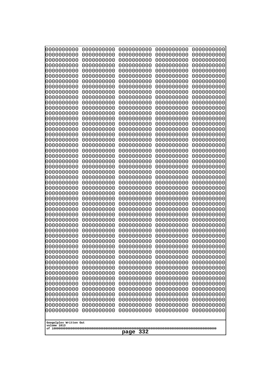| 10000000000              | 0000000000               | 0000000000               | 0000000000               | 0000000000               |
|--------------------------|--------------------------|--------------------------|--------------------------|--------------------------|
| 0000000000<br>0000000000 | 0000000000<br>0000000000 | 0000000000<br>0000000000 | 0000000000<br>0000000000 | 0000000000<br>0000000000 |
| 0000000000               | 0000000000               | 0000000000               | 0000000000               | 0000000000               |
| 0000000000               | 0000000000               | 0000000000               | 0000000000               | 0000000000               |
| 0000000000               | 0000000000               | 0000000000               | 0000000000               | 0000000000               |
| 0000000000<br>0000000000 | 0000000000<br>0000000000 | 0000000000<br>0000000000 | 0000000000<br>0000000000 | 0000000000<br>0000000000 |
| 0000000000               | 0000000000               | 0000000000               | 0000000000               | 0000000000               |
| 0000000000               | 0000000000               | 0000000000               | 0000000000               | 0000000000               |
| 0000000000               | 0000000000               | 0000000000               | 0000000000               | 0000000000               |
| 0000000000<br>0000000000 | 0000000000<br>0000000000 | 0000000000<br>0000000000 | 0000000000<br>0000000000 | 0000000000<br>0000000000 |
| 0000000000               | 0000000000               | 0000000000               | 0000000000               | 0000000000               |
| 0000000000               | 0000000000               | 0000000000               | 0000000000               | 0000000000               |
| 0000000000               | 0000000000               | 0000000000               | 0000000000               | 0000000000               |
| 0000000000<br>0000000000 | 0000000000<br>0000000000 | 0000000000<br>0000000000 | 0000000000<br>0000000000 | 0000000000<br>0000000000 |
| 0000000000               | 0000000000               | 0000000000               | 0000000000               | 0000000000               |
| 0000000000               | 0000000000               | 0000000000               | 0000000000               | 0000000000               |
| 0000000000               | 0000000000               | 0000000000               | 0000000000               | 0000000000               |
| 0000000000<br>0000000000 | 0000000000<br>0000000000 | 0000000000<br>0000000000 | 0000000000<br>0000000000 | 0000000000<br>0000000000 |
| 0000000000               | 0000000000               | 0000000000               | 0000000000               | 0000000000               |
| 0000000000               | 0000000000               | 0000000000               | 0000000000               | 0000000000               |
| 0000000000               | 0000000000               | 0000000000               | 0000000000               | 0000000000               |
| 0000000000<br>0000000000 | 0000000000<br>0000000000 | 0000000000<br>0000000000 | 0000000000<br>0000000000 | 0000000000<br>0000000000 |
| 0000000000               | 0000000000               | 0000000000               | 0000000000               | 0000000000               |
| 0000000000               | 0000000000               | 0000000000               | 0000000000               | 0000000000               |
| 0000000000<br>0000000000 | 0000000000<br>0000000000 | 0000000000<br>0000000000 | 0000000000<br>0000000000 | 0000000000<br>0000000000 |
| 0000000000               | 0000000000               | 0000000000               | 0000000000               | 0000000000               |
| 0000000000               | 0000000000               | 0000000000               | 0000000000               | 0000000000               |
| 0000000000               | 0000000000               | 0000000000               | 0000000000               | 0000000000               |
| 0000000000<br>0000000000 | 0000000000<br>0000000000 | 0000000000<br>0000000000 | 0000000000<br>0000000000 | 0000000000<br>0000000000 |
| 0000000000               | 0000000000               | 0000000000               | 0000000000               | 0000000000               |
| 0000000000               | 0000000000               | 0000000000               | 0000000000               | 0000000000               |
| 0000000000               | 0000000000               | 0000000000               | 0000000000               | 0000000000               |
| 0000000000<br>0000000000 | 0000000000<br>0000000000 | 0000000000<br>0000000000 | 0000000000<br>0000000000 | 0000000000<br>0000000000 |
| 0000000000               | 0000000000               | 0000000000               | 0000000000               | 0000000000               |
| 0000000000               | 0000000000               | 0000000000               | 0000000000               | 0000000000               |
| 0000000000               | 0000000000               | 0000000000               | 0000000000               | 0000000000               |
| 0000000000<br>0000000000 | 0000000000<br>0000000000 | 0000000000<br>0000000000 | 0000000000<br>0000000000 | 0000000000<br>0000000000 |
| 0000000000               | 0000000000               | 0000000000               | 0000000000               | 0000000000               |
| 0000000000               | 0000000000               | 0000000000               | 0000000000               | 0000000000               |
| 0000000000               | 0000000000               | 0000000000               | 0000000000               | 0000000000               |
| Googolplex Written Out   |                          |                          |                          |                          |
| volume 1013              |                          |                          |                          |                          |
| 332<br>page              |                          |                          |                          |                          |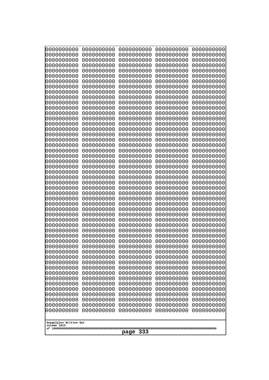| 0000000000                                                                                                                 | 0000000000 | 0000000000 | 0000000000 | 0000000000 |
|----------------------------------------------------------------------------------------------------------------------------|------------|------------|------------|------------|
| 0000000000                                                                                                                 | 0000000000 | 0000000000 | 0000000000 | 0000000000 |
| 0000000000                                                                                                                 | 0000000000 | 0000000000 | 0000000000 | 0000000000 |
| 0000000000                                                                                                                 | 0000000000 | 0000000000 | 0000000000 | 0000000000 |
| 0000000000                                                                                                                 | 0000000000 | 0000000000 | 0000000000 | 0000000000 |
| 0000000000                                                                                                                 | 0000000000 | 0000000000 | 0000000000 | 0000000000 |
| 0000000000                                                                                                                 | 0000000000 | 0000000000 | 0000000000 | 0000000000 |
| 0000000000                                                                                                                 | 0000000000 | 0000000000 | 0000000000 | 0000000000 |
| 0000000000                                                                                                                 | 0000000000 | 0000000000 | 0000000000 | 0000000000 |
| 0000000000                                                                                                                 | 0000000000 | 0000000000 | 0000000000 | 0000000000 |
| 0000000000                                                                                                                 | 0000000000 | 0000000000 | 0000000000 | 0000000000 |
| 0000000000                                                                                                                 | 0000000000 | 0000000000 | 0000000000 | 0000000000 |
| 0000000000                                                                                                                 | 0000000000 | 0000000000 | 0000000000 | 0000000000 |
| 0000000000                                                                                                                 | 0000000000 | 0000000000 | 0000000000 | 0000000000 |
| 0000000000                                                                                                                 | 0000000000 | 0000000000 | 0000000000 | 0000000000 |
| 0000000000                                                                                                                 | 0000000000 | 0000000000 | 0000000000 | 0000000000 |
| 0000000000                                                                                                                 | 0000000000 | 0000000000 | 0000000000 | 0000000000 |
| 0000000000                                                                                                                 | 0000000000 | 0000000000 | 0000000000 | 0000000000 |
| 0000000000                                                                                                                 | 0000000000 | 0000000000 | 0000000000 | 0000000000 |
| 0000000000                                                                                                                 | 0000000000 | 0000000000 | 0000000000 | 0000000000 |
| 0000000000                                                                                                                 | 0000000000 | 0000000000 | 0000000000 | 0000000000 |
| 0000000000                                                                                                                 | 0000000000 | 0000000000 | 0000000000 | 0000000000 |
| 0000000000                                                                                                                 | 0000000000 | 0000000000 | 0000000000 | 0000000000 |
| 0000000000                                                                                                                 | 0000000000 | 0000000000 | 0000000000 | 0000000000 |
| 0000000000                                                                                                                 | 0000000000 | 0000000000 | 0000000000 | 0000000000 |
| 0000000000                                                                                                                 | 0000000000 | 0000000000 | 0000000000 | 0000000000 |
| 0000000000                                                                                                                 | 0000000000 | 0000000000 | 0000000000 | 0000000000 |
| 0000000000                                                                                                                 | 0000000000 | 0000000000 | 0000000000 | 0000000000 |
| 0000000000                                                                                                                 | 0000000000 | 0000000000 | 0000000000 | 0000000000 |
| 0000000000                                                                                                                 | 0000000000 | 0000000000 | 0000000000 | 0000000000 |
| 0000000000                                                                                                                 | 0000000000 | 0000000000 | 0000000000 | 0000000000 |
| 0000000000                                                                                                                 | 0000000000 | 0000000000 | 0000000000 | 0000000000 |
| 0000000000                                                                                                                 | 0000000000 | 0000000000 | 0000000000 | 0000000000 |
| 0000000000                                                                                                                 | 0000000000 | 0000000000 | 0000000000 | 0000000000 |
| 0000000000                                                                                                                 | 0000000000 | 0000000000 | 0000000000 | 0000000000 |
| 0000000000                                                                                                                 | 0000000000 | 0000000000 | 0000000000 | 0000000000 |
| 0000000000                                                                                                                 | 0000000000 | 0000000000 | 0000000000 | 0000000000 |
| 0000000000                                                                                                                 | 0000000000 | 0000000000 | 0000000000 | 0000000000 |
| 0000000000                                                                                                                 | 0000000000 | 0000000000 | 0000000000 | 0000000000 |
| 0000000000                                                                                                                 | 0000000000 | 0000000000 | 0000000000 | 0000000000 |
| 0000000000                                                                                                                 | 0000000000 | 0000000000 | 0000000000 | 0000000000 |
| 0000000000                                                                                                                 | 0000000000 | 0000000000 | 0000000000 | 0000000000 |
| 0000000000                                                                                                                 | 0000000000 | 0000000000 | 0000000000 | 0000000000 |
| 0000000000                                                                                                                 | 0000000000 | 0000000000 | 0000000000 | 0000000000 |
| 0000000000                                                                                                                 | 0000000000 | 0000000000 | 0000000000 | 0000000000 |
| 0000000000                                                                                                                 | 0000000000 | 0000000000 | 0000000000 | 0000000000 |
| 0000000000                                                                                                                 | 0000000000 | 0000000000 | 0000000000 | 0000000000 |
| 0000000000                                                                                                                 | 0000000000 | 0000000000 | 0000000000 | 0000000000 |
| 0000000000                                                                                                                 | 0000000000 | 0000000000 | 0000000000 | 0000000000 |
| 0000000000<br>0000000000<br>0000000000<br>0000000000<br>0000000000<br>Googolplex Written Out<br>volume 1013<br>333<br>page |            |            |            |            |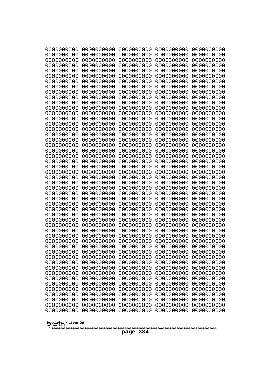| 0000000000                                                                                                                                                                                       | 0000000000 | 0000000000 | 0000000000 | 0000000000 |
|--------------------------------------------------------------------------------------------------------------------------------------------------------------------------------------------------|------------|------------|------------|------------|
| 0000000000                                                                                                                                                                                       | 0000000000 | 0000000000 | 0000000000 | 0000000000 |
| 0000000000                                                                                                                                                                                       | 0000000000 | 0000000000 | 0000000000 | 0000000000 |
| 0000000000                                                                                                                                                                                       | 0000000000 | 0000000000 | 0000000000 | 0000000000 |
| 0000000000                                                                                                                                                                                       | 0000000000 | 0000000000 | 0000000000 | 0000000000 |
| 0000000000                                                                                                                                                                                       | 0000000000 | 0000000000 | 0000000000 | 0000000000 |
| 0000000000                                                                                                                                                                                       | 0000000000 | 0000000000 | 0000000000 | 0000000000 |
| 0000000000                                                                                                                                                                                       | 0000000000 | 0000000000 | 0000000000 | 0000000000 |
| 0000000000                                                                                                                                                                                       | 0000000000 | 0000000000 | 0000000000 | 0000000000 |
| 0000000000                                                                                                                                                                                       | 0000000000 | 0000000000 | 0000000000 | 0000000000 |
| 0000000000                                                                                                                                                                                       | 0000000000 | 0000000000 | 0000000000 | 0000000000 |
| 0000000000                                                                                                                                                                                       | 0000000000 | 0000000000 | 0000000000 | 0000000000 |
| 0000000000                                                                                                                                                                                       | 0000000000 | 0000000000 | 0000000000 | 0000000000 |
| 0000000000                                                                                                                                                                                       | 0000000000 | 0000000000 | 0000000000 | 0000000000 |
| 0000000000                                                                                                                                                                                       | 0000000000 | 0000000000 | 0000000000 | 0000000000 |
| 0000000000                                                                                                                                                                                       | 0000000000 | 0000000000 | 0000000000 | 0000000000 |
| 0000000000                                                                                                                                                                                       | 0000000000 | 0000000000 | 0000000000 | 0000000000 |
| 0000000000                                                                                                                                                                                       | 0000000000 | 0000000000 | 0000000000 | 0000000000 |
| 0000000000                                                                                                                                                                                       | 0000000000 | 0000000000 | 0000000000 | 0000000000 |
| 0000000000                                                                                                                                                                                       | 0000000000 | 0000000000 | 0000000000 | 0000000000 |
| 0000000000                                                                                                                                                                                       | 0000000000 | 0000000000 | 0000000000 | 0000000000 |
| 0000000000                                                                                                                                                                                       | 0000000000 | 0000000000 | 0000000000 | 0000000000 |
| 0000000000                                                                                                                                                                                       | 0000000000 | 0000000000 | 0000000000 | 0000000000 |
| 0000000000                                                                                                                                                                                       | 0000000000 | 0000000000 | 0000000000 | 0000000000 |
| 0000000000                                                                                                                                                                                       | 0000000000 | 0000000000 | 0000000000 | 0000000000 |
| 0000000000                                                                                                                                                                                       | 0000000000 | 0000000000 | 0000000000 | 0000000000 |
| 0000000000                                                                                                                                                                                       | 0000000000 | 0000000000 | 0000000000 | 0000000000 |
| 0000000000                                                                                                                                                                                       | 0000000000 | 0000000000 | 0000000000 | 0000000000 |
| 0000000000                                                                                                                                                                                       | 0000000000 | 0000000000 | 0000000000 | 0000000000 |
| 0000000000                                                                                                                                                                                       | 0000000000 | 0000000000 | 0000000000 | 0000000000 |
| 0000000000                                                                                                                                                                                       | 0000000000 | 0000000000 | 0000000000 | 0000000000 |
| 0000000000                                                                                                                                                                                       | 0000000000 | 0000000000 | 0000000000 | 0000000000 |
| 0000000000                                                                                                                                                                                       | 0000000000 | 0000000000 | 0000000000 | 0000000000 |
| 0000000000                                                                                                                                                                                       | 0000000000 | 0000000000 | 0000000000 | 0000000000 |
| 0000000000                                                                                                                                                                                       | 0000000000 | 0000000000 | 0000000000 | 0000000000 |
| 0000000000                                                                                                                                                                                       | 0000000000 | 0000000000 | 0000000000 | 0000000000 |
| 0000000000                                                                                                                                                                                       | 0000000000 | 0000000000 | 0000000000 | 0000000000 |
| 0000000000                                                                                                                                                                                       | 0000000000 | 0000000000 | 0000000000 | 0000000000 |
| 0000000000                                                                                                                                                                                       | 0000000000 | 0000000000 | 0000000000 | 0000000000 |
| 0000000000                                                                                                                                                                                       | 0000000000 | 0000000000 | 0000000000 | 0000000000 |
| 0000000000                                                                                                                                                                                       | 0000000000 | 0000000000 | 0000000000 | 0000000000 |
| 0000000000                                                                                                                                                                                       | 0000000000 | 0000000000 | 0000000000 | 0000000000 |
| 0000000000                                                                                                                                                                                       | 0000000000 | 0000000000 | 0000000000 | 0000000000 |
| 0000000000                                                                                                                                                                                       | 0000000000 | 0000000000 | 0000000000 | 0000000000 |
| 0000000000                                                                                                                                                                                       | 0000000000 | 0000000000 | 0000000000 | 0000000000 |
| 0000000000                                                                                                                                                                                       | 0000000000 | 0000000000 | 0000000000 | 0000000000 |
| 0000000000                                                                                                                                                                                       | 0000000000 | 0000000000 | 0000000000 | 0000000000 |
| 0000000000                                                                                                                                                                                       | 0000000000 | 0000000000 | 0000000000 | 0000000000 |
| 0000000000<br>0000000000<br>0000000000<br>0000000000<br>0000000000<br>0000000000<br>0000000000<br>0000000000<br>0000000000<br>0000000000<br>Googolplex Written Out<br>volume 1013<br>334<br>page |            |            |            |            |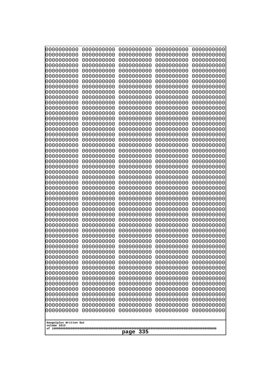| 10000000000              | 0000000000               | 0000000000               | 0000000000               | 0000000000               |
|--------------------------|--------------------------|--------------------------|--------------------------|--------------------------|
| 0000000000<br>0000000000 | 0000000000<br>0000000000 | 0000000000<br>0000000000 | 0000000000<br>0000000000 | 0000000000<br>0000000000 |
| 0000000000               | 0000000000               | 0000000000               | 0000000000               | 0000000000               |
| 0000000000               | 0000000000               | 0000000000               | 0000000000               | 0000000000               |
| 0000000000               | 0000000000               | 0000000000               | 0000000000               | 0000000000               |
| 0000000000<br>0000000000 | 0000000000<br>0000000000 | 0000000000<br>0000000000 | 0000000000<br>0000000000 | 0000000000<br>0000000000 |
| 0000000000               | 0000000000               | 0000000000               | 0000000000               | 0000000000               |
| 0000000000               | 0000000000               | 0000000000               | 0000000000               | 0000000000               |
| 0000000000               | 0000000000               | 0000000000               | 0000000000               | 0000000000               |
| 0000000000<br>0000000000 | 0000000000<br>0000000000 | 0000000000<br>0000000000 | 0000000000<br>0000000000 | 0000000000<br>0000000000 |
| 0000000000               | 0000000000               | 0000000000               | 0000000000               | 0000000000               |
| 0000000000               | 0000000000               | 0000000000               | 0000000000               | 0000000000               |
| 0000000000               | 0000000000               | 0000000000               | 0000000000               | 0000000000               |
| 0000000000<br>0000000000 | 0000000000<br>0000000000 | 0000000000<br>0000000000 | 0000000000<br>0000000000 | 0000000000<br>0000000000 |
| 0000000000               | 0000000000               | 0000000000               | 0000000000               | 0000000000               |
| 0000000000               | 0000000000               | 0000000000               | 0000000000               | 0000000000               |
| 0000000000               | 0000000000               | 0000000000               | 0000000000               | 0000000000               |
| 0000000000<br>0000000000 | 0000000000<br>0000000000 | 0000000000<br>0000000000 | 0000000000<br>0000000000 | 0000000000<br>0000000000 |
| 0000000000               | 0000000000               | 0000000000               | 0000000000               | 0000000000               |
| 0000000000               | 0000000000               | 0000000000               | 0000000000               | 0000000000               |
| 0000000000<br>0000000000 | 0000000000<br>0000000000 | 0000000000<br>0000000000 | 0000000000<br>0000000000 | 0000000000<br>0000000000 |
| 0000000000               | 0000000000               | 0000000000               | 0000000000               | 0000000000               |
| 0000000000               | 0000000000               | 0000000000               | 0000000000               | 0000000000               |
| 0000000000               | 0000000000               | 0000000000               | 0000000000               | 0000000000               |
| 0000000000<br>0000000000 | 0000000000<br>0000000000 | 0000000000<br>0000000000 | 0000000000<br>0000000000 | 0000000000<br>0000000000 |
| 0000000000               | 0000000000               | 0000000000               | 0000000000               | 0000000000               |
| 0000000000               | 0000000000               | 0000000000               | 0000000000               | 0000000000               |
| 0000000000               | 0000000000               | 0000000000               | 0000000000               | 0000000000               |
| 0000000000<br>0000000000 | 0000000000<br>0000000000 | 0000000000<br>0000000000 | 0000000000<br>0000000000 | 0000000000<br>0000000000 |
| 0000000000               | 0000000000               | 0000000000               | 0000000000               | 0000000000               |
| 0000000000               | 0000000000               | 0000000000               | 0000000000               | 0000000000               |
| 0000000000               | 0000000000               | 0000000000               | 0000000000               | 0000000000               |
| 0000000000<br>0000000000 | 0000000000<br>0000000000 | 0000000000<br>0000000000 | 0000000000<br>0000000000 | 0000000000<br>0000000000 |
| 0000000000               | 0000000000               | 0000000000               | 0000000000               | 0000000000               |
| 0000000000               | 0000000000               | 0000000000               | 0000000000               | 0000000000               |
| 0000000000<br>0000000000 | 0000000000<br>0000000000 | 0000000000<br>0000000000 | 0000000000<br>0000000000 | 0000000000<br>0000000000 |
| 0000000000               | 0000000000               | 0000000000               | 0000000000               | 0000000000               |
| 0000000000               | 0000000000               | 0000000000               | 0000000000               | 0000000000               |
| 0000000000               | 0000000000               | 0000000000               | 0000000000               | 0000000000               |
| 0000000000               | 0000000000               | 0000000000               | 0000000000               | 0000000000               |
| Googolplex Written Out   |                          |                          |                          |                          |
| volume 1013              |                          |                          |                          |                          |
| 335<br>page              |                          |                          |                          |                          |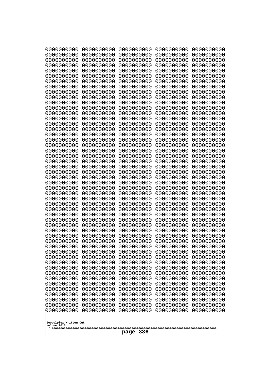| 0000000000<br>0000000000<br>0000000000<br>0000000000<br>0000000000<br>0000000000<br>0000000000<br>0000000000<br>0000000000<br>0000000000<br>0000000000<br>0000000000<br>0000000000<br>0000000000<br>0000000000<br>0000000000<br>0000000000<br>0000000000<br>0000000000<br>0000000000<br>0000000000<br>0000000000<br>0000000000<br>0000000000<br>0000000000 | 0000000000<br>0000000000<br>0000000000<br>0000000000<br>0000000000<br>0000000000<br>0000000000<br>0000000000<br>0000000000<br>0000000000<br>0000000000<br>0000000000<br>0000000000<br>0000000000<br>0000000000<br>0000000000<br>0000000000<br>0000000000<br>0000000000<br>0000000000<br>0000000000<br>0000000000<br>0000000000<br>0000000000<br>0000000000<br>0000000000<br>0000000000<br>0000000000<br>0000000000<br>0000000000<br>0000000000<br>0000000000<br>0000000000<br>0000000000<br>0000000000<br>0000000000<br>0000000000<br>10000000000<br>0000000000<br>0000000000<br>0000000000<br>0000000000<br>0000000000<br>0000000000<br>0000000000 | 0000000000<br>0000000000<br>0000000000<br>0000000000<br>0000000000<br>0000000000<br>0000000000<br>0000000000<br>0000000000<br>0000000000<br>0000000000<br>0000000000<br>0000000000<br>0000000000<br>0000000000<br>0000000000<br>0000000000<br>0000000000<br>0000000000<br>0000000000<br>0000000000<br>0000000000<br>0000000000<br>0000000000<br>0000000000<br>0000000000<br>0000000000<br>0000000000<br>0000000000<br>0000000000<br>0000000000<br>0000000000<br>0000000000<br>0000000000<br>0000000000<br>0000000000<br>0000000000<br>0000000000<br>0000000000<br>0000000000<br>0000000000<br>0000000000<br>0000000000<br>0000000000<br>0000000000 | 0000000000<br>0000000000<br>0000000000<br>0000000000<br>0000000000<br>0000000000<br>0000000000<br>0000000000<br>0000000000<br>0000000000<br>0000000000<br>0000000000<br>0000000000<br>0000000000<br>0000000000<br>0000000000<br>0000000000<br>0000000000<br>0000000000<br>0000000000<br>0000000000<br>0000000000<br>0000000000<br>0000000000<br>0000000000<br>0000000000<br>0000000000<br>0000000000<br>0000000000<br>0000000000<br>0000000000<br>0000000000<br>0000000000<br>0000000000<br>0000000000<br>0000000000<br>0000000000<br>0000000000<br>0000000000<br>0000000000<br>0000000000<br>0000000000<br>0000000000<br>0000000000<br>0000000000 | 0000000000<br>0000000000<br>0000000000<br>0000000000<br>0000000000<br>0000000000<br>0000000000<br>0000000000<br>0000000000<br>0000000000<br>0000000000<br>0000000000<br>0000000000<br>0000000000<br>0000000000<br>0000000000<br>0000000000<br>0000000000<br>0000000000<br>0000000000<br>0000000000<br>0000000000<br>0000000000<br>0000000000<br>0000000000<br>0000000000<br>0000000000<br>0000000000<br>0000000000<br>0000000000<br>0000000000<br>0000000000<br>0000000000<br>0000000000<br>0000000000<br>0000000000<br>0000000000<br>0000000000<br>0000000000<br>0000000000<br>0000000000<br>0000000000<br>0000000000<br>0000000000<br>0000000000 | 0000000000<br>0000000000<br>0000000000<br>0000000000<br>0000000000<br>0000000000<br>0000000000<br>0000000000<br>0000000000<br>0000000000<br>0000000000<br>0000000000<br>0000000000<br>0000000000<br>0000000000<br>0000000000<br>0000000000<br>0000000000<br>0000000000<br>0000000000<br>0000000000<br>0000000000<br>0000000000<br>0000000000<br>0000000000<br>0000000000<br>0000000000<br>0000000000<br>0000000000<br>0000000000<br>0000000000<br>0000000000<br>0000000000<br>0000000000<br>0000000000<br>0000000000<br>0000000000<br>0000000000<br>0000000000<br>0000000000<br>0000000000<br>0000000000<br>0000000000<br>0000000000<br>0000000000 |
|------------------------------------------------------------------------------------------------------------------------------------------------------------------------------------------------------------------------------------------------------------------------------------------------------------------------------------------------------------|-----------------------------------------------------------------------------------------------------------------------------------------------------------------------------------------------------------------------------------------------------------------------------------------------------------------------------------------------------------------------------------------------------------------------------------------------------------------------------------------------------------------------------------------------------------------------------------------------------------------------------------------------------|----------------------------------------------------------------------------------------------------------------------------------------------------------------------------------------------------------------------------------------------------------------------------------------------------------------------------------------------------------------------------------------------------------------------------------------------------------------------------------------------------------------------------------------------------------------------------------------------------------------------------------------------------|----------------------------------------------------------------------------------------------------------------------------------------------------------------------------------------------------------------------------------------------------------------------------------------------------------------------------------------------------------------------------------------------------------------------------------------------------------------------------------------------------------------------------------------------------------------------------------------------------------------------------------------------------|----------------------------------------------------------------------------------------------------------------------------------------------------------------------------------------------------------------------------------------------------------------------------------------------------------------------------------------------------------------------------------------------------------------------------------------------------------------------------------------------------------------------------------------------------------------------------------------------------------------------------------------------------|----------------------------------------------------------------------------------------------------------------------------------------------------------------------------------------------------------------------------------------------------------------------------------------------------------------------------------------------------------------------------------------------------------------------------------------------------------------------------------------------------------------------------------------------------------------------------------------------------------------------------------------------------|
| Googolplex Written Out<br>volume 1013<br>336<br>page                                                                                                                                                                                                                                                                                                       |                                                                                                                                                                                                                                                                                                                                                                                                                                                                                                                                                                                                                                                     |                                                                                                                                                                                                                                                                                                                                                                                                                                                                                                                                                                                                                                                    |                                                                                                                                                                                                                                                                                                                                                                                                                                                                                                                                                                                                                                                    |                                                                                                                                                                                                                                                                                                                                                                                                                                                                                                                                                                                                                                                    |                                                                                                                                                                                                                                                                                                                                                                                                                                                                                                                                                                                                                                                    |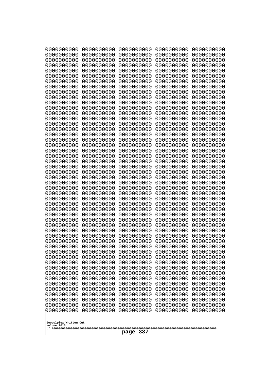| 0000000000<br>0000000000<br>0000000000<br>0000000000<br>0000000000<br>0000000000<br>0000000000<br>0000000000<br>0000000000<br>0000000000<br>0000000000<br>0000000000<br>0000000000<br>0000000000<br>0000000000<br>0000000000<br>0000000000<br>0000000000<br>0000000000<br>0000000000<br>0000000000<br>0000000000<br>0000000000<br>0000000000<br>0000000000<br>0000000000<br>0000000000<br>0000000000<br>0000000000<br>0000000000<br>0000000000<br>0000000000<br>0000000000<br>0000000000<br>0000000000<br>10000000000<br>0000000000<br>0000000000<br>0000000000<br>0000000000<br>0000000000<br>0000000000<br>0000000000<br>0000000000<br>0000000000<br>0000000000<br>0000000000<br>0000000000<br>0000000000<br>0000000000<br>0000000000<br>0000000000<br>0000000000<br>0000000000<br>0000000000<br>0000000000<br>0000000000<br>0000000000<br>0000000000<br>0000000000<br>0000000000<br>0000000000<br>0000000000<br>0000000000<br>0000000000<br>0000000000<br>0000000000<br>0000000000<br>0000000000<br>0000000000<br>0000000000<br>0000000000<br>0000000000<br>0000000000<br>0000000000<br>0000000000<br>0000000000<br>0000000000<br>0000000000<br>0000000000<br>0000000000<br>0000000000<br>0000000000<br>0000000000<br>0000000000<br>0000000000<br>0000000000<br>0000000000<br>0000000000<br>0000000000<br>0000000000<br>0000000000<br>0000000000<br>0000000000<br>0000000000<br>0000000000<br>0000000000<br>0000000000<br>0000000000<br>0000000000 |
|-------------------------------------------------------------------------------------------------------------------------------------------------------------------------------------------------------------------------------------------------------------------------------------------------------------------------------------------------------------------------------------------------------------------------------------------------------------------------------------------------------------------------------------------------------------------------------------------------------------------------------------------------------------------------------------------------------------------------------------------------------------------------------------------------------------------------------------------------------------------------------------------------------------------------------------------------------------------------------------------------------------------------------------------------------------------------------------------------------------------------------------------------------------------------------------------------------------------------------------------------------------------------------------------------------------------------------------------------------------------------------------------------------------------------------------------------------|
| Googolplex Written Out<br>volume 1013<br>337<br>page                                                                                                                                                                                                                                                                                                                                                                                                                                                                                                                                                                                                                                                                                                                                                                                                                                                                                                                                                                                                                                                                                                                                                                                                                                                                                                                                                                                                  |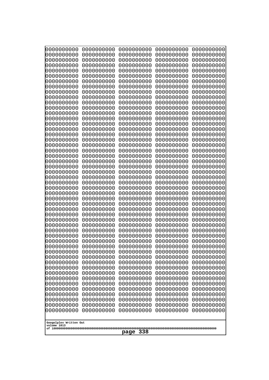| 0000000000<br>0000000000<br>0000000000<br>0000000000<br>0000000000<br>0000000000<br>0000000000<br>0000000000<br>0000000000<br>0000000000<br>0000000000<br>0000000000<br>0000000000<br>0000000000<br>0000000000<br>0000000000<br>0000000000<br>0000000000<br>0000000000<br>0000000000<br>0000000000<br>0000000000<br>0000000000<br>0000000000 | 0000000000<br>0000000000<br>0000000000<br>0000000000<br>0000000000<br>0000000000<br>0000000000<br>0000000000<br>0000000000<br>0000000000<br>0000000000<br>0000000000<br>0000000000<br>0000000000<br>0000000000<br>0000000000<br>0000000000<br>0000000000<br>0000000000<br>0000000000<br>0000000000<br>0000000000<br>0000000000<br>0000000000 | 0000000000<br>0000000000<br>0000000000<br>0000000000<br>0000000000<br>0000000000<br>0000000000<br>0000000000<br>0000000000<br>0000000000<br>0000000000<br>0000000000<br>0000000000<br>0000000000<br>0000000000<br>0000000000<br>0000000000<br>0000000000<br>0000000000<br>0000000000<br>0000000000<br>0000000000<br>0000000000<br>0000000000 | 0000000000<br>0000000000<br>0000000000<br>0000000000<br>0000000000<br>0000000000<br>0000000000<br>0000000000<br>0000000000<br>0000000000<br>0000000000<br>0000000000<br>0000000000<br>0000000000<br>0000000000<br>0000000000<br>0000000000<br>0000000000<br>0000000000<br>0000000000<br>0000000000<br>0000000000<br>0000000000<br>0000000000 | 0000000000<br>0000000000<br>0000000000<br>0000000000<br>0000000000<br>0000000000<br>0000000000<br>0000000000<br>0000000000<br>0000000000<br>0000000000<br>0000000000<br>0000000000<br>0000000000<br>0000000000<br>0000000000<br>0000000000<br>0000000000<br>0000000000<br>0000000000<br>0000000000<br>0000000000<br>0000000000<br>0000000000 |
|----------------------------------------------------------------------------------------------------------------------------------------------------------------------------------------------------------------------------------------------------------------------------------------------------------------------------------------------|----------------------------------------------------------------------------------------------------------------------------------------------------------------------------------------------------------------------------------------------------------------------------------------------------------------------------------------------|----------------------------------------------------------------------------------------------------------------------------------------------------------------------------------------------------------------------------------------------------------------------------------------------------------------------------------------------|----------------------------------------------------------------------------------------------------------------------------------------------------------------------------------------------------------------------------------------------------------------------------------------------------------------------------------------------|----------------------------------------------------------------------------------------------------------------------------------------------------------------------------------------------------------------------------------------------------------------------------------------------------------------------------------------------|
|                                                                                                                                                                                                                                                                                                                                              |                                                                                                                                                                                                                                                                                                                                              |                                                                                                                                                                                                                                                                                                                                              |                                                                                                                                                                                                                                                                                                                                              |                                                                                                                                                                                                                                                                                                                                              |
|                                                                                                                                                                                                                                                                                                                                              |                                                                                                                                                                                                                                                                                                                                              |                                                                                                                                                                                                                                                                                                                                              |                                                                                                                                                                                                                                                                                                                                              |                                                                                                                                                                                                                                                                                                                                              |
|                                                                                                                                                                                                                                                                                                                                              |                                                                                                                                                                                                                                                                                                                                              |                                                                                                                                                                                                                                                                                                                                              |                                                                                                                                                                                                                                                                                                                                              |                                                                                                                                                                                                                                                                                                                                              |
|                                                                                                                                                                                                                                                                                                                                              |                                                                                                                                                                                                                                                                                                                                              |                                                                                                                                                                                                                                                                                                                                              |                                                                                                                                                                                                                                                                                                                                              |                                                                                                                                                                                                                                                                                                                                              |
|                                                                                                                                                                                                                                                                                                                                              |                                                                                                                                                                                                                                                                                                                                              |                                                                                                                                                                                                                                                                                                                                              |                                                                                                                                                                                                                                                                                                                                              |                                                                                                                                                                                                                                                                                                                                              |
|                                                                                                                                                                                                                                                                                                                                              |                                                                                                                                                                                                                                                                                                                                              |                                                                                                                                                                                                                                                                                                                                              |                                                                                                                                                                                                                                                                                                                                              |                                                                                                                                                                                                                                                                                                                                              |
|                                                                                                                                                                                                                                                                                                                                              |                                                                                                                                                                                                                                                                                                                                              |                                                                                                                                                                                                                                                                                                                                              |                                                                                                                                                                                                                                                                                                                                              |                                                                                                                                                                                                                                                                                                                                              |
|                                                                                                                                                                                                                                                                                                                                              |                                                                                                                                                                                                                                                                                                                                              |                                                                                                                                                                                                                                                                                                                                              |                                                                                                                                                                                                                                                                                                                                              |                                                                                                                                                                                                                                                                                                                                              |
|                                                                                                                                                                                                                                                                                                                                              |                                                                                                                                                                                                                                                                                                                                              |                                                                                                                                                                                                                                                                                                                                              |                                                                                                                                                                                                                                                                                                                                              |                                                                                                                                                                                                                                                                                                                                              |
|                                                                                                                                                                                                                                                                                                                                              |                                                                                                                                                                                                                                                                                                                                              |                                                                                                                                                                                                                                                                                                                                              |                                                                                                                                                                                                                                                                                                                                              |                                                                                                                                                                                                                                                                                                                                              |
|                                                                                                                                                                                                                                                                                                                                              |                                                                                                                                                                                                                                                                                                                                              |                                                                                                                                                                                                                                                                                                                                              |                                                                                                                                                                                                                                                                                                                                              |                                                                                                                                                                                                                                                                                                                                              |
|                                                                                                                                                                                                                                                                                                                                              |                                                                                                                                                                                                                                                                                                                                              |                                                                                                                                                                                                                                                                                                                                              |                                                                                                                                                                                                                                                                                                                                              |                                                                                                                                                                                                                                                                                                                                              |
|                                                                                                                                                                                                                                                                                                                                              |                                                                                                                                                                                                                                                                                                                                              |                                                                                                                                                                                                                                                                                                                                              |                                                                                                                                                                                                                                                                                                                                              |                                                                                                                                                                                                                                                                                                                                              |
| 0000000000                                                                                                                                                                                                                                                                                                                                   | 0000000000                                                                                                                                                                                                                                                                                                                                   | 0000000000                                                                                                                                                                                                                                                                                                                                   | 0000000000                                                                                                                                                                                                                                                                                                                                   | 0000000000                                                                                                                                                                                                                                                                                                                                   |
| 0000000000                                                                                                                                                                                                                                                                                                                                   | 0000000000                                                                                                                                                                                                                                                                                                                                   | 0000000000                                                                                                                                                                                                                                                                                                                                   | 0000000000                                                                                                                                                                                                                                                                                                                                   | 0000000000                                                                                                                                                                                                                                                                                                                                   |
| 0000000000<br>0000000000                                                                                                                                                                                                                                                                                                                     | 0000000000<br>0000000000                                                                                                                                                                                                                                                                                                                     | 0000000000<br>0000000000                                                                                                                                                                                                                                                                                                                     | 0000000000<br>0000000000                                                                                                                                                                                                                                                                                                                     | 0000000000<br>0000000000                                                                                                                                                                                                                                                                                                                     |
| 0000000000                                                                                                                                                                                                                                                                                                                                   | 0000000000                                                                                                                                                                                                                                                                                                                                   | 0000000000                                                                                                                                                                                                                                                                                                                                   | 0000000000                                                                                                                                                                                                                                                                                                                                   | 0000000000                                                                                                                                                                                                                                                                                                                                   |
| 0000000000<br>0000000000                                                                                                                                                                                                                                                                                                                     | 0000000000<br>0000000000                                                                                                                                                                                                                                                                                                                     | 0000000000<br>0000000000                                                                                                                                                                                                                                                                                                                     | 0000000000<br>0000000000                                                                                                                                                                                                                                                                                                                     | 0000000000<br>0000000000                                                                                                                                                                                                                                                                                                                     |
| 0000000000                                                                                                                                                                                                                                                                                                                                   | 0000000000                                                                                                                                                                                                                                                                                                                                   | 0000000000                                                                                                                                                                                                                                                                                                                                   | 0000000000                                                                                                                                                                                                                                                                                                                                   | 0000000000                                                                                                                                                                                                                                                                                                                                   |
| 0000000000<br>0000000000                                                                                                                                                                                                                                                                                                                     | 0000000000<br>0000000000                                                                                                                                                                                                                                                                                                                     | 0000000000<br>0000000000                                                                                                                                                                                                                                                                                                                     | 0000000000<br>0000000000                                                                                                                                                                                                                                                                                                                     | 0000000000<br>0000000000                                                                                                                                                                                                                                                                                                                     |
| 0000000000                                                                                                                                                                                                                                                                                                                                   | 0000000000                                                                                                                                                                                                                                                                                                                                   | 0000000000                                                                                                                                                                                                                                                                                                                                   | 0000000000                                                                                                                                                                                                                                                                                                                                   | 0000000000                                                                                                                                                                                                                                                                                                                                   |
| 0000000000<br>0000000000                                                                                                                                                                                                                                                                                                                     | 0000000000<br>0000000000                                                                                                                                                                                                                                                                                                                     | 0000000000<br>0000000000                                                                                                                                                                                                                                                                                                                     | 0000000000<br>0000000000                                                                                                                                                                                                                                                                                                                     | 0000000000<br>0000000000                                                                                                                                                                                                                                                                                                                     |
| 0000000000                                                                                                                                                                                                                                                                                                                                   | 0000000000                                                                                                                                                                                                                                                                                                                                   | 0000000000                                                                                                                                                                                                                                                                                                                                   | 0000000000                                                                                                                                                                                                                                                                                                                                   | 0000000000                                                                                                                                                                                                                                                                                                                                   |
| 0000000000<br>0000000000                                                                                                                                                                                                                                                                                                                     | 0000000000<br>0000000000                                                                                                                                                                                                                                                                                                                     | 0000000000<br>0000000000                                                                                                                                                                                                                                                                                                                     | 0000000000<br>0000000000                                                                                                                                                                                                                                                                                                                     | 0000000000<br>0000000000                                                                                                                                                                                                                                                                                                                     |
| 0000000000                                                                                                                                                                                                                                                                                                                                   | 0000000000                                                                                                                                                                                                                                                                                                                                   | 0000000000                                                                                                                                                                                                                                                                                                                                   | 0000000000                                                                                                                                                                                                                                                                                                                                   | 0000000000                                                                                                                                                                                                                                                                                                                                   |
| 0000000000<br>0000000000                                                                                                                                                                                                                                                                                                                     | 0000000000                                                                                                                                                                                                                                                                                                                                   | 0000000000<br>0000000000                                                                                                                                                                                                                                                                                                                     | 0000000000                                                                                                                                                                                                                                                                                                                                   | 0000000000                                                                                                                                                                                                                                                                                                                                   |
| 0000000000                                                                                                                                                                                                                                                                                                                                   | 0000000000<br>0000000000                                                                                                                                                                                                                                                                                                                     | 0000000000                                                                                                                                                                                                                                                                                                                                   | 0000000000<br>0000000000                                                                                                                                                                                                                                                                                                                     | 0000000000<br>0000000000                                                                                                                                                                                                                                                                                                                     |
| 0000000000                                                                                                                                                                                                                                                                                                                                   | 0000000000                                                                                                                                                                                                                                                                                                                                   | 0000000000                                                                                                                                                                                                                                                                                                                                   | 0000000000                                                                                                                                                                                                                                                                                                                                   | 0000000000                                                                                                                                                                                                                                                                                                                                   |
| 0000000000<br>0000000000                                                                                                                                                                                                                                                                                                                     | 0000000000<br>0000000000                                                                                                                                                                                                                                                                                                                     | 0000000000<br>0000000000                                                                                                                                                                                                                                                                                                                     | 0000000000<br>0000000000                                                                                                                                                                                                                                                                                                                     | 0000000000<br>0000000000                                                                                                                                                                                                                                                                                                                     |
| 0000000000                                                                                                                                                                                                                                                                                                                                   | 0000000000                                                                                                                                                                                                                                                                                                                                   | 0000000000                                                                                                                                                                                                                                                                                                                                   | 0000000000                                                                                                                                                                                                                                                                                                                                   | 0000000000                                                                                                                                                                                                                                                                                                                                   |
| 0000000000<br>0000000000                                                                                                                                                                                                                                                                                                                     | 0000000000<br>0000000000                                                                                                                                                                                                                                                                                                                     | 0000000000<br>0000000000                                                                                                                                                                                                                                                                                                                     | 0000000000<br>0000000000                                                                                                                                                                                                                                                                                                                     | 0000000000<br>0000000000                                                                                                                                                                                                                                                                                                                     |
|                                                                                                                                                                                                                                                                                                                                              |                                                                                                                                                                                                                                                                                                                                              |                                                                                                                                                                                                                                                                                                                                              |                                                                                                                                                                                                                                                                                                                                              |                                                                                                                                                                                                                                                                                                                                              |
| Googolplex Written Out<br>volume 1013                                                                                                                                                                                                                                                                                                        |                                                                                                                                                                                                                                                                                                                                              |                                                                                                                                                                                                                                                                                                                                              |                                                                                                                                                                                                                                                                                                                                              |                                                                                                                                                                                                                                                                                                                                              |
| 338<br>page                                                                                                                                                                                                                                                                                                                                  |                                                                                                                                                                                                                                                                                                                                              |                                                                                                                                                                                                                                                                                                                                              |                                                                                                                                                                                                                                                                                                                                              |                                                                                                                                                                                                                                                                                                                                              |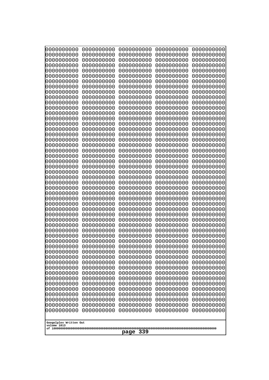| 10000000000              | 0000000000               | 0000000000               | 0000000000               | 0000000000               |  |
|--------------------------|--------------------------|--------------------------|--------------------------|--------------------------|--|
| 0000000000<br>0000000000 | 0000000000<br>0000000000 | 0000000000<br>0000000000 | 0000000000<br>0000000000 | 0000000000<br>0000000000 |  |
| 0000000000               | 0000000000               | 0000000000               | 0000000000               | 0000000000               |  |
| 0000000000               | 0000000000               | 0000000000               | 0000000000               | 0000000000               |  |
| 0000000000               | 0000000000               | 0000000000               | 0000000000               | 0000000000               |  |
| 0000000000<br>0000000000 | 0000000000<br>0000000000 | 0000000000<br>0000000000 | 0000000000<br>0000000000 | 0000000000<br>0000000000 |  |
| 0000000000               | 0000000000               | 0000000000               | 0000000000               | 0000000000               |  |
| 0000000000               | 0000000000               | 0000000000               | 0000000000               | 0000000000               |  |
| 0000000000               | 0000000000               | 0000000000               | 0000000000               | 0000000000               |  |
| 0000000000<br>0000000000 | 0000000000<br>0000000000 | 0000000000<br>0000000000 | 0000000000<br>0000000000 | 0000000000<br>0000000000 |  |
| 0000000000               | 0000000000               | 0000000000               | 0000000000               | 0000000000               |  |
| 0000000000               | 0000000000               | 0000000000               | 0000000000               | 0000000000               |  |
| 0000000000               | 0000000000               | 0000000000               | 0000000000               | 0000000000               |  |
| 0000000000<br>0000000000 | 0000000000<br>0000000000 | 0000000000<br>0000000000 | 0000000000<br>0000000000 | 0000000000<br>0000000000 |  |
| 0000000000               | 0000000000               | 0000000000               | 0000000000               | 0000000000               |  |
| 0000000000               | 0000000000               | 0000000000               | 0000000000               | 0000000000               |  |
| 0000000000               | 0000000000               | 0000000000               | 0000000000               | 0000000000               |  |
| 0000000000<br>0000000000 | 0000000000<br>0000000000 | 0000000000<br>0000000000 | 0000000000<br>0000000000 | 0000000000<br>0000000000 |  |
| 0000000000               | 0000000000               | 0000000000               | 0000000000               | 0000000000               |  |
| 0000000000               | 0000000000               | 0000000000               | 0000000000               | 0000000000               |  |
| 0000000000<br>0000000000 | 0000000000<br>0000000000 | 0000000000<br>0000000000 | 0000000000<br>0000000000 | 0000000000<br>0000000000 |  |
| 0000000000               | 0000000000               | 0000000000               | 0000000000               | 0000000000               |  |
| 0000000000               | 0000000000               | 0000000000               | 0000000000               | 0000000000               |  |
| 0000000000               | 0000000000               | 0000000000               | 0000000000               | 0000000000               |  |
| 0000000000<br>0000000000 | 0000000000<br>0000000000 | 0000000000<br>0000000000 | 0000000000<br>0000000000 | 0000000000<br>0000000000 |  |
| 0000000000               | 0000000000               | 0000000000               | 0000000000               | 0000000000               |  |
| 0000000000               | 0000000000               | 0000000000               | 0000000000               | 0000000000               |  |
| 0000000000<br>0000000000 | 0000000000<br>0000000000 | 0000000000               | 0000000000               | 0000000000               |  |
| 0000000000               | 0000000000               | 0000000000<br>0000000000 | 0000000000<br>0000000000 | 0000000000<br>0000000000 |  |
| 0000000000               | 0000000000               | 0000000000               | 0000000000               | 0000000000               |  |
| 0000000000               | 0000000000               | 0000000000               | 0000000000               | 0000000000               |  |
| 0000000000<br>0000000000 | 0000000000<br>0000000000 | 0000000000<br>0000000000 | 0000000000<br>0000000000 | 0000000000<br>0000000000 |  |
| 0000000000               | 0000000000               | 0000000000               | 0000000000               | 0000000000               |  |
| 0000000000               | 0000000000               | 0000000000               | 0000000000               | 0000000000               |  |
| 0000000000               | 0000000000               | 0000000000               | 0000000000               | 0000000000               |  |
| 0000000000<br>0000000000 | 0000000000<br>0000000000 | 0000000000<br>0000000000 | 0000000000<br>0000000000 | 0000000000<br>0000000000 |  |
| 0000000000               | 0000000000               | 0000000000               | 0000000000               | 0000000000               |  |
| 0000000000               | 0000000000               | 0000000000               | 0000000000               | 0000000000               |  |
| 0000000000               | 0000000000               | 0000000000               | 0000000000               | 0000000000               |  |
| 0000000000               | 0000000000               | 0000000000               | 0000000000               | 0000000000               |  |
| Googolplex Written Out   |                          |                          |                          |                          |  |
| volume 1013              |                          |                          |                          |                          |  |
|                          | 339<br>page              |                          |                          |                          |  |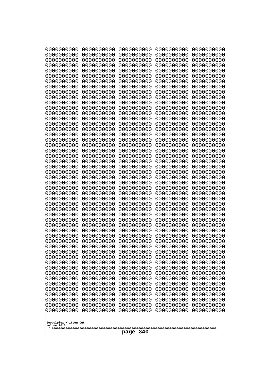| 0000000000<br>0000000000<br>0000000000<br>0000000000<br>0000000000<br>0000000000<br>0000000000<br>0000000000<br>0000000000<br>0000000000<br>0000000000<br>0000000000<br>0000000000<br>0000000000<br>0000000000<br>0000000000<br>0000000000<br>0000000000<br>0000000000<br>0000000000<br>0000000000<br>0000000000<br>0000000000<br>0000000000<br>0000000000<br>0000000000<br>0000000000<br>0000000000<br>0000000000<br>0000000000<br>0000000000<br>0000000000<br>0000000000<br>0000000000<br>0000000000<br>0000000000<br>0000000000<br>0000000000<br>0000000000<br>0000000000<br>0000000000<br>0000000000<br>0000000000<br>0000000000<br>0000000000<br>0000000000<br>0000000000<br>0000000000<br>0000000000<br>0000000000<br>0000000000<br>0000000000<br>0000000000<br>0000000000<br>0000000000<br>0000000000<br>0000000000<br>0000000000<br>0000000000<br>0000000000<br>0000000000<br>0000000000<br>0000000000<br>0000000000<br>0000000000<br>0000000000<br>0000000000<br>0000000000<br>0000000000<br>0000000000<br>0000000000<br>0000000000<br>0000000000<br>0000000000<br>0000000000<br>0000000000<br>0000000000<br>0000000000<br>0000000000<br>0000000000<br>0000000000<br>0000000000<br>0000000000<br>0000000000<br>0000000000<br>0000000000<br>0000000000<br>0000000000<br>0000000000<br>0000000000<br>0000000000<br>0000000000<br>0000000000<br>0000000000<br>0000000000<br>0000000000<br>0000000000<br>0000000000<br>0000000000<br>0000000000<br>0000000000<br>0000000000<br>0000000000<br>0000000000<br>0000000000<br>0000000000<br>0000000000<br>0000000000<br>0000000000<br>0000000000<br>0000000000<br>0000000000<br>0000000000<br>0000000000<br>0000000000<br>0000000000<br>0000000000<br>0000000000<br>0000000000<br>0000000000<br>0000000000<br>0000000000<br>0000000000<br>0000000000<br>0000000000<br>0000000000<br>0000000000<br>0000000000<br>0000000000<br>0000000000<br>0000000000<br>0000000000<br>0000000000<br>0000000000<br>0000000000<br>0000000000<br>0000000000<br>0000000000<br>0000000000<br>0000000000<br>0000000000<br>0000000000<br>0000000000<br>0000000000<br>0000000000<br>0000000000<br>0000000000<br>0000000000<br>0000000000<br>0000000000<br>0000000000<br>0000000000<br>0000000000<br>0000000000<br>0000000000<br>0000000000<br>0000000000<br>0000000000<br>0000000000<br>0000000000<br>0000000000<br>0000000000<br>0000000000<br>0000000000<br>0000000000<br>0000000000<br>0000000000<br>0000000000<br>0000000000<br>0000000000<br>0000000000<br>0000000000<br>0000000000<br>0000000000<br>0000000000<br>0000000000<br>0000000000<br>0000000000<br>0000000000<br>0000000000<br>0000000000<br>0000000000<br>0000000000<br>0000000000<br>0000000000<br>0000000000<br>0000000000<br>0000000000<br>0000000000<br>0000000000<br>0000000000<br>0000000000<br>0000000000<br>0000000000<br>0000000000<br>0000000000<br>0000000000<br>0000000000<br>0000000000<br>0000000000<br>0000000000<br>0000000000<br>0000000000<br>0000000000<br>0000000000<br>0000000000<br>0000000000<br>0000000000<br>0000000000<br>0000000000<br>0000000000<br>0000000000<br>0000000000<br>0000000000<br>0000000000<br>0000000000<br>0000000000<br>0000000000<br>0000000000<br>0000000000<br>0000000000<br>0000000000<br>0000000000<br>0000000000<br>0000000000<br>0000000000<br>0000000000<br>0000000000<br>0000000000<br>0000000000<br>0000000000<br>0000000000<br>0000000000<br>0000000000<br>0000000000<br>0000000000<br>0000000000<br>0000000000<br>0000000000<br>Googolplex Written Out<br>volume 1013<br>340 | 10000000000 | 0000000000 | 0000000000<br>0000000000 | 0000000000<br>0000000000 | 0000000000<br>0000000000 |
|--------------------------------------------------------------------------------------------------------------------------------------------------------------------------------------------------------------------------------------------------------------------------------------------------------------------------------------------------------------------------------------------------------------------------------------------------------------------------------------------------------------------------------------------------------------------------------------------------------------------------------------------------------------------------------------------------------------------------------------------------------------------------------------------------------------------------------------------------------------------------------------------------------------------------------------------------------------------------------------------------------------------------------------------------------------------------------------------------------------------------------------------------------------------------------------------------------------------------------------------------------------------------------------------------------------------------------------------------------------------------------------------------------------------------------------------------------------------------------------------------------------------------------------------------------------------------------------------------------------------------------------------------------------------------------------------------------------------------------------------------------------------------------------------------------------------------------------------------------------------------------------------------------------------------------------------------------------------------------------------------------------------------------------------------------------------------------------------------------------------------------------------------------------------------------------------------------------------------------------------------------------------------------------------------------------------------------------------------------------------------------------------------------------------------------------------------------------------------------------------------------------------------------------------------------------------------------------------------------------------------------------------------------------------------------------------------------------------------------------------------------------------------------------------------------------------------------------------------------------------------------------------------------------------------------------------------------------------------------------------------------------------------------------------------------------------------------------------------------------------------------------------------------------------------------------------------------------------------------------------------------------------------------------------------------------------------------------------------------------------------------------------------------------------------------------------------------------------------------------------------------------------------------|-------------|------------|--------------------------|--------------------------|--------------------------|
|                                                                                                                                                                                                                                                                                                                                                                                                                                                                                                                                                                                                                                                                                                                                                                                                                                                                                                                                                                                                                                                                                                                                                                                                                                                                                                                                                                                                                                                                                                                                                                                                                                                                                                                                                                                                                                                                                                                                                                                                                                                                                                                                                                                                                                                                                                                                                                                                                                                                                                                                                                                                                                                                                                                                                                                                                                                                                                                                                                                                                                                                                                                                                                                                                                                                                                                                                                                                                                                                                                                                | 0000000000  | 0000000000 |                          |                          |                          |
|                                                                                                                                                                                                                                                                                                                                                                                                                                                                                                                                                                                                                                                                                                                                                                                                                                                                                                                                                                                                                                                                                                                                                                                                                                                                                                                                                                                                                                                                                                                                                                                                                                                                                                                                                                                                                                                                                                                                                                                                                                                                                                                                                                                                                                                                                                                                                                                                                                                                                                                                                                                                                                                                                                                                                                                                                                                                                                                                                                                                                                                                                                                                                                                                                                                                                                                                                                                                                                                                                                                                |             |            |                          |                          |                          |
|                                                                                                                                                                                                                                                                                                                                                                                                                                                                                                                                                                                                                                                                                                                                                                                                                                                                                                                                                                                                                                                                                                                                                                                                                                                                                                                                                                                                                                                                                                                                                                                                                                                                                                                                                                                                                                                                                                                                                                                                                                                                                                                                                                                                                                                                                                                                                                                                                                                                                                                                                                                                                                                                                                                                                                                                                                                                                                                                                                                                                                                                                                                                                                                                                                                                                                                                                                                                                                                                                                                                |             |            |                          |                          |                          |
|                                                                                                                                                                                                                                                                                                                                                                                                                                                                                                                                                                                                                                                                                                                                                                                                                                                                                                                                                                                                                                                                                                                                                                                                                                                                                                                                                                                                                                                                                                                                                                                                                                                                                                                                                                                                                                                                                                                                                                                                                                                                                                                                                                                                                                                                                                                                                                                                                                                                                                                                                                                                                                                                                                                                                                                                                                                                                                                                                                                                                                                                                                                                                                                                                                                                                                                                                                                                                                                                                                                                |             |            |                          |                          |                          |
|                                                                                                                                                                                                                                                                                                                                                                                                                                                                                                                                                                                                                                                                                                                                                                                                                                                                                                                                                                                                                                                                                                                                                                                                                                                                                                                                                                                                                                                                                                                                                                                                                                                                                                                                                                                                                                                                                                                                                                                                                                                                                                                                                                                                                                                                                                                                                                                                                                                                                                                                                                                                                                                                                                                                                                                                                                                                                                                                                                                                                                                                                                                                                                                                                                                                                                                                                                                                                                                                                                                                |             |            |                          |                          |                          |
|                                                                                                                                                                                                                                                                                                                                                                                                                                                                                                                                                                                                                                                                                                                                                                                                                                                                                                                                                                                                                                                                                                                                                                                                                                                                                                                                                                                                                                                                                                                                                                                                                                                                                                                                                                                                                                                                                                                                                                                                                                                                                                                                                                                                                                                                                                                                                                                                                                                                                                                                                                                                                                                                                                                                                                                                                                                                                                                                                                                                                                                                                                                                                                                                                                                                                                                                                                                                                                                                                                                                |             |            |                          |                          |                          |
|                                                                                                                                                                                                                                                                                                                                                                                                                                                                                                                                                                                                                                                                                                                                                                                                                                                                                                                                                                                                                                                                                                                                                                                                                                                                                                                                                                                                                                                                                                                                                                                                                                                                                                                                                                                                                                                                                                                                                                                                                                                                                                                                                                                                                                                                                                                                                                                                                                                                                                                                                                                                                                                                                                                                                                                                                                                                                                                                                                                                                                                                                                                                                                                                                                                                                                                                                                                                                                                                                                                                |             |            |                          |                          |                          |
|                                                                                                                                                                                                                                                                                                                                                                                                                                                                                                                                                                                                                                                                                                                                                                                                                                                                                                                                                                                                                                                                                                                                                                                                                                                                                                                                                                                                                                                                                                                                                                                                                                                                                                                                                                                                                                                                                                                                                                                                                                                                                                                                                                                                                                                                                                                                                                                                                                                                                                                                                                                                                                                                                                                                                                                                                                                                                                                                                                                                                                                                                                                                                                                                                                                                                                                                                                                                                                                                                                                                |             |            |                          |                          |                          |
|                                                                                                                                                                                                                                                                                                                                                                                                                                                                                                                                                                                                                                                                                                                                                                                                                                                                                                                                                                                                                                                                                                                                                                                                                                                                                                                                                                                                                                                                                                                                                                                                                                                                                                                                                                                                                                                                                                                                                                                                                                                                                                                                                                                                                                                                                                                                                                                                                                                                                                                                                                                                                                                                                                                                                                                                                                                                                                                                                                                                                                                                                                                                                                                                                                                                                                                                                                                                                                                                                                                                |             |            |                          |                          |                          |
|                                                                                                                                                                                                                                                                                                                                                                                                                                                                                                                                                                                                                                                                                                                                                                                                                                                                                                                                                                                                                                                                                                                                                                                                                                                                                                                                                                                                                                                                                                                                                                                                                                                                                                                                                                                                                                                                                                                                                                                                                                                                                                                                                                                                                                                                                                                                                                                                                                                                                                                                                                                                                                                                                                                                                                                                                                                                                                                                                                                                                                                                                                                                                                                                                                                                                                                                                                                                                                                                                                                                |             |            |                          |                          |                          |
|                                                                                                                                                                                                                                                                                                                                                                                                                                                                                                                                                                                                                                                                                                                                                                                                                                                                                                                                                                                                                                                                                                                                                                                                                                                                                                                                                                                                                                                                                                                                                                                                                                                                                                                                                                                                                                                                                                                                                                                                                                                                                                                                                                                                                                                                                                                                                                                                                                                                                                                                                                                                                                                                                                                                                                                                                                                                                                                                                                                                                                                                                                                                                                                                                                                                                                                                                                                                                                                                                                                                |             |            |                          |                          |                          |
|                                                                                                                                                                                                                                                                                                                                                                                                                                                                                                                                                                                                                                                                                                                                                                                                                                                                                                                                                                                                                                                                                                                                                                                                                                                                                                                                                                                                                                                                                                                                                                                                                                                                                                                                                                                                                                                                                                                                                                                                                                                                                                                                                                                                                                                                                                                                                                                                                                                                                                                                                                                                                                                                                                                                                                                                                                                                                                                                                                                                                                                                                                                                                                                                                                                                                                                                                                                                                                                                                                                                |             |            |                          |                          |                          |
|                                                                                                                                                                                                                                                                                                                                                                                                                                                                                                                                                                                                                                                                                                                                                                                                                                                                                                                                                                                                                                                                                                                                                                                                                                                                                                                                                                                                                                                                                                                                                                                                                                                                                                                                                                                                                                                                                                                                                                                                                                                                                                                                                                                                                                                                                                                                                                                                                                                                                                                                                                                                                                                                                                                                                                                                                                                                                                                                                                                                                                                                                                                                                                                                                                                                                                                                                                                                                                                                                                                                |             |            |                          |                          |                          |
|                                                                                                                                                                                                                                                                                                                                                                                                                                                                                                                                                                                                                                                                                                                                                                                                                                                                                                                                                                                                                                                                                                                                                                                                                                                                                                                                                                                                                                                                                                                                                                                                                                                                                                                                                                                                                                                                                                                                                                                                                                                                                                                                                                                                                                                                                                                                                                                                                                                                                                                                                                                                                                                                                                                                                                                                                                                                                                                                                                                                                                                                                                                                                                                                                                                                                                                                                                                                                                                                                                                                |             |            |                          |                          |                          |
|                                                                                                                                                                                                                                                                                                                                                                                                                                                                                                                                                                                                                                                                                                                                                                                                                                                                                                                                                                                                                                                                                                                                                                                                                                                                                                                                                                                                                                                                                                                                                                                                                                                                                                                                                                                                                                                                                                                                                                                                                                                                                                                                                                                                                                                                                                                                                                                                                                                                                                                                                                                                                                                                                                                                                                                                                                                                                                                                                                                                                                                                                                                                                                                                                                                                                                                                                                                                                                                                                                                                |             |            |                          |                          |                          |
|                                                                                                                                                                                                                                                                                                                                                                                                                                                                                                                                                                                                                                                                                                                                                                                                                                                                                                                                                                                                                                                                                                                                                                                                                                                                                                                                                                                                                                                                                                                                                                                                                                                                                                                                                                                                                                                                                                                                                                                                                                                                                                                                                                                                                                                                                                                                                                                                                                                                                                                                                                                                                                                                                                                                                                                                                                                                                                                                                                                                                                                                                                                                                                                                                                                                                                                                                                                                                                                                                                                                |             |            |                          |                          |                          |
|                                                                                                                                                                                                                                                                                                                                                                                                                                                                                                                                                                                                                                                                                                                                                                                                                                                                                                                                                                                                                                                                                                                                                                                                                                                                                                                                                                                                                                                                                                                                                                                                                                                                                                                                                                                                                                                                                                                                                                                                                                                                                                                                                                                                                                                                                                                                                                                                                                                                                                                                                                                                                                                                                                                                                                                                                                                                                                                                                                                                                                                                                                                                                                                                                                                                                                                                                                                                                                                                                                                                |             |            |                          |                          |                          |
|                                                                                                                                                                                                                                                                                                                                                                                                                                                                                                                                                                                                                                                                                                                                                                                                                                                                                                                                                                                                                                                                                                                                                                                                                                                                                                                                                                                                                                                                                                                                                                                                                                                                                                                                                                                                                                                                                                                                                                                                                                                                                                                                                                                                                                                                                                                                                                                                                                                                                                                                                                                                                                                                                                                                                                                                                                                                                                                                                                                                                                                                                                                                                                                                                                                                                                                                                                                                                                                                                                                                |             |            |                          |                          |                          |
|                                                                                                                                                                                                                                                                                                                                                                                                                                                                                                                                                                                                                                                                                                                                                                                                                                                                                                                                                                                                                                                                                                                                                                                                                                                                                                                                                                                                                                                                                                                                                                                                                                                                                                                                                                                                                                                                                                                                                                                                                                                                                                                                                                                                                                                                                                                                                                                                                                                                                                                                                                                                                                                                                                                                                                                                                                                                                                                                                                                                                                                                                                                                                                                                                                                                                                                                                                                                                                                                                                                                |             |            |                          |                          |                          |
|                                                                                                                                                                                                                                                                                                                                                                                                                                                                                                                                                                                                                                                                                                                                                                                                                                                                                                                                                                                                                                                                                                                                                                                                                                                                                                                                                                                                                                                                                                                                                                                                                                                                                                                                                                                                                                                                                                                                                                                                                                                                                                                                                                                                                                                                                                                                                                                                                                                                                                                                                                                                                                                                                                                                                                                                                                                                                                                                                                                                                                                                                                                                                                                                                                                                                                                                                                                                                                                                                                                                |             |            |                          |                          |                          |
|                                                                                                                                                                                                                                                                                                                                                                                                                                                                                                                                                                                                                                                                                                                                                                                                                                                                                                                                                                                                                                                                                                                                                                                                                                                                                                                                                                                                                                                                                                                                                                                                                                                                                                                                                                                                                                                                                                                                                                                                                                                                                                                                                                                                                                                                                                                                                                                                                                                                                                                                                                                                                                                                                                                                                                                                                                                                                                                                                                                                                                                                                                                                                                                                                                                                                                                                                                                                                                                                                                                                |             |            |                          |                          |                          |
|                                                                                                                                                                                                                                                                                                                                                                                                                                                                                                                                                                                                                                                                                                                                                                                                                                                                                                                                                                                                                                                                                                                                                                                                                                                                                                                                                                                                                                                                                                                                                                                                                                                                                                                                                                                                                                                                                                                                                                                                                                                                                                                                                                                                                                                                                                                                                                                                                                                                                                                                                                                                                                                                                                                                                                                                                                                                                                                                                                                                                                                                                                                                                                                                                                                                                                                                                                                                                                                                                                                                |             |            |                          |                          |                          |
|                                                                                                                                                                                                                                                                                                                                                                                                                                                                                                                                                                                                                                                                                                                                                                                                                                                                                                                                                                                                                                                                                                                                                                                                                                                                                                                                                                                                                                                                                                                                                                                                                                                                                                                                                                                                                                                                                                                                                                                                                                                                                                                                                                                                                                                                                                                                                                                                                                                                                                                                                                                                                                                                                                                                                                                                                                                                                                                                                                                                                                                                                                                                                                                                                                                                                                                                                                                                                                                                                                                                |             |            |                          |                          |                          |
|                                                                                                                                                                                                                                                                                                                                                                                                                                                                                                                                                                                                                                                                                                                                                                                                                                                                                                                                                                                                                                                                                                                                                                                                                                                                                                                                                                                                                                                                                                                                                                                                                                                                                                                                                                                                                                                                                                                                                                                                                                                                                                                                                                                                                                                                                                                                                                                                                                                                                                                                                                                                                                                                                                                                                                                                                                                                                                                                                                                                                                                                                                                                                                                                                                                                                                                                                                                                                                                                                                                                |             |            |                          |                          |                          |
|                                                                                                                                                                                                                                                                                                                                                                                                                                                                                                                                                                                                                                                                                                                                                                                                                                                                                                                                                                                                                                                                                                                                                                                                                                                                                                                                                                                                                                                                                                                                                                                                                                                                                                                                                                                                                                                                                                                                                                                                                                                                                                                                                                                                                                                                                                                                                                                                                                                                                                                                                                                                                                                                                                                                                                                                                                                                                                                                                                                                                                                                                                                                                                                                                                                                                                                                                                                                                                                                                                                                |             |            |                          |                          |                          |
|                                                                                                                                                                                                                                                                                                                                                                                                                                                                                                                                                                                                                                                                                                                                                                                                                                                                                                                                                                                                                                                                                                                                                                                                                                                                                                                                                                                                                                                                                                                                                                                                                                                                                                                                                                                                                                                                                                                                                                                                                                                                                                                                                                                                                                                                                                                                                                                                                                                                                                                                                                                                                                                                                                                                                                                                                                                                                                                                                                                                                                                                                                                                                                                                                                                                                                                                                                                                                                                                                                                                |             |            |                          |                          |                          |
|                                                                                                                                                                                                                                                                                                                                                                                                                                                                                                                                                                                                                                                                                                                                                                                                                                                                                                                                                                                                                                                                                                                                                                                                                                                                                                                                                                                                                                                                                                                                                                                                                                                                                                                                                                                                                                                                                                                                                                                                                                                                                                                                                                                                                                                                                                                                                                                                                                                                                                                                                                                                                                                                                                                                                                                                                                                                                                                                                                                                                                                                                                                                                                                                                                                                                                                                                                                                                                                                                                                                |             |            |                          |                          |                          |
|                                                                                                                                                                                                                                                                                                                                                                                                                                                                                                                                                                                                                                                                                                                                                                                                                                                                                                                                                                                                                                                                                                                                                                                                                                                                                                                                                                                                                                                                                                                                                                                                                                                                                                                                                                                                                                                                                                                                                                                                                                                                                                                                                                                                                                                                                                                                                                                                                                                                                                                                                                                                                                                                                                                                                                                                                                                                                                                                                                                                                                                                                                                                                                                                                                                                                                                                                                                                                                                                                                                                |             |            |                          |                          |                          |
|                                                                                                                                                                                                                                                                                                                                                                                                                                                                                                                                                                                                                                                                                                                                                                                                                                                                                                                                                                                                                                                                                                                                                                                                                                                                                                                                                                                                                                                                                                                                                                                                                                                                                                                                                                                                                                                                                                                                                                                                                                                                                                                                                                                                                                                                                                                                                                                                                                                                                                                                                                                                                                                                                                                                                                                                                                                                                                                                                                                                                                                                                                                                                                                                                                                                                                                                                                                                                                                                                                                                | 0000000000  |            |                          |                          |                          |
|                                                                                                                                                                                                                                                                                                                                                                                                                                                                                                                                                                                                                                                                                                                                                                                                                                                                                                                                                                                                                                                                                                                                                                                                                                                                                                                                                                                                                                                                                                                                                                                                                                                                                                                                                                                                                                                                                                                                                                                                                                                                                                                                                                                                                                                                                                                                                                                                                                                                                                                                                                                                                                                                                                                                                                                                                                                                                                                                                                                                                                                                                                                                                                                                                                                                                                                                                                                                                                                                                                                                |             |            |                          |                          |                          |
|                                                                                                                                                                                                                                                                                                                                                                                                                                                                                                                                                                                                                                                                                                                                                                                                                                                                                                                                                                                                                                                                                                                                                                                                                                                                                                                                                                                                                                                                                                                                                                                                                                                                                                                                                                                                                                                                                                                                                                                                                                                                                                                                                                                                                                                                                                                                                                                                                                                                                                                                                                                                                                                                                                                                                                                                                                                                                                                                                                                                                                                                                                                                                                                                                                                                                                                                                                                                                                                                                                                                |             |            |                          |                          |                          |
|                                                                                                                                                                                                                                                                                                                                                                                                                                                                                                                                                                                                                                                                                                                                                                                                                                                                                                                                                                                                                                                                                                                                                                                                                                                                                                                                                                                                                                                                                                                                                                                                                                                                                                                                                                                                                                                                                                                                                                                                                                                                                                                                                                                                                                                                                                                                                                                                                                                                                                                                                                                                                                                                                                                                                                                                                                                                                                                                                                                                                                                                                                                                                                                                                                                                                                                                                                                                                                                                                                                                |             |            |                          |                          |                          |
|                                                                                                                                                                                                                                                                                                                                                                                                                                                                                                                                                                                                                                                                                                                                                                                                                                                                                                                                                                                                                                                                                                                                                                                                                                                                                                                                                                                                                                                                                                                                                                                                                                                                                                                                                                                                                                                                                                                                                                                                                                                                                                                                                                                                                                                                                                                                                                                                                                                                                                                                                                                                                                                                                                                                                                                                                                                                                                                                                                                                                                                                                                                                                                                                                                                                                                                                                                                                                                                                                                                                |             |            |                          |                          |                          |
|                                                                                                                                                                                                                                                                                                                                                                                                                                                                                                                                                                                                                                                                                                                                                                                                                                                                                                                                                                                                                                                                                                                                                                                                                                                                                                                                                                                                                                                                                                                                                                                                                                                                                                                                                                                                                                                                                                                                                                                                                                                                                                                                                                                                                                                                                                                                                                                                                                                                                                                                                                                                                                                                                                                                                                                                                                                                                                                                                                                                                                                                                                                                                                                                                                                                                                                                                                                                                                                                                                                                |             |            |                          |                          |                          |
|                                                                                                                                                                                                                                                                                                                                                                                                                                                                                                                                                                                                                                                                                                                                                                                                                                                                                                                                                                                                                                                                                                                                                                                                                                                                                                                                                                                                                                                                                                                                                                                                                                                                                                                                                                                                                                                                                                                                                                                                                                                                                                                                                                                                                                                                                                                                                                                                                                                                                                                                                                                                                                                                                                                                                                                                                                                                                                                                                                                                                                                                                                                                                                                                                                                                                                                                                                                                                                                                                                                                |             |            |                          |                          |                          |
|                                                                                                                                                                                                                                                                                                                                                                                                                                                                                                                                                                                                                                                                                                                                                                                                                                                                                                                                                                                                                                                                                                                                                                                                                                                                                                                                                                                                                                                                                                                                                                                                                                                                                                                                                                                                                                                                                                                                                                                                                                                                                                                                                                                                                                                                                                                                                                                                                                                                                                                                                                                                                                                                                                                                                                                                                                                                                                                                                                                                                                                                                                                                                                                                                                                                                                                                                                                                                                                                                                                                |             |            |                          |                          |                          |
|                                                                                                                                                                                                                                                                                                                                                                                                                                                                                                                                                                                                                                                                                                                                                                                                                                                                                                                                                                                                                                                                                                                                                                                                                                                                                                                                                                                                                                                                                                                                                                                                                                                                                                                                                                                                                                                                                                                                                                                                                                                                                                                                                                                                                                                                                                                                                                                                                                                                                                                                                                                                                                                                                                                                                                                                                                                                                                                                                                                                                                                                                                                                                                                                                                                                                                                                                                                                                                                                                                                                |             |            |                          |                          |                          |
|                                                                                                                                                                                                                                                                                                                                                                                                                                                                                                                                                                                                                                                                                                                                                                                                                                                                                                                                                                                                                                                                                                                                                                                                                                                                                                                                                                                                                                                                                                                                                                                                                                                                                                                                                                                                                                                                                                                                                                                                                                                                                                                                                                                                                                                                                                                                                                                                                                                                                                                                                                                                                                                                                                                                                                                                                                                                                                                                                                                                                                                                                                                                                                                                                                                                                                                                                                                                                                                                                                                                |             |            |                          |                          |                          |
|                                                                                                                                                                                                                                                                                                                                                                                                                                                                                                                                                                                                                                                                                                                                                                                                                                                                                                                                                                                                                                                                                                                                                                                                                                                                                                                                                                                                                                                                                                                                                                                                                                                                                                                                                                                                                                                                                                                                                                                                                                                                                                                                                                                                                                                                                                                                                                                                                                                                                                                                                                                                                                                                                                                                                                                                                                                                                                                                                                                                                                                                                                                                                                                                                                                                                                                                                                                                                                                                                                                                |             |            |                          |                          |                          |
|                                                                                                                                                                                                                                                                                                                                                                                                                                                                                                                                                                                                                                                                                                                                                                                                                                                                                                                                                                                                                                                                                                                                                                                                                                                                                                                                                                                                                                                                                                                                                                                                                                                                                                                                                                                                                                                                                                                                                                                                                                                                                                                                                                                                                                                                                                                                                                                                                                                                                                                                                                                                                                                                                                                                                                                                                                                                                                                                                                                                                                                                                                                                                                                                                                                                                                                                                                                                                                                                                                                                |             |            |                          |                          |                          |
|                                                                                                                                                                                                                                                                                                                                                                                                                                                                                                                                                                                                                                                                                                                                                                                                                                                                                                                                                                                                                                                                                                                                                                                                                                                                                                                                                                                                                                                                                                                                                                                                                                                                                                                                                                                                                                                                                                                                                                                                                                                                                                                                                                                                                                                                                                                                                                                                                                                                                                                                                                                                                                                                                                                                                                                                                                                                                                                                                                                                                                                                                                                                                                                                                                                                                                                                                                                                                                                                                                                                |             |            | page                     |                          |                          |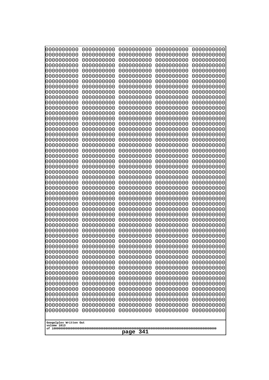| 10000000000                           | 0000000000               | 0000000000               | 0000000000               | 0000000000               |
|---------------------------------------|--------------------------|--------------------------|--------------------------|--------------------------|
| 0000000000<br>0000000000              | 0000000000<br>0000000000 | 0000000000<br>0000000000 | 0000000000<br>0000000000 | 0000000000<br>0000000000 |
| 0000000000                            | 0000000000               | 0000000000               | 0000000000               | 0000000000               |
| 0000000000                            | 0000000000               | 0000000000               | 0000000000               | 0000000000               |
| 0000000000                            | 0000000000               | 0000000000               | 0000000000               | 0000000000               |
| 0000000000                            | 0000000000               | 0000000000               | 0000000000               | 0000000000               |
| 0000000000<br>0000000000              | 0000000000<br>0000000000 | 0000000000<br>0000000000 | 0000000000<br>0000000000 | 0000000000<br>0000000000 |
| 0000000000                            | 0000000000               | 0000000000               | 0000000000               | 0000000000               |
| 0000000000                            | 0000000000               | 0000000000               | 0000000000               | 0000000000               |
| 0000000000                            | 0000000000               | 0000000000               | 0000000000               | 0000000000               |
| 0000000000<br>0000000000              | 0000000000<br>0000000000 | 0000000000<br>0000000000 | 0000000000<br>0000000000 | 0000000000<br>0000000000 |
| 0000000000                            | 0000000000               | 0000000000               | 0000000000               | 0000000000               |
| 0000000000                            | 0000000000               | 0000000000               | 0000000000               | 0000000000               |
| 0000000000                            | 0000000000               | 0000000000<br>0000000000 | 0000000000<br>0000000000 | 0000000000               |
| 0000000000<br>0000000000              | 0000000000<br>0000000000 | 0000000000               | 0000000000               | 0000000000<br>0000000000 |
| 0000000000                            | 0000000000               | 0000000000               | 0000000000               | 0000000000               |
| 0000000000                            | 0000000000               | 0000000000               | 0000000000               | 0000000000               |
| 0000000000<br>0000000000              | 0000000000<br>0000000000 | 0000000000<br>0000000000 | 0000000000<br>0000000000 | 0000000000<br>0000000000 |
| 0000000000                            | 0000000000               | 0000000000               | 0000000000               | 0000000000               |
| 0000000000                            | 0000000000               | 0000000000               | 0000000000               | 0000000000               |
| 0000000000                            | 0000000000               | 0000000000               | 0000000000               | 0000000000               |
| 0000000000<br>0000000000              | 0000000000<br>0000000000 | 0000000000<br>0000000000 | 0000000000<br>0000000000 | 0000000000<br>0000000000 |
| 0000000000                            | 0000000000               | 0000000000               | 0000000000               | 0000000000               |
| 0000000000                            | 0000000000               | 0000000000               | 0000000000               | 0000000000               |
| 0000000000                            | 0000000000               | 0000000000               | 0000000000               | 0000000000               |
| 0000000000<br>0000000000              | 0000000000<br>0000000000 | 0000000000<br>0000000000 | 0000000000<br>0000000000 | 0000000000<br>0000000000 |
| 0000000000                            | 0000000000               | 0000000000               | 0000000000               | 0000000000               |
| 0000000000                            | 0000000000               | 0000000000               | 0000000000               | 0000000000               |
| 0000000000                            | 0000000000               | 0000000000               | 0000000000               | 0000000000               |
| 0000000000<br>0000000000              | 0000000000<br>0000000000 | 0000000000<br>0000000000 | 0000000000<br>0000000000 | 0000000000<br>0000000000 |
| 0000000000                            | 0000000000               | 0000000000               | 0000000000               | 0000000000               |
| 0000000000                            | 0000000000               | 0000000000               | 0000000000               | 0000000000               |
| 0000000000                            | 0000000000               | 0000000000               | 0000000000               | 0000000000               |
| 0000000000<br>0000000000              | 0000000000<br>0000000000 | 0000000000<br>0000000000 | 0000000000<br>0000000000 | 0000000000<br>0000000000 |
| 0000000000                            | 0000000000               | 0000000000               | 0000000000               | 0000000000               |
| 0000000000                            | 0000000000               | 0000000000               | 0000000000               | 0000000000               |
| 0000000000<br>0000000000              | 0000000000<br>0000000000 | 0000000000               | 0000000000               | 0000000000               |
| 0000000000                            | 0000000000               | 0000000000<br>0000000000 | 0000000000<br>0000000000 | 0000000000<br>0000000000 |
| 0000000000                            | 0000000000               | 0000000000               | 0000000000               | 0000000000               |
| 0000000000                            | 0000000000               | 0000000000               | 0000000000               | 0000000000               |
|                                       |                          |                          |                          |                          |
| Googolplex Written Out<br>volume 1013 |                          |                          |                          |                          |
| 341<br>page                           |                          |                          |                          |                          |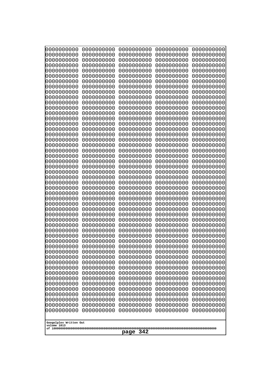| 0000000000                                           | 0000000000 | 0000000000 | 0000000000 | 0000000000 |
|------------------------------------------------------|------------|------------|------------|------------|
| 0000000000                                           | 0000000000 | 0000000000 | 0000000000 | 0000000000 |
| 0000000000                                           | 0000000000 | 0000000000 | 0000000000 | 0000000000 |
| 0000000000                                           | 0000000000 | 0000000000 | 0000000000 | 0000000000 |
| 0000000000                                           | 0000000000 | 0000000000 | 0000000000 | 0000000000 |
| 0000000000                                           | 0000000000 | 0000000000 | 0000000000 | 0000000000 |
| 0000000000                                           | 0000000000 | 0000000000 | 0000000000 | 0000000000 |
| 0000000000                                           | 0000000000 | 0000000000 | 0000000000 | 0000000000 |
| 0000000000                                           | 0000000000 | 0000000000 | 0000000000 | 0000000000 |
| 0000000000                                           | 0000000000 | 0000000000 | 0000000000 | 0000000000 |
| 0000000000                                           | 0000000000 | 0000000000 | 0000000000 | 0000000000 |
| 0000000000                                           | 0000000000 | 0000000000 | 0000000000 | 0000000000 |
| 0000000000                                           | 0000000000 | 0000000000 | 0000000000 | 0000000000 |
| 0000000000                                           | 0000000000 | 0000000000 | 0000000000 | 0000000000 |
| 0000000000                                           | 0000000000 | 0000000000 | 0000000000 | 0000000000 |
| 0000000000                                           | 0000000000 | 0000000000 | 0000000000 | 0000000000 |
| 0000000000                                           | 0000000000 | 0000000000 | 0000000000 | 0000000000 |
| 0000000000                                           | 0000000000 | 0000000000 | 0000000000 | 0000000000 |
| 0000000000                                           | 0000000000 | 0000000000 | 0000000000 | 0000000000 |
| 0000000000                                           | 0000000000 | 0000000000 | 0000000000 | 0000000000 |
| 0000000000                                           | 0000000000 | 0000000000 | 0000000000 | 0000000000 |
| 0000000000                                           | 0000000000 | 0000000000 | 0000000000 | 0000000000 |
| 0000000000                                           | 0000000000 | 0000000000 | 0000000000 | 0000000000 |
| 0000000000                                           | 0000000000 | 0000000000 | 0000000000 | 0000000000 |
| 0000000000                                           | 0000000000 | 0000000000 | 0000000000 | 0000000000 |
| 0000000000                                           | 0000000000 | 0000000000 | 0000000000 | 0000000000 |
| 0000000000                                           | 0000000000 | 0000000000 | 0000000000 | 0000000000 |
| 0000000000                                           | 0000000000 | 0000000000 | 0000000000 | 0000000000 |
| 0000000000                                           | 0000000000 | 0000000000 | 0000000000 | 0000000000 |
| 0000000000                                           | 0000000000 | 0000000000 | 0000000000 | 0000000000 |
| 0000000000                                           | 0000000000 | 0000000000 | 0000000000 | 0000000000 |
| 0000000000                                           | 0000000000 | 0000000000 | 0000000000 | 0000000000 |
| 0000000000                                           | 0000000000 | 0000000000 | 0000000000 | 0000000000 |
| 0000000000                                           | 0000000000 | 0000000000 | 0000000000 | 0000000000 |
| 0000000000                                           | 0000000000 | 0000000000 | 0000000000 | 0000000000 |
| 0000000000                                           | 0000000000 | 0000000000 | 0000000000 | 0000000000 |
| 0000000000                                           | 0000000000 | 0000000000 | 0000000000 | 0000000000 |
| 0000000000                                           | 0000000000 | 0000000000 | 0000000000 | 0000000000 |
| 0000000000                                           | 0000000000 | 0000000000 | 0000000000 | 0000000000 |
| 0000000000                                           | 0000000000 | 0000000000 | 0000000000 | 0000000000 |
| 0000000000                                           | 0000000000 | 0000000000 | 0000000000 | 0000000000 |
| 0000000000                                           | 0000000000 | 0000000000 | 0000000000 | 0000000000 |
| 0000000000                                           | 0000000000 | 0000000000 | 0000000000 | 0000000000 |
| 0000000000                                           | 0000000000 | 0000000000 | 0000000000 | 0000000000 |
| 0000000000                                           | 0000000000 | 0000000000 | 0000000000 | 0000000000 |
| 0000000000                                           | 0000000000 | 0000000000 | 0000000000 | 0000000000 |
| 0000000000                                           | 0000000000 | 0000000000 | 0000000000 | 0000000000 |
| 0000000000                                           | 0000000000 | 0000000000 | 0000000000 | 0000000000 |
| 0000000000                                           | 0000000000 | 0000000000 | 0000000000 | 0000000000 |
| 0000000000                                           | 0000000000 | 0000000000 | 0000000000 | 0000000000 |
| Googolplex Written Out<br>volume 1013<br>342<br>page |            |            |            |            |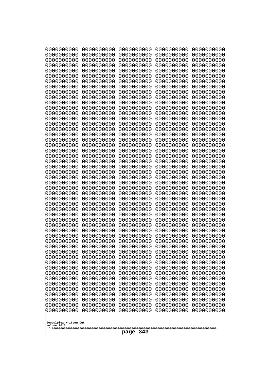| 0000000000                                                                                                                 | 0000000000 | 0000000000 | 0000000000 | 0000000000 |
|----------------------------------------------------------------------------------------------------------------------------|------------|------------|------------|------------|
| 0000000000                                                                                                                 | 0000000000 | 0000000000 | 0000000000 | 0000000000 |
| 0000000000                                                                                                                 | 0000000000 | 0000000000 | 0000000000 | 0000000000 |
| 0000000000                                                                                                                 | 0000000000 | 0000000000 | 0000000000 | 0000000000 |
| 0000000000                                                                                                                 | 0000000000 | 0000000000 | 0000000000 | 0000000000 |
| 0000000000                                                                                                                 | 0000000000 | 0000000000 | 0000000000 | 0000000000 |
| 0000000000                                                                                                                 | 0000000000 | 0000000000 | 0000000000 | 0000000000 |
| 0000000000                                                                                                                 | 0000000000 | 0000000000 | 0000000000 | 0000000000 |
| 0000000000                                                                                                                 | 0000000000 | 0000000000 | 0000000000 | 0000000000 |
| 0000000000                                                                                                                 | 0000000000 | 0000000000 | 0000000000 | 0000000000 |
| 0000000000                                                                                                                 | 0000000000 | 0000000000 | 0000000000 | 0000000000 |
| 0000000000                                                                                                                 | 0000000000 | 0000000000 | 0000000000 | 0000000000 |
| 0000000000                                                                                                                 | 0000000000 | 0000000000 | 0000000000 | 0000000000 |
| 0000000000                                                                                                                 | 0000000000 | 0000000000 | 0000000000 | 0000000000 |
| 0000000000                                                                                                                 | 0000000000 | 0000000000 | 0000000000 | 0000000000 |
| 0000000000                                                                                                                 | 0000000000 | 0000000000 | 0000000000 | 0000000000 |
| 0000000000                                                                                                                 | 0000000000 | 0000000000 | 0000000000 | 0000000000 |
| 0000000000                                                                                                                 | 0000000000 | 0000000000 | 0000000000 | 0000000000 |
| 0000000000                                                                                                                 | 0000000000 | 0000000000 | 0000000000 | 0000000000 |
| 0000000000                                                                                                                 | 0000000000 | 0000000000 | 0000000000 | 0000000000 |
| 0000000000                                                                                                                 | 0000000000 | 0000000000 | 0000000000 | 0000000000 |
| 0000000000                                                                                                                 | 0000000000 | 0000000000 | 0000000000 | 0000000000 |
|                                                                                                                            |            |            |            |            |
|                                                                                                                            |            |            |            |            |
|                                                                                                                            |            |            |            |            |
| 0000000000                                                                                                                 | 0000000000 | 0000000000 | 0000000000 | 0000000000 |
| 0000000000                                                                                                                 | 0000000000 | 0000000000 | 0000000000 | 0000000000 |
| 0000000000                                                                                                                 | 0000000000 | 0000000000 | 0000000000 | 0000000000 |
| 0000000000                                                                                                                 | 0000000000 | 0000000000 | 0000000000 | 0000000000 |
| 0000000000                                                                                                                 | 0000000000 | 0000000000 | 0000000000 | 0000000000 |
| 0000000000                                                                                                                 | 0000000000 | 0000000000 | 0000000000 | 0000000000 |
| 0000000000                                                                                                                 | 0000000000 | 0000000000 | 0000000000 | 0000000000 |
| 0000000000                                                                                                                 | 0000000000 | 0000000000 | 0000000000 | 0000000000 |
| 0000000000                                                                                                                 | 0000000000 | 0000000000 | 0000000000 | 0000000000 |
| 0000000000                                                                                                                 | 0000000000 | 0000000000 | 0000000000 | 0000000000 |
| 0000000000                                                                                                                 | 0000000000 | 0000000000 | 0000000000 | 0000000000 |
| 0000000000                                                                                                                 | 0000000000 | 0000000000 | 0000000000 | 0000000000 |
| 0000000000                                                                                                                 | 0000000000 | 0000000000 | 0000000000 | 0000000000 |
| 0000000000                                                                                                                 | 0000000000 | 0000000000 | 0000000000 | 0000000000 |
| 0000000000                                                                                                                 | 0000000000 | 0000000000 | 0000000000 | 0000000000 |
| 0000000000                                                                                                                 | 0000000000 | 0000000000 | 0000000000 | 0000000000 |
| 0000000000                                                                                                                 | 0000000000 | 0000000000 | 0000000000 | 0000000000 |
| 0000000000                                                                                                                 | 0000000000 | 0000000000 | 0000000000 | 0000000000 |
| 0000000000                                                                                                                 | 0000000000 | 0000000000 | 0000000000 | 0000000000 |
| 0000000000                                                                                                                 | 0000000000 | 0000000000 | 0000000000 | 0000000000 |
| 0000000000                                                                                                                 | 0000000000 | 0000000000 | 0000000000 | 0000000000 |
| 0000000000                                                                                                                 | 0000000000 | 0000000000 | 0000000000 | 0000000000 |
| 0000000000                                                                                                                 | 0000000000 | 0000000000 | 0000000000 | 0000000000 |
| 0000000000                                                                                                                 | 0000000000 | 0000000000 | 0000000000 | 0000000000 |
| 0000000000                                                                                                                 | 0000000000 | 0000000000 | 0000000000 | 0000000000 |
| 0000000000                                                                                                                 | 0000000000 | 0000000000 | 0000000000 | 0000000000 |
| 0000000000                                                                                                                 | 0000000000 | 0000000000 | 0000000000 | 0000000000 |
| 0000000000<br>0000000000<br>0000000000<br>0000000000<br>0000000000<br>Googolplex Written Out<br>volume 1013<br>343<br>page |            |            |            |            |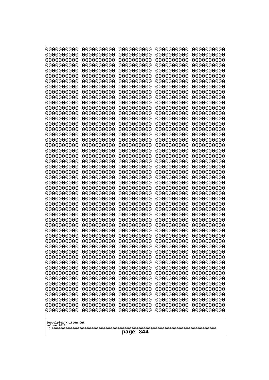| 0000000000                                           | 0000000000 | 0000000000 | 0000000000 | 0000000000 |
|------------------------------------------------------|------------|------------|------------|------------|
| 0000000000                                           | 0000000000 | 0000000000 | 0000000000 | 0000000000 |
| 0000000000                                           | 0000000000 | 0000000000 | 0000000000 | 0000000000 |
| 0000000000                                           | 0000000000 | 0000000000 | 0000000000 | 0000000000 |
| 0000000000                                           | 0000000000 | 0000000000 | 0000000000 | 0000000000 |
| 0000000000                                           | 0000000000 | 0000000000 | 0000000000 | 0000000000 |
| 0000000000                                           | 0000000000 | 0000000000 | 0000000000 | 0000000000 |
| 0000000000                                           | 0000000000 | 0000000000 | 0000000000 | 0000000000 |
| 0000000000                                           | 0000000000 | 0000000000 | 0000000000 | 0000000000 |
| 0000000000                                           | 0000000000 | 0000000000 | 0000000000 | 0000000000 |
| 0000000000                                           | 0000000000 | 0000000000 | 0000000000 | 0000000000 |
| 0000000000                                           | 0000000000 | 0000000000 | 0000000000 | 0000000000 |
| 0000000000                                           | 0000000000 | 0000000000 | 0000000000 | 0000000000 |
| 0000000000                                           | 0000000000 | 0000000000 | 0000000000 | 0000000000 |
| 0000000000                                           | 0000000000 | 0000000000 | 0000000000 | 0000000000 |
| 0000000000                                           | 0000000000 | 0000000000 | 0000000000 | 0000000000 |
| 0000000000                                           | 0000000000 | 0000000000 | 0000000000 | 0000000000 |
| 0000000000                                           | 0000000000 | 0000000000 | 0000000000 | 0000000000 |
| 0000000000                                           | 0000000000 | 0000000000 | 0000000000 | 0000000000 |
| 0000000000                                           | 0000000000 | 0000000000 | 0000000000 | 0000000000 |
| 0000000000                                           | 0000000000 | 0000000000 | 0000000000 | 0000000000 |
|                                                      |            |            |            |            |
| 0000000000                                           | 0000000000 | 0000000000 | 0000000000 | 0000000000 |
| 0000000000                                           | 0000000000 | 0000000000 | 0000000000 | 0000000000 |
| 0000000000                                           | 0000000000 | 0000000000 | 0000000000 | 0000000000 |
| 0000000000                                           | 0000000000 | 0000000000 | 0000000000 | 0000000000 |
| 0000000000                                           | 0000000000 | 0000000000 | 0000000000 | 0000000000 |
| 0000000000                                           | 0000000000 | 0000000000 | 0000000000 | 0000000000 |
| 0000000000                                           | 0000000000 | 0000000000 | 0000000000 | 0000000000 |
| 0000000000                                           | 0000000000 | 0000000000 | 0000000000 | 0000000000 |
| 0000000000                                           | 0000000000 | 0000000000 | 0000000000 | 0000000000 |
| 0000000000                                           | 0000000000 | 0000000000 | 0000000000 | 0000000000 |
| 0000000000                                           | 0000000000 | 0000000000 | 0000000000 | 0000000000 |
| 0000000000                                           | 0000000000 | 0000000000 | 0000000000 | 0000000000 |
| 0000000000                                           | 0000000000 | 0000000000 | 0000000000 | 0000000000 |
| 0000000000                                           | 0000000000 | 0000000000 | 0000000000 | 0000000000 |
| 0000000000                                           | 0000000000 | 0000000000 | 0000000000 | 0000000000 |
| 0000000000                                           | 0000000000 | 0000000000 | 0000000000 | 0000000000 |
| 0000000000                                           | 0000000000 | 0000000000 | 0000000000 | 0000000000 |
| 0000000000                                           | 0000000000 | 0000000000 | 0000000000 | 0000000000 |
| 0000000000                                           | 0000000000 | 0000000000 | 0000000000 | 0000000000 |
| 0000000000                                           | 0000000000 | 0000000000 | 0000000000 | 0000000000 |
| 0000000000                                           | 0000000000 | 0000000000 | 0000000000 | 0000000000 |
| 0000000000                                           | 0000000000 | 0000000000 | 0000000000 | 0000000000 |
| 0000000000                                           | 0000000000 | 0000000000 | 0000000000 | 0000000000 |
| 0000000000                                           | 0000000000 | 0000000000 | 0000000000 | 0000000000 |
| 0000000000                                           | 0000000000 | 0000000000 | 0000000000 | 0000000000 |
| 0000000000                                           | 0000000000 | 0000000000 | 0000000000 | 0000000000 |
| 0000000000                                           | 0000000000 | 0000000000 | 0000000000 | 0000000000 |
| 0000000000                                           | 0000000000 | 0000000000 | 0000000000 | 0000000000 |
| 0000000000                                           | 0000000000 | 0000000000 | 0000000000 | 0000000000 |
| Googolplex Written Out<br>volume 1013<br>344<br>page |            |            |            |            |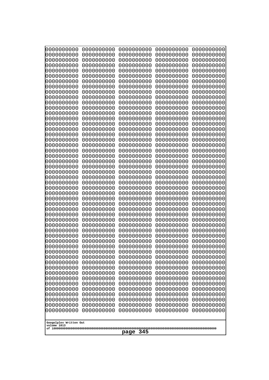| 0000000000                                           | 0000000000 | 0000000000 | 0000000000 | 0000000000 |
|------------------------------------------------------|------------|------------|------------|------------|
| 0000000000                                           | 0000000000 | 0000000000 | 0000000000 | 0000000000 |
| 0000000000                                           | 0000000000 | 0000000000 | 0000000000 | 0000000000 |
| 0000000000                                           | 0000000000 | 0000000000 | 0000000000 | 0000000000 |
| 0000000000                                           | 0000000000 | 0000000000 | 0000000000 | 0000000000 |
| 0000000000                                           | 0000000000 | 0000000000 | 0000000000 | 0000000000 |
| 0000000000                                           | 0000000000 | 0000000000 | 0000000000 | 0000000000 |
| 0000000000                                           | 0000000000 | 0000000000 | 0000000000 | 0000000000 |
| 0000000000                                           | 0000000000 | 0000000000 | 0000000000 | 0000000000 |
| 0000000000                                           | 0000000000 | 0000000000 | 0000000000 | 0000000000 |
| 0000000000                                           | 0000000000 | 0000000000 | 0000000000 | 0000000000 |
| 0000000000                                           | 0000000000 | 0000000000 | 0000000000 | 0000000000 |
| 0000000000                                           | 0000000000 | 0000000000 | 0000000000 | 0000000000 |
| 0000000000                                           | 0000000000 | 0000000000 | 0000000000 | 0000000000 |
| 0000000000                                           | 0000000000 | 0000000000 | 0000000000 | 0000000000 |
| 0000000000                                           | 0000000000 | 0000000000 | 0000000000 | 0000000000 |
| 0000000000                                           | 0000000000 | 0000000000 | 0000000000 | 0000000000 |
| 0000000000                                           | 0000000000 | 0000000000 | 0000000000 | 0000000000 |
| 0000000000                                           | 0000000000 | 0000000000 | 0000000000 | 0000000000 |
| 0000000000                                           | 0000000000 | 0000000000 | 0000000000 | 0000000000 |
| 0000000000                                           | 0000000000 | 0000000000 | 0000000000 | 0000000000 |
| 0000000000                                           | 0000000000 | 0000000000 | 0000000000 | 0000000000 |
| 0000000000                                           | 0000000000 | 0000000000 | 0000000000 | 0000000000 |
| 0000000000                                           | 0000000000 | 0000000000 | 0000000000 | 0000000000 |
| 0000000000                                           | 0000000000 | 0000000000 | 0000000000 | 0000000000 |
| 0000000000                                           | 0000000000 | 0000000000 | 0000000000 | 0000000000 |
| 0000000000                                           | 0000000000 | 0000000000 | 0000000000 | 0000000000 |
| 0000000000                                           | 0000000000 | 0000000000 | 0000000000 | 0000000000 |
| 0000000000                                           | 0000000000 | 0000000000 | 0000000000 | 0000000000 |
| 0000000000                                           | 0000000000 | 0000000000 | 0000000000 | 0000000000 |
| 0000000000                                           | 0000000000 | 0000000000 | 0000000000 | 0000000000 |
| 0000000000                                           | 0000000000 | 0000000000 | 0000000000 | 0000000000 |
| 0000000000                                           | 0000000000 | 0000000000 | 0000000000 | 0000000000 |
| 0000000000                                           | 0000000000 | 0000000000 | 0000000000 | 0000000000 |
| 0000000000                                           | 0000000000 | 0000000000 | 0000000000 | 0000000000 |
| 0000000000                                           | 0000000000 | 0000000000 | 0000000000 | 0000000000 |
| 0000000000                                           | 0000000000 | 0000000000 | 0000000000 | 0000000000 |
| 0000000000                                           | 0000000000 | 0000000000 | 0000000000 | 0000000000 |
| 0000000000                                           | 0000000000 | 0000000000 | 0000000000 | 0000000000 |
| 0000000000                                           | 0000000000 | 0000000000 | 0000000000 | 0000000000 |
| 0000000000                                           | 0000000000 | 0000000000 | 0000000000 | 0000000000 |
| 0000000000                                           | 0000000000 | 0000000000 | 0000000000 | 0000000000 |
| 0000000000                                           | 0000000000 | 0000000000 | 0000000000 | 0000000000 |
| 0000000000                                           | 0000000000 | 0000000000 | 0000000000 | 0000000000 |
| 0000000000                                           | 0000000000 | 0000000000 | 0000000000 | 0000000000 |
| 0000000000                                           | 0000000000 | 0000000000 | 0000000000 | 0000000000 |
| 0000000000                                           | 0000000000 | 0000000000 | 0000000000 | 0000000000 |
| 0000000000                                           | 0000000000 | 0000000000 | 0000000000 | 0000000000 |
| 0000000000                                           | 0000000000 | 0000000000 | 0000000000 | 0000000000 |
| 0000000000                                           | 0000000000 | 0000000000 | 0000000000 | 0000000000 |
| Googolplex Written Out<br>volume 1013<br>345<br>page |            |            |            |            |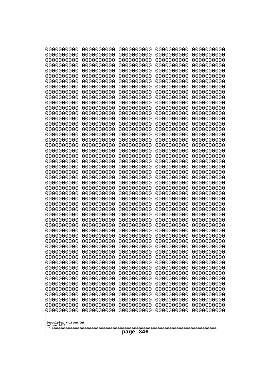| 0000000000                                           | 0000000000 | 0000000000 | 0000000000 | 0000000000 |
|------------------------------------------------------|------------|------------|------------|------------|
| 0000000000                                           | 0000000000 | 0000000000 | 0000000000 | 0000000000 |
| 0000000000                                           | 0000000000 | 0000000000 | 0000000000 | 0000000000 |
| 0000000000                                           | 0000000000 | 0000000000 | 0000000000 | 0000000000 |
| 0000000000                                           | 0000000000 | 0000000000 | 0000000000 | 0000000000 |
| 0000000000                                           | 0000000000 | 0000000000 | 0000000000 | 0000000000 |
| 0000000000                                           | 0000000000 | 0000000000 | 0000000000 | 0000000000 |
| 0000000000                                           | 0000000000 | 0000000000 | 0000000000 | 0000000000 |
| 0000000000                                           | 0000000000 | 0000000000 | 0000000000 | 0000000000 |
| 0000000000                                           | 0000000000 | 0000000000 | 0000000000 | 0000000000 |
| 0000000000                                           | 0000000000 | 0000000000 | 0000000000 | 0000000000 |
| 0000000000                                           | 0000000000 | 0000000000 | 0000000000 | 0000000000 |
| 0000000000                                           | 0000000000 | 0000000000 | 0000000000 | 0000000000 |
| 0000000000                                           | 0000000000 | 0000000000 | 0000000000 | 0000000000 |
| 0000000000                                           | 0000000000 | 0000000000 | 0000000000 | 0000000000 |
| 0000000000                                           | 0000000000 | 0000000000 | 0000000000 | 0000000000 |
| 0000000000                                           | 0000000000 | 0000000000 | 0000000000 | 0000000000 |
| 0000000000                                           | 0000000000 | 0000000000 | 0000000000 | 0000000000 |
| 0000000000                                           | 0000000000 | 0000000000 | 0000000000 | 0000000000 |
| 0000000000                                           | 0000000000 | 0000000000 | 0000000000 | 0000000000 |
| 0000000000                                           | 0000000000 | 0000000000 | 0000000000 | 0000000000 |
|                                                      |            |            |            |            |
|                                                      |            |            |            |            |
|                                                      |            |            |            |            |
| 0000000000                                           | 0000000000 | 0000000000 | 0000000000 | 0000000000 |
| 0000000000                                           | 0000000000 | 0000000000 | 0000000000 | 0000000000 |
| 0000000000                                           | 0000000000 | 0000000000 | 0000000000 | 0000000000 |
| 0000000000                                           | 0000000000 | 0000000000 | 0000000000 | 0000000000 |
| 0000000000                                           | 0000000000 | 0000000000 | 0000000000 | 0000000000 |
| 0000000000                                           | 0000000000 | 0000000000 | 0000000000 | 0000000000 |
| 0000000000                                           | 0000000000 | 0000000000 | 0000000000 | 0000000000 |
| 0000000000                                           | 0000000000 | 0000000000 | 0000000000 | 0000000000 |
| 0000000000                                           | 0000000000 | 0000000000 | 0000000000 | 0000000000 |
| 0000000000                                           | 0000000000 | 0000000000 | 0000000000 | 0000000000 |
| 0000000000                                           | 0000000000 | 0000000000 | 0000000000 | 0000000000 |
| 0000000000                                           | 0000000000 | 0000000000 | 0000000000 | 0000000000 |
| 0000000000                                           | 0000000000 | 0000000000 | 0000000000 | 0000000000 |
| 0000000000                                           | 0000000000 | 0000000000 | 0000000000 | 0000000000 |
| 0000000000                                           | 0000000000 | 0000000000 | 0000000000 | 0000000000 |
| 0000000000                                           | 0000000000 | 0000000000 | 0000000000 | 0000000000 |
| 0000000000                                           | 0000000000 | 0000000000 | 0000000000 | 0000000000 |
| 0000000000                                           | 0000000000 | 0000000000 | 0000000000 | 0000000000 |
| 0000000000                                           | 0000000000 | 0000000000 | 0000000000 | 0000000000 |
| 0000000000                                           | 0000000000 | 0000000000 | 0000000000 | 0000000000 |
| 0000000000                                           | 0000000000 | 0000000000 | 0000000000 | 0000000000 |
| 0000000000                                           | 0000000000 | 0000000000 | 0000000000 | 0000000000 |
| 0000000000                                           | 0000000000 | 0000000000 | 0000000000 | 0000000000 |
| 0000000000                                           | 0000000000 | 0000000000 | 0000000000 | 0000000000 |
| 0000000000                                           | 0000000000 | 0000000000 | 0000000000 | 0000000000 |
| 0000000000                                           | 0000000000 | 0000000000 | 0000000000 | 0000000000 |
| 0000000000                                           | 0000000000 | 0000000000 | 0000000000 | 0000000000 |
| 0000000000                                           | 0000000000 | 0000000000 | 0000000000 | 0000000000 |
| 0000000000                                           | 0000000000 | 0000000000 | 0000000000 | 0000000000 |
| Googolplex Written Out<br>volume 1013<br>346<br>page |            |            |            |            |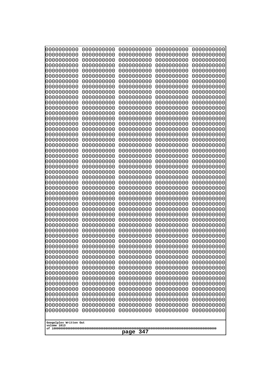| 10000000000<br>0000000000             | 0000000000<br>0000000000 | 0000000000<br>0000000000 | 0000000000<br>0000000000 | 0000000000<br>0000000000 |
|---------------------------------------|--------------------------|--------------------------|--------------------------|--------------------------|
| 0000000000                            | 0000000000               | 0000000000               | 0000000000               | 0000000000               |
| 0000000000                            | 0000000000               | 0000000000               | 0000000000               | 0000000000               |
| 0000000000<br>0000000000              | 0000000000<br>0000000000 | 0000000000<br>0000000000 | 0000000000<br>0000000000 | 0000000000<br>0000000000 |
| 0000000000                            | 0000000000               | 0000000000               | 0000000000               | 0000000000               |
| 0000000000                            | 0000000000               | 0000000000               | 0000000000               | 0000000000               |
| 0000000000<br>0000000000              | 0000000000<br>0000000000 | 0000000000<br>0000000000 | 0000000000<br>0000000000 | 0000000000<br>0000000000 |
| 0000000000                            | 0000000000               | 0000000000               | 0000000000               | 0000000000               |
| 0000000000                            | 0000000000               | 0000000000               | 0000000000               | 0000000000               |
| 0000000000<br>0000000000              | 0000000000<br>0000000000 | 0000000000<br>0000000000 | 0000000000<br>0000000000 | 0000000000<br>0000000000 |
| 0000000000                            | 0000000000               | 0000000000               | 0000000000               | 0000000000               |
| 0000000000                            | 0000000000               | 0000000000               | 0000000000               | 0000000000               |
| 0000000000<br>0000000000              | 0000000000<br>0000000000 | 0000000000<br>0000000000 | 0000000000<br>0000000000 | 0000000000<br>0000000000 |
| 0000000000                            | 0000000000               | 0000000000               | 0000000000               | 0000000000               |
| 0000000000                            | 0000000000               | 0000000000               | 0000000000               | 0000000000               |
| 0000000000<br>0000000000              | 0000000000<br>0000000000 | 0000000000<br>0000000000 | 0000000000<br>0000000000 | 0000000000<br>0000000000 |
| 0000000000                            | 0000000000               | 0000000000               | 0000000000               | 0000000000               |
| 0000000000                            | 0000000000               | 0000000000               | 0000000000               | 0000000000               |
| 0000000000<br>0000000000              | 0000000000<br>0000000000 | 0000000000<br>0000000000 | 0000000000<br>0000000000 | 0000000000<br>0000000000 |
| 0000000000                            | 0000000000               | 0000000000               | 0000000000               | 0000000000               |
| 0000000000                            | 0000000000               | 0000000000               | 0000000000               | 0000000000               |
| 0000000000<br>0000000000              | 0000000000<br>0000000000 | 0000000000<br>0000000000 | 0000000000<br>0000000000 | 0000000000<br>0000000000 |
| 0000000000                            | 0000000000               | 0000000000               | 0000000000               | 0000000000               |
| 0000000000                            | 0000000000               | 0000000000               | 0000000000               | 0000000000               |
| 0000000000<br>0000000000              | 0000000000<br>0000000000 | 0000000000<br>0000000000 | 0000000000<br>0000000000 | 0000000000<br>0000000000 |
| 0000000000                            | 0000000000               | 0000000000               | 0000000000               | 0000000000               |
| 0000000000                            | 0000000000               | 0000000000               | 0000000000               | 0000000000               |
| 0000000000<br>0000000000              | 0000000000<br>0000000000 | 0000000000<br>0000000000 | 0000000000<br>0000000000 | 0000000000<br>0000000000 |
| 0000000000                            | 0000000000               | 0000000000               | 0000000000               | 0000000000               |
| 0000000000                            | 0000000000               | 0000000000               | 0000000000               | 0000000000               |
| 0000000000<br>0000000000              | 0000000000<br>0000000000 | 0000000000<br>0000000000 | 0000000000<br>0000000000 | 0000000000<br>0000000000 |
| 0000000000                            | 0000000000               | 0000000000               | 0000000000               | 0000000000               |
| 0000000000                            | 0000000000               | 0000000000               | 0000000000               | 0000000000               |
| 0000000000<br>0000000000              | 0000000000<br>0000000000 | 0000000000<br>0000000000 | 0000000000<br>0000000000 | 0000000000<br>0000000000 |
| 0000000000                            | 0000000000               | 0000000000               | 0000000000               | 0000000000               |
| 0000000000                            | 0000000000               | 0000000000               | 0000000000               | 0000000000               |
| 0000000000<br>0000000000              | 0000000000<br>0000000000 | 0000000000<br>0000000000 | 0000000000<br>0000000000 | 0000000000<br>0000000000 |
|                                       |                          |                          |                          |                          |
| Googolplex Written Out<br>volume 1013 |                          |                          |                          |                          |
|                                       |                          | 347<br>page              |                          |                          |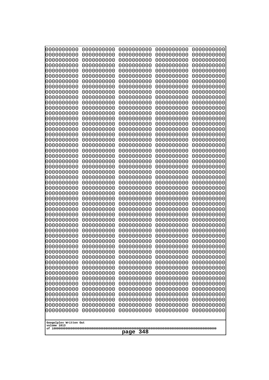| 10000000000                           | 0000000000               | 0000000000               | 0000000000               | 0000000000               |
|---------------------------------------|--------------------------|--------------------------|--------------------------|--------------------------|
| 0000000000<br>0000000000              | 0000000000<br>0000000000 | 0000000000<br>0000000000 | 0000000000<br>0000000000 | 0000000000<br>0000000000 |
| 0000000000                            | 0000000000               | 0000000000               | 0000000000               | 0000000000               |
| 0000000000                            | 0000000000               | 0000000000               | 0000000000               | 0000000000               |
| 0000000000                            | 0000000000               | 0000000000               | 0000000000               | 0000000000               |
| 0000000000<br>0000000000              | 0000000000<br>0000000000 | 0000000000<br>0000000000 | 0000000000<br>0000000000 | 0000000000<br>0000000000 |
| 0000000000                            | 0000000000               | 0000000000               | 0000000000               | 0000000000               |
| 0000000000                            | 0000000000               | 0000000000               | 0000000000               | 0000000000               |
| 0000000000                            | 0000000000               | 0000000000               | 0000000000               | 0000000000               |
| 0000000000<br>0000000000              | 0000000000<br>0000000000 | 0000000000<br>0000000000 | 0000000000<br>0000000000 | 0000000000<br>0000000000 |
| 0000000000                            | 0000000000               | 0000000000               | 0000000000               | 0000000000               |
| 0000000000                            | 0000000000               | 0000000000               | 0000000000               | 0000000000               |
| 0000000000                            | 0000000000               | 0000000000               | 0000000000               | 0000000000               |
| 0000000000<br>0000000000              | 0000000000<br>0000000000 | 0000000000<br>0000000000 | 0000000000<br>0000000000 | 0000000000<br>0000000000 |
| 0000000000                            | 0000000000               | 0000000000               | 0000000000               | 0000000000               |
| 0000000000                            | 0000000000               | 0000000000               | 0000000000               | 0000000000               |
| 0000000000                            | 0000000000               | 0000000000               | 0000000000               | 0000000000               |
| 0000000000<br>0000000000              | 0000000000<br>0000000000 | 0000000000<br>0000000000 | 0000000000<br>0000000000 | 0000000000<br>0000000000 |
| 0000000000                            | 0000000000               | 0000000000               | 0000000000               | 0000000000               |
| 0000000000                            | 0000000000               | 0000000000               | 0000000000               | 0000000000               |
| 0000000000                            | 0000000000               | 0000000000               | 0000000000               | 0000000000               |
| 0000000000<br>0000000000              | 0000000000<br>0000000000 | 0000000000<br>0000000000 | 0000000000<br>0000000000 | 0000000000<br>0000000000 |
| 0000000000                            | 0000000000               | 0000000000               | 0000000000               | 0000000000               |
| 0000000000                            | 0000000000               | 0000000000               | 0000000000               | 0000000000               |
| 0000000000                            | 0000000000               | 0000000000               | 0000000000               | 0000000000               |
| 0000000000<br>0000000000              | 0000000000<br>0000000000 | 0000000000<br>0000000000 | 0000000000<br>0000000000 | 0000000000<br>0000000000 |
| 0000000000                            | 0000000000               | 0000000000               | 0000000000               | 0000000000               |
| 0000000000                            | 0000000000               | 0000000000               | 0000000000               | 0000000000               |
| 0000000000                            | 0000000000<br>0000000000 | 0000000000<br>0000000000 | 0000000000               | 0000000000               |
| 0000000000<br>0000000000              | 0000000000               | 0000000000               | 0000000000<br>0000000000 | 0000000000<br>0000000000 |
| 0000000000                            | 0000000000               | 0000000000               | 0000000000               | 0000000000               |
| 0000000000                            | 0000000000               | 0000000000               | 0000000000               | 0000000000               |
| 0000000000<br>0000000000              | 0000000000<br>0000000000 | 0000000000<br>0000000000 | 0000000000<br>0000000000 | 0000000000<br>0000000000 |
| 0000000000                            | 0000000000               | 0000000000               | 0000000000               | 0000000000               |
| 0000000000                            | 0000000000               | 0000000000               | 0000000000               | 0000000000               |
| 0000000000                            | 0000000000               | 0000000000               | 0000000000               | 0000000000               |
| 0000000000<br>0000000000              | 0000000000<br>0000000000 | 0000000000<br>0000000000 | 0000000000<br>0000000000 | 0000000000<br>0000000000 |
| 0000000000                            | 0000000000               | 0000000000               | 0000000000               | 0000000000               |
| 0000000000                            | 0000000000               | 0000000000               | 0000000000               | 0000000000               |
| 0000000000                            | 0000000000               | 0000000000               | 0000000000               | 0000000000               |
|                                       |                          |                          |                          |                          |
| Googolplex Written Out<br>volume 1013 |                          |                          |                          |                          |
| 348<br>page                           |                          |                          |                          |                          |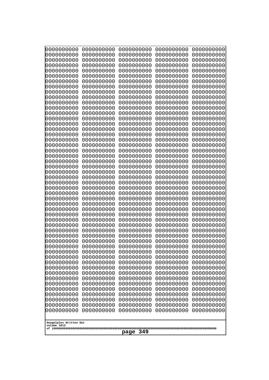| 10000000000                           | 0000000000               | 0000000000               | 0000000000               | 0000000000               |  |
|---------------------------------------|--------------------------|--------------------------|--------------------------|--------------------------|--|
| 0000000000<br>0000000000              | 0000000000<br>0000000000 | 0000000000<br>0000000000 | 0000000000<br>0000000000 | 0000000000<br>0000000000 |  |
| 0000000000                            | 0000000000               | 0000000000               | 0000000000               | 0000000000               |  |
| 0000000000                            | 0000000000               | 0000000000               | 0000000000               | 0000000000               |  |
| 0000000000                            | 0000000000               | 0000000000               | 0000000000               | 0000000000               |  |
| 0000000000<br>0000000000              | 0000000000<br>0000000000 | 0000000000<br>0000000000 | 0000000000<br>0000000000 | 0000000000<br>0000000000 |  |
| 0000000000                            | 0000000000               | 0000000000               | 0000000000               | 0000000000               |  |
| 0000000000                            | 0000000000               | 0000000000               | 0000000000               | 0000000000               |  |
| 0000000000                            | 0000000000               | 0000000000               | 0000000000               | 0000000000               |  |
| 0000000000<br>0000000000              | 0000000000<br>0000000000 | 0000000000<br>0000000000 | 0000000000<br>0000000000 | 0000000000<br>0000000000 |  |
| 0000000000                            | 0000000000               | 0000000000               | 0000000000               | 0000000000               |  |
| 0000000000                            | 0000000000               | 0000000000               | 0000000000               | 0000000000               |  |
| 0000000000                            | 0000000000               | 0000000000               | 0000000000               | 0000000000               |  |
| 0000000000<br>0000000000              | 0000000000<br>0000000000 | 0000000000<br>0000000000 | 0000000000<br>0000000000 | 0000000000<br>0000000000 |  |
| 0000000000                            | 0000000000               | 0000000000               | 0000000000               | 0000000000               |  |
| 0000000000                            | 0000000000               | 0000000000               | 0000000000               | 0000000000               |  |
| 0000000000                            | 0000000000               | 0000000000               | 0000000000               | 0000000000               |  |
| 0000000000<br>0000000000              | 0000000000<br>0000000000 | 0000000000<br>0000000000 | 0000000000<br>0000000000 | 0000000000<br>0000000000 |  |
| 0000000000                            | 0000000000               | 0000000000               | 0000000000               | 0000000000               |  |
| 0000000000                            | 0000000000               | 0000000000               | 0000000000               | 0000000000               |  |
| 0000000000                            | 0000000000               | 0000000000               | 0000000000               | 0000000000               |  |
| 0000000000<br>0000000000              | 0000000000<br>0000000000 | 0000000000<br>0000000000 | 0000000000<br>0000000000 | 0000000000<br>0000000000 |  |
| 0000000000                            | 0000000000               | 0000000000               | 0000000000               | 0000000000               |  |
| 0000000000                            | 0000000000               | 0000000000               | 0000000000               | 0000000000               |  |
| 0000000000                            | 0000000000               | 0000000000               | 0000000000               | 0000000000               |  |
| 0000000000<br>0000000000              | 0000000000<br>0000000000 | 0000000000<br>0000000000 | 0000000000<br>0000000000 | 0000000000<br>0000000000 |  |
| 0000000000                            | 0000000000               | 0000000000               | 0000000000               | 0000000000               |  |
| 0000000000                            | 0000000000               | 0000000000               | 0000000000               | 0000000000               |  |
| 0000000000                            | 0000000000<br>0000000000 | 0000000000<br>0000000000 | 0000000000               | 0000000000               |  |
| 0000000000<br>0000000000              | 0000000000               | 0000000000               | 0000000000<br>0000000000 | 0000000000<br>0000000000 |  |
| 0000000000                            | 0000000000               | 0000000000               | 0000000000               | 0000000000               |  |
| 0000000000                            | 0000000000               | 0000000000               | 0000000000               | 0000000000               |  |
| 0000000000<br>0000000000              | 0000000000<br>0000000000 | 0000000000<br>0000000000 | 0000000000<br>0000000000 | 0000000000<br>0000000000 |  |
| 0000000000                            | 0000000000               | 0000000000               | 0000000000               | 0000000000               |  |
| 0000000000                            | 0000000000               | 0000000000               | 0000000000               | 0000000000               |  |
| 0000000000                            | 0000000000               | 0000000000               | 0000000000               | 0000000000               |  |
| 0000000000<br>0000000000              | 0000000000<br>0000000000 | 0000000000<br>0000000000 | 0000000000<br>0000000000 | 0000000000<br>0000000000 |  |
| 0000000000                            | 0000000000               | 0000000000               | 0000000000               | 0000000000               |  |
| 0000000000                            | 0000000000               | 0000000000               | 0000000000               | 0000000000               |  |
| 0000000000                            | 0000000000               | 0000000000               | 0000000000               | 0000000000               |  |
|                                       |                          |                          |                          |                          |  |
| Googolplex Written Out<br>volume 1013 |                          |                          |                          |                          |  |
| 349<br>page                           |                          |                          |                          |                          |  |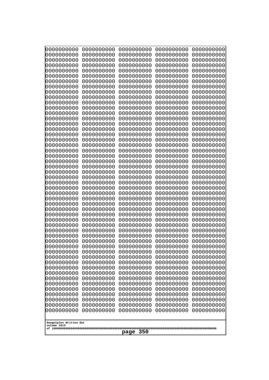| 10000000000                           | 0000000000               | 0000000000               | 0000000000               | 0000000000               |  |
|---------------------------------------|--------------------------|--------------------------|--------------------------|--------------------------|--|
| 0000000000<br>0000000000              | 0000000000<br>0000000000 | 0000000000<br>0000000000 | 0000000000<br>0000000000 | 0000000000<br>0000000000 |  |
| 0000000000                            | 0000000000               | 0000000000               | 0000000000               | 0000000000               |  |
| 0000000000                            | 0000000000               | 0000000000               | 0000000000               | 0000000000               |  |
| 0000000000                            | 0000000000               | 0000000000               | 0000000000               | 0000000000               |  |
| 0000000000<br>0000000000              | 0000000000<br>0000000000 | 0000000000<br>0000000000 | 0000000000<br>0000000000 | 0000000000<br>0000000000 |  |
| 0000000000                            | 0000000000               | 0000000000               | 0000000000               | 0000000000               |  |
| 0000000000                            | 0000000000               | 0000000000               | 0000000000               | 0000000000               |  |
| 0000000000                            | 0000000000               | 0000000000               | 0000000000               | 0000000000               |  |
| 0000000000<br>0000000000              | 0000000000<br>0000000000 | 0000000000<br>0000000000 | 0000000000<br>0000000000 | 0000000000<br>0000000000 |  |
| 0000000000                            | 0000000000               | 0000000000               | 0000000000               | 0000000000               |  |
| 0000000000                            | 0000000000               | 0000000000               | 0000000000               | 0000000000               |  |
| 0000000000                            | 0000000000               | 0000000000               | 0000000000               | 0000000000               |  |
| 0000000000<br>0000000000              | 0000000000<br>0000000000 | 0000000000<br>0000000000 | 0000000000<br>0000000000 | 0000000000<br>0000000000 |  |
| 0000000000                            | 0000000000               | 0000000000               | 0000000000               | 0000000000               |  |
| 0000000000                            | 0000000000               | 0000000000               | 0000000000               | 0000000000               |  |
| 0000000000                            | 0000000000               | 0000000000               | 0000000000               | 0000000000               |  |
| 0000000000<br>0000000000              | 0000000000<br>0000000000 | 0000000000<br>0000000000 | 0000000000<br>0000000000 | 0000000000<br>0000000000 |  |
| 0000000000                            | 0000000000               | 0000000000               | 0000000000               | 0000000000               |  |
| 0000000000                            | 0000000000               | 0000000000               | 0000000000               | 0000000000               |  |
| 0000000000                            | 0000000000               | 0000000000               | 0000000000               | 0000000000               |  |
| 0000000000<br>0000000000              | 0000000000<br>0000000000 | 0000000000<br>0000000000 | 0000000000<br>0000000000 | 0000000000<br>0000000000 |  |
| 0000000000                            | 0000000000               | 0000000000               | 0000000000               | 0000000000               |  |
| 0000000000                            | 0000000000               | 0000000000               | 0000000000               | 0000000000               |  |
| 0000000000                            | 0000000000               | 0000000000               | 0000000000               | 0000000000               |  |
| 0000000000<br>0000000000              | 0000000000<br>0000000000 | 0000000000<br>0000000000 | 0000000000<br>0000000000 | 0000000000<br>0000000000 |  |
| 0000000000                            | 0000000000               | 0000000000               | 0000000000               | 0000000000               |  |
| 0000000000                            | 0000000000               | 0000000000               | 0000000000               | 0000000000               |  |
| 0000000000                            | 0000000000<br>0000000000 | 0000000000<br>0000000000 | 0000000000               | 0000000000               |  |
| 0000000000<br>0000000000              | 0000000000               | 0000000000               | 0000000000<br>0000000000 | 0000000000<br>0000000000 |  |
| 0000000000                            | 0000000000               | 0000000000               | 0000000000               | 0000000000               |  |
| 0000000000                            | 0000000000               | 0000000000               | 0000000000               | 0000000000               |  |
| 0000000000<br>0000000000              | 0000000000<br>0000000000 | 0000000000<br>0000000000 | 0000000000<br>0000000000 | 0000000000<br>0000000000 |  |
| 0000000000                            | 0000000000               | 0000000000               | 0000000000               | 0000000000               |  |
| 0000000000                            | 0000000000               | 0000000000               | 0000000000               | 0000000000               |  |
| 0000000000                            | 0000000000               | 0000000000               | 0000000000               | 0000000000               |  |
| 0000000000<br>0000000000              | 0000000000<br>0000000000 | 0000000000<br>0000000000 | 0000000000<br>0000000000 | 0000000000<br>0000000000 |  |
| 0000000000                            | 0000000000               | 0000000000               | 0000000000               | 0000000000               |  |
| 0000000000                            | 0000000000               | 0000000000               | 0000000000               | 0000000000               |  |
| 0000000000                            | 0000000000               | 0000000000               | 0000000000               | 0000000000               |  |
|                                       |                          |                          |                          |                          |  |
| Googolplex Written Out<br>volume 1013 |                          |                          |                          |                          |  |
| 350<br>page                           |                          |                          |                          |                          |  |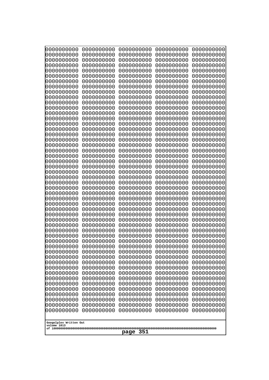| 0000000000<br>0000000000<br>0000000000<br>0000000000<br>0000000000<br>0000000000<br>0000000000<br>0000000000<br>0000000000<br>0000000000<br>0000000000<br>0000000000<br>0000000000<br>0000000000<br>0000000000<br>0000000000                                                                                                                                                                                                                                                                                        | 0000000000<br>0000000000<br>0000000000<br>0000000000<br>0000000000<br>0000000000<br>0000000000<br>0000000000<br>0000000000<br>0000000000<br>0000000000<br>0000000000<br>0000000000<br>0000000000<br>0000000000<br>0000000000                                                                                                                                                                                                                                               | 0000000000<br>0000000000<br>0000000000<br>0000000000<br>0000000000<br>0000000000<br>0000000000<br>0000000000<br>0000000000<br>0000000000<br>0000000000<br>0000000000<br>0000000000<br>0000000000<br>0000000000<br>0000000000                                                                                                                                                                                                                                               | 0000000000<br>0000000000<br>0000000000<br>0000000000<br>0000000000<br>0000000000<br>0000000000<br>0000000000<br>0000000000<br>0000000000<br>0000000000<br>0000000000<br>0000000000<br>0000000000<br>0000000000<br>0000000000                                                                                                                                                                                                                                               | 0000000000<br>0000000000<br>0000000000<br>0000000000<br>0000000000<br>0000000000<br>0000000000<br>0000000000<br>0000000000<br>0000000000<br>0000000000<br>0000000000<br>0000000000<br>0000000000<br>0000000000<br>0000000000                                                                                                                                                                                                                                               |
|---------------------------------------------------------------------------------------------------------------------------------------------------------------------------------------------------------------------------------------------------------------------------------------------------------------------------------------------------------------------------------------------------------------------------------------------------------------------------------------------------------------------|----------------------------------------------------------------------------------------------------------------------------------------------------------------------------------------------------------------------------------------------------------------------------------------------------------------------------------------------------------------------------------------------------------------------------------------------------------------------------|----------------------------------------------------------------------------------------------------------------------------------------------------------------------------------------------------------------------------------------------------------------------------------------------------------------------------------------------------------------------------------------------------------------------------------------------------------------------------|----------------------------------------------------------------------------------------------------------------------------------------------------------------------------------------------------------------------------------------------------------------------------------------------------------------------------------------------------------------------------------------------------------------------------------------------------------------------------|----------------------------------------------------------------------------------------------------------------------------------------------------------------------------------------------------------------------------------------------------------------------------------------------------------------------------------------------------------------------------------------------------------------------------------------------------------------------------|
| 0000000000<br>0000000000<br>0000000000<br>0000000000<br>0000000000<br>0000000000<br>0000000000<br>0000000000<br>0000000000<br>0000000000<br>0000000000<br>0000000000<br>0000000000<br>0000000000<br>0000000000<br>0000000000<br>0000000000<br>0000000000<br>0000000000<br>0000000000<br>0000000000<br>0000000000<br>0000000000<br>0000000000<br>0000000000<br>0000000000<br>0000000000<br>0000000000<br>0000000000<br>0000000000<br>0000000000<br>0000000000<br>0000000000<br>Googolplex Written Out<br>volume 1013 | 0000000000<br>0000000000<br>0000000000<br>0000000000<br>0000000000<br>0000000000<br>0000000000<br>0000000000<br>0000000000<br>0000000000<br>0000000000<br>0000000000<br>0000000000<br>0000000000<br>0000000000<br>0000000000<br>0000000000<br>0000000000<br>0000000000<br>0000000000<br>0000000000<br>0000000000<br>0000000000<br>0000000000<br>0000000000<br>0000000000<br>0000000000<br>0000000000<br>0000000000<br>0000000000<br>0000000000<br>0000000000<br>0000000000 | 0000000000<br>0000000000<br>0000000000<br>0000000000<br>0000000000<br>0000000000<br>0000000000<br>0000000000<br>0000000000<br>0000000000<br>0000000000<br>0000000000<br>0000000000<br>0000000000<br>0000000000<br>0000000000<br>0000000000<br>0000000000<br>0000000000<br>0000000000<br>0000000000<br>0000000000<br>0000000000<br>0000000000<br>0000000000<br>0000000000<br>0000000000<br>0000000000<br>0000000000<br>0000000000<br>0000000000<br>0000000000<br>0000000000 | 0000000000<br>0000000000<br>0000000000<br>0000000000<br>0000000000<br>0000000000<br>0000000000<br>0000000000<br>0000000000<br>0000000000<br>0000000000<br>0000000000<br>0000000000<br>0000000000<br>0000000000<br>0000000000<br>0000000000<br>0000000000<br>0000000000<br>0000000000<br>0000000000<br>0000000000<br>0000000000<br>0000000000<br>0000000000<br>0000000000<br>0000000000<br>0000000000<br>0000000000<br>0000000000<br>0000000000<br>0000000000<br>0000000000 | 0000000000<br>0000000000<br>0000000000<br>0000000000<br>0000000000<br>0000000000<br>0000000000<br>0000000000<br>0000000000<br>0000000000<br>0000000000<br>0000000000<br>0000000000<br>0000000000<br>0000000000<br>0000000000<br>0000000000<br>0000000000<br>0000000000<br>0000000000<br>0000000000<br>0000000000<br>0000000000<br>0000000000<br>0000000000<br>0000000000<br>0000000000<br>0000000000<br>0000000000<br>0000000000<br>0000000000<br>0000000000<br>0000000000 |
| 351<br>page                                                                                                                                                                                                                                                                                                                                                                                                                                                                                                         |                                                                                                                                                                                                                                                                                                                                                                                                                                                                            |                                                                                                                                                                                                                                                                                                                                                                                                                                                                            |                                                                                                                                                                                                                                                                                                                                                                                                                                                                            |                                                                                                                                                                                                                                                                                                                                                                                                                                                                            |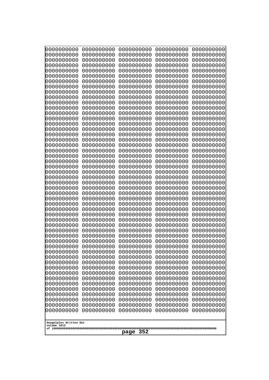| 10000000000                           | 0000000000               | 0000000000               | 0000000000               | 0000000000               |
|---------------------------------------|--------------------------|--------------------------|--------------------------|--------------------------|
| 0000000000<br>0000000000              | 0000000000<br>0000000000 | 0000000000<br>0000000000 | 0000000000<br>0000000000 | 0000000000<br>0000000000 |
| 0000000000                            | 0000000000               | 0000000000               | 0000000000               | 0000000000               |
| 0000000000                            | 0000000000               | 0000000000               | 0000000000               | 0000000000               |
| 0000000000                            | 0000000000               | 0000000000               | 0000000000               | 0000000000               |
| 0000000000<br>0000000000              | 0000000000<br>0000000000 | 0000000000<br>0000000000 | 0000000000<br>0000000000 | 0000000000<br>0000000000 |
| 0000000000                            | 0000000000               | 0000000000               | 0000000000               | 0000000000               |
| 0000000000                            | 0000000000               | 0000000000               | 0000000000               | 0000000000               |
| 0000000000                            | 0000000000               | 0000000000               | 0000000000               | 0000000000               |
| 0000000000<br>0000000000              | 0000000000<br>0000000000 | 0000000000<br>0000000000 | 0000000000<br>0000000000 | 0000000000<br>0000000000 |
| 0000000000                            | 0000000000               | 0000000000               | 0000000000               | 0000000000               |
| 0000000000                            | 0000000000               | 0000000000               | 0000000000               | 0000000000               |
| 0000000000                            | 0000000000               | 0000000000               | 0000000000               | 0000000000               |
| 0000000000<br>0000000000              | 0000000000<br>0000000000 | 0000000000<br>0000000000 | 0000000000<br>0000000000 | 0000000000<br>0000000000 |
| 0000000000                            | 0000000000               | 0000000000               | 0000000000               | 0000000000               |
| 0000000000                            | 0000000000               | 0000000000               | 0000000000               | 0000000000               |
| 0000000000                            | 0000000000               | 0000000000               | 0000000000               | 0000000000               |
| 0000000000<br>0000000000              | 0000000000<br>0000000000 | 0000000000<br>0000000000 | 0000000000<br>0000000000 | 0000000000<br>0000000000 |
| 0000000000                            | 0000000000               | 0000000000               | 0000000000               | 0000000000               |
| 0000000000                            | 0000000000               | 0000000000               | 0000000000               | 0000000000               |
| 0000000000                            | 0000000000               | 0000000000               | 0000000000               | 0000000000               |
| 0000000000<br>0000000000              | 0000000000<br>0000000000 | 0000000000<br>0000000000 | 0000000000<br>0000000000 | 0000000000<br>0000000000 |
| 0000000000                            | 0000000000               | 0000000000               | 0000000000               | 0000000000               |
| 0000000000                            | 0000000000               | 0000000000               | 0000000000               | 0000000000               |
| 0000000000                            | 0000000000               | 0000000000               | 0000000000               | 0000000000               |
| 0000000000<br>0000000000              | 0000000000<br>0000000000 | 0000000000<br>0000000000 | 0000000000<br>0000000000 | 0000000000<br>0000000000 |
| 0000000000                            | 0000000000               | 0000000000               | 0000000000               | 0000000000               |
| 0000000000                            | 0000000000               | 0000000000               | 0000000000               | 0000000000               |
| 0000000000                            | 0000000000<br>0000000000 | 0000000000<br>0000000000 | 0000000000               | 0000000000               |
| 0000000000<br>0000000000              | 0000000000               | 0000000000               | 0000000000<br>0000000000 | 0000000000<br>0000000000 |
| 0000000000                            | 0000000000               | 0000000000               | 0000000000               | 0000000000               |
| 0000000000                            | 0000000000               | 0000000000               | 0000000000               | 0000000000               |
| 0000000000<br>0000000000              | 0000000000<br>0000000000 | 0000000000<br>0000000000 | 0000000000<br>0000000000 | 0000000000<br>0000000000 |
| 0000000000                            | 0000000000               | 0000000000               | 0000000000               | 0000000000               |
| 0000000000                            | 0000000000               | 0000000000               | 0000000000               | 0000000000               |
| 0000000000                            | 0000000000               | 0000000000               | 0000000000               | 0000000000               |
| 0000000000<br>0000000000              | 0000000000<br>0000000000 | 0000000000<br>0000000000 | 0000000000<br>0000000000 | 0000000000<br>0000000000 |
| 0000000000                            | 0000000000               | 0000000000               | 0000000000               | 0000000000               |
| 0000000000                            | 0000000000               | 0000000000               | 0000000000               | 0000000000               |
| 0000000000                            | 0000000000               | 0000000000               | 0000000000               | 0000000000               |
|                                       |                          |                          |                          |                          |
| Googolplex Written Out<br>volume 1013 |                          |                          |                          |                          |
| 352<br>page                           |                          |                          |                          |                          |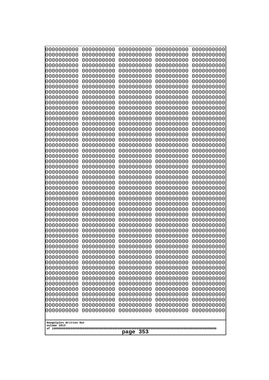| 0000000000                                           | 0000000000 | 0000000000 | 0000000000 | 0000000000 |
|------------------------------------------------------|------------|------------|------------|------------|
| 0000000000                                           | 0000000000 | 0000000000 | 0000000000 | 0000000000 |
| 0000000000                                           | 0000000000 | 0000000000 | 0000000000 | 0000000000 |
| 0000000000                                           | 0000000000 | 0000000000 | 0000000000 | 0000000000 |
| 0000000000                                           | 0000000000 | 0000000000 | 0000000000 | 0000000000 |
| 0000000000                                           | 0000000000 | 0000000000 | 0000000000 | 0000000000 |
| 0000000000                                           | 0000000000 | 0000000000 | 0000000000 | 0000000000 |
| 0000000000                                           | 0000000000 | 0000000000 | 0000000000 | 0000000000 |
| 0000000000                                           | 0000000000 | 0000000000 | 0000000000 | 0000000000 |
| 0000000000                                           | 0000000000 | 0000000000 | 0000000000 | 0000000000 |
| 0000000000                                           | 0000000000 | 0000000000 | 0000000000 | 0000000000 |
| 0000000000                                           | 0000000000 | 0000000000 | 0000000000 | 0000000000 |
| 0000000000                                           | 0000000000 | 0000000000 | 0000000000 | 0000000000 |
| 0000000000                                           | 0000000000 | 0000000000 | 0000000000 | 0000000000 |
| 0000000000                                           | 0000000000 | 0000000000 | 0000000000 | 0000000000 |
| 0000000000                                           | 0000000000 | 0000000000 | 0000000000 | 0000000000 |
| 0000000000                                           | 0000000000 | 0000000000 | 0000000000 | 0000000000 |
| 0000000000                                           | 0000000000 | 0000000000 | 0000000000 | 0000000000 |
| 0000000000                                           | 0000000000 | 0000000000 | 0000000000 | 0000000000 |
| 0000000000                                           | 0000000000 | 0000000000 | 0000000000 | 0000000000 |
| 0000000000                                           | 0000000000 | 0000000000 | 0000000000 | 0000000000 |
| 0000000000                                           | 0000000000 | 0000000000 | 0000000000 | 0000000000 |
| 0000000000                                           | 0000000000 | 0000000000 | 0000000000 | 0000000000 |
| 0000000000                                           | 0000000000 | 0000000000 | 0000000000 | 0000000000 |
|                                                      |            |            |            |            |
| 0000000000                                           | 0000000000 | 0000000000 | 0000000000 | 0000000000 |
| 0000000000                                           | 0000000000 | 0000000000 | 0000000000 | 0000000000 |
| 0000000000                                           | 0000000000 | 0000000000 | 0000000000 | 0000000000 |
| 0000000000                                           | 0000000000 | 0000000000 | 0000000000 | 0000000000 |
| 0000000000                                           | 0000000000 | 0000000000 | 0000000000 | 0000000000 |
| 0000000000                                           | 0000000000 | 0000000000 | 0000000000 | 0000000000 |
| 0000000000                                           | 0000000000 | 0000000000 | 0000000000 | 0000000000 |
| 0000000000                                           | 0000000000 | 0000000000 | 0000000000 | 0000000000 |
| 0000000000                                           | 0000000000 | 0000000000 | 0000000000 | 0000000000 |
| 0000000000                                           | 0000000000 | 0000000000 | 0000000000 | 0000000000 |
| 0000000000                                           | 0000000000 | 0000000000 | 0000000000 | 0000000000 |
| 0000000000                                           | 0000000000 | 0000000000 | 0000000000 | 0000000000 |
| 0000000000                                           | 0000000000 | 0000000000 | 0000000000 | 0000000000 |
| 0000000000                                           | 0000000000 | 0000000000 | 0000000000 | 0000000000 |
| 0000000000                                           | 0000000000 | 0000000000 | 0000000000 | 0000000000 |
| 0000000000                                           | 0000000000 | 0000000000 | 0000000000 | 0000000000 |
| 0000000000                                           | 0000000000 | 0000000000 | 0000000000 | 0000000000 |
| 0000000000                                           | 0000000000 | 0000000000 | 0000000000 | 0000000000 |
| 0000000000                                           | 0000000000 | 0000000000 | 0000000000 | 0000000000 |
| 0000000000                                           | 0000000000 | 0000000000 | 0000000000 | 0000000000 |
| 0000000000                                           | 0000000000 | 0000000000 | 0000000000 | 0000000000 |
| 0000000000                                           | 0000000000 | 0000000000 | 0000000000 | 0000000000 |
| 0000000000                                           | 0000000000 | 0000000000 | 0000000000 | 0000000000 |
| 0000000000                                           | 0000000000 | 0000000000 | 0000000000 | 0000000000 |
| 0000000000                                           | 0000000000 | 0000000000 | 0000000000 | 0000000000 |
| 0000000000                                           | 0000000000 | 0000000000 | 0000000000 | 0000000000 |
| Googolplex Written Out<br>volume 1013<br>353<br>page |            |            |            |            |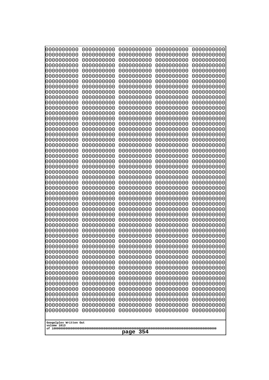| 0000000000                                                                                                                                                                                                                                                                                                                                                                                                         | 0000000000 | 0000000000 | 0000000000 | 0000000000 |
|--------------------------------------------------------------------------------------------------------------------------------------------------------------------------------------------------------------------------------------------------------------------------------------------------------------------------------------------------------------------------------------------------------------------|------------|------------|------------|------------|
| 0000000000                                                                                                                                                                                                                                                                                                                                                                                                         | 0000000000 | 0000000000 | 0000000000 | 0000000000 |
| 0000000000                                                                                                                                                                                                                                                                                                                                                                                                         | 0000000000 | 0000000000 | 0000000000 | 0000000000 |
| 0000000000                                                                                                                                                                                                                                                                                                                                                                                                         | 0000000000 | 0000000000 | 0000000000 | 0000000000 |
| 0000000000                                                                                                                                                                                                                                                                                                                                                                                                         | 0000000000 | 0000000000 | 0000000000 | 0000000000 |
| 0000000000                                                                                                                                                                                                                                                                                                                                                                                                         | 0000000000 | 0000000000 | 0000000000 | 0000000000 |
| 0000000000                                                                                                                                                                                                                                                                                                                                                                                                         | 0000000000 | 0000000000 | 0000000000 | 0000000000 |
| 0000000000                                                                                                                                                                                                                                                                                                                                                                                                         | 0000000000 | 0000000000 | 0000000000 | 0000000000 |
| 0000000000                                                                                                                                                                                                                                                                                                                                                                                                         | 0000000000 | 0000000000 | 0000000000 | 0000000000 |
| 0000000000                                                                                                                                                                                                                                                                                                                                                                                                         | 0000000000 | 0000000000 | 0000000000 | 0000000000 |
| 0000000000                                                                                                                                                                                                                                                                                                                                                                                                         | 0000000000 | 0000000000 | 0000000000 | 0000000000 |
| 0000000000                                                                                                                                                                                                                                                                                                                                                                                                         | 0000000000 | 0000000000 | 0000000000 | 0000000000 |
| 0000000000                                                                                                                                                                                                                                                                                                                                                                                                         | 0000000000 | 0000000000 | 0000000000 | 0000000000 |
| 0000000000                                                                                                                                                                                                                                                                                                                                                                                                         | 0000000000 | 0000000000 | 0000000000 | 0000000000 |
| 0000000000                                                                                                                                                                                                                                                                                                                                                                                                         | 0000000000 | 0000000000 | 0000000000 | 0000000000 |
| 0000000000                                                                                                                                                                                                                                                                                                                                                                                                         | 0000000000 | 0000000000 | 0000000000 | 0000000000 |
| 0000000000                                                                                                                                                                                                                                                                                                                                                                                                         | 0000000000 | 0000000000 | 0000000000 | 0000000000 |
| 0000000000                                                                                                                                                                                                                                                                                                                                                                                                         | 0000000000 | 0000000000 | 0000000000 | 0000000000 |
| 0000000000                                                                                                                                                                                                                                                                                                                                                                                                         | 0000000000 | 0000000000 | 0000000000 | 0000000000 |
| 0000000000                                                                                                                                                                                                                                                                                                                                                                                                         | 0000000000 | 0000000000 | 0000000000 | 0000000000 |
| 0000000000                                                                                                                                                                                                                                                                                                                                                                                                         | 0000000000 | 0000000000 | 0000000000 | 0000000000 |
| 0000000000                                                                                                                                                                                                                                                                                                                                                                                                         | 0000000000 | 0000000000 | 0000000000 | 0000000000 |
| 0000000000                                                                                                                                                                                                                                                                                                                                                                                                         | 0000000000 | 0000000000 | 0000000000 | 0000000000 |
| 0000000000                                                                                                                                                                                                                                                                                                                                                                                                         | 0000000000 | 0000000000 | 0000000000 | 0000000000 |
| 0000000000                                                                                                                                                                                                                                                                                                                                                                                                         | 0000000000 | 0000000000 | 0000000000 | 0000000000 |
| 0000000000                                                                                                                                                                                                                                                                                                                                                                                                         | 0000000000 | 0000000000 | 0000000000 | 0000000000 |
| 0000000000                                                                                                                                                                                                                                                                                                                                                                                                         | 0000000000 | 0000000000 | 0000000000 | 0000000000 |
| 0000000000                                                                                                                                                                                                                                                                                                                                                                                                         | 0000000000 | 0000000000 | 0000000000 | 0000000000 |
| 0000000000                                                                                                                                                                                                                                                                                                                                                                                                         | 0000000000 | 0000000000 | 0000000000 | 0000000000 |
| 0000000000                                                                                                                                                                                                                                                                                                                                                                                                         | 0000000000 | 0000000000 | 0000000000 | 0000000000 |
| 0000000000                                                                                                                                                                                                                                                                                                                                                                                                         | 0000000000 | 0000000000 | 0000000000 | 0000000000 |
| 0000000000                                                                                                                                                                                                                                                                                                                                                                                                         | 0000000000 | 0000000000 | 0000000000 | 0000000000 |
| 0000000000                                                                                                                                                                                                                                                                                                                                                                                                         | 0000000000 | 0000000000 | 0000000000 | 0000000000 |
| 0000000000                                                                                                                                                                                                                                                                                                                                                                                                         | 0000000000 | 0000000000 | 0000000000 | 0000000000 |
| 0000000000                                                                                                                                                                                                                                                                                                                                                                                                         | 0000000000 | 0000000000 | 0000000000 | 0000000000 |
| 0000000000                                                                                                                                                                                                                                                                                                                                                                                                         | 0000000000 | 0000000000 | 0000000000 | 0000000000 |
| 0000000000                                                                                                                                                                                                                                                                                                                                                                                                         | 0000000000 | 0000000000 | 0000000000 | 0000000000 |
| 0000000000                                                                                                                                                                                                                                                                                                                                                                                                         | 0000000000 | 0000000000 | 0000000000 | 0000000000 |
| 0000000000                                                                                                                                                                                                                                                                                                                                                                                                         | 0000000000 | 0000000000 | 0000000000 | 0000000000 |
| 0000000000                                                                                                                                                                                                                                                                                                                                                                                                         | 0000000000 | 0000000000 | 0000000000 | 0000000000 |
| 0000000000                                                                                                                                                                                                                                                                                                                                                                                                         | 0000000000 | 0000000000 | 0000000000 | 0000000000 |
| 0000000000                                                                                                                                                                                                                                                                                                                                                                                                         | 0000000000 | 0000000000 | 0000000000 | 0000000000 |
| 0000000000                                                                                                                                                                                                                                                                                                                                                                                                         | 0000000000 | 0000000000 | 0000000000 | 0000000000 |
| 0000000000<br>0000000000<br>0000000000<br>0000000000<br>0000000000<br>0000000000<br>0000000000<br>0000000000<br>0000000000<br>0000000000<br>0000000000<br>0000000000<br>0000000000<br>0000000000<br>0000000000<br>0000000000<br>0000000000<br>0000000000<br>0000000000<br>0000000000<br>0000000000<br>0000000000<br>0000000000<br>0000000000<br>0000000000<br>Googolplex Written Out<br>volume 1013<br>354<br>page |            |            |            |            |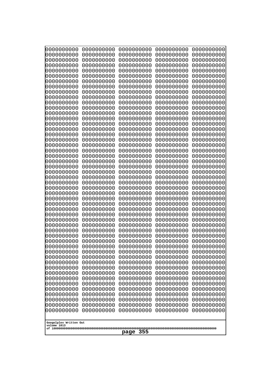| 10000000000                                                        | 0000000000               | 0000000000               | 0000000000               | 0000000000               |  |
|--------------------------------------------------------------------|--------------------------|--------------------------|--------------------------|--------------------------|--|
| 0000000000<br>0000000000                                           | 0000000000<br>0000000000 | 0000000000<br>0000000000 | 0000000000<br>0000000000 | 0000000000<br>0000000000 |  |
| 0000000000                                                         | 0000000000               | 0000000000               | 0000000000               | 0000000000               |  |
| 0000000000                                                         | 0000000000               | 0000000000               | 0000000000               | 0000000000               |  |
| 0000000000                                                         | 0000000000               | 0000000000               | 0000000000               | 0000000000               |  |
| 0000000000<br>0000000000                                           | 0000000000<br>0000000000 | 0000000000<br>0000000000 | 0000000000<br>0000000000 | 0000000000<br>0000000000 |  |
| 0000000000                                                         | 0000000000               | 0000000000               | 0000000000               | 0000000000               |  |
| 0000000000                                                         | 0000000000               | 0000000000               | 0000000000               | 0000000000               |  |
| 0000000000                                                         | 0000000000               | 0000000000               | 0000000000               | 0000000000               |  |
| 0000000000<br>0000000000                                           | 0000000000<br>0000000000 | 0000000000<br>0000000000 | 0000000000<br>0000000000 | 0000000000<br>0000000000 |  |
| 0000000000                                                         | 0000000000               | 0000000000               | 0000000000               | 0000000000               |  |
| 0000000000                                                         | 0000000000               | 0000000000               | 0000000000               | 0000000000               |  |
| 0000000000                                                         | 0000000000               | 0000000000               | 0000000000               | 0000000000               |  |
| 0000000000<br>0000000000                                           | 0000000000<br>0000000000 | 0000000000<br>0000000000 | 0000000000<br>0000000000 | 0000000000<br>0000000000 |  |
| 0000000000                                                         | 0000000000               | 0000000000               | 0000000000               | 0000000000               |  |
| 0000000000                                                         | 0000000000               | 0000000000               | 0000000000               | 0000000000               |  |
| 0000000000                                                         | 0000000000               | 0000000000               | 0000000000               | 0000000000               |  |
| 0000000000<br>0000000000                                           | 0000000000<br>0000000000 | 0000000000<br>0000000000 | 0000000000<br>0000000000 | 0000000000<br>0000000000 |  |
| 0000000000                                                         | 0000000000               | 0000000000               | 0000000000               | 0000000000               |  |
| 0000000000                                                         | 0000000000               | 0000000000               | 0000000000               | 0000000000               |  |
| 0000000000                                                         | 0000000000               | 0000000000               | 0000000000               | 0000000000               |  |
| 0000000000<br>0000000000                                           | 0000000000<br>0000000000 | 0000000000<br>0000000000 | 0000000000<br>0000000000 | 0000000000<br>0000000000 |  |
| 0000000000                                                         | 0000000000               | 0000000000               | 0000000000               | 0000000000               |  |
| 0000000000                                                         | 0000000000               | 0000000000               | 0000000000               | 0000000000               |  |
| 0000000000                                                         | 0000000000               | 0000000000               | 0000000000               | 0000000000               |  |
| 0000000000<br>0000000000                                           | 0000000000<br>0000000000 | 0000000000<br>0000000000 | 0000000000<br>0000000000 | 0000000000<br>0000000000 |  |
| 0000000000                                                         | 0000000000               | 0000000000               | 0000000000               | 0000000000               |  |
| 0000000000                                                         | 0000000000               | 0000000000               | 0000000000               | 0000000000               |  |
| 0000000000<br>0000000000                                           | 0000000000<br>0000000000 | 0000000000<br>0000000000 | 0000000000<br>0000000000 | 0000000000<br>0000000000 |  |
| 0000000000                                                         | 0000000000               | 0000000000               | 0000000000               | 0000000000               |  |
| 0000000000                                                         | 0000000000               | 0000000000               | 0000000000               | 0000000000               |  |
| 0000000000                                                         | 0000000000               | 0000000000               | 0000000000               | 0000000000               |  |
| 0000000000<br>0000000000                                           | 0000000000<br>0000000000 | 0000000000<br>0000000000 | 0000000000<br>0000000000 | 0000000000<br>0000000000 |  |
| 0000000000                                                         | 0000000000               | 0000000000               | 0000000000               | 0000000000               |  |
| 0000000000                                                         | 0000000000               | 0000000000               | 0000000000               | 0000000000               |  |
| 0000000000                                                         | 0000000000               | 0000000000               | 0000000000               | 0000000000               |  |
| 0000000000<br>0000000000                                           | 0000000000<br>0000000000 | 0000000000<br>0000000000 | 0000000000<br>0000000000 | 0000000000<br>0000000000 |  |
| 0000000000                                                         | 0000000000               | 0000000000               | 0000000000               | 0000000000               |  |
| 0000000000                                                         | 0000000000               | 0000000000               | 0000000000               | 0000000000               |  |
| 0000000000<br>0000000000<br>0000000000<br>0000000000<br>0000000000 |                          |                          |                          |                          |  |
| Googolplex Written Out                                             |                          |                          |                          |                          |  |
| volume 1013                                                        |                          |                          |                          |                          |  |
| 355<br>page                                                        |                          |                          |                          |                          |  |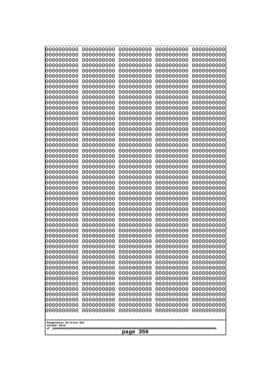| 0000000000                                                                                                                                                         | 0000000000                                                                                                                               | 0000000000                                                                                                                               | 0000000000                                                                                                                               | 0000000000                                                                                                                               |
|--------------------------------------------------------------------------------------------------------------------------------------------------------------------|------------------------------------------------------------------------------------------------------------------------------------------|------------------------------------------------------------------------------------------------------------------------------------------|------------------------------------------------------------------------------------------------------------------------------------------|------------------------------------------------------------------------------------------------------------------------------------------|
| 0000000000                                                                                                                                                         | 0000000000                                                                                                                               | 0000000000                                                                                                                               | 0000000000                                                                                                                               | 0000000000                                                                                                                               |
| 0000000000                                                                                                                                                         | 0000000000                                                                                                                               | 0000000000                                                                                                                               | 0000000000                                                                                                                               | 0000000000                                                                                                                               |
| 0000000000                                                                                                                                                         | 0000000000                                                                                                                               | 0000000000                                                                                                                               | 0000000000                                                                                                                               | 0000000000                                                                                                                               |
| 0000000000                                                                                                                                                         | 0000000000                                                                                                                               | 0000000000                                                                                                                               | 0000000000                                                                                                                               | 0000000000                                                                                                                               |
| 0000000000                                                                                                                                                         | 0000000000                                                                                                                               | 0000000000                                                                                                                               | 0000000000                                                                                                                               | 0000000000                                                                                                                               |
| 0000000000                                                                                                                                                         | 0000000000                                                                                                                               | 0000000000                                                                                                                               | 0000000000                                                                                                                               | 0000000000                                                                                                                               |
| 0000000000                                                                                                                                                         | 0000000000                                                                                                                               | 0000000000                                                                                                                               | 0000000000                                                                                                                               | 0000000000                                                                                                                               |
| 0000000000                                                                                                                                                         | 0000000000                                                                                                                               | 0000000000                                                                                                                               | 0000000000                                                                                                                               | 0000000000                                                                                                                               |
| 0000000000                                                                                                                                                         | 0000000000                                                                                                                               | 0000000000                                                                                                                               | 0000000000                                                                                                                               | 0000000000                                                                                                                               |
| 0000000000                                                                                                                                                         | 0000000000                                                                                                                               | 0000000000                                                                                                                               | 0000000000                                                                                                                               | 0000000000                                                                                                                               |
| 0000000000                                                                                                                                                         | 0000000000                                                                                                                               | 0000000000                                                                                                                               | 0000000000                                                                                                                               | 0000000000                                                                                                                               |
| 0000000000                                                                                                                                                         | 0000000000                                                                                                                               | 0000000000                                                                                                                               | 0000000000                                                                                                                               | 0000000000                                                                                                                               |
| 0000000000                                                                                                                                                         | 0000000000                                                                                                                               | 0000000000                                                                                                                               | 0000000000                                                                                                                               | 0000000000                                                                                                                               |
| 0000000000                                                                                                                                                         | 0000000000                                                                                                                               | 0000000000                                                                                                                               | 0000000000                                                                                                                               | 0000000000                                                                                                                               |
| 0000000000                                                                                                                                                         | 0000000000                                                                                                                               | 0000000000                                                                                                                               | 0000000000                                                                                                                               | 0000000000                                                                                                                               |
| 0000000000                                                                                                                                                         | 0000000000                                                                                                                               | 0000000000                                                                                                                               | 0000000000                                                                                                                               | 0000000000                                                                                                                               |
| 0000000000                                                                                                                                                         | 0000000000                                                                                                                               | 0000000000                                                                                                                               | 0000000000                                                                                                                               | 0000000000                                                                                                                               |
| 0000000000                                                                                                                                                         | 0000000000                                                                                                                               | 0000000000                                                                                                                               | 0000000000                                                                                                                               | 0000000000                                                                                                                               |
| 0000000000                                                                                                                                                         | 0000000000                                                                                                                               | 0000000000                                                                                                                               | 0000000000                                                                                                                               | 0000000000                                                                                                                               |
| 0000000000                                                                                                                                                         | 0000000000                                                                                                                               | 0000000000                                                                                                                               | 0000000000                                                                                                                               | 0000000000                                                                                                                               |
| 0000000000                                                                                                                                                         | 0000000000                                                                                                                               | 0000000000                                                                                                                               | 0000000000                                                                                                                               | 0000000000                                                                                                                               |
| 0000000000                                                                                                                                                         | 0000000000                                                                                                                               | 0000000000                                                                                                                               | 0000000000                                                                                                                               | 0000000000                                                                                                                               |
| 0000000000                                                                                                                                                         | 0000000000                                                                                                                               | 0000000000                                                                                                                               | 0000000000                                                                                                                               | 0000000000                                                                                                                               |
| 0000000000                                                                                                                                                         | 0000000000                                                                                                                               | 0000000000                                                                                                                               | 0000000000                                                                                                                               | 0000000000                                                                                                                               |
| 0000000000                                                                                                                                                         | 0000000000                                                                                                                               | 0000000000                                                                                                                               | 0000000000                                                                                                                               | 0000000000                                                                                                                               |
| 0000000000                                                                                                                                                         | 0000000000                                                                                                                               | 0000000000                                                                                                                               | 0000000000                                                                                                                               | 0000000000                                                                                                                               |
| 0000000000                                                                                                                                                         | 0000000000                                                                                                                               | 0000000000                                                                                                                               | 0000000000                                                                                                                               | 0000000000                                                                                                                               |
| 0000000000                                                                                                                                                         | 0000000000                                                                                                                               | 0000000000                                                                                                                               | 0000000000                                                                                                                               | 0000000000                                                                                                                               |
| 0000000000                                                                                                                                                         | 0000000000                                                                                                                               | 0000000000                                                                                                                               | 0000000000                                                                                                                               | 0000000000                                                                                                                               |
| 0000000000                                                                                                                                                         | 0000000000                                                                                                                               | 0000000000                                                                                                                               | 0000000000                                                                                                                               | 0000000000                                                                                                                               |
| 0000000000                                                                                                                                                         | 0000000000                                                                                                                               | 0000000000                                                                                                                               | 0000000000                                                                                                                               | 0000000000                                                                                                                               |
| 0000000000                                                                                                                                                         | 0000000000                                                                                                                               | 0000000000                                                                                                                               | 0000000000                                                                                                                               | 0000000000                                                                                                                               |
| 0000000000                                                                                                                                                         | 0000000000                                                                                                                               | 0000000000                                                                                                                               | 0000000000                                                                                                                               | 0000000000                                                                                                                               |
| 0000000000                                                                                                                                                         | 0000000000                                                                                                                               | 0000000000                                                                                                                               | 0000000000                                                                                                                               | 0000000000                                                                                                                               |
| 0000000000                                                                                                                                                         | 0000000000                                                                                                                               | 0000000000                                                                                                                               | 0000000000                                                                                                                               | 0000000000                                                                                                                               |
| 0000000000                                                                                                                                                         | 0000000000                                                                                                                               | 0000000000                                                                                                                               | 0000000000                                                                                                                               | 0000000000                                                                                                                               |
| 0000000000                                                                                                                                                         | 0000000000                                                                                                                               | 0000000000                                                                                                                               | 0000000000                                                                                                                               | 0000000000                                                                                                                               |
| 0000000000                                                                                                                                                         | 0000000000                                                                                                                               | 0000000000                                                                                                                               | 0000000000                                                                                                                               | 0000000000                                                                                                                               |
| 0000000000                                                                                                                                                         | 0000000000                                                                                                                               | 0000000000                                                                                                                               | 0000000000                                                                                                                               | 0000000000                                                                                                                               |
| 0000000000<br>0000000000<br>0000000000<br>0000000000<br>0000000000<br>0000000000<br>0000000000<br>0000000000<br>0000000000<br>0000000000<br>Googolplex Written Out | 0000000000<br>0000000000<br>0000000000<br>0000000000<br>0000000000<br>0000000000<br>0000000000<br>0000000000<br>0000000000<br>0000000000 | 0000000000<br>0000000000<br>0000000000<br>0000000000<br>0000000000<br>0000000000<br>0000000000<br>0000000000<br>0000000000<br>0000000000 | 0000000000<br>0000000000<br>0000000000<br>0000000000<br>0000000000<br>0000000000<br>0000000000<br>0000000000<br>0000000000<br>0000000000 | 0000000000<br>0000000000<br>0000000000<br>0000000000<br>0000000000<br>0000000000<br>0000000000<br>0000000000<br>0000000000<br>0000000000 |
| volume 1013<br>356<br>page                                                                                                                                         |                                                                                                                                          |                                                                                                                                          |                                                                                                                                          |                                                                                                                                          |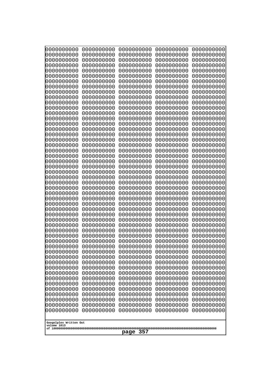| 0000000000                                                                                                                                                                                                                                                                                                                                                                                                                                    | 0000000000                                                                                                                                                                                                                                                                                                                                                                                           | 0000000000                                                                                                                                                                                                                                                                                                                                                                                                   | 0000000000                                                                                                                                                                                                                                                                                                                                                                                           | 0000000000                                                                                                                                                                                                                                                                                                                                                                                           |
|-----------------------------------------------------------------------------------------------------------------------------------------------------------------------------------------------------------------------------------------------------------------------------------------------------------------------------------------------------------------------------------------------------------------------------------------------|------------------------------------------------------------------------------------------------------------------------------------------------------------------------------------------------------------------------------------------------------------------------------------------------------------------------------------------------------------------------------------------------------|--------------------------------------------------------------------------------------------------------------------------------------------------------------------------------------------------------------------------------------------------------------------------------------------------------------------------------------------------------------------------------------------------------------|------------------------------------------------------------------------------------------------------------------------------------------------------------------------------------------------------------------------------------------------------------------------------------------------------------------------------------------------------------------------------------------------------|------------------------------------------------------------------------------------------------------------------------------------------------------------------------------------------------------------------------------------------------------------------------------------------------------------------------------------------------------------------------------------------------------|
| 0000000000                                                                                                                                                                                                                                                                                                                                                                                                                                    | 0000000000                                                                                                                                                                                                                                                                                                                                                                                           | 0000000000                                                                                                                                                                                                                                                                                                                                                                                                   | 0000000000                                                                                                                                                                                                                                                                                                                                                                                           | 0000000000                                                                                                                                                                                                                                                                                                                                                                                           |
| 0000000000                                                                                                                                                                                                                                                                                                                                                                                                                                    | 0000000000                                                                                                                                                                                                                                                                                                                                                                                           | 0000000000                                                                                                                                                                                                                                                                                                                                                                                                   | 0000000000                                                                                                                                                                                                                                                                                                                                                                                           | 0000000000                                                                                                                                                                                                                                                                                                                                                                                           |
| 0000000000                                                                                                                                                                                                                                                                                                                                                                                                                                    | 0000000000                                                                                                                                                                                                                                                                                                                                                                                           | 0000000000                                                                                                                                                                                                                                                                                                                                                                                                   | 0000000000                                                                                                                                                                                                                                                                                                                                                                                           | 0000000000                                                                                                                                                                                                                                                                                                                                                                                           |
| 0000000000                                                                                                                                                                                                                                                                                                                                                                                                                                    | 0000000000                                                                                                                                                                                                                                                                                                                                                                                           | 0000000000                                                                                                                                                                                                                                                                                                                                                                                                   | 0000000000                                                                                                                                                                                                                                                                                                                                                                                           | 0000000000                                                                                                                                                                                                                                                                                                                                                                                           |
| 0000000000                                                                                                                                                                                                                                                                                                                                                                                                                                    | 0000000000                                                                                                                                                                                                                                                                                                                                                                                           | 0000000000                                                                                                                                                                                                                                                                                                                                                                                                   | 0000000000                                                                                                                                                                                                                                                                                                                                                                                           | 0000000000                                                                                                                                                                                                                                                                                                                                                                                           |
| 0000000000                                                                                                                                                                                                                                                                                                                                                                                                                                    | 0000000000                                                                                                                                                                                                                                                                                                                                                                                           | 0000000000                                                                                                                                                                                                                                                                                                                                                                                                   | 0000000000                                                                                                                                                                                                                                                                                                                                                                                           | 0000000000                                                                                                                                                                                                                                                                                                                                                                                           |
| 0000000000                                                                                                                                                                                                                                                                                                                                                                                                                                    | 0000000000                                                                                                                                                                                                                                                                                                                                                                                           | 0000000000                                                                                                                                                                                                                                                                                                                                                                                                   | 0000000000                                                                                                                                                                                                                                                                                                                                                                                           | 0000000000                                                                                                                                                                                                                                                                                                                                                                                           |
| 0000000000                                                                                                                                                                                                                                                                                                                                                                                                                                    | 0000000000                                                                                                                                                                                                                                                                                                                                                                                           | 0000000000                                                                                                                                                                                                                                                                                                                                                                                                   | 0000000000                                                                                                                                                                                                                                                                                                                                                                                           | 0000000000                                                                                                                                                                                                                                                                                                                                                                                           |
| 0000000000                                                                                                                                                                                                                                                                                                                                                                                                                                    | 0000000000                                                                                                                                                                                                                                                                                                                                                                                           | 0000000000                                                                                                                                                                                                                                                                                                                                                                                                   | 0000000000                                                                                                                                                                                                                                                                                                                                                                                           | 0000000000                                                                                                                                                                                                                                                                                                                                                                                           |
| 0000000000                                                                                                                                                                                                                                                                                                                                                                                                                                    | 0000000000                                                                                                                                                                                                                                                                                                                                                                                           | 0000000000                                                                                                                                                                                                                                                                                                                                                                                                   | 0000000000                                                                                                                                                                                                                                                                                                                                                                                           | 0000000000                                                                                                                                                                                                                                                                                                                                                                                           |
| 0000000000                                                                                                                                                                                                                                                                                                                                                                                                                                    | 0000000000                                                                                                                                                                                                                                                                                                                                                                                           | 0000000000                                                                                                                                                                                                                                                                                                                                                                                                   | 0000000000                                                                                                                                                                                                                                                                                                                                                                                           | 0000000000                                                                                                                                                                                                                                                                                                                                                                                           |
| 0000000000                                                                                                                                                                                                                                                                                                                                                                                                                                    | 0000000000                                                                                                                                                                                                                                                                                                                                                                                           | 0000000000                                                                                                                                                                                                                                                                                                                                                                                                   | 0000000000                                                                                                                                                                                                                                                                                                                                                                                           | 0000000000                                                                                                                                                                                                                                                                                                                                                                                           |
| 0000000000                                                                                                                                                                                                                                                                                                                                                                                                                                    | 0000000000                                                                                                                                                                                                                                                                                                                                                                                           | 0000000000                                                                                                                                                                                                                                                                                                                                                                                                   | 0000000000                                                                                                                                                                                                                                                                                                                                                                                           | 0000000000                                                                                                                                                                                                                                                                                                                                                                                           |
| 0000000000                                                                                                                                                                                                                                                                                                                                                                                                                                    | 0000000000                                                                                                                                                                                                                                                                                                                                                                                           | 0000000000                                                                                                                                                                                                                                                                                                                                                                                                   | 0000000000                                                                                                                                                                                                                                                                                                                                                                                           | 0000000000                                                                                                                                                                                                                                                                                                                                                                                           |
| 0000000000                                                                                                                                                                                                                                                                                                                                                                                                                                    | 0000000000                                                                                                                                                                                                                                                                                                                                                                                           | 0000000000                                                                                                                                                                                                                                                                                                                                                                                                   | 0000000000                                                                                                                                                                                                                                                                                                                                                                                           | 0000000000                                                                                                                                                                                                                                                                                                                                                                                           |
| 0000000000                                                                                                                                                                                                                                                                                                                                                                                                                                    | 0000000000                                                                                                                                                                                                                                                                                                                                                                                           | 0000000000                                                                                                                                                                                                                                                                                                                                                                                                   | 0000000000                                                                                                                                                                                                                                                                                                                                                                                           | 0000000000                                                                                                                                                                                                                                                                                                                                                                                           |
| 0000000000                                                                                                                                                                                                                                                                                                                                                                                                                                    | 0000000000                                                                                                                                                                                                                                                                                                                                                                                           | 0000000000                                                                                                                                                                                                                                                                                                                                                                                                   | 0000000000                                                                                                                                                                                                                                                                                                                                                                                           | 0000000000                                                                                                                                                                                                                                                                                                                                                                                           |
| 0000000000                                                                                                                                                                                                                                                                                                                                                                                                                                    | 0000000000                                                                                                                                                                                                                                                                                                                                                                                           | 0000000000                                                                                                                                                                                                                                                                                                                                                                                                   | 0000000000                                                                                                                                                                                                                                                                                                                                                                                           | 0000000000                                                                                                                                                                                                                                                                                                                                                                                           |
| 0000000000                                                                                                                                                                                                                                                                                                                                                                                                                                    | 0000000000                                                                                                                                                                                                                                                                                                                                                                                           | 0000000000                                                                                                                                                                                                                                                                                                                                                                                                   | 0000000000                                                                                                                                                                                                                                                                                                                                                                                           | 0000000000                                                                                                                                                                                                                                                                                                                                                                                           |
| 0000000000                                                                                                                                                                                                                                                                                                                                                                                                                                    | 0000000000                                                                                                                                                                                                                                                                                                                                                                                           | 0000000000                                                                                                                                                                                                                                                                                                                                                                                                   | 0000000000                                                                                                                                                                                                                                                                                                                                                                                           | 0000000000                                                                                                                                                                                                                                                                                                                                                                                           |
| 0000000000                                                                                                                                                                                                                                                                                                                                                                                                                                    | 0000000000                                                                                                                                                                                                                                                                                                                                                                                           | 0000000000                                                                                                                                                                                                                                                                                                                                                                                                   | 0000000000                                                                                                                                                                                                                                                                                                                                                                                           | 0000000000                                                                                                                                                                                                                                                                                                                                                                                           |
| 0000000000<br>0000000000<br>0000000000<br>0000000000<br>0000000000<br>0000000000<br>0000000000<br>0000000000<br>0000000000<br>0000000000<br>0000000000<br>0000000000<br>0000000000<br>0000000000<br>0000000000<br>0000000000<br>0000000000<br>0000000000<br>0000000000<br>0000000000<br>0000000000<br>0000000000<br>0000000000<br>0000000000<br>0000000000<br>0000000000<br>0000000000<br>0000000000<br>Googolplex Written Out<br>volume 1013 | 0000000000<br>0000000000<br>0000000000<br>0000000000<br>0000000000<br>0000000000<br>0000000000<br>0000000000<br>0000000000<br>0000000000<br>0000000000<br>0000000000<br>0000000000<br>0000000000<br>0000000000<br>0000000000<br>0000000000<br>0000000000<br>0000000000<br>0000000000<br>0000000000<br>0000000000<br>0000000000<br>0000000000<br>0000000000<br>0000000000<br>0000000000<br>0000000000 | 0000000000<br>0000000000<br>0000000000<br>0000000000<br>0000000000<br>0000000000<br>0000000000<br>0000000000<br>0000000000<br>0000000000<br>0000000000<br>0000000000<br>0000000000<br>0000000000<br>0000000000<br>0000000000<br>0000000000<br>0000000000<br>0000000000<br>0000000000<br>0000000000<br>0000000000<br>0000000000<br>0000000000<br>0000000000<br>0000000000<br>0000000000<br>0000000000<br>page | 0000000000<br>0000000000<br>0000000000<br>0000000000<br>0000000000<br>0000000000<br>0000000000<br>0000000000<br>0000000000<br>0000000000<br>0000000000<br>0000000000<br>0000000000<br>0000000000<br>0000000000<br>0000000000<br>0000000000<br>0000000000<br>0000000000<br>0000000000<br>0000000000<br>0000000000<br>0000000000<br>0000000000<br>0000000000<br>0000000000<br>0000000000<br>0000000000 | 0000000000<br>0000000000<br>0000000000<br>0000000000<br>0000000000<br>0000000000<br>0000000000<br>0000000000<br>0000000000<br>0000000000<br>0000000000<br>0000000000<br>0000000000<br>0000000000<br>0000000000<br>0000000000<br>0000000000<br>0000000000<br>0000000000<br>0000000000<br>0000000000<br>0000000000<br>0000000000<br>0000000000<br>0000000000<br>0000000000<br>0000000000<br>0000000000 |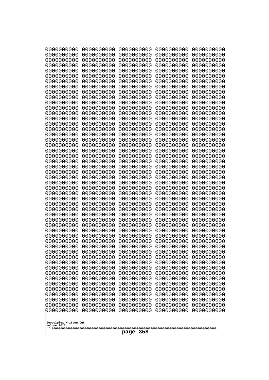| 0000000000                                                                                                                                                                                                                                                                                                                                                                                                                      | 0000000000                                                                                                                                                                                                                                                                                                                                                                             | 0000000000                                                                                                                                                                                                                                                                                                                                                                                            | 0000000000                                                                                                                                                                                                                                                                                                                                                                             | 0000000000                                                                                                                                                                                                                                                                                                                                                                             |
|---------------------------------------------------------------------------------------------------------------------------------------------------------------------------------------------------------------------------------------------------------------------------------------------------------------------------------------------------------------------------------------------------------------------------------|----------------------------------------------------------------------------------------------------------------------------------------------------------------------------------------------------------------------------------------------------------------------------------------------------------------------------------------------------------------------------------------|-------------------------------------------------------------------------------------------------------------------------------------------------------------------------------------------------------------------------------------------------------------------------------------------------------------------------------------------------------------------------------------------------------|----------------------------------------------------------------------------------------------------------------------------------------------------------------------------------------------------------------------------------------------------------------------------------------------------------------------------------------------------------------------------------------|----------------------------------------------------------------------------------------------------------------------------------------------------------------------------------------------------------------------------------------------------------------------------------------------------------------------------------------------------------------------------------------|
| 0000000000                                                                                                                                                                                                                                                                                                                                                                                                                      | 0000000000                                                                                                                                                                                                                                                                                                                                                                             | 0000000000                                                                                                                                                                                                                                                                                                                                                                                            | 0000000000                                                                                                                                                                                                                                                                                                                                                                             | 0000000000                                                                                                                                                                                                                                                                                                                                                                             |
| 0000000000                                                                                                                                                                                                                                                                                                                                                                                                                      | 0000000000                                                                                                                                                                                                                                                                                                                                                                             | 0000000000                                                                                                                                                                                                                                                                                                                                                                                            | 0000000000                                                                                                                                                                                                                                                                                                                                                                             | 0000000000                                                                                                                                                                                                                                                                                                                                                                             |
| 0000000000                                                                                                                                                                                                                                                                                                                                                                                                                      | 0000000000                                                                                                                                                                                                                                                                                                                                                                             | 0000000000                                                                                                                                                                                                                                                                                                                                                                                            | 0000000000                                                                                                                                                                                                                                                                                                                                                                             | 0000000000                                                                                                                                                                                                                                                                                                                                                                             |
| 0000000000                                                                                                                                                                                                                                                                                                                                                                                                                      | 0000000000                                                                                                                                                                                                                                                                                                                                                                             | 0000000000                                                                                                                                                                                                                                                                                                                                                                                            | 0000000000                                                                                                                                                                                                                                                                                                                                                                             | 0000000000                                                                                                                                                                                                                                                                                                                                                                             |
| 0000000000                                                                                                                                                                                                                                                                                                                                                                                                                      | 0000000000                                                                                                                                                                                                                                                                                                                                                                             | 0000000000                                                                                                                                                                                                                                                                                                                                                                                            | 0000000000                                                                                                                                                                                                                                                                                                                                                                             | 0000000000                                                                                                                                                                                                                                                                                                                                                                             |
| 0000000000                                                                                                                                                                                                                                                                                                                                                                                                                      | 0000000000                                                                                                                                                                                                                                                                                                                                                                             | 0000000000                                                                                                                                                                                                                                                                                                                                                                                            | 0000000000                                                                                                                                                                                                                                                                                                                                                                             | 0000000000                                                                                                                                                                                                                                                                                                                                                                             |
| 0000000000                                                                                                                                                                                                                                                                                                                                                                                                                      | 0000000000                                                                                                                                                                                                                                                                                                                                                                             | 0000000000                                                                                                                                                                                                                                                                                                                                                                                            | 0000000000                                                                                                                                                                                                                                                                                                                                                                             | 0000000000                                                                                                                                                                                                                                                                                                                                                                             |
| 0000000000                                                                                                                                                                                                                                                                                                                                                                                                                      | 0000000000                                                                                                                                                                                                                                                                                                                                                                             | 0000000000                                                                                                                                                                                                                                                                                                                                                                                            | 0000000000                                                                                                                                                                                                                                                                                                                                                                             | 0000000000                                                                                                                                                                                                                                                                                                                                                                             |
| 0000000000                                                                                                                                                                                                                                                                                                                                                                                                                      | 0000000000                                                                                                                                                                                                                                                                                                                                                                             | 0000000000                                                                                                                                                                                                                                                                                                                                                                                            | 0000000000                                                                                                                                                                                                                                                                                                                                                                             | 0000000000                                                                                                                                                                                                                                                                                                                                                                             |
| 0000000000                                                                                                                                                                                                                                                                                                                                                                                                                      | 0000000000                                                                                                                                                                                                                                                                                                                                                                             | 0000000000                                                                                                                                                                                                                                                                                                                                                                                            | 0000000000                                                                                                                                                                                                                                                                                                                                                                             | 0000000000                                                                                                                                                                                                                                                                                                                                                                             |
| 0000000000                                                                                                                                                                                                                                                                                                                                                                                                                      | 0000000000                                                                                                                                                                                                                                                                                                                                                                             | 0000000000                                                                                                                                                                                                                                                                                                                                                                                            | 0000000000                                                                                                                                                                                                                                                                                                                                                                             | 0000000000                                                                                                                                                                                                                                                                                                                                                                             |
| 0000000000                                                                                                                                                                                                                                                                                                                                                                                                                      | 0000000000                                                                                                                                                                                                                                                                                                                                                                             | 0000000000                                                                                                                                                                                                                                                                                                                                                                                            | 0000000000                                                                                                                                                                                                                                                                                                                                                                             | 0000000000                                                                                                                                                                                                                                                                                                                                                                             |
| 0000000000                                                                                                                                                                                                                                                                                                                                                                                                                      | 0000000000                                                                                                                                                                                                                                                                                                                                                                             | 0000000000                                                                                                                                                                                                                                                                                                                                                                                            | 0000000000                                                                                                                                                                                                                                                                                                                                                                             | 0000000000                                                                                                                                                                                                                                                                                                                                                                             |
| 0000000000                                                                                                                                                                                                                                                                                                                                                                                                                      | 0000000000                                                                                                                                                                                                                                                                                                                                                                             | 0000000000                                                                                                                                                                                                                                                                                                                                                                                            | 0000000000                                                                                                                                                                                                                                                                                                                                                                             | 0000000000                                                                                                                                                                                                                                                                                                                                                                             |
| 0000000000                                                                                                                                                                                                                                                                                                                                                                                                                      | 0000000000                                                                                                                                                                                                                                                                                                                                                                             | 0000000000                                                                                                                                                                                                                                                                                                                                                                                            | 0000000000                                                                                                                                                                                                                                                                                                                                                                             | 0000000000                                                                                                                                                                                                                                                                                                                                                                             |
| 0000000000                                                                                                                                                                                                                                                                                                                                                                                                                      | 0000000000                                                                                                                                                                                                                                                                                                                                                                             | 0000000000                                                                                                                                                                                                                                                                                                                                                                                            | 0000000000                                                                                                                                                                                                                                                                                                                                                                             | 0000000000                                                                                                                                                                                                                                                                                                                                                                             |
| 0000000000                                                                                                                                                                                                                                                                                                                                                                                                                      | 0000000000                                                                                                                                                                                                                                                                                                                                                                             | 0000000000                                                                                                                                                                                                                                                                                                                                                                                            | 0000000000                                                                                                                                                                                                                                                                                                                                                                             | 0000000000                                                                                                                                                                                                                                                                                                                                                                             |
| 0000000000                                                                                                                                                                                                                                                                                                                                                                                                                      | 0000000000                                                                                                                                                                                                                                                                                                                                                                             | 0000000000                                                                                                                                                                                                                                                                                                                                                                                            | 0000000000                                                                                                                                                                                                                                                                                                                                                                             | 0000000000                                                                                                                                                                                                                                                                                                                                                                             |
| 0000000000                                                                                                                                                                                                                                                                                                                                                                                                                      | 0000000000                                                                                                                                                                                                                                                                                                                                                                             | 0000000000                                                                                                                                                                                                                                                                                                                                                                                            | 0000000000                                                                                                                                                                                                                                                                                                                                                                             | 0000000000                                                                                                                                                                                                                                                                                                                                                                             |
| 0000000000                                                                                                                                                                                                                                                                                                                                                                                                                      | 0000000000                                                                                                                                                                                                                                                                                                                                                                             | 0000000000                                                                                                                                                                                                                                                                                                                                                                                            | 0000000000                                                                                                                                                                                                                                                                                                                                                                             | 0000000000                                                                                                                                                                                                                                                                                                                                                                             |
| 0000000000                                                                                                                                                                                                                                                                                                                                                                                                                      | 0000000000                                                                                                                                                                                                                                                                                                                                                                             | 0000000000                                                                                                                                                                                                                                                                                                                                                                                            | 0000000000                                                                                                                                                                                                                                                                                                                                                                             | 0000000000                                                                                                                                                                                                                                                                                                                                                                             |
| 0000000000                                                                                                                                                                                                                                                                                                                                                                                                                      | 0000000000                                                                                                                                                                                                                                                                                                                                                                             | 0000000000                                                                                                                                                                                                                                                                                                                                                                                            | 0000000000                                                                                                                                                                                                                                                                                                                                                                             | 0000000000                                                                                                                                                                                                                                                                                                                                                                             |
| 0000000000<br>0000000000<br>0000000000<br>0000000000<br>0000000000<br>0000000000<br>0000000000<br>0000000000<br>0000000000<br>0000000000<br>0000000000<br>0000000000<br>0000000000<br>0000000000<br>0000000000<br>0000000000<br>0000000000<br>0000000000<br>0000000000<br>0000000000<br>0000000000<br>0000000000<br>0000000000<br>0000000000<br>0000000000<br>0000000000<br>0000000000<br>Googolplex Written Out<br>volume 1013 | 0000000000<br>0000000000<br>0000000000<br>0000000000<br>0000000000<br>0000000000<br>0000000000<br>0000000000<br>0000000000<br>0000000000<br>0000000000<br>0000000000<br>0000000000<br>0000000000<br>0000000000<br>0000000000<br>0000000000<br>0000000000<br>0000000000<br>0000000000<br>0000000000<br>0000000000<br>0000000000<br>0000000000<br>0000000000<br>0000000000<br>0000000000 | 0000000000<br>0000000000<br>0000000000<br>0000000000<br>0000000000<br>0000000000<br>0000000000<br>0000000000<br>0000000000<br>0000000000<br>0000000000<br>0000000000<br>0000000000<br>0000000000<br>0000000000<br>0000000000<br>0000000000<br>0000000000<br>0000000000<br>0000000000<br>0000000000<br>0000000000<br>0000000000<br>0000000000<br>0000000000<br>0000000000<br>0000000000<br>358<br>page | 0000000000<br>0000000000<br>0000000000<br>0000000000<br>0000000000<br>0000000000<br>0000000000<br>0000000000<br>0000000000<br>0000000000<br>0000000000<br>0000000000<br>0000000000<br>0000000000<br>0000000000<br>0000000000<br>0000000000<br>0000000000<br>0000000000<br>0000000000<br>0000000000<br>0000000000<br>0000000000<br>0000000000<br>0000000000<br>0000000000<br>0000000000 | 0000000000<br>0000000000<br>0000000000<br>0000000000<br>0000000000<br>0000000000<br>0000000000<br>0000000000<br>0000000000<br>0000000000<br>0000000000<br>0000000000<br>0000000000<br>0000000000<br>0000000000<br>0000000000<br>0000000000<br>0000000000<br>0000000000<br>0000000000<br>0000000000<br>0000000000<br>0000000000<br>0000000000<br>0000000000<br>0000000000<br>0000000000 |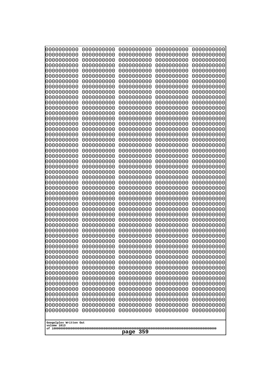| 10000000000                                                        | 0000000000               | 0000000000               | 0000000000               | 0000000000               |  |
|--------------------------------------------------------------------|--------------------------|--------------------------|--------------------------|--------------------------|--|
| 0000000000<br>0000000000                                           | 0000000000<br>0000000000 | 0000000000<br>0000000000 | 0000000000<br>0000000000 | 0000000000<br>0000000000 |  |
| 0000000000                                                         | 0000000000               | 0000000000               | 0000000000               | 0000000000               |  |
| 0000000000                                                         | 0000000000               | 0000000000               | 0000000000               | 0000000000               |  |
| 0000000000                                                         | 0000000000               | 0000000000               | 0000000000               | 0000000000               |  |
| 0000000000<br>0000000000                                           | 0000000000<br>0000000000 | 0000000000<br>0000000000 | 0000000000<br>0000000000 | 0000000000<br>0000000000 |  |
| 0000000000                                                         | 0000000000               | 0000000000               | 0000000000               | 0000000000               |  |
| 0000000000                                                         | 0000000000               | 0000000000               | 0000000000               | 0000000000               |  |
| 0000000000                                                         | 0000000000               | 0000000000               | 0000000000               | 0000000000               |  |
| 0000000000<br>0000000000                                           | 0000000000<br>0000000000 | 0000000000<br>0000000000 | 0000000000<br>0000000000 | 0000000000<br>0000000000 |  |
| 0000000000                                                         | 0000000000               | 0000000000               | 0000000000               | 0000000000               |  |
| 0000000000                                                         | 0000000000               | 0000000000               | 0000000000               | 0000000000               |  |
| 0000000000                                                         | 0000000000               | 0000000000               | 0000000000               | 0000000000               |  |
| 0000000000<br>0000000000                                           | 0000000000<br>0000000000 | 0000000000<br>0000000000 | 0000000000<br>0000000000 | 0000000000<br>0000000000 |  |
| 0000000000                                                         | 0000000000               | 0000000000               | 0000000000               | 0000000000               |  |
| 0000000000                                                         | 0000000000               | 0000000000               | 0000000000               | 0000000000               |  |
| 0000000000                                                         | 0000000000<br>0000000000 | 0000000000               | 0000000000               | 0000000000               |  |
| 0000000000<br>0000000000                                           | 0000000000               | 0000000000<br>0000000000 | 0000000000<br>0000000000 | 0000000000<br>0000000000 |  |
| 0000000000                                                         | 0000000000               | 0000000000               | 0000000000               | 0000000000               |  |
| 0000000000                                                         | 0000000000               | 0000000000               | 0000000000               | 0000000000               |  |
| 0000000000<br>0000000000                                           | 0000000000<br>0000000000 | 0000000000<br>0000000000 | 0000000000<br>0000000000 | 0000000000<br>0000000000 |  |
| 0000000000                                                         | 0000000000               | 0000000000               | 0000000000               | 0000000000               |  |
| 0000000000                                                         | 0000000000               | 0000000000               | 0000000000               | 0000000000               |  |
| 0000000000                                                         | 0000000000               | 0000000000               | 0000000000               | 0000000000               |  |
| 0000000000<br>0000000000                                           | 0000000000<br>0000000000 | 0000000000<br>0000000000 | 0000000000<br>0000000000 | 0000000000<br>0000000000 |  |
| 0000000000                                                         | 0000000000               | 0000000000               | 0000000000               | 0000000000               |  |
| 0000000000                                                         | 0000000000               | 0000000000               | 0000000000               | 0000000000               |  |
| 0000000000                                                         | 0000000000               | 0000000000               | 0000000000               | 0000000000               |  |
| 0000000000<br>0000000000                                           | 0000000000<br>0000000000 | 0000000000<br>0000000000 | 0000000000<br>0000000000 | 0000000000<br>0000000000 |  |
| 0000000000                                                         | 0000000000               | 0000000000               | 0000000000               | 0000000000               |  |
| 0000000000                                                         | 0000000000               | 0000000000               | 0000000000               | 0000000000               |  |
| 0000000000                                                         | 0000000000               | 0000000000               | 0000000000               | 0000000000               |  |
| 0000000000<br>0000000000                                           | 0000000000<br>0000000000 | 0000000000<br>0000000000 | 0000000000<br>0000000000 | 0000000000<br>0000000000 |  |
| 0000000000                                                         | 0000000000               | 0000000000               | 0000000000               | 0000000000               |  |
| 0000000000                                                         | 0000000000               | 0000000000               | 0000000000               | 0000000000               |  |
| 0000000000<br>0000000000                                           | 0000000000<br>0000000000 | 0000000000<br>0000000000 | 0000000000<br>0000000000 | 0000000000<br>0000000000 |  |
| 0000000000                                                         | 0000000000               | 0000000000               | 0000000000               | 0000000000               |  |
| 0000000000                                                         | 0000000000               | 0000000000               | 0000000000               | 0000000000               |  |
| 0000000000                                                         | 0000000000               | 0000000000               | 0000000000               | 0000000000               |  |
| 0000000000<br>0000000000<br>0000000000<br>0000000000<br>0000000000 |                          |                          |                          |                          |  |
| Googolplex Written Out                                             |                          |                          |                          |                          |  |
| volume 1013                                                        |                          |                          |                          |                          |  |
| 359<br>page                                                        |                          |                          |                          |                          |  |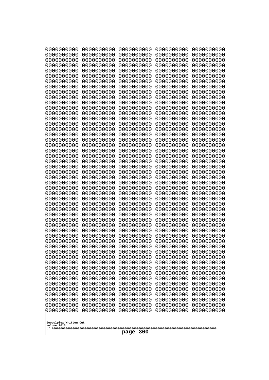|                                                      | 0000000000  | 0000000000 | 0000000000 | 0000000000 | 0000000000 |
|------------------------------------------------------|-------------|------------|------------|------------|------------|
|                                                      | 0000000000  | 0000000000 | 0000000000 | 0000000000 | 0000000000 |
|                                                      | 0000000000  | 0000000000 | 0000000000 | 0000000000 | 0000000000 |
|                                                      | 0000000000  | 0000000000 | 0000000000 | 0000000000 | 0000000000 |
|                                                      | 0000000000  | 0000000000 | 0000000000 | 0000000000 | 0000000000 |
|                                                      | 0000000000  | 0000000000 | 0000000000 | 0000000000 | 0000000000 |
|                                                      | 0000000000  | 0000000000 | 0000000000 | 0000000000 | 0000000000 |
|                                                      | 0000000000  | 0000000000 | 0000000000 | 0000000000 | 0000000000 |
|                                                      | 0000000000  | 0000000000 | 0000000000 | 0000000000 | 0000000000 |
|                                                      | 0000000000  | 0000000000 | 0000000000 | 0000000000 | 0000000000 |
|                                                      | 0000000000  | 0000000000 | 0000000000 | 0000000000 | 0000000000 |
|                                                      | 0000000000  | 0000000000 | 0000000000 | 0000000000 | 0000000000 |
|                                                      | 0000000000  | 0000000000 | 0000000000 | 0000000000 | 0000000000 |
|                                                      | 0000000000  | 0000000000 | 0000000000 | 0000000000 | 0000000000 |
|                                                      | 0000000000  | 0000000000 | 0000000000 | 0000000000 | 0000000000 |
|                                                      | 0000000000  | 0000000000 | 0000000000 | 0000000000 | 0000000000 |
|                                                      | 0000000000  | 0000000000 | 0000000000 | 0000000000 | 0000000000 |
|                                                      | 0000000000  | 0000000000 | 0000000000 | 0000000000 | 0000000000 |
|                                                      | 0000000000  | 0000000000 | 0000000000 | 0000000000 | 0000000000 |
|                                                      | 0000000000  | 0000000000 | 0000000000 | 0000000000 | 0000000000 |
|                                                      | 0000000000  | 0000000000 | 0000000000 | 0000000000 | 0000000000 |
|                                                      | 0000000000  | 0000000000 | 0000000000 | 0000000000 | 0000000000 |
|                                                      | 0000000000  | 0000000000 | 0000000000 | 0000000000 | 0000000000 |
|                                                      | 0000000000  | 0000000000 | 0000000000 | 0000000000 | 0000000000 |
|                                                      | 0000000000  | 0000000000 | 0000000000 | 0000000000 | 0000000000 |
|                                                      | 0000000000  | 0000000000 | 0000000000 | 0000000000 | 0000000000 |
|                                                      | 0000000000  | 0000000000 | 0000000000 | 0000000000 | 0000000000 |
|                                                      | 0000000000  | 0000000000 | 0000000000 | 0000000000 | 0000000000 |
|                                                      | 0000000000  | 0000000000 | 0000000000 | 0000000000 | 0000000000 |
|                                                      | 0000000000  | 0000000000 | 0000000000 | 0000000000 | 0000000000 |
|                                                      | 0000000000  | 0000000000 | 0000000000 | 0000000000 | 0000000000 |
|                                                      | 0000000000  | 0000000000 | 0000000000 | 0000000000 | 0000000000 |
|                                                      | 0000000000  | 0000000000 | 0000000000 | 0000000000 | 0000000000 |
|                                                      | 0000000000  | 0000000000 | 0000000000 | 0000000000 | 0000000000 |
|                                                      | 0000000000  | 0000000000 | 0000000000 | 0000000000 | 0000000000 |
|                                                      | 0000000000  | 0000000000 | 0000000000 | 0000000000 | 0000000000 |
|                                                      | 0000000000  | 0000000000 | 0000000000 | 0000000000 | 0000000000 |
|                                                      | 10000000000 | 0000000000 | 0000000000 | 0000000000 | 0000000000 |
|                                                      | 0000000000  | 0000000000 | 0000000000 | 0000000000 | 0000000000 |
|                                                      | 0000000000  | 0000000000 | 0000000000 | 0000000000 | 0000000000 |
|                                                      | 0000000000  | 0000000000 | 0000000000 | 0000000000 | 0000000000 |
|                                                      | 0000000000  | 0000000000 | 0000000000 | 0000000000 | 0000000000 |
|                                                      | 0000000000  | 0000000000 | 0000000000 | 0000000000 | 0000000000 |
|                                                      | 0000000000  | 0000000000 | 0000000000 | 0000000000 | 0000000000 |
|                                                      | 0000000000  | 0000000000 | 0000000000 | 0000000000 | 0000000000 |
|                                                      | 0000000000  | 0000000000 | 0000000000 | 0000000000 | 0000000000 |
|                                                      | 0000000000  | 0000000000 | 0000000000 | 0000000000 | 0000000000 |
|                                                      | 0000000000  | 0000000000 | 0000000000 | 0000000000 | 0000000000 |
|                                                      | 0000000000  | 0000000000 | 0000000000 | 0000000000 | 0000000000 |
|                                                      | 0000000000  | 0000000000 | 0000000000 | 0000000000 | 0000000000 |
| Googolplex Written Out<br>volume 1013<br>360<br>page |             |            |            |            |            |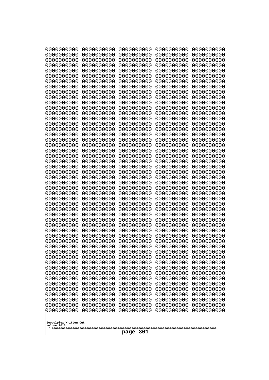| 10000000000                           | 0000000000               | 0000000000               | 0000000000               | 0000000000               |
|---------------------------------------|--------------------------|--------------------------|--------------------------|--------------------------|
| 0000000000<br>0000000000              | 0000000000<br>0000000000 | 0000000000<br>0000000000 | 0000000000<br>0000000000 | 0000000000<br>0000000000 |
| 0000000000                            | 0000000000               | 0000000000               | 0000000000               | 0000000000               |
| 0000000000                            | 0000000000               | 0000000000               | 0000000000               | 0000000000               |
| 0000000000                            | 0000000000               | 0000000000               | 0000000000               | 0000000000               |
| 0000000000<br>0000000000              | 0000000000<br>0000000000 | 0000000000<br>0000000000 | 0000000000<br>0000000000 | 0000000000<br>0000000000 |
| 0000000000                            | 0000000000               | 0000000000               | 0000000000               | 0000000000               |
| 0000000000                            | 0000000000               | 0000000000               | 0000000000               | 0000000000               |
| 0000000000                            | 0000000000               | 0000000000               | 0000000000               | 0000000000               |
| 0000000000<br>0000000000              | 0000000000<br>0000000000 | 0000000000<br>0000000000 | 0000000000<br>0000000000 | 0000000000<br>0000000000 |
| 0000000000                            | 0000000000               | 0000000000               | 0000000000               | 0000000000               |
| 0000000000                            | 0000000000               | 0000000000               | 0000000000               | 0000000000               |
| 0000000000                            | 0000000000               | 0000000000               | 0000000000               | 0000000000               |
| 0000000000<br>0000000000              | 0000000000<br>0000000000 | 0000000000<br>0000000000 | 0000000000<br>0000000000 | 0000000000<br>0000000000 |
| 0000000000                            | 0000000000               | 0000000000               | 0000000000               | 0000000000               |
| 0000000000                            | 0000000000               | 0000000000               | 0000000000               | 0000000000               |
| 0000000000                            | 0000000000               | 0000000000               | 0000000000               | 0000000000               |
| 0000000000<br>0000000000              | 0000000000<br>0000000000 | 0000000000<br>0000000000 | 0000000000<br>0000000000 | 0000000000<br>0000000000 |
| 0000000000                            | 0000000000               | 0000000000               | 0000000000               | 0000000000               |
| 0000000000                            | 0000000000               | 0000000000               | 0000000000               | 0000000000               |
| 0000000000                            | 0000000000               | 0000000000               | 0000000000               | 0000000000               |
| 0000000000<br>0000000000              | 0000000000<br>0000000000 | 0000000000<br>0000000000 | 0000000000<br>0000000000 | 0000000000<br>0000000000 |
| 0000000000                            | 0000000000               | 0000000000               | 0000000000               | 0000000000               |
| 0000000000                            | 0000000000               | 0000000000               | 0000000000               | 0000000000               |
| 0000000000                            | 0000000000               | 0000000000               | 0000000000               | 0000000000               |
| 0000000000<br>0000000000              | 0000000000<br>0000000000 | 0000000000<br>0000000000 | 0000000000<br>0000000000 | 0000000000<br>0000000000 |
| 0000000000                            | 0000000000               | 0000000000               | 0000000000               | 0000000000               |
| 0000000000                            | 0000000000               | 0000000000               | 0000000000               | 0000000000               |
| 0000000000<br>0000000000              | 0000000000<br>0000000000 | 0000000000<br>0000000000 | 0000000000<br>0000000000 | 0000000000<br>0000000000 |
| 0000000000                            | 0000000000               | 0000000000               | 0000000000               | 0000000000               |
| 0000000000                            | 0000000000               | 0000000000               | 0000000000               | 0000000000               |
| 0000000000                            | 0000000000               | 0000000000               | 0000000000               | 0000000000               |
| 0000000000<br>0000000000              | 0000000000<br>0000000000 | 0000000000<br>0000000000 | 0000000000<br>0000000000 | 0000000000<br>0000000000 |
| 0000000000                            | 0000000000               | 0000000000               | 0000000000               | 0000000000               |
| 0000000000                            | 0000000000               | 0000000000               | 0000000000               | 0000000000               |
| 0000000000                            | 0000000000               | 0000000000               | 0000000000               | 0000000000               |
| 0000000000<br>0000000000              | 0000000000<br>0000000000 | 0000000000<br>0000000000 | 0000000000<br>0000000000 | 0000000000<br>0000000000 |
| 0000000000                            | 0000000000               | 0000000000               | 0000000000               | 0000000000               |
| 0000000000                            | 0000000000               | 0000000000               | 0000000000               | 0000000000               |
| 0000000000                            | 0000000000               | 0000000000               | 0000000000               | 0000000000               |
|                                       |                          |                          |                          |                          |
| Googolplex Written Out<br>volume 1013 |                          |                          |                          |                          |
| 361<br>page                           |                          |                          |                          |                          |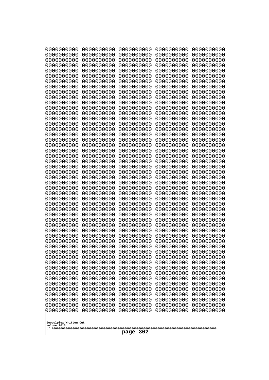| 10000000000                           | 0000000000               | 0000000000               | 0000000000               | 0000000000               |
|---------------------------------------|--------------------------|--------------------------|--------------------------|--------------------------|
| 0000000000<br>0000000000              | 0000000000<br>0000000000 | 0000000000<br>0000000000 | 0000000000<br>0000000000 | 0000000000<br>0000000000 |
| 0000000000                            | 0000000000               | 0000000000               | 0000000000               | 0000000000               |
| 0000000000                            | 0000000000               | 0000000000               | 0000000000               | 0000000000               |
| 0000000000                            | 0000000000               | 0000000000               | 0000000000               | 0000000000               |
| 0000000000<br>0000000000              | 0000000000<br>0000000000 | 0000000000<br>0000000000 | 0000000000<br>0000000000 | 0000000000<br>0000000000 |
| 0000000000                            | 0000000000               | 0000000000               | 0000000000               | 0000000000               |
| 0000000000                            | 0000000000               | 0000000000               | 0000000000               | 0000000000               |
| 0000000000                            | 0000000000               | 0000000000               | 0000000000               | 0000000000               |
| 0000000000<br>0000000000              | 0000000000<br>0000000000 | 0000000000<br>0000000000 | 0000000000<br>0000000000 | 0000000000<br>0000000000 |
| 0000000000                            | 0000000000               | 0000000000               | 0000000000               | 0000000000               |
| 0000000000                            | 0000000000               | 0000000000               | 0000000000               | 0000000000               |
| 0000000000                            | 0000000000               | 0000000000               | 0000000000               | 0000000000               |
| 0000000000<br>0000000000              | 0000000000<br>0000000000 | 0000000000<br>0000000000 | 0000000000<br>0000000000 | 0000000000<br>0000000000 |
| 0000000000                            | 0000000000               | 0000000000               | 0000000000               | 0000000000               |
| 0000000000                            | 0000000000               | 0000000000               | 0000000000               | 0000000000               |
| 0000000000                            | 0000000000               | 0000000000               | 0000000000               | 0000000000               |
| 0000000000<br>0000000000              | 0000000000<br>0000000000 | 0000000000<br>0000000000 | 0000000000<br>0000000000 | 0000000000<br>0000000000 |
| 0000000000                            | 0000000000               | 0000000000               | 0000000000               | 0000000000               |
| 0000000000                            | 0000000000               | 0000000000               | 0000000000               | 0000000000               |
| 0000000000                            | 0000000000               | 0000000000               | 0000000000               | 0000000000               |
| 0000000000<br>0000000000              | 0000000000<br>0000000000 | 0000000000<br>0000000000 | 0000000000<br>0000000000 | 0000000000<br>0000000000 |
| 0000000000                            | 0000000000               | 0000000000               | 0000000000               | 0000000000               |
| 0000000000                            | 0000000000               | 0000000000               | 0000000000               | 0000000000               |
| 0000000000                            | 0000000000               | 0000000000               | 0000000000               | 0000000000               |
| 0000000000<br>0000000000              | 0000000000<br>0000000000 | 0000000000<br>0000000000 | 0000000000<br>0000000000 | 0000000000<br>0000000000 |
| 0000000000                            | 0000000000               | 0000000000               | 0000000000               | 0000000000               |
| 0000000000                            | 0000000000               | 0000000000               | 0000000000               | 0000000000               |
| 0000000000                            | 0000000000<br>0000000000 | 0000000000<br>0000000000 | 0000000000               | 0000000000               |
| 0000000000<br>0000000000              | 0000000000               | 0000000000               | 0000000000<br>0000000000 | 0000000000<br>0000000000 |
| 0000000000                            | 0000000000               | 0000000000               | 0000000000               | 0000000000               |
| 0000000000                            | 0000000000               | 0000000000               | 0000000000               | 0000000000               |
| 0000000000<br>0000000000              | 0000000000<br>0000000000 | 0000000000<br>0000000000 | 0000000000<br>0000000000 | 0000000000<br>0000000000 |
| 0000000000                            | 0000000000               | 0000000000               | 0000000000               | 0000000000               |
| 0000000000                            | 0000000000               | 0000000000               | 0000000000               | 0000000000               |
| 0000000000                            | 0000000000               | 0000000000               | 0000000000               | 0000000000               |
| 0000000000<br>0000000000              | 0000000000<br>0000000000 | 0000000000<br>0000000000 | 0000000000<br>0000000000 | 0000000000<br>0000000000 |
| 0000000000                            | 0000000000               | 0000000000               | 0000000000               | 0000000000               |
| 0000000000                            | 0000000000               | 0000000000               | 0000000000               | 0000000000               |
| 0000000000                            | 0000000000               | 0000000000               | 0000000000               | 0000000000               |
|                                       |                          |                          |                          |                          |
| Googolplex Written Out<br>volume 1013 |                          |                          |                          |                          |
| 362<br>page                           |                          |                          |                          |                          |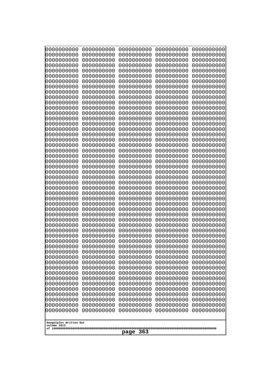|                                                      | 0000000000  | 0000000000 | 0000000000 | 0000000000 | 0000000000 |
|------------------------------------------------------|-------------|------------|------------|------------|------------|
|                                                      | 0000000000  | 0000000000 | 0000000000 | 0000000000 | 0000000000 |
|                                                      | 0000000000  | 0000000000 | 0000000000 | 0000000000 | 0000000000 |
|                                                      | 0000000000  | 0000000000 | 0000000000 | 0000000000 | 0000000000 |
|                                                      | 0000000000  | 0000000000 | 0000000000 | 0000000000 | 0000000000 |
|                                                      | 0000000000  | 0000000000 | 0000000000 | 0000000000 | 0000000000 |
|                                                      | 0000000000  | 0000000000 | 0000000000 | 0000000000 | 0000000000 |
|                                                      | 0000000000  | 0000000000 | 0000000000 | 0000000000 | 0000000000 |
|                                                      | 0000000000  | 0000000000 | 0000000000 | 0000000000 | 0000000000 |
|                                                      | 0000000000  | 0000000000 | 0000000000 | 0000000000 | 0000000000 |
|                                                      | 0000000000  | 0000000000 | 0000000000 | 0000000000 | 0000000000 |
|                                                      | 0000000000  | 0000000000 | 0000000000 | 0000000000 | 0000000000 |
|                                                      | 0000000000  | 0000000000 | 0000000000 | 0000000000 | 0000000000 |
|                                                      | 0000000000  | 0000000000 | 0000000000 | 0000000000 | 0000000000 |
|                                                      | 0000000000  | 0000000000 | 0000000000 | 0000000000 | 0000000000 |
|                                                      | 0000000000  | 0000000000 | 0000000000 | 0000000000 | 0000000000 |
|                                                      | 0000000000  | 0000000000 | 0000000000 | 0000000000 | 0000000000 |
|                                                      | 0000000000  | 0000000000 | 0000000000 | 0000000000 | 0000000000 |
|                                                      | 0000000000  | 0000000000 | 0000000000 | 0000000000 | 0000000000 |
|                                                      | 0000000000  | 0000000000 | 0000000000 | 0000000000 | 0000000000 |
|                                                      | 0000000000  | 0000000000 | 0000000000 | 0000000000 | 0000000000 |
|                                                      | 0000000000  | 0000000000 | 0000000000 | 0000000000 | 0000000000 |
|                                                      | 0000000000  | 0000000000 | 0000000000 | 0000000000 | 0000000000 |
|                                                      | 0000000000  | 0000000000 | 0000000000 | 0000000000 | 0000000000 |
|                                                      | 0000000000  | 0000000000 | 0000000000 | 0000000000 | 0000000000 |
|                                                      | 0000000000  | 0000000000 | 0000000000 | 0000000000 | 0000000000 |
|                                                      | 0000000000  | 0000000000 | 0000000000 | 0000000000 | 0000000000 |
|                                                      | 0000000000  | 0000000000 | 0000000000 | 0000000000 | 0000000000 |
|                                                      | 0000000000  | 0000000000 | 0000000000 | 0000000000 | 0000000000 |
|                                                      | 0000000000  | 0000000000 | 0000000000 | 0000000000 | 0000000000 |
|                                                      | 0000000000  | 0000000000 | 0000000000 | 0000000000 | 0000000000 |
|                                                      | 0000000000  | 0000000000 | 0000000000 | 0000000000 | 0000000000 |
|                                                      | 0000000000  | 0000000000 | 0000000000 | 0000000000 | 0000000000 |
|                                                      | 0000000000  | 0000000000 | 0000000000 | 0000000000 | 0000000000 |
|                                                      | 0000000000  | 0000000000 | 0000000000 | 0000000000 | 0000000000 |
|                                                      | 0000000000  | 0000000000 | 0000000000 | 0000000000 | 0000000000 |
|                                                      | 0000000000  | 0000000000 | 0000000000 | 0000000000 | 0000000000 |
|                                                      | 10000000000 | 0000000000 | 0000000000 | 0000000000 | 0000000000 |
|                                                      | 0000000000  | 0000000000 | 0000000000 | 0000000000 | 0000000000 |
|                                                      | 0000000000  | 0000000000 | 0000000000 | 0000000000 | 0000000000 |
|                                                      | 0000000000  | 0000000000 | 0000000000 | 0000000000 | 0000000000 |
|                                                      | 0000000000  | 0000000000 | 0000000000 | 0000000000 | 0000000000 |
|                                                      | 0000000000  | 0000000000 | 0000000000 | 0000000000 | 0000000000 |
|                                                      | 0000000000  | 0000000000 | 0000000000 | 0000000000 | 0000000000 |
|                                                      | 0000000000  | 0000000000 | 0000000000 | 0000000000 | 0000000000 |
|                                                      | 0000000000  | 0000000000 | 0000000000 | 0000000000 | 0000000000 |
|                                                      | 0000000000  | 0000000000 | 0000000000 | 0000000000 | 0000000000 |
|                                                      | 0000000000  | 0000000000 | 0000000000 | 0000000000 | 0000000000 |
|                                                      | 0000000000  | 0000000000 | 0000000000 | 0000000000 | 0000000000 |
|                                                      | 0000000000  | 0000000000 | 0000000000 | 0000000000 | 0000000000 |
| Googolplex Written Out<br>volume 1013<br>363<br>page |             |            |            |            |            |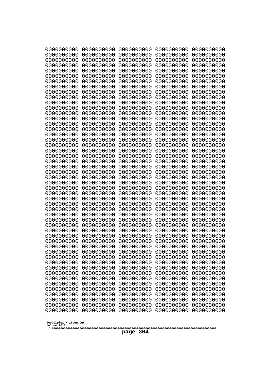| 0000000000                                                                                                                               | 0000000000 | 0000000000 | 0000000000 | 0000000000 |  |
|------------------------------------------------------------------------------------------------------------------------------------------|------------|------------|------------|------------|--|
| 0000000000                                                                                                                               | 0000000000 | 0000000000 | 0000000000 | 0000000000 |  |
| 0000000000                                                                                                                               | 0000000000 | 0000000000 | 0000000000 | 0000000000 |  |
| 0000000000                                                                                                                               | 0000000000 | 0000000000 | 0000000000 | 0000000000 |  |
| 0000000000                                                                                                                               | 0000000000 | 0000000000 | 0000000000 | 0000000000 |  |
| 0000000000                                                                                                                               | 0000000000 | 0000000000 | 0000000000 | 0000000000 |  |
| 0000000000                                                                                                                               | 0000000000 | 0000000000 | 0000000000 | 0000000000 |  |
| 0000000000                                                                                                                               | 0000000000 | 0000000000 | 0000000000 | 0000000000 |  |
| 0000000000                                                                                                                               | 0000000000 | 0000000000 | 0000000000 | 0000000000 |  |
| 0000000000                                                                                                                               | 0000000000 | 0000000000 | 0000000000 | 0000000000 |  |
| 0000000000                                                                                                                               | 0000000000 | 0000000000 | 0000000000 | 0000000000 |  |
| 0000000000                                                                                                                               | 0000000000 | 0000000000 | 0000000000 | 0000000000 |  |
| 0000000000                                                                                                                               | 0000000000 | 0000000000 | 0000000000 | 0000000000 |  |
| 0000000000                                                                                                                               | 0000000000 | 0000000000 | 0000000000 | 0000000000 |  |
| 0000000000                                                                                                                               | 0000000000 | 0000000000 | 0000000000 | 0000000000 |  |
| 0000000000                                                                                                                               | 0000000000 | 0000000000 | 0000000000 | 0000000000 |  |
| 0000000000                                                                                                                               | 0000000000 | 0000000000 | 0000000000 | 0000000000 |  |
| 0000000000                                                                                                                               | 0000000000 | 0000000000 | 0000000000 | 0000000000 |  |
| 0000000000                                                                                                                               | 0000000000 | 0000000000 | 0000000000 | 0000000000 |  |
| 0000000000                                                                                                                               | 0000000000 | 0000000000 | 0000000000 | 0000000000 |  |
| 0000000000                                                                                                                               | 0000000000 | 0000000000 | 0000000000 | 0000000000 |  |
| 0000000000                                                                                                                               | 0000000000 | 0000000000 | 0000000000 | 0000000000 |  |
| 0000000000                                                                                                                               | 0000000000 | 0000000000 | 0000000000 | 0000000000 |  |
| 0000000000                                                                                                                               | 0000000000 | 0000000000 | 0000000000 | 0000000000 |  |
| 0000000000                                                                                                                               | 0000000000 | 0000000000 | 0000000000 | 0000000000 |  |
| 0000000000                                                                                                                               | 0000000000 | 0000000000 | 0000000000 | 0000000000 |  |
| 0000000000                                                                                                                               | 0000000000 | 0000000000 | 0000000000 | 0000000000 |  |
| 0000000000                                                                                                                               | 0000000000 | 0000000000 | 0000000000 | 0000000000 |  |
| 0000000000                                                                                                                               | 0000000000 | 0000000000 | 0000000000 | 0000000000 |  |
| 0000000000                                                                                                                               | 0000000000 | 0000000000 | 0000000000 | 0000000000 |  |
| 0000000000                                                                                                                               | 0000000000 | 0000000000 | 0000000000 | 0000000000 |  |
| 0000000000                                                                                                                               | 0000000000 | 0000000000 | 0000000000 | 0000000000 |  |
| 0000000000                                                                                                                               | 0000000000 | 0000000000 | 0000000000 | 0000000000 |  |
| 0000000000                                                                                                                               | 0000000000 | 0000000000 | 0000000000 | 0000000000 |  |
| 0000000000                                                                                                                               | 0000000000 | 0000000000 | 0000000000 | 0000000000 |  |
| 0000000000                                                                                                                               | 0000000000 | 0000000000 | 0000000000 | 0000000000 |  |
| 0000000000                                                                                                                               | 0000000000 | 0000000000 | 0000000000 | 0000000000 |  |
| 0000000000                                                                                                                               | 0000000000 | 0000000000 | 0000000000 | 0000000000 |  |
| 0000000000                                                                                                                               | 0000000000 | 0000000000 | 0000000000 | 0000000000 |  |
| 0000000000                                                                                                                               | 0000000000 | 0000000000 | 0000000000 | 0000000000 |  |
| 0000000000                                                                                                                               | 0000000000 | 0000000000 | 0000000000 | 0000000000 |  |
| 0000000000                                                                                                                               | 0000000000 | 0000000000 | 0000000000 | 0000000000 |  |
| 0000000000                                                                                                                               | 0000000000 | 0000000000 | 0000000000 | 0000000000 |  |
| 0000000000                                                                                                                               | 0000000000 | 0000000000 | 0000000000 | 0000000000 |  |
| 0000000000                                                                                                                               | 0000000000 | 0000000000 | 0000000000 | 0000000000 |  |
| 0000000000                                                                                                                               | 0000000000 | 0000000000 | 0000000000 | 0000000000 |  |
| 0000000000                                                                                                                               | 0000000000 | 0000000000 | 0000000000 | 0000000000 |  |
| 0000000000                                                                                                                               | 0000000000 | 0000000000 | 0000000000 | 0000000000 |  |
| 0000000000<br>0000000000<br>0000000000<br>0000000000<br>0000000000<br>0000000000<br>0000000000<br>0000000000<br>0000000000<br>0000000000 |            |            |            |            |  |
| Googolplex Written Out<br>volume 1013<br>364<br>page                                                                                     |            |            |            |            |  |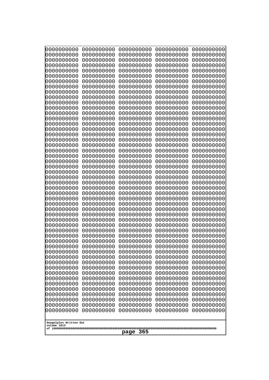| 10000000000              | 0000000000               | 0000000000               | 0000000000               | 0000000000               |  |
|--------------------------|--------------------------|--------------------------|--------------------------|--------------------------|--|
| 0000000000<br>0000000000 | 0000000000<br>0000000000 | 0000000000<br>0000000000 | 0000000000<br>0000000000 | 0000000000<br>0000000000 |  |
| 0000000000               | 0000000000               | 0000000000               | 0000000000               | 0000000000               |  |
| 0000000000               | 0000000000               | 0000000000               | 0000000000               | 0000000000               |  |
| 0000000000               | 0000000000               | 0000000000               | 0000000000               | 0000000000               |  |
| 0000000000<br>0000000000 | 0000000000<br>0000000000 | 0000000000<br>0000000000 | 0000000000<br>0000000000 | 0000000000<br>0000000000 |  |
| 0000000000               | 0000000000               | 0000000000               | 0000000000               | 0000000000               |  |
| 0000000000               | 0000000000               | 0000000000               | 0000000000               | 0000000000               |  |
| 0000000000               | 0000000000               | 0000000000               | 0000000000               | 0000000000               |  |
| 0000000000<br>0000000000 | 0000000000<br>0000000000 | 0000000000<br>0000000000 | 0000000000<br>0000000000 | 0000000000<br>0000000000 |  |
| 0000000000               | 0000000000               | 0000000000               | 0000000000               | 0000000000               |  |
| 0000000000               | 0000000000               | 0000000000               | 0000000000               | 0000000000               |  |
| 0000000000               | 0000000000               | 0000000000               | 0000000000               | 0000000000               |  |
| 0000000000<br>0000000000 | 0000000000<br>0000000000 | 0000000000<br>0000000000 | 0000000000<br>0000000000 | 0000000000<br>0000000000 |  |
| 0000000000               | 0000000000               | 0000000000               | 0000000000               | 0000000000               |  |
| 0000000000               | 0000000000               | 0000000000               | 0000000000               | 0000000000               |  |
| 0000000000               | 0000000000<br>0000000000 | 0000000000               | 0000000000               | 0000000000               |  |
| 0000000000<br>0000000000 | 0000000000               | 0000000000<br>0000000000 | 0000000000<br>0000000000 | 0000000000<br>0000000000 |  |
| 0000000000               | 0000000000               | 0000000000               | 0000000000               | 0000000000               |  |
| 0000000000               | 0000000000               | 0000000000               | 0000000000               | 0000000000               |  |
| 0000000000<br>0000000000 | 0000000000<br>0000000000 | 0000000000<br>0000000000 | 0000000000<br>0000000000 | 0000000000<br>0000000000 |  |
| 0000000000               | 0000000000               | 0000000000               | 0000000000               | 0000000000               |  |
| 0000000000               | 0000000000               | 0000000000               | 0000000000               | 0000000000               |  |
| 0000000000               | 0000000000               | 0000000000               | 0000000000               | 0000000000               |  |
| 0000000000<br>0000000000 | 0000000000<br>0000000000 | 0000000000<br>0000000000 | 0000000000<br>0000000000 | 0000000000<br>0000000000 |  |
| 0000000000               | 0000000000               | 0000000000               | 0000000000               | 0000000000               |  |
| 0000000000               | 0000000000               | 0000000000               | 0000000000               | 0000000000               |  |
| 0000000000<br>0000000000 | 0000000000<br>0000000000 | 0000000000               | 0000000000               | 0000000000               |  |
| 0000000000               | 0000000000               | 0000000000<br>0000000000 | 0000000000<br>0000000000 | 0000000000<br>0000000000 |  |
| 0000000000               | 0000000000               | 0000000000               | 0000000000               | 0000000000               |  |
| 0000000000               | 0000000000               | 0000000000               | 0000000000               | 0000000000               |  |
| 0000000000<br>0000000000 | 0000000000<br>0000000000 | 0000000000<br>0000000000 | 0000000000<br>0000000000 | 0000000000<br>0000000000 |  |
| 0000000000               | 0000000000               | 0000000000               | 0000000000               | 0000000000               |  |
| 0000000000               | 0000000000               | 0000000000               | 0000000000               | 0000000000               |  |
| 0000000000               | 0000000000               | 0000000000               | 0000000000               | 0000000000               |  |
| 0000000000<br>0000000000 | 0000000000<br>0000000000 | 0000000000<br>0000000000 | 0000000000<br>0000000000 | 0000000000<br>0000000000 |  |
| 0000000000               | 0000000000               | 0000000000               | 0000000000               | 0000000000               |  |
| 0000000000               | 0000000000               | 0000000000               | 0000000000               | 0000000000               |  |
| 0000000000               | 0000000000               | 0000000000               | 0000000000               | 0000000000               |  |
| 0000000000               | 0000000000               | 0000000000               | 0000000000               | 0000000000               |  |
|                          | Googolplex Written Out   |                          |                          |                          |  |
| volume 1013              |                          |                          |                          |                          |  |
| 365<br>page              |                          |                          |                          |                          |  |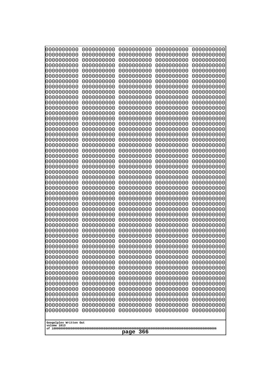| 0000000000                                           | 0000000000 | 0000000000 | 0000000000 | 0000000000 |
|------------------------------------------------------|------------|------------|------------|------------|
| 0000000000                                           | 0000000000 | 0000000000 | 0000000000 | 0000000000 |
| 0000000000                                           | 0000000000 | 0000000000 | 0000000000 | 0000000000 |
| 0000000000                                           | 0000000000 | 0000000000 | 0000000000 | 0000000000 |
| 0000000000                                           | 0000000000 | 0000000000 | 0000000000 | 0000000000 |
| 0000000000                                           | 0000000000 | 0000000000 | 0000000000 | 0000000000 |
| 0000000000                                           | 0000000000 | 0000000000 | 0000000000 | 0000000000 |
| 0000000000                                           | 0000000000 | 0000000000 | 0000000000 | 0000000000 |
| 0000000000                                           | 0000000000 | 0000000000 | 0000000000 | 0000000000 |
| 0000000000                                           | 0000000000 | 0000000000 | 0000000000 | 0000000000 |
| 0000000000                                           | 0000000000 | 0000000000 | 0000000000 | 0000000000 |
| 0000000000                                           | 0000000000 | 0000000000 | 0000000000 | 0000000000 |
| 0000000000                                           | 0000000000 | 0000000000 | 0000000000 | 0000000000 |
| 0000000000                                           | 0000000000 | 0000000000 | 0000000000 | 0000000000 |
| 0000000000                                           | 0000000000 | 0000000000 | 0000000000 | 0000000000 |
| 0000000000                                           | 0000000000 | 0000000000 | 0000000000 | 0000000000 |
| 0000000000                                           | 0000000000 | 0000000000 | 0000000000 | 0000000000 |
| 0000000000                                           | 0000000000 | 0000000000 | 0000000000 | 0000000000 |
| 0000000000                                           | 0000000000 | 0000000000 | 0000000000 | 0000000000 |
| 0000000000                                           | 0000000000 | 0000000000 | 0000000000 | 0000000000 |
| 0000000000                                           | 0000000000 | 0000000000 | 0000000000 | 0000000000 |
| 0000000000                                           | 0000000000 | 0000000000 | 0000000000 | 0000000000 |
| 0000000000                                           | 0000000000 | 0000000000 | 0000000000 | 0000000000 |
| 0000000000                                           | 0000000000 | 0000000000 | 0000000000 | 0000000000 |
| 0000000000                                           | 0000000000 | 0000000000 | 0000000000 | 0000000000 |
| 0000000000                                           | 0000000000 | 0000000000 | 0000000000 | 0000000000 |
| 0000000000                                           | 0000000000 | 0000000000 | 0000000000 | 0000000000 |
| 0000000000                                           | 0000000000 | 0000000000 | 0000000000 | 0000000000 |
| 0000000000                                           | 0000000000 | 0000000000 | 0000000000 | 0000000000 |
| 0000000000                                           | 0000000000 | 0000000000 | 0000000000 | 0000000000 |
| 0000000000                                           | 0000000000 | 0000000000 | 0000000000 | 0000000000 |
| 0000000000                                           | 0000000000 | 0000000000 | 0000000000 | 0000000000 |
| 0000000000                                           | 0000000000 | 0000000000 | 0000000000 | 0000000000 |
| 0000000000                                           | 0000000000 | 0000000000 | 0000000000 | 0000000000 |
| 0000000000                                           | 0000000000 | 0000000000 | 0000000000 | 0000000000 |
| 0000000000                                           | 0000000000 | 0000000000 | 0000000000 | 0000000000 |
| 0000000000                                           | 0000000000 | 0000000000 | 0000000000 | 0000000000 |
| 0000000000                                           | 0000000000 | 0000000000 | 0000000000 | 0000000000 |
| 0000000000                                           | 0000000000 | 0000000000 | 0000000000 | 0000000000 |
| 0000000000                                           | 0000000000 | 0000000000 | 0000000000 | 0000000000 |
| 0000000000                                           | 0000000000 | 0000000000 | 0000000000 | 0000000000 |
| 0000000000                                           | 0000000000 | 0000000000 | 0000000000 | 0000000000 |
| 0000000000                                           | 0000000000 | 0000000000 | 0000000000 | 0000000000 |
| 0000000000                                           | 0000000000 | 0000000000 | 0000000000 | 0000000000 |
| 0000000000                                           | 0000000000 | 0000000000 | 0000000000 | 0000000000 |
| 0000000000                                           | 0000000000 | 0000000000 | 0000000000 | 0000000000 |
| 0000000000                                           | 0000000000 | 0000000000 | 0000000000 | 0000000000 |
| 0000000000                                           | 0000000000 | 0000000000 | 0000000000 | 0000000000 |
| 0000000000                                           | 0000000000 | 0000000000 | 0000000000 | 0000000000 |
| 0000000000                                           | 0000000000 | 0000000000 | 0000000000 | 0000000000 |
| Googolplex Written Out<br>volume 1013<br>366<br>page |            |            |            |            |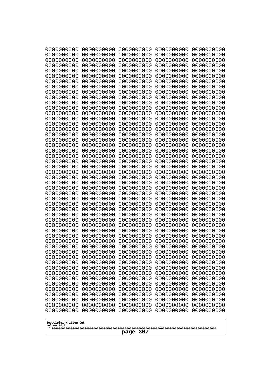| 10000000000<br>0000000000             | 0000000000<br>0000000000 | 0000000000<br>0000000000 | 0000000000<br>0000000000 | 0000000000<br>0000000000 |
|---------------------------------------|--------------------------|--------------------------|--------------------------|--------------------------|
| 0000000000                            | 0000000000               | 0000000000               | 0000000000               | 0000000000               |
| 0000000000                            | 0000000000               | 0000000000               | 0000000000               | 0000000000               |
| 0000000000<br>0000000000              | 0000000000<br>0000000000 | 0000000000<br>0000000000 | 0000000000<br>0000000000 | 0000000000<br>0000000000 |
| 0000000000                            | 0000000000               | 0000000000               | 0000000000               | 0000000000               |
| 0000000000                            | 0000000000               | 0000000000               | 0000000000               | 0000000000               |
| 0000000000<br>0000000000              | 0000000000<br>0000000000 | 0000000000<br>0000000000 | 0000000000<br>0000000000 | 0000000000<br>0000000000 |
| 0000000000                            | 0000000000               | 0000000000               | 0000000000               | 0000000000               |
| 0000000000                            | 0000000000               | 0000000000               | 0000000000               | 0000000000               |
| 0000000000                            | 0000000000               | 0000000000               | 0000000000               | 0000000000               |
| 0000000000<br>0000000000              | 0000000000<br>0000000000 | 0000000000<br>0000000000 | 0000000000<br>0000000000 | 0000000000<br>0000000000 |
| 0000000000                            | 0000000000               | 0000000000               | 0000000000               | 0000000000               |
| 0000000000                            | 0000000000               | 0000000000               | 0000000000               | 0000000000               |
| 0000000000<br>0000000000              | 0000000000<br>0000000000 | 0000000000<br>0000000000 | 0000000000<br>0000000000 | 0000000000<br>0000000000 |
| 0000000000                            | 0000000000               | 0000000000               | 0000000000               | 0000000000               |
| 0000000000                            | 0000000000               | 0000000000               | 0000000000               | 0000000000               |
| 0000000000<br>0000000000              | 0000000000<br>0000000000 | 0000000000<br>0000000000 | 0000000000<br>0000000000 | 0000000000<br>0000000000 |
| 0000000000                            | 0000000000               | 0000000000               | 0000000000               | 0000000000               |
| 0000000000                            | 0000000000               | 0000000000               | 0000000000               | 0000000000               |
| 0000000000<br>0000000000              | 0000000000<br>0000000000 | 0000000000<br>0000000000 | 0000000000<br>0000000000 | 0000000000<br>0000000000 |
| 0000000000                            | 0000000000               | 0000000000               | 0000000000               | 0000000000               |
| 0000000000                            | 0000000000               | 0000000000               | 0000000000               | 0000000000               |
| 0000000000                            | 0000000000<br>0000000000 | 0000000000<br>0000000000 | 0000000000<br>0000000000 | 0000000000               |
| 0000000000<br>0000000000              | 0000000000               | 0000000000               | 0000000000               | 0000000000<br>0000000000 |
| 0000000000                            | 0000000000               | 0000000000               | 0000000000               | 0000000000               |
| 0000000000                            | 0000000000               | 0000000000               | 0000000000               | 0000000000               |
| 0000000000<br>0000000000              | 0000000000<br>0000000000 | 0000000000<br>0000000000 | 0000000000<br>0000000000 | 0000000000<br>0000000000 |
| 0000000000                            | 0000000000               | 0000000000               | 0000000000               | 0000000000               |
| 0000000000                            | 0000000000               | 0000000000               | 0000000000               | 0000000000               |
| 0000000000<br>0000000000              | 0000000000<br>0000000000 | 0000000000<br>0000000000 | 0000000000<br>0000000000 | 0000000000<br>0000000000 |
| 0000000000                            | 0000000000               | 0000000000               | 0000000000               | 0000000000               |
| 0000000000                            | 0000000000               | 0000000000               | 0000000000               | 0000000000               |
| 0000000000<br>0000000000              | 0000000000<br>0000000000 | 0000000000<br>0000000000 | 0000000000<br>0000000000 | 0000000000<br>0000000000 |
| 0000000000                            | 0000000000               | 0000000000               | 0000000000               | 0000000000               |
| 0000000000                            | 0000000000               | 0000000000               | 0000000000               | 0000000000               |
| 0000000000<br>0000000000              | 0000000000<br>0000000000 | 0000000000<br>0000000000 | 0000000000<br>0000000000 | 0000000000<br>0000000000 |
| 0000000000                            | 0000000000               | 0000000000               | 0000000000               | 0000000000               |
| 0000000000                            | 0000000000               | 0000000000               | 0000000000               | 0000000000               |
|                                       |                          |                          |                          |                          |
| Googolplex Written Out<br>volume 1013 |                          |                          |                          |                          |
| 367<br>page                           |                          |                          |                          |                          |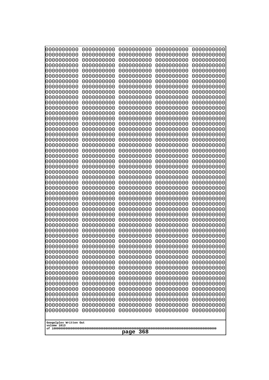| 10000000000                           | 0000000000               | 0000000000               | 0000000000               | 0000000000               |
|---------------------------------------|--------------------------|--------------------------|--------------------------|--------------------------|
| 0000000000<br>0000000000              | 0000000000<br>0000000000 | 0000000000<br>0000000000 | 0000000000<br>0000000000 | 0000000000<br>0000000000 |
| 0000000000                            | 0000000000               | 0000000000               | 0000000000               | 0000000000               |
| 0000000000                            | 0000000000               | 0000000000               | 0000000000               | 0000000000               |
| 0000000000                            | 0000000000               | 0000000000               | 0000000000               | 0000000000               |
| 0000000000<br>0000000000              | 0000000000<br>0000000000 | 0000000000<br>0000000000 | 0000000000<br>0000000000 | 0000000000<br>0000000000 |
| 0000000000                            | 0000000000               | 0000000000               | 0000000000               | 0000000000               |
| 0000000000                            | 0000000000               | 0000000000               | 0000000000               | 0000000000               |
| 0000000000                            | 0000000000               | 0000000000               | 0000000000               | 0000000000               |
| 0000000000<br>0000000000              | 0000000000<br>0000000000 | 0000000000<br>0000000000 | 0000000000<br>0000000000 | 0000000000<br>0000000000 |
| 0000000000                            | 0000000000               | 0000000000               | 0000000000               | 0000000000               |
| 0000000000                            | 0000000000               | 0000000000               | 0000000000               | 0000000000               |
| 0000000000                            | 0000000000               | 0000000000               | 0000000000               | 0000000000               |
| 0000000000<br>0000000000              | 0000000000<br>0000000000 | 0000000000<br>0000000000 | 0000000000<br>0000000000 | 0000000000<br>0000000000 |
| 0000000000                            | 0000000000               | 0000000000               | 0000000000               | 0000000000               |
| 0000000000                            | 0000000000               | 0000000000               | 0000000000               | 0000000000               |
| 0000000000                            | 0000000000               | 0000000000               | 0000000000               | 0000000000               |
| 0000000000<br>0000000000              | 0000000000<br>0000000000 | 0000000000<br>0000000000 | 0000000000<br>0000000000 | 0000000000<br>0000000000 |
| 0000000000                            | 0000000000               | 0000000000               | 0000000000               | 0000000000               |
| 0000000000                            | 0000000000               | 0000000000               | 0000000000               | 0000000000               |
| 0000000000                            | 0000000000               | 0000000000               | 0000000000               | 0000000000               |
| 0000000000<br>0000000000              | 0000000000<br>0000000000 | 0000000000<br>0000000000 | 0000000000<br>0000000000 | 0000000000<br>0000000000 |
| 0000000000                            | 0000000000               | 0000000000               | 0000000000               | 0000000000               |
| 0000000000                            | 0000000000               | 0000000000               | 0000000000               | 0000000000               |
| 0000000000                            | 0000000000               | 0000000000               | 0000000000               | 0000000000               |
| 0000000000<br>0000000000              | 0000000000<br>0000000000 | 0000000000<br>0000000000 | 0000000000<br>0000000000 | 0000000000<br>0000000000 |
| 0000000000                            | 0000000000               | 0000000000               | 0000000000               | 0000000000               |
| 0000000000                            | 0000000000               | 0000000000               | 0000000000               | 0000000000               |
| 0000000000                            | 0000000000<br>0000000000 | 0000000000<br>0000000000 | 0000000000               | 0000000000               |
| 0000000000<br>0000000000              | 0000000000               | 0000000000               | 0000000000<br>0000000000 | 0000000000<br>0000000000 |
| 0000000000                            | 0000000000               | 0000000000               | 0000000000               | 0000000000               |
| 0000000000                            | 0000000000               | 0000000000               | 0000000000               | 0000000000               |
| 0000000000<br>0000000000              | 0000000000<br>0000000000 | 0000000000<br>0000000000 | 0000000000<br>0000000000 | 0000000000<br>0000000000 |
| 0000000000                            | 0000000000               | 0000000000               | 0000000000               | 0000000000               |
| 0000000000                            | 0000000000               | 0000000000               | 0000000000               | 0000000000               |
| 0000000000                            | 0000000000               | 0000000000               | 0000000000               | 0000000000               |
| 0000000000<br>0000000000              | 0000000000<br>0000000000 | 0000000000<br>0000000000 | 0000000000<br>0000000000 | 0000000000<br>0000000000 |
| 0000000000                            | 0000000000               | 0000000000               | 0000000000               | 0000000000               |
| 0000000000                            | 0000000000               | 0000000000               | 0000000000               | 0000000000               |
| 0000000000                            | 0000000000               | 0000000000               | 0000000000               | 0000000000               |
|                                       |                          |                          |                          |                          |
| Googolplex Written Out<br>volume 1013 |                          |                          |                          |                          |
| 368<br>page                           |                          |                          |                          |                          |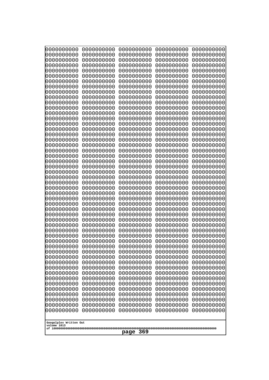| 10000000000                           | 0000000000               | 0000000000               | 0000000000               | 0000000000               |
|---------------------------------------|--------------------------|--------------------------|--------------------------|--------------------------|
| 0000000000<br>0000000000              | 0000000000<br>0000000000 | 0000000000<br>0000000000 | 0000000000<br>0000000000 | 0000000000<br>0000000000 |
| 0000000000                            | 0000000000               | 0000000000               | 0000000000               | 0000000000               |
| 0000000000                            | 0000000000               | 0000000000               | 0000000000               | 0000000000               |
| 0000000000                            | 0000000000               | 0000000000               | 0000000000               | 0000000000               |
| 0000000000<br>0000000000              | 0000000000<br>0000000000 | 0000000000<br>0000000000 | 0000000000<br>0000000000 | 0000000000<br>0000000000 |
| 0000000000                            | 0000000000               | 0000000000               | 0000000000               | 0000000000               |
| 0000000000                            | 0000000000               | 0000000000               | 0000000000               | 0000000000               |
| 0000000000                            | 0000000000               | 0000000000               | 0000000000               | 0000000000               |
| 0000000000<br>0000000000              | 0000000000<br>0000000000 | 0000000000<br>0000000000 | 0000000000<br>0000000000 | 0000000000<br>0000000000 |
| 0000000000                            | 0000000000               | 0000000000               | 0000000000               | 0000000000               |
| 0000000000                            | 0000000000               | 0000000000               | 0000000000               | 0000000000               |
| 0000000000                            | 0000000000               | 0000000000               | 0000000000               | 0000000000               |
| 0000000000<br>0000000000              | 0000000000<br>0000000000 | 0000000000<br>0000000000 | 0000000000<br>0000000000 | 0000000000<br>0000000000 |
| 0000000000                            | 0000000000               | 0000000000               | 0000000000               | 0000000000               |
| 0000000000                            | 0000000000               | 0000000000               | 0000000000               | 0000000000               |
| 0000000000                            | 0000000000               | 0000000000               | 0000000000               | 0000000000               |
| 0000000000<br>0000000000              | 0000000000<br>0000000000 | 0000000000<br>0000000000 | 0000000000<br>0000000000 | 0000000000<br>0000000000 |
| 0000000000                            | 0000000000               | 0000000000               | 0000000000               | 0000000000               |
| 0000000000                            | 0000000000               | 0000000000               | 0000000000               | 0000000000               |
| 0000000000                            | 0000000000               | 0000000000               | 0000000000               | 0000000000               |
| 0000000000<br>0000000000              | 0000000000<br>0000000000 | 0000000000<br>0000000000 | 0000000000<br>0000000000 | 0000000000<br>0000000000 |
| 0000000000                            | 0000000000               | 0000000000               | 0000000000               | 0000000000               |
| 0000000000                            | 0000000000               | 0000000000               | 0000000000               | 0000000000               |
| 0000000000                            | 0000000000               | 0000000000               | 0000000000               | 0000000000               |
| 0000000000<br>0000000000              | 0000000000<br>0000000000 | 0000000000<br>0000000000 | 0000000000<br>0000000000 | 0000000000<br>0000000000 |
| 0000000000                            | 0000000000               | 0000000000               | 0000000000               | 0000000000               |
| 0000000000                            | 0000000000               | 0000000000               | 0000000000               | 0000000000               |
| 0000000000                            | 0000000000<br>0000000000 | 0000000000<br>0000000000 | 0000000000               | 0000000000               |
| 0000000000<br>0000000000              | 0000000000               | 0000000000               | 0000000000<br>0000000000 | 0000000000<br>0000000000 |
| 0000000000                            | 0000000000               | 0000000000               | 0000000000               | 0000000000               |
| 0000000000                            | 0000000000               | 0000000000               | 0000000000               | 0000000000               |
| 0000000000<br>0000000000              | 0000000000               | 0000000000<br>0000000000 | 0000000000               | 0000000000               |
| 0000000000                            | 0000000000<br>0000000000 | 0000000000               | 0000000000<br>0000000000 | 0000000000<br>0000000000 |
| 0000000000                            | 0000000000               | 0000000000               | 0000000000               | 0000000000               |
| 0000000000                            | 0000000000               | 0000000000               | 0000000000               | 0000000000               |
| 0000000000<br>0000000000              | 0000000000<br>0000000000 | 0000000000<br>0000000000 | 0000000000<br>0000000000 | 0000000000<br>0000000000 |
| 0000000000                            | 0000000000               | 0000000000               | 0000000000               | 0000000000               |
| 0000000000                            | 0000000000               | 0000000000               | 0000000000               | 0000000000               |
| 0000000000                            | 0000000000               | 0000000000               | 0000000000               | 0000000000               |
|                                       |                          |                          |                          |                          |
| Googolplex Written Out<br>volume 1013 |                          |                          |                          |                          |
| 369<br>page                           |                          |                          |                          |                          |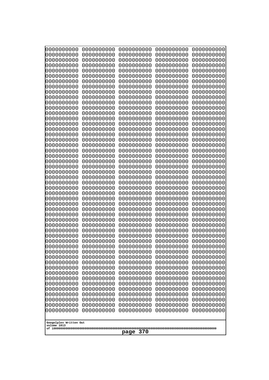| 000000000                | 0000000000               | 0000000000               | 0000000000               | 0000000000               |
|--------------------------|--------------------------|--------------------------|--------------------------|--------------------------|
| 0000000000               | 0000000000               | 0000000000               | 0000000000               | 0000000000               |
| 0000000000               | 0000000000               | 0000000000               | 0000000000               | 0000000000               |
| 0000000000               | 0000000000               | 0000000000               | 0000000000               | 0000000000               |
| 0000000000               | 0000000000               | 0000000000               | 0000000000               | 0000000000               |
| 0000000000               | 0000000000               | 0000000000               | 0000000000               | 0000000000               |
| 0000000000               | 0000000000               | 0000000000               | 0000000000               | 0000000000               |
| 0000000000               | 0000000000               | 0000000000               | 0000000000               | 0000000000               |
| 0000000000               | 0000000000<br>0000000000 | 0000000000<br>0000000000 | 0000000000               | 0000000000               |
| 0000000000<br>0000000000 | 0000000000               | 0000000000               | 0000000000<br>0000000000 | 0000000000<br>0000000000 |
| 0000000000               | 0000000000               | 0000000000               | 0000000000               | 0000000000               |
| 0000000000               | 0000000000               | 0000000000               | 0000000000               | 0000000000               |
| 0000000000               | 0000000000               | 0000000000               | 0000000000               | 0000000000               |
| 0000000000               | 0000000000               | 0000000000               | 0000000000               | 0000000000               |
| 0000000000               | 0000000000               | 0000000000               | 0000000000               | 0000000000               |
| 0000000000               | 0000000000               | 0000000000               | 0000000000               | 0000000000               |
| 0000000000               | 0000000000               | 0000000000               | 0000000000               | 0000000000               |
| 0000000000               | 0000000000               | 0000000000               | 0000000000               | 0000000000               |
| 0000000000               | 0000000000               | 0000000000               | 0000000000               | 0000000000               |
| 0000000000               | 0000000000               | 0000000000               | 0000000000               | 0000000000               |
| 0000000000<br>0000000000 | 0000000000<br>0000000000 | 0000000000<br>0000000000 | 0000000000<br>0000000000 | 0000000000<br>0000000000 |
| 0000000000               | 0000000000               | 0000000000               | 0000000000               | 0000000000               |
| 0000000000               | 0000000000               | 0000000000               | 0000000000               | 0000000000               |
| 0000000000               | 0000000000               | 0000000000               | 0000000000               | 0000000000               |
| 0000000000               | 0000000000               | 0000000000               | 0000000000               | 0000000000               |
| 0000000000               | 0000000000               | 0000000000               | 0000000000               | 0000000000               |
| 0000000000               | 0000000000               | 0000000000               | 0000000000               | 0000000000               |
| 0000000000               | 0000000000               | 0000000000               | 0000000000               | 0000000000               |
| 0000000000               | 0000000000               | 0000000000               | 0000000000               | 0000000000               |
| 0000000000               | 0000000000               | 0000000000               | 0000000000               | 0000000000               |
| 0000000000<br>0000000000 | 0000000000<br>0000000000 | 0000000000<br>0000000000 | 0000000000<br>0000000000 | 0000000000<br>0000000000 |
| 0000000000               | 0000000000               | 0000000000               | 0000000000               | 0000000000               |
| 0000000000               | 0000000000               | 0000000000               | 0000000000               | 0000000000               |
| 0000000000               | 0000000000               | 0000000000               | 0000000000               | 0000000000               |
| 0000000000               | 0000000000               | 0000000000               | 0000000000               | 0000000000               |
| 0000000000               | 0000000000               | 0000000000               | 0000000000               | 0000000000               |
| 0000000000               | 0000000000               | 0000000000               | 0000000000               | 0000000000               |
| 0000000000               | 0000000000               | 0000000000               | 0000000000               | 0000000000               |
| 0000000000               | 0000000000               | 0000000000               | 0000000000               | 0000000000               |
| 0000000000               | 0000000000               | 0000000000               | 0000000000               | 0000000000               |
| 0000000000               | 0000000000               | 0000000000               | 0000000000               | 0000000000               |
| 0000000000<br>0000000000 | 0000000000<br>0000000000 | 0000000000<br>0000000000 | 0000000000<br>0000000000 | 0000000000<br>0000000000 |
| 0000000000               | 0000000000               | 0000000000               | 0000000000               | 0000000000               |
| 0000000000               | 0000000000               | 0000000000               | 0000000000               | 0000000000               |
| 0000000000               | 0000000000               | 0000000000               | 0000000000               | 0000000000               |
| 0000000000               | 0000000000               | 0000000000               | 0000000000               | 0000000000               |
|                          |                          |                          |                          |                          |
| Googolplex Written Out   |                          |                          |                          |                          |
| volume 1013              |                          |                          |                          |                          |
| 370<br>page              |                          |                          |                          |                          |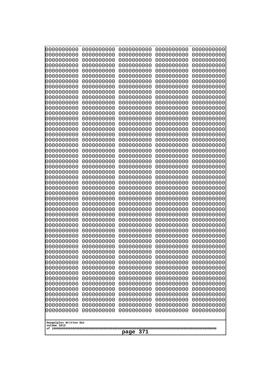| 10000000000<br>0000000000             | 0000000000<br>0000000000 | 0000000000<br>0000000000 | 0000000000<br>0000000000 | 0000000000<br>0000000000 |  |  |
|---------------------------------------|--------------------------|--------------------------|--------------------------|--------------------------|--|--|
| 0000000000                            | 0000000000               | 0000000000               | 0000000000               | 0000000000               |  |  |
| 0000000000                            | 0000000000               | 0000000000               | 0000000000               | 0000000000               |  |  |
| 0000000000                            | 0000000000               | 0000000000               | 0000000000               | 0000000000               |  |  |
| 0000000000<br>0000000000              | 0000000000<br>0000000000 | 0000000000<br>0000000000 | 0000000000<br>0000000000 | 0000000000<br>0000000000 |  |  |
| 0000000000                            | 0000000000               | 0000000000               | 0000000000               | 0000000000               |  |  |
| 0000000000                            | 0000000000               | 0000000000               | 0000000000               | 0000000000               |  |  |
| 0000000000                            | 0000000000               | 0000000000               | 0000000000               | 0000000000               |  |  |
| 0000000000<br>0000000000              | 0000000000<br>0000000000 | 0000000000<br>0000000000 | 0000000000<br>0000000000 | 0000000000               |  |  |
| 0000000000                            | 0000000000               | 0000000000               | 0000000000               | 0000000000<br>0000000000 |  |  |
| 0000000000                            | 0000000000               | 0000000000               | 0000000000               | 0000000000               |  |  |
| 0000000000                            | 0000000000               | 0000000000               | 0000000000               | 0000000000               |  |  |
| 0000000000                            | 0000000000               | 0000000000               | 0000000000               | 0000000000               |  |  |
| 0000000000<br>0000000000              | 0000000000<br>0000000000 | 0000000000<br>0000000000 | 0000000000<br>0000000000 | 0000000000<br>0000000000 |  |  |
| 0000000000                            | 0000000000               | 0000000000               | 0000000000               | 0000000000               |  |  |
| 0000000000                            | 0000000000               | 0000000000               | 0000000000               | 0000000000               |  |  |
| 0000000000                            | 0000000000<br>0000000000 | 0000000000               | 0000000000               | 0000000000               |  |  |
| 0000000000<br>0000000000              | 0000000000               | 0000000000<br>0000000000 | 0000000000<br>0000000000 | 0000000000<br>0000000000 |  |  |
| 0000000000                            | 0000000000               | 0000000000               | 0000000000               | 0000000000               |  |  |
| 0000000000                            | 0000000000               | 0000000000               | 0000000000               | 0000000000               |  |  |
| 0000000000                            | 0000000000<br>0000000000 | 0000000000<br>0000000000 | 0000000000<br>0000000000 | 0000000000               |  |  |
| 0000000000<br>0000000000              | 0000000000               | 0000000000               | 0000000000               | 0000000000<br>0000000000 |  |  |
| 0000000000                            | 0000000000               | 0000000000               | 0000000000               | 0000000000               |  |  |
| 0000000000                            | 0000000000               | 0000000000               | 0000000000               | 0000000000               |  |  |
| 0000000000<br>0000000000              | 0000000000<br>0000000000 | 0000000000<br>0000000000 | 0000000000<br>0000000000 | 0000000000<br>0000000000 |  |  |
| 0000000000                            | 0000000000               | 0000000000               | 0000000000               | 0000000000               |  |  |
| 0000000000                            | 0000000000               | 0000000000               | 0000000000               | 0000000000               |  |  |
| 0000000000                            | 0000000000               | 0000000000               | 0000000000               | 0000000000               |  |  |
| 0000000000                            | 0000000000<br>0000000000 | 0000000000<br>0000000000 | 0000000000               | 0000000000               |  |  |
| 0000000000<br>0000000000              | 0000000000               | 0000000000               | 0000000000<br>0000000000 | 0000000000<br>0000000000 |  |  |
| 0000000000                            | 0000000000               | 0000000000               | 0000000000               | 0000000000               |  |  |
| 0000000000                            | 0000000000               | 0000000000               | 0000000000               | 0000000000               |  |  |
| 0000000000                            | 0000000000               | 0000000000               | 0000000000               | 0000000000               |  |  |
| 0000000000<br>0000000000              | 0000000000<br>0000000000 | 0000000000<br>0000000000 | 0000000000<br>0000000000 | 0000000000<br>0000000000 |  |  |
| 0000000000                            | 0000000000               | 0000000000               | 0000000000               | 0000000000               |  |  |
| 0000000000                            | 0000000000               | 0000000000               | 0000000000               | 0000000000               |  |  |
| 0000000000<br>0000000000              | 0000000000<br>0000000000 | 0000000000<br>0000000000 | 0000000000               | 0000000000               |  |  |
| 0000000000                            | 0000000000               | 0000000000               | 0000000000<br>0000000000 | 0000000000<br>0000000000 |  |  |
| 0000000000                            | 0000000000               | 0000000000               | 0000000000               | 0000000000               |  |  |
| 0000000000                            | 0000000000               | 0000000000               | 0000000000               | 0000000000               |  |  |
|                                       |                          |                          |                          |                          |  |  |
| Googolplex Written Out<br>volume 1013 |                          |                          |                          |                          |  |  |
| 371<br>page                           |                          |                          |                          |                          |  |  |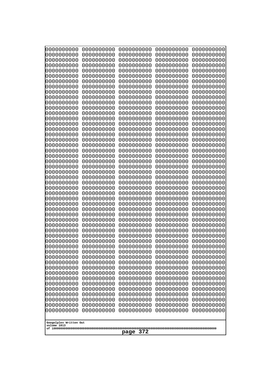| Googolplex Written Out<br>volume 1013 | 0000000000<br>0000000000<br>0000000000<br>0000000000<br>0000000000<br>0000000000<br>0000000000<br>0000000000<br>0000000000<br>0000000000<br>0000000000<br>0000000000<br>0000000000<br>0000000000<br>0000000000<br>0000000000<br>0000000000<br>0000000000<br>0000000000<br>0000000000<br>0000000000<br>0000000000<br>0000000000<br>0000000000<br>0000000000<br>0000000000<br>0000000000<br>0000000000<br>0000000000<br>0000000000<br>0000000000<br>0000000000<br>0000000000<br>0000000000<br>0000000000<br>0000000000<br>0000000000<br>10000000000<br>0000000000<br>0000000000<br>0000000000<br>0000000000<br>0000000000<br>0000000000<br>0000000000<br>0000000000<br>0000000000<br>0000000000<br>0000000000<br>0000000000 | 0000000000<br>0000000000<br>0000000000<br>0000000000<br>0000000000<br>0000000000<br>0000000000<br>0000000000<br>0000000000<br>0000000000<br>0000000000<br>0000000000<br>0000000000<br>0000000000<br>0000000000<br>0000000000<br>0000000000<br>0000000000<br>0000000000<br>0000000000<br>0000000000<br>0000000000<br>0000000000<br>0000000000<br>0000000000<br>0000000000<br>0000000000<br>0000000000<br>0000000000<br>0000000000<br>0000000000<br>0000000000<br>0000000000<br>0000000000<br>0000000000<br>0000000000<br>0000000000<br>0000000000<br>0000000000<br>0000000000<br>0000000000<br>0000000000<br>0000000000<br>0000000000<br>0000000000<br>0000000000<br>0000000000<br>0000000000<br>0000000000<br>0000000000 | 0000000000<br>0000000000<br>0000000000<br>0000000000<br>0000000000<br>0000000000<br>0000000000<br>0000000000<br>0000000000<br>0000000000<br>0000000000<br>0000000000<br>0000000000<br>0000000000<br>0000000000<br>0000000000<br>0000000000<br>0000000000<br>0000000000<br>0000000000<br>0000000000<br>0000000000<br>0000000000<br>0000000000<br>0000000000<br>0000000000<br>0000000000<br>0000000000<br>0000000000<br>0000000000<br>0000000000<br>0000000000<br>0000000000<br>0000000000<br>0000000000<br>0000000000<br>0000000000<br>0000000000<br>0000000000<br>0000000000<br>0000000000<br>0000000000<br>0000000000<br>0000000000<br>0000000000<br>0000000000<br>0000000000<br>0000000000<br>0000000000<br>0000000000 | 0000000000<br>0000000000<br>0000000000<br>0000000000<br>0000000000<br>0000000000<br>0000000000<br>0000000000<br>0000000000<br>0000000000<br>0000000000<br>0000000000<br>0000000000<br>0000000000<br>0000000000<br>0000000000<br>0000000000<br>0000000000<br>0000000000<br>0000000000<br>0000000000<br>0000000000<br>0000000000<br>0000000000<br>0000000000<br>0000000000<br>0000000000<br>0000000000<br>0000000000<br>0000000000<br>0000000000<br>0000000000<br>0000000000<br>0000000000<br>0000000000<br>0000000000<br>0000000000<br>0000000000<br>0000000000<br>0000000000<br>0000000000<br>0000000000<br>0000000000<br>0000000000<br>0000000000<br>0000000000<br>0000000000<br>0000000000<br>0000000000<br>0000000000 | 0000000000<br>0000000000<br>0000000000<br>0000000000<br>0000000000<br>0000000000<br>0000000000<br>0000000000<br>0000000000<br>0000000000<br>0000000000<br>0000000000<br>0000000000<br>0000000000<br>0000000000<br>0000000000<br>0000000000<br>0000000000<br>0000000000<br>0000000000<br>0000000000<br>0000000000<br>0000000000<br>0000000000<br>0000000000<br>0000000000<br>0000000000<br>0000000000<br>0000000000<br>0000000000<br>0000000000<br>0000000000<br>0000000000<br>0000000000<br>0000000000<br>0000000000<br>0000000000<br>0000000000<br>0000000000<br>0000000000<br>0000000000<br>0000000000<br>0000000000<br>0000000000<br>0000000000<br>0000000000<br>0000000000<br>0000000000<br>0000000000<br>0000000000 |
|---------------------------------------|---------------------------------------------------------------------------------------------------------------------------------------------------------------------------------------------------------------------------------------------------------------------------------------------------------------------------------------------------------------------------------------------------------------------------------------------------------------------------------------------------------------------------------------------------------------------------------------------------------------------------------------------------------------------------------------------------------------------------|--------------------------------------------------------------------------------------------------------------------------------------------------------------------------------------------------------------------------------------------------------------------------------------------------------------------------------------------------------------------------------------------------------------------------------------------------------------------------------------------------------------------------------------------------------------------------------------------------------------------------------------------------------------------------------------------------------------------------|--------------------------------------------------------------------------------------------------------------------------------------------------------------------------------------------------------------------------------------------------------------------------------------------------------------------------------------------------------------------------------------------------------------------------------------------------------------------------------------------------------------------------------------------------------------------------------------------------------------------------------------------------------------------------------------------------------------------------|--------------------------------------------------------------------------------------------------------------------------------------------------------------------------------------------------------------------------------------------------------------------------------------------------------------------------------------------------------------------------------------------------------------------------------------------------------------------------------------------------------------------------------------------------------------------------------------------------------------------------------------------------------------------------------------------------------------------------|--------------------------------------------------------------------------------------------------------------------------------------------------------------------------------------------------------------------------------------------------------------------------------------------------------------------------------------------------------------------------------------------------------------------------------------------------------------------------------------------------------------------------------------------------------------------------------------------------------------------------------------------------------------------------------------------------------------------------|
|                                       | 372<br>page                                                                                                                                                                                                                                                                                                                                                                                                                                                                                                                                                                                                                                                                                                               |                                                                                                                                                                                                                                                                                                                                                                                                                                                                                                                                                                                                                                                                                                                          |                                                                                                                                                                                                                                                                                                                                                                                                                                                                                                                                                                                                                                                                                                                          |                                                                                                                                                                                                                                                                                                                                                                                                                                                                                                                                                                                                                                                                                                                          |                                                                                                                                                                                                                                                                                                                                                                                                                                                                                                                                                                                                                                                                                                                          |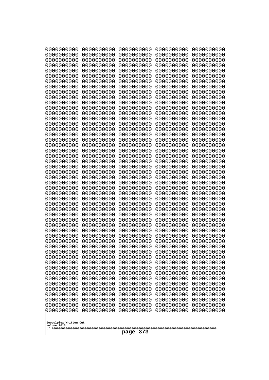| 0000000000<br>0000000000<br>0000000000<br>0000000000<br>0000000000<br>0000000000<br>0000000000<br>0000000000<br>0000000000<br>0000000000<br>0000000000<br>0000000000<br>0000000000<br>0000000000<br>0000000000<br>0000000000<br>0000000000<br>0000000000<br>0000000000<br>0000000000<br>0000000000<br>0000000000<br>0000000000<br>0000000000 | 0000000000<br>0000000000<br>0000000000<br>0000000000<br>0000000000<br>0000000000<br>0000000000<br>0000000000<br>0000000000<br>0000000000<br>0000000000<br>0000000000<br>0000000000<br>0000000000<br>0000000000<br>0000000000<br>0000000000<br>0000000000<br>0000000000<br>0000000000<br>0000000000<br>0000000000<br>0000000000<br>0000000000 | 0000000000<br>0000000000<br>0000000000<br>0000000000<br>0000000000<br>0000000000<br>0000000000<br>0000000000<br>0000000000<br>0000000000<br>0000000000<br>0000000000<br>0000000000<br>0000000000<br>0000000000<br>0000000000<br>0000000000<br>0000000000<br>0000000000<br>0000000000<br>0000000000<br>0000000000<br>0000000000<br>0000000000 | 0000000000<br>0000000000<br>0000000000<br>0000000000<br>0000000000<br>0000000000<br>0000000000<br>0000000000<br>0000000000<br>0000000000<br>0000000000<br>0000000000<br>0000000000<br>0000000000<br>0000000000<br>0000000000<br>0000000000<br>0000000000<br>0000000000<br>0000000000<br>0000000000<br>0000000000<br>0000000000<br>0000000000 | 0000000000<br>0000000000<br>0000000000<br>0000000000<br>0000000000<br>0000000000<br>0000000000<br>0000000000<br>0000000000<br>0000000000<br>0000000000<br>0000000000<br>0000000000<br>0000000000<br>0000000000<br>0000000000<br>0000000000<br>0000000000<br>0000000000<br>0000000000<br>0000000000<br>0000000000<br>0000000000<br>0000000000 |
|----------------------------------------------------------------------------------------------------------------------------------------------------------------------------------------------------------------------------------------------------------------------------------------------------------------------------------------------|----------------------------------------------------------------------------------------------------------------------------------------------------------------------------------------------------------------------------------------------------------------------------------------------------------------------------------------------|----------------------------------------------------------------------------------------------------------------------------------------------------------------------------------------------------------------------------------------------------------------------------------------------------------------------------------------------|----------------------------------------------------------------------------------------------------------------------------------------------------------------------------------------------------------------------------------------------------------------------------------------------------------------------------------------------|----------------------------------------------------------------------------------------------------------------------------------------------------------------------------------------------------------------------------------------------------------------------------------------------------------------------------------------------|
|                                                                                                                                                                                                                                                                                                                                              |                                                                                                                                                                                                                                                                                                                                              |                                                                                                                                                                                                                                                                                                                                              |                                                                                                                                                                                                                                                                                                                                              |                                                                                                                                                                                                                                                                                                                                              |
|                                                                                                                                                                                                                                                                                                                                              |                                                                                                                                                                                                                                                                                                                                              |                                                                                                                                                                                                                                                                                                                                              |                                                                                                                                                                                                                                                                                                                                              |                                                                                                                                                                                                                                                                                                                                              |
|                                                                                                                                                                                                                                                                                                                                              |                                                                                                                                                                                                                                                                                                                                              |                                                                                                                                                                                                                                                                                                                                              |                                                                                                                                                                                                                                                                                                                                              |                                                                                                                                                                                                                                                                                                                                              |
|                                                                                                                                                                                                                                                                                                                                              |                                                                                                                                                                                                                                                                                                                                              |                                                                                                                                                                                                                                                                                                                                              |                                                                                                                                                                                                                                                                                                                                              |                                                                                                                                                                                                                                                                                                                                              |
|                                                                                                                                                                                                                                                                                                                                              |                                                                                                                                                                                                                                                                                                                                              |                                                                                                                                                                                                                                                                                                                                              |                                                                                                                                                                                                                                                                                                                                              |                                                                                                                                                                                                                                                                                                                                              |
|                                                                                                                                                                                                                                                                                                                                              |                                                                                                                                                                                                                                                                                                                                              |                                                                                                                                                                                                                                                                                                                                              |                                                                                                                                                                                                                                                                                                                                              |                                                                                                                                                                                                                                                                                                                                              |
|                                                                                                                                                                                                                                                                                                                                              |                                                                                                                                                                                                                                                                                                                                              |                                                                                                                                                                                                                                                                                                                                              |                                                                                                                                                                                                                                                                                                                                              |                                                                                                                                                                                                                                                                                                                                              |
|                                                                                                                                                                                                                                                                                                                                              |                                                                                                                                                                                                                                                                                                                                              |                                                                                                                                                                                                                                                                                                                                              |                                                                                                                                                                                                                                                                                                                                              |                                                                                                                                                                                                                                                                                                                                              |
|                                                                                                                                                                                                                                                                                                                                              |                                                                                                                                                                                                                                                                                                                                              |                                                                                                                                                                                                                                                                                                                                              |                                                                                                                                                                                                                                                                                                                                              |                                                                                                                                                                                                                                                                                                                                              |
|                                                                                                                                                                                                                                                                                                                                              |                                                                                                                                                                                                                                                                                                                                              |                                                                                                                                                                                                                                                                                                                                              |                                                                                                                                                                                                                                                                                                                                              |                                                                                                                                                                                                                                                                                                                                              |
|                                                                                                                                                                                                                                                                                                                                              |                                                                                                                                                                                                                                                                                                                                              |                                                                                                                                                                                                                                                                                                                                              |                                                                                                                                                                                                                                                                                                                                              |                                                                                                                                                                                                                                                                                                                                              |
| 0000000000                                                                                                                                                                                                                                                                                                                                   | 0000000000                                                                                                                                                                                                                                                                                                                                   | 0000000000                                                                                                                                                                                                                                                                                                                                   | 0000000000                                                                                                                                                                                                                                                                                                                                   | 0000000000                                                                                                                                                                                                                                                                                                                                   |
| 0000000000                                                                                                                                                                                                                                                                                                                                   | 0000000000                                                                                                                                                                                                                                                                                                                                   | 0000000000                                                                                                                                                                                                                                                                                                                                   | 0000000000                                                                                                                                                                                                                                                                                                                                   | 0000000000                                                                                                                                                                                                                                                                                                                                   |
| 0000000000<br>0000000000                                                                                                                                                                                                                                                                                                                     | 0000000000<br>0000000000                                                                                                                                                                                                                                                                                                                     | 0000000000<br>0000000000                                                                                                                                                                                                                                                                                                                     | 0000000000<br>0000000000                                                                                                                                                                                                                                                                                                                     | 0000000000<br>0000000000                                                                                                                                                                                                                                                                                                                     |
| 0000000000                                                                                                                                                                                                                                                                                                                                   | 0000000000                                                                                                                                                                                                                                                                                                                                   | 0000000000                                                                                                                                                                                                                                                                                                                                   | 0000000000                                                                                                                                                                                                                                                                                                                                   | 0000000000                                                                                                                                                                                                                                                                                                                                   |
| 0000000000<br>0000000000                                                                                                                                                                                                                                                                                                                     | 0000000000<br>0000000000                                                                                                                                                                                                                                                                                                                     | 0000000000<br>0000000000                                                                                                                                                                                                                                                                                                                     | 0000000000<br>0000000000                                                                                                                                                                                                                                                                                                                     | 0000000000<br>0000000000                                                                                                                                                                                                                                                                                                                     |
| 0000000000                                                                                                                                                                                                                                                                                                                                   | 0000000000                                                                                                                                                                                                                                                                                                                                   | 0000000000                                                                                                                                                                                                                                                                                                                                   | 0000000000                                                                                                                                                                                                                                                                                                                                   | 0000000000                                                                                                                                                                                                                                                                                                                                   |
| 0000000000<br>0000000000                                                                                                                                                                                                                                                                                                                     | 0000000000<br>0000000000                                                                                                                                                                                                                                                                                                                     | 0000000000<br>0000000000                                                                                                                                                                                                                                                                                                                     | 0000000000<br>0000000000                                                                                                                                                                                                                                                                                                                     | 0000000000<br>0000000000                                                                                                                                                                                                                                                                                                                     |
| 0000000000<br>0000000000                                                                                                                                                                                                                                                                                                                     | 0000000000                                                                                                                                                                                                                                                                                                                                   | 0000000000<br>0000000000                                                                                                                                                                                                                                                                                                                     | 0000000000                                                                                                                                                                                                                                                                                                                                   | 0000000000                                                                                                                                                                                                                                                                                                                                   |
| 0000000000                                                                                                                                                                                                                                                                                                                                   | 0000000000<br>0000000000                                                                                                                                                                                                                                                                                                                     | 0000000000                                                                                                                                                                                                                                                                                                                                   | 0000000000<br>0000000000                                                                                                                                                                                                                                                                                                                     | 0000000000<br>0000000000                                                                                                                                                                                                                                                                                                                     |
| 0000000000<br>0000000000                                                                                                                                                                                                                                                                                                                     | 0000000000<br>0000000000                                                                                                                                                                                                                                                                                                                     | 0000000000<br>0000000000                                                                                                                                                                                                                                                                                                                     | 0000000000<br>0000000000                                                                                                                                                                                                                                                                                                                     | 0000000000<br>0000000000                                                                                                                                                                                                                                                                                                                     |
| 0000000000                                                                                                                                                                                                                                                                                                                                   | 0000000000                                                                                                                                                                                                                                                                                                                                   | 0000000000                                                                                                                                                                                                                                                                                                                                   | 0000000000                                                                                                                                                                                                                                                                                                                                   | 0000000000                                                                                                                                                                                                                                                                                                                                   |
| 0000000000<br>0000000000                                                                                                                                                                                                                                                                                                                     | 0000000000<br>0000000000                                                                                                                                                                                                                                                                                                                     | 0000000000<br>0000000000                                                                                                                                                                                                                                                                                                                     | 0000000000<br>0000000000                                                                                                                                                                                                                                                                                                                     | 0000000000<br>0000000000                                                                                                                                                                                                                                                                                                                     |
| 0000000000                                                                                                                                                                                                                                                                                                                                   | 0000000000                                                                                                                                                                                                                                                                                                                                   | 0000000000                                                                                                                                                                                                                                                                                                                                   | 0000000000                                                                                                                                                                                                                                                                                                                                   | 0000000000                                                                                                                                                                                                                                                                                                                                   |
| 0000000000<br>0000000000                                                                                                                                                                                                                                                                                                                     | 0000000000<br>0000000000                                                                                                                                                                                                                                                                                                                     | 0000000000<br>0000000000                                                                                                                                                                                                                                                                                                                     | 0000000000<br>0000000000                                                                                                                                                                                                                                                                                                                     | 0000000000<br>0000000000                                                                                                                                                                                                                                                                                                                     |
| 0000000000                                                                                                                                                                                                                                                                                                                                   | 0000000000                                                                                                                                                                                                                                                                                                                                   | 0000000000                                                                                                                                                                                                                                                                                                                                   | 0000000000                                                                                                                                                                                                                                                                                                                                   | 0000000000                                                                                                                                                                                                                                                                                                                                   |
| 0000000000<br>0000000000                                                                                                                                                                                                                                                                                                                     | 0000000000<br>0000000000                                                                                                                                                                                                                                                                                                                     | 0000000000<br>0000000000                                                                                                                                                                                                                                                                                                                     | 0000000000<br>0000000000                                                                                                                                                                                                                                                                                                                     | 0000000000<br>0000000000                                                                                                                                                                                                                                                                                                                     |
| 0000000000<br>0000000000                                                                                                                                                                                                                                                                                                                     | 0000000000<br>0000000000                                                                                                                                                                                                                                                                                                                     | 0000000000<br>0000000000                                                                                                                                                                                                                                                                                                                     | 0000000000<br>0000000000                                                                                                                                                                                                                                                                                                                     | 0000000000<br>0000000000                                                                                                                                                                                                                                                                                                                     |
|                                                                                                                                                                                                                                                                                                                                              |                                                                                                                                                                                                                                                                                                                                              |                                                                                                                                                                                                                                                                                                                                              |                                                                                                                                                                                                                                                                                                                                              |                                                                                                                                                                                                                                                                                                                                              |
| Googolplex Written Out<br>volume 1013                                                                                                                                                                                                                                                                                                        |                                                                                                                                                                                                                                                                                                                                              |                                                                                                                                                                                                                                                                                                                                              |                                                                                                                                                                                                                                                                                                                                              |                                                                                                                                                                                                                                                                                                                                              |
| 373<br>page                                                                                                                                                                                                                                                                                                                                  |                                                                                                                                                                                                                                                                                                                                              |                                                                                                                                                                                                                                                                                                                                              |                                                                                                                                                                                                                                                                                                                                              |                                                                                                                                                                                                                                                                                                                                              |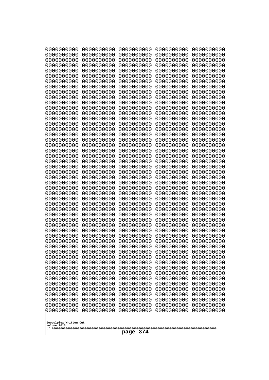| 0000000000                                           | 0000000000 | 0000000000 | 0000000000 | 0000000000 |
|------------------------------------------------------|------------|------------|------------|------------|
| 0000000000                                           | 0000000000 | 0000000000 | 0000000000 | 0000000000 |
| 0000000000                                           | 0000000000 | 0000000000 | 0000000000 | 0000000000 |
| 0000000000                                           | 0000000000 | 0000000000 | 0000000000 | 0000000000 |
| 0000000000                                           | 0000000000 | 0000000000 | 0000000000 | 0000000000 |
| 0000000000                                           | 0000000000 | 0000000000 | 0000000000 | 0000000000 |
| 0000000000                                           | 0000000000 | 0000000000 | 0000000000 | 0000000000 |
| 0000000000                                           | 0000000000 | 0000000000 | 0000000000 | 0000000000 |
| 0000000000                                           | 0000000000 | 0000000000 | 0000000000 | 0000000000 |
| 0000000000                                           | 0000000000 | 0000000000 | 0000000000 | 0000000000 |
| 0000000000                                           | 0000000000 | 0000000000 | 0000000000 | 0000000000 |
| 0000000000                                           | 0000000000 | 0000000000 | 0000000000 | 0000000000 |
| 0000000000                                           | 0000000000 | 0000000000 | 0000000000 | 0000000000 |
| 0000000000                                           | 0000000000 | 0000000000 | 0000000000 | 0000000000 |
| 0000000000                                           | 0000000000 | 0000000000 | 0000000000 | 0000000000 |
| 0000000000                                           | 0000000000 | 0000000000 | 0000000000 | 0000000000 |
| 0000000000                                           | 0000000000 | 0000000000 | 0000000000 | 0000000000 |
| 0000000000                                           | 0000000000 | 0000000000 | 0000000000 | 0000000000 |
| 0000000000                                           | 0000000000 | 0000000000 | 0000000000 | 0000000000 |
| 0000000000                                           | 0000000000 | 0000000000 | 0000000000 | 0000000000 |
| 0000000000                                           | 0000000000 | 0000000000 | 0000000000 | 0000000000 |
| 0000000000                                           | 0000000000 | 0000000000 | 0000000000 | 0000000000 |
| 0000000000                                           | 0000000000 | 0000000000 | 0000000000 | 0000000000 |
| 0000000000                                           | 0000000000 | 0000000000 | 0000000000 | 0000000000 |
| 0000000000                                           | 0000000000 | 0000000000 | 0000000000 | 0000000000 |
| 0000000000                                           | 0000000000 | 0000000000 | 0000000000 | 0000000000 |
| 0000000000                                           | 0000000000 | 0000000000 | 0000000000 | 0000000000 |
| 0000000000                                           | 0000000000 | 0000000000 | 0000000000 | 0000000000 |
| 0000000000                                           | 0000000000 | 0000000000 | 0000000000 | 0000000000 |
| 0000000000                                           | 0000000000 | 0000000000 | 0000000000 | 0000000000 |
| 0000000000                                           | 0000000000 | 0000000000 | 0000000000 | 0000000000 |
| 0000000000                                           | 0000000000 | 0000000000 | 0000000000 | 0000000000 |
| 0000000000                                           | 0000000000 | 0000000000 | 0000000000 | 0000000000 |
| 0000000000                                           | 0000000000 | 0000000000 | 0000000000 | 0000000000 |
| 0000000000                                           | 0000000000 | 0000000000 | 0000000000 | 0000000000 |
| 0000000000                                           | 0000000000 | 0000000000 | 0000000000 | 0000000000 |
| 0000000000                                           | 0000000000 | 0000000000 | 0000000000 | 0000000000 |
| 0000000000                                           | 0000000000 | 0000000000 | 0000000000 | 0000000000 |
| 0000000000                                           | 0000000000 | 0000000000 | 0000000000 | 0000000000 |
| 0000000000                                           | 0000000000 | 0000000000 | 0000000000 | 0000000000 |
| 0000000000                                           | 0000000000 | 0000000000 | 0000000000 | 0000000000 |
| 0000000000                                           | 0000000000 | 0000000000 | 0000000000 | 0000000000 |
| 0000000000                                           | 0000000000 | 0000000000 | 0000000000 | 0000000000 |
| 0000000000                                           | 0000000000 | 0000000000 | 0000000000 | 0000000000 |
| 0000000000                                           | 0000000000 | 0000000000 | 0000000000 | 0000000000 |
| 0000000000                                           | 0000000000 | 0000000000 | 0000000000 | 0000000000 |
| 0000000000                                           | 0000000000 | 0000000000 | 0000000000 | 0000000000 |
| 0000000000                                           | 0000000000 | 0000000000 | 0000000000 | 0000000000 |
| 0000000000                                           | 0000000000 | 0000000000 | 0000000000 | 0000000000 |
| 0000000000                                           | 0000000000 | 0000000000 | 0000000000 | 0000000000 |
| Googolplex Written Out<br>volume 1013<br>374<br>page |            |            |            |            |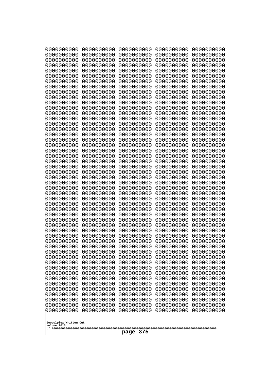| 10000000000<br>0000000000             | 0000000000<br>0000000000 | 0000000000<br>0000000000 | 0000000000<br>0000000000 | 0000000000<br>0000000000 |
|---------------------------------------|--------------------------|--------------------------|--------------------------|--------------------------|
| 0000000000                            | 0000000000               | 0000000000               | 0000000000               | 0000000000               |
| 0000000000                            | 0000000000               | 0000000000               | 0000000000               | 0000000000               |
| 0000000000<br>0000000000              | 0000000000<br>0000000000 | 0000000000               | 0000000000<br>0000000000 | 0000000000               |
| 0000000000                            | 0000000000               | 0000000000<br>0000000000 | 0000000000               | 0000000000<br>0000000000 |
| 0000000000                            | 0000000000               | 0000000000               | 0000000000               | 0000000000               |
| 0000000000                            | 0000000000               | 0000000000               | 0000000000               | 0000000000               |
| 0000000000<br>0000000000              | 0000000000<br>0000000000 | 0000000000<br>0000000000 | 0000000000<br>0000000000 | 0000000000<br>0000000000 |
| 0000000000                            | 0000000000               | 0000000000               | 0000000000               | 0000000000               |
| 0000000000                            | 0000000000               | 0000000000               | 0000000000               | 0000000000               |
| 0000000000<br>0000000000              | 0000000000<br>0000000000 | 0000000000<br>0000000000 | 0000000000<br>0000000000 | 0000000000<br>0000000000 |
| 0000000000                            | 0000000000               | 0000000000               | 0000000000               | 0000000000               |
| 0000000000                            | 0000000000               | 0000000000               | 0000000000               | 0000000000               |
| 0000000000<br>0000000000              | 0000000000               | 0000000000               | 0000000000               | 0000000000               |
| 0000000000                            | 0000000000<br>0000000000 | 0000000000<br>0000000000 | 0000000000<br>0000000000 | 0000000000<br>0000000000 |
| 0000000000                            | 0000000000               | 0000000000               | 0000000000               | 0000000000               |
| 0000000000                            | 0000000000               | 0000000000               | 0000000000               | 0000000000               |
| 0000000000<br>0000000000              | 0000000000<br>0000000000 | 0000000000<br>0000000000 | 0000000000<br>0000000000 | 0000000000<br>0000000000 |
| 0000000000                            | 0000000000               | 0000000000               | 0000000000               | 0000000000               |
| 0000000000                            | 0000000000               | 0000000000               | 0000000000               | 0000000000               |
| 0000000000<br>0000000000              | 0000000000<br>0000000000 | 0000000000<br>0000000000 | 0000000000<br>0000000000 | 0000000000<br>0000000000 |
| 0000000000                            | 0000000000               | 0000000000               | 0000000000               | 0000000000               |
| 0000000000                            | 0000000000               | 0000000000               | 0000000000               | 0000000000               |
| 0000000000<br>0000000000              | 0000000000<br>0000000000 | 0000000000<br>0000000000 | 0000000000<br>0000000000 | 0000000000<br>0000000000 |
| 0000000000                            | 0000000000               | 0000000000               | 0000000000               | 0000000000               |
| 0000000000                            | 0000000000               | 0000000000               | 0000000000               | 0000000000               |
| 0000000000                            | 0000000000               | 0000000000               | 0000000000               | 0000000000               |
| 0000000000<br>0000000000              | 0000000000<br>0000000000 | 0000000000<br>0000000000 | 0000000000<br>0000000000 | 0000000000<br>0000000000 |
| 0000000000                            | 0000000000               | 0000000000               | 0000000000               | 0000000000               |
| 0000000000                            | 0000000000               | 0000000000               | 0000000000               | 0000000000               |
| 0000000000<br>0000000000              | 0000000000<br>0000000000 | 0000000000<br>0000000000 | 0000000000<br>0000000000 | 0000000000<br>0000000000 |
| 0000000000                            | 0000000000               | 0000000000               | 0000000000               | 0000000000               |
| 0000000000                            | 0000000000               | 0000000000               | 0000000000               | 0000000000               |
| 0000000000<br>0000000000              | 0000000000<br>0000000000 | 0000000000<br>0000000000 | 0000000000<br>0000000000 | 0000000000<br>0000000000 |
| 0000000000                            | 0000000000               | 0000000000               | 0000000000               | 0000000000               |
| 0000000000                            | 0000000000               | 0000000000               | 0000000000               | 0000000000               |
| 0000000000                            | 0000000000               | 0000000000               | 0000000000               | 0000000000               |
| 0000000000<br>0000000000              | 0000000000<br>0000000000 | 0000000000<br>0000000000 | 0000000000<br>0000000000 | 0000000000<br>0000000000 |
|                                       |                          |                          |                          |                          |
| Googolplex Written Out<br>volume 1013 |                          |                          |                          |                          |
|                                       |                          | 375<br>page              |                          |                          |
|                                       |                          |                          |                          |                          |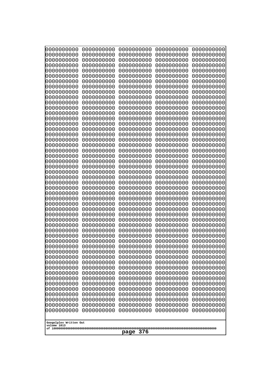| 0000000000               | 0000000000               | 0000000000               | 0000000000               | 0000000000               |
|--------------------------|--------------------------|--------------------------|--------------------------|--------------------------|
| 0000000000<br>0000000000 | 0000000000<br>0000000000 | 0000000000<br>0000000000 | 0000000000<br>0000000000 | 0000000000<br>0000000000 |
| 0000000000               | 0000000000               | 0000000000               | 0000000000               | 0000000000               |
| 0000000000               | 0000000000               | 0000000000               | 0000000000               | 0000000000               |
| 0000000000               | 0000000000               | 0000000000               | 0000000000               | 0000000000               |
| 0000000000               | 0000000000               | 0000000000               | 0000000000               | 0000000000               |
| 0000000000<br>0000000000 | 0000000000<br>0000000000 | 0000000000<br>0000000000 | 0000000000<br>0000000000 | 0000000000<br>0000000000 |
| 0000000000               | 0000000000               | 0000000000               | 0000000000               | 0000000000               |
| 0000000000               | 0000000000               | 0000000000               | 0000000000               | 0000000000               |
| 0000000000               | 0000000000               | 0000000000               | 0000000000               | 0000000000               |
| 0000000000<br>0000000000 | 0000000000<br>0000000000 | 0000000000<br>0000000000 | 0000000000<br>0000000000 | 0000000000<br>0000000000 |
| 0000000000               | 0000000000               | 0000000000               | 0000000000               | 0000000000               |
| 0000000000               | 0000000000               | 0000000000               | 0000000000               | 0000000000               |
| 0000000000<br>0000000000 | 0000000000<br>0000000000 | 0000000000<br>0000000000 | 0000000000<br>0000000000 | 0000000000<br>0000000000 |
| 0000000000               | 0000000000               | 0000000000               | 0000000000               | 0000000000               |
| 0000000000               | 0000000000               | 0000000000               | 0000000000               | 0000000000               |
| 0000000000               | 0000000000               | 0000000000               | 0000000000               | 0000000000               |
| 0000000000<br>0000000000 | 0000000000<br>0000000000 | 0000000000<br>0000000000 | 0000000000<br>0000000000 | 0000000000<br>0000000000 |
| 0000000000               | 0000000000               | 0000000000               | 0000000000               | 0000000000               |
| 0000000000               | 0000000000               | 0000000000               | 0000000000               | 0000000000               |
| 0000000000               | 0000000000               | 0000000000               | 0000000000               | 0000000000               |
| 0000000000<br>0000000000 | 0000000000<br>0000000000 | 0000000000<br>0000000000 | 0000000000<br>0000000000 | 0000000000<br>0000000000 |
| 0000000000               | 0000000000               | 0000000000               | 0000000000               | 0000000000               |
| 0000000000               | 0000000000               | 0000000000               | 0000000000               | 0000000000               |
| 0000000000<br>0000000000 | 0000000000<br>0000000000 | 0000000000<br>0000000000 | 0000000000<br>0000000000 | 0000000000<br>0000000000 |
| 0000000000               | 0000000000               | 0000000000               | 0000000000               | 0000000000               |
| 0000000000               | 0000000000               | 0000000000               | 0000000000               | 0000000000               |
| 0000000000               | 0000000000               | 0000000000               | 0000000000               | 0000000000               |
| 0000000000<br>0000000000 | 0000000000<br>0000000000 | 0000000000<br>0000000000 | 0000000000<br>0000000000 | 0000000000<br>0000000000 |
| 0000000000               | 0000000000               | 0000000000               | 0000000000               | 0000000000               |
| 0000000000               | 0000000000               | 0000000000               | 0000000000               | 0000000000               |
| 0000000000               | 0000000000               | 0000000000               | 0000000000               | 0000000000               |
| 0000000000<br>0000000000 | 0000000000<br>0000000000 | 0000000000<br>0000000000 | 0000000000<br>0000000000 | 0000000000<br>0000000000 |
| 0000000000               | 0000000000               | 0000000000               | 0000000000               | 0000000000               |
| 0000000000               | 0000000000               | 0000000000               | 0000000000               | 0000000000               |
| 0000000000<br>0000000000 | 0000000000<br>0000000000 | 0000000000<br>0000000000 | 0000000000<br>0000000000 | 0000000000<br>0000000000 |
| 0000000000               | 0000000000               | 0000000000               | 0000000000               | 0000000000               |
| 0000000000               | 0000000000               | 0000000000               | 0000000000               | 0000000000               |
| 0000000000               | 0000000000               | 0000000000               | 0000000000               | 0000000000               |
| 0000000000               | 0000000000               | 0000000000               | 0000000000               | 0000000000               |
| Googolplex Written Out   |                          |                          |                          |                          |
| volume 1013              |                          |                          |                          |                          |
| 376<br>page              |                          |                          |                          |                          |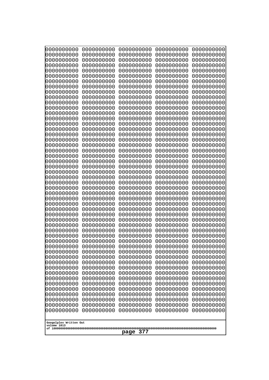| 10000000000<br>0000000000 | 0000000000<br>0000000000 | 0000000000<br>0000000000 | 0000000000<br>0000000000 | 0000000000<br>0000000000 |
|---------------------------|--------------------------|--------------------------|--------------------------|--------------------------|
| 0000000000                | 0000000000               | 0000000000               | 0000000000               | 0000000000               |
| 0000000000                | 0000000000               | 0000000000               | 0000000000               | 0000000000               |
| 0000000000<br>0000000000  | 0000000000<br>0000000000 | 0000000000<br>0000000000 | 0000000000<br>0000000000 | 0000000000<br>0000000000 |
| 0000000000                | 0000000000               | 0000000000               | 0000000000               | 0000000000               |
| 0000000000                | 0000000000               | 0000000000               | 0000000000               | 0000000000               |
| 0000000000<br>0000000000  | 0000000000<br>0000000000 | 0000000000<br>0000000000 | 0000000000<br>0000000000 | 0000000000<br>0000000000 |
| 0000000000                | 0000000000               | 0000000000               | 0000000000               | 0000000000               |
| 0000000000                | 0000000000               | 0000000000               | 0000000000               | 0000000000               |
| 0000000000                | 0000000000               | 0000000000               | 0000000000               | 0000000000               |
| 0000000000<br>0000000000  | 0000000000<br>0000000000 | 0000000000<br>0000000000 | 0000000000<br>0000000000 | 0000000000<br>0000000000 |
| 0000000000                | 0000000000               | 0000000000               | 0000000000               | 0000000000               |
| 0000000000                | 0000000000               | 0000000000               | 0000000000               | 0000000000               |
| 0000000000<br>0000000000  | 0000000000<br>0000000000 | 0000000000<br>0000000000 | 0000000000<br>0000000000 | 0000000000<br>0000000000 |
| 0000000000                | 0000000000               | 0000000000               | 0000000000               | 0000000000               |
| 0000000000                | 0000000000               | 0000000000               | 0000000000               | 0000000000               |
| 0000000000<br>0000000000  | 0000000000<br>0000000000 | 0000000000<br>0000000000 | 0000000000<br>0000000000 | 0000000000<br>0000000000 |
| 0000000000                | 0000000000               | 0000000000               | 0000000000               | 0000000000               |
| 0000000000                | 0000000000               | 0000000000               | 0000000000               | 0000000000               |
| 0000000000<br>0000000000  | 0000000000<br>0000000000 | 0000000000<br>0000000000 | 0000000000<br>0000000000 | 0000000000<br>0000000000 |
| 0000000000                | 0000000000               | 0000000000               | 0000000000               | 0000000000               |
| 0000000000                | 0000000000               | 0000000000               | 0000000000               | 0000000000               |
| 0000000000<br>0000000000  | 0000000000<br>0000000000 | 0000000000<br>0000000000 | 0000000000<br>0000000000 | 0000000000<br>0000000000 |
| 0000000000                | 0000000000               | 0000000000               | 0000000000               | 0000000000               |
| 0000000000                | 0000000000               | 0000000000               | 0000000000               | 0000000000               |
| 0000000000<br>0000000000  | 0000000000<br>0000000000 | 0000000000<br>0000000000 | 0000000000<br>0000000000 | 0000000000<br>0000000000 |
| 0000000000                | 0000000000               | 0000000000               | 0000000000               | 0000000000               |
| 0000000000                | 0000000000               | 0000000000               | 0000000000               | 0000000000               |
| 0000000000                | 0000000000<br>0000000000 | 0000000000<br>0000000000 | 0000000000<br>0000000000 | 0000000000<br>0000000000 |
| 0000000000<br>0000000000  | 0000000000               | 0000000000               | 0000000000               | 0000000000               |
| 0000000000                | 0000000000               | 0000000000               | 0000000000               | 0000000000               |
| 0000000000<br>0000000000  | 0000000000<br>0000000000 | 0000000000<br>0000000000 | 0000000000<br>0000000000 | 0000000000<br>0000000000 |
| 0000000000                | 0000000000               | 0000000000               | 0000000000               | 0000000000               |
| 0000000000                | 0000000000               | 0000000000               | 0000000000               | 0000000000               |
| 0000000000                | 0000000000               | 0000000000               | 0000000000               | 0000000000               |
| 0000000000<br>0000000000  | 0000000000<br>0000000000 | 0000000000<br>0000000000 | 0000000000<br>0000000000 | 0000000000<br>0000000000 |
| 0000000000                | 0000000000               | 0000000000               | 0000000000               | 0000000000               |
| 0000000000                | 0000000000               | 0000000000               | 0000000000               | 0000000000               |
| Googolplex Written Out    |                          |                          |                          |                          |
| volume 1013               |                          |                          |                          |                          |
| 377<br>page               |                          |                          |                          |                          |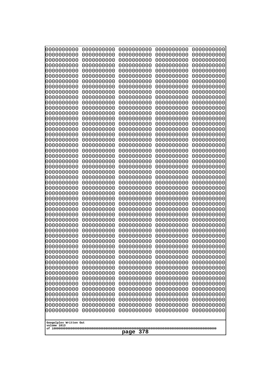| 0000000000                            | 0000000000               | 0000000000               | 0000000000               | 0000000000               |
|---------------------------------------|--------------------------|--------------------------|--------------------------|--------------------------|
| 0000000000<br>0000000000              | 0000000000<br>0000000000 | 0000000000<br>0000000000 | 0000000000<br>0000000000 | 0000000000<br>0000000000 |
| 0000000000                            | 0000000000               | 0000000000               | 0000000000               | 0000000000               |
| 0000000000                            | 0000000000               | 0000000000               | 0000000000               | 0000000000               |
| 0000000000                            | 0000000000               | 0000000000               | 0000000000               | 0000000000               |
| 0000000000<br>0000000000              | 0000000000<br>0000000000 | 0000000000<br>0000000000 | 0000000000<br>0000000000 | 0000000000<br>0000000000 |
| 0000000000                            | 0000000000               | 0000000000               | 0000000000               | 0000000000               |
| 0000000000                            | 0000000000               | 0000000000               | 0000000000               | 0000000000               |
| 0000000000<br>0000000000              | 0000000000<br>0000000000 | 0000000000<br>0000000000 | 0000000000<br>0000000000 | 0000000000               |
| 0000000000                            | 0000000000               | 0000000000               | 0000000000               | 0000000000<br>0000000000 |
| 0000000000                            | 0000000000               | 0000000000               | 0000000000               | 0000000000               |
| 0000000000                            | 0000000000               | 0000000000               | 0000000000               | 0000000000               |
| 0000000000<br>0000000000              | 0000000000<br>0000000000 | 0000000000<br>0000000000 | 0000000000<br>0000000000 | 0000000000<br>0000000000 |
| 0000000000                            | 0000000000               | 0000000000               | 0000000000               | 0000000000               |
| 0000000000                            | 0000000000               | 0000000000               | 0000000000               | 0000000000               |
| 0000000000                            | 0000000000<br>0000000000 | 0000000000<br>0000000000 | 0000000000               | 0000000000<br>0000000000 |
| 0000000000<br>0000000000              | 0000000000               | 0000000000               | 0000000000<br>0000000000 | 0000000000               |
| 0000000000                            | 0000000000               | 0000000000               | 0000000000               | 0000000000               |
| 0000000000                            | 0000000000               | 0000000000               | 0000000000               | 0000000000               |
| 0000000000<br>0000000000              | 0000000000<br>0000000000 | 0000000000<br>0000000000 | 0000000000<br>0000000000 | 0000000000<br>0000000000 |
| 0000000000                            | 0000000000               | 0000000000               | 0000000000               | 0000000000               |
| 0000000000                            | 0000000000               | 0000000000               | 0000000000               | 0000000000               |
| 0000000000<br>0000000000              | 0000000000<br>0000000000 | 0000000000<br>0000000000 | 0000000000<br>0000000000 | 0000000000<br>0000000000 |
| 0000000000                            | 0000000000               | 0000000000               | 0000000000               | 0000000000               |
| 0000000000                            | 0000000000               | 0000000000               | 0000000000               | 0000000000               |
| 0000000000                            | 0000000000               | 0000000000               | 0000000000               | 0000000000               |
| 0000000000<br>0000000000              | 0000000000<br>0000000000 | 0000000000<br>0000000000 | 0000000000<br>0000000000 | 0000000000<br>0000000000 |
| 0000000000                            | 0000000000               | 0000000000               | 0000000000               | 0000000000               |
| 0000000000                            | 0000000000               | 0000000000               | 0000000000               | 0000000000               |
| 0000000000<br>0000000000              | 0000000000<br>0000000000 | 0000000000<br>0000000000 | 0000000000<br>0000000000 | 0000000000<br>0000000000 |
| 0000000000                            | 0000000000               | 0000000000               | 0000000000               | 0000000000               |
| 0000000000                            | 0000000000               | 0000000000               | 0000000000               | 0000000000               |
| 0000000000<br>0000000000              | 0000000000<br>0000000000 | 0000000000<br>0000000000 | 0000000000<br>0000000000 | 0000000000<br>0000000000 |
| 0000000000                            | 0000000000               | 0000000000               | 0000000000               | 0000000000               |
| 0000000000                            | 0000000000               | 0000000000               | 0000000000               | 0000000000               |
| 0000000000                            | 0000000000               | 0000000000               | 0000000000               | 0000000000               |
| 0000000000<br>0000000000              | 0000000000<br>0000000000 | 0000000000<br>0000000000 | 0000000000<br>0000000000 | 0000000000<br>0000000000 |
| 0000000000                            | 0000000000               | 0000000000               | 0000000000               | 0000000000               |
| 0000000000                            | 0000000000               | 0000000000               | 0000000000               | 0000000000               |
|                                       |                          |                          |                          |                          |
| Googolplex Written Out<br>volume 1013 |                          |                          |                          |                          |
| 378<br>page                           |                          |                          |                          |                          |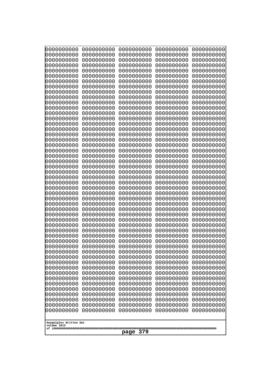| 0000000000                                           | 0000000000 | 0000000000 | 0000000000 | 0000000000 |
|------------------------------------------------------|------------|------------|------------|------------|
| 0000000000                                           | 0000000000 | 0000000000 | 0000000000 | 0000000000 |
| 0000000000                                           | 0000000000 | 0000000000 | 0000000000 | 0000000000 |
| 0000000000                                           | 0000000000 | 0000000000 | 0000000000 | 0000000000 |
| 0000000000                                           | 0000000000 | 0000000000 | 0000000000 | 0000000000 |
| 0000000000                                           | 0000000000 | 0000000000 | 0000000000 | 0000000000 |
| 0000000000                                           | 0000000000 | 0000000000 | 0000000000 | 0000000000 |
| 0000000000                                           | 0000000000 | 0000000000 | 0000000000 | 0000000000 |
| 0000000000                                           | 0000000000 | 0000000000 | 0000000000 | 0000000000 |
| 0000000000                                           | 0000000000 | 0000000000 | 0000000000 | 0000000000 |
| 0000000000                                           | 0000000000 | 0000000000 | 0000000000 | 0000000000 |
| 0000000000                                           | 0000000000 | 0000000000 | 0000000000 | 0000000000 |
| 0000000000                                           | 0000000000 | 0000000000 | 0000000000 | 0000000000 |
| 0000000000                                           | 0000000000 | 0000000000 | 0000000000 | 0000000000 |
| 0000000000                                           | 0000000000 | 0000000000 | 0000000000 | 0000000000 |
| 0000000000                                           | 0000000000 | 0000000000 | 0000000000 | 0000000000 |
| 0000000000                                           | 0000000000 | 0000000000 | 0000000000 | 0000000000 |
| 0000000000                                           | 0000000000 | 0000000000 | 0000000000 | 0000000000 |
| 0000000000                                           | 0000000000 | 0000000000 | 0000000000 | 0000000000 |
| 0000000000                                           | 0000000000 | 0000000000 | 0000000000 | 0000000000 |
| 0000000000                                           | 0000000000 | 0000000000 | 0000000000 | 0000000000 |
| 0000000000                                           | 0000000000 | 0000000000 | 0000000000 | 0000000000 |
| 0000000000                                           | 0000000000 | 0000000000 | 0000000000 | 0000000000 |
| 0000000000                                           | 0000000000 | 0000000000 | 0000000000 | 0000000000 |
| 0000000000                                           | 0000000000 | 0000000000 | 0000000000 | 0000000000 |
| 0000000000                                           | 0000000000 | 0000000000 | 0000000000 | 0000000000 |
| 0000000000                                           | 0000000000 | 0000000000 | 0000000000 | 0000000000 |
| 0000000000                                           | 0000000000 | 0000000000 | 0000000000 | 0000000000 |
| 0000000000                                           | 0000000000 | 0000000000 | 0000000000 | 0000000000 |
| 0000000000                                           | 0000000000 | 0000000000 | 0000000000 | 0000000000 |
| 0000000000                                           | 0000000000 | 0000000000 | 0000000000 | 0000000000 |
| 0000000000                                           | 0000000000 | 0000000000 | 0000000000 | 0000000000 |
| 0000000000                                           | 0000000000 | 0000000000 | 0000000000 | 0000000000 |
| 0000000000                                           | 0000000000 | 0000000000 | 0000000000 | 0000000000 |
| 0000000000                                           | 0000000000 | 0000000000 | 0000000000 | 0000000000 |
| 0000000000                                           | 0000000000 | 0000000000 | 0000000000 | 0000000000 |
| 0000000000                                           | 0000000000 | 0000000000 | 0000000000 | 0000000000 |
| 0000000000                                           | 0000000000 | 0000000000 | 0000000000 | 0000000000 |
| 0000000000                                           | 0000000000 | 0000000000 | 0000000000 | 0000000000 |
| 0000000000                                           | 0000000000 | 0000000000 | 0000000000 | 0000000000 |
| 0000000000                                           | 0000000000 | 0000000000 | 0000000000 | 0000000000 |
| 0000000000                                           | 0000000000 | 0000000000 | 0000000000 | 0000000000 |
| 0000000000                                           | 0000000000 | 0000000000 | 0000000000 | 0000000000 |
| 0000000000                                           | 0000000000 | 0000000000 | 0000000000 | 0000000000 |
| 0000000000                                           | 0000000000 | 0000000000 | 0000000000 | 0000000000 |
| 0000000000                                           | 0000000000 | 0000000000 | 0000000000 | 0000000000 |
| 0000000000                                           | 0000000000 | 0000000000 | 0000000000 | 0000000000 |
| 0000000000                                           | 0000000000 | 0000000000 | 0000000000 | 0000000000 |
| 0000000000                                           | 0000000000 | 0000000000 | 0000000000 | 0000000000 |
| 0000000000                                           | 0000000000 | 0000000000 | 0000000000 | 0000000000 |
| Googolplex Written Out<br>volume 1013<br>379<br>page |            |            |            |            |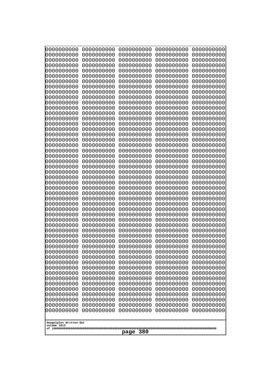| 10000000000                           | 0000000000               | 0000000000               | 0000000000               | 0000000000               |
|---------------------------------------|--------------------------|--------------------------|--------------------------|--------------------------|
| 0000000000<br>0000000000              | 0000000000<br>0000000000 | 0000000000<br>0000000000 | 0000000000<br>0000000000 | 0000000000<br>0000000000 |
| 0000000000                            | 0000000000               | 0000000000               | 0000000000               | 0000000000               |
| 0000000000                            | 0000000000               | 0000000000               | 0000000000               | 0000000000               |
| 0000000000                            | 0000000000               | 0000000000               | 0000000000               | 0000000000               |
| 0000000000<br>0000000000              | 0000000000<br>0000000000 | 0000000000<br>0000000000 | 0000000000<br>0000000000 | 0000000000<br>0000000000 |
| 0000000000                            | 0000000000               | 0000000000               | 0000000000               | 0000000000               |
| 0000000000                            | 0000000000               | 0000000000               | 0000000000               | 0000000000               |
| 0000000000                            | 0000000000               | 0000000000               | 0000000000               | 0000000000               |
| 0000000000<br>0000000000              | 0000000000<br>0000000000 | 0000000000<br>0000000000 | 0000000000<br>0000000000 | 0000000000<br>0000000000 |
| 0000000000                            | 0000000000               | 0000000000               | 0000000000               | 0000000000               |
| 0000000000                            | 0000000000               | 0000000000               | 0000000000               | 0000000000               |
| 0000000000                            | 0000000000               | 0000000000               | 0000000000               | 0000000000               |
| 0000000000<br>0000000000              | 0000000000<br>0000000000 | 0000000000<br>0000000000 | 0000000000<br>0000000000 | 0000000000<br>0000000000 |
| 0000000000                            | 0000000000               | 0000000000               | 0000000000               | 0000000000               |
| 0000000000                            | 0000000000               | 0000000000               | 0000000000               | 0000000000               |
| 0000000000                            | 0000000000               | 0000000000               | 0000000000               | 0000000000               |
| 0000000000<br>0000000000              | 0000000000<br>0000000000 | 0000000000<br>0000000000 | 0000000000<br>0000000000 | 0000000000<br>0000000000 |
| 0000000000                            | 0000000000               | 0000000000               | 0000000000               | 0000000000               |
| 0000000000                            | 0000000000               | 0000000000               | 0000000000               | 0000000000               |
| 0000000000                            | 0000000000               | 0000000000               | 0000000000               | 0000000000               |
| 0000000000<br>0000000000              | 0000000000<br>0000000000 | 0000000000<br>0000000000 | 0000000000<br>0000000000 | 0000000000<br>0000000000 |
| 0000000000                            | 0000000000               | 0000000000               | 0000000000               | 0000000000               |
| 0000000000                            | 0000000000               | 0000000000               | 0000000000               | 0000000000               |
| 0000000000                            | 0000000000               | 0000000000               | 0000000000               | 0000000000               |
| 0000000000<br>0000000000              | 0000000000<br>0000000000 | 0000000000<br>0000000000 | 0000000000<br>0000000000 | 0000000000<br>0000000000 |
| 0000000000                            | 0000000000               | 0000000000               | 0000000000               | 0000000000               |
| 0000000000                            | 0000000000               | 0000000000               | 0000000000               | 0000000000               |
| 0000000000                            | 0000000000<br>0000000000 | 0000000000<br>0000000000 | 0000000000               | 0000000000               |
| 0000000000<br>0000000000              | 0000000000               | 0000000000               | 0000000000<br>0000000000 | 0000000000<br>0000000000 |
| 0000000000                            | 0000000000               | 0000000000               | 0000000000               | 0000000000               |
| 0000000000                            | 0000000000               | 0000000000               | 0000000000               | 0000000000               |
| 0000000000<br>0000000000              | 0000000000<br>0000000000 | 0000000000<br>0000000000 | 0000000000<br>0000000000 | 0000000000<br>0000000000 |
| 0000000000                            | 0000000000               | 0000000000               | 0000000000               | 0000000000               |
| 0000000000                            | 0000000000               | 0000000000               | 0000000000               | 0000000000               |
| 0000000000                            | 0000000000               | 0000000000               | 0000000000               | 0000000000               |
| 0000000000<br>0000000000              | 0000000000<br>0000000000 | 0000000000<br>0000000000 | 0000000000<br>0000000000 | 0000000000<br>0000000000 |
| 0000000000                            | 0000000000               | 0000000000               | 0000000000               | 0000000000               |
| 0000000000                            | 0000000000               | 0000000000               | 0000000000               | 0000000000               |
| 0000000000                            | 0000000000               | 0000000000               | 0000000000               | 0000000000               |
|                                       |                          |                          |                          |                          |
| Googolplex Written Out<br>volume 1013 |                          |                          |                          |                          |
| 380<br>page                           |                          |                          |                          |                          |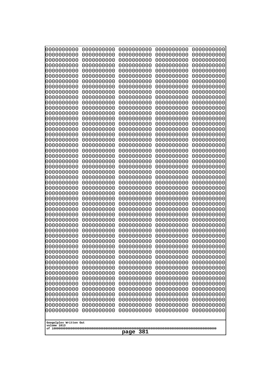| 10000000000                           | 0000000000               | 0000000000               | 0000000000               | 0000000000               |
|---------------------------------------|--------------------------|--------------------------|--------------------------|--------------------------|
| 0000000000<br>0000000000              | 0000000000<br>0000000000 | 0000000000<br>0000000000 | 0000000000<br>0000000000 | 0000000000<br>0000000000 |
| 0000000000                            | 0000000000               | 0000000000               | 0000000000               | 0000000000               |
| 0000000000                            | 0000000000               | 0000000000               | 0000000000               | 0000000000               |
| 0000000000                            | 0000000000               | 0000000000               | 0000000000               | 0000000000               |
| 0000000000<br>0000000000              | 0000000000<br>0000000000 | 0000000000<br>0000000000 | 0000000000<br>0000000000 | 0000000000<br>0000000000 |
| 0000000000                            | 0000000000               | 0000000000               | 0000000000               | 0000000000               |
| 0000000000                            | 0000000000               | 0000000000               | 0000000000               | 0000000000               |
| 0000000000                            | 0000000000               | 0000000000               | 0000000000               | 0000000000               |
| 0000000000<br>0000000000              | 0000000000<br>0000000000 | 0000000000<br>0000000000 | 0000000000<br>0000000000 | 0000000000<br>0000000000 |
| 0000000000                            | 0000000000               | 0000000000               | 0000000000               | 0000000000               |
| 0000000000                            | 0000000000               | 0000000000               | 0000000000               | 0000000000               |
| 0000000000                            | 0000000000               | 0000000000               | 0000000000               | 0000000000               |
| 0000000000<br>0000000000              | 0000000000<br>0000000000 | 0000000000<br>0000000000 | 0000000000<br>0000000000 | 0000000000<br>0000000000 |
| 0000000000                            | 0000000000               | 0000000000               | 0000000000               | 0000000000               |
| 0000000000                            | 0000000000               | 0000000000               | 0000000000               | 0000000000               |
| 0000000000                            | 0000000000               | 0000000000               | 0000000000               | 0000000000               |
| 0000000000<br>0000000000              | 0000000000<br>0000000000 | 0000000000<br>0000000000 | 0000000000<br>0000000000 | 0000000000<br>0000000000 |
| 0000000000                            | 0000000000               | 0000000000               | 0000000000               | 0000000000               |
| 0000000000                            | 0000000000               | 0000000000               | 0000000000               | 0000000000               |
| 0000000000                            | 0000000000               | 0000000000               | 0000000000               | 0000000000               |
| 0000000000<br>0000000000              | 0000000000<br>0000000000 | 0000000000<br>0000000000 | 0000000000<br>0000000000 | 0000000000<br>0000000000 |
| 0000000000                            | 0000000000               | 0000000000               | 0000000000               | 0000000000               |
| 0000000000                            | 0000000000               | 0000000000               | 0000000000               | 0000000000               |
| 0000000000                            | 0000000000               | 0000000000               | 0000000000               | 0000000000               |
| 0000000000<br>0000000000              | 0000000000<br>0000000000 | 0000000000<br>0000000000 | 0000000000<br>0000000000 | 0000000000<br>0000000000 |
| 0000000000                            | 0000000000               | 0000000000               | 0000000000               | 0000000000               |
| 0000000000                            | 0000000000               | 0000000000               | 0000000000               | 0000000000               |
| 0000000000                            | 0000000000<br>0000000000 | 0000000000<br>0000000000 | 0000000000               | 0000000000               |
| 0000000000<br>0000000000              | 0000000000               | 0000000000               | 0000000000<br>0000000000 | 0000000000<br>0000000000 |
| 0000000000                            | 0000000000               | 0000000000               | 0000000000               | 0000000000               |
| 0000000000                            | 0000000000               | 0000000000               | 0000000000               | 0000000000               |
| 0000000000<br>0000000000              | 0000000000<br>0000000000 | 0000000000<br>0000000000 | 0000000000<br>0000000000 | 0000000000<br>0000000000 |
| 0000000000                            | 0000000000               | 0000000000               | 0000000000               | 0000000000               |
| 0000000000                            | 0000000000               | 0000000000               | 0000000000               | 0000000000               |
| 0000000000                            | 0000000000               | 0000000000               | 0000000000               | 0000000000               |
| 0000000000<br>0000000000              | 0000000000<br>0000000000 | 0000000000<br>0000000000 | 0000000000<br>0000000000 | 0000000000<br>0000000000 |
| 0000000000                            | 0000000000               | 0000000000               | 0000000000               | 0000000000               |
| 0000000000                            | 0000000000               | 0000000000               | 0000000000               | 0000000000               |
| 0000000000                            | 0000000000               | 0000000000               | 0000000000               | 0000000000               |
|                                       |                          |                          |                          |                          |
| Googolplex Written Out<br>volume 1013 |                          |                          |                          |                          |
| 381<br>page                           |                          |                          |                          |                          |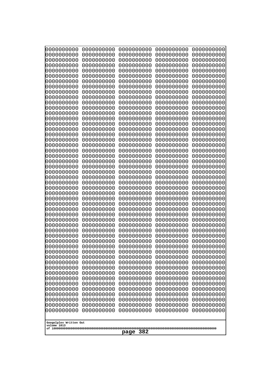| 10000000000              | 0000000000               | 0000000000               | 0000000000               | 0000000000               |
|--------------------------|--------------------------|--------------------------|--------------------------|--------------------------|
| 0000000000<br>0000000000 | 0000000000<br>0000000000 | 0000000000<br>0000000000 | 0000000000<br>0000000000 | 0000000000<br>0000000000 |
| 0000000000               | 0000000000               | 0000000000               | 0000000000               | 0000000000               |
| 0000000000               | 0000000000               | 0000000000               | 0000000000               | 0000000000               |
| 0000000000               | 0000000000               | 0000000000               | 0000000000               | 0000000000               |
| 0000000000<br>0000000000 | 0000000000<br>0000000000 | 0000000000<br>0000000000 | 0000000000<br>0000000000 | 0000000000<br>0000000000 |
| 0000000000               | 0000000000               | 0000000000               | 0000000000               | 0000000000               |
| 0000000000               | 0000000000               | 0000000000               | 0000000000               | 0000000000               |
| 0000000000               | 0000000000               | 0000000000               | 0000000000               | 0000000000               |
| 0000000000<br>0000000000 | 0000000000<br>0000000000 | 0000000000<br>0000000000 | 0000000000<br>0000000000 | 0000000000<br>0000000000 |
| 0000000000               | 0000000000               | 0000000000               | 0000000000               | 0000000000               |
| 0000000000               | 0000000000               | 0000000000               | 0000000000               | 0000000000               |
| 0000000000               | 0000000000               | 0000000000               | 0000000000               | 0000000000               |
| 0000000000<br>0000000000 | 0000000000<br>0000000000 | 0000000000<br>0000000000 | 0000000000<br>0000000000 | 0000000000<br>0000000000 |
| 0000000000               | 0000000000               | 0000000000               | 0000000000               | 0000000000               |
| 0000000000               | 0000000000               | 0000000000               | 0000000000               | 0000000000               |
| 0000000000               | 0000000000<br>0000000000 | 0000000000               | 0000000000               | 0000000000               |
| 0000000000<br>0000000000 | 0000000000               | 0000000000<br>0000000000 | 0000000000<br>0000000000 | 0000000000<br>0000000000 |
| 0000000000               | 0000000000               | 0000000000               | 0000000000               | 0000000000               |
| 0000000000               | 0000000000               | 0000000000               | 0000000000               | 0000000000               |
| 0000000000<br>0000000000 | 0000000000<br>0000000000 | 0000000000<br>0000000000 | 0000000000<br>0000000000 | 0000000000<br>0000000000 |
| 0000000000               | 0000000000               | 0000000000               | 0000000000               | 0000000000               |
| 0000000000               | 0000000000               | 0000000000               | 0000000000               | 0000000000               |
| 0000000000               | 0000000000               | 0000000000               | 0000000000               | 0000000000               |
| 0000000000<br>0000000000 | 0000000000<br>0000000000 | 0000000000<br>0000000000 | 0000000000<br>0000000000 | 0000000000<br>0000000000 |
| 0000000000               | 0000000000               | 0000000000               | 0000000000               | 0000000000               |
| 0000000000               | 0000000000               | 0000000000               | 0000000000               | 0000000000               |
| 0000000000               | 0000000000               | 0000000000               | 0000000000               | 0000000000               |
| 0000000000<br>0000000000 | 0000000000<br>0000000000 | 0000000000<br>0000000000 | 0000000000<br>0000000000 | 0000000000<br>0000000000 |
| 0000000000               | 0000000000               | 0000000000               | 0000000000               | 0000000000               |
| 0000000000               | 0000000000               | 0000000000               | 0000000000               | 0000000000               |
| 0000000000<br>0000000000 | 0000000000<br>0000000000 | 0000000000<br>0000000000 | 0000000000<br>0000000000 | 0000000000<br>0000000000 |
| 0000000000               | 0000000000               | 0000000000               | 0000000000               | 0000000000               |
| 0000000000               | 0000000000               | 0000000000               | 0000000000               | 0000000000               |
| 0000000000               | 0000000000               | 0000000000               | 0000000000               | 0000000000               |
| 0000000000<br>0000000000 | 0000000000<br>0000000000 | 0000000000<br>0000000000 | 0000000000<br>0000000000 | 0000000000<br>0000000000 |
| 0000000000               | 0000000000               | 0000000000               | 0000000000               | 0000000000               |
| 0000000000               | 0000000000               | 0000000000               | 0000000000               | 0000000000               |
| 0000000000               | 0000000000               | 0000000000               | 0000000000               | 0000000000               |
| 0000000000               | 0000000000               | 0000000000               | 0000000000               | 0000000000               |
| Googolplex Written Out   |                          |                          |                          |                          |
| volume 1013              |                          |                          |                          |                          |
| 382<br>page              |                          |                          |                          |                          |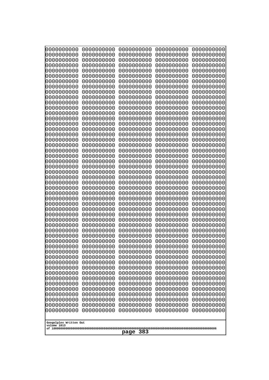| 0000000000                                           | 0000000000 | 0000000000 | 0000000000 | 0000000000 |
|------------------------------------------------------|------------|------------|------------|------------|
| 0000000000                                           | 0000000000 | 0000000000 | 0000000000 | 0000000000 |
| 0000000000                                           | 0000000000 | 0000000000 | 0000000000 | 0000000000 |
| 0000000000                                           | 0000000000 | 0000000000 | 0000000000 | 0000000000 |
| 0000000000                                           | 0000000000 | 0000000000 | 0000000000 | 0000000000 |
| 0000000000                                           | 0000000000 | 0000000000 | 0000000000 | 0000000000 |
| 0000000000                                           | 0000000000 | 0000000000 | 0000000000 | 0000000000 |
| 0000000000                                           | 0000000000 | 0000000000 | 0000000000 | 0000000000 |
| 0000000000                                           | 0000000000 | 0000000000 | 0000000000 | 0000000000 |
| 0000000000                                           | 0000000000 | 0000000000 | 0000000000 | 0000000000 |
| 0000000000                                           | 0000000000 | 0000000000 | 0000000000 | 0000000000 |
| 0000000000                                           | 0000000000 | 0000000000 | 0000000000 | 0000000000 |
| 0000000000                                           | 0000000000 | 0000000000 | 0000000000 | 0000000000 |
| 0000000000                                           | 0000000000 | 0000000000 | 0000000000 | 0000000000 |
| 0000000000                                           | 0000000000 | 0000000000 | 0000000000 | 0000000000 |
| 0000000000                                           | 0000000000 | 0000000000 | 0000000000 | 0000000000 |
| 0000000000                                           | 0000000000 | 0000000000 | 0000000000 | 0000000000 |
| 0000000000                                           | 0000000000 | 0000000000 | 0000000000 | 0000000000 |
| 0000000000                                           | 0000000000 | 0000000000 | 0000000000 | 0000000000 |
| 0000000000                                           | 0000000000 | 0000000000 | 0000000000 | 0000000000 |
| 0000000000                                           | 0000000000 | 0000000000 | 0000000000 | 0000000000 |
| 0000000000                                           | 0000000000 | 0000000000 | 0000000000 | 0000000000 |
| 0000000000                                           | 0000000000 | 0000000000 | 0000000000 | 0000000000 |
| 0000000000                                           | 0000000000 | 0000000000 | 0000000000 | 0000000000 |
|                                                      |            |            |            |            |
| 0000000000                                           | 0000000000 | 0000000000 | 0000000000 | 0000000000 |
| 0000000000                                           | 0000000000 | 0000000000 | 0000000000 | 0000000000 |
| 0000000000                                           | 0000000000 | 0000000000 | 0000000000 | 0000000000 |
| 0000000000                                           | 0000000000 | 0000000000 | 0000000000 | 0000000000 |
| 0000000000                                           | 0000000000 | 0000000000 | 0000000000 | 0000000000 |
| 0000000000                                           | 0000000000 | 0000000000 | 0000000000 | 0000000000 |
| 0000000000                                           | 0000000000 | 0000000000 | 0000000000 | 0000000000 |
| 0000000000                                           | 0000000000 | 0000000000 | 0000000000 | 0000000000 |
| 0000000000                                           | 0000000000 | 0000000000 | 0000000000 | 0000000000 |
| 0000000000                                           | 0000000000 | 0000000000 | 0000000000 | 0000000000 |
| 0000000000                                           | 0000000000 | 0000000000 | 0000000000 | 0000000000 |
| 0000000000                                           | 0000000000 | 0000000000 | 0000000000 | 0000000000 |
| 0000000000                                           | 0000000000 | 0000000000 | 0000000000 | 0000000000 |
| 0000000000                                           | 0000000000 | 0000000000 | 0000000000 | 0000000000 |
| 0000000000                                           | 0000000000 | 0000000000 | 0000000000 | 0000000000 |
| 0000000000                                           | 0000000000 | 0000000000 | 0000000000 | 0000000000 |
| 0000000000                                           | 0000000000 | 0000000000 | 0000000000 | 0000000000 |
| 0000000000                                           | 0000000000 | 0000000000 | 0000000000 | 0000000000 |
| 0000000000                                           | 0000000000 | 0000000000 | 0000000000 | 0000000000 |
| 0000000000                                           | 0000000000 | 0000000000 | 0000000000 | 0000000000 |
| 0000000000                                           | 0000000000 | 0000000000 | 0000000000 | 0000000000 |
| 0000000000                                           | 0000000000 | 0000000000 | 0000000000 | 0000000000 |
| 0000000000                                           | 0000000000 | 0000000000 | 0000000000 | 0000000000 |
| 0000000000                                           | 0000000000 | 0000000000 | 0000000000 | 0000000000 |
| 0000000000                                           | 0000000000 | 0000000000 | 0000000000 | 0000000000 |
| 0000000000                                           | 0000000000 | 0000000000 | 0000000000 | 0000000000 |
| Googolplex Written Out<br>volume 1013<br>383<br>page |            |            |            |            |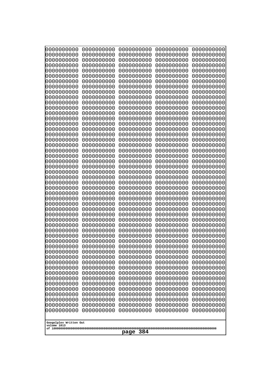| 10000000000                           | 0000000000               | 0000000000               | 0000000000               | 0000000000               |
|---------------------------------------|--------------------------|--------------------------|--------------------------|--------------------------|
| 0000000000<br>0000000000              | 0000000000<br>0000000000 | 0000000000<br>0000000000 | 0000000000<br>0000000000 | 0000000000<br>0000000000 |
| 0000000000                            | 0000000000               | 0000000000               | 0000000000               | 0000000000               |
| 0000000000                            | 0000000000               | 0000000000               | 0000000000               | 0000000000               |
| 0000000000                            | 0000000000               | 0000000000               | 0000000000               | 0000000000               |
| 0000000000<br>0000000000              | 0000000000<br>0000000000 | 0000000000<br>0000000000 | 0000000000<br>0000000000 | 0000000000<br>0000000000 |
| 0000000000                            | 0000000000               | 0000000000               | 0000000000               | 0000000000               |
| 0000000000                            | 0000000000               | 0000000000               | 0000000000               | 0000000000               |
| 0000000000                            | 0000000000               | 0000000000               | 0000000000               | 0000000000               |
| 0000000000<br>0000000000              | 0000000000<br>0000000000 | 0000000000<br>0000000000 | 0000000000<br>0000000000 | 0000000000<br>0000000000 |
| 0000000000                            | 0000000000               | 0000000000               | 0000000000               | 0000000000               |
| 0000000000                            | 0000000000               | 0000000000               | 0000000000               | 0000000000               |
| 0000000000                            | 0000000000               | 0000000000               | 0000000000               | 0000000000               |
| 0000000000<br>0000000000              | 0000000000<br>0000000000 | 0000000000<br>0000000000 | 0000000000<br>0000000000 | 0000000000<br>0000000000 |
| 0000000000                            | 0000000000               | 0000000000               | 0000000000               | 0000000000               |
| 0000000000                            | 0000000000               | 0000000000               | 0000000000               | 0000000000               |
| 0000000000                            | 0000000000               | 0000000000               | 0000000000               | 0000000000               |
| 0000000000<br>0000000000              | 0000000000<br>0000000000 | 0000000000<br>0000000000 | 0000000000<br>0000000000 | 0000000000<br>0000000000 |
| 0000000000                            | 0000000000               | 0000000000               | 0000000000               | 0000000000               |
| 0000000000                            | 0000000000               | 0000000000               | 0000000000               | 0000000000               |
| 0000000000                            | 0000000000               | 0000000000               | 0000000000               | 0000000000               |
| 0000000000<br>0000000000              | 0000000000<br>0000000000 | 0000000000<br>0000000000 | 0000000000<br>0000000000 | 0000000000<br>0000000000 |
| 0000000000                            | 0000000000               | 0000000000               | 0000000000               | 0000000000               |
| 0000000000                            | 0000000000               | 0000000000               | 0000000000               | 0000000000               |
| 0000000000                            | 0000000000               | 0000000000               | 0000000000               | 0000000000               |
| 0000000000<br>0000000000              | 0000000000<br>0000000000 | 0000000000<br>0000000000 | 0000000000<br>0000000000 | 0000000000<br>0000000000 |
| 0000000000                            | 0000000000               | 0000000000               | 0000000000               | 0000000000               |
| 0000000000                            | 0000000000               | 0000000000               | 0000000000               | 0000000000               |
| 0000000000                            | 0000000000<br>0000000000 | 0000000000<br>0000000000 | 0000000000               | 0000000000               |
| 0000000000<br>0000000000              | 0000000000               | 0000000000               | 0000000000<br>0000000000 | 0000000000<br>0000000000 |
| 0000000000                            | 0000000000               | 0000000000               | 0000000000               | 0000000000               |
| 0000000000                            | 0000000000               | 0000000000               | 0000000000               | 0000000000               |
| 0000000000<br>0000000000              | 0000000000<br>0000000000 | 0000000000<br>0000000000 | 0000000000<br>0000000000 | 0000000000<br>0000000000 |
| 0000000000                            | 0000000000               | 0000000000               | 0000000000               | 0000000000               |
| 0000000000                            | 0000000000               | 0000000000               | 0000000000               | 0000000000               |
| 0000000000                            | 0000000000               | 0000000000               | 0000000000               | 0000000000               |
| 0000000000<br>0000000000              | 0000000000<br>0000000000 | 0000000000<br>0000000000 | 0000000000<br>0000000000 | 0000000000<br>0000000000 |
| 0000000000                            | 0000000000               | 0000000000               | 0000000000               | 0000000000               |
| 0000000000                            | 0000000000               | 0000000000               | 0000000000               | 0000000000               |
| 0000000000                            | 0000000000               | 0000000000               | 0000000000               | 0000000000               |
|                                       |                          |                          |                          |                          |
| Googolplex Written Out<br>volume 1013 |                          |                          |                          |                          |
| 384<br>page                           |                          |                          |                          |                          |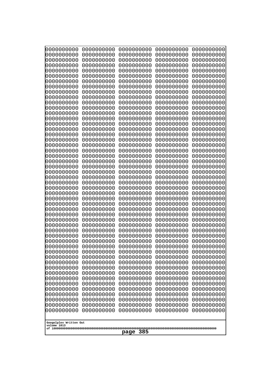| 0000000000                                           | 0000000000 | 0000000000 | 0000000000 | 0000000000 |
|------------------------------------------------------|------------|------------|------------|------------|
| 0000000000                                           | 0000000000 | 0000000000 | 0000000000 | 0000000000 |
| 0000000000                                           | 0000000000 | 0000000000 | 0000000000 | 0000000000 |
| 0000000000                                           | 0000000000 | 0000000000 | 0000000000 | 0000000000 |
| 0000000000                                           | 0000000000 | 0000000000 | 0000000000 | 0000000000 |
| 0000000000                                           | 0000000000 | 0000000000 | 0000000000 | 0000000000 |
| 0000000000                                           | 0000000000 | 0000000000 | 0000000000 | 0000000000 |
| 0000000000                                           | 0000000000 | 0000000000 | 0000000000 | 0000000000 |
| 0000000000                                           | 0000000000 | 0000000000 | 0000000000 | 0000000000 |
| 0000000000                                           | 0000000000 | 0000000000 | 0000000000 | 0000000000 |
| 0000000000                                           | 0000000000 | 0000000000 | 0000000000 | 0000000000 |
| 0000000000                                           | 0000000000 | 0000000000 | 0000000000 | 0000000000 |
| 0000000000                                           | 0000000000 | 0000000000 | 0000000000 | 0000000000 |
| 0000000000                                           | 0000000000 | 0000000000 | 0000000000 | 0000000000 |
| 0000000000                                           | 0000000000 | 0000000000 | 0000000000 | 0000000000 |
| 0000000000                                           | 0000000000 | 0000000000 | 0000000000 | 0000000000 |
| 0000000000                                           | 0000000000 | 0000000000 | 0000000000 | 0000000000 |
| 0000000000                                           | 0000000000 | 0000000000 | 0000000000 | 0000000000 |
| 0000000000                                           | 0000000000 | 0000000000 | 0000000000 | 0000000000 |
| 0000000000                                           | 0000000000 | 0000000000 | 0000000000 | 0000000000 |
| 0000000000                                           | 0000000000 | 0000000000 | 0000000000 | 0000000000 |
| 0000000000                                           | 0000000000 | 0000000000 | 0000000000 | 0000000000 |
| 0000000000                                           | 0000000000 | 0000000000 | 0000000000 | 0000000000 |
| 0000000000                                           | 0000000000 | 0000000000 | 0000000000 | 0000000000 |
| 0000000000                                           | 0000000000 | 0000000000 | 0000000000 | 0000000000 |
| 0000000000                                           | 0000000000 | 0000000000 | 0000000000 | 0000000000 |
| 0000000000                                           | 0000000000 | 0000000000 | 0000000000 | 0000000000 |
| 0000000000                                           | 0000000000 | 0000000000 | 0000000000 | 0000000000 |
| 0000000000                                           | 0000000000 | 0000000000 | 0000000000 | 0000000000 |
| 0000000000                                           | 0000000000 | 0000000000 | 0000000000 | 0000000000 |
| 0000000000                                           | 0000000000 | 0000000000 | 0000000000 | 0000000000 |
| 0000000000                                           | 0000000000 | 0000000000 | 0000000000 | 0000000000 |
| 0000000000                                           | 0000000000 | 0000000000 | 0000000000 | 0000000000 |
| 0000000000                                           | 0000000000 | 0000000000 | 0000000000 | 0000000000 |
| 0000000000                                           | 0000000000 | 0000000000 | 0000000000 | 0000000000 |
| 0000000000                                           | 0000000000 | 0000000000 | 0000000000 | 0000000000 |
| 0000000000                                           | 0000000000 | 0000000000 | 0000000000 | 0000000000 |
| 0000000000                                           | 0000000000 | 0000000000 | 0000000000 | 0000000000 |
| 0000000000                                           | 0000000000 | 0000000000 | 0000000000 | 0000000000 |
| 0000000000                                           | 0000000000 | 0000000000 | 0000000000 | 0000000000 |
| 0000000000                                           | 0000000000 | 0000000000 | 0000000000 | 0000000000 |
| 0000000000                                           | 0000000000 | 0000000000 | 0000000000 | 0000000000 |
| 0000000000                                           | 0000000000 | 0000000000 | 0000000000 | 0000000000 |
| 0000000000                                           | 0000000000 | 0000000000 | 0000000000 | 0000000000 |
| 0000000000                                           | 0000000000 | 0000000000 | 0000000000 | 0000000000 |
| 0000000000                                           | 0000000000 | 0000000000 | 0000000000 | 0000000000 |
| 0000000000                                           | 0000000000 | 0000000000 | 0000000000 | 0000000000 |
| 0000000000                                           | 0000000000 | 0000000000 | 0000000000 | 0000000000 |
| 0000000000                                           | 0000000000 | 0000000000 | 0000000000 | 0000000000 |
| 0000000000                                           | 0000000000 | 0000000000 | 0000000000 | 0000000000 |
| Googolplex Written Out<br>volume 1013<br>385<br>page |            |            |            |            |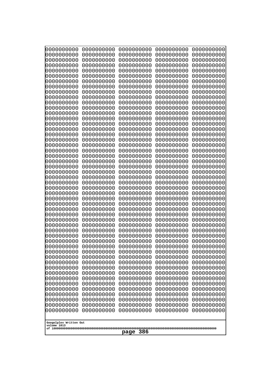| 10000000000                           | 0000000000               | 0000000000               | 0000000000               | 0000000000               |
|---------------------------------------|--------------------------|--------------------------|--------------------------|--------------------------|
| 0000000000<br>0000000000              | 0000000000<br>0000000000 | 0000000000<br>0000000000 | 0000000000<br>0000000000 | 0000000000<br>0000000000 |
| 0000000000                            | 0000000000               | 0000000000               | 0000000000               | 0000000000               |
| 0000000000                            | 0000000000               | 0000000000               | 0000000000               | 0000000000               |
| 0000000000                            | 0000000000               | 0000000000               | 0000000000               | 0000000000               |
| 0000000000<br>0000000000              | 0000000000<br>0000000000 | 0000000000<br>0000000000 | 0000000000<br>0000000000 | 0000000000<br>0000000000 |
| 0000000000                            | 0000000000               | 0000000000               | 0000000000               | 0000000000               |
| 0000000000                            | 0000000000               | 0000000000               | 0000000000               | 0000000000               |
| 0000000000                            | 0000000000               | 0000000000               | 0000000000               | 0000000000               |
| 0000000000<br>0000000000              | 0000000000<br>0000000000 | 0000000000<br>0000000000 | 0000000000<br>0000000000 | 0000000000<br>0000000000 |
| 0000000000                            | 0000000000               | 0000000000               | 0000000000               | 0000000000               |
| 0000000000                            | 0000000000               | 0000000000               | 0000000000               | 0000000000               |
| 0000000000                            | 0000000000               | 0000000000               | 0000000000               | 0000000000               |
| 0000000000<br>0000000000              | 0000000000<br>0000000000 | 0000000000<br>0000000000 | 0000000000<br>0000000000 | 0000000000<br>0000000000 |
| 0000000000                            | 0000000000               | 0000000000               | 0000000000               | 0000000000               |
| 0000000000                            | 0000000000               | 0000000000               | 0000000000               | 0000000000               |
| 0000000000                            | 0000000000               | 0000000000               | 0000000000               | 0000000000               |
| 0000000000<br>0000000000              | 0000000000<br>0000000000 | 0000000000<br>0000000000 | 0000000000<br>0000000000 | 0000000000<br>0000000000 |
| 0000000000                            | 0000000000               | 0000000000               | 0000000000               | 0000000000               |
| 0000000000                            | 0000000000               | 0000000000               | 0000000000               | 0000000000               |
| 0000000000                            | 0000000000               | 0000000000               | 0000000000               | 0000000000               |
| 0000000000<br>0000000000              | 0000000000<br>0000000000 | 0000000000<br>0000000000 | 0000000000<br>0000000000 | 0000000000<br>0000000000 |
| 0000000000                            | 0000000000               | 0000000000               | 0000000000               | 0000000000               |
| 0000000000                            | 0000000000               | 0000000000               | 0000000000               | 0000000000               |
| 0000000000                            | 0000000000               | 0000000000               | 0000000000               | 0000000000               |
| 0000000000<br>0000000000              | 0000000000<br>0000000000 | 0000000000<br>0000000000 | 0000000000<br>0000000000 | 0000000000<br>0000000000 |
| 0000000000                            | 0000000000               | 0000000000               | 0000000000               | 0000000000               |
| 0000000000                            | 0000000000               | 0000000000               | 0000000000               | 0000000000               |
| 0000000000                            | 0000000000<br>0000000000 | 0000000000<br>0000000000 | 0000000000               | 0000000000               |
| 0000000000<br>0000000000              | 0000000000               | 0000000000               | 0000000000<br>0000000000 | 0000000000<br>0000000000 |
| 0000000000                            | 0000000000               | 0000000000               | 0000000000               | 0000000000               |
| 0000000000                            | 0000000000               | 0000000000               | 0000000000               | 0000000000               |
| 0000000000<br>0000000000              | 0000000000<br>0000000000 | 0000000000<br>0000000000 | 0000000000<br>0000000000 | 0000000000<br>0000000000 |
| 0000000000                            | 0000000000               | 0000000000               | 0000000000               | 0000000000               |
| 0000000000                            | 0000000000               | 0000000000               | 0000000000               | 0000000000               |
| 0000000000                            | 0000000000               | 0000000000               | 0000000000               | 0000000000               |
| 0000000000<br>0000000000              | 0000000000<br>0000000000 | 0000000000<br>0000000000 | 0000000000<br>0000000000 | 0000000000<br>0000000000 |
| 0000000000                            | 0000000000               | 0000000000               | 0000000000               | 0000000000               |
| 0000000000                            | 0000000000               | 0000000000               | 0000000000               | 0000000000               |
| 0000000000                            | 0000000000               | 0000000000               | 0000000000               | 0000000000               |
|                                       |                          |                          |                          |                          |
| Googolplex Written Out<br>volume 1013 |                          |                          |                          |                          |
| 386<br>page                           |                          |                          |                          |                          |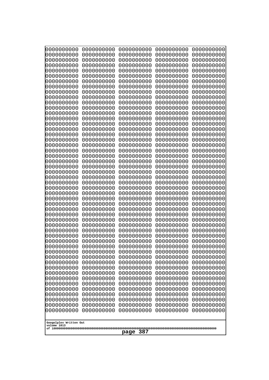| 0000000000                                           | 0000000000 | 0000000000 | 0000000000 | 0000000000 |
|------------------------------------------------------|------------|------------|------------|------------|
| 0000000000                                           | 0000000000 | 0000000000 | 0000000000 | 0000000000 |
| 0000000000                                           | 0000000000 | 0000000000 | 0000000000 | 0000000000 |
| 0000000000                                           | 0000000000 | 0000000000 | 0000000000 | 0000000000 |
| 0000000000                                           | 0000000000 | 0000000000 | 0000000000 | 0000000000 |
| 0000000000                                           | 0000000000 | 0000000000 | 0000000000 | 0000000000 |
| 0000000000                                           | 0000000000 | 0000000000 | 0000000000 | 0000000000 |
| 0000000000                                           | 0000000000 | 0000000000 | 0000000000 | 0000000000 |
| 0000000000                                           | 0000000000 | 0000000000 | 0000000000 | 0000000000 |
| 0000000000                                           | 0000000000 | 0000000000 | 0000000000 | 0000000000 |
| 0000000000                                           | 0000000000 | 0000000000 | 0000000000 | 0000000000 |
| 0000000000                                           | 0000000000 | 0000000000 | 0000000000 | 0000000000 |
| 0000000000                                           | 0000000000 | 0000000000 | 0000000000 | 0000000000 |
| 0000000000                                           | 0000000000 | 0000000000 | 0000000000 | 0000000000 |
| 0000000000                                           | 0000000000 | 0000000000 | 0000000000 | 0000000000 |
| 0000000000                                           | 0000000000 | 0000000000 | 0000000000 | 0000000000 |
| 0000000000                                           | 0000000000 | 0000000000 | 0000000000 | 0000000000 |
| 0000000000                                           | 0000000000 | 0000000000 | 0000000000 | 0000000000 |
| 0000000000                                           | 0000000000 | 0000000000 | 0000000000 | 0000000000 |
| 0000000000                                           | 0000000000 | 0000000000 | 0000000000 | 0000000000 |
| 0000000000                                           | 0000000000 | 0000000000 | 0000000000 | 0000000000 |
| 0000000000                                           | 0000000000 | 0000000000 | 0000000000 | 0000000000 |
| 0000000000                                           | 0000000000 | 0000000000 | 0000000000 | 0000000000 |
| 0000000000                                           | 0000000000 | 0000000000 | 0000000000 | 0000000000 |
| 0000000000                                           | 0000000000 | 0000000000 | 0000000000 | 0000000000 |
| 0000000000                                           | 0000000000 | 0000000000 | 0000000000 | 0000000000 |
| 0000000000                                           | 0000000000 | 0000000000 | 0000000000 | 0000000000 |
| 0000000000                                           | 0000000000 | 0000000000 | 0000000000 | 0000000000 |
| 0000000000                                           | 0000000000 | 0000000000 | 0000000000 | 0000000000 |
| 0000000000                                           | 0000000000 | 0000000000 | 0000000000 | 0000000000 |
| 0000000000                                           | 0000000000 | 0000000000 | 0000000000 | 0000000000 |
| 0000000000                                           | 0000000000 | 0000000000 | 0000000000 | 0000000000 |
| 0000000000                                           | 0000000000 | 0000000000 | 0000000000 | 0000000000 |
| 0000000000                                           | 0000000000 | 0000000000 | 0000000000 | 0000000000 |
| 0000000000                                           | 0000000000 | 0000000000 | 0000000000 | 0000000000 |
| 0000000000                                           | 0000000000 | 0000000000 | 0000000000 | 0000000000 |
| 0000000000                                           | 0000000000 | 0000000000 | 0000000000 | 0000000000 |
| 0000000000                                           | 0000000000 | 0000000000 | 0000000000 | 0000000000 |
| 0000000000                                           | 0000000000 | 0000000000 | 0000000000 | 0000000000 |
| 0000000000                                           | 0000000000 | 0000000000 | 0000000000 | 0000000000 |
| 0000000000                                           | 0000000000 | 0000000000 | 0000000000 | 0000000000 |
| 0000000000                                           | 0000000000 | 0000000000 | 0000000000 | 0000000000 |
| 0000000000                                           | 0000000000 | 0000000000 | 0000000000 | 0000000000 |
| 0000000000                                           | 0000000000 | 0000000000 | 0000000000 | 0000000000 |
| 0000000000                                           | 0000000000 | 0000000000 | 0000000000 | 0000000000 |
| 0000000000                                           | 0000000000 | 0000000000 | 0000000000 | 0000000000 |
| 0000000000                                           | 0000000000 | 0000000000 | 0000000000 | 0000000000 |
| 0000000000                                           | 0000000000 | 0000000000 | 0000000000 | 0000000000 |
| 0000000000                                           | 0000000000 | 0000000000 | 0000000000 | 0000000000 |
| Googolplex Written Out<br>volume 1013<br>387<br>page |            |            |            |            |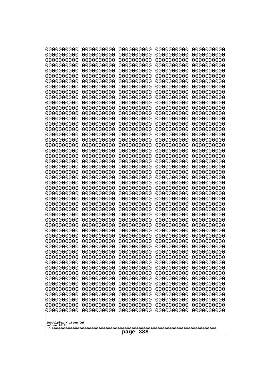| 10000000000                           | 0000000000               | 0000000000               | 0000000000               | 0000000000               |
|---------------------------------------|--------------------------|--------------------------|--------------------------|--------------------------|
| 0000000000<br>0000000000              | 0000000000<br>0000000000 | 0000000000<br>0000000000 | 0000000000<br>0000000000 | 0000000000<br>0000000000 |
| 0000000000                            | 0000000000               | 0000000000               | 0000000000               | 0000000000               |
| 0000000000                            | 0000000000               | 0000000000               | 0000000000               | 0000000000               |
| 0000000000                            | 0000000000               | 0000000000               | 0000000000               | 0000000000               |
| 0000000000<br>0000000000              | 0000000000<br>0000000000 | 0000000000<br>0000000000 | 0000000000<br>0000000000 | 0000000000<br>0000000000 |
| 0000000000                            | 0000000000               | 0000000000               | 0000000000               | 0000000000               |
| 0000000000                            | 0000000000               | 0000000000               | 0000000000               | 0000000000               |
| 0000000000                            | 0000000000               | 0000000000               | 0000000000               | 0000000000               |
| 0000000000<br>0000000000              | 0000000000<br>0000000000 | 0000000000<br>0000000000 | 0000000000<br>0000000000 | 0000000000<br>0000000000 |
| 0000000000                            | 0000000000               | 0000000000               | 0000000000               | 0000000000               |
| 0000000000                            | 0000000000               | 0000000000               | 0000000000               | 0000000000               |
| 0000000000                            | 0000000000               | 0000000000               | 0000000000               | 0000000000               |
| 0000000000<br>0000000000              | 0000000000<br>0000000000 | 0000000000<br>0000000000 | 0000000000<br>0000000000 | 0000000000<br>0000000000 |
| 0000000000                            | 0000000000               | 0000000000               | 0000000000               | 0000000000               |
| 0000000000                            | 0000000000               | 0000000000               | 0000000000               | 0000000000               |
| 0000000000                            | 0000000000               | 0000000000               | 0000000000               | 0000000000               |
| 0000000000<br>0000000000              | 0000000000<br>0000000000 | 0000000000<br>0000000000 | 0000000000<br>0000000000 | 0000000000<br>0000000000 |
| 0000000000                            | 0000000000               | 0000000000               | 0000000000               | 0000000000               |
| 0000000000                            | 0000000000               | 0000000000               | 0000000000               | 0000000000               |
| 0000000000                            | 0000000000               | 0000000000               | 0000000000               | 0000000000               |
| 0000000000<br>0000000000              | 0000000000<br>0000000000 | 0000000000<br>0000000000 | 0000000000<br>0000000000 | 0000000000<br>0000000000 |
| 0000000000                            | 0000000000               | 0000000000               | 0000000000               | 0000000000               |
| 0000000000                            | 0000000000               | 0000000000               | 0000000000               | 0000000000               |
| 0000000000                            | 0000000000               | 0000000000               | 0000000000               | 0000000000               |
| 0000000000<br>0000000000              | 0000000000<br>0000000000 | 0000000000<br>0000000000 | 0000000000<br>0000000000 | 0000000000<br>0000000000 |
| 0000000000                            | 0000000000               | 0000000000               | 0000000000               | 0000000000               |
| 0000000000                            | 0000000000               | 0000000000               | 0000000000               | 0000000000               |
| 0000000000                            | 0000000000<br>0000000000 | 0000000000<br>0000000000 | 0000000000               | 0000000000               |
| 0000000000<br>0000000000              | 0000000000               | 0000000000               | 0000000000<br>0000000000 | 0000000000<br>0000000000 |
| 0000000000                            | 0000000000               | 0000000000               | 0000000000               | 0000000000               |
| 0000000000                            | 0000000000               | 0000000000               | 0000000000               | 0000000000               |
| 0000000000<br>0000000000              | 0000000000<br>0000000000 | 0000000000<br>0000000000 | 0000000000<br>0000000000 | 0000000000<br>0000000000 |
| 0000000000                            | 0000000000               | 0000000000               | 0000000000               | 0000000000               |
| 0000000000                            | 0000000000               | 0000000000               | 0000000000               | 0000000000               |
| 0000000000                            | 0000000000               | 0000000000               | 0000000000               | 0000000000               |
| 0000000000<br>0000000000              | 0000000000<br>0000000000 | 0000000000<br>0000000000 | 0000000000<br>0000000000 | 0000000000<br>0000000000 |
| 0000000000                            | 0000000000               | 0000000000               | 0000000000               | 0000000000               |
| 0000000000                            | 0000000000               | 0000000000               | 0000000000               | 0000000000               |
| 0000000000                            | 0000000000               | 0000000000               | 0000000000               | 0000000000               |
|                                       |                          |                          |                          |                          |
| Googolplex Written Out<br>volume 1013 |                          |                          |                          |                          |
| 388<br>page                           |                          |                          |                          |                          |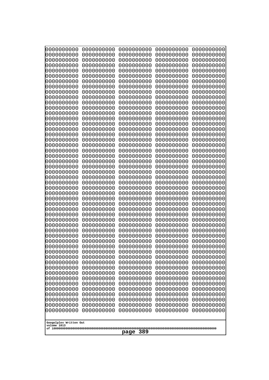| 10000000000                           | 0000000000               | 0000000000               | 0000000000               | 0000000000               |
|---------------------------------------|--------------------------|--------------------------|--------------------------|--------------------------|
| 0000000000<br>0000000000              | 0000000000<br>0000000000 | 0000000000<br>0000000000 | 0000000000<br>0000000000 | 0000000000<br>0000000000 |
| 0000000000                            | 0000000000               | 0000000000               | 0000000000               | 0000000000               |
| 0000000000                            | 0000000000               | 0000000000               | 0000000000               | 0000000000               |
| 0000000000                            | 0000000000               | 0000000000               | 0000000000               | 0000000000               |
| 0000000000                            | 0000000000               | 0000000000               | 0000000000               | 0000000000               |
| 0000000000<br>0000000000              | 0000000000<br>0000000000 | 0000000000<br>0000000000 | 0000000000<br>0000000000 | 0000000000<br>0000000000 |
| 0000000000                            | 0000000000               | 0000000000               | 0000000000               | 0000000000               |
| 0000000000                            | 0000000000               | 0000000000               | 0000000000               | 0000000000               |
| 0000000000<br>0000000000              | 0000000000<br>0000000000 | 0000000000<br>0000000000 | 0000000000<br>0000000000 | 0000000000<br>0000000000 |
| 0000000000                            | 0000000000               | 0000000000               | 0000000000               | 0000000000               |
| 0000000000                            | 0000000000               | 0000000000               | 0000000000               | 0000000000               |
| 0000000000                            | 0000000000               | 0000000000               | 0000000000               | 0000000000               |
| 0000000000<br>0000000000              | 0000000000<br>0000000000 | 0000000000<br>0000000000 | 0000000000<br>0000000000 | 0000000000<br>0000000000 |
| 0000000000                            | 0000000000               | 0000000000               | 0000000000               | 0000000000               |
| 0000000000                            | 0000000000               | 0000000000               | 0000000000               | 0000000000               |
| 0000000000                            | 0000000000               | 0000000000               | 0000000000               | 0000000000               |
| 0000000000<br>0000000000              | 0000000000<br>0000000000 | 0000000000<br>0000000000 | 0000000000<br>0000000000 | 0000000000<br>0000000000 |
| 0000000000                            | 0000000000               | 0000000000               | 0000000000               | 0000000000               |
| 0000000000                            | 0000000000               | 0000000000               | 0000000000               | 0000000000               |
| 0000000000                            | 0000000000               | 0000000000               | 0000000000               | 0000000000               |
| 0000000000<br>0000000000              | 0000000000<br>0000000000 | 0000000000<br>0000000000 | 0000000000<br>0000000000 | 0000000000<br>0000000000 |
| 0000000000                            | 0000000000               | 0000000000               | 0000000000               | 0000000000               |
| 0000000000                            | 0000000000               | 0000000000               | 0000000000               | 0000000000               |
| 0000000000                            | 0000000000               | 0000000000               | 0000000000               | 0000000000               |
| 0000000000<br>0000000000              | 0000000000<br>0000000000 | 0000000000<br>0000000000 | 0000000000<br>0000000000 | 0000000000<br>0000000000 |
| 0000000000                            | 0000000000               | 0000000000               | 0000000000               | 0000000000               |
| 0000000000                            | 0000000000               | 0000000000               | 0000000000               | 0000000000               |
| 0000000000                            | 0000000000<br>0000000000 | 0000000000<br>0000000000 | 0000000000               | 0000000000               |
| 0000000000<br>0000000000              | 0000000000               | 0000000000               | 0000000000<br>0000000000 | 0000000000<br>0000000000 |
| 0000000000                            | 0000000000               | 0000000000               | 0000000000               | 0000000000               |
| 0000000000                            | 0000000000               | 0000000000               | 0000000000               | 0000000000               |
| 0000000000<br>0000000000              | 0000000000<br>0000000000 | 0000000000<br>0000000000 | 0000000000<br>0000000000 | 0000000000<br>0000000000 |
| 0000000000                            | 0000000000               | 0000000000               | 0000000000               | 0000000000               |
| 0000000000                            | 0000000000               | 0000000000               | 0000000000               | 0000000000               |
| 0000000000                            | 0000000000               | 0000000000               | 0000000000               | 0000000000               |
| 0000000000<br>0000000000              | 0000000000<br>0000000000 | 0000000000<br>0000000000 | 0000000000<br>0000000000 | 0000000000<br>0000000000 |
| 0000000000                            | 0000000000               | 0000000000               | 0000000000               | 0000000000               |
| 0000000000                            | 0000000000               | 0000000000               | 0000000000               | 0000000000               |
| 0000000000                            | 0000000000               | 0000000000               | 0000000000               | 0000000000               |
|                                       |                          |                          |                          |                          |
| Googolplex Written Out<br>volume 1013 |                          |                          |                          |                          |
| 389<br>page                           |                          |                          |                          |                          |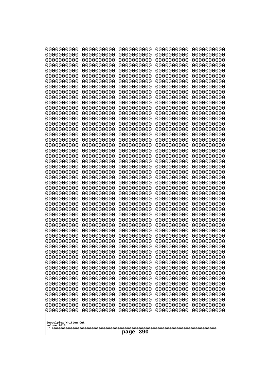| 0000000000                                                                                    | 0000000000                                           | 0000000000                                           | 0000000000                                           | 0000000000                                           |
|-----------------------------------------------------------------------------------------------|------------------------------------------------------|------------------------------------------------------|------------------------------------------------------|------------------------------------------------------|
| 0000000000                                                                                    | 0000000000                                           | 0000000000                                           | 0000000000                                           | 0000000000                                           |
| 0000000000                                                                                    | 0000000000                                           | 0000000000                                           | 0000000000                                           | 0000000000                                           |
| 0000000000                                                                                    | 0000000000                                           | 0000000000                                           | 0000000000                                           | 0000000000                                           |
| 0000000000                                                                                    | 0000000000                                           | 0000000000                                           | 0000000000                                           | 0000000000                                           |
| 0000000000                                                                                    | 0000000000                                           | 0000000000                                           | 0000000000                                           | 0000000000                                           |
| 0000000000                                                                                    | 0000000000                                           | 0000000000                                           | 0000000000                                           | 0000000000                                           |
| 0000000000                                                                                    | 0000000000                                           | 0000000000                                           | 0000000000                                           | 0000000000                                           |
| 0000000000                                                                                    | 0000000000                                           | 0000000000                                           | 0000000000                                           | 0000000000                                           |
| 0000000000                                                                                    | 0000000000                                           | 0000000000                                           | 0000000000                                           | 0000000000                                           |
| 0000000000                                                                                    | 0000000000                                           | 0000000000                                           | 0000000000                                           | 0000000000                                           |
| 0000000000                                                                                    | 0000000000                                           | 0000000000                                           | 0000000000                                           | 0000000000                                           |
| 0000000000                                                                                    | 0000000000                                           | 0000000000                                           | 0000000000                                           | 0000000000                                           |
| 0000000000                                                                                    | 0000000000                                           | 0000000000                                           | 0000000000                                           | 0000000000                                           |
| 0000000000                                                                                    | 0000000000                                           | 0000000000                                           | 0000000000                                           | 0000000000                                           |
| 0000000000                                                                                    | 0000000000                                           | 0000000000                                           | 0000000000                                           | 0000000000                                           |
| 0000000000                                                                                    | 0000000000                                           | 0000000000                                           | 0000000000                                           | 0000000000                                           |
| 0000000000                                                                                    | 0000000000                                           | 0000000000                                           | 0000000000                                           | 0000000000                                           |
| 0000000000                                                                                    | 0000000000                                           | 0000000000                                           | 0000000000                                           | 0000000000                                           |
| 0000000000                                                                                    | 0000000000                                           | 0000000000                                           | 0000000000                                           | 0000000000                                           |
| 0000000000                                                                                    | 0000000000                                           | 0000000000                                           | 0000000000                                           | 0000000000                                           |
| 0000000000                                                                                    | 0000000000                                           | 0000000000                                           | 0000000000                                           | 0000000000                                           |
| 0000000000                                                                                    | 0000000000                                           | 0000000000                                           | 0000000000                                           | 0000000000                                           |
| 0000000000                                                                                    | 0000000000                                           | 0000000000                                           | 0000000000                                           | 0000000000                                           |
| 0000000000                                                                                    | 0000000000                                           | 0000000000                                           | 0000000000                                           | 0000000000                                           |
| 0000000000                                                                                    | 0000000000                                           | 0000000000                                           | 0000000000                                           | 0000000000                                           |
| 0000000000                                                                                    | 0000000000                                           | 0000000000                                           | 0000000000                                           | 0000000000                                           |
| 0000000000                                                                                    | 0000000000                                           | 0000000000                                           | 0000000000                                           | 0000000000                                           |
| 0000000000                                                                                    | 0000000000                                           | 0000000000                                           | 0000000000                                           | 0000000000                                           |
| 0000000000                                                                                    | 0000000000                                           | 0000000000                                           | 0000000000                                           | 0000000000                                           |
| 0000000000                                                                                    | 0000000000                                           | 0000000000                                           | 0000000000                                           | 0000000000                                           |
| 0000000000                                                                                    | 0000000000                                           | 0000000000                                           | 0000000000                                           | 0000000000                                           |
| 0000000000                                                                                    | 0000000000                                           | 0000000000                                           | 0000000000                                           | 0000000000                                           |
| 0000000000                                                                                    | 0000000000                                           | 0000000000                                           | 0000000000                                           | 0000000000                                           |
| 0000000000                                                                                    | 0000000000                                           | 0000000000                                           | 0000000000                                           | 0000000000                                           |
| 0000000000                                                                                    | 0000000000                                           | 0000000000                                           | 0000000000                                           | 0000000000                                           |
| 0000000000                                                                                    | 0000000000                                           | 0000000000                                           | 0000000000                                           | 0000000000                                           |
| 0000000000                                                                                    | 0000000000                                           | 0000000000                                           | 0000000000                                           | 0000000000                                           |
| 0000000000                                                                                    | 0000000000                                           | 0000000000                                           | 0000000000                                           | 0000000000                                           |
| 0000000000                                                                                    | 0000000000                                           | 0000000000                                           | 0000000000                                           | 0000000000                                           |
| 0000000000                                                                                    | 0000000000                                           | 0000000000                                           | 0000000000                                           | 0000000000                                           |
| 0000000000                                                                                    | 0000000000                                           | 0000000000                                           | 0000000000                                           | 0000000000                                           |
| 0000000000                                                                                    | 0000000000                                           | 0000000000                                           | 0000000000                                           | 0000000000                                           |
| 0000000000                                                                                    | 0000000000                                           | 0000000000                                           | 0000000000                                           | 0000000000                                           |
| 0000000000                                                                                    | 0000000000                                           | 0000000000                                           | 0000000000                                           | 0000000000                                           |
| 0000000000                                                                                    | 0000000000                                           | 0000000000                                           | 0000000000                                           | 0000000000                                           |
| 0000000000<br>0000000000<br>0000000000<br>0000000000<br>Googolplex Written Out<br>volume 1013 | 0000000000<br>0000000000<br>0000000000<br>0000000000 | 0000000000<br>0000000000<br>0000000000<br>0000000000 | 0000000000<br>0000000000<br>0000000000<br>0000000000 | 0000000000<br>0000000000<br>0000000000<br>0000000000 |
| 390<br>page                                                                                   |                                                      |                                                      |                                                      |                                                      |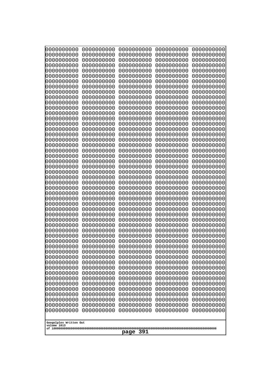| 10000000000                           | 0000000000               | 0000000000               | 0000000000               | 0000000000               |
|---------------------------------------|--------------------------|--------------------------|--------------------------|--------------------------|
| 0000000000<br>0000000000              | 0000000000<br>0000000000 | 0000000000<br>0000000000 | 0000000000<br>0000000000 | 0000000000<br>0000000000 |
| 0000000000                            | 0000000000               | 0000000000               | 0000000000               | 0000000000               |
| 0000000000                            | 0000000000               | 0000000000               | 0000000000               | 0000000000               |
| 0000000000                            | 0000000000               | 0000000000               | 0000000000               | 0000000000               |
| 0000000000<br>0000000000              | 0000000000<br>0000000000 | 0000000000<br>0000000000 | 0000000000<br>0000000000 | 0000000000<br>0000000000 |
| 0000000000                            | 0000000000               | 0000000000               | 0000000000               | 0000000000               |
| 0000000000                            | 0000000000               | 0000000000               | 0000000000               | 0000000000               |
| 0000000000<br>0000000000              | 0000000000<br>0000000000 | 0000000000<br>0000000000 | 0000000000<br>0000000000 | 0000000000<br>0000000000 |
| 0000000000                            | 0000000000               | 0000000000               | 0000000000               | 0000000000               |
| 0000000000                            | 0000000000               | 0000000000               | 0000000000               | 0000000000               |
| 0000000000                            | 0000000000               | 0000000000               | 0000000000               | 0000000000               |
| 0000000000<br>0000000000              | 0000000000<br>0000000000 | 0000000000<br>0000000000 | 0000000000<br>0000000000 | 0000000000<br>0000000000 |
| 0000000000                            | 0000000000               | 0000000000               | 0000000000               | 0000000000               |
| 0000000000                            | 0000000000               | 0000000000               | 0000000000               | 0000000000               |
| 0000000000<br>0000000000              | 0000000000<br>0000000000 | 0000000000<br>0000000000 | 0000000000<br>0000000000 | 0000000000<br>0000000000 |
| 0000000000                            | 0000000000               | 0000000000               | 0000000000               | 0000000000               |
| 0000000000                            | 0000000000               | 0000000000               | 0000000000               | 0000000000               |
| 0000000000                            | 0000000000               | 0000000000               | 0000000000               | 0000000000               |
| 0000000000<br>0000000000              | 0000000000<br>0000000000 | 0000000000<br>0000000000 | 0000000000<br>0000000000 | 0000000000<br>0000000000 |
| 0000000000                            | 0000000000               | 0000000000               | 0000000000               | 0000000000               |
| 0000000000                            | 0000000000               | 0000000000               | 0000000000               | 0000000000               |
| 0000000000<br>0000000000              | 0000000000<br>0000000000 | 0000000000<br>0000000000 | 0000000000<br>0000000000 | 0000000000<br>0000000000 |
| 0000000000                            | 0000000000               | 0000000000               | 0000000000               | 0000000000               |
| 0000000000                            | 0000000000               | 0000000000               | 0000000000               | 0000000000               |
| 0000000000<br>0000000000              | 0000000000               | 0000000000<br>0000000000 | 0000000000               | 0000000000               |
| 0000000000                            | 0000000000<br>0000000000 | 0000000000               | 0000000000<br>0000000000 | 0000000000<br>0000000000 |
| 0000000000                            | 0000000000               | 0000000000               | 0000000000               | 0000000000               |
| 0000000000                            | 0000000000               | 0000000000               | 0000000000               | 0000000000               |
| 0000000000<br>0000000000              | 0000000000<br>0000000000 | 0000000000<br>0000000000 | 0000000000<br>0000000000 | 0000000000<br>0000000000 |
| 0000000000                            | 0000000000               | 0000000000               | 0000000000               | 0000000000               |
| 0000000000                            | 0000000000               | 0000000000               | 0000000000               | 0000000000               |
| 0000000000<br>0000000000              | 0000000000<br>0000000000 | 0000000000<br>0000000000 | 0000000000<br>0000000000 | 0000000000<br>0000000000 |
| 0000000000                            | 0000000000               | 0000000000               | 0000000000               | 0000000000               |
| 0000000000                            | 0000000000               | 0000000000               | 0000000000               | 0000000000               |
| 0000000000                            | 0000000000<br>0000000000 | 0000000000<br>0000000000 | 0000000000               | 0000000000               |
| 0000000000<br>0000000000              | 0000000000               | 0000000000               | 0000000000<br>0000000000 | 0000000000<br>0000000000 |
| 0000000000                            | 0000000000               | 0000000000               | 0000000000               | 0000000000               |
| 0000000000                            | 0000000000               | 0000000000               | 0000000000               | 0000000000               |
|                                       |                          |                          |                          |                          |
| Googolplex Written Out<br>volume 1013 |                          |                          |                          |                          |
| 391<br>page                           |                          |                          |                          |                          |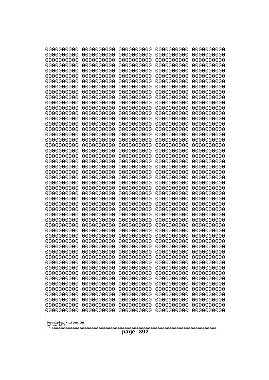| 0000000000                                                                                                                                                                                       | 0000000000 | 0000000000 | 0000000000 | 0000000000 |
|--------------------------------------------------------------------------------------------------------------------------------------------------------------------------------------------------|------------|------------|------------|------------|
| 0000000000                                                                                                                                                                                       | 0000000000 | 0000000000 | 0000000000 | 0000000000 |
| 0000000000                                                                                                                                                                                       | 0000000000 | 0000000000 | 0000000000 | 0000000000 |
| 0000000000                                                                                                                                                                                       | 0000000000 | 0000000000 | 0000000000 | 0000000000 |
| 0000000000                                                                                                                                                                                       | 0000000000 | 0000000000 | 0000000000 | 0000000000 |
| 0000000000                                                                                                                                                                                       | 0000000000 | 0000000000 | 0000000000 | 0000000000 |
| 0000000000                                                                                                                                                                                       | 0000000000 | 0000000000 | 0000000000 | 0000000000 |
| 0000000000                                                                                                                                                                                       | 0000000000 | 0000000000 | 0000000000 | 0000000000 |
| 0000000000                                                                                                                                                                                       | 0000000000 | 0000000000 | 0000000000 | 0000000000 |
| 0000000000                                                                                                                                                                                       | 0000000000 | 0000000000 | 0000000000 | 0000000000 |
| 0000000000                                                                                                                                                                                       | 0000000000 | 0000000000 | 0000000000 | 0000000000 |
| 0000000000                                                                                                                                                                                       | 0000000000 | 0000000000 | 0000000000 | 0000000000 |
| 0000000000                                                                                                                                                                                       | 0000000000 | 0000000000 | 0000000000 | 0000000000 |
| 0000000000                                                                                                                                                                                       | 0000000000 | 0000000000 | 0000000000 | 0000000000 |
| 0000000000                                                                                                                                                                                       | 0000000000 | 0000000000 | 0000000000 | 0000000000 |
| 0000000000                                                                                                                                                                                       | 0000000000 | 0000000000 | 0000000000 | 0000000000 |
| 0000000000                                                                                                                                                                                       | 0000000000 | 0000000000 | 0000000000 | 0000000000 |
| 0000000000                                                                                                                                                                                       | 0000000000 | 0000000000 | 0000000000 | 0000000000 |
| 0000000000                                                                                                                                                                                       | 0000000000 | 0000000000 | 0000000000 | 0000000000 |
| 0000000000                                                                                                                                                                                       | 0000000000 | 0000000000 | 0000000000 | 0000000000 |
| 0000000000                                                                                                                                                                                       | 0000000000 | 0000000000 | 0000000000 | 0000000000 |
| 0000000000                                                                                                                                                                                       | 0000000000 | 0000000000 | 0000000000 | 0000000000 |
| 0000000000                                                                                                                                                                                       | 0000000000 | 0000000000 | 0000000000 | 0000000000 |
| 0000000000                                                                                                                                                                                       | 0000000000 | 0000000000 | 0000000000 | 0000000000 |
| 0000000000                                                                                                                                                                                       | 0000000000 | 0000000000 | 0000000000 | 0000000000 |
| 0000000000                                                                                                                                                                                       | 0000000000 | 0000000000 | 0000000000 | 0000000000 |
| 0000000000                                                                                                                                                                                       | 0000000000 | 0000000000 | 0000000000 | 0000000000 |
| 0000000000                                                                                                                                                                                       | 0000000000 | 0000000000 | 0000000000 | 0000000000 |
| 0000000000                                                                                                                                                                                       | 0000000000 | 0000000000 | 0000000000 | 0000000000 |
| 0000000000                                                                                                                                                                                       | 0000000000 | 0000000000 | 0000000000 | 0000000000 |
| 0000000000                                                                                                                                                                                       | 0000000000 | 0000000000 | 0000000000 | 0000000000 |
| 0000000000                                                                                                                                                                                       | 0000000000 | 0000000000 | 0000000000 | 0000000000 |
| 0000000000                                                                                                                                                                                       | 0000000000 | 0000000000 | 0000000000 | 0000000000 |
| 0000000000                                                                                                                                                                                       | 0000000000 | 0000000000 | 0000000000 | 0000000000 |
| 0000000000                                                                                                                                                                                       | 0000000000 | 0000000000 | 0000000000 | 0000000000 |
| 0000000000                                                                                                                                                                                       | 0000000000 | 0000000000 | 0000000000 | 0000000000 |
| 0000000000                                                                                                                                                                                       | 0000000000 | 0000000000 | 0000000000 | 0000000000 |
| 0000000000                                                                                                                                                                                       | 0000000000 | 0000000000 | 0000000000 | 0000000000 |
| 0000000000                                                                                                                                                                                       | 0000000000 | 0000000000 | 0000000000 | 0000000000 |
| 0000000000                                                                                                                                                                                       | 0000000000 | 0000000000 | 0000000000 | 0000000000 |
| 0000000000                                                                                                                                                                                       | 0000000000 | 0000000000 | 0000000000 | 0000000000 |
| 0000000000                                                                                                                                                                                       | 0000000000 | 0000000000 | 0000000000 | 0000000000 |
| 0000000000                                                                                                                                                                                       | 0000000000 | 0000000000 | 0000000000 | 0000000000 |
| 0000000000                                                                                                                                                                                       | 0000000000 | 0000000000 | 0000000000 | 0000000000 |
| 0000000000<br>0000000000<br>0000000000<br>0000000000<br>0000000000<br>0000000000<br>0000000000<br>0000000000<br>0000000000<br>0000000000<br>Googolplex Written Out<br>volume 1013<br>392<br>page |            |            |            |            |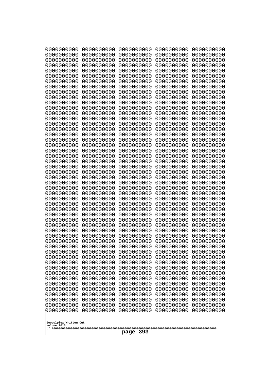| 0000000000                                                                                                                                                                                                                                                             | 0000000000 | 0000000000 | 0000000000 | 0000000000 |
|------------------------------------------------------------------------------------------------------------------------------------------------------------------------------------------------------------------------------------------------------------------------|------------|------------|------------|------------|
| 0000000000                                                                                                                                                                                                                                                             | 0000000000 | 0000000000 | 0000000000 | 0000000000 |
| 0000000000                                                                                                                                                                                                                                                             | 0000000000 | 0000000000 | 0000000000 | 0000000000 |
| 0000000000                                                                                                                                                                                                                                                             | 0000000000 | 0000000000 | 0000000000 | 0000000000 |
| 0000000000                                                                                                                                                                                                                                                             | 0000000000 | 0000000000 | 0000000000 | 0000000000 |
| 0000000000                                                                                                                                                                                                                                                             | 0000000000 | 0000000000 | 0000000000 | 0000000000 |
| 0000000000                                                                                                                                                                                                                                                             | 0000000000 | 0000000000 | 0000000000 | 0000000000 |
| 0000000000                                                                                                                                                                                                                                                             | 0000000000 | 0000000000 | 0000000000 | 0000000000 |
| 0000000000                                                                                                                                                                                                                                                             | 0000000000 | 0000000000 | 0000000000 | 0000000000 |
| 0000000000                                                                                                                                                                                                                                                             | 0000000000 | 0000000000 | 0000000000 | 0000000000 |
| 0000000000                                                                                                                                                                                                                                                             | 0000000000 | 0000000000 | 0000000000 | 0000000000 |
| 0000000000                                                                                                                                                                                                                                                             | 0000000000 | 0000000000 | 0000000000 | 0000000000 |
| 0000000000                                                                                                                                                                                                                                                             | 0000000000 | 0000000000 | 0000000000 | 0000000000 |
| 0000000000                                                                                                                                                                                                                                                             | 0000000000 | 0000000000 | 0000000000 | 0000000000 |
| 0000000000                                                                                                                                                                                                                                                             | 0000000000 | 0000000000 | 0000000000 | 0000000000 |
| 0000000000                                                                                                                                                                                                                                                             | 0000000000 | 0000000000 | 0000000000 | 0000000000 |
| 0000000000                                                                                                                                                                                                                                                             | 0000000000 | 0000000000 | 0000000000 | 0000000000 |
| 0000000000                                                                                                                                                                                                                                                             | 0000000000 | 0000000000 | 0000000000 | 0000000000 |
| 0000000000                                                                                                                                                                                                                                                             | 0000000000 | 0000000000 | 0000000000 | 0000000000 |
| 0000000000                                                                                                                                                                                                                                                             | 0000000000 | 0000000000 | 0000000000 | 0000000000 |
| 0000000000                                                                                                                                                                                                                                                             | 0000000000 | 0000000000 | 0000000000 | 0000000000 |
| 0000000000                                                                                                                                                                                                                                                             | 0000000000 | 0000000000 | 0000000000 | 0000000000 |
| 0000000000                                                                                                                                                                                                                                                             | 0000000000 | 0000000000 | 0000000000 | 0000000000 |
| 0000000000                                                                                                                                                                                                                                                             | 0000000000 | 0000000000 | 0000000000 | 0000000000 |
| 0000000000                                                                                                                                                                                                                                                             | 0000000000 | 0000000000 | 0000000000 | 0000000000 |
| 0000000000                                                                                                                                                                                                                                                             | 0000000000 | 0000000000 | 0000000000 | 0000000000 |
| 0000000000                                                                                                                                                                                                                                                             | 0000000000 | 0000000000 | 0000000000 | 0000000000 |
| 0000000000                                                                                                                                                                                                                                                             | 0000000000 | 0000000000 | 0000000000 | 0000000000 |
| 0000000000                                                                                                                                                                                                                                                             | 0000000000 | 0000000000 | 0000000000 | 0000000000 |
| 0000000000                                                                                                                                                                                                                                                             | 0000000000 | 0000000000 | 0000000000 | 0000000000 |
| 0000000000                                                                                                                                                                                                                                                             | 0000000000 | 0000000000 | 0000000000 | 0000000000 |
| 0000000000                                                                                                                                                                                                                                                             | 0000000000 | 0000000000 | 0000000000 | 0000000000 |
| 0000000000                                                                                                                                                                                                                                                             | 0000000000 | 0000000000 | 0000000000 | 0000000000 |
| 0000000000                                                                                                                                                                                                                                                             | 0000000000 | 0000000000 | 0000000000 | 0000000000 |
| 0000000000                                                                                                                                                                                                                                                             | 0000000000 | 0000000000 | 0000000000 | 0000000000 |
| 0000000000                                                                                                                                                                                                                                                             | 0000000000 | 0000000000 | 0000000000 | 0000000000 |
| 0000000000                                                                                                                                                                                                                                                             | 0000000000 | 0000000000 | 0000000000 | 0000000000 |
| 0000000000                                                                                                                                                                                                                                                             | 0000000000 | 0000000000 | 0000000000 | 0000000000 |
| 0000000000                                                                                                                                                                                                                                                             | 0000000000 | 0000000000 | 0000000000 | 0000000000 |
| 0000000000                                                                                                                                                                                                                                                             | 0000000000 | 0000000000 | 0000000000 | 0000000000 |
| 0000000000                                                                                                                                                                                                                                                             | 0000000000 | 0000000000 | 0000000000 | 0000000000 |
| 0000000000                                                                                                                                                                                                                                                             | 0000000000 | 0000000000 | 0000000000 | 0000000000 |
| 0000000000                                                                                                                                                                                                                                                             | 0000000000 | 0000000000 | 0000000000 | 0000000000 |
| 0000000000                                                                                                                                                                                                                                                             | 0000000000 | 0000000000 | 0000000000 | 0000000000 |
| 0000000000                                                                                                                                                                                                                                                             | 0000000000 | 0000000000 | 0000000000 | 0000000000 |
| 0000000000                                                                                                                                                                                                                                                             | 0000000000 | 0000000000 | 0000000000 | 0000000000 |
| 0000000000                                                                                                                                                                                                                                                             | 0000000000 | 0000000000 | 0000000000 | 0000000000 |
| 0000000000<br>0000000000<br>0000000000<br>0000000000<br>0000000000<br>0000000000<br>0000000000<br>0000000000<br>0000000000<br>0000000000<br>0000000000<br>0000000000<br>0000000000<br>0000000000<br>0000000000<br>Googolplex Written Out<br>volume 1013<br>393<br>page |            |            |            |            |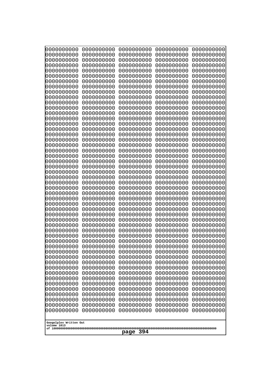| 10000000000                           | 0000000000               | 0000000000               | 0000000000               | 0000000000               |
|---------------------------------------|--------------------------|--------------------------|--------------------------|--------------------------|
| 0000000000<br>0000000000              | 0000000000<br>0000000000 | 0000000000<br>0000000000 | 0000000000<br>0000000000 | 0000000000<br>0000000000 |
| 0000000000                            | 0000000000               | 0000000000               | 0000000000               | 0000000000               |
| 0000000000                            | 0000000000               | 0000000000               | 0000000000               | 0000000000               |
| 0000000000                            | 0000000000               | 0000000000               | 0000000000               | 0000000000               |
| 0000000000<br>0000000000              | 0000000000<br>0000000000 | 0000000000<br>0000000000 | 0000000000<br>0000000000 | 0000000000<br>0000000000 |
| 0000000000                            | 0000000000               | 0000000000               | 0000000000               | 0000000000               |
| 0000000000                            | 0000000000               | 0000000000               | 0000000000               | 0000000000               |
| 0000000000                            | 0000000000               | 0000000000               | 0000000000               | 0000000000               |
| 0000000000<br>0000000000              | 0000000000<br>0000000000 | 0000000000<br>0000000000 | 0000000000<br>0000000000 | 0000000000<br>0000000000 |
| 0000000000                            | 0000000000               | 0000000000               | 0000000000               | 0000000000               |
| 0000000000                            | 0000000000               | 0000000000               | 0000000000               | 0000000000               |
| 0000000000                            | 0000000000               | 0000000000               | 0000000000               | 0000000000               |
| 0000000000<br>0000000000              | 0000000000<br>0000000000 | 0000000000<br>0000000000 | 0000000000<br>0000000000 | 0000000000<br>0000000000 |
| 0000000000                            | 0000000000               | 0000000000               | 0000000000               | 0000000000               |
| 0000000000                            | 0000000000               | 0000000000               | 0000000000               | 0000000000               |
| 0000000000                            | 0000000000               | 0000000000               | 0000000000               | 0000000000               |
| 0000000000<br>0000000000              | 0000000000<br>0000000000 | 0000000000<br>0000000000 | 0000000000<br>0000000000 | 0000000000<br>0000000000 |
| 0000000000                            | 0000000000               | 0000000000               | 0000000000               | 0000000000               |
| 0000000000                            | 0000000000               | 0000000000               | 0000000000               | 0000000000               |
| 0000000000                            | 0000000000               | 0000000000               | 0000000000               | 0000000000               |
| 0000000000<br>0000000000              | 0000000000<br>0000000000 | 0000000000<br>0000000000 | 0000000000<br>0000000000 | 0000000000<br>0000000000 |
| 0000000000                            | 0000000000               | 0000000000               | 0000000000               | 0000000000               |
| 0000000000                            | 0000000000               | 0000000000               | 0000000000               | 0000000000               |
| 0000000000                            | 0000000000               | 0000000000               | 0000000000               | 0000000000               |
| 0000000000<br>0000000000              | 0000000000<br>0000000000 | 0000000000<br>0000000000 | 0000000000<br>0000000000 | 0000000000<br>0000000000 |
| 0000000000                            | 0000000000               | 0000000000               | 0000000000               | 0000000000               |
| 0000000000                            | 0000000000               | 0000000000               | 0000000000               | 0000000000               |
| 0000000000                            | 0000000000<br>0000000000 | 0000000000<br>0000000000 | 0000000000               | 0000000000               |
| 0000000000<br>0000000000              | 0000000000               | 0000000000               | 0000000000<br>0000000000 | 0000000000<br>0000000000 |
| 0000000000                            | 0000000000               | 0000000000               | 0000000000               | 0000000000               |
| 0000000000                            | 0000000000               | 0000000000               | 0000000000               | 0000000000               |
| 0000000000<br>0000000000              | 0000000000<br>0000000000 | 0000000000<br>0000000000 | 0000000000<br>0000000000 | 0000000000<br>0000000000 |
| 0000000000                            | 0000000000               | 0000000000               | 0000000000               | 0000000000               |
| 0000000000                            | 0000000000               | 0000000000               | 0000000000               | 0000000000               |
| 0000000000                            | 0000000000               | 0000000000               | 0000000000               | 0000000000               |
| 0000000000<br>0000000000              | 0000000000<br>0000000000 | 0000000000<br>0000000000 | 0000000000<br>0000000000 | 0000000000<br>0000000000 |
| 0000000000                            | 0000000000               | 0000000000               | 0000000000               | 0000000000               |
| 0000000000                            | 0000000000               | 0000000000               | 0000000000               | 0000000000               |
| 0000000000                            | 0000000000               | 0000000000               | 0000000000               | 0000000000               |
|                                       |                          |                          |                          |                          |
| Googolplex Written Out<br>volume 1013 |                          |                          |                          |                          |
| 394<br>page                           |                          |                          |                          |                          |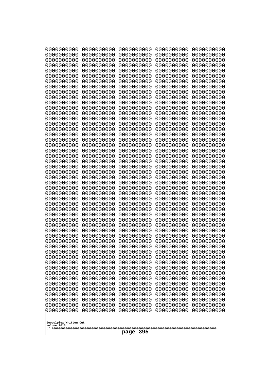| 0000000000                                           | 0000000000 | 0000000000 | 0000000000 | 0000000000 |
|------------------------------------------------------|------------|------------|------------|------------|
| 0000000000                                           | 0000000000 | 0000000000 | 0000000000 | 0000000000 |
| 0000000000                                           | 0000000000 | 0000000000 | 0000000000 | 0000000000 |
| 0000000000                                           | 0000000000 | 0000000000 | 0000000000 | 0000000000 |
| 0000000000                                           | 0000000000 | 0000000000 | 0000000000 | 0000000000 |
| 0000000000                                           | 0000000000 | 0000000000 | 0000000000 | 0000000000 |
| 0000000000                                           | 0000000000 | 0000000000 | 0000000000 | 0000000000 |
| 0000000000                                           | 0000000000 | 0000000000 | 0000000000 | 0000000000 |
| 0000000000                                           | 0000000000 | 0000000000 | 0000000000 | 0000000000 |
| 0000000000                                           | 0000000000 | 0000000000 | 0000000000 | 0000000000 |
| 0000000000                                           | 0000000000 | 0000000000 | 0000000000 | 0000000000 |
| 0000000000                                           | 0000000000 | 0000000000 | 0000000000 | 0000000000 |
| 0000000000                                           | 0000000000 | 0000000000 | 0000000000 | 0000000000 |
| 0000000000                                           | 0000000000 | 0000000000 | 0000000000 | 0000000000 |
| 0000000000                                           | 0000000000 | 0000000000 | 0000000000 | 0000000000 |
| 0000000000                                           | 0000000000 | 0000000000 | 0000000000 | 0000000000 |
| 0000000000                                           | 0000000000 | 0000000000 | 0000000000 | 0000000000 |
| 0000000000                                           | 0000000000 | 0000000000 | 0000000000 | 0000000000 |
| 0000000000                                           | 0000000000 | 0000000000 | 0000000000 | 0000000000 |
| 0000000000                                           | 0000000000 | 0000000000 | 0000000000 | 0000000000 |
| 0000000000                                           | 0000000000 | 0000000000 | 0000000000 | 0000000000 |
| 0000000000                                           | 0000000000 | 0000000000 | 0000000000 | 0000000000 |
| 0000000000                                           | 0000000000 | 0000000000 | 0000000000 | 0000000000 |
| 0000000000                                           | 0000000000 | 0000000000 | 0000000000 | 0000000000 |
| 0000000000                                           | 0000000000 | 0000000000 | 0000000000 | 0000000000 |
| 0000000000                                           | 0000000000 | 0000000000 | 0000000000 | 0000000000 |
| 0000000000                                           | 0000000000 | 0000000000 | 0000000000 | 0000000000 |
| 0000000000                                           | 0000000000 | 0000000000 | 0000000000 | 0000000000 |
| 0000000000                                           | 0000000000 | 0000000000 | 0000000000 | 0000000000 |
| 0000000000                                           | 0000000000 | 0000000000 | 0000000000 | 0000000000 |
| 0000000000                                           | 0000000000 | 0000000000 | 0000000000 | 0000000000 |
| 0000000000                                           | 0000000000 | 0000000000 | 0000000000 | 0000000000 |
| 0000000000                                           | 0000000000 | 0000000000 | 0000000000 | 0000000000 |
| 0000000000                                           | 0000000000 | 0000000000 | 0000000000 | 0000000000 |
| 0000000000                                           | 0000000000 | 0000000000 | 0000000000 | 0000000000 |
| 0000000000                                           | 0000000000 | 0000000000 | 0000000000 | 0000000000 |
| 0000000000                                           | 0000000000 | 0000000000 | 0000000000 | 0000000000 |
| 0000000000                                           | 0000000000 | 0000000000 | 0000000000 | 0000000000 |
| 0000000000                                           | 0000000000 | 0000000000 | 0000000000 | 0000000000 |
| 0000000000                                           | 0000000000 | 0000000000 | 0000000000 | 0000000000 |
| 0000000000                                           | 0000000000 | 0000000000 | 0000000000 | 0000000000 |
| 0000000000                                           | 0000000000 | 0000000000 | 0000000000 | 0000000000 |
| 0000000000                                           | 0000000000 | 0000000000 | 0000000000 | 0000000000 |
| 0000000000                                           | 0000000000 | 0000000000 | 0000000000 | 0000000000 |
| 0000000000                                           | 0000000000 | 0000000000 | 0000000000 | 0000000000 |
| 0000000000                                           | 0000000000 | 0000000000 | 0000000000 | 0000000000 |
| 0000000000                                           | 0000000000 | 0000000000 | 0000000000 | 0000000000 |
| 0000000000                                           | 0000000000 | 0000000000 | 0000000000 | 0000000000 |
| 0000000000                                           | 0000000000 | 0000000000 | 0000000000 | 0000000000 |
| Googolplex Written Out<br>volume 1013<br>395<br>page |            |            |            |            |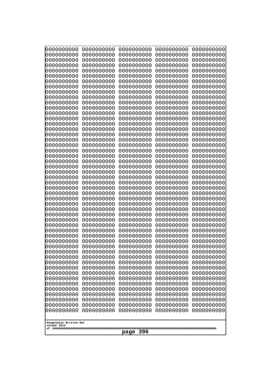| 10000000000                           | 0000000000               | 0000000000               | 0000000000               | 0000000000               |
|---------------------------------------|--------------------------|--------------------------|--------------------------|--------------------------|
| 0000000000<br>0000000000              | 0000000000<br>0000000000 | 0000000000<br>0000000000 | 0000000000<br>0000000000 | 0000000000<br>0000000000 |
| 0000000000                            | 0000000000               | 0000000000               | 0000000000               | 0000000000               |
| 0000000000                            | 0000000000               | 0000000000               | 0000000000               | 0000000000               |
| 0000000000                            | 0000000000               | 0000000000               | 0000000000               | 0000000000               |
| 0000000000<br>0000000000              | 0000000000<br>0000000000 | 0000000000<br>0000000000 | 0000000000<br>0000000000 | 0000000000<br>0000000000 |
| 0000000000                            | 0000000000               | 0000000000               | 0000000000               | 0000000000               |
| 0000000000                            | 0000000000               | 0000000000               | 0000000000               | 0000000000               |
| 0000000000<br>0000000000              | 0000000000<br>0000000000 | 0000000000<br>0000000000 | 0000000000<br>0000000000 | 0000000000<br>0000000000 |
| 0000000000                            | 0000000000               | 0000000000               | 0000000000               | 0000000000               |
| 0000000000                            | 0000000000               | 0000000000               | 0000000000               | 0000000000               |
| 0000000000                            | 0000000000               | 0000000000               | 0000000000               | 0000000000               |
| 0000000000<br>0000000000              | 0000000000<br>0000000000 | 0000000000<br>0000000000 | 0000000000<br>0000000000 | 0000000000<br>0000000000 |
| 0000000000                            | 0000000000               | 0000000000               | 0000000000               | 0000000000               |
| 0000000000                            | 0000000000               | 0000000000               | 0000000000               | 0000000000               |
| 0000000000<br>0000000000              | 0000000000<br>0000000000 | 0000000000<br>0000000000 | 0000000000<br>0000000000 | 0000000000<br>0000000000 |
| 0000000000                            | 0000000000               | 0000000000               | 0000000000               | 0000000000               |
| 0000000000                            | 0000000000               | 0000000000               | 0000000000               | 0000000000               |
| 0000000000                            | 0000000000               | 0000000000               | 0000000000               | 0000000000               |
| 0000000000<br>0000000000              | 0000000000<br>0000000000 | 0000000000<br>0000000000 | 0000000000<br>0000000000 | 0000000000<br>0000000000 |
| 0000000000                            | 0000000000               | 0000000000               | 0000000000               | 0000000000               |
| 0000000000                            | 0000000000               | 0000000000               | 0000000000               | 0000000000               |
| 0000000000<br>0000000000              | 0000000000<br>0000000000 | 0000000000<br>0000000000 | 0000000000<br>0000000000 | 0000000000<br>0000000000 |
| 0000000000                            | 0000000000               | 0000000000               | 0000000000               | 0000000000               |
| 0000000000                            | 0000000000               | 0000000000               | 0000000000               | 0000000000               |
| 0000000000                            | 0000000000               | 0000000000               | 0000000000               | 0000000000               |
| 0000000000<br>0000000000              | 0000000000<br>0000000000 | 0000000000<br>0000000000 | 0000000000<br>0000000000 | 0000000000<br>0000000000 |
| 0000000000                            | 0000000000               | 0000000000               | 0000000000               | 0000000000               |
| 0000000000                            | 0000000000               | 0000000000               | 0000000000               | 0000000000               |
| 0000000000<br>0000000000              | 0000000000<br>0000000000 | 0000000000<br>0000000000 | 0000000000<br>0000000000 | 0000000000<br>0000000000 |
| 0000000000                            | 0000000000               | 0000000000               | 0000000000               | 0000000000               |
| 0000000000                            | 0000000000               | 0000000000               | 0000000000               | 0000000000               |
| 0000000000<br>0000000000              | 0000000000<br>0000000000 | 0000000000<br>0000000000 | 0000000000<br>0000000000 | 0000000000<br>0000000000 |
| 0000000000                            | 0000000000               | 0000000000               | 0000000000               | 0000000000               |
| 0000000000                            | 0000000000               | 0000000000               | 0000000000               | 0000000000               |
| 0000000000                            | 0000000000               | 0000000000               | 0000000000               | 0000000000               |
| 0000000000<br>0000000000              | 0000000000<br>0000000000 | 0000000000<br>0000000000 | 0000000000<br>0000000000 | 0000000000<br>0000000000 |
| 0000000000                            | 0000000000               | 0000000000               | 0000000000               | 0000000000               |
| 0000000000                            | 0000000000               | 0000000000               | 0000000000               | 0000000000               |
|                                       |                          |                          |                          |                          |
| Googolplex Written Out<br>volume 1013 |                          |                          |                          |                          |
| 396<br>page                           |                          |                          |                          |                          |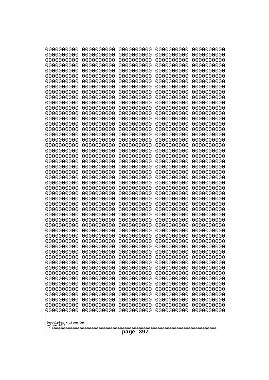| 0000000000<br>0000000000<br>0000000000<br>0000000000<br>0000000000<br>0000000000<br>0000000000<br>0000000000<br>0000000000<br>0000000000<br>0000000000<br>0000000000<br>0000000000<br>0000000000<br>0000000000<br>0000000000<br>0000000000<br>0000000000<br>0000000000<br>0000000000<br>0000000000<br>0000000000<br>0000000000<br>0000000000<br>0000000000<br>0000000000<br>0000000000<br>0000000000<br>0000000000<br>0000000000<br>0000000000<br>0000000000<br>0000000000<br>0000000000<br>0000000000<br>0000000000<br>0000000000<br>0000000000<br>0000000000<br>0000000000<br>0000000000<br>0000000000<br>0000000000<br>0000000000<br>0000000000<br>0000000000<br>0000000000<br>0000000000<br>0000000000<br>0000000000<br>0000000000<br>0000000000<br>0000000000<br>0000000000<br>0000000000<br>0000000000<br>0000000000<br>0000000000<br>0000000000<br>0000000000<br>0000000000<br>0000000000<br>0000000000<br>0000000000<br>0000000000<br>0000000000<br>0000000000<br>0000000000<br>0000000000<br>0000000000<br>0000000000<br>0000000000<br>0000000000<br>0000000000<br>0000000000<br>0000000000<br>0000000000<br>0000000000<br>0000000000<br>0000000000<br>0000000000<br>0000000000<br>0000000000<br>0000000000<br>0000000000<br>0000000000<br>0000000000<br>0000000000<br>0000000000<br>0000000000<br>0000000000<br>0000000000<br>0000000000<br>0000000000<br>0000000000 | 0000000000<br>0000000000<br>0000000000<br>0000000000<br>0000000000<br>0000000000<br>0000000000<br>0000000000<br>0000000000<br>0000000000<br>0000000000<br>0000000000<br>0000000000<br>0000000000<br>0000000000<br>0000000000<br>0000000000<br>0000000000<br>0000000000<br>0000000000<br>0000000000<br>0000000000<br>0000000000<br>0000000000<br>0000000000<br>0000000000<br>0000000000 | 0000000000<br>0000000000<br>0000000000<br>0000000000<br>0000000000<br>0000000000<br>0000000000<br>0000000000<br>0000000000<br>0000000000<br>0000000000<br>0000000000<br>0000000000<br>0000000000<br>0000000000<br>0000000000<br>0000000000<br>0000000000<br>0000000000<br>0000000000<br>0000000000<br>0000000000<br>0000000000<br>0000000000<br>0000000000<br>0000000000<br>0000000000 | 0000000000<br>0000000000<br>0000000000<br>0000000000<br>0000000000<br>0000000000<br>0000000000<br>0000000000<br>0000000000<br>0000000000<br>0000000000<br>0000000000<br>0000000000<br>0000000000<br>0000000000<br>0000000000<br>0000000000<br>0000000000<br>0000000000<br>0000000000<br>0000000000<br>0000000000<br>0000000000<br>0000000000<br>0000000000<br>0000000000<br>0000000000 | 0000000000<br>0000000000<br>0000000000<br>0000000000<br>0000000000<br>0000000000<br>0000000000<br>0000000000<br>0000000000<br>0000000000<br>0000000000<br>0000000000<br>0000000000<br>0000000000<br>0000000000<br>0000000000<br>0000000000<br>0000000000<br>0000000000<br>0000000000<br>0000000000<br>0000000000<br>0000000000<br>0000000000<br>0000000000<br>0000000000<br>0000000000 | 0000000000<br>0000000000<br>0000000000<br>0000000000<br>0000000000<br>0000000000<br>0000000000<br>0000000000<br>0000000000<br>0000000000<br>0000000000<br>0000000000<br>0000000000<br>0000000000<br>0000000000<br>0000000000<br>0000000000<br>0000000000<br>0000000000<br>0000000000<br>0000000000<br>0000000000<br>0000000000<br>0000000000<br>0000000000<br>0000000000<br>0000000000 |
|--------------------------------------------------------------------------------------------------------------------------------------------------------------------------------------------------------------------------------------------------------------------------------------------------------------------------------------------------------------------------------------------------------------------------------------------------------------------------------------------------------------------------------------------------------------------------------------------------------------------------------------------------------------------------------------------------------------------------------------------------------------------------------------------------------------------------------------------------------------------------------------------------------------------------------------------------------------------------------------------------------------------------------------------------------------------------------------------------------------------------------------------------------------------------------------------------------------------------------------------------------------------------------------------------------------------------------------------------------------------------------|----------------------------------------------------------------------------------------------------------------------------------------------------------------------------------------------------------------------------------------------------------------------------------------------------------------------------------------------------------------------------------------|----------------------------------------------------------------------------------------------------------------------------------------------------------------------------------------------------------------------------------------------------------------------------------------------------------------------------------------------------------------------------------------|----------------------------------------------------------------------------------------------------------------------------------------------------------------------------------------------------------------------------------------------------------------------------------------------------------------------------------------------------------------------------------------|----------------------------------------------------------------------------------------------------------------------------------------------------------------------------------------------------------------------------------------------------------------------------------------------------------------------------------------------------------------------------------------|----------------------------------------------------------------------------------------------------------------------------------------------------------------------------------------------------------------------------------------------------------------------------------------------------------------------------------------------------------------------------------------|
|                                                                                                                                                                                                                                                                                                                                                                                                                                                                                                                                                                                                                                                                                                                                                                                                                                                                                                                                                                                                                                                                                                                                                                                                                                                                                                                                                                                |                                                                                                                                                                                                                                                                                                                                                                                        |                                                                                                                                                                                                                                                                                                                                                                                        |                                                                                                                                                                                                                                                                                                                                                                                        |                                                                                                                                                                                                                                                                                                                                                                                        | 0000000000<br>0000000000<br>0000000000<br>0000000000<br>0000000000<br>0000000000<br>0000000000<br>0000000000<br>0000000000<br>0000000000<br>0000000000<br>0000000000                                                                                                                                                                                                                   |
| Googolplex Written Out<br>volume 1013                                                                                                                                                                                                                                                                                                                                                                                                                                                                                                                                                                                                                                                                                                                                                                                                                                                                                                                                                                                                                                                                                                                                                                                                                                                                                                                                          |                                                                                                                                                                                                                                                                                                                                                                                        |                                                                                                                                                                                                                                                                                                                                                                                        |                                                                                                                                                                                                                                                                                                                                                                                        |                                                                                                                                                                                                                                                                                                                                                                                        | 0000000000<br>0000000000<br>0000000000<br>0000000000<br>0000000000<br>0000000000<br>0000000000<br>0000000000                                                                                                                                                                                                                                                                           |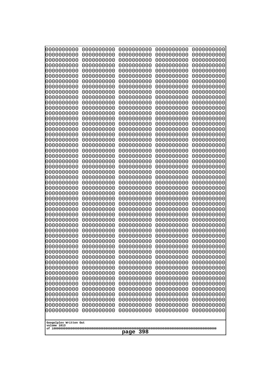| 10000000000                           | 0000000000               | 0000000000               | 0000000000               | 0000000000               |
|---------------------------------------|--------------------------|--------------------------|--------------------------|--------------------------|
| 0000000000<br>0000000000              | 0000000000<br>0000000000 | 0000000000<br>0000000000 | 0000000000<br>0000000000 | 0000000000<br>0000000000 |
| 0000000000                            | 0000000000               | 0000000000               | 0000000000               | 0000000000               |
| 0000000000                            | 0000000000               | 0000000000               | 0000000000               | 0000000000               |
| 0000000000                            | 0000000000               | 0000000000               | 0000000000               | 0000000000               |
| 0000000000<br>0000000000              | 0000000000<br>0000000000 | 0000000000<br>0000000000 | 0000000000<br>0000000000 | 0000000000<br>0000000000 |
| 0000000000                            | 0000000000               | 0000000000               | 0000000000               | 0000000000               |
| 0000000000                            | 0000000000               | 0000000000               | 0000000000               | 0000000000               |
| 0000000000                            | 0000000000               | 0000000000               | 0000000000               | 0000000000               |
| 0000000000<br>0000000000              | 0000000000<br>0000000000 | 0000000000<br>0000000000 | 0000000000<br>0000000000 | 0000000000<br>0000000000 |
| 0000000000                            | 0000000000               | 0000000000               | 0000000000               | 0000000000               |
| 0000000000                            | 0000000000               | 0000000000               | 0000000000               | 0000000000               |
| 0000000000                            | 0000000000               | 0000000000               | 0000000000               | 0000000000               |
| 0000000000<br>0000000000              | 0000000000<br>0000000000 | 0000000000<br>0000000000 | 0000000000<br>0000000000 | 0000000000<br>0000000000 |
| 0000000000                            | 0000000000               | 0000000000               | 0000000000               | 0000000000               |
| 0000000000                            | 0000000000               | 0000000000               | 0000000000               | 0000000000               |
| 0000000000                            | 0000000000               | 0000000000               | 0000000000               | 0000000000               |
| 0000000000<br>0000000000              | 0000000000<br>0000000000 | 0000000000<br>0000000000 | 0000000000<br>0000000000 | 0000000000<br>0000000000 |
| 0000000000                            | 0000000000               | 0000000000               | 0000000000               | 0000000000               |
| 0000000000                            | 0000000000               | 0000000000               | 0000000000               | 0000000000               |
| 0000000000                            | 0000000000               | 0000000000               | 0000000000               | 0000000000               |
| 0000000000<br>0000000000              | 0000000000<br>0000000000 | 0000000000<br>0000000000 | 0000000000<br>0000000000 | 0000000000<br>0000000000 |
| 0000000000                            | 0000000000               | 0000000000               | 0000000000               | 0000000000               |
| 0000000000                            | 0000000000               | 0000000000               | 0000000000               | 0000000000               |
| 0000000000                            | 0000000000               | 0000000000               | 0000000000               | 0000000000               |
| 0000000000<br>0000000000              | 0000000000<br>0000000000 | 0000000000<br>0000000000 | 0000000000<br>0000000000 | 0000000000<br>0000000000 |
| 0000000000                            | 0000000000               | 0000000000               | 0000000000               | 0000000000               |
| 0000000000                            | 0000000000               | 0000000000               | 0000000000               | 0000000000               |
| 0000000000                            | 0000000000<br>0000000000 | 0000000000<br>0000000000 | 0000000000               | 0000000000               |
| 0000000000<br>0000000000              | 0000000000               | 0000000000               | 0000000000<br>0000000000 | 0000000000<br>0000000000 |
| 0000000000                            | 0000000000               | 0000000000               | 0000000000               | 0000000000               |
| 0000000000                            | 0000000000               | 0000000000               | 0000000000               | 0000000000               |
| 0000000000<br>0000000000              | 0000000000<br>0000000000 | 0000000000<br>0000000000 | 0000000000<br>0000000000 | 0000000000<br>0000000000 |
| 0000000000                            | 0000000000               | 0000000000               | 0000000000               | 0000000000               |
| 0000000000                            | 0000000000               | 0000000000               | 0000000000               | 0000000000               |
| 0000000000                            | 0000000000               | 0000000000               | 0000000000               | 0000000000               |
| 0000000000<br>0000000000              | 0000000000<br>0000000000 | 0000000000<br>0000000000 | 0000000000<br>0000000000 | 0000000000<br>0000000000 |
| 0000000000                            | 0000000000               | 0000000000               | 0000000000               | 0000000000               |
| 0000000000                            | 0000000000               | 0000000000               | 0000000000               | 0000000000               |
| 0000000000                            | 0000000000               | 0000000000               | 0000000000               | 0000000000               |
|                                       |                          |                          |                          |                          |
| Googolplex Written Out<br>volume 1013 |                          |                          |                          |                          |
| 398<br>page                           |                          |                          |                          |                          |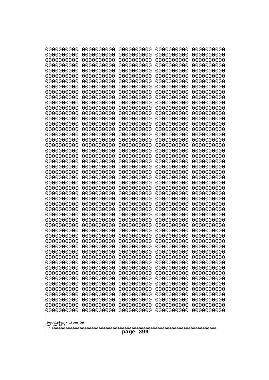| 0000000000                                                                                                                                            | 0000000000                                                                                                   | 0000000000                                                                                                                  | 0000000000                                                                                                   | 0000000000                                                                                                   |
|-------------------------------------------------------------------------------------------------------------------------------------------------------|--------------------------------------------------------------------------------------------------------------|-----------------------------------------------------------------------------------------------------------------------------|--------------------------------------------------------------------------------------------------------------|--------------------------------------------------------------------------------------------------------------|
| 0000000000                                                                                                                                            | 0000000000                                                                                                   | 0000000000                                                                                                                  | 0000000000                                                                                                   | 0000000000                                                                                                   |
| 0000000000                                                                                                                                            | 0000000000                                                                                                   | 0000000000                                                                                                                  | 0000000000                                                                                                   | 0000000000                                                                                                   |
| 0000000000                                                                                                                                            | 0000000000                                                                                                   | 0000000000                                                                                                                  | 0000000000                                                                                                   | 0000000000                                                                                                   |
| 0000000000                                                                                                                                            | 0000000000                                                                                                   | 0000000000                                                                                                                  | 0000000000                                                                                                   | 0000000000                                                                                                   |
| 0000000000                                                                                                                                            | 0000000000                                                                                                   | 0000000000                                                                                                                  | 0000000000                                                                                                   | 0000000000                                                                                                   |
| 0000000000                                                                                                                                            | 0000000000                                                                                                   | 0000000000                                                                                                                  | 0000000000                                                                                                   | 0000000000                                                                                                   |
| 0000000000                                                                                                                                            | 0000000000                                                                                                   | 0000000000                                                                                                                  | 0000000000                                                                                                   | 0000000000                                                                                                   |
| 0000000000                                                                                                                                            | 0000000000                                                                                                   | 0000000000                                                                                                                  | 0000000000                                                                                                   | 0000000000                                                                                                   |
| 0000000000                                                                                                                                            | 0000000000                                                                                                   | 0000000000                                                                                                                  | 0000000000                                                                                                   | 0000000000                                                                                                   |
| 0000000000                                                                                                                                            | 0000000000                                                                                                   | 0000000000                                                                                                                  | 0000000000                                                                                                   | 0000000000                                                                                                   |
| 0000000000                                                                                                                                            | 0000000000                                                                                                   | 0000000000                                                                                                                  | 0000000000                                                                                                   | 0000000000                                                                                                   |
| 0000000000                                                                                                                                            | 0000000000                                                                                                   | 0000000000                                                                                                                  | 0000000000                                                                                                   | 0000000000                                                                                                   |
| 0000000000                                                                                                                                            | 0000000000                                                                                                   | 0000000000                                                                                                                  | 0000000000                                                                                                   | 0000000000                                                                                                   |
| 0000000000                                                                                                                                            | 0000000000                                                                                                   | 0000000000                                                                                                                  | 0000000000                                                                                                   | 0000000000                                                                                                   |
| 0000000000                                                                                                                                            | 0000000000                                                                                                   | 0000000000                                                                                                                  | 0000000000                                                                                                   | 0000000000                                                                                                   |
| 0000000000                                                                                                                                            | 0000000000                                                                                                   | 0000000000                                                                                                                  | 0000000000                                                                                                   | 0000000000                                                                                                   |
| 0000000000                                                                                                                                            | 0000000000                                                                                                   | 0000000000                                                                                                                  | 0000000000                                                                                                   | 0000000000                                                                                                   |
| 0000000000                                                                                                                                            | 0000000000                                                                                                   | 0000000000                                                                                                                  | 0000000000                                                                                                   | 0000000000                                                                                                   |
| 0000000000                                                                                                                                            | 0000000000                                                                                                   | 0000000000                                                                                                                  | 0000000000                                                                                                   | 0000000000                                                                                                   |
| 0000000000                                                                                                                                            | 0000000000                                                                                                   | 0000000000                                                                                                                  | 0000000000                                                                                                   | 0000000000                                                                                                   |
| 0000000000                                                                                                                                            | 0000000000                                                                                                   | 0000000000                                                                                                                  | 0000000000                                                                                                   | 0000000000                                                                                                   |
| 0000000000                                                                                                                                            | 0000000000                                                                                                   | 0000000000                                                                                                                  | 0000000000                                                                                                   | 0000000000                                                                                                   |
| 0000000000                                                                                                                                            | 0000000000                                                                                                   | 0000000000                                                                                                                  | 0000000000                                                                                                   | 0000000000                                                                                                   |
| 0000000000                                                                                                                                            | 0000000000                                                                                                   | 0000000000                                                                                                                  | 0000000000                                                                                                   | 0000000000                                                                                                   |
| 0000000000                                                                                                                                            | 0000000000                                                                                                   | 0000000000                                                                                                                  | 0000000000                                                                                                   | 0000000000                                                                                                   |
| 0000000000                                                                                                                                            | 0000000000                                                                                                   | 0000000000                                                                                                                  | 0000000000                                                                                                   | 0000000000                                                                                                   |
| 0000000000                                                                                                                                            | 0000000000                                                                                                   | 0000000000                                                                                                                  | 0000000000                                                                                                   | 0000000000                                                                                                   |
| 0000000000                                                                                                                                            | 0000000000                                                                                                   | 0000000000                                                                                                                  | 0000000000                                                                                                   | 0000000000                                                                                                   |
| 0000000000                                                                                                                                            | 0000000000                                                                                                   | 0000000000                                                                                                                  | 0000000000                                                                                                   | 0000000000                                                                                                   |
| 0000000000                                                                                                                                            | 0000000000                                                                                                   | 0000000000                                                                                                                  | 0000000000                                                                                                   | 0000000000                                                                                                   |
| 0000000000                                                                                                                                            | 0000000000                                                                                                   | 0000000000                                                                                                                  | 0000000000                                                                                                   | 0000000000                                                                                                   |
| 0000000000                                                                                                                                            | 0000000000                                                                                                   | 0000000000                                                                                                                  | 0000000000                                                                                                   | 0000000000                                                                                                   |
| 0000000000                                                                                                                                            | 0000000000                                                                                                   | 0000000000                                                                                                                  | 0000000000                                                                                                   | 0000000000                                                                                                   |
| 0000000000                                                                                                                                            | 0000000000                                                                                                   | 0000000000                                                                                                                  | 0000000000                                                                                                   | 0000000000                                                                                                   |
| 0000000000                                                                                                                                            | 0000000000                                                                                                   | 0000000000                                                                                                                  | 0000000000                                                                                                   | 0000000000                                                                                                   |
| 0000000000                                                                                                                                            | 0000000000                                                                                                   | 0000000000                                                                                                                  | 0000000000                                                                                                   | 0000000000                                                                                                   |
| 0000000000                                                                                                                                            | 0000000000                                                                                                   | 0000000000                                                                                                                  | 0000000000                                                                                                   | 0000000000                                                                                                   |
| 0000000000                                                                                                                                            | 0000000000                                                                                                   | 0000000000                                                                                                                  | 0000000000                                                                                                   | 0000000000                                                                                                   |
| 0000000000                                                                                                                                            | 0000000000                                                                                                   | 0000000000                                                                                                                  | 0000000000                                                                                                   | 0000000000                                                                                                   |
| 0000000000                                                                                                                                            | 0000000000                                                                                                   | 0000000000                                                                                                                  | 0000000000                                                                                                   | 0000000000                                                                                                   |
| 0000000000                                                                                                                                            | 0000000000                                                                                                   | 0000000000                                                                                                                  | 0000000000                                                                                                   | 0000000000                                                                                                   |
| 0000000000<br>0000000000<br>0000000000<br>0000000000<br>0000000000<br>0000000000<br>0000000000<br>0000000000<br>Googolplex Written Out<br>volume 1013 | 0000000000<br>0000000000<br>0000000000<br>0000000000<br>0000000000<br>0000000000<br>0000000000<br>0000000000 | 0000000000<br>0000000000<br>0000000000<br>0000000000<br>0000000000<br>0000000000<br>0000000000<br>0000000000<br>399<br>page | 0000000000<br>0000000000<br>0000000000<br>0000000000<br>0000000000<br>0000000000<br>0000000000<br>0000000000 | 0000000000<br>0000000000<br>0000000000<br>0000000000<br>0000000000<br>0000000000<br>0000000000<br>0000000000 |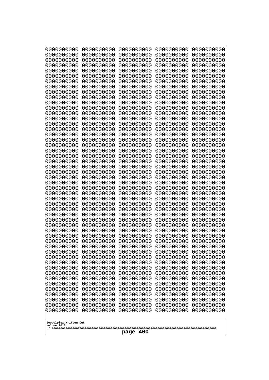| 10000000000              | 0000000000               | 0000000000               | 0000000000               | 0000000000               |
|--------------------------|--------------------------|--------------------------|--------------------------|--------------------------|
| 0000000000<br>0000000000 | 0000000000<br>0000000000 | 0000000000<br>0000000000 | 0000000000<br>0000000000 | 0000000000<br>0000000000 |
| 0000000000               | 0000000000               | 0000000000               | 0000000000               | 0000000000               |
| 0000000000               | 0000000000               | 0000000000               | 0000000000               | 0000000000               |
| 0000000000               | 0000000000               | 0000000000               | 0000000000               | 0000000000               |
| 0000000000<br>0000000000 | 0000000000<br>0000000000 | 0000000000<br>0000000000 | 0000000000<br>0000000000 | 0000000000<br>0000000000 |
| 0000000000               | 0000000000               | 0000000000               | 0000000000               | 0000000000               |
| 0000000000               | 0000000000               | 0000000000               | 0000000000               | 0000000000               |
| 0000000000               | 0000000000               | 0000000000               | 0000000000               | 0000000000               |
| 0000000000<br>0000000000 | 0000000000<br>0000000000 | 0000000000<br>0000000000 | 0000000000<br>0000000000 | 0000000000<br>0000000000 |
| 0000000000               | 0000000000               | 0000000000               | 0000000000               | 0000000000               |
| 0000000000               | 0000000000               | 0000000000               | 0000000000               | 0000000000               |
| 0000000000               | 0000000000               | 0000000000               | 0000000000               | 0000000000               |
| 0000000000<br>0000000000 | 0000000000<br>0000000000 | 0000000000<br>0000000000 | 0000000000<br>0000000000 | 0000000000<br>0000000000 |
| 0000000000               | 0000000000               | 0000000000               | 0000000000               | 0000000000               |
| 0000000000               | 0000000000               | 0000000000               | 0000000000               | 0000000000               |
| 0000000000<br>0000000000 | 0000000000<br>0000000000 | 0000000000<br>0000000000 | 0000000000<br>0000000000 | 0000000000<br>0000000000 |
| 0000000000               | 0000000000               | 0000000000               | 0000000000               | 0000000000               |
| 0000000000               | 0000000000               | 0000000000               | 0000000000               | 0000000000               |
| 0000000000               | 0000000000               | 0000000000               | 0000000000               | 0000000000               |
| 0000000000<br>0000000000 | 0000000000<br>0000000000 | 0000000000<br>0000000000 | 0000000000<br>0000000000 | 0000000000<br>0000000000 |
| 0000000000               | 0000000000               | 0000000000               | 0000000000               | 0000000000               |
| 0000000000               | 0000000000               | 0000000000               | 0000000000               | 0000000000               |
| 0000000000               | 0000000000               | 0000000000               | 0000000000               | 0000000000               |
| 0000000000<br>0000000000 | 0000000000<br>0000000000 | 0000000000<br>0000000000 | 0000000000<br>0000000000 | 0000000000<br>0000000000 |
| 0000000000               | 0000000000               | 0000000000               | 0000000000               | 0000000000               |
| 0000000000               | 0000000000               | 0000000000               | 0000000000               | 0000000000               |
| 0000000000<br>0000000000 | 0000000000<br>0000000000 | 0000000000               | 0000000000               | 0000000000               |
| 0000000000               | 0000000000               | 0000000000<br>0000000000 | 0000000000<br>0000000000 | 0000000000<br>0000000000 |
| 0000000000               | 0000000000               | 0000000000               | 0000000000               | 0000000000               |
| 0000000000               | 0000000000               | 0000000000               | 0000000000               | 0000000000               |
| 0000000000<br>0000000000 | 0000000000<br>0000000000 | 0000000000<br>0000000000 | 0000000000<br>0000000000 | 0000000000<br>0000000000 |
| 0000000000               | 0000000000               | 0000000000               | 0000000000               | 0000000000               |
| 0000000000               | 0000000000               | 0000000000               | 0000000000               | 0000000000               |
| 0000000000               | 0000000000               | 0000000000               | 0000000000               | 0000000000               |
| 0000000000<br>0000000000 | 0000000000<br>0000000000 | 0000000000<br>0000000000 | 0000000000<br>0000000000 | 0000000000<br>0000000000 |
| 0000000000               | 0000000000               | 0000000000               | 0000000000               | 0000000000               |
| 0000000000               | 0000000000               | 0000000000               | 0000000000               | 0000000000               |
| 0000000000               | 0000000000               | 0000000000               | 0000000000               | 0000000000               |
| 0000000000               | 0000000000               | 0000000000               | 0000000000               | 0000000000               |
|                          | Googolplex Written Out   |                          |                          |                          |
| volume 1013              |                          |                          |                          |                          |
| 400<br>page              |                          |                          |                          |                          |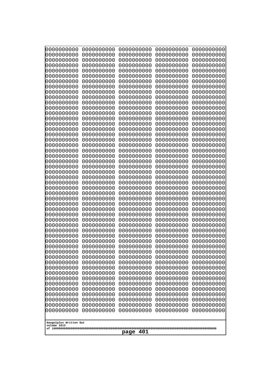| 000000000                | 0000000000               | 0000000000               | 0000000000               | 0000000000               |
|--------------------------|--------------------------|--------------------------|--------------------------|--------------------------|
| 0000000000               | 0000000000               | 0000000000               | 0000000000               | 0000000000               |
| 0000000000               | 0000000000               | 0000000000               | 0000000000               | 0000000000               |
| 0000000000               | 0000000000               | 0000000000               | 0000000000               | 0000000000               |
| 0000000000               | 0000000000               | 0000000000               | 0000000000               | 0000000000               |
| 0000000000               | 0000000000               | 0000000000               | 0000000000               | 0000000000               |
| 0000000000               | 0000000000               | 0000000000               | 0000000000               | 0000000000               |
| 0000000000               | 0000000000               | 0000000000               | 0000000000               | 0000000000               |
| 0000000000               | 0000000000               | 0000000000               | 0000000000               | 0000000000               |
| 0000000000               | 0000000000<br>0000000000 | 0000000000               | 0000000000<br>0000000000 | 0000000000               |
| 0000000000<br>0000000000 | 0000000000               | 0000000000<br>0000000000 | 0000000000               | 0000000000<br>0000000000 |
| 0000000000               | 0000000000               | 0000000000               | 0000000000               | 0000000000               |
| 0000000000               | 0000000000               | 0000000000               | 0000000000               | 0000000000               |
| 0000000000               | 0000000000               | 0000000000               | 0000000000               | 0000000000               |
| 0000000000               | 0000000000               | 0000000000               | 0000000000               | 0000000000               |
| 0000000000               | 0000000000               | 0000000000               | 0000000000               | 0000000000               |
| 0000000000               | 0000000000               | 0000000000               | 0000000000               | 0000000000               |
| 0000000000               | 0000000000               | 0000000000               | 0000000000               | 0000000000               |
| 0000000000               | 0000000000               | 0000000000               | 0000000000               | 0000000000               |
| 0000000000               | 0000000000               | 0000000000               | 0000000000               | 0000000000               |
| 0000000000               | 0000000000               | 0000000000               | 0000000000               | 0000000000               |
| 0000000000               | 0000000000               | 0000000000               | 0000000000               | 0000000000               |
| 0000000000<br>0000000000 | 0000000000<br>0000000000 | 0000000000<br>0000000000 | 0000000000<br>0000000000 | 0000000000<br>0000000000 |
| 0000000000               | 0000000000               | 0000000000               | 0000000000               | 0000000000               |
| 0000000000               | 0000000000               | 0000000000               | 0000000000               | 0000000000               |
| 0000000000               | 0000000000               | 0000000000               | 0000000000               | 0000000000               |
| 0000000000               | 0000000000               | 0000000000               | 0000000000               | 0000000000               |
| 0000000000               | 0000000000               | 0000000000               | 0000000000               | 0000000000               |
| 0000000000               | 0000000000               | 0000000000               | 0000000000               | 0000000000               |
| 0000000000               | 0000000000               | 0000000000               | 0000000000               | 0000000000               |
| 0000000000               | 0000000000               | 0000000000               | 0000000000               | 0000000000               |
| 0000000000               | 0000000000               | 0000000000               | 0000000000               | 0000000000               |
| 0000000000<br>0000000000 | 0000000000<br>0000000000 | 0000000000<br>0000000000 | 0000000000<br>0000000000 | 0000000000<br>0000000000 |
| 0000000000               | 0000000000               | 0000000000               | 0000000000               | 0000000000               |
| 0000000000               | 0000000000               | 0000000000               | 0000000000               | 0000000000               |
| 0000000000               | 0000000000               | 0000000000               | 0000000000               | 0000000000               |
| 0000000000               | 0000000000               | 0000000000               | 0000000000               | 0000000000               |
| 0000000000               | 0000000000               | 0000000000               | 0000000000               | 0000000000               |
| 0000000000               | 0000000000               | 0000000000               | 0000000000               | 0000000000               |
| 0000000000               | 0000000000               | 0000000000               | 0000000000               | 0000000000               |
| 0000000000               | 0000000000               | 0000000000               | 0000000000               | 0000000000               |
| 0000000000               | 0000000000               | 0000000000               | 0000000000               | 0000000000               |
| 0000000000               | 0000000000               | 0000000000               | 0000000000               | 0000000000               |
| 0000000000<br>0000000000 | 0000000000<br>0000000000 | 0000000000<br>0000000000 | 0000000000<br>0000000000 | 0000000000<br>0000000000 |
| 0000000000               | 0000000000               | 0000000000               | 0000000000               | 0000000000               |
| 0000000000               | 0000000000               | 0000000000               | 0000000000               | 0000000000               |
|                          |                          |                          |                          |                          |
| Googolplex Written Out   |                          |                          |                          |                          |
| volume 1013              |                          |                          |                          |                          |
| 401<br>page              |                          |                          |                          |                          |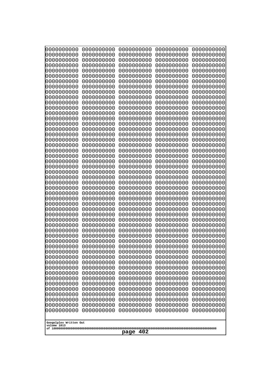| 0000000000<br>0000000000<br>0000000000<br>0000000000<br>0000000000<br>0000000000<br>0000000000<br>0000000000<br>0000000000<br>0000000000<br>0000000000<br>0000000000<br>0000000000<br>0000000000<br>0000000000<br>0000000000                                                                                                                                                                                                                                                            | 0000000000<br>0000000000<br>0000000000<br>0000000000<br>0000000000<br>0000000000<br>0000000000<br>0000000000<br>0000000000<br>0000000000<br>0000000000<br>0000000000<br>0000000000<br>0000000000<br>0000000000<br>0000000000                                                                                                                                                                                                                   | 0000000000<br>0000000000<br>0000000000<br>0000000000<br>0000000000<br>0000000000<br>0000000000<br>0000000000<br>0000000000<br>0000000000<br>0000000000<br>0000000000<br>0000000000<br>0000000000<br>0000000000<br>0000000000                                                                                                                                                                                                                   | 0000000000<br>0000000000<br>0000000000<br>0000000000<br>0000000000<br>0000000000<br>0000000000<br>0000000000<br>0000000000<br>0000000000<br>0000000000<br>0000000000<br>0000000000<br>0000000000<br>0000000000<br>0000000000                                                                                                                                                                                                                   | 0000000000<br>0000000000<br>0000000000<br>0000000000<br>0000000000<br>0000000000<br>0000000000<br>0000000000<br>0000000000<br>0000000000<br>0000000000<br>0000000000<br>0000000000<br>0000000000<br>0000000000<br>0000000000                                                                                                                                                                                                                   |
|-----------------------------------------------------------------------------------------------------------------------------------------------------------------------------------------------------------------------------------------------------------------------------------------------------------------------------------------------------------------------------------------------------------------------------------------------------------------------------------------|------------------------------------------------------------------------------------------------------------------------------------------------------------------------------------------------------------------------------------------------------------------------------------------------------------------------------------------------------------------------------------------------------------------------------------------------|------------------------------------------------------------------------------------------------------------------------------------------------------------------------------------------------------------------------------------------------------------------------------------------------------------------------------------------------------------------------------------------------------------------------------------------------|------------------------------------------------------------------------------------------------------------------------------------------------------------------------------------------------------------------------------------------------------------------------------------------------------------------------------------------------------------------------------------------------------------------------------------------------|------------------------------------------------------------------------------------------------------------------------------------------------------------------------------------------------------------------------------------------------------------------------------------------------------------------------------------------------------------------------------------------------------------------------------------------------|
| 0000000000<br>0000000000<br>0000000000<br>0000000000<br>0000000000<br>0000000000<br>0000000000<br>0000000000<br>0000000000<br>0000000000<br>0000000000<br>0000000000<br>0000000000<br>0000000000<br>0000000000<br>0000000000<br>0000000000<br>0000000000<br>0000000000<br>0000000000<br>0000000000<br>0000000000<br>0000000000<br>0000000000<br>0000000000<br>0000000000<br>0000000000<br>0000000000<br>0000000000<br>0000000000<br>0000000000<br>Googolplex Written Out<br>volume 1013 | 0000000000<br>0000000000<br>0000000000<br>0000000000<br>0000000000<br>0000000000<br>0000000000<br>0000000000<br>0000000000<br>0000000000<br>0000000000<br>0000000000<br>0000000000<br>0000000000<br>0000000000<br>0000000000<br>0000000000<br>0000000000<br>0000000000<br>0000000000<br>0000000000<br>0000000000<br>0000000000<br>0000000000<br>0000000000<br>0000000000<br>0000000000<br>0000000000<br>0000000000<br>0000000000<br>0000000000 | 0000000000<br>0000000000<br>0000000000<br>0000000000<br>0000000000<br>0000000000<br>0000000000<br>0000000000<br>0000000000<br>0000000000<br>0000000000<br>0000000000<br>0000000000<br>0000000000<br>0000000000<br>0000000000<br>0000000000<br>0000000000<br>0000000000<br>0000000000<br>0000000000<br>0000000000<br>0000000000<br>0000000000<br>0000000000<br>0000000000<br>0000000000<br>0000000000<br>0000000000<br>0000000000<br>0000000000 | 0000000000<br>0000000000<br>0000000000<br>0000000000<br>0000000000<br>0000000000<br>0000000000<br>0000000000<br>0000000000<br>0000000000<br>0000000000<br>0000000000<br>0000000000<br>0000000000<br>0000000000<br>0000000000<br>0000000000<br>0000000000<br>0000000000<br>0000000000<br>0000000000<br>0000000000<br>0000000000<br>0000000000<br>0000000000<br>0000000000<br>0000000000<br>0000000000<br>0000000000<br>0000000000<br>0000000000 | 0000000000<br>0000000000<br>0000000000<br>0000000000<br>0000000000<br>0000000000<br>0000000000<br>0000000000<br>0000000000<br>0000000000<br>0000000000<br>0000000000<br>0000000000<br>0000000000<br>0000000000<br>0000000000<br>0000000000<br>0000000000<br>0000000000<br>0000000000<br>0000000000<br>0000000000<br>0000000000<br>0000000000<br>0000000000<br>0000000000<br>0000000000<br>0000000000<br>0000000000<br>0000000000<br>0000000000 |
| 402<br>page                                                                                                                                                                                                                                                                                                                                                                                                                                                                             |                                                                                                                                                                                                                                                                                                                                                                                                                                                |                                                                                                                                                                                                                                                                                                                                                                                                                                                |                                                                                                                                                                                                                                                                                                                                                                                                                                                |                                                                                                                                                                                                                                                                                                                                                                                                                                                |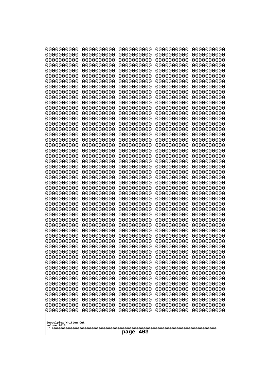| 10000000000                           | 0000000000               | 0000000000               | 0000000000               | 0000000000               |
|---------------------------------------|--------------------------|--------------------------|--------------------------|--------------------------|
| 0000000000<br>0000000000              | 0000000000<br>0000000000 | 0000000000<br>0000000000 | 0000000000<br>0000000000 | 0000000000<br>0000000000 |
| 0000000000                            | 0000000000               | 0000000000               | 0000000000               | 0000000000               |
| 0000000000                            | 0000000000               | 0000000000               | 0000000000               | 0000000000               |
| 0000000000                            | 0000000000               | 0000000000               | 0000000000               | 0000000000               |
| 0000000000<br>0000000000              | 0000000000<br>0000000000 | 0000000000<br>0000000000 | 0000000000<br>0000000000 | 0000000000<br>0000000000 |
| 0000000000                            | 0000000000               | 0000000000               | 0000000000               | 0000000000               |
| 0000000000                            | 0000000000               | 0000000000               | 0000000000               | 0000000000               |
| 0000000000                            | 0000000000               | 0000000000               | 0000000000               | 0000000000               |
| 0000000000<br>0000000000              | 0000000000<br>0000000000 | 0000000000<br>0000000000 | 0000000000<br>0000000000 | 0000000000<br>0000000000 |
| 0000000000                            | 0000000000               | 0000000000               | 0000000000               | 0000000000               |
| 0000000000                            | 0000000000               | 0000000000               | 0000000000               | 0000000000               |
| 0000000000                            | 0000000000               | 0000000000               | 0000000000               | 0000000000               |
| 0000000000<br>0000000000              | 0000000000<br>0000000000 | 0000000000<br>0000000000 | 0000000000<br>0000000000 | 0000000000<br>0000000000 |
| 0000000000                            | 0000000000               | 0000000000               | 0000000000               | 0000000000               |
| 0000000000                            | 0000000000               | 0000000000               | 0000000000               | 0000000000               |
| 0000000000                            | 0000000000               | 0000000000               | 0000000000               | 0000000000               |
| 0000000000<br>0000000000              | 0000000000<br>0000000000 | 0000000000<br>0000000000 | 0000000000<br>0000000000 | 0000000000<br>0000000000 |
| 0000000000                            | 0000000000               | 0000000000               | 0000000000               | 0000000000               |
| 0000000000                            | 0000000000               | 0000000000               | 0000000000               | 0000000000               |
| 0000000000                            | 0000000000               | 0000000000               | 0000000000               | 0000000000               |
| 0000000000<br>0000000000              | 0000000000<br>0000000000 | 0000000000<br>0000000000 | 0000000000<br>0000000000 | 0000000000<br>0000000000 |
| 0000000000                            | 0000000000               | 0000000000               | 0000000000               | 0000000000               |
| 0000000000                            | 0000000000               | 0000000000               | 0000000000               | 0000000000               |
| 0000000000                            | 0000000000               | 0000000000               | 0000000000               | 0000000000               |
| 0000000000<br>0000000000              | 0000000000<br>0000000000 | 0000000000<br>0000000000 | 0000000000<br>0000000000 | 0000000000<br>0000000000 |
| 0000000000                            | 0000000000               | 0000000000               | 0000000000               | 0000000000               |
| 0000000000                            | 0000000000               | 0000000000               | 0000000000               | 0000000000               |
| 0000000000                            | 0000000000<br>0000000000 | 0000000000<br>0000000000 | 0000000000               | 0000000000               |
| 0000000000<br>0000000000              | 0000000000               | 0000000000               | 0000000000<br>0000000000 | 0000000000<br>0000000000 |
| 0000000000                            | 0000000000               | 0000000000               | 0000000000               | 0000000000               |
| 0000000000                            | 0000000000               | 0000000000               | 0000000000               | 0000000000               |
| 0000000000<br>0000000000              | 0000000000<br>0000000000 | 0000000000<br>0000000000 | 0000000000<br>0000000000 | 0000000000<br>0000000000 |
| 0000000000                            | 0000000000               | 0000000000               | 0000000000               | 0000000000               |
| 0000000000                            | 0000000000               | 0000000000               | 0000000000               | 0000000000               |
| 0000000000                            | 0000000000               | 0000000000               | 0000000000               | 0000000000               |
| 0000000000<br>0000000000              | 0000000000<br>0000000000 | 0000000000<br>0000000000 | 0000000000<br>0000000000 | 0000000000<br>0000000000 |
| 0000000000                            | 0000000000               | 0000000000               | 0000000000               | 0000000000               |
| 0000000000                            | 0000000000               | 0000000000               | 0000000000               | 0000000000               |
| 0000000000                            | 0000000000               | 0000000000               | 0000000000               | 0000000000               |
|                                       |                          |                          |                          |                          |
| Googolplex Written Out<br>volume 1013 |                          |                          |                          |                          |
| 403<br>page                           |                          |                          |                          |                          |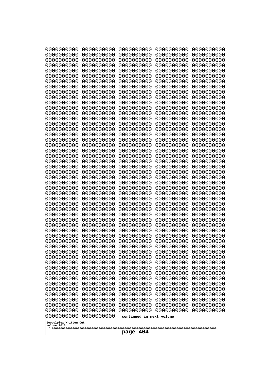| 10000000000<br>0000000000                                                      | 0000000000<br>0000000000 | 0000000000<br>0000000000 | 0000000000<br>0000000000 | 0000000000<br>0000000000 |
|--------------------------------------------------------------------------------|--------------------------|--------------------------|--------------------------|--------------------------|
| 0000000000<br>0000000000                                                       | 0000000000<br>0000000000 | 0000000000<br>0000000000 | 0000000000<br>0000000000 | 0000000000<br>0000000000 |
| 0000000000<br>0000000000                                                       | 0000000000<br>0000000000 | 0000000000<br>0000000000 | 0000000000<br>0000000000 | 0000000000               |
| 0000000000                                                                     | 0000000000               | 0000000000               | 0000000000               | 0000000000<br>0000000000 |
| 0000000000<br>0000000000                                                       | 0000000000<br>0000000000 | 0000000000<br>0000000000 | 0000000000<br>0000000000 | 0000000000<br>0000000000 |
| 0000000000                                                                     | 0000000000               | 0000000000               | 0000000000               | 0000000000               |
| 0000000000                                                                     | 0000000000               | 0000000000               | 0000000000               | 0000000000               |
| 0000000000<br>0000000000                                                       | 0000000000<br>0000000000 | 0000000000<br>0000000000 | 0000000000<br>0000000000 | 0000000000<br>0000000000 |
| 0000000000                                                                     | 0000000000               | 0000000000               | 0000000000               | 0000000000               |
| 0000000000<br>0000000000                                                       | 0000000000<br>0000000000 | 0000000000<br>0000000000 | 0000000000<br>0000000000 | 0000000000<br>0000000000 |
| 0000000000                                                                     | 0000000000               | 0000000000               | 0000000000               | 0000000000               |
| 0000000000<br>0000000000                                                       | 0000000000<br>0000000000 | 0000000000<br>0000000000 | 0000000000<br>0000000000 | 0000000000<br>0000000000 |
| 0000000000                                                                     | 0000000000               | 0000000000               | 0000000000               | 0000000000               |
| 0000000000<br>0000000000                                                       | 0000000000<br>0000000000 | 0000000000<br>0000000000 | 0000000000<br>0000000000 | 0000000000<br>0000000000 |
| 0000000000                                                                     | 0000000000               | 0000000000               | 0000000000               | 0000000000               |
| 0000000000<br>0000000000                                                       | 0000000000<br>0000000000 | 0000000000<br>0000000000 | 0000000000<br>0000000000 | 0000000000<br>0000000000 |
| 0000000000                                                                     | 0000000000               | 0000000000               | 0000000000               | 0000000000               |
| 0000000000<br>0000000000                                                       | 0000000000<br>0000000000 | 0000000000<br>0000000000 | 0000000000<br>0000000000 | 0000000000<br>0000000000 |
| 0000000000                                                                     | 0000000000               | 0000000000               | 0000000000               | 0000000000               |
| 0000000000<br>0000000000                                                       | 0000000000<br>0000000000 | 0000000000<br>0000000000 | 0000000000<br>0000000000 | 0000000000<br>0000000000 |
| 0000000000                                                                     | 0000000000               | 0000000000               | 0000000000               | 0000000000               |
| 0000000000<br>0000000000                                                       | 0000000000<br>0000000000 | 0000000000<br>0000000000 | 0000000000<br>0000000000 | 0000000000<br>0000000000 |
| 0000000000                                                                     | 0000000000               | 0000000000               | 0000000000               | 0000000000               |
| 0000000000<br>0000000000                                                       | 0000000000<br>0000000000 | 0000000000<br>0000000000 | 0000000000<br>0000000000 | 0000000000<br>0000000000 |
| 0000000000                                                                     | 0000000000               | 0000000000               | 0000000000               | 0000000000               |
| 0000000000<br>0000000000                                                       | 0000000000<br>0000000000 | 0000000000<br>0000000000 | 0000000000<br>0000000000 | 0000000000<br>0000000000 |
| 0000000000                                                                     | 0000000000               | 0000000000               | 0000000000               | 0000000000               |
| 0000000000<br>0000000000                                                       | 0000000000<br>0000000000 | 0000000000<br>0000000000 | 0000000000<br>0000000000 | 0000000000<br>0000000000 |
| 0000000000                                                                     | 0000000000               | 0000000000               | 0000000000               | 0000000000               |
| 0000000000<br>0000000000                                                       | 0000000000<br>0000000000 | 0000000000<br>0000000000 | 0000000000<br>0000000000 | 0000000000<br>0000000000 |
| 0000000000                                                                     | 0000000000               | 0000000000               | 0000000000               | 0000000000               |
| 0000000000<br>0000000000                                                       | 0000000000<br>0000000000 | 0000000000<br>0000000000 | 0000000000<br>0000000000 | 0000000000<br>0000000000 |
| 0000000000                                                                     | 0000000000               | 0000000000               | 0000000000               | 0000000000               |
| 0000000000<br>0000000000<br>continued in next volume<br>Googolplex Written Out |                          |                          |                          |                          |
| volume 1013<br>404<br>page                                                     |                          |                          |                          |                          |